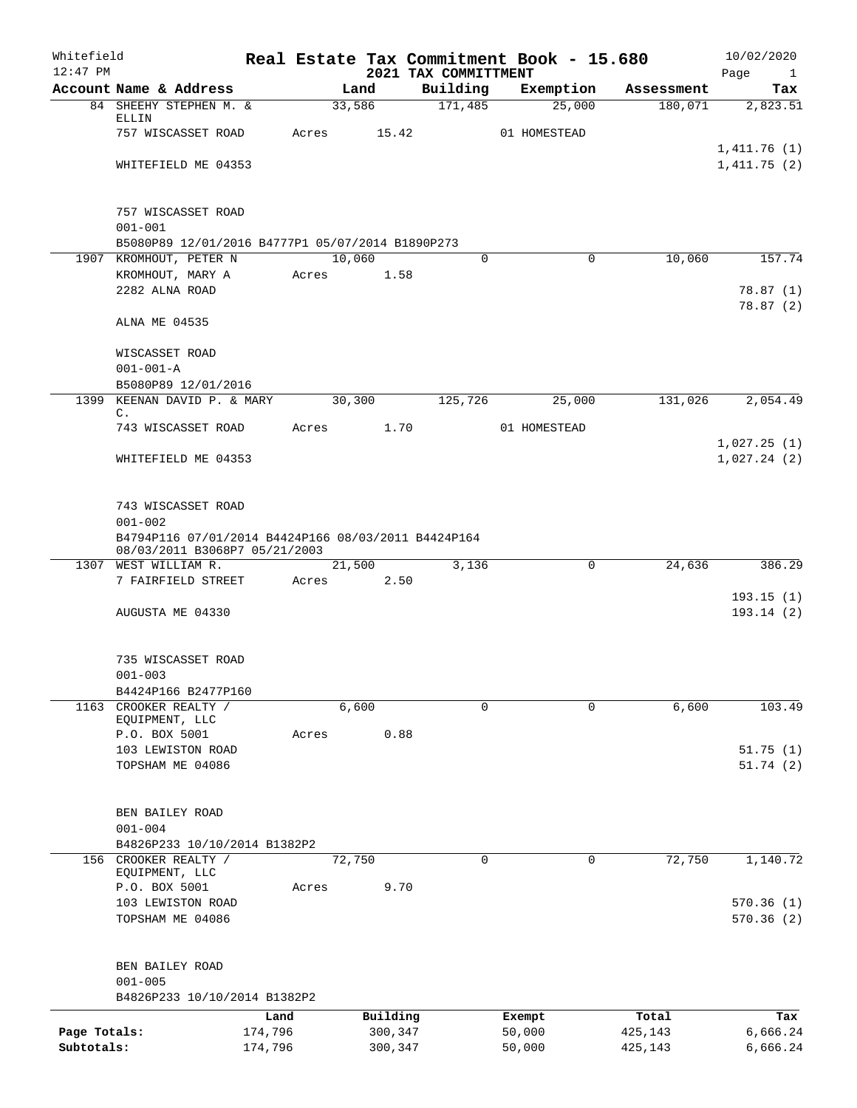| Whitefield<br>$12:47$ PM |                                                                            |         |        |          | Real Estate Tax Commitment Book - 15.680<br>2021 TAX COMMITTMENT |              |             |            | 10/02/2020<br>Page<br>$\mathbf{1}$ |
|--------------------------|----------------------------------------------------------------------------|---------|--------|----------|------------------------------------------------------------------|--------------|-------------|------------|------------------------------------|
|                          | Account Name & Address                                                     |         | Land   |          | Building                                                         | Exemption    |             | Assessment | Tax                                |
|                          | 84 SHEEHY STEPHEN M. &                                                     |         | 33,586 |          | 171,485                                                          |              | 25,000      | 180,071    | 2,823.51                           |
|                          | ELLIN<br>757 WISCASSET ROAD                                                | Acres   |        | 15.42    |                                                                  | 01 HOMESTEAD |             |            |                                    |
|                          |                                                                            |         |        |          |                                                                  |              |             |            | 1,411.76(1)                        |
|                          | WHITEFIELD ME 04353                                                        |         |        |          |                                                                  |              |             |            | 1,411.75(2)                        |
|                          |                                                                            |         |        |          |                                                                  |              |             |            |                                    |
|                          |                                                                            |         |        |          |                                                                  |              |             |            |                                    |
|                          | 757 WISCASSET ROAD                                                         |         |        |          |                                                                  |              |             |            |                                    |
|                          | $001 - 001$                                                                |         |        |          |                                                                  |              |             |            |                                    |
|                          | B5080P89 12/01/2016 B4777P1 05/07/2014 B1890P273<br>1907 KROMHOUT, PETER N |         | 10,060 |          | $\Omega$                                                         |              | $\mathbf 0$ | 10,060     | 157.74                             |
|                          | KROMHOUT, MARY A                                                           | Acres   |        | 1.58     |                                                                  |              |             |            |                                    |
|                          | 2282 ALNA ROAD                                                             |         |        |          |                                                                  |              |             |            | 78.87(1)                           |
|                          |                                                                            |         |        |          |                                                                  |              |             |            | 78.87(2)                           |
|                          | ALNA ME 04535                                                              |         |        |          |                                                                  |              |             |            |                                    |
|                          |                                                                            |         |        |          |                                                                  |              |             |            |                                    |
|                          | WISCASSET ROAD                                                             |         |        |          |                                                                  |              |             |            |                                    |
|                          | $001 - 001 - A$<br>B5080P89 12/01/2016                                     |         |        |          |                                                                  |              |             |            |                                    |
|                          | 1399 KEENAN DAVID P. & MARY                                                |         | 30,300 |          | 125,726                                                          |              | 25,000      | 131,026    | 2,054.49                           |
|                          | $\mathbb{C}$ .                                                             |         |        |          |                                                                  |              |             |            |                                    |
|                          | 743 WISCASSET ROAD                                                         | Acres   |        | 1.70     |                                                                  | 01 HOMESTEAD |             |            |                                    |
|                          |                                                                            |         |        |          |                                                                  |              |             |            | 1,027.25(1)                        |
|                          | WHITEFIELD ME 04353                                                        |         |        |          |                                                                  |              |             |            | 1,027.24(2)                        |
|                          |                                                                            |         |        |          |                                                                  |              |             |            |                                    |
|                          | 743 WISCASSET ROAD                                                         |         |        |          |                                                                  |              |             |            |                                    |
|                          | $001 - 002$                                                                |         |        |          |                                                                  |              |             |            |                                    |
|                          | B4794P116 07/01/2014 B4424P166 08/03/2011 B4424P164                        |         |        |          |                                                                  |              |             |            |                                    |
| 1307                     | 08/03/2011 B3068P7 05/21/2003<br>WEST WILLIAM R.                           |         | 21,500 |          | 3,136                                                            |              | $\mathbf 0$ | 24,636     | 386.29                             |
|                          | 7 FAIRFIELD STREET                                                         | Acres   |        | 2.50     |                                                                  |              |             |            |                                    |
|                          |                                                                            |         |        |          |                                                                  |              |             |            | 193.15(1)                          |
|                          | AUGUSTA ME 04330                                                           |         |        |          |                                                                  |              |             |            | 193.14(2)                          |
|                          |                                                                            |         |        |          |                                                                  |              |             |            |                                    |
|                          |                                                                            |         |        |          |                                                                  |              |             |            |                                    |
|                          | 735 WISCASSET ROAD                                                         |         |        |          |                                                                  |              |             |            |                                    |
|                          | $001 - 003$<br>B4424P166 B2477P160                                         |         |        |          |                                                                  |              |             |            |                                    |
|                          | 1163 CROOKER REALTY /                                                      |         | 6,600  |          | 0                                                                |              | 0           | 6,600      | 103.49                             |
|                          | EQUIPMENT, LLC                                                             |         |        |          |                                                                  |              |             |            |                                    |
|                          | P.O. BOX 5001                                                              | Acres   |        | 0.88     |                                                                  |              |             |            |                                    |
|                          | 103 LEWISTON ROAD                                                          |         |        |          |                                                                  |              |             |            | 51.75(1)                           |
|                          | TOPSHAM ME 04086                                                           |         |        |          |                                                                  |              |             |            | 51.74(2)                           |
|                          |                                                                            |         |        |          |                                                                  |              |             |            |                                    |
|                          | BEN BAILEY ROAD                                                            |         |        |          |                                                                  |              |             |            |                                    |
|                          | $001 - 004$                                                                |         |        |          |                                                                  |              |             |            |                                    |
|                          | B4826P233 10/10/2014 B1382P2                                               |         |        |          |                                                                  |              |             |            |                                    |
| 156                      | CROOKER REALTY /<br>EQUIPMENT, LLC                                         |         | 72,750 |          | $\mathbf 0$                                                      |              | 0           | 72,750     | 1,140.72                           |
|                          | P.O. BOX 5001                                                              | Acres   |        | 9.70     |                                                                  |              |             |            |                                    |
|                          | 103 LEWISTON ROAD                                                          |         |        |          |                                                                  |              |             |            | 570.36(1)                          |
|                          | TOPSHAM ME 04086                                                           |         |        |          |                                                                  |              |             |            | 570.36(2)                          |
|                          |                                                                            |         |        |          |                                                                  |              |             |            |                                    |
|                          |                                                                            |         |        |          |                                                                  |              |             |            |                                    |
|                          | BEN BAILEY ROAD<br>$001 - 005$                                             |         |        |          |                                                                  |              |             |            |                                    |
|                          | B4826P233 10/10/2014 B1382P2                                               |         |        |          |                                                                  |              |             |            |                                    |
|                          |                                                                            | Land    |        | Building |                                                                  | Exempt       |             | Total      | Tax                                |
| Page Totals:             |                                                                            | 174,796 |        | 300,347  |                                                                  | 50,000       |             | 425,143    | 6,666.24                           |
| Subtotals:               |                                                                            | 174,796 |        | 300,347  |                                                                  | 50,000       |             | 425,143    | 6,666.24                           |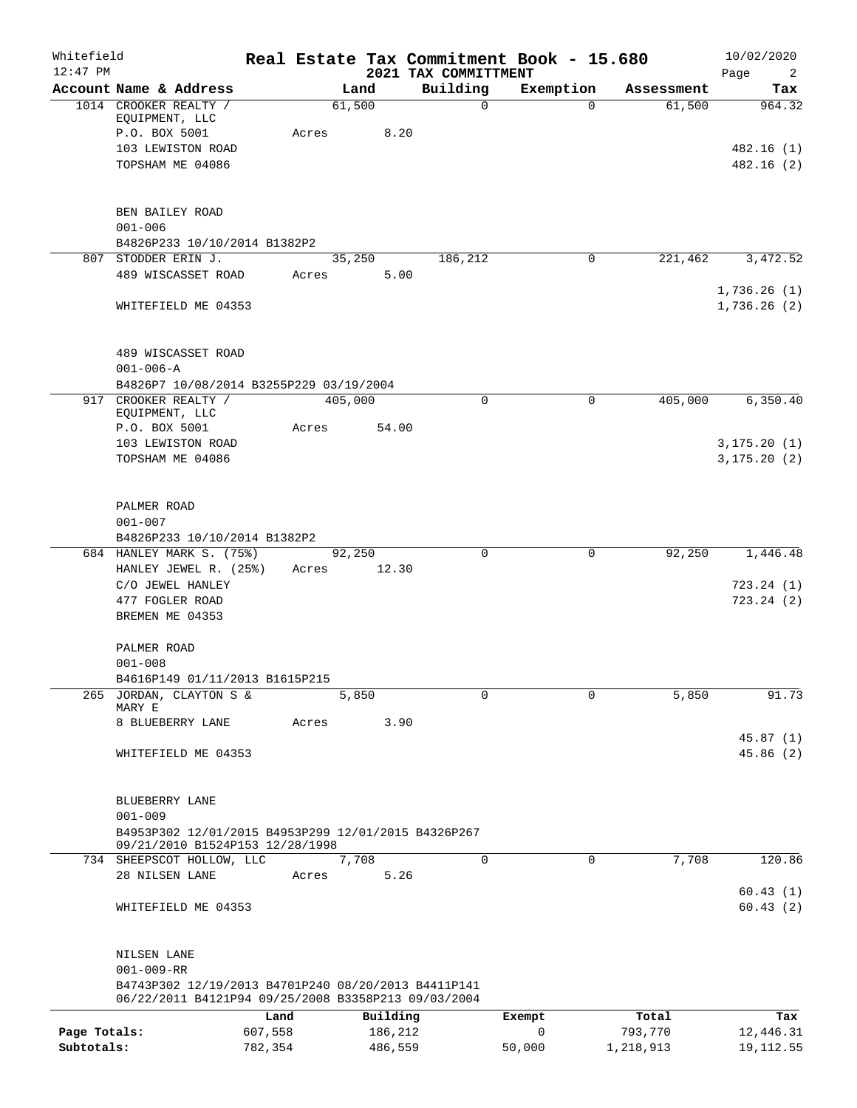| Whitefield<br>$12:47$ PM |                                                                                        |         |       |          |      | 2021 TAX COMMITTMENT | Real Estate Tax Commitment Book - 15.680 |            | 10/02/2020<br>Page<br>2 |
|--------------------------|----------------------------------------------------------------------------------------|---------|-------|----------|------|----------------------|------------------------------------------|------------|-------------------------|
|                          | Account Name & Address                                                                 |         |       | Land     |      | Building             | Exemption                                | Assessment | Tax                     |
|                          | 1014 CROOKER REALTY /                                                                  |         |       | 61,500   |      | $\mathsf{O}$         | $\Omega$                                 | 61,500     | 964.32                  |
|                          | EQUIPMENT, LLC                                                                         |         |       |          |      |                      |                                          |            |                         |
|                          | P.O. BOX 5001                                                                          |         | Acres | 8.20     |      |                      |                                          |            |                         |
|                          | 103 LEWISTON ROAD                                                                      |         |       |          |      |                      |                                          |            | 482.16 (1)              |
|                          | TOPSHAM ME 04086                                                                       |         |       |          |      |                      |                                          |            | 482.16(2)               |
|                          |                                                                                        |         |       |          |      |                      |                                          |            |                         |
|                          | BEN BAILEY ROAD<br>$001 - 006$                                                         |         |       |          |      |                      |                                          |            |                         |
|                          | B4826P233 10/10/2014 B1382P2                                                           |         |       |          |      |                      |                                          |            |                         |
|                          | 807 STODDER ERIN J.                                                                    |         |       | 35,250   |      | 186,212              | 0                                        | 221,462    | 3,472.52                |
|                          | 489 WISCASSET ROAD                                                                     |         | Acres | 5.00     |      |                      |                                          |            |                         |
|                          |                                                                                        |         |       |          |      |                      |                                          |            | 1,736.26(1)             |
|                          | WHITEFIELD ME 04353                                                                    |         |       |          |      |                      |                                          |            | 1,736.26(2)             |
|                          |                                                                                        |         |       |          |      |                      |                                          |            |                         |
|                          | 489 WISCASSET ROAD                                                                     |         |       |          |      |                      |                                          |            |                         |
|                          | $001 - 006 - A$                                                                        |         |       |          |      |                      |                                          |            |                         |
|                          | B4826P7 10/08/2014 B3255P229 03/19/2004<br>917 CROOKER REALTY /                        |         |       | 405,000  |      | $\Omega$             | 0                                        | 405,000    | 6, 350.40               |
|                          | EQUIPMENT, LLC                                                                         |         |       |          |      |                      |                                          |            |                         |
|                          | P.O. BOX 5001                                                                          |         | Acres | 54.00    |      |                      |                                          |            |                         |
|                          | 103 LEWISTON ROAD                                                                      |         |       |          |      |                      |                                          |            | 3, 175.20(1)            |
|                          | TOPSHAM ME 04086                                                                       |         |       |          |      |                      |                                          |            | 3, 175.20(2)            |
|                          |                                                                                        |         |       |          |      |                      |                                          |            |                         |
|                          | PALMER ROAD                                                                            |         |       |          |      |                      |                                          |            |                         |
|                          | $001 - 007$                                                                            |         |       |          |      |                      |                                          |            |                         |
|                          | B4826P233 10/10/2014 B1382P2                                                           |         |       |          |      |                      |                                          |            |                         |
|                          | 684 HANLEY MARK S. (75%)                                                               |         |       | 92,250   |      | $\Omega$             | $\mathbf 0$                              | 92,250     | 1,446.48                |
|                          | HANLEY JEWEL R. (25%)                                                                  |         | Acres | 12.30    |      |                      |                                          |            |                         |
|                          | C/O JEWEL HANLEY                                                                       |         |       |          |      |                      |                                          |            | 723.24(1)               |
|                          | 477 FOGLER ROAD<br>BREMEN ME 04353                                                     |         |       |          |      |                      |                                          |            | 723.24(2)               |
|                          |                                                                                        |         |       |          |      |                      |                                          |            |                         |
|                          | PALMER ROAD                                                                            |         |       |          |      |                      |                                          |            |                         |
|                          | $001 - 008$                                                                            |         |       |          |      |                      |                                          |            |                         |
|                          | B4616P149 01/11/2013 B1615P215                                                         |         |       |          |      |                      |                                          |            |                         |
|                          | 265 JORDAN, CLAYTON S &                                                                |         |       | 5,850    |      | $\Omega$             | $\Omega$                                 | 5,850      | 91.73                   |
|                          | MARY E<br>8 BLUEBERRY LANE                                                             |         | Acres |          | 3.90 |                      |                                          |            |                         |
|                          |                                                                                        |         |       |          |      |                      |                                          |            | 45.87(1)                |
|                          | WHITEFIELD ME 04353                                                                    |         |       |          |      |                      |                                          |            | 45.86(2)                |
|                          |                                                                                        |         |       |          |      |                      |                                          |            |                         |
|                          |                                                                                        |         |       |          |      |                      |                                          |            |                         |
|                          | BLUEBERRY LANE                                                                         |         |       |          |      |                      |                                          |            |                         |
|                          | $001 - 009$                                                                            |         |       |          |      |                      |                                          |            |                         |
|                          | B4953P302 12/01/2015 B4953P299 12/01/2015 B4326P267<br>09/21/2010 B1524P153 12/28/1998 |         |       |          |      |                      |                                          |            |                         |
|                          | 734 SHEEPSCOT HOLLOW, LLC                                                              |         |       | 7,708    |      | $\Omega$             | $\mathbf 0$                              | 7,708      | 120.86                  |
|                          | 28 NILSEN LANE                                                                         |         | Acres |          | 5.26 |                      |                                          |            |                         |
|                          |                                                                                        |         |       |          |      |                      |                                          |            | 60.43(1)                |
|                          | WHITEFIELD ME 04353                                                                    |         |       |          |      |                      |                                          |            | 60.43(2)                |
|                          |                                                                                        |         |       |          |      |                      |                                          |            |                         |
|                          | NILSEN LANE<br>$001 - 009 - RR$                                                        |         |       |          |      |                      |                                          |            |                         |
|                          | B4743P302 12/19/2013 B4701P240 08/20/2013 B4411P141                                    |         |       |          |      |                      |                                          |            |                         |
|                          | 06/22/2011 B4121P94 09/25/2008 B3358P213 09/03/2004                                    |         |       |          |      |                      |                                          |            |                         |
|                          |                                                                                        | Land    |       | Building |      |                      | Exempt                                   | Total      | Tax                     |
| Page Totals:             |                                                                                        | 607,558 |       | 186,212  |      |                      | 0                                        | 793,770    | 12,446.31               |
| Subtotals:               |                                                                                        | 782,354 |       | 486,559  |      |                      | 50,000                                   | 1,218,913  | 19, 112.55              |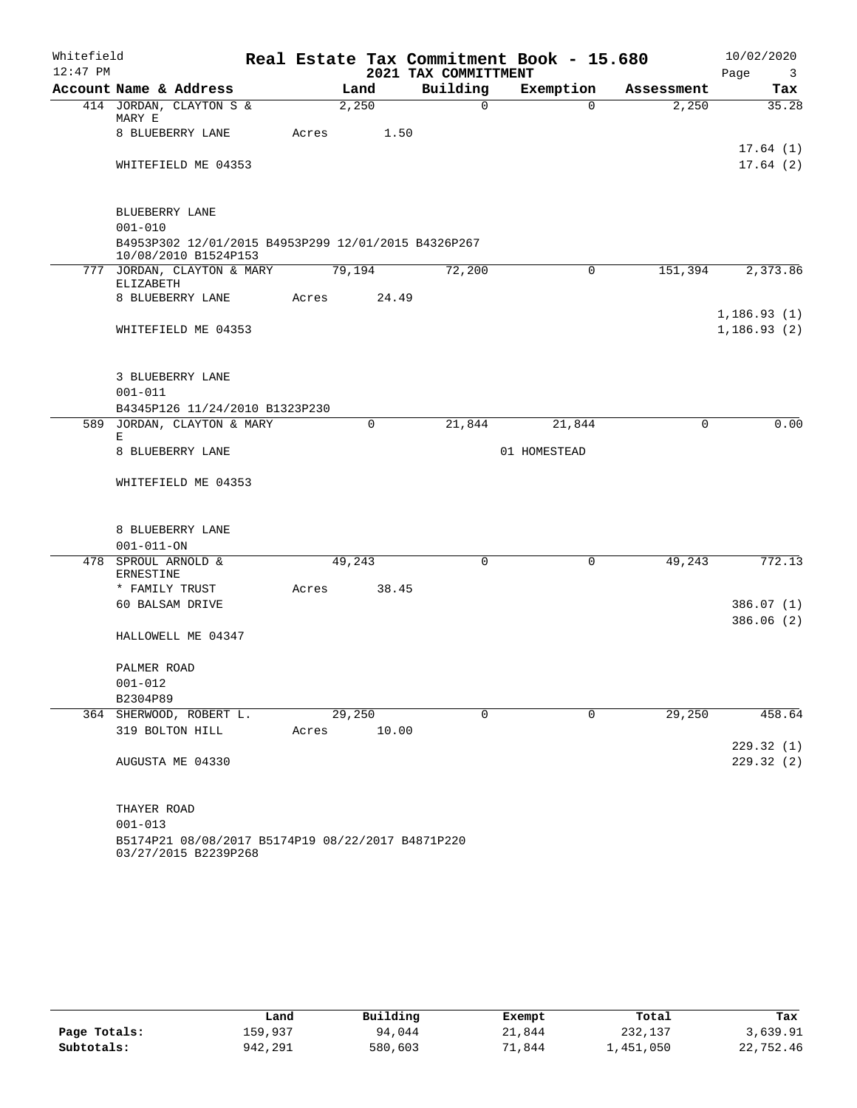| Whitefield |                                                                             |       |        |                      | Real Estate Tax Commitment Book - 15.680 |            | 10/02/2020                      |
|------------|-----------------------------------------------------------------------------|-------|--------|----------------------|------------------------------------------|------------|---------------------------------|
| $12:47$ PM |                                                                             |       |        | 2021 TAX COMMITTMENT |                                          |            | Page<br>$\overline{\mathbf{3}}$ |
|            | Account Name & Address                                                      |       | Land   | Building             | Exemption                                | Assessment | Tax                             |
|            | 414 JORDAN, CLAYTON S &<br>MARY E                                           |       | 2,250  | $\Omega$             | $\Omega$                                 | 2,250      | 35.28                           |
|            | 8 BLUEBERRY LANE                                                            | Acres | 1.50   |                      |                                          |            |                                 |
|            |                                                                             |       |        |                      |                                          |            | 17.64(1)                        |
|            | WHITEFIELD ME 04353                                                         |       |        |                      |                                          |            | 17.64(2)                        |
|            | BLUEBERRY LANE                                                              |       |        |                      |                                          |            |                                 |
|            | $001 - 010$                                                                 |       |        |                      |                                          |            |                                 |
|            | B4953P302 12/01/2015 B4953P299 12/01/2015 B4326P267<br>10/08/2010 B1524P153 |       |        |                      |                                          |            |                                 |
|            | 777 JORDAN, CLAYTON & MARY<br>ELIZABETH                                     |       | 79,194 | 72,200               | $\mathbf 0$                              | 151,394    | 2,373.86                        |
|            | 8 BLUEBERRY LANE                                                            | Acres | 24.49  |                      |                                          |            |                                 |
|            |                                                                             |       |        |                      |                                          |            | 1,186.93(1)                     |
|            | WHITEFIELD ME 04353                                                         |       |        |                      |                                          |            | 1, 186.93(2)                    |
|            | 3 BLUEBERRY LANE                                                            |       |        |                      |                                          |            |                                 |
|            | $001 - 011$                                                                 |       |        |                      |                                          |            |                                 |
|            | B4345P126 11/24/2010 B1323P230                                              |       |        |                      |                                          |            |                                 |
|            | 589 JORDAN, CLAYTON & MARY                                                  |       | 0      | 21,844               | 21,844                                   | 0          | 0.00                            |
|            | Е<br>8 BLUEBERRY LANE                                                       |       |        |                      | 01 HOMESTEAD                             |            |                                 |
|            | WHITEFIELD ME 04353                                                         |       |        |                      |                                          |            |                                 |
|            |                                                                             |       |        |                      |                                          |            |                                 |
|            | 8 BLUEBERRY LANE                                                            |       |        |                      |                                          |            |                                 |
|            | $001 - 011 - ON$                                                            |       |        |                      |                                          |            |                                 |
|            | 478 SPROUL ARNOLD &<br>ERNESTINE                                            |       | 49,243 | 0                    | $\mathbf 0$                              | 49,243     | 772.13                          |
|            | * FAMILY TRUST                                                              | Acres | 38.45  |                      |                                          |            |                                 |
|            | 60 BALSAM DRIVE                                                             |       |        |                      |                                          |            | 386.07(1)                       |
|            | HALLOWELL ME 04347                                                          |       |        |                      |                                          |            | 386.06(2)                       |
|            | PALMER ROAD                                                                 |       |        |                      |                                          |            |                                 |
|            | $001 - 012$                                                                 |       |        |                      |                                          |            |                                 |
|            | B2304P89                                                                    |       |        |                      |                                          |            |                                 |
|            | 364 SHERWOOD, ROBERT L.                                                     |       | 29,250 | 0                    | 0                                        | 29,250     | 458.64                          |
|            | 319 BOLTON HILL                                                             | Acres | 10.00  |                      |                                          |            |                                 |
|            |                                                                             |       |        |                      |                                          |            | 229.32(1)                       |
|            | AUGUSTA ME 04330                                                            |       |        |                      |                                          |            | 229.32(2)                       |
|            | THAYER ROAD                                                                 |       |        |                      |                                          |            |                                 |
|            | $001 - 013$                                                                 |       |        |                      |                                          |            |                                 |
|            | B5174P21 08/08/2017 B5174P19 08/22/2017 B4871P220                           |       |        |                      |                                          |            |                                 |

03/27/2015 B2239P268

|              | Land    | Building | Exempt | Total     | Tax       |
|--------------|---------|----------|--------|-----------|-----------|
| Page Totals: | 159,937 | 94,044   | 21,844 | 232,137   | 3,639.91  |
| Subtotals:   | 942,291 | 580,603  | 71,844 | 1,451,050 | 22,752.46 |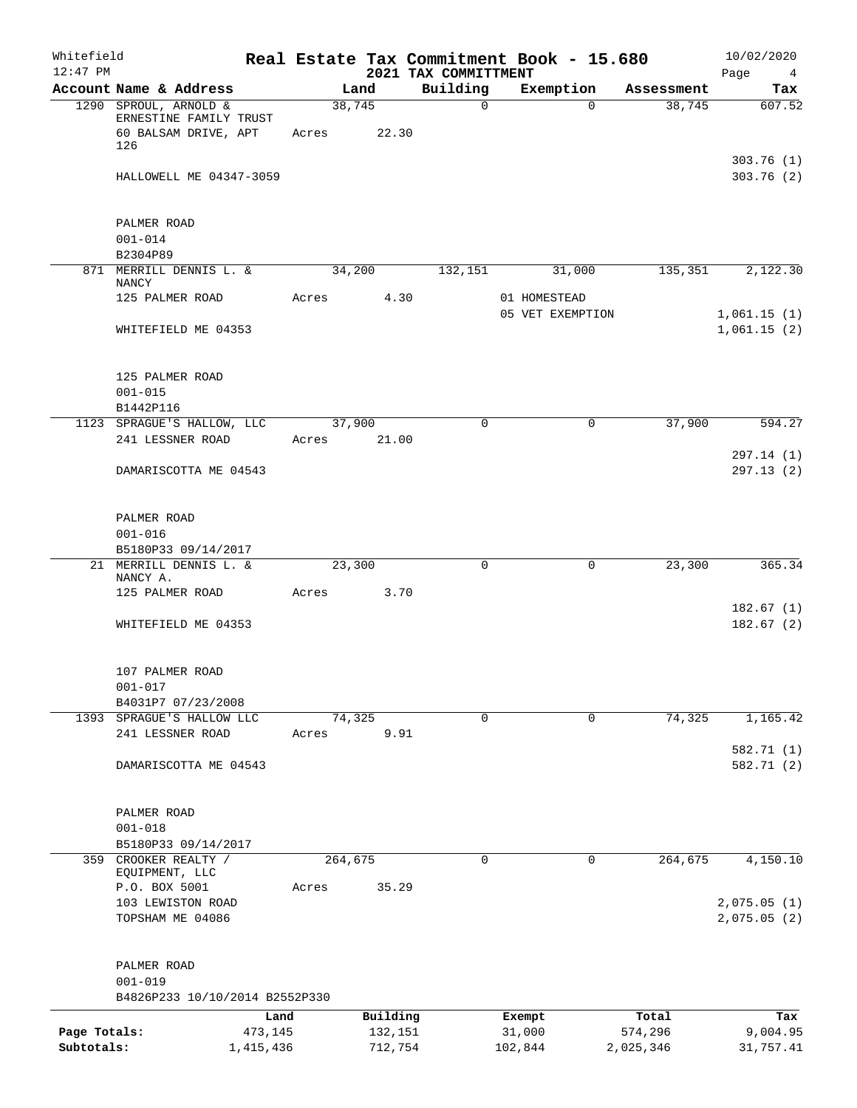| Whitefield<br>$12:47$ PM   |                                                                                |                      |       |         |                    | Real Estate Tax Commitment Book - 15.680<br>2021 TAX COMMITTMENT |                   |                  |                      | 10/02/2020<br>Page<br>$\overline{4}$ |
|----------------------------|--------------------------------------------------------------------------------|----------------------|-------|---------|--------------------|------------------------------------------------------------------|-------------------|------------------|----------------------|--------------------------------------|
|                            | Account Name & Address                                                         |                      |       | Land    |                    | Building                                                         |                   | Exemption        | Assessment           | Tax                                  |
|                            | 1290 SPROUL, ARNOLD &<br>ERNESTINE FAMILY TRUST<br>60 BALSAM DRIVE, APT<br>126 |                      | Acres | 38,745  | 22.30              | $\mathbf 0$                                                      |                   | $\Omega$         | 38,745               | 607.52                               |
|                            | HALLOWELL ME 04347-3059                                                        |                      |       |         |                    |                                                                  |                   |                  |                      | 303.76(1)<br>303.76 (2)              |
|                            | PALMER ROAD<br>$001 - 014$                                                     |                      |       |         |                    |                                                                  |                   |                  |                      |                                      |
|                            | B2304P89                                                                       |                      |       |         |                    |                                                                  |                   |                  |                      |                                      |
|                            | 871 MERRILL DENNIS L. &<br>NANCY                                               |                      |       | 34,200  |                    | 132,151                                                          |                   | 31,000           | 135,351              | 2,122.30                             |
|                            | 125 PALMER ROAD                                                                |                      | Acres |         | 4.30               |                                                                  | 01 HOMESTEAD      | 05 VET EXEMPTION |                      | 1,061.15(1)                          |
|                            | WHITEFIELD ME 04353                                                            |                      |       |         |                    |                                                                  |                   |                  |                      | 1,061.15(2)                          |
|                            | 125 PALMER ROAD<br>$001 - 015$<br>B1442P116                                    |                      |       |         |                    |                                                                  |                   |                  |                      |                                      |
|                            | 1123 SPRAGUE'S HALLOW, LLC                                                     |                      |       | 37,900  |                    | $\Omega$                                                         |                   | 0                | 37,900               | 594.27                               |
|                            | 241 LESSNER ROAD                                                               |                      | Acres |         | 21.00              |                                                                  |                   |                  |                      |                                      |
|                            | DAMARISCOTTA ME 04543                                                          |                      |       |         |                    |                                                                  |                   |                  |                      | 297.14 (1)<br>297.13(2)              |
|                            | PALMER ROAD<br>$001 - 016$                                                     |                      |       |         |                    |                                                                  |                   |                  |                      |                                      |
|                            | B5180P33 09/14/2017                                                            |                      |       |         |                    |                                                                  |                   |                  |                      |                                      |
|                            | 21 MERRILL DENNIS L. &<br>NANCY A.                                             |                      |       | 23,300  |                    | 0                                                                |                   | 0                | 23,300               | 365.34                               |
|                            | 125 PALMER ROAD                                                                |                      | Acres |         | 3.70               |                                                                  |                   |                  |                      |                                      |
|                            | WHITEFIELD ME 04353                                                            |                      |       |         |                    |                                                                  |                   |                  |                      | 182.67(1)<br>182.67(2)               |
|                            | 107 PALMER ROAD<br>$001 - 017$                                                 |                      |       |         |                    |                                                                  |                   |                  |                      |                                      |
|                            | B4031P7 07/23/2008                                                             |                      |       |         |                    |                                                                  |                   |                  |                      |                                      |
|                            | 1393 SPRAGUE'S HALLOW LLC<br>241 LESSNER ROAD                                  |                      |       | 74,325  | 9.91               | $\mathsf{O}$                                                     |                   | $\mathbf 0$      | 74,325               | 1,165.42                             |
|                            |                                                                                |                      | Acres |         |                    |                                                                  |                   |                  |                      | 582.71 (1)                           |
|                            | DAMARISCOTTA ME 04543                                                          |                      |       |         |                    |                                                                  |                   |                  |                      | 582.71 (2)                           |
|                            | PALMER ROAD<br>$001 - 018$                                                     |                      |       |         |                    |                                                                  |                   |                  |                      |                                      |
|                            | B5180P33 09/14/2017                                                            |                      |       |         |                    |                                                                  |                   |                  |                      |                                      |
| 359                        | CROOKER REALTY /<br>EQUIPMENT, LLC                                             |                      |       | 264,675 |                    | 0                                                                |                   | 0                | 264,675              | 4,150.10                             |
|                            | P.O. BOX 5001                                                                  |                      | Acres |         | 35.29              |                                                                  |                   |                  |                      |                                      |
|                            | 103 LEWISTON ROAD<br>TOPSHAM ME 04086                                          |                      |       |         |                    |                                                                  |                   |                  |                      | 2,075.05(1)<br>2,075.05(2)           |
|                            | PALMER ROAD<br>$001 - 019$                                                     |                      |       |         |                    |                                                                  |                   |                  |                      |                                      |
|                            | B4826P233 10/10/2014 B2552P330                                                 |                      |       |         |                    |                                                                  |                   |                  |                      |                                      |
|                            |                                                                                | Land                 |       |         | Building           |                                                                  | Exempt            |                  | Total                | Tax                                  |
| Page Totals:<br>Subtotals: |                                                                                | 473,145<br>1,415,436 |       |         | 132,151<br>712,754 |                                                                  | 31,000<br>102,844 |                  | 574,296<br>2,025,346 | 9,004.95<br>31,757.41                |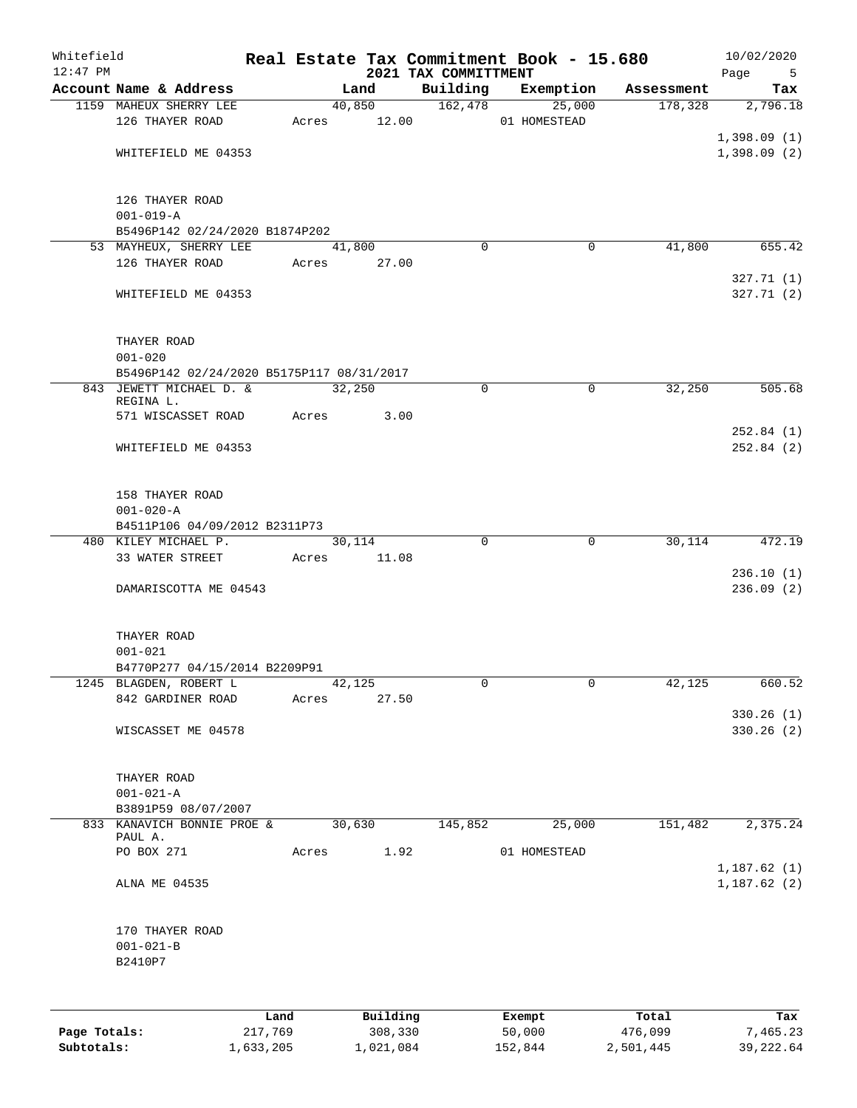| Whitefield<br>$12:47$ PM |                                           |         |       |        |             | 2021 TAX COMMITTMENT | Real Estate Tax Commitment Book - 15.680 |            | 10/02/2020<br>Page<br>5 |
|--------------------------|-------------------------------------------|---------|-------|--------|-------------|----------------------|------------------------------------------|------------|-------------------------|
|                          | Account Name & Address                    |         |       | Land   |             | Building             | Exemption                                | Assessment | Tax                     |
|                          | 1159 MAHEUX SHERRY LEE                    |         |       | 40,850 |             | 162,478              | 25,000                                   | 178,328    | 2,796.18                |
|                          | 126 THAYER ROAD                           |         |       |        | Acres 12.00 |                      | 01 HOMESTEAD                             |            |                         |
|                          |                                           |         |       |        |             |                      |                                          |            | 1,398.09(1)             |
|                          | WHITEFIELD ME 04353                       |         |       |        |             |                      |                                          |            | 1,398.09(2)             |
|                          | 126 THAYER ROAD                           |         |       |        |             |                      |                                          |            |                         |
|                          | $001 - 019 - A$                           |         |       |        |             |                      |                                          |            |                         |
|                          | B5496P142 02/24/2020 B1874P202            |         |       |        |             |                      |                                          |            |                         |
|                          | 53 MAYHEUX, SHERRY LEE                    |         |       | 41,800 |             | $\Omega$             | 0                                        | 41,800     | 655.42                  |
|                          | 126 THAYER ROAD                           |         | Acres |        | 27.00       |                      |                                          |            |                         |
|                          | WHITEFIELD ME 04353                       |         |       |        |             |                      |                                          |            | 327.71(1)<br>327.71(2)  |
|                          | THAYER ROAD                               |         |       |        |             |                      |                                          |            |                         |
|                          | $001 - 020$                               |         |       |        |             |                      |                                          |            |                         |
|                          | B5496P142 02/24/2020 B5175P117 08/31/2017 |         |       |        |             |                      |                                          |            |                         |
|                          | 843 JEWETT MICHAEL D. &                   |         |       | 32,250 |             | 0                    | $\mathbf 0$                              | 32,250     | 505.68                  |
|                          | REGINA L.                                 |         |       |        |             |                      |                                          |            |                         |
|                          | 571 WISCASSET ROAD                        |         | Acres |        | 3.00        |                      |                                          |            |                         |
|                          |                                           |         |       |        |             |                      |                                          |            | 252.84(1)               |
|                          | WHITEFIELD ME 04353                       |         |       |        |             |                      |                                          |            | 252.84(2)               |
|                          | 158 THAYER ROAD                           |         |       |        |             |                      |                                          |            |                         |
|                          | $001 - 020 - A$                           |         |       |        |             |                      |                                          |            |                         |
|                          | B4511P106 04/09/2012 B2311P73             |         |       |        |             |                      |                                          |            |                         |
|                          | 480 KILEY MICHAEL P.<br>33 WATER STREET   |         | Acres | 30,114 | 11.08       | $\Omega$             | 0                                        | 30,114     | 472.19                  |
|                          |                                           |         |       |        |             |                      |                                          |            | 236.10(1)               |
|                          | DAMARISCOTTA ME 04543                     |         |       |        |             |                      |                                          |            | 236.09(2)               |
|                          | THAYER ROAD                               |         |       |        |             |                      |                                          |            |                         |
|                          | $001 - 021$                               |         |       |        |             |                      |                                          |            |                         |
|                          | B4770P277 04/15/2014 B2209P91             |         |       |        |             |                      |                                          |            |                         |
|                          | 1245 BLAGDEN, ROBERT L                    |         |       | 42,125 |             | 0                    | $\mathbf{0}$                             | 42,125     | 660.52                  |
|                          | 842 GARDINER ROAD                         |         | Acres |        | 27.50       |                      |                                          |            |                         |
|                          |                                           |         |       |        |             |                      |                                          |            | 330.26(1)               |
|                          | WISCASSET ME 04578                        |         |       |        |             |                      |                                          |            | 330.26 (2)              |
|                          | THAYER ROAD                               |         |       |        |             |                      |                                          |            |                         |
|                          | $001 - 021 - A$                           |         |       |        |             |                      |                                          |            |                         |
|                          | B3891P59 08/07/2007                       |         |       |        |             |                      |                                          |            |                         |
|                          | 833 KANAVICH BONNIE PROE &<br>PAUL A.     |         |       | 30,630 |             | 145,852              | 25,000                                   | 151,482    | 2,375.24                |
|                          | PO BOX 271                                |         | Acres |        | 1.92        |                      | 01 HOMESTEAD                             |            |                         |
|                          |                                           |         |       |        |             |                      |                                          |            | 1,187.62(1)             |
|                          | ALNA ME 04535                             |         |       |        |             |                      |                                          |            | 1,187.62(2)             |
|                          | 170 THAYER ROAD                           |         |       |        |             |                      |                                          |            |                         |
|                          | $001 - 021 - B$                           |         |       |        |             |                      |                                          |            |                         |
|                          | B2410P7                                   |         |       |        |             |                      |                                          |            |                         |
|                          |                                           |         |       |        |             |                      |                                          |            |                         |
|                          |                                           | Land    |       |        | Building    |                      | Exempt                                   | Total      | Tax                     |
| Page Totals:             |                                           | 217,769 |       |        | 308,330     |                      | 50,000                                   | 476,099    | 7,465.23                |

**Subtotals:** 1,633,205 1,021,084 152,844 2,501,445 39,222.64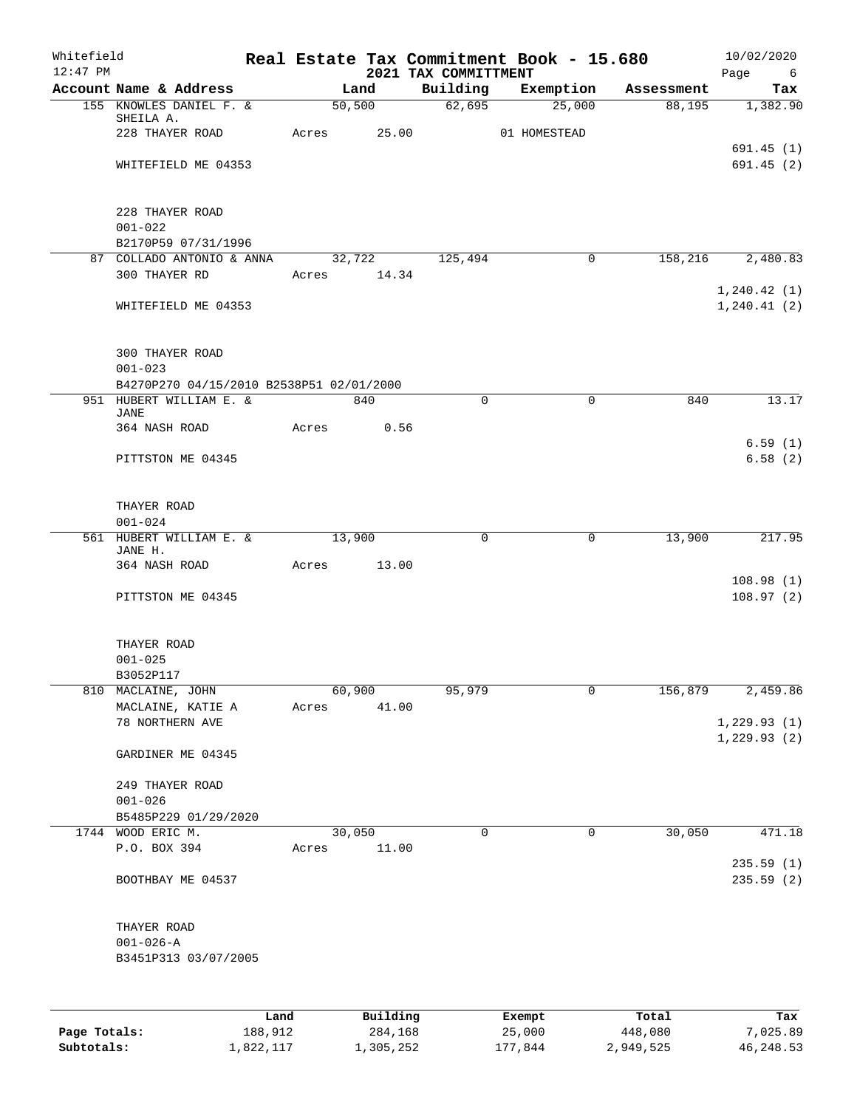| Whitefield<br>$12:47$ PM |                                                  |         |       |        |             | Real Estate Tax Commitment Book - 15.680<br>2021 TAX COMMITTMENT |              |              |            | 10/02/2020<br>Page<br>$6\overline{6}$ |
|--------------------------|--------------------------------------------------|---------|-------|--------|-------------|------------------------------------------------------------------|--------------|--------------|------------|---------------------------------------|
|                          | Account Name & Address                           |         |       | Land   |             | Building                                                         |              | Exemption    | Assessment | Tax                                   |
|                          | 155 KNOWLES DANIEL F. &                          |         |       | 50,500 |             | 62,695                                                           |              | 25,000       | 88,195     | 1,382.90                              |
|                          | SHEILA A.                                        |         |       |        |             |                                                                  |              |              |            |                                       |
|                          | 228 THAYER ROAD                                  |         | Acres |        | 25.00       |                                                                  | 01 HOMESTEAD |              |            | 691.45(1)                             |
|                          | WHITEFIELD ME 04353                              |         |       |        |             |                                                                  |              |              |            | 691.45(2)                             |
|                          |                                                  |         |       |        |             |                                                                  |              |              |            |                                       |
|                          |                                                  |         |       |        |             |                                                                  |              |              |            |                                       |
|                          | 228 THAYER ROAD                                  |         |       |        |             |                                                                  |              |              |            |                                       |
|                          | $001 - 022$                                      |         |       |        |             |                                                                  |              |              |            |                                       |
|                          | B2170P59 07/31/1996<br>87 COLLADO ANTONIO & ANNA |         |       | 32,722 |             | 125,494                                                          |              | 0            | 158,216    | 2,480.83                              |
|                          | 300 THAYER RD                                    |         |       |        | Acres 14.34 |                                                                  |              |              |            |                                       |
|                          |                                                  |         |       |        |             |                                                                  |              |              |            | 1, 240.42(1)                          |
|                          | WHITEFIELD ME 04353                              |         |       |        |             |                                                                  |              |              |            | 1, 240.41(2)                          |
|                          |                                                  |         |       |        |             |                                                                  |              |              |            |                                       |
|                          |                                                  |         |       |        |             |                                                                  |              |              |            |                                       |
|                          | <b>300 THAYER ROAD</b><br>$001 - 023$            |         |       |        |             |                                                                  |              |              |            |                                       |
|                          | B4270P270 04/15/2010 B2538P51 02/01/2000         |         |       |        |             |                                                                  |              |              |            |                                       |
|                          | 951 HUBERT WILLIAM E. &                          |         |       |        | 840         | $\mathbf 0$                                                      |              | $\mathbf 0$  | 840        | 13.17                                 |
|                          | <b>JANE</b>                                      |         |       |        |             |                                                                  |              |              |            |                                       |
|                          | 364 NASH ROAD                                    |         | Acres |        | 0.56        |                                                                  |              |              |            |                                       |
|                          | PITTSTON ME 04345                                |         |       |        |             |                                                                  |              |              |            | 6.59(1)<br>6.58(2)                    |
|                          |                                                  |         |       |        |             |                                                                  |              |              |            |                                       |
|                          |                                                  |         |       |        |             |                                                                  |              |              |            |                                       |
|                          | THAYER ROAD                                      |         |       |        |             |                                                                  |              |              |            |                                       |
|                          | $001 - 024$                                      |         |       |        |             |                                                                  |              |              |            |                                       |
|                          | 561 HUBERT WILLIAM E. &<br>JANE H.               |         |       | 13,900 |             | $\mathbf 0$                                                      |              | 0            | 13,900     | 217.95                                |
|                          | 364 NASH ROAD                                    |         | Acres |        | 13.00       |                                                                  |              |              |            |                                       |
|                          |                                                  |         |       |        |             |                                                                  |              |              |            | 108.98(1)                             |
|                          | PITTSTON ME 04345                                |         |       |        |             |                                                                  |              |              |            | 108.97(2)                             |
|                          |                                                  |         |       |        |             |                                                                  |              |              |            |                                       |
|                          | THAYER ROAD<br>$001 - 025$                       |         |       |        |             |                                                                  |              |              |            |                                       |
|                          | B3052P117                                        |         |       |        |             |                                                                  |              |              |            |                                       |
| 810                      | MACLAINE, JOHN                                   |         |       | 60,900 |             | 95,979                                                           |              | $\mathsf{O}$ | 156,879    | 2,459.86                              |
|                          | MACLAINE, KATIE A                                |         | Acres |        | 41.00       |                                                                  |              |              |            |                                       |
|                          | 78 NORTHERN AVE                                  |         |       |        |             |                                                                  |              |              |            | 1,229.93(1)                           |
|                          | GARDINER ME 04345                                |         |       |        |             |                                                                  |              |              |            | 1, 229.93(2)                          |
|                          |                                                  |         |       |        |             |                                                                  |              |              |            |                                       |
|                          | 249 THAYER ROAD<br>$001 - 026$                   |         |       |        |             |                                                                  |              |              |            |                                       |
|                          | B5485P229 01/29/2020                             |         |       |        |             |                                                                  |              |              |            |                                       |
|                          | 1744 WOOD ERIC M.                                |         |       | 30,050 |             | 0                                                                |              | 0            | 30,050     | 471.18                                |
|                          | P.O. BOX 394                                     |         | Acres |        | 11.00       |                                                                  |              |              |            |                                       |
|                          |                                                  |         |       |        |             |                                                                  |              |              |            | 235.59(1)                             |
|                          | BOOTHBAY ME 04537                                |         |       |        |             |                                                                  |              |              |            | 235.59(2)                             |
|                          | THAYER ROAD                                      |         |       |        |             |                                                                  |              |              |            |                                       |
|                          | $001 - 026 - A$                                  |         |       |        |             |                                                                  |              |              |            |                                       |
|                          | B3451P313 03/07/2005                             |         |       |        |             |                                                                  |              |              |            |                                       |
|                          |                                                  |         |       |        |             |                                                                  |              |              |            |                                       |
|                          |                                                  |         |       |        |             |                                                                  |              |              |            |                                       |
|                          |                                                  | Land    |       |        | Building    |                                                                  | Exempt       |              | Total      | Tax                                   |
| Page Totals:             |                                                  | 188,912 |       |        | 284,168     |                                                                  | 25,000       |              | 448,080    | 7,025.89                              |

**Subtotals:** 1,822,117 1,305,252 177,844 2,949,525 46,248.53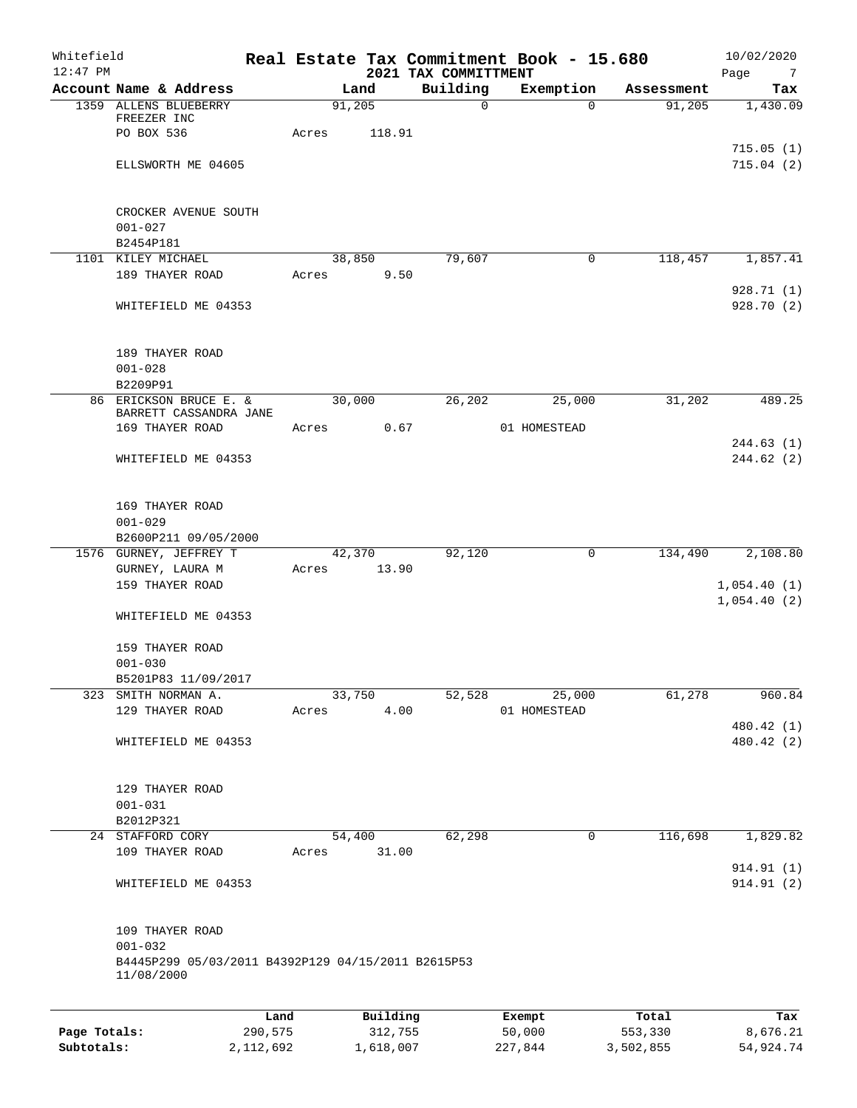| Whitefield<br>$12:47$ PM |                                                                                      |         |       |        |          | 2021 TAX COMMITTMENT | Real Estate Tax Commitment Book - 15.680 |              |            | 10/02/2020<br>Page<br>$\overline{7}$ |
|--------------------------|--------------------------------------------------------------------------------------|---------|-------|--------|----------|----------------------|------------------------------------------|--------------|------------|--------------------------------------|
|                          | Account Name & Address                                                               |         |       | Land   |          | Building             | Exemption                                |              | Assessment | Tax                                  |
|                          | 1359 ALLENS BLUEBERRY<br>FREEZER INC                                                 |         |       | 91,205 |          | $\mathbf 0$          |                                          | $\Omega$     | 91,205     | 1,430.09                             |
|                          | PO BOX 536                                                                           |         | Acres |        | 118.91   |                      |                                          |              |            | 715.05(1)                            |
|                          | ELLSWORTH ME 04605                                                                   |         |       |        |          |                      |                                          |              |            | 715.04(2)                            |
|                          | CROCKER AVENUE SOUTH                                                                 |         |       |        |          |                      |                                          |              |            |                                      |
|                          | $001 - 027$                                                                          |         |       |        |          |                      |                                          |              |            |                                      |
|                          | B2454P181<br>1101 KILEY MICHAEL                                                      |         |       | 38,850 |          | 79,607               |                                          | $\mathbf{0}$ | 118,457    | 1,857.41                             |
|                          | 189 THAYER ROAD                                                                      |         | Acres |        | 9.50     |                      |                                          |              |            |                                      |
|                          | WHITEFIELD ME 04353                                                                  |         |       |        |          |                      |                                          |              |            | 928.71(1)<br>928.70(2)               |
|                          | 189 THAYER ROAD                                                                      |         |       |        |          |                      |                                          |              |            |                                      |
|                          | $001 - 028$<br>B2209P91                                                              |         |       |        |          |                      |                                          |              |            |                                      |
|                          | 86 ERICKSON BRUCE E. &                                                               |         |       | 30,000 |          | 26,202               | 25,000                                   |              | 31,202     | 489.25                               |
|                          | BARRETT CASSANDRA JANE<br>169 THAYER ROAD                                            |         | Acres |        | 0.67     |                      | 01 HOMESTEAD                             |              |            |                                      |
|                          | WHITEFIELD ME 04353                                                                  |         |       |        |          |                      |                                          |              |            | 244.63(1)<br>244.62(2)               |
|                          | 169 THAYER ROAD                                                                      |         |       |        |          |                      |                                          |              |            |                                      |
|                          | $001 - 029$<br>B2600P211 09/05/2000                                                  |         |       |        |          |                      |                                          |              |            |                                      |
|                          | 1576 GURNEY, JEFFREY T                                                               |         |       | 42,370 |          | 92,120               |                                          | 0            | 134,490    | 2,108.80                             |
|                          | GURNEY, LAURA M                                                                      |         | Acres | 13.90  |          |                      |                                          |              |            |                                      |
|                          | 159 THAYER ROAD                                                                      |         |       |        |          |                      |                                          |              |            | 1,054.40(1)<br>1,054.40(2)           |
|                          | WHITEFIELD ME 04353                                                                  |         |       |        |          |                      |                                          |              |            |                                      |
|                          | 159 THAYER ROAD                                                                      |         |       |        |          |                      |                                          |              |            |                                      |
|                          | $001 - 030$                                                                          |         |       |        |          |                      |                                          |              |            |                                      |
|                          | B5201P83 11/09/2017<br>323 SMITH NORMAN A.                                           |         |       | 33,750 |          | 52,528               | 25,000                                   |              | 61,278     | 960.84                               |
|                          | 129 THAYER ROAD                                                                      |         | Acres |        | 4.00     |                      | 01 HOMESTEAD                             |              |            |                                      |
|                          | WHITEFIELD ME 04353                                                                  |         |       |        |          |                      |                                          |              |            | 480.42 (1)<br>480.42 (2)             |
|                          | 129 THAYER ROAD                                                                      |         |       |        |          |                      |                                          |              |            |                                      |
|                          | $001 - 031$                                                                          |         |       |        |          |                      |                                          |              |            |                                      |
|                          | B2012P321                                                                            |         |       |        |          |                      |                                          |              |            |                                      |
|                          | 24 STAFFORD CORY<br>109 THAYER ROAD                                                  |         | Acres | 54,400 | 31.00    | 62,298               |                                          | $\mathbf 0$  | 116,698    | 1,829.82                             |
|                          | WHITEFIELD ME 04353                                                                  |         |       |        |          |                      |                                          |              |            | 914.91 (1)<br>914.91 (2)             |
|                          |                                                                                      |         |       |        |          |                      |                                          |              |            |                                      |
|                          | 109 THAYER ROAD<br>$001 - 032$<br>B4445P299 05/03/2011 B4392P129 04/15/2011 B2615P53 |         |       |        |          |                      |                                          |              |            |                                      |
|                          | 11/08/2000                                                                           |         |       |        |          |                      |                                          |              |            |                                      |
|                          |                                                                                      | Land    |       |        | Building |                      | Exempt                                   |              | Total      | Tax                                  |
| Page Totals:             |                                                                                      | 290,575 |       |        | 312,755  |                      | 50,000                                   |              | 553,330    | 8,676.21                             |

**Subtotals:** 2,112,692 1,618,007 227,844 3,502,855 54,924.74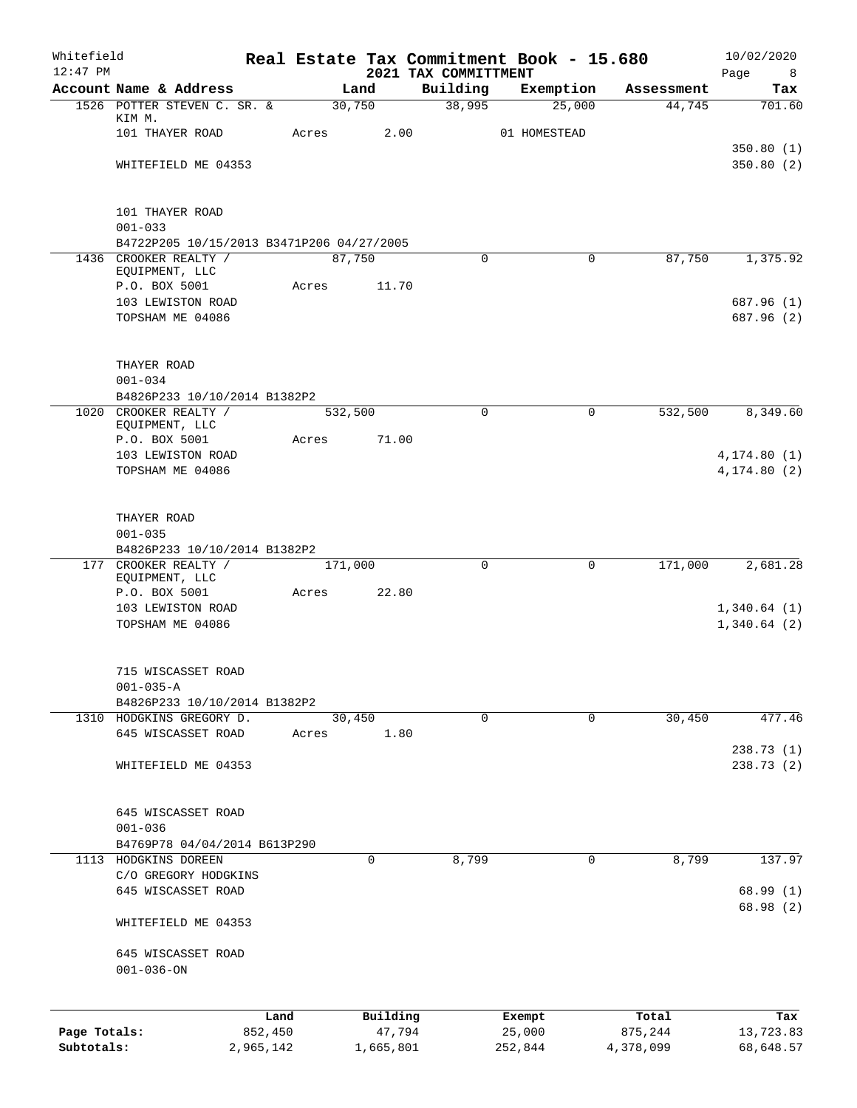| Whitefield<br>$12:47$ PM |                                           |           |       |         |           | Real Estate Tax Commitment Book - 15.680 |              |             |            | 10/02/2020             |
|--------------------------|-------------------------------------------|-----------|-------|---------|-----------|------------------------------------------|--------------|-------------|------------|------------------------|
|                          | Account Name & Address                    |           |       | Land    |           | 2021 TAX COMMITTMENT<br>Building         | Exemption    |             | Assessment | Page<br>8<br>Tax       |
|                          | 1526 POTTER STEVEN C. SR. &               |           |       | 30,750  |           | 38,995                                   |              | 25,000      | 44,745     | 701.60                 |
|                          | KIM M.                                    |           |       |         |           |                                          |              |             |            |                        |
|                          | 101 THAYER ROAD                           |           | Acres |         | 2.00      |                                          | 01 HOMESTEAD |             |            |                        |
|                          | WHITEFIELD ME 04353                       |           |       |         |           |                                          |              |             |            | 350.80(1)<br>350.80(2) |
|                          |                                           |           |       |         |           |                                          |              |             |            |                        |
|                          | 101 THAYER ROAD                           |           |       |         |           |                                          |              |             |            |                        |
|                          | $001 - 033$                               |           |       |         |           |                                          |              |             |            |                        |
|                          | B4722P205 10/15/2013 B3471P206 04/27/2005 |           |       |         |           |                                          |              |             |            |                        |
|                          | 1436 CROOKER REALTY /<br>EQUIPMENT, LLC   |           |       | 87,750  |           | 0                                        |              | $\Omega$    | 87,750     | 1,375.92               |
|                          | P.O. BOX 5001                             |           | Acres |         | 11.70     |                                          |              |             |            |                        |
|                          | 103 LEWISTON ROAD                         |           |       |         |           |                                          |              |             |            | 687.96 (1)             |
|                          | TOPSHAM ME 04086                          |           |       |         |           |                                          |              |             |            | 687.96 (2)             |
|                          | THAYER ROAD                               |           |       |         |           |                                          |              |             |            |                        |
|                          | $001 - 034$                               |           |       |         |           |                                          |              |             |            |                        |
|                          | B4826P233 10/10/2014 B1382P2              |           |       |         |           |                                          |              |             |            |                        |
|                          | 1020 CROOKER REALTY /                     |           |       | 532,500 |           | $\Omega$                                 |              | 0           | 532,500    | 8,349.60               |
|                          | EQUIPMENT, LLC                            |           |       |         |           |                                          |              |             |            |                        |
|                          | P.O. BOX 5001                             |           | Acres |         | 71.00     |                                          |              |             |            |                        |
|                          | 103 LEWISTON ROAD                         |           |       |         |           |                                          |              |             |            | 4, 174.80(1)           |
|                          | TOPSHAM ME 04086                          |           |       |         |           |                                          |              |             |            | 4, 174.80(2)           |
|                          | THAYER ROAD                               |           |       |         |           |                                          |              |             |            |                        |
|                          | $001 - 035$                               |           |       |         |           |                                          |              |             |            |                        |
|                          | B4826P233 10/10/2014 B1382P2              |           |       |         |           |                                          |              |             |            |                        |
|                          | 177 CROOKER REALTY /                      |           |       | 171,000 |           | $\Omega$                                 |              | 0           | 171,000    | 2,681.28               |
|                          | EQUIPMENT, LLC<br>P.O. BOX 5001           |           | Acres |         | 22.80     |                                          |              |             |            |                        |
|                          | 103 LEWISTON ROAD                         |           |       |         |           |                                          |              |             |            | 1,340.64(1)            |
|                          | TOPSHAM ME 04086                          |           |       |         |           |                                          |              |             |            | 1,340.64(2)            |
|                          | 715 WISCASSET ROAD                        |           |       |         |           |                                          |              |             |            |                        |
|                          | $001 - 035 - A$                           |           |       |         |           |                                          |              |             |            |                        |
|                          | B4826P233 10/10/2014 B1382P2              |           |       |         |           |                                          |              |             |            |                        |
|                          | 1310 HODGKINS GREGORY D.                  |           |       | 30,450  |           | $\mathbf 0$                              |              | $\mathbf 0$ | 30,450     | 477.46                 |
|                          | 645 WISCASSET ROAD                        |           | Acres |         | 1.80      |                                          |              |             |            |                        |
|                          | WHITEFIELD ME 04353                       |           |       |         |           |                                          |              |             |            | 238.73(1)<br>238.73(2) |
|                          |                                           |           |       |         |           |                                          |              |             |            |                        |
|                          | 645 WISCASSET ROAD                        |           |       |         |           |                                          |              |             |            |                        |
|                          | $001 - 036$                               |           |       |         |           |                                          |              |             |            |                        |
|                          | B4769P78 04/04/2014 B613P290              |           |       |         |           |                                          |              |             |            |                        |
| 1113                     | HODGKINS DOREEN                           |           |       |         | 0         | 8,799                                    |              | 0           | 8,799      | 137.97                 |
|                          | C/O GREGORY HODGKINS                      |           |       |         |           |                                          |              |             |            |                        |
|                          | 645 WISCASSET ROAD                        |           |       |         |           |                                          |              |             |            | 68.99(1)<br>68.98 (2)  |
|                          | WHITEFIELD ME 04353                       |           |       |         |           |                                          |              |             |            |                        |
|                          | 645 WISCASSET ROAD<br>$001 - 036 - ON$    |           |       |         |           |                                          |              |             |            |                        |
|                          |                                           | Land      |       |         | Building  |                                          | Exempt       |             | Total      | Tax                    |
| Page Totals:             |                                           | 852,450   |       |         | 47,794    |                                          | 25,000       |             | 875,244    | 13,723.83              |
| Subtotals:               |                                           | 2,965,142 |       |         | 1,665,801 |                                          | 252,844      |             | 4,378,099  | 68,648.57              |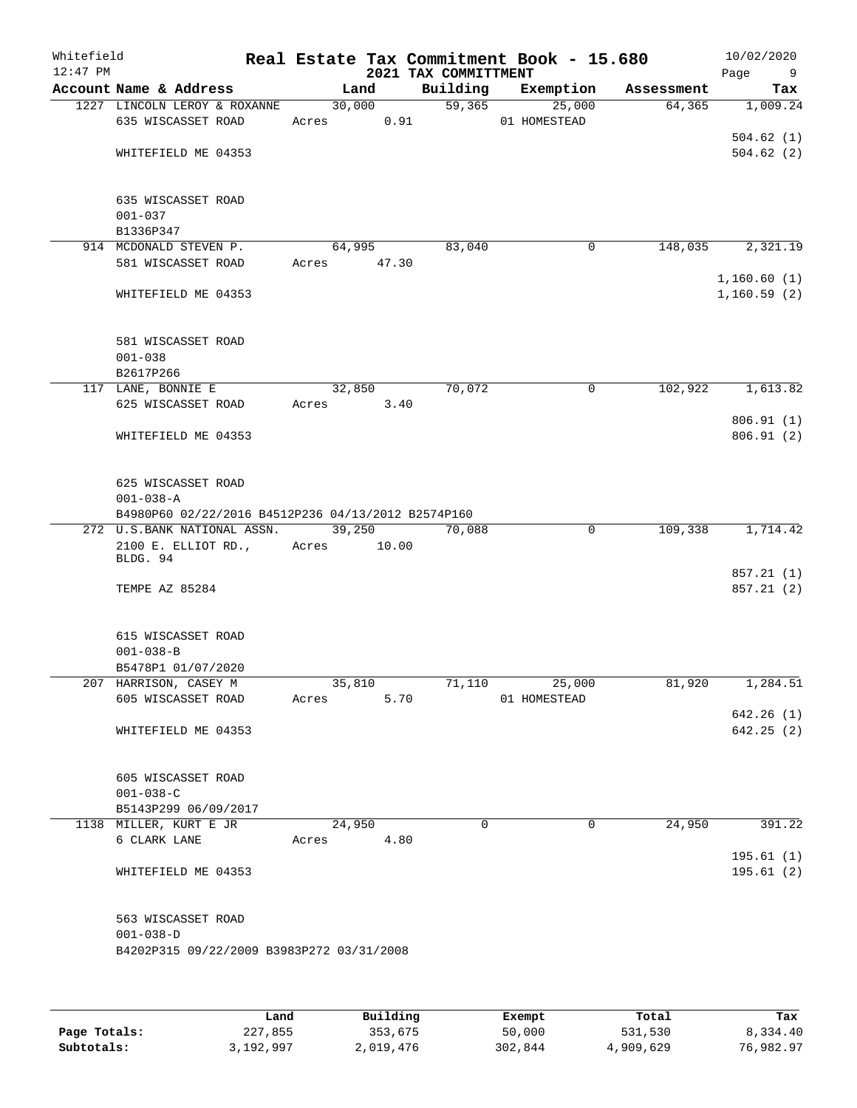| Whitefield<br>$12:47$ PM |                                                    |             |         | 2021 TAX COMMITTMENT | Real Estate Tax Commitment Book - 15.680 |            | 10/02/2020<br>Page<br>9 |
|--------------------------|----------------------------------------------------|-------------|---------|----------------------|------------------------------------------|------------|-------------------------|
|                          | Account Name & Address                             |             | Land    | Building             | Exemption                                | Assessment | Tax                     |
|                          | 1227 LINCOLN LEROY & ROXANNE                       |             | 30,000  | $\overline{59,365}$  | 25,000                                   | 64,365     | 1,009.24                |
|                          | 635 WISCASSET ROAD                                 | Acres       | 0.91    |                      | 01 HOMESTEAD                             |            |                         |
|                          |                                                    |             |         |                      |                                          |            | 504.62(1)               |
|                          | WHITEFIELD ME 04353                                |             |         |                      |                                          |            | 504.62(2)               |
|                          | 635 WISCASSET ROAD                                 |             |         |                      |                                          |            |                         |
|                          | $001 - 037$                                        |             |         |                      |                                          |            |                         |
|                          | B1336P347                                          |             |         |                      |                                          |            |                         |
|                          | 914 MCDONALD STEVEN P.                             |             | 64,995  | 83,040               | 0                                        | 148,035    | 2,321.19                |
|                          | 581 WISCASSET ROAD                                 | Acres 47.30 |         |                      |                                          |            |                         |
|                          |                                                    |             |         |                      |                                          |            | 1,160.60(1)             |
|                          | WHITEFIELD ME 04353                                |             |         |                      |                                          |            | 1,160.59(2)             |
|                          | 581 WISCASSET ROAD                                 |             |         |                      |                                          |            |                         |
|                          | $001 - 038$                                        |             |         |                      |                                          |            |                         |
|                          | B2617P266                                          |             |         |                      |                                          |            |                         |
|                          | 117 LANE, BONNIE E                                 |             | 32,850  | 70,072               | 0                                        | 102,922    | 1,613.82                |
|                          | 625 WISCASSET ROAD                                 | Acres       | 3.40    |                      |                                          |            |                         |
|                          |                                                    |             |         |                      |                                          |            | 806.91(1)               |
|                          | WHITEFIELD ME 04353                                |             |         |                      |                                          |            | 806.91(2)               |
|                          | 625 WISCASSET ROAD                                 |             |         |                      |                                          |            |                         |
|                          | $001 - 038 - A$                                    |             |         |                      |                                          |            |                         |
|                          | B4980P60 02/22/2016 B4512P236 04/13/2012 B2574P160 |             |         |                      |                                          |            |                         |
|                          | 272 U.S.BANK NATIONAL ASSN.                        |             | 39,250  | 70,088               | $\mathbf 0$                              | 109,338    | 1,714.42                |
|                          | 2100 E. ELLIOT RD.,<br>BLDG. 94                    | Acres       | 10.00   |                      |                                          |            |                         |
|                          |                                                    |             |         |                      |                                          |            | 857.21 (1)              |
|                          | TEMPE AZ 85284                                     |             |         |                      |                                          |            | 857.21 (2)              |
|                          | 615 WISCASSET ROAD                                 |             |         |                      |                                          |            |                         |
|                          | $001 - 038 - B$                                    |             |         |                      |                                          |            |                         |
|                          | B5478P1 01/07/2020                                 |             |         |                      |                                          |            |                         |
|                          | 207 HARRISON, CASEY M                              |             | 35, 810 | 71,110               | 25,000                                   | 81,920     | 1,284.51                |
|                          | 605 WISCASSET ROAD                                 | Acres       | 5.70    |                      | 01 HOMESTEAD                             |            |                         |
|                          |                                                    |             |         |                      |                                          |            | 642.26(1)               |
|                          | WHITEFIELD ME 04353                                |             |         |                      |                                          |            | 642.25(2)               |
|                          | 605 WISCASSET ROAD                                 |             |         |                      |                                          |            |                         |
|                          | $001 - 038 - C$                                    |             |         |                      |                                          |            |                         |
|                          | B5143P299 06/09/2017                               |             |         |                      |                                          |            |                         |
|                          | 1138 MILLER, KURT E JR                             |             | 24,950  | $\Omega$             | $\Omega$                                 | 24,950     | 391.22                  |
|                          | 6 CLARK LANE                                       | Acres       | 4.80    |                      |                                          |            |                         |
|                          |                                                    |             |         |                      |                                          |            | 195.61(1)               |
|                          | WHITEFIELD ME 04353                                |             |         |                      |                                          |            | 195.61 (2)              |
|                          | 563 WISCASSET ROAD                                 |             |         |                      |                                          |            |                         |
|                          | $001 - 038 - D$                                    |             |         |                      |                                          |            |                         |
|                          | B4202P315 09/22/2009 B3983P272 03/31/2008          |             |         |                      |                                          |            |                         |
|                          |                                                    |             |         |                      |                                          |            |                         |
|                          |                                                    |             |         |                      |                                          |            |                         |
|                          |                                                    |             |         |                      |                                          |            |                         |

|              | Land      | Building  | Exempt  | Total     | Tax       |
|--------------|-----------|-----------|---------|-----------|-----------|
| Page Totals: | 227,855   | 353,675   | 50,000  | 531,530   | 8,334.40  |
| Subtotals:   | 3,192,997 | 2,019,476 | 302,844 | 4,909,629 | 76,982.97 |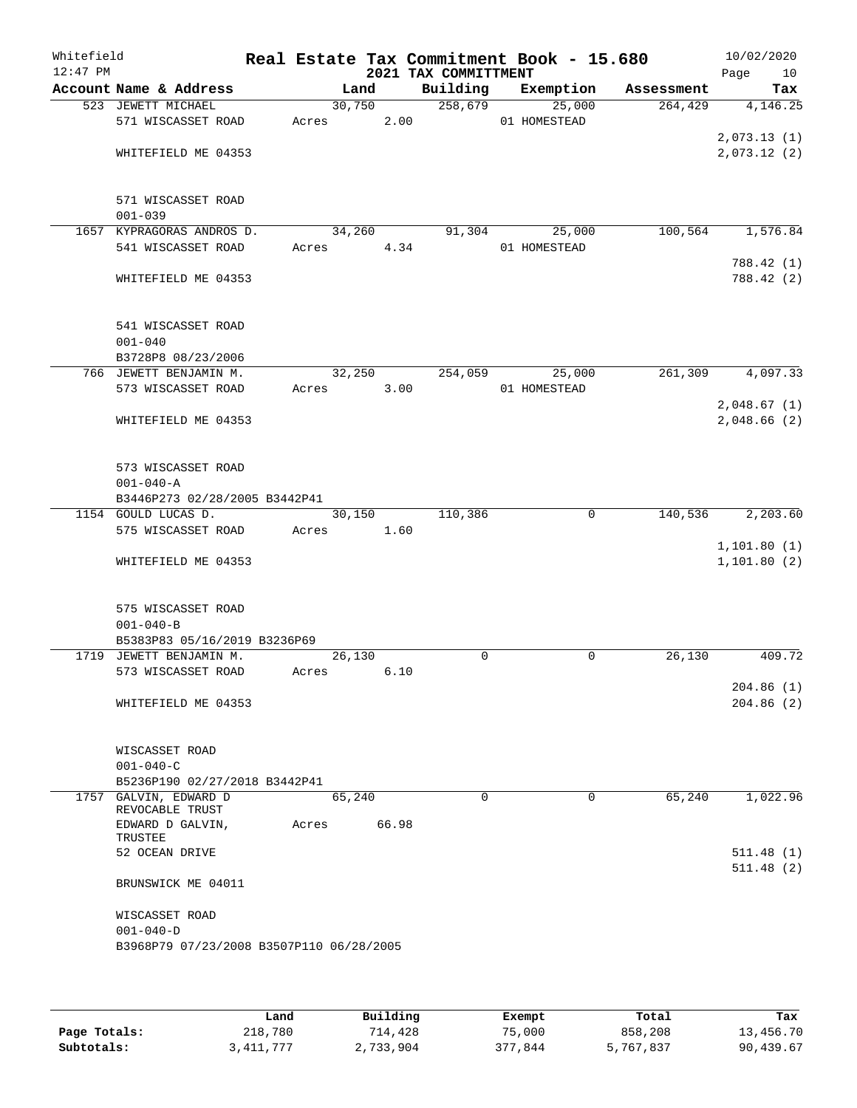| Whitefield<br>$12:47$ PM |                                                 |       |        |       | Real Estate Tax Commitment Book - 15.680<br>2021 TAX COMMITTMENT |              |        |            | 10/02/2020<br>Page<br>10 |
|--------------------------|-------------------------------------------------|-------|--------|-------|------------------------------------------------------------------|--------------|--------|------------|--------------------------|
|                          | Account Name & Address                          |       | Land   |       | Building                                                         | Exemption    |        | Assessment | Tax                      |
|                          | 523 JEWETT MICHAEL                              |       | 30,750 |       | 258,679                                                          |              | 25,000 | 264, 429   | 4,146.25                 |
|                          | 571 WISCASSET ROAD                              | Acres |        | 2.00  |                                                                  | 01 HOMESTEAD |        |            |                          |
|                          |                                                 |       |        |       |                                                                  |              |        |            | 2,073.13(1)              |
|                          | WHITEFIELD ME 04353                             |       |        |       |                                                                  |              |        |            | 2,073.12(2)              |
|                          |                                                 |       |        |       |                                                                  |              |        |            |                          |
|                          |                                                 |       |        |       |                                                                  |              |        |            |                          |
|                          | 571 WISCASSET ROAD                              |       |        |       |                                                                  |              |        |            |                          |
|                          | $001 - 039$                                     |       |        |       |                                                                  |              |        |            |                          |
|                          | 1657 KYPRAGORAS ANDROS D.<br>541 WISCASSET ROAD |       | 34,260 | 4.34  | 91,304                                                           | 01 HOMESTEAD | 25,000 | 100, 564   | 1,576.84                 |
|                          |                                                 | Acres |        |       |                                                                  |              |        |            | 788.42 (1)               |
|                          | WHITEFIELD ME 04353                             |       |        |       |                                                                  |              |        |            | 788.42 (2)               |
|                          |                                                 |       |        |       |                                                                  |              |        |            |                          |
|                          |                                                 |       |        |       |                                                                  |              |        |            |                          |
|                          | 541 WISCASSET ROAD                              |       |        |       |                                                                  |              |        |            |                          |
|                          | $001 - 040$                                     |       |        |       |                                                                  |              |        |            |                          |
|                          | B3728P8 08/23/2006                              |       |        |       |                                                                  |              |        |            |                          |
|                          | 766 JEWETT BENJAMIN M.                          |       | 32,250 |       | 254,059                                                          |              | 25,000 | 261,309    | 4,097.33                 |
|                          | 573 WISCASSET ROAD                              | Acres |        | 3.00  |                                                                  | 01 HOMESTEAD |        |            |                          |
|                          |                                                 |       |        |       |                                                                  |              |        |            | 2,048.67(1)              |
|                          | WHITEFIELD ME 04353                             |       |        |       |                                                                  |              |        |            | 2,048.66 (2)             |
|                          |                                                 |       |        |       |                                                                  |              |        |            |                          |
|                          |                                                 |       |        |       |                                                                  |              |        |            |                          |
|                          | 573 WISCASSET ROAD                              |       |        |       |                                                                  |              |        |            |                          |
|                          | $001 - 040 - A$                                 |       |        |       |                                                                  |              |        |            |                          |
|                          | B3446P273 02/28/2005 B3442P41                   |       |        |       |                                                                  |              |        |            |                          |
|                          | 1154 GOULD LUCAS D.<br>575 WISCASSET ROAD       | Acres | 30,150 | 1.60  | 110,386                                                          |              | 0      | 140,536    | 2,203.60                 |
|                          |                                                 |       |        |       |                                                                  |              |        |            | 1, 101.80(1)             |
|                          | WHITEFIELD ME 04353                             |       |        |       |                                                                  |              |        |            | 1, 101.80(2)             |
|                          |                                                 |       |        |       |                                                                  |              |        |            |                          |
|                          |                                                 |       |        |       |                                                                  |              |        |            |                          |
|                          | 575 WISCASSET ROAD                              |       |        |       |                                                                  |              |        |            |                          |
|                          | $001 - 040 - B$                                 |       |        |       |                                                                  |              |        |            |                          |
|                          | B5383P83 05/16/2019 B3236P69                    |       |        |       |                                                                  |              |        |            |                          |
|                          | 1719 JEWETT BENJAMIN M.                         |       | 26,130 |       | 0                                                                |              | 0      | 26,130     | 409.72                   |
|                          | 573 WISCASSET ROAD                              | Acres |        | 6.10  |                                                                  |              |        |            |                          |
|                          |                                                 |       |        |       |                                                                  |              |        |            | 204.86(1)                |
|                          | WHITEFIELD ME 04353                             |       |        |       |                                                                  |              |        |            | 204.86(2)                |
|                          |                                                 |       |        |       |                                                                  |              |        |            |                          |
|                          | WISCASSET ROAD                                  |       |        |       |                                                                  |              |        |            |                          |
|                          | $001 - 040 - C$                                 |       |        |       |                                                                  |              |        |            |                          |
|                          | B5236P190 02/27/2018 B3442P41                   |       |        |       |                                                                  |              |        |            |                          |
|                          | 1757 GALVIN, EDWARD D                           |       | 65,240 |       | $\mathbf 0$                                                      |              | 0      | 65,240     | 1,022.96                 |
|                          | REVOCABLE TRUST                                 |       |        |       |                                                                  |              |        |            |                          |
|                          | EDWARD D GALVIN,                                | Acres |        | 66.98 |                                                                  |              |        |            |                          |
|                          | TRUSTEE                                         |       |        |       |                                                                  |              |        |            |                          |
|                          | 52 OCEAN DRIVE                                  |       |        |       |                                                                  |              |        |            | 511.48(1)                |
|                          | BRUNSWICK ME 04011                              |       |        |       |                                                                  |              |        |            | 511.48(2)                |
|                          |                                                 |       |        |       |                                                                  |              |        |            |                          |
|                          | WISCASSET ROAD                                  |       |        |       |                                                                  |              |        |            |                          |
|                          | $001 - 040 - D$                                 |       |        |       |                                                                  |              |        |            |                          |
|                          | B3968P79 07/23/2008 B3507P110 06/28/2005        |       |        |       |                                                                  |              |        |            |                          |
|                          |                                                 |       |        |       |                                                                  |              |        |            |                          |
|                          |                                                 |       |        |       |                                                                  |              |        |            |                          |

|              | Land      | Building  | Exempt  | Total     | Tax       |
|--------------|-----------|-----------|---------|-----------|-----------|
| Page Totals: | 218,780   | 714,428   | 75,000  | 858,208   | 13,456.70 |
| Subtotals:   | 3,411,777 | 2,733,904 | 377,844 | 5,767,837 | 90,439.67 |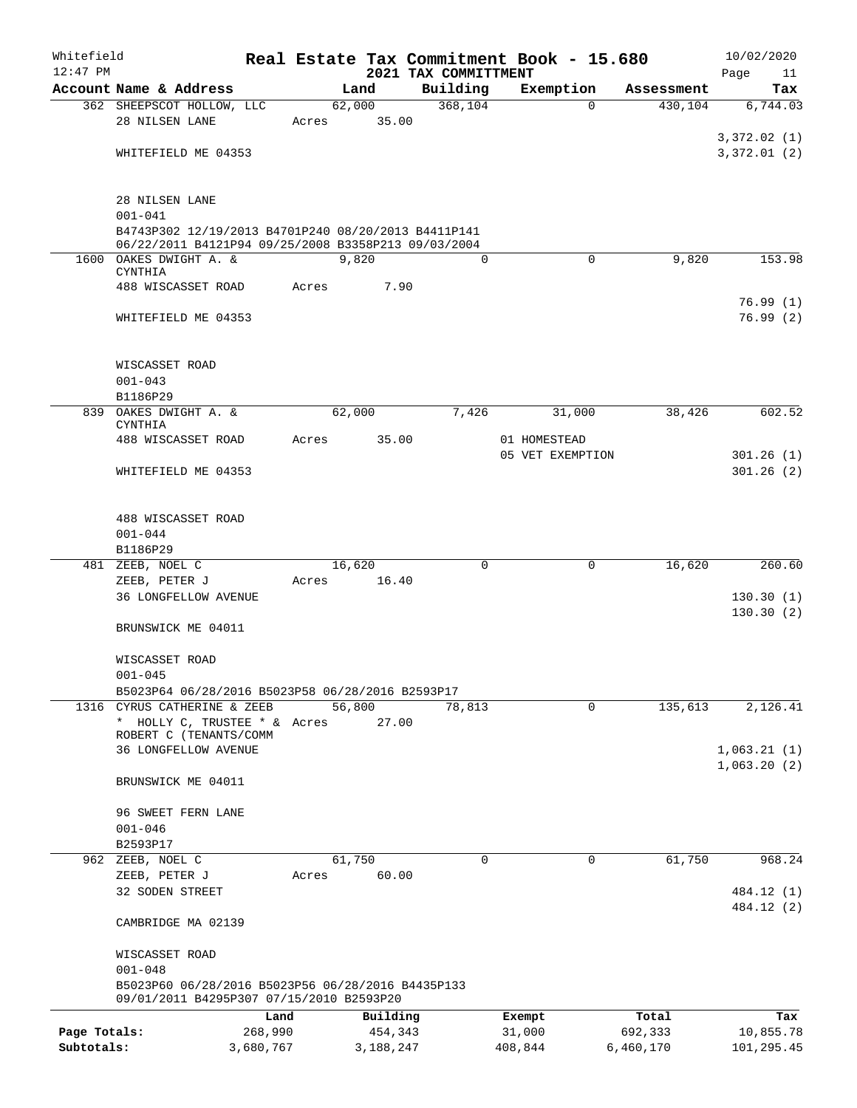| Whitefield                 |                                                                               |                      |       |        |                      | Real Estate Tax Commitment Book - 15.680 |                   |                  |                      | 10/02/2020              |
|----------------------------|-------------------------------------------------------------------------------|----------------------|-------|--------|----------------------|------------------------------------------|-------------------|------------------|----------------------|-------------------------|
| $12:47$ PM                 | Account Name & Address                                                        |                      |       | Land   |                      | 2021 TAX COMMITTMENT<br>Building         |                   | Exemption        | Assessment           | Page<br>11<br>Tax       |
|                            | 362 SHEEPSCOT HOLLOW, LLC                                                     |                      |       | 62,000 |                      | 368,104                                  |                   | $\Omega$         | 430,104              | 6,744.03                |
|                            | 28 NILSEN LANE                                                                |                      | Acres |        | 35.00                |                                          |                   |                  |                      |                         |
|                            |                                                                               |                      |       |        |                      |                                          |                   |                  |                      | 3,372.02(1)             |
|                            | WHITEFIELD ME 04353                                                           |                      |       |        |                      |                                          |                   |                  |                      | 3,372.01(2)             |
|                            |                                                                               |                      |       |        |                      |                                          |                   |                  |                      |                         |
|                            | 28 NILSEN LANE                                                                |                      |       |        |                      |                                          |                   |                  |                      |                         |
|                            | $001 - 041$                                                                   |                      |       |        |                      |                                          |                   |                  |                      |                         |
|                            | B4743P302 12/19/2013 B4701P240 08/20/2013 B4411P141                           |                      |       |        |                      |                                          |                   |                  |                      |                         |
|                            | 06/22/2011 B4121P94 09/25/2008 B3358P213 09/03/2004<br>1600 OAKES DWIGHT A. & |                      |       | 9,820  |                      |                                          | $\Omega$          | $\Omega$         | 9,820                | 153.98                  |
|                            | CYNTHIA                                                                       |                      |       |        |                      |                                          |                   |                  |                      |                         |
|                            | 488 WISCASSET ROAD                                                            |                      | Acres |        | 7.90                 |                                          |                   |                  |                      |                         |
|                            |                                                                               |                      |       |        |                      |                                          |                   |                  |                      | 76.99(1)<br>76.99(2)    |
|                            | WHITEFIELD ME 04353                                                           |                      |       |        |                      |                                          |                   |                  |                      |                         |
|                            |                                                                               |                      |       |        |                      |                                          |                   |                  |                      |                         |
|                            | WISCASSET ROAD                                                                |                      |       |        |                      |                                          |                   |                  |                      |                         |
|                            | $001 - 043$                                                                   |                      |       |        |                      |                                          |                   |                  |                      |                         |
|                            | B1186P29<br>839 OAKES DWIGHT A. &                                             |                      |       | 62,000 |                      | 7,426                                    |                   | 31,000           | 38,426               | 602.52                  |
|                            | CYNTHIA                                                                       |                      |       |        |                      |                                          |                   |                  |                      |                         |
|                            | 488 WISCASSET ROAD                                                            |                      | Acres |        | 35.00                |                                          | 01 HOMESTEAD      |                  |                      |                         |
|                            | WHITEFIELD ME 04353                                                           |                      |       |        |                      |                                          |                   | 05 VET EXEMPTION |                      | 301.26(1)<br>301.26(2)  |
|                            |                                                                               |                      |       |        |                      |                                          |                   |                  |                      |                         |
|                            |                                                                               |                      |       |        |                      |                                          |                   |                  |                      |                         |
|                            | 488 WISCASSET ROAD                                                            |                      |       |        |                      |                                          |                   |                  |                      |                         |
|                            | $001 - 044$                                                                   |                      |       |        |                      |                                          |                   |                  |                      |                         |
|                            | B1186P29<br>481 ZEEB, NOEL C                                                  |                      |       | 16,620 |                      |                                          | $\Omega$          | 0                | 16,620               | 260.60                  |
|                            | ZEEB, PETER J                                                                 |                      | Acres |        | 16.40                |                                          |                   |                  |                      |                         |
|                            | <b>36 LONGFELLOW AVENUE</b>                                                   |                      |       |        |                      |                                          |                   |                  |                      | 130.30(1)               |
|                            |                                                                               |                      |       |        |                      |                                          |                   |                  |                      | 130.30(2)               |
|                            | BRUNSWICK ME 04011                                                            |                      |       |        |                      |                                          |                   |                  |                      |                         |
|                            | WISCASSET ROAD                                                                |                      |       |        |                      |                                          |                   |                  |                      |                         |
|                            | $001 - 045$                                                                   |                      |       |        |                      |                                          |                   |                  |                      |                         |
|                            | B5023P64 06/28/2016 B5023P58 06/28/2016 B2593P17                              |                      |       |        |                      |                                          |                   |                  |                      |                         |
|                            | 1316 CYRUS CATHERINE & ZEEB                                                   |                      |       | 56,800 |                      | 78,813                                   |                   | 0                | 135,613              | 2,126.41                |
|                            | * HOLLY C, TRUSTEE * & Acres<br>ROBERT C (TENANTS/COMM                        |                      |       |        | 27.00                |                                          |                   |                  |                      |                         |
|                            | 36 LONGFELLOW AVENUE                                                          |                      |       |        |                      |                                          |                   |                  |                      | 1,063.21(1)             |
|                            |                                                                               |                      |       |        |                      |                                          |                   |                  |                      | 1,063.20(2)             |
|                            | BRUNSWICK ME 04011                                                            |                      |       |        |                      |                                          |                   |                  |                      |                         |
|                            | 96 SWEET FERN LANE                                                            |                      |       |        |                      |                                          |                   |                  |                      |                         |
|                            | $001 - 046$                                                                   |                      |       |        |                      |                                          |                   |                  |                      |                         |
|                            | B2593P17                                                                      |                      |       |        |                      |                                          |                   |                  |                      |                         |
| 962                        | ZEEB, NOEL C                                                                  |                      |       | 61,750 | 60.00                |                                          | 0                 | 0                | 61,750               | 968.24                  |
|                            | ZEEB, PETER J<br>32 SODEN STREET                                              |                      | Acres |        |                      |                                          |                   |                  |                      | 484.12 (1)              |
|                            |                                                                               |                      |       |        |                      |                                          |                   |                  |                      | 484.12 (2)              |
|                            | CAMBRIDGE MA 02139                                                            |                      |       |        |                      |                                          |                   |                  |                      |                         |
|                            |                                                                               |                      |       |        |                      |                                          |                   |                  |                      |                         |
|                            | WISCASSET ROAD<br>$001 - 048$                                                 |                      |       |        |                      |                                          |                   |                  |                      |                         |
|                            | B5023P60 06/28/2016 B5023P56 06/28/2016 B4435P133                             |                      |       |        |                      |                                          |                   |                  |                      |                         |
|                            | 09/01/2011 B4295P307 07/15/2010 B2593P20                                      |                      |       |        |                      |                                          |                   |                  |                      |                         |
|                            |                                                                               | Land                 |       |        | Building             |                                          | Exempt            |                  | Total                | Tax                     |
| Page Totals:<br>Subtotals: |                                                                               | 268,990<br>3,680,767 |       |        | 454,343<br>3,188,247 |                                          | 31,000<br>408,844 |                  | 692,333<br>6,460,170 | 10,855.78<br>101,295.45 |
|                            |                                                                               |                      |       |        |                      |                                          |                   |                  |                      |                         |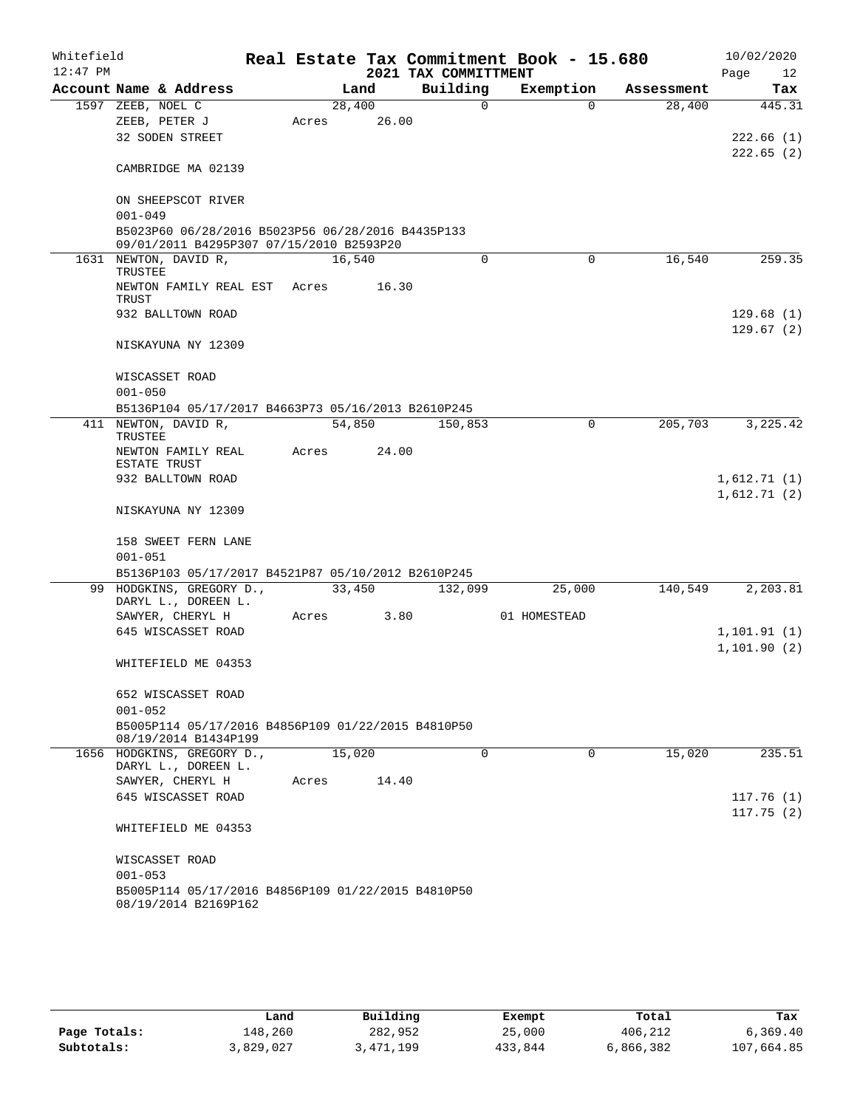| Whitefield |                                                                                               |       |        |       |                      | Real Estate Tax Commitment Book - 15.680 |            |      | 10/02/2020   |
|------------|-----------------------------------------------------------------------------------------------|-------|--------|-------|----------------------|------------------------------------------|------------|------|--------------|
| $12:47$ PM |                                                                                               |       |        |       | 2021 TAX COMMITTMENT |                                          |            | Page | 12           |
|            | Account Name & Address                                                                        |       | Land   |       | Building             | Exemption                                | Assessment |      | Tax          |
|            | 1597 ZEEB, NOEL C                                                                             |       | 28,400 |       | $\Omega$             | $\Omega$                                 | 28,400     |      | 445.31       |
|            | ZEEB, PETER J                                                                                 | Acres |        | 26.00 |                      |                                          |            |      |              |
|            | 32 SODEN STREET                                                                               |       |        |       |                      |                                          |            |      | 222.66(1)    |
|            | CAMBRIDGE MA 02139                                                                            |       |        |       |                      |                                          |            |      | 222.65(2)    |
|            | ON SHEEPSCOT RIVER                                                                            |       |        |       |                      |                                          |            |      |              |
|            | $001 - 049$                                                                                   |       |        |       |                      |                                          |            |      |              |
|            | B5023P60 06/28/2016 B5023P56 06/28/2016 B4435P133<br>09/01/2011 B4295P307 07/15/2010 B2593P20 |       |        |       |                      |                                          |            |      |              |
|            | 1631 NEWTON, DAVID R,                                                                         |       | 16,540 |       | 0                    | 0                                        | 16,540     |      | 259.35       |
|            | TRUSTEE                                                                                       |       |        |       |                      |                                          |            |      |              |
|            | NEWTON FAMILY REAL EST<br>TRUST                                                               | Acres |        | 16.30 |                      |                                          |            |      |              |
|            | 932 BALLTOWN ROAD                                                                             |       |        |       |                      |                                          |            |      | 129.68(1)    |
|            | NISKAYUNA NY 12309                                                                            |       |        |       |                      |                                          |            |      | 129.67(2)    |
|            | WISCASSET ROAD                                                                                |       |        |       |                      |                                          |            |      |              |
|            | $001 - 050$                                                                                   |       |        |       |                      |                                          |            |      |              |
|            | B5136P104 05/17/2017 B4663P73 05/16/2013 B2610P245                                            |       |        |       |                      |                                          |            |      |              |
|            | 411 NEWTON, DAVID R,<br>TRUSTEE                                                               |       | 54,850 |       | 150,853              | $\mathbf 0$                              | 205,703    |      | 3,225.42     |
|            | NEWTON FAMILY REAL<br>ESTATE TRUST                                                            | Acres |        | 24.00 |                      |                                          |            |      |              |
|            | 932 BALLTOWN ROAD                                                                             |       |        |       |                      |                                          |            |      | 1,612.71(1)  |
|            | NISKAYUNA NY 12309                                                                            |       |        |       |                      |                                          |            |      | 1,612.71(2)  |
|            | 158 SWEET FERN LANE                                                                           |       |        |       |                      |                                          |            |      |              |
|            | $001 - 051$                                                                                   |       |        |       |                      |                                          |            |      |              |
|            | B5136P103 05/17/2017 B4521P87 05/10/2012 B2610P245                                            |       |        |       |                      |                                          |            |      |              |
|            | 99 HODGKINS, GREGORY D.,                                                                      |       | 33,450 |       | 132,099              | 25,000                                   | 140,549    |      | 2,203.81     |
|            | DARYL L., DOREEN L.                                                                           |       |        |       |                      |                                          |            |      |              |
|            | SAWYER, CHERYL H                                                                              | Acres |        | 3.80  |                      | 01 HOMESTEAD                             |            |      |              |
|            | 645 WISCASSET ROAD                                                                            |       |        |       |                      |                                          |            |      | 1, 101.91(1) |
|            | WHITEFIELD ME 04353                                                                           |       |        |       |                      |                                          |            |      | 1,101.90(2)  |
|            | 652 WISCASSET ROAD                                                                            |       |        |       |                      |                                          |            |      |              |
|            | $001 - 052$<br>B5005P114 05/17/2016 B4856P109 01/22/2015 B4810P50                             |       |        |       |                      |                                          |            |      |              |
|            | 08/19/2014 B1434P199                                                                          |       |        |       |                      |                                          |            |      |              |
|            | 1656 HODGKINS, GREGORY D.,<br>DARYL L., DOREEN L.                                             |       | 15,020 |       | $\Omega$             | $\Omega$                                 | 15,020     |      | 235.51       |
|            | SAWYER, CHERYL H                                                                              | Acres |        | 14.40 |                      |                                          |            |      |              |
|            | 645 WISCASSET ROAD                                                                            |       |        |       |                      |                                          |            |      | 117.76(1)    |
|            | WHITEFIELD ME 04353                                                                           |       |        |       |                      |                                          |            |      | 117.75(2)    |
|            | WISCASSET ROAD                                                                                |       |        |       |                      |                                          |            |      |              |
|            | $001 - 053$                                                                                   |       |        |       |                      |                                          |            |      |              |
|            | B5005P114 05/17/2016 B4856P109 01/22/2015 B4810P50                                            |       |        |       |                      |                                          |            |      |              |
|            | 08/19/2014 B2169P162                                                                          |       |        |       |                      |                                          |            |      |              |

|              | Land      | Building  | Exempt  | Total     | Tax        |
|--------------|-----------|-----------|---------|-----------|------------|
| Page Totals: | 148,260   | 282,952   | 25,000  | 406,212   | 6, 369.40  |
| Subtotals:   | 3,829,027 | 3,471,199 | 433,844 | 6,866,382 | 107,664.85 |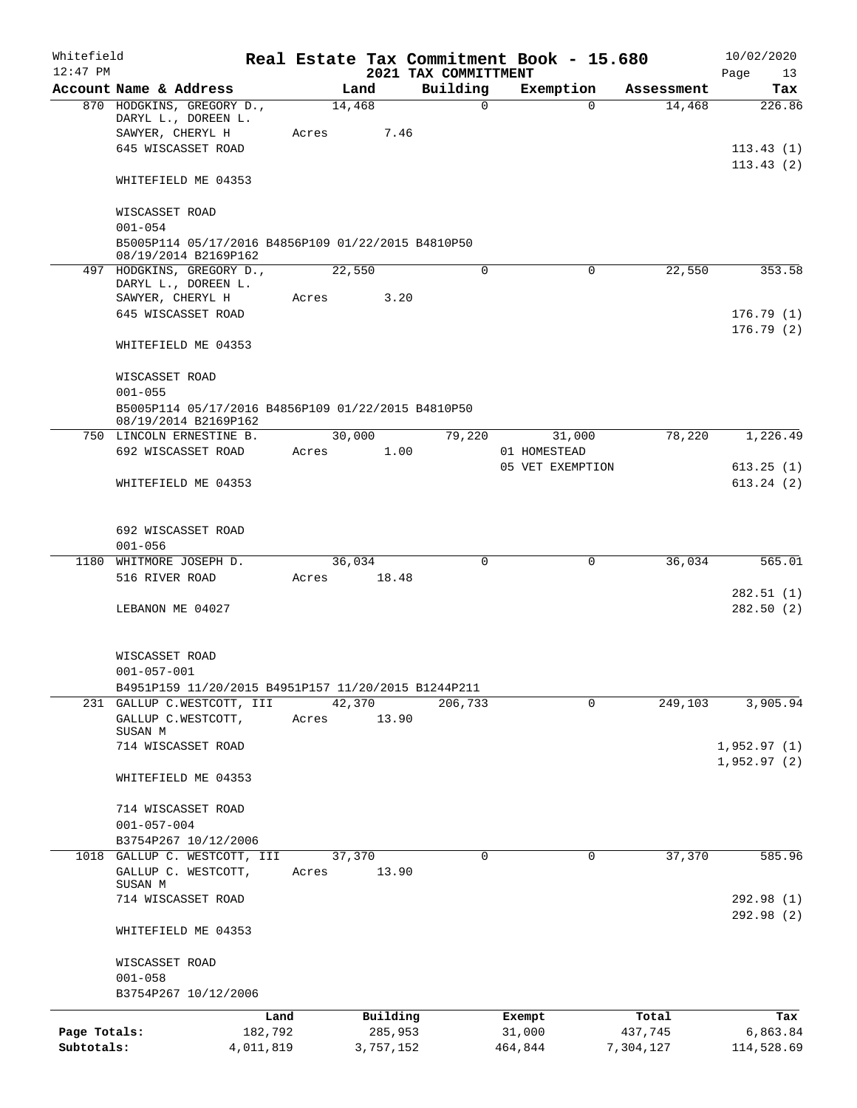| Whitefield<br>$12:47$ PM |                                                                            |           |       |        |           |                                  |          | Real Estate Tax Commitment Book - 15.680 |            | 10/02/2020        |
|--------------------------|----------------------------------------------------------------------------|-----------|-------|--------|-----------|----------------------------------|----------|------------------------------------------|------------|-------------------|
|                          | Account Name & Address                                                     |           |       | Land   |           | 2021 TAX COMMITTMENT<br>Building |          | Exemption                                | Assessment | Page<br>13<br>Tax |
|                          | 870 HODGKINS, GREGORY D.,                                                  |           |       | 14,468 |           |                                  | $\Omega$ | 0                                        | 14,468     | 226.86            |
|                          | DARYL L., DOREEN L.                                                        |           |       |        |           |                                  |          |                                          |            |                   |
|                          | SAWYER, CHERYL H                                                           |           | Acres |        | 7.46      |                                  |          |                                          |            |                   |
|                          | 645 WISCASSET ROAD                                                         |           |       |        |           |                                  |          |                                          |            | 113.43(1)         |
|                          |                                                                            |           |       |        |           |                                  |          |                                          |            | 113.43(2)         |
|                          | WHITEFIELD ME 04353                                                        |           |       |        |           |                                  |          |                                          |            |                   |
|                          | WISCASSET ROAD                                                             |           |       |        |           |                                  |          |                                          |            |                   |
|                          | $001 - 054$                                                                |           |       |        |           |                                  |          |                                          |            |                   |
|                          | B5005P114 05/17/2016 B4856P109 01/22/2015 B4810P50<br>08/19/2014 B2169P162 |           |       |        |           |                                  |          |                                          |            |                   |
|                          | 497 HODGKINS, GREGORY D.,                                                  |           |       | 22,550 |           |                                  | 0        | 0                                        | 22,550     | 353.58            |
|                          | DARYL L., DOREEN L.                                                        |           |       |        |           |                                  |          |                                          |            |                   |
|                          | SAWYER, CHERYL H                                                           |           | Acres |        | 3.20      |                                  |          |                                          |            |                   |
|                          | 645 WISCASSET ROAD                                                         |           |       |        |           |                                  |          |                                          |            | 176.79(1)         |
|                          | WHITEFIELD ME 04353                                                        |           |       |        |           |                                  |          |                                          |            | 176.79(2)         |
|                          | WISCASSET ROAD                                                             |           |       |        |           |                                  |          |                                          |            |                   |
|                          | $001 - 055$                                                                |           |       |        |           |                                  |          |                                          |            |                   |
|                          | B5005P114 05/17/2016 B4856P109 01/22/2015 B4810P50                         |           |       |        |           |                                  |          |                                          |            |                   |
|                          | 08/19/2014 B2169P162                                                       |           |       |        |           |                                  |          |                                          |            |                   |
|                          | 750 LINCOLN ERNESTINE B.                                                   |           |       | 30,000 |           | 79,220                           |          | 31,000                                   | 78,220     | 1,226.49          |
|                          | 692 WISCASSET ROAD                                                         |           | Acres |        | 1.00      |                                  |          | 01 HOMESTEAD                             |            |                   |
|                          |                                                                            |           |       |        |           |                                  |          | 05 VET EXEMPTION                         |            | 613.25(1)         |
|                          | WHITEFIELD ME 04353                                                        |           |       |        |           |                                  |          |                                          |            | 613.24(2)         |
|                          |                                                                            |           |       |        |           |                                  |          |                                          |            |                   |
|                          | 692 WISCASSET ROAD                                                         |           |       |        |           |                                  |          |                                          |            |                   |
|                          | $001 - 056$                                                                |           |       |        |           |                                  |          |                                          |            |                   |
|                          | 1180 WHITMORE JOSEPH D.                                                    |           |       | 36,034 |           |                                  | $\Omega$ | 0                                        | 36,034     | 565.01            |
|                          | 516 RIVER ROAD                                                             |           | Acres |        | 18.48     |                                  |          |                                          |            |                   |
|                          |                                                                            |           |       |        |           |                                  |          |                                          |            | 282.51(1)         |
|                          | LEBANON ME 04027                                                           |           |       |        |           |                                  |          |                                          |            | 282.50(2)         |
|                          |                                                                            |           |       |        |           |                                  |          |                                          |            |                   |
|                          | WISCASSET ROAD                                                             |           |       |        |           |                                  |          |                                          |            |                   |
|                          | $001 - 057 - 001$                                                          |           |       |        |           |                                  |          |                                          |            |                   |
|                          | B4951P159 11/20/2015 B4951P157 11/20/2015 B1244P211                        |           |       |        |           |                                  |          |                                          |            |                   |
|                          | 231 GALLUP C.WESTCOTT, III                                                 |           |       | 42,370 |           | 206,733                          |          | $\Omega$                                 | 249,103    | 3,905.94          |
|                          | GALLUP C.WESTCOTT,                                                         |           | Acres |        | 13.90     |                                  |          |                                          |            |                   |
|                          | SUSAN M<br>714 WISCASSET ROAD                                              |           |       |        |           |                                  |          |                                          |            | 1,952.97(1)       |
|                          |                                                                            |           |       |        |           |                                  |          |                                          |            | 1,952.97(2)       |
|                          | WHITEFIELD ME 04353                                                        |           |       |        |           |                                  |          |                                          |            |                   |
|                          | 714 WISCASSET ROAD                                                         |           |       |        |           |                                  |          |                                          |            |                   |
|                          | $001 - 057 - 004$                                                          |           |       |        |           |                                  |          |                                          |            |                   |
|                          | B3754P267 10/12/2006                                                       |           |       |        |           |                                  |          |                                          |            |                   |
|                          | 1018 GALLUP C. WESTCOTT, III                                               |           |       | 37,370 |           |                                  | 0        | 0                                        | 37,370     | 585.96            |
|                          | GALLUP C. WESTCOTT,<br>SUSAN M                                             |           | Acres |        | 13.90     |                                  |          |                                          |            |                   |
|                          | 714 WISCASSET ROAD                                                         |           |       |        |           |                                  |          |                                          |            | 292.98 (1)        |
|                          |                                                                            |           |       |        |           |                                  |          |                                          |            | 292.98 (2)        |
|                          | WHITEFIELD ME 04353                                                        |           |       |        |           |                                  |          |                                          |            |                   |
|                          | WISCASSET ROAD                                                             |           |       |        |           |                                  |          |                                          |            |                   |
|                          | $001 - 058$                                                                |           |       |        |           |                                  |          |                                          |            |                   |
|                          | B3754P267 10/12/2006                                                       |           |       |        |           |                                  |          |                                          |            |                   |
|                          |                                                                            | Land      |       |        | Building  |                                  |          | Exempt                                   | Total      | Tax               |
| Page Totals:             |                                                                            | 182,792   |       |        | 285,953   |                                  |          | 31,000                                   | 437,745    | 6,863.84          |
| Subtotals:               |                                                                            | 4,011,819 |       |        | 3,757,152 |                                  |          | 464,844                                  | 7,304,127  | 114,528.69        |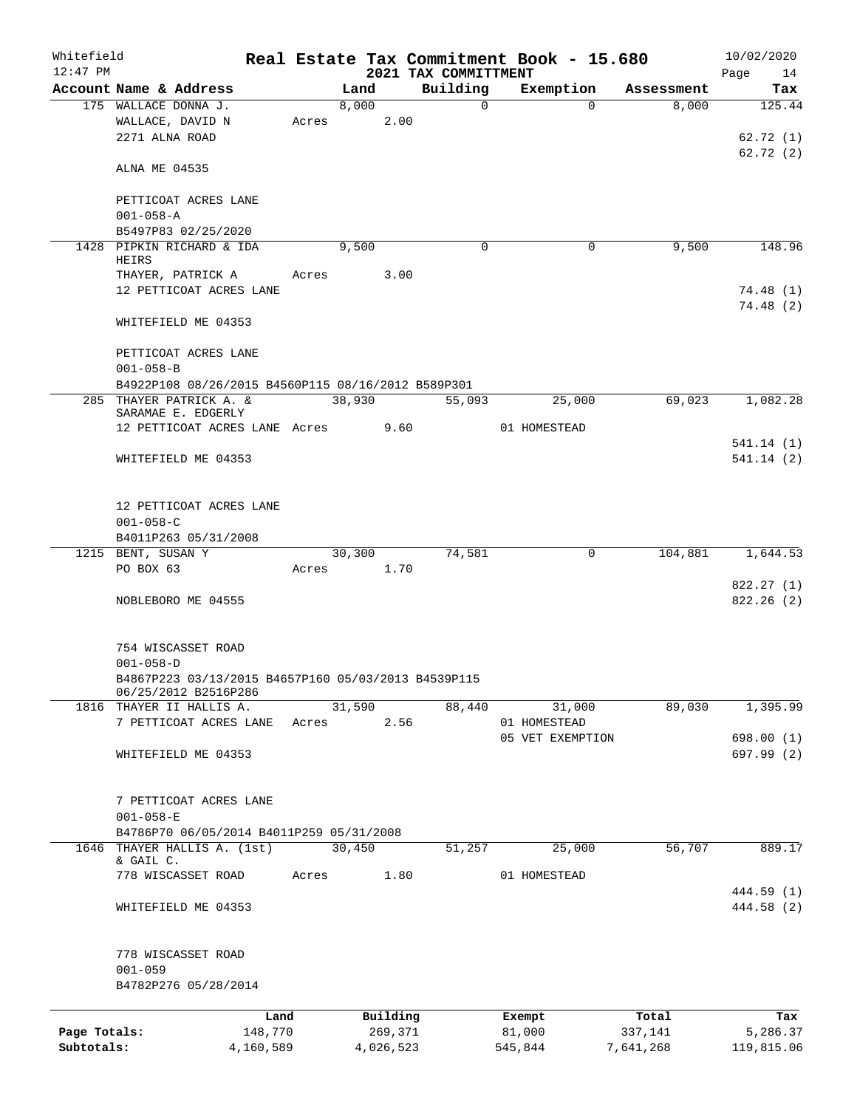| Whitefield<br>$12:47$ PM   |                                                                                              |                      |            |        |                      | 2021 TAX COMMITTMENT | Real Estate Tax Commitment Book - 15.680 |                      | 10/02/2020<br>Page 14          |
|----------------------------|----------------------------------------------------------------------------------------------|----------------------|------------|--------|----------------------|----------------------|------------------------------------------|----------------------|--------------------------------|
|                            | Account Name & Address                                                                       |                      |            | Land   |                      | Building             | Exemption                                | Assessment           | Tax                            |
|                            | 175 WALLACE DONNA J.<br>WALLACE, DAVID N<br>2271 ALNA ROAD                                   |                      | Acres 2.00 | 8,000  |                      | $\Omega$             | $\Omega$                                 | 8,000                | 125.44<br>62.72(1)<br>62.72(2) |
|                            | ALNA ME 04535                                                                                |                      |            |        |                      |                      |                                          |                      |                                |
|                            | PETTICOAT ACRES LANE<br>$001 - 058 - A$                                                      |                      |            |        |                      |                      |                                          |                      |                                |
|                            | B5497P83 02/25/2020                                                                          |                      |            |        |                      | $\Omega$             |                                          | 9,500                | 148.96                         |
|                            | 1428 PIPKIN RICHARD & IDA<br>HEIRS<br>THAYER, PATRICK A                                      |                      | Acres 3.00 | 9,500  |                      |                      | 0                                        |                      |                                |
|                            | 12 PETTICOAT ACRES LANE                                                                      |                      |            |        |                      |                      |                                          |                      | 74.48(1)<br>74.48(2)           |
|                            | WHITEFIELD ME 04353                                                                          |                      |            |        |                      |                      |                                          |                      |                                |
|                            | PETTICOAT ACRES LANE<br>$001 - 058 - B$                                                      |                      |            |        |                      |                      |                                          |                      |                                |
|                            | B4922P108 08/26/2015 B4560P115 08/16/2012 B589P301                                           |                      |            |        |                      |                      |                                          |                      |                                |
|                            | 285 THAYER PATRICK A. &<br>SARAMAE E. EDGERLY<br>12 PETTICOAT ACRES LANE Acres 9.60          |                      |            | 38,930 |                      | 55,093               | 25,000<br>01 HOMESTEAD                   | 69,023               | 1,082.28                       |
|                            | WHITEFIELD ME 04353                                                                          |                      |            |        |                      |                      |                                          |                      | 541.14(1)<br>541.14(2)         |
|                            | 12 PETTICOAT ACRES LANE<br>$001 - 058 - C$<br>B4011P263 05/31/2008                           |                      |            |        |                      |                      |                                          |                      |                                |
|                            | 1215 BENT, SUSAN Y                                                                           |                      |            |        | 30,300               | 74,581               | $\mathbf 0$                              |                      | 104,881 1,644.53               |
|                            | PO BOX 63                                                                                    |                      |            |        | Acres 1.70           |                      |                                          |                      |                                |
|                            | NOBLEBORO ME 04555                                                                           |                      |            |        |                      |                      |                                          |                      | 822.27(1)<br>822.26(2)         |
|                            | 754 WISCASSET ROAD<br>$001 - 058 - D$<br>B4867P223 03/13/2015 B4657P160 05/03/2013 B4539P115 |                      |            |        |                      |                      |                                          |                      |                                |
|                            | 06/25/2012 B2516P286                                                                         |                      |            |        |                      |                      |                                          |                      |                                |
| 1816                       | THAYER II HALLIS A.                                                                          |                      |            | 31,590 |                      | 88,440               | 31,000                                   | 89,030               | 1,395.99                       |
|                            | 7 PETTICOAT ACRES LANE                                                                       |                      | Acres      |        | 2.56                 |                      | 01 HOMESTEAD<br>05 VET EXEMPTION         |                      | 698.00(1)                      |
|                            | WHITEFIELD ME 04353                                                                          |                      |            |        |                      |                      |                                          |                      | 697.99 (2)                     |
|                            | 7 PETTICOAT ACRES LANE<br>$001 - 058 - E$                                                    |                      |            |        |                      |                      |                                          |                      |                                |
|                            | B4786P70 06/05/2014 B4011P259 05/31/2008                                                     |                      |            |        |                      |                      |                                          |                      |                                |
|                            | 1646 THAYER HALLIS A. (1st)<br>& GAIL C.                                                     |                      |            | 30,450 |                      | 51,257               | 25,000                                   | 56,707               | 889.17                         |
|                            | 778 WISCASSET ROAD                                                                           |                      | Acres      |        | 1.80                 |                      | 01 HOMESTEAD                             |                      | 444.59 (1)                     |
|                            | WHITEFIELD ME 04353                                                                          |                      |            |        |                      |                      |                                          |                      | 444.58 (2)                     |
|                            | 778 WISCASSET ROAD<br>$001 - 059$<br>B4782P276 05/28/2014                                    |                      |            |        |                      |                      |                                          |                      |                                |
|                            |                                                                                              |                      |            |        |                      |                      |                                          |                      |                                |
|                            |                                                                                              | Land                 |            |        | Building             |                      | Exempt                                   | Total                | Tax                            |
| Page Totals:<br>Subtotals: |                                                                                              | 148,770<br>4,160,589 |            |        | 269,371<br>4,026,523 |                      | 81,000<br>545,844                        | 337,141<br>7,641,268 | 5,286.37<br>119,815.06         |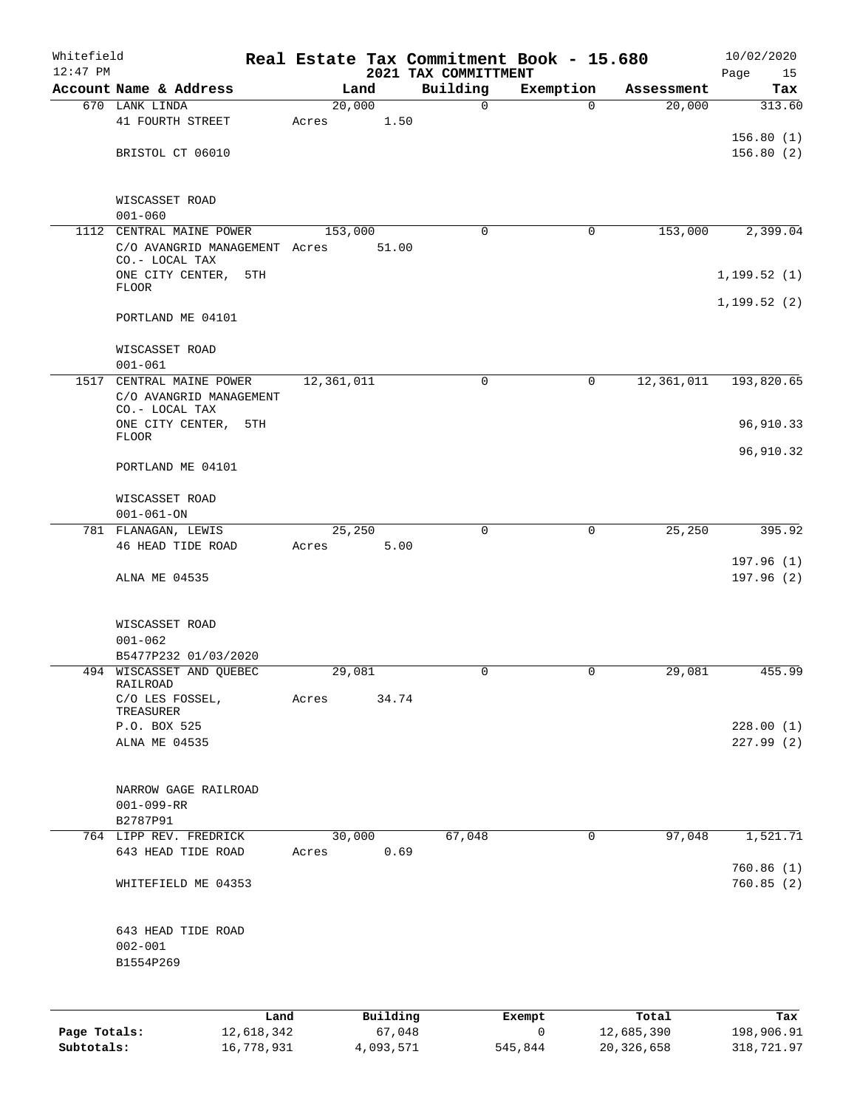| Whitefield<br>$12:47$ PM |                                                       |            |            |          | 2021 TAX COMMITTMENT | Real Estate Tax Commitment Book - 15.680 |              | 10/02/2020<br>Page<br>15 |
|--------------------------|-------------------------------------------------------|------------|------------|----------|----------------------|------------------------------------------|--------------|--------------------------|
|                          | Account Name & Address                                |            |            | Land     | Building             | Exemption                                | Assessment   | Tax                      |
|                          | 670 LANK LINDA                                        |            | 20,000     |          | $\mathbf 0$          | $\Omega$                                 | 20,000       | 313.60                   |
|                          | 41 FOURTH STREET                                      |            | Acres      | 1.50     |                      |                                          |              |                          |
|                          |                                                       |            |            |          |                      |                                          |              | 156.80(1)                |
|                          | BRISTOL CT 06010                                      |            |            |          |                      |                                          |              | 156.80(2)                |
|                          | WISCASSET ROAD<br>$001 - 060$                         |            |            |          |                      |                                          |              |                          |
| 1112                     | CENTRAL MAINE POWER                                   |            | 153,000    |          | $\mathbf 0$          | 0                                        | 153,000      | 2,399.04                 |
|                          | C/O AVANGRID MANAGEMENT Acres<br>CO.- LOCAL TAX       |            |            | 51.00    |                      |                                          |              |                          |
|                          | ONE CITY CENTER,<br><b>FLOOR</b>                      | 5TH        |            |          |                      |                                          |              | 1, 199.52(1)             |
|                          | PORTLAND ME 04101                                     |            |            |          |                      |                                          |              | 1, 199.52(2)             |
|                          | WISCASSET ROAD<br>$001 - 061$                         |            |            |          |                      |                                          |              |                          |
|                          | 1517 CENTRAL MAINE POWER                              |            | 12,361,011 |          | 0                    | 0                                        | 12, 361, 011 | 193,820.65               |
|                          | C/O AVANGRID MANAGEMENT                               |            |            |          |                      |                                          |              |                          |
|                          | CO.- LOCAL TAX<br>ONE CITY CENTER,                    | 5TH        |            |          |                      |                                          |              | 96,910.33                |
|                          | <b>FLOOR</b>                                          |            |            |          |                      |                                          |              |                          |
|                          | PORTLAND ME 04101                                     |            |            |          |                      |                                          |              | 96,910.32                |
|                          | WISCASSET ROAD<br>$001 - 061 - ON$                    |            |            |          |                      |                                          |              |                          |
|                          | 781 FLANAGAN, LEWIS                                   |            | 25,250     |          | $\mathbf 0$          | $\mathbf 0$                              | 25,250       | 395.92                   |
|                          | 46 HEAD TIDE ROAD                                     |            | Acres      | 5.00     |                      |                                          |              |                          |
|                          | ALNA ME 04535                                         |            |            |          |                      |                                          |              | 197.96(1)<br>197.96(2)   |
|                          | WISCASSET ROAD<br>$001 - 062$<br>B5477P232 01/03/2020 |            |            |          |                      |                                          |              |                          |
|                          | 494 WISCASSET AND QUEBEC                              |            | 29,081     |          | 0                    | $\mathbf 0$                              | 29,081       | 455.99                   |
|                          | RAILROAD<br>C/O LES FOSSEL,                           |            |            | 34.74    |                      |                                          |              |                          |
|                          | TREASURER                                             |            | Acres      |          |                      |                                          |              |                          |
|                          | P.O. BOX 525<br>ALNA ME 04535                         |            |            |          |                      |                                          |              | 228.00(1)<br>227.99(2)   |
|                          |                                                       |            |            |          |                      |                                          |              |                          |
|                          | NARROW GAGE RAILROAD<br>$001 - 099 - RR$<br>B2787P91  |            |            |          |                      |                                          |              |                          |
|                          | 764 LIPP REV. FREDRICK                                |            | 30,000     |          | 67,048               | 0                                        | 97,048       | 1,521.71                 |
|                          | 643 HEAD TIDE ROAD                                    |            | Acres      | 0.69     |                      |                                          |              |                          |
|                          | WHITEFIELD ME 04353                                   |            |            |          |                      |                                          |              | 760.86 (1)<br>760.85(2)  |
|                          | 643 HEAD TIDE ROAD<br>$002 - 001$<br>B1554P269        |            |            |          |                      |                                          |              |                          |
|                          |                                                       |            |            |          |                      |                                          |              |                          |
|                          |                                                       | Land       |            | Building |                      | Exempt                                   | Total        | Tax                      |
| Page Totals:             |                                                       | 12,618,342 |            | 67,048   |                      | 0                                        | 12,685,390   | 198,906.91               |

**Subtotals:** 16,778,931 4,093,571 545,844 20,326,658 318,721.97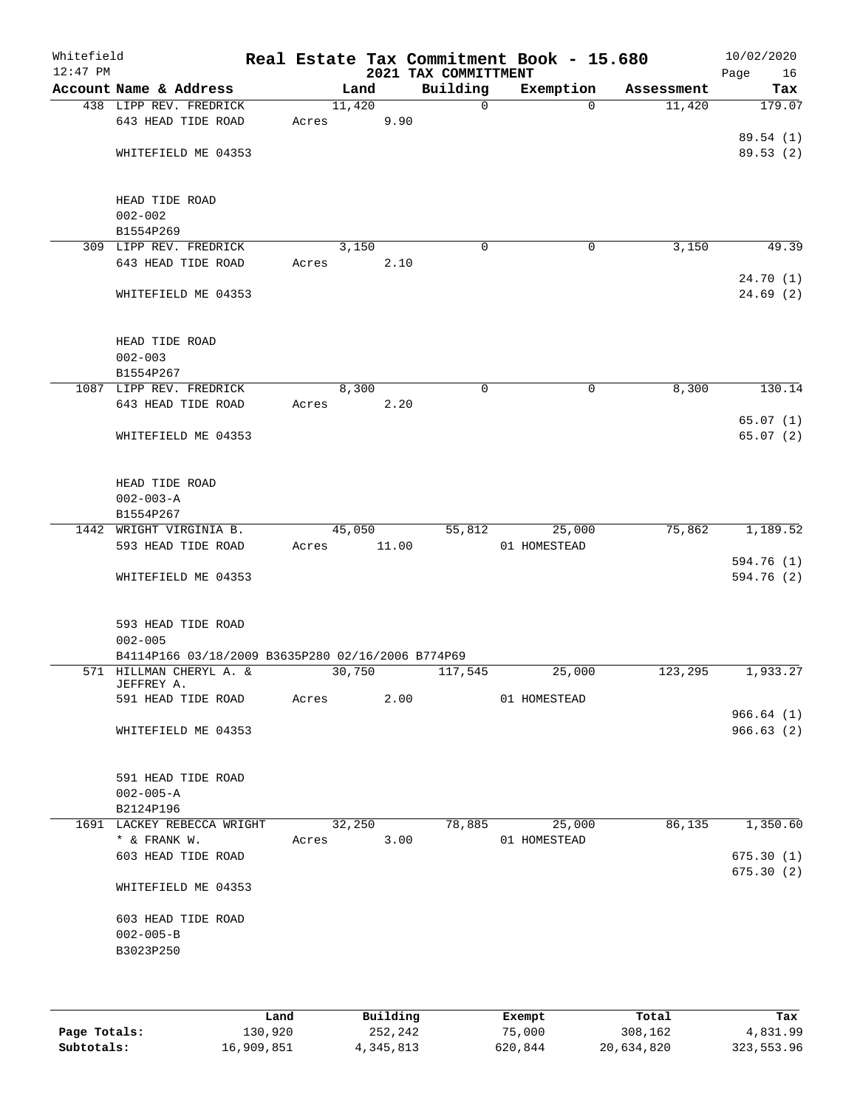| Whitefield<br>$12:47$ PM |                                                                              |       |        |       | 2021 TAX COMMITTMENT | Real Estate Tax Commitment Book - 15.680 |            | 10/02/2020<br>Page<br>16 |
|--------------------------|------------------------------------------------------------------------------|-------|--------|-------|----------------------|------------------------------------------|------------|--------------------------|
|                          | Account Name & Address                                                       |       | Land   |       | Building             | Exemption                                | Assessment | Tax                      |
|                          | 438 LIPP REV. FREDRICK                                                       |       | 11,420 |       | $\mathbf 0$          | $\Omega$                                 | 11,420     | 179.07                   |
|                          | 643 HEAD TIDE ROAD                                                           | Acres |        | 9.90  |                      |                                          |            |                          |
|                          | WHITEFIELD ME 04353                                                          |       |        |       |                      |                                          |            | 89.54 (1)<br>89.53(2)    |
|                          |                                                                              |       |        |       |                      |                                          |            |                          |
|                          | HEAD TIDE ROAD                                                               |       |        |       |                      |                                          |            |                          |
|                          | $002 - 002$                                                                  |       |        |       |                      |                                          |            |                          |
|                          | B1554P269                                                                    |       |        |       |                      |                                          |            |                          |
|                          | 309 LIPP REV. FREDRICK                                                       |       | 3,150  |       | $\mathbf 0$          | 0                                        | 3,150      | 49.39                    |
|                          | 643 HEAD TIDE ROAD                                                           | Acres |        | 2.10  |                      |                                          |            | 24.70(1)                 |
|                          | WHITEFIELD ME 04353                                                          |       |        |       |                      |                                          |            | 24.69(2)                 |
|                          | HEAD TIDE ROAD                                                               |       |        |       |                      |                                          |            |                          |
|                          | $002 - 003$                                                                  |       |        |       |                      |                                          |            |                          |
|                          | B1554P267                                                                    |       |        |       |                      |                                          |            |                          |
|                          | 1087 LIPP REV. FREDRICK                                                      |       | 8,300  |       | 0                    | 0                                        | 8,300      | 130.14                   |
|                          | 643 HEAD TIDE ROAD                                                           | Acres |        | 2.20  |                      |                                          |            |                          |
|                          | WHITEFIELD ME 04353                                                          |       |        |       |                      |                                          |            | 65.07(1)<br>65.07(2)     |
|                          | HEAD TIDE ROAD                                                               |       |        |       |                      |                                          |            |                          |
|                          | $002 - 003 - A$<br>B1554P267                                                 |       |        |       |                      |                                          |            |                          |
|                          | 1442 WRIGHT VIRGINIA B.                                                      |       | 45,050 |       | 55,812               | 25,000                                   | 75,862     | 1,189.52                 |
|                          | 593 HEAD TIDE ROAD                                                           | Acres |        | 11.00 |                      | 01 HOMESTEAD                             |            |                          |
|                          |                                                                              |       |        |       |                      |                                          |            | 594.76 (1)               |
|                          | WHITEFIELD ME 04353                                                          |       |        |       |                      |                                          |            | 594.76 (2)               |
|                          | 593 HEAD TIDE ROAD                                                           |       |        |       |                      |                                          |            |                          |
|                          | $002 - 005$                                                                  |       |        |       |                      |                                          |            |                          |
|                          | B4114P166 03/18/2009 B3635P280 02/16/2006 B774P69<br>571 HILLMAN CHERYL A. & |       | 30,750 |       | 117,545              | 25,000                                   | 123,295    | 1,933.27                 |
|                          | JEFFREY A.                                                                   |       |        |       |                      |                                          |            |                          |
|                          | 591 HEAD TIDE ROAD                                                           | Acres |        | 2.00  |                      | 01 HOMESTEAD                             |            |                          |
|                          |                                                                              |       |        |       |                      |                                          |            | 966.64(1)                |
|                          | WHITEFIELD ME 04353                                                          |       |        |       |                      |                                          |            | 966.63(2)                |
|                          | 591 HEAD TIDE ROAD                                                           |       |        |       |                      |                                          |            |                          |
|                          | $002 - 005 - A$                                                              |       |        |       |                      |                                          |            |                          |
|                          | B2124P196                                                                    |       |        |       |                      |                                          |            |                          |
|                          | 1691 LACKEY REBECCA WRIGHT                                                   |       | 32,250 |       | 78,885               | 25,000                                   | 86,135     | 1,350.60                 |
|                          | * & FRANK W.                                                                 | Acres |        | 3.00  |                      | 01 HOMESTEAD                             |            |                          |
|                          | 603 HEAD TIDE ROAD                                                           |       |        |       |                      |                                          |            | 675.30(1)                |
|                          | WHITEFIELD ME 04353                                                          |       |        |       |                      |                                          |            | 675.30(2)                |
|                          | 603 HEAD TIDE ROAD                                                           |       |        |       |                      |                                          |            |                          |
|                          | $002 - 005 - B$                                                              |       |        |       |                      |                                          |            |                          |
|                          | B3023P250                                                                    |       |        |       |                      |                                          |            |                          |
|                          |                                                                              |       |        |       |                      |                                          |            |                          |
|                          |                                                                              |       |        |       |                      |                                          |            |                          |
|                          |                                                                              |       |        |       |                      |                                          |            |                          |

|              | Land       | Building  | Exempt  | Total      | Tax        |
|--------------|------------|-----------|---------|------------|------------|
| Page Totals: | 130,920    | 252,242   | 75,000  | 308,162    | 4,831.99   |
| Subtotals:   | 16,909,851 | 4,345,813 | 620,844 | 20,634,820 | 323,553.96 |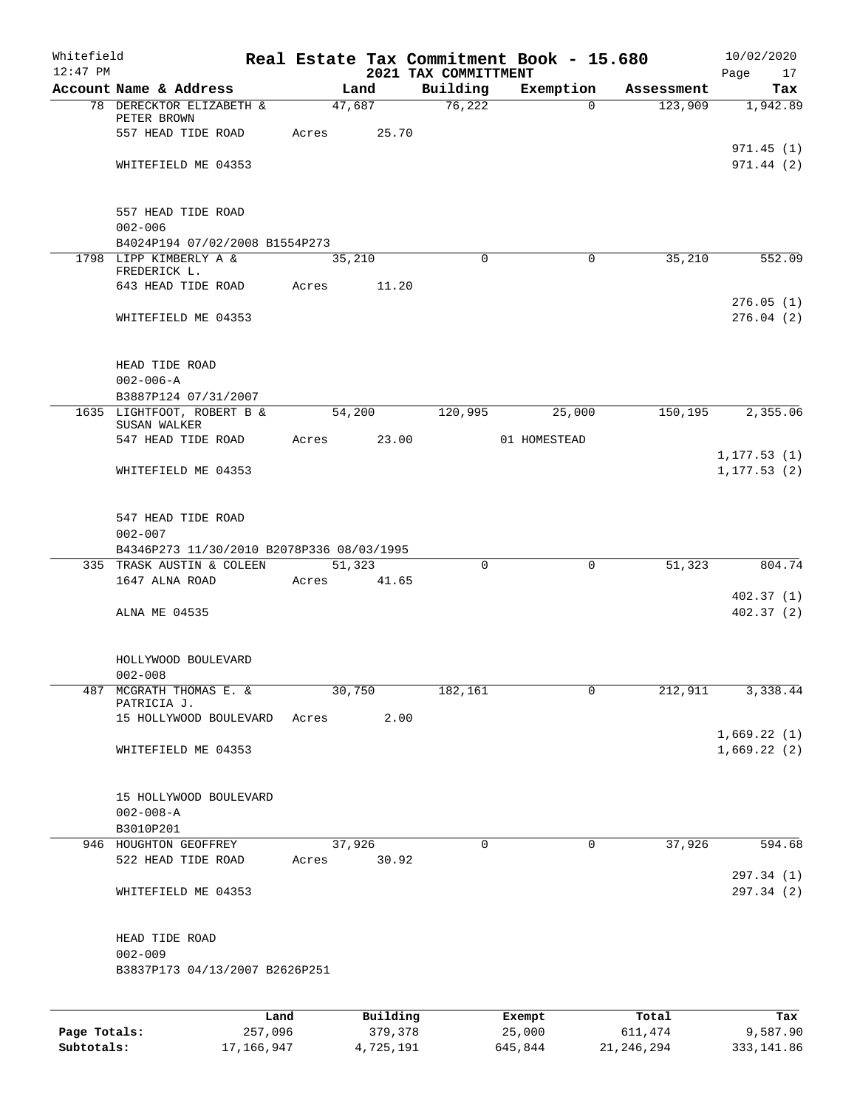| Whitefield<br>$12:47$ PM |                                                          |                 |       |        |                     | Real Estate Tax Commitment Book - 15.680<br>2021 TAX COMMITTMENT |                  |          |                  | 10/02/2020        |
|--------------------------|----------------------------------------------------------|-----------------|-------|--------|---------------------|------------------------------------------------------------------|------------------|----------|------------------|-------------------|
|                          | Account Name & Address                                   |                 |       | Land   |                     | Building                                                         | Exemption        |          | Assessment       | Page<br>17<br>Tax |
|                          | 78 DERECKTOR ELIZABETH &                                 |                 |       | 47,687 |                     | 76,222                                                           |                  | $\Omega$ | 123,909          | 1,942.89          |
|                          | PETER BROWN                                              |                 |       |        |                     |                                                                  |                  |          |                  |                   |
|                          | 557 HEAD TIDE ROAD                                       |                 | Acres |        | 25.70               |                                                                  |                  |          |                  | 971.45(1)         |
|                          | WHITEFIELD ME 04353                                      |                 |       |        |                     |                                                                  |                  |          |                  | 971.44(2)         |
|                          |                                                          |                 |       |        |                     |                                                                  |                  |          |                  |                   |
|                          |                                                          |                 |       |        |                     |                                                                  |                  |          |                  |                   |
|                          | 557 HEAD TIDE ROAD                                       |                 |       |        |                     |                                                                  |                  |          |                  |                   |
|                          | $002 - 006$<br>B4024P194 07/02/2008 B1554P273            |                 |       |        |                     |                                                                  |                  |          |                  |                   |
|                          | 1798 LIPP KIMBERLY A &                                   |                 |       | 35,210 |                     | $\Omega$                                                         |                  | 0        | 35,210           | 552.09            |
|                          | FREDERICK L.                                             |                 |       |        |                     |                                                                  |                  |          |                  |                   |
|                          | 643 HEAD TIDE ROAD                                       |                 | Acres |        | 11.20               |                                                                  |                  |          |                  | 276.05(1)         |
|                          | WHITEFIELD ME 04353                                      |                 |       |        |                     |                                                                  |                  |          |                  | 276.04(2)         |
|                          |                                                          |                 |       |        |                     |                                                                  |                  |          |                  |                   |
|                          |                                                          |                 |       |        |                     |                                                                  |                  |          |                  |                   |
|                          | HEAD TIDE ROAD                                           |                 |       |        |                     |                                                                  |                  |          |                  |                   |
|                          | $002 - 006 - A$<br>B3887P124 07/31/2007                  |                 |       |        |                     |                                                                  |                  |          |                  |                   |
|                          | 1635 LIGHTFOOT, ROBERT B &                               |                 |       | 54,200 |                     | 120,995                                                          |                  | 25,000   | 150, 195         | 2,355.06          |
|                          | SUSAN WALKER                                             |                 |       |        |                     |                                                                  |                  |          |                  |                   |
|                          | 547 HEAD TIDE ROAD                                       |                 | Acres |        | 23.00               |                                                                  | 01 HOMESTEAD     |          |                  | 1, 177.53(1)      |
|                          | WHITEFIELD ME 04353                                      |                 |       |        |                     |                                                                  |                  |          |                  | 1, 177.53(2)      |
|                          |                                                          |                 |       |        |                     |                                                                  |                  |          |                  |                   |
|                          |                                                          |                 |       |        |                     |                                                                  |                  |          |                  |                   |
|                          | 547 HEAD TIDE ROAD                                       |                 |       |        |                     |                                                                  |                  |          |                  |                   |
|                          | $002 - 007$<br>B4346P273 11/30/2010 B2078P336 08/03/1995 |                 |       |        |                     |                                                                  |                  |          |                  |                   |
|                          | 335 TRASK AUSTIN & COLEEN                                |                 |       | 51,323 |                     | $\Omega$                                                         |                  | 0        | 51,323           | 804.74            |
|                          | 1647 ALNA ROAD                                           |                 | Acres |        | 41.65               |                                                                  |                  |          |                  |                   |
|                          |                                                          |                 |       |        |                     |                                                                  |                  |          |                  | 402.37(1)         |
|                          | ALNA ME 04535                                            |                 |       |        |                     |                                                                  |                  |          |                  | 402.37 (2)        |
|                          |                                                          |                 |       |        |                     |                                                                  |                  |          |                  |                   |
|                          | HOLLYWOOD BOULEVARD                                      |                 |       |        |                     |                                                                  |                  |          |                  |                   |
|                          | $002 - 008$                                              |                 |       |        |                     |                                                                  |                  |          |                  |                   |
| 487                      | MCGRATH THOMAS E. &<br>PATRICIA J.                       |                 |       | 30,750 |                     | 182,161                                                          |                  | 0        | 212,911          | 3,338.44          |
|                          | 15 HOLLYWOOD BOULEVARD                                   |                 | Acres |        | 2.00                |                                                                  |                  |          |                  |                   |
|                          |                                                          |                 |       |        |                     |                                                                  |                  |          |                  | 1,669.22(1)       |
|                          | WHITEFIELD ME 04353                                      |                 |       |        |                     |                                                                  |                  |          |                  | 1,669.22(2)       |
|                          |                                                          |                 |       |        |                     |                                                                  |                  |          |                  |                   |
|                          | 15 HOLLYWOOD BOULEVARD                                   |                 |       |        |                     |                                                                  |                  |          |                  |                   |
|                          | $002 - 008 - A$                                          |                 |       |        |                     |                                                                  |                  |          |                  |                   |
|                          | B3010P201                                                |                 |       |        |                     |                                                                  |                  |          |                  |                   |
|                          | 946 HOUGHTON GEOFFREY                                    |                 |       | 37,926 |                     | $\mathbf 0$                                                      |                  | 0        | 37,926           | 594.68            |
|                          | 522 HEAD TIDE ROAD                                       |                 | Acres |        | 30.92               |                                                                  |                  |          |                  | 297.34 (1)        |
|                          | WHITEFIELD ME 04353                                      |                 |       |        |                     |                                                                  |                  |          |                  | 297.34 (2)        |
|                          |                                                          |                 |       |        |                     |                                                                  |                  |          |                  |                   |
|                          |                                                          |                 |       |        |                     |                                                                  |                  |          |                  |                   |
|                          | HEAD TIDE ROAD                                           |                 |       |        |                     |                                                                  |                  |          |                  |                   |
|                          | $002 - 009$<br>B3837P173 04/13/2007 B2626P251            |                 |       |        |                     |                                                                  |                  |          |                  |                   |
|                          |                                                          |                 |       |        |                     |                                                                  |                  |          |                  |                   |
|                          |                                                          |                 |       |        |                     |                                                                  |                  |          |                  |                   |
| Page Totals:             |                                                          | Land<br>257,096 |       |        | Building<br>379,378 |                                                                  | Exempt<br>25,000 |          | Total<br>611,474 | Tax<br>9,587.90   |
|                          |                                                          |                 |       |        |                     |                                                                  |                  |          |                  |                   |

**Subtotals:** 17,166,947 4,725,191 645,844 21,246,294 333,141.86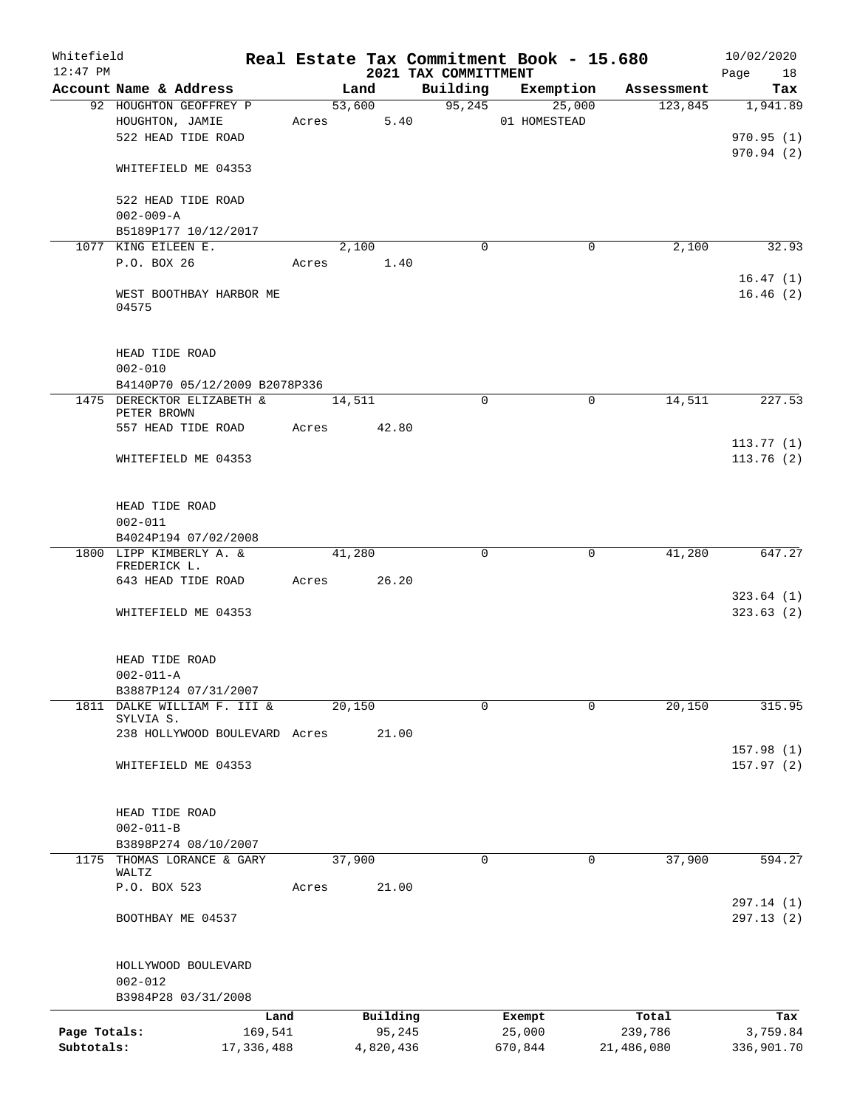| Whitefield<br>$12:47$ PM |                                                             |            |       |             |      | 2021 TAX COMMITTMENT | Real Estate Tax Commitment Book - 15.680 |            | 10/02/2020<br>18<br>Page |
|--------------------------|-------------------------------------------------------------|------------|-------|-------------|------|----------------------|------------------------------------------|------------|--------------------------|
|                          | Account Name & Address                                      |            |       | Land        |      |                      | Building Exemption                       | Assessment | Tax                      |
|                          | 92 HOUGHTON GEOFFREY P                                      |            |       | 53,600      |      | 95, 245              | 25,000                                   | 123,845    | 1,941.89                 |
|                          | HOUGHTON, JAMIE                                             |            | Acres |             | 5.40 |                      | 01 HOMESTEAD                             |            |                          |
|                          | 522 HEAD TIDE ROAD                                          |            |       |             |      |                      |                                          |            | 970.95(1)                |
|                          |                                                             |            |       |             |      |                      |                                          |            | 970.94(2)                |
|                          | WHITEFIELD ME 04353                                         |            |       |             |      |                      |                                          |            |                          |
|                          |                                                             |            |       |             |      |                      |                                          |            |                          |
|                          | 522 HEAD TIDE ROAD                                          |            |       |             |      |                      |                                          |            |                          |
|                          | $002 - 009 - A$                                             |            |       |             |      |                      |                                          |            |                          |
|                          | B5189P177 10/12/2017                                        |            |       |             |      |                      |                                          |            |                          |
|                          | 1077 KING EILEEN E.                                         |            |       | 2,100       |      | 0                    | 0                                        | 2,100      | 32.93                    |
|                          | P.O. BOX 26                                                 |            | Acres |             | 1.40 |                      |                                          |            |                          |
|                          |                                                             |            |       |             |      |                      |                                          |            | 16.47(1)                 |
|                          | WEST BOOTHBAY HARBOR ME                                     |            |       |             |      |                      |                                          |            | 16.46(2)                 |
|                          | 04575                                                       |            |       |             |      |                      |                                          |            |                          |
|                          |                                                             |            |       |             |      |                      |                                          |            |                          |
|                          |                                                             |            |       |             |      |                      |                                          |            |                          |
|                          | HEAD TIDE ROAD                                              |            |       |             |      |                      |                                          |            |                          |
|                          | $002 - 010$                                                 |            |       |             |      |                      |                                          |            |                          |
|                          | B4140P70 05/12/2009 B2078P336<br>1475 DERECKTOR ELIZABETH & |            |       |             |      | $\Omega$             | 0                                        | 14,511     |                          |
|                          | PETER BROWN                                                 |            |       | 14,511      |      |                      |                                          |            | 227.53                   |
|                          | 557 HEAD TIDE ROAD                                          |            | Acres | 42.80       |      |                      |                                          |            |                          |
|                          |                                                             |            |       |             |      |                      |                                          |            | 113.77(1)                |
|                          | WHITEFIELD ME 04353                                         |            |       |             |      |                      |                                          |            | 113.76(2)                |
|                          |                                                             |            |       |             |      |                      |                                          |            |                          |
|                          |                                                             |            |       |             |      |                      |                                          |            |                          |
|                          | HEAD TIDE ROAD                                              |            |       |             |      |                      |                                          |            |                          |
|                          | $002 - 011$                                                 |            |       |             |      |                      |                                          |            |                          |
|                          | B4024P194 07/02/2008                                        |            |       |             |      |                      |                                          |            |                          |
|                          | 1800 LIPP KIMBERLY A. &                                     |            |       | 41,280      |      | 0                    | 0                                        | 41,280     | 647.27                   |
|                          | FREDERICK L.                                                |            |       |             |      |                      |                                          |            |                          |
|                          | 643 HEAD TIDE ROAD                                          |            |       | Acres 26.20 |      |                      |                                          |            |                          |
|                          |                                                             |            |       |             |      |                      |                                          |            | 323.64(1)                |
|                          | WHITEFIELD ME 04353                                         |            |       |             |      |                      |                                          |            | 323.63(2)                |
|                          |                                                             |            |       |             |      |                      |                                          |            |                          |
|                          |                                                             |            |       |             |      |                      |                                          |            |                          |
|                          | HEAD TIDE ROAD                                              |            |       |             |      |                      |                                          |            |                          |
|                          | $002 - 011 - A$                                             |            |       |             |      |                      |                                          |            |                          |
|                          | B3887P124 07/31/2007<br>1811 DALKE WILLIAM F. III &         |            |       | 20,150      |      | $\Omega$             | $\Omega$                                 | 20,150     | 315.95                   |
|                          | SYLVIA S.                                                   |            |       |             |      |                      |                                          |            |                          |
|                          | 238 HOLLYWOOD BOULEVARD Acres                               |            |       | 21.00       |      |                      |                                          |            |                          |
|                          |                                                             |            |       |             |      |                      |                                          |            | 157.98 (1)               |
|                          | WHITEFIELD ME 04353                                         |            |       |             |      |                      |                                          |            | 157.97(2)                |
|                          |                                                             |            |       |             |      |                      |                                          |            |                          |
|                          |                                                             |            |       |             |      |                      |                                          |            |                          |
|                          | HEAD TIDE ROAD                                              |            |       |             |      |                      |                                          |            |                          |
|                          | $002 - 011 - B$                                             |            |       |             |      |                      |                                          |            |                          |
|                          | B3898P274 08/10/2007                                        |            |       |             |      |                      |                                          |            |                          |
|                          | 1175 THOMAS LORANCE & GARY                                  |            |       | 37,900      |      | $\mathbf 0$          | 0                                        | 37,900     | 594.27                   |
|                          | WALTZ                                                       |            |       |             |      |                      |                                          |            |                          |
|                          | P.O. BOX 523                                                |            | Acres | 21.00       |      |                      |                                          |            |                          |
|                          |                                                             |            |       |             |      |                      |                                          |            | 297.14 (1)               |
|                          | BOOTHBAY ME 04537                                           |            |       |             |      |                      |                                          |            | 297.13(2)                |
|                          |                                                             |            |       |             |      |                      |                                          |            |                          |
|                          |                                                             |            |       |             |      |                      |                                          |            |                          |
|                          | HOLLYWOOD BOULEVARD<br>$002 - 012$                          |            |       |             |      |                      |                                          |            |                          |
|                          | B3984P28 03/31/2008                                         |            |       |             |      |                      |                                          |            |                          |
|                          |                                                             |            |       |             |      |                      |                                          |            |                          |
|                          |                                                             | Land       |       | Building    |      |                      | Exempt                                   | Total      | Tax                      |
| Page Totals:             |                                                             | 169,541    |       | 95,245      |      |                      | 25,000                                   | 239,786    | 3,759.84                 |
| Subtotals:               |                                                             | 17,336,488 |       | 4,820,436   |      |                      | 670,844                                  | 21,486,080 | 336,901.70               |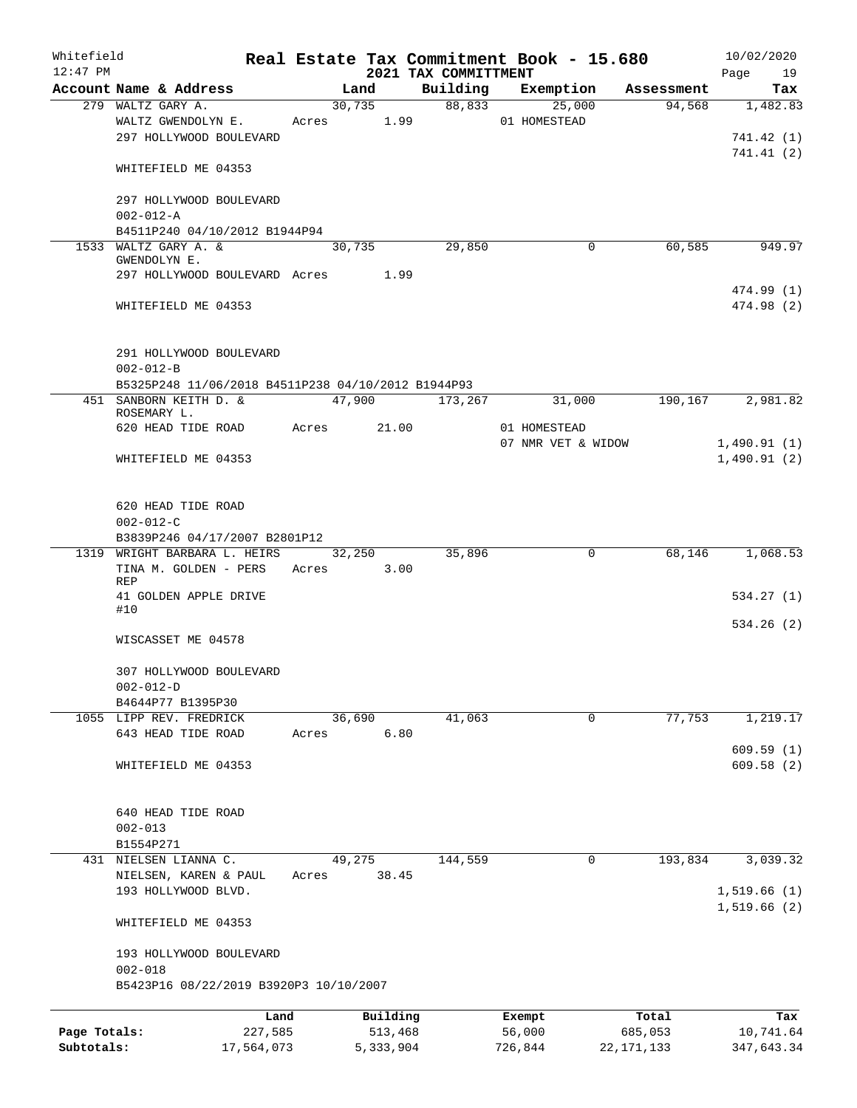| Whitefield<br>$12:47$ PM |                                                    |            |             |        |            | Real Estate Tax Commitment Book - 15.680<br>2021 TAX COMMITTMENT |                    |              |            | 10/02/2020<br>Page<br>19 |
|--------------------------|----------------------------------------------------|------------|-------------|--------|------------|------------------------------------------------------------------|--------------------|--------------|------------|--------------------------|
|                          | Account Name & Address                             |            |             | Land   |            | Building                                                         | Exemption          |              | Assessment | Tax                      |
|                          | 279 WALTZ GARY A.                                  |            |             |        | 30,735     | 88,833                                                           | 25,000             |              | 94,568     | 1,482.83                 |
|                          | WALTZ GWENDOLYN E.                                 |            |             |        | Acres 1.99 |                                                                  | 01 HOMESTEAD       |              |            |                          |
|                          | 297 HOLLYWOOD BOULEVARD                            |            |             |        |            |                                                                  |                    |              |            | 741.42 (1)               |
|                          |                                                    |            |             |        |            |                                                                  |                    |              |            | 741.41(2)                |
|                          | WHITEFIELD ME 04353                                |            |             |        |            |                                                                  |                    |              |            |                          |
|                          | 297 HOLLYWOOD BOULEVARD                            |            |             |        |            |                                                                  |                    |              |            |                          |
|                          | $002 - 012 - A$                                    |            |             |        |            |                                                                  |                    |              |            |                          |
|                          | B4511P240 04/10/2012 B1944P94                      |            |             |        |            |                                                                  |                    |              |            |                          |
|                          | 1533 WALTZ GARY A. &                               |            |             | 30,735 |            | 29,850                                                           | $\mathbf 0$        |              | 60,585     | 949.97                   |
|                          | GWENDOLYN E.                                       |            |             |        |            |                                                                  |                    |              |            |                          |
|                          | 297 HOLLYWOOD BOULEVARD Acres 1.99                 |            |             |        |            |                                                                  |                    |              |            |                          |
|                          |                                                    |            |             |        |            |                                                                  |                    |              |            | 474.99 (1)               |
|                          | WHITEFIELD ME 04353                                |            |             |        |            |                                                                  |                    |              |            | 474.98 (2)               |
|                          |                                                    |            |             |        |            |                                                                  |                    |              |            |                          |
|                          | 291 HOLLYWOOD BOULEVARD<br>$002 - 012 - B$         |            |             |        |            |                                                                  |                    |              |            |                          |
|                          | B5325P248 11/06/2018 B4511P238 04/10/2012 B1944P93 |            |             |        |            |                                                                  |                    |              |            |                          |
|                          | 451 SANBORN KEITH D. &                             |            |             |        |            | 47,900 173,267                                                   | 31,000             |              | 190,167    | 2,981.82                 |
|                          | ROSEMARY L.                                        |            |             |        |            |                                                                  |                    |              |            |                          |
|                          | 620 HEAD TIDE ROAD                                 |            | Acres 21.00 |        |            |                                                                  | 01 HOMESTEAD       |              |            |                          |
|                          |                                                    |            |             |        |            |                                                                  | 07 NMR VET & WIDOW |              |            | 1,490.91(1)              |
|                          | WHITEFIELD ME 04353                                |            |             |        |            |                                                                  |                    |              |            | 1,490.91(2)              |
|                          |                                                    |            |             |        |            |                                                                  |                    |              |            |                          |
|                          | 620 HEAD TIDE ROAD                                 |            |             |        |            |                                                                  |                    |              |            |                          |
|                          | $002 - 012 - C$                                    |            |             |        |            |                                                                  |                    |              |            |                          |
|                          | B3839P246 04/17/2007 B2801P12                      |            |             |        |            |                                                                  |                    |              |            |                          |
|                          | 1319 WRIGHT BARBARA L. HEIRS                       |            |             |        | 32,250     | 35,896                                                           | $\mathbf 0$        |              | 68,146     | 1,068.53                 |
|                          | TINA M. GOLDEN - PERS                              |            | Acres 3.00  |        |            |                                                                  |                    |              |            |                          |
|                          | <b>REP</b>                                         |            |             |        |            |                                                                  |                    |              |            |                          |
|                          | 41 GOLDEN APPLE DRIVE<br>#10                       |            |             |        |            |                                                                  |                    |              |            | 534.27(1)                |
|                          |                                                    |            |             |        |            |                                                                  |                    |              |            | 534.26(2)                |
|                          | WISCASSET ME 04578                                 |            |             |        |            |                                                                  |                    |              |            |                          |
|                          |                                                    |            |             |        |            |                                                                  |                    |              |            |                          |
|                          | 307 HOLLYWOOD BOULEVARD                            |            |             |        |            |                                                                  |                    |              |            |                          |
|                          | $002 - 012 - D$                                    |            |             |        |            |                                                                  |                    |              |            |                          |
|                          | B4644P77 B1395P30                                  |            |             |        |            |                                                                  | 0                  |              | 77,753     |                          |
|                          | 1055 LIPP REV. FREDRICK<br>643 HEAD TIDE ROAD      |            | Acres       | 36,690 | 6.80       | 41,063                                                           |                    |              |            | 1,219.17                 |
|                          |                                                    |            |             |        |            |                                                                  |                    |              |            | 609.59(1)                |
|                          | WHITEFIELD ME 04353                                |            |             |        |            |                                                                  |                    |              |            | 609.58(2)                |
|                          |                                                    |            |             |        |            |                                                                  |                    |              |            |                          |
|                          |                                                    |            |             |        |            |                                                                  |                    |              |            |                          |
|                          | 640 HEAD TIDE ROAD                                 |            |             |        |            |                                                                  |                    |              |            |                          |
|                          | $002 - 013$                                        |            |             |        |            |                                                                  |                    |              |            |                          |
|                          | B1554P271                                          |            |             |        |            |                                                                  |                    |              |            |                          |
|                          | 431 NIELSEN LIANNA C.                              |            |             | 49,275 |            | 144,559                                                          | $\mathbf 0$        |              | 193,834    | 3,039.32                 |
|                          | NIELSEN, KAREN & PAUL<br>193 HOLLYWOOD BLVD.       |            | Acres       |        | 38.45      |                                                                  |                    |              |            | 1,519.66(1)              |
|                          |                                                    |            |             |        |            |                                                                  |                    |              |            | 1,519.66(2)              |
|                          | WHITEFIELD ME 04353                                |            |             |        |            |                                                                  |                    |              |            |                          |
|                          | 193 HOLLYWOOD BOULEVARD                            |            |             |        |            |                                                                  |                    |              |            |                          |
|                          | $002 - 018$                                        |            |             |        |            |                                                                  |                    |              |            |                          |
|                          | B5423P16 08/22/2019 B3920P3 10/10/2007             |            |             |        |            |                                                                  |                    |              |            |                          |
|                          |                                                    | Land       |             |        | Building   |                                                                  | Exempt             |              | Total      | Tax                      |
| Page Totals:             |                                                    | 227,585    |             |        | 513,468    |                                                                  | 56,000             | 685,053      |            | 10,741.64                |
| Subtotals:               |                                                    | 17,564,073 |             |        | 5,333,904  |                                                                  | 726,844            | 22, 171, 133 |            | 347,643.34               |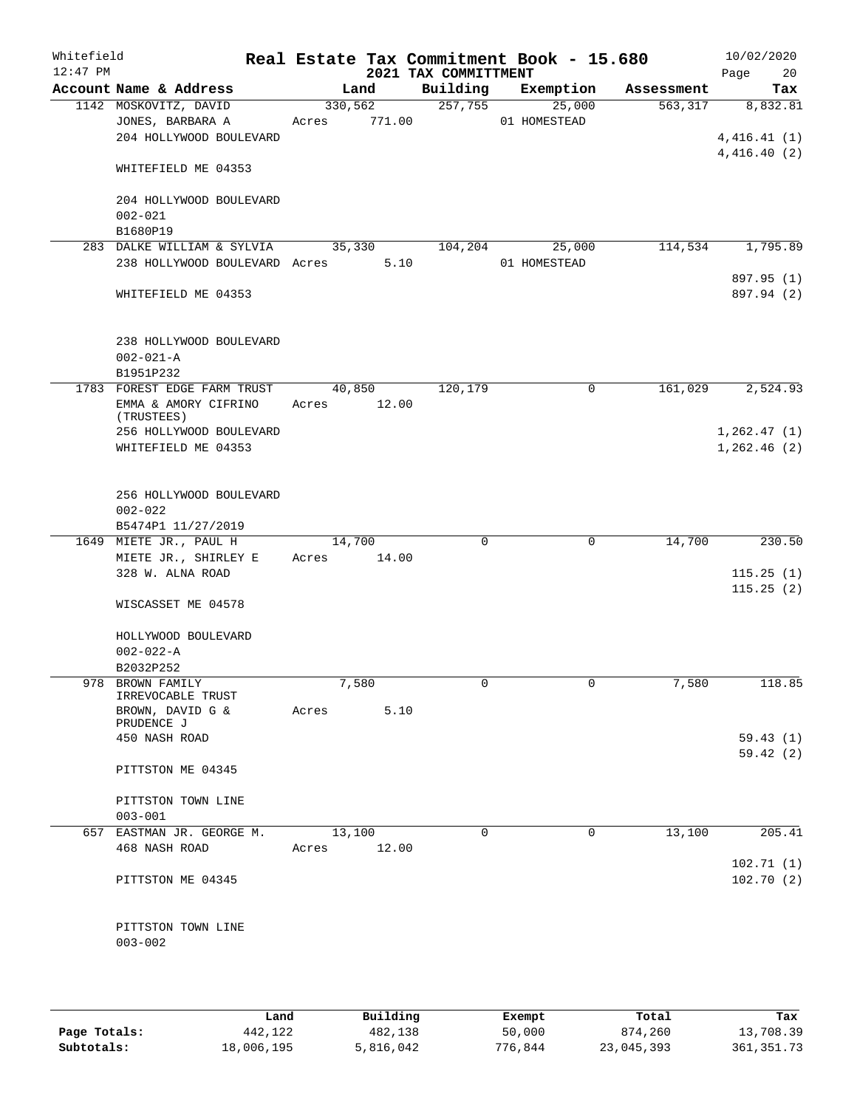| Whitefield<br>$12:47$ PM |                                |       |             | 2021 TAX COMMITTMENT |          | Real Estate Tax Commitment Book - 15.680 |            | 10/02/2020<br>20<br>Page |
|--------------------------|--------------------------------|-------|-------------|----------------------|----------|------------------------------------------|------------|--------------------------|
|                          | Account Name & Address         |       | Land        | Building             |          | Exemption                                | Assessment | Tax                      |
|                          | 1142 MOSKOVITZ, DAVID          |       | 330,562     | 257,755              |          | 25,000                                   | 563, 317   | 8,832.81                 |
|                          | JONES, BARBARA A               | Acres | 771.00      |                      |          | 01 HOMESTEAD                             |            |                          |
|                          | 204 HOLLYWOOD BOULEVARD        |       |             |                      |          |                                          |            | 4,416.41(1)              |
|                          |                                |       |             |                      |          |                                          |            | 4,416.40(2)              |
|                          | WHITEFIELD ME 04353            |       |             |                      |          |                                          |            |                          |
|                          |                                |       |             |                      |          |                                          |            |                          |
|                          | 204 HOLLYWOOD BOULEVARD        |       |             |                      |          |                                          |            |                          |
|                          | $002 - 021$                    |       |             |                      |          |                                          |            |                          |
|                          | B1680P19                       |       |             |                      |          |                                          |            |                          |
|                          | 283 DALKE WILLIAM & SYLVIA     |       | 35,330      | 104,204              |          | 25,000                                   | 114,534    | 1,795.89                 |
|                          | 238 HOLLYWOOD BOULEVARD Acres  |       | 5.10        |                      |          | 01 HOMESTEAD                             |            |                          |
|                          |                                |       |             |                      |          |                                          |            | 897.95 (1)               |
|                          | WHITEFIELD ME 04353            |       |             |                      |          |                                          |            | 897.94 (2)               |
|                          |                                |       |             |                      |          |                                          |            |                          |
|                          |                                |       |             |                      |          |                                          |            |                          |
|                          | 238 HOLLYWOOD BOULEVARD        |       |             |                      |          |                                          |            |                          |
|                          | $002 - 021 - A$                |       |             |                      |          |                                          |            |                          |
|                          | B1951P232                      |       |             |                      |          |                                          |            |                          |
|                          | 1783 FOREST EDGE FARM TRUST    |       | 40,850      | 120,179              |          | 0                                        | 161,029    | 2,524.93                 |
|                          | EMMA & AMORY CIFRINO           |       | Acres 12.00 |                      |          |                                          |            |                          |
|                          | (TRUSTEES)                     |       |             |                      |          |                                          |            |                          |
|                          | 256 HOLLYWOOD BOULEVARD        |       |             |                      |          |                                          |            | 1, 262.47(1)             |
|                          | WHITEFIELD ME 04353            |       |             |                      |          |                                          |            | 1,262.46(2)              |
|                          |                                |       |             |                      |          |                                          |            |                          |
|                          |                                |       |             |                      |          |                                          |            |                          |
|                          | 256 HOLLYWOOD BOULEVARD        |       |             |                      |          |                                          |            |                          |
|                          | $002 - 022$                    |       |             |                      |          |                                          |            |                          |
|                          | B5474P1 11/27/2019             |       |             |                      |          |                                          |            |                          |
|                          | 1649 MIETE JR., PAUL H         |       | 14,700      |                      | $\Omega$ | $\mathbf 0$                              | 14,700     | 230.50                   |
|                          | MIETE JR., SHIRLEY E           | Acres | 14.00       |                      |          |                                          |            |                          |
|                          | 328 W. ALNA ROAD               |       |             |                      |          |                                          |            | 115.25(1)                |
|                          |                                |       |             |                      |          |                                          |            | 115.25(2)                |
|                          | WISCASSET ME 04578             |       |             |                      |          |                                          |            |                          |
|                          |                                |       |             |                      |          |                                          |            |                          |
|                          | HOLLYWOOD BOULEVARD            |       |             |                      |          |                                          |            |                          |
|                          | $002 - 022 - A$                |       |             |                      |          |                                          |            |                          |
|                          | B2032P252                      |       |             |                      |          |                                          |            |                          |
|                          | 978 BROWN FAMILY               |       | 7,580       |                      | 0        | 0                                        | 7,580      | 118.85                   |
|                          | IRREVOCABLE TRUST              |       | 5.10        |                      |          |                                          |            |                          |
|                          | BROWN, DAVID G &<br>PRUDENCE J | Acres |             |                      |          |                                          |            |                          |
|                          | 450 NASH ROAD                  |       |             |                      |          |                                          |            | 59.43 (1)                |
|                          |                                |       |             |                      |          |                                          |            | 59.42(2)                 |
|                          | PITTSTON ME 04345              |       |             |                      |          |                                          |            |                          |
|                          |                                |       |             |                      |          |                                          |            |                          |
|                          | PITTSTON TOWN LINE             |       |             |                      |          |                                          |            |                          |
|                          | $003 - 001$                    |       |             |                      |          |                                          |            |                          |
|                          | 657 EASTMAN JR. GEORGE M.      |       | 13,100      |                      | 0        | 0                                        | 13,100     | 205.41                   |
|                          | 468 NASH ROAD                  | Acres | 12.00       |                      |          |                                          |            |                          |
|                          |                                |       |             |                      |          |                                          |            | 102.71(1)                |
|                          | PITTSTON ME 04345              |       |             |                      |          |                                          |            | 102.70(2)                |
|                          |                                |       |             |                      |          |                                          |            |                          |
|                          |                                |       |             |                      |          |                                          |            |                          |
|                          | PITTSTON TOWN LINE             |       |             |                      |          |                                          |            |                          |
|                          | $003 - 002$                    |       |             |                      |          |                                          |            |                          |
|                          |                                |       |             |                      |          |                                          |            |                          |
|                          |                                |       |             |                      |          |                                          |            |                          |
|                          |                                |       |             |                      |          |                                          |            |                          |

|              | Land       | Building  | Exempt  | Total      | Tax         |
|--------------|------------|-----------|---------|------------|-------------|
| Page Totals: | 442,122    | 482,138   | 50,000  | 874,260    | 13,708.39   |
| Subtotals:   | 18,006,195 | 5,816,042 | 776,844 | 23,045,393 | 361, 351.73 |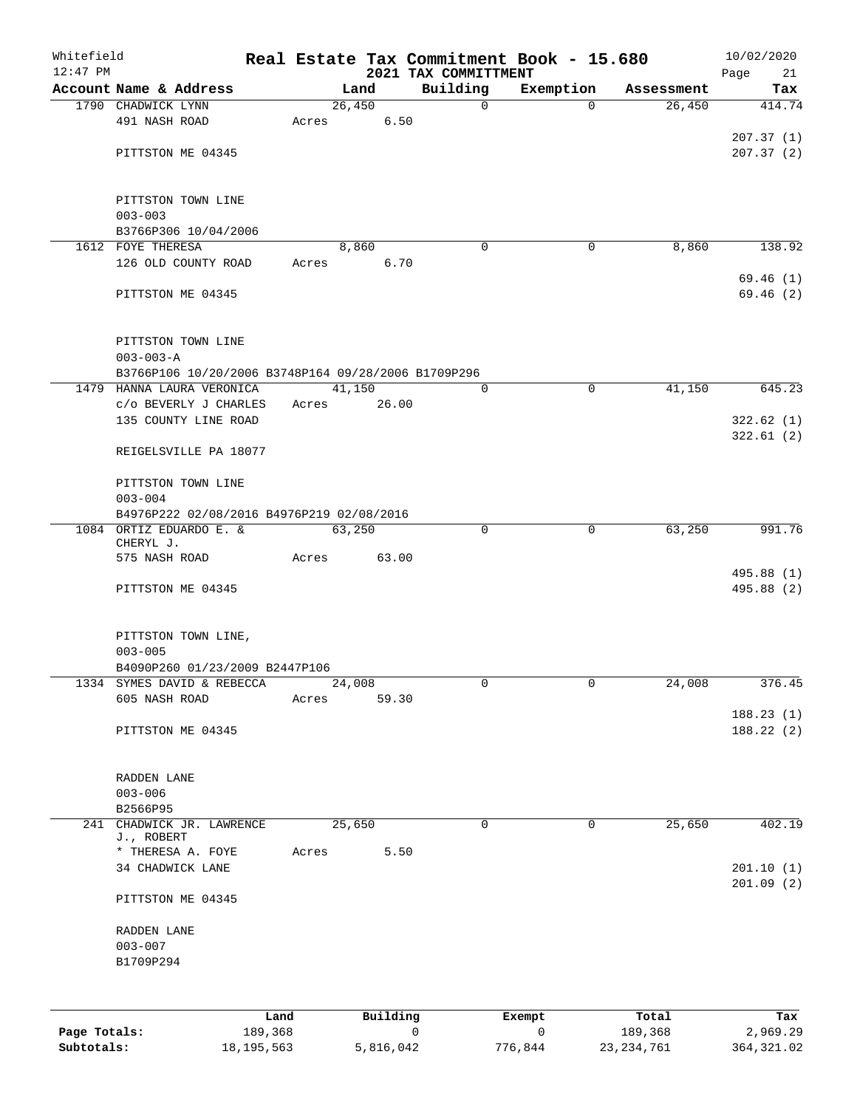| Whitefield |                                                     |      |       |        |          |                                  | Real Estate Tax Commitment Book - 15.680 |            | 10/02/2020               |
|------------|-----------------------------------------------------|------|-------|--------|----------|----------------------------------|------------------------------------------|------------|--------------------------|
| $12:47$ PM | Account Name & Address                              |      |       | Land   |          | 2021 TAX COMMITTMENT<br>Building | Exemption                                | Assessment | 21<br>Page               |
|            | 1790 CHADWICK LYNN                                  |      |       | 26,450 |          | $\mathbf 0$                      | $\Omega$                                 | 26,450     | Tax<br>414.74            |
|            | 491 NASH ROAD                                       |      | Acres |        | 6.50     |                                  |                                          |            |                          |
|            |                                                     |      |       |        |          |                                  |                                          |            | 207.37(1)                |
|            | PITTSTON ME 04345                                   |      |       |        |          |                                  |                                          |            | 207.37(2)                |
|            |                                                     |      |       |        |          |                                  |                                          |            |                          |
|            | PITTSTON TOWN LINE                                  |      |       |        |          |                                  |                                          |            |                          |
|            | $003 - 003$                                         |      |       |        |          |                                  |                                          |            |                          |
|            | B3766P306 10/04/2006                                |      |       |        |          |                                  |                                          |            |                          |
|            | 1612 FOYE THERESA                                   |      |       | 8,860  |          | 0                                | 0                                        | 8,860      | 138.92                   |
|            | 126 OLD COUNTY ROAD                                 |      | Acres |        | 6.70     |                                  |                                          |            |                          |
|            |                                                     |      |       |        |          |                                  |                                          |            | 69.46(1)                 |
|            | PITTSTON ME 04345                                   |      |       |        |          |                                  |                                          |            | 69.46(2)                 |
|            | PITTSTON TOWN LINE                                  |      |       |        |          |                                  |                                          |            |                          |
|            | $003 - 003 - A$                                     |      |       |        |          |                                  |                                          |            |                          |
|            | B3766P106 10/20/2006 B3748P164 09/28/2006 B1709P296 |      |       |        |          |                                  |                                          |            |                          |
|            | 1479 HANNA LAURA VERONICA                           |      |       | 41,150 |          | 0                                | $\mathbf 0$                              | 41,150     | 645.23                   |
|            | C/O BEVERLY J CHARLES                               |      | Acres |        | 26.00    |                                  |                                          |            |                          |
|            | 135 COUNTY LINE ROAD                                |      |       |        |          |                                  |                                          |            | 322.62(1)                |
|            |                                                     |      |       |        |          |                                  |                                          |            | 322.61(2)                |
|            | REIGELSVILLE PA 18077                               |      |       |        |          |                                  |                                          |            |                          |
|            | PITTSTON TOWN LINE                                  |      |       |        |          |                                  |                                          |            |                          |
|            | $003 - 004$                                         |      |       |        |          |                                  |                                          |            |                          |
|            | B4976P222 02/08/2016 B4976P219 02/08/2016           |      |       |        |          |                                  |                                          |            |                          |
|            | 1084 ORTIZ EDUARDO E. &                             |      |       | 63,250 |          | $\Omega$                         | $\mathbf 0$                              | 63,250     | 991.76                   |
|            | CHERYL J.                                           |      |       |        |          |                                  |                                          |            |                          |
|            | 575 NASH ROAD                                       |      | Acres |        | 63.00    |                                  |                                          |            |                          |
|            | PITTSTON ME 04345                                   |      |       |        |          |                                  |                                          |            | 495.88 (1)<br>495.88 (2) |
|            |                                                     |      |       |        |          |                                  |                                          |            |                          |
|            | PITTSTON TOWN LINE,                                 |      |       |        |          |                                  |                                          |            |                          |
|            | $003 - 005$                                         |      |       |        |          |                                  |                                          |            |                          |
|            | B4090P260 01/23/2009 B2447P106                      |      |       |        |          |                                  |                                          |            |                          |
|            | 1334 SYMES DAVID & REBECCA                          |      |       | 24,008 |          | 0                                | 0                                        | 24,008     | 376.45                   |
|            | 605 NASH ROAD                                       |      | Acres |        | 59.30    |                                  |                                          |            |                          |
|            |                                                     |      |       |        |          |                                  |                                          |            | 188.23(1)                |
|            | PITTSTON ME 04345                                   |      |       |        |          |                                  |                                          |            | 188.22(2)                |
|            | RADDEN LANE                                         |      |       |        |          |                                  |                                          |            |                          |
|            | $003 - 006$                                         |      |       |        |          |                                  |                                          |            |                          |
|            | B2566P95                                            |      |       |        |          |                                  |                                          |            |                          |
|            | 241 CHADWICK JR. LAWRENCE                           |      |       | 25,650 |          | $\Omega$                         | $\mathbf 0$                              | 25,650     | 402.19                   |
|            | J., ROBERT<br>* THERESA A. FOYE                     |      | Acres |        | 5.50     |                                  |                                          |            |                          |
|            | 34 CHADWICK LANE                                    |      |       |        |          |                                  |                                          |            | 201.10(1)                |
|            | PITTSTON ME 04345                                   |      |       |        |          |                                  |                                          |            | 201.09(2)                |
|            |                                                     |      |       |        |          |                                  |                                          |            |                          |
|            | RADDEN LANE                                         |      |       |        |          |                                  |                                          |            |                          |
|            | $003 - 007$                                         |      |       |        |          |                                  |                                          |            |                          |
|            | B1709P294                                           |      |       |        |          |                                  |                                          |            |                          |
|            |                                                     |      |       |        |          |                                  |                                          |            |                          |
|            |                                                     | Land |       |        | Building |                                  | Exempt                                   | Total      | Tax                      |

|              | ⊥and         | Building  | Exempt  | Total        | тах         |
|--------------|--------------|-----------|---------|--------------|-------------|
| Page Totals: | 189,368      |           |         | 189,368      | 2,969.29    |
| Subtotals:   | 18, 195, 563 | 5,816,042 | 776,844 | 23, 234, 761 | 364, 321.02 |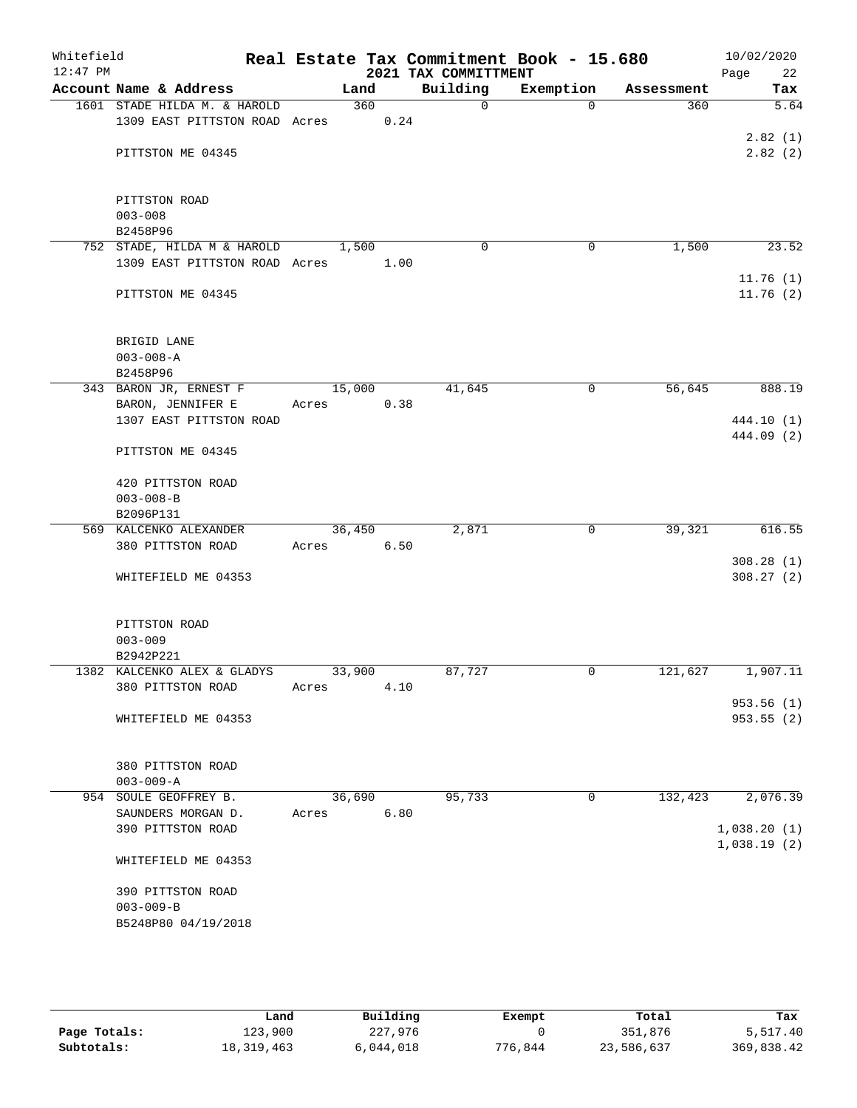| Whitefield<br>$12:47$ PM |                                          |            |        |      | 2021 TAX COMMITTMENT | Real Estate Tax Commitment Book - 15.680 |                      | 10/02/2020<br>22<br>Page |
|--------------------------|------------------------------------------|------------|--------|------|----------------------|------------------------------------------|----------------------|--------------------------|
|                          | Account Name & Address                   |            | Land   |      | Building             | Exemption                                | Assessment           | Tax                      |
|                          | 1601 STADE HILDA M. & HAROLD             |            | 360    |      | $\Omega$             | $\Omega$                                 | 360                  | 5.64                     |
|                          | 1309 EAST PITTSTON ROAD Acres 0.24       |            |        |      |                      |                                          |                      |                          |
|                          |                                          |            |        |      |                      |                                          |                      | 2.82(1)                  |
|                          | PITTSTON ME 04345                        |            |        |      |                      |                                          |                      | 2.82(2)                  |
|                          | PITTSTON ROAD                            |            |        |      |                      |                                          |                      |                          |
|                          | $003 - 008$                              |            |        |      |                      |                                          |                      |                          |
|                          | B2458P96                                 |            |        |      |                      |                                          |                      |                          |
|                          | 752 STADE, HILDA M & HAROLD              |            | 1,500  |      | 0                    | $\mathbf 0$                              | 1,500                | 23.52                    |
|                          | 1309 EAST PITTSTON ROAD Acres            |            |        | 1.00 |                      |                                          |                      |                          |
|                          | PITTSTON ME 04345                        |            |        |      |                      |                                          |                      | 11.76(1)<br>11.76(2)     |
|                          | BRIGID LANE                              |            |        |      |                      |                                          |                      |                          |
|                          | $003 - 008 - A$                          |            |        |      |                      |                                          |                      |                          |
|                          | B2458P96                                 |            |        |      |                      |                                          |                      |                          |
|                          | 343 BARON JR, ERNEST F                   |            | 15,000 |      | 41,645               | 0                                        | 56,645               | 888.19                   |
|                          | BARON, JENNIFER E                        | Acres      |        | 0.38 |                      |                                          |                      |                          |
|                          | 1307 EAST PITTSTON ROAD                  |            |        |      |                      |                                          |                      | 444.10 (1)               |
|                          | PITTSTON ME 04345                        |            |        |      |                      |                                          |                      | 444.09 (2)               |
|                          | 420 PITTSTON ROAD                        |            |        |      |                      |                                          |                      |                          |
|                          | $003 - 008 - B$                          |            |        |      |                      |                                          |                      |                          |
|                          | B2096P131                                |            |        |      |                      |                                          |                      |                          |
|                          | 569 KALCENKO ALEXANDER                   |            | 36,450 |      | 2,871                | 0                                        | 39,321               | 616.55                   |
|                          | 380 PITTSTON ROAD                        | Acres 6.50 |        |      |                      |                                          |                      |                          |
|                          |                                          |            |        |      |                      |                                          |                      | 308.28(1)                |
|                          | WHITEFIELD ME 04353                      |            |        |      |                      |                                          |                      | 308.27(2)                |
|                          | PITTSTON ROAD                            |            |        |      |                      |                                          |                      |                          |
|                          | $003 - 009$                              |            |        |      |                      |                                          |                      |                          |
|                          | B2942P221<br>1382 KALCENKO ALEX & GLADYS |            | 33,900 |      | 87,727               | 0                                        | $1\overline{21,627}$ | 1,907.11                 |
|                          | 380 PITTSTON ROAD                        | Acres      |        | 4.10 |                      |                                          |                      |                          |
|                          |                                          |            |        |      |                      |                                          |                      | 953.56(1)                |
|                          | WHITEFIELD ME 04353                      |            |        |      |                      |                                          |                      | 953.55(2)                |
|                          | 380 PITTSTON ROAD                        |            |        |      |                      |                                          |                      |                          |
|                          | $003 - 009 - A$                          |            |        |      |                      |                                          |                      |                          |
|                          | 954 SOULE GEOFFREY B.                    |            | 36,690 |      | 95,733               | 0                                        | 132,423              | 2,076.39                 |
|                          | SAUNDERS MORGAN D.<br>390 PITTSTON ROAD  | Acres      |        | 6.80 |                      |                                          |                      | 1,038.20(1)              |
|                          |                                          |            |        |      |                      |                                          |                      | 1,038.19(2)              |
|                          | WHITEFIELD ME 04353                      |            |        |      |                      |                                          |                      |                          |
|                          | 390 PITTSTON ROAD                        |            |        |      |                      |                                          |                      |                          |
|                          | $003 - 009 - B$                          |            |        |      |                      |                                          |                      |                          |
|                          | B5248P80 04/19/2018                      |            |        |      |                      |                                          |                      |                          |
|                          |                                          |            |        |      |                      |                                          |                      |                          |

|              | Land         | Building  | Exempt  | Total      | Tax        |
|--------------|--------------|-----------|---------|------------|------------|
| Page Totals: | 123,900      | 227,976   |         | 351,876    | 5,517.40   |
| Subtotals:   | 18, 319, 463 | 5,044,018 | 776,844 | 23,586,637 | 369,838.42 |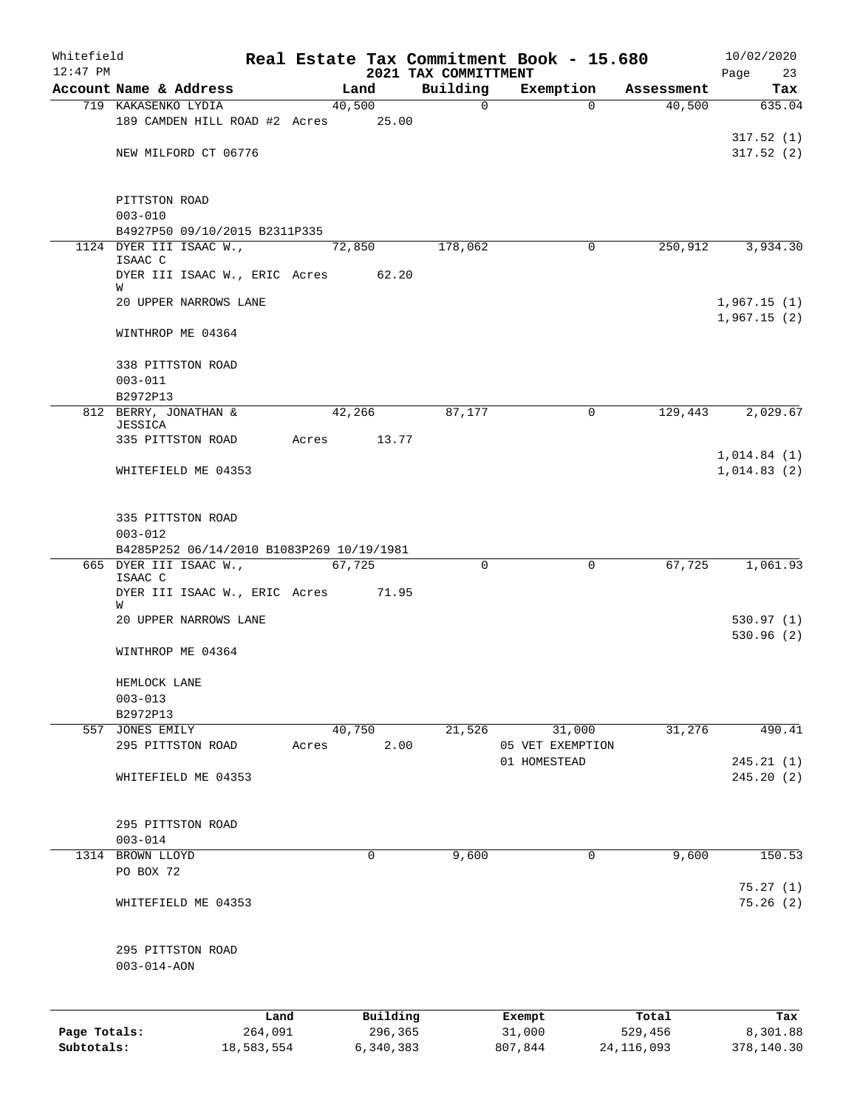| Whitefield<br>$12:47$ PM |                                                                                                                                                           |            |       |           | 2021 TAX COMMITTMENT | Real Estate Tax Commitment Book - 15.680 |              | 10/02/2020<br>Page<br>23   |
|--------------------------|-----------------------------------------------------------------------------------------------------------------------------------------------------------|------------|-------|-----------|----------------------|------------------------------------------|--------------|----------------------------|
|                          | Account Name & Address                                                                                                                                    |            |       | Land      | Building             | Exemption                                | Assessment   | Tax                        |
|                          | 719 KAKASENKO LYDIA                                                                                                                                       |            |       | 40,500    | $\mathbf 0$          | $\Omega$                                 | 40,500       | 635.04                     |
|                          | 189 CAMDEN HILL ROAD #2 Acres 25.00                                                                                                                       |            |       |           |                      |                                          |              |                            |
|                          |                                                                                                                                                           |            |       |           |                      |                                          |              | 317.52(1)                  |
|                          | NEW MILFORD CT 06776                                                                                                                                      |            |       |           |                      |                                          |              | 317.52(2)                  |
|                          | PITTSTON ROAD<br>$003 - 010$                                                                                                                              |            |       |           |                      |                                          |              |                            |
|                          | B4927P50 09/10/2015 B2311P335                                                                                                                             |            |       |           |                      |                                          |              |                            |
|                          | 1124 DYER III ISAAC W.,<br>ISAAC C                                                                                                                        |            |       | 72,850    | 178,062              | 0                                        | 250,912      | 3,934.30                   |
|                          | DYER III ISAAC W., ERIC Acres 62.20<br>W<br>20 UPPER NARROWS LANE                                                                                         |            |       |           |                      |                                          |              | 1,967.15(1)                |
|                          | WINTHROP ME 04364                                                                                                                                         |            |       |           |                      |                                          |              | 1,967.15(2)                |
|                          |                                                                                                                                                           |            |       |           |                      |                                          |              |                            |
|                          | 338 PITTSTON ROAD<br>$003 - 011$                                                                                                                          |            |       |           |                      |                                          |              |                            |
|                          | B2972P13                                                                                                                                                  |            |       |           |                      |                                          |              |                            |
|                          | 812 BERRY, JONATHAN &<br><b>JESSICA</b>                                                                                                                   |            |       | 42,266    | 87,177               | 0                                        |              | 129,443 2,029.67           |
|                          | 335 PITTSTON ROAD                                                                                                                                         |            | Acres | 13.77     |                      |                                          |              |                            |
|                          | WHITEFIELD ME 04353                                                                                                                                       |            |       |           |                      |                                          |              | 1,014.84(1)<br>1,014.83(2) |
|                          | 335 PITTSTON ROAD<br>$003 - 012$<br>B4285P252 06/14/2010 B1083P269 10/19/1981<br>665 DYER III ISAAC W.,<br>ISAAC C<br>DYER III ISAAC W., ERIC Acres 71.95 |            |       | 67,725    | $\Omega$             | 0                                        | 67,725       | 1,061.93                   |
|                          | W<br>20 UPPER NARROWS LANE                                                                                                                                |            |       |           |                      |                                          |              | 530.97(1)                  |
|                          |                                                                                                                                                           |            |       |           |                      |                                          |              | 530.96(2)                  |
|                          | WINTHROP ME 04364                                                                                                                                         |            |       |           |                      |                                          |              |                            |
|                          | HEMLOCK LANE<br>$003 - 013$                                                                                                                               |            |       |           |                      |                                          |              |                            |
|                          | B2972P13                                                                                                                                                  |            |       |           |                      |                                          |              |                            |
|                          | 557 JONES EMILY                                                                                                                                           |            |       | 40,750    | 21,526               | 31,000                                   | 31,276       | 490.41                     |
|                          | 295 PITTSTON ROAD                                                                                                                                         |            | Acres | 2.00      |                      | 05 VET EXEMPTION                         |              |                            |
|                          |                                                                                                                                                           |            |       |           |                      | 01 HOMESTEAD                             |              | 245.21(1)                  |
|                          | WHITEFIELD ME 04353                                                                                                                                       |            |       |           |                      |                                          |              | 245.20 (2)                 |
|                          | 295 PITTSTON ROAD                                                                                                                                         |            |       |           |                      |                                          |              |                            |
|                          | $003 - 014$                                                                                                                                               |            |       |           |                      |                                          |              |                            |
|                          | 1314 BROWN LLOYD                                                                                                                                          |            |       | 0         | 9,600                | $\mathbf 0$                              | 9,600        | 150.53                     |
|                          | PO BOX 72                                                                                                                                                 |            |       |           |                      |                                          |              | 75.27(1)                   |
|                          | WHITEFIELD ME 04353                                                                                                                                       |            |       |           |                      |                                          |              | 75.26(2)                   |
|                          | 295 PITTSTON ROAD<br>$003 - 014 - AON$                                                                                                                    |            |       |           |                      |                                          |              |                            |
|                          |                                                                                                                                                           | Land       |       | Building  |                      | Exempt                                   | Total        | Tax                        |
| Page Totals:             |                                                                                                                                                           | 264,091    |       | 296,365   |                      | 31,000                                   | 529,456      | 8,301.88                   |
| Subtotals:               |                                                                                                                                                           | 18,583,554 |       | 6,340,383 |                      | 807,844                                  | 24, 116, 093 | 378,140.30                 |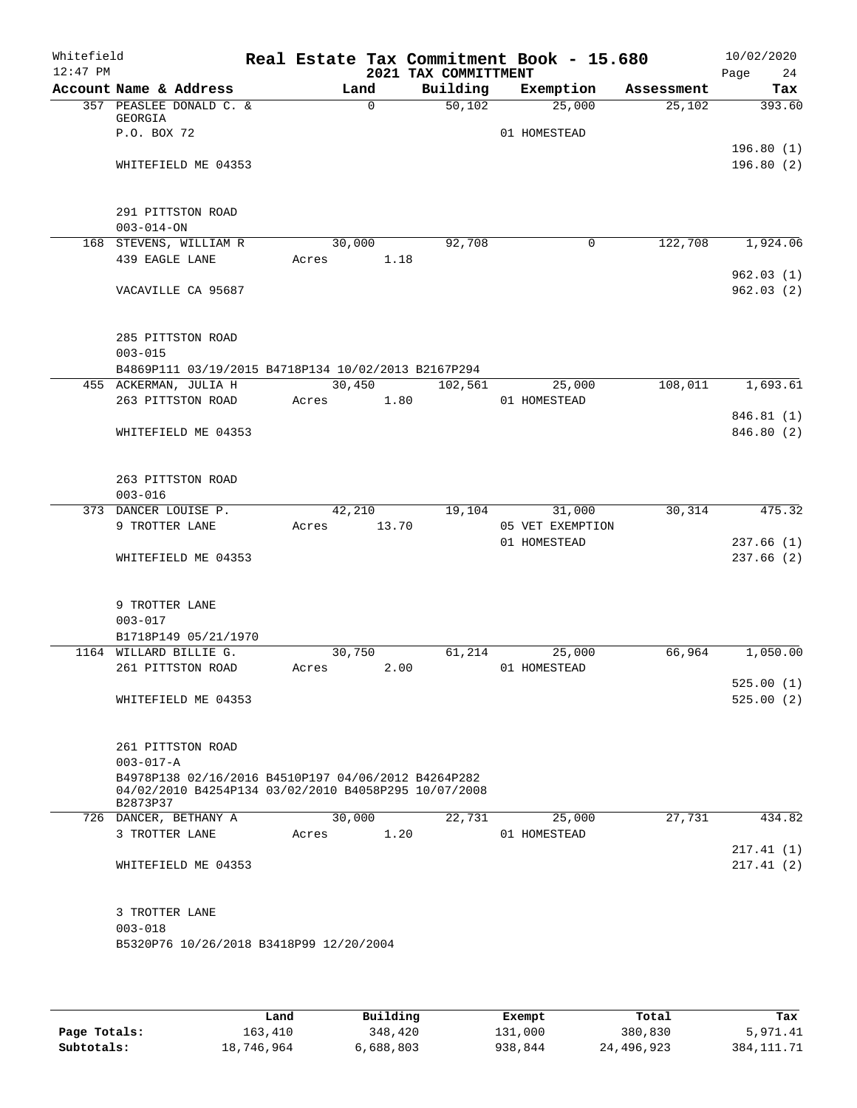| Whitefield<br>$12:47$ PM |                                                                    |                     |          | 2021 TAX COMMITTMENT | Real Estate Tax Commitment Book - 15.680 |            | 10/02/2020<br>Page<br>24 |
|--------------------------|--------------------------------------------------------------------|---------------------|----------|----------------------|------------------------------------------|------------|--------------------------|
|                          | Account Name & Address                                             | Land                |          | Building             | Exemption                                | Assessment | Tax                      |
|                          | 357 PEASLEE DONALD C. &                                            |                     | $\Omega$ | 50,102               | 25,000                                   | 25,102     | 393.60                   |
|                          | GEORGIA                                                            |                     |          |                      |                                          |            |                          |
|                          | P.O. BOX 72                                                        |                     |          |                      | 01 HOMESTEAD                             |            | 196.80(1)                |
|                          | WHITEFIELD ME 04353                                                |                     |          |                      |                                          |            | 196.80(2)                |
|                          |                                                                    |                     |          |                      |                                          |            |                          |
|                          |                                                                    |                     |          |                      |                                          |            |                          |
|                          | 291 PITTSTON ROAD                                                  |                     |          |                      |                                          |            |                          |
|                          | $003 - 014 - ON$                                                   |                     |          |                      |                                          |            |                          |
|                          | 168 STEVENS, WILLIAM R<br>439 EAGLE LANE                           | 30,000<br>Acres     | 1.18     | 92,708               | $\mathbf 0$                              | 122,708    | 1,924.06                 |
|                          |                                                                    |                     |          |                      |                                          |            | 962.03(1)                |
|                          | VACAVILLE CA 95687                                                 |                     |          |                      |                                          |            | 962.03(2)                |
|                          |                                                                    |                     |          |                      |                                          |            |                          |
|                          |                                                                    |                     |          |                      |                                          |            |                          |
|                          | 285 PITTSTON ROAD                                                  |                     |          |                      |                                          |            |                          |
|                          | $003 - 015$<br>B4869P111 03/19/2015 B4718P134 10/02/2013 B2167P294 |                     |          |                      |                                          |            |                          |
|                          | 455 ACKERMAN, JULIA H                                              |                     | 30,450   | 102,561              | 25,000                                   | 108,011    | 1,693.61                 |
|                          | 263 PITTSTON ROAD                                                  | Acres               | 1.80     |                      | 01 HOMESTEAD                             |            |                          |
|                          |                                                                    |                     |          |                      |                                          |            | 846.81 (1)               |
|                          | WHITEFIELD ME 04353                                                |                     |          |                      |                                          |            | 846.80 (2)               |
|                          |                                                                    |                     |          |                      |                                          |            |                          |
|                          |                                                                    |                     |          |                      |                                          |            |                          |
|                          | 263 PITTSTON ROAD<br>$003 - 016$                                   |                     |          |                      |                                          |            |                          |
|                          | 373 DANCER LOUISE P.                                               | $\overline{42,210}$ |          | 19,104               | 31,000                                   | 30,314     | 475.32                   |
|                          | 9 TROTTER LANE                                                     | Acres               | 13.70    |                      | 05 VET EXEMPTION                         |            |                          |
|                          |                                                                    |                     |          |                      | 01 HOMESTEAD                             |            | 237.66(1)                |
|                          | WHITEFIELD ME 04353                                                |                     |          |                      |                                          |            | 237.66(2)                |
|                          |                                                                    |                     |          |                      |                                          |            |                          |
|                          | 9 TROTTER LANE                                                     |                     |          |                      |                                          |            |                          |
|                          | $003 - 017$                                                        |                     |          |                      |                                          |            |                          |
|                          | B1718P149 05/21/1970                                               |                     |          |                      |                                          |            |                          |
|                          | 1164 WILLARD BILLIE G.                                             | 30,750              |          | 61,214               | 25,000                                   | 66,964     | 1,050.00                 |
|                          | 261 PITTSTON ROAD                                                  | Acres               | 2.00     |                      | 01 HOMESTEAD                             |            |                          |
|                          |                                                                    |                     |          |                      |                                          |            | 525.00(1)                |
|                          | WHITEFIELD ME 04353                                                |                     |          |                      |                                          |            | 525.00(2)                |
|                          |                                                                    |                     |          |                      |                                          |            |                          |
|                          | 261 PITTSTON ROAD                                                  |                     |          |                      |                                          |            |                          |
|                          | $003 - 017 - A$                                                    |                     |          |                      |                                          |            |                          |
|                          | B4978P138 02/16/2016 B4510P197 04/06/2012 B4264P282                |                     |          |                      |                                          |            |                          |
|                          | 04/02/2010 B4254P134 03/02/2010 B4058P295 10/07/2008<br>B2873P37   |                     |          |                      |                                          |            |                          |
|                          | 726 DANCER, BETHANY A                                              | 30,000              |          | 22,731               | 25,000                                   | 27,731     | 434.82                   |
|                          | 3 TROTTER LANE                                                     | Acres               | 1.20     |                      | 01 HOMESTEAD                             |            |                          |
|                          |                                                                    |                     |          |                      |                                          |            | 217.41(1)                |
|                          | WHITEFIELD ME 04353                                                |                     |          |                      |                                          |            | 217.41(2)                |
|                          |                                                                    |                     |          |                      |                                          |            |                          |
|                          | 3 TROTTER LANE                                                     |                     |          |                      |                                          |            |                          |
|                          | $003 - 018$                                                        |                     |          |                      |                                          |            |                          |
|                          | B5320P76 10/26/2018 B3418P99 12/20/2004                            |                     |          |                      |                                          |            |                          |
|                          |                                                                    |                     |          |                      |                                          |            |                          |
|                          |                                                                    |                     |          |                      |                                          |            |                          |

|              | Land       | Building  | Exempt  | Total      | Tax         |
|--------------|------------|-----------|---------|------------|-------------|
| Page Totals: | 163,410    | 348,420   | 131,000 | 380,830    | 5,971.41    |
| Subtotals:   | 18,746,964 | 6,688,803 | 938,844 | 24,496,923 | 384, 111.71 |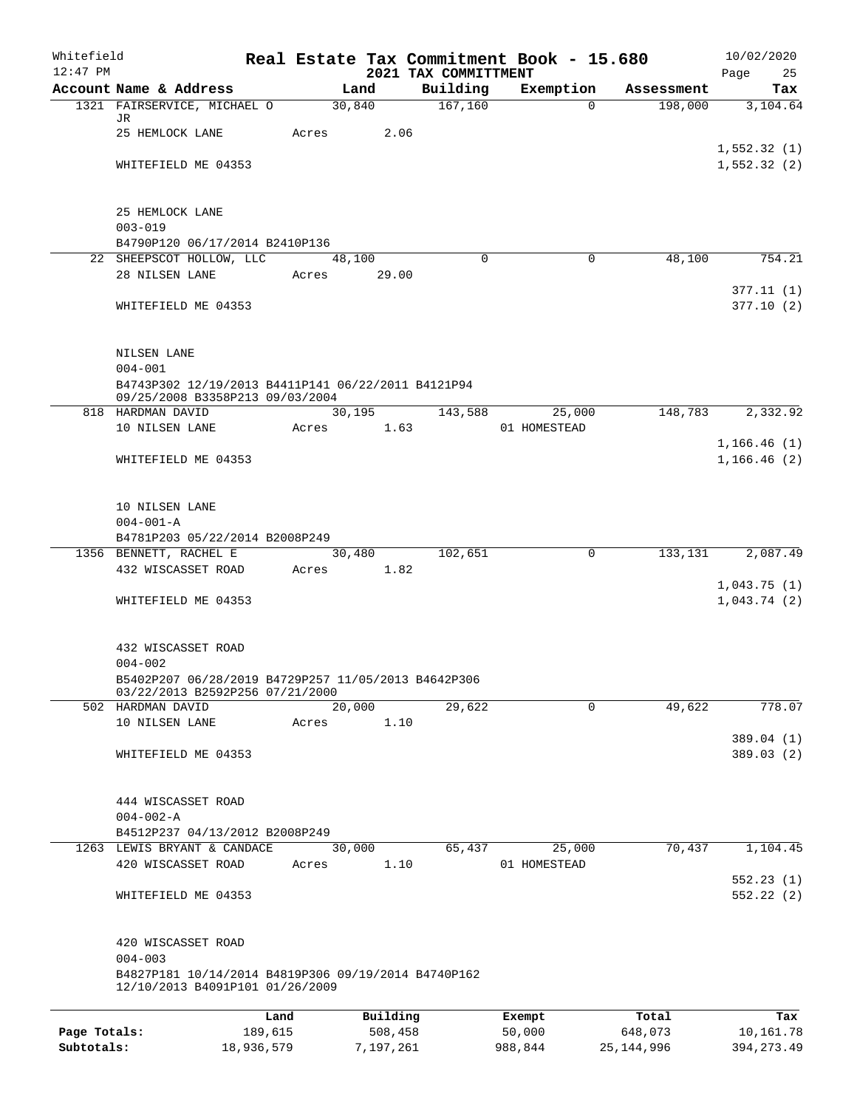| Whitefield<br>$12:47$ PM |                                                                                        |                 |                     | 2021 TAX COMMITTMENT | Real Estate Tax Commitment Book - 15.680 |                  | 10/02/2020<br>Page<br>25   |
|--------------------------|----------------------------------------------------------------------------------------|-----------------|---------------------|----------------------|------------------------------------------|------------------|----------------------------|
|                          | Account Name & Address                                                                 |                 | Land                | Building             | Exemption                                | Assessment       | Tax                        |
|                          | 1321 FAIRSERVICE, MICHAEL O                                                            |                 | 30,840              | 167, 160             | $\Omega$                                 | 198,000          | 3,104.64                   |
|                          | JR<br>25 HEMLOCK LANE                                                                  | Acres           | 2.06                |                      |                                          |                  |                            |
|                          |                                                                                        |                 |                     |                      |                                          |                  | 1,552.32(1)                |
|                          | WHITEFIELD ME 04353                                                                    |                 |                     |                      |                                          |                  | 1,552.32(2)                |
|                          | 25 HEMLOCK LANE                                                                        |                 |                     |                      |                                          |                  |                            |
|                          | $003 - 019$                                                                            |                 |                     |                      |                                          |                  |                            |
|                          | B4790P120 06/17/2014 B2410P136<br>22 SHEEPSCOT HOLLOW, LLC                             |                 |                     | $\Omega$             | $\Omega$                                 | 48,100           | 754.21                     |
|                          | 28 NILSEN LANE                                                                         | Acres           | 48,100<br>29.00     |                      |                                          |                  |                            |
|                          |                                                                                        |                 |                     |                      |                                          |                  | 377.11(1)                  |
|                          | WHITEFIELD ME 04353                                                                    |                 |                     |                      |                                          |                  | 377.10(2)                  |
|                          | NILSEN LANE                                                                            |                 |                     |                      |                                          |                  |                            |
|                          | $004 - 001$<br>B4743P302 12/19/2013 B4411P141 06/22/2011 B4121P94                      |                 |                     |                      |                                          |                  |                            |
|                          | 09/25/2008 B3358P213 09/03/2004                                                        |                 |                     |                      |                                          |                  |                            |
|                          | 818 HARDMAN DAVID<br>10 NILSEN LANE                                                    |                 | 30,195              | 143,588              | 25,000                                   | 148,783          | 2,332.92                   |
|                          |                                                                                        | Acres           | 1.63                |                      | 01 HOMESTEAD                             |                  | 1, 166.46(1)               |
|                          | WHITEFIELD ME 04353                                                                    |                 |                     |                      |                                          |                  | 1,166.46(2)                |
|                          | 10 NILSEN LANE                                                                         |                 |                     |                      |                                          |                  |                            |
|                          | $004 - 001 - A$                                                                        |                 |                     |                      |                                          |                  |                            |
|                          | B4781P203 05/22/2014 B2008P249                                                         |                 |                     |                      |                                          |                  |                            |
|                          | 1356 BENNETT, RACHEL E<br>432 WISCASSET ROAD                                           | Acres           | 30,480<br>1.82      | 102,651              | $\mathbf 0$                              | 133,131          | 2,087.49                   |
|                          | WHITEFIELD ME 04353                                                                    |                 |                     |                      |                                          |                  | 1,043.75(1)<br>1,043.74(2) |
|                          |                                                                                        |                 |                     |                      |                                          |                  |                            |
|                          | 432 WISCASSET ROAD                                                                     |                 |                     |                      |                                          |                  |                            |
|                          | $004 - 002$<br>B5402P207 06/28/2019 B4729P257 11/05/2013 B4642P306                     |                 |                     |                      |                                          |                  |                            |
|                          | 03/22/2013 B2592P256 07/21/2000                                                        |                 |                     |                      |                                          |                  |                            |
|                          | 502 HARDMAN DAVID                                                                      |                 | 20,000              | 29,622               | $\mathbf 0$                              | 49,622           | 778.07                     |
|                          | 10 NILSEN LANE                                                                         | Acres           | 1.10                |                      |                                          |                  | 389.04 (1)                 |
|                          | WHITEFIELD ME 04353                                                                    |                 |                     |                      |                                          |                  | 389.03 (2)                 |
|                          | 444 WISCASSET ROAD                                                                     |                 |                     |                      |                                          |                  |                            |
|                          | $004 - 002 - A$                                                                        |                 |                     |                      |                                          |                  |                            |
|                          | B4512P237 04/13/2012 B2008P249                                                         |                 |                     |                      |                                          |                  |                            |
|                          | 1263 LEWIS BRYANT & CANDACE<br>420 WISCASSET ROAD                                      | Acres           | 30,000<br>1.10      | 65,437               | 25,000<br>01 HOMESTEAD                   | 70,437           | 1,104.45                   |
|                          |                                                                                        |                 |                     |                      |                                          |                  | 552.23(1)                  |
|                          | WHITEFIELD ME 04353                                                                    |                 |                     |                      |                                          |                  | 552.22(2)                  |
|                          | 420 WISCASSET ROAD<br>$004 - 003$                                                      |                 |                     |                      |                                          |                  |                            |
|                          | B4827P181 10/14/2014 B4819P306 09/19/2014 B4740P162<br>12/10/2013 B4091P101 01/26/2009 |                 |                     |                      |                                          |                  |                            |
|                          |                                                                                        |                 |                     |                      |                                          |                  |                            |
| Page Totals:             |                                                                                        | Land<br>189,615 | Building<br>508,458 |                      | Exempt<br>50,000                         | Total<br>648,073 | Tax<br>10,161.78           |

**Subtotals:** 18,936,579 7,197,261 988,844 25,144,996 394,273.49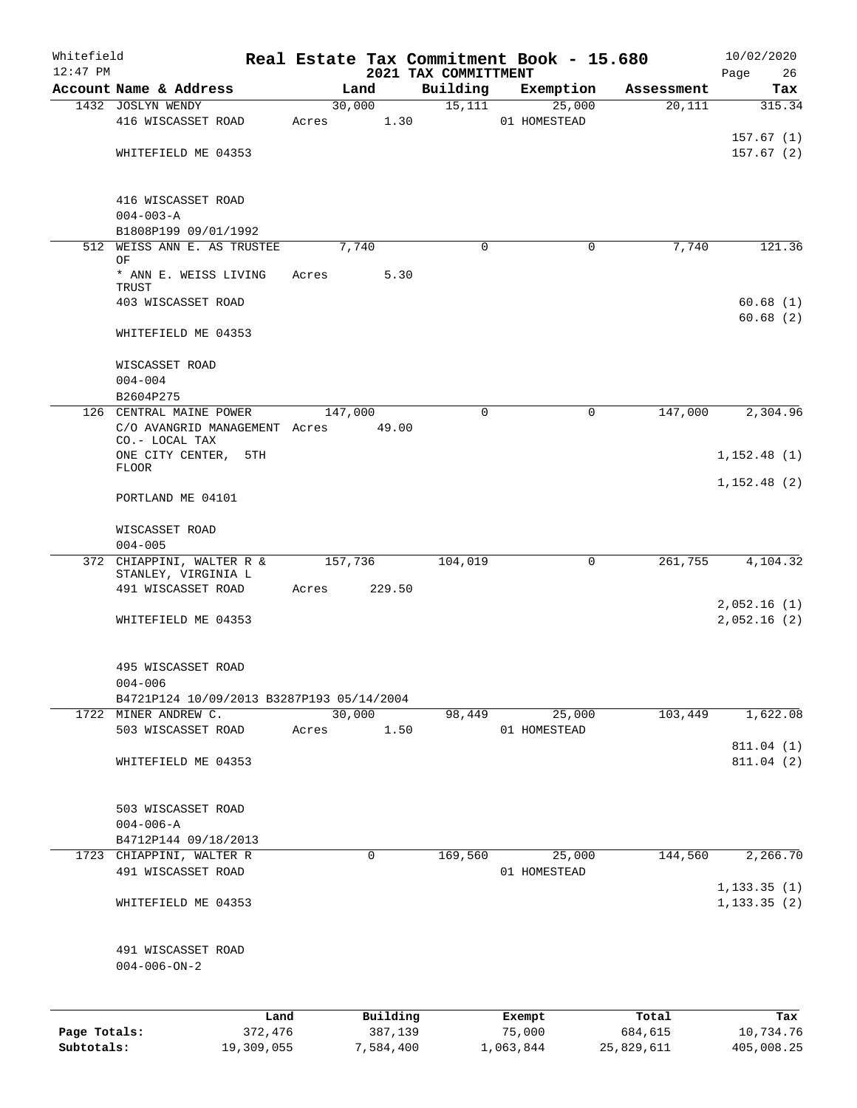| Whitefield   |                                                          |            |       |         |             | Real Estate Tax Commitment Book - 15.680 |           |                        |            |      | 10/02/2020                   |
|--------------|----------------------------------------------------------|------------|-------|---------|-------------|------------------------------------------|-----------|------------------------|------------|------|------------------------------|
| $12:47$ PM   | Account Name & Address                                   |            |       | Land    |             | 2021 TAX COMMITTMENT<br>Building         |           | Exemption              | Assessment | Page | 26                           |
|              | 1432 JOSLYN WENDY                                        |            |       | 30,000  |             | 15,111                                   |           | 25,000                 | 20,111     |      | Tax<br>315.34                |
|              | 416 WISCASSET ROAD                                       |            | Acres |         | 1.30        |                                          |           | 01 HOMESTEAD           |            |      |                              |
|              | WHITEFIELD ME 04353                                      |            |       |         |             |                                          |           |                        |            |      | 157.67(1)<br>157.67(2)       |
|              | 416 WISCASSET ROAD<br>$004 - 003 - A$                    |            |       |         |             |                                          |           |                        |            |      |                              |
|              | B1808P199 09/01/1992                                     |            |       |         |             |                                          |           |                        |            |      |                              |
|              | 512 WEISS ANN E. AS TRUSTEE<br>ΟF                        |            |       | 7,740   |             | $\Omega$                                 |           | 0                      | 7,740      |      | 121.36                       |
|              | * ANN E. WEISS LIVING<br>TRUST                           |            | Acres |         | 5.30        |                                          |           |                        |            |      |                              |
|              | 403 WISCASSET ROAD                                       |            |       |         |             |                                          |           |                        |            |      | 60.68(1)<br>60.68(2)         |
|              | WHITEFIELD ME 04353                                      |            |       |         |             |                                          |           |                        |            |      |                              |
|              | WISCASSET ROAD<br>$004 - 004$                            |            |       |         |             |                                          |           |                        |            |      |                              |
|              | B2604P275                                                |            |       |         |             |                                          |           |                        |            |      |                              |
|              | 126 CENTRAL MAINE POWER                                  |            |       | 147,000 |             | $\Omega$                                 |           | 0                      | 147,000    |      | 2,304.96                     |
|              | C/O AVANGRID MANAGEMENT Acres<br>CO.- LOCAL TAX          |            |       |         | 49.00       |                                          |           |                        |            |      |                              |
|              | ONE CITY CENTER, 5TH<br><b>FLOOR</b>                     |            |       |         |             |                                          |           |                        |            |      | 1, 152.48(1)                 |
|              | PORTLAND ME 04101                                        |            |       |         |             |                                          |           |                        |            |      | 1, 152.48(2)                 |
|              | WISCASSET ROAD                                           |            |       |         |             |                                          |           |                        |            |      |                              |
|              | $004 - 005$                                              |            |       |         |             |                                          |           |                        |            |      |                              |
|              | 372 CHIAPPINI, WALTER R &<br>STANLEY, VIRGINIA L         |            |       | 157,736 |             | 104,019                                  |           | $\mathbf 0$            | 261,755    |      | 4,104.32                     |
|              | 491 WISCASSET ROAD                                       |            | Acres |         | 229.50      |                                          |           |                        |            |      |                              |
|              |                                                          |            |       |         |             |                                          |           |                        |            |      | 2,052.16(1)                  |
|              | WHITEFIELD ME 04353                                      |            |       |         |             |                                          |           |                        |            |      | 2,052.16(2)                  |
|              | 495 WISCASSET ROAD                                       |            |       |         |             |                                          |           |                        |            |      |                              |
|              | $004 - 006$<br>B4721P124 10/09/2013 B3287P193 05/14/2004 |            |       |         |             |                                          |           |                        |            |      |                              |
|              | 1722 MINER ANDREW C.                                     |            |       | 30,000  |             | 98,449                                   |           | 25,000                 | 103,449    |      | 1,622.08                     |
|              | 503 WISCASSET ROAD                                       |            | Acres |         | 1.50        |                                          |           | 01 HOMESTEAD           |            |      |                              |
|              |                                                          |            |       |         |             |                                          |           |                        |            |      | 811.04 (1)                   |
|              | WHITEFIELD ME 04353                                      |            |       |         |             |                                          |           |                        |            |      | 811.04 (2)                   |
|              | 503 WISCASSET ROAD                                       |            |       |         |             |                                          |           |                        |            |      |                              |
|              | $004 - 006 - A$                                          |            |       |         |             |                                          |           |                        |            |      |                              |
|              | B4712P144 09/18/2013                                     |            |       |         | $\mathbf 0$ |                                          |           |                        |            |      | 2,266.70                     |
|              | 1723 CHIAPPINI, WALTER R<br>491 WISCASSET ROAD           |            |       |         |             | 169,560                                  |           | 25,000<br>01 HOMESTEAD | 144,560    |      |                              |
|              | WHITEFIELD ME 04353                                      |            |       |         |             |                                          |           |                        |            |      | 1, 133.35(1)<br>1, 133.35(2) |
|              | 491 WISCASSET ROAD<br>$004 - 006 - ON - 2$               |            |       |         |             |                                          |           |                        |            |      |                              |
|              |                                                          | Land       |       |         | Building    |                                          | Exempt    |                        | Total      |      | Tax                          |
| Page Totals: |                                                          | 372,476    |       |         | 387,139     |                                          | 75,000    |                        | 684,615    |      | 10,734.76                    |
| Subtotals:   |                                                          | 19,309,055 |       |         | 7,584,400   |                                          | 1,063,844 |                        | 25,829,611 |      | 405,008.25                   |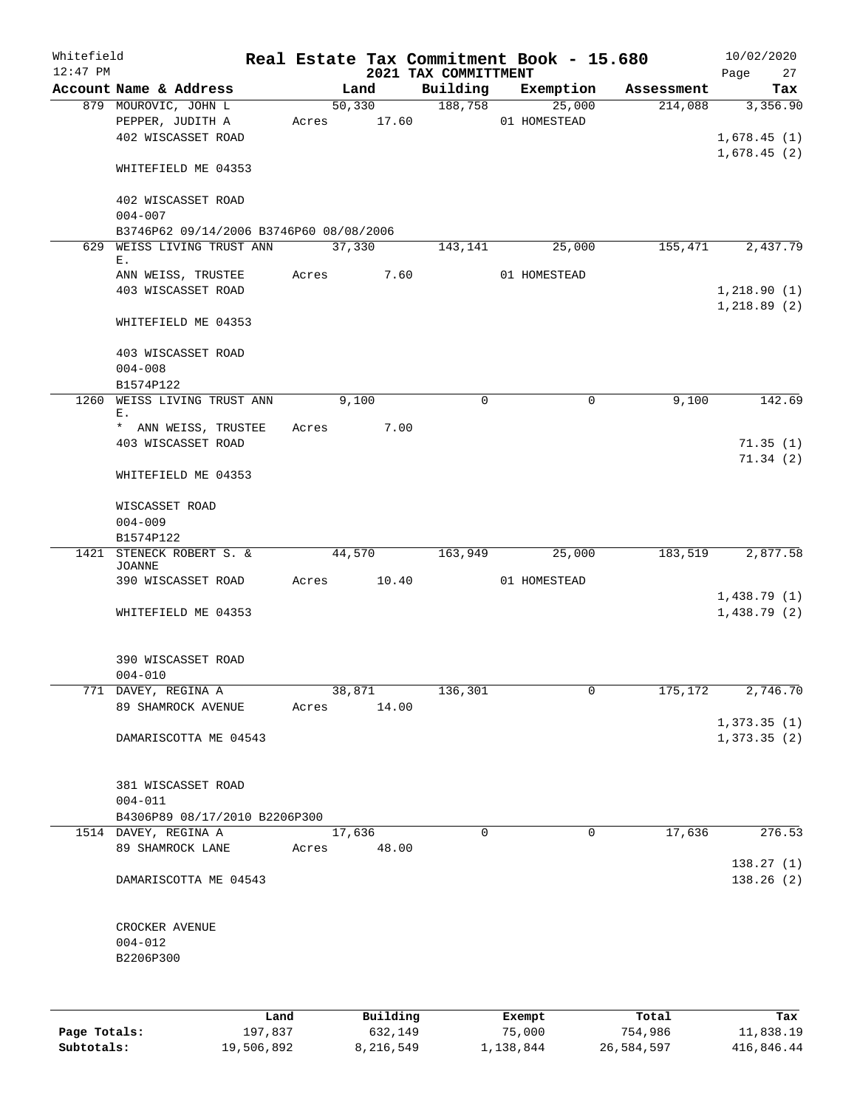| Whitefield<br>$12:47$ PM |                                                                |       |                        | 2021 TAX COMMITTMENT | Real Estate Tax Commitment Book - 15.680 |            | 10/02/2020<br>Page<br>27               |
|--------------------------|----------------------------------------------------------------|-------|------------------------|----------------------|------------------------------------------|------------|----------------------------------------|
|                          | Account Name & Address                                         |       | Land                   | Building             | Exemption                                | Assessment | Tax                                    |
|                          | 879 MOUROVIC, JOHN L<br>PEPPER, JUDITH A<br>402 WISCASSET ROAD |       | 50,330<br>Acres 17.60  |                      | 188,758<br>25,000<br>01 HOMESTEAD        | 214,088    | 3,356.90<br>1,678.45(1)<br>1,678.45(2) |
|                          | WHITEFIELD ME 04353                                            |       |                        |                      |                                          |            |                                        |
|                          | 402 WISCASSET ROAD<br>$004 - 007$                              |       |                        |                      |                                          |            |                                        |
|                          | B3746P62 09/14/2006 B3746P60 08/08/2006                        |       |                        |                      |                                          |            |                                        |
|                          | 629 WEISS LIVING TRUST ANN                                     |       | 37,330                 | 143,141              | 25,000                                   | 155,471    | 2,437.79                               |
|                          | Ε.<br>ANN WEISS, TRUSTEE                                       |       | Acres                  | 7.60                 | 01 HOMESTEAD                             |            |                                        |
|                          | 403 WISCASSET ROAD                                             |       |                        |                      |                                          |            | 1,218.90(1)<br>1,218.89(2)             |
|                          | WHITEFIELD ME 04353                                            |       |                        |                      |                                          |            |                                        |
|                          | 403 WISCASSET ROAD<br>$004 - 008$                              |       |                        |                      |                                          |            |                                        |
|                          | B1574P122                                                      |       |                        |                      |                                          |            |                                        |
| 1260                     | WEISS LIVING TRUST ANN<br>Ε.<br>* ANN WEISS, TRUSTEE           |       | 9,100<br>Acres<br>7.00 | $\mathbf 0$          | $\mathbf 0$                              | 9,100      | 142.69                                 |
|                          | 403 WISCASSET ROAD                                             |       |                        |                      |                                          |            | 71.35(1)<br>71.34(2)                   |
|                          | WHITEFIELD ME 04353                                            |       |                        |                      |                                          |            |                                        |
|                          | WISCASSET ROAD                                                 |       |                        |                      |                                          |            |                                        |
|                          | $004 - 009$                                                    |       |                        |                      |                                          |            |                                        |
|                          | B1574P122                                                      |       |                        |                      |                                          |            |                                        |
|                          | 1421 STENECK ROBERT S. &<br>JOANNE                             |       | 44,570                 | 163,949              | 25,000                                   | 183,519    | 2,877.58                               |
|                          | 390 WISCASSET ROAD                                             |       | Acres 10.40            |                      | 01 HOMESTEAD                             |            | 1,438.79(1)                            |
|                          | WHITEFIELD ME 04353                                            |       |                        |                      |                                          |            | 1,438.79(2)                            |
|                          | 390 WISCASSET ROAD<br>$004 - 010$                              |       |                        |                      |                                          |            |                                        |
|                          | 771 DAVEY, REGINA A                                            |       | 38,871                 | 136,301              | 0                                        | 175,172    | 2,746.70                               |
|                          | 89 SHAMROCK AVENUE                                             | Acres | 14.00                  |                      |                                          |            |                                        |
|                          |                                                                |       |                        |                      |                                          |            | 1,373.35(1)                            |
|                          | DAMARISCOTTA ME 04543                                          |       |                        |                      |                                          |            | 1,373.35(2)                            |
|                          | 381 WISCASSET ROAD<br>$004 - 011$                              |       |                        |                      |                                          |            |                                        |
|                          | B4306P89 08/17/2010 B2206P300                                  |       |                        |                      |                                          |            |                                        |
|                          | 1514 DAVEY, REGINA A                                           |       | 17,636                 | 0                    | $\mathbf{0}$                             | 17,636     | 276.53                                 |
|                          | 89 SHAMROCK LANE                                               | Acres | 48.00                  |                      |                                          |            | 138.27(1)                              |
|                          | DAMARISCOTTA ME 04543                                          |       |                        |                      |                                          |            | 138.26(2)                              |
|                          | CROCKER AVENUE<br>$004 - 012$                                  |       |                        |                      |                                          |            |                                        |
|                          | B2206P300                                                      |       |                        |                      |                                          |            |                                        |
|                          |                                                                | Land  | Building               |                      | Exempt                                   | Total      | Tax                                    |

|              | Land       | Building  | Exempt    | Total      | Tax        |
|--------------|------------|-----------|-----------|------------|------------|
| Page Totals: | 197,837    | 632,149   | 75,000    | 754,986    | 11,838.19  |
| Subtotals:   | 19,506,892 | 8,216,549 | 1,138,844 | 26,584,597 | 416,846.44 |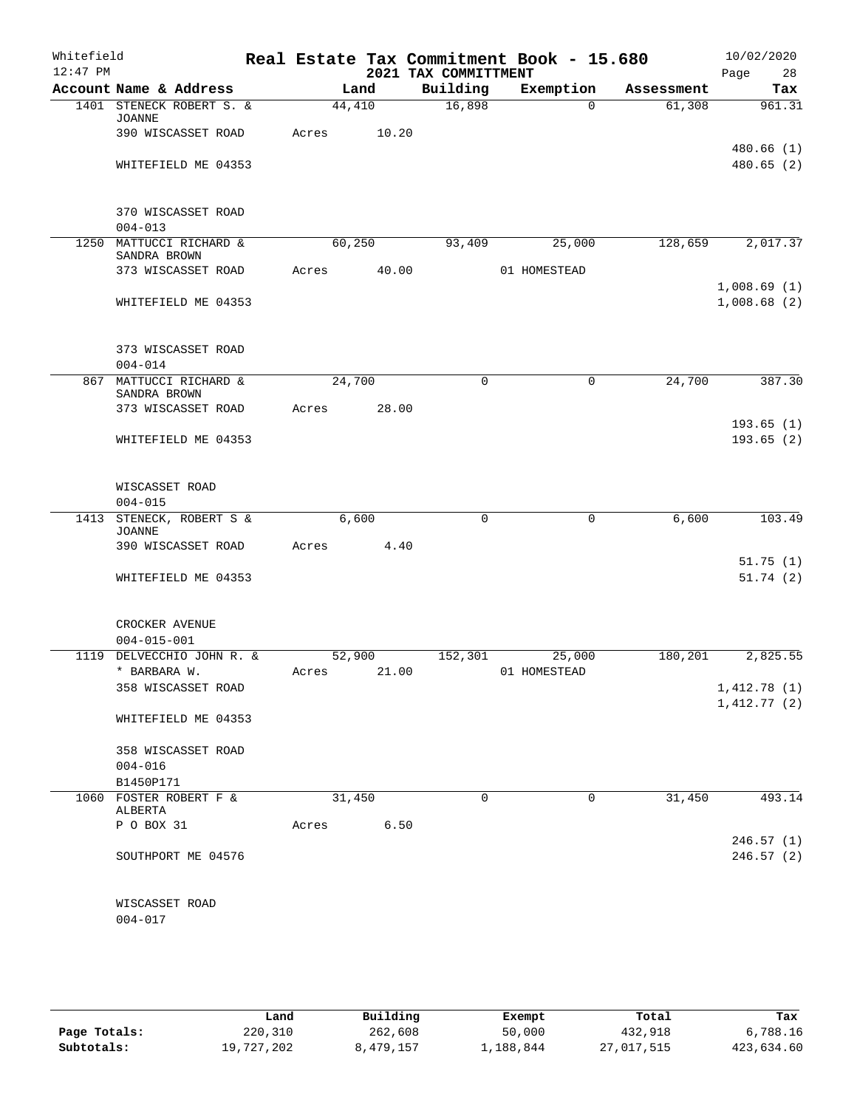| Whitefield<br>$12:47$ PM |                                           |       |        |       | 2021 TAX COMMITTMENT | Real Estate Tax Commitment Book - 15.680 |            | 10/02/2020<br>Page<br>28 |
|--------------------------|-------------------------------------------|-------|--------|-------|----------------------|------------------------------------------|------------|--------------------------|
|                          | Account Name & Address                    |       | Land   |       | Building             | Exemption                                | Assessment | Tax                      |
|                          | 1401 STENECK ROBERT S. &<br><b>JOANNE</b> |       | 44,410 |       | 16,898               | $\Omega$                                 | 61,308     | 961.31                   |
|                          | 390 WISCASSET ROAD                        | Acres |        | 10.20 |                      |                                          |            |                          |
|                          |                                           |       |        |       |                      |                                          |            | 480.66 (1)               |
|                          | WHITEFIELD ME 04353                       |       |        |       |                      |                                          |            | 480.65(2)                |
|                          | 370 WISCASSET ROAD                        |       |        |       |                      |                                          |            |                          |
|                          | $004 - 013$                               |       |        |       |                      |                                          |            |                          |
| 1250                     | MATTUCCI RICHARD &                        |       | 60,250 |       | 93,409               | 25,000                                   | 128,659    | 2,017.37                 |
|                          | SANDRA BROWN<br>373 WISCASSET ROAD        | Acres |        | 40.00 |                      | 01 HOMESTEAD                             |            |                          |
|                          |                                           |       |        |       |                      |                                          |            | 1,008.69(1)              |
|                          | WHITEFIELD ME 04353                       |       |        |       |                      |                                          |            | 1,008.68(2)              |
|                          | 373 WISCASSET ROAD                        |       |        |       |                      |                                          |            |                          |
|                          | $004 - 014$                               |       |        |       |                      |                                          |            |                          |
|                          | 867 MATTUCCI RICHARD &                    |       | 24,700 |       | $\mathbf 0$          | $\mathbf 0$                              | 24,700     | 387.30                   |
|                          | SANDRA BROWN                              |       |        |       |                      |                                          |            |                          |
|                          | 373 WISCASSET ROAD                        | Acres |        | 28.00 |                      |                                          |            | 193.65(1)                |
|                          | WHITEFIELD ME 04353                       |       |        |       |                      |                                          |            | 193.65(2)                |
|                          |                                           |       |        |       |                      |                                          |            |                          |
|                          | WISCASSET ROAD                            |       |        |       |                      |                                          |            |                          |
|                          | $004 - 015$                               |       |        |       |                      |                                          |            |                          |
| 1413                     | STENECK, ROBERT S &<br><b>JOANNE</b>      |       | 6,600  |       | $\mathbf 0$          | $\mathbf 0$                              | 6,600      | 103.49                   |
|                          | 390 WISCASSET ROAD                        | Acres |        | 4.40  |                      |                                          |            |                          |
|                          |                                           |       |        |       |                      |                                          |            | 51.75(1)                 |
|                          | WHITEFIELD ME 04353                       |       |        |       |                      |                                          |            | 51.74(2)                 |
|                          | CROCKER AVENUE                            |       |        |       |                      |                                          |            |                          |
| 1119                     | $004 - 015 - 001$<br>DELVECCHIO JOHN R. & |       | 52,900 |       | 152,301              | 25,000                                   | 180,201    | 2,825.55                 |
|                          | * BARBARA W.                              | Acres |        | 21.00 |                      | 01 HOMESTEAD                             |            |                          |
|                          | 358 WISCASSET ROAD                        |       |        |       |                      |                                          |            | 1,412.78(1)              |
|                          |                                           |       |        |       |                      |                                          |            | 1,412.77(2)              |
|                          | WHITEFIELD ME 04353                       |       |        |       |                      |                                          |            |                          |
|                          | 358 WISCASSET ROAD                        |       |        |       |                      |                                          |            |                          |
|                          | $004 - 016$                               |       |        |       |                      |                                          |            |                          |
|                          | B1450P171                                 |       |        |       |                      |                                          |            |                          |
|                          | 1060 FOSTER ROBERT F &<br>ALBERTA         |       | 31,450 |       | 0                    | 0                                        | 31,450     | 493.14                   |
|                          | P O BOX 31                                | Acres |        | 6.50  |                      |                                          |            |                          |
|                          |                                           |       |        |       |                      |                                          |            | 246.57(1)                |
|                          | SOUTHPORT ME 04576                        |       |        |       |                      |                                          |            | 246.57(2)                |
|                          | WISCASSET ROAD                            |       |        |       |                      |                                          |            |                          |
|                          | $004 - 017$                               |       |        |       |                      |                                          |            |                          |
|                          |                                           |       |        |       |                      |                                          |            |                          |

|              | Land       | Building  | Exempt    | Total      | Tax        |
|--------------|------------|-----------|-----------|------------|------------|
| Page Totals: | 220,310    | 262,608   | 50,000    | 432,918    | 6,788.16   |
| Subtotals:   | 19,727,202 | 8,479,157 | 1,188,844 | 27,017,515 | 423,634.60 |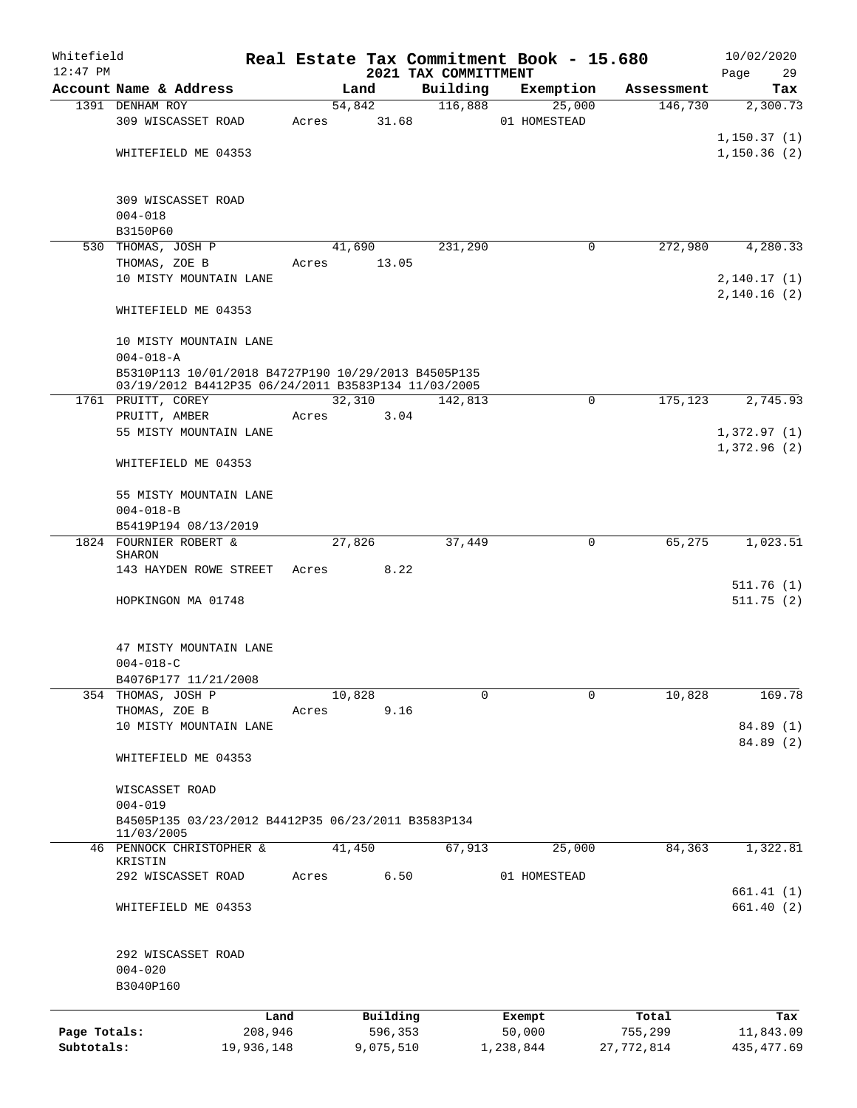| Whitefield<br>$12:47$ PM |                                                                                                            |            |       |        |           | Real Estate Tax Commitment Book - 15.680 |              |           |            | 10/02/2020        |
|--------------------------|------------------------------------------------------------------------------------------------------------|------------|-------|--------|-----------|------------------------------------------|--------------|-----------|------------|-------------------|
|                          | Account Name & Address                                                                                     |            |       | Land   |           | 2021 TAX COMMITTMENT<br>Building         |              | Exemption | Assessment | Page<br>29<br>Tax |
|                          | 1391 DENHAM ROY                                                                                            |            |       | 54,842 |           | 116,888                                  |              | 25,000    | 146,730    | 2,300.73          |
|                          | 309 WISCASSET ROAD                                                                                         |            | Acres |        | 31.68     |                                          | 01 HOMESTEAD |           |            |                   |
|                          |                                                                                                            |            |       |        |           |                                          |              |           |            | 1, 150.37(1)      |
|                          | WHITEFIELD ME 04353                                                                                        |            |       |        |           |                                          |              |           |            | 1, 150.36(2)      |
|                          |                                                                                                            |            |       |        |           |                                          |              |           |            |                   |
|                          | 309 WISCASSET ROAD                                                                                         |            |       |        |           |                                          |              |           |            |                   |
|                          | $004 - 018$                                                                                                |            |       |        |           |                                          |              |           |            |                   |
|                          | B3150P60                                                                                                   |            |       |        |           |                                          |              |           |            |                   |
|                          | 530 THOMAS, JOSH P                                                                                         |            |       | 41,690 |           | 231,290                                  |              | 0         | 272,980    | 4,280.33          |
|                          | THOMAS, ZOE B                                                                                              |            | Acres |        | 13.05     |                                          |              |           |            |                   |
|                          | 10 MISTY MOUNTAIN LANE                                                                                     |            |       |        |           |                                          |              |           |            | 2,140.17 (1)      |
|                          |                                                                                                            |            |       |        |           |                                          |              |           |            | 2,140.16(2)       |
|                          | WHITEFIELD ME 04353                                                                                        |            |       |        |           |                                          |              |           |            |                   |
|                          | 10 MISTY MOUNTAIN LANE                                                                                     |            |       |        |           |                                          |              |           |            |                   |
|                          | $004 - 018 - A$                                                                                            |            |       |        |           |                                          |              |           |            |                   |
|                          | B5310P113 10/01/2018 B4727P190 10/29/2013 B4505P135<br>03/19/2012 B4412P35 06/24/2011 B3583P134 11/03/2005 |            |       |        |           |                                          |              |           |            |                   |
|                          | 1761 PRUITT, COREY                                                                                         |            |       | 32,310 |           | 142,813                                  |              | 0         | 175, 123   | 2,745.93          |
|                          | PRUITT, AMBER                                                                                              |            | Acres |        | 3.04      |                                          |              |           |            |                   |
|                          | 55 MISTY MOUNTAIN LANE                                                                                     |            |       |        |           |                                          |              |           |            | 1,372.97(1)       |
|                          |                                                                                                            |            |       |        |           |                                          |              |           |            | 1,372.96(2)       |
|                          | WHITEFIELD ME 04353                                                                                        |            |       |        |           |                                          |              |           |            |                   |
|                          | 55 MISTY MOUNTAIN LANE                                                                                     |            |       |        |           |                                          |              |           |            |                   |
|                          | $004 - 018 - B$                                                                                            |            |       |        |           |                                          |              |           |            |                   |
|                          | B5419P194 08/13/2019                                                                                       |            |       |        |           |                                          |              |           |            |                   |
|                          | 1824 FOURNIER ROBERT &                                                                                     |            |       | 27,826 |           | 37,449                                   |              | 0         | 65,275     | 1,023.51          |
|                          | <b>SHARON</b>                                                                                              |            |       |        |           |                                          |              |           |            |                   |
|                          | 143 HAYDEN ROWE STREET                                                                                     |            | Acres |        | 8.22      |                                          |              |           |            |                   |
|                          |                                                                                                            |            |       |        |           |                                          |              |           |            | 511.76(1)         |
|                          | HOPKINGON MA 01748                                                                                         |            |       |        |           |                                          |              |           |            | 511.75(2)         |
|                          | 47 MISTY MOUNTAIN LANE                                                                                     |            |       |        |           |                                          |              |           |            |                   |
|                          | $004 - 018 - C$                                                                                            |            |       |        |           |                                          |              |           |            |                   |
|                          | B4076P177 11/21/2008                                                                                       |            |       |        |           |                                          |              |           |            |                   |
|                          | 354 THOMAS, JOSH P                                                                                         |            |       | 10,828 |           | $\mathbf 0$                              |              | $\Omega$  | 10,828     | 169.78            |
|                          | THOMAS, ZOE B                                                                                              |            | Acres |        | 9.16      |                                          |              |           |            |                   |
|                          | 10 MISTY MOUNTAIN LANE                                                                                     |            |       |        |           |                                          |              |           |            | 84.89 (1)         |
|                          |                                                                                                            |            |       |        |           |                                          |              |           |            | 84.89 (2)         |
|                          | WHITEFIELD ME 04353                                                                                        |            |       |        |           |                                          |              |           |            |                   |
|                          | WISCASSET ROAD                                                                                             |            |       |        |           |                                          |              |           |            |                   |
|                          | $004 - 019$                                                                                                |            |       |        |           |                                          |              |           |            |                   |
|                          | B4505P135 03/23/2012 B4412P35 06/23/2011 B3583P134                                                         |            |       |        |           |                                          |              |           |            |                   |
|                          | 11/03/2005<br>46 PENNOCK CHRISTOPHER &                                                                     |            |       | 41,450 |           | 67,913                                   |              | 25,000    | 84,363     | 1,322.81          |
|                          | KRISTIN                                                                                                    |            |       |        |           |                                          |              |           |            |                   |
|                          | 292 WISCASSET ROAD                                                                                         |            | Acres |        | 6.50      |                                          | 01 HOMESTEAD |           |            |                   |
|                          |                                                                                                            |            |       |        |           |                                          |              |           |            | 661.41(1)         |
|                          | WHITEFIELD ME 04353                                                                                        |            |       |        |           |                                          |              |           |            | 661.40 (2)        |
|                          |                                                                                                            |            |       |        |           |                                          |              |           |            |                   |
|                          | 292 WISCASSET ROAD<br>$004 - 020$                                                                          |            |       |        |           |                                          |              |           |            |                   |
|                          | B3040P160                                                                                                  |            |       |        |           |                                          |              |           |            |                   |
|                          |                                                                                                            | Land       |       |        | Building  |                                          | Exempt       |           | Total      | Tax               |
| Page Totals:             |                                                                                                            | 208,946    |       |        | 596,353   |                                          | 50,000       |           | 755,299    | 11,843.09         |
| Subtotals:               |                                                                                                            | 19,936,148 |       |        | 9,075,510 |                                          | 1,238,844    |           | 27,772,814 | 435, 477.69       |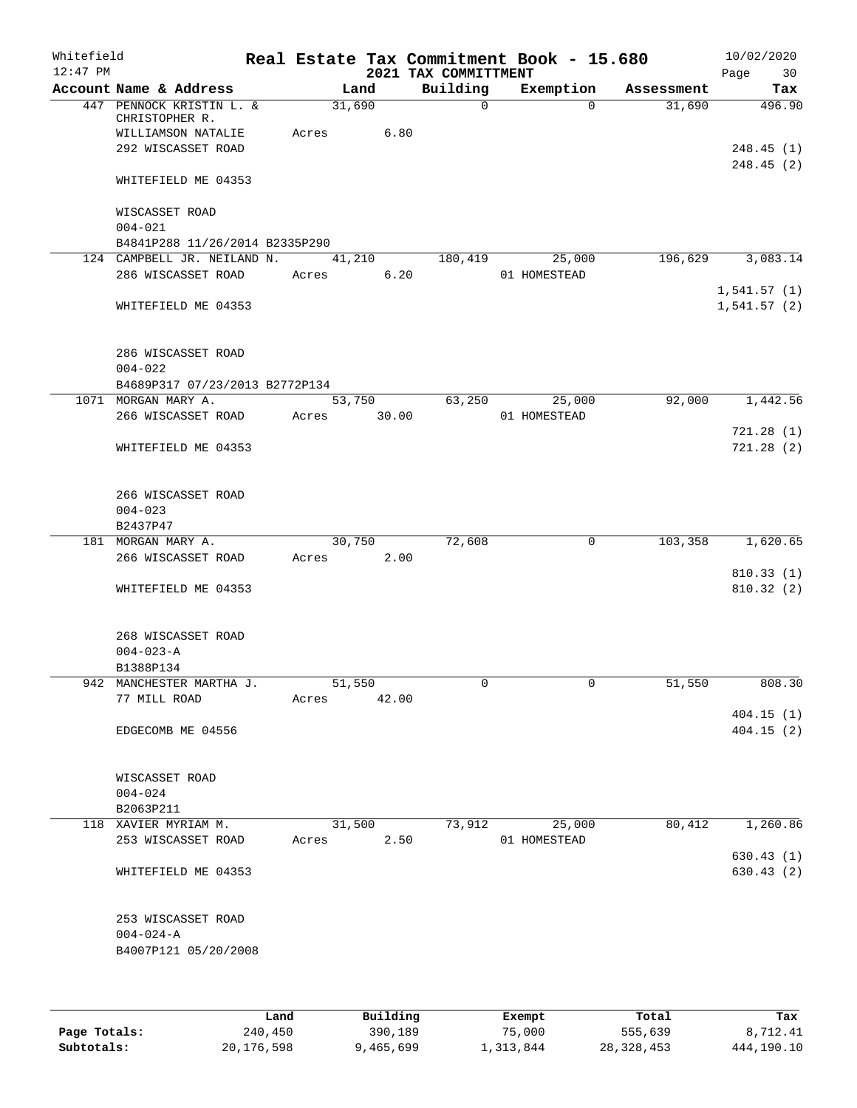| Whitefield<br>$12:47$ PM |                                                       |             |        |        | 2021 TAX COMMITTMENT | Real Estate Tax Commitment Book - 15.680 |            | Page        | 10/02/2020<br>30       |
|--------------------------|-------------------------------------------------------|-------------|--------|--------|----------------------|------------------------------------------|------------|-------------|------------------------|
|                          | Account Name & Address                                |             | Land   |        | Building             | Exemption                                | Assessment |             | Tax                    |
|                          | 447 PENNOCK KRISTIN L. &<br>CHRISTOPHER R.            |             | 31,690 |        | $\Omega$             | $\Omega$                                 | 31,690     |             | 496.90                 |
|                          | WILLIAMSON NATALIE<br>292 WISCASSET ROAD              | Acres       |        | 6.80   |                      |                                          |            |             | 248.45(1)              |
|                          | WHITEFIELD ME 04353                                   |             |        |        |                      |                                          |            |             | 248.45(2)              |
|                          | WISCASSET ROAD<br>$004 - 021$                         |             |        |        |                      |                                          |            |             |                        |
|                          | B4841P288 11/26/2014 B2335P290                        |             |        |        |                      |                                          |            |             |                        |
|                          | 124 CAMPBELL JR. NEILAND N.                           |             |        | 41,210 | 180,419              | 25,000                                   | 196,629    |             | 3,083.14               |
|                          | 286 WISCASSET ROAD                                    | Acres       |        | 6.20   |                      | 01 HOMESTEAD                             |            | 1,541.57(1) |                        |
|                          | WHITEFIELD ME 04353                                   |             |        |        |                      |                                          |            | 1,541.57(2) |                        |
|                          | 286 WISCASSET ROAD                                    |             |        |        |                      |                                          |            |             |                        |
|                          | $004 - 022$                                           |             |        |        |                      |                                          |            |             |                        |
|                          | B4689P317 07/23/2013 B2772P134<br>1071 MORGAN MARY A. |             | 53,750 |        | 63,250               | 25,000                                   | 92,000     |             | 1,442.56               |
|                          | 266 WISCASSET ROAD                                    | Acres       |        | 30.00  |                      | 01 HOMESTEAD                             |            |             |                        |
|                          | WHITEFIELD ME 04353                                   |             |        |        |                      |                                          |            |             | 721.28(1)<br>721.28(2) |
|                          | 266 WISCASSET ROAD<br>$004 - 023$<br>B2437P47         |             |        |        |                      |                                          |            |             |                        |
|                          | 181 MORGAN MARY A.                                    |             | 30,750 |        | 72,608               | 0                                        | 103,358    |             | 1,620.65               |
|                          | 266 WISCASSET ROAD                                    | Acres       |        | 2.00   |                      |                                          |            |             |                        |
|                          |                                                       |             |        |        |                      |                                          |            |             | 810.33(1)              |
|                          | WHITEFIELD ME 04353                                   |             |        |        |                      |                                          |            |             | 810.32(2)              |
|                          | 268 WISCASSET ROAD<br>$004 - 023 - A$                 |             |        |        |                      |                                          |            |             |                        |
|                          | B1388P134                                             |             |        |        |                      |                                          |            |             |                        |
|                          | 942 MANCHESTER MARTHA J.<br>77 MILL ROAD              | Acres 42.00 | 51,550 |        | 0                    | 0                                        | 51,550     |             | 808.30                 |
|                          |                                                       |             |        |        |                      |                                          |            |             | 404.15(1)              |
|                          | EDGECOMB ME 04556                                     |             |        |        |                      |                                          |            |             | 404.15(2)              |
|                          | WISCASSET ROAD<br>$004 - 024$                         |             |        |        |                      |                                          |            |             |                        |
|                          | B2063P211                                             |             |        |        |                      |                                          |            |             |                        |
|                          | 118 XAVIER MYRIAM M.                                  |             | 31,500 |        | 73,912               | 25,000                                   | 80,412     |             | 1,260.86               |
|                          | 253 WISCASSET ROAD                                    | Acres       |        | 2.50   |                      | 01 HOMESTEAD                             |            |             | 630.43(1)              |
|                          | WHITEFIELD ME 04353                                   |             |        |        |                      |                                          |            |             | 630.43 (2)             |
|                          | 253 WISCASSET ROAD                                    |             |        |        |                      |                                          |            |             |                        |
|                          | $004 - 024 - A$<br>B4007P121 05/20/2008               |             |        |        |                      |                                          |            |             |                        |
|                          |                                                       |             |        |        |                      |                                          |            |             |                        |

|              | Land       | Building  | Exempt    | Total        | Tax        |
|--------------|------------|-----------|-----------|--------------|------------|
| Page Totals: | 240,450    | 390,189   | 75,000    | 555,639      | 8,712.41   |
| Subtotals:   | 20,176,598 | 9,465,699 | 1,313,844 | 28, 328, 453 | 444,190.10 |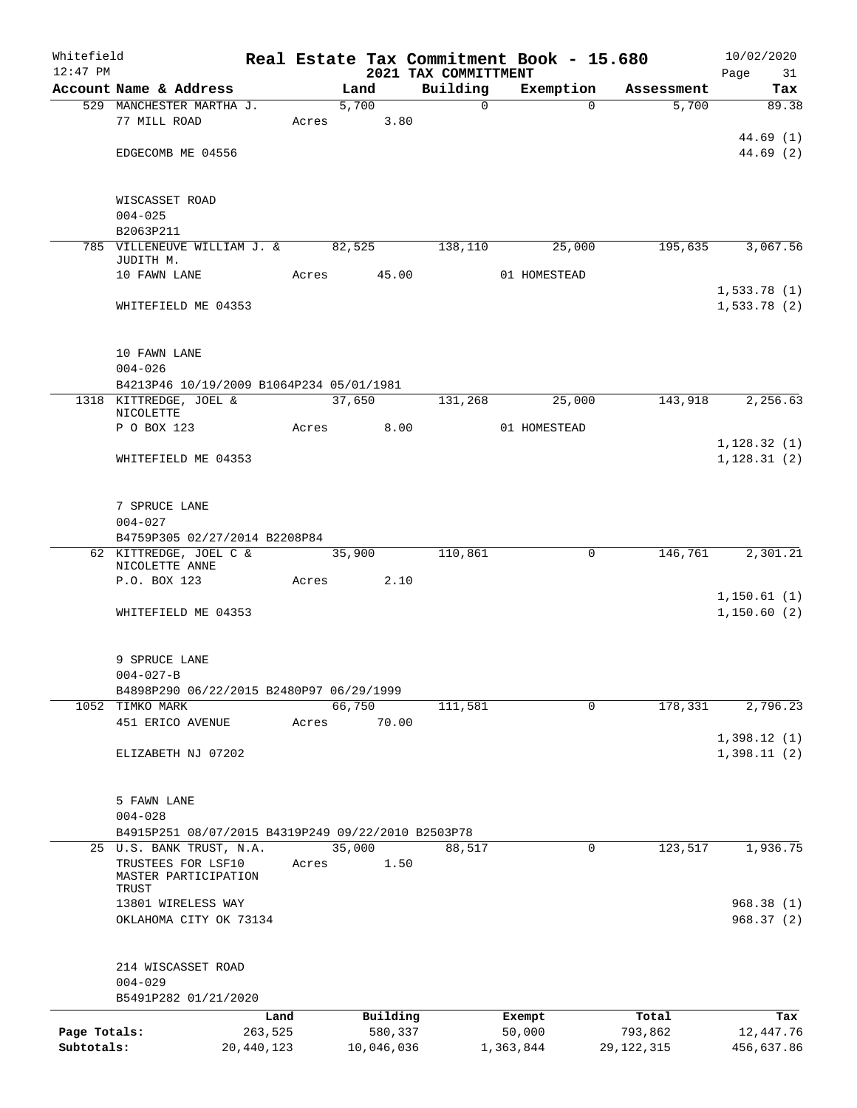| Whitefield                 |                                                    |                       |             |        |                       |                                  |                     | Real Estate Tax Commitment Book - 15.680 |                         | 10/02/2020              |
|----------------------------|----------------------------------------------------|-----------------------|-------------|--------|-----------------------|----------------------------------|---------------------|------------------------------------------|-------------------------|-------------------------|
| $12:47$ PM                 | Account Name & Address                             |                       |             | Land   |                       | 2021 TAX COMMITTMENT<br>Building |                     |                                          |                         | Page<br>31              |
|                            | 529 MANCHESTER MARTHA J.                           |                       |             | 5,700  |                       |                                  | $\mathsf{O}$        | Exemption<br>$\Omega$                    | Assessment<br>5,700     | Tax<br>89.38            |
|                            | 77 MILL ROAD                                       |                       | Acres       |        | 3.80                  |                                  |                     |                                          |                         |                         |
|                            |                                                    |                       |             |        |                       |                                  |                     |                                          |                         | 44.69(1)                |
|                            | EDGECOMB ME 04556                                  |                       |             |        |                       |                                  |                     |                                          |                         | 44.69(2)                |
|                            |                                                    |                       |             |        |                       |                                  |                     |                                          |                         |                         |
|                            | WISCASSET ROAD                                     |                       |             |        |                       |                                  |                     |                                          |                         |                         |
|                            | $004 - 025$                                        |                       |             |        |                       |                                  |                     |                                          |                         |                         |
|                            | B2063P211                                          |                       |             |        |                       |                                  |                     |                                          |                         |                         |
|                            | 785 VILLENEUVE WILLIAM J. & 82,525<br>JUDITH M.    |                       |             |        |                       | 138,110                          |                     | 25,000                                   | 195,635                 | 3,067.56                |
|                            | 10 FAWN LANE                                       |                       | Acres 45.00 |        |                       |                                  |                     | 01 HOMESTEAD                             |                         |                         |
|                            |                                                    |                       |             |        |                       |                                  |                     |                                          |                         | 1,533.78(1)             |
|                            | WHITEFIELD ME 04353                                |                       |             |        |                       |                                  |                     |                                          |                         | 1,533.78(2)             |
|                            |                                                    |                       |             |        |                       |                                  |                     |                                          |                         |                         |
|                            | 10 FAWN LANE                                       |                       |             |        |                       |                                  |                     |                                          |                         |                         |
|                            | $004 - 026$                                        |                       |             |        |                       |                                  |                     |                                          |                         |                         |
|                            | B4213P46 10/19/2009 B1064P234 05/01/1981           |                       |             |        |                       |                                  |                     |                                          |                         |                         |
|                            | 1318 KITTREDGE, JOEL &                             |                       |             | 37,650 |                       | 131,268                          |                     | 25,000                                   | 143,918                 | 2,256.63                |
|                            | NICOLETTE<br>P O BOX 123                           |                       | Acres       |        | 8.00                  |                                  |                     | 01 HOMESTEAD                             |                         |                         |
|                            |                                                    |                       |             |        |                       |                                  |                     |                                          |                         | 1,128.32(1)             |
|                            | WHITEFIELD ME 04353                                |                       |             |        |                       |                                  |                     |                                          |                         | 1, 128.31(2)            |
|                            |                                                    |                       |             |        |                       |                                  |                     |                                          |                         |                         |
|                            | 7 SPRUCE LANE                                      |                       |             |        |                       |                                  |                     |                                          |                         |                         |
|                            | $004 - 027$                                        |                       |             |        |                       |                                  |                     |                                          |                         |                         |
|                            | B4759P305 02/27/2014 B2208P84                      |                       |             |        |                       |                                  |                     |                                          |                         |                         |
|                            | 62 KITTREDGE, JOEL C & 35,900<br>NICOLETTE ANNE    |                       |             |        |                       | 110,861                          |                     | 0                                        | 146,761                 | 2,301.21                |
|                            | P.O. BOX 123                                       |                       | Acres 2.10  |        |                       |                                  |                     |                                          |                         |                         |
|                            |                                                    |                       |             |        |                       |                                  |                     |                                          |                         | 1, 150.61(1)            |
|                            | WHITEFIELD ME 04353                                |                       |             |        |                       |                                  |                     |                                          |                         | 1,150.60(2)             |
|                            |                                                    |                       |             |        |                       |                                  |                     |                                          |                         |                         |
|                            | 9 SPRUCE LANE                                      |                       |             |        |                       |                                  |                     |                                          |                         |                         |
|                            | $004 - 027 - B$                                    |                       |             |        |                       |                                  |                     |                                          |                         |                         |
|                            | B4898P290 06/22/2015 B2480P97 06/29/1999           |                       |             |        |                       |                                  |                     |                                          |                         |                         |
|                            | 1052 TIMKO MARK                                    |                       |             | 66,750 |                       | 111,581                          |                     | $\Omega$                                 | 178,331                 | 2,796.23                |
|                            | 451 ERICO AVENUE                                   |                       | Acres       |        | 70.00                 |                                  |                     |                                          |                         | 1,398.12(1)             |
|                            | ELIZABETH NJ 07202                                 |                       |             |        |                       |                                  |                     |                                          |                         | 1,398.11(2)             |
|                            |                                                    |                       |             |        |                       |                                  |                     |                                          |                         |                         |
|                            |                                                    |                       |             |        |                       |                                  |                     |                                          |                         |                         |
|                            | 5 FAWN LANE<br>$004 - 028$                         |                       |             |        |                       |                                  |                     |                                          |                         |                         |
|                            | B4915P251 08/07/2015 B4319P249 09/22/2010 B2503P78 |                       |             |        |                       |                                  |                     |                                          |                         |                         |
|                            | 25 U.S. BANK TRUST, N.A.                           |                       |             | 35,000 |                       | 88,517                           |                     | 0                                        | 123,517                 | 1,936.75                |
|                            | TRUSTEES FOR LSF10<br>MASTER PARTICIPATION         |                       | Acres       |        | 1.50                  |                                  |                     |                                          |                         |                         |
|                            | TRUST                                              |                       |             |        |                       |                                  |                     |                                          |                         |                         |
|                            | 13801 WIRELESS WAY                                 |                       |             |        |                       |                                  |                     |                                          |                         | 968.38(1)               |
|                            | OKLAHOMA CITY OK 73134                             |                       |             |        |                       |                                  |                     |                                          |                         | 968.37(2)               |
|                            |                                                    |                       |             |        |                       |                                  |                     |                                          |                         |                         |
|                            | 214 WISCASSET ROAD                                 |                       |             |        |                       |                                  |                     |                                          |                         |                         |
|                            | $004 - 029$                                        |                       |             |        |                       |                                  |                     |                                          |                         |                         |
|                            | B5491P282 01/21/2020                               |                       |             |        |                       |                                  |                     |                                          |                         |                         |
|                            |                                                    | Land                  |             |        | Building              |                                  | Exempt              |                                          | Total                   | Tax                     |
| Page Totals:<br>Subtotals: |                                                    | 263,525<br>20,440,123 |             |        | 580,337<br>10,046,036 |                                  | 50,000<br>1,363,844 |                                          | 793,862<br>29, 122, 315 | 12,447.76<br>456,637.86 |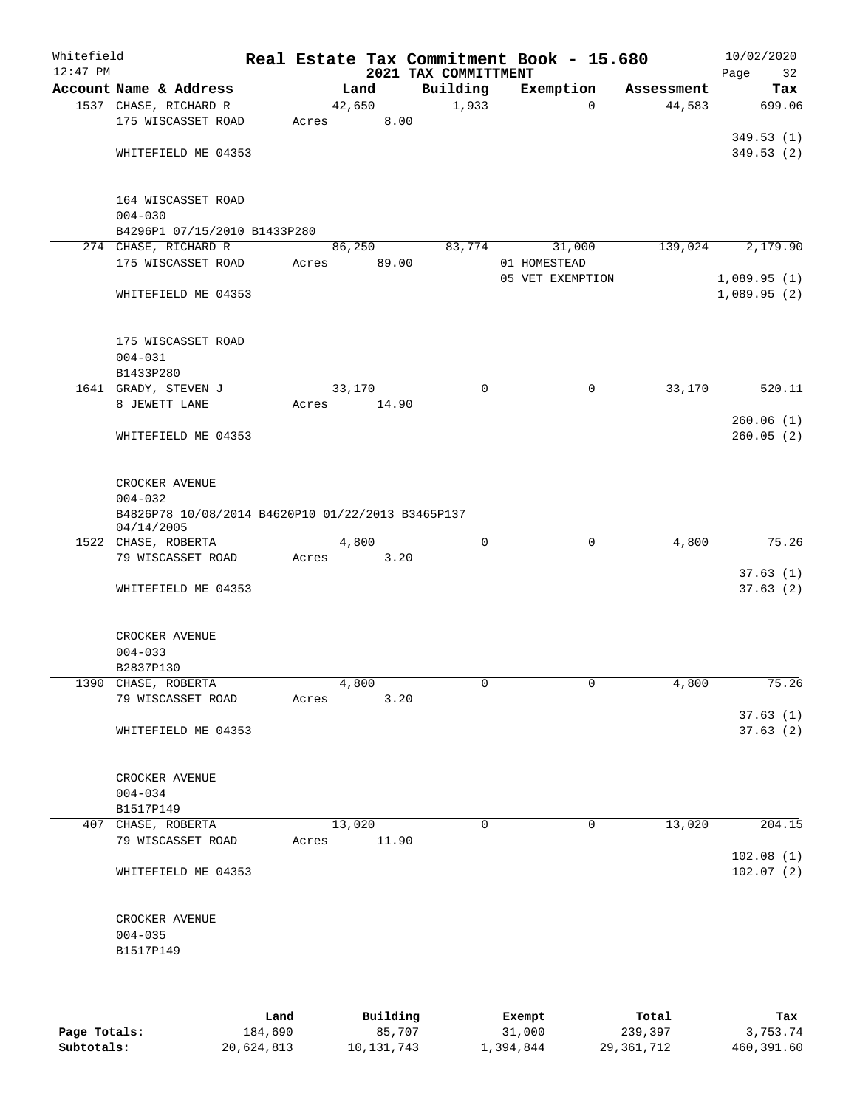| Whitefield<br>$12:47$ PM |                                                                 |       |        |       | 2021 TAX COMMITTMENT | Real Estate Tax Commitment Book - 15.680 |            | Page | 10/02/2020<br>32 |
|--------------------------|-----------------------------------------------------------------|-------|--------|-------|----------------------|------------------------------------------|------------|------|------------------|
|                          | Account Name & Address                                          |       |        | Land  | Building             | Exemption                                | Assessment |      | Tax              |
|                          | 1537 CHASE, RICHARD R                                           |       | 42,650 |       | 1,933                | $\mathbf 0$                              | 44,583     |      | 699.06           |
|                          | 175 WISCASSET ROAD                                              | Acres |        | 8.00  |                      |                                          |            |      |                  |
|                          |                                                                 |       |        |       |                      |                                          |            |      | 349.53(1)        |
|                          | WHITEFIELD ME 04353                                             |       |        |       |                      |                                          |            |      | 349.53(2)        |
|                          |                                                                 |       |        |       |                      |                                          |            |      |                  |
|                          | 164 WISCASSET ROAD                                              |       |        |       |                      |                                          |            |      |                  |
|                          | $004 - 030$                                                     |       |        |       |                      |                                          |            |      |                  |
|                          | B4296P1 07/15/2010 B1433P280                                    |       |        |       |                      |                                          |            |      |                  |
|                          | 274 CHASE, RICHARD R<br>175 WISCASSET ROAD                      |       | 86,250 |       | 83,774               | 31,000                                   | 139,024    |      | 2,179.90         |
|                          |                                                                 | Acres |        | 89.00 |                      | 01 HOMESTEAD<br>05 VET EXEMPTION         |            |      | 1,089.95(1)      |
|                          | WHITEFIELD ME 04353                                             |       |        |       |                      |                                          |            |      | 1,089.95(2)      |
|                          |                                                                 |       |        |       |                      |                                          |            |      |                  |
|                          |                                                                 |       |        |       |                      |                                          |            |      |                  |
|                          | 175 WISCASSET ROAD                                              |       |        |       |                      |                                          |            |      |                  |
|                          | $004 - 031$                                                     |       |        |       |                      |                                          |            |      |                  |
|                          | B1433P280                                                       |       | 33,170 |       | 0                    |                                          |            |      |                  |
|                          | 1641 GRADY, STEVEN J<br>8 JEWETT LANE                           | Acres |        | 14.90 |                      | $\mathsf{O}$                             | 33,170     |      | 520.11           |
|                          |                                                                 |       |        |       |                      |                                          |            |      | 260.06(1)        |
|                          | WHITEFIELD ME 04353                                             |       |        |       |                      |                                          |            |      | 260.05(2)        |
|                          |                                                                 |       |        |       |                      |                                          |            |      |                  |
|                          |                                                                 |       |        |       |                      |                                          |            |      |                  |
|                          | CROCKER AVENUE                                                  |       |        |       |                      |                                          |            |      |                  |
|                          | $004 - 032$                                                     |       |        |       |                      |                                          |            |      |                  |
|                          | B4826P78 10/08/2014 B4620P10 01/22/2013 B3465P137<br>04/14/2005 |       |        |       |                      |                                          |            |      |                  |
|                          | 1522 CHASE, ROBERTA                                             |       |        | 4,800 | $\mathbf 0$          | $\mathbf 0$                              | 4,800      |      | 75.26            |
|                          | 79 WISCASSET ROAD                                               | Acres |        | 3.20  |                      |                                          |            |      |                  |
|                          |                                                                 |       |        |       |                      |                                          |            |      | 37.63(1)         |
|                          | WHITEFIELD ME 04353                                             |       |        |       |                      |                                          |            |      | 37.63(2)         |
|                          |                                                                 |       |        |       |                      |                                          |            |      |                  |
|                          | CROCKER AVENUE                                                  |       |        |       |                      |                                          |            |      |                  |
|                          | $004 - 033$                                                     |       |        |       |                      |                                          |            |      |                  |
|                          | B2837P130                                                       |       |        |       |                      |                                          |            |      |                  |
|                          | 1390 CHASE, ROBERTA                                             |       | 4,800  |       | 0                    | 0                                        | 4,800      |      | 75.26            |
|                          | 79 WISCASSET ROAD                                               | Acres |        | 3.20  |                      |                                          |            |      |                  |
|                          |                                                                 |       |        |       |                      |                                          |            |      | 37.63(1)         |
|                          | WHITEFIELD ME 04353                                             |       |        |       |                      |                                          |            |      | 37.63(2)         |
|                          |                                                                 |       |        |       |                      |                                          |            |      |                  |
|                          | CROCKER AVENUE                                                  |       |        |       |                      |                                          |            |      |                  |
|                          | $004 - 034$                                                     |       |        |       |                      |                                          |            |      |                  |
|                          | B1517P149                                                       |       |        |       |                      |                                          |            |      |                  |
|                          | 407 CHASE, ROBERTA                                              |       | 13,020 |       | 0                    | 0                                        | 13,020     |      | 204.15           |
|                          | 79 WISCASSET ROAD                                               | Acres |        | 11.90 |                      |                                          |            |      |                  |
|                          |                                                                 |       |        |       |                      |                                          |            |      | 102.08(1)        |
|                          | WHITEFIELD ME 04353                                             |       |        |       |                      |                                          |            |      | 102.07(2)        |
|                          |                                                                 |       |        |       |                      |                                          |            |      |                  |
|                          | CROCKER AVENUE                                                  |       |        |       |                      |                                          |            |      |                  |
|                          | $004 - 035$                                                     |       |        |       |                      |                                          |            |      |                  |
|                          | B1517P149                                                       |       |        |       |                      |                                          |            |      |                  |
|                          |                                                                 |       |        |       |                      |                                          |            |      |                  |
|                          |                                                                 |       |        |       |                      |                                          |            |      |                  |
|                          |                                                                 |       |        |       |                      |                                          |            |      |                  |

|              | Land       | Building   | Exempt    | Total      | Tax        |
|--------------|------------|------------|-----------|------------|------------|
| Page Totals: | 184,690    | 85,707     | 31,000    | 239,397    | 3,753.74   |
| Subtotals:   | 20,624,813 | 10,131,743 | 1,394,844 | 29,361,712 | 460,391.60 |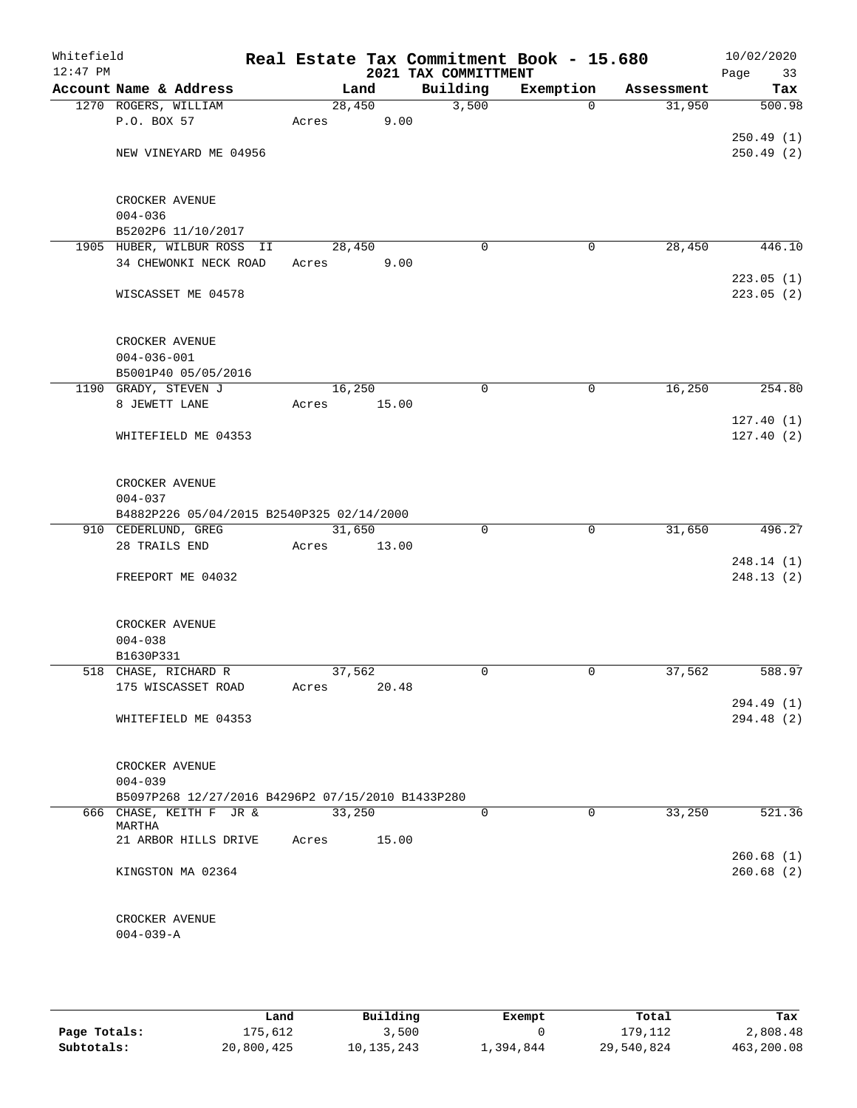| Whitefield<br>$12:47$ PM |                      |                                                   |        |       | 2021 TAX COMMITTMENT | Real Estate Tax Commitment Book - 15.680 |            | 10/02/2020<br>Page<br>33 |
|--------------------------|----------------------|---------------------------------------------------|--------|-------|----------------------|------------------------------------------|------------|--------------------------|
|                          |                      | Account Name & Address                            | Land   |       | Building             | Exemption                                | Assessment | Tax                      |
|                          | 1270 ROGERS, WILLIAM |                                                   | 28,450 |       | 3,500                | $\Omega$                                 | 31,950     | 500.98                   |
|                          | P.O. BOX 57          |                                                   | Acres  | 9.00  |                      |                                          |            |                          |
|                          |                      |                                                   |        |       |                      |                                          |            | 250.49(1)                |
|                          |                      | NEW VINEYARD ME 04956                             |        |       |                      |                                          |            | 250.49(2)                |
|                          | CROCKER AVENUE       |                                                   |        |       |                      |                                          |            |                          |
|                          | $004 - 036$          |                                                   |        |       |                      |                                          |            |                          |
|                          |                      | B5202P6 11/10/2017                                |        |       |                      |                                          |            |                          |
|                          |                      | 1905 HUBER, WILBUR ROSS II                        | 28,450 |       | 0                    | 0                                        | 28,450     | 446.10                   |
|                          |                      | 34 CHEWONKI NECK ROAD                             | Acres  | 9.00  |                      |                                          |            |                          |
|                          |                      |                                                   |        |       |                      |                                          |            | 223.05(1)                |
|                          |                      | WISCASSET ME 04578                                |        |       |                      |                                          |            | 223.05(2)                |
|                          | CROCKER AVENUE       |                                                   |        |       |                      |                                          |            |                          |
|                          | $004 - 036 - 001$    |                                                   |        |       |                      |                                          |            |                          |
|                          |                      | B5001P40 05/05/2016                               |        |       |                      |                                          |            |                          |
|                          | 1190 GRADY, STEVEN J |                                                   | 16,250 |       | 0                    | 0                                        | 16,250     | 254.80                   |
|                          | 8 JEWETT LANE        |                                                   | Acres  | 15.00 |                      |                                          |            |                          |
|                          |                      |                                                   |        |       |                      |                                          |            | 127.40(1)                |
|                          |                      | WHITEFIELD ME 04353                               |        |       |                      |                                          |            | 127.40(2)                |
|                          | CROCKER AVENUE       |                                                   |        |       |                      |                                          |            |                          |
|                          | $004 - 037$          |                                                   |        |       |                      |                                          |            |                          |
|                          |                      | B4882P226 05/04/2015 B2540P325 02/14/2000         |        |       |                      |                                          |            |                          |
|                          | 910 CEDERLUND, GREG  |                                                   | 31,650 |       | $\Omega$             | $\mathbf 0$                              | 31,650     | 496.27                   |
|                          | 28 TRAILS END        |                                                   | Acres  | 13.00 |                      |                                          |            |                          |
|                          |                      |                                                   |        |       |                      |                                          |            | 248.14 (1)               |
|                          |                      | FREEPORT ME 04032                                 |        |       |                      |                                          |            | 248.13(2)                |
|                          | CROCKER AVENUE       |                                                   |        |       |                      |                                          |            |                          |
|                          | $004 - 038$          |                                                   |        |       |                      |                                          |            |                          |
|                          | B1630P331            |                                                   |        |       |                      |                                          |            |                          |
|                          |                      | 518 CHASE, RICHARD R                              | 37,562 |       | 0                    | $\mathbf 0$                              | 37,562     | 588.97                   |
|                          |                      | 175 WISCASSET ROAD                                | Acres  | 20.48 |                      |                                          |            |                          |
|                          |                      |                                                   |        |       |                      |                                          |            | 294.49(1)                |
|                          |                      | WHITEFIELD ME 04353                               |        |       |                      |                                          |            | 294.48(2)                |
|                          | CROCKER AVENUE       |                                                   |        |       |                      |                                          |            |                          |
|                          | $004 - 039$          |                                                   |        |       |                      |                                          |            |                          |
|                          |                      | B5097P268 12/27/2016 B4296P2 07/15/2010 B1433P280 |        |       |                      |                                          |            |                          |
|                          | MARTHA               | 666 CHASE, KEITH F JR &                           | 33,250 |       | $\Omega$             | $\Omega$                                 | 33,250     | 521.36                   |
|                          |                      | 21 ARBOR HILLS DRIVE                              | Acres  | 15.00 |                      |                                          |            |                          |
|                          |                      | KINGSTON MA 02364                                 |        |       |                      |                                          |            | 260.68(1)<br>260.68(2)   |
|                          |                      |                                                   |        |       |                      |                                          |            |                          |
|                          | CROCKER AVENUE       |                                                   |        |       |                      |                                          |            |                          |
|                          | $004 - 039 - A$      |                                                   |        |       |                      |                                          |            |                          |
|                          |                      |                                                   |        |       |                      |                                          |            |                          |

|              | Land       | Building     | Exempt    | Total      | Tax        |
|--------------|------------|--------------|-----------|------------|------------|
| Page Totals: | 175,612    | 3,500        |           | 179.112    | 2,808.48   |
| Subtotals:   | 20,800,425 | 10, 135, 243 | 1,394,844 | 29,540,824 | 463,200.08 |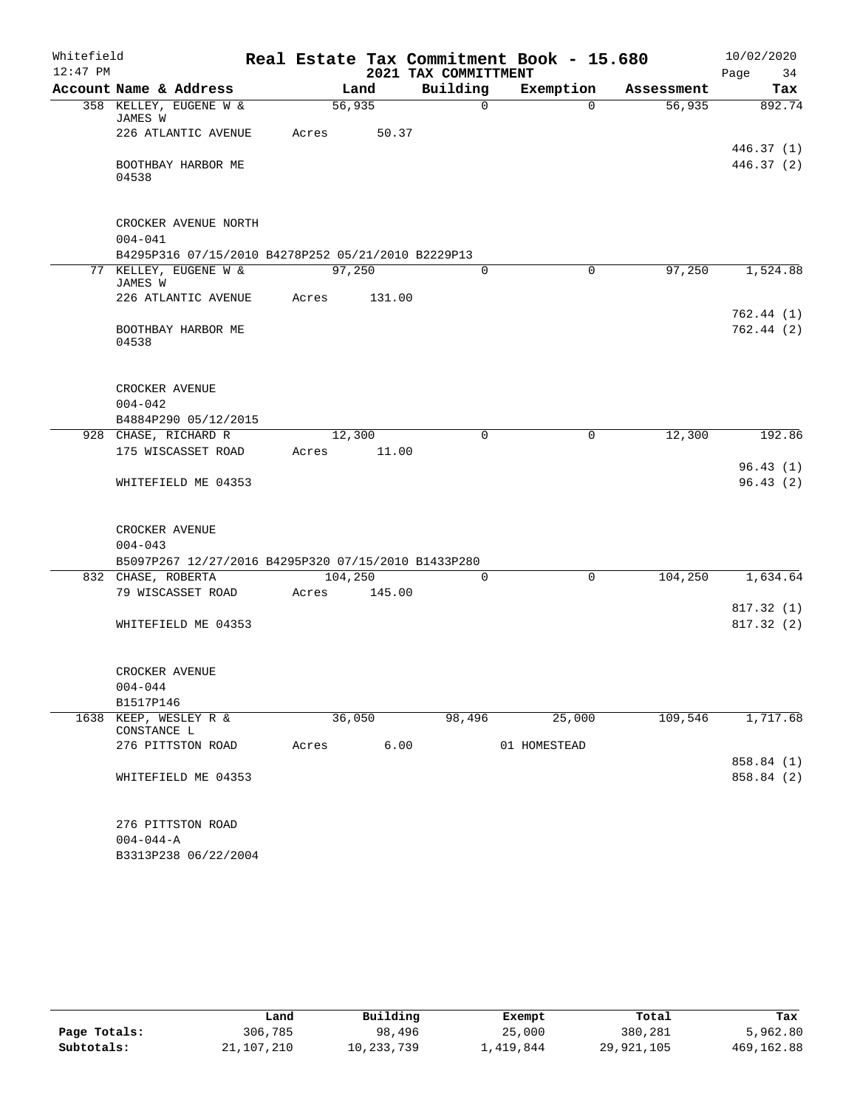| Whitefield |                    |                                                     |         |        |                      | Real Estate Tax Commitment Book - 15.680 |            | 10/02/2020 |
|------------|--------------------|-----------------------------------------------------|---------|--------|----------------------|------------------------------------------|------------|------------|
| $12:47$ PM |                    |                                                     |         |        | 2021 TAX COMMITTMENT |                                          |            | Page<br>34 |
|            |                    | Account Name & Address                              |         | Land   | Building             | Exemption                                | Assessment | Tax        |
|            | JAMES W            | 358 KELLEY, EUGENE W &                              | 56,935  |        | $\mathsf{O}$         | $\Omega$                                 | 56,935     | 892.74     |
|            |                    | 226 ATLANTIC AVENUE                                 | Acres   | 50.37  |                      |                                          |            |            |
|            |                    |                                                     |         |        |                      |                                          |            | 446.37(1)  |
|            |                    | BOOTHBAY HARBOR ME                                  |         |        |                      |                                          |            | 446.37 (2) |
|            | 04538              |                                                     |         |        |                      |                                          |            |            |
|            |                    | CROCKER AVENUE NORTH                                |         |        |                      |                                          |            |            |
|            | $004 - 041$        |                                                     |         |        |                      |                                          |            |            |
|            |                    | B4295P316 07/15/2010 B4278P252 05/21/2010 B2229P13  |         |        |                      |                                          |            |            |
|            | JAMES W            | 77 KELLEY, EUGENE W &                               | 97,250  |        | 0                    | $\mathbf 0$                              | 97,250     | 1,524.88   |
|            |                    | 226 ATLANTIC AVENUE                                 | Acres   | 131.00 |                      |                                          |            |            |
|            |                    |                                                     |         |        |                      |                                          |            | 762.44(1)  |
|            | 04538              | BOOTHBAY HARBOR ME                                  |         |        |                      |                                          |            | 762.44(2)  |
|            |                    |                                                     |         |        |                      |                                          |            |            |
|            | CROCKER AVENUE     |                                                     |         |        |                      |                                          |            |            |
|            | $004 - 042$        |                                                     |         |        |                      |                                          |            |            |
|            |                    | B4884P290 05/12/2015                                |         |        |                      |                                          |            |            |
|            |                    | 928 CHASE, RICHARD R                                | 12,300  |        | $\mathbf 0$          | 0                                        | 12,300     | 192.86     |
|            |                    | 175 WISCASSET ROAD                                  | Acres   | 11.00  |                      |                                          |            |            |
|            |                    |                                                     |         |        |                      |                                          |            | 96.43(1)   |
|            |                    | WHITEFIELD ME 04353                                 |         |        |                      |                                          |            | 96.43(2)   |
|            | CROCKER AVENUE     |                                                     |         |        |                      |                                          |            |            |
|            | $004 - 043$        |                                                     |         |        |                      |                                          |            |            |
|            |                    | B5097P267 12/27/2016 B4295P320 07/15/2010 B1433P280 |         |        |                      |                                          |            |            |
|            | 832 CHASE, ROBERTA |                                                     | 104,250 |        | $\Omega$             | $\mathbf 0$                              | 104,250    | 1,634.64   |
|            |                    | 79 WISCASSET ROAD                                   | Acres   | 145.00 |                      |                                          |            |            |
|            |                    |                                                     |         |        |                      |                                          |            | 817.32 (1) |
|            |                    | WHITEFIELD ME 04353                                 |         |        |                      |                                          |            | 817.32 (2) |
|            | CROCKER AVENUE     |                                                     |         |        |                      |                                          |            |            |
|            | $004 - 044$        |                                                     |         |        |                      |                                          |            |            |
|            | B1517P146          |                                                     |         |        |                      |                                          |            |            |
| 1638       | CONSTANCE L        | KEEP, WESLEY R &                                    | 36,050  |        | 98,496               | 25,000                                   | 109,546    | 1,717.68   |
|            |                    | 276 PITTSTON ROAD                                   | Acres   | 6.00   |                      | 01 HOMESTEAD                             |            |            |
|            |                    |                                                     |         |        |                      |                                          |            | 858.84 (1) |
|            |                    | WHITEFIELD ME 04353                                 |         |        |                      |                                          |            | 858.84 (2) |
|            |                    | 276 PITTSTON ROAD                                   |         |        |                      |                                          |            |            |
|            | $004 - 044 - A$    |                                                     |         |        |                      |                                          |            |            |
|            |                    | B3313P238 06/22/2004                                |         |        |                      |                                          |            |            |

|              | Land       | Building   | Exempt    | Total      | Tax         |
|--------------|------------|------------|-----------|------------|-------------|
| Page Totals: | 306,785    | 98,496     | 25,000    | 380,281    | 5,962.80    |
| Subtotals:   | 21,107,210 | 10,233,739 | 1,419,844 | 29,921,105 | 469, 162.88 |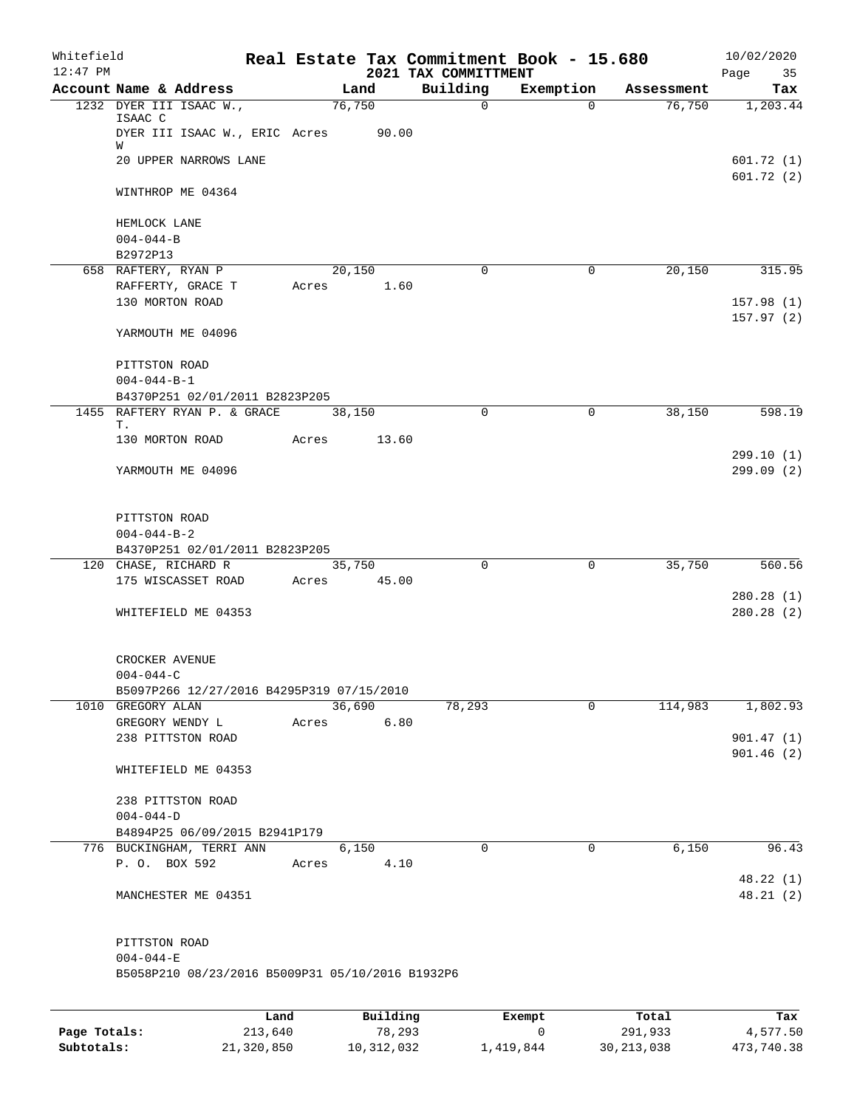| Whitefield<br>$12:47$ PM |                                                                                |      |       |          |       | 2021 TAX COMMITTMENT | Real Estate Tax Commitment Book - 15.680 |            | 10/02/2020<br>Page<br>35 |
|--------------------------|--------------------------------------------------------------------------------|------|-------|----------|-------|----------------------|------------------------------------------|------------|--------------------------|
|                          | Account Name & Address                                                         |      |       | Land     |       | Building             | Exemption                                | Assessment | Tax                      |
|                          | 1232 DYER III ISAAC W.,<br>ISAAC C<br>DYER III ISAAC W., ERIC Acres 90.00<br>W |      |       | 76,750   |       | $\mathbf 0$          | $\Omega$                                 | 76,750     | 1,203.44                 |
|                          | 20 UPPER NARROWS LANE                                                          |      |       |          |       |                      |                                          |            | 601.72(1)<br>601.72(2)   |
|                          | WINTHROP ME 04364                                                              |      |       |          |       |                      |                                          |            |                          |
|                          | HEMLOCK LANE<br>$004 - 044 - B$                                                |      |       |          |       |                      |                                          |            |                          |
|                          | B2972P13                                                                       |      |       |          |       |                      |                                          |            |                          |
|                          | 658 RAFTERY, RYAN P                                                            |      |       | 20,150   |       | $\mathbf 0$          | $\mathbf 0$                              | 20,150     | 315.95                   |
|                          | RAFFERTY, GRACE T<br>130 MORTON ROAD                                           |      | Acres |          | 1.60  |                      |                                          |            | 157.98(1)                |
|                          | YARMOUTH ME 04096                                                              |      |       |          |       |                      |                                          |            | 157.97(2)                |
|                          | PITTSTON ROAD<br>$004 - 044 - B - 1$                                           |      |       |          |       |                      |                                          |            |                          |
|                          | B4370P251 02/01/2011 B2823P205                                                 |      |       |          |       |                      |                                          |            |                          |
|                          | 1455 RAFTERY RYAN P. & GRACE<br>Т.                                             |      |       | 38,150   |       | $\Omega$             | $\Omega$                                 | 38,150     | 598.19                   |
|                          | 130 MORTON ROAD                                                                |      | Acres |          | 13.60 |                      |                                          |            | 299.10(1)                |
|                          | YARMOUTH ME 04096                                                              |      |       |          |       |                      |                                          |            | 299.09(2)                |
|                          | PITTSTON ROAD                                                                  |      |       |          |       |                      |                                          |            |                          |
|                          | $004 - 044 - B - 2$                                                            |      |       |          |       |                      |                                          |            |                          |
|                          | B4370P251 02/01/2011 B2823P205                                                 |      |       |          |       |                      |                                          |            |                          |
|                          | 120 CHASE, RICHARD R                                                           |      |       | 35,750   |       | $\Omega$             | $\mathbf 0$                              | 35,750     | 560.56                   |
|                          | 175 WISCASSET ROAD                                                             |      | Acres |          | 45.00 |                      |                                          |            |                          |
|                          | WHITEFIELD ME 04353                                                            |      |       |          |       |                      |                                          |            | 280.28(1)<br>280.28(2)   |
|                          | CROCKER AVENUE<br>$004 - 044 - C$                                              |      |       |          |       |                      |                                          |            |                          |
|                          | B5097P266 12/27/2016 B4295P319 07/15/2010                                      |      |       |          |       |                      |                                          |            |                          |
|                          | 1010 GREGORY ALAN                                                              |      |       | 36,690   |       | 78,293               | $\mathbf 0$                              | 114,983    | 1,802.93                 |
|                          | GREGORY WENDY L<br>238 PITTSTON ROAD                                           |      | Acres |          | 6.80  |                      |                                          |            | 901.47(1)                |
|                          | WHITEFIELD ME 04353                                                            |      |       |          |       |                      |                                          |            | 901.46(2)                |
|                          | 238 PITTSTON ROAD<br>$004 - 044 - D$                                           |      |       |          |       |                      |                                          |            |                          |
|                          | B4894P25 06/09/2015 B2941P179                                                  |      |       |          |       |                      |                                          |            |                          |
|                          | 776 BUCKINGHAM, TERRI ANN                                                      |      |       | 6,150    |       | $\Omega$             | 0                                        | 6,150      | 96.43                    |
|                          | P. O. BOX 592                                                                  |      | Acres |          | 4.10  |                      |                                          |            | 48.22 (1)                |
|                          | MANCHESTER ME 04351                                                            |      |       |          |       |                      |                                          |            | 48.21(2)                 |
|                          | PITTSTON ROAD<br>$004 - 044 - E$                                               |      |       |          |       |                      |                                          |            |                          |
|                          | B5058P210 08/23/2016 B5009P31 05/10/2016 B1932P6                               |      |       |          |       |                      |                                          |            |                          |
|                          |                                                                                | Land |       | Building |       |                      | <b>Exempt</b>                            | Total      | Tax                      |

|              | Land       | Building   | Exempt    | Total        | Tax        |
|--------------|------------|------------|-----------|--------------|------------|
| Page Totals: | 213,640    | 78,293     |           | 291,933      | 4,577.50   |
| Subtotals:   | 21,320,850 | 10,312,032 | 1,419,844 | 30, 213, 038 | 473,740.38 |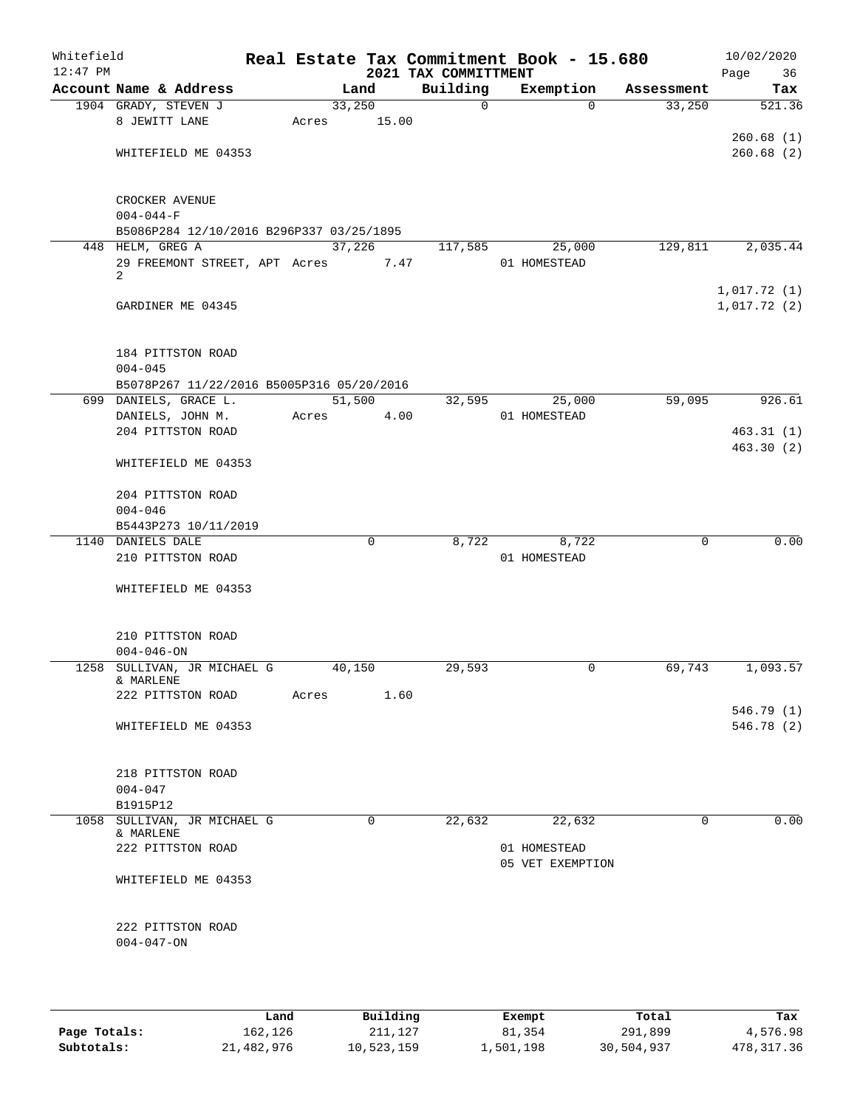| Whitefield<br>$12:47$ PM |                                                                    |       |             | 2021 TAX COMMITTMENT | Real Estate Tax Commitment Book - 15.680 |             | 10/02/2020<br>Page<br>36 |
|--------------------------|--------------------------------------------------------------------|-------|-------------|----------------------|------------------------------------------|-------------|--------------------------|
|                          | Account Name & Address                                             |       | Land        | Building             | Exemption                                | Assessment  | Tax                      |
|                          | 1904 GRADY, STEVEN J                                               |       | 33,250      | $\mathsf{O}$         | $\Omega$                                 | 33,250      | 521.36                   |
|                          | 8 JEWITT LANE                                                      | Acres | 15.00       |                      |                                          |             |                          |
|                          |                                                                    |       |             |                      |                                          |             | 260.68(1)                |
|                          | WHITEFIELD ME 04353                                                |       |             |                      |                                          |             | 260.68(2)                |
|                          |                                                                    |       |             |                      |                                          |             |                          |
|                          |                                                                    |       |             |                      |                                          |             |                          |
|                          | CROCKER AVENUE                                                     |       |             |                      |                                          |             |                          |
|                          | $004 - 044 - F$<br>B5086P284 12/10/2016 B296P337 03/25/1895        |       |             |                      |                                          |             |                          |
|                          | 448 HELM, GREG A                                                   |       | 37,226      | 117,585              | 25,000                                   | 129,811     | 2,035.44                 |
|                          | 29 FREEMONT STREET, APT Acres                                      |       | 7.47        |                      | 01 HOMESTEAD                             |             |                          |
|                          | $\overline{2}$                                                     |       |             |                      |                                          |             |                          |
|                          |                                                                    |       |             |                      |                                          |             | 1,017.72(1)              |
|                          | GARDINER ME 04345                                                  |       |             |                      |                                          |             | 1,017.72(2)              |
|                          |                                                                    |       |             |                      |                                          |             |                          |
|                          |                                                                    |       |             |                      |                                          |             |                          |
|                          | 184 PITTSTON ROAD                                                  |       |             |                      |                                          |             |                          |
|                          | $004 - 045$                                                        |       |             |                      |                                          |             |                          |
|                          | B5078P267 11/22/2016 B5005P316 05/20/2016<br>699 DANIELS, GRACE L. |       | 51,500      | 32,595               | 25,000                                   | 59,095      | 926.61                   |
|                          | DANIELS, JOHN M.                                                   | Acres | 4.00        |                      | 01 HOMESTEAD                             |             |                          |
|                          | 204 PITTSTON ROAD                                                  |       |             |                      |                                          |             | 463.31(1)                |
|                          |                                                                    |       |             |                      |                                          |             | 463.30(2)                |
|                          | WHITEFIELD ME 04353                                                |       |             |                      |                                          |             |                          |
|                          |                                                                    |       |             |                      |                                          |             |                          |
|                          | 204 PITTSTON ROAD                                                  |       |             |                      |                                          |             |                          |
|                          | $004 - 046$                                                        |       |             |                      |                                          |             |                          |
|                          | B5443P273 10/11/2019                                               |       |             |                      |                                          |             |                          |
|                          | 1140 DANIELS DALE                                                  |       | $\mathbf 0$ | 8,722                | 8,722                                    | $\mathbf 0$ | 0.00                     |
|                          | 210 PITTSTON ROAD                                                  |       |             |                      | 01 HOMESTEAD                             |             |                          |
|                          |                                                                    |       |             |                      |                                          |             |                          |
|                          | WHITEFIELD ME 04353                                                |       |             |                      |                                          |             |                          |
|                          |                                                                    |       |             |                      |                                          |             |                          |
|                          | 210 PITTSTON ROAD                                                  |       |             |                      |                                          |             |                          |
|                          | $004 - 046 - ON$                                                   |       |             |                      |                                          |             |                          |
|                          | 1258 SULLIVAN, JR MICHAEL G                                        |       | 40,150      | 29,593               | 0                                        | 69,743      | 1,093.57                 |
|                          | & MARLENE                                                          |       |             |                      |                                          |             |                          |
|                          | 222 PITTSTON ROAD                                                  | Acres | 1.60        |                      |                                          |             |                          |
|                          |                                                                    |       |             |                      |                                          |             | 546.79 (1)               |
|                          | WHITEFIELD ME 04353                                                |       |             |                      |                                          |             | 546.78(2)                |
|                          |                                                                    |       |             |                      |                                          |             |                          |
|                          | 218 PITTSTON ROAD                                                  |       |             |                      |                                          |             |                          |
|                          | $004 - 047$                                                        |       |             |                      |                                          |             |                          |
|                          | B1915P12                                                           |       |             |                      |                                          |             |                          |
|                          | 1058 SULLIVAN, JR MICHAEL G                                        |       | 0           | 22,632               | 22,632                                   | $\mathbf 0$ | 0.00                     |
|                          | & MARLENE                                                          |       |             |                      |                                          |             |                          |
|                          | 222 PITTSTON ROAD                                                  |       |             |                      | 01 HOMESTEAD                             |             |                          |
|                          |                                                                    |       |             |                      | 05 VET EXEMPTION                         |             |                          |
|                          | WHITEFIELD ME 04353                                                |       |             |                      |                                          |             |                          |
|                          |                                                                    |       |             |                      |                                          |             |                          |
|                          | 222 PITTSTON ROAD                                                  |       |             |                      |                                          |             |                          |
|                          | $004 - 047 - ON$                                                   |       |             |                      |                                          |             |                          |
|                          |                                                                    |       |             |                      |                                          |             |                          |
|                          |                                                                    |       |             |                      |                                          |             |                          |
|                          |                                                                    |       |             |                      |                                          |             |                          |

|              | Land       | Building   | Exempt    | Total      | Tax        |
|--------------|------------|------------|-----------|------------|------------|
| Page Totals: | 162,126    | 211,127    | 81,354    | 291,899    | 4,576.98   |
| Subtotals:   | 21,482,976 | 10,523,159 | 1,501,198 | 30,504,937 | 478,317.36 |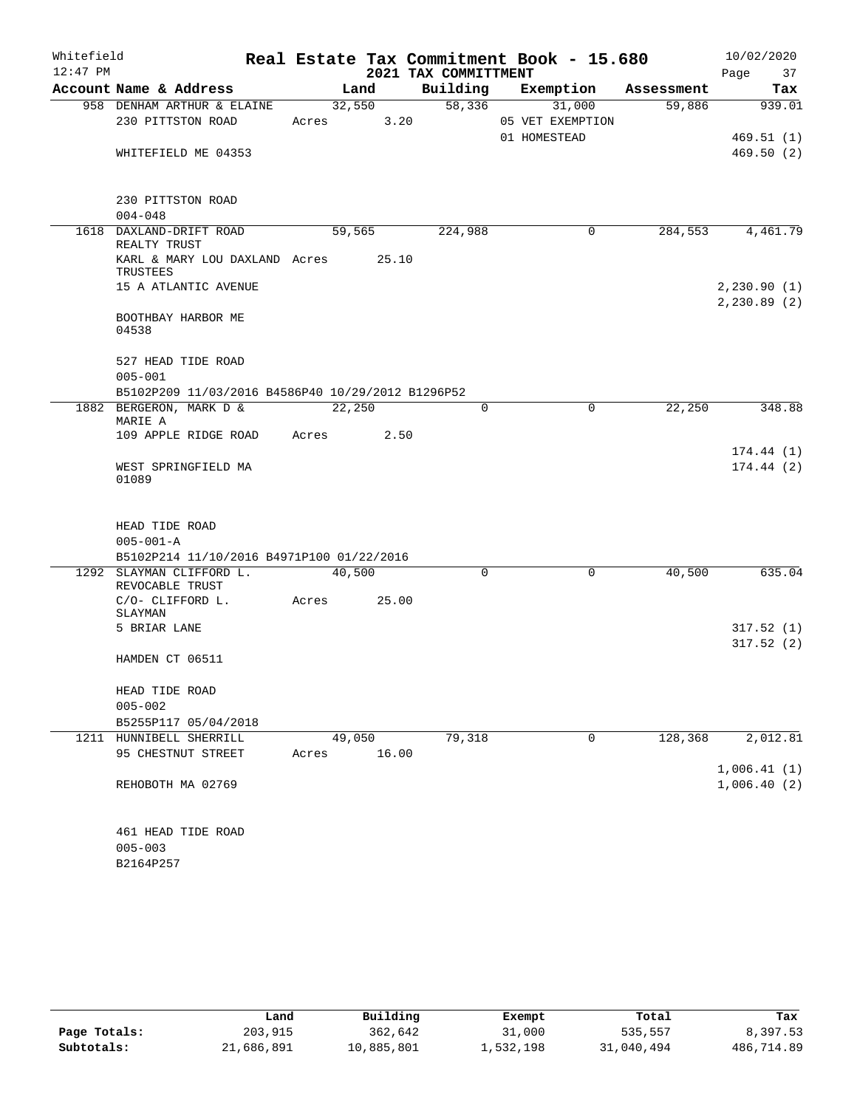| Whitefield |                                                   |       |        |                      | Real Estate Tax Commitment Book - 15.680 |            | 10/02/2020   |
|------------|---------------------------------------------------|-------|--------|----------------------|------------------------------------------|------------|--------------|
| $12:47$ PM |                                                   |       |        | 2021 TAX COMMITTMENT |                                          |            | 37<br>Page   |
|            | Account Name & Address                            |       | Land   | Building             | Exemption                                | Assessment | Tax          |
|            | 958 DENHAM ARTHUR & ELAINE                        |       | 32,550 | 58,336               | 31,000                                   | 59,886     | 939.01       |
|            | 230 PITTSTON ROAD                                 | Acres | 3.20   |                      | 05 VET EXEMPTION                         |            |              |
|            |                                                   |       |        |                      | 01 HOMESTEAD                             |            | 469.51(1)    |
|            | WHITEFIELD ME 04353                               |       |        |                      |                                          |            | 469.50(2)    |
|            |                                                   |       |        |                      |                                          |            |              |
|            |                                                   |       |        |                      |                                          |            |              |
|            | 230 PITTSTON ROAD                                 |       |        |                      |                                          |            |              |
|            | $004 - 048$                                       |       |        |                      |                                          |            |              |
|            | 1618 DAXLAND-DRIFT ROAD<br>REALTY TRUST           |       | 59,565 | 224,988              | 0                                        | 284,553    | 4,461.79     |
|            | KARL & MARY LOU DAXLAND Acres<br>TRUSTEES         |       | 25.10  |                      |                                          |            |              |
|            | 15 A ATLANTIC AVENUE                              |       |        |                      |                                          |            | 2,230.90(1)  |
|            |                                                   |       |        |                      |                                          |            | 2, 230.89(2) |
|            | BOOTHBAY HARBOR ME                                |       |        |                      |                                          |            |              |
|            | 04538                                             |       |        |                      |                                          |            |              |
|            | 527 HEAD TIDE ROAD                                |       |        |                      |                                          |            |              |
|            | $005 - 001$                                       |       |        |                      |                                          |            |              |
|            | B5102P209 11/03/2016 B4586P40 10/29/2012 B1296P52 |       |        |                      |                                          |            |              |
|            | 1882 BERGERON, MARK D &                           |       | 22,250 |                      | $\Omega$<br>$\Omega$                     | 22,250     | 348.88       |
|            | MARIE A                                           |       |        |                      |                                          |            |              |
|            | 109 APPLE RIDGE ROAD                              | Acres | 2.50   |                      |                                          |            |              |
|            |                                                   |       |        |                      |                                          |            | 174.44(1)    |
|            | WEST SPRINGFIELD MA                               |       |        |                      |                                          |            | 174.44(2)    |
|            | 01089                                             |       |        |                      |                                          |            |              |
|            |                                                   |       |        |                      |                                          |            |              |
|            |                                                   |       |        |                      |                                          |            |              |
|            | HEAD TIDE ROAD                                    |       |        |                      |                                          |            |              |
|            | $005 - 001 - A$                                   |       |        |                      |                                          |            |              |
|            | B5102P214 11/10/2016 B4971P100 01/22/2016         |       |        |                      |                                          |            |              |
|            | 1292 SLAYMAN CLIFFORD L.<br>REVOCABLE TRUST       |       | 40,500 |                      | 0<br>0                                   | 40,500     | 635.04       |
|            | C/O- CLIFFORD L.                                  | Acres | 25.00  |                      |                                          |            |              |
|            | SLAYMAN                                           |       |        |                      |                                          |            |              |
|            | 5 BRIAR LANE                                      |       |        |                      |                                          |            | 317.52(1)    |
|            |                                                   |       |        |                      |                                          |            | 317.52(2)    |
|            | HAMDEN CT 06511                                   |       |        |                      |                                          |            |              |
|            |                                                   |       |        |                      |                                          |            |              |
|            | HEAD TIDE ROAD                                    |       |        |                      |                                          |            |              |
|            | $005 - 002$                                       |       |        |                      |                                          |            |              |
|            | B5255P117 05/04/2018                              |       |        |                      |                                          |            |              |
|            | 1211 HUNNIBELL SHERRILL                           |       | 49,050 | 79,318               | $\mathbf 0$                              | 128,368    | 2,012.81     |
|            | 95 CHESTNUT STREET                                | Acres | 16.00  |                      |                                          |            |              |
|            |                                                   |       |        |                      |                                          |            | 1,006.41(1)  |
|            | REHOBOTH MA 02769                                 |       |        |                      |                                          |            | 1,006.40(2)  |
|            |                                                   |       |        |                      |                                          |            |              |
|            |                                                   |       |        |                      |                                          |            |              |
|            | 461 HEAD TIDE ROAD                                |       |        |                      |                                          |            |              |
|            | $005 - 003$                                       |       |        |                      |                                          |            |              |

| c<br>D.       |  |
|---------------|--|
| $0.4P$ .<br>× |  |

|              | Land       | Building   | Exempt    | Total      | Tax        |
|--------------|------------|------------|-----------|------------|------------|
| Page Totals: | 203,915    | 362,642    | 31,000    | 535,557    | 8,397.53   |
| Subtotals:   | 21,686,891 | 10,885,801 | 1,532,198 | 31,040,494 | 486,714.89 |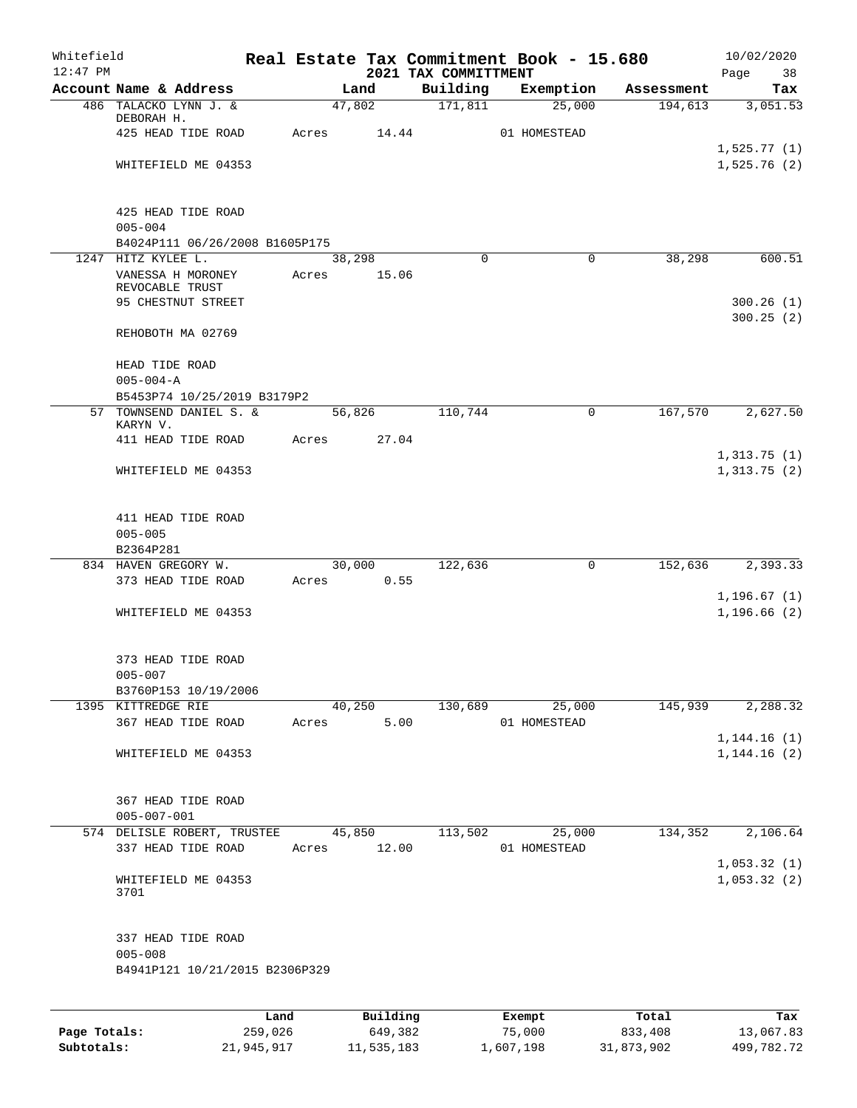| Whitefield<br>$12:47$ PM |                                            |         |       |          | 2021 TAX COMMITTMENT | Real Estate Tax Commitment Book - 15.680 |             |            | 10/02/2020<br>Page<br>38 |
|--------------------------|--------------------------------------------|---------|-------|----------|----------------------|------------------------------------------|-------------|------------|--------------------------|
|                          | Account Name & Address                     |         |       | Land     | Building             | Exemption                                |             | Assessment | Tax                      |
|                          | 486 TALACKO LYNN J. &                      |         |       | 47,802   | 171,811              | 25,000                                   |             | 194,613    | 3,051.53                 |
|                          | DEBORAH H.                                 |         |       |          |                      |                                          |             |            |                          |
|                          | 425 HEAD TIDE ROAD                         |         | Acres | 14.44    |                      | 01 HOMESTEAD                             |             |            | 1,525.77(1)              |
|                          | WHITEFIELD ME 04353                        |         |       |          |                      |                                          |             |            | 1,525.76(2)              |
|                          |                                            |         |       |          |                      |                                          |             |            |                          |
|                          |                                            |         |       |          |                      |                                          |             |            |                          |
|                          | 425 HEAD TIDE ROAD<br>$005 - 004$          |         |       |          |                      |                                          |             |            |                          |
|                          | B4024P111 06/26/2008 B1605P175             |         |       |          |                      |                                          |             |            |                          |
|                          | 1247 HITZ KYLEE L.                         |         |       | 38,298   | $\Omega$             |                                          | 0           | 38,298     | 600.51                   |
|                          | VANESSA H MORONEY                          |         | Acres | 15.06    |                      |                                          |             |            |                          |
|                          | REVOCABLE TRUST<br>95 CHESTNUT STREET      |         |       |          |                      |                                          |             |            | 300.26(1)                |
|                          |                                            |         |       |          |                      |                                          |             |            | 300.25(2)                |
|                          | REHOBOTH MA 02769                          |         |       |          |                      |                                          |             |            |                          |
|                          | HEAD TIDE ROAD                             |         |       |          |                      |                                          |             |            |                          |
|                          | $005 - 004 - A$                            |         |       |          |                      |                                          |             |            |                          |
|                          | B5453P74 10/25/2019 B3179P2                |         |       |          |                      |                                          |             |            |                          |
|                          | 57 TOWNSEND DANIEL S. &<br>KARYN V.        |         |       | 56,826   | 110,744              |                                          | 0           | 167,570    | 2,627.50                 |
|                          | 411 HEAD TIDE ROAD                         |         | Acres | 27.04    |                      |                                          |             |            |                          |
|                          |                                            |         |       |          |                      |                                          |             |            | 1,313.75(1)              |
|                          | WHITEFIELD ME 04353                        |         |       |          |                      |                                          |             |            | 1,313.75(2)              |
|                          | 411 HEAD TIDE ROAD                         |         |       |          |                      |                                          |             |            |                          |
|                          | $005 - 005$                                |         |       |          |                      |                                          |             |            |                          |
|                          | B2364P281                                  |         |       |          |                      |                                          |             |            |                          |
|                          | 834 HAVEN GREGORY W.                       |         |       | 30,000   | 122,636              |                                          | $\mathbf 0$ | 152,636    | 2,393.33                 |
|                          | 373 HEAD TIDE ROAD                         |         | Acres | 0.55     |                      |                                          |             |            | 1, 196.67(1)             |
|                          | WHITEFIELD ME 04353                        |         |       |          |                      |                                          |             |            | 1, 196.66(2)             |
|                          |                                            |         |       |          |                      |                                          |             |            |                          |
|                          | 373 HEAD TIDE ROAD                         |         |       |          |                      |                                          |             |            |                          |
|                          | $005 - 007$                                |         |       |          |                      |                                          |             |            |                          |
|                          | B3760P153 10/19/2006<br>1395 KITTREDGE RIE |         |       | 40,250   | 130,689              | 25,000                                   |             |            |                          |
|                          | 367 HEAD TIDE ROAD                         |         | Acres | 5.00     |                      | 01 HOMESTEAD                             |             | 145,939    | 2,288.32                 |
|                          |                                            |         |       |          |                      |                                          |             |            | 1,144.16(1)              |
|                          | WHITEFIELD ME 04353                        |         |       |          |                      |                                          |             |            | 1,144.16(2)              |
|                          |                                            |         |       |          |                      |                                          |             |            |                          |
|                          | 367 HEAD TIDE ROAD                         |         |       |          |                      |                                          |             |            |                          |
|                          | $005 - 007 - 001$                          |         |       |          |                      |                                          |             |            |                          |
|                          | 574 DELISLE ROBERT, TRUSTEE                |         |       | 45,850   | 113,502              | 25,000                                   |             | 134,352    | 2,106.64                 |
|                          | 337 HEAD TIDE ROAD                         |         | Acres | 12.00    |                      | 01 HOMESTEAD                             |             |            | 1,053.32(1)              |
|                          | WHITEFIELD ME 04353<br>3701                |         |       |          |                      |                                          |             |            | 1,053.32(2)              |
|                          | 337 HEAD TIDE ROAD                         |         |       |          |                      |                                          |             |            |                          |
|                          | $005 - 008$                                |         |       |          |                      |                                          |             |            |                          |
|                          | B4941P121 10/21/2015 B2306P329             |         |       |          |                      |                                          |             |            |                          |
|                          |                                            | Land    |       | Building |                      | Exempt                                   |             | Total      | Tax                      |
| Page Totals:             |                                            | 259,026 |       | 649,382  |                      | 75,000                                   |             | 833,408    | 13,067.83                |

**Subtotals:** 21,945,917 11,535,183 1,607,198 31,873,902 499,782.72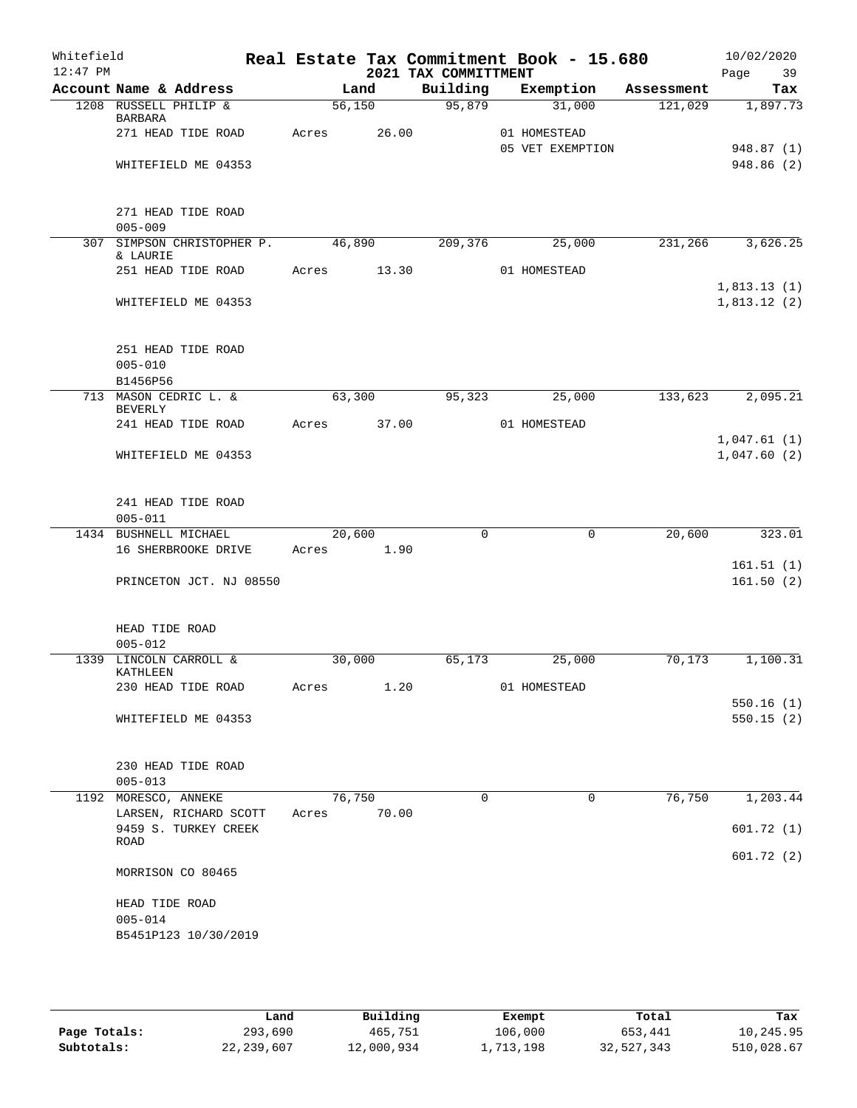| Whitefield<br>$12:47$ PM |                               |                                               |       |        |       |  | 2021 TAX COMMITTMENT | Real Estate Tax Commitment Book - 15.680 |            | 10/02/2020<br>39<br>Page   |
|--------------------------|-------------------------------|-----------------------------------------------|-------|--------|-------|--|----------------------|------------------------------------------|------------|----------------------------|
|                          |                               | Account Name & Address                        |       | Land   |       |  | Building             | Exemption                                | Assessment | Tax                        |
|                          |                               | 1208 RUSSELL PHILIP &                         |       | 56,150 |       |  | 95,879               | 31,000                                   | 121,029    | 1,897.73                   |
|                          | <b>BARBARA</b>                | 271 HEAD TIDE ROAD                            | Acres |        | 26.00 |  |                      | 01 HOMESTEAD<br>05 VET EXEMPTION         |            | 948.87 (1)                 |
|                          |                               | WHITEFIELD ME 04353                           |       |        |       |  |                      |                                          |            | 948.86(2)                  |
|                          | $005 - 009$                   | 271 HEAD TIDE ROAD                            |       |        |       |  |                      |                                          |            |                            |
|                          |                               | 307 SIMPSON CHRISTOPHER P.                    |       | 46,890 |       |  | 209,376              | 25,000                                   | 231,266    | 3,626.25                   |
|                          | & LAURIE                      | 251 HEAD TIDE ROAD                            | Acres |        | 13.30 |  |                      | 01 HOMESTEAD                             |            |                            |
|                          |                               | WHITEFIELD ME 04353                           |       |        |       |  |                      |                                          |            | 1,813.13(1)<br>1,813.12(2) |
|                          | $005 - 010$<br>B1456P56       | 251 HEAD TIDE ROAD                            |       |        |       |  |                      |                                          |            |                            |
|                          | <b>BEVERLY</b>                | 713 MASON CEDRIC L. &                         |       | 63,300 |       |  | 95,323               | 25,000                                   | 133,623    | 2,095.21                   |
|                          |                               | 241 HEAD TIDE ROAD                            | Acres |        | 37.00 |  |                      | 01 HOMESTEAD                             |            |                            |
|                          |                               | WHITEFIELD ME 04353                           |       |        |       |  |                      |                                          |            | 1,047.61(1)<br>1,047.60(2) |
|                          | $005 - 011$                   | 241 HEAD TIDE ROAD                            |       |        |       |  |                      |                                          |            |                            |
|                          |                               | 1434 BUSHNELL MICHAEL<br>16 SHERBROOKE DRIVE  | Acres | 20,600 | 1.90  |  | 0                    | $\mathbf 0$                              | 20,600     | 323.01                     |
|                          |                               | PRINCETON JCT. NJ 08550                       |       |        |       |  |                      |                                          |            | 161.51(1)<br>161.50(2)     |
|                          | HEAD TIDE ROAD<br>$005 - 012$ |                                               |       |        |       |  |                      |                                          |            |                            |
|                          | KATHLEEN                      | 1339 LINCOLN CARROLL &                        |       | 30,000 |       |  | 65,173               | 25,000                                   | 70,173     | 1,100.31                   |
|                          |                               | 230 HEAD TIDE ROAD                            | Acres |        | 1.20  |  |                      | 01 HOMESTEAD                             |            |                            |
|                          |                               | WHITEFIELD ME 04353                           |       |        |       |  |                      |                                          |            | 550.16(1)<br>550.15(2)     |
|                          | $005 - 013$                   | 230 HEAD TIDE ROAD                            |       |        |       |  |                      |                                          |            |                            |
|                          | 1192 MORESCO, ANNEKE          |                                               |       | 76,750 |       |  | 0                    | 0                                        | 76,750     | 1,203.44                   |
|                          |                               | LARSEN, RICHARD SCOTT<br>9459 S. TURKEY CREEK | Acres |        | 70.00 |  |                      |                                          |            | 601.72(1)                  |
|                          | ROAD                          |                                               |       |        |       |  |                      |                                          |            | 601.72 (2)                 |
|                          |                               | MORRISON CO 80465                             |       |        |       |  |                      |                                          |            |                            |
|                          | HEAD TIDE ROAD<br>$005 - 014$ | B5451P123 10/30/2019                          |       |        |       |  |                      |                                          |            |                            |
|                          |                               |                                               |       |        |       |  |                      |                                          |            |                            |

|              | Land         | Building   | Exempt    | Total      | Tax        |
|--------------|--------------|------------|-----------|------------|------------|
| Page Totals: | 293,690      | 465,751    | 106,000   | 653,441    | 10,245.95  |
| Subtotals:   | 22, 239, 607 | 12,000,934 | 1,713,198 | 32,527,343 | 510,028.67 |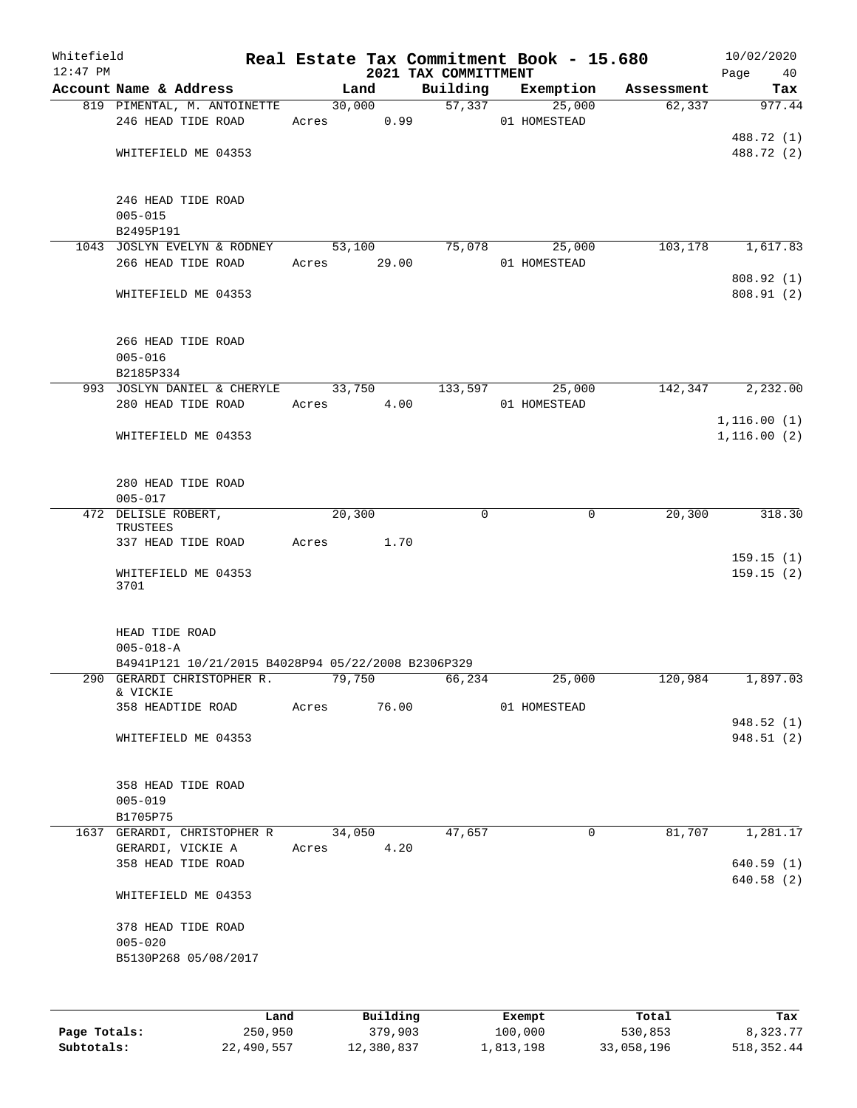| Whitefield<br>$12:47$ PM |                                                    |             |                     |                      | Real Estate Tax Commitment Book - 15.680 |                  | 10/02/2020      |
|--------------------------|----------------------------------------------------|-------------|---------------------|----------------------|------------------------------------------|------------------|-----------------|
|                          | Account Name & Address                             |             | Land                | 2021 TAX COMMITTMENT | Building Exemption Assessment            |                  | Page 40<br>Tax  |
|                          | 819 PIMENTAL, M. ANTOINETTE                        |             | 30,000              |                      | 57,337<br>25,000                         | 62,337           | 977.44          |
|                          | 246 HEAD TIDE ROAD                                 | Acres 0.99  |                     |                      | 01 HOMESTEAD                             |                  |                 |
|                          |                                                    |             |                     |                      |                                          |                  | 488.72 (1)      |
|                          | WHITEFIELD ME 04353                                |             |                     |                      |                                          |                  | 488.72 (2)      |
|                          |                                                    |             |                     |                      |                                          |                  |                 |
|                          | 246 HEAD TIDE ROAD                                 |             |                     |                      |                                          |                  |                 |
|                          | $005 - 015$                                        |             |                     |                      |                                          |                  |                 |
|                          | B2495P191                                          |             |                     |                      |                                          |                  |                 |
|                          | 1043 JOSLYN EVELYN & RODNEY 53,100 75,078          |             |                     |                      | 25,000                                   | 103, 178         | 1,617.83        |
|                          | 266 HEAD TIDE ROAD                                 | Acres 29.00 |                     |                      | 01 HOMESTEAD                             |                  |                 |
|                          |                                                    |             |                     |                      |                                          |                  | 808.92 (1)      |
|                          | WHITEFIELD ME 04353                                |             |                     |                      |                                          |                  | 808.91(2)       |
|                          | 266 HEAD TIDE ROAD                                 |             |                     |                      |                                          |                  |                 |
|                          | $005 - 016$                                        |             |                     |                      |                                          |                  |                 |
|                          | B2185P334                                          |             |                     |                      |                                          |                  |                 |
|                          | 993 JOSLYN DANIEL & CHERYLE 33,750                 |             |                     |                      | 133,597 25,000                           | 142,347          | 2,232.00        |
|                          | 280 HEAD TIDE ROAD                                 | Acres 4.00  |                     |                      | 01 HOMESTEAD                             |                  |                 |
|                          |                                                    |             |                     |                      |                                          |                  | 1,116.00(1)     |
|                          | WHITEFIELD ME 04353                                |             |                     |                      |                                          |                  | 1, 116.00(2)    |
|                          |                                                    |             |                     |                      |                                          |                  |                 |
|                          | 280 HEAD TIDE ROAD                                 |             |                     |                      |                                          |                  |                 |
|                          | $005 - 017$                                        |             |                     |                      |                                          |                  |                 |
|                          | 472 DELISLE ROBERT,                                |             | 20, 300             | $\Omega$             | $\mathbf 0$                              | 20, 300          | 318.30          |
|                          | TRUSTEES                                           |             |                     |                      |                                          |                  |                 |
|                          | 337 HEAD TIDE ROAD                                 | Acres 1.70  |                     |                      |                                          |                  |                 |
|                          |                                                    |             |                     |                      |                                          |                  | 159.15(1)       |
|                          | WHITEFIELD ME 04353                                |             |                     |                      |                                          |                  | 159.15(2)       |
|                          | 3701                                               |             |                     |                      |                                          |                  |                 |
|                          | HEAD TIDE ROAD                                     |             |                     |                      |                                          |                  |                 |
|                          | $005 - 018 - A$                                    |             |                     |                      |                                          |                  |                 |
|                          | B4941P121 10/21/2015 B4028P94 05/22/2008 B2306P329 |             |                     |                      |                                          |                  |                 |
|                          | 290 GERARDI CHRISTOPHER R.                         |             | 79,750              | 66,234               | 25,000                                   | 120,984          | 1,897.03        |
|                          | & VICKIE                                           |             |                     |                      |                                          |                  |                 |
|                          | 358 HEADTIDE ROAD                                  | Acres       | 76.00               |                      | 01 HOMESTEAD                             |                  |                 |
|                          |                                                    |             |                     |                      |                                          |                  | 948.52 (1)      |
|                          | WHITEFIELD ME 04353                                |             |                     |                      |                                          |                  | 948.51 (2)      |
|                          |                                                    |             |                     |                      |                                          |                  |                 |
|                          | 358 HEAD TIDE ROAD                                 |             |                     |                      |                                          |                  |                 |
|                          | $005 - 019$<br>B1705P75                            |             |                     |                      |                                          |                  |                 |
|                          | 1637 GERARDI, CHRISTOPHER R                        |             | 34,050              | 47,657               | 0                                        | 81,707           | 1,281.17        |
|                          | GERARDI, VICKIE A                                  | Acres       | 4.20                |                      |                                          |                  |                 |
|                          | 358 HEAD TIDE ROAD                                 |             |                     |                      |                                          |                  | 640.59(1)       |
|                          |                                                    |             |                     |                      |                                          |                  | 640.58(2)       |
|                          | WHITEFIELD ME 04353                                |             |                     |                      |                                          |                  |                 |
|                          | 378 HEAD TIDE ROAD                                 |             |                     |                      |                                          |                  |                 |
|                          | $005 - 020$                                        |             |                     |                      |                                          |                  |                 |
|                          | B5130P268 05/08/2017                               |             |                     |                      |                                          |                  |                 |
|                          |                                                    |             |                     |                      |                                          |                  |                 |
|                          |                                                    |             |                     |                      |                                          |                  |                 |
| Page Totals:             | Land<br>250,950                                    |             | Building<br>379,903 |                      | Exempt<br>100,000                        | Total<br>530,853 | Tax<br>8,323.77 |
|                          |                                                    |             |                     |                      |                                          |                  |                 |

**Subtotals:** 22,490,557 12,380,837 1,813,198 33,058,196 518,352.44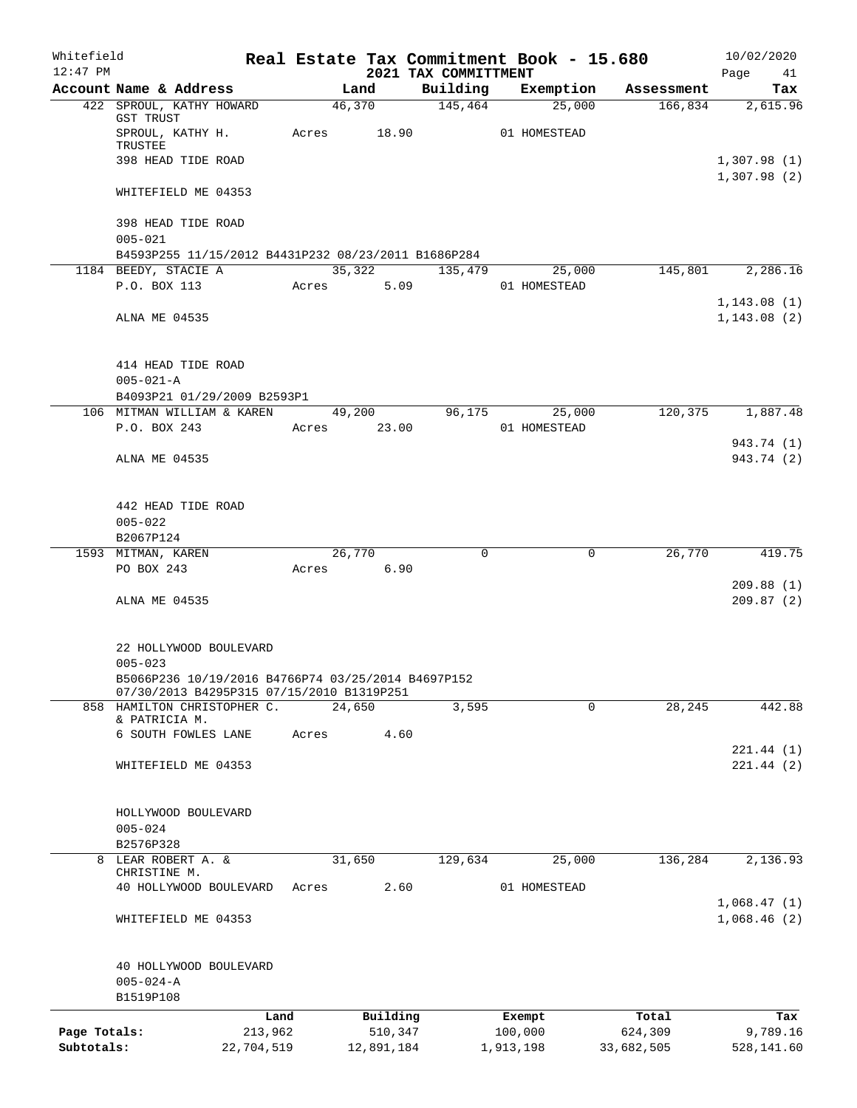| Whitefield<br>$12:47$ PM |                                                                          |                 |       |        |            | 2021 TAX COMMITTMENT | Real Estate Tax Commitment Book - 15.680 |                  | 10/02/2020<br>Page<br>41   |
|--------------------------|--------------------------------------------------------------------------|-----------------|-------|--------|------------|----------------------|------------------------------------------|------------------|----------------------------|
|                          | Account Name & Address                                                   |                 |       | Land   |            | Building             | Exemption                                | Assessment       | Tax                        |
|                          | 422 SPROUL, KATHY HOWARD                                                 |                 |       | 46,370 |            | 145,464              | 25,000                                   | 166,834          | 2,615.96                   |
|                          | GST TRUST<br>SPROUL, KATHY H.                                            |                 | Acres |        | 18.90      |                      | 01 HOMESTEAD                             |                  |                            |
|                          | TRUSTEE<br>398 HEAD TIDE ROAD                                            |                 |       |        |            |                      |                                          |                  | 1,307.98(1)                |
|                          |                                                                          |                 |       |        |            |                      |                                          |                  | 1,307.98(2)                |
|                          | WHITEFIELD ME 04353                                                      |                 |       |        |            |                      |                                          |                  |                            |
|                          | 398 HEAD TIDE ROAD<br>$005 - 021$                                        |                 |       |        |            |                      |                                          |                  |                            |
|                          | B4593P255 11/15/2012 B4431P232 08/23/2011 B1686P284                      |                 |       |        |            |                      |                                          |                  |                            |
|                          | 1184 BEEDY, STACIE A                                                     |                 |       |        | 35,322     | 135,479              | 25,000                                   | 145,801          | 2,286.16                   |
|                          | P.O. BOX 113                                                             |                 | Acres |        | 5.09       |                      | 01 HOMESTEAD                             |                  |                            |
|                          |                                                                          |                 |       |        |            |                      |                                          |                  | 1, 143.08(1)               |
|                          | ALNA ME 04535                                                            |                 |       |        |            |                      |                                          |                  | 1,143.08(2)                |
|                          | 414 HEAD TIDE ROAD                                                       |                 |       |        |            |                      |                                          |                  |                            |
|                          | $005 - 021 - A$                                                          |                 |       |        |            |                      |                                          |                  |                            |
|                          | B4093P21 01/29/2009 B2593P1                                              |                 |       |        |            |                      |                                          |                  |                            |
|                          | 106 MITMAN WILLIAM & KAREN                                               |                 |       | 49,200 |            | 96,175               | 25,000                                   | 120,375          | 1,887.48                   |
|                          | P.O. BOX 243                                                             |                 | Acres |        | 23.00      |                      | 01 HOMESTEAD                             |                  |                            |
|                          |                                                                          |                 |       |        |            |                      |                                          |                  | 943.74 (1)                 |
|                          | ALNA ME 04535                                                            |                 |       |        |            |                      |                                          |                  | 943.74 (2)                 |
|                          | 442 HEAD TIDE ROAD                                                       |                 |       |        |            |                      |                                          |                  |                            |
|                          | $005 - 022$                                                              |                 |       |        |            |                      |                                          |                  |                            |
|                          | B2067P124                                                                |                 |       |        |            |                      |                                          |                  |                            |
|                          | 1593 MITMAN, KAREN                                                       |                 |       | 26,770 |            | $\Omega$             | $\mathbf 0$                              | 26,770           | 419.75                     |
|                          | PO BOX 243                                                               |                 | Acres |        | 6.90       |                      |                                          |                  |                            |
|                          |                                                                          |                 |       |        |            |                      |                                          |                  | 209.88(1)                  |
|                          | ALNA ME 04535                                                            |                 |       |        |            |                      |                                          |                  | 209.87(2)                  |
|                          | 22 HOLLYWOOD BOULEVARD                                                   |                 |       |        |            |                      |                                          |                  |                            |
|                          | $005 - 023$                                                              |                 |       |        |            |                      |                                          |                  |                            |
|                          | B5066P236 10/19/2016 B4766P74 03/25/2014 B4697P152                       |                 |       |        |            |                      |                                          |                  |                            |
|                          | 07/30/2013 B4295P315 07/15/2010 B1319P251<br>858 HAMILTON CHRISTOPHER C. |                 |       | 24,650 |            | 3,595                | 0                                        | 28,245           | 442.88                     |
|                          | & PATRICIA M.                                                            |                 |       |        |            |                      |                                          |                  |                            |
|                          | 6 SOUTH FOWLES LANE                                                      |                 | Acres |        | 4.60       |                      |                                          |                  |                            |
|                          |                                                                          |                 |       |        |            |                      |                                          |                  | 221.44 (1)                 |
|                          | WHITEFIELD ME 04353                                                      |                 |       |        |            |                      |                                          |                  | 221.44 (2)                 |
|                          | HOLLYWOOD BOULEVARD                                                      |                 |       |        |            |                      |                                          |                  |                            |
|                          | $005 - 024$                                                              |                 |       |        |            |                      |                                          |                  |                            |
|                          | B2576P328                                                                |                 |       |        |            |                      |                                          |                  |                            |
|                          | 8 LEAR ROBERT A. &                                                       |                 |       | 31,650 |            | 129,634              | 25,000                                   | 136,284          | 2,136.93                   |
|                          | CHRISTINE M.                                                             |                 |       |        |            |                      |                                          |                  |                            |
|                          | 40 HOLLYWOOD BOULEVARD                                                   |                 | Acres |        | 2.60       |                      | 01 HOMESTEAD                             |                  |                            |
|                          | WHITEFIELD ME 04353                                                      |                 |       |        |            |                      |                                          |                  | 1,068.47(1)<br>1,068.46(2) |
|                          |                                                                          |                 |       |        |            |                      |                                          |                  |                            |
|                          | 40 HOLLYWOOD BOULEVARD                                                   |                 |       |        |            |                      |                                          |                  |                            |
|                          | $005 - 024 - A$<br>B1519P108                                             |                 |       |        |            |                      |                                          |                  |                            |
|                          |                                                                          |                 |       |        | Building   |                      |                                          |                  |                            |
| Page Totals:             |                                                                          | Land<br>213,962 |       |        | 510,347    |                      | Exempt<br>100,000                        | Total<br>624,309 | Tax<br>9,789.16            |
| Subtotals:               |                                                                          | 22,704,519      |       |        | 12,891,184 |                      | 1,913,198                                | 33,682,505       | 528,141.60                 |
|                          |                                                                          |                 |       |        |            |                      |                                          |                  |                            |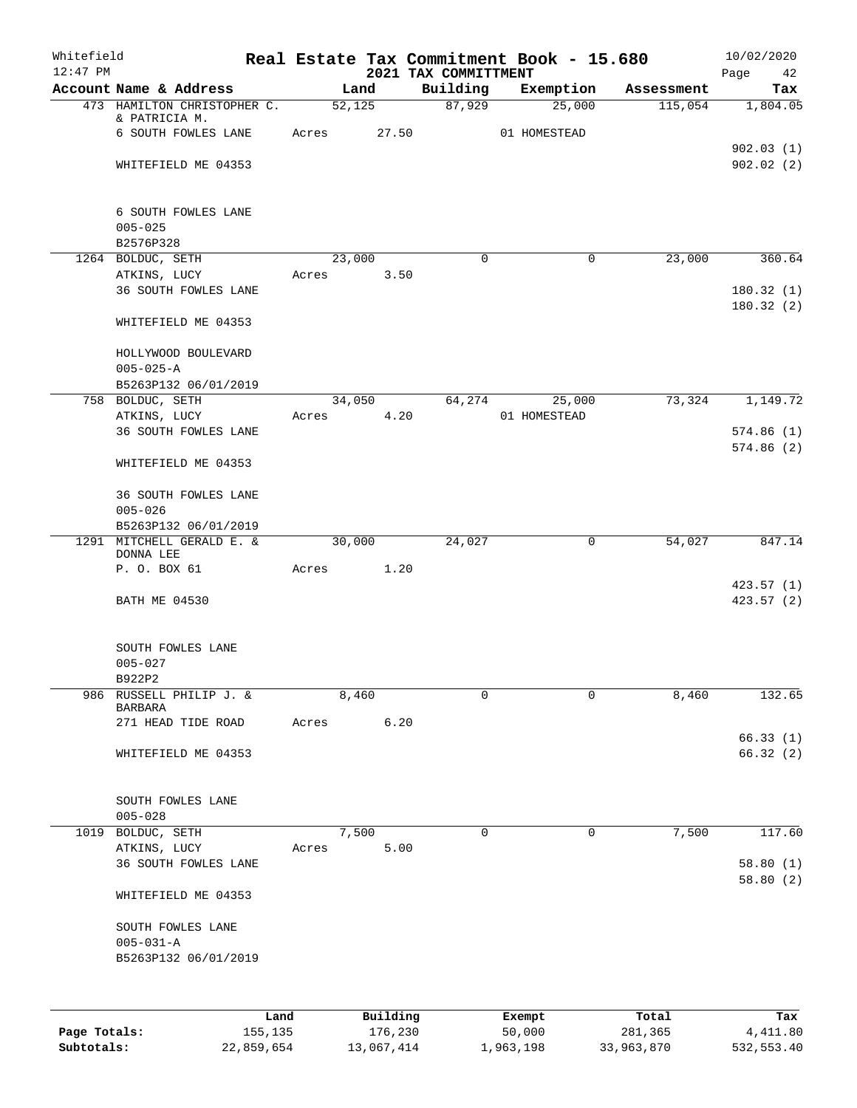| Whitefield<br>$12:47$ PM |                                        |         |       |        |          | 2021 TAX COMMITTMENT | Real Estate Tax Commitment Book - 15.680 |            | 10/02/2020             |
|--------------------------|----------------------------------------|---------|-------|--------|----------|----------------------|------------------------------------------|------------|------------------------|
|                          | Account Name & Address                 |         |       | Land   |          | Building             | Exemption                                | Assessment | Page<br>42<br>Tax      |
|                          | 473 HAMILTON CHRISTOPHER C.            |         |       | 52,125 |          | 87,929               | 25,000                                   | 115,054    | 1,804.05               |
|                          | & PATRICIA M.                          |         |       |        |          |                      |                                          |            |                        |
|                          | 6 SOUTH FOWLES LANE                    |         | Acres |        | 27.50    |                      | 01 HOMESTEAD                             |            |                        |
|                          | WHITEFIELD ME 04353                    |         |       |        |          |                      |                                          |            | 902.03(1)<br>902.02(2) |
|                          |                                        |         |       |        |          |                      |                                          |            |                        |
|                          |                                        |         |       |        |          |                      |                                          |            |                        |
|                          | 6 SOUTH FOWLES LANE                    |         |       |        |          |                      |                                          |            |                        |
|                          | $005 - 025$<br>B2576P328               |         |       |        |          |                      |                                          |            |                        |
|                          | 1264 BOLDUC, SETH                      |         |       | 23,000 |          | $\Omega$             | 0                                        | 23,000     | 360.64                 |
|                          | ATKINS, LUCY                           |         | Acres |        | 3.50     |                      |                                          |            |                        |
|                          | 36 SOUTH FOWLES LANE                   |         |       |        |          |                      |                                          |            | 180.32(1)              |
|                          |                                        |         |       |        |          |                      |                                          |            | 180.32(2)              |
|                          | WHITEFIELD ME 04353                    |         |       |        |          |                      |                                          |            |                        |
|                          | HOLLYWOOD BOULEVARD                    |         |       |        |          |                      |                                          |            |                        |
|                          | $005 - 025 - A$                        |         |       |        |          |                      |                                          |            |                        |
|                          | B5263P132 06/01/2019                   |         |       |        |          |                      |                                          |            |                        |
|                          | 758 BOLDUC, SETH                       |         |       | 34,050 |          | 64,274               | 25,000                                   | 73,324     | 1,149.72               |
|                          | ATKINS, LUCY                           |         | Acres |        | 4.20     |                      | 01 HOMESTEAD                             |            |                        |
|                          | 36 SOUTH FOWLES LANE                   |         |       |        |          |                      |                                          |            | 574.86(1)<br>574.86(2) |
|                          | WHITEFIELD ME 04353                    |         |       |        |          |                      |                                          |            |                        |
|                          | 36 SOUTH FOWLES LANE                   |         |       |        |          |                      |                                          |            |                        |
|                          | $005 - 026$                            |         |       |        |          |                      |                                          |            |                        |
|                          | B5263P132 06/01/2019                   |         |       |        |          |                      |                                          |            |                        |
|                          | 1291 MITCHELL GERALD E. &<br>DONNA LEE |         |       | 30,000 |          | 24,027               | 0                                        | 54,027     | 847.14                 |
|                          | P. O. BOX 61                           |         | Acres |        | 1.20     |                      |                                          |            |                        |
|                          |                                        |         |       |        |          |                      |                                          |            | 423.57(1)              |
|                          | <b>BATH ME 04530</b>                   |         |       |        |          |                      |                                          |            | 423.57 (2)             |
|                          | SOUTH FOWLES LANE                      |         |       |        |          |                      |                                          |            |                        |
|                          | $005 - 027$                            |         |       |        |          |                      |                                          |            |                        |
|                          | B922P2                                 |         |       |        |          |                      |                                          |            |                        |
| 986                      | RUSSELL PHILIP J. &                    |         |       | 8,460  |          | 0                    | $\mathbf 0$                              | 8,460      | 132.65                 |
|                          | <b>BARBARA</b><br>271 HEAD TIDE ROAD   |         | Acres |        | 6.20     |                      |                                          |            |                        |
|                          |                                        |         |       |        |          |                      |                                          |            | 66.33(1)               |
|                          | WHITEFIELD ME 04353                    |         |       |        |          |                      |                                          |            | 66.32(2)               |
|                          |                                        |         |       |        |          |                      |                                          |            |                        |
|                          | SOUTH FOWLES LANE                      |         |       |        |          |                      |                                          |            |                        |
| 1019                     | $005 - 028$<br>BOLDUC, SETH            |         |       | 7,500  |          | 0                    | 0                                        | 7,500      | 117.60                 |
|                          | ATKINS, LUCY                           |         | Acres |        | 5.00     |                      |                                          |            |                        |
|                          | 36 SOUTH FOWLES LANE                   |         |       |        |          |                      |                                          |            | 58.80(1)               |
|                          |                                        |         |       |        |          |                      |                                          |            | 58.80(2)               |
|                          | WHITEFIELD ME 04353                    |         |       |        |          |                      |                                          |            |                        |
|                          | SOUTH FOWLES LANE                      |         |       |        |          |                      |                                          |            |                        |
|                          | $005 - 031 - A$                        |         |       |        |          |                      |                                          |            |                        |
|                          | B5263P132 06/01/2019                   |         |       |        |          |                      |                                          |            |                        |
|                          |                                        |         |       |        |          |                      |                                          |            |                        |
|                          |                                        |         |       |        |          |                      |                                          |            |                        |
|                          |                                        | Land    |       |        | Building |                      | Exempt                                   | Total      | Tax                    |
| Page Totals:             |                                        | 155,135 |       |        | 176,230  |                      | 50,000                                   | 281,365    | 4, 411.80              |

**Subtotals:** 22,859,654 13,067,414 1,963,198 33,963,870 532,553.40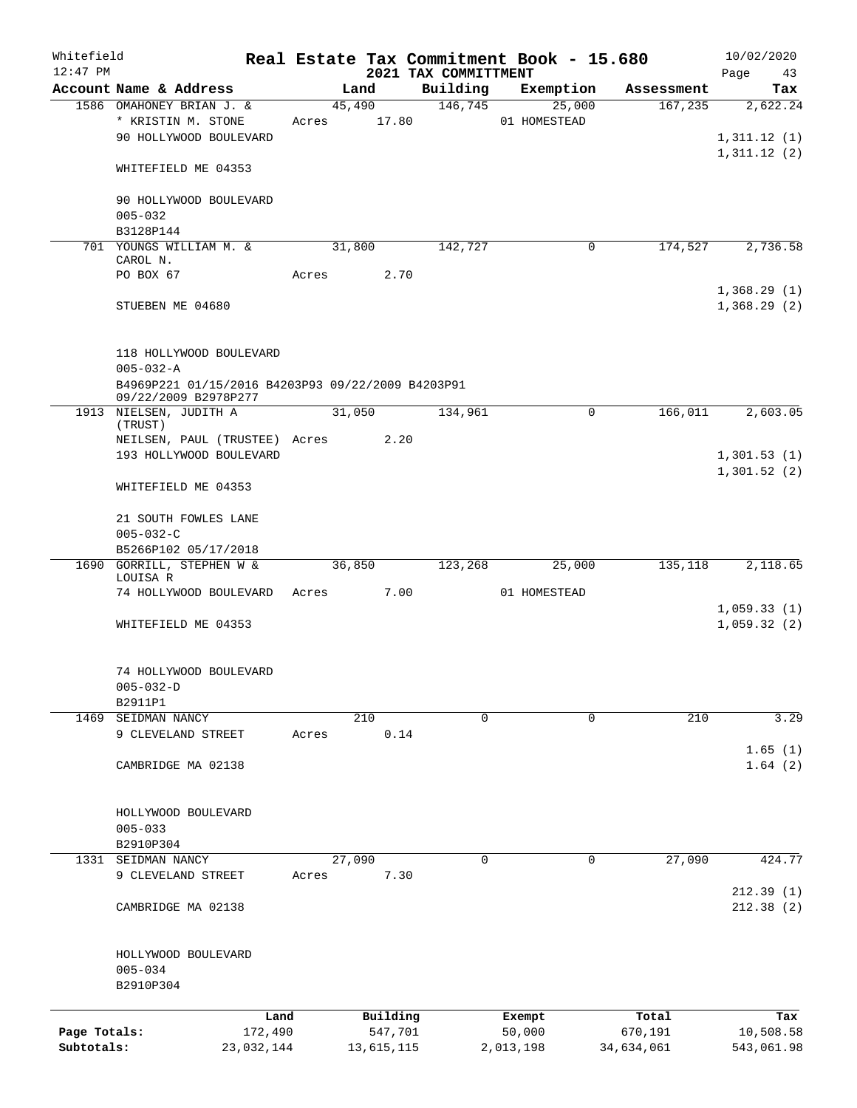| Whitefield<br>$12:47$ PM |                                                   |       |        |            | 2021 TAX COMMITTMENT | Real Estate Tax Commitment Book - 15.680 |            | 10/02/2020<br>Page<br>43 |
|--------------------------|---------------------------------------------------|-------|--------|------------|----------------------|------------------------------------------|------------|--------------------------|
|                          | Account Name & Address                            |       | Land   |            | Building             | Exemption                                | Assessment | Tax                      |
|                          | 1586 OMAHONEY BRIAN J. &                          |       | 45,490 |            | 146,745              | 25,000                                   | 167, 235   | 2,622.24                 |
|                          | * KRISTIN M. STONE                                | Acres |        | 17.80      |                      | 01 HOMESTEAD                             |            |                          |
|                          | 90 HOLLYWOOD BOULEVARD                            |       |        |            |                      |                                          |            | 1,311.12(1)              |
|                          |                                                   |       |        |            |                      |                                          |            | 1,311.12(2)              |
|                          | WHITEFIELD ME 04353                               |       |        |            |                      |                                          |            |                          |
|                          |                                                   |       |        |            |                      |                                          |            |                          |
|                          | 90 HOLLYWOOD BOULEVARD                            |       |        |            |                      |                                          |            |                          |
|                          | $005 - 032$                                       |       |        |            |                      |                                          |            |                          |
|                          | B3128P144                                         |       |        |            |                      |                                          |            |                          |
|                          | 701 YOUNGS WILLIAM M. &<br>CAROL N.               |       | 31,800 |            | 142,727              | 0                                        | 174,527    | 2,736.58                 |
|                          | PO BOX 67                                         | Acres |        | 2.70       |                      |                                          |            |                          |
|                          |                                                   |       |        |            |                      |                                          |            | 1,368.29(1)              |
|                          | STUEBEN ME 04680                                  |       |        |            |                      |                                          |            | 1,368.29(2)              |
|                          |                                                   |       |        |            |                      |                                          |            |                          |
|                          |                                                   |       |        |            |                      |                                          |            |                          |
|                          | 118 HOLLYWOOD BOULEVARD                           |       |        |            |                      |                                          |            |                          |
|                          | $005 - 032 - A$                                   |       |        |            |                      |                                          |            |                          |
|                          | B4969P221 01/15/2016 B4203P93 09/22/2009 B4203P91 |       |        |            |                      |                                          |            |                          |
|                          | 09/22/2009 B2978P277                              |       |        |            |                      |                                          |            |                          |
|                          | 1913 NIELSEN, JUDITH A                            |       | 31,050 |            | 134,961              | $\mathbf 0$                              | 166,011    | 2,603.05                 |
|                          | (TRUST)                                           |       |        |            |                      |                                          |            |                          |
|                          | NEILSEN, PAUL (TRUSTEE) Acres                     |       |        | 2.20       |                      |                                          |            |                          |
|                          | 193 HOLLYWOOD BOULEVARD                           |       |        |            |                      |                                          |            | 1,301.53(1)              |
|                          |                                                   |       |        |            |                      |                                          |            | 1,301.52(2)              |
|                          | WHITEFIELD ME 04353                               |       |        |            |                      |                                          |            |                          |
|                          |                                                   |       |        |            |                      |                                          |            |                          |
|                          | 21 SOUTH FOWLES LANE                              |       |        |            |                      |                                          |            |                          |
|                          | $005 - 032 - C$<br>B5266P102 05/17/2018           |       |        |            |                      |                                          |            |                          |
| 1690                     | GORRILL, STEPHEN W &                              |       | 36,850 |            | 123,268              | 25,000                                   | 135,118    | 2,118.65                 |
|                          | LOUISA R                                          |       |        |            |                      |                                          |            |                          |
|                          | 74 HOLLYWOOD BOULEVARD                            | Acres |        | 7.00       |                      | 01 HOMESTEAD                             |            |                          |
|                          |                                                   |       |        |            |                      |                                          |            | 1,059.33(1)              |
|                          | WHITEFIELD ME 04353                               |       |        |            |                      |                                          |            | 1,059.32(2)              |
|                          |                                                   |       |        |            |                      |                                          |            |                          |
|                          |                                                   |       |        |            |                      |                                          |            |                          |
|                          | 74 HOLLYWOOD BOULEVARD                            |       |        |            |                      |                                          |            |                          |
|                          | $005 - 032 - D$                                   |       |        |            |                      |                                          |            |                          |
|                          | B2911P1                                           |       |        |            |                      |                                          |            |                          |
| 1469                     | SEIDMAN NANCY                                     |       |        | 210        | $\mathbf 0$          | $\mathbf 0$                              | 210        | 3.29                     |
|                          | 9 CLEVELAND STREET                                | Acres |        | 0.14       |                      |                                          |            |                          |
|                          |                                                   |       |        |            |                      |                                          |            | 1.65(1)                  |
|                          | CAMBRIDGE MA 02138                                |       |        |            |                      |                                          |            | 1.64(2)                  |
|                          |                                                   |       |        |            |                      |                                          |            |                          |
|                          |                                                   |       |        |            |                      |                                          |            |                          |
|                          | HOLLYWOOD BOULEVARD                               |       |        |            |                      |                                          |            |                          |
|                          | $005 - 033$                                       |       |        |            |                      |                                          |            |                          |
|                          | B2910P304                                         |       |        |            |                      |                                          |            |                          |
| 1331                     | SEIDMAN NANCY                                     |       | 27,090 |            | $\mathbf 0$          | 0                                        | 27,090     | 424.77                   |
|                          | 9 CLEVELAND STREET                                | Acres |        | 7.30       |                      |                                          |            | 212.39(1)                |
|                          | CAMBRIDGE MA 02138                                |       |        |            |                      |                                          |            | 212.38(2)                |
|                          |                                                   |       |        |            |                      |                                          |            |                          |
|                          |                                                   |       |        |            |                      |                                          |            |                          |
|                          | HOLLYWOOD BOULEVARD                               |       |        |            |                      |                                          |            |                          |
|                          | $005 - 034$                                       |       |        |            |                      |                                          |            |                          |
|                          | B2910P304                                         |       |        |            |                      |                                          |            |                          |
|                          |                                                   |       |        |            |                      |                                          |            |                          |
|                          | Land                                              |       |        | Building   |                      | Exempt                                   | Total      | Tax                      |
| Page Totals:             | 172,490                                           |       |        | 547,701    |                      | 50,000                                   | 670,191    | 10,508.58                |
| Subtotals:               | 23,032,144                                        |       |        | 13,615,115 |                      | 2,013,198                                | 34,634,061 | 543,061.98               |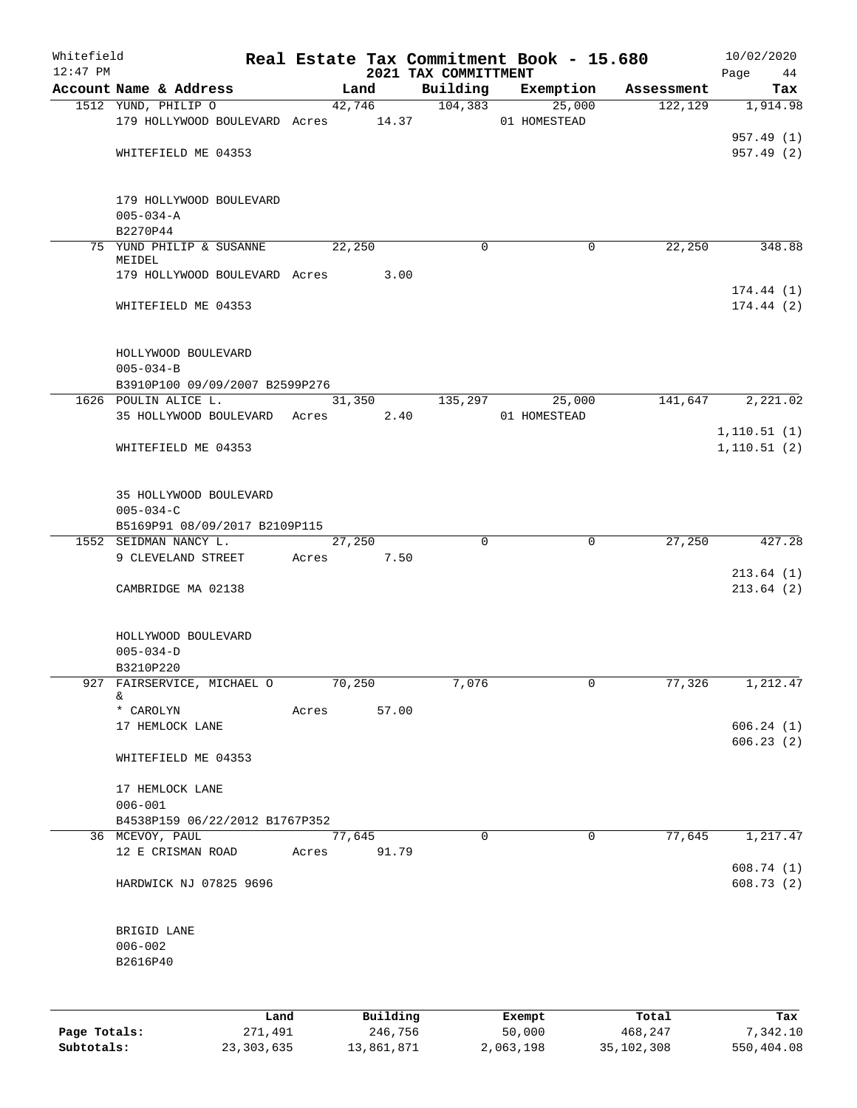| Whitefield<br>$12:47$ PM |                                     |       |          |                                  | Real Estate Tax Commitment Book - 15.680 |            | 10/02/2020                   |
|--------------------------|-------------------------------------|-------|----------|----------------------------------|------------------------------------------|------------|------------------------------|
|                          | Account Name & Address              |       | Land     | 2021 TAX COMMITTMENT<br>Building | Exemption                                | Assessment | Page<br>44<br>Tax            |
|                          | 1512 YUND, PHILIP O                 |       | 42,746   | 104,383                          | 25,000                                   | 122,129    | 1,914.98                     |
|                          | 179 HOLLYWOOD BOULEVARD Acres 14.37 |       |          |                                  | 01 HOMESTEAD                             |            |                              |
|                          |                                     |       |          |                                  |                                          |            | 957.49 (1)                   |
|                          | WHITEFIELD ME 04353                 |       |          |                                  |                                          |            | 957.49(2)                    |
|                          |                                     |       |          |                                  |                                          |            |                              |
|                          | 179 HOLLYWOOD BOULEVARD             |       |          |                                  |                                          |            |                              |
|                          | $005 - 034 - A$                     |       |          |                                  |                                          |            |                              |
|                          | B2270P44                            |       |          |                                  |                                          |            |                              |
|                          | 75 YUND PHILIP & SUSANNE            |       | 22,250   | $\Omega$                         | $\mathbf 0$                              | 22,250     | 348.88                       |
|                          | MEIDEL                              |       |          |                                  |                                          |            |                              |
|                          | 179 HOLLYWOOD BOULEVARD Acres       |       | 3.00     |                                  |                                          |            |                              |
|                          | WHITEFIELD ME 04353                 |       |          |                                  |                                          |            | 174.44(1)<br>174.44(2)       |
|                          |                                     |       |          |                                  |                                          |            |                              |
|                          |                                     |       |          |                                  |                                          |            |                              |
|                          | HOLLYWOOD BOULEVARD                 |       |          |                                  |                                          |            |                              |
|                          | $005 - 034 - B$                     |       |          |                                  |                                          |            |                              |
|                          | B3910P100 09/09/2007 B2599P276      |       |          |                                  |                                          |            |                              |
|                          | 1626 POULIN ALICE L.                |       | 31,350   | 135,297                          | 25,000                                   | 141,647    | 2,221.02                     |
|                          | 35 HOLLYWOOD BOULEVARD Acres        |       | 2.40     |                                  | 01 HOMESTEAD                             |            |                              |
|                          |                                     |       |          |                                  |                                          |            | 1, 110.51(1)<br>1, 110.51(2) |
|                          | WHITEFIELD ME 04353                 |       |          |                                  |                                          |            |                              |
|                          |                                     |       |          |                                  |                                          |            |                              |
|                          | 35 HOLLYWOOD BOULEVARD              |       |          |                                  |                                          |            |                              |
|                          | $005 - 034 - C$                     |       |          |                                  |                                          |            |                              |
|                          | B5169P91 08/09/2017 B2109P115       |       |          |                                  |                                          |            |                              |
|                          | 1552 SEIDMAN NANCY L.               |       | 27,250   | $\Omega$                         | $\mathbf 0$                              | 27,250     | 427.28                       |
|                          | 9 CLEVELAND STREET                  | Acres | 7.50     |                                  |                                          |            |                              |
|                          | CAMBRIDGE MA 02138                  |       |          |                                  |                                          |            | 213.64(1)<br>213.64(2)       |
|                          |                                     |       |          |                                  |                                          |            |                              |
|                          |                                     |       |          |                                  |                                          |            |                              |
|                          | HOLLYWOOD BOULEVARD                 |       |          |                                  |                                          |            |                              |
|                          | $005 - 034 - D$                     |       |          |                                  |                                          |            |                              |
|                          | B3210P220                           |       |          |                                  |                                          |            |                              |
|                          | 927 FAIRSERVICE, MICHAEL O<br>&     |       | 70,250   | 7,076                            | 0                                        | 77,326     | 1,212.47                     |
|                          | * CAROLYN                           | Acres | 57.00    |                                  |                                          |            |                              |
|                          | 17 HEMLOCK LANE                     |       |          |                                  |                                          |            | 606.24(1)                    |
|                          |                                     |       |          |                                  |                                          |            | 606.23(2)                    |
|                          | WHITEFIELD ME 04353                 |       |          |                                  |                                          |            |                              |
|                          |                                     |       |          |                                  |                                          |            |                              |
|                          | 17 HEMLOCK LANE<br>$006 - 001$      |       |          |                                  |                                          |            |                              |
|                          | B4538P159 06/22/2012 B1767P352      |       |          |                                  |                                          |            |                              |
|                          | 36 MCEVOY, PAUL                     |       | 77,645   | $\mathbf 0$                      | $\mathbf 0$                              | 77,645     | 1,217.47                     |
|                          | 12 E CRISMAN ROAD                   | Acres | 91.79    |                                  |                                          |            |                              |
|                          |                                     |       |          |                                  |                                          |            | 608.74 (1)                   |
|                          | HARDWICK NJ 07825 9696              |       |          |                                  |                                          |            | 608.73(2)                    |
|                          |                                     |       |          |                                  |                                          |            |                              |
|                          |                                     |       |          |                                  |                                          |            |                              |
|                          | BRIGID LANE<br>$006 - 002$          |       |          |                                  |                                          |            |                              |
|                          | B2616P40                            |       |          |                                  |                                          |            |                              |
|                          |                                     |       |          |                                  |                                          |            |                              |
|                          |                                     |       |          |                                  |                                          |            |                              |
|                          | Land                                |       | Building |                                  | Exempt                                   | Total      | Tax                          |
| Page Totals:             | 271,491                             |       | 246,756  |                                  | 50,000                                   | 468,247    | 7,342.10                     |

**Subtotals:** 23,303,635 13,861,871 2,063,198 35,102,308 550,404.08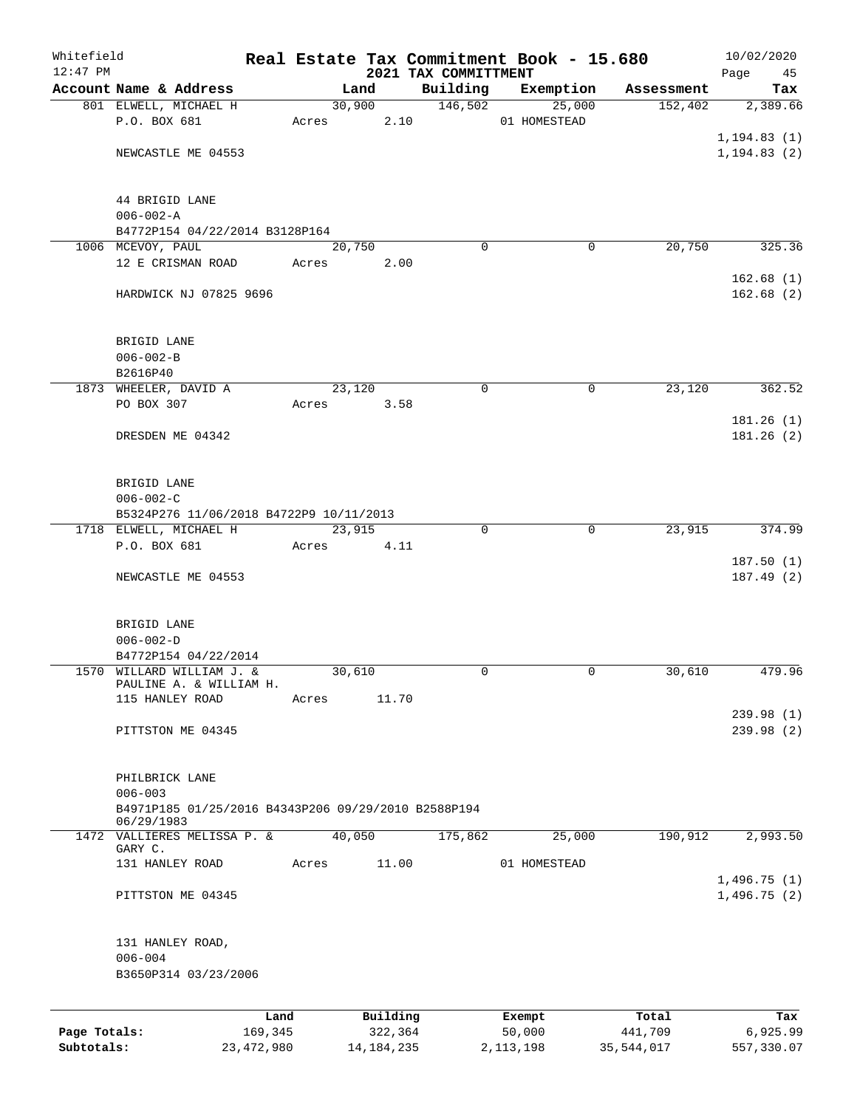| Whitefield                 |                                                                                  |                         |       |                         |                                  | Real Estate Tax Commitment Book - 15.680 |                       | 10/02/2020             |
|----------------------------|----------------------------------------------------------------------------------|-------------------------|-------|-------------------------|----------------------------------|------------------------------------------|-----------------------|------------------------|
| $12:47$ PM                 | Account Name & Address                                                           |                         |       | Land                    | 2021 TAX COMMITTMENT<br>Building | Exemption                                | Assessment            | Page<br>45<br>Tax      |
|                            | 801 ELWELL, MICHAEL H                                                            |                         |       | 30,900                  | 146,502                          | 25,000                                   | 152,402               | 2,389.66               |
|                            | P.O. BOX 681                                                                     |                         | Acres | 2.10                    |                                  | 01 HOMESTEAD                             |                       |                        |
|                            |                                                                                  |                         |       |                         |                                  |                                          |                       | 1, 194.83(1)           |
|                            | NEWCASTLE ME 04553                                                               |                         |       |                         |                                  |                                          |                       | 1, 194.83(2)           |
|                            | 44 BRIGID LANE                                                                   |                         |       |                         |                                  |                                          |                       |                        |
|                            | $006 - 002 - A$                                                                  |                         |       |                         |                                  |                                          |                       |                        |
|                            | B4772P154 04/22/2014 B3128P164                                                   |                         |       |                         |                                  |                                          |                       |                        |
|                            | 1006 MCEVOY, PAUL                                                                |                         |       | 20,750                  | $\Omega$                         | 0                                        | 20,750                | 325.36                 |
|                            | 12 E CRISMAN ROAD                                                                |                         | Acres | 2.00                    |                                  |                                          |                       | 162.68(1)              |
|                            | HARDWICK NJ 07825 9696                                                           |                         |       |                         |                                  |                                          |                       | 162.68(2)              |
|                            | BRIGID LANE                                                                      |                         |       |                         |                                  |                                          |                       |                        |
|                            | $006 - 002 - B$                                                                  |                         |       |                         |                                  |                                          |                       |                        |
|                            | B2616P40                                                                         |                         |       |                         |                                  |                                          |                       |                        |
|                            | 1873 WHEELER, DAVID A                                                            |                         |       | 23,120                  | $\mathbf 0$                      | $\mathbf 0$                              | 23,120                | 362.52                 |
|                            | PO BOX 307                                                                       |                         | Acres | 3.58                    |                                  |                                          |                       | 181.26 (1)             |
|                            | DRESDEN ME 04342                                                                 |                         |       |                         |                                  |                                          |                       | 181.26(2)              |
|                            | BRIGID LANE                                                                      |                         |       |                         |                                  |                                          |                       |                        |
|                            | $006 - 002 - C$                                                                  |                         |       |                         |                                  |                                          |                       |                        |
|                            | B5324P276 11/06/2018 B4722P9 10/11/2013                                          |                         |       |                         |                                  |                                          |                       |                        |
|                            | 1718 ELWELL, MICHAEL H                                                           |                         |       | 23,915                  | $\Omega$                         | 0                                        | 23,915                | 374.99                 |
|                            | P.O. BOX 681                                                                     |                         | Acres | 4.11                    |                                  |                                          |                       | 187.50(1)              |
|                            | NEWCASTLE ME 04553                                                               |                         |       |                         |                                  |                                          |                       | 187.49(2)              |
|                            | BRIGID LANE                                                                      |                         |       |                         |                                  |                                          |                       |                        |
|                            | $006 - 002 - D$                                                                  |                         |       |                         |                                  |                                          |                       |                        |
|                            | B4772P154 04/22/2014                                                             |                         |       |                         |                                  |                                          |                       |                        |
|                            | 1570 WILLARD WILLIAM J. &<br>PAULINE A. & WILLIAM H.                             |                         |       | 30,610                  | 0                                | 0                                        | 30,610                | 479.96                 |
|                            | 115 HANLEY ROAD                                                                  |                         | Acres | 11.70                   |                                  |                                          |                       |                        |
|                            |                                                                                  |                         |       |                         |                                  |                                          |                       | 239.98 (1)             |
|                            | PITTSTON ME 04345                                                                |                         |       |                         |                                  |                                          |                       | 239.98(2)              |
|                            | PHILBRICK LANE                                                                   |                         |       |                         |                                  |                                          |                       |                        |
|                            | $006 - 003$<br>B4971P185 01/25/2016 B4343P206 09/29/2010 B2588P194<br>06/29/1983 |                         |       |                         |                                  |                                          |                       |                        |
|                            | 1472 VALLIERES MELISSA P. &                                                      |                         |       | 40,050                  | 175,862                          | 25,000                                   | 190,912               | 2,993.50               |
|                            | GARY C.                                                                          |                         |       |                         |                                  |                                          |                       |                        |
|                            | 131 HANLEY ROAD                                                                  |                         | Acres | 11.00                   |                                  | 01 HOMESTEAD                             |                       | 1,496.75(1)            |
|                            | PITTSTON ME 04345                                                                |                         |       |                         |                                  |                                          |                       | 1,496.75(2)            |
|                            | 131 HANLEY ROAD,                                                                 |                         |       |                         |                                  |                                          |                       |                        |
|                            | $006 - 004$                                                                      |                         |       |                         |                                  |                                          |                       |                        |
|                            | B3650P314 03/23/2006                                                             |                         |       |                         |                                  |                                          |                       |                        |
|                            |                                                                                  | Land                    |       | Building                |                                  | Exempt                                   | Total                 | Tax                    |
| Page Totals:<br>Subtotals: |                                                                                  | 169,345<br>23, 472, 980 |       | 322,364<br>14, 184, 235 |                                  | 50,000<br>2, 113, 198                    | 441,709<br>35,544,017 | 6,925.99<br>557,330.07 |
|                            |                                                                                  |                         |       |                         |                                  |                                          |                       |                        |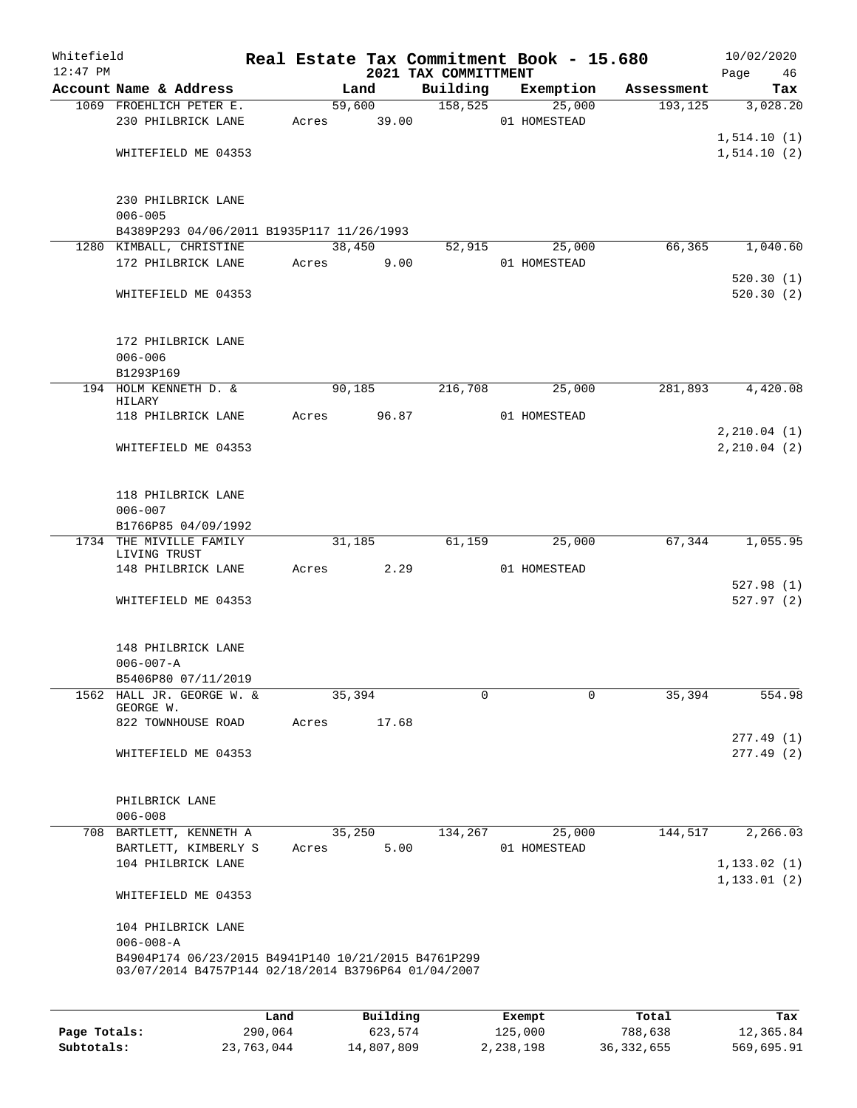| Whitefield<br>$12:47$ PM |                                                     |       |          | 2021 TAX COMMITTMENT | Real Estate Tax Commitment Book - 15.680 |            | 10/02/2020<br>Page<br>46 |
|--------------------------|-----------------------------------------------------|-------|----------|----------------------|------------------------------------------|------------|--------------------------|
|                          | Account Name & Address                              |       | Land     | Building             | Exemption                                | Assessment | Tax                      |
|                          | 1069 FROEHLICH PETER E.                             |       | 59,600   | 158,525              | 25,000                                   | 193, 125   | 3,028.20                 |
|                          | 230 PHILBRICK LANE                                  | Acres | 39.00    |                      | 01 HOMESTEAD                             |            |                          |
|                          |                                                     |       |          |                      |                                          |            | 1, 514.10(1)             |
|                          | WHITEFIELD ME 04353                                 |       |          |                      |                                          |            | 1, 514.10(2)             |
|                          |                                                     |       |          |                      |                                          |            |                          |
|                          |                                                     |       |          |                      |                                          |            |                          |
|                          | 230 PHILBRICK LANE                                  |       |          |                      |                                          |            |                          |
|                          | $006 - 005$                                         |       |          |                      |                                          |            |                          |
|                          | B4389P293 04/06/2011 B1935P117 11/26/1993           |       |          |                      |                                          |            |                          |
|                          | 1280 KIMBALL, CHRISTINE                             |       | 38,450   | 52,915               | 25,000                                   | 66,365     | 1,040.60                 |
|                          | 172 PHILBRICK LANE                                  | Acres |          | 9.00                 | 01 HOMESTEAD                             |            |                          |
|                          |                                                     |       |          |                      |                                          |            | 520.30(1)                |
|                          | WHITEFIELD ME 04353                                 |       |          |                      |                                          |            | 520.30(2)                |
|                          |                                                     |       |          |                      |                                          |            |                          |
|                          | 172 PHILBRICK LANE                                  |       |          |                      |                                          |            |                          |
|                          | $006 - 006$                                         |       |          |                      |                                          |            |                          |
|                          | B1293P169                                           |       |          |                      |                                          |            |                          |
|                          | 194 HOLM KENNETH D. &                               |       | 90,185   | 216,708              | 25,000                                   | 281,893    | 4,420.08                 |
|                          | HILARY                                              |       |          |                      |                                          |            |                          |
|                          | 118 PHILBRICK LANE                                  | Acres | 96.87    |                      | 01 HOMESTEAD                             |            |                          |
|                          |                                                     |       |          |                      |                                          |            | 2, 210.04(1)             |
|                          | WHITEFIELD ME 04353                                 |       |          |                      |                                          |            | 2, 210.04(2)             |
|                          |                                                     |       |          |                      |                                          |            |                          |
|                          |                                                     |       |          |                      |                                          |            |                          |
|                          | 118 PHILBRICK LANE                                  |       |          |                      |                                          |            |                          |
|                          | $006 - 007$<br>B1766P85 04/09/1992                  |       |          |                      |                                          |            |                          |
|                          | 1734 THE MIVILLE FAMILY                             |       | 31,185   | 61,159               | 25,000                                   | 67,344     | 1,055.95                 |
|                          | LIVING TRUST                                        |       |          |                      |                                          |            |                          |
|                          | 148 PHILBRICK LANE                                  | Acres |          | 2.29                 | 01 HOMESTEAD                             |            |                          |
|                          |                                                     |       |          |                      |                                          |            | 527.98(1)                |
|                          | WHITEFIELD ME 04353                                 |       |          |                      |                                          |            | 527.97(2)                |
|                          |                                                     |       |          |                      |                                          |            |                          |
|                          |                                                     |       |          |                      |                                          |            |                          |
|                          | 148 PHILBRICK LANE                                  |       |          |                      |                                          |            |                          |
|                          | $006 - 007 - A$                                     |       |          |                      |                                          |            |                          |
|                          | B5406P80 07/11/2019<br>1562 HALL JR. GEORGE W. &    |       | 35,394   |                      | 0<br>0                                   | 35,394     | 554.98                   |
|                          | GEORGE W.                                           |       |          |                      |                                          |            |                          |
|                          | 822 TOWNHOUSE ROAD                                  | Acres | 17.68    |                      |                                          |            |                          |
|                          |                                                     |       |          |                      |                                          |            | 277.49 (1)               |
|                          | WHITEFIELD ME 04353                                 |       |          |                      |                                          |            | 277.49(2)                |
|                          |                                                     |       |          |                      |                                          |            |                          |
|                          |                                                     |       |          |                      |                                          |            |                          |
|                          | PHILBRICK LANE                                      |       |          |                      |                                          |            |                          |
|                          | $006 - 008$                                         |       |          |                      |                                          |            |                          |
|                          | 708 BARTLETT, KENNETH A                             |       | 35,250   | 134,267              | 25,000                                   | 144,517    | 2,266.03                 |
|                          | BARTLETT, KIMBERLY S                                | Acres |          | 5.00                 | 01 HOMESTEAD                             |            |                          |
|                          | 104 PHILBRICK LANE                                  |       |          |                      |                                          |            | 1, 133.02(1)             |
|                          |                                                     |       |          |                      |                                          |            | 1, 133.01(2)             |
|                          | WHITEFIELD ME 04353                                 |       |          |                      |                                          |            |                          |
|                          | 104 PHILBRICK LANE                                  |       |          |                      |                                          |            |                          |
|                          | $006 - 008 - A$                                     |       |          |                      |                                          |            |                          |
|                          | B4904P174 06/23/2015 B4941P140 10/21/2015 B4761P299 |       |          |                      |                                          |            |                          |
|                          | 03/07/2014 B4757P144 02/18/2014 B3796P64 01/04/2007 |       |          |                      |                                          |            |                          |
|                          |                                                     |       |          |                      |                                          |            |                          |
|                          |                                                     |       |          |                      |                                          |            |                          |
|                          |                                                     | Land  | Building |                      | Exempt                                   | Total      | Tax                      |

|              | uanu       | <b>DULLULLY</b> | <b>BACILD</b> | 10 <sub>14</sub> | <b>IGA</b> |
|--------------|------------|-----------------|---------------|------------------|------------|
| Page Totals: | 290,064    | 623,574         | 125,000       | 788,638          | 12,365.84  |
| Subtotals:   | 23,763,044 | 14,807,809      | 2,238,198     | 36,332,655       | 569,695.91 |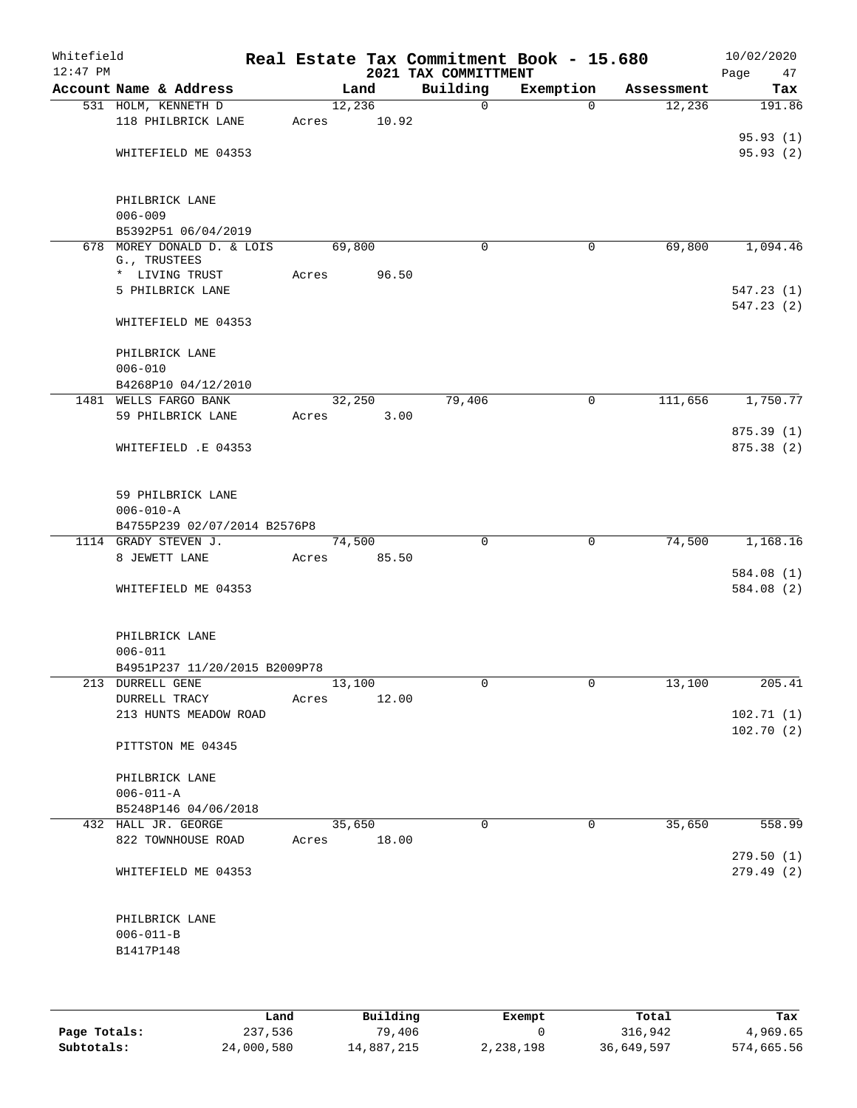| Whitefield<br>$12:47$ PM |                                            |       |        |       | Real Estate Tax Commitment Book - 15.680<br>2021 TAX COMMITTMENT |           |             |            | 10/02/2020<br>Page<br>47 |
|--------------------------|--------------------------------------------|-------|--------|-------|------------------------------------------------------------------|-----------|-------------|------------|--------------------------|
|                          | Account Name & Address                     |       | Land   |       | Building                                                         | Exemption |             | Assessment | Tax                      |
|                          | 531 HOLM, KENNETH D                        |       | 12,236 |       | $\mathbf 0$                                                      |           | $\Omega$    | 12,236     | 191.86                   |
|                          | 118 PHILBRICK LANE                         | Acres |        | 10.92 |                                                                  |           |             |            |                          |
|                          |                                            |       |        |       |                                                                  |           |             |            | 95.93(1)<br>95.93 (2)    |
|                          | WHITEFIELD ME 04353                        |       |        |       |                                                                  |           |             |            |                          |
|                          | PHILBRICK LANE                             |       |        |       |                                                                  |           |             |            |                          |
|                          | $006 - 009$                                |       |        |       |                                                                  |           |             |            |                          |
|                          | B5392P51 06/04/2019                        |       |        |       |                                                                  |           |             |            |                          |
|                          | 678 MOREY DONALD D. & LOIS<br>G., TRUSTEES |       | 69,800 |       | 0                                                                |           | $\mathbf 0$ | 69,800     | 1,094.46                 |
|                          | * LIVING TRUST                             | Acres |        | 96.50 |                                                                  |           |             |            |                          |
|                          | 5 PHILBRICK LANE                           |       |        |       |                                                                  |           |             |            | 547.23(1)                |
|                          |                                            |       |        |       |                                                                  |           |             |            | 547.23(2)                |
|                          | WHITEFIELD ME 04353                        |       |        |       |                                                                  |           |             |            |                          |
|                          | PHILBRICK LANE                             |       |        |       |                                                                  |           |             |            |                          |
|                          | $006 - 010$                                |       |        |       |                                                                  |           |             |            |                          |
|                          | B4268P10 04/12/2010                        |       |        |       |                                                                  |           |             |            |                          |
|                          | 1481 WELLS FARGO BANK                      |       | 32,250 |       | 79,406                                                           |           | $\mathbf 0$ | 111,656    | 1,750.77                 |
|                          | 59 PHILBRICK LANE                          | Acres |        | 3.00  |                                                                  |           |             |            |                          |
|                          |                                            |       |        |       |                                                                  |           |             |            | 875.39 (1)               |
|                          | WHITEFIELD .E 04353                        |       |        |       |                                                                  |           |             |            | 875.38 (2)               |
|                          | 59 PHILBRICK LANE                          |       |        |       |                                                                  |           |             |            |                          |
|                          | $006 - 010 - A$                            |       |        |       |                                                                  |           |             |            |                          |
|                          | B4755P239 02/07/2014 B2576P8               |       |        |       |                                                                  |           |             |            |                          |
|                          | 1114 GRADY STEVEN J.                       |       | 74,500 |       | $\Omega$                                                         |           | $\mathbf 0$ | 74,500     | 1,168.16                 |
|                          | 8 JEWETT LANE                              | Acres |        | 85.50 |                                                                  |           |             |            |                          |
|                          |                                            |       |        |       |                                                                  |           |             |            | 584.08 (1)               |
|                          | WHITEFIELD ME 04353                        |       |        |       |                                                                  |           |             |            | 584.08 (2)               |
|                          | PHILBRICK LANE                             |       |        |       |                                                                  |           |             |            |                          |
|                          | $006 - 011$                                |       |        |       |                                                                  |           |             |            |                          |
|                          | B4951P237 11/20/2015 B2009P78              |       |        |       |                                                                  |           |             |            |                          |
|                          | 213 DURRELL GENE                           |       | 13,100 |       | 0                                                                |           | 0           | 13,100     | 205.41                   |
|                          | DURRELL TRACY                              | Acres |        | 12.00 |                                                                  |           |             |            |                          |
|                          | 213 HUNTS MEADOW ROAD                      |       |        |       |                                                                  |           |             |            | 102.71(1)<br>102.70(2)   |
|                          | PITTSTON ME 04345                          |       |        |       |                                                                  |           |             |            |                          |
|                          | PHILBRICK LANE                             |       |        |       |                                                                  |           |             |            |                          |
|                          | $006 - 011 - A$                            |       |        |       |                                                                  |           |             |            |                          |
|                          | B5248P146 04/06/2018                       |       |        |       |                                                                  |           |             |            |                          |
|                          | 432 HALL JR. GEORGE                        |       | 35,650 |       | $\Omega$                                                         |           | 0           | 35,650     | 558.99                   |
|                          | 822 TOWNHOUSE ROAD                         | Acres |        | 18.00 |                                                                  |           |             |            |                          |
|                          |                                            |       |        |       |                                                                  |           |             |            | 279.50(1)                |
|                          | WHITEFIELD ME 04353                        |       |        |       |                                                                  |           |             |            | 279.49(2)                |
|                          | PHILBRICK LANE                             |       |        |       |                                                                  |           |             |            |                          |
|                          | $006 - 011 - B$                            |       |        |       |                                                                  |           |             |            |                          |
|                          | B1417P148                                  |       |        |       |                                                                  |           |             |            |                          |
|                          |                                            |       |        |       |                                                                  |           |             |            |                          |
|                          |                                            |       |        |       |                                                                  |           |             |            |                          |
|                          |                                            |       |        |       |                                                                  |           |             |            |                          |

|              | Land       | Building   | Exempt    | Total      | Tax        |
|--------------|------------|------------|-----------|------------|------------|
| Page Totals: | 237,536    | 79,406     |           | 316,942    | 4,969.65   |
| Subtotals:   | 24,000,580 | 14,887,215 | 2,238,198 | 36,649,597 | 574,665.56 |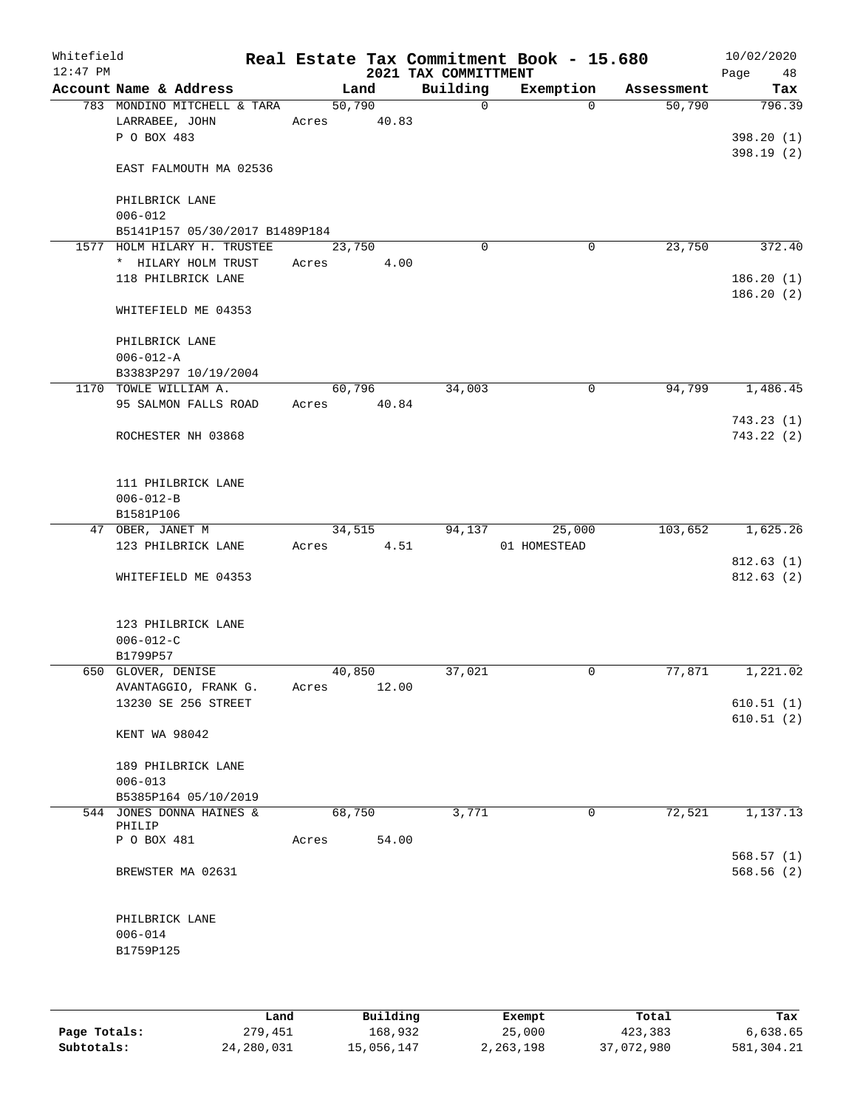| Account Name & Address<br>783 MONDINO MITCHELL & TARA<br>LARRABEE, JOHN<br>P O BOX 483<br>EAST FALMOUTH MA 02536 | 50,790<br>Acres                                                                                                                                                                            | Land<br>40.83  | Building<br>$\mathsf{O}$             | Exemption<br>$\Omega$                                       | Assessment<br>50,790  | Tax                         |
|------------------------------------------------------------------------------------------------------------------|--------------------------------------------------------------------------------------------------------------------------------------------------------------------------------------------|----------------|--------------------------------------|-------------------------------------------------------------|-----------------------|-----------------------------|
|                                                                                                                  |                                                                                                                                                                                            |                |                                      |                                                             |                       | 796.39                      |
|                                                                                                                  |                                                                                                                                                                                            |                |                                      |                                                             |                       | 398.20(1)                   |
|                                                                                                                  |                                                                                                                                                                                            |                |                                      |                                                             |                       | 398.19(2)                   |
| PHILBRICK LANE<br>$006 - 012$                                                                                    |                                                                                                                                                                                            |                |                                      |                                                             |                       |                             |
| B5141P157 05/30/2017 B1489P184                                                                                   |                                                                                                                                                                                            |                |                                      |                                                             |                       |                             |
| 1577 HOLM HILARY H. TRUSTEE                                                                                      | 23,750                                                                                                                                                                                     |                | $\Omega$                             | $\mathbf 0$                                                 | 23,750                | 372.40                      |
| * HILARY HOLM TRUST<br>118 PHILBRICK LANE                                                                        | Acres                                                                                                                                                                                      |                |                                      |                                                             |                       | 186.20(1)<br>186.20(2)      |
| WHITEFIELD ME 04353                                                                                              |                                                                                                                                                                                            |                |                                      |                                                             |                       |                             |
| PHILBRICK LANE<br>$006 - 012 - A$                                                                                |                                                                                                                                                                                            |                |                                      |                                                             |                       |                             |
|                                                                                                                  |                                                                                                                                                                                            |                |                                      |                                                             |                       | 1,486.45                    |
| 95 SALMON FALLS ROAD                                                                                             | Acres                                                                                                                                                                                      |                |                                      |                                                             |                       |                             |
| ROCHESTER NH 03868                                                                                               |                                                                                                                                                                                            |                |                                      |                                                             |                       | 743.23(1)<br>743.22(2)      |
| 111 PHILBRICK LANE<br>$006 - 012 - B$                                                                            |                                                                                                                                                                                            |                |                                      |                                                             |                       |                             |
|                                                                                                                  |                                                                                                                                                                                            |                |                                      |                                                             |                       | 1,625.26                    |
| 123 PHILBRICK LANE                                                                                               | Acres                                                                                                                                                                                      |                |                                      | 01 HOMESTEAD                                                |                       |                             |
| WHITEFIELD ME 04353                                                                                              |                                                                                                                                                                                            |                |                                      |                                                             |                       | 812.63(1)<br>812.63(2)      |
| 123 PHILBRICK LANE<br>$006 - 012 - C$<br>B1799P57                                                                |                                                                                                                                                                                            |                |                                      |                                                             |                       |                             |
|                                                                                                                  |                                                                                                                                                                                            |                |                                      | 0                                                           |                       | 1,221.02                    |
| 13230 SE 256 STREET                                                                                              |                                                                                                                                                                                            |                |                                      |                                                             |                       | 610.51(1)<br>610.51(2)      |
| KENT WA 98042                                                                                                    |                                                                                                                                                                                            |                |                                      |                                                             |                       |                             |
| 189 PHILBRICK LANE<br>$006 - 013$                                                                                |                                                                                                                                                                                            |                |                                      |                                                             |                       |                             |
| 544 JONES DONNA HAINES &                                                                                         |                                                                                                                                                                                            |                | 3,771                                | 0                                                           | 72,521                | 1,137.13                    |
|                                                                                                                  |                                                                                                                                                                                            |                |                                      |                                                             |                       |                             |
| BREWSTER MA 02631                                                                                                |                                                                                                                                                                                            |                |                                      |                                                             |                       | 568.57(1)<br>568.56(2)      |
| PHILBRICK LANE<br>$006 - 014$                                                                                    |                                                                                                                                                                                            |                |                                      |                                                             |                       |                             |
|                                                                                                                  | B3383P297 10/19/2004<br>1170 TOWLE WILLIAM A.<br>B1581P106<br>47 OBER, JANET M<br>650 GLOVER, DENISE<br>AVANTAGGIO, FRANK G.<br>B5385P164 05/10/2019<br>PHILIP<br>P O BOX 481<br>B1759P125 | Acres<br>Acres | 60,796<br>34,515<br>40,850<br>68,750 | 4.00<br>34,003<br>40.84<br>4.51<br>37,021<br>12.00<br>54.00 | 0<br>94,137<br>25,000 | 94,799<br>103,652<br>77,871 |

|              | Land       | Building   | Exempt    | Total      | Tax        |
|--------------|------------|------------|-----------|------------|------------|
| Page Totals: | 279,451    | 168,932    | 25,000    | 423,383    | 6,638.65   |
| Subtotals:   | 24,280,031 | 15,056,147 | 2,263,198 | 37,072,980 | 581,304.21 |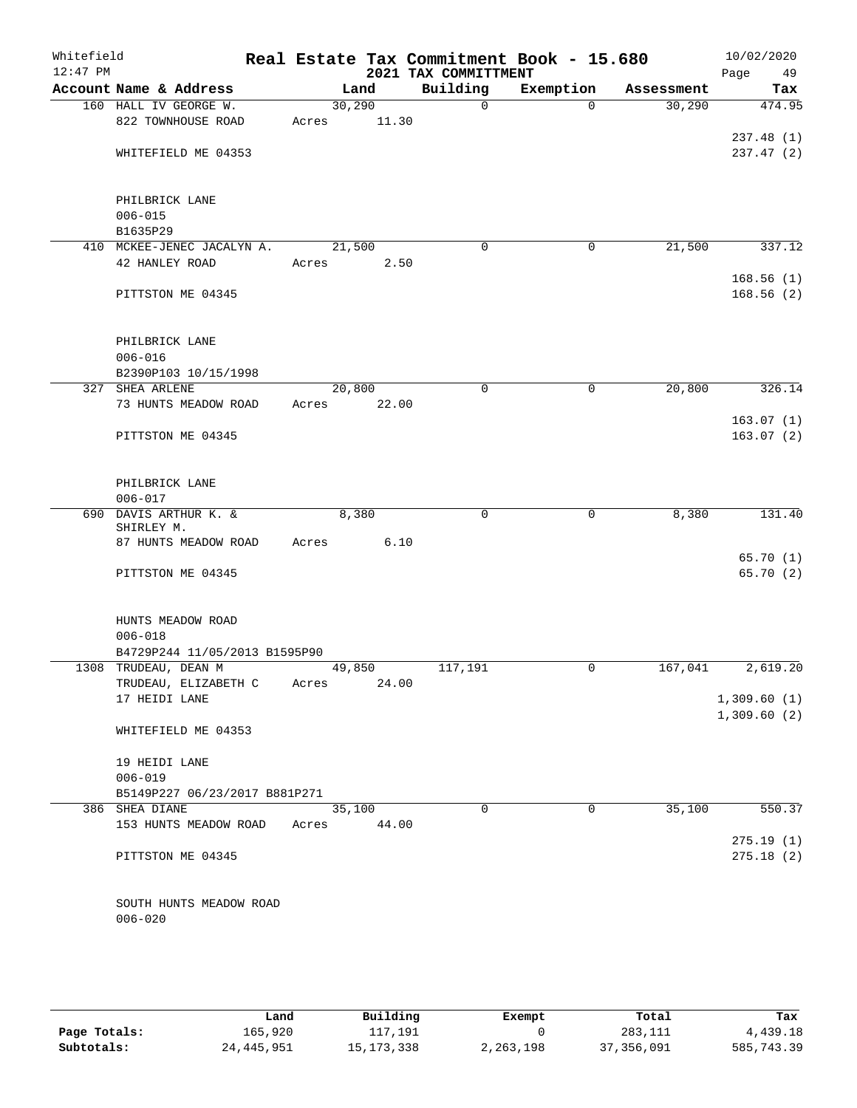| Whitefield<br>$12:47$ PM |                                     |       |        | 2021 TAX COMMITTMENT | Real Estate Tax Commitment Book - 15.680 |            | 10/02/2020<br>Page<br>49 |
|--------------------------|-------------------------------------|-------|--------|----------------------|------------------------------------------|------------|--------------------------|
|                          | Account Name & Address              |       | Land   | Building             | Exemption                                | Assessment | Tax                      |
|                          | 160 HALL IV GEORGE W.               |       | 30,290 | $\mathbf 0$          | $\Omega$                                 | 30,290     | 474.95                   |
|                          | 822 TOWNHOUSE ROAD                  | Acres | 11.30  |                      |                                          |            |                          |
|                          |                                     |       |        |                      |                                          |            | 237.48 (1)               |
|                          | WHITEFIELD ME 04353                 |       |        |                      |                                          |            | 237.47 (2)               |
|                          | PHILBRICK LANE                      |       |        |                      |                                          |            |                          |
|                          | $006 - 015$                         |       |        |                      |                                          |            |                          |
|                          | B1635P29                            |       |        |                      |                                          |            |                          |
|                          | 410 MCKEE-JENEC JACALYN A.          |       | 21,500 | $\mathbf 0$          | 0                                        | 21,500     | 337.12                   |
|                          | 42 HANLEY ROAD                      | Acres | 2.50   |                      |                                          |            |                          |
|                          |                                     |       |        |                      |                                          |            | 168.56(1)                |
|                          | PITTSTON ME 04345                   |       |        |                      |                                          |            | 168.56(2)                |
|                          | PHILBRICK LANE                      |       |        |                      |                                          |            |                          |
|                          | $006 - 016$                         |       |        |                      |                                          |            |                          |
|                          | B2390P103 10/15/1998                |       |        |                      |                                          |            |                          |
|                          | 327 SHEA ARLENE                     |       | 20,800 | 0                    | 0                                        | 20,800     | 326.14                   |
|                          | 73 HUNTS MEADOW ROAD                | Acres | 22.00  |                      |                                          |            |                          |
|                          |                                     |       |        |                      |                                          |            | 163.07(1)                |
|                          | PITTSTON ME 04345                   |       |        |                      |                                          |            | 163.07(2)                |
|                          | PHILBRICK LANE                      |       |        |                      |                                          |            |                          |
|                          | $006 - 017$                         |       |        |                      |                                          |            |                          |
|                          | 690 DAVIS ARTHUR K. &<br>SHIRLEY M. |       | 8,380  | 0                    | 0                                        | 8,380      | 131.40                   |
|                          | 87 HUNTS MEADOW ROAD                | Acres | 6.10   |                      |                                          |            |                          |
|                          |                                     |       |        |                      |                                          |            | 65.70(1)                 |
|                          | PITTSTON ME 04345                   |       |        |                      |                                          |            | 65.70 (2)                |
|                          | HUNTS MEADOW ROAD                   |       |        |                      |                                          |            |                          |
|                          | $006 - 018$                         |       |        |                      |                                          |            |                          |
|                          | B4729P244 11/05/2013 B1595P90       |       |        |                      |                                          |            |                          |
|                          | 1308 TRUDEAU, DEAN M                |       | 49,850 | 117,191              | 0                                        | 167,041    | 2,619.20                 |
|                          | TRUDEAU, ELIZABETH C                | Acres | 24.00  |                      |                                          |            |                          |
|                          | 17 HEIDI LANE                       |       |        |                      |                                          |            | 1,309.60(1)              |
|                          | WHITEFIELD ME 04353                 |       |        |                      |                                          |            | 1,309.60(2)              |
|                          | 19 HEIDI LANE                       |       |        |                      |                                          |            |                          |
|                          | $006 - 019$                         |       |        |                      |                                          |            |                          |
|                          | B5149P227 06/23/2017 B881P271       |       |        |                      |                                          |            |                          |
|                          | 386 SHEA DIANE                      |       | 35,100 | $\Omega$             | $\Omega$                                 | 35,100     | 550.37                   |
|                          | 153 HUNTS MEADOW ROAD               | Acres | 44.00  |                      |                                          |            |                          |
|                          | PITTSTON ME 04345                   |       |        |                      |                                          |            | 275.19(1)<br>275.18(2)   |
|                          |                                     |       |        |                      |                                          |            |                          |
|                          |                                     |       |        |                      |                                          |            |                          |
|                          | SOUTH HUNTS MEADOW ROAD             |       |        |                      |                                          |            |                          |
|                          | $006 - 020$                         |       |        |                      |                                          |            |                          |

|              | Land         | Building   | Exempt    | Total        | Tax        |
|--------------|--------------|------------|-----------|--------------|------------|
| Page Totals: | 165,920      | 117,191    |           | 283,111      | 4,439.18   |
| Subtotals:   | 24, 445, 951 | 15,173,338 | 2,263,198 | 37, 356, 091 | 585,743.39 |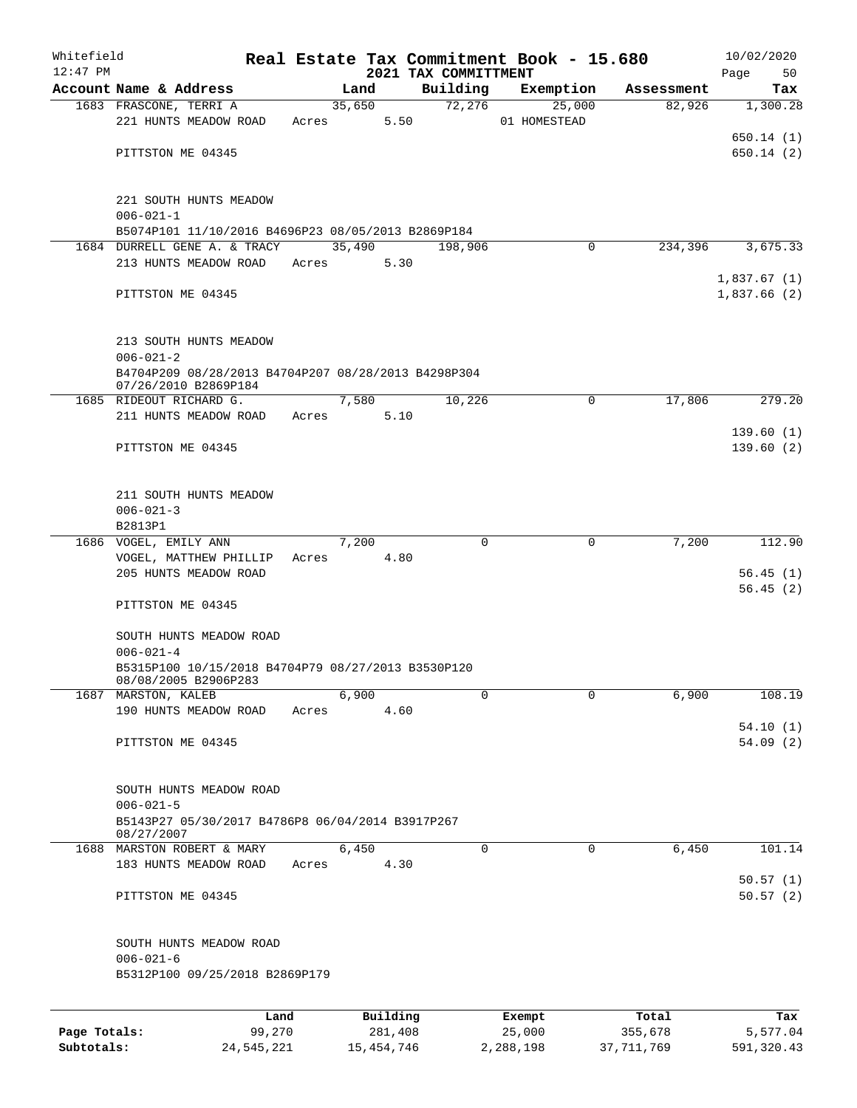| Whitefield   |                                                                             |        |       |        |          |                      | Real Estate Tax Commitment Book - 15.680 |             |            | 10/02/2020  |
|--------------|-----------------------------------------------------------------------------|--------|-------|--------|----------|----------------------|------------------------------------------|-------------|------------|-------------|
| $12:47$ PM   |                                                                             |        |       |        |          | 2021 TAX COMMITTMENT |                                          |             |            | Page<br>50  |
|              | Account Name & Address                                                      |        |       | Land   |          | Building             | Exemption                                |             | Assessment | Tax         |
|              | 1683 FRASCONE, TERRI A                                                      |        |       | 35,650 |          | 72,276               |                                          | 25,000      | 82,926     | 1,300.28    |
|              | 221 HUNTS MEADOW ROAD                                                       |        | Acres |        | 5.50     |                      | 01 HOMESTEAD                             |             |            |             |
|              |                                                                             |        |       |        |          |                      |                                          |             |            | 650.14(1)   |
|              | PITTSTON ME 04345                                                           |        |       |        |          |                      |                                          |             |            | 650.14(2)   |
|              | 221 SOUTH HUNTS MEADOW                                                      |        |       |        |          |                      |                                          |             |            |             |
|              | $006 - 021 - 1$                                                             |        |       |        |          |                      |                                          |             |            |             |
|              | B5074P101 11/10/2016 B4696P23 08/05/2013 B2869P184                          |        |       |        |          |                      |                                          |             |            |             |
|              | 1684 DURRELL GENE A. & TRACY                                                |        |       | 35,490 |          | 198,906              |                                          | 0           | 234,396    | 3,675.33    |
|              | 213 HUNTS MEADOW ROAD                                                       |        | Acres |        | 5.30     |                      |                                          |             |            |             |
|              |                                                                             |        |       |        |          |                      |                                          |             |            | 1,837.67(1) |
|              | PITTSTON ME 04345                                                           |        |       |        |          |                      |                                          |             |            | 1,837.66(2) |
|              |                                                                             |        |       |        |          |                      |                                          |             |            |             |
|              | 213 SOUTH HUNTS MEADOW<br>$006 - 021 - 2$                                   |        |       |        |          |                      |                                          |             |            |             |
|              | B4704P209 08/28/2013 B4704P207 08/28/2013 B4298P304<br>07/26/2010 B2869P184 |        |       |        |          |                      |                                          |             |            |             |
|              | 1685 RIDEOUT RICHARD G.                                                     |        |       | 7,580  |          | 10,226               |                                          | $\mathbf 0$ | 17,806     | 279.20      |
|              | 211 HUNTS MEADOW ROAD                                                       |        | Acres |        | 5.10     |                      |                                          |             |            |             |
|              |                                                                             |        |       |        |          |                      |                                          |             |            | 139.60(1)   |
|              | PITTSTON ME 04345                                                           |        |       |        |          |                      |                                          |             |            | 139.60(2)   |
|              | 211 SOUTH HUNTS MEADOW                                                      |        |       |        |          |                      |                                          |             |            |             |
|              | $006 - 021 - 3$                                                             |        |       |        |          |                      |                                          |             |            |             |
|              | B2813P1                                                                     |        |       |        |          |                      |                                          |             |            |             |
|              | 1686 VOGEL, EMILY ANN                                                       |        |       | 7,200  |          | 0                    |                                          | 0           | 7,200      | 112.90      |
|              | VOGEL, MATTHEW PHILLIP                                                      |        | Acres |        | 4.80     |                      |                                          |             |            |             |
|              | 205 HUNTS MEADOW ROAD                                                       |        |       |        |          |                      |                                          |             |            | 56.45(1)    |
|              |                                                                             |        |       |        |          |                      |                                          |             |            | 56.45(2)    |
|              | PITTSTON ME 04345                                                           |        |       |        |          |                      |                                          |             |            |             |
|              | SOUTH HUNTS MEADOW ROAD                                                     |        |       |        |          |                      |                                          |             |            |             |
|              | $006 - 021 - 4$                                                             |        |       |        |          |                      |                                          |             |            |             |
|              | B5315P100 10/15/2018 B4704P79 08/27/2013 B3530P120                          |        |       |        |          |                      |                                          |             |            |             |
|              | 08/08/2005 B2906P283<br>1687 MARSTON, KALEB                                 |        |       | 6,900  |          | 0                    |                                          | 0           | 6,900      | 108.19      |
|              | 190 HUNTS MEADOW ROAD                                                       |        | Acres |        | 4.60     |                      |                                          |             |            |             |
|              |                                                                             |        |       |        |          |                      |                                          |             |            | 54.10(1)    |
|              | PITTSTON ME 04345                                                           |        |       |        |          |                      |                                          |             |            | 54.09(2)    |
|              |                                                                             |        |       |        |          |                      |                                          |             |            |             |
|              | SOUTH HUNTS MEADOW ROAD                                                     |        |       |        |          |                      |                                          |             |            |             |
|              | $006 - 021 - 5$                                                             |        |       |        |          |                      |                                          |             |            |             |
|              | B5143P27 05/30/2017 B4786P8 06/04/2014 B3917P267                            |        |       |        |          |                      |                                          |             |            |             |
|              | 08/27/2007                                                                  |        |       |        |          |                      |                                          |             |            |             |
|              | 1688 MARSTON ROBERT & MARY                                                  |        |       | 6,450  |          | 0                    |                                          | 0           | 6,450      | 101.14      |
|              | 183 HUNTS MEADOW ROAD                                                       |        | Acres |        | 4.30     |                      |                                          |             |            |             |
|              |                                                                             |        |       |        |          |                      |                                          |             |            | 50.57(1)    |
|              | PITTSTON ME 04345                                                           |        |       |        |          |                      |                                          |             |            | 50.57(2)    |
|              | SOUTH HUNTS MEADOW ROAD                                                     |        |       |        |          |                      |                                          |             |            |             |
|              | $006 - 021 - 6$                                                             |        |       |        |          |                      |                                          |             |            |             |
|              | B5312P100 09/25/2018 B2869P179                                              |        |       |        |          |                      |                                          |             |            |             |
|              |                                                                             |        |       |        |          |                      |                                          |             |            |             |
|              |                                                                             | Land   |       |        | Building |                      | Exempt<br>25,000                         |             | Total      | Tax         |
| Page Totals: |                                                                             | 99,270 |       |        | 281,408  |                      |                                          |             | 355,678    | 5,577.04    |

**Subtotals:** 24,545,221 15,454,746 2,288,198 37,711,769 591,320.43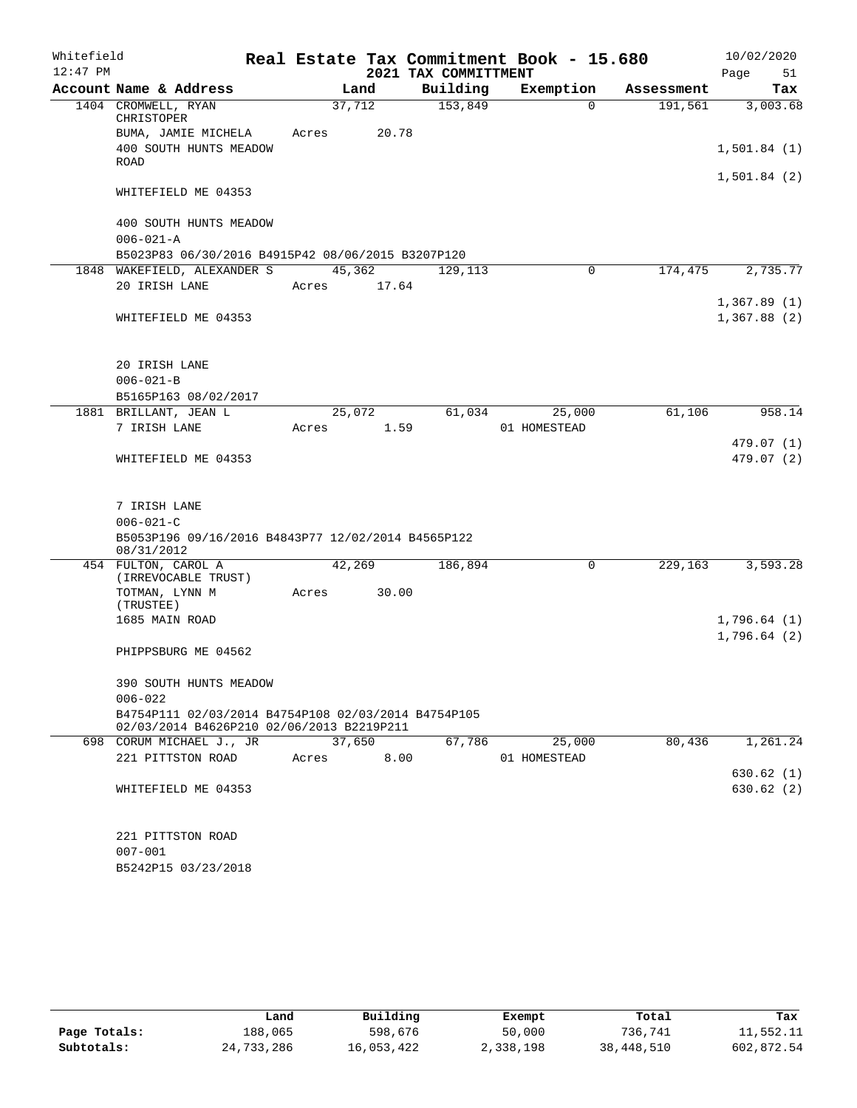| Whitefield |                                                                                                  |        |        |                      | Real Estate Tax Commitment Book - 15.680 |            | 10/02/2020               |          |
|------------|--------------------------------------------------------------------------------------------------|--------|--------|----------------------|------------------------------------------|------------|--------------------------|----------|
| $12:47$ PM |                                                                                                  |        |        | 2021 TAX COMMITTMENT |                                          |            | Page                     | 51       |
|            | Account Name & Address                                                                           |        | Land   | Building             | Exemption                                | Assessment |                          | Tax      |
|            | 1404 CROMWELL, RYAN<br>CHRISTOPER                                                                | 37,712 |        | 153,849              | $\Omega$                                 | 191,561    |                          | 3,003.68 |
|            | BUMA, JAMIE MICHELA<br>400 SOUTH HUNTS MEADOW                                                    | Acres  | 20.78  |                      |                                          |            | 1,501.84(1)              |          |
|            | <b>ROAD</b>                                                                                      |        |        |                      |                                          |            | 1,501.84(2)              |          |
|            | WHITEFIELD ME 04353                                                                              |        |        |                      |                                          |            |                          |          |
|            | 400 SOUTH HUNTS MEADOW                                                                           |        |        |                      |                                          |            |                          |          |
|            | $006 - 021 - A$                                                                                  |        |        |                      |                                          |            |                          |          |
|            | B5023P83 06/30/2016 B4915P42 08/06/2015 B3207P120                                                |        |        |                      |                                          |            |                          |          |
|            | 1848 WAKEFIELD, ALEXANDER S                                                                      | 45,362 |        | 129,113              | 0                                        | 174,475    |                          | 2,735.77 |
|            | 20 IRISH LANE                                                                                    | Acres  | 17.64  |                      |                                          |            |                          |          |
|            |                                                                                                  |        |        |                      |                                          |            | 1,367.89(1)              |          |
|            | WHITEFIELD ME 04353                                                                              |        |        |                      |                                          |            | 1,367.88(2)              |          |
|            |                                                                                                  |        |        |                      |                                          |            |                          |          |
|            | 20 IRISH LANE                                                                                    |        |        |                      |                                          |            |                          |          |
|            | $006 - 021 - B$                                                                                  |        |        |                      |                                          |            |                          |          |
|            | B5165P163 08/02/2017                                                                             |        |        |                      |                                          |            |                          |          |
|            | 1881 BRILLANT, JEAN L                                                                            |        | 25,072 | 61,034               | 25,000                                   | 61,106     |                          | 958.14   |
|            | 7 IRISH LANE                                                                                     | Acres  | 1.59   |                      | 01 HOMESTEAD                             |            |                          |          |
|            | WHITEFIELD ME 04353                                                                              |        |        |                      |                                          |            | 479.07 (1)<br>479.07 (2) |          |
|            | 7 IRISH LANE                                                                                     |        |        |                      |                                          |            |                          |          |
|            | $006 - 021 - C$                                                                                  |        |        |                      |                                          |            |                          |          |
|            | B5053P196 09/16/2016 B4843P77 12/02/2014 B4565P122                                               |        |        |                      |                                          |            |                          |          |
|            | 08/31/2012                                                                                       |        |        |                      |                                          |            |                          |          |
|            | 454 FULTON, CAROL A<br>(IRREVOCABLE TRUST)                                                       | 42,269 |        | 186,894              | $\mathbf 0$                              | 229,163    |                          | 3,593.28 |
|            | TOTMAN, LYNN M<br>(TRUSTEE)                                                                      | Acres  | 30.00  |                      |                                          |            |                          |          |
|            | 1685 MAIN ROAD                                                                                   |        |        |                      |                                          |            | 1,796.64(1)              |          |
|            |                                                                                                  |        |        |                      |                                          |            | 1,796.64(2)              |          |
|            | PHIPPSBURG ME 04562                                                                              |        |        |                      |                                          |            |                          |          |
|            | 390 SOUTH HUNTS MEADOW                                                                           |        |        |                      |                                          |            |                          |          |
|            | $006 - 022$                                                                                      |        |        |                      |                                          |            |                          |          |
|            | B4754P111 02/03/2014 B4754P108 02/03/2014 B4754P105<br>02/03/2014 B4626P210 02/06/2013 B2219P211 |        |        |                      |                                          |            |                          |          |
|            | 698 CORUM MICHAEL J., JR                                                                         | 37,650 |        | 67,786               | 25,000                                   | 80,436     |                          | 1,261.24 |
|            | 221 PITTSTON ROAD                                                                                | Acres  | 8.00   |                      | 01 HOMESTEAD                             |            |                          |          |
|            |                                                                                                  |        |        |                      |                                          |            | 630.62(1)                |          |
|            | WHITEFIELD ME 04353                                                                              |        |        |                      |                                          |            | 630.62(2)                |          |
|            |                                                                                                  |        |        |                      |                                          |            |                          |          |
|            | 221 PITTSTON ROAD                                                                                |        |        |                      |                                          |            |                          |          |
|            | $007 - 001$                                                                                      |        |        |                      |                                          |            |                          |          |
|            | B5242P15 03/23/2018                                                                              |        |        |                      |                                          |            |                          |          |

|              | Land       | Building   | Exempt    | Total      | Tax        |
|--------------|------------|------------|-----------|------------|------------|
| Page Totals: | 188,065    | 598,676    | 50,000    | 736,741    | 11,552.11  |
| Subtotals:   | 24,733,286 | 16,053,422 | 2,338,198 | 38,448,510 | 602,872.54 |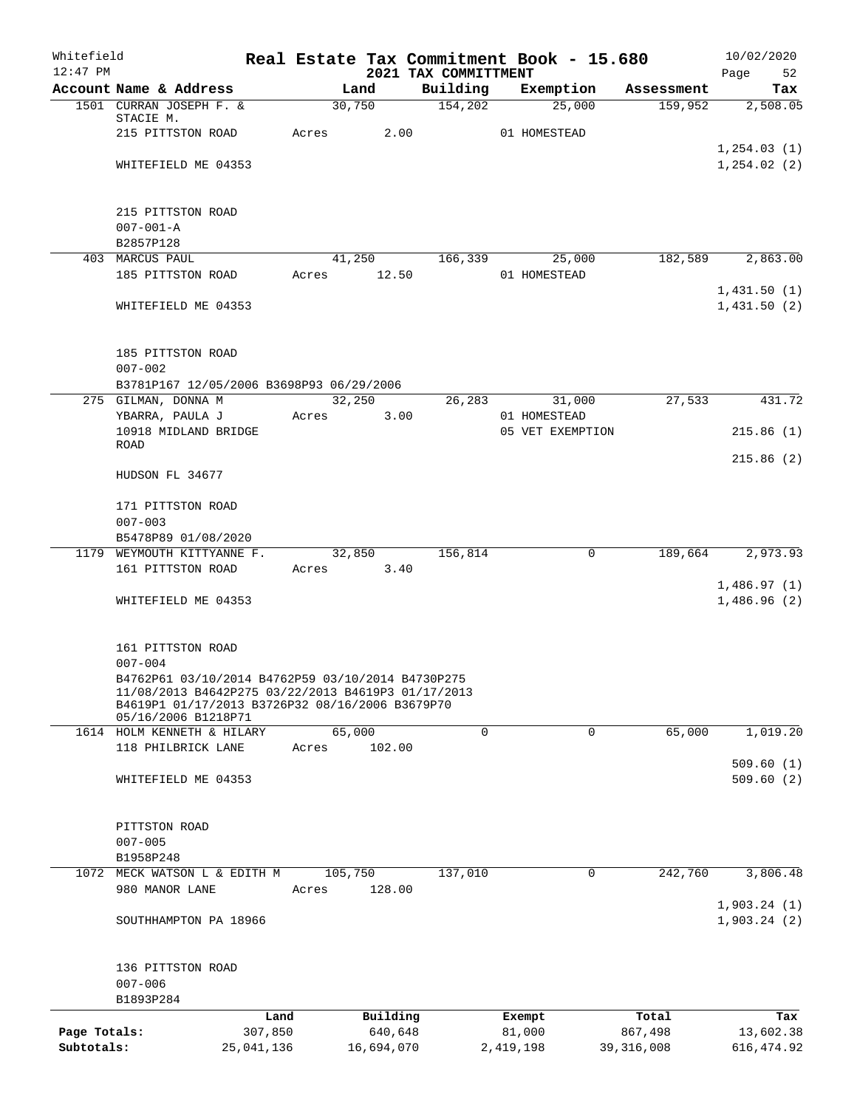| Whitefield<br>$12:47$ PM |                                                                                                                                                                                   |            |       |            |                                  | Real Estate Tax Commitment Book - 15.680 |             |              | 10/02/2020                 |
|--------------------------|-----------------------------------------------------------------------------------------------------------------------------------------------------------------------------------|------------|-------|------------|----------------------------------|------------------------------------------|-------------|--------------|----------------------------|
|                          | Account Name & Address                                                                                                                                                            |            |       | Land       | 2021 TAX COMMITTMENT<br>Building | Exemption                                |             | Assessment   | Page<br>52<br>Tax          |
|                          | 1501 CURRAN JOSEPH F. &                                                                                                                                                           |            |       | 30,750     | 154,202                          |                                          | 25,000      | 159,952      | 2,508.05                   |
|                          | STACIE M.                                                                                                                                                                         |            |       |            |                                  |                                          |             |              |                            |
|                          | 215 PITTSTON ROAD                                                                                                                                                                 |            | Acres | 2.00       |                                  | 01 HOMESTEAD                             |             |              |                            |
|                          |                                                                                                                                                                                   |            |       |            |                                  |                                          |             |              | 1, 254.03(1)               |
|                          | WHITEFIELD ME 04353                                                                                                                                                               |            |       |            |                                  |                                          |             |              | 1, 254.02(2)               |
|                          | 215 PITTSTON ROAD                                                                                                                                                                 |            |       |            |                                  |                                          |             |              |                            |
|                          | $007 - 001 - A$                                                                                                                                                                   |            |       |            |                                  |                                          |             |              |                            |
|                          | B2857P128                                                                                                                                                                         |            |       |            |                                  |                                          |             |              |                            |
|                          | 403 MARCUS PAUL                                                                                                                                                                   |            |       | 41,250     | 166,339                          |                                          | 25,000      | 182,589      | 2,863.00                   |
|                          | 185 PITTSTON ROAD                                                                                                                                                                 |            | Acres | 12.50      |                                  | 01 HOMESTEAD                             |             |              |                            |
|                          | WHITEFIELD ME 04353                                                                                                                                                               |            |       |            |                                  |                                          |             |              | 1,431.50(1)<br>1,431.50(2) |
|                          | 185 PITTSTON ROAD                                                                                                                                                                 |            |       |            |                                  |                                          |             |              |                            |
|                          | $007 - 002$                                                                                                                                                                       |            |       |            |                                  |                                          |             |              |                            |
|                          | B3781P167 12/05/2006 B3698P93 06/29/2006                                                                                                                                          |            |       |            |                                  |                                          |             |              |                            |
|                          | 275 GILMAN, DONNA M                                                                                                                                                               |            |       | 32,250     | 26,283                           |                                          | 31,000      | 27,533       | 431.72                     |
|                          | YBARRA, PAULA J                                                                                                                                                                   |            | Acres | 3.00       |                                  | 01 HOMESTEAD                             |             |              |                            |
|                          | 10918 MIDLAND BRIDGE                                                                                                                                                              |            |       |            |                                  | 05 VET EXEMPTION                         |             |              | 215.86(1)                  |
|                          | <b>ROAD</b>                                                                                                                                                                       |            |       |            |                                  |                                          |             |              |                            |
|                          | HUDSON FL 34677                                                                                                                                                                   |            |       |            |                                  |                                          |             |              | 215.86(2)                  |
|                          | 171 PITTSTON ROAD                                                                                                                                                                 |            |       |            |                                  |                                          |             |              |                            |
|                          | $007 - 003$                                                                                                                                                                       |            |       |            |                                  |                                          |             |              |                            |
|                          | B5478P89 01/08/2020                                                                                                                                                               |            |       |            |                                  |                                          |             |              |                            |
|                          | 1179 WEYMOUTH KITTYANNE F.                                                                                                                                                        |            |       | 32,850     | 156,814                          |                                          | 0           | 189,664      | 2,973.93                   |
|                          | 161 PITTSTON ROAD                                                                                                                                                                 |            | Acres | 3.40       |                                  |                                          |             |              |                            |
|                          |                                                                                                                                                                                   |            |       |            |                                  |                                          |             |              | 1,486.97(1)                |
|                          | WHITEFIELD ME 04353                                                                                                                                                               |            |       |            |                                  |                                          |             |              | 1,486.96(2)                |
|                          | 161 PITTSTON ROAD                                                                                                                                                                 |            |       |            |                                  |                                          |             |              |                            |
|                          | $007 - 004$                                                                                                                                                                       |            |       |            |                                  |                                          |             |              |                            |
|                          | B4762P61 03/10/2014 B4762P59 03/10/2014 B4730P275<br>11/08/2013 B4642P275 03/22/2013 B4619P3 01/17/2013<br>B4619P1 01/17/2013 B3726P32 08/16/2006 B3679P70<br>05/16/2006 B1218P71 |            |       |            |                                  |                                          |             |              |                            |
|                          | 1614 HOLM KENNETH & HILARY                                                                                                                                                        |            |       | 65,000     | 0                                |                                          | 0           | 65,000       | 1,019.20                   |
|                          | 118 PHILBRICK LANE                                                                                                                                                                |            | Acres | 102.00     |                                  |                                          |             |              |                            |
|                          |                                                                                                                                                                                   |            |       |            |                                  |                                          |             |              | 509.60(1)                  |
|                          | WHITEFIELD ME 04353                                                                                                                                                               |            |       |            |                                  |                                          |             |              | 509.60(2)                  |
|                          | PITTSTON ROAD                                                                                                                                                                     |            |       |            |                                  |                                          |             |              |                            |
|                          | $007 - 005$                                                                                                                                                                       |            |       |            |                                  |                                          |             |              |                            |
|                          | B1958P248                                                                                                                                                                         |            |       |            |                                  |                                          |             |              |                            |
|                          | 1072 MECK WATSON L & EDITH M                                                                                                                                                      |            |       | 105,750    | 137,010                          |                                          | $\mathbf 0$ | 242,760      | 3,806.48                   |
|                          | 980 MANOR LANE                                                                                                                                                                    |            | Acres | 128.00     |                                  |                                          |             |              |                            |
|                          | SOUTHHAMPTON PA 18966                                                                                                                                                             |            |       |            |                                  |                                          |             |              | 1,903.24(1)<br>1,903.24(2) |
|                          | 136 PITTSTON ROAD                                                                                                                                                                 |            |       |            |                                  |                                          |             |              |                            |
|                          | $007 - 006$                                                                                                                                                                       |            |       |            |                                  |                                          |             |              |                            |
|                          | B1893P284                                                                                                                                                                         |            |       |            |                                  |                                          |             |              |                            |
|                          |                                                                                                                                                                                   | Land       |       | Building   |                                  | Exempt                                   |             | Total        | Tax                        |
| Page Totals:             |                                                                                                                                                                                   | 307,850    |       | 640,648    |                                  | 81,000                                   |             | 867,498      | 13,602.38                  |
| Subtotals:               |                                                                                                                                                                                   | 25,041,136 |       | 16,694,070 |                                  | 2,419,198                                |             | 39, 316, 008 | 616, 474.92                |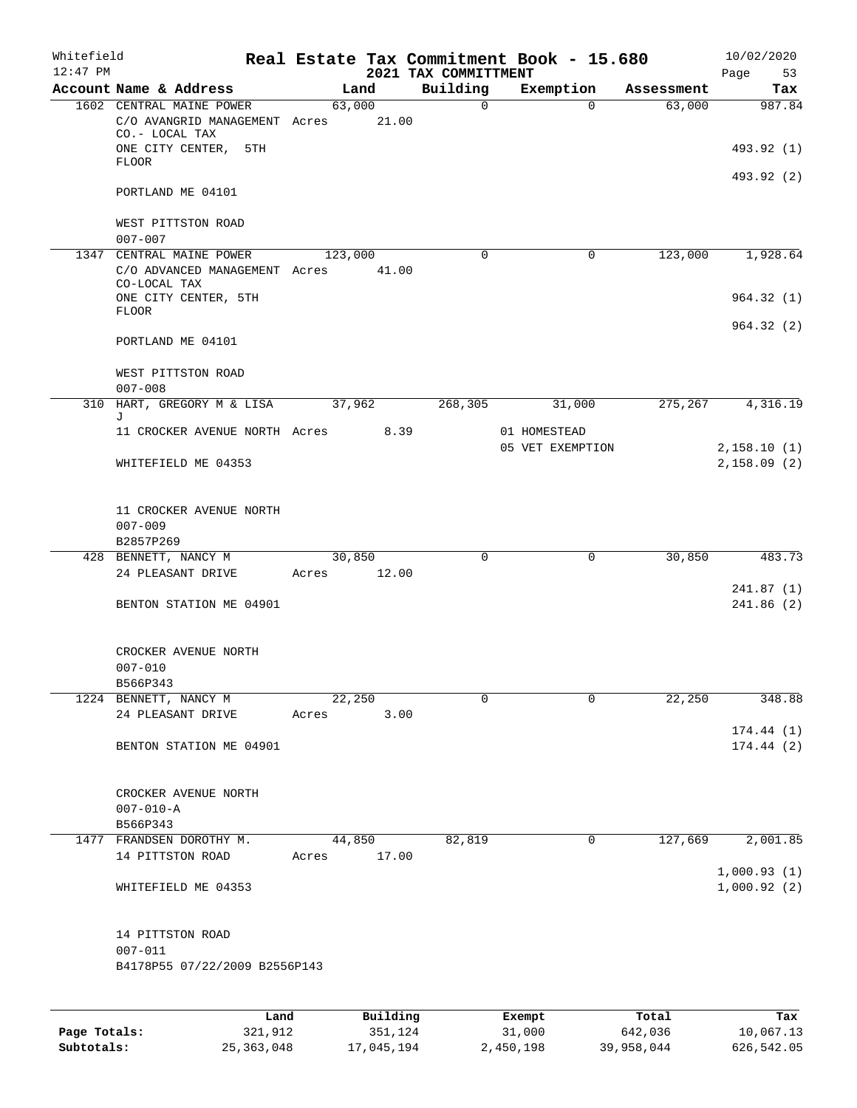| Whitefield<br>$12:47$ PM |                                                                                                     |       |                     |      | 2021 TAX COMMITTMENT | Real Estate Tax Commitment Book - 15.680 |                  | 10/02/2020<br>Page<br>53 |
|--------------------------|-----------------------------------------------------------------------------------------------------|-------|---------------------|------|----------------------|------------------------------------------|------------------|--------------------------|
|                          | Account Name & Address                                                                              |       | Land                |      | Building             | Exemption                                | Assessment       | Tax                      |
|                          | 1602 CENTRAL MAINE POWER<br>C/O AVANGRID MANAGEMENT Acres<br>CO.- LOCAL TAX<br>ONE CITY CENTER, 5TH |       | 63,000<br>21.00     |      | $\mathsf{O}$         | $\Omega$                                 | 63,000           | 987.84<br>493.92 (1)     |
|                          | <b>FLOOR</b>                                                                                        |       |                     |      |                      |                                          |                  | 493.92 (2)               |
|                          | PORTLAND ME 04101                                                                                   |       |                     |      |                      |                                          |                  |                          |
|                          | WEST PITTSTON ROAD<br>$007 - 007$                                                                   |       |                     |      |                      |                                          |                  |                          |
| 1347                     | CENTRAL MAINE POWER<br>C/O ADVANCED MANAGEMENT Acres<br>CO-LOCAL TAX                                |       | 123,000<br>41.00    |      | 0                    | $\mathbf 0$                              | 123,000          | 1,928.64                 |
|                          | ONE CITY CENTER, 5TH<br><b>FLOOR</b>                                                                |       |                     |      |                      |                                          |                  | 964.32(1)                |
|                          | PORTLAND ME 04101                                                                                   |       |                     |      |                      |                                          |                  | 964.32(2)                |
|                          | WEST PITTSTON ROAD<br>$007 - 008$                                                                   |       |                     |      |                      |                                          |                  |                          |
|                          | 310 HART, GREGORY M & LISA<br>J                                                                     |       | 37,962              |      | 268,305              | 31,000                                   | 275,267          | 4,316.19                 |
|                          | 11 CROCKER AVENUE NORTH Acres                                                                       |       |                     | 8.39 |                      | 01 HOMESTEAD<br>05 VET EXEMPTION         |                  | 2,158.10(1)              |
|                          | WHITEFIELD ME 04353                                                                                 |       |                     |      |                      |                                          |                  | 2,158.09(2)              |
|                          | 11 CROCKER AVENUE NORTH<br>$007 - 009$<br>B2857P269                                                 |       |                     |      |                      |                                          |                  |                          |
|                          | 428 BENNETT, NANCY M                                                                                |       | 30,850              |      | 0                    | $\mathbf 0$                              | 30,850           | 483.73                   |
|                          | 24 PLEASANT DRIVE                                                                                   | Acres | 12.00               |      |                      |                                          |                  | 241.87(1)                |
|                          | BENTON STATION ME 04901                                                                             |       |                     |      |                      |                                          |                  | 241.86(2)                |
|                          | CROCKER AVENUE NORTH<br>$007 - 010$                                                                 |       |                     |      |                      |                                          |                  |                          |
|                          | B566P343                                                                                            |       |                     |      |                      |                                          |                  |                          |
|                          | 1224 BENNETT, NANCY M<br>24 PLEASANT DRIVE                                                          | Acres | 22,250              | 3.00 | $\mathbf 0$          | $\mathbf 0$                              | 22,250           | 348.88                   |
|                          | BENTON STATION ME 04901                                                                             |       |                     |      |                      |                                          |                  | 174.44(1)<br>174.44(2)   |
|                          | CROCKER AVENUE NORTH<br>$007 - 010 - A$<br>B566P343                                                 |       |                     |      |                      |                                          |                  |                          |
|                          | 1477 FRANDSEN DOROTHY M.                                                                            |       | 44,850              |      | 82,819               | $\mathbf 0$                              | 127,669          | 2,001.85                 |
|                          | 14 PITTSTON ROAD                                                                                    | Acres | 17.00               |      |                      |                                          |                  | 1,000.93(1)              |
|                          | WHITEFIELD ME 04353                                                                                 |       |                     |      |                      |                                          |                  | 1,000.92(2)              |
|                          | 14 PITTSTON ROAD<br>$007 - 011$<br>B4178P55 07/22/2009 B2556P143                                    |       |                     |      |                      |                                          |                  |                          |
|                          |                                                                                                     |       |                     |      |                      |                                          |                  |                          |
| Page Totals:             | Land<br>321,912                                                                                     |       | Building<br>351,124 |      |                      | Exempt<br>31,000                         | Total<br>642,036 | Tax<br>10,067.13         |

**Subtotals:** 25,363,048 17,045,194 2,450,198 39,958,044 626,542.05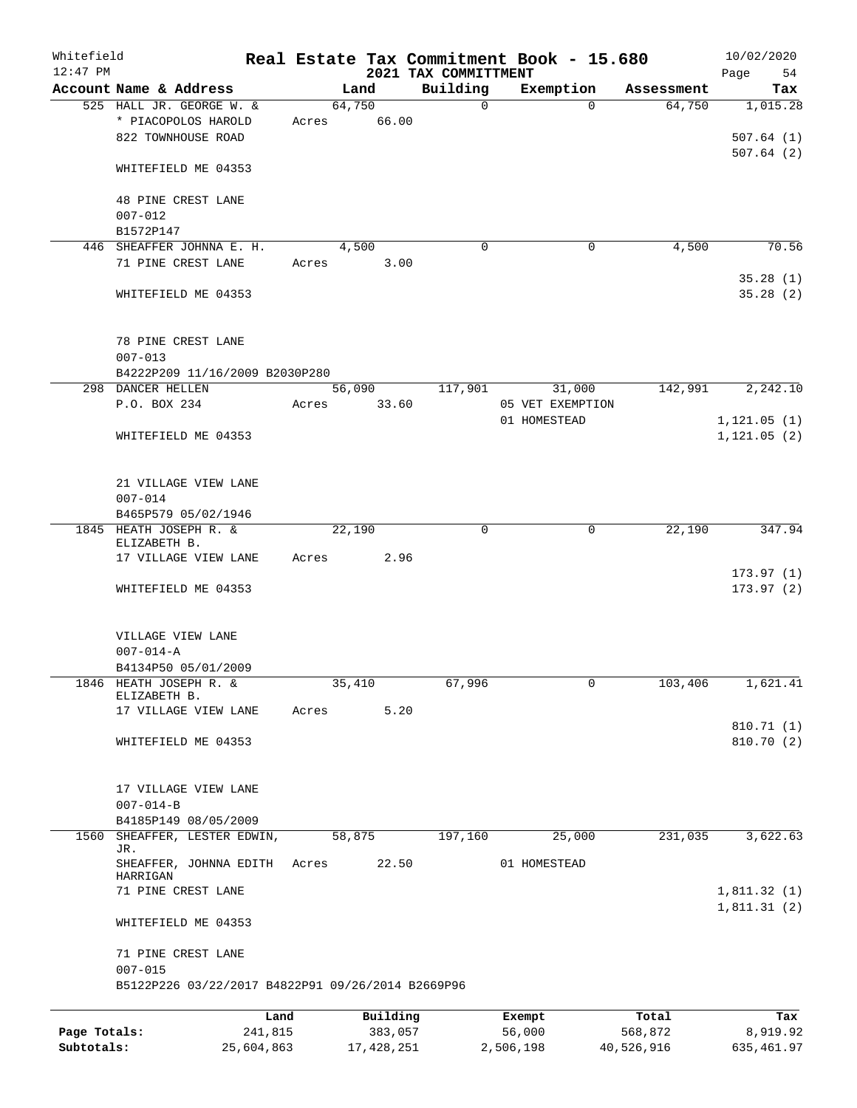| Whitefield<br>$12:47$ PM |                                                                       |         |        |          | 2021 TAX COMMITTMENT | Real Estate Tax Commitment Book - 15.680 |            | 10/02/2020<br>Page<br>54           |
|--------------------------|-----------------------------------------------------------------------|---------|--------|----------|----------------------|------------------------------------------|------------|------------------------------------|
|                          | Account Name & Address                                                |         |        | Land     | Building             | Exemption                                | Assessment | Tax                                |
|                          | 525 HALL JR. GEORGE W. &<br>* PIACOPOLOS HAROLD<br>822 TOWNHOUSE ROAD | Acres   | 64,750 | 66.00    | $\Omega$             | $\Omega$                                 | 64,750     | 1,015.28<br>507.64(1)<br>507.64(2) |
|                          | WHITEFIELD ME 04353                                                   |         |        |          |                      |                                          |            |                                    |
|                          | 48 PINE CREST LANE<br>$007 - 012$<br>B1572P147                        |         |        |          |                      |                                          |            |                                    |
| 446                      | SHEAFFER JOHNNA E. H.                                                 |         |        | 4,500    | $\mathbf 0$          | $\mathbf 0$                              | 4,500      | 70.56                              |
|                          | 71 PINE CREST LANE                                                    | Acres   |        | 3.00     |                      |                                          |            | 35.28(1)                           |
|                          | WHITEFIELD ME 04353                                                   |         |        |          |                      |                                          |            | 35.28(2)                           |
|                          | 78 PINE CREST LANE<br>$007 - 013$                                     |         |        |          |                      |                                          |            |                                    |
|                          | B4222P209 11/16/2009 B2030P280<br>298 DANCER HELLEN                   |         |        | 56,090   | 117,901              | 31,000                                   | 142,991    | 2,242.10                           |
|                          | P.O. BOX 234                                                          | Acres   |        | 33.60    |                      | 05 VET EXEMPTION                         |            |                                    |
|                          |                                                                       |         |        |          |                      | 01 HOMESTEAD                             |            | 1, 121.05(1)                       |
|                          | WHITEFIELD ME 04353                                                   |         |        |          |                      |                                          |            | 1, 121.05(2)                       |
|                          | 21 VILLAGE VIEW LANE<br>$007 - 014$                                   |         |        |          |                      |                                          |            |                                    |
|                          | B465P579 05/02/1946                                                   |         |        |          |                      |                                          |            |                                    |
|                          | 1845 HEATH JOSEPH R. &<br>ELIZABETH B.                                |         | 22,190 |          | 0                    | 0                                        | 22,190     | 347.94                             |
|                          | 17 VILLAGE VIEW LANE                                                  | Acres   |        | 2.96     |                      |                                          |            |                                    |
|                          | WHITEFIELD ME 04353                                                   |         |        |          |                      |                                          |            | 173.97(1)<br>173.97(2)             |
|                          | VILLAGE VIEW LANE<br>$007 - 014 - A$                                  |         |        |          |                      |                                          |            |                                    |
|                          | B4134P50 05/01/2009                                                   |         |        |          |                      |                                          |            |                                    |
|                          | 1846 HEATH JOSEPH R. &<br>ELIZABETH B.                                |         | 35,410 |          | 67,996               | 0                                        | 103,406    | 1,621.41                           |
|                          | 17 VILLAGE VIEW LANE                                                  | Acres   |        | 5.20     |                      |                                          |            | 810.71 (1)                         |
|                          | WHITEFIELD ME 04353                                                   |         |        |          |                      |                                          |            | 810.70 (2)                         |
|                          | 17 VILLAGE VIEW LANE<br>$007 - 014 - B$                               |         |        |          |                      |                                          |            |                                    |
|                          | B4185P149 08/05/2009                                                  |         |        |          |                      |                                          |            |                                    |
| 1560                     | SHEAFFER, LESTER EDWIN,<br>JR.                                        |         | 58,875 |          | 197,160              | 25,000                                   | 231,035    | 3,622.63                           |
|                          | SHEAFFER, JOHNNA EDITH<br>HARRIGAN                                    | Acres   |        | 22.50    |                      | 01 HOMESTEAD                             |            |                                    |
|                          | 71 PINE CREST LANE                                                    |         |        |          |                      |                                          |            | 1,811.32(1)<br>1,811.31(2)         |
|                          | WHITEFIELD ME 04353                                                   |         |        |          |                      |                                          |            |                                    |
|                          | 71 PINE CREST LANE<br>$007 - 015$                                     |         |        |          |                      |                                          |            |                                    |
|                          | B5122P226 03/22/2017 B4822P91 09/26/2014 B2669P96                     |         |        |          |                      |                                          |            |                                    |
|                          |                                                                       | Land    |        | Building |                      | Exempt                                   | Total      | Tax                                |
| Page Totals:             |                                                                       | 241,815 |        | 383,057  |                      | 56,000                                   | 568,872    | 8,919.92                           |

**Subtotals:** 25,604,863 17,428,251 2,506,198 40,526,916 635,461.97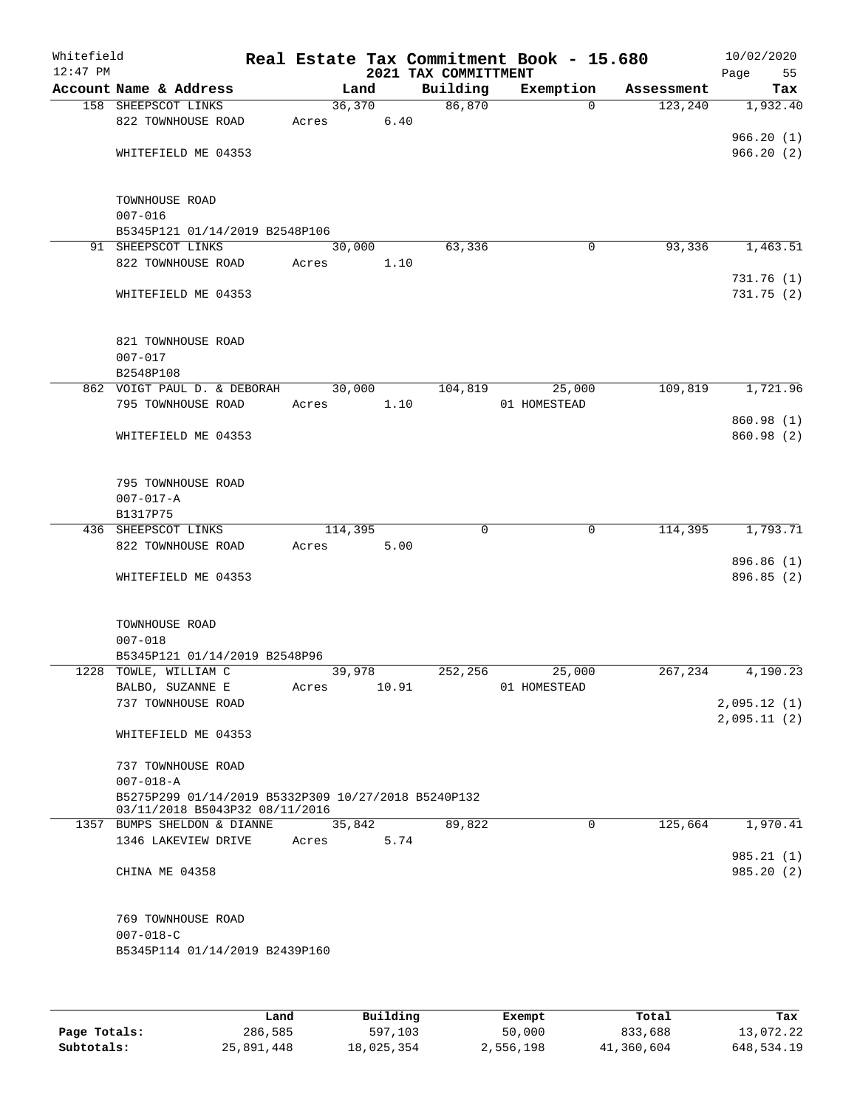| Whitefield<br>$12:47$ PM |                                                               |         |        | 2021 TAX COMMITTMENT | Real Estate Tax Commitment Book - 15.680 |            | 10/02/2020<br>Page<br>55 |
|--------------------------|---------------------------------------------------------------|---------|--------|----------------------|------------------------------------------|------------|--------------------------|
|                          | Account Name & Address                                        |         | Land   | Building             | Exemption                                | Assessment | Tax                      |
|                          | 158 SHEEPSCOT LINKS                                           | 36,370  |        | 86,870               | $\Omega$                                 | 123,240    | 1,932.40                 |
|                          | 822 TOWNHOUSE ROAD                                            | Acres   | 6.40   |                      |                                          |            |                          |
|                          |                                                               |         |        |                      |                                          |            | 966.20(1)                |
|                          | WHITEFIELD ME 04353                                           |         |        |                      |                                          |            | 966.20(2)                |
|                          |                                                               |         |        |                      |                                          |            |                          |
|                          | TOWNHOUSE ROAD                                                |         |        |                      |                                          |            |                          |
|                          | $007 - 016$                                                   |         |        |                      |                                          |            |                          |
|                          | B5345P121 01/14/2019 B2548P106                                |         |        |                      |                                          |            |                          |
|                          | 91 SHEEPSCOT LINKS                                            | 30,000  |        | 63,336               | 0                                        | 93,336     | 1,463.51                 |
|                          | 822 TOWNHOUSE ROAD                                            | Acres   | 1.10   |                      |                                          |            |                          |
|                          |                                                               |         |        |                      |                                          |            | 731.76(1)                |
|                          | WHITEFIELD ME 04353                                           |         |        |                      |                                          |            | 731.75 (2)               |
|                          |                                                               |         |        |                      |                                          |            |                          |
|                          |                                                               |         |        |                      |                                          |            |                          |
|                          | 821 TOWNHOUSE ROAD<br>$007 - 017$                             |         |        |                      |                                          |            |                          |
|                          | B2548P108                                                     |         |        |                      |                                          |            |                          |
|                          | 862 VOIGT PAUL D. & DEBORAH                                   |         | 30,000 | 104,819              | 25,000                                   | 109,819    | 1,721.96                 |
|                          | 795 TOWNHOUSE ROAD                                            | Acres   | 1.10   |                      | 01 HOMESTEAD                             |            |                          |
|                          |                                                               |         |        |                      |                                          |            | 860.98 (1)               |
|                          | WHITEFIELD ME 04353                                           |         |        |                      |                                          |            | 860.98 (2)               |
|                          |                                                               |         |        |                      |                                          |            |                          |
|                          |                                                               |         |        |                      |                                          |            |                          |
|                          | 795 TOWNHOUSE ROAD                                            |         |        |                      |                                          |            |                          |
|                          | $007 - 017 - A$                                               |         |        |                      |                                          |            |                          |
|                          | B1317P75                                                      | 114,395 |        | 0                    | $\mathbf 0$                              | 114,395    | 1,793.71                 |
|                          | 436 SHEEPSCOT LINKS<br>822 TOWNHOUSE ROAD                     | Acres   | 5.00   |                      |                                          |            |                          |
|                          |                                                               |         |        |                      |                                          |            | 896.86 (1)               |
|                          | WHITEFIELD ME 04353                                           |         |        |                      |                                          |            | 896.85(2)                |
|                          |                                                               |         |        |                      |                                          |            |                          |
|                          |                                                               |         |        |                      |                                          |            |                          |
|                          | TOWNHOUSE ROAD                                                |         |        |                      |                                          |            |                          |
|                          | $007 - 018$                                                   |         |        |                      |                                          |            |                          |
|                          | B5345P121 01/14/2019 B2548P96                                 |         |        |                      |                                          |            |                          |
|                          | 1228 TOWLE, WILLIAM C<br>BALBO, SUZANNE E                     | 39,978  | 10.91  | 252,256              | 25,000<br>01 HOMESTEAD                   | 267,234    | 4,190.23                 |
|                          | 737 TOWNHOUSE ROAD                                            | Acres   |        |                      |                                          |            | 2,095.12(1)              |
|                          |                                                               |         |        |                      |                                          |            | 2,095.11(2)              |
|                          | WHITEFIELD ME 04353                                           |         |        |                      |                                          |            |                          |
|                          |                                                               |         |        |                      |                                          |            |                          |
|                          | 737 TOWNHOUSE ROAD                                            |         |        |                      |                                          |            |                          |
|                          | $007 - 018 - A$                                               |         |        |                      |                                          |            |                          |
|                          | B5275P299 01/14/2019 B5332P309 10/27/2018 B5240P132           |         |        |                      |                                          |            |                          |
|                          | 03/11/2018 B5043P32 08/11/2016<br>1357 BUMPS SHELDON & DIANNE |         | 35,842 | 89,822               | $\mathbf 0$                              | 125,664    | 1,970.41                 |
|                          | 1346 LAKEVIEW DRIVE Acres                                     |         | 5.74   |                      |                                          |            |                          |
|                          |                                                               |         |        |                      |                                          |            | 985.21(1)                |
|                          | CHINA ME 04358                                                |         |        |                      |                                          |            | 985.20 (2)               |
|                          |                                                               |         |        |                      |                                          |            |                          |
|                          |                                                               |         |        |                      |                                          |            |                          |
|                          | 769 TOWNHOUSE ROAD                                            |         |        |                      |                                          |            |                          |
|                          | $007 - 018 - C$                                               |         |        |                      |                                          |            |                          |
|                          | B5345P114 01/14/2019 B2439P160                                |         |        |                      |                                          |            |                          |
|                          |                                                               |         |        |                      |                                          |            |                          |
|                          |                                                               |         |        |                      |                                          |            |                          |

|              | Land       | Building   | Exempt    | Total      | Tax        |
|--------------|------------|------------|-----------|------------|------------|
| Page Totals: | 286,585    | 597,103    | 50,000    | 833,688    | 13,072.22  |
| Subtotals:   | 25,891,448 | 18,025,354 | 2,556,198 | 41,360,604 | 648,534.19 |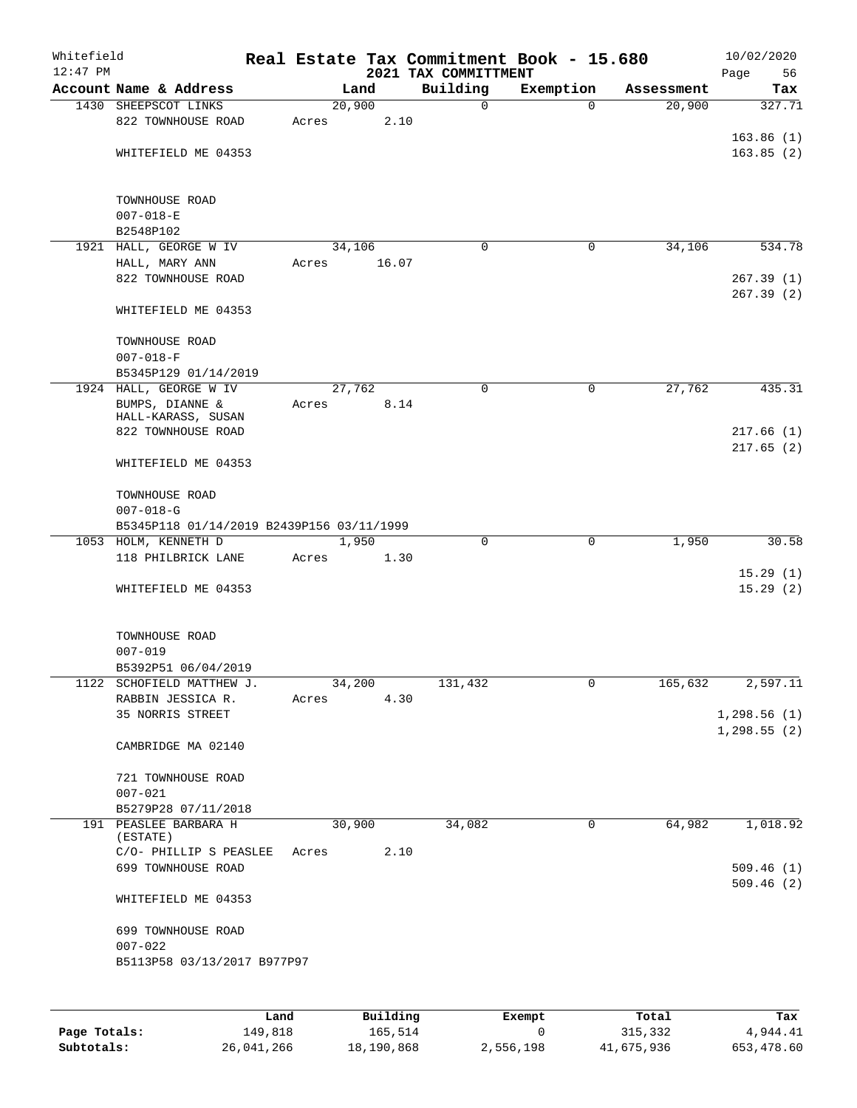| Whitefield<br>$12:47$ PM |                                           |       |       |        |                 | Real Estate Tax Commitment Book - 15.680<br>2021 TAX COMMITTMENT |               |             |            | 10/02/2020<br>Page<br>56 |
|--------------------------|-------------------------------------------|-------|-------|--------|-----------------|------------------------------------------------------------------|---------------|-------------|------------|--------------------------|
|                          | Account Name & Address                    |       |       | Land   |                 | Building                                                         | Exemption     |             | Assessment | Tax                      |
|                          | 1430 SHEEPSCOT LINKS                      |       |       | 20,900 |                 | $\mathbf 0$                                                      |               | $\Omega$    | 20,900     | 327.71                   |
|                          | 822 TOWNHOUSE ROAD                        |       | Acres |        | 2.10            |                                                                  |               |             |            |                          |
|                          |                                           |       |       |        |                 |                                                                  |               |             |            | 163.86(1)                |
|                          | WHITEFIELD ME 04353                       |       |       |        |                 |                                                                  |               |             |            | 163.85(2)                |
|                          | TOWNHOUSE ROAD                            |       |       |        |                 |                                                                  |               |             |            |                          |
|                          | $007 - 018 - E$                           |       |       |        |                 |                                                                  |               |             |            |                          |
|                          | B2548P102                                 |       |       |        |                 |                                                                  |               |             |            |                          |
|                          | 1921 HALL, GEORGE W IV                    |       |       | 34,106 |                 | 0                                                                |               | 0           | 34,106     | 534.78                   |
|                          | HALL, MARY ANN                            |       | Acres |        | 16.07           |                                                                  |               |             |            |                          |
|                          | 822 TOWNHOUSE ROAD                        |       |       |        |                 |                                                                  |               |             |            | 267.39(1)<br>267.39(2)   |
|                          | WHITEFIELD ME 04353                       |       |       |        |                 |                                                                  |               |             |            |                          |
|                          | TOWNHOUSE ROAD                            |       |       |        |                 |                                                                  |               |             |            |                          |
|                          | $007 - 018 - F$                           |       |       |        |                 |                                                                  |               |             |            |                          |
|                          | B5345P129 01/14/2019                      |       |       |        |                 |                                                                  |               |             |            |                          |
|                          | 1924 HALL, GEORGE W IV                    |       |       | 27,762 |                 | 0                                                                |               | 0           | 27,762     | 435.31                   |
|                          | BUMPS, DIANNE &<br>HALL-KARASS, SUSAN     |       | Acres |        | 8.14            |                                                                  |               |             |            |                          |
|                          | 822 TOWNHOUSE ROAD                        |       |       |        |                 |                                                                  |               |             |            | 217.66(1)                |
|                          |                                           |       |       |        |                 |                                                                  |               |             |            | 217.65(2)                |
|                          | WHITEFIELD ME 04353                       |       |       |        |                 |                                                                  |               |             |            |                          |
|                          | TOWNHOUSE ROAD                            |       |       |        |                 |                                                                  |               |             |            |                          |
|                          | $007 - 018 - G$                           |       |       |        |                 |                                                                  |               |             |            |                          |
|                          | B5345P118 01/14/2019 B2439P156 03/11/1999 |       |       |        |                 |                                                                  |               |             |            |                          |
|                          | 1053 HOLM, KENNETH D                      |       |       | 1,950  |                 | 0                                                                |               | $\mathbf 0$ | 1,950      | 30.58                    |
|                          | 118 PHILBRICK LANE                        |       | Acres |        | 1.30            |                                                                  |               |             |            |                          |
|                          | WHITEFIELD ME 04353                       |       |       |        |                 |                                                                  |               |             |            | 15.29(1)<br>15.29(2)     |
|                          |                                           |       |       |        |                 |                                                                  |               |             |            |                          |
|                          | TOWNHOUSE ROAD                            |       |       |        |                 |                                                                  |               |             |            |                          |
|                          | $007 - 019$                               |       |       |        |                 |                                                                  |               |             |            |                          |
|                          | B5392P51 06/04/2019                       |       |       |        |                 |                                                                  |               |             |            |                          |
| 1122                     | SCHOFIELD MATTHEW J.                      |       |       | 34,200 |                 | 131,432                                                          |               | 0           | 165,632    | 2,597.11                 |
|                          | RABBIN JESSICA R.                         |       | Acres |        | 4.30            |                                                                  |               |             |            |                          |
|                          | 35 NORRIS STREET                          |       |       |        |                 |                                                                  |               |             |            | 1,298.56(1)              |
|                          |                                           |       |       |        |                 |                                                                  |               |             |            | 1,298.55(2)              |
|                          | CAMBRIDGE MA 02140                        |       |       |        |                 |                                                                  |               |             |            |                          |
|                          | 721 TOWNHOUSE ROAD                        |       |       |        |                 |                                                                  |               |             |            |                          |
|                          | $007 - 021$                               |       |       |        |                 |                                                                  |               |             |            |                          |
|                          | B5279P28 07/11/2018                       |       |       |        |                 |                                                                  |               |             |            |                          |
|                          | 191 PEASLEE BARBARA H                     |       |       | 30,900 |                 | 34,082                                                           |               | 0           | 64,982     | 1,018.92                 |
|                          | (ESTATE)                                  |       |       |        |                 |                                                                  |               |             |            |                          |
|                          | C/O- PHILLIP S PEASLEE                    |       | Acres |        | 2.10            |                                                                  |               |             |            |                          |
|                          | 699 TOWNHOUSE ROAD                        |       |       |        |                 |                                                                  |               |             |            | 509.46(1)                |
|                          | WHITEFIELD ME 04353                       |       |       |        |                 |                                                                  |               |             |            | 509.46(2)                |
|                          | 699 TOWNHOUSE ROAD                        |       |       |        |                 |                                                                  |               |             |            |                          |
|                          | $007 - 022$                               |       |       |        |                 |                                                                  |               |             |            |                          |
|                          | B5113P58 03/13/2017 B977P97               |       |       |        |                 |                                                                  |               |             |            |                          |
|                          |                                           |       |       |        |                 |                                                                  |               |             |            |                          |
|                          |                                           |       |       |        |                 |                                                                  |               |             |            |                          |
|                          |                                           | Land. |       |        | <b>Building</b> |                                                                  | <b>Fromnt</b> |             | $T$ ctal   | To:                      |

|              | Land       | Building   | Exempt    | Total      | Tax        |
|--------------|------------|------------|-----------|------------|------------|
| Page Totals: | 149,818    | 165,514    |           | 315,332    | 4,944.41   |
| Subtotals:   | 26,041,266 | 18,190,868 | 2,556,198 | 41,675,936 | 653,478.60 |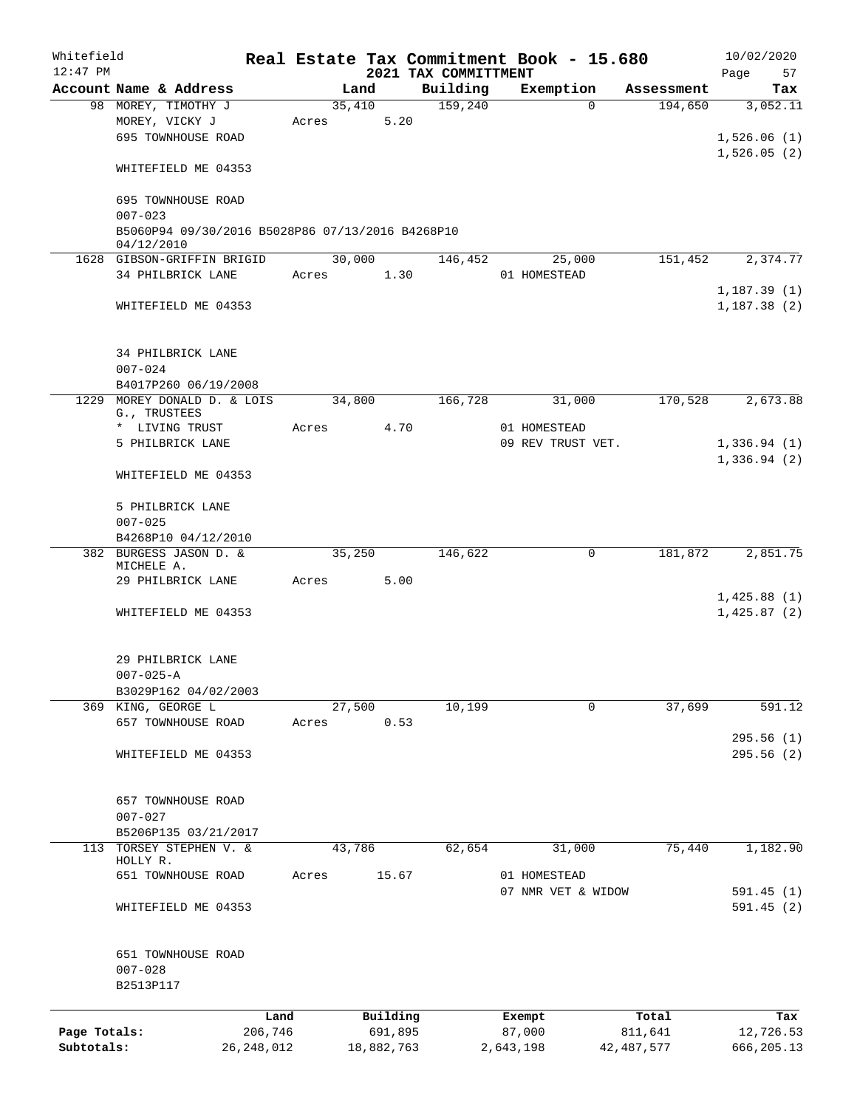| Whitefield   |                                                                 |              |       |            |      |                                  | Real Estate Tax Commitment Book - 15.680 |          |              | 10/02/2020                 |
|--------------|-----------------------------------------------------------------|--------------|-------|------------|------|----------------------------------|------------------------------------------|----------|--------------|----------------------------|
| $12:47$ PM   | Account Name & Address                                          |              |       | Land       |      | 2021 TAX COMMITTMENT<br>Building | Exemption                                |          | Assessment   | 57<br>Page<br>Tax          |
|              | 98 MOREY, TIMOTHY J                                             |              |       | 35,410     |      | 159,240                          |                                          | $\Omega$ | 194,650      | 3,052.11                   |
|              | MOREY, VICKY J                                                  |              | Acres |            | 5.20 |                                  |                                          |          |              |                            |
|              | 695 TOWNHOUSE ROAD                                              |              |       |            |      |                                  |                                          |          |              | 1,526.06(1)                |
|              |                                                                 |              |       |            |      |                                  |                                          |          |              | 1,526.05(2)                |
|              | WHITEFIELD ME 04353                                             |              |       |            |      |                                  |                                          |          |              |                            |
|              | 695 TOWNHOUSE ROAD                                              |              |       |            |      |                                  |                                          |          |              |                            |
|              | $007 - 023$<br>B5060P94 09/30/2016 B5028P86 07/13/2016 B4268P10 |              |       |            |      |                                  |                                          |          |              |                            |
|              | 04/12/2010                                                      |              |       |            |      |                                  |                                          |          |              |                            |
|              | 1628 GIBSON-GRIFFIN BRIGID                                      |              |       | 30,000     |      | 146,452                          |                                          | 25,000   | 151,452      | 2,374.77                   |
|              | 34 PHILBRICK LANE                                               |              | Acres |            | 1.30 |                                  | 01 HOMESTEAD                             |          |              |                            |
|              |                                                                 |              |       |            |      |                                  |                                          |          |              | 1,187.39(1)                |
|              | WHITEFIELD ME 04353                                             |              |       |            |      |                                  |                                          |          |              | 1, 187.38(2)               |
|              |                                                                 |              |       |            |      |                                  |                                          |          |              |                            |
|              | 34 PHILBRICK LANE                                               |              |       |            |      |                                  |                                          |          |              |                            |
|              | $007 - 024$                                                     |              |       |            |      |                                  |                                          |          |              |                            |
|              | B4017P260 06/19/2008                                            |              |       |            |      |                                  |                                          |          |              |                            |
|              | 1229 MOREY DONALD D. & LOIS                                     |              |       | 34,800     |      | 166,728                          |                                          | 31,000   | 170,528      | 2,673.88                   |
|              | G., TRUSTEES<br>* LIVING TRUST                                  |              | Acres |            | 4.70 |                                  | 01 HOMESTEAD                             |          |              |                            |
|              | 5 PHILBRICK LANE                                                |              |       |            |      |                                  | 09 REV TRUST VET.                        |          |              | 1,336.94(1)                |
|              |                                                                 |              |       |            |      |                                  |                                          |          |              | 1,336.94(2)                |
|              | WHITEFIELD ME 04353                                             |              |       |            |      |                                  |                                          |          |              |                            |
|              | 5 PHILBRICK LANE                                                |              |       |            |      |                                  |                                          |          |              |                            |
|              | $007 - 025$                                                     |              |       |            |      |                                  |                                          |          |              |                            |
|              | B4268P10 04/12/2010                                             |              |       |            |      |                                  |                                          |          |              |                            |
|              | 382 BURGESS JASON D. &                                          |              |       | 35,250     |      | 146,622                          |                                          | 0        | 181,872      | 2,851.75                   |
|              | MICHELE A.                                                      |              |       |            |      |                                  |                                          |          |              |                            |
|              | 29 PHILBRICK LANE                                               |              | Acres |            | 5.00 |                                  |                                          |          |              |                            |
|              |                                                                 |              |       |            |      |                                  |                                          |          |              | 1,425.88(1)<br>1,425.87(2) |
|              | WHITEFIELD ME 04353                                             |              |       |            |      |                                  |                                          |          |              |                            |
|              | 29 PHILBRICK LANE                                               |              |       |            |      |                                  |                                          |          |              |                            |
|              | $007 - 025 - A$                                                 |              |       |            |      |                                  |                                          |          |              |                            |
|              | B3029P162 04/02/2003                                            |              |       |            |      |                                  |                                          |          |              |                            |
|              | 369 KING, GEORGE L                                              |              |       | 27,500     |      | 10,199                           |                                          | 0        | 37,699       | 591.12                     |
|              | 657 TOWNHOUSE ROAD                                              |              | Acres |            | 0.53 |                                  |                                          |          |              |                            |
|              |                                                                 |              |       |            |      |                                  |                                          |          |              | 295.56(1)                  |
|              | WHITEFIELD ME 04353                                             |              |       |            |      |                                  |                                          |          |              | 295.56(2)                  |
|              | 657 TOWNHOUSE ROAD                                              |              |       |            |      |                                  |                                          |          |              |                            |
|              | $007 - 027$                                                     |              |       |            |      |                                  |                                          |          |              |                            |
|              | B5206P135 03/21/2017                                            |              |       |            |      |                                  |                                          |          |              |                            |
| 113          | TORSEY STEPHEN V. &                                             |              |       | 43,786     |      | 62,654                           |                                          | 31,000   | 75,440       | 1,182.90                   |
|              | HOLLY R.                                                        |              |       |            |      |                                  |                                          |          |              |                            |
|              | 651 TOWNHOUSE ROAD                                              |              | Acres | 15.67      |      |                                  | 01 HOMESTEAD                             |          |              |                            |
|              |                                                                 |              |       |            |      |                                  | 07 NMR VET & WIDOW                       |          |              | 591.45 (1)                 |
|              | WHITEFIELD ME 04353                                             |              |       |            |      |                                  |                                          |          |              | 591.45(2)                  |
|              | 651 TOWNHOUSE ROAD                                              |              |       |            |      |                                  |                                          |          |              |                            |
|              | $007 - 028$                                                     |              |       |            |      |                                  |                                          |          |              |                            |
|              | B2513P117                                                       |              |       |            |      |                                  |                                          |          |              |                            |
|              |                                                                 | Land         |       | Building   |      |                                  | Exempt                                   |          | Total        | Tax                        |
| Page Totals: |                                                                 | 206,746      |       | 691,895    |      |                                  | 87,000                                   |          | 811,641      | 12,726.53                  |
| Subtotals:   |                                                                 | 26, 248, 012 |       | 18,882,763 |      |                                  | 2,643,198                                |          | 42, 487, 577 | 666, 205.13                |
|              |                                                                 |              |       |            |      |                                  |                                          |          |              |                            |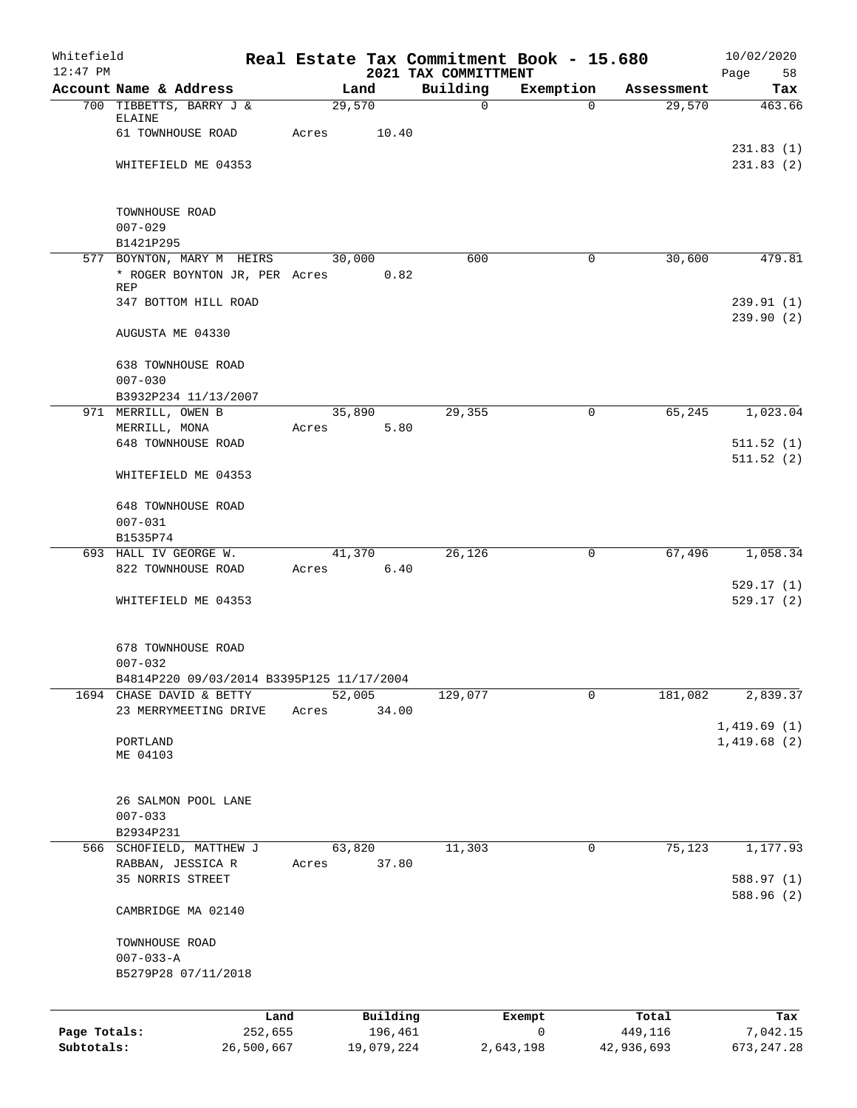| Whitefield<br>$12:47$ PM |                                                   |                 |            | 2021 TAX COMMITTMENT | Real Estate Tax Commitment Book - 15.680 |            | 10/02/2020<br>Page     |
|--------------------------|---------------------------------------------------|-----------------|------------|----------------------|------------------------------------------|------------|------------------------|
|                          | Account Name & Address                            | Land            |            | Building             | Exemption                                | Assessment | 58<br>Tax              |
|                          | 700 TIBBETTS, BARRY J &                           | 29,570          |            | $\mathbf 0$          | $\Omega$                                 | 29,570     | 463.66                 |
|                          | ELAINE                                            |                 |            |                      |                                          |            |                        |
|                          | 61 TOWNHOUSE ROAD                                 | Acres           | 10.40      |                      |                                          |            | 231.83(1)              |
|                          | WHITEFIELD ME 04353                               |                 |            |                      |                                          |            | 231.83(2)              |
|                          |                                                   |                 |            |                      |                                          |            |                        |
|                          |                                                   |                 |            |                      |                                          |            |                        |
|                          | TOWNHOUSE ROAD<br>$007 - 029$                     |                 |            |                      |                                          |            |                        |
|                          | B1421P295                                         |                 |            |                      |                                          |            |                        |
|                          | 577 BOYNTON, MARY M HEIRS                         | 30,000          |            | 600                  | $\mathbf 0$                              | 30,600     | 479.81                 |
|                          | * ROGER BOYNTON JR, PER Acres                     |                 | 0.82       |                      |                                          |            |                        |
|                          | REP<br>347 BOTTOM HILL ROAD                       |                 |            |                      |                                          |            | 239.91(1)              |
|                          |                                                   |                 |            |                      |                                          |            | 239.90(2)              |
|                          | AUGUSTA ME 04330                                  |                 |            |                      |                                          |            |                        |
|                          | <b>638 TOWNHOUSE ROAD</b>                         |                 |            |                      |                                          |            |                        |
|                          | $007 - 030$                                       |                 |            |                      |                                          |            |                        |
|                          | B3932P234 11/13/2007                              |                 |            |                      |                                          |            |                        |
|                          | 971 MERRILL, OWEN B                               | 35,890          |            | 29,355               | 0                                        | 65,245     | 1,023.04               |
|                          | MERRILL, MONA                                     | Acres           | 5.80       |                      |                                          |            |                        |
|                          | 648 TOWNHOUSE ROAD                                |                 |            |                      |                                          |            | 511.52(1)<br>511.52(2) |
|                          | WHITEFIELD ME 04353                               |                 |            |                      |                                          |            |                        |
|                          |                                                   |                 |            |                      |                                          |            |                        |
|                          | <b>648 TOWNHOUSE ROAD</b>                         |                 |            |                      |                                          |            |                        |
|                          | $007 - 031$                                       |                 |            |                      |                                          |            |                        |
|                          | B1535P74<br>693 HALL IV GEORGE W.                 | 41,370          |            | 26,126               | 0                                        | 67,496     | 1,058.34               |
|                          | 822 TOWNHOUSE ROAD                                | Acres           | 6.40       |                      |                                          |            |                        |
|                          |                                                   |                 |            |                      |                                          |            | 529.17(1)              |
|                          | WHITEFIELD ME 04353                               |                 |            |                      |                                          |            | 529.17(2)              |
|                          |                                                   |                 |            |                      |                                          |            |                        |
|                          | 678 TOWNHOUSE ROAD                                |                 |            |                      |                                          |            |                        |
|                          | $007 - 032$                                       |                 |            |                      |                                          |            |                        |
|                          | B4814P220 09/03/2014 B3395P125 11/17/2004         |                 |            |                      |                                          |            |                        |
|                          | 1694 CHASE DAVID & BETTY<br>23 MERRYMEETING DRIVE | 52,005<br>Acres | 34.00      | 129,077              | $\mathbf 0$                              | 181,082    | 2,839.37               |
|                          |                                                   |                 |            |                      |                                          |            | 1,419.69(1)            |
|                          | PORTLAND                                          |                 |            |                      |                                          |            | 1,419.68(2)            |
|                          | ME 04103                                          |                 |            |                      |                                          |            |                        |
|                          |                                                   |                 |            |                      |                                          |            |                        |
|                          | 26 SALMON POOL LANE                               |                 |            |                      |                                          |            |                        |
|                          | $007 - 033$                                       |                 |            |                      |                                          |            |                        |
|                          | B2934P231                                         |                 |            |                      |                                          |            |                        |
|                          | 566 SCHOFIELD, MATTHEW J<br>RABBAN, JESSICA R     | 63,820<br>Acres | 37.80      | 11,303               | 0                                        | 75,123     | 1,177.93               |
|                          | 35 NORRIS STREET                                  |                 |            |                      |                                          |            | 588.97 (1)             |
|                          |                                                   |                 |            |                      |                                          |            | 588.96 (2)             |
|                          | CAMBRIDGE MA 02140                                |                 |            |                      |                                          |            |                        |
|                          |                                                   |                 |            |                      |                                          |            |                        |
|                          | TOWNHOUSE ROAD<br>$007 - 033 - A$                 |                 |            |                      |                                          |            |                        |
|                          | B5279P28 07/11/2018                               |                 |            |                      |                                          |            |                        |
|                          |                                                   |                 |            |                      |                                          |            |                        |
|                          | Land                                              |                 | Building   |                      | Exempt                                   | Total      | Tax                    |
| Page Totals:             | 252,655                                           |                 | 196,461    |                      | $\mathsf{O}$                             | 449,116    | 7,042.15               |
| Subtotals:               | 26,500,667                                        |                 | 19,079,224 |                      | 2,643,198                                | 42,936,693 | 673, 247.28            |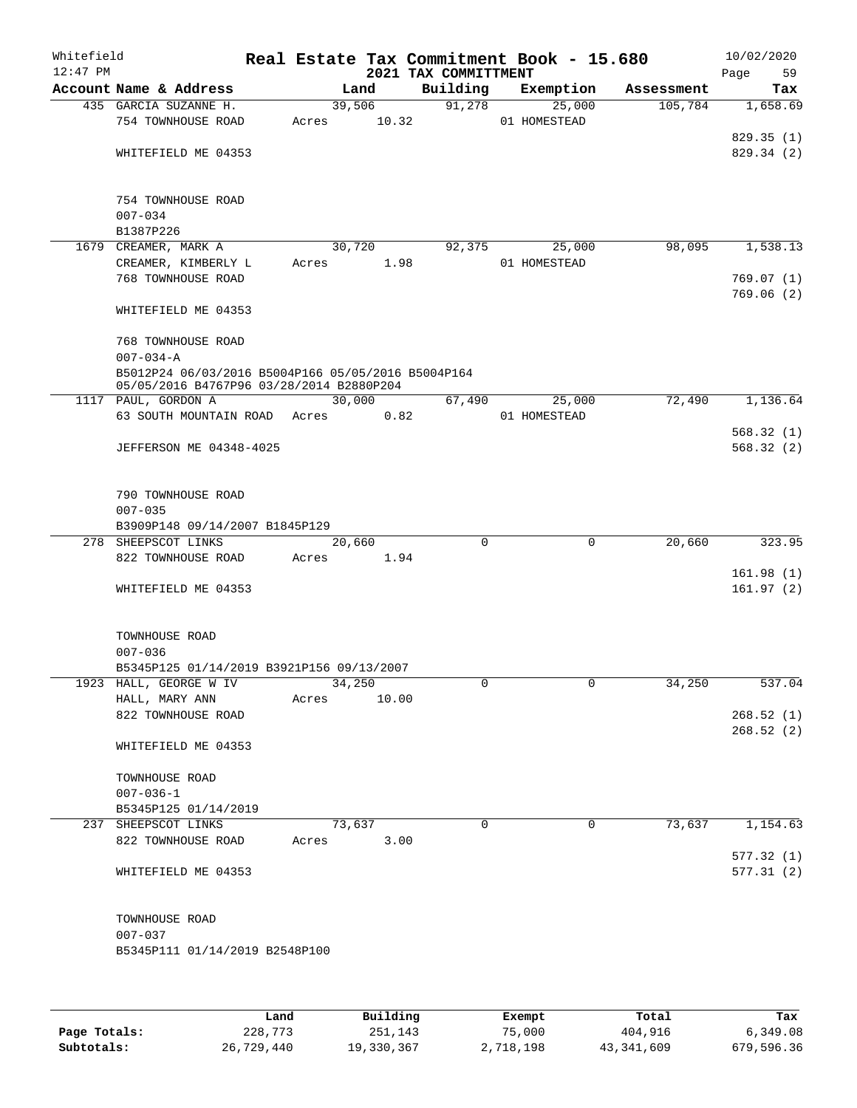| Whitefield<br>$12:47$ PM |                                                                                                |       |                 | 2021 TAX COMMITTMENT | Real Estate Tax Commitment Book - 15.680 |            | 10/02/2020<br>59<br>Page |
|--------------------------|------------------------------------------------------------------------------------------------|-------|-----------------|----------------------|------------------------------------------|------------|--------------------------|
|                          | Account Name & Address                                                                         |       | Land            | Building             | Exemption                                | Assessment | Tax                      |
|                          | 435 GARCIA SUZANNE H.<br>754 TOWNHOUSE ROAD                                                    | Acres | 39,506<br>10.32 | 91,278               | 25,000                                   | 105,784    | 1,658.69                 |
|                          |                                                                                                |       |                 |                      | 01 HOMESTEAD                             |            | 829.35 (1)               |
|                          | WHITEFIELD ME 04353                                                                            |       |                 |                      |                                          |            | 829.34 (2)               |
|                          | 754 TOWNHOUSE ROAD                                                                             |       |                 |                      |                                          |            |                          |
|                          | $007 - 034$                                                                                    |       |                 |                      |                                          |            |                          |
|                          | B1387P226<br>1679 CREAMER, MARK A                                                              |       | 30,720          | 92,375               | 25,000                                   | 98,095     | 1,538.13                 |
|                          | CREAMER, KIMBERLY L                                                                            | Acres | 1.98            |                      | 01 HOMESTEAD                             |            |                          |
|                          | 768 TOWNHOUSE ROAD                                                                             |       |                 |                      |                                          |            | 769.07(1)                |
|                          |                                                                                                |       |                 |                      |                                          |            | 769.06(2)                |
|                          | WHITEFIELD ME 04353                                                                            |       |                 |                      |                                          |            |                          |
|                          | 768 TOWNHOUSE ROAD<br>$007 - 034 - A$                                                          |       |                 |                      |                                          |            |                          |
|                          | B5012P24 06/03/2016 B5004P166 05/05/2016 B5004P164<br>05/05/2016 B4767P96 03/28/2014 B2880P204 |       |                 |                      |                                          |            |                          |
|                          | 1117 PAUL, GORDON A                                                                            |       | 30,000          | 67,490               | 25,000                                   | 72,490     | 1,136.64                 |
|                          | 63 SOUTH MOUNTAIN ROAD                                                                         | Acres | 0.82            |                      | 01 HOMESTEAD                             |            |                          |
|                          |                                                                                                |       |                 |                      |                                          |            | 568.32(1)                |
|                          | <b>JEFFERSON ME 04348-4025</b>                                                                 |       |                 |                      |                                          |            | 568.32(2)                |
|                          | 790 TOWNHOUSE ROAD<br>$007 - 035$                                                              |       |                 |                      |                                          |            |                          |
|                          | B3909P148 09/14/2007 B1845P129                                                                 |       |                 |                      |                                          |            |                          |
|                          | 278 SHEEPSCOT LINKS                                                                            |       | 20,660          | $\mathbf 0$          | $\mathbf 0$                              | 20,660     | 323.95                   |
|                          | 822 TOWNHOUSE ROAD                                                                             | Acres | 1.94            |                      |                                          |            |                          |
|                          |                                                                                                |       |                 |                      |                                          |            | 161.98(1)                |
|                          | WHITEFIELD ME 04353                                                                            |       |                 |                      |                                          |            | 161.97(2)                |
|                          | TOWNHOUSE ROAD                                                                                 |       |                 |                      |                                          |            |                          |
|                          | $007 - 036$<br>B5345P125 01/14/2019 B3921P156 09/13/2007                                       |       |                 |                      |                                          |            |                          |
|                          | 1923 HALL, GEORGE W IV                                                                         |       | 34,250          | 0                    | 0                                        | 34,250     | 537.04                   |
|                          | HALL, MARY ANN                                                                                 | Acres | 10.00           |                      |                                          |            |                          |
|                          | 822 TOWNHOUSE ROAD                                                                             |       |                 |                      |                                          |            | 268.52(1)                |
|                          |                                                                                                |       |                 |                      |                                          |            | 268.52(2)                |
|                          | WHITEFIELD ME 04353                                                                            |       |                 |                      |                                          |            |                          |
|                          | TOWNHOUSE ROAD                                                                                 |       |                 |                      |                                          |            |                          |
|                          | $007 - 036 - 1$                                                                                |       |                 |                      |                                          |            |                          |
|                          | B5345P125 01/14/2019                                                                           |       |                 |                      |                                          |            |                          |
|                          | 237 SHEEPSCOT LINKS<br>822 TOWNHOUSE ROAD                                                      | Acres | 73,637<br>3.00  | $\Omega$             | 0                                        | 73,637     | 1,154.63                 |
|                          |                                                                                                |       |                 |                      |                                          |            | 577.32(1)                |
|                          | WHITEFIELD ME 04353                                                                            |       |                 |                      |                                          |            | 577.31(2)                |
|                          | TOWNHOUSE ROAD                                                                                 |       |                 |                      |                                          |            |                          |
|                          | $007 - 037$                                                                                    |       |                 |                      |                                          |            |                          |
|                          | B5345P111 01/14/2019 B2548P100                                                                 |       |                 |                      |                                          |            |                          |
|                          |                                                                                                |       |                 |                      |                                          |            |                          |
|                          |                                                                                                |       |                 |                      |                                          |            |                          |

|              | Land       | Building   | Exempt    | Total      | Tax        |
|--------------|------------|------------|-----------|------------|------------|
| Page Totals: | 228,773    | 251,143    | 75,000    | 404,916    | 6,349.08   |
| Subtotals:   | 26,729,440 | 19,330,367 | 2,718,198 | 43,341,609 | 679,596.36 |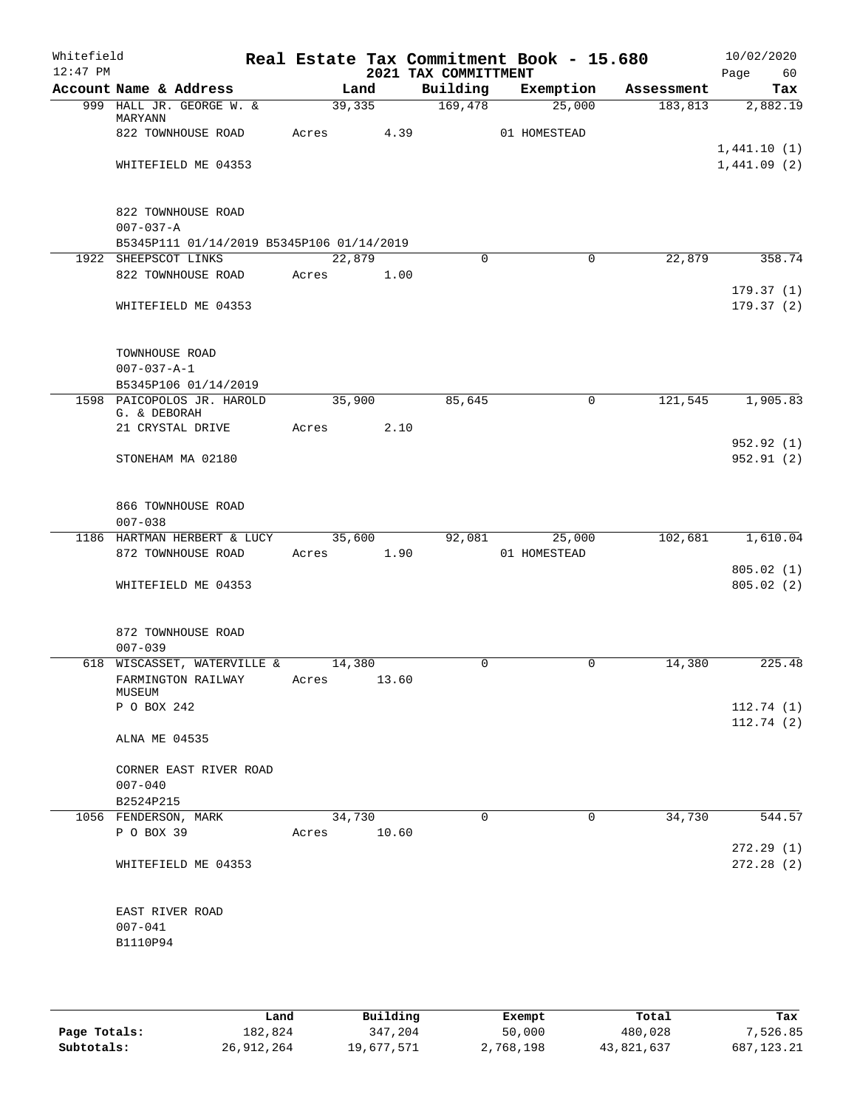| Whitefield<br>$12:47$ PM |                                            |       |        |       | 2021 TAX COMMITTMENT | Real Estate Tax Commitment Book - 15.680 |            | 10/02/2020<br>Page<br>60 |
|--------------------------|--------------------------------------------|-------|--------|-------|----------------------|------------------------------------------|------------|--------------------------|
|                          | Account Name & Address                     |       | Land   |       | Building             | Exemption                                | Assessment | Tax                      |
|                          | 999 HALL JR. GEORGE W. &                   |       | 39,335 |       | 169,478              | 25,000                                   | 183, 813   | 2,882.19                 |
|                          | MARYANN<br>822 TOWNHOUSE ROAD              |       | Acres  | 4.39  |                      | 01 HOMESTEAD                             |            |                          |
|                          |                                            |       |        |       |                      |                                          |            | 1,441.10(1)              |
|                          | WHITEFIELD ME 04353                        |       |        |       |                      |                                          |            | 1,441.09(2)              |
|                          | 822 TOWNHOUSE ROAD                         |       |        |       |                      |                                          |            |                          |
|                          | $007 - 037 - A$                            |       |        |       |                      |                                          |            |                          |
|                          | B5345P111 01/14/2019 B5345P106 01/14/2019  |       |        |       |                      |                                          |            |                          |
|                          | 1922 SHEEPSCOT LINKS                       |       | 22,879 |       | $\Omega$             | $\Omega$                                 | 22,879     | 358.74                   |
|                          | 822 TOWNHOUSE ROAD                         |       | Acres  | 1.00  |                      |                                          |            |                          |
|                          |                                            |       |        |       |                      |                                          |            | 179.37(1)                |
|                          | WHITEFIELD ME 04353                        |       |        |       |                      |                                          |            | 179.37(2)                |
|                          | TOWNHOUSE ROAD                             |       |        |       |                      |                                          |            |                          |
|                          | $007 - 037 - A - 1$                        |       |        |       |                      |                                          |            |                          |
|                          | B5345P106 01/14/2019                       |       |        |       |                      |                                          |            |                          |
|                          | 1598 PAICOPOLOS JR. HAROLD<br>G. & DEBORAH |       | 35,900 |       | 85,645               | 0                                        | 121,545    | 1,905.83                 |
|                          | 21 CRYSTAL DRIVE                           | Acres |        | 2.10  |                      |                                          |            |                          |
|                          |                                            |       |        |       |                      |                                          |            | 952.92 (1)               |
|                          | STONEHAM MA 02180                          |       |        |       |                      |                                          |            | 952.91(2)                |
|                          |                                            |       |        |       |                      |                                          |            |                          |
|                          | 866 TOWNHOUSE ROAD<br>$007 - 038$          |       |        |       |                      |                                          |            |                          |
|                          | 1186 HARTMAN HERBERT & LUCY                |       | 35,600 |       | 92,081               | 25,000                                   | 102,681    | 1,610.04                 |
|                          | 872 TOWNHOUSE ROAD                         | Acres |        | 1.90  |                      | 01 HOMESTEAD                             |            |                          |
|                          |                                            |       |        |       |                      |                                          |            | 805.02(1)                |
|                          | WHITEFIELD ME 04353                        |       |        |       |                      |                                          |            | 805.02(2)                |
|                          | 872 TOWNHOUSE ROAD                         |       |        |       |                      |                                          |            |                          |
|                          | $007 - 039$                                |       |        |       |                      |                                          |            |                          |
|                          | 618 WISCASSET, WATERVILLE &                |       | 14,380 |       | 0                    | 0                                        | 14,380     | 225.48                   |
|                          | FARMINGTON RAILWAY<br>MUSEUM               | Acres |        | 13.60 |                      |                                          |            |                          |
|                          | P O BOX 242                                |       |        |       |                      |                                          |            | 112.74(1)                |
|                          |                                            |       |        |       |                      |                                          |            | 112.74(2)                |
|                          | ALNA ME 04535                              |       |        |       |                      |                                          |            |                          |
|                          | CORNER EAST RIVER ROAD                     |       |        |       |                      |                                          |            |                          |
|                          | $007 - 040$                                |       |        |       |                      |                                          |            |                          |
|                          | B2524P215                                  |       |        |       |                      |                                          |            |                          |
|                          | 1056 FENDERSON, MARK                       |       | 34,730 |       | $\mathbf 0$          | 0                                        | 34,730     | 544.57                   |
|                          | P O BOX 39                                 | Acres |        | 10.60 |                      |                                          |            |                          |
|                          |                                            |       |        |       |                      |                                          |            | 272.29(1)                |
|                          | WHITEFIELD ME 04353                        |       |        |       |                      |                                          |            | 272.28(2)                |
|                          | EAST RIVER ROAD                            |       |        |       |                      |                                          |            |                          |
|                          | $007 - 041$                                |       |        |       |                      |                                          |            |                          |
|                          | B1110P94                                   |       |        |       |                      |                                          |            |                          |
|                          |                                            |       |        |       |                      |                                          |            |                          |
|                          |                                            |       |        |       |                      |                                          |            |                          |

|              | Land       | Building   | Exempt    | Total      | Tax          |
|--------------|------------|------------|-----------|------------|--------------|
| Page Totals: | 182,824    | 347,204    | 50,000    | 480,028    | 7,526.85     |
| Subtotals:   | 26,912,264 | 19,677,571 | 2,768,198 | 43,821,637 | 687, 123, 21 |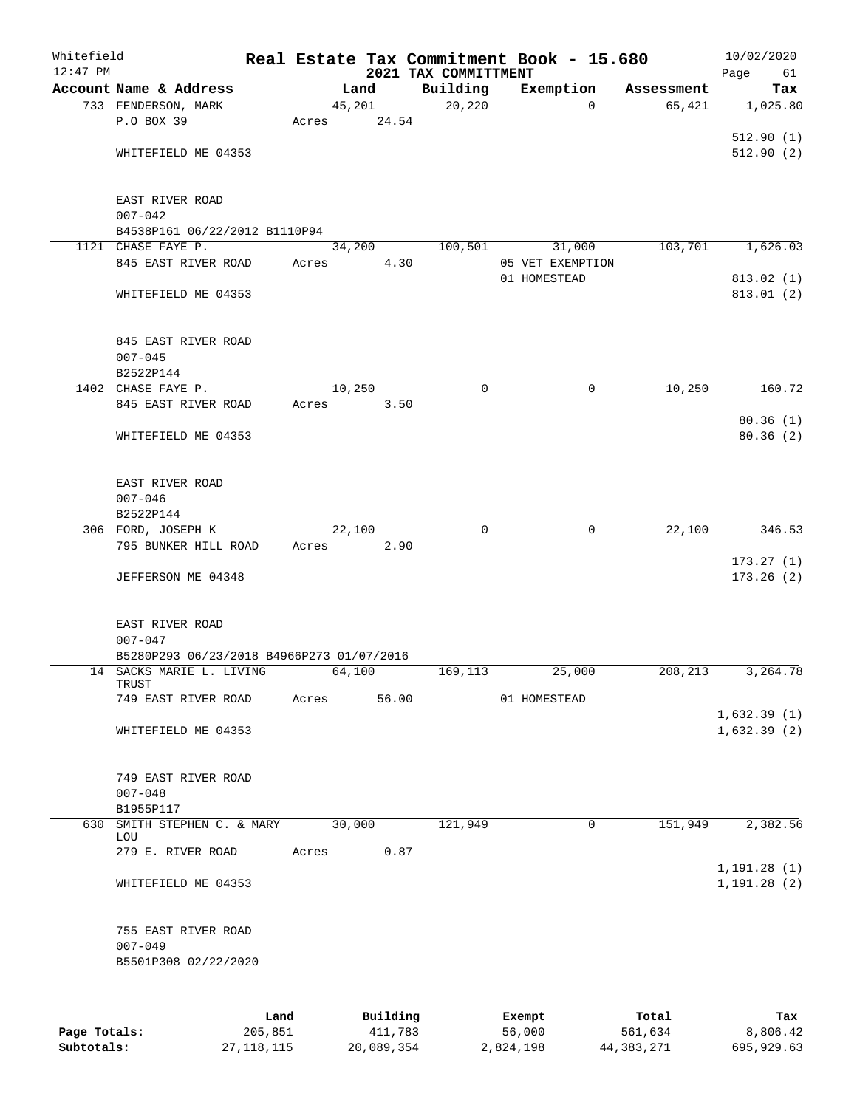| Whitefield<br>$12:47$ PM |                                           |         |       |          |      | 2021 TAX COMMITTMENT | Real Estate Tax Commitment Book - 15.680 |            | 10/02/2020<br>Page<br>61     |
|--------------------------|-------------------------------------------|---------|-------|----------|------|----------------------|------------------------------------------|------------|------------------------------|
|                          | Account Name & Address                    |         |       | Land     |      | Building             | Exemption                                | Assessment | Tax                          |
|                          | 733 FENDERSON, MARK                       |         |       | 45,201   |      | 20,220               | $\Omega$                                 | 65,421     | 1,025.80                     |
|                          | P.O BOX 39                                |         | Acres | 24.54    |      |                      |                                          |            |                              |
|                          |                                           |         |       |          |      |                      |                                          |            | 512.90(1)                    |
|                          | WHITEFIELD ME 04353                       |         |       |          |      |                      |                                          |            | 512.90(2)                    |
|                          |                                           |         |       |          |      |                      |                                          |            |                              |
|                          |                                           |         |       |          |      |                      |                                          |            |                              |
|                          | EAST RIVER ROAD<br>$007 - 042$            |         |       |          |      |                      |                                          |            |                              |
|                          | B4538P161 06/22/2012 B1110P94             |         |       |          |      |                      |                                          |            |                              |
|                          | 1121 CHASE FAYE P.                        |         |       | 34,200   |      | 100,501              | 31,000                                   | 103,701    | 1,626.03                     |
|                          | 845 EAST RIVER ROAD                       |         | Acres |          | 4.30 |                      | 05 VET EXEMPTION                         |            |                              |
|                          |                                           |         |       |          |      |                      | 01 HOMESTEAD                             |            | 813.02 (1)                   |
|                          | WHITEFIELD ME 04353                       |         |       |          |      |                      |                                          |            | 813.01(2)                    |
|                          |                                           |         |       |          |      |                      |                                          |            |                              |
|                          | 845 EAST RIVER ROAD                       |         |       |          |      |                      |                                          |            |                              |
|                          | $007 - 045$                               |         |       |          |      |                      |                                          |            |                              |
|                          | B2522P144                                 |         |       |          |      |                      |                                          |            |                              |
|                          | 1402 CHASE FAYE P.                        |         |       | 10,250   |      | 0                    | 0                                        | 10,250     | 160.72                       |
|                          | 845 EAST RIVER ROAD                       |         | Acres |          | 3.50 |                      |                                          |            |                              |
|                          |                                           |         |       |          |      |                      |                                          |            | 80.36(1)                     |
|                          | WHITEFIELD ME 04353                       |         |       |          |      |                      |                                          |            | 80.36(2)                     |
|                          |                                           |         |       |          |      |                      |                                          |            |                              |
|                          | EAST RIVER ROAD                           |         |       |          |      |                      |                                          |            |                              |
|                          | $007 - 046$                               |         |       |          |      |                      |                                          |            |                              |
|                          | B2522P144                                 |         |       |          |      |                      |                                          |            |                              |
|                          | 306 FORD, JOSEPH K                        |         |       | 22,100   |      | $\mathbf 0$          | 0                                        | 22,100     | 346.53                       |
|                          | 795 BUNKER HILL ROAD                      |         | Acres |          | 2.90 |                      |                                          |            |                              |
|                          |                                           |         |       |          |      |                      |                                          |            | 173.27(1)                    |
|                          | JEFFERSON ME 04348                        |         |       |          |      |                      |                                          |            | 173.26(2)                    |
|                          | EAST RIVER ROAD                           |         |       |          |      |                      |                                          |            |                              |
|                          | $007 - 047$                               |         |       |          |      |                      |                                          |            |                              |
|                          | B5280P293 06/23/2018 B4966P273 01/07/2016 |         |       |          |      |                      |                                          |            |                              |
|                          | 14 SACKS MARIE L. LIVING                  |         |       | 64,100   |      | 169,113              | 25,000                                   | 208,213    | 3,264.78                     |
|                          | TRUST                                     |         |       |          |      |                      |                                          |            |                              |
|                          | 749 EAST RIVER ROAD                       |         | Acres | 56.00    |      |                      | 01 HOMESTEAD                             |            |                              |
|                          |                                           |         |       |          |      |                      |                                          |            | 1,632.39(1)                  |
|                          | WHITEFIELD ME 04353                       |         |       |          |      |                      |                                          |            | 1,632.39(2)                  |
|                          | 749 EAST RIVER ROAD                       |         |       |          |      |                      |                                          |            |                              |
|                          | $007 - 048$                               |         |       |          |      |                      |                                          |            |                              |
|                          | B1955P117                                 |         |       |          |      |                      |                                          |            |                              |
| 630                      | SMITH STEPHEN C. & MARY                   |         |       | 30,000   |      | 121,949              | $\mathbf 0$                              | 151,949    | 2,382.56                     |
|                          | LOU                                       |         |       |          |      |                      |                                          |            |                              |
|                          | 279 E. RIVER ROAD                         |         | Acres |          | 0.87 |                      |                                          |            |                              |
|                          | WHITEFIELD ME 04353                       |         |       |          |      |                      |                                          |            | 1, 191.28(1)<br>1, 191.28(2) |
|                          |                                           |         |       |          |      |                      |                                          |            |                              |
|                          | 755 EAST RIVER ROAD                       |         |       |          |      |                      |                                          |            |                              |
|                          | $007 - 049$                               |         |       |          |      |                      |                                          |            |                              |
|                          | B5501P308 02/22/2020                      |         |       |          |      |                      |                                          |            |                              |
|                          |                                           |         |       |          |      |                      |                                          |            |                              |
|                          |                                           | Land    |       | Building |      |                      | Exempt                                   | Total      | Tax                          |
| Page Totals:             |                                           | 205,851 |       | 411,783  |      |                      | 56,000                                   | 561,634    | 8,806.42                     |

**Subtotals:** 27,118,115 20,089,354 2,824,198 44,383,271 695,929.63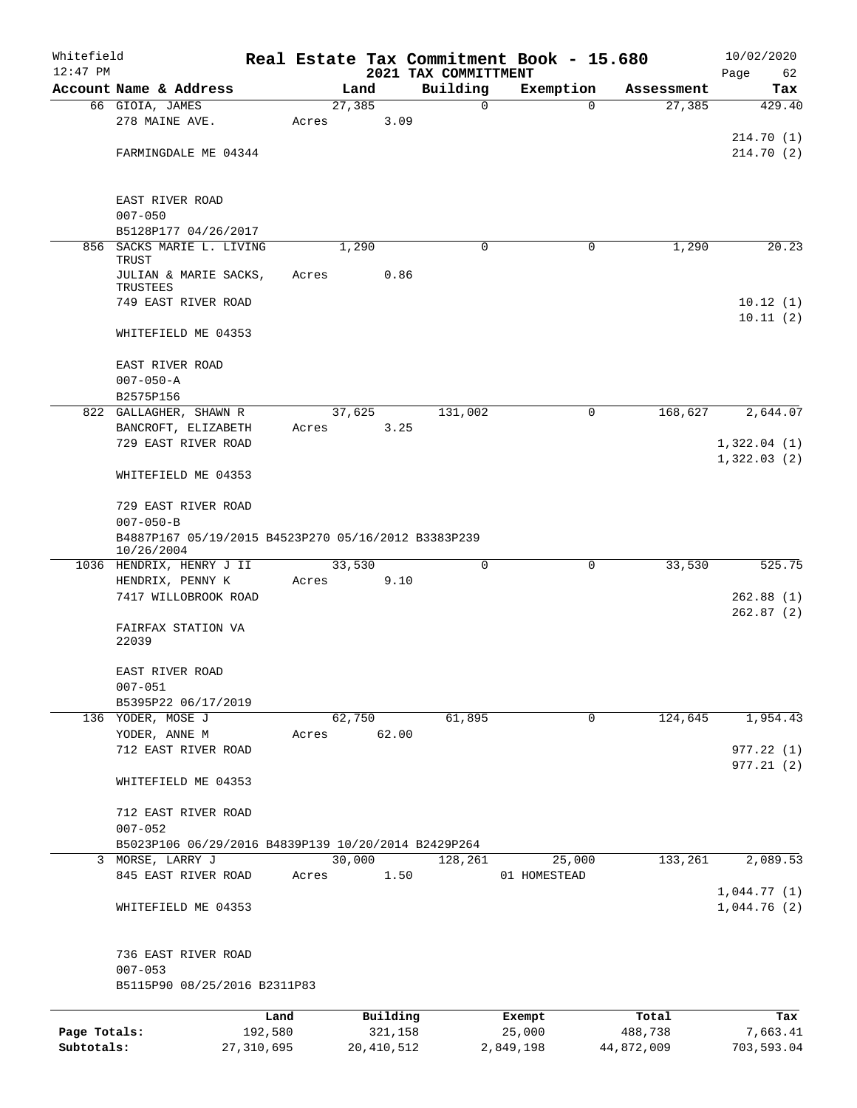| Whitefield   |                                                                   |            |       |        |                         | Real Estate Tax Commitment Book - 15.680 |                     |             |            | 10/02/2020                 |
|--------------|-------------------------------------------------------------------|------------|-------|--------|-------------------------|------------------------------------------|---------------------|-------------|------------|----------------------------|
| $12:47$ PM   | Account Name & Address                                            |            |       | Land   |                         | 2021 TAX COMMITTMENT<br>Building         | Exemption           |             | Assessment | Page<br>62<br>Tax          |
|              | 66 GIOIA, JAMES                                                   |            |       | 27,385 |                         | $\mathbf 0$                              |                     | $\Omega$    | 27,385     | 429.40                     |
|              | 278 MAINE AVE.                                                    |            | Acres |        | 3.09                    |                                          |                     |             |            |                            |
|              | FARMINGDALE ME 04344                                              |            |       |        |                         |                                          |                     |             |            | 214.70(1)<br>214.70(2)     |
|              |                                                                   |            |       |        |                         |                                          |                     |             |            |                            |
|              | EAST RIVER ROAD                                                   |            |       |        |                         |                                          |                     |             |            |                            |
|              | $007 - 050$                                                       |            |       |        |                         |                                          |                     |             |            |                            |
|              | B5128P177 04/26/2017<br>856 SACKS MARIE L. LIVING                 |            |       | 1,290  |                         | $\Omega$                                 |                     | 0           | 1,290      | 20.23                      |
|              | TRUST                                                             |            |       |        |                         |                                          |                     |             |            |                            |
|              | JULIAN & MARIE SACKS,<br>TRUSTEES                                 |            | Acres |        | 0.86                    |                                          |                     |             |            |                            |
|              | 749 EAST RIVER ROAD                                               |            |       |        |                         |                                          |                     |             |            | 10.12(1)                   |
|              | WHITEFIELD ME 04353                                               |            |       |        |                         |                                          |                     |             |            | 10.11(2)                   |
|              | EAST RIVER ROAD                                                   |            |       |        |                         |                                          |                     |             |            |                            |
|              | $007 - 050 - A$                                                   |            |       |        |                         |                                          |                     |             |            |                            |
|              | B2575P156                                                         |            |       |        |                         |                                          |                     |             |            |                            |
|              | 822 GALLAGHER, SHAWN R                                            |            |       | 37,625 |                         | 131,002                                  |                     | 0           | 168,627    | 2,644.07                   |
|              | BANCROFT, ELIZABETH<br>729 EAST RIVER ROAD                        |            | Acres |        | 3.25                    |                                          |                     |             |            | 1,322.04(1)                |
|              | WHITEFIELD ME 04353                                               |            |       |        |                         |                                          |                     |             |            | 1,322.03(2)                |
|              | 729 EAST RIVER ROAD                                               |            |       |        |                         |                                          |                     |             |            |                            |
|              | $007 - 050 - B$                                                   |            |       |        |                         |                                          |                     |             |            |                            |
|              | B4887P167 05/19/2015 B4523P270 05/16/2012 B3383P239<br>10/26/2004 |            |       |        |                         |                                          |                     |             |            |                            |
|              | 1036 HENDRIX, HENRY J II                                          |            |       | 33,530 |                         | 0                                        |                     | 0           | 33,530     | 525.75                     |
|              | HENDRIX, PENNY K                                                  |            | Acres |        | 9.10                    |                                          |                     |             |            |                            |
|              | 7417 WILLOBROOK ROAD                                              |            |       |        |                         |                                          |                     |             |            | 262.88 (1)<br>262.87(2)    |
|              | FAIRFAX STATION VA<br>22039                                       |            |       |        |                         |                                          |                     |             |            |                            |
|              | EAST RIVER ROAD<br>$007 - 051$                                    |            |       |        |                         |                                          |                     |             |            |                            |
|              | B5395P22 06/17/2019                                               |            |       |        |                         |                                          |                     |             |            |                            |
|              | 136 YODER, MOSE J                                                 |            |       | 62,750 |                         | 61,895                                   |                     | $\mathbf 0$ | 124,645    | 1,954.43                   |
|              | YODER, ANNE M                                                     |            | Acres |        | 62.00                   |                                          |                     |             |            |                            |
|              | 712 EAST RIVER ROAD                                               |            |       |        |                         |                                          |                     |             |            | 977.22(1)<br>977.21(2)     |
|              | WHITEFIELD ME 04353                                               |            |       |        |                         |                                          |                     |             |            |                            |
|              | 712 EAST RIVER ROAD<br>$007 - 052$                                |            |       |        |                         |                                          |                     |             |            |                            |
|              | B5023P106 06/29/2016 B4839P139 10/20/2014 B2429P264               |            |       |        |                         |                                          |                     |             |            |                            |
|              | 3 MORSE, LARRY J                                                  |            |       | 30,000 |                         | 128,261                                  |                     | 25,000      | 133,261    | 2,089.53                   |
|              | 845 EAST RIVER ROAD                                               |            | Acres |        | 1.50                    |                                          | 01 HOMESTEAD        |             |            |                            |
|              | WHITEFIELD ME 04353                                               |            |       |        |                         |                                          |                     |             |            | 1,044.77(1)<br>1,044.76(2) |
|              | 736 EAST RIVER ROAD<br>$007 - 053$                                |            |       |        |                         |                                          |                     |             |            |                            |
|              | B5115P90 08/25/2016 B2311P83                                      |            |       |        |                         |                                          |                     |             |            |                            |
|              |                                                                   | Land       |       |        | Building                |                                          | Exempt              |             | Total      | Tax                        |
| Page Totals: |                                                                   | 192,580    |       |        | 321,158<br>20, 410, 512 |                                          | 25,000<br>2,849,198 |             | 488,738    | 7,663.41                   |
| Subtotals:   |                                                                   | 27,310,695 |       |        |                         |                                          |                     |             | 44,872,009 | 703,593.04                 |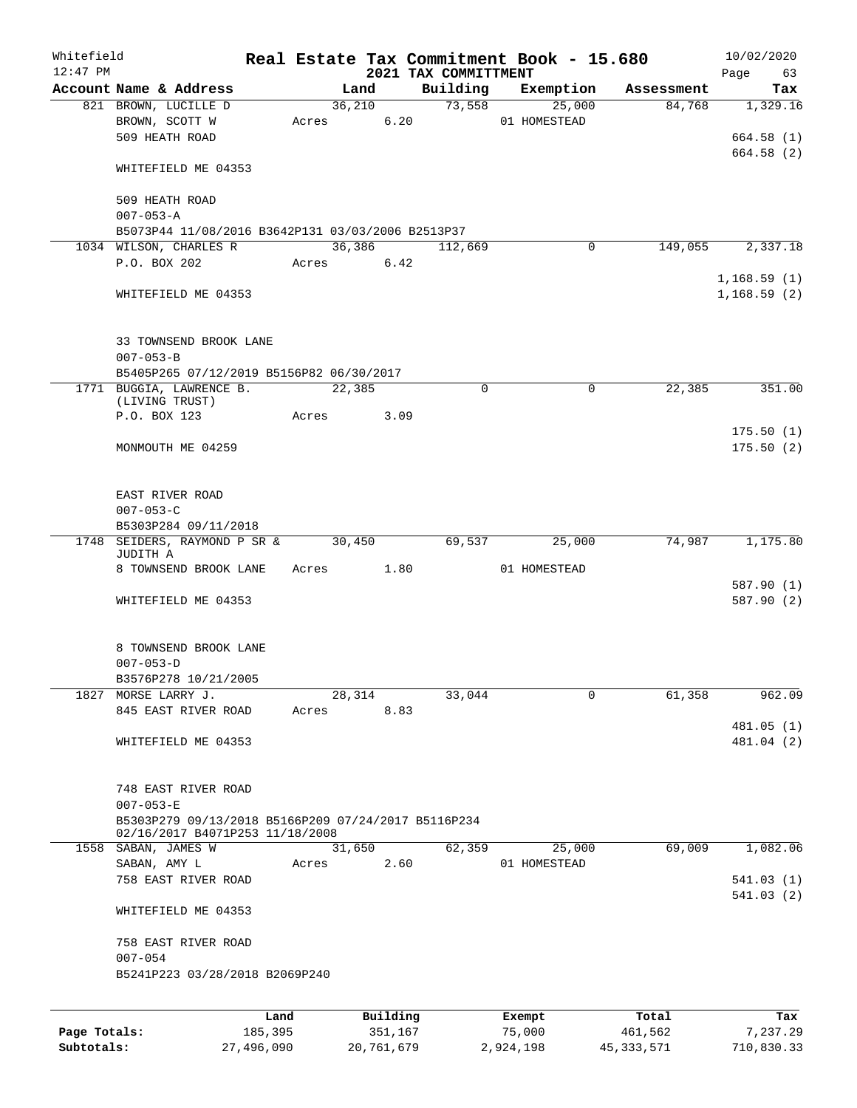| Whitefield<br>$12:47$ PM |                                                                                               |                 |            |                 |                     | 2021 TAX COMMITTMENT | Real Estate Tax Commitment Book - 15.680 |                  | 10/02/2020<br>Page<br>63   |
|--------------------------|-----------------------------------------------------------------------------------------------|-----------------|------------|-----------------|---------------------|----------------------|------------------------------------------|------------------|----------------------------|
|                          | Account Name & Address                                                                        |                 |            | Land            |                     | Building             | Exemption                                | Assessment       | Tax                        |
|                          | 821 BROWN, LUCILLE D<br>BROWN, SCOTT W<br>509 HEATH ROAD                                      |                 |            | 36,210<br>Acres | 6.20                | 73,558               | 25,000<br>01 HOMESTEAD                   | 84,768           | 1,329.16<br>664.58(1)      |
|                          | WHITEFIELD ME 04353                                                                           |                 |            |                 |                     |                      |                                          |                  | 664.58 (2)                 |
|                          | 509 HEATH ROAD<br>$007 - 053 - A$                                                             |                 |            |                 |                     |                      |                                          |                  |                            |
|                          | B5073P44 11/08/2016 B3642P131 03/03/2006 B2513P37                                             |                 |            |                 |                     |                      |                                          |                  |                            |
|                          | 1034 WILSON, CHARLES R                                                                        |                 |            | 36,386          |                     | 112,669              | 0                                        | 149,055          | 2,337.18                   |
|                          | P.O. BOX 202                                                                                  |                 | Acres 6.42 |                 |                     |                      |                                          |                  |                            |
|                          | WHITEFIELD ME 04353                                                                           |                 |            |                 |                     |                      |                                          |                  | 1,168.59(1)<br>1,168.59(2) |
|                          | 33 TOWNSEND BROOK LANE<br>$007 - 053 - B$                                                     |                 |            |                 |                     |                      |                                          |                  |                            |
|                          | B5405P265 07/12/2019 B5156P82 06/30/2017                                                      |                 |            |                 |                     |                      |                                          |                  |                            |
|                          | 1771 BUGGIA, LAWRENCE B.<br>(LIVING TRUST)                                                    |                 |            | 22,385          |                     | 0                    | 0                                        | 22,385           | 351.00                     |
|                          | P.O. BOX 123                                                                                  |                 | Acres      |                 | 3.09                |                      |                                          |                  |                            |
|                          | MONMOUTH ME 04259                                                                             |                 |            |                 |                     |                      |                                          |                  | 175.50(1)<br>175.50(2)     |
|                          | EAST RIVER ROAD<br>$007 - 053 - C$                                                            |                 |            |                 |                     |                      |                                          |                  |                            |
|                          | B5303P284 09/11/2018                                                                          |                 |            |                 |                     |                      |                                          |                  |                            |
| 1748                     | SEIDERS, RAYMOND P SR &<br>JUDITH A                                                           |                 |            | 30,450          |                     | 69,537               | 25,000                                   | 74,987           | 1,175.80                   |
|                          | 8 TOWNSEND BROOK LANE                                                                         |                 | Acres 1.80 |                 |                     |                      | 01 HOMESTEAD                             |                  |                            |
|                          | WHITEFIELD ME 04353                                                                           |                 |            |                 |                     |                      |                                          |                  | 587.90 (1)<br>587.90 (2)   |
|                          | 8 TOWNSEND BROOK LANE<br>$007 - 053 - D$                                                      |                 |            |                 |                     |                      |                                          |                  |                            |
|                          | B3576P278 10/21/2005                                                                          |                 |            |                 |                     |                      |                                          |                  |                            |
|                          | 1827 MORSE LARRY J.                                                                           |                 |            | 28,314          |                     | 33,044               | 0                                        | 61,358           | 962.09                     |
|                          | 845 EAST RIVER ROAD                                                                           |                 | Acres      |                 | 8.83                |                      |                                          |                  | 481.05 (1)                 |
|                          | WHITEFIELD ME 04353                                                                           |                 |            |                 |                     |                      |                                          |                  | 481.04 (2)                 |
|                          | 748 EAST RIVER ROAD<br>$007 - 053 - E$<br>B5303P279 09/13/2018 B5166P209 07/24/2017 B5116P234 |                 |            |                 |                     |                      |                                          |                  |                            |
|                          | 02/16/2017 B4071P253 11/18/2008                                                               |                 |            |                 |                     |                      |                                          |                  |                            |
|                          | 1558 SABAN, JAMES W                                                                           |                 |            | 31,650          |                     | 62,359               | 25,000                                   | 69,009           | 1,082.06                   |
|                          | SABAN, AMY L<br>758 EAST RIVER ROAD                                                           |                 | Acres      |                 | 2.60                |                      | 01 HOMESTEAD                             |                  | 541.03(1)                  |
|                          | WHITEFIELD ME 04353                                                                           |                 |            |                 |                     |                      |                                          |                  | 541.03(2)                  |
|                          | 758 EAST RIVER ROAD<br>$007 - 054$                                                            |                 |            |                 |                     |                      |                                          |                  |                            |
|                          | B5241P223 03/28/2018 B2069P240                                                                |                 |            |                 |                     |                      |                                          |                  |                            |
|                          |                                                                                               |                 |            |                 |                     |                      |                                          |                  |                            |
|                          |                                                                                               |                 |            |                 |                     |                      |                                          |                  |                            |
| Page Totals:             |                                                                                               | Land<br>185,395 |            |                 | Building<br>351,167 |                      | Exempt<br>75,000                         | Total<br>461,562 | Tax<br>7,237.29            |

**Subtotals:** 27,496,090 20,761,679 2,924,198 45,333,571 710,830.33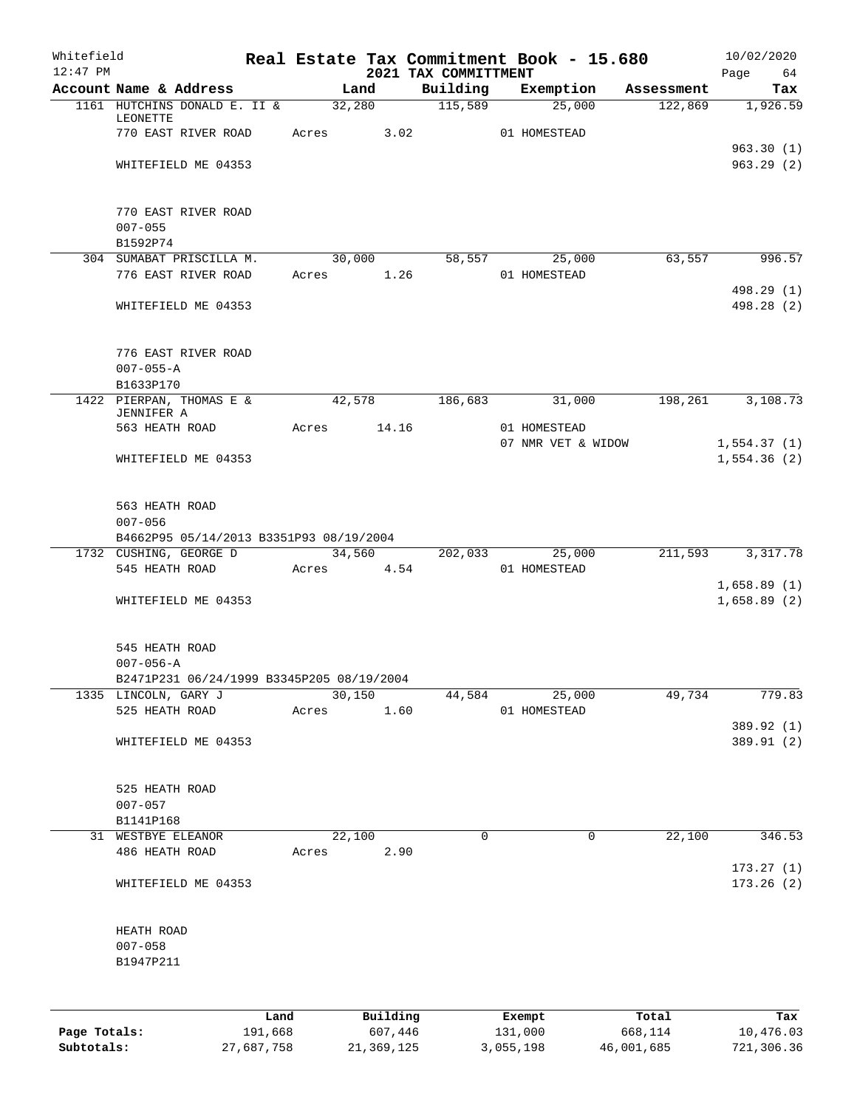| Whitefield |                                                                 |      |       |        |            |                      |             | Real Estate Tax Commitment Book - 15.680                                    |        | 10/02/2020       |
|------------|-----------------------------------------------------------------|------|-------|--------|------------|----------------------|-------------|-----------------------------------------------------------------------------|--------|------------------|
| $12:47$ PM | Account Name & Address                                          |      |       | Land   |            | 2021 TAX COMMITTMENT |             | Building Exemption Assessment                                               |        | Page 64<br>Tax   |
|            | 1161 HUTCHINS DONALD E. II & 32,280 115,589                     |      |       |        |            |                      |             | $\overline{25,000}$                                                         |        | 122,869 1,926.59 |
|            | LEONETTE                                                        |      |       |        |            |                      |             |                                                                             |        |                  |
|            | 770 EAST RIVER ROAD Acres 3.02 01 HOMESTEAD                     |      |       |        |            |                      |             |                                                                             |        |                  |
|            |                                                                 |      |       |        |            |                      |             |                                                                             |        | 963.30(1)        |
|            | WHITEFIELD ME 04353                                             |      |       |        |            |                      |             |                                                                             |        | 963.29(2)        |
|            |                                                                 |      |       |        |            |                      |             |                                                                             |        |                  |
|            | 770 EAST RIVER ROAD                                             |      |       |        |            |                      |             |                                                                             |        |                  |
|            | $007 - 055$                                                     |      |       |        |            |                      |             |                                                                             |        |                  |
|            | B1592P74                                                        |      |       |        |            |                      |             |                                                                             |        |                  |
|            | 304 SUMABAT PRISCILLA M.<br>776 EAST RIVER ROAD                 |      |       |        | Acres 1.26 |                      |             | $\overline{30,000}$ $\overline{58,557}$ $\overline{25,000}$<br>01 HOMESTEAD | 63,557 | 996.57           |
|            |                                                                 |      |       |        |            |                      |             |                                                                             |        | 498.29 (1)       |
|            | WHITEFIELD ME 04353                                             |      |       |        |            |                      |             |                                                                             |        | 498.28 (2)       |
|            |                                                                 |      |       |        |            |                      |             |                                                                             |        |                  |
|            |                                                                 |      |       |        |            |                      |             |                                                                             |        |                  |
|            | 776 EAST RIVER ROAD<br>$007 - 055 - A$                          |      |       |        |            |                      |             |                                                                             |        |                  |
|            | B1633P170                                                       |      |       |        |            |                      |             |                                                                             |        |                  |
|            | 1422 PIERPAN, THOMAS E & 42,578 186,683 31,000 198,261 3,108.73 |      |       |        |            |                      |             |                                                                             |        |                  |
|            | JENNIFER A                                                      |      |       |        |            |                      |             |                                                                             |        |                  |
|            | 563 HEATH ROAD MCres 14.16                                      |      |       |        |            |                      |             | 01 HOMESTEAD<br>07 NMR VET & WIDOW                                          |        | 1,554.37(1)      |
|            | WHITEFIELD ME 04353                                             |      |       |        |            |                      |             |                                                                             |        | 1,554.36(2)      |
|            |                                                                 |      |       |        |            |                      |             |                                                                             |        |                  |
|            |                                                                 |      |       |        |            |                      |             |                                                                             |        |                  |
|            | 563 HEATH ROAD                                                  |      |       |        |            |                      |             |                                                                             |        |                  |
|            | $007 - 056$<br>B4662P95 05/14/2013 B3351P93 08/19/2004          |      |       |        |            |                      |             |                                                                             |        |                  |
|            | 1732 CUSHING, GEORGE D 34,560 202,033 25,000                    |      |       |        |            |                      |             |                                                                             |        | 211,593 3,317.78 |
|            | 545 HEATH ROAD                                                  |      |       |        | Acres 4.54 |                      |             | 01 HOMESTEAD                                                                |        |                  |
|            |                                                                 |      |       |        |            |                      |             |                                                                             |        | 1,658.89(1)      |
|            | WHITEFIELD ME 04353                                             |      |       |        |            |                      |             |                                                                             |        | 1,658.89(2)      |
|            |                                                                 |      |       |        |            |                      |             |                                                                             |        |                  |
|            | 545 HEATH ROAD                                                  |      |       |        |            |                      |             |                                                                             |        |                  |
|            | $007 - 056 - A$                                                 |      |       |        |            |                      |             |                                                                             |        |                  |
|            | B2471P231 06/24/1999 B3345P205 08/19/2004                       |      |       |        |            |                      |             |                                                                             |        |                  |
|            | 1335 LINCOLN, GARY J                                            |      |       | 30,150 |            | 44,584               |             | 25,000                                                                      | 49,734 | 779.83           |
|            | 525 HEATH ROAD                                                  |      | Acres |        | 1.60       |                      |             | 01 HOMESTEAD                                                                |        | 389.92 (1)       |
|            | WHITEFIELD ME 04353                                             |      |       |        |            |                      |             |                                                                             |        | 389.91 (2)       |
|            |                                                                 |      |       |        |            |                      |             |                                                                             |        |                  |
|            |                                                                 |      |       |        |            |                      |             |                                                                             |        |                  |
|            | 525 HEATH ROAD                                                  |      |       |        |            |                      |             |                                                                             |        |                  |
|            | $007 - 057$<br>B1141P168                                        |      |       |        |            |                      |             |                                                                             |        |                  |
|            | 31 WESTBYE ELEANOR                                              |      |       | 22,100 |            |                      | $\mathbf 0$ | $\mathbf 0$                                                                 | 22,100 | 346.53           |
|            | 486 HEATH ROAD                                                  |      | Acres |        | 2.90       |                      |             |                                                                             |        |                  |
|            |                                                                 |      |       |        |            |                      |             |                                                                             |        | 173.27(1)        |
|            | WHITEFIELD ME 04353                                             |      |       |        |            |                      |             |                                                                             |        | 173.26(2)        |
|            |                                                                 |      |       |        |            |                      |             |                                                                             |        |                  |
|            | HEATH ROAD                                                      |      |       |        |            |                      |             |                                                                             |        |                  |
|            | $007 - 058$                                                     |      |       |        |            |                      |             |                                                                             |        |                  |
|            | B1947P211                                                       |      |       |        |            |                      |             |                                                                             |        |                  |
|            |                                                                 |      |       |        |            |                      |             |                                                                             |        |                  |
|            |                                                                 |      |       |        |            |                      |             |                                                                             |        |                  |
|            |                                                                 | Land |       |        | Building   |                      |             | Exempt                                                                      | Total  | Tax              |

**Page Totals:** 191,668 607,446 131,000 668,114 10,476.03 **Subtotals:** 27,687,758 21,369,125 3,055,198 46,001,685 721,306.36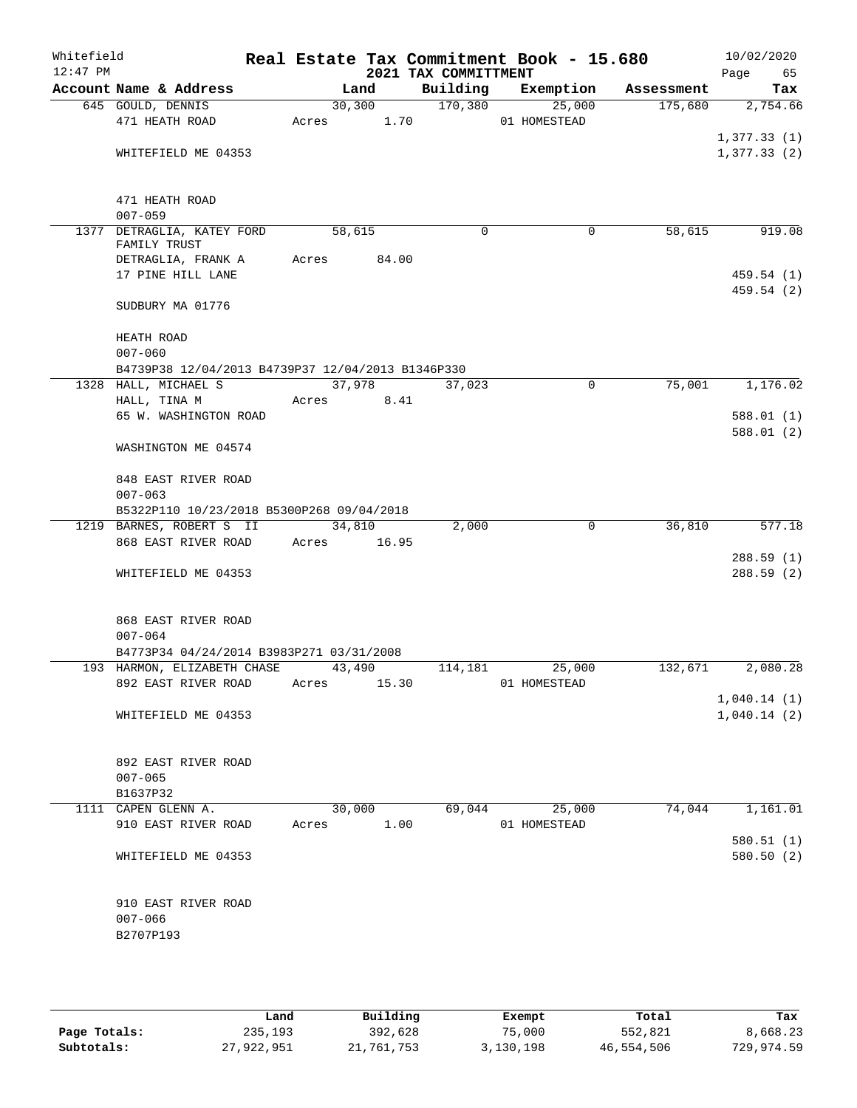| Whitefield<br>$12:47$ PM |                                                   |       |             | 2021 TAX COMMITTMENT | Real Estate Tax Commitment Book - 15.680 |            | 10/02/2020<br>Page<br>65 |
|--------------------------|---------------------------------------------------|-------|-------------|----------------------|------------------------------------------|------------|--------------------------|
|                          | Account Name & Address                            |       | Land        | Building             | Exemption                                | Assessment | Tax                      |
|                          | 645 GOULD, DENNIS                                 |       | 30, 300     | 170,380              | 25,000                                   | 175,680    | 2,754.66                 |
|                          | 471 HEATH ROAD                                    |       | Acres 1.70  |                      | 01 HOMESTEAD                             |            |                          |
|                          |                                                   |       |             |                      |                                          |            | 1,377.33(1)              |
|                          | WHITEFIELD ME 04353                               |       |             |                      |                                          |            | 1,377.33(2)              |
|                          | 471 HEATH ROAD                                    |       |             |                      |                                          |            |                          |
|                          | $007 - 059$                                       |       |             |                      |                                          |            |                          |
|                          | 1377 DETRAGLIA, KATEY FORD                        |       | 58,615      | $\Omega$             | 0                                        | 58,615     | 919.08                   |
|                          | FAMILY TRUST                                      |       |             |                      |                                          |            |                          |
|                          | DETRAGLIA, FRANK A                                | Acres | 84.00       |                      |                                          |            |                          |
|                          | 17 PINE HILL LANE                                 |       |             |                      |                                          |            | 459.54(1)                |
|                          | SUDBURY MA 01776                                  |       |             |                      |                                          |            | 459.54 (2)               |
|                          | HEATH ROAD                                        |       |             |                      |                                          |            |                          |
|                          | $007 - 060$                                       |       |             |                      |                                          |            |                          |
|                          | B4739P38 12/04/2013 B4739P37 12/04/2013 B1346P330 |       |             |                      |                                          |            |                          |
|                          | 1328 HALL, MICHAEL S                              |       | 37,978      | 37,023               | $\mathbf 0$                              | 75,001     | 1,176.02                 |
|                          | HALL, TINA M                                      | Acres | 8.41        |                      |                                          |            |                          |
|                          | 65 W. WASHINGTON ROAD                             |       |             |                      |                                          |            | 588.01(1)                |
|                          | WASHINGTON ME 04574                               |       |             |                      |                                          |            | 588.01(2)                |
|                          |                                                   |       |             |                      |                                          |            |                          |
|                          | 848 EAST RIVER ROAD<br>$007 - 063$                |       |             |                      |                                          |            |                          |
|                          | B5322P110 10/23/2018 B5300P268 09/04/2018         |       |             |                      |                                          |            |                          |
|                          | 1219 BARNES, ROBERT S II                          |       | 34,810      | 2,000                | 0                                        | 36,810     | 577.18                   |
|                          | 868 EAST RIVER ROAD                               |       | Acres 16.95 |                      |                                          |            |                          |
|                          |                                                   |       |             |                      |                                          |            | 288.59(1)                |
|                          | WHITEFIELD ME 04353                               |       |             |                      |                                          |            | 288.59(2)                |
|                          |                                                   |       |             |                      |                                          |            |                          |
|                          | 868 EAST RIVER ROAD                               |       |             |                      |                                          |            |                          |
|                          | $007 - 064$                                       |       |             |                      |                                          |            |                          |
|                          | B4773P34 04/24/2014 B3983P271 03/31/2008          |       |             |                      |                                          |            |                          |
|                          | 193 HARMON, ELIZABETH CHASE                       |       | 43,490      | 114,181              | 25,000                                   | 132,671    | 2,080.28                 |
|                          | 892 EAST RIVER ROAD                               | Acres | 15.30       |                      | 01 HOMESTEAD                             |            | 1,040.14(1)              |
|                          | WHITEFIELD ME 04353                               |       |             |                      |                                          |            | 1,040.14(2)              |
|                          |                                                   |       |             |                      |                                          |            |                          |
|                          | 892 EAST RIVER ROAD                               |       |             |                      |                                          |            |                          |
|                          | $007 - 065$                                       |       |             |                      |                                          |            |                          |
|                          | B1637P32                                          |       |             |                      |                                          |            |                          |
|                          | 1111 CAPEN GLENN A.                               |       | 30,000      | 69,044               | 25,000                                   | 74,044     | 1,161.01                 |
|                          | 910 EAST RIVER ROAD                               | Acres | 1.00        |                      | 01 HOMESTEAD                             |            |                          |
|                          |                                                   |       |             |                      |                                          |            | 580.51(1)                |
|                          | WHITEFIELD ME 04353                               |       |             |                      |                                          |            | 580.50(2)                |
|                          | 910 EAST RIVER ROAD                               |       |             |                      |                                          |            |                          |
|                          | $007 - 066$                                       |       |             |                      |                                          |            |                          |
|                          | B2707P193                                         |       |             |                      |                                          |            |                          |
|                          |                                                   |       |             |                      |                                          |            |                          |
|                          |                                                   |       |             |                      |                                          |            |                          |

|              | Land       | Building   | Exempt    | Total      | Tax        |
|--------------|------------|------------|-----------|------------|------------|
| Page Totals: | 235,193    | 392,628    | 75,000    | 552,821    | 8,668.23   |
| Subtotals:   | 27,922,951 | 21,761,753 | 3,130,198 | 46,554,506 | 729,974.59 |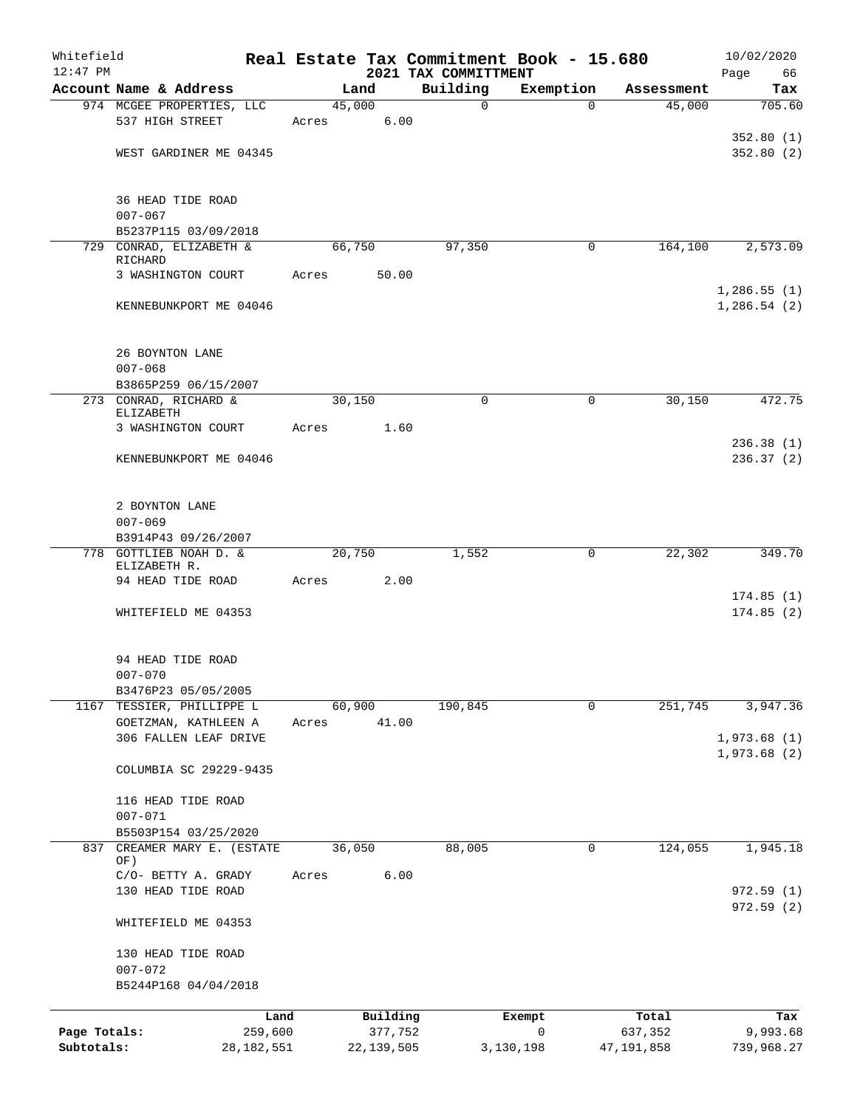| Whitefield   |                                                     |              |       |        |              | Real Estate Tax Commitment Book - 15.680 |           |             |            | 10/02/2020                 |
|--------------|-----------------------------------------------------|--------------|-------|--------|--------------|------------------------------------------|-----------|-------------|------------|----------------------------|
| $12:47$ PM   | Account Name & Address                              |              |       | Land   |              | 2021 TAX COMMITTMENT<br>Building         | Exemption |             | Assessment | Page<br>66                 |
|              | 974 MCGEE PROPERTIES, LLC                           |              |       | 45,000 |              | $\mathbf 0$                              |           | $\Omega$    | 45,000     | Tax<br>705.60              |
|              | 537 HIGH STREET                                     |              | Acres |        | 6.00         |                                          |           |             |            |                            |
|              |                                                     |              |       |        |              |                                          |           |             |            | 352.80(1)                  |
|              | WEST GARDINER ME 04345                              |              |       |        |              |                                          |           |             |            | 352.80(2)                  |
|              |                                                     |              |       |        |              |                                          |           |             |            |                            |
|              | 36 HEAD TIDE ROAD                                   |              |       |        |              |                                          |           |             |            |                            |
|              | $007 - 067$                                         |              |       |        |              |                                          |           |             |            |                            |
|              | B5237P115 03/09/2018                                |              |       |        |              |                                          |           |             |            |                            |
|              | 729 CONRAD, ELIZABETH &                             |              |       | 66,750 |              | 97,350                                   |           | 0           | 164,100    | 2,573.09                   |
|              | RICHARD                                             |              |       |        |              |                                          |           |             |            |                            |
|              | 3 WASHINGTON COURT                                  |              | Acres |        | 50.00        |                                          |           |             |            | 1,286.55(1)                |
|              | KENNEBUNKPORT ME 04046                              |              |       |        |              |                                          |           |             |            | 1,286.54(2)                |
|              |                                                     |              |       |        |              |                                          |           |             |            |                            |
|              |                                                     |              |       |        |              |                                          |           |             |            |                            |
|              | 26 BOYNTON LANE                                     |              |       |        |              |                                          |           |             |            |                            |
|              | $007 - 068$                                         |              |       |        |              |                                          |           |             |            |                            |
|              | B3865P259 06/15/2007<br>273 CONRAD, RICHARD &       |              |       | 30,150 |              | $\mathbf 0$                              |           | 0           | 30,150     | 472.75                     |
|              | ELIZABETH                                           |              |       |        |              |                                          |           |             |            |                            |
|              | 3 WASHINGTON COURT                                  |              | Acres |        | 1.60         |                                          |           |             |            |                            |
|              |                                                     |              |       |        |              |                                          |           |             |            | 236.38(1)                  |
|              | KENNEBUNKPORT ME 04046                              |              |       |        |              |                                          |           |             |            | 236.37(2)                  |
|              |                                                     |              |       |        |              |                                          |           |             |            |                            |
|              | 2 BOYNTON LANE                                      |              |       |        |              |                                          |           |             |            |                            |
|              | $007 - 069$                                         |              |       |        |              |                                          |           |             |            |                            |
|              | B3914P43 09/26/2007                                 |              |       |        |              |                                          |           |             |            |                            |
|              | 778 GOTTLIEB NOAH D. &<br>ELIZABETH R.              |              |       | 20,750 |              | 1,552                                    |           | 0           | 22,302     | 349.70                     |
|              | 94 HEAD TIDE ROAD                                   |              | Acres |        | 2.00         |                                          |           |             |            |                            |
|              |                                                     |              |       |        |              |                                          |           |             |            | 174.85(1)                  |
|              | WHITEFIELD ME 04353                                 |              |       |        |              |                                          |           |             |            | 174.85(2)                  |
|              |                                                     |              |       |        |              |                                          |           |             |            |                            |
|              | 94 HEAD TIDE ROAD                                   |              |       |        |              |                                          |           |             |            |                            |
|              | $007 - 070$                                         |              |       |        |              |                                          |           |             |            |                            |
|              | B3476P23 05/05/2005                                 |              |       |        |              |                                          |           |             |            |                            |
|              | 1167 TESSIER, PHILLIPPE L                           |              |       | 60,900 |              | 190,845                                  |           | $\mathbf 0$ | 251,745    | 3,947.36                   |
|              | GOETZMAN, KATHLEEN A<br>306 FALLEN LEAF DRIVE       |              | Acres |        | 41.00        |                                          |           |             |            |                            |
|              |                                                     |              |       |        |              |                                          |           |             |            | 1,973.68(1)<br>1,973.68(2) |
|              | COLUMBIA SC 29229-9435                              |              |       |        |              |                                          |           |             |            |                            |
|              |                                                     |              |       |        |              |                                          |           |             |            |                            |
|              | 116 HEAD TIDE ROAD                                  |              |       |        |              |                                          |           |             |            |                            |
|              | $007 - 071$                                         |              |       |        |              |                                          |           |             |            |                            |
|              | B5503P154 03/25/2020<br>837 CREAMER MARY E. (ESTATE |              |       | 36,050 |              | 88,005                                   |           | 0           | 124,055    | 1,945.18                   |
|              | OF)                                                 |              |       |        |              |                                          |           |             |            |                            |
|              | C/O- BETTY A. GRADY                                 |              | Acres |        | 6.00         |                                          |           |             |            |                            |
|              | 130 HEAD TIDE ROAD                                  |              |       |        |              |                                          |           |             |            | 972.59(1)                  |
|              | WHITEFIELD ME 04353                                 |              |       |        |              |                                          |           |             |            | 972.59(2)                  |
|              |                                                     |              |       |        |              |                                          |           |             |            |                            |
|              | 130 HEAD TIDE ROAD                                  |              |       |        |              |                                          |           |             |            |                            |
|              | $007 - 072$                                         |              |       |        |              |                                          |           |             |            |                            |
|              | B5244P168 04/04/2018                                |              |       |        |              |                                          |           |             |            |                            |
|              |                                                     | Land         |       |        | Building     |                                          | Exempt    |             | Total      | Tax                        |
| Page Totals: |                                                     | 259,600      |       |        | 377,752      |                                          | 0         |             | 637,352    | 9,993.68                   |
| Subtotals:   |                                                     | 28, 182, 551 |       |        | 22, 139, 505 |                                          | 3,130,198 |             | 47,191,858 | 739,968.27                 |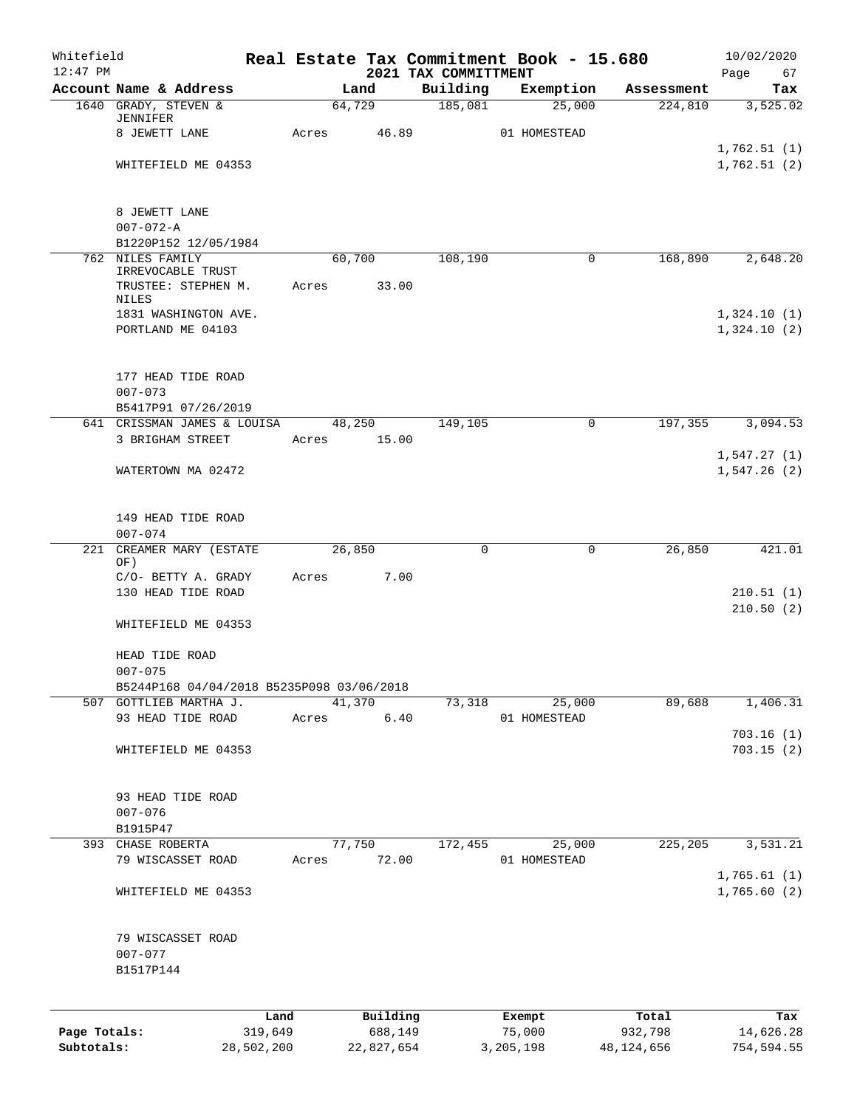| Whitefield<br>$12:47$ PM |                                                    |                 |       |        |                     | Real Estate Tax Commitment Book - 15.680<br>2021 TAX COMMITTMENT |                  |        |                  | 10/02/2020<br>Page<br>67   |
|--------------------------|----------------------------------------------------|-----------------|-------|--------|---------------------|------------------------------------------------------------------|------------------|--------|------------------|----------------------------|
|                          | Account Name & Address                             |                 |       | Land   |                     | Building                                                         | Exemption        |        | Assessment       | Tax                        |
|                          | 1640 GRADY, STEVEN &<br>JENNIFER                   |                 |       | 64,729 |                     | 185,081                                                          |                  | 25,000 | 224,810          | 3,525.02                   |
|                          | 8 JEWETT LANE                                      |                 | Acres |        | 46.89               |                                                                  | 01 HOMESTEAD     |        |                  |                            |
|                          | WHITEFIELD ME 04353                                |                 |       |        |                     |                                                                  |                  |        |                  | 1,762.51(1)<br>1,762.51(2) |
|                          |                                                    |                 |       |        |                     |                                                                  |                  |        |                  |                            |
|                          | 8 JEWETT LANE                                      |                 |       |        |                     |                                                                  |                  |        |                  |                            |
|                          | $007 - 072 - A$<br>B1220P152 12/05/1984            |                 |       |        |                     |                                                                  |                  |        |                  |                            |
|                          | 762 NILES FAMILY                                   |                 |       | 60,700 |                     | 108,190                                                          |                  | 0      | 168,890          | 2,648.20                   |
|                          | IRREVOCABLE TRUST<br>TRUSTEE: STEPHEN M.           |                 | Acres |        | 33.00               |                                                                  |                  |        |                  |                            |
|                          | NILES<br>1831 WASHINGTON AVE.                      |                 |       |        |                     |                                                                  |                  |        |                  | 1,324.10(1)                |
|                          | PORTLAND ME 04103                                  |                 |       |        |                     |                                                                  |                  |        |                  | 1,324.10(2)                |
|                          | 177 HEAD TIDE ROAD                                 |                 |       |        |                     |                                                                  |                  |        |                  |                            |
|                          | $007 - 073$                                        |                 |       |        |                     |                                                                  |                  |        |                  |                            |
|                          | B5417P91 07/26/2019<br>641 CRISSMAN JAMES & LOUISA |                 |       | 48,250 |                     | 149,105                                                          |                  | 0      | 197,355          | 3,094.53                   |
|                          | 3 BRIGHAM STREET                                   |                 | Acres |        | 15.00               |                                                                  |                  |        |                  |                            |
|                          | WATERTOWN MA 02472                                 |                 |       |        |                     |                                                                  |                  |        |                  | 1,547.27(1)<br>1,547.26(2) |
|                          | 149 HEAD TIDE ROAD<br>$007 - 074$                  |                 |       |        |                     |                                                                  |                  |        |                  |                            |
| 221                      | CREAMER MARY (ESTATE<br>OF)                        |                 |       | 26,850 |                     | 0                                                                |                  | 0      | 26,850           | 421.01                     |
|                          | C/O- BETTY A. GRADY                                |                 | Acres |        | 7.00                |                                                                  |                  |        |                  |                            |
|                          | 130 HEAD TIDE ROAD                                 |                 |       |        |                     |                                                                  |                  |        |                  | 210.51(1)<br>210.50(2)     |
|                          | WHITEFIELD ME 04353                                |                 |       |        |                     |                                                                  |                  |        |                  |                            |
|                          | HEAD TIDE ROAD<br>$007 - 075$                      |                 |       |        |                     |                                                                  |                  |        |                  |                            |
|                          | B5244P168 04/04/2018 B5235P098 03/06/2018          |                 |       |        |                     |                                                                  |                  |        |                  |                            |
|                          | 507 GOTTLIEB MARTHA J.<br>93 HEAD TIDE ROAD        |                 | Acres | 41,370 | $6.40$              | 73,318                                                           | 01 HOMESTEAD     | 25,000 | 89,688           | 1,406.31                   |
|                          |                                                    |                 |       |        |                     |                                                                  |                  |        |                  | 703.16(1)                  |
|                          | WHITEFIELD ME 04353                                |                 |       |        |                     |                                                                  |                  |        |                  | 703.15(2)                  |
|                          | 93 HEAD TIDE ROAD                                  |                 |       |        |                     |                                                                  |                  |        |                  |                            |
|                          | $007 - 076$<br>B1915P47                            |                 |       |        |                     |                                                                  |                  |        |                  |                            |
|                          | 393 CHASE ROBERTA                                  |                 |       | 77,750 |                     | 172,455                                                          |                  | 25,000 | 225,205          | 3,531.21                   |
|                          | 79 WISCASSET ROAD                                  |                 | Acres |        | 72.00               |                                                                  | 01 HOMESTEAD     |        |                  | 1,765.61(1)                |
|                          | WHITEFIELD ME 04353                                |                 |       |        |                     |                                                                  |                  |        |                  | 1,765.60(2)                |
|                          | 79 WISCASSET ROAD<br>$007 - 077$                   |                 |       |        |                     |                                                                  |                  |        |                  |                            |
|                          | B1517P144                                          |                 |       |        |                     |                                                                  |                  |        |                  |                            |
|                          |                                                    |                 |       |        |                     |                                                                  |                  |        |                  |                            |
| Page Totals:             |                                                    | Land<br>319,649 |       |        | Building<br>688,149 |                                                                  | Exempt<br>75,000 |        | Total<br>932,798 | Tax<br>14,626.28           |

**Subtotals:** 28,502,200 22,827,654 3,205,198 48,124,656 754,594.55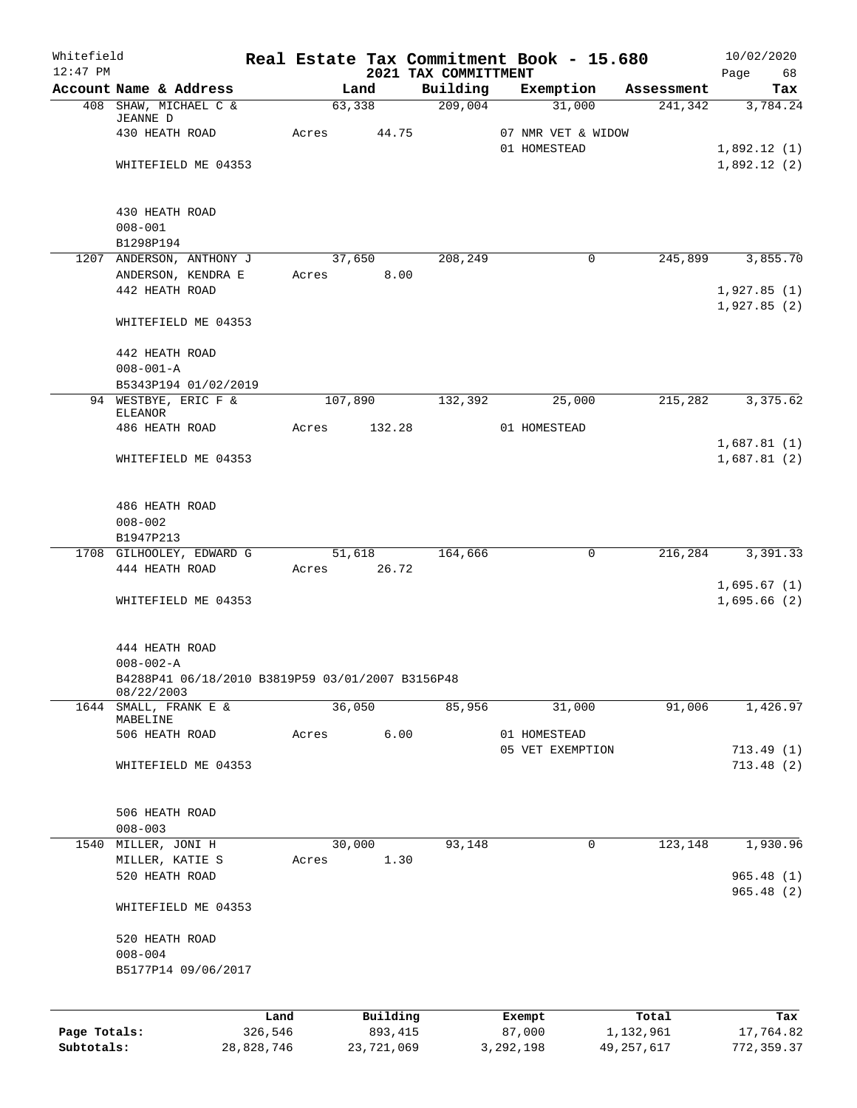| Whitefield<br>$12:47$ PM |                                                  |                 |              |                     | 2021 TAX COMMITTMENT | Real Estate Tax Commitment Book - 15.680 |                    | 10/02/2020<br>Page 68 |
|--------------------------|--------------------------------------------------|-----------------|--------------|---------------------|----------------------|------------------------------------------|--------------------|-----------------------|
|                          | Account Name & Address                           |                 |              | Land                |                      | Building Exemption Assessment            |                    | Tax                   |
|                          | 408 SHAW, MICHAEL C &                            |                 |              | 63,338              | $\frac{209,004}{ }$  | 31,000                                   |                    | 241,342 3,784.24      |
|                          | JEANNE D<br>430 HEATH ROAD                       |                 | Acres 44.75  |                     |                      | 07 NMR VET & WIDOW                       |                    |                       |
|                          |                                                  |                 |              |                     |                      | 01 HOMESTEAD                             |                    | 1,892.12(1)           |
|                          | WHITEFIELD ME 04353                              |                 |              |                     |                      |                                          |                    | 1,892.12(2)           |
|                          |                                                  |                 |              |                     |                      |                                          |                    |                       |
|                          |                                                  |                 |              |                     |                      |                                          |                    |                       |
|                          | 430 HEATH ROAD                                   |                 |              |                     |                      |                                          |                    |                       |
|                          | $008 - 001$                                      |                 |              |                     |                      |                                          |                    |                       |
|                          | B1298P194<br>1207 ANDERSON, ANTHONY J            |                 | 37,650       |                     | 208,249              | 0                                        |                    | 245,899 3,855.70      |
|                          | ANDERSON, KENDRA E                               |                 | Acres 8.00   |                     |                      |                                          |                    |                       |
|                          | 442 HEATH ROAD                                   |                 |              |                     |                      |                                          |                    | 1,927.85(1)           |
|                          |                                                  |                 |              |                     |                      |                                          |                    | 1,927.85(2)           |
|                          | WHITEFIELD ME 04353                              |                 |              |                     |                      |                                          |                    |                       |
|                          |                                                  |                 |              |                     |                      |                                          |                    |                       |
|                          | 442 HEATH ROAD                                   |                 |              |                     |                      |                                          |                    |                       |
|                          | $008 - 001 - A$                                  |                 |              |                     |                      |                                          |                    |                       |
|                          | B5343P194 01/02/2019<br>94 WESTBYE, ERIC F &     |                 | 107,890      |                     | 132,392              | 25,000                                   | 215,282            | 3,375.62              |
|                          | ELEANOR                                          |                 |              |                     |                      |                                          |                    |                       |
|                          | 486 HEATH ROAD                                   |                 | Acres 132.28 |                     |                      | 01 HOMESTEAD                             |                    |                       |
|                          |                                                  |                 |              |                     |                      |                                          |                    | 1,687.81(1)           |
|                          | WHITEFIELD ME 04353                              |                 |              |                     |                      |                                          |                    | 1,687.81(2)           |
|                          |                                                  |                 |              |                     |                      |                                          |                    |                       |
|                          | 486 HEATH ROAD                                   |                 |              |                     |                      |                                          |                    |                       |
|                          | $008 - 002$                                      |                 |              |                     |                      |                                          |                    |                       |
|                          | B1947P213                                        |                 |              |                     |                      |                                          |                    |                       |
|                          | 1708 GILHOOLEY, EDWARD G 51,618 164,666          |                 |              |                     |                      | 0                                        |                    | 216,284 3,391.33      |
|                          | 444 HEATH ROAD                                   |                 | Acres 26.72  |                     |                      |                                          |                    |                       |
|                          |                                                  |                 |              |                     |                      |                                          |                    | 1,695.67(1)           |
|                          | WHITEFIELD ME 04353                              |                 |              |                     |                      |                                          |                    | 1,695.66(2)           |
|                          |                                                  |                 |              |                     |                      |                                          |                    |                       |
|                          | 444 HEATH ROAD                                   |                 |              |                     |                      |                                          |                    |                       |
|                          | $008 - 002 - A$                                  |                 |              |                     |                      |                                          |                    |                       |
|                          | B4288P41 06/18/2010 B3819P59 03/01/2007 B3156P48 |                 |              |                     |                      |                                          |                    |                       |
|                          | 08/22/2003                                       |                 |              |                     |                      |                                          |                    |                       |
| 1644                     | SMALL, FRANK E &<br>MABELINE                     |                 |              | 36,050              | 85,956               | 31,000                                   | 91,006             | 1,426.97              |
|                          | 506 HEATH ROAD                                   |                 | Acres        | 6.00                |                      | 01 HOMESTEAD                             |                    |                       |
|                          |                                                  |                 |              |                     |                      | 05 VET EXEMPTION                         |                    | 713.49(1)             |
|                          | WHITEFIELD ME 04353                              |                 |              |                     |                      |                                          |                    | 713.48(2)             |
|                          |                                                  |                 |              |                     |                      |                                          |                    |                       |
|                          |                                                  |                 |              |                     |                      |                                          |                    |                       |
|                          | 506 HEATH ROAD                                   |                 |              |                     |                      |                                          |                    |                       |
|                          | $008 - 003$                                      |                 |              | 30,000              |                      |                                          |                    |                       |
| 1540                     | MILLER, JONI H<br>MILLER, KATIE S                |                 | Acres        | 1.30                | 93,148               | 0                                        | 123,148            | 1,930.96              |
|                          | 520 HEATH ROAD                                   |                 |              |                     |                      |                                          |                    | 965.48(1)             |
|                          |                                                  |                 |              |                     |                      |                                          |                    | 965.48(2)             |
|                          | WHITEFIELD ME 04353                              |                 |              |                     |                      |                                          |                    |                       |
|                          | 520 HEATH ROAD                                   |                 |              |                     |                      |                                          |                    |                       |
|                          | $008 - 004$                                      |                 |              |                     |                      |                                          |                    |                       |
|                          | B5177P14 09/06/2017                              |                 |              |                     |                      |                                          |                    |                       |
|                          |                                                  |                 |              |                     |                      |                                          |                    |                       |
|                          |                                                  |                 |              |                     |                      |                                          |                    |                       |
| Page Totals:             |                                                  | Land<br>326,546 |              | Building<br>893,415 |                      | Exempt<br>87,000                         | Total<br>1,132,961 | Tax<br>17,764.82      |
|                          |                                                  |                 |              |                     |                      |                                          |                    |                       |

**Subtotals:** 28,828,746 23,721,069 3,292,198 49,257,617 772,359.37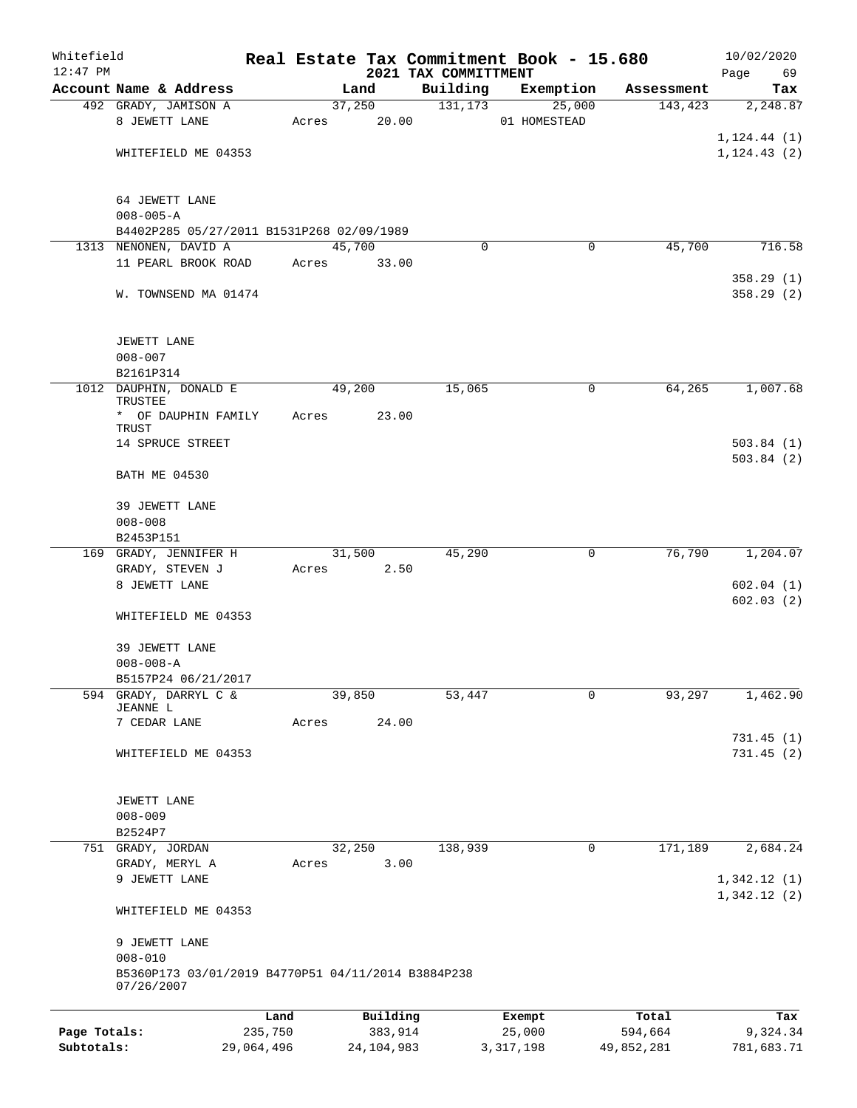| Whitefield<br>$12:47$ PM |                                                                  |            |       |        |              |                                  | Real Estate Tax Commitment Book - 15.680 |             |            | 10/02/2020                 |
|--------------------------|------------------------------------------------------------------|------------|-------|--------|--------------|----------------------------------|------------------------------------------|-------------|------------|----------------------------|
|                          | Account Name & Address                                           |            |       |        | Land         | 2021 TAX COMMITTMENT<br>Building |                                          | Exemption   | Assessment | Page<br>69<br>Tax          |
|                          | 492 GRADY, JAMISON A                                             |            |       | 37,250 |              | 131, 173                         |                                          | 25,000      | 143,423    | 2,248.87                   |
|                          | 8 JEWETT LANE                                                    |            | Acres |        | 20.00        |                                  | 01 HOMESTEAD                             |             |            |                            |
|                          |                                                                  |            |       |        |              |                                  |                                          |             |            | 1, 124.44(1)               |
|                          | WHITEFIELD ME 04353                                              |            |       |        |              |                                  |                                          |             |            | 1, 124.43(2)               |
|                          | 64 JEWETT LANE                                                   |            |       |        |              |                                  |                                          |             |            |                            |
|                          | $008 - 005 - A$                                                  |            |       |        |              |                                  |                                          |             |            |                            |
|                          | B4402P285 05/27/2011 B1531P268 02/09/1989                        |            |       |        |              |                                  |                                          |             |            |                            |
|                          | 1313 NENONEN, DAVID A<br>11 PEARL BROOK ROAD                     |            | Acres | 45,700 | 33.00        | $\Omega$                         |                                          | $\mathbf 0$ | 45,700     | 716.58                     |
|                          |                                                                  |            |       |        |              |                                  |                                          |             |            | 358.29(1)                  |
|                          | W. TOWNSEND MA 01474                                             |            |       |        |              |                                  |                                          |             |            | 358.29(2)                  |
|                          | JEWETT LANE                                                      |            |       |        |              |                                  |                                          |             |            |                            |
|                          | $008 - 007$                                                      |            |       |        |              |                                  |                                          |             |            |                            |
|                          | B2161P314                                                        |            |       |        |              |                                  |                                          |             |            |                            |
|                          | 1012 DAUPHIN, DONALD E<br>TRUSTEE                                |            |       | 49,200 |              | 15,065                           |                                          | 0           | 64,265     | 1,007.68                   |
|                          | * OF DAUPHIN FAMILY<br>TRUST                                     |            | Acres |        | 23.00        |                                  |                                          |             |            |                            |
|                          | 14 SPRUCE STREET                                                 |            |       |        |              |                                  |                                          |             |            | 503.84(1)                  |
|                          | <b>BATH ME 04530</b>                                             |            |       |        |              |                                  |                                          |             |            | 503.84(2)                  |
|                          | 39 JEWETT LANE                                                   |            |       |        |              |                                  |                                          |             |            |                            |
|                          | $008 - 008$                                                      |            |       |        |              |                                  |                                          |             |            |                            |
|                          | B2453P151<br>169 GRADY, JENNIFER H                               |            |       | 31,500 |              | 45,290                           |                                          | 0           | 76,790     | 1,204.07                   |
|                          | GRADY, STEVEN J                                                  |            | Acres |        | 2.50         |                                  |                                          |             |            |                            |
|                          | 8 JEWETT LANE                                                    |            |       |        |              |                                  |                                          |             |            | 602.04(1)<br>602.03(2)     |
|                          | WHITEFIELD ME 04353                                              |            |       |        |              |                                  |                                          |             |            |                            |
|                          | 39 JEWETT LANE                                                   |            |       |        |              |                                  |                                          |             |            |                            |
|                          | $008 - 008 - A$                                                  |            |       |        |              |                                  |                                          |             |            |                            |
|                          | B5157P24 06/21/2017                                              |            |       |        |              |                                  |                                          |             |            |                            |
| 594                      | GRADY, DARRYL C &<br>JEANNE L                                    |            |       | 39,850 |              | 53,447                           |                                          | 0           | 93,297     | 1,462.90                   |
|                          | 7 CEDAR LANE                                                     |            | Acres |        | 24.00        |                                  |                                          |             |            |                            |
|                          | WHITEFIELD ME 04353                                              |            |       |        |              |                                  |                                          |             |            | 731.45(1)<br>731.45(2)     |
|                          | JEWETT LANE                                                      |            |       |        |              |                                  |                                          |             |            |                            |
|                          | $008 - 009$                                                      |            |       |        |              |                                  |                                          |             |            |                            |
|                          | B2524P7                                                          |            |       |        |              |                                  |                                          |             |            |                            |
|                          | 751 GRADY, JORDAN                                                |            |       | 32,250 |              | 138,939                          |                                          | 0           | 171,189    | 2,684.24                   |
|                          | GRADY, MERYL A                                                   |            | Acres |        | 3.00         |                                  |                                          |             |            |                            |
|                          | 9 JEWETT LANE                                                    |            |       |        |              |                                  |                                          |             |            | 1,342.12(1)<br>1,342.12(2) |
|                          | WHITEFIELD ME 04353                                              |            |       |        |              |                                  |                                          |             |            |                            |
|                          | 9 JEWETT LANE                                                    |            |       |        |              |                                  |                                          |             |            |                            |
|                          | $008 - 010$                                                      |            |       |        |              |                                  |                                          |             |            |                            |
|                          | B5360P173 03/01/2019 B4770P51 04/11/2014 B3884P238<br>07/26/2007 |            |       |        |              |                                  |                                          |             |            |                            |
|                          |                                                                  | Land       |       |        | Building     |                                  | Exempt                                   |             | Total      | Tax                        |
| Page Totals:             |                                                                  | 235,750    |       |        | 383,914      |                                  | 25,000                                   |             | 594,664    | 9,324.34                   |
| Subtotals:               |                                                                  | 29,064,496 |       |        | 24, 104, 983 |                                  | 3, 317, 198                              |             | 49,852,281 | 781,683.71                 |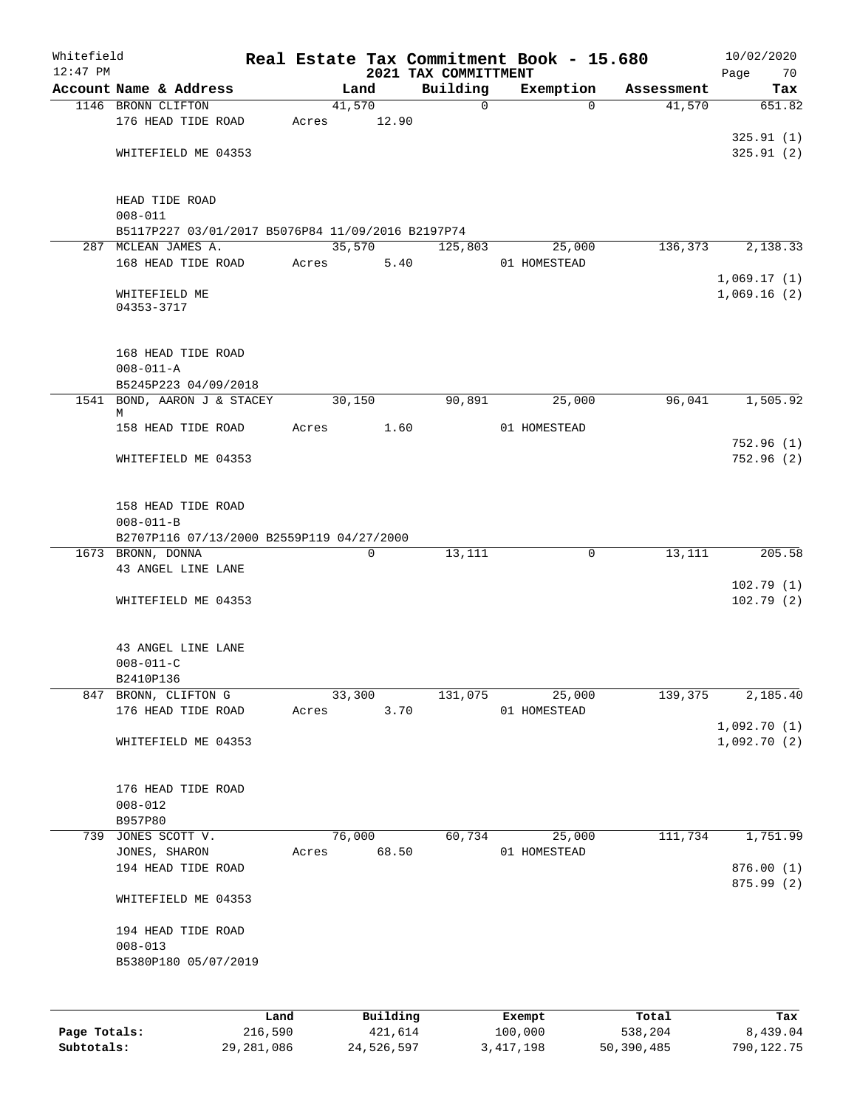| $12:47$ PM | Whitefield                                        |      |       |        |          | Real Estate Tax Commitment Book - 15.680<br>2021 TAX COMMITTMENT |              |           |            | 10/02/2020<br>Page<br>70 |
|------------|---------------------------------------------------|------|-------|--------|----------|------------------------------------------------------------------|--------------|-----------|------------|--------------------------|
|            | Account Name & Address                            |      |       | Land   |          | Building                                                         |              | Exemption | Assessment | Tax                      |
|            | 1146 BRONN CLIFTON                                |      |       | 41,570 |          | $\mathbf 0$                                                      |              | $\Omega$  | 41,570     | 651.82                   |
|            | 176 HEAD TIDE ROAD                                |      | Acres |        | 12.90    |                                                                  |              |           |            |                          |
|            |                                                   |      |       |        |          |                                                                  |              |           |            | 325.91(1)                |
|            | WHITEFIELD ME 04353                               |      |       |        |          |                                                                  |              |           |            | 325.91(2)                |
|            |                                                   |      |       |        |          |                                                                  |              |           |            |                          |
|            | HEAD TIDE ROAD                                    |      |       |        |          |                                                                  |              |           |            |                          |
|            | $008 - 011$                                       |      |       |        |          |                                                                  |              |           |            |                          |
|            | B5117P227 03/01/2017 B5076P84 11/09/2016 B2197P74 |      |       |        |          |                                                                  |              |           |            |                          |
|            | 287 MCLEAN JAMES A.                               |      |       | 35,570 |          | 125,803                                                          |              | 25,000    | 136,373    | 2,138.33                 |
|            | 168 HEAD TIDE ROAD                                |      | Acres |        | 5.40     |                                                                  | 01 HOMESTEAD |           |            |                          |
|            |                                                   |      |       |        |          |                                                                  |              |           |            | 1,069.17(1)              |
|            | WHITEFIELD ME<br>04353-3717                       |      |       |        |          |                                                                  |              |           |            | 1,069.16(2)              |
|            | 168 HEAD TIDE ROAD                                |      |       |        |          |                                                                  |              |           |            |                          |
|            | $008 - 011 - A$                                   |      |       |        |          |                                                                  |              |           |            |                          |
|            | B5245P223 04/09/2018                              |      |       |        |          |                                                                  |              |           |            |                          |
| 1541       | BOND, AARON J & STACEY                            |      |       | 30,150 |          | 90,891                                                           |              | 25,000    | 96,041     | 1,505.92                 |
|            | М                                                 |      |       |        |          |                                                                  |              |           |            |                          |
|            | 158 HEAD TIDE ROAD                                |      | Acres |        | 1.60     |                                                                  | 01 HOMESTEAD |           |            |                          |
|            |                                                   |      |       |        |          |                                                                  |              |           |            | 752.96(1)                |
|            | WHITEFIELD ME 04353                               |      |       |        |          |                                                                  |              |           |            | 752.96(2)                |
|            | 158 HEAD TIDE ROAD<br>$008 - 011 - B$             |      |       |        |          |                                                                  |              |           |            |                          |
|            | B2707P116 07/13/2000 B2559P119 04/27/2000         |      |       |        |          |                                                                  |              |           |            |                          |
|            | 1673 BRONN, DONNA                                 |      |       |        | 0        | 13,111                                                           |              | 0         | 13,111     | 205.58                   |
|            | 43 ANGEL LINE LANE                                |      |       |        |          |                                                                  |              |           |            |                          |
|            |                                                   |      |       |        |          |                                                                  |              |           |            | 102.79(1)                |
|            | WHITEFIELD ME 04353                               |      |       |        |          |                                                                  |              |           |            | 102.79(2)                |
|            | 43 ANGEL LINE LANE                                |      |       |        |          |                                                                  |              |           |            |                          |
|            | $008 - 011 - C$                                   |      |       |        |          |                                                                  |              |           |            |                          |
|            | B2410P136                                         |      |       |        |          |                                                                  |              |           |            |                          |
| 847        | BRONN, CLIFTON G                                  |      |       | 33,300 |          | 131,075                                                          |              | 25,000    | 139,375    | 2,185.40                 |
|            | 176 HEAD TIDE ROAD                                |      | Acres |        | 3.70     |                                                                  | 01 HOMESTEAD |           |            |                          |
|            |                                                   |      |       |        |          |                                                                  |              |           |            | 1,092.70(1)              |
|            | WHITEFIELD ME 04353                               |      |       |        |          |                                                                  |              |           |            | 1,092.70(2)              |
|            | 176 HEAD TIDE ROAD                                |      |       |        |          |                                                                  |              |           |            |                          |
|            | $008 - 012$                                       |      |       |        |          |                                                                  |              |           |            |                          |
|            | B957P80                                           |      |       |        |          |                                                                  |              |           |            |                          |
| 739        | JONES SCOTT V.                                    |      |       | 76,000 |          | 60,734                                                           |              | 25,000    | 111,734    | 1,751.99                 |
|            | JONES, SHARON                                     |      | Acres |        | 68.50    |                                                                  | 01 HOMESTEAD |           |            |                          |
|            | 194 HEAD TIDE ROAD                                |      |       |        |          |                                                                  |              |           |            | 876.00(1)                |
|            |                                                   |      |       |        |          |                                                                  |              |           |            | 875.99 (2)               |
|            | WHITEFIELD ME 04353                               |      |       |        |          |                                                                  |              |           |            |                          |
|            | 194 HEAD TIDE ROAD                                |      |       |        |          |                                                                  |              |           |            |                          |
|            | $008 - 013$                                       |      |       |        |          |                                                                  |              |           |            |                          |
|            | B5380P180 05/07/2019                              |      |       |        |          |                                                                  |              |           |            |                          |
|            |                                                   |      |       |        |          |                                                                  |              |           |            |                          |
|            |                                                   |      |       |        |          |                                                                  |              |           |            |                          |
|            |                                                   | Land |       |        | Building |                                                                  | Exempt       |           | Total      | Tax                      |

**Subtotals:** 29,281,086 24,526,597 3,417,198 50,390,485 790,122.75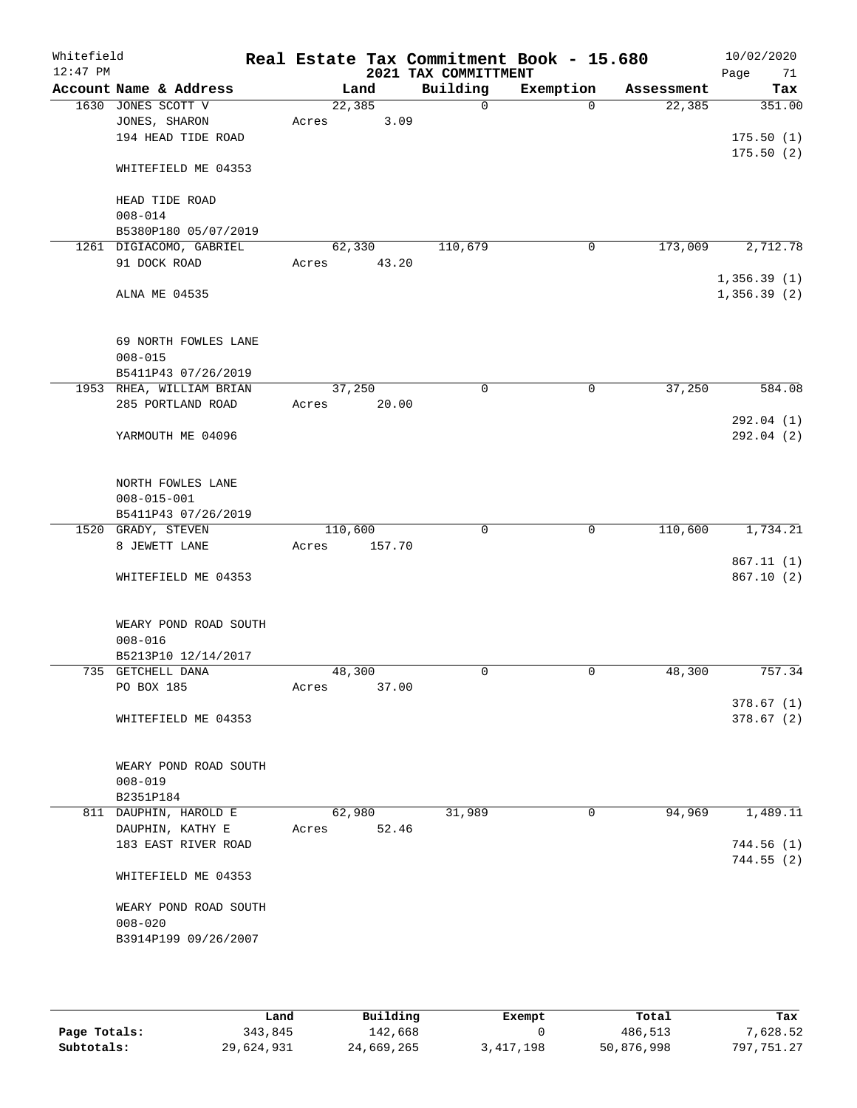| Whitefield<br>$12:47$ PM |                                     |       |         | 2021 TAX COMMITTMENT | Real Estate Tax Commitment Book - 15.680 |            | 10/02/2020<br>Page<br>71   |
|--------------------------|-------------------------------------|-------|---------|----------------------|------------------------------------------|------------|----------------------------|
|                          | Account Name & Address              |       | Land    | Building             | Exemption                                | Assessment | Tax                        |
|                          | 1630 JONES SCOTT V                  |       | 22,385  | $\mathbf 0$          | $\Omega$                                 | 22,385     | 351.00                     |
|                          | JONES, SHARON                       | Acres | 3.09    |                      |                                          |            |                            |
|                          | 194 HEAD TIDE ROAD                  |       |         |                      |                                          |            | 175.50(1)                  |
|                          | WHITEFIELD ME 04353                 |       |         |                      |                                          |            | 175.50(2)                  |
|                          | HEAD TIDE ROAD                      |       |         |                      |                                          |            |                            |
|                          | $008 - 014$                         |       |         |                      |                                          |            |                            |
|                          | B5380P180 05/07/2019                |       |         |                      |                                          |            |                            |
|                          | 1261 DIGIACOMO, GABRIEL             |       | 62,330  | 110,679              | 0                                        | 173,009    | 2,712.78                   |
|                          | 91 DOCK ROAD                        | Acres | 43.20   |                      |                                          |            |                            |
|                          | ALNA ME 04535                       |       |         |                      |                                          |            | 1,356.39(1)<br>1,356.39(2) |
|                          |                                     |       |         |                      |                                          |            |                            |
|                          | 69 NORTH FOWLES LANE<br>$008 - 015$ |       |         |                      |                                          |            |                            |
|                          | B5411P43 07/26/2019                 |       |         |                      |                                          |            |                            |
|                          | 1953 RHEA, WILLIAM BRIAN            |       | 37,250  | 0                    | 0                                        | 37,250     | 584.08                     |
|                          | 285 PORTLAND ROAD                   | Acres | 20.00   |                      |                                          |            |                            |
|                          |                                     |       |         |                      |                                          |            | 292.04 (1)                 |
|                          | YARMOUTH ME 04096                   |       |         |                      |                                          |            | 292.04(2)                  |
|                          |                                     |       |         |                      |                                          |            |                            |
|                          | NORTH FOWLES LANE                   |       |         |                      |                                          |            |                            |
|                          | $008 - 015 - 001$                   |       |         |                      |                                          |            |                            |
|                          | B5411P43 07/26/2019                 |       |         |                      |                                          |            |                            |
|                          | 1520 GRADY, STEVEN                  |       | 110,600 | 0                    | 0                                        | 110,600    | 1,734.21                   |
|                          | 8 JEWETT LANE                       | Acres | 157.70  |                      |                                          |            |                            |
|                          |                                     |       |         |                      |                                          |            | 867.11(1)                  |
|                          | WHITEFIELD ME 04353                 |       |         |                      |                                          |            | 867.10(2)                  |
|                          | WEARY POND ROAD SOUTH               |       |         |                      |                                          |            |                            |
|                          | $008 - 016$                         |       |         |                      |                                          |            |                            |
|                          | B5213P10 12/14/2017                 |       |         |                      |                                          |            |                            |
|                          | 735 GETCHELL DANA                   |       | 48,300  | 0                    | $\mathbf 0$                              | 48,300     | 757.34                     |
|                          | PO BOX 185                          | Acres | 37.00   |                      |                                          |            |                            |
|                          |                                     |       |         |                      |                                          |            | 378.67(1)                  |
|                          | WHITEFIELD ME 04353                 |       |         |                      |                                          |            | 378.67(2)                  |
|                          |                                     |       |         |                      |                                          |            |                            |
|                          | WEARY POND ROAD SOUTH               |       |         |                      |                                          |            |                            |
|                          | $008 - 019$                         |       |         |                      |                                          |            |                            |
|                          | B2351P184                           |       |         |                      |                                          |            |                            |
|                          | 811 DAUPHIN, HAROLD E               |       | 62,980  | 31,989               | 0                                        | 94,969     | 1,489.11                   |
|                          | DAUPHIN, KATHY E                    | Acres | 52.46   |                      |                                          |            |                            |
|                          | 183 EAST RIVER ROAD                 |       |         |                      |                                          |            | 744.56(1)<br>744.55(2)     |
|                          | WHITEFIELD ME 04353                 |       |         |                      |                                          |            |                            |
|                          | WEARY POND ROAD SOUTH               |       |         |                      |                                          |            |                            |
|                          | $008 - 020$                         |       |         |                      |                                          |            |                            |
|                          | B3914P199 09/26/2007                |       |         |                      |                                          |            |                            |
|                          |                                     |       |         |                      |                                          |            |                            |

|              | Land       | Building   | Exempt    | Total      | Tax        |
|--------------|------------|------------|-----------|------------|------------|
| Page Totals: | 343,845    | 142,668    |           | 486,513    | 7,628.52   |
| Subtotals:   | 29,624,931 | 24,669,265 | 3,417,198 | 50,876,998 | 797,751.27 |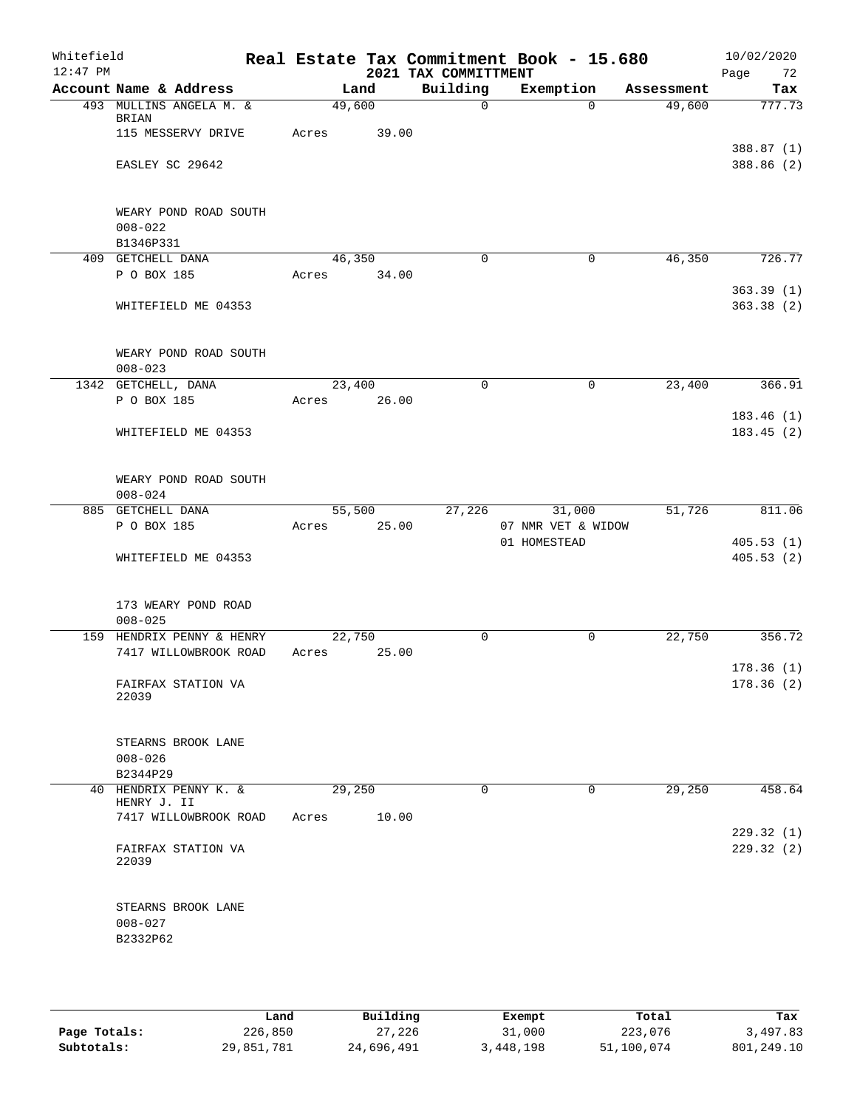| Whitefield<br>$12:47$ PM |                                                   |             |        | 2021 TAX COMMITTMENT | Real Estate Tax Commitment Book - 15.680 |          |            | 10/02/2020<br>Page<br>72 |
|--------------------------|---------------------------------------------------|-------------|--------|----------------------|------------------------------------------|----------|------------|--------------------------|
|                          | Account Name & Address                            |             | Land   | Building             | Exemption                                |          | Assessment | Tax                      |
|                          | 493 MULLINS ANGELA M. &<br><b>BRIAN</b>           |             | 49,600 | $\Omega$             |                                          | $\Omega$ | 49,600     | 777.73                   |
|                          | 115 MESSERVY DRIVE                                | Acres       | 39.00  |                      |                                          |          |            | 388.87 (1)               |
|                          | EASLEY SC 29642                                   |             |        |                      |                                          |          |            | 388.86 (2)               |
|                          | WEARY POND ROAD SOUTH<br>$008 - 022$<br>B1346P331 |             |        |                      |                                          |          |            |                          |
|                          | 409 GETCHELL DANA                                 |             | 46,350 | 0                    |                                          | 0        | 46,350     | 726.77                   |
|                          | P O BOX 185                                       | Acres 34.00 |        |                      |                                          |          |            |                          |
|                          | WHITEFIELD ME 04353                               |             |        |                      |                                          |          |            | 363.39(1)<br>363.38(2)   |
|                          | WEARY POND ROAD SOUTH<br>$008 - 023$              |             |        |                      |                                          |          |            |                          |
|                          | 1342 GETCHELL, DANA                               |             | 23,400 | $\mathbf 0$          |                                          | 0        | 23,400     | 366.91                   |
|                          | P O BOX 185                                       | Acres       | 26.00  |                      |                                          |          |            | 183.46(1)                |
|                          | WHITEFIELD ME 04353                               |             |        |                      |                                          |          |            | 183.45(2)                |
|                          | WEARY POND ROAD SOUTH<br>$008 - 024$              |             |        |                      |                                          |          |            |                          |
|                          | 885 GETCHELL DANA                                 |             | 55,500 | 27,226               | 31,000                                   |          | 51,726     | 811.06                   |
|                          | P O BOX 185                                       | Acres       | 25.00  |                      | 07 NMR VET & WIDOW                       |          |            |                          |
|                          | WHITEFIELD ME 04353                               |             |        |                      | 01 HOMESTEAD                             |          |            | 405.53(1)<br>405.53(2)   |
|                          | 173 WEARY POND ROAD<br>$008 - 025$                |             |        |                      |                                          |          |            |                          |
|                          | 159 HENDRIX PENNY & HENRY                         |             | 22,750 | 0                    |                                          | 0        | 22,750     | 356.72                   |
|                          | 7417 WILLOWBROOK ROAD                             | Acres       | 25.00  |                      |                                          |          |            |                          |
|                          | FAIRFAX STATION VA<br>22039                       |             |        |                      |                                          |          |            | 178.36(1)<br>178.36(2)   |
|                          | STEARNS BROOK LANE<br>$008 - 026$<br>B2344P29     |             |        |                      |                                          |          |            |                          |
|                          | 40 HENDRIX PENNY K. &                             |             | 29,250 | $\Omega$             |                                          | 0        | 29,250     | 458.64                   |
|                          | HENRY J. II<br>7417 WILLOWBROOK ROAD              | Acres       | 10.00  |                      |                                          |          |            |                          |
|                          | FAIRFAX STATION VA<br>22039                       |             |        |                      |                                          |          |            | 229.32(1)<br>229.32(2)   |
|                          | STEARNS BROOK LANE<br>$008 - 027$<br>B2332P62     |             |        |                      |                                          |          |            |                          |
|                          |                                                   |             |        |                      |                                          |          |            |                          |

|              | Land       | Building   | Exempt    | Total      | Tax        |
|--------------|------------|------------|-----------|------------|------------|
| Page Totals: | 226,850    | 27,226     | 31,000    | 223,076    | 3,497.83   |
| Subtotals:   | 29,851,781 | 24,696,491 | 3,448,198 | 51,100,074 | 801,249.10 |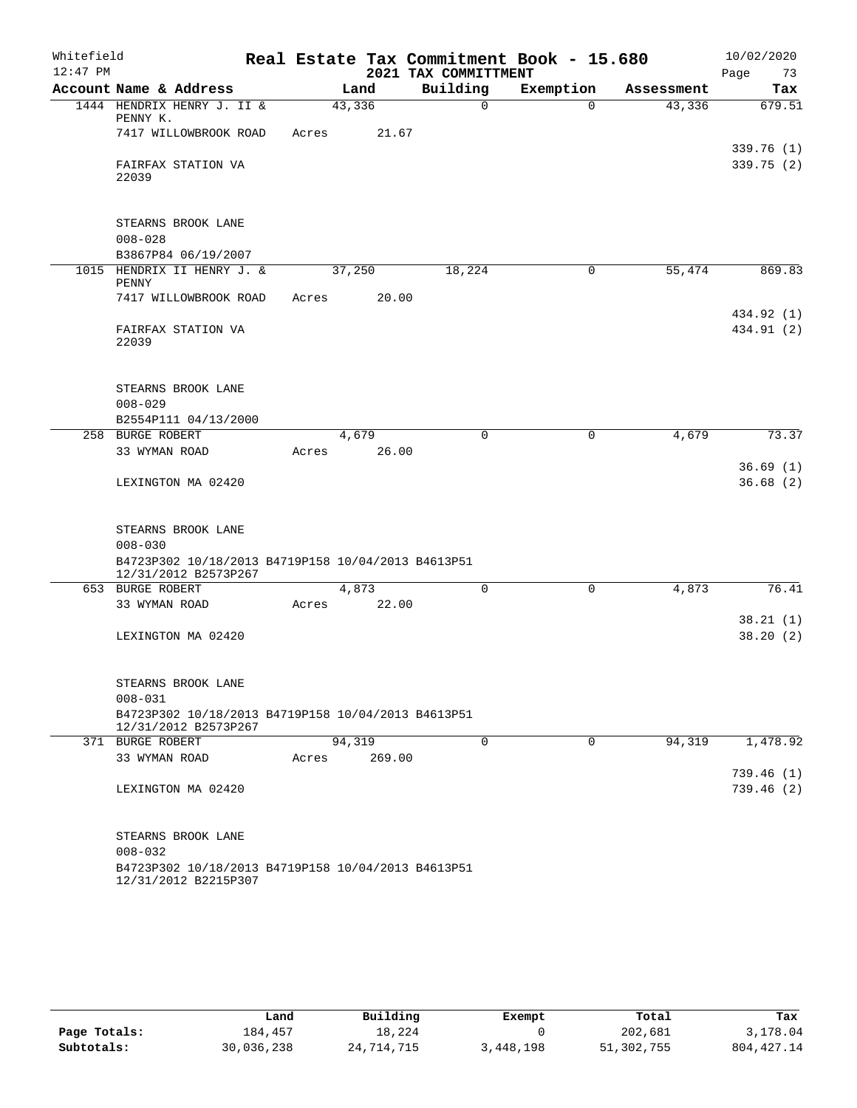| Whitefield |                                                                   |       |        |                      | Real Estate Tax Commitment Book - 15.680 |            | 10/02/2020 |
|------------|-------------------------------------------------------------------|-------|--------|----------------------|------------------------------------------|------------|------------|
| $12:47$ PM |                                                                   |       |        | 2021 TAX COMMITTMENT |                                          |            | 73<br>Page |
|            | Account Name & Address                                            |       | Land   | Building             | Exemption                                | Assessment | Tax        |
|            | 1444 HENDRIX HENRY J. II &<br>PENNY K.                            |       | 43,336 | $\Omega$             | $\Omega$                                 | 43,336     | 679.51     |
|            | 7417 WILLOWBROOK ROAD                                             | Acres | 21.67  |                      |                                          |            |            |
|            |                                                                   |       |        |                      |                                          |            | 339.76(1)  |
|            | FAIRFAX STATION VA                                                |       |        |                      |                                          |            | 339.75(2)  |
|            | 22039                                                             |       |        |                      |                                          |            |            |
|            |                                                                   |       |        |                      |                                          |            |            |
|            | STEARNS BROOK LANE                                                |       |        |                      |                                          |            |            |
|            | $008 - 028$                                                       |       |        |                      |                                          |            |            |
|            | B3867P84 06/19/2007                                               |       |        |                      |                                          |            |            |
| 1015       | HENDRIX II HENRY J. &<br>PENNY                                    |       | 37,250 | 18,224               | 0                                        | 55,474     | 869.83     |
|            | 7417 WILLOWBROOK ROAD                                             | Acres | 20.00  |                      |                                          |            |            |
|            |                                                                   |       |        |                      |                                          |            | 434.92 (1) |
|            | FAIRFAX STATION VA<br>22039                                       |       |        |                      |                                          |            | 434.91 (2) |
|            |                                                                   |       |        |                      |                                          |            |            |
|            |                                                                   |       |        |                      |                                          |            |            |
|            | STEARNS BROOK LANE                                                |       |        |                      |                                          |            |            |
|            | $008 - 029$                                                       |       |        |                      |                                          |            |            |
|            | B2554P111 04/13/2000<br>258 BURGE ROBERT                          |       | 4,679  | 0                    | 0                                        | 4,679      | 73.37      |
|            | 33 WYMAN ROAD                                                     | Acres | 26.00  |                      |                                          |            |            |
|            |                                                                   |       |        |                      |                                          |            | 36.69(1)   |
|            | LEXINGTON MA 02420                                                |       |        |                      |                                          |            | 36.68(2)   |
|            |                                                                   |       |        |                      |                                          |            |            |
|            | STEARNS BROOK LANE                                                |       |        |                      |                                          |            |            |
|            | $008 - 030$                                                       |       |        |                      |                                          |            |            |
|            | B4723P302 10/18/2013 B4719P158 10/04/2013 B4613P51                |       |        |                      |                                          |            |            |
|            | 12/31/2012 B2573P267<br>653 BURGE ROBERT                          |       | 4,873  | 0                    | 0                                        | 4,873      | 76.41      |
|            | 33 WYMAN ROAD                                                     | Acres | 22.00  |                      |                                          |            |            |
|            |                                                                   |       |        |                      |                                          |            | 38.21(1)   |
|            | LEXINGTON MA 02420                                                |       |        |                      |                                          |            | 38.20(2)   |
|            |                                                                   |       |        |                      |                                          |            |            |
|            |                                                                   |       |        |                      |                                          |            |            |
|            | STEARNS BROOK LANE<br>$008 - 031$                                 |       |        |                      |                                          |            |            |
|            | B4723P302 10/18/2013 B4719P158 10/04/2013 B4613P51                |       |        |                      |                                          |            |            |
|            | 12/31/2012 B2573P267                                              |       |        |                      |                                          |            |            |
|            | 371 BURGE ROBERT                                                  |       | 94,319 | $\Omega$             | 0                                        | 94,319     | 1,478.92   |
|            | 33 WYMAN ROAD                                                     | Acres | 269.00 |                      |                                          |            | 739.46(1)  |
|            | LEXINGTON MA 02420                                                |       |        |                      |                                          |            | 739.46(2)  |
|            |                                                                   |       |        |                      |                                          |            |            |
|            |                                                                   |       |        |                      |                                          |            |            |
|            | STEARNS BROOK LANE                                                |       |        |                      |                                          |            |            |
|            | $008 - 032$<br>B4723P302 10/18/2013 B4719P158 10/04/2013 B4613P51 |       |        |                      |                                          |            |            |
|            | 12/31/2012 B2215P307                                              |       |        |                      |                                          |            |            |

|              | Land       | Building   | Exempt    | Total      | Tax          |
|--------------|------------|------------|-----------|------------|--------------|
| Page Totals: | 184,457    | 18,224     |           | 202,681    | 3,178.04     |
| Subtotals:   | 30,036,238 | 24,714,715 | 3,448,198 | 51,302,755 | 804, 427. 14 |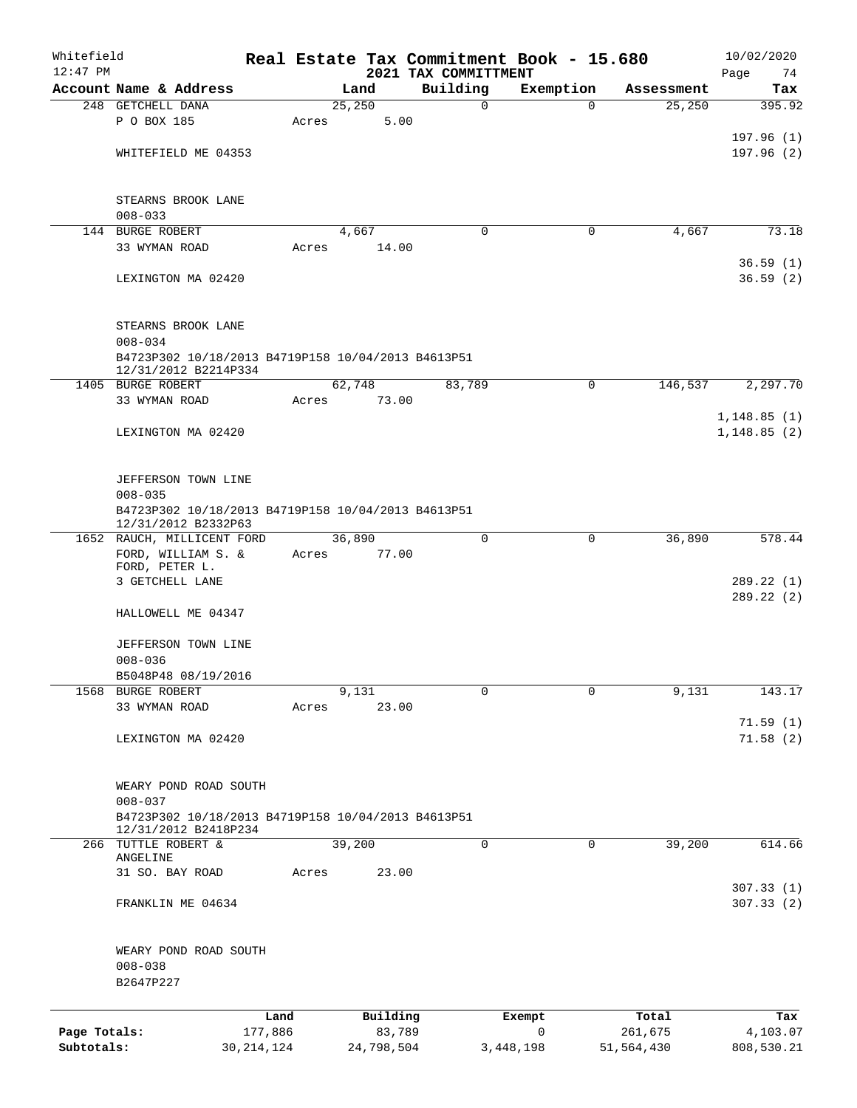| Whitefield<br>$12:47$ PM |                                                                   |                 |       |         |                    |                                  | Real Estate Tax Commitment Book - 15.680 |   |                  | 10/02/2020        |
|--------------------------|-------------------------------------------------------------------|-----------------|-------|---------|--------------------|----------------------------------|------------------------------------------|---|------------------|-------------------|
|                          | Account Name & Address                                            |                 |       | Land    |                    | 2021 TAX COMMITTMENT<br>Building | Exemption                                |   | Assessment       | Page<br>74<br>Tax |
|                          | 248 GETCHELL DANA                                                 |                 |       | 25, 250 |                    | $\mathbf 0$                      |                                          | 0 | 25,250           | 395.92            |
|                          | P O BOX 185                                                       |                 | Acres |         | 5.00               |                                  |                                          |   |                  |                   |
|                          |                                                                   |                 |       |         |                    |                                  |                                          |   |                  | 197.96(1)         |
|                          | WHITEFIELD ME 04353                                               |                 |       |         |                    |                                  |                                          |   |                  | 197.96(2)         |
|                          |                                                                   |                 |       |         |                    |                                  |                                          |   |                  |                   |
|                          | STEARNS BROOK LANE<br>$008 - 033$                                 |                 |       |         |                    |                                  |                                          |   |                  |                   |
|                          | 144 BURGE ROBERT                                                  |                 |       | 4,667   |                    | 0                                |                                          | 0 | 4,667            | 73.18             |
|                          | 33 WYMAN ROAD                                                     |                 | Acres |         | 14.00              |                                  |                                          |   |                  |                   |
|                          |                                                                   |                 |       |         |                    |                                  |                                          |   |                  | 36.59(1)          |
|                          | LEXINGTON MA 02420                                                |                 |       |         |                    |                                  |                                          |   |                  | 36.59(2)          |
|                          | STEARNS BROOK LANE                                                |                 |       |         |                    |                                  |                                          |   |                  |                   |
|                          | $008 - 034$<br>B4723P302 10/18/2013 B4719P158 10/04/2013 B4613P51 |                 |       |         |                    |                                  |                                          |   |                  |                   |
|                          | 12/31/2012 B2214P334<br>1405 BURGE ROBERT                         |                 |       |         |                    |                                  |                                          |   |                  |                   |
|                          | 33 WYMAN ROAD                                                     |                 | Acres | 62,748  | 73.00              | 83,789                           |                                          | 0 | 146,537          | 2,297.70          |
|                          |                                                                   |                 |       |         |                    |                                  |                                          |   |                  | 1,148.85(1)       |
|                          | LEXINGTON MA 02420                                                |                 |       |         |                    |                                  |                                          |   |                  | 1, 148.85(2)      |
|                          |                                                                   |                 |       |         |                    |                                  |                                          |   |                  |                   |
|                          |                                                                   |                 |       |         |                    |                                  |                                          |   |                  |                   |
|                          | JEFFERSON TOWN LINE                                               |                 |       |         |                    |                                  |                                          |   |                  |                   |
|                          | $008 - 035$<br>B4723P302 10/18/2013 B4719P158 10/04/2013 B4613P51 |                 |       |         |                    |                                  |                                          |   |                  |                   |
|                          | 12/31/2012 B2332P63                                               |                 |       |         |                    |                                  |                                          |   |                  |                   |
|                          | 1652 RAUCH, MILLICENT FORD                                        |                 |       | 36,890  |                    | $\mathbf 0$                      |                                          | 0 | 36,890           | 578.44            |
|                          | FORD, WILLIAM S. &                                                |                 | Acres |         | 77.00              |                                  |                                          |   |                  |                   |
|                          | FORD, PETER L.<br>3 GETCHELL LANE                                 |                 |       |         |                    |                                  |                                          |   |                  | 289.22 (1)        |
|                          |                                                                   |                 |       |         |                    |                                  |                                          |   |                  | 289.22 (2)        |
|                          | HALLOWELL ME 04347                                                |                 |       |         |                    |                                  |                                          |   |                  |                   |
|                          |                                                                   |                 |       |         |                    |                                  |                                          |   |                  |                   |
|                          | JEFFERSON TOWN LINE                                               |                 |       |         |                    |                                  |                                          |   |                  |                   |
|                          | $008 - 036$<br>B5048P48 08/19/2016                                |                 |       |         |                    |                                  |                                          |   |                  |                   |
|                          | 1568 BURGE ROBERT                                                 |                 |       | 9,131   |                    | $\mathbf 0$                      |                                          | 0 | 9,131            | 143.17            |
|                          | 33 WYMAN ROAD                                                     |                 | Acres |         | 23.00              |                                  |                                          |   |                  |                   |
|                          |                                                                   |                 |       |         |                    |                                  |                                          |   |                  | 71.59(1)          |
|                          | LEXINGTON MA 02420                                                |                 |       |         |                    |                                  |                                          |   |                  | 71.58(2)          |
|                          |                                                                   |                 |       |         |                    |                                  |                                          |   |                  |                   |
|                          | WEARY POND ROAD SOUTH                                             |                 |       |         |                    |                                  |                                          |   |                  |                   |
|                          | $008 - 037$                                                       |                 |       |         |                    |                                  |                                          |   |                  |                   |
|                          | B4723P302 10/18/2013 B4719P158 10/04/2013 B4613P51                |                 |       |         |                    |                                  |                                          |   |                  |                   |
|                          | 12/31/2012 B2418P234                                              |                 |       |         |                    |                                  |                                          |   |                  |                   |
| 266                      | TUTTLE ROBERT &                                                   |                 |       | 39,200  |                    | $\mathbf 0$                      |                                          | 0 | 39,200           | 614.66            |
|                          | ANGELINE<br>31 SO. BAY ROAD                                       |                 | Acres |         | 23.00              |                                  |                                          |   |                  |                   |
|                          |                                                                   |                 |       |         |                    |                                  |                                          |   |                  | 307.33(1)         |
|                          | FRANKLIN ME 04634                                                 |                 |       |         |                    |                                  |                                          |   |                  | 307.33 (2)        |
|                          |                                                                   |                 |       |         |                    |                                  |                                          |   |                  |                   |
|                          | WEARY POND ROAD SOUTH<br>$008 - 038$                              |                 |       |         |                    |                                  |                                          |   |                  |                   |
|                          | B2647P227                                                         |                 |       |         |                    |                                  |                                          |   |                  |                   |
|                          |                                                                   |                 |       |         |                    |                                  |                                          |   |                  |                   |
| Page Totals:             |                                                                   | Land<br>177,886 |       |         | Building<br>83,789 |                                  | Exempt<br>$\mathbf 0$                    |   | Total<br>261,675 | Tax<br>4,103.07   |
| Subtotals:               |                                                                   | 30, 214, 124    |       |         | 24,798,504         |                                  | 3,448,198                                |   | 51,564,430       | 808,530.21        |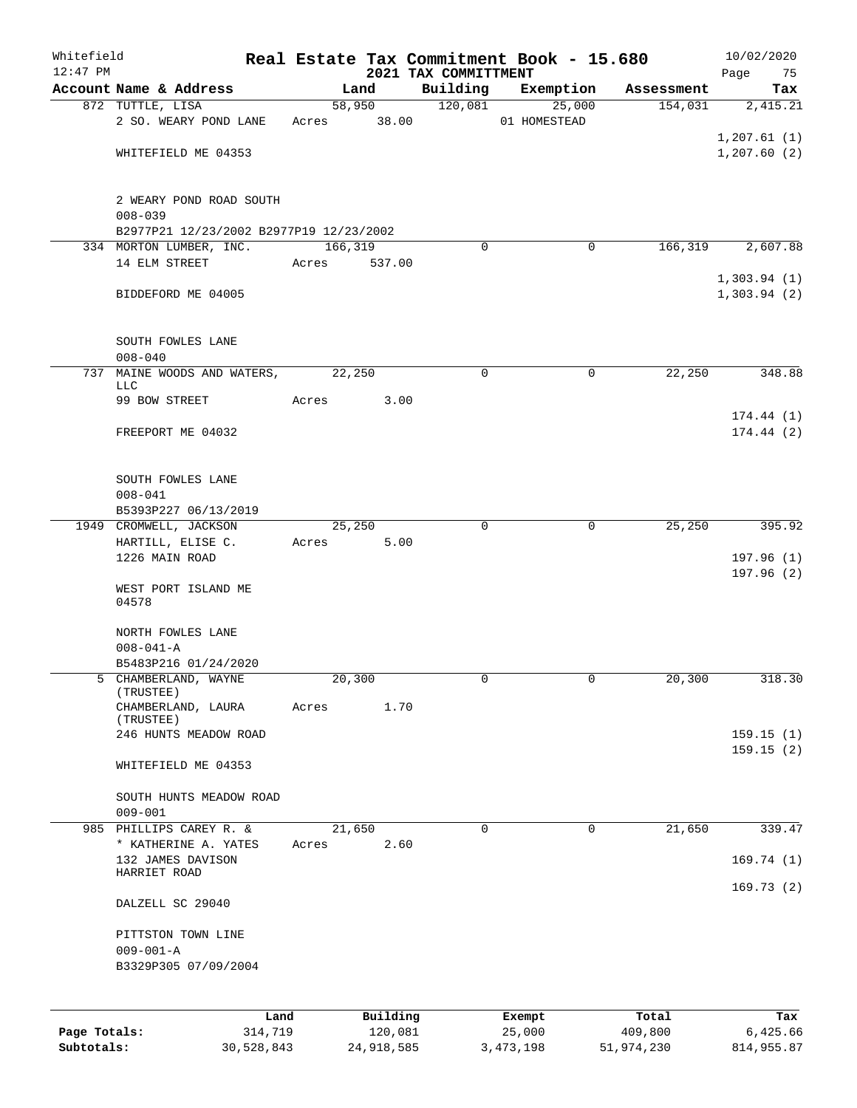| Whitefield<br>$12:47$ PM |                                                               |            |             |                |                                  | Real Estate Tax Commitment Book - 15.680 |            | 10/02/2020                 |
|--------------------------|---------------------------------------------------------------|------------|-------------|----------------|----------------------------------|------------------------------------------|------------|----------------------------|
|                          | Account Name & Address                                        |            |             | Land           | 2021 TAX COMMITTMENT<br>Building | Exemption                                | Assessment | Page<br>75<br>Tax          |
|                          | 872 TUTTLE, LISA                                              |            |             | 58,950         | 120,081                          | 25,000                                   | 154,031    | 2,415.21                   |
|                          | 2 SO. WEARY POND LANE                                         |            | Acres 38.00 |                |                                  | 01 HOMESTEAD                             |            | 1,207.61(1)                |
|                          | WHITEFIELD ME 04353                                           |            |             |                |                                  |                                          |            | 1,207.60(2)                |
|                          | 2 WEARY POND ROAD SOUTH<br>$008 - 039$                        |            |             |                |                                  |                                          |            |                            |
|                          | B2977P21 12/23/2002 B2977P19 12/23/2002                       |            |             |                |                                  |                                          |            |                            |
|                          | 334 MORTON LUMBER, INC.<br>14 ELM STREET                      |            | 166,319     | 537.00         | $\Omega$                         | 0                                        | 166,319    | 2,607.88                   |
|                          | BIDDEFORD ME 04005                                            |            | Acres       |                |                                  |                                          |            | 1,303.94(1)<br>1,303.94(2) |
|                          | SOUTH FOWLES LANE<br>$008 - 040$                              |            |             |                |                                  |                                          |            |                            |
| 737                      | MAINE WOODS AND WATERS,                                       |            | 22,250      |                | 0                                | 0                                        | 22,250     | 348.88                     |
|                          | LLC<br>99 BOW STREET                                          |            | Acres       | 3.00           |                                  |                                          |            |                            |
|                          | FREEPORT ME 04032                                             |            |             |                |                                  |                                          |            | 174.44(1)<br>174.44(2)     |
|                          | SOUTH FOWLES LANE<br>$008 - 041$                              |            |             |                |                                  |                                          |            |                            |
|                          | B5393P227 06/13/2019<br>1949 CROMWELL, JACKSON                |            |             | 25,250         | 0                                | 0                                        | 25,250     | 395.92                     |
|                          | HARTILL, ELISE C.                                             |            | Acres       | 5.00           |                                  |                                          |            |                            |
|                          | 1226 MAIN ROAD                                                |            |             |                |                                  |                                          |            | 197.96(1)                  |
|                          | WEST PORT ISLAND ME<br>04578                                  |            |             |                |                                  |                                          |            | 197.96(2)                  |
|                          | NORTH FOWLES LANE                                             |            |             |                |                                  |                                          |            |                            |
|                          | $008 - 041 - A$                                               |            |             |                |                                  |                                          |            |                            |
|                          | B5483P216 01/24/2020                                          |            |             |                |                                  |                                          |            |                            |
|                          | 5 CHAMBERLAND, WAYNE<br>(TRUSTEE)<br>CHAMBERLAND, LAURA       |            | Acres       | 20,300<br>1.70 | 0                                | 0                                        | 20,300     | 318.30                     |
|                          | (TRUSTEE)<br>246 HUNTS MEADOW ROAD                            |            |             |                |                                  |                                          |            | 159.15(1)                  |
|                          | WHITEFIELD ME 04353                                           |            |             |                |                                  |                                          |            | 159.15(2)                  |
|                          | SOUTH HUNTS MEADOW ROAD<br>$009 - 001$                        |            |             |                |                                  |                                          |            |                            |
|                          | 985 PHILLIPS CAREY R. &                                       |            |             | 21,650         | $\mathbf 0$                      | 0                                        | 21,650     | 339.47                     |
|                          | * KATHERINE A. YATES<br>132 JAMES DAVISON                     |            | Acres       | 2.60           |                                  |                                          |            |                            |
|                          | HARRIET ROAD                                                  |            |             |                |                                  |                                          |            | 169.74(1)<br>169.73(2)     |
|                          | DALZELL SC 29040                                              |            |             |                |                                  |                                          |            |                            |
|                          | PITTSTON TOWN LINE<br>$009 - 001 - A$<br>B3329P305 07/09/2004 |            |             |                |                                  |                                          |            |                            |
|                          |                                                               | Land       |             | Building       |                                  | Exempt                                   | Total      | Tax                        |
| Page Totals:             |                                                               | 314,719    |             | 120,081        |                                  | 25,000                                   | 409,800    | 6,425.66                   |
| Subtotals:               |                                                               | 30,528,843 |             | 24,918,585     |                                  | 3, 473, 198                              | 51,974,230 | 814,955.87                 |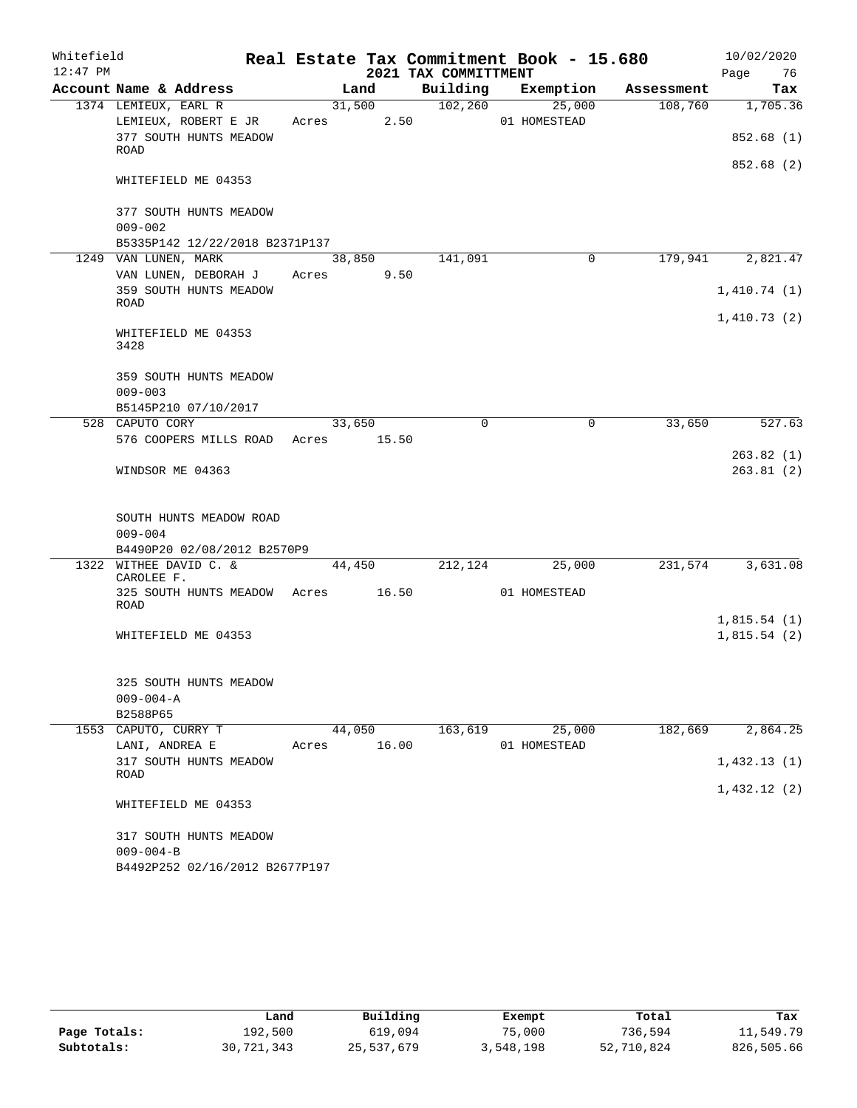| Whitefield |                                                       |       |        |                      | Real Estate Tax Commitment Book - 15.680 |            | 10/02/2020  |
|------------|-------------------------------------------------------|-------|--------|----------------------|------------------------------------------|------------|-------------|
| $12:47$ PM |                                                       |       |        | 2021 TAX COMMITTMENT |                                          |            | 76<br>Page  |
|            | Account Name & Address                                |       | Land   | Building             | Exemption                                | Assessment | Tax         |
|            | 1374 LEMIEUX, EARL R                                  |       | 31,500 | 102,260              | 25,000                                   | 108,760    | 1,705.36    |
|            | LEMIEUX, ROBERT E JR<br>377 SOUTH HUNTS MEADOW        | Acres | 2.50   |                      | 01 HOMESTEAD                             |            | 852.68(1)   |
|            | ROAD                                                  |       |        |                      |                                          |            |             |
|            | WHITEFIELD ME 04353                                   |       |        |                      |                                          |            | 852.68 (2)  |
|            | 377 SOUTH HUNTS MEADOW                                |       |        |                      |                                          |            |             |
|            | $009 - 002$                                           |       |        |                      |                                          |            |             |
|            | B5335P142 12/22/2018 B2371P137                        |       |        |                      |                                          |            |             |
|            | 1249 VAN LUNEN, MARK                                  |       | 38,850 | 141,091              | 0                                        | 179,941    | 2,821.47    |
|            | VAN LUNEN, DEBORAH J<br>359 SOUTH HUNTS MEADOW        | Acres | 9.50   |                      |                                          |            | 1,410.74(1) |
|            | ROAD                                                  |       |        |                      |                                          |            |             |
|            | WHITEFIELD ME 04353<br>3428                           |       |        |                      |                                          |            | 1,410.73(2) |
|            | 359 SOUTH HUNTS MEADOW                                |       |        |                      |                                          |            |             |
|            | $009 - 003$                                           |       |        |                      |                                          |            |             |
|            | B5145P210 07/10/2017                                  |       |        |                      |                                          |            |             |
|            | 528 CAPUTO CORY                                       | Acres | 33,650 | $\Omega$             | 0                                        | 33,650     | 527.63      |
|            | 576 COOPERS MILLS ROAD                                |       | 15.50  |                      |                                          |            | 263.82(1)   |
|            | WINDSOR ME 04363                                      |       |        |                      |                                          |            | 263.81(2)   |
|            | SOUTH HUNTS MEADOW ROAD<br>$009 - 004$                |       |        |                      |                                          |            |             |
|            | B4490P20 02/08/2012 B2570P9<br>1322 WITHEE DAVID C. & |       | 44,450 | 212,124              | 25,000                                   | 231,574    | 3,631.08    |
|            | CAROLEE F.                                            |       |        |                      |                                          |            |             |
|            | 325 SOUTH HUNTS MEADOW Acres<br>ROAD                  |       | 16.50  |                      | 01 HOMESTEAD                             |            |             |
|            |                                                       |       |        |                      |                                          |            | 1,815.54(1) |
|            | WHITEFIELD ME 04353                                   |       |        |                      |                                          |            | 1,815.54(2) |
|            | 325 SOUTH HUNTS MEADOW                                |       |        |                      |                                          |            |             |
|            | $009 - 004 - A$                                       |       |        |                      |                                          |            |             |
|            | B2588P65                                              |       |        |                      |                                          |            |             |
|            | 1553 CAPUTO, CURRY T                                  |       | 44,050 | 163,619              | 25,000                                   | 182,669    | 2,864.25    |
|            | LANI, ANDREA E<br>317 SOUTH HUNTS MEADOW              | Acres | 16.00  |                      | 01 HOMESTEAD                             |            |             |
|            | ROAD                                                  |       |        |                      |                                          |            | 1,432.13(1) |
|            | WHITEFIELD ME 04353                                   |       |        |                      |                                          |            | 1,432.12(2) |
|            | 317 SOUTH HUNTS MEADOW                                |       |        |                      |                                          |            |             |
|            | $009 - 004 - B$                                       |       |        |                      |                                          |            |             |
|            | B4492P252 02/16/2012 B2677P197                        |       |        |                      |                                          |            |             |

|              | Land       | Building   | Exempt    | Total      | Tax        |
|--------------|------------|------------|-----------|------------|------------|
| Page Totals: | 192,500    | 619,094    | 75,000    | 736,594    | 11,549.79  |
| Subtotals:   | 30,721,343 | 25,537,679 | 3,548,198 | 52,710,824 | 826,505.66 |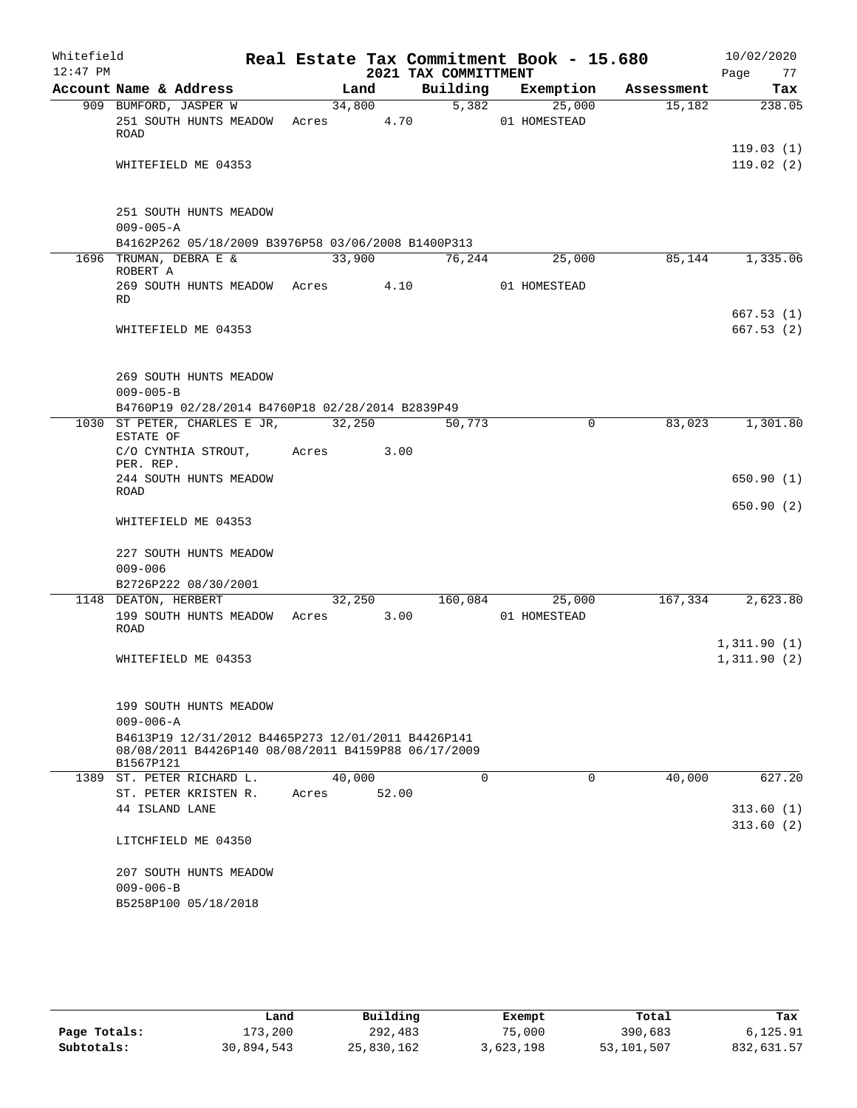| Whitefield |                                                                                                                        |        |        |                      | Real Estate Tax Commitment Book - 15.680 |            | 10/02/2020                 |
|------------|------------------------------------------------------------------------------------------------------------------------|--------|--------|----------------------|------------------------------------------|------------|----------------------------|
| $12:47$ PM |                                                                                                                        |        |        | 2021 TAX COMMITTMENT |                                          |            | Page<br>77                 |
|            | Account Name & Address                                                                                                 |        | Land   | Building             | Exemption                                | Assessment | Tax                        |
|            | 909 BUMFORD, JASPER W<br>251 SOUTH HUNTS MEADOW Acres 4.70<br>ROAD                                                     |        | 34,800 | 5,382                | 25,000<br>01 HOMESTEAD                   | 15,182     | 238.05                     |
|            | WHITEFIELD ME 04353                                                                                                    |        |        |                      |                                          |            | 119.03(1)<br>119.02(2)     |
|            |                                                                                                                        |        |        |                      |                                          |            |                            |
|            | 251 SOUTH HUNTS MEADOW<br>$009 - 005 - A$                                                                              |        |        |                      |                                          |            |                            |
|            | B4162P262 05/18/2009 B3976P58 03/06/2008 B1400P313                                                                     |        |        |                      |                                          |            |                            |
|            | 1696 TRUMAN, DEBRA E &<br>ROBERT A                                                                                     | 33,900 |        | 76,244               | 25,000                                   | 85,144     | 1,335.06                   |
|            | 269 SOUTH HUNTS MEADOW Acres<br>RD                                                                                     |        |        | 4.10                 | 01 HOMESTEAD                             |            |                            |
|            | WHITEFIELD ME 04353                                                                                                    |        |        |                      |                                          |            | 667.53(1)<br>667.53(2)     |
|            |                                                                                                                        |        |        |                      |                                          |            |                            |
|            | 269 SOUTH HUNTS MEADOW<br>$009 - 005 - B$<br>B4760P19 02/28/2014 B4760P18 02/28/2014 B2839P49                          |        |        |                      |                                          |            |                            |
|            | 1030 ST PETER, CHARLES E JR, 32,250<br>ESTATE OF                                                                       |        |        | 50,773               | $\Omega$                                 | 83,023     | 1,301.80                   |
|            | C/O CYNTHIA STROUT, Acres<br>PER. REP.                                                                                 |        | 3.00   |                      |                                          |            |                            |
|            | 244 SOUTH HUNTS MEADOW<br>ROAD                                                                                         |        |        |                      |                                          |            | 650.90(1)                  |
|            | WHITEFIELD ME 04353                                                                                                    |        |        |                      |                                          |            | 650.90(2)                  |
|            | 227 SOUTH HUNTS MEADOW<br>$009 - 006$                                                                                  |        |        |                      |                                          |            |                            |
|            | B2726P222 08/30/2001                                                                                                   |        |        |                      |                                          |            |                            |
|            | 1148 DEATON, HERBERT                                                                                                   |        | 32,250 | 160,084              | 25,000                                   | 167,334    | 2,623.80                   |
|            | 199 SOUTH HUNTS MEADOW Acres 3.00<br>ROAD                                                                              |        |        |                      | 01 HOMESTEAD                             |            |                            |
|            | WHITEFIELD ME 04353                                                                                                    |        |        |                      |                                          |            | 1,311.90(1)<br>1,311.90(2) |
|            | 199 SOUTH HUNTS MEADOW                                                                                                 |        |        |                      |                                          |            |                            |
|            | $009 - 006 - A$                                                                                                        |        |        |                      |                                          |            |                            |
|            | B4613P19 12/31/2012 B4465P273 12/01/2011 B4426P141<br>08/08/2011 B4426P140 08/08/2011 B4159P88 06/17/2009<br>B1567P121 |        |        |                      |                                          |            |                            |
|            | 1389 ST. PETER RICHARD L.                                                                                              | 40,000 |        | $\Omega$             | 0                                        | 40,000     | 627.20                     |
|            | ST. PETER KRISTEN R.                                                                                                   | Acres  | 52.00  |                      |                                          |            |                            |
|            | 44 ISLAND LANE                                                                                                         |        |        |                      |                                          |            | 313.60(1)<br>313.60(2)     |
|            | LITCHFIELD ME 04350                                                                                                    |        |        |                      |                                          |            |                            |
|            | 207 SOUTH HUNTS MEADOW                                                                                                 |        |        |                      |                                          |            |                            |
|            | $009 - 006 - B$                                                                                                        |        |        |                      |                                          |            |                            |
|            | B5258P100 05/18/2018                                                                                                   |        |        |                      |                                          |            |                            |

|              | Land       | Building   | Exempt    | Total      | Tax        |
|--------------|------------|------------|-----------|------------|------------|
| Page Totals: | 173,200    | 292,483    | 75,000    | 390,683    | 6.125.91   |
| Subtotals:   | 30,894,543 | 25,830,162 | 3,623,198 | 53,101,507 | 832,631.57 |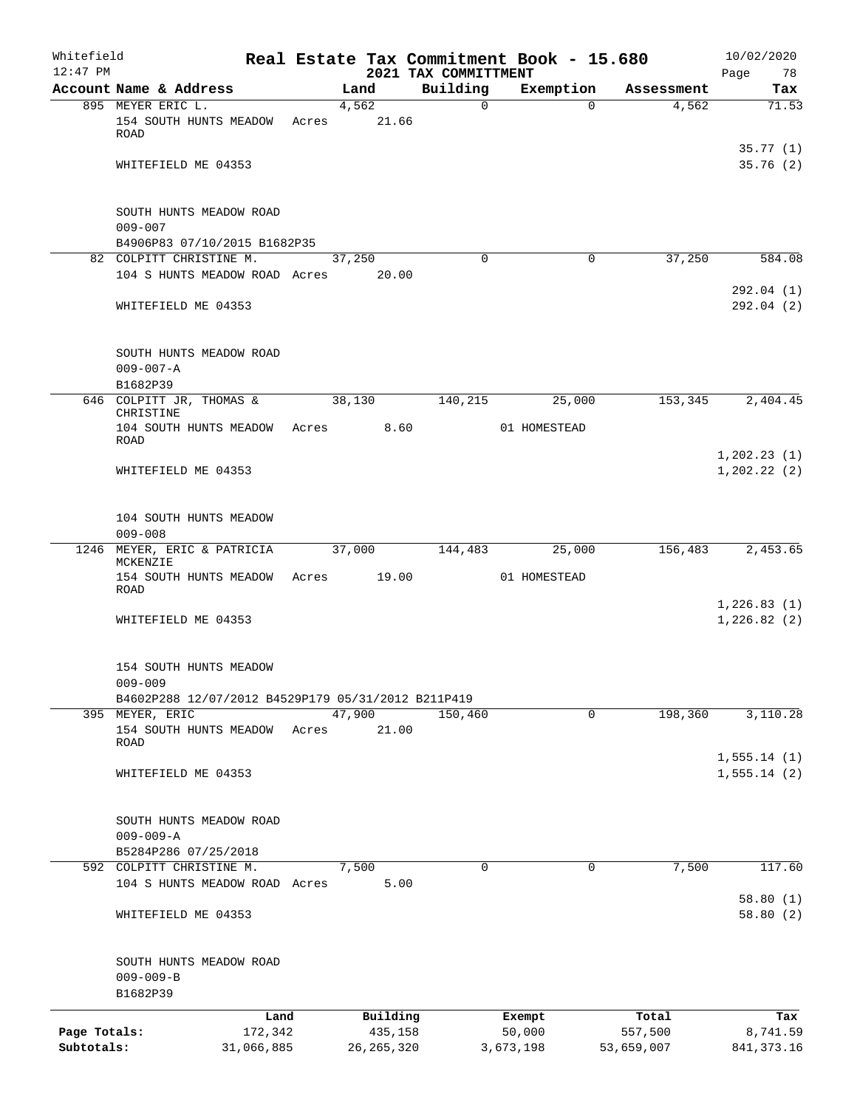| Building<br>Account Name & Address<br>Exemption<br>Land<br>Assessment<br>895 MEYER ERIC L.<br>4,562<br>4,562<br>$\mathbf 0$<br>$\Omega$<br>21.66<br>154 SOUTH HUNTS MEADOW<br>Acres<br>ROAD<br>WHITEFIELD ME 04353<br>SOUTH HUNTS MEADOW ROAD<br>$009 - 007$<br>B4906P83 07/10/2015 B1682P35<br>82 COLPITT CHRISTINE M.<br>37,250<br>37,250<br>$\Omega$<br>0<br>20.00<br>104 S HUNTS MEADOW ROAD Acres<br>WHITEFIELD ME 04353<br>SOUTH HUNTS MEADOW ROAD<br>$009 - 007 - A$<br>B1682P39<br>153,345<br>646 COLPITT JR, THOMAS &<br>38,130<br>140,215<br>25,000<br>CHRISTINE<br>8.60<br>104 SOUTH HUNTS MEADOW<br>01 HOMESTEAD<br>Acres<br>ROAD<br>WHITEFIELD ME 04353<br>104 SOUTH HUNTS MEADOW<br>$009 - 008$<br>1246 MEYER, ERIC & PATRICIA<br>37,000<br>144,483<br>25,000<br>156,483<br>MCKENZIE<br>19.00<br>154 SOUTH HUNTS MEADOW<br>01 HOMESTEAD<br>Acres<br>ROAD<br>WHITEFIELD ME 04353<br>154 SOUTH HUNTS MEADOW<br>$009 - 009$<br>B4602P288 12/07/2012 B4529P179 05/31/2012 B211P419<br>47,900<br>0<br>198,360<br>395 MEYER, ERIC<br>150,460<br>154 SOUTH HUNTS MEADOW<br>21.00<br>Acres<br>ROAD<br>WHITEFIELD ME 04353<br>SOUTH HUNTS MEADOW ROAD<br>$009 - 009 - A$<br>B5284P286 07/25/2018<br>592 COLPITT CHRISTINE M.<br>7,500<br>7,500<br>0<br>0<br>104 S HUNTS MEADOW ROAD Acres<br>5.00<br>WHITEFIELD ME 04353<br>SOUTH HUNTS MEADOW ROAD<br>$009 - 009 - B$<br>B1682P39<br>Building<br>Land<br>Total<br>Exempt<br>Page Totals:<br>435,158 | Whitefield<br>$12:47$ PM |         |  | 2021 TAX COMMITTMENT | Real Estate Tax Commitment Book - 15.680 |         | 10/02/2020<br>Page<br>78     |
|-----------------------------------------------------------------------------------------------------------------------------------------------------------------------------------------------------------------------------------------------------------------------------------------------------------------------------------------------------------------------------------------------------------------------------------------------------------------------------------------------------------------------------------------------------------------------------------------------------------------------------------------------------------------------------------------------------------------------------------------------------------------------------------------------------------------------------------------------------------------------------------------------------------------------------------------------------------------------------------------------------------------------------------------------------------------------------------------------------------------------------------------------------------------------------------------------------------------------------------------------------------------------------------------------------------------------------------------------------------------------------------------------------------------------------------------------------------|--------------------------|---------|--|----------------------|------------------------------------------|---------|------------------------------|
|                                                                                                                                                                                                                                                                                                                                                                                                                                                                                                                                                                                                                                                                                                                                                                                                                                                                                                                                                                                                                                                                                                                                                                                                                                                                                                                                                                                                                                                           |                          |         |  |                      |                                          |         | Tax                          |
|                                                                                                                                                                                                                                                                                                                                                                                                                                                                                                                                                                                                                                                                                                                                                                                                                                                                                                                                                                                                                                                                                                                                                                                                                                                                                                                                                                                                                                                           |                          |         |  |                      |                                          |         | 71.53                        |
|                                                                                                                                                                                                                                                                                                                                                                                                                                                                                                                                                                                                                                                                                                                                                                                                                                                                                                                                                                                                                                                                                                                                                                                                                                                                                                                                                                                                                                                           |                          |         |  |                      |                                          |         |                              |
|                                                                                                                                                                                                                                                                                                                                                                                                                                                                                                                                                                                                                                                                                                                                                                                                                                                                                                                                                                                                                                                                                                                                                                                                                                                                                                                                                                                                                                                           |                          |         |  |                      |                                          |         | 35.77(1)<br>35.76(2)         |
|                                                                                                                                                                                                                                                                                                                                                                                                                                                                                                                                                                                                                                                                                                                                                                                                                                                                                                                                                                                                                                                                                                                                                                                                                                                                                                                                                                                                                                                           |                          |         |  |                      |                                          |         |                              |
|                                                                                                                                                                                                                                                                                                                                                                                                                                                                                                                                                                                                                                                                                                                                                                                                                                                                                                                                                                                                                                                                                                                                                                                                                                                                                                                                                                                                                                                           |                          |         |  |                      |                                          |         |                              |
|                                                                                                                                                                                                                                                                                                                                                                                                                                                                                                                                                                                                                                                                                                                                                                                                                                                                                                                                                                                                                                                                                                                                                                                                                                                                                                                                                                                                                                                           |                          |         |  |                      |                                          |         | 584.08                       |
|                                                                                                                                                                                                                                                                                                                                                                                                                                                                                                                                                                                                                                                                                                                                                                                                                                                                                                                                                                                                                                                                                                                                                                                                                                                                                                                                                                                                                                                           |                          |         |  |                      |                                          |         | 292.04(1)<br>292.04(2)       |
|                                                                                                                                                                                                                                                                                                                                                                                                                                                                                                                                                                                                                                                                                                                                                                                                                                                                                                                                                                                                                                                                                                                                                                                                                                                                                                                                                                                                                                                           |                          |         |  |                      |                                          |         |                              |
|                                                                                                                                                                                                                                                                                                                                                                                                                                                                                                                                                                                                                                                                                                                                                                                                                                                                                                                                                                                                                                                                                                                                                                                                                                                                                                                                                                                                                                                           |                          |         |  |                      |                                          |         |                              |
|                                                                                                                                                                                                                                                                                                                                                                                                                                                                                                                                                                                                                                                                                                                                                                                                                                                                                                                                                                                                                                                                                                                                                                                                                                                                                                                                                                                                                                                           |                          |         |  |                      |                                          |         | 2,404.45                     |
|                                                                                                                                                                                                                                                                                                                                                                                                                                                                                                                                                                                                                                                                                                                                                                                                                                                                                                                                                                                                                                                                                                                                                                                                                                                                                                                                                                                                                                                           |                          |         |  |                      |                                          |         |                              |
|                                                                                                                                                                                                                                                                                                                                                                                                                                                                                                                                                                                                                                                                                                                                                                                                                                                                                                                                                                                                                                                                                                                                                                                                                                                                                                                                                                                                                                                           |                          |         |  |                      |                                          |         | 1, 202.23(1)<br>1, 202.22(2) |
|                                                                                                                                                                                                                                                                                                                                                                                                                                                                                                                                                                                                                                                                                                                                                                                                                                                                                                                                                                                                                                                                                                                                                                                                                                                                                                                                                                                                                                                           |                          |         |  |                      |                                          |         |                              |
|                                                                                                                                                                                                                                                                                                                                                                                                                                                                                                                                                                                                                                                                                                                                                                                                                                                                                                                                                                                                                                                                                                                                                                                                                                                                                                                                                                                                                                                           |                          |         |  |                      |                                          |         | 2,453.65                     |
|                                                                                                                                                                                                                                                                                                                                                                                                                                                                                                                                                                                                                                                                                                                                                                                                                                                                                                                                                                                                                                                                                                                                                                                                                                                                                                                                                                                                                                                           |                          |         |  |                      |                                          |         |                              |
|                                                                                                                                                                                                                                                                                                                                                                                                                                                                                                                                                                                                                                                                                                                                                                                                                                                                                                                                                                                                                                                                                                                                                                                                                                                                                                                                                                                                                                                           |                          |         |  |                      |                                          |         | 1,226.83(1)<br>1,226.82(2)   |
|                                                                                                                                                                                                                                                                                                                                                                                                                                                                                                                                                                                                                                                                                                                                                                                                                                                                                                                                                                                                                                                                                                                                                                                                                                                                                                                                                                                                                                                           |                          |         |  |                      |                                          |         |                              |
|                                                                                                                                                                                                                                                                                                                                                                                                                                                                                                                                                                                                                                                                                                                                                                                                                                                                                                                                                                                                                                                                                                                                                                                                                                                                                                                                                                                                                                                           |                          |         |  |                      |                                          |         |                              |
|                                                                                                                                                                                                                                                                                                                                                                                                                                                                                                                                                                                                                                                                                                                                                                                                                                                                                                                                                                                                                                                                                                                                                                                                                                                                                                                                                                                                                                                           |                          |         |  |                      |                                          |         | 3,110.28                     |
|                                                                                                                                                                                                                                                                                                                                                                                                                                                                                                                                                                                                                                                                                                                                                                                                                                                                                                                                                                                                                                                                                                                                                                                                                                                                                                                                                                                                                                                           |                          |         |  |                      |                                          |         | 1,555.14(1)                  |
|                                                                                                                                                                                                                                                                                                                                                                                                                                                                                                                                                                                                                                                                                                                                                                                                                                                                                                                                                                                                                                                                                                                                                                                                                                                                                                                                                                                                                                                           |                          |         |  |                      |                                          |         | 1,555.14(2)                  |
|                                                                                                                                                                                                                                                                                                                                                                                                                                                                                                                                                                                                                                                                                                                                                                                                                                                                                                                                                                                                                                                                                                                                                                                                                                                                                                                                                                                                                                                           |                          |         |  |                      |                                          |         |                              |
|                                                                                                                                                                                                                                                                                                                                                                                                                                                                                                                                                                                                                                                                                                                                                                                                                                                                                                                                                                                                                                                                                                                                                                                                                                                                                                                                                                                                                                                           |                          |         |  |                      |                                          |         |                              |
|                                                                                                                                                                                                                                                                                                                                                                                                                                                                                                                                                                                                                                                                                                                                                                                                                                                                                                                                                                                                                                                                                                                                                                                                                                                                                                                                                                                                                                                           |                          |         |  |                      |                                          |         | 117.60                       |
|                                                                                                                                                                                                                                                                                                                                                                                                                                                                                                                                                                                                                                                                                                                                                                                                                                                                                                                                                                                                                                                                                                                                                                                                                                                                                                                                                                                                                                                           |                          |         |  |                      |                                          |         | 58.80(1)                     |
|                                                                                                                                                                                                                                                                                                                                                                                                                                                                                                                                                                                                                                                                                                                                                                                                                                                                                                                                                                                                                                                                                                                                                                                                                                                                                                                                                                                                                                                           |                          |         |  |                      |                                          |         | 58.80(2)                     |
|                                                                                                                                                                                                                                                                                                                                                                                                                                                                                                                                                                                                                                                                                                                                                                                                                                                                                                                                                                                                                                                                                                                                                                                                                                                                                                                                                                                                                                                           |                          |         |  |                      |                                          |         |                              |
|                                                                                                                                                                                                                                                                                                                                                                                                                                                                                                                                                                                                                                                                                                                                                                                                                                                                                                                                                                                                                                                                                                                                                                                                                                                                                                                                                                                                                                                           |                          |         |  |                      |                                          |         |                              |
|                                                                                                                                                                                                                                                                                                                                                                                                                                                                                                                                                                                                                                                                                                                                                                                                                                                                                                                                                                                                                                                                                                                                                                                                                                                                                                                                                                                                                                                           |                          |         |  |                      |                                          |         | Tax                          |
| Subtotals:<br>31,066,885<br>26, 265, 320<br>3,673,198<br>53,659,007                                                                                                                                                                                                                                                                                                                                                                                                                                                                                                                                                                                                                                                                                                                                                                                                                                                                                                                                                                                                                                                                                                                                                                                                                                                                                                                                                                                       |                          | 172,342 |  |                      | 50,000                                   | 557,500 | 8,741.59<br>841, 373. 16     |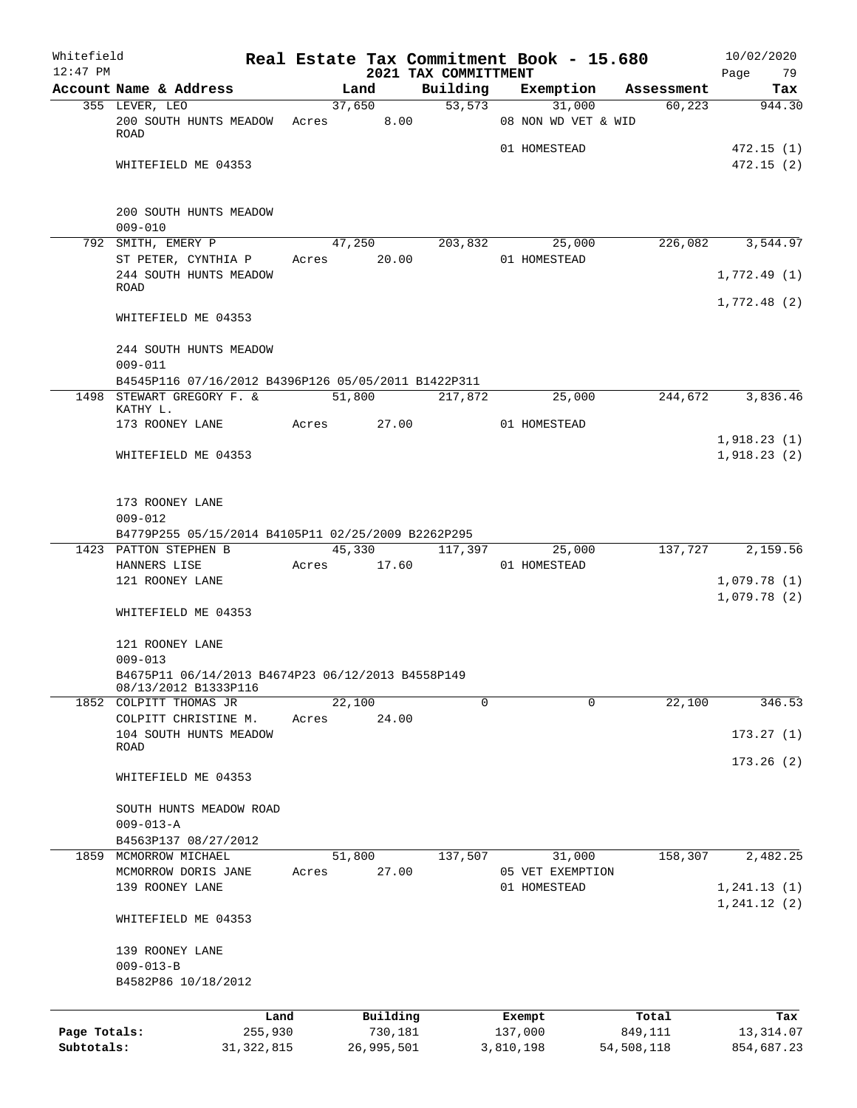| Whitefield   |                                                                  |       |             |          | Real Estate Tax Commitment Book - 15.680 |                     |          |            | 10/02/2020       |
|--------------|------------------------------------------------------------------|-------|-------------|----------|------------------------------------------|---------------------|----------|------------|------------------|
| $12:47$ PM   | Account Name & Address                                           |       | Land        |          | 2021 TAX COMMITTMENT                     | Building Exemption  |          | Assessment | Page 79<br>Tax   |
|              | 355 LEVER, LEO                                                   |       | 37,650      |          |                                          | 53, 573             | 31,000   | 60,223     | 944.30           |
|              | 200 SOUTH HUNTS MEADOW Acres 8.00                                |       |             |          |                                          | 08 NON WD VET & WID |          |            |                  |
|              | <b>ROAD</b>                                                      |       |             |          |                                          |                     |          |            |                  |
|              |                                                                  |       |             |          |                                          | 01 HOMESTEAD        |          |            | 472.15(1)        |
|              | WHITEFIELD ME 04353                                              |       |             |          |                                          |                     |          |            | 472.15(2)        |
|              |                                                                  |       |             |          |                                          |                     |          |            |                  |
|              |                                                                  |       |             |          |                                          |                     |          |            |                  |
|              | 200 SOUTH HUNTS MEADOW                                           |       |             |          |                                          |                     |          |            |                  |
|              | $009 - 010$                                                      |       |             |          |                                          |                     |          |            |                  |
|              | 792 SMITH, EMERY P                                               |       |             |          | 47,250 203,832 25,000                    |                     |          |            | 226,082 3,544.97 |
|              | ST PETER, CYNTHIA P<br>244 SOUTH HUNTS MEADOW                    |       | Acres 20.00 |          |                                          | 01 HOMESTEAD        |          |            | 1,772.49(1)      |
|              | ROAD                                                             |       |             |          |                                          |                     |          |            |                  |
|              |                                                                  |       |             |          |                                          |                     |          |            | 1,772.48(2)      |
|              | WHITEFIELD ME 04353                                              |       |             |          |                                          |                     |          |            |                  |
|              |                                                                  |       |             |          |                                          |                     |          |            |                  |
|              | 244 SOUTH HUNTS MEADOW                                           |       |             |          |                                          |                     |          |            |                  |
|              | $009 - 011$                                                      |       |             |          |                                          |                     |          |            |                  |
|              | B4545P116 07/16/2012 B4396P126 05/05/2011 B1422P311              |       |             |          |                                          |                     |          |            |                  |
|              | 1498 STEWART GREGORY F. &                                        |       | 51,800      |          | 217,872                                  |                     | 25,000   |            | 244,672 3,836.46 |
|              | KATHY L.<br>173 ROONEY LANE                                      |       | Acres 27.00 |          |                                          | 01 HOMESTEAD        |          |            |                  |
|              |                                                                  |       |             |          |                                          |                     |          |            | 1,918.23(1)      |
|              | WHITEFIELD ME 04353                                              |       |             |          |                                          |                     |          |            | 1,918.23(2)      |
|              |                                                                  |       |             |          |                                          |                     |          |            |                  |
|              |                                                                  |       |             |          |                                          |                     |          |            |                  |
|              | 173 ROONEY LANE                                                  |       |             |          |                                          |                     |          |            |                  |
|              | $009 - 012$                                                      |       |             |          |                                          |                     |          |            |                  |
|              | B4779P255 05/15/2014 B4105P11 02/25/2009 B2262P295               |       |             |          |                                          |                     |          |            |                  |
|              | 1423 PATTON STEPHEN B                                            |       |             |          | 45,330 117,397                           |                     | 25,000   | 137,727    | 2,159.56         |
|              | HANNERS LISE                                                     |       | Acres 17.60 |          |                                          | 01 HOMESTEAD        |          |            |                  |
|              | 121 ROONEY LANE                                                  |       |             |          |                                          |                     |          |            | 1,079.78(1)      |
|              |                                                                  |       |             |          |                                          |                     |          |            | 1,079.78(2)      |
|              | WHITEFIELD ME 04353                                              |       |             |          |                                          |                     |          |            |                  |
|              |                                                                  |       |             |          |                                          |                     |          |            |                  |
|              | 121 ROONEY LANE                                                  |       |             |          |                                          |                     |          |            |                  |
|              | $009 - 013$<br>B4675P11 06/14/2013 B4674P23 06/12/2013 B4558P149 |       |             |          |                                          |                     |          |            |                  |
|              | 08/13/2012 B1333P116                                             |       |             |          |                                          |                     |          |            |                  |
|              | 1852 COLPITT THOMAS JR                                           |       | 22,100      |          | 0                                        |                     | $\Omega$ | 22,100     | 346.53           |
|              | COLPITT CHRISTINE M.                                             | Acres |             | 24.00    |                                          |                     |          |            |                  |
|              | 104 SOUTH HUNTS MEADOW                                           |       |             |          |                                          |                     |          |            | 173.27(1)        |
|              | ROAD                                                             |       |             |          |                                          |                     |          |            |                  |
|              |                                                                  |       |             |          |                                          |                     |          |            | 173.26(2)        |
|              | WHITEFIELD ME 04353                                              |       |             |          |                                          |                     |          |            |                  |
|              |                                                                  |       |             |          |                                          |                     |          |            |                  |
|              | SOUTH HUNTS MEADOW ROAD<br>$009 - 013 - A$                       |       |             |          |                                          |                     |          |            |                  |
|              | B4563P137 08/27/2012                                             |       |             |          |                                          |                     |          |            |                  |
|              | 1859 MCMORROW MICHAEL                                            |       | 51,800      |          | 137,507                                  |                     | 31,000   | 158,307    | 2,482.25         |
|              | MCMORROW DORIS JANE                                              | Acres |             | 27.00    |                                          | 05 VET EXEMPTION    |          |            |                  |
|              | 139 ROONEY LANE                                                  |       |             |          |                                          | 01 HOMESTEAD        |          |            | 1, 241.13(1)     |
|              |                                                                  |       |             |          |                                          |                     |          |            | 1, 241.12(2)     |
|              | WHITEFIELD ME 04353                                              |       |             |          |                                          |                     |          |            |                  |
|              |                                                                  |       |             |          |                                          |                     |          |            |                  |
|              | 139 ROONEY LANE                                                  |       |             |          |                                          |                     |          |            |                  |
|              | $009 - 013 - B$                                                  |       |             |          |                                          |                     |          |            |                  |
|              | B4582P86 10/18/2012                                              |       |             |          |                                          |                     |          |            |                  |
|              |                                                                  |       |             |          |                                          |                     |          |            |                  |
|              |                                                                  | Land  |             | Building |                                          | Exempt              |          | Total      | Tax              |
| Page Totals: | 255,930                                                          |       |             | 730,181  |                                          | 137,000             |          | 849,111    | 13,314.07        |
| Subtotals:   | 31, 322, 815                                                     |       | 26,995,501  |          |                                          | 3,810,198           |          | 54,508,118 | 854,687.23       |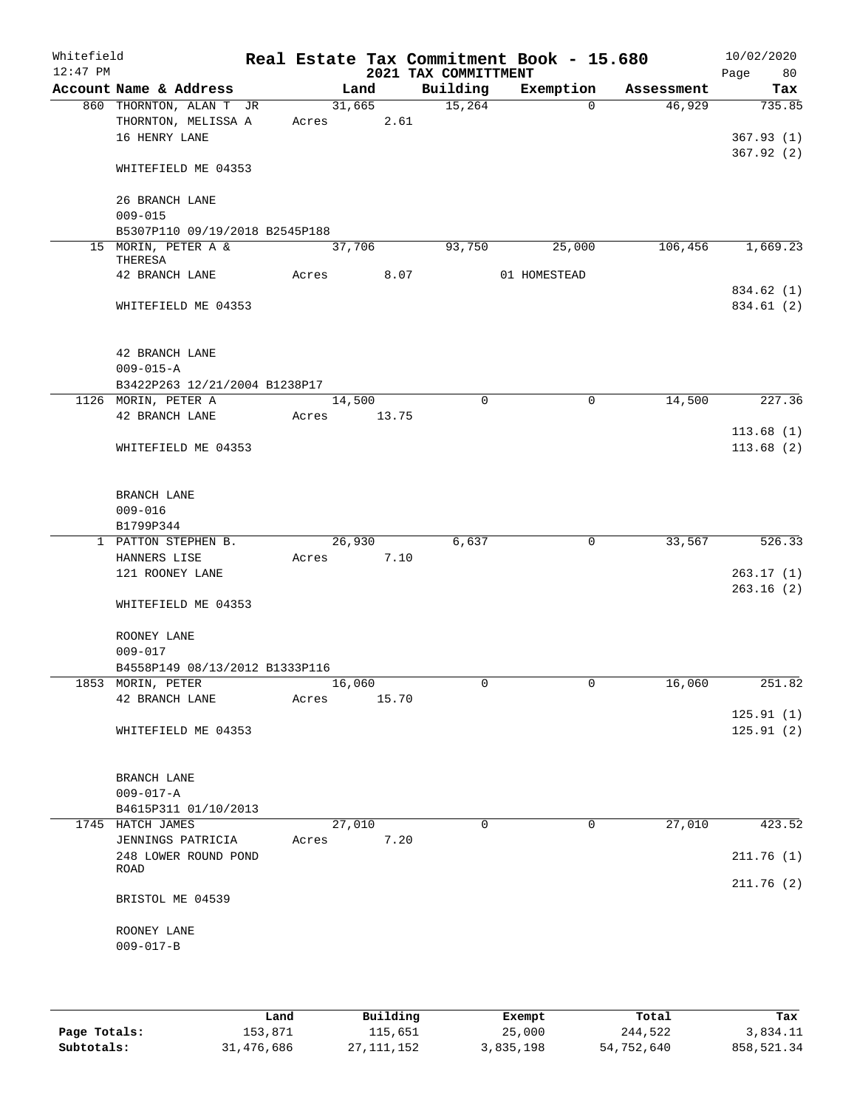| Whitefield<br>$12:47$ PM |                                                     |       |        |       | 2021 TAX COMMITTMENT | Real Estate Tax Commitment Book - 15.680 |            | 10/02/2020<br>Page<br>80 |
|--------------------------|-----------------------------------------------------|-------|--------|-------|----------------------|------------------------------------------|------------|--------------------------|
|                          | Account Name & Address                              |       | Land   |       | Building             | Exemption                                | Assessment | Tax                      |
|                          | 860 THORNTON, ALAN T JR                             |       | 31,665 |       | 15,264               | $\Omega$                                 | 46,929     | 735.85                   |
|                          | THORNTON, MELISSA A                                 | Acres |        | 2.61  |                      |                                          |            |                          |
|                          | 16 HENRY LANE                                       |       |        |       |                      |                                          |            | 367.93(1)                |
|                          | WHITEFIELD ME 04353                                 |       |        |       |                      |                                          |            | 367.92(2)                |
|                          | 26 BRANCH LANE<br>$009 - 015$                       |       |        |       |                      |                                          |            |                          |
|                          | B5307P110 09/19/2018 B2545P188                      |       |        |       |                      |                                          |            |                          |
|                          | 15 MORIN, PETER A &<br>THERESA                      |       | 37,706 |       | 93,750               | 25,000                                   | 106,456    | 1,669.23                 |
|                          | 42 BRANCH LANE                                      | Acres |        | 8.07  |                      | 01 HOMESTEAD                             |            |                          |
|                          |                                                     |       |        |       |                      |                                          |            | 834.62 (1)               |
|                          | WHITEFIELD ME 04353                                 |       |        |       |                      |                                          |            | 834.61 (2)               |
|                          | 42 BRANCH LANE                                      |       |        |       |                      |                                          |            |                          |
|                          | $009 - 015 - A$                                     |       |        |       |                      |                                          |            |                          |
|                          | B3422P263 12/21/2004 B1238P17                       |       |        |       |                      |                                          |            |                          |
|                          | 1126 MORIN, PETER A                                 |       | 14,500 |       | $\mathbf 0$          | $\mathbf 0$                              | 14,500     | 227.36                   |
|                          | 42 BRANCH LANE                                      | Acres |        | 13.75 |                      |                                          |            | 113.68(1)                |
|                          | WHITEFIELD ME 04353                                 |       |        |       |                      |                                          |            | 113.68(2)                |
|                          | BRANCH LANE                                         |       |        |       |                      |                                          |            |                          |
|                          | $009 - 016$                                         |       |        |       |                      |                                          |            |                          |
|                          | B1799P344                                           |       |        |       |                      |                                          |            |                          |
|                          | 1 PATTON STEPHEN B.                                 |       | 26,930 |       | 6,637                | 0                                        | 33,567     | 526.33                   |
|                          | HANNERS LISE                                        | Acres |        | 7.10  |                      |                                          |            |                          |
|                          | 121 ROONEY LANE                                     |       |        |       |                      |                                          |            | 263.17(1)                |
|                          | WHITEFIELD ME 04353                                 |       |        |       |                      |                                          |            | 263.16(2)                |
|                          | ROONEY LANE                                         |       |        |       |                      |                                          |            |                          |
|                          | $009 - 017$                                         |       |        |       |                      |                                          |            |                          |
|                          | B4558P149 08/13/2012 B1333P116<br>1853 MORIN, PETER |       | 16,060 |       | 0                    | 0                                        | 16,060     | 251.82                   |
|                          | 42 BRANCH LANE                                      | Acres |        | 15.70 |                      |                                          |            |                          |
|                          |                                                     |       |        |       |                      |                                          |            | 125.91(1)                |
|                          | WHITEFIELD ME 04353                                 |       |        |       |                      |                                          |            | 125.91(2)                |
|                          | BRANCH LANE                                         |       |        |       |                      |                                          |            |                          |
|                          | $009 - 017 - A$                                     |       |        |       |                      |                                          |            |                          |
|                          | B4615P311 01/10/2013                                |       |        |       |                      |                                          |            |                          |
|                          | 1745 HATCH JAMES                                    |       | 27,010 | 7.20  | $\Omega$             | 0                                        | 27,010     | 423.52                   |
|                          | JENNINGS PATRICIA<br>248 LOWER ROUND POND           | Acres |        |       |                      |                                          |            | 211.76(1)                |
|                          | <b>ROAD</b>                                         |       |        |       |                      |                                          |            | 211.76(2)                |
|                          | BRISTOL ME 04539                                    |       |        |       |                      |                                          |            |                          |
|                          | ROONEY LANE                                         |       |        |       |                      |                                          |            |                          |
|                          | $009 - 017 - B$                                     |       |        |       |                      |                                          |            |                          |
|                          |                                                     |       |        |       |                      |                                          |            |                          |
|                          |                                                     |       |        |       |                      |                                          |            |                          |

|              | Land       | Building   | Exempt    | Total      | Tax        |
|--------------|------------|------------|-----------|------------|------------|
| Page Totals: | 153,871    | 115,651    | 25,000    | 244,522    | 3,834.11   |
| Subtotals:   | 31,476,686 | 27,111,152 | 3,835,198 | 54,752,640 | 858,521.34 |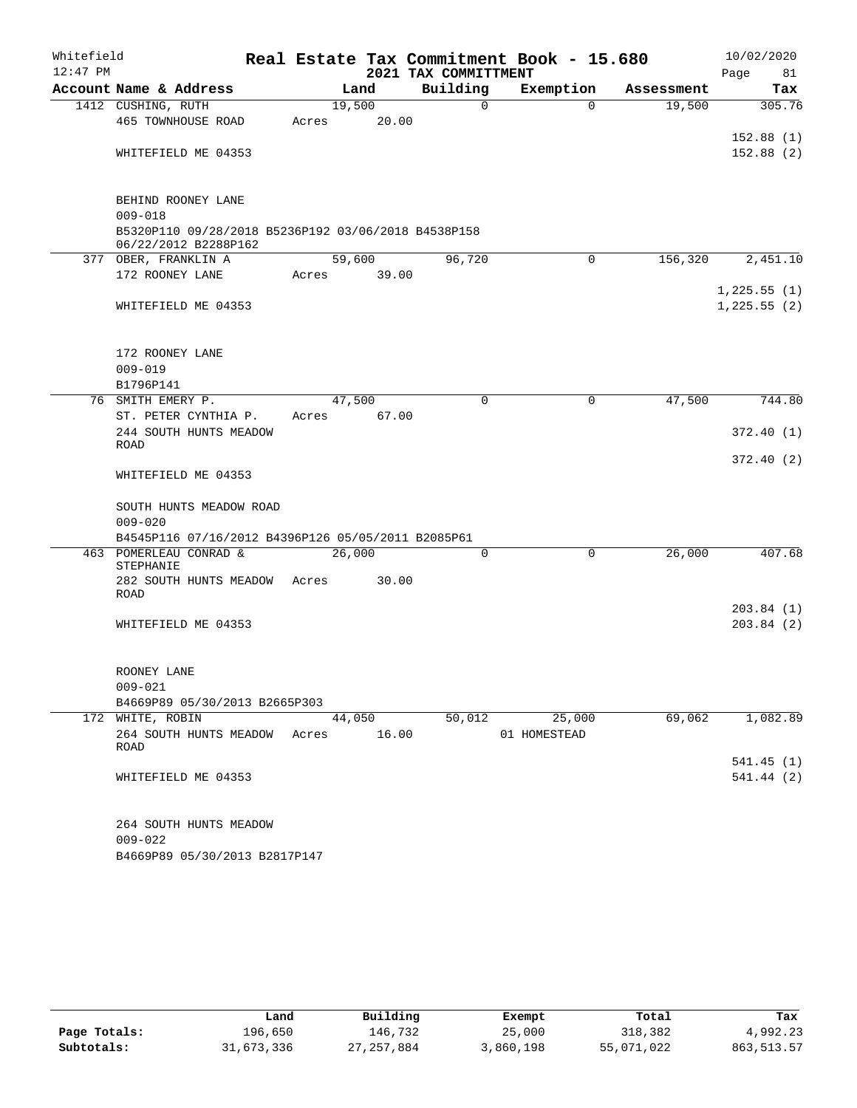| Whitefield |                                                                             |       |        |        |                      | Real Estate Tax Commitment Book - 15.680 |            |      | 10/02/2020   |
|------------|-----------------------------------------------------------------------------|-------|--------|--------|----------------------|------------------------------------------|------------|------|--------------|
| $12:47$ PM |                                                                             |       |        |        | 2021 TAX COMMITTMENT |                                          |            | Page | 81           |
|            | Account Name & Address                                                      |       | Land   |        | Building             | Exemption                                | Assessment |      | Tax          |
|            | 1412 CUSHING, RUTH                                                          |       | 19,500 |        | 0                    | $\Omega$                                 | 19,500     |      | 305.76       |
|            | 465 TOWNHOUSE ROAD                                                          | Acres |        | 20.00  |                      |                                          |            |      | 152.88(1)    |
|            | WHITEFIELD ME 04353                                                         |       |        |        |                      |                                          |            |      | 152.88(2)    |
|            |                                                                             |       |        |        |                      |                                          |            |      |              |
|            | BEHIND ROONEY LANE<br>$009 - 018$                                           |       |        |        |                      |                                          |            |      |              |
|            | B5320P110 09/28/2018 B5236P192 03/06/2018 B4538P158<br>06/22/2012 B2288P162 |       |        |        |                      |                                          |            |      |              |
|            | 377 OBER, FRANKLIN A                                                        |       |        | 59,600 | 96,720               | $\mathbf 0$                              | 156,320    |      | 2,451.10     |
|            | 172 ROONEY LANE                                                             | Acres |        | 39.00  |                      |                                          |            |      |              |
|            |                                                                             |       |        |        |                      |                                          |            |      | 1,225.55(1)  |
|            | WHITEFIELD ME 04353                                                         |       |        |        |                      |                                          |            |      | 1, 225.55(2) |
|            | 172 ROONEY LANE                                                             |       |        |        |                      |                                          |            |      |              |
|            | $009 - 019$                                                                 |       |        |        |                      |                                          |            |      |              |
|            | B1796P141                                                                   |       |        |        |                      |                                          |            |      |              |
|            | 76 SMITH EMERY P.                                                           |       | 47,500 |        | $\mathbf 0$          | $\mathbf 0$                              | 47,500     |      | 744.80       |
|            | ST. PETER CYNTHIA P.                                                        | Acres |        | 67.00  |                      |                                          |            |      |              |
|            | 244 SOUTH HUNTS MEADOW                                                      |       |        |        |                      |                                          |            |      | 372.40(1)    |
|            | <b>ROAD</b>                                                                 |       |        |        |                      |                                          |            |      |              |
|            | WHITEFIELD ME 04353                                                         |       |        |        |                      |                                          |            |      | 372.40(2)    |
|            | SOUTH HUNTS MEADOW ROAD                                                     |       |        |        |                      |                                          |            |      |              |
|            | $009 - 020$                                                                 |       |        |        |                      |                                          |            |      |              |
|            | B4545P116 07/16/2012 B4396P126 05/05/2011 B2085P61                          |       |        |        |                      |                                          |            |      |              |
|            | 463 POMERLEAU CONRAD &                                                      |       | 26,000 |        | $\mathbf 0$          | $\mathbf 0$                              | 26,000     |      | 407.68       |
|            | STEPHANIE<br>282 SOUTH HUNTS MEADOW                                         | Acres |        | 30.00  |                      |                                          |            |      |              |
|            | <b>ROAD</b>                                                                 |       |        |        |                      |                                          |            |      |              |
|            |                                                                             |       |        |        |                      |                                          |            |      | 203.84(1)    |
|            | WHITEFIELD ME 04353                                                         |       |        |        |                      |                                          |            |      | 203.84(2)    |
|            |                                                                             |       |        |        |                      |                                          |            |      |              |
|            | ROONEY LANE                                                                 |       |        |        |                      |                                          |            |      |              |
|            | $009 - 021$                                                                 |       |        |        |                      |                                          |            |      |              |
|            | B4669P89 05/30/2013 B2665P303                                               |       |        |        |                      |                                          |            |      |              |
|            | 172 WHITE, ROBIN                                                            |       |        | 44,050 | 50,012               | 25,000                                   | 69,062     |      | 1,082.89     |
|            | 264 SOUTH HUNTS MEADOW                                                      | Acres |        | 16.00  |                      | 01 HOMESTEAD                             |            |      |              |
|            | ROAD                                                                        |       |        |        |                      |                                          |            |      | 541.45 (1)   |
|            | WHITEFIELD ME 04353                                                         |       |        |        |                      |                                          |            |      | 541.44 (2)   |
|            |                                                                             |       |        |        |                      |                                          |            |      |              |
|            | 264 SOUTH HUNTS MEADOW                                                      |       |        |        |                      |                                          |            |      |              |
|            | $009 - 022$                                                                 |       |        |        |                      |                                          |            |      |              |
|            | B4669P89 05/30/2013 B2817P147                                               |       |        |        |                      |                                          |            |      |              |

|              | Land       | Building   | Exempt    | Total      | Tax         |
|--------------|------------|------------|-----------|------------|-------------|
| Page Totals: | 196,650    | 146.732    | 25,000    | 318,382    | 4,992.23    |
| Subtotals:   | 31,673,336 | 27,257,884 | 3,860,198 | 55,071,022 | 863, 513.57 |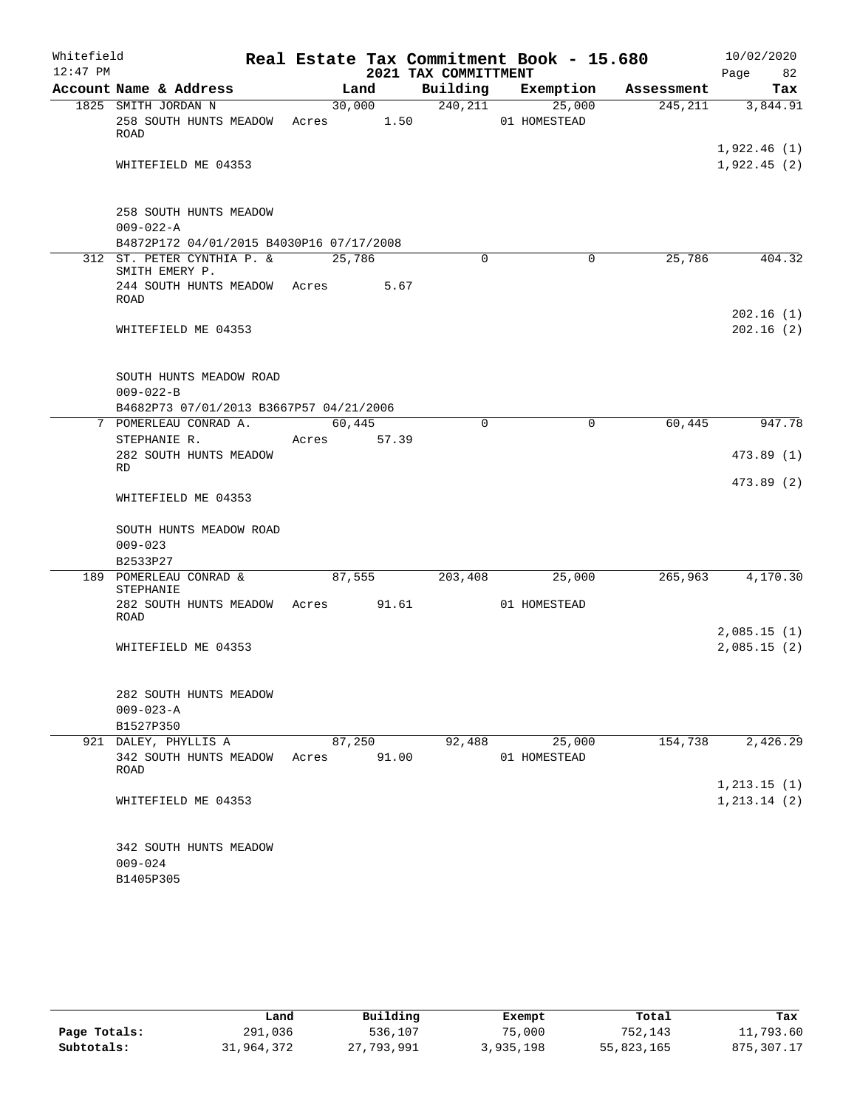| Whitefield<br>$12:47$ PM |                                                                              |                 |        | 2021 TAX COMMITTMENT | Real Estate Tax Commitment Book - 15.680 |            | 10/02/2020<br>Page<br>82   |
|--------------------------|------------------------------------------------------------------------------|-----------------|--------|----------------------|------------------------------------------|------------|----------------------------|
|                          | Account Name & Address                                                       |                 | Land   | Building             | Exemption                                | Assessment | Tax                        |
|                          | 1825 SMITH JORDAN N                                                          |                 | 30,000 | 240, 211             | 25,000                                   | 245,211    | 3,844.91                   |
|                          | 258 SOUTH HUNTS MEADOW<br>ROAD                                               | Acres           | 1.50   |                      | 01 HOMESTEAD                             |            |                            |
|                          | WHITEFIELD ME 04353                                                          |                 |        |                      |                                          |            | 1,922.46(1)<br>1,922.45(2) |
|                          |                                                                              |                 |        |                      |                                          |            |                            |
|                          | 258 SOUTH HUNTS MEADOW<br>$009 - 022 - A$                                    |                 |        |                      |                                          |            |                            |
|                          | B4872P172 04/01/2015 B4030P16 07/17/2008                                     |                 |        |                      |                                          |            |                            |
|                          | 312 ST. PETER CYNTHIA P. &<br>SMITH EMERY P.<br>244 SOUTH HUNTS MEADOW Acres | 25,786          | 5.67   | 0                    | $\mathbf 0$                              | 25,786     | 404.32                     |
|                          | ROAD                                                                         |                 |        |                      |                                          |            | 202.16(1)                  |
|                          | WHITEFIELD ME 04353                                                          |                 |        |                      |                                          |            | 202.16(2)                  |
|                          | SOUTH HUNTS MEADOW ROAD<br>$009 - 022 - B$                                   |                 |        |                      |                                          |            |                            |
|                          | B4682P73 07/01/2013 B3667P57 04/21/2006                                      |                 |        |                      |                                          |            |                            |
|                          | 7 POMERLEAU CONRAD A.                                                        | 60,445          |        | $\mathbf 0$          | 0                                        | 60,445     | 947.78                     |
|                          | STEPHANIE R.<br>282 SOUTH HUNTS MEADOW                                       | Acres           | 57.39  |                      |                                          |            | 473.89 (1)                 |
|                          | RD                                                                           |                 |        |                      |                                          |            | 473.89 (2)                 |
|                          | WHITEFIELD ME 04353                                                          |                 |        |                      |                                          |            |                            |
|                          | SOUTH HUNTS MEADOW ROAD<br>$009 - 023$                                       |                 |        |                      |                                          |            |                            |
|                          | B2533P27                                                                     |                 |        |                      |                                          |            |                            |
|                          | 189 POMERLEAU CONRAD &<br>STEPHANIE                                          | 87,555          |        | 203,408              | 25,000                                   | 265,963    | 4,170.30                   |
|                          | 282 SOUTH HUNTS MEADOW Acres<br>ROAD                                         |                 | 91.61  |                      | 01 HOMESTEAD                             |            |                            |
|                          | WHITEFIELD ME 04353                                                          |                 |        |                      |                                          |            | 2,085.15(1)<br>2,085.15(2) |
|                          | 282 SOUTH HUNTS MEADOW                                                       |                 |        |                      |                                          |            |                            |
|                          | $009 - 023 - A$                                                              |                 |        |                      |                                          |            |                            |
|                          | B1527P350                                                                    |                 |        |                      |                                          |            |                            |
|                          | 921 DALEY, PHYLLIS A<br>342 SOUTH HUNTS MEADOW<br>ROAD                       | 87,250<br>Acres | 91.00  | 92,488               | 25,000<br>01 HOMESTEAD                   | 154,738    | 2,426.29                   |
|                          |                                                                              |                 |        |                      |                                          |            | 1, 213.15(1)               |
|                          | WHITEFIELD ME 04353                                                          |                 |        |                      |                                          |            | 1, 213.14(2)               |
|                          | 342 SOUTH HUNTS MEADOW<br>$009 - 024$<br>B1405P305                           |                 |        |                      |                                          |            |                            |

|              | Land       | Building   | Exempt    | Total      | Tax         |
|--------------|------------|------------|-----------|------------|-------------|
| Page Totals: | 291,036    | 536,107    | 75,000    | 752,143    | 11,793.60   |
| Subtotals:   | 31,964,372 | 27,793,991 | 3,935,198 | 55,823,165 | 875, 307.17 |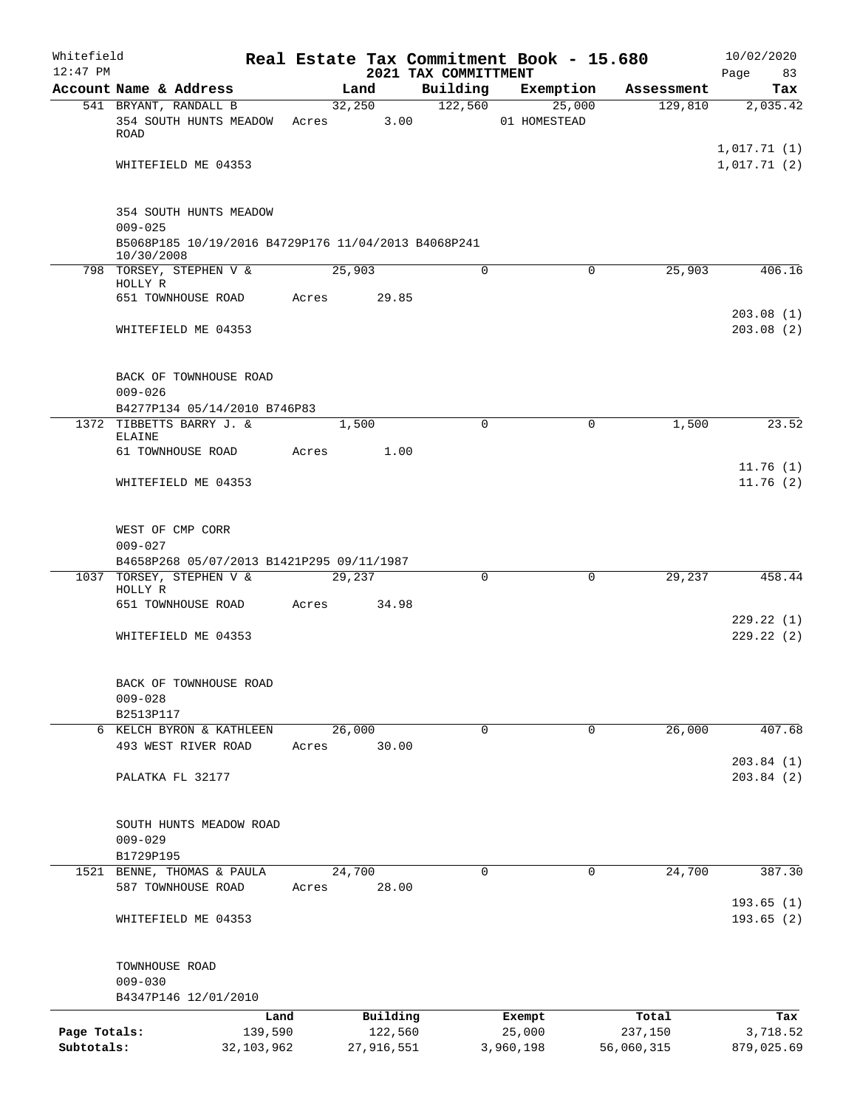| Whitefield   |                                                                   |                 |       |        |                     |                                  | Real Estate Tax Commitment Book - 15.680 |             |                  | 10/02/2020                 |
|--------------|-------------------------------------------------------------------|-----------------|-------|--------|---------------------|----------------------------------|------------------------------------------|-------------|------------------|----------------------------|
| $12:47$ PM   | Account Name & Address                                            |                 |       | Land   |                     | 2021 TAX COMMITTMENT<br>Building | Exemption                                |             | Assessment       | 83<br>Page<br>Tax          |
|              | 541 BRYANT, RANDALL B                                             |                 |       | 32,250 |                     | 122,560                          |                                          | 25,000      | 129,810          | 2,035.42                   |
|              | 354 SOUTH HUNTS MEADOW<br><b>ROAD</b>                             |                 | Acres |        | 3.00                |                                  | 01 HOMESTEAD                             |             |                  |                            |
|              | WHITEFIELD ME 04353                                               |                 |       |        |                     |                                  |                                          |             |                  | 1,017.71(1)<br>1,017.71(2) |
|              | 354 SOUTH HUNTS MEADOW<br>$009 - 025$                             |                 |       |        |                     |                                  |                                          |             |                  |                            |
|              | B5068P185 10/19/2016 B4729P176 11/04/2013 B4068P241<br>10/30/2008 |                 |       |        |                     |                                  |                                          |             |                  |                            |
|              | 798 TORSEY, STEPHEN V &<br>HOLLY R                                |                 |       | 25,903 |                     | 0                                |                                          | 0           | 25,903           | 406.16                     |
|              | 651 TOWNHOUSE ROAD                                                |                 | Acres |        | 29.85               |                                  |                                          |             |                  | 203.08(1)                  |
|              | WHITEFIELD ME 04353                                               |                 |       |        |                     |                                  |                                          |             |                  | 203.08(2)                  |
|              | BACK OF TOWNHOUSE ROAD<br>$009 - 026$                             |                 |       |        |                     |                                  |                                          |             |                  |                            |
|              | B4277P134 05/14/2010 B746P83                                      |                 |       |        |                     |                                  |                                          |             |                  |                            |
|              | 1372 TIBBETTS BARRY J. &<br>ELAINE                                |                 |       | 1,500  |                     | $\Omega$                         |                                          | $\mathbf 0$ | 1,500            | 23.52                      |
|              | 61 TOWNHOUSE ROAD                                                 |                 | Acres |        | 1.00                |                                  |                                          |             |                  | 11.76(1)                   |
|              | WHITEFIELD ME 04353                                               |                 |       |        |                     |                                  |                                          |             |                  | 11.76(2)                   |
|              | WEST OF CMP CORR<br>$009 - 027$                                   |                 |       |        |                     |                                  |                                          |             |                  |                            |
|              | B4658P268 05/07/2013 B1421P295 09/11/1987                         |                 |       |        |                     |                                  |                                          |             |                  |                            |
|              | 1037 TORSEY, STEPHEN V &<br>HOLLY R                               |                 |       | 29,237 |                     | 0                                |                                          | $\Omega$    | 29,237           | 458.44                     |
|              | 651 TOWNHOUSE ROAD                                                |                 | Acres |        | 34.98               |                                  |                                          |             |                  | 229.22(1)                  |
|              | WHITEFIELD ME 04353                                               |                 |       |        |                     |                                  |                                          |             |                  | 229.22(2)                  |
|              | BACK OF TOWNHOUSE ROAD<br>$009 - 028$                             |                 |       |        |                     |                                  |                                          |             |                  |                            |
|              | B2513P117                                                         |                 |       |        |                     |                                  |                                          |             |                  |                            |
|              | 6 KELCH BYRON & KATHLEEN<br>493 WEST RIVER ROAD                   |                 | Acres | 26,000 | 30.00               | $\mathbf 0$                      |                                          | 0           | 26,000           | 407.68                     |
|              | PALATKA FL 32177                                                  |                 |       |        |                     |                                  |                                          |             |                  | 203.84(1)<br>203.84(2)     |
|              | SOUTH HUNTS MEADOW ROAD<br>$009 - 029$                            |                 |       |        |                     |                                  |                                          |             |                  |                            |
|              | B1729P195                                                         |                 |       | 24,700 |                     | 0                                |                                          | 0           | 24,700           | 387.30                     |
|              | 1521 BENNE, THOMAS & PAULA<br>587 TOWNHOUSE ROAD                  |                 | Acres |        | 28.00               |                                  |                                          |             |                  |                            |
|              | WHITEFIELD ME 04353                                               |                 |       |        |                     |                                  |                                          |             |                  | 193.65(1)<br>193.65(2)     |
|              | TOWNHOUSE ROAD<br>$009 - 030$                                     |                 |       |        |                     |                                  |                                          |             |                  |                            |
|              | B4347P146 12/01/2010                                              |                 |       |        |                     |                                  |                                          |             |                  |                            |
| Page Totals: |                                                                   | Land<br>139,590 |       |        | Building<br>122,560 |                                  | Exempt<br>25,000                         |             | Total<br>237,150 | Tax<br>3,718.52            |
| Subtotals:   |                                                                   | 32, 103, 962    |       |        | 27,916,551          |                                  | 3,960,198                                |             | 56,060,315       | 879,025.69                 |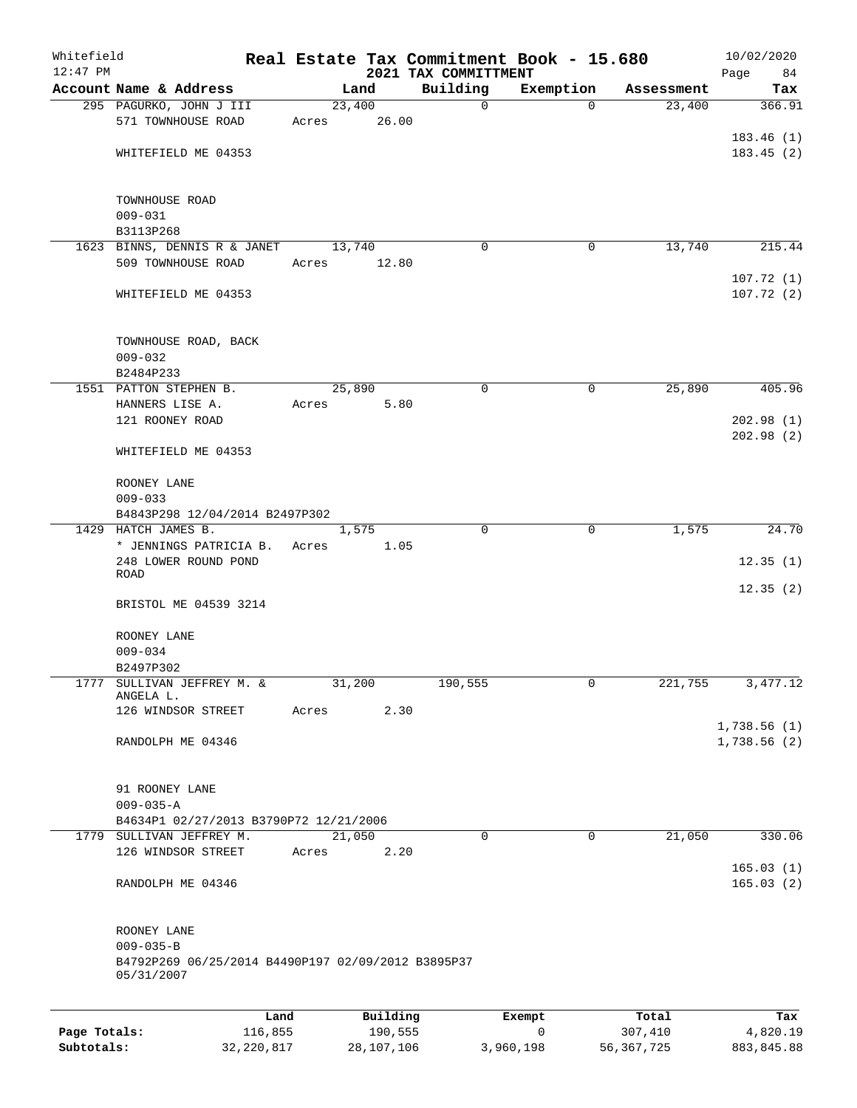| Whitefield<br>$12:47$ PM |                                                                  |       |          |       | 2021 TAX COMMITTMENT | Real Estate Tax Commitment Book - 15.680 |            | 10/02/2020<br>Page<br>84 |
|--------------------------|------------------------------------------------------------------|-------|----------|-------|----------------------|------------------------------------------|------------|--------------------------|
|                          | Account Name & Address                                           |       | Land     |       | Building             | Exemption                                | Assessment | Tax                      |
|                          | 295 PAGURKO, JOHN J III                                          |       | 23,400   |       | $\mathbf 0$          | 0                                        | 23,400     | 366.91                   |
|                          | 571 TOWNHOUSE ROAD                                               | Acres |          | 26.00 |                      |                                          |            |                          |
|                          |                                                                  |       |          |       |                      |                                          |            | 183.46(1)                |
|                          | WHITEFIELD ME 04353                                              |       |          |       |                      |                                          |            | 183.45(2)                |
|                          |                                                                  |       |          |       |                      |                                          |            |                          |
|                          |                                                                  |       |          |       |                      |                                          |            |                          |
|                          | TOWNHOUSE ROAD                                                   |       |          |       |                      |                                          |            |                          |
|                          | $009 - 031$                                                      |       |          |       |                      |                                          |            |                          |
|                          | B3113P268                                                        |       |          |       |                      |                                          | 13,740     |                          |
|                          | 1623 BINNS, DENNIS R & JANET<br>509 TOWNHOUSE ROAD               | Acres | 13,740   | 12.80 | $\Omega$             | 0                                        |            | 215.44                   |
|                          |                                                                  |       |          |       |                      |                                          |            | 107.72(1)                |
|                          | WHITEFIELD ME 04353                                              |       |          |       |                      |                                          |            | 107.72(2)                |
|                          |                                                                  |       |          |       |                      |                                          |            |                          |
|                          |                                                                  |       |          |       |                      |                                          |            |                          |
|                          | TOWNHOUSE ROAD, BACK                                             |       |          |       |                      |                                          |            |                          |
|                          | $009 - 032$                                                      |       |          |       |                      |                                          |            |                          |
|                          | B2484P233                                                        |       |          |       |                      |                                          |            |                          |
|                          | 1551 PATTON STEPHEN B.                                           |       | 25,890   |       | $\mathbf 0$          | $\mathbf 0$                              | 25,890     | 405.96                   |
|                          | HANNERS LISE A.                                                  | Acres |          | 5.80  |                      |                                          |            |                          |
|                          | 121 ROONEY ROAD                                                  |       |          |       |                      |                                          |            | 202.98(1)                |
|                          |                                                                  |       |          |       |                      |                                          |            | 202.98(2)                |
|                          | WHITEFIELD ME 04353                                              |       |          |       |                      |                                          |            |                          |
|                          | ROONEY LANE                                                      |       |          |       |                      |                                          |            |                          |
|                          | $009 - 033$                                                      |       |          |       |                      |                                          |            |                          |
|                          | B4843P298 12/04/2014 B2497P302                                   |       |          |       |                      |                                          |            |                          |
|                          | 1429 HATCH JAMES B.                                              |       | 1,575    |       | $\Omega$             | $\Omega$                                 | 1,575      | 24.70                    |
|                          | * JENNINGS PATRICIA B.                                           | Acres |          | 1.05  |                      |                                          |            |                          |
|                          | 248 LOWER ROUND POND                                             |       |          |       |                      |                                          |            | 12.35(1)                 |
|                          | ROAD                                                             |       |          |       |                      |                                          |            |                          |
|                          |                                                                  |       |          |       |                      |                                          |            | 12.35(2)                 |
|                          | BRISTOL ME 04539 3214                                            |       |          |       |                      |                                          |            |                          |
|                          |                                                                  |       |          |       |                      |                                          |            |                          |
|                          | ROONEY LANE<br>$009 - 034$                                       |       |          |       |                      |                                          |            |                          |
|                          | B2497P302                                                        |       |          |       |                      |                                          |            |                          |
|                          | 1777 SULLIVAN JEFFREY M. &                                       |       | 31,200   |       | 190,555              | 0                                        | 221,755    | 3,477.12                 |
|                          | ANGELA L.                                                        |       |          |       |                      |                                          |            |                          |
|                          | 126 WINDSOR STREET                                               | Acres |          | 2.30  |                      |                                          |            |                          |
|                          |                                                                  |       |          |       |                      |                                          |            | 1,738.56(1)              |
|                          | RANDOLPH ME 04346                                                |       |          |       |                      |                                          |            | 1,738.56(2)              |
|                          |                                                                  |       |          |       |                      |                                          |            |                          |
|                          | 91 ROONEY LANE                                                   |       |          |       |                      |                                          |            |                          |
|                          | $009 - 035 - A$                                                  |       |          |       |                      |                                          |            |                          |
|                          | B4634P1 02/27/2013 B3790P72 12/21/2006                           |       |          |       |                      |                                          |            |                          |
|                          | 1779 SULLIVAN JEFFREY M.                                         |       | 21,050   |       | $\mathbf 0$          | $\mathbf 0$                              | 21,050     | 330.06                   |
|                          | 126 WINDSOR STREET                                               | Acres |          | 2.20  |                      |                                          |            |                          |
|                          |                                                                  |       |          |       |                      |                                          |            | 165.03(1)                |
|                          | RANDOLPH ME 04346                                                |       |          |       |                      |                                          |            | 165.03(2)                |
|                          |                                                                  |       |          |       |                      |                                          |            |                          |
|                          |                                                                  |       |          |       |                      |                                          |            |                          |
|                          | ROONEY LANE                                                      |       |          |       |                      |                                          |            |                          |
|                          | $009 - 035 - B$                                                  |       |          |       |                      |                                          |            |                          |
|                          | B4792P269 06/25/2014 B4490P197 02/09/2012 B3895P37<br>05/31/2007 |       |          |       |                      |                                          |            |                          |
|                          |                                                                  |       |          |       |                      |                                          |            |                          |
|                          |                                                                  |       |          |       |                      |                                          |            |                          |
|                          | Land                                                             |       | Building |       |                      | Exempt                                   | Total      | Tax                      |
| Page Totals:             | 116,855                                                          |       | 190,555  |       |                      | 0                                        | 307,410    | 4,820.19                 |

**Subtotals:** 32,220,817 28,107,106 3,960,198 56,367,725 883,845.88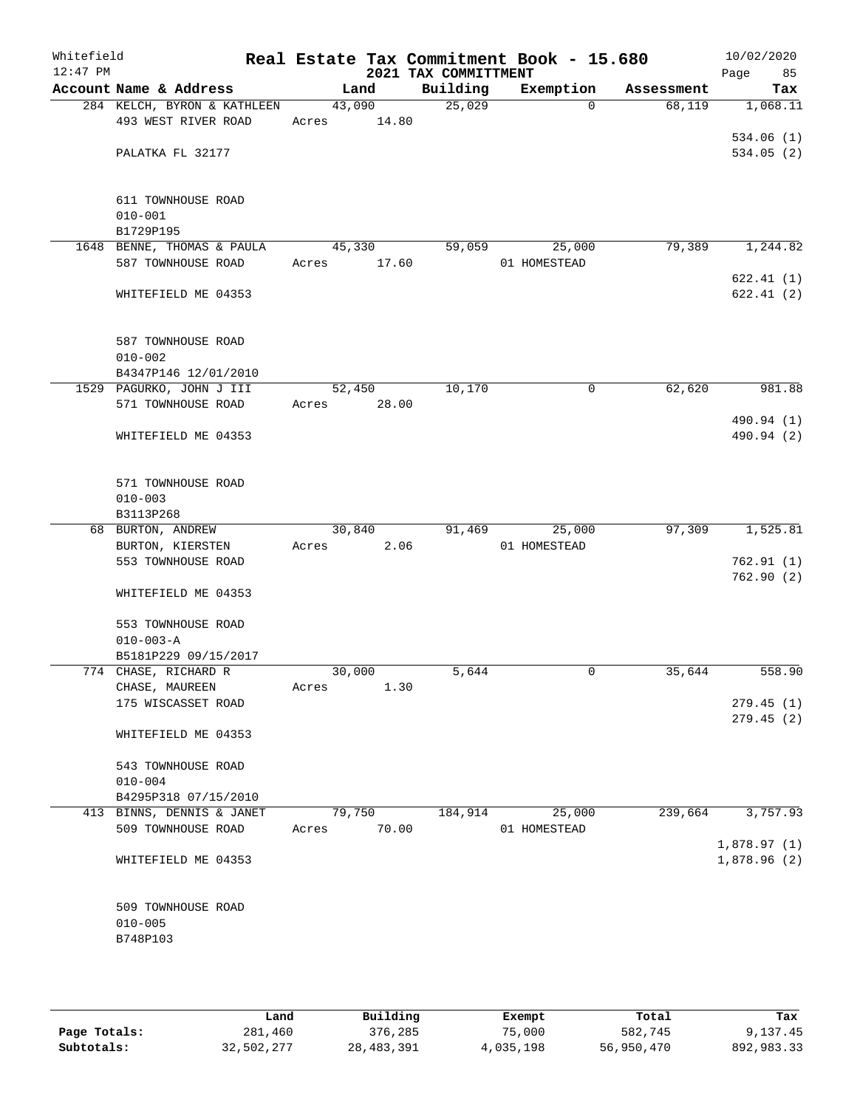| Whitefield<br>$12:47$ PM |                             |       |        | 2021 TAX COMMITTMENT | Real Estate Tax Commitment Book - 15.680 |            | 10/02/2020<br>Page<br>85   |
|--------------------------|-----------------------------|-------|--------|----------------------|------------------------------------------|------------|----------------------------|
|                          | Account Name & Address      |       | Land   | Building             | Exemption                                | Assessment | Tax                        |
|                          | 284 KELCH, BYRON & KATHLEEN |       | 43,090 | 25,029               | $\Omega$                                 | 68,119     | 1,068.11                   |
|                          | 493 WEST RIVER ROAD         | Acres | 14.80  |                      |                                          |            |                            |
|                          |                             |       |        |                      |                                          |            | 534.06(1)                  |
|                          | PALATKA FL 32177            |       |        |                      |                                          |            | 534.05(2)                  |
|                          | 611 TOWNHOUSE ROAD          |       |        |                      |                                          |            |                            |
|                          | $010 - 001$                 |       |        |                      |                                          |            |                            |
|                          | B1729P195                   |       |        |                      |                                          |            |                            |
|                          | 1648 BENNE, THOMAS & PAULA  |       | 45,330 | 59,059               | 25,000                                   | 79,389     | 1,244.82                   |
|                          | 587 TOWNHOUSE ROAD          | Acres | 17.60  |                      | 01 HOMESTEAD                             |            |                            |
|                          |                             |       |        |                      |                                          |            | 622.41(1)                  |
|                          | WHITEFIELD ME 04353         |       |        |                      |                                          |            | 622.41(2)                  |
|                          | 587 TOWNHOUSE ROAD          |       |        |                      |                                          |            |                            |
|                          | $010 - 002$                 |       |        |                      |                                          |            |                            |
|                          | B4347P146 12/01/2010        |       |        |                      |                                          |            |                            |
|                          | 1529 PAGURKO, JOHN J III    |       | 52,450 | 10,170               | 0                                        | 62,620     | 981.88                     |
|                          | 571 TOWNHOUSE ROAD          | Acres | 28.00  |                      |                                          |            |                            |
|                          |                             |       |        |                      |                                          |            | 490.94 (1)                 |
|                          | WHITEFIELD ME 04353         |       |        |                      |                                          |            | 490.94 (2)                 |
|                          | 571 TOWNHOUSE ROAD          |       |        |                      |                                          |            |                            |
|                          | $010 - 003$                 |       |        |                      |                                          |            |                            |
|                          | B3113P268                   |       |        |                      |                                          |            |                            |
|                          | 68 BURTON, ANDREW           |       | 30,840 | 91,469               | 25,000                                   | 97,309     | 1,525.81                   |
|                          | BURTON, KIERSTEN            | Acres | 2.06   |                      | 01 HOMESTEAD                             |            |                            |
|                          | 553 TOWNHOUSE ROAD          |       |        |                      |                                          |            | 762.91(1)                  |
|                          | WHITEFIELD ME 04353         |       |        |                      |                                          |            | 762.90(2)                  |
|                          | 553 TOWNHOUSE ROAD          |       |        |                      |                                          |            |                            |
|                          | $010 - 003 - A$             |       |        |                      |                                          |            |                            |
|                          | B5181P229 09/15/2017        |       |        |                      |                                          |            |                            |
|                          | 774 CHASE, RICHARD R        |       | 30,000 | 5,644                | $\mathbf 0$                              | 35,644     | 558.90                     |
|                          | CHASE, MAUREEN              | Acres | 1.30   |                      |                                          |            |                            |
|                          | 175 WISCASSET ROAD          |       |        |                      |                                          |            | 279.45(1)                  |
|                          | WHITEFIELD ME 04353         |       |        |                      |                                          |            | 279.45 (2)                 |
|                          | 543 TOWNHOUSE ROAD          |       |        |                      |                                          |            |                            |
|                          | $010 - 004$                 |       |        |                      |                                          |            |                            |
|                          | B4295P318 07/15/2010        |       |        |                      |                                          |            |                            |
|                          | 413 BINNS, DENNIS & JANET   |       | 79,750 | 184,914              | 25,000                                   | 239,664    | 3,757.93                   |
|                          | 509 TOWNHOUSE ROAD          | Acres | 70.00  |                      | 01 HOMESTEAD                             |            |                            |
|                          | WHITEFIELD ME 04353         |       |        |                      |                                          |            | 1,878.97(1)<br>1,878.96(2) |
|                          |                             |       |        |                      |                                          |            |                            |
|                          | 509 TOWNHOUSE ROAD          |       |        |                      |                                          |            |                            |
|                          | $010 - 005$                 |       |        |                      |                                          |            |                            |
|                          | B748P103                    |       |        |                      |                                          |            |                            |
|                          |                             |       |        |                      |                                          |            |                            |
|                          |                             |       |        |                      |                                          |            |                            |

|              | Land       | Building     | Exempt    | Total      | Tax        |
|--------------|------------|--------------|-----------|------------|------------|
| Page Totals: | 281,460    | 376,285      | 75,000    | 582,745    | 9,137.45   |
| Subtotals:   | 32,502,277 | 28, 483, 391 | 4,035,198 | 56,950,470 | 892,983.33 |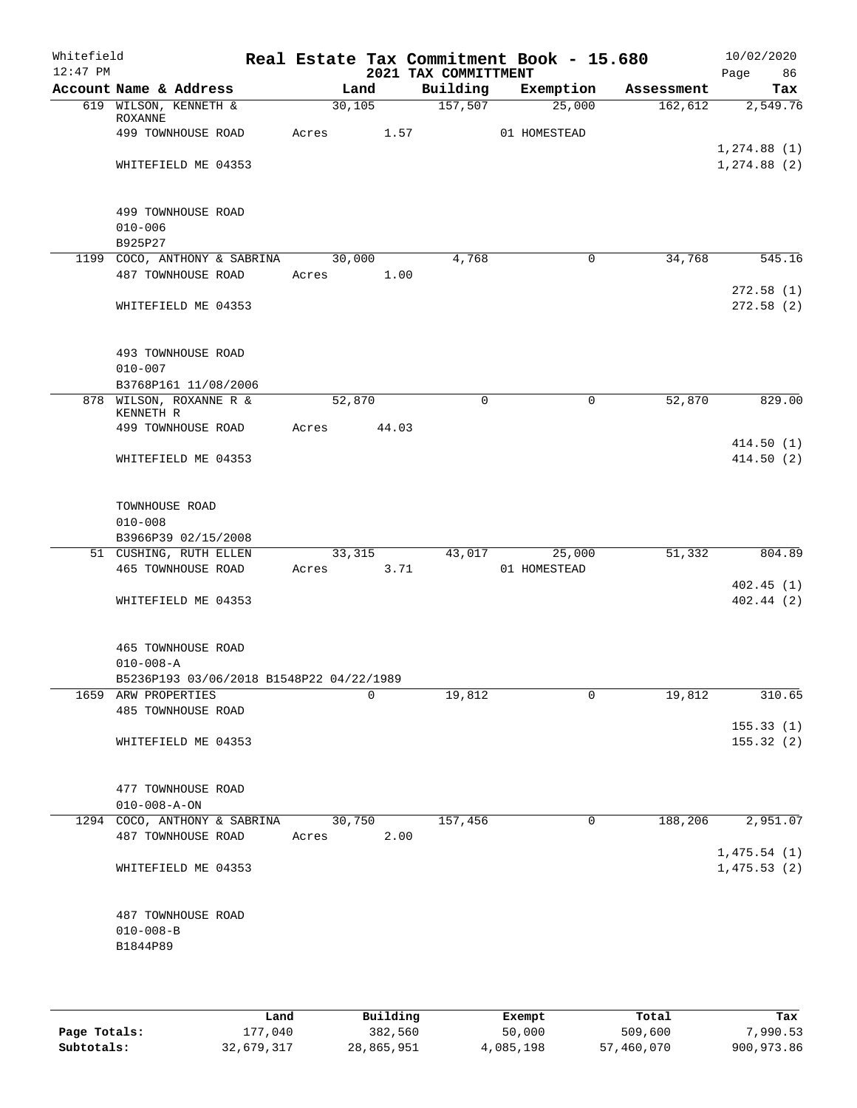| Whitefield<br>$12:47$ PM |                                   |                                                    |             |         |        | Real Estate Tax Commitment Book - 15.680<br>2021 TAX COMMITTMENT |               |             |            | 10/02/2020<br>Page<br>86 |
|--------------------------|-----------------------------------|----------------------------------------------------|-------------|---------|--------|------------------------------------------------------------------|---------------|-------------|------------|--------------------------|
|                          | Account Name & Address            |                                                    |             | Land    |        | Building                                                         | Exemption     |             | Assessment | Tax                      |
|                          | 619 WILSON, KENNETH &             |                                                    |             | 30, 105 |        | 157,507                                                          |               | 25,000      | 162,612    | 2,549.76                 |
|                          | ROXANNE<br>499 TOWNHOUSE ROAD     |                                                    | Acres 1.57  |         |        |                                                                  | 01 HOMESTEAD  |             |            |                          |
|                          |                                   |                                                    |             |         |        |                                                                  |               |             |            | 1, 274.88(1)             |
|                          |                                   | WHITEFIELD ME 04353                                |             |         |        |                                                                  |               |             |            | 1, 274.88 (2)            |
|                          |                                   |                                                    |             |         |        |                                                                  |               |             |            |                          |
|                          | 499 TOWNHOUSE ROAD<br>$010 - 006$ |                                                    |             |         |        |                                                                  |               |             |            |                          |
|                          | B925P27                           |                                                    |             |         |        |                                                                  |               |             |            |                          |
|                          |                                   | 1199 COCO, ANTHONY & SABRINA<br>487 TOWNHOUSE ROAD | Acres 1.00  | 30,000  |        | 4,768                                                            |               | $\mathbf 0$ | 34,768     | 545.16                   |
|                          |                                   |                                                    |             |         |        |                                                                  |               |             |            | 272.58(1)                |
|                          |                                   | WHITEFIELD ME 04353                                |             |         |        |                                                                  |               |             |            | 272.58(2)                |
|                          |                                   |                                                    |             |         |        |                                                                  |               |             |            |                          |
|                          | 493 TOWNHOUSE ROAD<br>$010 - 007$ |                                                    |             |         |        |                                                                  |               |             |            |                          |
|                          |                                   | B3768P161 11/08/2006                               |             |         |        |                                                                  |               |             |            |                          |
|                          | 878 WILSON, ROXANNE R &           |                                                    | 52,870      |         |        | $\Omega$                                                         |               | $\mathbf 0$ | 52,870     | 829.00                   |
|                          | KENNETH R<br>499 TOWNHOUSE ROAD   |                                                    | Acres 44.03 |         |        |                                                                  |               |             |            |                          |
|                          |                                   |                                                    |             |         |        |                                                                  |               |             |            | 414.50(1)                |
|                          |                                   | WHITEFIELD ME 04353                                |             |         |        |                                                                  |               |             |            | 414.50(2)                |
|                          |                                   |                                                    |             |         |        |                                                                  |               |             |            |                          |
|                          | TOWNHOUSE ROAD                    |                                                    |             |         |        |                                                                  |               |             |            |                          |
|                          | $010 - 008$                       |                                                    |             |         |        |                                                                  |               |             |            |                          |
|                          | B3966P39 02/15/2008               |                                                    |             |         |        |                                                                  |               |             |            |                          |
|                          |                                   | 51 CUSHING, RUTH ELLEN                             |             |         | 33,315 |                                                                  | 43,017 25,000 |             | 51,332     | 804.89                   |
|                          | 465 TOWNHOUSE ROAD                |                                                    | Acres 3.71  |         |        |                                                                  | 01 HOMESTEAD  |             |            |                          |
|                          |                                   |                                                    |             |         |        |                                                                  |               |             |            | 402.45(1)                |
|                          |                                   | WHITEFIELD ME 04353                                |             |         |        |                                                                  |               |             |            | 402.44(2)                |
|                          |                                   |                                                    |             |         |        |                                                                  |               |             |            |                          |
|                          | 465 TOWNHOUSE ROAD                |                                                    |             |         |        |                                                                  |               |             |            |                          |
|                          | $010 - 008 - A$                   |                                                    |             |         |        |                                                                  |               |             |            |                          |
|                          |                                   | B5236P193 03/06/2018 B1548P22 04/22/1989           |             |         |        |                                                                  |               |             |            |                          |
|                          | 1659 ARW PROPERTIES               |                                                    |             |         | 0      | 19,812                                                           |               | 0           | 19,812     | 310.65                   |
|                          | 485 TOWNHOUSE ROAD                |                                                    |             |         |        |                                                                  |               |             |            |                          |
|                          |                                   |                                                    |             |         |        |                                                                  |               |             |            | 155.33(1)                |
|                          |                                   | WHITEFIELD ME 04353                                |             |         |        |                                                                  |               |             |            | 155.32(2)                |
|                          |                                   |                                                    |             |         |        |                                                                  |               |             |            |                          |
|                          | 477 TOWNHOUSE ROAD                |                                                    |             |         |        |                                                                  |               |             |            |                          |
|                          | $010 - 008 - A - ON$              |                                                    |             |         |        |                                                                  |               |             |            |                          |
|                          |                                   | 1294 COCO, ANTHONY & SABRINA                       |             | 30,750  |        | 157,456                                                          |               | $\mathbf 0$ | 188,206    | 2,951.07                 |
|                          | 487 TOWNHOUSE ROAD                |                                                    | Acres       |         | 2.00   |                                                                  |               |             |            |                          |
|                          |                                   |                                                    |             |         |        |                                                                  |               |             |            | 1,475.54(1)              |
|                          |                                   | WHITEFIELD ME 04353                                |             |         |        |                                                                  |               |             |            | 1,475.53(2)              |
|                          |                                   |                                                    |             |         |        |                                                                  |               |             |            |                          |
|                          | 487 TOWNHOUSE ROAD                |                                                    |             |         |        |                                                                  |               |             |            |                          |
|                          | $010 - 008 - B$                   |                                                    |             |         |        |                                                                  |               |             |            |                          |
|                          | B1844P89                          |                                                    |             |         |        |                                                                  |               |             |            |                          |
|                          |                                   |                                                    |             |         |        |                                                                  |               |             |            |                          |
|                          |                                   |                                                    |             |         |        |                                                                  |               |             |            |                          |

|              | Land       | Building   | Exempt    | Total      | Tax        |
|--------------|------------|------------|-----------|------------|------------|
| Page Totals: | 177,040    | 382,560    | 50,000    | 509,600    | 7,990.53   |
| Subtotals:   | 32,679,317 | 28,865,951 | 4,085,198 | 57,460,070 | 900,973.86 |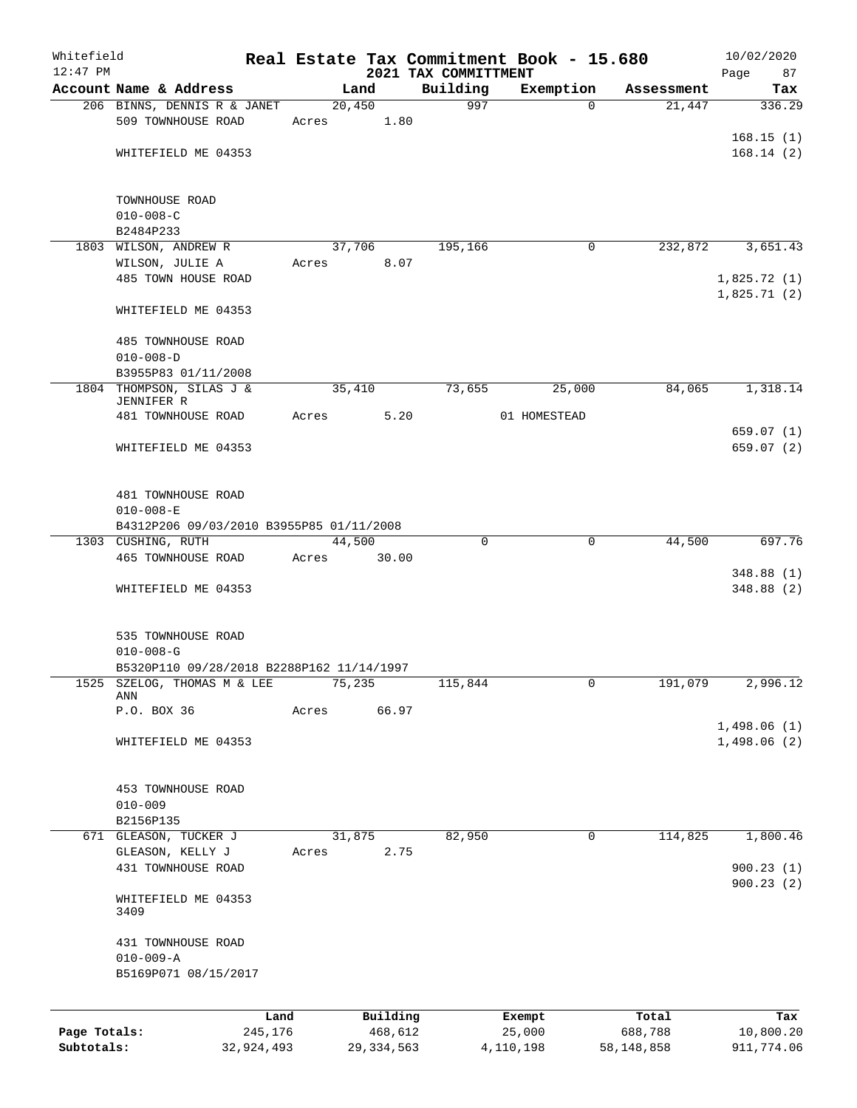| Whitefield   |                                                   |            |       |        |              |                      | Real Estate Tax Commitment Book - 15.680 |                      | 10/02/2020  |
|--------------|---------------------------------------------------|------------|-------|--------|--------------|----------------------|------------------------------------------|----------------------|-------------|
| $12:47$ PM   |                                                   |            |       |        |              | 2021 TAX COMMITTMENT |                                          |                      | Page<br>87  |
|              | Account Name & Address                            |            |       | Land   |              | Building<br>997      | Exemption<br>$\Omega$                    | Assessment<br>21,447 | Tax         |
|              | 206 BINNS, DENNIS R & JANET<br>509 TOWNHOUSE ROAD |            | Acres | 20,450 | 1.80         |                      |                                          |                      | 336.29      |
|              |                                                   |            |       |        |              |                      |                                          |                      | 168.15(1)   |
|              | WHITEFIELD ME 04353                               |            |       |        |              |                      |                                          |                      | 168.14(2)   |
|              |                                                   |            |       |        |              |                      |                                          |                      |             |
|              | TOWNHOUSE ROAD                                    |            |       |        |              |                      |                                          |                      |             |
|              | $010 - 008 - C$                                   |            |       |        |              |                      |                                          |                      |             |
|              | B2484P233                                         |            |       |        |              |                      |                                          |                      |             |
|              | 1803 WILSON, ANDREW R                             |            |       | 37,706 |              | 195,166              | 0                                        | 232,872              | 3,651.43    |
|              | WILSON, JULIE A                                   |            | Acres |        | 8.07         |                      |                                          |                      |             |
|              | 485 TOWN HOUSE ROAD                               |            |       |        |              |                      |                                          |                      | 1,825.72(1) |
|              |                                                   |            |       |        |              |                      |                                          |                      | 1,825.71(2) |
|              | WHITEFIELD ME 04353                               |            |       |        |              |                      |                                          |                      |             |
|              | 485 TOWNHOUSE ROAD                                |            |       |        |              |                      |                                          |                      |             |
|              | $010 - 008 - D$                                   |            |       |        |              |                      |                                          |                      |             |
|              | B3955P83 01/11/2008                               |            |       |        |              |                      |                                          |                      |             |
|              | 1804 THOMPSON, SILAS J &<br>JENNIFER R            |            |       | 35,410 |              | 73,655               | 25,000                                   | 84,065               | 1,318.14    |
|              | 481 TOWNHOUSE ROAD                                |            | Acres |        | 5.20         |                      | 01 HOMESTEAD                             |                      |             |
|              |                                                   |            |       |        |              |                      |                                          |                      | 659.07 (1)  |
|              | WHITEFIELD ME 04353                               |            |       |        |              |                      |                                          |                      | 659.07 (2)  |
|              | 481 TOWNHOUSE ROAD                                |            |       |        |              |                      |                                          |                      |             |
|              | $010 - 008 - E$                                   |            |       |        |              |                      |                                          |                      |             |
|              | B4312P206 09/03/2010 B3955P85 01/11/2008          |            |       |        |              |                      |                                          |                      |             |
|              | 1303 CUSHING, RUTH                                |            |       | 44,500 |              | $\mathbf 0$          | $\mathbf 0$                              | 44,500               | 697.76      |
|              | 465 TOWNHOUSE ROAD                                |            | Acres |        | 30.00        |                      |                                          |                      |             |
|              |                                                   |            |       |        |              |                      |                                          |                      | 348.88(1)   |
|              | WHITEFIELD ME 04353                               |            |       |        |              |                      |                                          |                      | 348.88(2)   |
|              |                                                   |            |       |        |              |                      |                                          |                      |             |
|              | 535 TOWNHOUSE ROAD                                |            |       |        |              |                      |                                          |                      |             |
|              | $010 - 008 - G$                                   |            |       |        |              |                      |                                          |                      |             |
|              | B5320P110 09/28/2018 B2288P162 11/14/1997         |            |       |        |              |                      |                                          |                      |             |
| 1525         | SZELOG, THOMAS M & LEE<br>ANN                     |            |       | 75,235 |              | 115,844              | 0                                        | 191,079              | 2,996.12    |
|              | P.O. BOX 36                                       |            | Acres |        | 66.97        |                      |                                          |                      |             |
|              |                                                   |            |       |        |              |                      |                                          |                      | 1,498.06(1) |
|              | WHITEFIELD ME 04353                               |            |       |        |              |                      |                                          |                      | 1,498.06(2) |
|              |                                                   |            |       |        |              |                      |                                          |                      |             |
|              | 453 TOWNHOUSE ROAD                                |            |       |        |              |                      |                                          |                      |             |
|              | $010 - 009$                                       |            |       |        |              |                      |                                          |                      |             |
|              | B2156P135                                         |            |       |        |              |                      | 0                                        |                      | 1,800.46    |
|              | 671 GLEASON, TUCKER J<br>GLEASON, KELLY J         |            | Acres | 31,875 | 2.75         | 82,950               |                                          | 114,825              |             |
|              | 431 TOWNHOUSE ROAD                                |            |       |        |              |                      |                                          |                      | 900.23(1)   |
|              |                                                   |            |       |        |              |                      |                                          |                      | 900.23(2)   |
|              | WHITEFIELD ME 04353                               |            |       |        |              |                      |                                          |                      |             |
|              | 3409                                              |            |       |        |              |                      |                                          |                      |             |
|              | 431 TOWNHOUSE ROAD                                |            |       |        |              |                      |                                          |                      |             |
|              | $010 - 009 - A$                                   |            |       |        |              |                      |                                          |                      |             |
|              | B5169P071 08/15/2017                              |            |       |        |              |                      |                                          |                      |             |
|              |                                                   |            |       |        |              |                      |                                          |                      |             |
|              |                                                   | Land       |       |        | Building     |                      | Exempt                                   | Total                | Tax         |
| Page Totals: |                                                   | 245,176    |       |        | 468,612      |                      | 25,000                                   | 688,788              | 10,800.20   |
| Subtotals:   |                                                   | 32,924,493 |       |        | 29, 334, 563 |                      | 4,110,198                                | 58, 148, 858         | 911,774.06  |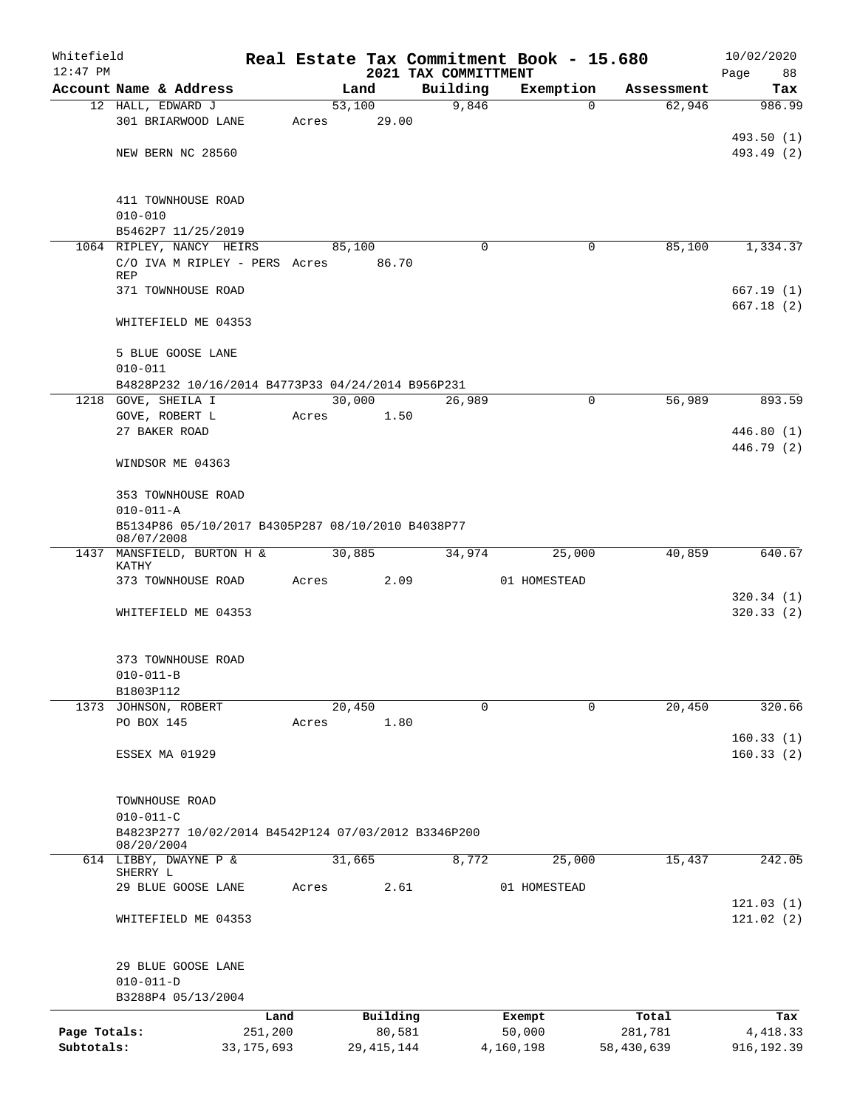| Whitefield   |                                                                   |              |       |                 |                                  | Real Estate Tax Commitment Book - 15.680 |            | 10/02/2020        |
|--------------|-------------------------------------------------------------------|--------------|-------|-----------------|----------------------------------|------------------------------------------|------------|-------------------|
| $12:47$ PM   | Account Name & Address                                            |              |       | Land            | 2021 TAX COMMITTMENT<br>Building | Exemption                                | Assessment | Page<br>88<br>Tax |
|              | 12 HALL, EDWARD J                                                 |              |       | 53,100          | 9,846                            | $\Omega$                                 | 62,946     | 986.99            |
|              | 301 BRIARWOOD LANE                                                |              | Acres | 29.00           |                                  |                                          |            |                   |
|              |                                                                   |              |       |                 |                                  |                                          |            | 493.50 (1)        |
|              | NEW BERN NC 28560                                                 |              |       |                 |                                  |                                          |            | 493.49 (2)        |
|              |                                                                   |              |       |                 |                                  |                                          |            |                   |
|              |                                                                   |              |       |                 |                                  |                                          |            |                   |
|              | 411 TOWNHOUSE ROAD                                                |              |       |                 |                                  |                                          |            |                   |
|              | $010 - 010$                                                       |              |       |                 |                                  |                                          |            |                   |
|              | B5462P7 11/25/2019                                                |              |       |                 |                                  |                                          |            |                   |
|              | 1064 RIPLEY, NANCY HEIRS<br>C/O IVA M RIPLEY - PERS Acres         |              |       | 85,100<br>86.70 | $\Omega$                         | 0                                        | 85,100     | 1,334.37          |
|              | <b>REP</b>                                                        |              |       |                 |                                  |                                          |            |                   |
|              | 371 TOWNHOUSE ROAD                                                |              |       |                 |                                  |                                          |            | 667.19(1)         |
|              |                                                                   |              |       |                 |                                  |                                          |            | 667.18(2)         |
|              | WHITEFIELD ME 04353                                               |              |       |                 |                                  |                                          |            |                   |
|              |                                                                   |              |       |                 |                                  |                                          |            |                   |
|              | 5 BLUE GOOSE LANE                                                 |              |       |                 |                                  |                                          |            |                   |
|              | $010 - 011$                                                       |              |       |                 |                                  |                                          |            |                   |
|              | B4828P232 10/16/2014 B4773P33 04/24/2014 B956P231                 |              |       |                 |                                  |                                          |            |                   |
|              | 1218 GOVE, SHEILA I                                               |              |       | 30,000          | 26,989                           | $\mathbf 0$                              | 56,989     | 893.59            |
|              | GOVE, ROBERT L                                                    |              | Acres | 1.50            |                                  |                                          |            |                   |
|              | 27 BAKER ROAD                                                     |              |       |                 |                                  |                                          |            | 446.80 (1)        |
|              | WINDSOR ME 04363                                                  |              |       |                 |                                  |                                          |            | 446.79 (2)        |
|              |                                                                   |              |       |                 |                                  |                                          |            |                   |
|              | 353 TOWNHOUSE ROAD                                                |              |       |                 |                                  |                                          |            |                   |
|              | $010 - 011 - A$                                                   |              |       |                 |                                  |                                          |            |                   |
|              | B5134P86 05/10/2017 B4305P287 08/10/2010 B4038P77<br>08/07/2008   |              |       |                 |                                  |                                          |            |                   |
|              | 1437 MANSFIELD, BURTON H &                                        |              |       | 30,885          | 34,974                           | 25,000                                   | 40,859     | 640.67            |
|              | KATHY                                                             |              |       |                 |                                  |                                          |            |                   |
|              | 373 TOWNHOUSE ROAD                                                |              | Acres | 2.09            |                                  | 01 HOMESTEAD                             |            |                   |
|              |                                                                   |              |       |                 |                                  |                                          |            | 320.34(1)         |
|              | WHITEFIELD ME 04353                                               |              |       |                 |                                  |                                          |            | 320.33(2)         |
|              |                                                                   |              |       |                 |                                  |                                          |            |                   |
|              | 373 TOWNHOUSE ROAD                                                |              |       |                 |                                  |                                          |            |                   |
|              | $010 - 011 - B$                                                   |              |       |                 |                                  |                                          |            |                   |
|              | B1803P112<br>1373 JOHNSON, ROBERT                                 |              |       | 20,450          | $\Omega$                         | 0                                        | 20,450     | 320.66            |
|              | PO BOX 145                                                        |              | Acres | 1.80            |                                  |                                          |            |                   |
|              |                                                                   |              |       |                 |                                  |                                          |            | 160.33(1)         |
|              | ESSEX MA 01929                                                    |              |       |                 |                                  |                                          |            | 160.33(2)         |
|              |                                                                   |              |       |                 |                                  |                                          |            |                   |
|              | TOWNHOUSE ROAD                                                    |              |       |                 |                                  |                                          |            |                   |
|              | $010 - 011 - C$                                                   |              |       |                 |                                  |                                          |            |                   |
|              | B4823P277 10/02/2014 B4542P124 07/03/2012 B3346P200<br>08/20/2004 |              |       |                 |                                  |                                          |            |                   |
|              | 614 LIBBY, DWAYNE P &                                             |              |       | 31,665          | 8,772                            | 25,000                                   | 15,437     | 242.05            |
|              | SHERRY L                                                          |              |       |                 |                                  |                                          |            |                   |
|              | 29 BLUE GOOSE LANE                                                |              | Acres | 2.61            |                                  | 01 HOMESTEAD                             |            |                   |
|              |                                                                   |              |       |                 |                                  |                                          |            | 121.03(1)         |
|              | WHITEFIELD ME 04353                                               |              |       |                 |                                  |                                          |            | 121.02(2)         |
|              |                                                                   |              |       |                 |                                  |                                          |            |                   |
|              | 29 BLUE GOOSE LANE                                                |              |       |                 |                                  |                                          |            |                   |
|              | $010 - 011 - D$                                                   |              |       |                 |                                  |                                          |            |                   |
|              | B3288P4 05/13/2004                                                |              |       |                 |                                  |                                          |            |                   |
|              |                                                                   | Land         |       | Building        |                                  | Exempt                                   | Total      | Tax               |
| Page Totals: |                                                                   | 251,200      |       | 80,581          |                                  | 50,000                                   | 281,781    | 4, 418.33         |
| Subtotals:   |                                                                   | 33, 175, 693 |       | 29, 415, 144    |                                  | 4,160,198                                | 58,430,639 | 916, 192.39       |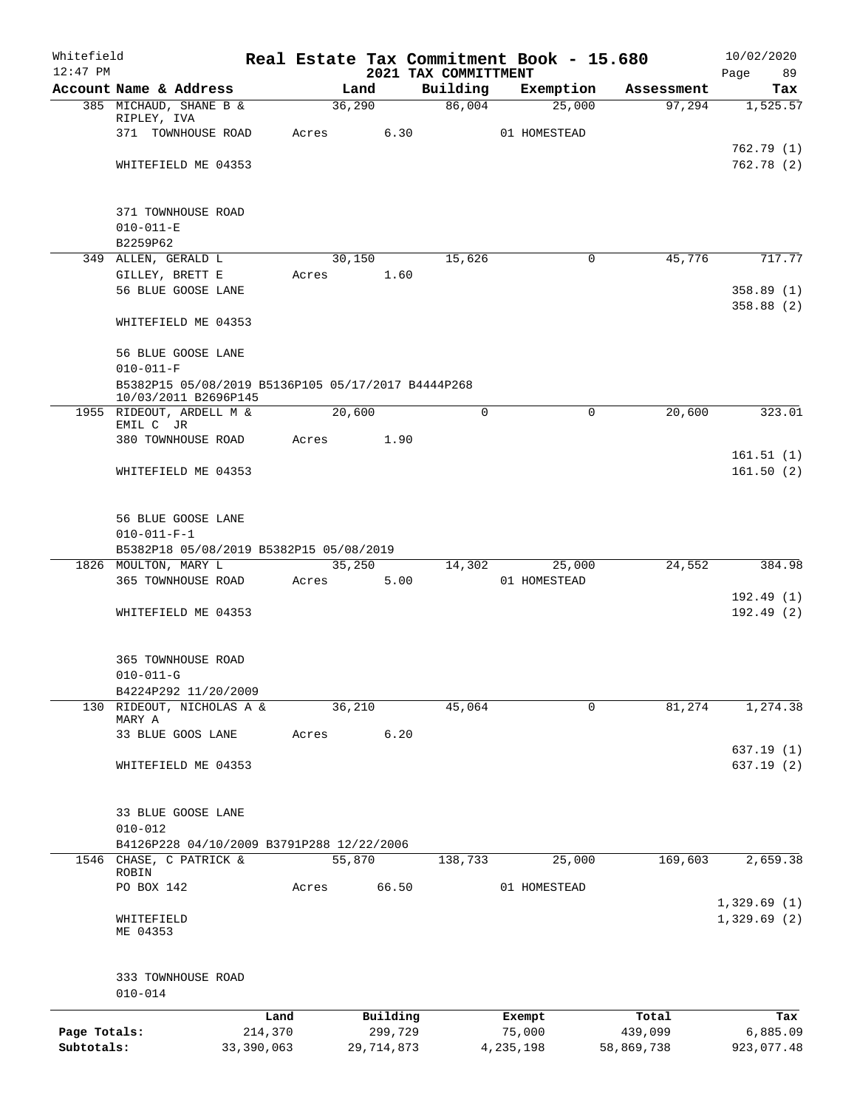| Whitefield   |                                                    |              |       |              |                                  | Real Estate Tax Commitment Book - 15.680 |                       | 10/02/2020             |
|--------------|----------------------------------------------------|--------------|-------|--------------|----------------------------------|------------------------------------------|-----------------------|------------------------|
| $12:47$ PM   | Account Name & Address                             |              |       | Land         | 2021 TAX COMMITTMENT<br>Building | Exemption                                | Assessment            | Page<br>89<br>Tax      |
|              | 385 MICHAUD, SHANE B &                             |              |       | 36,290       | 86,004                           | 25,000                                   | 97,294                | 1,525.57               |
|              | RIPLEY, IVA                                        |              |       |              |                                  |                                          |                       |                        |
|              | 371 TOWNHOUSE ROAD                                 |              | Acres | 6.30         |                                  | 01 HOMESTEAD                             |                       |                        |
|              |                                                    |              |       |              |                                  |                                          |                       | 762.79(1)              |
|              | WHITEFIELD ME 04353                                |              |       |              |                                  |                                          |                       | 762.78(2)              |
|              | 371 TOWNHOUSE ROAD                                 |              |       |              |                                  |                                          |                       |                        |
|              | $010 - 011 - E$                                    |              |       |              |                                  |                                          |                       |                        |
|              | B2259P62                                           |              |       |              |                                  |                                          |                       |                        |
|              | 349 ALLEN, GERALD L                                |              |       | 30,150       | 15,626                           |                                          | $\mathbf 0$<br>45,776 | 717.77                 |
|              | GILLEY, BRETT E                                    |              | Acres | 1.60         |                                  |                                          |                       |                        |
|              | 56 BLUE GOOSE LANE                                 |              |       |              |                                  |                                          |                       | 358.89(1)<br>358.88(2) |
|              | WHITEFIELD ME 04353                                |              |       |              |                                  |                                          |                       |                        |
|              | 56 BLUE GOOSE LANE<br>$010 - 011 - F$              |              |       |              |                                  |                                          |                       |                        |
|              | B5382P15 05/08/2019 B5136P105 05/17/2017 B4444P268 |              |       |              |                                  |                                          |                       |                        |
|              | 10/03/2011 B2696P145<br>1955 RIDEOUT, ARDELL M &   |              |       | 20,600       | $\Omega$                         |                                          | $\Omega$<br>20,600    | 323.01                 |
|              | EMIL C JR                                          |              |       |              |                                  |                                          |                       |                        |
|              | 380 TOWNHOUSE ROAD                                 |              | Acres | 1.90         |                                  |                                          |                       |                        |
|              |                                                    |              |       |              |                                  |                                          |                       | 161.51(1)              |
|              | WHITEFIELD ME 04353                                |              |       |              |                                  |                                          |                       | 161.50(2)              |
|              | 56 BLUE GOOSE LANE                                 |              |       |              |                                  |                                          |                       |                        |
|              | $010 - 011 - F - 1$                                |              |       |              |                                  |                                          |                       |                        |
|              | B5382P18 05/08/2019 B5382P15 05/08/2019            |              |       |              |                                  |                                          |                       |                        |
|              | 1826 MOULTON, MARY L                               |              |       | 35,250       | 14,302                           | 25,000                                   | 24,552                | 384.98                 |
|              | 365 TOWNHOUSE ROAD                                 |              | Acres | 5.00         |                                  | 01 HOMESTEAD                             |                       |                        |
|              |                                                    |              |       |              |                                  |                                          |                       | 192.49(1)              |
|              | WHITEFIELD ME 04353                                |              |       |              |                                  |                                          |                       | 192.49(2)              |
|              | 365 TOWNHOUSE ROAD                                 |              |       |              |                                  |                                          |                       |                        |
|              | $010 - 011 - G$                                    |              |       |              |                                  |                                          |                       |                        |
|              | B4224P292 11/20/2009                               |              |       |              |                                  |                                          |                       |                        |
|              | 130 RIDEOUT, NICHOLAS A &                          |              |       | 36,210       | 45,064                           |                                          | 0<br>81,274           | 1,274.38               |
|              | MARY A                                             |              |       |              |                                  |                                          |                       |                        |
|              | 33 BLUE GOOS LANE                                  |              | Acres | 6.20         |                                  |                                          |                       |                        |
|              | WHITEFIELD ME 04353                                |              |       |              |                                  |                                          |                       | 637.19(1)<br>637.19(2) |
|              |                                                    |              |       |              |                                  |                                          |                       |                        |
|              | 33 BLUE GOOSE LANE                                 |              |       |              |                                  |                                          |                       |                        |
|              | $010 - 012$                                        |              |       |              |                                  |                                          |                       |                        |
|              | B4126P228 04/10/2009 B3791P288 12/22/2006          |              |       |              |                                  |                                          |                       |                        |
|              | 1546 CHASE, C PATRICK &                            |              |       | 55,870       | 138,733                          | 25,000                                   | 169,603               | 2,659.38               |
|              | ROBIN<br>PO BOX 142                                |              | Acres | 66.50        |                                  | 01 HOMESTEAD                             |                       |                        |
|              |                                                    |              |       |              |                                  |                                          |                       | 1,329.69(1)            |
|              | WHITEFIELD<br>ME 04353                             |              |       |              |                                  |                                          |                       | 1,329.69(2)            |
|              | 333 TOWNHOUSE ROAD<br>$010 - 014$                  |              |       |              |                                  |                                          |                       |                        |
|              |                                                    | Land         |       | Building     |                                  | Exempt                                   | Total                 | Tax                    |
| Page Totals: |                                                    | 214,370      |       | 299,729      |                                  | 75,000                                   | 439,099               | 6,885.09               |
| Subtotals:   |                                                    | 33, 390, 063 |       | 29, 714, 873 |                                  | 4, 235, 198                              | 58,869,738            | 923,077.48             |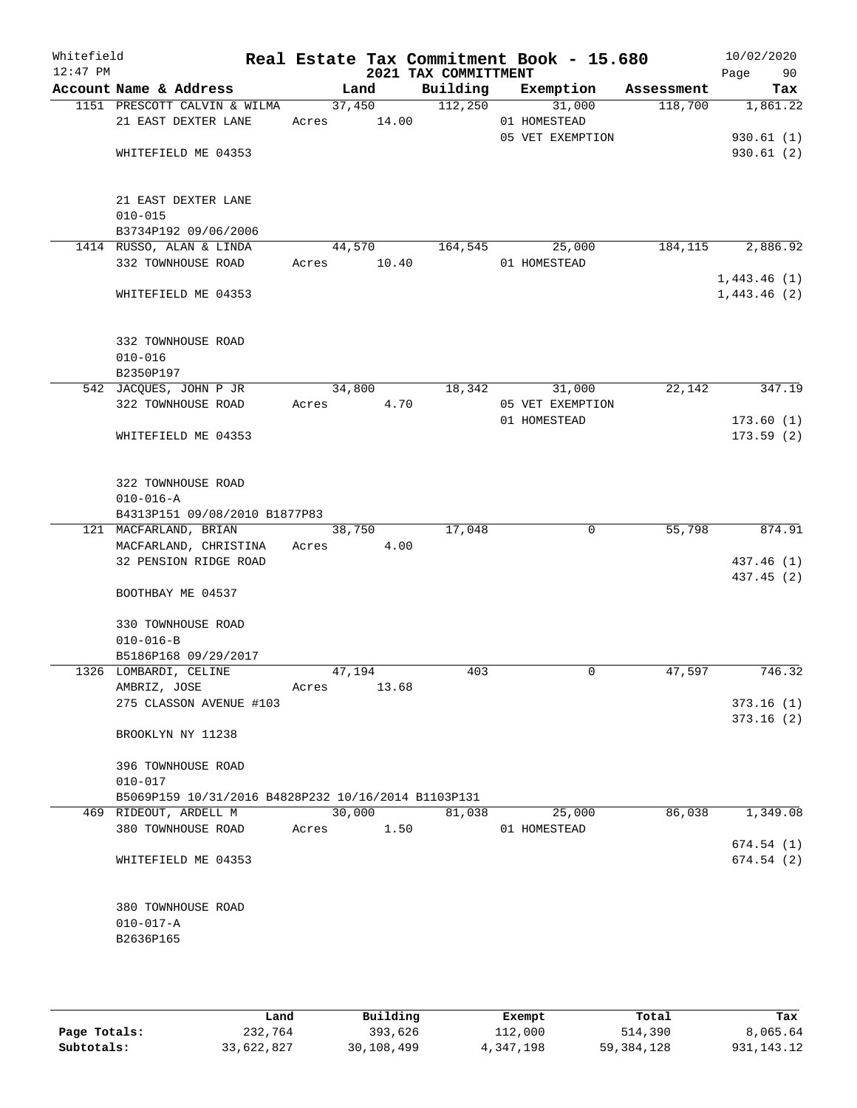| Whitefield<br>$12:47$ PM |                                                                              |             |        | 2021 TAX COMMITTMENT | Real Estate Tax Commitment Book - 15.680 |          | 10/02/2020<br>Page<br>90 |
|--------------------------|------------------------------------------------------------------------------|-------------|--------|----------------------|------------------------------------------|----------|--------------------------|
|                          | Account Name & Address                                                       |             | Land   |                      | Building Exemption Assessment            |          | Tax                      |
|                          | 1151 PRESCOTT CALVIN & WILMA                                                 |             |        | $37,450$ $112,250$   | 31,000                                   | 118,700  | 1,861.22                 |
|                          | 21 EAST DEXTER LANE                                                          | Acres 14.00 |        |                      | 01 HOMESTEAD                             |          |                          |
|                          |                                                                              |             |        |                      | 05 VET EXEMPTION                         |          | 930.61(1)                |
|                          | WHITEFIELD ME 04353                                                          |             |        |                      |                                          |          | 930.61(2)                |
|                          | 21 EAST DEXTER LANE                                                          |             |        |                      |                                          |          |                          |
|                          | $010 - 015$                                                                  |             |        |                      |                                          |          |                          |
|                          | B3734P192 09/06/2006                                                         |             |        |                      |                                          |          |                          |
|                          | 1414 RUSSO, ALAN & LINDA                                                     |             | 44,570 | 164,545              | 25,000                                   | 184, 115 | 2,886.92                 |
|                          | 332 TOWNHOUSE ROAD                                                           | Acres 10.40 |        |                      | 01 HOMESTEAD                             |          | 1,443.46(1)              |
|                          | WHITEFIELD ME 04353                                                          |             |        |                      |                                          |          | 1,443.46(2)              |
|                          | 332 TOWNHOUSE ROAD                                                           |             |        |                      |                                          |          |                          |
|                          | $010 - 016$                                                                  |             |        |                      |                                          |          |                          |
|                          | B2350P197                                                                    |             |        |                      |                                          |          |                          |
|                          | 542 JACQUES, JOHN P JR                                                       |             | 34,800 |                      | 18,342<br>31,000                         | 22,142   | 347.19                   |
|                          | 322 TOWNHOUSE ROAD                                                           | Acres       | 4.70   |                      | 05 VET EXEMPTION                         |          |                          |
|                          | WHITEFIELD ME 04353                                                          |             |        |                      | 01 HOMESTEAD                             |          | 173.60(1)<br>173.59(2)   |
|                          |                                                                              |             |        |                      |                                          |          |                          |
|                          | 322 TOWNHOUSE ROAD<br>$010 - 016 - A$                                        |             |        |                      |                                          |          |                          |
|                          | B4313P151 09/08/2010 B1877P83                                                |             |        |                      |                                          |          |                          |
|                          | 121 MACFARLAND, BRIAN                                                        |             | 38,750 | 17,048               | 0                                        | 55,798   | 874.91                   |
|                          | MACFARLAND, CHRISTINA Acres                                                  |             | 4.00   |                      |                                          |          |                          |
|                          | 32 PENSION RIDGE ROAD                                                        |             |        |                      |                                          |          | 437.46 (1)               |
|                          | BOOTHBAY ME 04537                                                            |             |        |                      |                                          |          | 437.45 (2)               |
|                          | 330 TOWNHOUSE ROAD                                                           |             |        |                      |                                          |          |                          |
|                          | $010 - 016 - B$                                                              |             |        |                      |                                          |          |                          |
|                          | B5186P168 09/29/2017<br>1326 LOMBARDI, CELINE                                |             | 47,194 | 403                  | $\mathbf 0$                              | 47,597   | 746.32                   |
|                          | AMBRIZ, JOSE                                                                 | Acres       | 13.68  |                      |                                          |          |                          |
|                          | 275 CLASSON AVENUE #103                                                      |             |        |                      |                                          |          | 373.16(1)                |
|                          |                                                                              |             |        |                      |                                          |          | 373.16(2)                |
|                          | BROOKLYN NY 11238                                                            |             |        |                      |                                          |          |                          |
|                          | 396 TOWNHOUSE ROAD                                                           |             |        |                      |                                          |          |                          |
|                          | $010 - 017$                                                                  |             |        |                      |                                          |          |                          |
|                          | B5069P159 10/31/2016 B4828P232 10/16/2014 B1103P131<br>469 RIDEOUT, ARDELL M |             | 30,000 | 81,038               | 25,000                                   | 86,038   | 1,349.08                 |
|                          | 380 TOWNHOUSE ROAD                                                           | Acres       | 1.50   |                      | 01 HOMESTEAD                             |          |                          |
|                          |                                                                              |             |        |                      |                                          |          | 674.54 (1)               |
|                          | WHITEFIELD ME 04353                                                          |             |        |                      |                                          |          | 674.54(2)                |
|                          | 380 TOWNHOUSE ROAD                                                           |             |        |                      |                                          |          |                          |
|                          | $010 - 017 - A$                                                              |             |        |                      |                                          |          |                          |
|                          | B2636P165                                                                    |             |        |                      |                                          |          |                          |
|                          |                                                                              |             |        |                      |                                          |          |                          |
|                          |                                                                              |             |        |                      |                                          |          |                          |

|              | Land       | Building   | Exempt      | Total      | Tax          |
|--------------|------------|------------|-------------|------------|--------------|
| Page Totals: | 232,764    | 393,626    | 112,000     | 514,390    | 8,065.64     |
| Subtotals:   | 33,622,827 | 30,108,499 | 4, 347, 198 | 59,384,128 | 931, 143. 12 |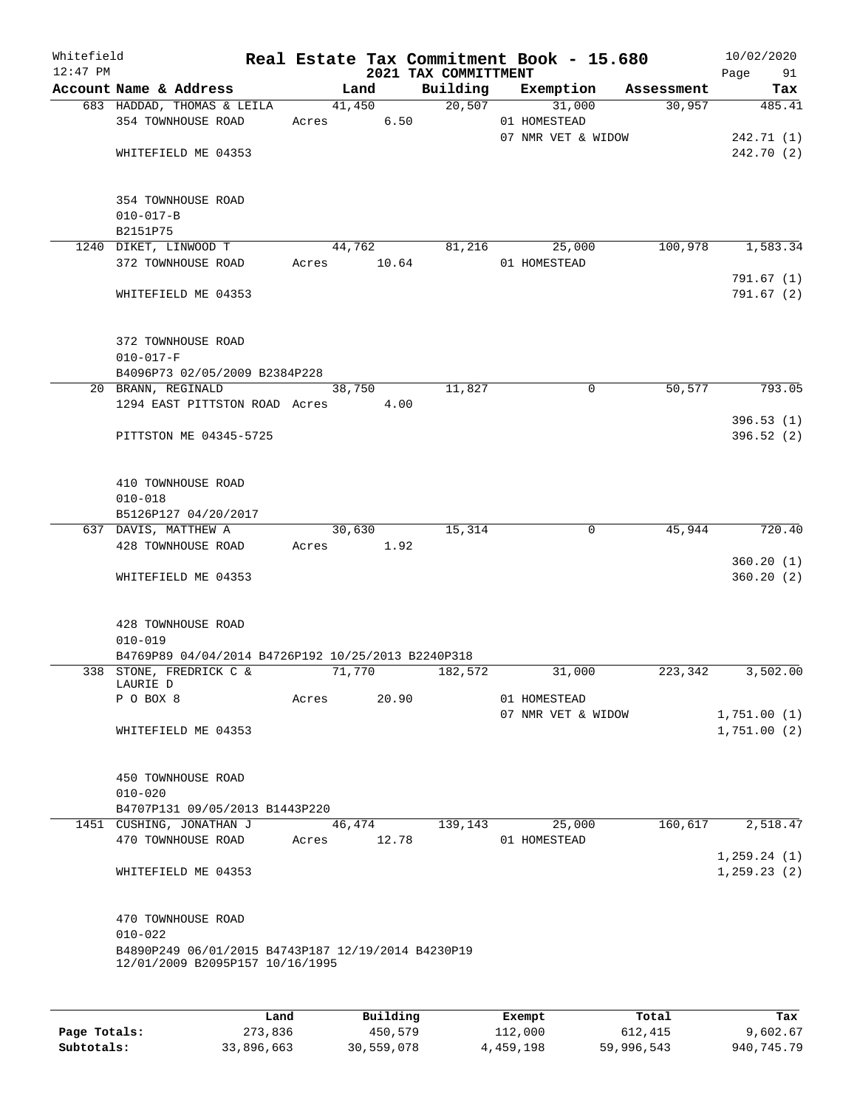| Whitefield<br>$12:47$ PM |                                                                                         |             |                        | 2021 TAX COMMITTMENT | Real Estate Tax Commitment Book - 15.680 |          | 10/02/2020<br>Page 91      |
|--------------------------|-----------------------------------------------------------------------------------------|-------------|------------------------|----------------------|------------------------------------------|----------|----------------------------|
|                          | Account Name & Address                                                                  |             | Land                   |                      | Building Exemption Assessment            |          | Tax                        |
|                          | 683 HADDAD, THOMAS & LEILA<br>354 TOWNHOUSE ROAD                                        | Acres 6.50  | 41,450                 |                      | 20,507<br>31,000<br>01 HOMESTEAD         | 30,957   | 485.41                     |
|                          | WHITEFIELD ME 04353                                                                     |             |                        |                      | 07 NMR VET & WIDOW                       |          | 242.71(1)<br>242.70 (2)    |
|                          | 354 TOWNHOUSE ROAD<br>$010 - 017 - B$<br>B2151P75                                       |             |                        |                      |                                          |          |                            |
|                          | 1240 DIKET, LINWOOD T<br>372 TOWNHOUSE ROAD                                             | Acres 10.64 | 44,762                 | 81,216               | 25,000<br>01 HOMESTEAD                   | 100,978  | 1,583.34                   |
|                          | WHITEFIELD ME 04353                                                                     |             |                        |                      |                                          |          | 791.67(1)<br>791.67(2)     |
|                          | 372 TOWNHOUSE ROAD<br>$010 - 017 - F$                                                   |             |                        |                      |                                          |          |                            |
|                          | B4096P73 02/05/2009 B2384P228<br>20 BRANN, REGINALD                                     |             | 38,750                 | 11,827               | 0                                        | 50,577   | 793.05                     |
|                          | 1294 EAST PITTSTON ROAD Acres 4.00                                                      |             |                        |                      |                                          |          |                            |
|                          | PITTSTON ME 04345-5725                                                                  |             |                        |                      |                                          |          | 396.53(1)<br>396.52(2)     |
|                          | 410 TOWNHOUSE ROAD<br>$010 - 018$                                                       |             |                        |                      |                                          |          |                            |
|                          | B5126P127 04/20/2017<br>637 DAVIS, MATTHEW A                                            |             | 30,630                 | 15,314               | 0                                        | 45,944   | 720.40                     |
|                          | 428 TOWNHOUSE ROAD                                                                      | Acres 1.92  |                        |                      |                                          |          |                            |
|                          | WHITEFIELD ME 04353                                                                     |             |                        |                      |                                          |          | 360.20(1)<br>360.20(2)     |
|                          | 428 TOWNHOUSE ROAD<br>$010 - 019$                                                       |             |                        |                      |                                          |          |                            |
|                          | B4769P89 04/04/2014 B4726P192 10/25/2013 B2240P318<br>338 STONE, FREDRICK C &           | 71,770      |                        | 182,572              | 31,000                                   | 223, 342 | 3,502.00                   |
|                          | LAURIE D<br>P O BOX 8                                                                   | Acres       | 20.90                  |                      | 01 HOMESTEAD                             |          |                            |
|                          | WHITEFIELD ME 04353                                                                     |             |                        |                      | 07 NMR VET & WIDOW                       |          | 1,751.00(1)<br>1,751.00(2) |
|                          | 450 TOWNHOUSE ROAD<br>$010 - 020$<br>B4707P131 09/05/2013 B1443P220                     |             |                        |                      |                                          |          |                            |
|                          | 1451 CUSHING, JONATHAN J                                                                | 46,474      |                        | 139,143              | 25,000                                   | 160,617  | 2,518.47                   |
|                          | 470 TOWNHOUSE ROAD                                                                      | Acres       | 12.78                  |                      | 01 HOMESTEAD                             |          | 1, 259.24(1)               |
|                          | WHITEFIELD ME 04353                                                                     |             |                        |                      |                                          |          | 1, 259.23(2)               |
|                          | 470 TOWNHOUSE ROAD<br>$010 - 022$<br>B4890P249 06/01/2015 B4743P187 12/19/2014 B4230P19 |             |                        |                      |                                          |          |                            |
|                          | 12/01/2009 B2095P157 10/16/1995                                                         |             |                        |                      |                                          |          |                            |
|                          | <b>TAMA</b>                                                                             |             | $D_{11}$ in $A$ in $A$ |                      | P1222                                    | $T - 1$  | т.,                        |

|              | Land       | Building   | Exempt    | Total      | Tax        |
|--------------|------------|------------|-----------|------------|------------|
| Page Totals: | 273,836    | 450,579    | 112,000   | 612,415    | 9,602.67   |
| Subtotals:   | 33,896,663 | 30,559,078 | 4,459,198 | 59,996,543 | 940,745.79 |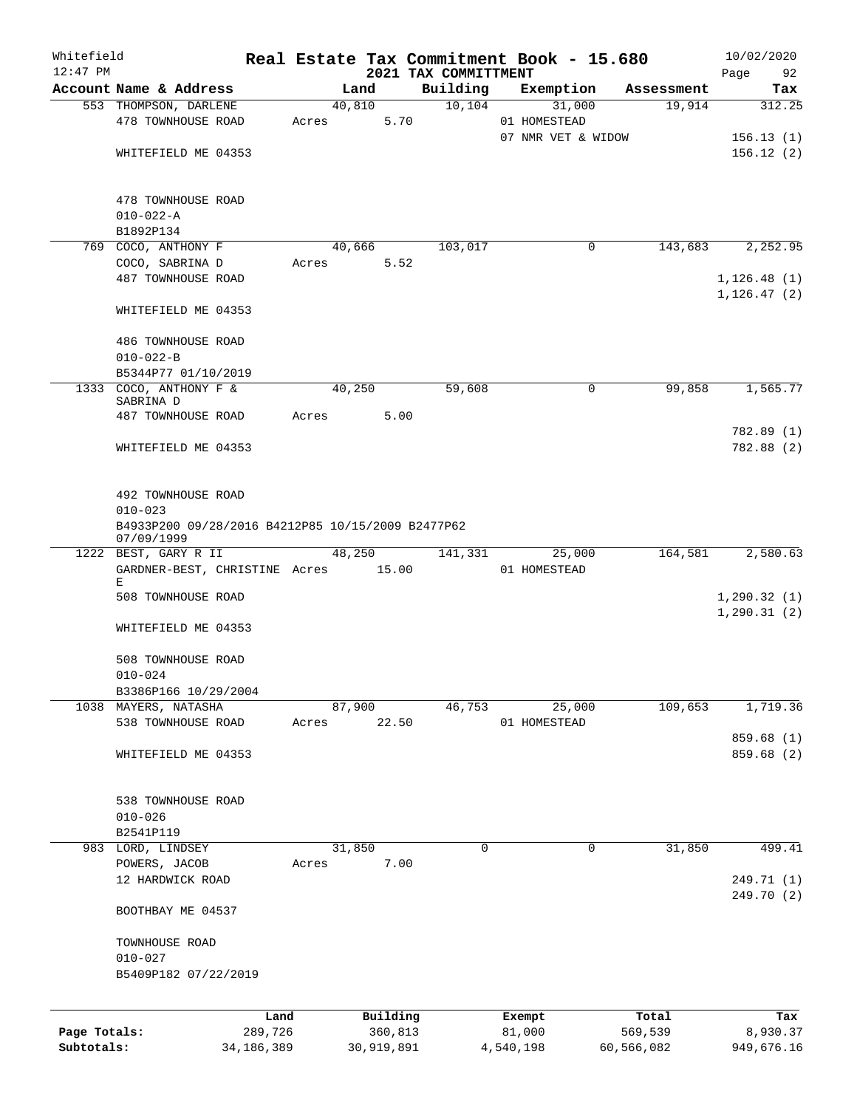| Whitefield   |                                                                 |              |       |        |            |                                  | Real Estate Tax Commitment Book - 15.680 |            | 10/02/2020               |
|--------------|-----------------------------------------------------------------|--------------|-------|--------|------------|----------------------------------|------------------------------------------|------------|--------------------------|
| $12:47$ PM   | Account Name & Address                                          |              |       | Land   |            | 2021 TAX COMMITTMENT<br>Building | Exemption                                | Assessment | Page<br>92<br>Tax        |
|              | 553 THOMPSON, DARLENE                                           |              |       | 40,810 |            | 10, 104                          | 31,000                                   | 19,914     | 312.25                   |
|              | 478 TOWNHOUSE ROAD                                              |              | Acres |        | 5.70       |                                  | 01 HOMESTEAD                             |            |                          |
|              |                                                                 |              |       |        |            |                                  | 07 NMR VET & WIDOW                       |            | 156.13(1)                |
|              | WHITEFIELD ME 04353                                             |              |       |        |            |                                  |                                          |            | 156.12(2)                |
|              |                                                                 |              |       |        |            |                                  |                                          |            |                          |
|              | 478 TOWNHOUSE ROAD                                              |              |       |        |            |                                  |                                          |            |                          |
|              | $010 - 022 - A$                                                 |              |       |        |            |                                  |                                          |            |                          |
|              | B1892P134                                                       |              |       |        |            |                                  | 0                                        | 143,683    |                          |
|              | 769 COCO, ANTHONY F<br>COCO, SABRINA D                          |              | Acres | 40,666 | 5.52       | 103,017                          |                                          |            | 2,252.95                 |
|              | 487 TOWNHOUSE ROAD                                              |              |       |        |            |                                  |                                          |            | 1, 126.48(1)             |
|              |                                                                 |              |       |        |            |                                  |                                          |            | 1, 126.47(2)             |
|              | WHITEFIELD ME 04353                                             |              |       |        |            |                                  |                                          |            |                          |
|              | 486 TOWNHOUSE ROAD                                              |              |       |        |            |                                  |                                          |            |                          |
|              | $010 - 022 - B$                                                 |              |       |        |            |                                  |                                          |            |                          |
|              | B5344P77 01/10/2019                                             |              |       |        |            |                                  |                                          |            |                          |
|              | 1333 COCO, ANTHONY F &<br>SABRINA D                             |              |       | 40,250 |            | 59,608                           | 0                                        | 99,858     | 1,565.77                 |
|              | 487 TOWNHOUSE ROAD                                              |              | Acres |        | 5.00       |                                  |                                          |            |                          |
|              |                                                                 |              |       |        |            |                                  |                                          |            | 782.89 (1)               |
|              | WHITEFIELD ME 04353                                             |              |       |        |            |                                  |                                          |            | 782.88 (2)               |
|              |                                                                 |              |       |        |            |                                  |                                          |            |                          |
|              | 492 TOWNHOUSE ROAD<br>$010 - 023$                               |              |       |        |            |                                  |                                          |            |                          |
|              | B4933P200 09/28/2016 B4212P85 10/15/2009 B2477P62<br>07/09/1999 |              |       |        |            |                                  |                                          |            |                          |
|              | 1222 BEST, GARY R II                                            |              |       | 48,250 |            | 141,331                          | 25,000                                   | 164,581    | 2,580.63                 |
|              | GARDNER-BEST, CHRISTINE Acres 15.00                             |              |       |        |            |                                  | 01 HOMESTEAD                             |            |                          |
|              | Е<br>508 TOWNHOUSE ROAD                                         |              |       |        |            |                                  |                                          |            | 1,290.32(1)              |
|              |                                                                 |              |       |        |            |                                  |                                          |            | 1, 290.31(2)             |
|              | WHITEFIELD ME 04353                                             |              |       |        |            |                                  |                                          |            |                          |
|              | 508 TOWNHOUSE ROAD                                              |              |       |        |            |                                  |                                          |            |                          |
|              | $010 - 024$                                                     |              |       |        |            |                                  |                                          |            |                          |
|              | B3386P166 10/29/2004                                            |              |       |        |            |                                  |                                          |            |                          |
|              | 1038 MAYERS, NATASHA                                            |              |       | 87,900 |            | 46,753                           | 25,000                                   | 109,653    | 1,719.36                 |
|              | 538 TOWNHOUSE ROAD                                              |              | Acres |        | 22.50      |                                  | 01 HOMESTEAD                             |            |                          |
|              | WHITEFIELD ME 04353                                             |              |       |        |            |                                  |                                          |            | 859.68 (1)<br>859.68 (2) |
|              |                                                                 |              |       |        |            |                                  |                                          |            |                          |
|              | 538 TOWNHOUSE ROAD                                              |              |       |        |            |                                  |                                          |            |                          |
|              | $010 - 026$                                                     |              |       |        |            |                                  |                                          |            |                          |
|              | B2541P119                                                       |              |       |        |            |                                  |                                          |            |                          |
|              | 983 LORD, LINDSEY                                               |              |       | 31,850 |            | 0                                | 0                                        | 31,850     | 499.41                   |
|              | POWERS, JACOB                                                   |              | Acres |        | 7.00       |                                  |                                          |            |                          |
|              | 12 HARDWICK ROAD                                                |              |       |        |            |                                  |                                          |            | 249.71 (1)               |
|              | BOOTHBAY ME 04537                                               |              |       |        |            |                                  |                                          |            | 249.70 (2)               |
|              |                                                                 |              |       |        |            |                                  |                                          |            |                          |
|              | TOWNHOUSE ROAD                                                  |              |       |        |            |                                  |                                          |            |                          |
|              | $010 - 027$                                                     |              |       |        |            |                                  |                                          |            |                          |
|              | B5409P182 07/22/2019                                            |              |       |        |            |                                  |                                          |            |                          |
|              |                                                                 | Land         |       |        | Building   |                                  | Exempt                                   | Total      | Tax                      |
| Page Totals: |                                                                 | 289,726      |       |        | 360,813    |                                  | 81,000                                   | 569,539    | 8,930.37                 |
| Subtotals:   |                                                                 | 34, 186, 389 |       |        | 30,919,891 |                                  | 4,540,198                                | 60,566,082 | 949,676.16               |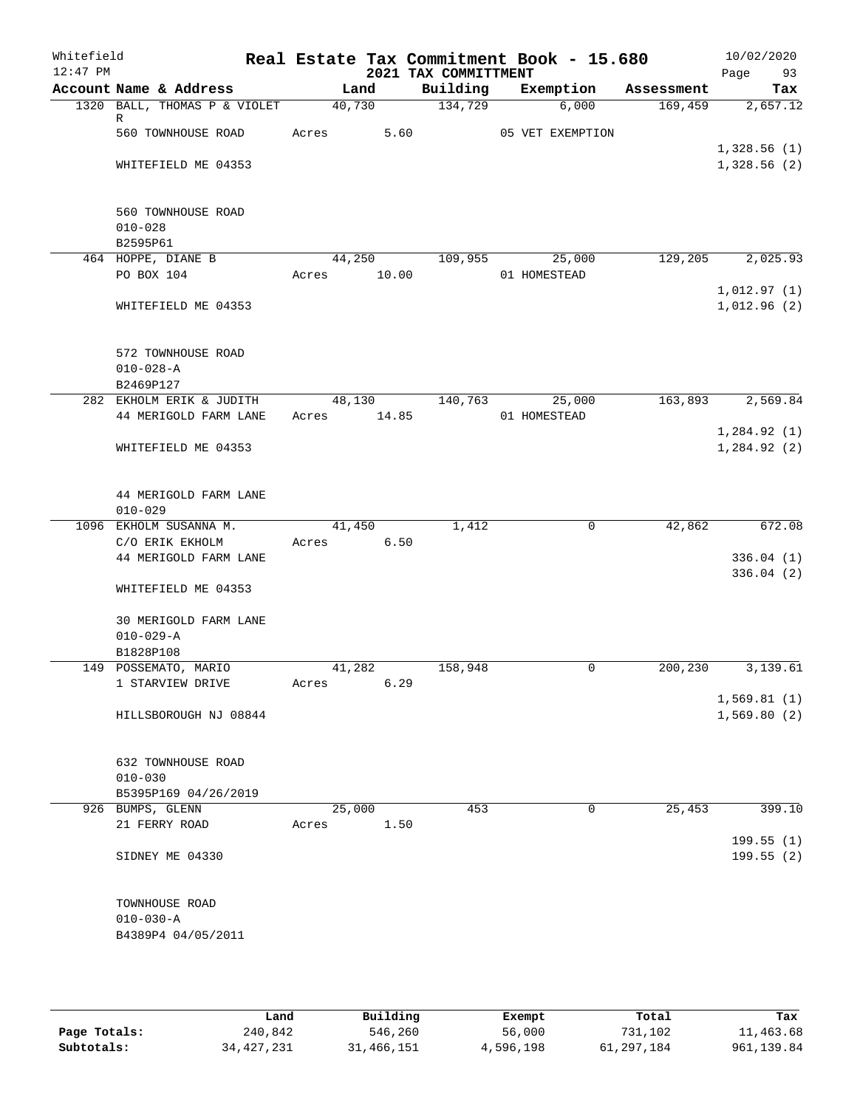| Whitefield<br>$12:47$ PM |                                   |                | 2021 TAX COMMITTMENT | Real Estate Tax Commitment Book - 15.680 |            | 10/02/2020<br>Page<br>93   |
|--------------------------|-----------------------------------|----------------|----------------------|------------------------------------------|------------|----------------------------|
|                          | Account Name & Address            | Land           | Building             | Exemption                                | Assessment | Tax                        |
|                          | 1320 BALL, THOMAS P & VIOLET      | 40,730         | 134,729              | 6,000                                    | 169,459    | 2,657.12                   |
|                          | R<br>560 TOWNHOUSE ROAD           | Acres          | 5.60                 | 05 VET EXEMPTION                         |            |                            |
|                          |                                   |                |                      |                                          |            | 1,328.56(1)                |
|                          | WHITEFIELD ME 04353               |                |                      |                                          |            | 1,328.56(2)                |
|                          |                                   |                |                      |                                          |            |                            |
|                          | 560 TOWNHOUSE ROAD                |                |                      |                                          |            |                            |
|                          | $010 - 028$                       |                |                      |                                          |            |                            |
|                          | B2595P61                          |                |                      |                                          |            |                            |
|                          | 464 HOPPE, DIANE B                | 44,250         | 109,955              | 25,000                                   | 129,205    | 2,025.93                   |
|                          | PO BOX 104                        | 10.00<br>Acres |                      | 01 HOMESTEAD                             |            |                            |
|                          | WHITEFIELD ME 04353               |                |                      |                                          |            | 1,012.97(1)<br>1,012.96(2) |
|                          |                                   |                |                      |                                          |            |                            |
|                          | 572 TOWNHOUSE ROAD                |                |                      |                                          |            |                            |
|                          | $010 - 028 - A$                   |                |                      |                                          |            |                            |
|                          | B2469P127                         |                |                      |                                          |            |                            |
|                          | 282 EKHOLM ERIK & JUDITH          | 48,130         | 140,763              | 25,000                                   | 163,893    | 2,569.84                   |
|                          | 44 MERIGOLD FARM LANE             | 14.85<br>Acres |                      | 01 HOMESTEAD                             |            |                            |
|                          |                                   |                |                      |                                          |            | 1,284.92(1)                |
|                          | WHITEFIELD ME 04353               |                |                      |                                          |            | 1,284.92(2)                |
|                          |                                   |                |                      |                                          |            |                            |
|                          | 44 MERIGOLD FARM LANE             |                |                      |                                          |            |                            |
|                          | $010 - 029$                       |                |                      |                                          |            |                            |
|                          | 1096 EKHOLM SUSANNA M.            | 41,450         | 1,412                | $\mathbf 0$                              | 42,862     | 672.08                     |
|                          | C/O ERIK EKHOLM                   | 6.50<br>Acres  |                      |                                          |            |                            |
|                          | 44 MERIGOLD FARM LANE             |                |                      |                                          |            | 336.04(1)                  |
|                          |                                   |                |                      |                                          |            | 336.04(2)                  |
|                          | WHITEFIELD ME 04353               |                |                      |                                          |            |                            |
|                          | 30 MERIGOLD FARM LANE             |                |                      |                                          |            |                            |
|                          | $010 - 029 - A$                   |                |                      |                                          |            |                            |
|                          | B1828P108                         |                |                      |                                          |            |                            |
|                          | 149 POSSEMATO, MARIO              | 41,282         | 158,948              | 0                                        | 200, 230   | 3,139.61                   |
|                          | 1 STARVIEW DRIVE                  | 6.29<br>Acres  |                      |                                          |            |                            |
|                          |                                   |                |                      |                                          |            | 1,569.81(1)                |
|                          | HILLSBOROUGH NJ 08844             |                |                      |                                          |            | 1,569.80(2)                |
|                          |                                   |                |                      |                                          |            |                            |
|                          | 632 TOWNHOUSE ROAD<br>$010 - 030$ |                |                      |                                          |            |                            |
|                          | B5395P169 04/26/2019              |                |                      |                                          |            |                            |
|                          | 926 BUMPS, GLENN                  | 25,000         | 453                  | 0                                        | 25,453     | 399.10                     |
|                          | 21 FERRY ROAD                     | 1.50<br>Acres  |                      |                                          |            |                            |
|                          |                                   |                |                      |                                          |            | 199.55(1)                  |
|                          | SIDNEY ME 04330                   |                |                      |                                          |            | 199.55(2)                  |
|                          |                                   |                |                      |                                          |            |                            |
|                          | TOWNHOUSE ROAD                    |                |                      |                                          |            |                            |
|                          | $010 - 030 - A$                   |                |                      |                                          |            |                            |
|                          | B4389P4 04/05/2011                |                |                      |                                          |            |                            |
|                          |                                   |                |                      |                                          |            |                            |

|              | Land         | Building   | Exempt    | Total      | Tax         |
|--------------|--------------|------------|-----------|------------|-------------|
| Page Totals: | 240,842      | 546,260    | 56,000    | 731,102    | 11,463.68   |
| Subtotals:   | 34, 427, 231 | 31,466,151 | 4,596,198 | 61,297,184 | 961, 139.84 |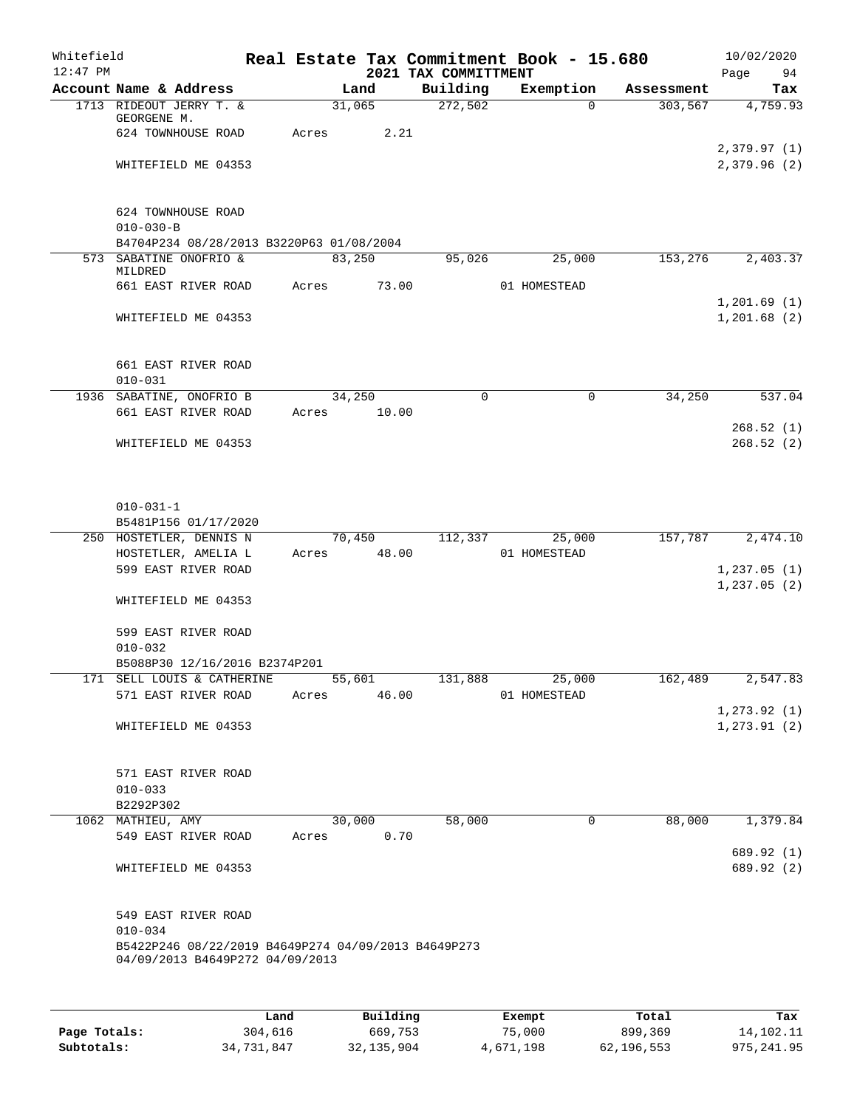| Whitefield |                   |                                                                                        |       |                |        |                      | Real Estate Tax Commitment Book - 15.680 |                       |      | 10/02/2020      |
|------------|-------------------|----------------------------------------------------------------------------------------|-------|----------------|--------|----------------------|------------------------------------------|-----------------------|------|-----------------|
| $12:47$ PM |                   |                                                                                        |       |                |        | 2021 TAX COMMITTMENT |                                          |                       | Page | 94              |
|            |                   | Account Name & Address<br>1713 RIDEOUT JERRY T. &                                      |       | Land<br>31,065 |        | Building<br>272,502  | Exemption<br>$\Omega$                    | Assessment<br>303,567 |      | Tax<br>4,759.93 |
|            | GEORGENE M.       |                                                                                        |       |                |        |                      |                                          |                       |      |                 |
|            |                   | 624 TOWNHOUSE ROAD                                                                     | Acres |                | 2.21   |                      |                                          |                       |      |                 |
|            |                   |                                                                                        |       |                |        |                      |                                          |                       |      | 2,379.97(1)     |
|            |                   | WHITEFIELD ME 04353                                                                    |       |                |        |                      |                                          |                       |      | 2,379.96(2)     |
|            |                   |                                                                                        |       |                |        |                      |                                          |                       |      |                 |
|            |                   |                                                                                        |       |                |        |                      |                                          |                       |      |                 |
|            | $010 - 030 - B$   | 624 TOWNHOUSE ROAD                                                                     |       |                |        |                      |                                          |                       |      |                 |
|            |                   | B4704P234 08/28/2013 B3220P63 01/08/2004                                               |       |                |        |                      |                                          |                       |      |                 |
|            |                   | 573 SABATINE ONOFRIO &                                                                 |       | 83,250         |        | 95,026               | 25,000                                   | 153,276               |      | 2,403.37        |
|            | MILDRED           |                                                                                        |       |                |        |                      |                                          |                       |      |                 |
|            |                   | 661 EAST RIVER ROAD                                                                    | Acres |                | 73.00  |                      | 01 HOMESTEAD                             |                       |      |                 |
|            |                   |                                                                                        |       |                |        |                      |                                          |                       |      | 1,201.69(1)     |
|            |                   | WHITEFIELD ME 04353                                                                    |       |                |        |                      |                                          |                       |      | 1,201.68(2)     |
|            |                   |                                                                                        |       |                |        |                      |                                          |                       |      |                 |
|            |                   |                                                                                        |       |                |        |                      |                                          |                       |      |                 |
|            | $010 - 031$       | 661 EAST RIVER ROAD                                                                    |       |                |        |                      |                                          |                       |      |                 |
|            |                   | 1936 SABATINE, ONOFRIO B                                                               |       | 34,250         |        | $\mathbf 0$          | $\mathbf 0$                              | 34,250                |      | 537.04          |
|            |                   | 661 EAST RIVER ROAD                                                                    | Acres |                | 10.00  |                      |                                          |                       |      |                 |
|            |                   |                                                                                        |       |                |        |                      |                                          |                       |      | 268.52(1)       |
|            |                   | WHITEFIELD ME 04353                                                                    |       |                |        |                      |                                          |                       |      | 268.52(2)       |
|            |                   |                                                                                        |       |                |        |                      |                                          |                       |      |                 |
|            |                   |                                                                                        |       |                |        |                      |                                          |                       |      |                 |
|            |                   |                                                                                        |       |                |        |                      |                                          |                       |      |                 |
|            | $010 - 031 - 1$   |                                                                                        |       |                |        |                      |                                          |                       |      |                 |
|            |                   | B5481P156 01/17/2020                                                                   |       |                |        |                      |                                          |                       |      |                 |
|            |                   | 250 HOSTETLER, DENNIS N                                                                |       | 70,450         |        | 112,337              | 25,000                                   | 157,787               |      | 2,474.10        |
|            |                   | HOSTETLER, AMELIA L                                                                    | Acres |                | 48.00  |                      | 01 HOMESTEAD                             |                       |      |                 |
|            |                   | 599 EAST RIVER ROAD                                                                    |       |                |        |                      |                                          |                       |      | 1, 237.05(1)    |
|            |                   | WHITEFIELD ME 04353                                                                    |       |                |        |                      |                                          |                       |      | 1,237.05(2)     |
|            |                   |                                                                                        |       |                |        |                      |                                          |                       |      |                 |
|            |                   | 599 EAST RIVER ROAD                                                                    |       |                |        |                      |                                          |                       |      |                 |
|            | $010 - 032$       |                                                                                        |       |                |        |                      |                                          |                       |      |                 |
|            |                   | B5088P30 12/16/2016 B2374P201                                                          |       |                |        |                      |                                          |                       |      |                 |
|            |                   | 171 SELL LOUIS & CATHERINE                                                             |       | 55,601         |        | 131,888              | 25,000                                   | 162,489               |      | 2,547.83        |
|            |                   | 571 EAST RIVER ROAD                                                                    | Acres |                | 46.00  |                      | 01 HOMESTEAD                             |                       |      |                 |
|            |                   |                                                                                        |       |                |        |                      |                                          |                       |      | 1, 273.92(1)    |
|            |                   | WHITEFIELD ME 04353                                                                    |       |                |        |                      |                                          |                       |      | 1, 273.91(2)    |
|            |                   |                                                                                        |       |                |        |                      |                                          |                       |      |                 |
|            |                   | 571 EAST RIVER ROAD                                                                    |       |                |        |                      |                                          |                       |      |                 |
|            | $010 - 033$       |                                                                                        |       |                |        |                      |                                          |                       |      |                 |
|            | B2292P302         |                                                                                        |       |                |        |                      |                                          |                       |      |                 |
|            | 1062 MATHIEU, AMY |                                                                                        |       |                | 30,000 | 58,000               | $\overline{0}$                           | 88,000                |      | 1,379.84        |
|            |                   | 549 EAST RIVER ROAD                                                                    | Acres |                | 0.70   |                      |                                          |                       |      |                 |
|            |                   |                                                                                        |       |                |        |                      |                                          |                       |      | 689.92 (1)      |
|            |                   | WHITEFIELD ME 04353                                                                    |       |                |        |                      |                                          |                       |      | 689.92 (2)      |
|            |                   |                                                                                        |       |                |        |                      |                                          |                       |      |                 |
|            |                   |                                                                                        |       |                |        |                      |                                          |                       |      |                 |
|            |                   | 549 EAST RIVER ROAD                                                                    |       |                |        |                      |                                          |                       |      |                 |
|            | $010 - 034$       |                                                                                        |       |                |        |                      |                                          |                       |      |                 |
|            |                   | B5422P246 08/22/2019 B4649P274 04/09/2013 B4649P273<br>04/09/2013 B4649P272 04/09/2013 |       |                |        |                      |                                          |                       |      |                 |
|            |                   |                                                                                        |       |                |        |                      |                                          |                       |      |                 |
|            |                   |                                                                                        |       |                |        |                      |                                          |                       |      |                 |
|            |                   |                                                                                        |       |                |        |                      |                                          |                       |      |                 |

|              | Land       | Building   | Exempt    | Total      | Tax          |
|--------------|------------|------------|-----------|------------|--------------|
| Page Totals: | 304,616    | 669,753    | 75,000    | 899,369    | 14,102.11    |
| Subtotals:   | 34,731,847 | 32,135,904 | 4,671,198 | 62,196,553 | 975, 241, 95 |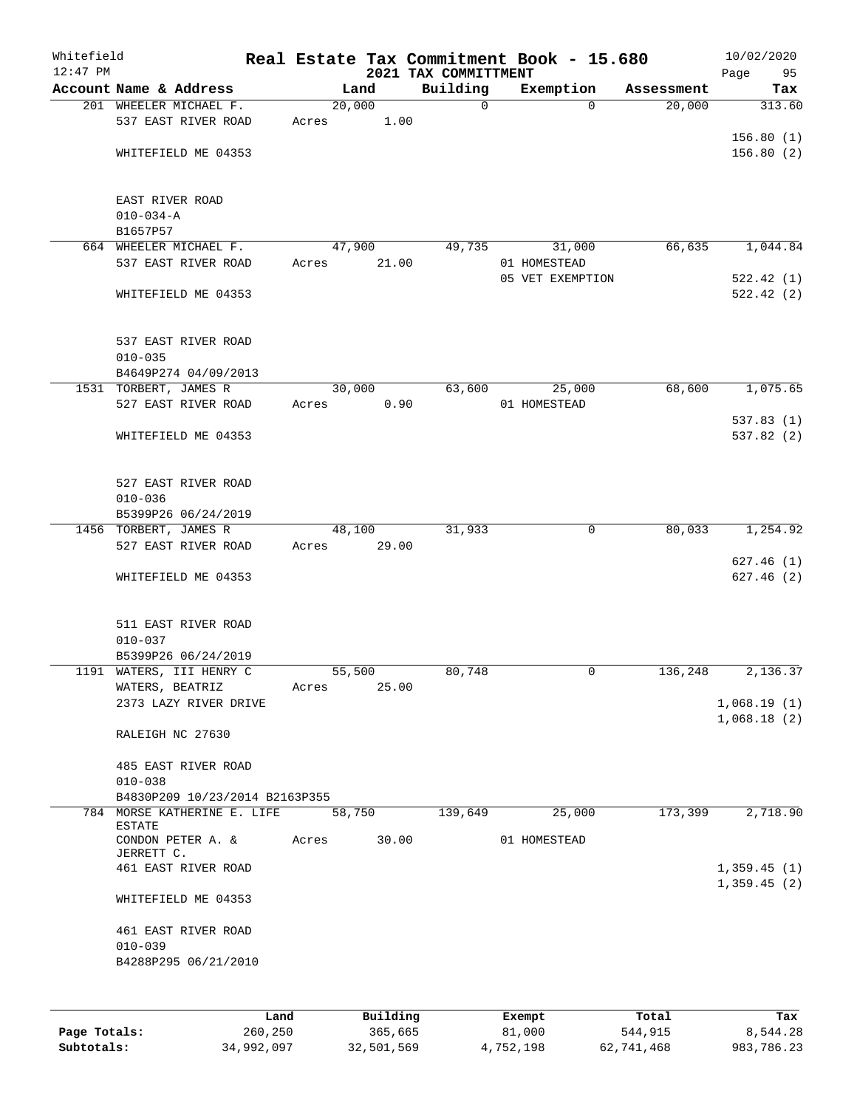| Whitefield<br>$12:47$ PM |                                               |       |       |        |          | 2021 TAX COMMITTMENT | Real Estate Tax Commitment Book - 15.680 |            | 10/02/2020<br>Page<br>95   |
|--------------------------|-----------------------------------------------|-------|-------|--------|----------|----------------------|------------------------------------------|------------|----------------------------|
|                          | Account Name & Address                        |       |       | Land   |          | Building             | Exemption                                | Assessment | Tax                        |
|                          | 201 WHEELER MICHAEL F.                        |       |       | 20,000 |          | $\mathbf 0$          | $\Omega$                                 | 20,000     | 313.60                     |
|                          | 537 EAST RIVER ROAD                           |       | Acres |        | 1.00     |                      |                                          |            |                            |
|                          |                                               |       |       |        |          |                      |                                          |            | 156.80(1)                  |
|                          | WHITEFIELD ME 04353                           |       |       |        |          |                      |                                          |            | 156.80(2)                  |
|                          |                                               |       |       |        |          |                      |                                          |            |                            |
|                          | EAST RIVER ROAD<br>$010 - 034 - A$            |       |       |        |          |                      |                                          |            |                            |
|                          | B1657P57                                      |       |       |        |          |                      |                                          |            |                            |
|                          | 664 WHEELER MICHAEL F.                        |       |       | 47,900 |          | 49,735               | 31,000                                   | 66,635     | 1,044.84                   |
|                          | 537 EAST RIVER ROAD                           |       | Acres |        | 21.00    |                      | 01 HOMESTEAD                             |            |                            |
|                          |                                               |       |       |        |          |                      | 05 VET EXEMPTION                         |            | 522.42(1)                  |
|                          | WHITEFIELD ME 04353                           |       |       |        |          |                      |                                          |            | 522.42(2)                  |
|                          | 537 EAST RIVER ROAD                           |       |       |        |          |                      |                                          |            |                            |
|                          | $010 - 035$                                   |       |       |        |          |                      |                                          |            |                            |
|                          | B4649P274 04/09/2013                          |       |       |        |          |                      |                                          |            |                            |
|                          | 1531 TORBERT, JAMES R                         |       |       | 30,000 |          | 63,600               | 25,000                                   | 68,600     | 1,075.65                   |
|                          | 527 EAST RIVER ROAD                           |       | Acres |        | 0.90     |                      | 01 HOMESTEAD                             |            |                            |
|                          |                                               |       |       |        |          |                      |                                          |            | 537.83(1)                  |
|                          | WHITEFIELD ME 04353                           |       |       |        |          |                      |                                          |            | 537.82 (2)                 |
|                          | 527 EAST RIVER ROAD                           |       |       |        |          |                      |                                          |            |                            |
|                          | $010 - 036$                                   |       |       |        |          |                      |                                          |            |                            |
|                          | B5399P26 06/24/2019                           |       |       |        |          |                      |                                          |            |                            |
|                          | 1456 TORBERT, JAMES R                         |       |       | 48,100 |          | 31,933               | $\mathbf 0$                              | 80,033     | 1,254.92                   |
|                          | 527 EAST RIVER ROAD                           |       | Acres |        | 29.00    |                      |                                          |            |                            |
|                          |                                               |       |       |        |          |                      |                                          |            | 627.46(1)<br>627.46(2)     |
|                          | WHITEFIELD ME 04353                           |       |       |        |          |                      |                                          |            |                            |
|                          | 511 EAST RIVER ROAD                           |       |       |        |          |                      |                                          |            |                            |
|                          | $010 - 037$                                   |       |       |        |          |                      |                                          |            |                            |
|                          | B5399P26 06/24/2019                           |       |       |        |          |                      |                                          |            |                            |
|                          | 1191 WATERS, III HENRY C                      |       |       | 55,500 | 25.00    | 80,748               | 0                                        | 136,248    | 2,136.37                   |
|                          | WATERS, BEATRIZ<br>2373 LAZY RIVER DRIVE      |       | Acres |        |          |                      |                                          |            | 1,068.19(1)                |
|                          |                                               |       |       |        |          |                      |                                          |            | 1,068.18(2)                |
|                          | RALEIGH NC 27630                              |       |       |        |          |                      |                                          |            |                            |
|                          | 485 EAST RIVER ROAD                           |       |       |        |          |                      |                                          |            |                            |
|                          | $010 - 038$<br>B4830P209 10/23/2014 B2163P355 |       |       |        |          |                      |                                          |            |                            |
|                          | 784 MORSE KATHERINE E. LIFE                   |       |       | 58,750 |          | 139,649              | 25,000                                   | 173,399    | 2,718.90                   |
|                          | <b>ESTATE</b>                                 |       |       |        |          |                      |                                          |            |                            |
|                          | CONDON PETER A. &<br>JERRETT C.               |       | Acres |        | 30.00    |                      | 01 HOMESTEAD                             |            |                            |
|                          | 461 EAST RIVER ROAD                           |       |       |        |          |                      |                                          |            | 1,359.45(1)<br>1,359.45(2) |
|                          | WHITEFIELD ME 04353                           |       |       |        |          |                      |                                          |            |                            |
|                          | 461 EAST RIVER ROAD                           |       |       |        |          |                      |                                          |            |                            |
|                          | $010 - 039$                                   |       |       |        |          |                      |                                          |            |                            |
|                          | B4288P295 06/21/2010                          |       |       |        |          |                      |                                          |            |                            |
|                          |                                               |       |       |        |          |                      |                                          |            |                            |
|                          |                                               | Land, |       |        | Building |                      | <b>Exempt</b>                            | Total      | Tax                        |

|              | Land       | Building   | Exempt    | Total      | Tax        |
|--------------|------------|------------|-----------|------------|------------|
| Page Totals: | 260,250    | 365,665    | 81,000    | 544,915    | 8,544.28   |
| Subtotals:   | 34,992,097 | 32,501,569 | 4,752,198 | 62,741,468 | 983,786.23 |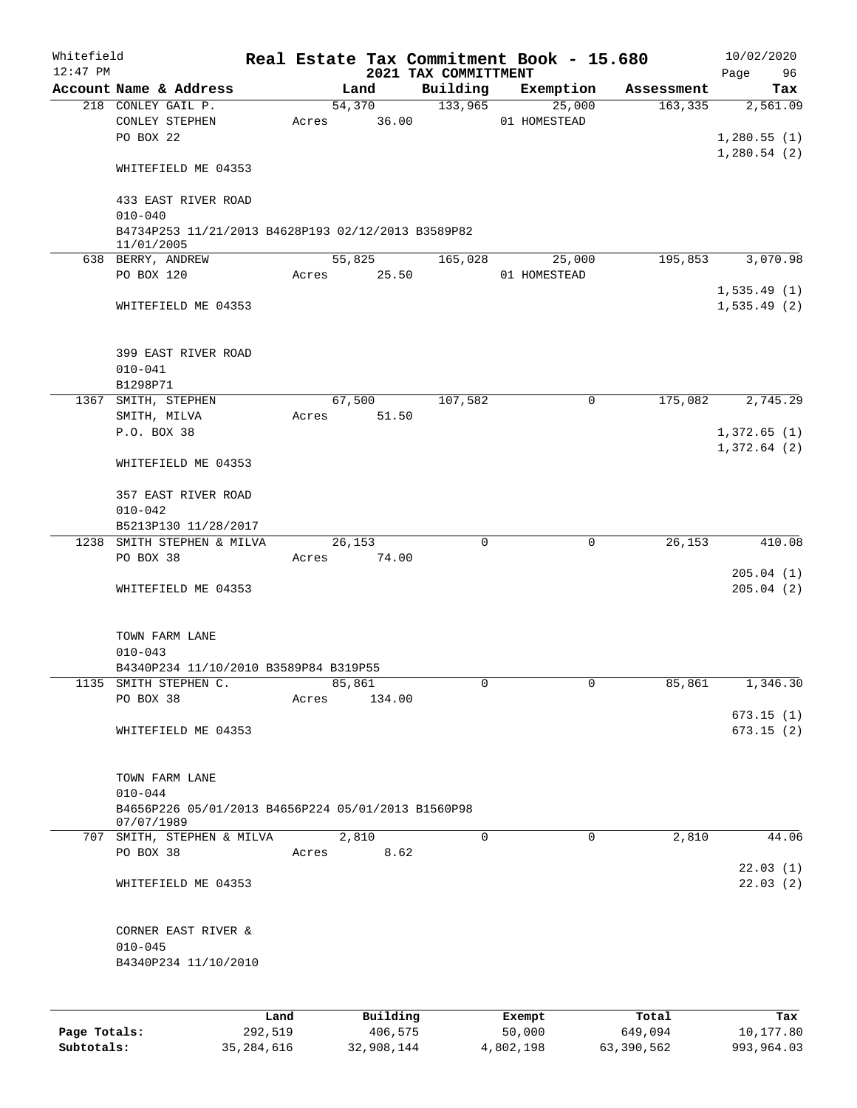| Whitefield<br>$12:47$ PM |                                                                  |              |       |        |            | 2021 TAX COMMITTMENT | Real Estate Tax Commitment Book - 15.680 |            | 10/02/2020<br>96<br>Page |
|--------------------------|------------------------------------------------------------------|--------------|-------|--------|------------|----------------------|------------------------------------------|------------|--------------------------|
|                          | Account Name & Address                                           |              |       | Land   |            | Building             | Exemption                                | Assessment | Tax                      |
|                          | 218 CONLEY GAIL P.                                               |              |       | 54,370 |            | 133,965              | 25,000                                   | 163, 335   | 2,561.09                 |
|                          | CONLEY STEPHEN                                                   |              | Acres |        | 36.00      |                      | 01 HOMESTEAD                             |            |                          |
|                          | PO BOX 22                                                        |              |       |        |            |                      |                                          |            | 1,280.55(1)              |
|                          |                                                                  |              |       |        |            |                      |                                          |            | 1,280.54(2)              |
|                          | WHITEFIELD ME 04353                                              |              |       |        |            |                      |                                          |            |                          |
|                          |                                                                  |              |       |        |            |                      |                                          |            |                          |
|                          | 433 EAST RIVER ROAD<br>$010 - 040$                               |              |       |        |            |                      |                                          |            |                          |
|                          | B4734P253 11/21/2013 B4628P193 02/12/2013 B3589P82               |              |       |        |            |                      |                                          |            |                          |
|                          | 11/01/2005                                                       |              |       |        |            |                      |                                          |            |                          |
|                          | 638 BERRY, ANDREW                                                |              |       | 55,825 |            | 165,028              | 25,000                                   | 195,853    | 3,070.98                 |
|                          | PO BOX 120                                                       |              | Acres |        | 25.50      |                      | 01 HOMESTEAD                             |            |                          |
|                          |                                                                  |              |       |        |            |                      |                                          |            | 1,535.49(1)              |
|                          | WHITEFIELD ME 04353                                              |              |       |        |            |                      |                                          |            | 1,535.49(2)              |
|                          |                                                                  |              |       |        |            |                      |                                          |            |                          |
|                          |                                                                  |              |       |        |            |                      |                                          |            |                          |
|                          | 399 EAST RIVER ROAD                                              |              |       |        |            |                      |                                          |            |                          |
|                          | $010 - 041$<br>B1298P71                                          |              |       |        |            |                      |                                          |            |                          |
|                          | 1367 SMITH, STEPHEN                                              |              |       | 67,500 |            | 107,582              | 0                                        | 175,082    | 2,745.29                 |
|                          | SMITH, MILVA                                                     |              | Acres |        | 51.50      |                      |                                          |            |                          |
|                          | P.O. BOX 38                                                      |              |       |        |            |                      |                                          |            | 1,372.65(1)              |
|                          |                                                                  |              |       |        |            |                      |                                          |            | 1,372.64(2)              |
|                          | WHITEFIELD ME 04353                                              |              |       |        |            |                      |                                          |            |                          |
|                          |                                                                  |              |       |        |            |                      |                                          |            |                          |
|                          | 357 EAST RIVER ROAD                                              |              |       |        |            |                      |                                          |            |                          |
|                          | $010 - 042$                                                      |              |       |        |            |                      |                                          |            |                          |
|                          | B5213P130 11/28/2017                                             |              |       |        |            |                      |                                          |            |                          |
|                          | 1238 SMITH STEPHEN & MILVA                                       |              |       | 26,153 |            | $\mathbf 0$          | $\mathbf 0$                              | 26,153     | 410.08                   |
|                          | PO BOX 38                                                        |              | Acres |        | 74.00      |                      |                                          |            |                          |
|                          |                                                                  |              |       |        |            |                      |                                          |            | 205.04(1)                |
|                          | WHITEFIELD ME 04353                                              |              |       |        |            |                      |                                          |            | 205.04(2)                |
|                          |                                                                  |              |       |        |            |                      |                                          |            |                          |
|                          | TOWN FARM LANE                                                   |              |       |        |            |                      |                                          |            |                          |
|                          | $010 - 043$                                                      |              |       |        |            |                      |                                          |            |                          |
|                          | B4340P234 11/10/2010 B3589P84 B319P55                            |              |       |        |            |                      |                                          |            |                          |
|                          | 1135 SMITH STEPHEN C.                                            |              |       | 85,861 |            | 0                    | 0                                        | 85,861     | 1,346.30                 |
|                          | PO BOX 38                                                        |              | Acres |        | 134.00     |                      |                                          |            |                          |
|                          |                                                                  |              |       |        |            |                      |                                          |            | 673.15(1)                |
|                          | WHITEFIELD ME 04353                                              |              |       |        |            |                      |                                          |            | 673.15(2)                |
|                          |                                                                  |              |       |        |            |                      |                                          |            |                          |
|                          |                                                                  |              |       |        |            |                      |                                          |            |                          |
|                          | TOWN FARM LANE                                                   |              |       |        |            |                      |                                          |            |                          |
|                          | $010 - 044$                                                      |              |       |        |            |                      |                                          |            |                          |
|                          | B4656P226 05/01/2013 B4656P224 05/01/2013 B1560P98<br>07/07/1989 |              |       |        |            |                      |                                          |            |                          |
|                          | 707 SMITH, STEPHEN & MILVA                                       |              |       | 2,810  |            | 0                    | $\mathbf 0$                              | 2,810      | 44.06                    |
|                          | PO BOX 38                                                        |              | Acres |        | 8.62       |                      |                                          |            |                          |
|                          |                                                                  |              |       |        |            |                      |                                          |            | 22.03(1)                 |
|                          | WHITEFIELD ME 04353                                              |              |       |        |            |                      |                                          |            | 22.03(2)                 |
|                          |                                                                  |              |       |        |            |                      |                                          |            |                          |
|                          |                                                                  |              |       |        |            |                      |                                          |            |                          |
|                          | CORNER EAST RIVER &                                              |              |       |        |            |                      |                                          |            |                          |
|                          | $010 - 045$                                                      |              |       |        |            |                      |                                          |            |                          |
|                          | B4340P234 11/10/2010                                             |              |       |        |            |                      |                                          |            |                          |
|                          |                                                                  |              |       |        |            |                      |                                          |            |                          |
|                          |                                                                  |              |       |        |            |                      |                                          |            |                          |
|                          |                                                                  | Land         |       |        | Building   |                      | Exempt                                   | Total      | Tax                      |
| Page Totals:             |                                                                  | 292,519      |       |        | 406,575    |                      | 50,000                                   | 649,094    | 10,177.80                |
| Subtotals:               |                                                                  | 35, 284, 616 |       |        | 32,908,144 |                      | 4,802,198                                | 63,390,562 | 993,964.03               |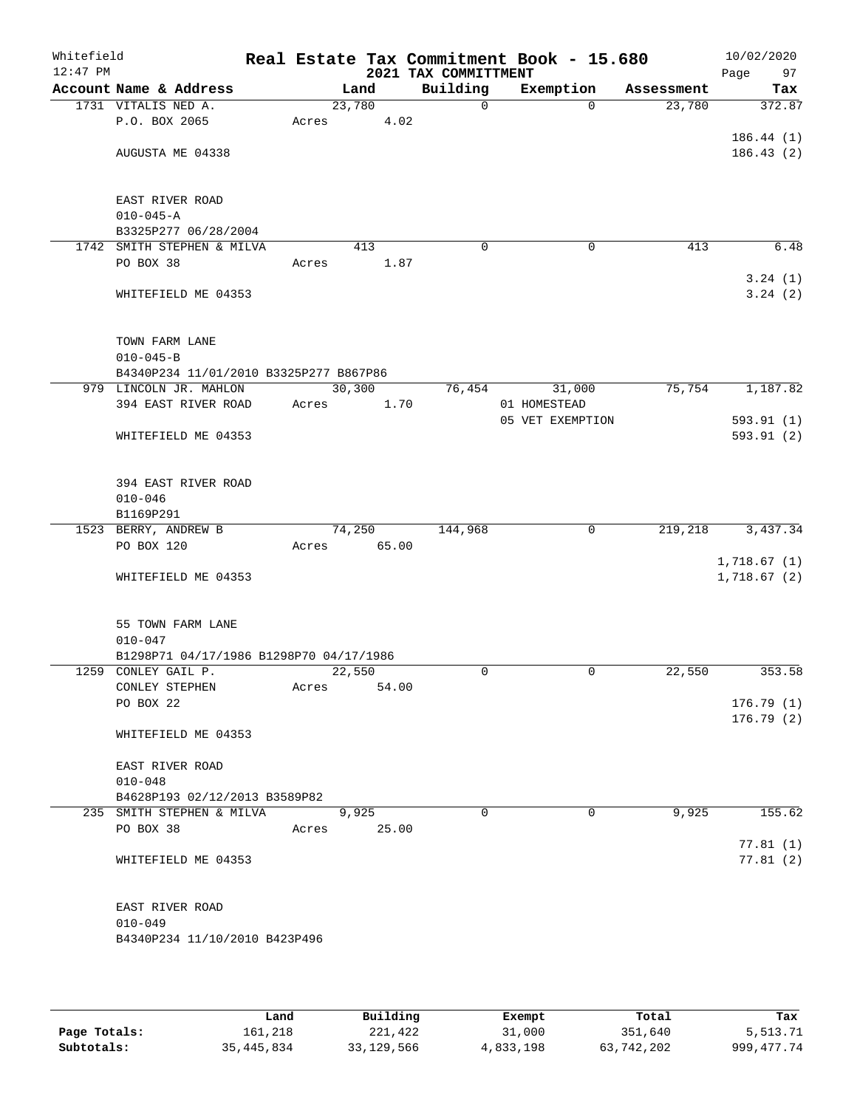| Whitefield<br>$12:47$ PM |                                                        |             |        |       | Real Estate Tax Commitment Book - 15.680<br>2021 TAX COMMITTMENT |              |                  |            | 10/02/2020<br>Page<br>97 |
|--------------------------|--------------------------------------------------------|-------------|--------|-------|------------------------------------------------------------------|--------------|------------------|------------|--------------------------|
|                          | Account Name & Address                                 |             | Land   |       | Building                                                         |              | Exemption        | Assessment | Tax                      |
|                          | 1731 VITALIS NED A.                                    |             | 23,780 |       | $\mathbf 0$                                                      |              | $\Omega$         | 23,780     | 372.87                   |
|                          | P.O. BOX 2065                                          | Acres       |        | 4.02  |                                                                  |              |                  |            |                          |
|                          |                                                        |             |        |       |                                                                  |              |                  |            | 186.44(1)                |
|                          | AUGUSTA ME 04338                                       |             |        |       |                                                                  |              |                  |            | 186.43(2)                |
|                          |                                                        |             |        |       |                                                                  |              |                  |            |                          |
|                          | EAST RIVER ROAD                                        |             |        |       |                                                                  |              |                  |            |                          |
|                          | $010 - 045 - A$                                        |             |        |       |                                                                  |              |                  |            |                          |
|                          | B3325P277 06/28/2004                                   |             |        |       |                                                                  |              |                  |            |                          |
| 1742                     | SMITH STEPHEN & MILVA                                  |             | 413    |       | $\mathbf 0$                                                      |              | 0                | 413        | 6.48                     |
|                          | PO BOX 38                                              | Acres       |        | 1.87  |                                                                  |              |                  |            |                          |
|                          |                                                        |             |        |       |                                                                  |              |                  |            | 3.24(1)                  |
|                          | WHITEFIELD ME 04353                                    |             |        |       |                                                                  |              |                  |            | 3.24(2)                  |
|                          |                                                        |             |        |       |                                                                  |              |                  |            |                          |
|                          |                                                        |             |        |       |                                                                  |              |                  |            |                          |
|                          | TOWN FARM LANE                                         |             |        |       |                                                                  |              |                  |            |                          |
|                          | $010 - 045 - B$                                        |             |        |       |                                                                  |              |                  |            |                          |
|                          | B4340P234 11/01/2010 B3325P277 B867P86                 |             |        |       |                                                                  |              |                  |            |                          |
|                          | 979 LINCOLN JR. MAHLON                                 |             | 30,300 |       | 76,454                                                           |              | 31,000           | 75,754     | 1,187.82                 |
|                          | 394 EAST RIVER ROAD                                    | Acres       |        | 1.70  |                                                                  | 01 HOMESTEAD |                  |            | 593.91(1)                |
|                          | WHITEFIELD ME 04353                                    |             |        |       |                                                                  |              | 05 VET EXEMPTION |            | 593.91(2)                |
|                          |                                                        |             |        |       |                                                                  |              |                  |            |                          |
|                          |                                                        |             |        |       |                                                                  |              |                  |            |                          |
|                          | 394 EAST RIVER ROAD                                    |             |        |       |                                                                  |              |                  |            |                          |
|                          | $010 - 046$                                            |             |        |       |                                                                  |              |                  |            |                          |
|                          | B1169P291                                              |             |        |       |                                                                  |              |                  |            |                          |
|                          | 1523 BERRY, ANDREW B                                   |             | 74,250 |       | 144,968                                                          |              | 0                | 219,218    | 3,437.34                 |
|                          | PO BOX 120                                             | Acres       |        | 65.00 |                                                                  |              |                  |            |                          |
|                          |                                                        |             |        |       |                                                                  |              |                  |            | 1,718.67(1)              |
|                          | WHITEFIELD ME 04353                                    |             |        |       |                                                                  |              |                  |            | 1,718.67(2)              |
|                          |                                                        |             |        |       |                                                                  |              |                  |            |                          |
|                          |                                                        |             |        |       |                                                                  |              |                  |            |                          |
|                          | 55 TOWN FARM LANE                                      |             |        |       |                                                                  |              |                  |            |                          |
|                          | $010 - 047$<br>B1298P71 04/17/1986 B1298P70 04/17/1986 |             |        |       |                                                                  |              |                  |            |                          |
|                          | 1259 CONLEY GAIL P.                                    |             | 22,550 |       | 0                                                                |              | $\mathbf 0$      | 22,550     | 353.58                   |
|                          | CONLEY STEPHEN                                         | Acres       |        | 54.00 |                                                                  |              |                  |            |                          |
|                          | PO BOX 22                                              |             |        |       |                                                                  |              |                  |            | 176.79(1)                |
|                          |                                                        |             |        |       |                                                                  |              |                  |            | 176.79(2)                |
|                          | WHITEFIELD ME 04353                                    |             |        |       |                                                                  |              |                  |            |                          |
|                          |                                                        |             |        |       |                                                                  |              |                  |            |                          |
|                          | EAST RIVER ROAD                                        |             |        |       |                                                                  |              |                  |            |                          |
|                          | $010 - 048$                                            |             |        |       |                                                                  |              |                  |            |                          |
|                          | B4628P193 02/12/2013 B3589P82                          |             |        |       |                                                                  |              |                  |            |                          |
|                          | 235 SMITH STEPHEN & MILVA                              |             | 9,925  |       | $\Omega$                                                         |              | $\Omega$         | 9,925      | 155.62                   |
|                          | PO BOX 38                                              | Acres 25.00 |        |       |                                                                  |              |                  |            |                          |
|                          |                                                        |             |        |       |                                                                  |              |                  |            | 77.81(1)                 |
|                          | WHITEFIELD ME 04353                                    |             |        |       |                                                                  |              |                  |            | 77.81(2)                 |
|                          |                                                        |             |        |       |                                                                  |              |                  |            |                          |
|                          | EAST RIVER ROAD                                        |             |        |       |                                                                  |              |                  |            |                          |
|                          | $010 - 049$                                            |             |        |       |                                                                  |              |                  |            |                          |
|                          | B4340P234 11/10/2010 B423P496                          |             |        |       |                                                                  |              |                  |            |                          |
|                          |                                                        |             |        |       |                                                                  |              |                  |            |                          |
|                          |                                                        |             |        |       |                                                                  |              |                  |            |                          |

|              | Land       | Building   | Exempt    | Total      | Tax          |
|--------------|------------|------------|-----------|------------|--------------|
| Page Totals: | 161,218    | 221,422    | 31,000    | 351,640    | 5,513.71     |
| Subtotals:   | 35,445,834 | 33,129,566 | 4,833,198 | 63,742,202 | 999, 477, 74 |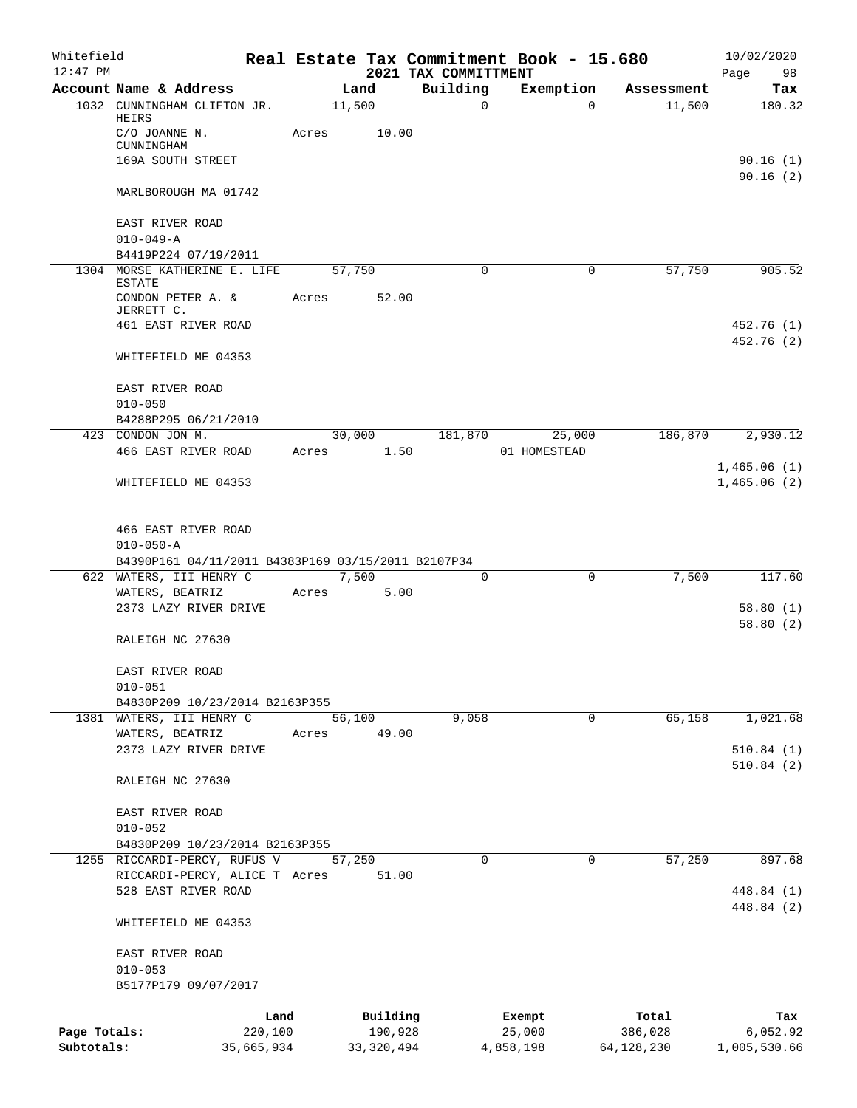| Whitefield   |                                                                       |            |        |              |                                  | Real Estate Tax Commitment Book - 15.680 |             |            | 10/02/2020             |
|--------------|-----------------------------------------------------------------------|------------|--------|--------------|----------------------------------|------------------------------------------|-------------|------------|------------------------|
| $12:47$ PM   | Account Name & Address                                                |            |        | Land         | 2021 TAX COMMITTMENT<br>Building | Exemption                                |             | Assessment | Page<br>98<br>Tax      |
|              | 1032 CUNNINGHAM CLIFTON JR.                                           |            | 11,500 |              | $\mathbf{0}$                     |                                          | $\Omega$    | 11,500     | 180.32                 |
|              | HEIRS                                                                 |            |        |              |                                  |                                          |             |            |                        |
|              | C/O JOANNE N.                                                         | Acres      |        | 10.00        |                                  |                                          |             |            |                        |
|              | CUNNINGHAM<br>169A SOUTH STREET                                       |            |        |              |                                  |                                          |             |            | 90.16(1)               |
|              |                                                                       |            |        |              |                                  |                                          |             |            | 90.16(2)               |
|              | MARLBOROUGH MA 01742                                                  |            |        |              |                                  |                                          |             |            |                        |
|              |                                                                       |            |        |              |                                  |                                          |             |            |                        |
|              | EAST RIVER ROAD                                                       |            |        |              |                                  |                                          |             |            |                        |
|              | $010 - 049 - A$                                                       |            |        |              |                                  |                                          |             |            |                        |
|              | B4419P224 07/19/2011<br>1304 MORSE KATHERINE E. LIFE                  |            | 57,750 |              | 0                                |                                          | $\mathbf 0$ | 57,750     | 905.52                 |
|              | <b>ESTATE</b>                                                         |            |        |              |                                  |                                          |             |            |                        |
|              | CONDON PETER A. &                                                     | Acres      |        | 52.00        |                                  |                                          |             |            |                        |
|              | JERRETT C.                                                            |            |        |              |                                  |                                          |             |            |                        |
|              | 461 EAST RIVER ROAD                                                   |            |        |              |                                  |                                          |             |            | 452.76 (1)             |
|              | WHITEFIELD ME 04353                                                   |            |        |              |                                  |                                          |             |            | 452.76 (2)             |
|              |                                                                       |            |        |              |                                  |                                          |             |            |                        |
|              | EAST RIVER ROAD                                                       |            |        |              |                                  |                                          |             |            |                        |
|              | $010 - 050$                                                           |            |        |              |                                  |                                          |             |            |                        |
|              | B4288P295 06/21/2010                                                  |            |        |              |                                  |                                          |             |            |                        |
|              | 423 CONDON JON M.                                                     |            | 30,000 |              | 181,870                          | 25,000                                   |             | 186,870    | 2,930.12               |
|              | 466 EAST RIVER ROAD                                                   | Acres      |        | 1.50         |                                  | 01 HOMESTEAD                             |             |            |                        |
|              |                                                                       |            |        |              |                                  |                                          |             |            | 1,465.06(1)            |
|              | WHITEFIELD ME 04353                                                   |            |        |              |                                  |                                          |             |            | 1,465.06(2)            |
|              |                                                                       |            |        |              |                                  |                                          |             |            |                        |
|              |                                                                       |            |        |              |                                  |                                          |             |            |                        |
|              | 466 EAST RIVER ROAD                                                   |            |        |              |                                  |                                          |             |            |                        |
|              | $010 - 050 - A$<br>B4390P161 04/11/2011 B4383P169 03/15/2011 B2107P34 |            |        |              |                                  |                                          |             |            |                        |
|              | 622 WATERS, III HENRY C                                               |            |        | 7,500        | 0                                |                                          | $\mathbf 0$ | 7,500      | 117.60                 |
|              | WATERS, BEATRIZ                                                       | Acres      |        | 5.00         |                                  |                                          |             |            |                        |
|              | 2373 LAZY RIVER DRIVE                                                 |            |        |              |                                  |                                          |             |            | 58.80(1)               |
|              |                                                                       |            |        |              |                                  |                                          |             |            | 58.80(2)               |
|              | RALEIGH NC 27630                                                      |            |        |              |                                  |                                          |             |            |                        |
|              |                                                                       |            |        |              |                                  |                                          |             |            |                        |
|              | EAST RIVER ROAD                                                       |            |        |              |                                  |                                          |             |            |                        |
|              | $010 - 051$                                                           |            |        |              |                                  |                                          |             |            |                        |
|              | B4830P209 10/23/2014 B2163P355                                        |            |        |              |                                  |                                          |             |            |                        |
|              | 1381 WATERS, III HENRY C                                              |            | 56,100 |              | 9,058                            |                                          | 0           | 65,158     | 1,021.68               |
|              | WATERS, BEATRIZ<br>2373 LAZY RIVER DRIVE                              | Acres      |        | 49.00        |                                  |                                          |             |            |                        |
|              |                                                                       |            |        |              |                                  |                                          |             |            | 510.84(1)<br>510.84(2) |
|              | RALEIGH NC 27630                                                      |            |        |              |                                  |                                          |             |            |                        |
|              |                                                                       |            |        |              |                                  |                                          |             |            |                        |
|              | EAST RIVER ROAD                                                       |            |        |              |                                  |                                          |             |            |                        |
|              | $010 - 052$                                                           |            |        |              |                                  |                                          |             |            |                        |
|              | B4830P209 10/23/2014 B2163P355                                        |            |        |              |                                  |                                          |             |            |                        |
|              | 1255 RICCARDI-PERCY, RUFUS V                                          |            | 57,250 |              | 0                                |                                          | 0           | 57,250     | 897.68                 |
|              | RICCARDI-PERCY, ALICE T Acres                                         |            |        | 51.00        |                                  |                                          |             |            |                        |
|              | 528 EAST RIVER ROAD                                                   |            |        |              |                                  |                                          |             |            | 448.84 (1)             |
|              |                                                                       |            |        |              |                                  |                                          |             |            | 448.84 (2)             |
|              | WHITEFIELD ME 04353                                                   |            |        |              |                                  |                                          |             |            |                        |
|              | EAST RIVER ROAD                                                       |            |        |              |                                  |                                          |             |            |                        |
|              | $010 - 053$                                                           |            |        |              |                                  |                                          |             |            |                        |
|              | B5177P179 09/07/2017                                                  |            |        |              |                                  |                                          |             |            |                        |
|              |                                                                       |            |        |              |                                  |                                          |             |            |                        |
|              |                                                                       | Land       |        | Building     |                                  | Exempt                                   |             | Total      | Tax                    |
| Page Totals: |                                                                       | 220,100    |        | 190,928      |                                  | 25,000                                   |             | 386,028    | 6,052.92               |
| Subtotals:   |                                                                       | 35,665,934 |        | 33, 320, 494 |                                  | 4,858,198                                |             | 64,128,230 | 1,005,530.66           |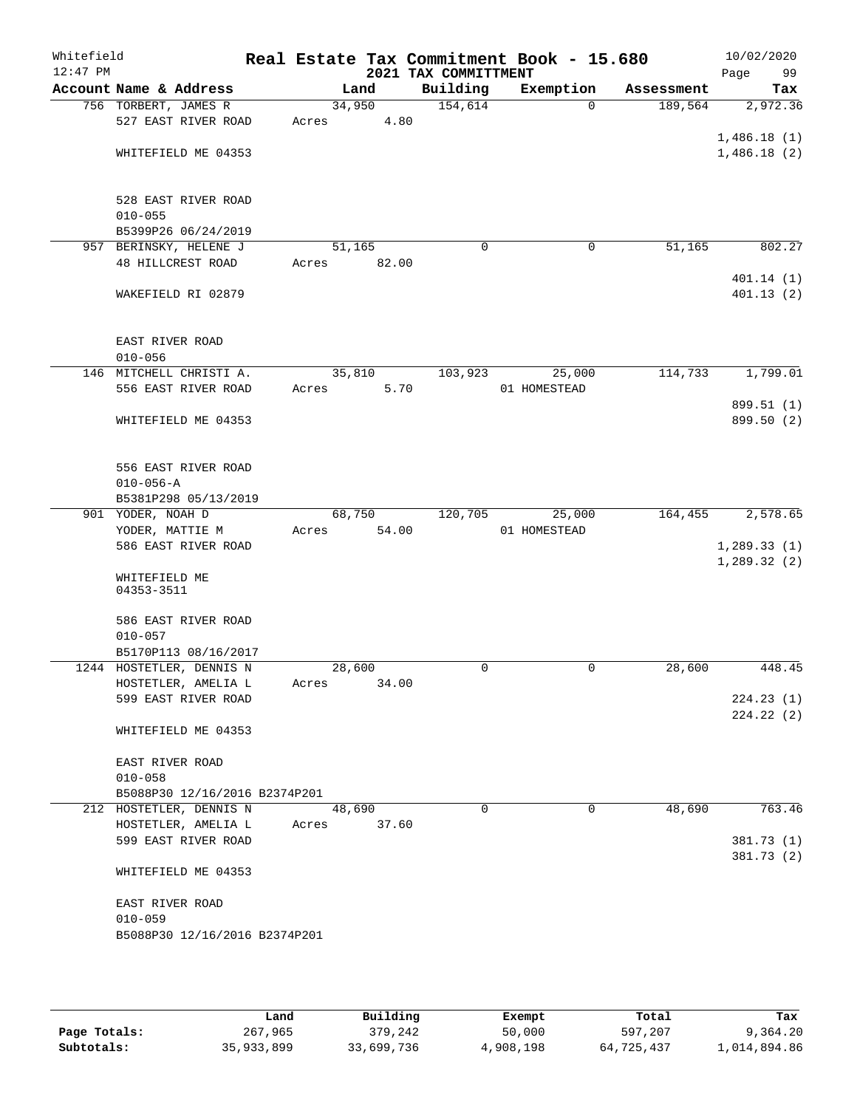| Whitefield<br>$12:47$ PM |                               |        |       | 2021 TAX COMMITTMENT | Real Estate Tax Commitment Book - 15.680 |            | 10/02/2020<br>Page<br>99 |
|--------------------------|-------------------------------|--------|-------|----------------------|------------------------------------------|------------|--------------------------|
|                          | Account Name & Address        |        | Land  | Building             | Exemption                                | Assessment | Tax                      |
|                          | 756 TORBERT, JAMES R          | 34,950 |       | 154,614              | $\Omega$                                 | 189,564    | 2,972.36                 |
|                          | 527 EAST RIVER ROAD           | Acres  | 4.80  |                      |                                          |            |                          |
|                          |                               |        |       |                      |                                          |            | 1,486.18(1)              |
|                          | WHITEFIELD ME 04353           |        |       |                      |                                          |            | 1,486.18(2)              |
|                          |                               |        |       |                      |                                          |            |                          |
|                          |                               |        |       |                      |                                          |            |                          |
|                          | 528 EAST RIVER ROAD           |        |       |                      |                                          |            |                          |
|                          | $010 - 055$                   |        |       |                      |                                          |            |                          |
|                          | B5399P26 06/24/2019           |        |       |                      |                                          |            |                          |
|                          | 957 BERINSKY, HELENE J        | 51,165 |       | 0                    | 0                                        | 51,165     | 802.27                   |
|                          | 48 HILLCREST ROAD             | Acres  | 82.00 |                      |                                          |            |                          |
|                          |                               |        |       |                      |                                          |            | 401.14 (1)               |
|                          | WAKEFIELD RI 02879            |        |       |                      |                                          |            | 401.13(2)                |
|                          |                               |        |       |                      |                                          |            |                          |
|                          | EAST RIVER ROAD               |        |       |                      |                                          |            |                          |
|                          | $010 - 056$                   |        |       |                      |                                          |            |                          |
|                          | 146 MITCHELL CHRISTI A.       | 35,810 |       | 103,923              | 25,000                                   | 114,733    | 1,799.01                 |
|                          | 556 EAST RIVER ROAD           | Acres  | 5.70  |                      | 01 HOMESTEAD                             |            |                          |
|                          |                               |        |       |                      |                                          |            | 899.51 (1)               |
|                          | WHITEFIELD ME 04353           |        |       |                      |                                          |            | 899.50 (2)               |
|                          |                               |        |       |                      |                                          |            |                          |
|                          |                               |        |       |                      |                                          |            |                          |
|                          | 556 EAST RIVER ROAD           |        |       |                      |                                          |            |                          |
|                          | $010 - 056 - A$               |        |       |                      |                                          |            |                          |
|                          | B5381P298 05/13/2019          |        |       |                      |                                          |            |                          |
|                          | 901 YODER, NOAH D             | 68,750 |       | 120,705              | 25,000                                   | 164,455    | 2,578.65                 |
|                          | YODER, MATTIE M               | Acres  | 54.00 |                      | 01 HOMESTEAD                             |            |                          |
|                          | 586 EAST RIVER ROAD           |        |       |                      |                                          |            | 1, 289.33(1)             |
|                          |                               |        |       |                      |                                          |            | 1, 289.32(2)             |
|                          | WHITEFIELD ME                 |        |       |                      |                                          |            |                          |
|                          | 04353-3511                    |        |       |                      |                                          |            |                          |
|                          | 586 EAST RIVER ROAD           |        |       |                      |                                          |            |                          |
|                          | $010 - 057$                   |        |       |                      |                                          |            |                          |
|                          | B5170P113 08/16/2017          |        |       |                      |                                          |            |                          |
|                          | 1244 HOSTETLER, DENNIS N      | 28,600 |       | 0                    | 0                                        | 28,600     | 448.45                   |
|                          | HOSTETLER, AMELIA L           | Acres  | 34.00 |                      |                                          |            |                          |
|                          | 599 EAST RIVER ROAD           |        |       |                      |                                          |            | 224.23(1)                |
|                          |                               |        |       |                      |                                          |            | 224.22(2)                |
|                          | WHITEFIELD ME 04353           |        |       |                      |                                          |            |                          |
|                          |                               |        |       |                      |                                          |            |                          |
|                          | EAST RIVER ROAD               |        |       |                      |                                          |            |                          |
|                          | $010 - 058$                   |        |       |                      |                                          |            |                          |
|                          | B5088P30 12/16/2016 B2374P201 |        |       |                      |                                          |            |                          |
|                          | 212 HOSTETLER, DENNIS N       | 48,690 |       | 0                    | $\mathbf 0$                              | 48,690     | 763.46                   |
|                          | HOSTETLER, AMELIA L           | Acres  | 37.60 |                      |                                          |            |                          |
|                          | 599 EAST RIVER ROAD           |        |       |                      |                                          |            | 381.73 (1)               |
|                          |                               |        |       |                      |                                          |            | 381.73 (2)               |
|                          | WHITEFIELD ME 04353           |        |       |                      |                                          |            |                          |
|                          |                               |        |       |                      |                                          |            |                          |
|                          | EAST RIVER ROAD               |        |       |                      |                                          |            |                          |
|                          | $010 - 059$                   |        |       |                      |                                          |            |                          |
|                          | B5088P30 12/16/2016 B2374P201 |        |       |                      |                                          |            |                          |
|                          |                               |        |       |                      |                                          |            |                          |

|              | Land       | Building   | Exempt    | Total      | Tax          |
|--------------|------------|------------|-----------|------------|--------------|
| Page Totals: | 267,965    | 379,242    | 50,000    | 597,207    | 9,364.20     |
| Subtotals:   | 35,933,899 | 33,699,736 | 4,908,198 | 64,725,437 | l,014,894.86 |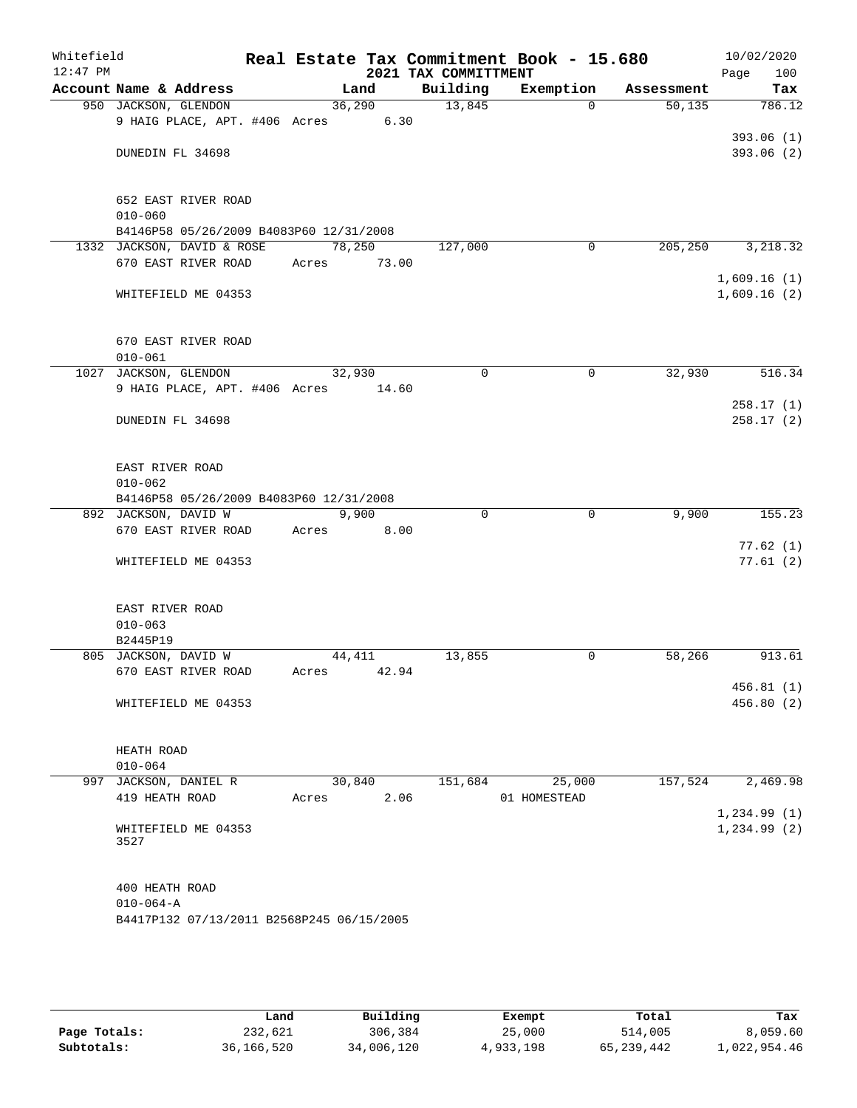| Whitefield<br>$12:47$ PM |                                           |             |        | 2021 TAX COMMITTMENT | Real Estate Tax Commitment Book - 15.680 |                     | 10/02/2020<br>Page<br>100 |
|--------------------------|-------------------------------------------|-------------|--------|----------------------|------------------------------------------|---------------------|---------------------------|
|                          | Account Name & Address                    |             | Land   | Building             | Exemption                                | Assessment          | Tax                       |
|                          | 950 JACKSON, GLENDON                      |             | 36,290 | 13,845               | $\Omega$                                 | $\overline{50,135}$ | 786.12                    |
|                          | 9 HAIG PLACE, APT. #406 Acres 6.30        |             |        |                      |                                          |                     |                           |
|                          |                                           |             |        |                      |                                          |                     | 393.06(1)                 |
|                          | DUNEDIN FL 34698                          |             |        |                      |                                          |                     | 393.06(2)                 |
|                          |                                           |             |        |                      |                                          |                     |                           |
|                          |                                           |             |        |                      |                                          |                     |                           |
|                          | 652 EAST RIVER ROAD<br>$010 - 060$        |             |        |                      |                                          |                     |                           |
|                          | B4146P58 05/26/2009 B4083P60 12/31/2008   |             |        |                      |                                          |                     |                           |
|                          | 1332 JACKSON, DAVID & ROSE                |             | 78,250 | 127,000              | $\mathbf 0$                              | 205, 250            | 3, 218.32                 |
|                          | 670 EAST RIVER ROAD                       | Acres       | 73.00  |                      |                                          |                     |                           |
|                          |                                           |             |        |                      |                                          |                     | 1,609.16(1)               |
|                          | WHITEFIELD ME 04353                       |             |        |                      |                                          |                     | 1,609.16(2)               |
|                          |                                           |             |        |                      |                                          |                     |                           |
|                          |                                           |             |        |                      |                                          |                     |                           |
|                          | 670 EAST RIVER ROAD                       |             |        |                      |                                          |                     |                           |
|                          | $010 - 061$                               |             |        |                      |                                          |                     |                           |
|                          | 1027 JACKSON, GLENDON                     | 32,930      |        | $\mathbf 0$          | 0                                        | 32,930              | 516.34                    |
|                          | 9 HAIG PLACE, APT. #406 Acres             |             | 14.60  |                      |                                          |                     |                           |
|                          |                                           |             |        |                      |                                          |                     | 258.17(1)                 |
|                          | DUNEDIN FL 34698                          |             |        |                      |                                          |                     | 258.17(2)                 |
|                          |                                           |             |        |                      |                                          |                     |                           |
|                          | EAST RIVER ROAD                           |             |        |                      |                                          |                     |                           |
|                          | $010 - 062$                               |             |        |                      |                                          |                     |                           |
|                          | B4146P58 05/26/2009 B4083P60 12/31/2008   |             |        |                      |                                          |                     |                           |
|                          | 892 JACKSON, DAVID W                      |             | 9,900  | $\Omega$             | $\mathbf 0$                              | 9,900               | 155.23                    |
|                          | 670 EAST RIVER ROAD                       | Acres       | 8.00   |                      |                                          |                     |                           |
|                          |                                           |             |        |                      |                                          |                     | 77.62(1)                  |
|                          | WHITEFIELD ME 04353                       |             |        |                      |                                          |                     | 77.61(2)                  |
|                          |                                           |             |        |                      |                                          |                     |                           |
|                          | EAST RIVER ROAD                           |             |        |                      |                                          |                     |                           |
|                          | $010 - 063$                               |             |        |                      |                                          |                     |                           |
|                          | B2445P19                                  |             |        |                      |                                          |                     |                           |
|                          | 805 JACKSON, DAVID W                      |             | 44,411 | 13,855               | 0                                        | 58,266              | 913.61                    |
|                          | 670 EAST RIVER ROAD                       | Acres 42.94 |        |                      |                                          |                     |                           |
|                          |                                           |             |        |                      |                                          |                     | 456.81(1)                 |
|                          | WHITEFIELD ME 04353                       |             |        |                      |                                          |                     | 456.80(2)                 |
|                          |                                           |             |        |                      |                                          |                     |                           |
|                          |                                           |             |        |                      |                                          |                     |                           |
|                          | HEATH ROAD                                |             |        |                      |                                          |                     |                           |
|                          | $010 - 064$<br>997 JACKSON, DANIEL R      |             | 30,840 | 151,684              | 25,000                                   | 157,524             | 2,469.98                  |
|                          | 419 HEATH ROAD                            | Acres       | 2.06   |                      | 01 HOMESTEAD                             |                     |                           |
|                          |                                           |             |        |                      |                                          |                     | 1, 234.99(1)              |
|                          | WHITEFIELD ME 04353                       |             |        |                      |                                          |                     | 1, 234.99(2)              |
|                          | 3527                                      |             |        |                      |                                          |                     |                           |
|                          |                                           |             |        |                      |                                          |                     |                           |
|                          |                                           |             |        |                      |                                          |                     |                           |
|                          | 400 HEATH ROAD                            |             |        |                      |                                          |                     |                           |
|                          | $010 - 064 - A$                           |             |        |                      |                                          |                     |                           |
|                          | B4417P132 07/13/2011 B2568P245 06/15/2005 |             |        |                      |                                          |                     |                           |
|                          |                                           |             |        |                      |                                          |                     |                           |
|                          |                                           |             |        |                      |                                          |                     |                           |
|                          |                                           |             |        |                      |                                          |                     |                           |
|                          |                                           |             |        |                      |                                          |                     |                           |

|              | Land       | Building   | Exempt    | Total        | Tax          |
|--------------|------------|------------|-----------|--------------|--------------|
| Page Totals: | 232,621    | 306,384    | 25,000    | 514,005      | 8,059.60     |
| Subtotals:   | 36,166,520 | 34,006,120 | 4,933,198 | 65, 239, 442 | 1,022,954.46 |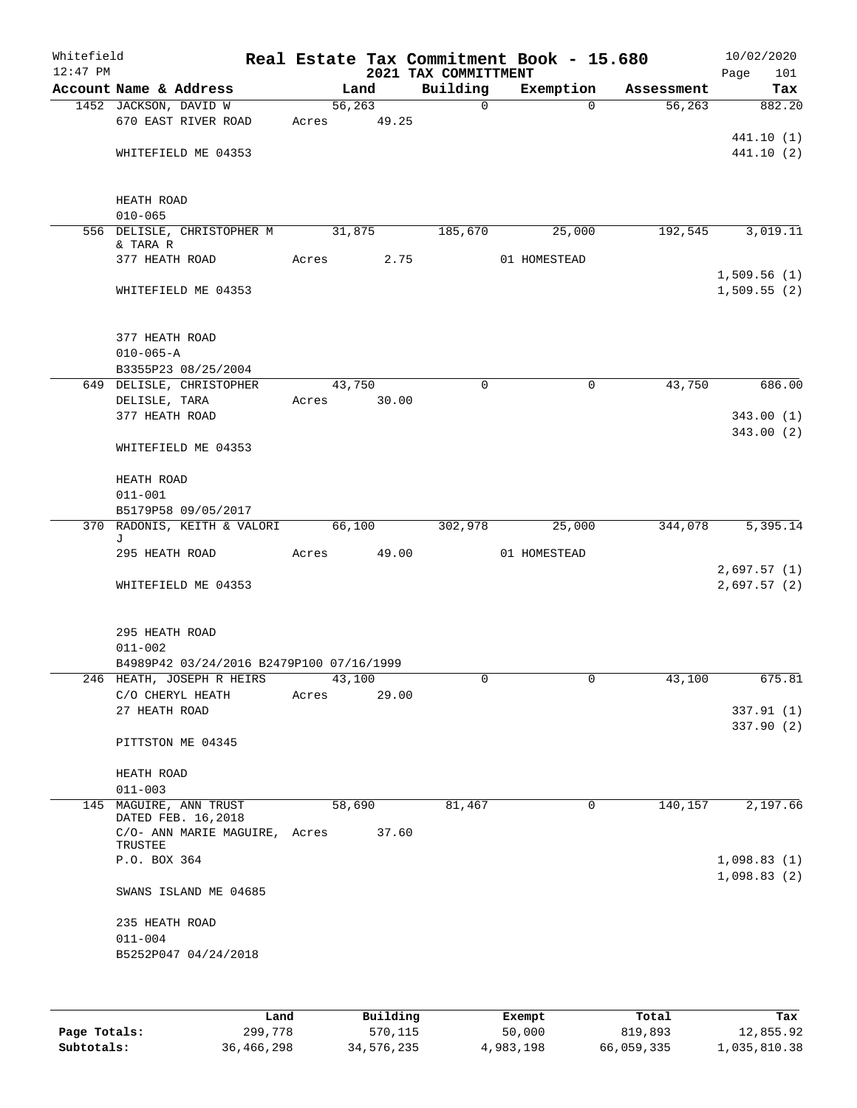| Whitefield<br>$12:47$ PM |                                              |                                          |             |                  | 2021 TAX COMMITTMENT | Real Estate Tax Commitment Book - 15.680 |            | 10/02/2020<br>Page<br>101  |
|--------------------------|----------------------------------------------|------------------------------------------|-------------|------------------|----------------------|------------------------------------------|------------|----------------------------|
|                          | Account Name & Address                       |                                          |             | Land             | Building             | Exemption                                | Assessment | Tax                        |
|                          | 1452 JACKSON, DAVID W<br>670 EAST RIVER ROAD |                                          | Acres       | 56, 263<br>49.25 | $\mathsf{O}$         | $\Omega$                                 | 56, 263    | 882.20                     |
|                          | WHITEFIELD ME 04353                          |                                          |             |                  |                      |                                          |            | 441.10 (1)<br>441.10 (2)   |
|                          | HEATH ROAD                                   |                                          |             |                  |                      |                                          |            |                            |
|                          | $010 - 065$                                  | 556 DELISLE, CHRISTOPHER M               |             | 31,875           | 185,670              | 25,000                                   | 192,545    | 3,019.11                   |
|                          | & TARA R<br>377 HEATH ROAD                   |                                          | Acres       | 2.75             |                      | 01 HOMESTEAD                             |            |                            |
|                          | WHITEFIELD ME 04353                          |                                          |             |                  |                      |                                          |            | 1,509.56(1)<br>1,509.55(2) |
|                          | 377 HEATH ROAD<br>$010 - 065 - A$            |                                          |             |                  |                      |                                          |            |                            |
|                          | B3355P23 08/25/2004                          |                                          |             |                  |                      |                                          |            |                            |
|                          | 649 DELISLE, CHRISTOPHER                     |                                          |             | 43,750           | $\Omega$             | $\mathbf 0$                              | 43,750     | 686.00                     |
|                          | DELISLE, TARA<br>377 HEATH ROAD              |                                          | Acres 30.00 |                  |                      |                                          |            | 343.00(1)                  |
|                          | WHITEFIELD ME 04353                          |                                          |             |                  |                      |                                          |            | 343.00(2)                  |
|                          | HEATH ROAD                                   |                                          |             |                  |                      |                                          |            |                            |
|                          | $011 - 001$<br>B5179P58 09/05/2017           |                                          |             |                  |                      |                                          |            |                            |
|                          |                                              | 370 RADONIS, KEITH & VALORI              |             | 66,100           | 302,978              | 25,000                                   | 344,078    | 5,395.14                   |
|                          | J<br>295 HEATH ROAD                          |                                          | Acres       | 49.00            |                      | 01 HOMESTEAD                             |            |                            |
|                          |                                              |                                          |             |                  |                      |                                          |            | 2,697.57(1)                |
|                          | WHITEFIELD ME 04353                          |                                          |             |                  |                      |                                          |            | 2,697.57(2)                |
|                          | 295 HEATH ROAD<br>$011 - 002$                |                                          |             |                  |                      |                                          |            |                            |
|                          |                                              | B4989P42 03/24/2016 B2479P100 07/16/1999 |             |                  |                      |                                          |            |                            |
|                          |                                              | 246 HEATH, JOSEPH R HEIRS 43,100         |             |                  |                      |                                          | 43,100     | 675.81                     |
|                          | C/O CHERYL HEATH                             |                                          | Acres       | 29.00            |                      |                                          |            |                            |
|                          | 27 HEATH ROAD                                |                                          |             |                  |                      |                                          |            | 337.91(1)<br>337.90 (2)    |
|                          | PITTSTON ME 04345                            |                                          |             |                  |                      |                                          |            |                            |
|                          | HEATH ROAD                                   |                                          |             |                  |                      |                                          |            |                            |
|                          | $011 - 003$                                  |                                          |             |                  |                      |                                          |            |                            |
|                          | 145 MAGUIRE, ANN TRUST<br>DATED FEB. 16,2018 |                                          |             | 58,690           | 81,467               | $\mathbf 0$                              | 140,157    | 2,197.66                   |
|                          | TRUSTEE                                      | C/O- ANN MARIE MAGUIRE, Acres 37.60      |             |                  |                      |                                          |            |                            |
|                          | P.O. BOX 364                                 |                                          |             |                  |                      |                                          |            | 1,098.83(1)                |
|                          |                                              | SWANS ISLAND ME 04685                    |             |                  |                      |                                          |            | 1,098.83(2)                |
|                          | 235 HEATH ROAD                               |                                          |             |                  |                      |                                          |            |                            |
|                          | $011 - 004$                                  |                                          |             |                  |                      |                                          |            |                            |
|                          | B5252P047 04/24/2018                         |                                          |             |                  |                      |                                          |            |                            |
|                          |                                              |                                          |             |                  |                      |                                          |            |                            |

|              | Land       | Building   | Exempt    | Total      | Tax          |
|--------------|------------|------------|-----------|------------|--------------|
| Page Totals: | 299,778    | 570,115    | 50,000    | 819,893    | 12,855.92    |
| Subtotals:   | 36,466,298 | 34,576,235 | 4,983,198 | 66,059,335 | 1,035,810.38 |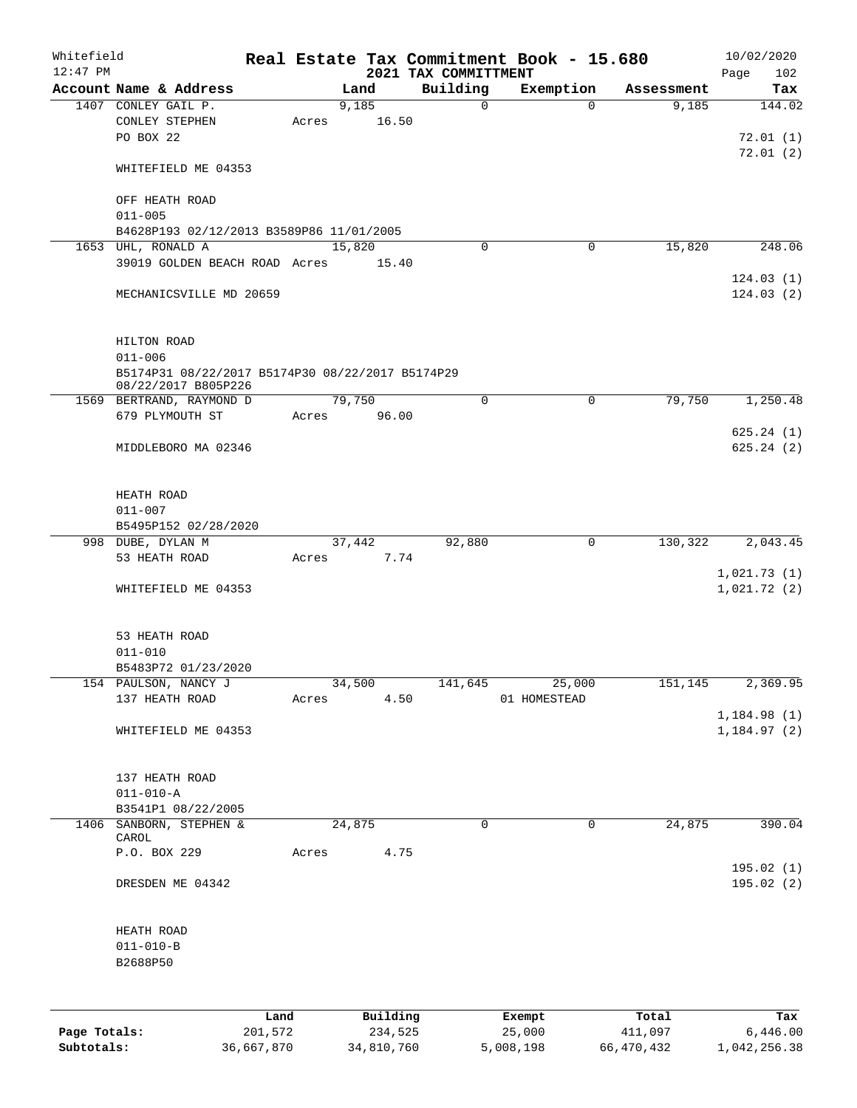| Whitefield<br>$12:47$ PM |                                                  |       |          | 2021 TAX COMMITTMENT | Real Estate Tax Commitment Book - 15.680 |            | 10/02/2020<br>102<br>Page |
|--------------------------|--------------------------------------------------|-------|----------|----------------------|------------------------------------------|------------|---------------------------|
|                          | Account Name & Address                           |       | Land     | Building             | Exemption                                | Assessment | Tax                       |
|                          | 1407 CONLEY GAIL P.                              |       | 9,185    | $\mathbf 0$          | $\Omega$                                 | 9,185      | 144.02                    |
|                          | CONLEY STEPHEN                                   | Acres | 16.50    |                      |                                          |            |                           |
|                          | PO BOX 22                                        |       |          |                      |                                          |            | 72.01(1)                  |
|                          |                                                  |       |          |                      |                                          |            | 72.01(2)                  |
|                          | WHITEFIELD ME 04353                              |       |          |                      |                                          |            |                           |
|                          |                                                  |       |          |                      |                                          |            |                           |
|                          | OFF HEATH ROAD                                   |       |          |                      |                                          |            |                           |
|                          | $011 - 005$                                      |       |          |                      |                                          |            |                           |
|                          | B4628P193 02/12/2013 B3589P86 11/01/2005         |       |          |                      |                                          |            |                           |
|                          | 1653 UHL, RONALD A                               |       | 15,820   | 0                    | $\mathbf 0$                              | 15,820     | 248.06                    |
|                          | 39019 GOLDEN BEACH ROAD Acres                    |       | 15.40    |                      |                                          |            |                           |
|                          |                                                  |       |          |                      |                                          |            | 124.03(1)                 |
|                          | MECHANICSVILLE MD 20659                          |       |          |                      |                                          |            | 124.03(2)                 |
|                          |                                                  |       |          |                      |                                          |            |                           |
|                          |                                                  |       |          |                      |                                          |            |                           |
|                          | HILTON ROAD                                      |       |          |                      |                                          |            |                           |
|                          | $011 - 006$                                      |       |          |                      |                                          |            |                           |
|                          | B5174P31 08/22/2017 B5174P30 08/22/2017 B5174P29 |       |          |                      |                                          |            |                           |
|                          | 08/22/2017 B805P226                              |       |          |                      |                                          |            |                           |
|                          | 1569 BERTRAND, RAYMOND D                         |       | 79,750   | $\mathbf 0$          | 0                                        | 79,750     | 1,250.48                  |
|                          | 679 PLYMOUTH ST                                  | Acres | 96.00    |                      |                                          |            |                           |
|                          |                                                  |       |          |                      |                                          |            | 625.24(1)                 |
|                          | MIDDLEBORO MA 02346                              |       |          |                      |                                          |            | 625.24(2)                 |
|                          |                                                  |       |          |                      |                                          |            |                           |
|                          |                                                  |       |          |                      |                                          |            |                           |
|                          | HEATH ROAD                                       |       |          |                      |                                          |            |                           |
|                          | $011 - 007$                                      |       |          |                      |                                          |            |                           |
|                          | B5495P152 02/28/2020                             |       |          |                      |                                          |            |                           |
|                          | 998 DUBE, DYLAN M                                |       | 37,442   | 92,880               | $\mathbf 0$                              | 130,322    | 2,043.45                  |
|                          | 53 HEATH ROAD                                    | Acres | 7.74     |                      |                                          |            |                           |
|                          |                                                  |       |          |                      |                                          |            | 1,021.73(1)               |
|                          | WHITEFIELD ME 04353                              |       |          |                      |                                          |            | 1,021.72(2)               |
|                          |                                                  |       |          |                      |                                          |            |                           |
|                          |                                                  |       |          |                      |                                          |            |                           |
|                          | 53 HEATH ROAD                                    |       |          |                      |                                          |            |                           |
|                          | $011 - 010$                                      |       |          |                      |                                          |            |                           |
|                          | B5483P72 01/23/2020                              |       |          |                      |                                          |            |                           |
|                          | 154 PAULSON, NANCY J                             |       | 34,500   | 141,645              | 25,000                                   | 151,145    | 2,369.95                  |
|                          | 137 HEATH ROAD                                   | Acres | 4.50     |                      | 01 HOMESTEAD                             |            |                           |
|                          |                                                  |       |          |                      |                                          |            | 1,184.98(1)               |
|                          | WHITEFIELD ME 04353                              |       |          |                      |                                          |            | 1,184.97(2)               |
|                          |                                                  |       |          |                      |                                          |            |                           |
|                          |                                                  |       |          |                      |                                          |            |                           |
|                          | 137 HEATH ROAD                                   |       |          |                      |                                          |            |                           |
|                          | $011 - 010 - A$                                  |       |          |                      |                                          |            |                           |
|                          | B3541P1 08/22/2005                               |       |          |                      |                                          |            |                           |
|                          | 1406 SANBORN, STEPHEN &                          |       | 24,875   | 0                    | 0                                        | 24,875     | 390.04                    |
|                          | CAROL                                            |       |          |                      |                                          |            |                           |
|                          | P.O. BOX 229                                     | Acres | 4.75     |                      |                                          |            |                           |
|                          |                                                  |       |          |                      |                                          |            | 195.02(1)                 |
|                          | DRESDEN ME 04342                                 |       |          |                      |                                          |            | 195.02(2)                 |
|                          |                                                  |       |          |                      |                                          |            |                           |
|                          |                                                  |       |          |                      |                                          |            |                           |
|                          | HEATH ROAD                                       |       |          |                      |                                          |            |                           |
|                          | $011 - 010 - B$                                  |       |          |                      |                                          |            |                           |
|                          | B2688P50                                         |       |          |                      |                                          |            |                           |
|                          |                                                  |       |          |                      |                                          |            |                           |
|                          |                                                  |       |          |                      |                                          |            |                           |
|                          |                                                  | Land  | Building |                      | Exempt                                   | Total      | Tax                       |
| Page Totals:             | 201,572                                          |       | 234,525  |                      | 25,000                                   | 411,097    | 6,446.00                  |

**Subtotals:** 36,667,870 34,810,760 5,008,198 66,470,432 1,042,256.38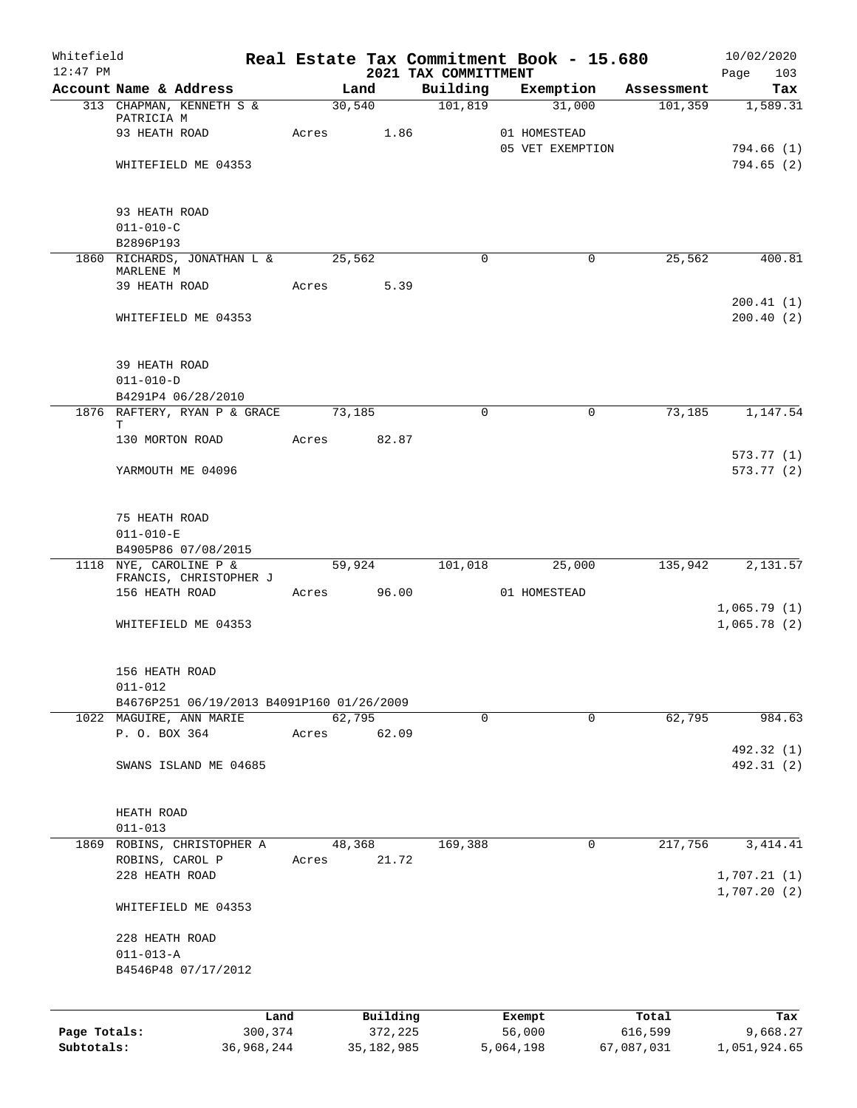| Whitefield<br>$12:47$ PM |                                                  |            |       |                 |      |                                  | Real Estate Tax Commitment Book - 15.680 |            | 10/02/2020             |
|--------------------------|--------------------------------------------------|------------|-------|-----------------|------|----------------------------------|------------------------------------------|------------|------------------------|
|                          | Account Name & Address                           |            |       | Land            |      | 2021 TAX COMMITTMENT<br>Building | Exemption                                | Assessment | Page<br>103<br>Tax     |
|                          | 313 CHAPMAN, KENNETH S &                         |            |       | 30,540          |      | 101,819                          | 31,000                                   | 101,359    | 1,589.31               |
|                          | PATRICIA M                                       |            |       |                 |      |                                  |                                          |            |                        |
|                          | 93 HEATH ROAD                                    |            | Acres |                 | 1.86 |                                  | 01 HOMESTEAD                             |            |                        |
|                          |                                                  |            |       |                 |      |                                  | 05 VET EXEMPTION                         |            | 794.66(1)<br>794.65(2) |
|                          | WHITEFIELD ME 04353                              |            |       |                 |      |                                  |                                          |            |                        |
|                          | 93 HEATH ROAD                                    |            |       |                 |      |                                  |                                          |            |                        |
|                          | $011 - 010 - C$                                  |            |       |                 |      |                                  |                                          |            |                        |
|                          | B2896P193                                        |            |       |                 |      |                                  |                                          |            |                        |
|                          | 1860 RICHARDS, JONATHAN L &<br>MARLENE M         |            |       | 25,562          |      | $\mathbf 0$                      | $\mathbf 0$                              | 25,562     | 400.81                 |
|                          | 39 HEATH ROAD                                    |            | Acres | 5.39            |      |                                  |                                          |            |                        |
|                          |                                                  |            |       |                 |      |                                  |                                          |            | 200.41(1)              |
|                          | WHITEFIELD ME 04353                              |            |       |                 |      |                                  |                                          |            | 200.40(2)              |
|                          | 39 HEATH ROAD                                    |            |       |                 |      |                                  |                                          |            |                        |
|                          | $011 - 010 - D$                                  |            |       |                 |      |                                  |                                          |            |                        |
|                          | B4291P4 06/28/2010                               |            |       |                 |      |                                  |                                          |            |                        |
|                          | 1876 RAFTERY, RYAN P & GRACE<br>т                |            |       | 73,185          |      | $\Omega$                         | $\Omega$                                 | 73,185     | 1,147.54               |
|                          | 130 MORTON ROAD                                  |            | Acres | 82.87           |      |                                  |                                          |            |                        |
|                          | YARMOUTH ME 04096                                |            |       |                 |      |                                  |                                          |            | 573.77(1)<br>573.77(2) |
|                          |                                                  |            |       |                 |      |                                  |                                          |            |                        |
|                          | 75 HEATH ROAD                                    |            |       |                 |      |                                  |                                          |            |                        |
|                          | $011 - 010 - E$                                  |            |       |                 |      |                                  |                                          |            |                        |
|                          | B4905P86 07/08/2015                              |            |       |                 |      |                                  |                                          |            |                        |
|                          | 1118 NYE, CAROLINE P &<br>FRANCIS, CHRISTOPHER J |            |       | 59,924          |      | 101,018                          | 25,000                                   | 135,942    | 2,131.57               |
|                          | 156 HEATH ROAD                                   |            |       | Acres 96.00     |      |                                  | 01 HOMESTEAD                             |            |                        |
|                          |                                                  |            |       |                 |      |                                  |                                          |            | 1,065.79(1)            |
|                          | WHITEFIELD ME 04353                              |            |       |                 |      |                                  |                                          |            | 1,065.78(2)            |
|                          | 156 HEATH ROAD                                   |            |       |                 |      |                                  |                                          |            |                        |
|                          | $011 - 012$                                      |            |       |                 |      |                                  |                                          |            |                        |
|                          | B4676P251 06/19/2013 B4091P160 01/26/2009        |            |       |                 |      |                                  |                                          |            |                        |
|                          | 1022 MAGUIRE, ANN MARIE<br>P. O. BOX 364         |            | Acres | 62,795<br>62.09 |      | 0                                | $\mathbf 0$                              | 62,795     | 984.63                 |
|                          |                                                  |            |       |                 |      |                                  |                                          |            | 492.32 (1)             |
|                          | SWANS ISLAND ME 04685                            |            |       |                 |      |                                  |                                          |            | 492.31 (2)             |
|                          |                                                  |            |       |                 |      |                                  |                                          |            |                        |
|                          | HEATH ROAD                                       |            |       |                 |      |                                  |                                          |            |                        |
|                          | $011 - 013$<br>ROBINS, CHRISTOPHER A             |            |       |                 |      | 169,388                          | 0                                        | 217,756    |                        |
| 1869                     | ROBINS, CAROL P                                  |            | Acres | 48,368<br>21.72 |      |                                  |                                          |            | 3, 414.41              |
|                          | 228 HEATH ROAD                                   |            |       |                 |      |                                  |                                          |            | 1,707.21(1)            |
|                          | WHITEFIELD ME 04353                              |            |       |                 |      |                                  |                                          |            | 1,707.20(2)            |
|                          |                                                  |            |       |                 |      |                                  |                                          |            |                        |
|                          | 228 HEATH ROAD                                   |            |       |                 |      |                                  |                                          |            |                        |
|                          | $011 - 013 - A$<br>B4546P48 07/17/2012           |            |       |                 |      |                                  |                                          |            |                        |
|                          |                                                  |            |       |                 |      |                                  |                                          |            |                        |
|                          |                                                  | Land       |       | Building        |      |                                  | Exempt                                   | Total      | Tax                    |
| Page Totals:             |                                                  | 300,374    |       | 372,225         |      |                                  | 56,000                                   | 616,599    | 9,668.27               |
| Subtotals:               |                                                  | 36,968,244 |       | 35, 182, 985    |      |                                  | 5,064,198                                | 67,087,031 | 1,051,924.65           |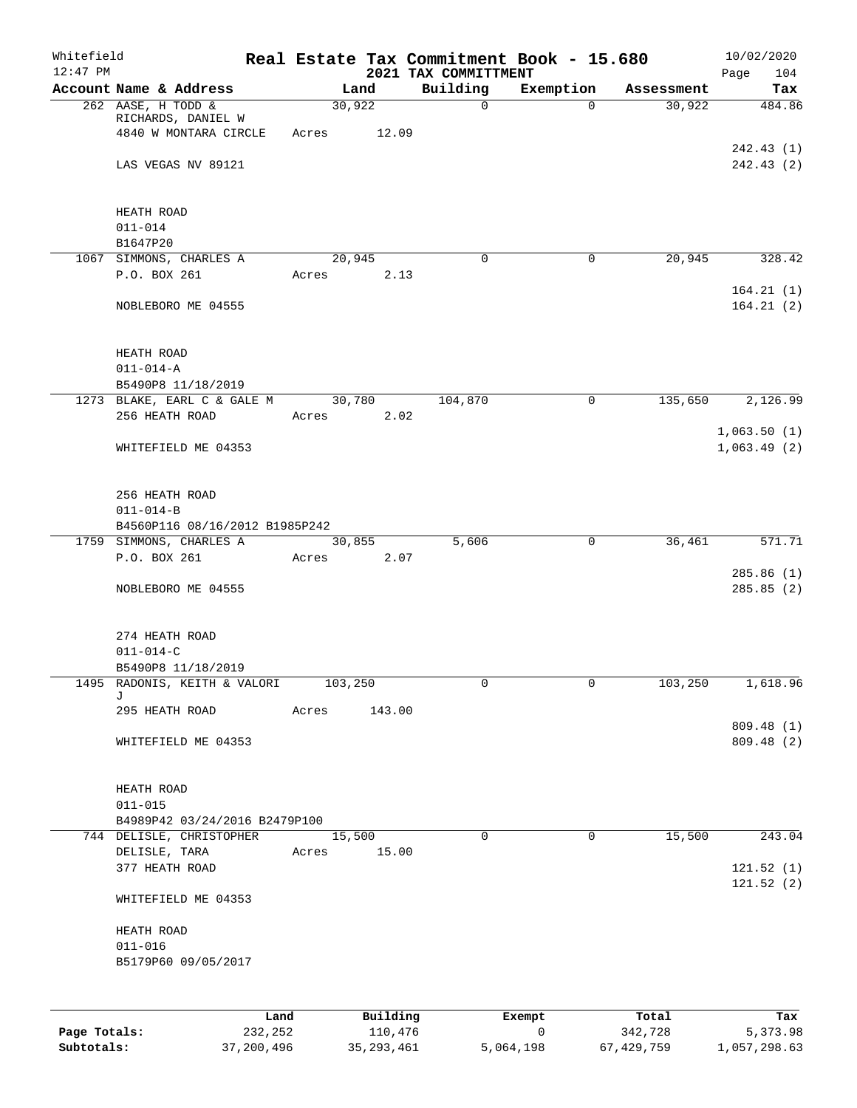| Whitefield<br>$12:47$ PM |                                                                   |         |                 |          | 2021 TAX COMMITTMENT | Real Estate Tax Commitment Book - 15.680 |            | 10/02/2020<br>Page<br>104 |
|--------------------------|-------------------------------------------------------------------|---------|-----------------|----------|----------------------|------------------------------------------|------------|---------------------------|
|                          | Account Name & Address                                            |         |                 | Land     | Building             | Exemption                                | Assessment | Tax                       |
|                          | 262 AASE, H TODD &<br>RICHARDS, DANIEL W<br>4840 W MONTARA CIRCLE |         | 30,922<br>Acres | 12.09    | 0                    | $\Omega$                                 | 30,922     | 484.86                    |
|                          | LAS VEGAS NV 89121                                                |         |                 |          |                      |                                          |            | 242.43 (1)<br>242.43 (2)  |
|                          | HEATH ROAD<br>$011 - 014$                                         |         |                 |          |                      |                                          |            |                           |
|                          | B1647P20                                                          |         |                 |          |                      |                                          |            |                           |
|                          | 1067 SIMMONS, CHARLES A                                           |         | 20,945          |          | 0                    | $\mathbf 0$                              | 20,945     | 328.42                    |
|                          | P.O. BOX 261                                                      |         | Acres           | 2.13     |                      |                                          |            | 164.21(1)                 |
|                          | NOBLEBORO ME 04555                                                |         |                 |          |                      |                                          |            | 164.21(2)                 |
|                          | HEATH ROAD<br>$011 - 014 - A$                                     |         |                 |          |                      |                                          |            |                           |
|                          | B5490P8 11/18/2019                                                |         |                 |          |                      |                                          |            |                           |
|                          | 1273 BLAKE, EARL C & GALE M                                       |         | 30,780          |          | 104,870              | $\mathsf{O}$                             | 135,650    | 2,126.99                  |
|                          | 256 HEATH ROAD                                                    |         | Acres           | 2.02     |                      |                                          |            | 1,063.50(1)               |
|                          | WHITEFIELD ME 04353                                               |         |                 |          |                      |                                          |            | 1,063.49(2)               |
|                          | 256 HEATH ROAD<br>$011 - 014 - B$                                 |         |                 |          |                      |                                          |            |                           |
|                          | B4560P116 08/16/2012 B1985P242                                    |         |                 |          |                      |                                          |            |                           |
|                          | 1759 SIMMONS, CHARLES A<br>P.O. BOX 261                           |         | 30,855          |          | 5,606                | $\mathsf{O}$                             | 36,461     | 571.71                    |
|                          |                                                                   |         | Acres           | 2.07     |                      |                                          |            | 285.86(1)                 |
|                          | NOBLEBORO ME 04555                                                |         |                 |          |                      |                                          |            | 285.85(2)                 |
|                          | 274 HEATH ROAD                                                    |         |                 |          |                      |                                          |            |                           |
|                          | $011 - 014 - C$<br>B5490P8 11/18/2019                             |         |                 |          |                      |                                          |            |                           |
|                          | 1495 RADONIS, KEITH & VALORI                                      |         | 103,250         |          | 0                    | 0                                        | 103,250    | 1,618.96                  |
|                          | J<br>295 HEATH ROAD                                               |         | Acres           | 143.00   |                      |                                          |            |                           |
|                          | WHITEFIELD ME 04353                                               |         |                 |          |                      |                                          |            | 809.48 (1)<br>809.48 (2)  |
|                          |                                                                   |         |                 |          |                      |                                          |            |                           |
|                          | HEATH ROAD                                                        |         |                 |          |                      |                                          |            |                           |
|                          | $011 - 015$<br>B4989P42 03/24/2016 B2479P100                      |         |                 |          |                      |                                          |            |                           |
|                          | 744 DELISLE, CHRISTOPHER                                          |         | 15,500          |          | 0                    | $\mathbf 0$                              | 15,500     | 243.04                    |
|                          | DELISLE, TARA<br>377 HEATH ROAD                                   |         | Acres           | 15.00    |                      |                                          |            | 121.52(1)                 |
|                          | WHITEFIELD ME 04353                                               |         |                 |          |                      |                                          |            | 121.52(2)                 |
|                          | HEATH ROAD                                                        |         |                 |          |                      |                                          |            |                           |
|                          | $011 - 016$                                                       |         |                 |          |                      |                                          |            |                           |
|                          | B5179P60 09/05/2017                                               |         |                 |          |                      |                                          |            |                           |
|                          |                                                                   |         |                 |          |                      |                                          |            |                           |
|                          |                                                                   | Land    |                 | Building |                      | Exempt                                   | Total      | Tax                       |
| Page Totals:             |                                                                   | 232,252 |                 | 110,476  |                      | $\mathsf{O}$                             | 342,728    | 5,373.98                  |

**Subtotals:** 37,200,496 35,293,461 5,064,198 67,429,759 1,057,298.63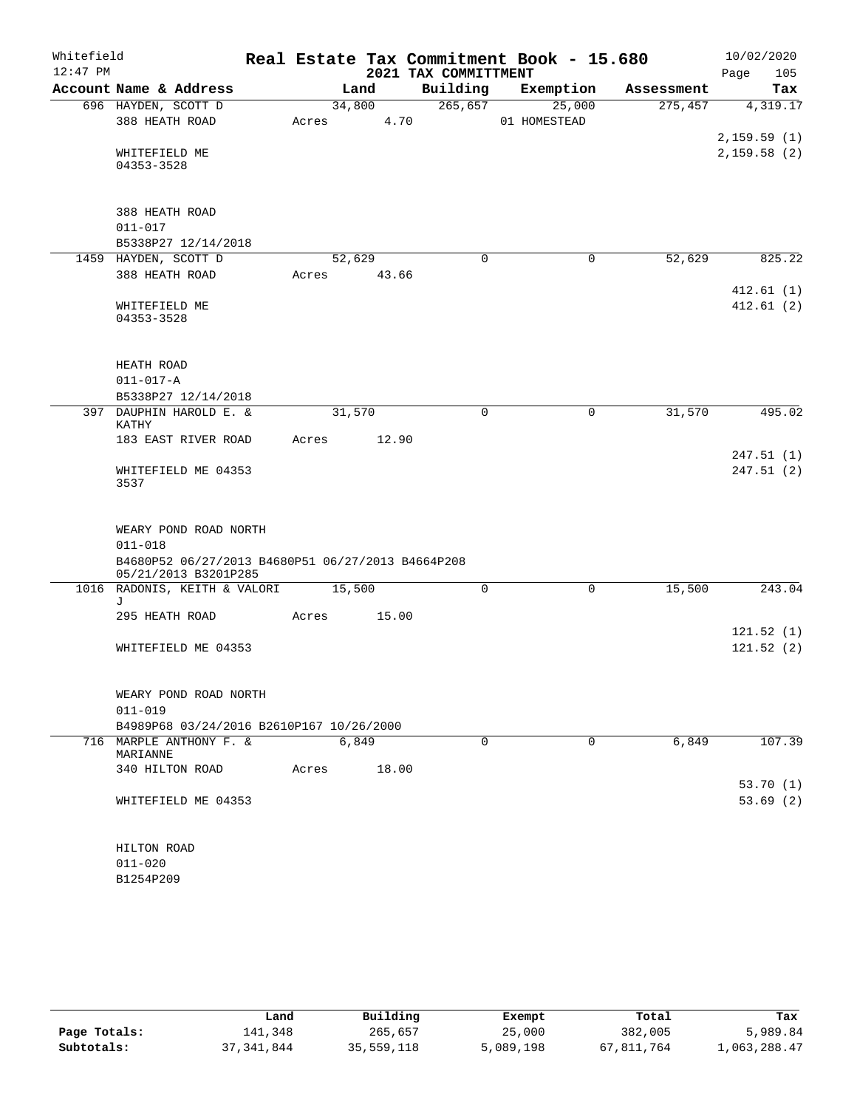| Whitefield |                                                                           |             |        |      | Real Estate Tax Commitment Book - 15.680 |              |             |            |      | 10/02/2020  |
|------------|---------------------------------------------------------------------------|-------------|--------|------|------------------------------------------|--------------|-------------|------------|------|-------------|
| $12:47$ PM |                                                                           |             |        |      | 2021 TAX COMMITTMENT                     |              |             |            | Page | 105         |
|            | Account Name & Address                                                    |             | Land   |      | Building                                 |              | Exemption   | Assessment |      | Tax         |
|            | 696 HAYDEN, SCOTT D                                                       |             | 34,800 |      | 265, 657                                 |              | 25,000      | 275,457    |      | 4,319.17    |
|            | 388 HEATH ROAD                                                            | Acres       |        | 4.70 |                                          | 01 HOMESTEAD |             |            |      |             |
|            |                                                                           |             |        |      |                                          |              |             |            |      | 2,159.59(1) |
|            | WHITEFIELD ME                                                             |             |        |      |                                          |              |             |            |      | 2,159.58(2) |
|            | 04353-3528                                                                |             |        |      |                                          |              |             |            |      |             |
|            |                                                                           |             |        |      |                                          |              |             |            |      |             |
|            | 388 HEATH ROAD                                                            |             |        |      |                                          |              |             |            |      |             |
|            | $011 - 017$                                                               |             |        |      |                                          |              |             |            |      |             |
|            | B5338P27 12/14/2018                                                       |             |        |      |                                          |              |             |            |      |             |
|            | 1459 HAYDEN, SCOTT D                                                      |             | 52,629 |      | $\Omega$                                 |              | $\mathbf 0$ | 52,629     |      | 825.22      |
|            | 388 HEATH ROAD                                                            | Acres 43.66 |        |      |                                          |              |             |            |      |             |
|            |                                                                           |             |        |      |                                          |              |             |            |      | 412.61(1)   |
|            | WHITEFIELD ME                                                             |             |        |      |                                          |              |             |            |      | 412.61(2)   |
|            | 04353-3528                                                                |             |        |      |                                          |              |             |            |      |             |
|            |                                                                           |             |        |      |                                          |              |             |            |      |             |
|            |                                                                           |             |        |      |                                          |              |             |            |      |             |
|            | HEATH ROAD                                                                |             |        |      |                                          |              |             |            |      |             |
|            | $011 - 017 - A$                                                           |             |        |      |                                          |              |             |            |      |             |
|            | B5338P27 12/14/2018                                                       |             |        |      |                                          |              |             |            |      |             |
|            | 397 DAUPHIN HAROLD E. &<br>KATHY                                          |             | 31,570 |      | 0                                        |              | 0           | 31,570     |      | 495.02      |
|            | 183 EAST RIVER ROAD                                                       | Acres       | 12.90  |      |                                          |              |             |            |      |             |
|            |                                                                           |             |        |      |                                          |              |             |            |      | 247.51(1)   |
|            | WHITEFIELD ME 04353                                                       |             |        |      |                                          |              |             |            |      | 247.51 (2)  |
|            | 3537                                                                      |             |        |      |                                          |              |             |            |      |             |
|            |                                                                           |             |        |      |                                          |              |             |            |      |             |
|            |                                                                           |             |        |      |                                          |              |             |            |      |             |
|            | WEARY POND ROAD NORTH                                                     |             |        |      |                                          |              |             |            |      |             |
|            | $011 - 018$                                                               |             |        |      |                                          |              |             |            |      |             |
|            | B4680P52 06/27/2013 B4680P51 06/27/2013 B4664P208<br>05/21/2013 B3201P285 |             |        |      |                                          |              |             |            |      |             |
|            | 1016 RADONIS, KEITH & VALORI                                              |             | 15,500 |      | 0                                        |              | 0           | 15,500     |      | 243.04      |
|            | J                                                                         |             |        |      |                                          |              |             |            |      |             |
|            | 295 HEATH ROAD                                                            | Acres       | 15.00  |      |                                          |              |             |            |      |             |
|            |                                                                           |             |        |      |                                          |              |             |            |      | 121.52(1)   |
|            | WHITEFIELD ME 04353                                                       |             |        |      |                                          |              |             |            |      | 121.52(2)   |
|            |                                                                           |             |        |      |                                          |              |             |            |      |             |
|            |                                                                           |             |        |      |                                          |              |             |            |      |             |
|            | WEARY POND ROAD NORTH                                                     |             |        |      |                                          |              |             |            |      |             |
|            | $011 - 019$                                                               |             |        |      |                                          |              |             |            |      |             |
|            | B4989P68 03/24/2016 B2610P167 10/26/2000                                  |             |        |      |                                          |              |             |            |      |             |
|            | 716 MARPLE ANTHONY F. &<br>MARIANNE                                       |             | 6,849  |      | $\Omega$                                 |              | $\Omega$    | 6,849      |      | 107.39      |
|            | 340 HILTON ROAD                                                           | Acres       | 18.00  |      |                                          |              |             |            |      |             |
|            |                                                                           |             |        |      |                                          |              |             |            |      | 53.70(1)    |
|            | WHITEFIELD ME 04353                                                       |             |        |      |                                          |              |             |            |      | 53.69(2)    |
|            |                                                                           |             |        |      |                                          |              |             |            |      |             |
|            |                                                                           |             |        |      |                                          |              |             |            |      |             |
|            | HILTON ROAD                                                               |             |        |      |                                          |              |             |            |      |             |
|            | $011 - 020$                                                               |             |        |      |                                          |              |             |            |      |             |
|            | B1254P209                                                                 |             |        |      |                                          |              |             |            |      |             |

|              | Land       | Building   | Exempt    | Total      | Tax          |
|--------------|------------|------------|-----------|------------|--------------|
| Page Totals: | 141,348    | 265,657    | 25,000    | 382,005    | 5,989.84     |
| Subtotals:   | 37,341,844 | 35,559,118 | 5,089,198 | 67,811,764 | 1,063,288.47 |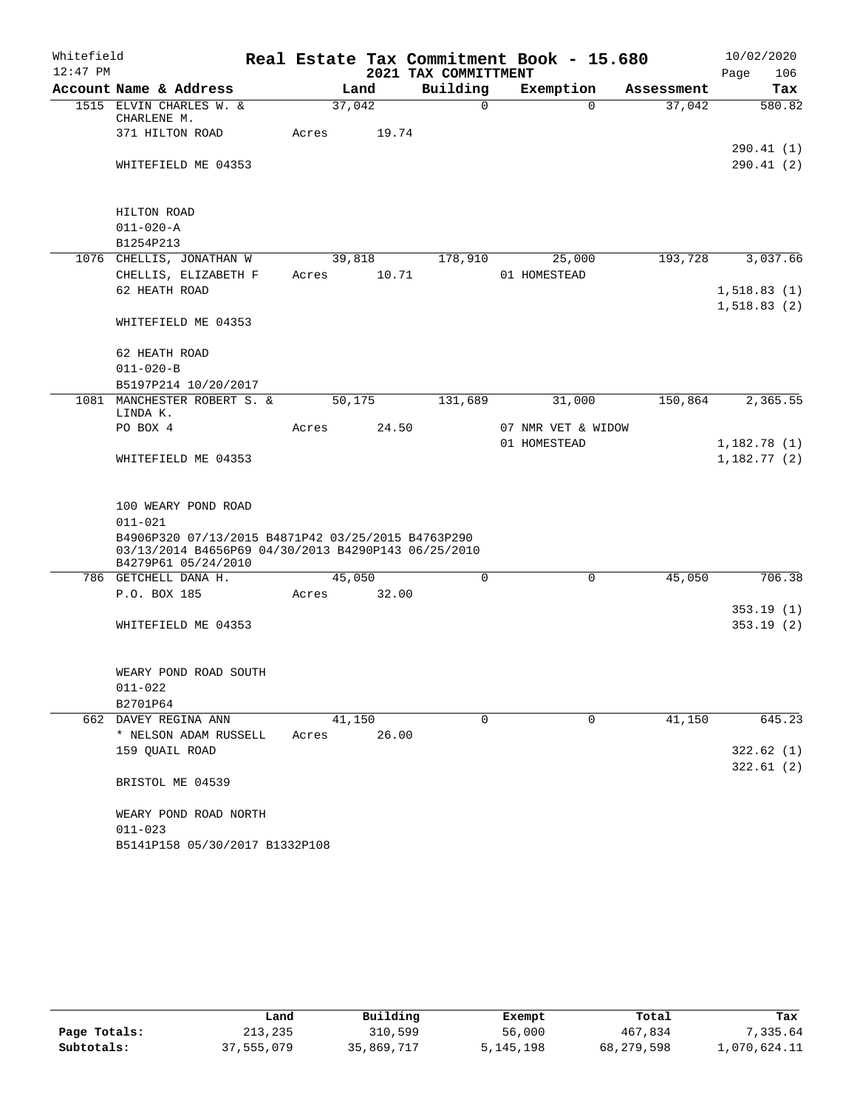| Whitefield |                                                                                                                                  |       |        | Real Estate Tax Commitment Book - 15.680 |              |                    |            | 10/02/2020                 |
|------------|----------------------------------------------------------------------------------------------------------------------------------|-------|--------|------------------------------------------|--------------|--------------------|------------|----------------------------|
| $12:47$ PM |                                                                                                                                  |       |        | 2021 TAX COMMITTMENT                     |              |                    |            | 106<br>Page                |
|            | Account Name & Address                                                                                                           |       | Land   | Building                                 | Exemption    |                    | Assessment | Tax                        |
|            | 1515 ELVIN CHARLES W. &<br>CHARLENE M.                                                                                           |       | 37,042 | 0                                        |              | $\Omega$           | 37,042     | 580.82                     |
|            | 371 HILTON ROAD                                                                                                                  | Acres | 19.74  |                                          |              |                    |            |                            |
|            | WHITEFIELD ME 04353                                                                                                              |       |        |                                          |              |                    |            | 290.41 (1)<br>290.41(2)    |
|            |                                                                                                                                  |       |        |                                          |              |                    |            |                            |
|            | HILTON ROAD                                                                                                                      |       |        |                                          |              |                    |            |                            |
|            | $011 - 020 - A$                                                                                                                  |       |        |                                          |              |                    |            |                            |
|            | B1254P213                                                                                                                        |       |        |                                          |              |                    |            |                            |
|            | 1076 CHELLIS, JONATHAN W                                                                                                         |       | 39,818 | 178,910                                  |              | 25,000             | 193,728    | 3,037.66                   |
|            | CHELLIS, ELIZABETH F                                                                                                             | Acres | 10.71  |                                          | 01 HOMESTEAD |                    |            |                            |
|            | 62 HEATH ROAD                                                                                                                    |       |        |                                          |              |                    |            | 1,518.83(1)                |
|            | WHITEFIELD ME 04353                                                                                                              |       |        |                                          |              |                    |            | 1,518.83(2)                |
|            |                                                                                                                                  |       |        |                                          |              |                    |            |                            |
|            | 62 HEATH ROAD                                                                                                                    |       |        |                                          |              |                    |            |                            |
|            | $011 - 020 - B$                                                                                                                  |       |        |                                          |              |                    |            |                            |
|            | B5197P214 10/20/2017                                                                                                             |       |        |                                          |              |                    |            |                            |
|            | 1081 MANCHESTER ROBERT S. &<br>LINDA K.                                                                                          |       | 50,175 | 131,689                                  |              | 31,000             | 150,864    | 2,365.55                   |
|            | PO BOX 4                                                                                                                         | Acres | 24.50  |                                          |              | 07 NMR VET & WIDOW |            |                            |
|            | WHITEFIELD ME 04353                                                                                                              |       |        |                                          | 01 HOMESTEAD |                    |            | 1,182.78(1)<br>1,182.77(2) |
|            |                                                                                                                                  |       |        |                                          |              |                    |            |                            |
|            | 100 WEARY POND ROAD                                                                                                              |       |        |                                          |              |                    |            |                            |
|            | $011 - 021$                                                                                                                      |       |        |                                          |              |                    |            |                            |
|            | B4906P320 07/13/2015 B4871P42 03/25/2015 B4763P290<br>03/13/2014 B4656P69 04/30/2013 B4290P143 06/25/2010<br>B4279P61 05/24/2010 |       |        |                                          |              |                    |            |                            |
|            | 786 GETCHELL DANA H.                                                                                                             |       | 45,050 | $\Omega$                                 |              | $\Omega$           | 45,050     | 706.38                     |
|            | P.O. BOX 185                                                                                                                     | Acres | 32.00  |                                          |              |                    |            |                            |
|            |                                                                                                                                  |       |        |                                          |              |                    |            | 353.19(1)                  |
|            | WHITEFIELD ME 04353                                                                                                              |       |        |                                          |              |                    |            | 353.19(2)                  |
|            |                                                                                                                                  |       |        |                                          |              |                    |            |                            |
|            | WEARY POND ROAD SOUTH                                                                                                            |       |        |                                          |              |                    |            |                            |
|            | $011 - 022$                                                                                                                      |       |        |                                          |              |                    |            |                            |
|            | B2701P64                                                                                                                         |       |        |                                          |              |                    |            |                            |
|            | 662 DAVEY REGINA ANN                                                                                                             |       | 41,150 | $\Omega$                                 |              | $\Omega$           | 41,150     | 645.23                     |
|            | * NELSON ADAM RUSSELL                                                                                                            | Acres | 26.00  |                                          |              |                    |            |                            |
|            | 159 QUAIL ROAD                                                                                                                   |       |        |                                          |              |                    |            | 322.62(1)                  |
|            |                                                                                                                                  |       |        |                                          |              |                    |            | 322.61(2)                  |
|            | BRISTOL ME 04539                                                                                                                 |       |        |                                          |              |                    |            |                            |
|            | WEARY POND ROAD NORTH                                                                                                            |       |        |                                          |              |                    |            |                            |
|            | $011 - 023$                                                                                                                      |       |        |                                          |              |                    |            |                            |
|            | B5141P158 05/30/2017 B1332P108                                                                                                   |       |        |                                          |              |                    |            |                            |

|              | Land       | Building   | Exempt    | Total      | Tax          |
|--------------|------------|------------|-----------|------------|--------------|
| Page Totals: | 213,235    | 310,599    | 56,000    | 467,834    | 7.335.64     |
| Subtotals:   | 37,555,079 | 35,869,717 | 5,145,198 | 68,279,598 | 1,070,624.11 |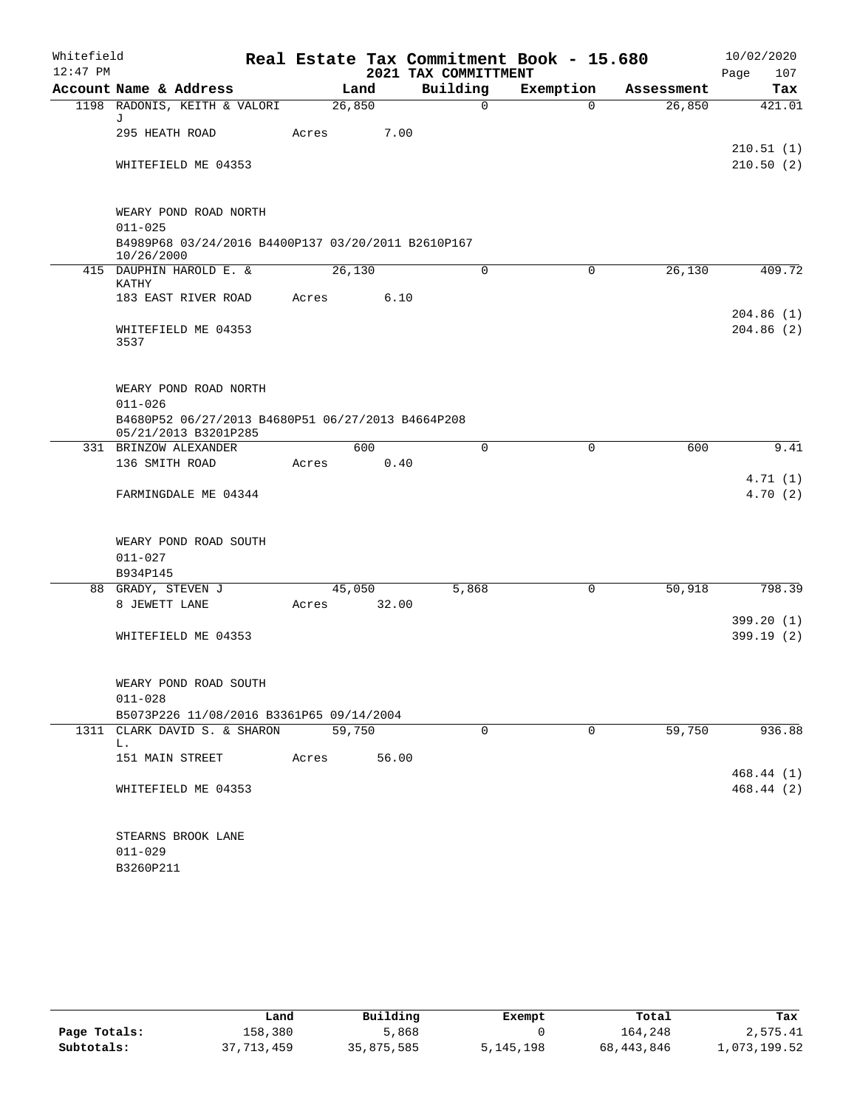| Whitefield<br>$12:47$ PM |                                                                                                                   |         |       | 2021 TAX COMMITTMENT | Real Estate Tax Commitment Book - 15.680 |            | 10/02/2020<br>107<br>Page |
|--------------------------|-------------------------------------------------------------------------------------------------------------------|---------|-------|----------------------|------------------------------------------|------------|---------------------------|
|                          | Account Name & Address                                                                                            |         | Land  | Building             | Exemption                                | Assessment | Tax                       |
|                          | 1198 RADONIS, KEITH & VALORI                                                                                      | 26,850  |       | $\Omega$             | $\Omega$                                 | 26,850     | 421.01                    |
|                          | J<br>295 HEATH ROAD                                                                                               | Acres   | 7.00  |                      |                                          |            |                           |
|                          |                                                                                                                   |         |       |                      |                                          |            | 210.51(1)                 |
|                          | WHITEFIELD ME 04353                                                                                               |         |       |                      |                                          |            | 210.50(2)                 |
|                          | WEARY POND ROAD NORTH<br>$011 - 025$                                                                              |         |       |                      |                                          |            |                           |
|                          | B4989P68 03/24/2016 B4400P137 03/20/2011 B2610P167<br>10/26/2000                                                  |         |       |                      |                                          |            |                           |
|                          | 415 DAUPHIN HAROLD E. &<br>KATHY                                                                                  | 26, 130 |       | $\mathbf 0$          | $\mathbf 0$                              | 26,130     | 409.72                    |
|                          | 183 EAST RIVER ROAD                                                                                               | Acres   | 6.10  |                      |                                          |            |                           |
|                          | WHITEFIELD ME 04353<br>3537                                                                                       |         |       |                      |                                          |            | 204.86(1)<br>204.86(2)    |
|                          | WEARY POND ROAD NORTH<br>$011 - 026$<br>B4680P52 06/27/2013 B4680P51 06/27/2013 B4664P208<br>05/21/2013 B3201P285 |         |       |                      |                                          |            |                           |
|                          | 331 BRINZOW ALEXANDER                                                                                             |         | 600   | $\Omega$             | $\mathbf 0$                              | 600        | 9.41                      |
|                          | 136 SMITH ROAD                                                                                                    | Acres   | 0.40  |                      |                                          |            |                           |
|                          | FARMINGDALE ME 04344                                                                                              |         |       |                      |                                          |            | 4.71(1)<br>4.70(2)        |
|                          | WEARY POND ROAD SOUTH<br>$011 - 027$<br>B934P145                                                                  |         |       |                      |                                          |            |                           |
|                          | 88 GRADY, STEVEN J                                                                                                | 45,050  |       | 5,868                | 0                                        | 50,918     | 798.39                    |
|                          | 8 JEWETT LANE                                                                                                     | Acres   | 32.00 |                      |                                          |            |                           |
|                          | WHITEFIELD ME 04353                                                                                               |         |       |                      |                                          |            | 399.20 (1)<br>399.19(2)   |
|                          | WEARY POND ROAD SOUTH<br>$011 - 028$                                                                              |         |       |                      |                                          |            |                           |
|                          | B5073P226 11/08/2016 B3361P65 09/14/2004<br>1311 CLARK DAVID S. & SHARON                                          | 59,750  |       | 0                    | $\mathbf 0$                              | 59,750     | 936.88                    |
|                          | L.                                                                                                                |         |       |                      |                                          |            |                           |
|                          | 151 MAIN STREET                                                                                                   | Acres   | 56.00 |                      |                                          |            |                           |
|                          | WHITEFIELD ME 04353                                                                                               |         |       |                      |                                          |            | 468.44(1)<br>468.44 (2)   |
|                          | STEARNS BROOK LANE<br>$011 - 029$<br>B3260P211                                                                    |         |       |                      |                                          |            |                           |

|              | Land       | Building   | Exempt    | Total        | Tax          |
|--------------|------------|------------|-----------|--------------|--------------|
| Page Totals: | 158,380    | 5,868      |           | 164,248      | 2,575.41     |
| Subtotals:   | 37,713,459 | 35,875,585 | 5,145,198 | 68, 443, 846 | 1,073,199.52 |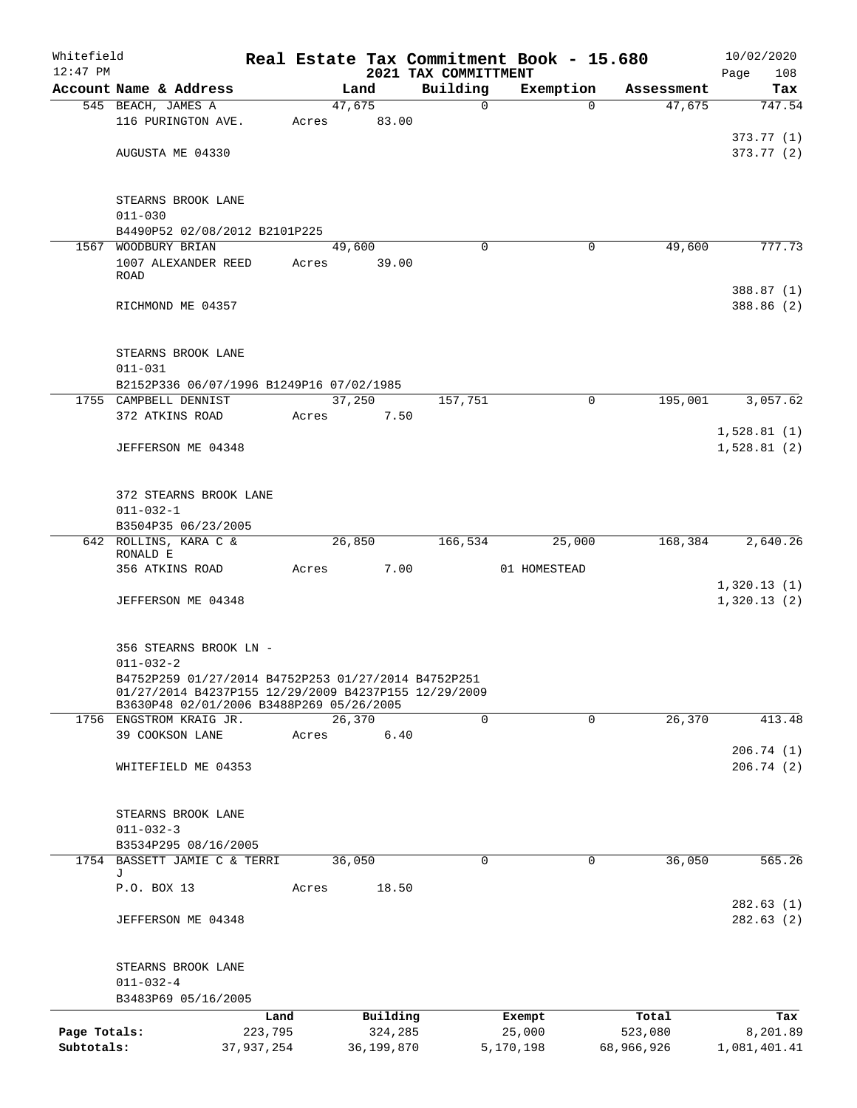| Building<br>Account Name & Address<br>Exemption<br>Land<br>Assessment<br>47,675<br>545 BEACH, JAMES A<br>47,675<br>0<br>$\Omega$<br>116 PURINGTON AVE.<br>83.00<br>Acres<br>AUGUSTA ME 04330<br>STEARNS BROOK LANE<br>$011 - 030$<br>B4490P52 02/08/2012 B2101P225<br>WOODBURY BRIAN<br>49,600<br>1567<br>49,600<br>$\Omega$<br>0<br>1007 ALEXANDER REED<br>Acres<br>39.00<br>ROAD<br>RICHMOND ME 04357<br>STEARNS BROOK LANE<br>$011 - 031$<br>B2152P336 06/07/1996 B1249P16 07/02/1985<br>195,001<br>3,057.62<br>1755 CAMPBELL DENNIST<br>37,250<br>157,751<br>$\mathbf 0$<br>372 ATKINS ROAD<br>7.50<br>Acres<br>1,528.81(1)<br>1,528.81(2)<br>JEFFERSON ME 04348<br>372 STEARNS BROOK LANE<br>$011 - 032 - 1$<br>B3504P35 06/23/2005<br>642 ROLLINS, KARA C &<br>26,850<br>166,534<br>168,384<br>25,000<br>RONALD E<br>7.00<br>356 ATKINS ROAD<br>01 HOMESTEAD<br>Acres<br>1,320.13(1)<br>JEFFERSON ME 04348<br>356 STEARNS BROOK LN -<br>$011 - 032 - 2$<br>B4752P259 01/27/2014 B4752P253 01/27/2014 B4752P251<br>01/27/2014 B4237P155 12/29/2009 B4237P155 12/29/2009<br>B3630P48 02/01/2006 B3488P269 05/26/2005<br>26,370<br>26,370<br>$\mathbf 0$<br>$\mathbf 0$<br>1756 ENGSTROM KRAIG JR.<br>39 COOKSON LANE<br>6.40<br>Acres<br>WHITEFIELD ME 04353<br>STEARNS BROOK LANE<br>$011 - 032 - 3$<br>B3534P295 08/16/2005<br>1754 BASSETT JAMIE C & TERRI<br>36,050<br>36,050<br>$\Omega$<br>0<br>J<br>18.50<br>P.O. BOX 13<br>Acres<br>JEFFERSON ME 04348<br>STEARNS BROOK LANE<br>$011 - 032 - 4$<br>B3483P69 05/16/2005<br>Building<br>Land<br>Exempt<br>Total<br>Page Totals:<br>223,795<br>324,285<br>25,000<br>523,080<br>Subtotals:<br>37,937,254<br>36,199,870<br>5,170,198 | Whitefield<br>$12:47$ PM |  |  |  |  | 2021 TAX COMMITTMENT |  | Real Estate Tax Commitment Book - 15.680 |            | 10/02/2020<br>Page<br>108 |  |  |  |
|---------------------------------------------------------------------------------------------------------------------------------------------------------------------------------------------------------------------------------------------------------------------------------------------------------------------------------------------------------------------------------------------------------------------------------------------------------------------------------------------------------------------------------------------------------------------------------------------------------------------------------------------------------------------------------------------------------------------------------------------------------------------------------------------------------------------------------------------------------------------------------------------------------------------------------------------------------------------------------------------------------------------------------------------------------------------------------------------------------------------------------------------------------------------------------------------------------------------------------------------------------------------------------------------------------------------------------------------------------------------------------------------------------------------------------------------------------------------------------------------------------------------------------------------------------------------------------------------------------------------------------------------------------------------------------------------|--------------------------|--|--|--|--|----------------------|--|------------------------------------------|------------|---------------------------|--|--|--|
|                                                                                                                                                                                                                                                                                                                                                                                                                                                                                                                                                                                                                                                                                                                                                                                                                                                                                                                                                                                                                                                                                                                                                                                                                                                                                                                                                                                                                                                                                                                                                                                                                                                                                             |                          |  |  |  |  |                      |  |                                          |            | Tax                       |  |  |  |
|                                                                                                                                                                                                                                                                                                                                                                                                                                                                                                                                                                                                                                                                                                                                                                                                                                                                                                                                                                                                                                                                                                                                                                                                                                                                                                                                                                                                                                                                                                                                                                                                                                                                                             |                          |  |  |  |  |                      |  |                                          |            | 747.54                    |  |  |  |
|                                                                                                                                                                                                                                                                                                                                                                                                                                                                                                                                                                                                                                                                                                                                                                                                                                                                                                                                                                                                                                                                                                                                                                                                                                                                                                                                                                                                                                                                                                                                                                                                                                                                                             |                          |  |  |  |  |                      |  |                                          |            |                           |  |  |  |
|                                                                                                                                                                                                                                                                                                                                                                                                                                                                                                                                                                                                                                                                                                                                                                                                                                                                                                                                                                                                                                                                                                                                                                                                                                                                                                                                                                                                                                                                                                                                                                                                                                                                                             |                          |  |  |  |  |                      |  |                                          |            | 373.77(1)                 |  |  |  |
|                                                                                                                                                                                                                                                                                                                                                                                                                                                                                                                                                                                                                                                                                                                                                                                                                                                                                                                                                                                                                                                                                                                                                                                                                                                                                                                                                                                                                                                                                                                                                                                                                                                                                             |                          |  |  |  |  |                      |  |                                          |            | 373.77(2)                 |  |  |  |
|                                                                                                                                                                                                                                                                                                                                                                                                                                                                                                                                                                                                                                                                                                                                                                                                                                                                                                                                                                                                                                                                                                                                                                                                                                                                                                                                                                                                                                                                                                                                                                                                                                                                                             |                          |  |  |  |  |                      |  |                                          |            |                           |  |  |  |
|                                                                                                                                                                                                                                                                                                                                                                                                                                                                                                                                                                                                                                                                                                                                                                                                                                                                                                                                                                                                                                                                                                                                                                                                                                                                                                                                                                                                                                                                                                                                                                                                                                                                                             |                          |  |  |  |  |                      |  |                                          |            |                           |  |  |  |
|                                                                                                                                                                                                                                                                                                                                                                                                                                                                                                                                                                                                                                                                                                                                                                                                                                                                                                                                                                                                                                                                                                                                                                                                                                                                                                                                                                                                                                                                                                                                                                                                                                                                                             |                          |  |  |  |  |                      |  |                                          |            |                           |  |  |  |
|                                                                                                                                                                                                                                                                                                                                                                                                                                                                                                                                                                                                                                                                                                                                                                                                                                                                                                                                                                                                                                                                                                                                                                                                                                                                                                                                                                                                                                                                                                                                                                                                                                                                                             |                          |  |  |  |  |                      |  |                                          |            |                           |  |  |  |
|                                                                                                                                                                                                                                                                                                                                                                                                                                                                                                                                                                                                                                                                                                                                                                                                                                                                                                                                                                                                                                                                                                                                                                                                                                                                                                                                                                                                                                                                                                                                                                                                                                                                                             |                          |  |  |  |  |                      |  |                                          |            | 777.73                    |  |  |  |
|                                                                                                                                                                                                                                                                                                                                                                                                                                                                                                                                                                                                                                                                                                                                                                                                                                                                                                                                                                                                                                                                                                                                                                                                                                                                                                                                                                                                                                                                                                                                                                                                                                                                                             |                          |  |  |  |  |                      |  |                                          |            |                           |  |  |  |
|                                                                                                                                                                                                                                                                                                                                                                                                                                                                                                                                                                                                                                                                                                                                                                                                                                                                                                                                                                                                                                                                                                                                                                                                                                                                                                                                                                                                                                                                                                                                                                                                                                                                                             |                          |  |  |  |  |                      |  |                                          |            |                           |  |  |  |
|                                                                                                                                                                                                                                                                                                                                                                                                                                                                                                                                                                                                                                                                                                                                                                                                                                                                                                                                                                                                                                                                                                                                                                                                                                                                                                                                                                                                                                                                                                                                                                                                                                                                                             |                          |  |  |  |  |                      |  |                                          |            | 388.87 (1)                |  |  |  |
|                                                                                                                                                                                                                                                                                                                                                                                                                                                                                                                                                                                                                                                                                                                                                                                                                                                                                                                                                                                                                                                                                                                                                                                                                                                                                                                                                                                                                                                                                                                                                                                                                                                                                             |                          |  |  |  |  |                      |  |                                          |            | 388.86 (2)                |  |  |  |
|                                                                                                                                                                                                                                                                                                                                                                                                                                                                                                                                                                                                                                                                                                                                                                                                                                                                                                                                                                                                                                                                                                                                                                                                                                                                                                                                                                                                                                                                                                                                                                                                                                                                                             |                          |  |  |  |  |                      |  |                                          |            |                           |  |  |  |
|                                                                                                                                                                                                                                                                                                                                                                                                                                                                                                                                                                                                                                                                                                                                                                                                                                                                                                                                                                                                                                                                                                                                                                                                                                                                                                                                                                                                                                                                                                                                                                                                                                                                                             |                          |  |  |  |  |                      |  |                                          |            |                           |  |  |  |
|                                                                                                                                                                                                                                                                                                                                                                                                                                                                                                                                                                                                                                                                                                                                                                                                                                                                                                                                                                                                                                                                                                                                                                                                                                                                                                                                                                                                                                                                                                                                                                                                                                                                                             |                          |  |  |  |  |                      |  |                                          |            |                           |  |  |  |
|                                                                                                                                                                                                                                                                                                                                                                                                                                                                                                                                                                                                                                                                                                                                                                                                                                                                                                                                                                                                                                                                                                                                                                                                                                                                                                                                                                                                                                                                                                                                                                                                                                                                                             |                          |  |  |  |  |                      |  |                                          |            |                           |  |  |  |
|                                                                                                                                                                                                                                                                                                                                                                                                                                                                                                                                                                                                                                                                                                                                                                                                                                                                                                                                                                                                                                                                                                                                                                                                                                                                                                                                                                                                                                                                                                                                                                                                                                                                                             |                          |  |  |  |  |                      |  |                                          |            |                           |  |  |  |
|                                                                                                                                                                                                                                                                                                                                                                                                                                                                                                                                                                                                                                                                                                                                                                                                                                                                                                                                                                                                                                                                                                                                                                                                                                                                                                                                                                                                                                                                                                                                                                                                                                                                                             |                          |  |  |  |  |                      |  |                                          |            |                           |  |  |  |
|                                                                                                                                                                                                                                                                                                                                                                                                                                                                                                                                                                                                                                                                                                                                                                                                                                                                                                                                                                                                                                                                                                                                                                                                                                                                                                                                                                                                                                                                                                                                                                                                                                                                                             |                          |  |  |  |  |                      |  |                                          |            |                           |  |  |  |
|                                                                                                                                                                                                                                                                                                                                                                                                                                                                                                                                                                                                                                                                                                                                                                                                                                                                                                                                                                                                                                                                                                                                                                                                                                                                                                                                                                                                                                                                                                                                                                                                                                                                                             |                          |  |  |  |  |                      |  |                                          |            |                           |  |  |  |
|                                                                                                                                                                                                                                                                                                                                                                                                                                                                                                                                                                                                                                                                                                                                                                                                                                                                                                                                                                                                                                                                                                                                                                                                                                                                                                                                                                                                                                                                                                                                                                                                                                                                                             |                          |  |  |  |  |                      |  |                                          |            |                           |  |  |  |
|                                                                                                                                                                                                                                                                                                                                                                                                                                                                                                                                                                                                                                                                                                                                                                                                                                                                                                                                                                                                                                                                                                                                                                                                                                                                                                                                                                                                                                                                                                                                                                                                                                                                                             |                          |  |  |  |  |                      |  |                                          |            |                           |  |  |  |
|                                                                                                                                                                                                                                                                                                                                                                                                                                                                                                                                                                                                                                                                                                                                                                                                                                                                                                                                                                                                                                                                                                                                                                                                                                                                                                                                                                                                                                                                                                                                                                                                                                                                                             |                          |  |  |  |  |                      |  |                                          |            |                           |  |  |  |
|                                                                                                                                                                                                                                                                                                                                                                                                                                                                                                                                                                                                                                                                                                                                                                                                                                                                                                                                                                                                                                                                                                                                                                                                                                                                                                                                                                                                                                                                                                                                                                                                                                                                                             |                          |  |  |  |  |                      |  |                                          |            |                           |  |  |  |
|                                                                                                                                                                                                                                                                                                                                                                                                                                                                                                                                                                                                                                                                                                                                                                                                                                                                                                                                                                                                                                                                                                                                                                                                                                                                                                                                                                                                                                                                                                                                                                                                                                                                                             |                          |  |  |  |  |                      |  |                                          |            |                           |  |  |  |
|                                                                                                                                                                                                                                                                                                                                                                                                                                                                                                                                                                                                                                                                                                                                                                                                                                                                                                                                                                                                                                                                                                                                                                                                                                                                                                                                                                                                                                                                                                                                                                                                                                                                                             |                          |  |  |  |  |                      |  |                                          |            | 2,640.26                  |  |  |  |
|                                                                                                                                                                                                                                                                                                                                                                                                                                                                                                                                                                                                                                                                                                                                                                                                                                                                                                                                                                                                                                                                                                                                                                                                                                                                                                                                                                                                                                                                                                                                                                                                                                                                                             |                          |  |  |  |  |                      |  |                                          |            |                           |  |  |  |
|                                                                                                                                                                                                                                                                                                                                                                                                                                                                                                                                                                                                                                                                                                                                                                                                                                                                                                                                                                                                                                                                                                                                                                                                                                                                                                                                                                                                                                                                                                                                                                                                                                                                                             |                          |  |  |  |  |                      |  |                                          |            |                           |  |  |  |
|                                                                                                                                                                                                                                                                                                                                                                                                                                                                                                                                                                                                                                                                                                                                                                                                                                                                                                                                                                                                                                                                                                                                                                                                                                                                                                                                                                                                                                                                                                                                                                                                                                                                                             |                          |  |  |  |  |                      |  |                                          |            | 1,320.13(2)               |  |  |  |
|                                                                                                                                                                                                                                                                                                                                                                                                                                                                                                                                                                                                                                                                                                                                                                                                                                                                                                                                                                                                                                                                                                                                                                                                                                                                                                                                                                                                                                                                                                                                                                                                                                                                                             |                          |  |  |  |  |                      |  |                                          |            |                           |  |  |  |
|                                                                                                                                                                                                                                                                                                                                                                                                                                                                                                                                                                                                                                                                                                                                                                                                                                                                                                                                                                                                                                                                                                                                                                                                                                                                                                                                                                                                                                                                                                                                                                                                                                                                                             |                          |  |  |  |  |                      |  |                                          |            |                           |  |  |  |
|                                                                                                                                                                                                                                                                                                                                                                                                                                                                                                                                                                                                                                                                                                                                                                                                                                                                                                                                                                                                                                                                                                                                                                                                                                                                                                                                                                                                                                                                                                                                                                                                                                                                                             |                          |  |  |  |  |                      |  |                                          |            |                           |  |  |  |
|                                                                                                                                                                                                                                                                                                                                                                                                                                                                                                                                                                                                                                                                                                                                                                                                                                                                                                                                                                                                                                                                                                                                                                                                                                                                                                                                                                                                                                                                                                                                                                                                                                                                                             |                          |  |  |  |  |                      |  |                                          |            |                           |  |  |  |
|                                                                                                                                                                                                                                                                                                                                                                                                                                                                                                                                                                                                                                                                                                                                                                                                                                                                                                                                                                                                                                                                                                                                                                                                                                                                                                                                                                                                                                                                                                                                                                                                                                                                                             |                          |  |  |  |  |                      |  |                                          |            |                           |  |  |  |
|                                                                                                                                                                                                                                                                                                                                                                                                                                                                                                                                                                                                                                                                                                                                                                                                                                                                                                                                                                                                                                                                                                                                                                                                                                                                                                                                                                                                                                                                                                                                                                                                                                                                                             |                          |  |  |  |  |                      |  |                                          |            |                           |  |  |  |
|                                                                                                                                                                                                                                                                                                                                                                                                                                                                                                                                                                                                                                                                                                                                                                                                                                                                                                                                                                                                                                                                                                                                                                                                                                                                                                                                                                                                                                                                                                                                                                                                                                                                                             |                          |  |  |  |  |                      |  |                                          |            | 413.48                    |  |  |  |
|                                                                                                                                                                                                                                                                                                                                                                                                                                                                                                                                                                                                                                                                                                                                                                                                                                                                                                                                                                                                                                                                                                                                                                                                                                                                                                                                                                                                                                                                                                                                                                                                                                                                                             |                          |  |  |  |  |                      |  |                                          |            |                           |  |  |  |
|                                                                                                                                                                                                                                                                                                                                                                                                                                                                                                                                                                                                                                                                                                                                                                                                                                                                                                                                                                                                                                                                                                                                                                                                                                                                                                                                                                                                                                                                                                                                                                                                                                                                                             |                          |  |  |  |  |                      |  |                                          |            | 206.74(1)                 |  |  |  |
|                                                                                                                                                                                                                                                                                                                                                                                                                                                                                                                                                                                                                                                                                                                                                                                                                                                                                                                                                                                                                                                                                                                                                                                                                                                                                                                                                                                                                                                                                                                                                                                                                                                                                             |                          |  |  |  |  |                      |  |                                          |            | 206.74(2)                 |  |  |  |
|                                                                                                                                                                                                                                                                                                                                                                                                                                                                                                                                                                                                                                                                                                                                                                                                                                                                                                                                                                                                                                                                                                                                                                                                                                                                                                                                                                                                                                                                                                                                                                                                                                                                                             |                          |  |  |  |  |                      |  |                                          |            |                           |  |  |  |
|                                                                                                                                                                                                                                                                                                                                                                                                                                                                                                                                                                                                                                                                                                                                                                                                                                                                                                                                                                                                                                                                                                                                                                                                                                                                                                                                                                                                                                                                                                                                                                                                                                                                                             |                          |  |  |  |  |                      |  |                                          |            |                           |  |  |  |
|                                                                                                                                                                                                                                                                                                                                                                                                                                                                                                                                                                                                                                                                                                                                                                                                                                                                                                                                                                                                                                                                                                                                                                                                                                                                                                                                                                                                                                                                                                                                                                                                                                                                                             |                          |  |  |  |  |                      |  |                                          |            |                           |  |  |  |
|                                                                                                                                                                                                                                                                                                                                                                                                                                                                                                                                                                                                                                                                                                                                                                                                                                                                                                                                                                                                                                                                                                                                                                                                                                                                                                                                                                                                                                                                                                                                                                                                                                                                                             |                          |  |  |  |  |                      |  |                                          |            |                           |  |  |  |
|                                                                                                                                                                                                                                                                                                                                                                                                                                                                                                                                                                                                                                                                                                                                                                                                                                                                                                                                                                                                                                                                                                                                                                                                                                                                                                                                                                                                                                                                                                                                                                                                                                                                                             |                          |  |  |  |  |                      |  |                                          |            | 565.26                    |  |  |  |
|                                                                                                                                                                                                                                                                                                                                                                                                                                                                                                                                                                                                                                                                                                                                                                                                                                                                                                                                                                                                                                                                                                                                                                                                                                                                                                                                                                                                                                                                                                                                                                                                                                                                                             |                          |  |  |  |  |                      |  |                                          |            |                           |  |  |  |
|                                                                                                                                                                                                                                                                                                                                                                                                                                                                                                                                                                                                                                                                                                                                                                                                                                                                                                                                                                                                                                                                                                                                                                                                                                                                                                                                                                                                                                                                                                                                                                                                                                                                                             |                          |  |  |  |  |                      |  |                                          |            |                           |  |  |  |
|                                                                                                                                                                                                                                                                                                                                                                                                                                                                                                                                                                                                                                                                                                                                                                                                                                                                                                                                                                                                                                                                                                                                                                                                                                                                                                                                                                                                                                                                                                                                                                                                                                                                                             |                          |  |  |  |  |                      |  |                                          |            | 282.63(1)                 |  |  |  |
|                                                                                                                                                                                                                                                                                                                                                                                                                                                                                                                                                                                                                                                                                                                                                                                                                                                                                                                                                                                                                                                                                                                                                                                                                                                                                                                                                                                                                                                                                                                                                                                                                                                                                             |                          |  |  |  |  |                      |  |                                          |            | 282.63(2)                 |  |  |  |
|                                                                                                                                                                                                                                                                                                                                                                                                                                                                                                                                                                                                                                                                                                                                                                                                                                                                                                                                                                                                                                                                                                                                                                                                                                                                                                                                                                                                                                                                                                                                                                                                                                                                                             |                          |  |  |  |  |                      |  |                                          |            |                           |  |  |  |
|                                                                                                                                                                                                                                                                                                                                                                                                                                                                                                                                                                                                                                                                                                                                                                                                                                                                                                                                                                                                                                                                                                                                                                                                                                                                                                                                                                                                                                                                                                                                                                                                                                                                                             |                          |  |  |  |  |                      |  |                                          |            |                           |  |  |  |
|                                                                                                                                                                                                                                                                                                                                                                                                                                                                                                                                                                                                                                                                                                                                                                                                                                                                                                                                                                                                                                                                                                                                                                                                                                                                                                                                                                                                                                                                                                                                                                                                                                                                                             |                          |  |  |  |  |                      |  |                                          |            |                           |  |  |  |
|                                                                                                                                                                                                                                                                                                                                                                                                                                                                                                                                                                                                                                                                                                                                                                                                                                                                                                                                                                                                                                                                                                                                                                                                                                                                                                                                                                                                                                                                                                                                                                                                                                                                                             |                          |  |  |  |  |                      |  |                                          |            |                           |  |  |  |
|                                                                                                                                                                                                                                                                                                                                                                                                                                                                                                                                                                                                                                                                                                                                                                                                                                                                                                                                                                                                                                                                                                                                                                                                                                                                                                                                                                                                                                                                                                                                                                                                                                                                                             |                          |  |  |  |  |                      |  |                                          |            |                           |  |  |  |
|                                                                                                                                                                                                                                                                                                                                                                                                                                                                                                                                                                                                                                                                                                                                                                                                                                                                                                                                                                                                                                                                                                                                                                                                                                                                                                                                                                                                                                                                                                                                                                                                                                                                                             |                          |  |  |  |  |                      |  |                                          |            | Tax<br>8,201.89           |  |  |  |
|                                                                                                                                                                                                                                                                                                                                                                                                                                                                                                                                                                                                                                                                                                                                                                                                                                                                                                                                                                                                                                                                                                                                                                                                                                                                                                                                                                                                                                                                                                                                                                                                                                                                                             |                          |  |  |  |  |                      |  |                                          | 68,966,926 | 1,081,401.41              |  |  |  |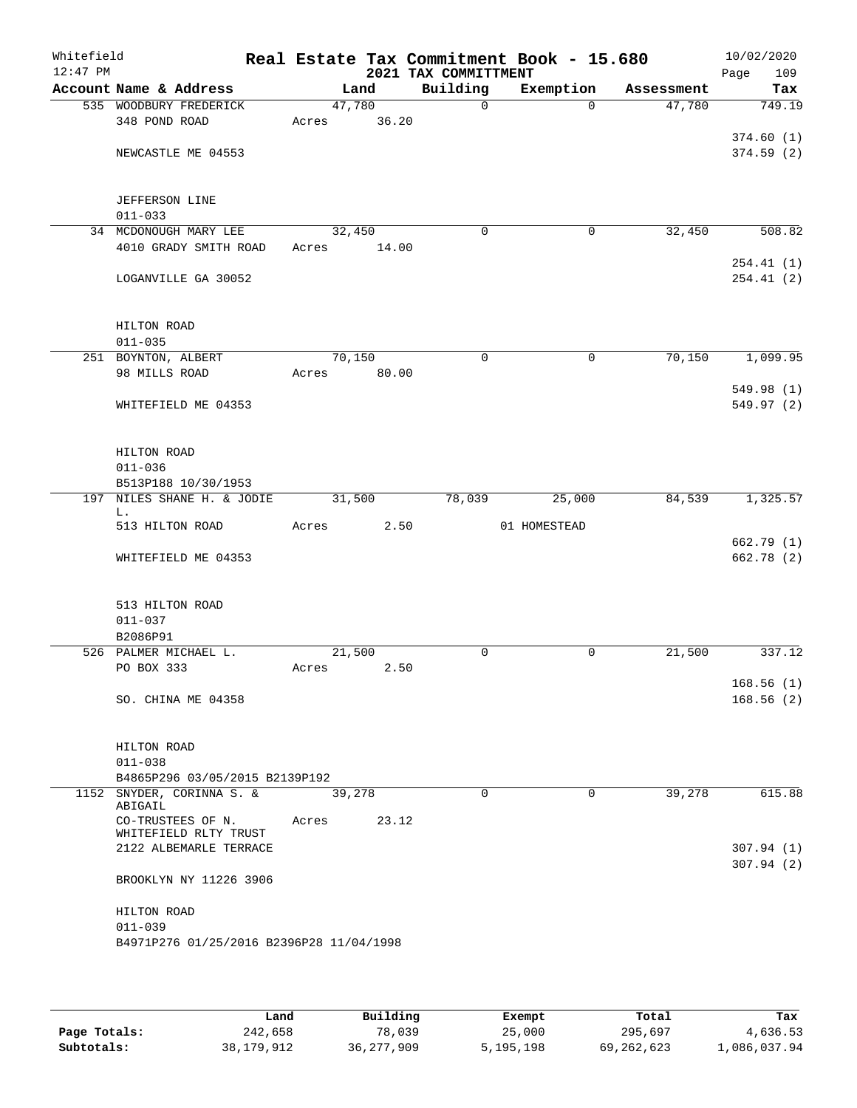| Whitefield<br>$12:47$ PM |                                            |        |       | 2021 TAX COMMITTMENT | Real Estate Tax Commitment Book - 15.680 |            | 10/02/2020<br>109<br>Page |
|--------------------------|--------------------------------------------|--------|-------|----------------------|------------------------------------------|------------|---------------------------|
|                          | Account Name & Address                     | Land   |       | Building             | Exemption                                | Assessment | Tax                       |
|                          | 535 WOODBURY FREDERICK                     | 47,780 |       | $\Omega$             | $\Omega$                                 | 47,780     | 749.19                    |
|                          | 348 POND ROAD                              | Acres  | 36.20 |                      |                                          |            |                           |
|                          |                                            |        |       |                      |                                          |            | 374.60(1)                 |
|                          | NEWCASTLE ME 04553                         |        |       |                      |                                          |            | 374.59(2)                 |
|                          |                                            |        |       |                      |                                          |            |                           |
|                          |                                            |        |       |                      |                                          |            |                           |
|                          | <b>JEFFERSON LINE</b>                      |        |       |                      |                                          |            |                           |
|                          | $011 - 033$                                |        |       |                      |                                          |            |                           |
|                          | 34 MCDONOUGH MARY LEE                      | 32,450 |       | $\mathbf 0$          | 0                                        | 32,450     | 508.82                    |
|                          | 4010 GRADY SMITH ROAD                      | Acres  | 14.00 |                      |                                          |            |                           |
|                          |                                            |        |       |                      |                                          |            | 254.41(1)                 |
|                          | LOGANVILLE GA 30052                        |        |       |                      |                                          |            | 254.41(2)                 |
|                          |                                            |        |       |                      |                                          |            |                           |
|                          |                                            |        |       |                      |                                          |            |                           |
|                          | HILTON ROAD                                |        |       |                      |                                          |            |                           |
|                          | $011 - 035$                                |        |       |                      |                                          |            |                           |
|                          | 251 BOYNTON, ALBERT                        | 70,150 |       | $\Omega$             | $\mathbf 0$                              | 70,150     | 1,099.95                  |
|                          | 98 MILLS ROAD                              | Acres  | 80.00 |                      |                                          |            |                           |
|                          |                                            |        |       |                      |                                          |            | 549.98 (1)                |
|                          | WHITEFIELD ME 04353                        |        |       |                      |                                          |            | 549.97(2)                 |
|                          |                                            |        |       |                      |                                          |            |                           |
|                          |                                            |        |       |                      |                                          |            |                           |
|                          | HILTON ROAD                                |        |       |                      |                                          |            |                           |
|                          | $011 - 036$                                |        |       |                      |                                          |            |                           |
|                          | B513P188 10/30/1953                        |        |       |                      |                                          |            |                           |
|                          | 197 NILES SHANE H. & JODIE                 | 31,500 |       | 78,039               | 25,000                                   | 84,539     | 1,325.57                  |
|                          | L.<br>513 HILTON ROAD                      | Acres  | 2.50  |                      | 01 HOMESTEAD                             |            |                           |
|                          |                                            |        |       |                      |                                          |            | 662.79 (1)                |
|                          | WHITEFIELD ME 04353                        |        |       |                      |                                          |            | 662.78 (2)                |
|                          |                                            |        |       |                      |                                          |            |                           |
|                          |                                            |        |       |                      |                                          |            |                           |
|                          | 513 HILTON ROAD                            |        |       |                      |                                          |            |                           |
|                          | $011 - 037$                                |        |       |                      |                                          |            |                           |
|                          | B2086P91                                   |        |       |                      |                                          |            |                           |
|                          | 526 PALMER MICHAEL L.                      | 21,500 |       | $\mathbf 0$          | 0                                        | 21,500     | 337.12                    |
|                          | PO BOX 333                                 | Acres  | 2.50  |                      |                                          |            |                           |
|                          |                                            |        |       |                      |                                          |            | 168.56(1)                 |
|                          | SO. CHINA ME 04358                         |        |       |                      |                                          |            | 168.56(2)                 |
|                          |                                            |        |       |                      |                                          |            |                           |
|                          |                                            |        |       |                      |                                          |            |                           |
|                          | HILTON ROAD                                |        |       |                      |                                          |            |                           |
|                          | $011 - 038$                                |        |       |                      |                                          |            |                           |
|                          | B4865P296 03/05/2015 B2139P192             |        |       |                      |                                          |            |                           |
|                          | 1152 SNYDER, CORINNA S. &                  | 39,278 |       | $\mathbf 0$          | $\Omega$                                 | 39,278     | 615.88                    |
|                          | ABIGAIL                                    |        |       |                      |                                          |            |                           |
|                          | CO-TRUSTEES OF N.<br>WHITEFIELD RLTY TRUST | Acres  | 23.12 |                      |                                          |            |                           |
|                          | 2122 ALBEMARLE TERRACE                     |        |       |                      |                                          |            | 307.94(1)                 |
|                          |                                            |        |       |                      |                                          |            | 307.94(2)                 |
|                          | BROOKLYN NY 11226 3906                     |        |       |                      |                                          |            |                           |
|                          |                                            |        |       |                      |                                          |            |                           |
|                          | HILTON ROAD                                |        |       |                      |                                          |            |                           |
|                          | $011 - 039$                                |        |       |                      |                                          |            |                           |
|                          | B4971P276 01/25/2016 B2396P28 11/04/1998   |        |       |                      |                                          |            |                           |
|                          |                                            |        |       |                      |                                          |            |                           |
|                          |                                            |        |       |                      |                                          |            |                           |

|              | Land       | Building     | Exempt    | Total        | Tax          |
|--------------|------------|--------------|-----------|--------------|--------------|
| Page Totals: | 242,658    | 78,039       | 25,000    | 295,697      | 4,636.53     |
| Subtotals:   | 38,179,912 | 36, 277, 909 | 5,195,198 | 69, 262, 623 | 1,086,037.94 |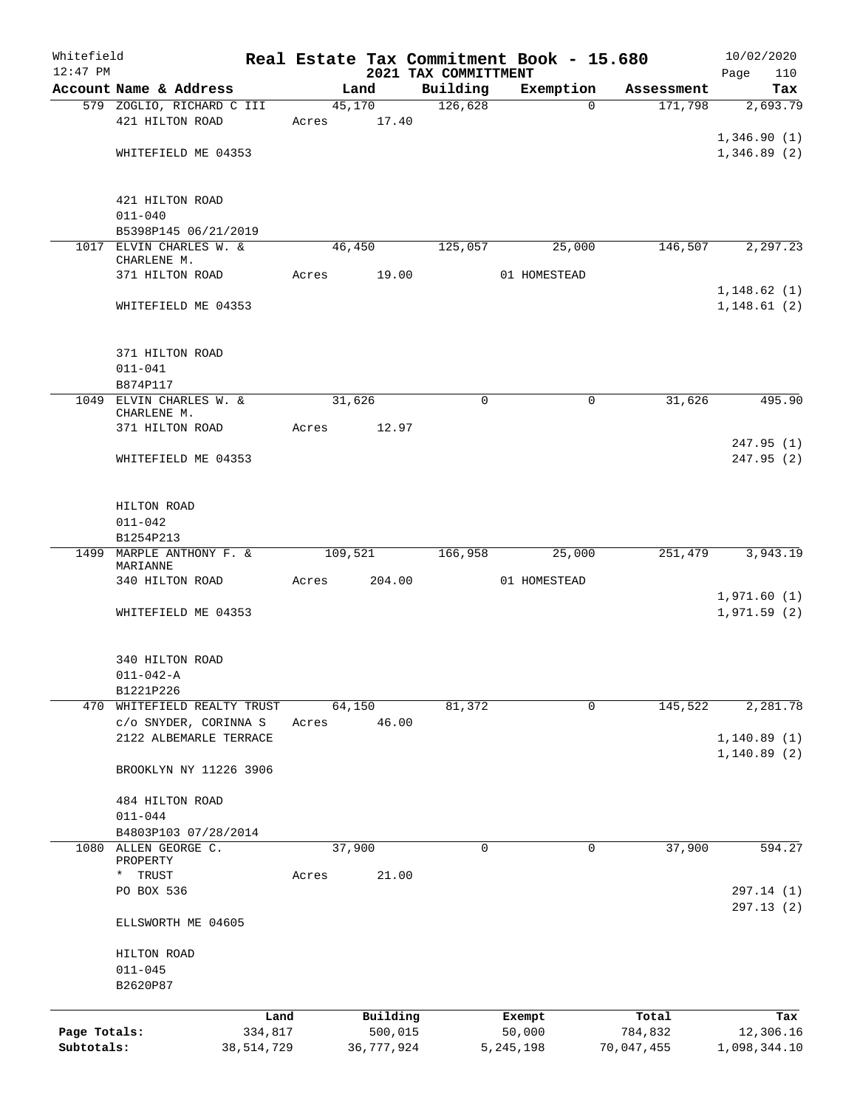| Whitefield                 |                                                      |              |       |         |              |                                  | Real Estate Tax Commitment Book - 15.680 |                       | 10/02/2020                 |
|----------------------------|------------------------------------------------------|--------------|-------|---------|--------------|----------------------------------|------------------------------------------|-----------------------|----------------------------|
| $12:47$ PM                 | Account Name & Address                               |              |       | Land    |              | 2021 TAX COMMITTMENT<br>Building |                                          | Assessment            | Page<br>110                |
|                            | 579 ZOGLIO, RICHARD C III                            |              |       | 45,170  |              | 126,628                          | Exemption                                | 171,798<br>$\Omega$   | Tax<br>2,693.79            |
|                            | 421 HILTON ROAD                                      |              | Acres |         | 17.40        |                                  |                                          |                       |                            |
|                            |                                                      |              |       |         |              |                                  |                                          |                       | 1,346.90(1)                |
|                            | WHITEFIELD ME 04353                                  |              |       |         |              |                                  |                                          |                       | 1,346.89(2)                |
|                            |                                                      |              |       |         |              |                                  |                                          |                       |                            |
|                            | 421 HILTON ROAD                                      |              |       |         |              |                                  |                                          |                       |                            |
|                            | $011 - 040$                                          |              |       |         |              |                                  |                                          |                       |                            |
|                            | B5398P145 06/21/2019                                 |              |       |         |              |                                  |                                          |                       |                            |
|                            | 1017 ELVIN CHARLES W. &                              |              |       | 46,450  |              | 125,057                          | 25,000                                   | 146,507               | 2, 297.23                  |
|                            | CHARLENE M.                                          |              |       |         |              |                                  |                                          |                       |                            |
|                            | 371 HILTON ROAD                                      |              | Acres |         | 19.00        |                                  | 01 HOMESTEAD                             |                       | 1, 148.62(1)               |
|                            | WHITEFIELD ME 04353                                  |              |       |         |              |                                  |                                          |                       | 1, 148.61(2)               |
|                            |                                                      |              |       |         |              |                                  |                                          |                       |                            |
|                            |                                                      |              |       |         |              |                                  |                                          |                       |                            |
|                            | 371 HILTON ROAD                                      |              |       |         |              |                                  |                                          |                       |                            |
|                            | $011 - 041$                                          |              |       |         |              |                                  |                                          |                       |                            |
|                            | B874P117                                             |              |       |         |              |                                  |                                          |                       |                            |
|                            | 1049 ELVIN CHARLES W. &<br>CHARLENE M.               |              |       | 31,626  |              | $\mathbf 0$                      |                                          | 31,626<br>0           | 495.90                     |
|                            | 371 HILTON ROAD                                      |              | Acres |         | 12.97        |                                  |                                          |                       |                            |
|                            |                                                      |              |       |         |              |                                  |                                          |                       | 247.95 (1)                 |
|                            | WHITEFIELD ME 04353                                  |              |       |         |              |                                  |                                          |                       | 247.95(2)                  |
|                            |                                                      |              |       |         |              |                                  |                                          |                       |                            |
|                            |                                                      |              |       |         |              |                                  |                                          |                       |                            |
|                            | HILTON ROAD<br>$011 - 042$                           |              |       |         |              |                                  |                                          |                       |                            |
|                            | B1254P213                                            |              |       |         |              |                                  |                                          |                       |                            |
|                            | 1499 MARPLE ANTHONY F. &                             |              |       | 109,521 |              | 166,958                          | 25,000                                   | 251,479               | 3,943.19                   |
|                            | MARIANNE                                             |              |       |         |              |                                  |                                          |                       |                            |
|                            | 340 HILTON ROAD                                      |              | Acres |         | 204.00       |                                  | 01 HOMESTEAD                             |                       |                            |
|                            | WHITEFIELD ME 04353                                  |              |       |         |              |                                  |                                          |                       | 1,971.60(1)<br>1,971.59(2) |
|                            |                                                      |              |       |         |              |                                  |                                          |                       |                            |
|                            |                                                      |              |       |         |              |                                  |                                          |                       |                            |
|                            | 340 HILTON ROAD                                      |              |       |         |              |                                  |                                          |                       |                            |
|                            | $011 - 042 - A$                                      |              |       |         |              |                                  |                                          |                       |                            |
|                            | B1221P226                                            |              |       |         |              |                                  |                                          |                       |                            |
|                            | 470 WHITEFIELD REALTY TRUST<br>c/o SNYDER, CORINNA S |              | Acres | 64,150  | 46.00        | 81,372                           |                                          | 145,522<br>0          | 2,281.78                   |
|                            | 2122 ALBEMARLE TERRACE                               |              |       |         |              |                                  |                                          |                       | 1, 140.89(1)               |
|                            |                                                      |              |       |         |              |                                  |                                          |                       | 1, 140.89(2)               |
|                            | BROOKLYN NY 11226 3906                               |              |       |         |              |                                  |                                          |                       |                            |
|                            |                                                      |              |       |         |              |                                  |                                          |                       |                            |
|                            | 484 HILTON ROAD                                      |              |       |         |              |                                  |                                          |                       |                            |
|                            | $011 - 044$                                          |              |       |         |              |                                  |                                          |                       |                            |
| 1080                       | B4803P103 07/28/2014<br>ALLEN GEORGE C.              |              |       | 37,900  |              | 0                                |                                          | 37,900<br>0           | 594.27                     |
|                            | PROPERTY                                             |              |       |         |              |                                  |                                          |                       |                            |
|                            | TRUST<br>$\star$                                     |              | Acres |         | 21.00        |                                  |                                          |                       |                            |
|                            | PO BOX 536                                           |              |       |         |              |                                  |                                          |                       | 297.14 (1)                 |
|                            |                                                      |              |       |         |              |                                  |                                          |                       | 297.13 (2)                 |
|                            | ELLSWORTH ME 04605                                   |              |       |         |              |                                  |                                          |                       |                            |
|                            | HILTON ROAD                                          |              |       |         |              |                                  |                                          |                       |                            |
|                            | $011 - 045$                                          |              |       |         |              |                                  |                                          |                       |                            |
|                            | B2620P87                                             |              |       |         |              |                                  |                                          |                       |                            |
|                            |                                                      |              |       |         |              |                                  |                                          |                       |                            |
|                            |                                                      | Land         |       |         | Building     |                                  | Exempt                                   | Total                 | Tax                        |
| Page Totals:<br>Subtotals: |                                                      | 334,817      |       |         | 500,015      |                                  | 50,000                                   | 784,832<br>70,047,455 | 12,306.16                  |
|                            |                                                      | 38, 514, 729 |       |         | 36, 777, 924 |                                  | 5,245,198                                |                       | 1,098,344.10               |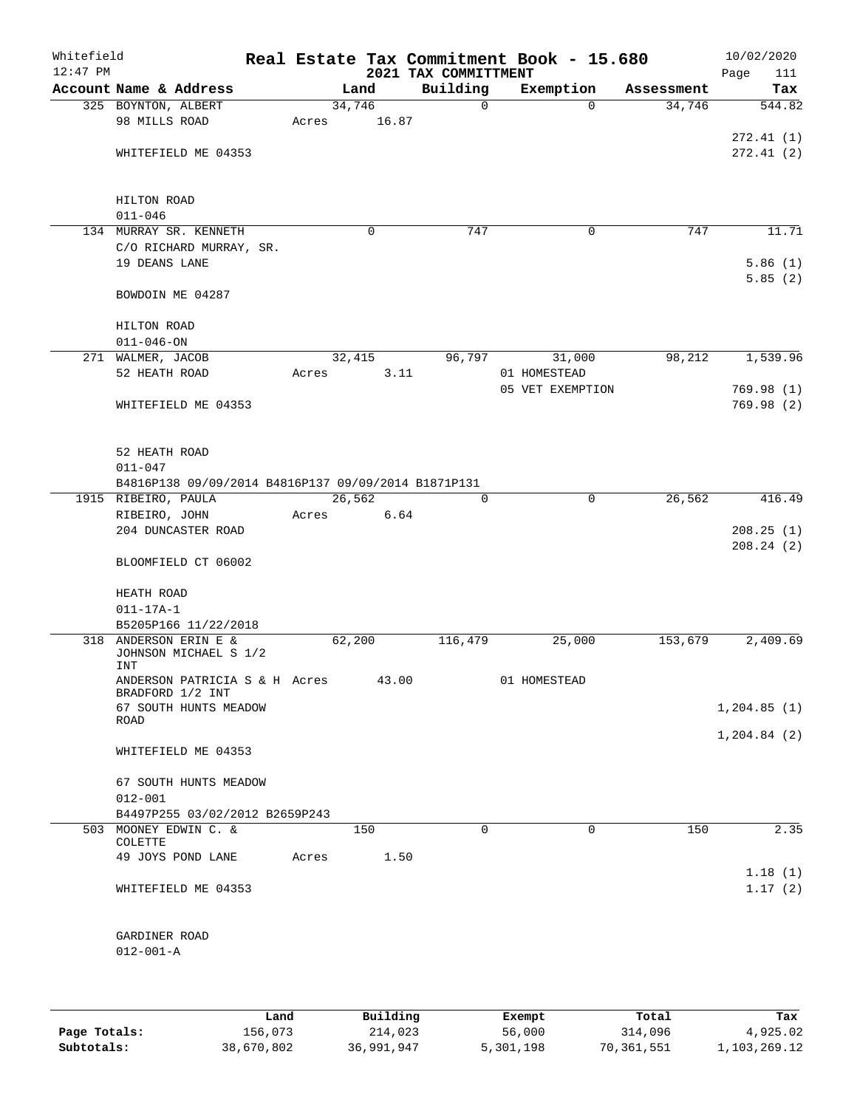| Whitefield<br>$12:47$ PM |                                                     |       |         |          | 2021 TAX COMMITTMENT | Real Estate Tax Commitment Book - 15.680 |            | 10/02/2020<br>Page<br>111 |
|--------------------------|-----------------------------------------------------|-------|---------|----------|----------------------|------------------------------------------|------------|---------------------------|
|                          | Account Name & Address                              |       | Land    |          | Building             | Exemption                                | Assessment | Tax                       |
|                          | 325 BOYNTON, ALBERT                                 |       | 34,746  |          | $\mathbf 0$          | $\Omega$                                 | 34,746     | 544.82                    |
|                          | 98 MILLS ROAD                                       | Acres |         | 16.87    |                      |                                          |            |                           |
|                          |                                                     |       |         |          |                      |                                          |            | 272.41(1)                 |
|                          | WHITEFIELD ME 04353                                 |       |         |          |                      |                                          |            | 272.41(2)                 |
|                          |                                                     |       |         |          |                      |                                          |            |                           |
|                          |                                                     |       |         |          |                      |                                          |            |                           |
|                          | HILTON ROAD<br>$011 - 046$                          |       |         |          |                      |                                          |            |                           |
|                          | 134 MURRAY SR. KENNETH                              |       |         | $\Omega$ | 747                  | 0                                        | 747        | 11.71                     |
|                          | C/O RICHARD MURRAY, SR.                             |       |         |          |                      |                                          |            |                           |
|                          | 19 DEANS LANE                                       |       |         |          |                      |                                          |            | 5.86(1)                   |
|                          |                                                     |       |         |          |                      |                                          |            | 5.85(2)                   |
|                          | BOWDOIN ME 04287                                    |       |         |          |                      |                                          |            |                           |
|                          | HILTON ROAD                                         |       |         |          |                      |                                          |            |                           |
|                          | $011 - 046 - ON$                                    |       |         |          |                      |                                          |            |                           |
|                          | 271 WALMER, JACOB                                   |       | 32,415  |          | 96,797               | 31,000                                   | 98,212     | 1,539.96                  |
|                          | 52 HEATH ROAD                                       | Acres |         | 3.11     |                      | 01 HOMESTEAD                             |            |                           |
|                          |                                                     |       |         |          |                      | 05 VET EXEMPTION                         |            | 769.98(1)                 |
|                          | WHITEFIELD ME 04353                                 |       |         |          |                      |                                          |            | 769.98(2)                 |
|                          |                                                     |       |         |          |                      |                                          |            |                           |
|                          | 52 HEATH ROAD                                       |       |         |          |                      |                                          |            |                           |
|                          | $011 - 047$                                         |       |         |          |                      |                                          |            |                           |
|                          | B4816P138 09/09/2014 B4816P137 09/09/2014 B1871P131 |       |         |          |                      |                                          |            |                           |
|                          | 1915 RIBEIRO, PAULA                                 |       | 26, 562 |          | $\Omega$             | $\mathbf 0$                              | 26,562     | 416.49                    |
|                          | RIBEIRO, JOHN                                       | Acres |         | 6.64     |                      |                                          |            |                           |
|                          | 204 DUNCASTER ROAD                                  |       |         |          |                      |                                          |            | 208.25(1)                 |
|                          |                                                     |       |         |          |                      |                                          |            | 208.24(2)                 |
|                          | BLOOMFIELD CT 06002                                 |       |         |          |                      |                                          |            |                           |
|                          | HEATH ROAD                                          |       |         |          |                      |                                          |            |                           |
|                          | $011 - 17A - 1$                                     |       |         |          |                      |                                          |            |                           |
|                          | B5205P166 11/22/2018                                |       |         |          |                      |                                          |            |                           |
|                          | 318 ANDERSON ERIN E &                               |       | 62,200  |          | 116,479              | 25,000                                   | 153,679    | 2,409.69                  |
|                          | JOHNSON MICHAEL S 1/2<br>INT                        |       |         |          |                      |                                          |            |                           |
|                          | ANDERSON PATRICIA S & H Acres 43.00                 |       |         |          |                      | 01 HOMESTEAD                             |            |                           |
|                          | BRADFORD 1/2 INT<br>67 SOUTH HUNTS MEADOW           |       |         |          |                      |                                          |            | 1, 204.85(1)              |
|                          | ROAD                                                |       |         |          |                      |                                          |            |                           |
|                          | WHITEFIELD ME 04353                                 |       |         |          |                      |                                          |            | 1, 204.84 (2)             |
|                          |                                                     |       |         |          |                      |                                          |            |                           |
|                          | 67 SOUTH HUNTS MEADOW                               |       |         |          |                      |                                          |            |                           |
|                          | $012 - 001$                                         |       |         |          |                      |                                          |            |                           |
|                          | B4497P255 03/02/2012 B2659P243                      |       |         |          |                      |                                          |            |                           |
|                          | 503 MOONEY EDWIN C. &<br>COLETTE                    |       | 150     |          | $\Omega$             | $\Omega$                                 | 150        | 2.35                      |
|                          | 49 JOYS POND LANE                                   | Acres |         | 1.50     |                      |                                          |            |                           |
|                          |                                                     |       |         |          |                      |                                          |            | 1.18(1)                   |
|                          | WHITEFIELD ME 04353                                 |       |         |          |                      |                                          |            | 1.17(2)                   |
|                          |                                                     |       |         |          |                      |                                          |            |                           |
|                          | GARDINER ROAD                                       |       |         |          |                      |                                          |            |                           |
|                          | $012 - 001 - A$                                     |       |         |          |                      |                                          |            |                           |
|                          |                                                     |       |         |          |                      |                                          |            |                           |
|                          |                                                     |       |         |          |                      |                                          |            |                           |

|              | Land       | Building   | Exempt    | Total      | Tax          |
|--------------|------------|------------|-----------|------------|--------------|
| Page Totals: | 156,073    | 214,023    | 56,000    | 314,096    | 4,925.02     |
| Subtotals:   | 38,670,802 | 36,991,947 | 5,301,198 | 70,361,551 | 1,103,269.12 |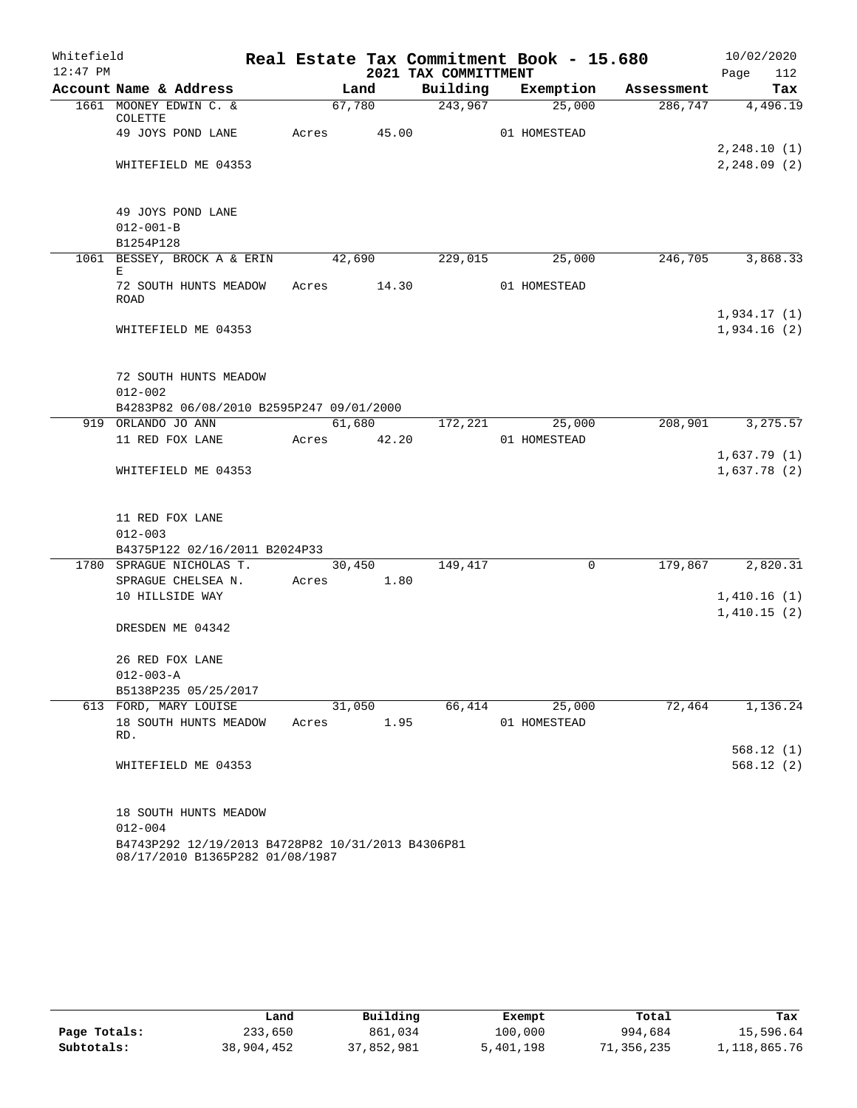| Whitefield |                                                       |            |        |      |                      | Real Estate Tax Commitment Book - 15.680 |            | 10/02/2020                   |
|------------|-------------------------------------------------------|------------|--------|------|----------------------|------------------------------------------|------------|------------------------------|
| $12:47$ PM |                                                       |            |        |      | 2021 TAX COMMITTMENT |                                          |            | 112<br>Page                  |
|            | Account Name & Address                                |            | Land   |      | Building             | Exemption                                | Assessment | Tax                          |
|            | 1661 MOONEY EDWIN C. &<br>COLETTE                     |            | 67,780 |      | 243,967              | 25,000                                   | 286,747    | 4,496.19                     |
|            | 49 JOYS POND LANE                                     | Acres      | 45.00  |      |                      | 01 HOMESTEAD                             |            |                              |
|            | WHITEFIELD ME 04353                                   |            |        |      |                      |                                          |            | 2, 248.10(1)<br>2, 248.09(2) |
|            | 49 JOYS POND LANE<br>$012 - 001 - B$                  |            |        |      |                      |                                          |            |                              |
|            | B1254P128                                             |            |        |      |                      |                                          |            |                              |
|            | 1061 BESSEY, BROCK A & ERIN<br>E                      |            | 42,690 |      | 229,015              | 25,000                                   | 246,705    | 3,868.33                     |
|            | 72 SOUTH HUNTS MEADOW<br><b>ROAD</b>                  | Acres      |        |      | 14.30                | 01 HOMESTEAD                             |            |                              |
|            | WHITEFIELD ME 04353                                   |            |        |      |                      |                                          |            | 1,934.17(1)<br>1,934.16(2)   |
|            |                                                       |            |        |      |                      |                                          |            |                              |
|            | 72 SOUTH HUNTS MEADOW                                 |            |        |      |                      |                                          |            |                              |
|            | $012 - 002$                                           |            |        |      |                      |                                          |            |                              |
|            | B4283P82 06/08/2010 B2595P247 09/01/2000              |            |        |      |                      |                                          |            |                              |
|            | 919 ORLANDO JO ANN                                    |            | 61,680 |      | 172,221              | 25,000                                   | 208,901    | 3,275.57                     |
|            | 11 RED FOX LANE                                       | Acres      | 42.20  |      |                      | 01 HOMESTEAD                             |            |                              |
|            |                                                       |            |        |      |                      |                                          |            | 1,637.79(1)                  |
|            | WHITEFIELD ME 04353                                   |            |        |      |                      |                                          |            | 1,637.78(2)                  |
|            | 11 RED FOX LANE<br>$012 - 003$                        |            |        |      |                      |                                          |            |                              |
|            | B4375P122 02/16/2011 B2024P33                         |            |        |      |                      |                                          |            |                              |
|            | 1780 SPRAGUE NICHOLAS T.                              |            | 30,450 |      | 149,417              | $\mathbf 0$                              | 179,867    | 2,820.31                     |
|            | SPRAGUE CHELSEA N.                                    | Acres 1.80 |        |      |                      |                                          |            |                              |
|            | 10 HILLSIDE WAY                                       |            |        |      |                      |                                          |            | 1,410.16(1)                  |
|            |                                                       |            |        |      |                      |                                          |            | 1,410.15(2)                  |
|            | DRESDEN ME 04342                                      |            |        |      |                      |                                          |            |                              |
|            | 26 RED FOX LANE                                       |            |        |      |                      |                                          |            |                              |
|            | $012 - 003 - A$                                       |            |        |      |                      |                                          |            |                              |
|            | B5138P235 05/25/2017                                  |            |        |      |                      |                                          |            |                              |
|            | 613 FORD, MARY LOUISE<br>18 SOUTH HUNTS MEADOW<br>RD. | Acres      | 31,050 | 1.95 | 66,414               | 25,000<br>01 HOMESTEAD                   | 72,464     | 1,136.24                     |
|            |                                                       |            |        |      |                      |                                          |            | 568.12(1)                    |
|            | WHITEFIELD ME 04353                                   |            |        |      |                      |                                          |            | 568.12(2)                    |
|            | 18 SOUTH HUNTS MEADOW                                 |            |        |      |                      |                                          |            |                              |
|            | $012 - 004$                                           |            |        |      |                      |                                          |            |                              |
|            | B4743P292 12/19/2013 B4728P82 10/31/2013 B4306P81     |            |        |      |                      |                                          |            |                              |

08/17/2010 B1365P282 01/08/1987

|              | Land       | Building   | Exempt    | Total      | Tax          |
|--------------|------------|------------|-----------|------------|--------------|
| Page Totals: | 233,650    | 861,034    | 100,000   | 994,684    | 15,596.64    |
| Subtotals:   | 38,904,452 | 37,852,981 | 5,401,198 | 71,356,235 | 1,118,865.76 |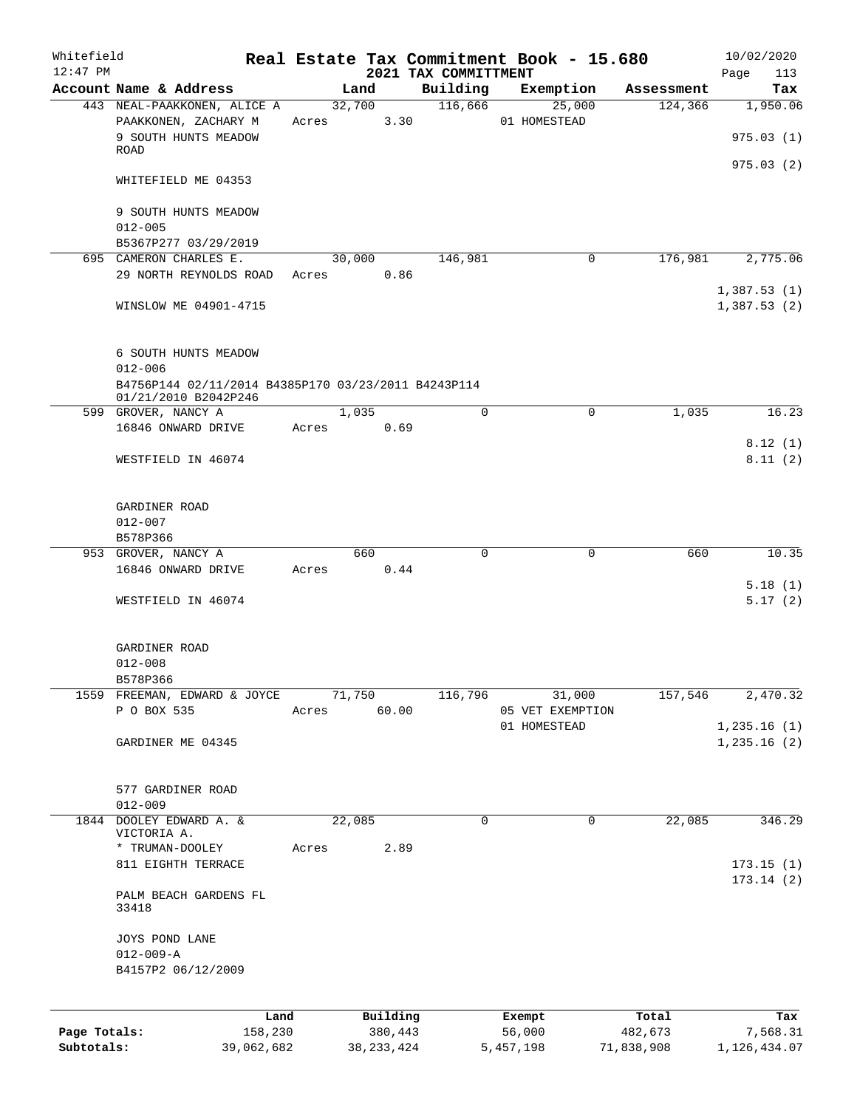| Whitefield<br>$12:47$ PM   |                                                                                     |       |                 |                         | 2021 TAX COMMITTMENT | Real Estate Tax Commitment Book - 15.680   |                       | 10/02/2020<br>Page<br>113  |
|----------------------------|-------------------------------------------------------------------------------------|-------|-----------------|-------------------------|----------------------|--------------------------------------------|-----------------------|----------------------------|
|                            | Account Name & Address                                                              |       | Land            |                         | Building             | Exemption                                  | Assessment            | Tax                        |
|                            | 443 NEAL-PAAKKONEN, ALICE A<br>PAAKKONEN, ZACHARY M<br>9 SOUTH HUNTS MEADOW<br>ROAD | Acres | 32,700          | 3.30                    | 116,666              | 25,000<br>01 HOMESTEAD                     | 124,366               | 1,950.06<br>975.03(1)      |
|                            | WHITEFIELD ME 04353                                                                 |       |                 |                         |                      |                                            |                       | 975.03(2)                  |
|                            | 9 SOUTH HUNTS MEADOW<br>$012 - 005$                                                 |       |                 |                         |                      |                                            |                       |                            |
|                            | B5367P277 03/29/2019                                                                |       |                 |                         |                      |                                            |                       |                            |
|                            | 695 CAMERON CHARLES E.<br>29 NORTH REYNOLDS ROAD                                    |       | 30,000<br>Acres | 0.86                    | 146,981              | 0                                          | 176,981               | 2,775.06                   |
|                            | WINSLOW ME 04901-4715                                                               |       |                 |                         |                      |                                            |                       | 1,387.53(1)<br>1,387.53(2) |
|                            | 6 SOUTH HUNTS MEADOW<br>$012 - 006$                                                 |       |                 |                         |                      |                                            |                       |                            |
|                            | B4756P144 02/11/2014 B4385P170 03/23/2011 B4243P114<br>01/21/2010 B2042P246         |       |                 |                         |                      |                                            |                       |                            |
|                            | 599 GROVER, NANCY A                                                                 |       | 1,035           |                         | $\Omega$             | 0                                          | 1,035                 | 16.23                      |
|                            | 16846 ONWARD DRIVE<br>WESTFIELD IN 46074                                            | Acres |                 | 0.69                    |                      |                                            |                       | 8.12(1)<br>8.11(2)         |
|                            | GARDINER ROAD<br>$012 - 007$                                                        |       |                 |                         |                      |                                            |                       |                            |
|                            | B578P366                                                                            |       |                 |                         |                      |                                            |                       |                            |
|                            | 953 GROVER, NANCY A<br>16846 ONWARD DRIVE                                           | Acres | 660             | 0.44                    | $\mathbf 0$          | $\mathbf 0$                                | 660                   | 10.35                      |
|                            | WESTFIELD IN 46074                                                                  |       |                 |                         |                      |                                            |                       | 5.18(1)<br>5.17(2)         |
|                            | GARDINER ROAD<br>$012 - 008$                                                        |       |                 |                         |                      |                                            |                       |                            |
|                            | B578P366                                                                            |       |                 |                         |                      |                                            |                       |                            |
|                            | 1559 FREEMAN, EDWARD & JOYCE<br>P O BOX 535                                         | Acres | 71,750          | 60.00                   | 116,796              | 31,000<br>05 VET EXEMPTION<br>01 HOMESTEAD | 157,546               | 2,470.32<br>1, 235.16(1)   |
|                            | GARDINER ME 04345                                                                   |       |                 |                         |                      |                                            |                       | 1,235.16(2)                |
|                            | 577 GARDINER ROAD<br>$012 - 009$                                                    |       |                 |                         |                      |                                            |                       |                            |
|                            | 1844 DOOLEY EDWARD A. &<br>VICTORIA A.<br>* TRUMAN-DOOLEY                           | Acres | 22,085          | 2.89                    | 0                    | 0                                          | 22,085                | 346.29                     |
|                            | 811 EIGHTH TERRACE                                                                  |       |                 |                         |                      |                                            |                       | 173.15(1)<br>173.14(2)     |
|                            | PALM BEACH GARDENS FL<br>33418                                                      |       |                 |                         |                      |                                            |                       |                            |
|                            | JOYS POND LANE<br>$012 - 009 - A$<br>B4157P2 06/12/2009                             |       |                 |                         |                      |                                            |                       |                            |
|                            | Land                                                                                |       |                 | Building                |                      | Exempt                                     | Total                 | Tax                        |
| Page Totals:<br>Subtotals: | 158,230<br>39,062,682                                                               |       |                 | 380,443<br>38, 233, 424 |                      | 56,000<br>5,457,198                        | 482,673<br>71,838,908 | 7,568.31<br>1,126,434.07   |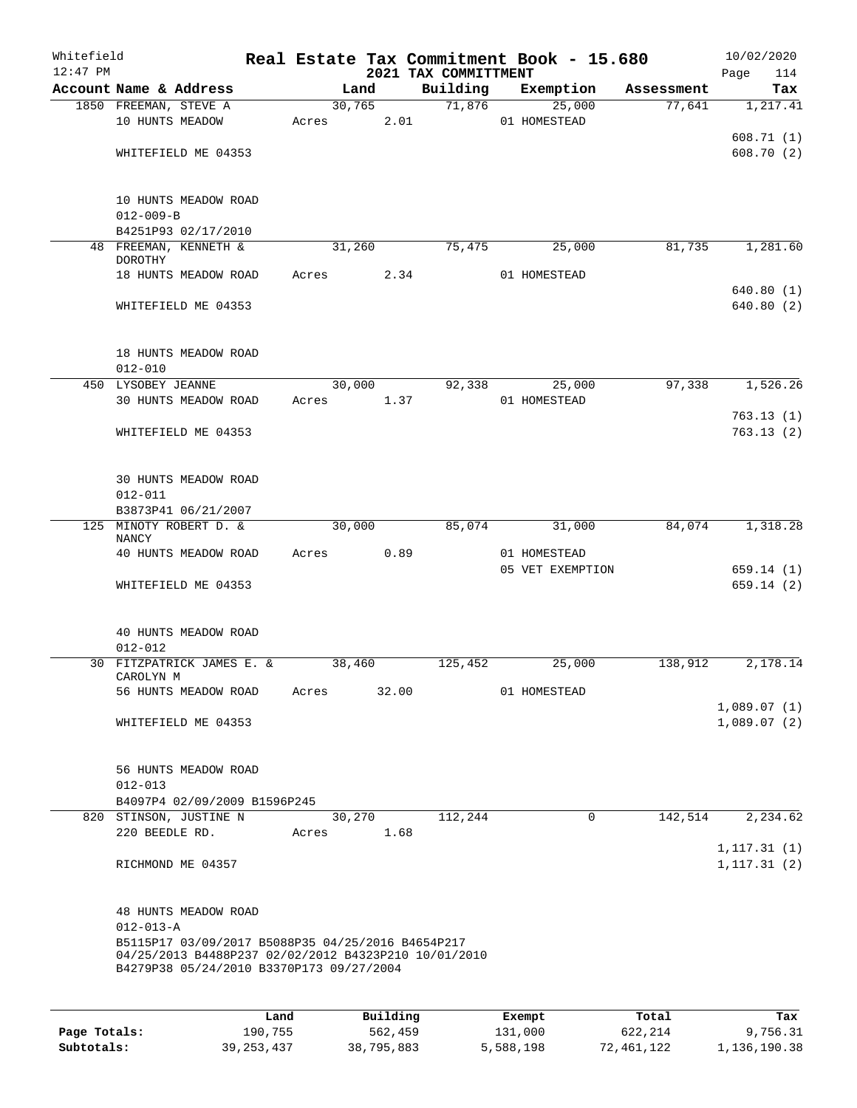| Whitefield<br>$12:47$ PM |                                          |                                                                                                                                                                               |       |        |                           | 2021 TAX COMMITTMENT | Real Estate Tax Commitment Book - 15.680      |            | 10/02/2020<br>Page<br>114  |
|--------------------------|------------------------------------------|-------------------------------------------------------------------------------------------------------------------------------------------------------------------------------|-------|--------|---------------------------|----------------------|-----------------------------------------------|------------|----------------------------|
|                          | Account Name & Address                   |                                                                                                                                                                               |       | Land   |                           | Building             | Exemption                                     | Assessment | Tax                        |
|                          | 1850 FREEMAN, STEVE A<br>10 HUNTS MEADOW |                                                                                                                                                                               | Acres | 30,765 | 2.01                      | 71,876               | 25,000<br>01 HOMESTEAD                        | 77,641     | 1, 217.41                  |
|                          |                                          | WHITEFIELD ME 04353                                                                                                                                                           |       |        |                           |                      |                                               |            | 608.71(1)<br>608.70(2)     |
|                          | $012 - 009 - B$                          | 10 HUNTS MEADOW ROAD                                                                                                                                                          |       |        |                           |                      |                                               |            |                            |
|                          |                                          | B4251P93 02/17/2010<br>48 FREEMAN, KENNETH &                                                                                                                                  |       | 31,260 |                           | 75,475               | 25,000                                        | 81,735     | 1,281.60                   |
|                          | <b>DOROTHY</b>                           |                                                                                                                                                                               |       |        |                           |                      |                                               |            |                            |
|                          |                                          | 18 HUNTS MEADOW ROAD                                                                                                                                                          | Acres |        | 2.34                      |                      | 01 HOMESTEAD                                  |            | 640.80(1)                  |
|                          |                                          | WHITEFIELD ME 04353                                                                                                                                                           |       |        |                           |                      |                                               |            | 640.80(2)                  |
|                          | $012 - 010$                              | 18 HUNTS MEADOW ROAD                                                                                                                                                          |       |        |                           |                      |                                               |            |                            |
|                          | 450 LYSOBEY JEANNE                       |                                                                                                                                                                               |       | 30,000 |                           | 92,338               | 25,000                                        | 97,338     | 1,526.26                   |
|                          |                                          | 30 HUNTS MEADOW ROAD                                                                                                                                                          | Acres |        | 1.37                      |                      | 01 HOMESTEAD                                  |            |                            |
|                          |                                          | WHITEFIELD ME 04353                                                                                                                                                           |       |        |                           |                      |                                               |            | 763.13(1)<br>763.13(2)     |
|                          | $012 - 011$                              | 30 HUNTS MEADOW ROAD                                                                                                                                                          |       |        |                           |                      |                                               |            |                            |
|                          |                                          | B3873P41 06/21/2007                                                                                                                                                           |       |        |                           |                      |                                               |            |                            |
|                          |                                          | 125 MINOTY ROBERT D. &                                                                                                                                                        |       | 30,000 |                           | 85,074               | 31,000                                        | 84,074     | 1,318.28                   |
|                          | <b>NANCY</b>                             | 40 HUNTS MEADOW ROAD                                                                                                                                                          | Acres |        | 0.89                      |                      | 01 HOMESTEAD<br>05 VET EXEMPTION              |            | 659.14(1)                  |
|                          |                                          | WHITEFIELD ME 04353                                                                                                                                                           |       |        |                           |                      |                                               |            | 659.14(2)                  |
|                          | $012 - 012$                              | 40 HUNTS MEADOW ROAD                                                                                                                                                          |       |        |                           |                      |                                               |            |                            |
|                          | CAROLYN M                                | 30 FITZPATRICK JAMES E. &                                                                                                                                                     |       | 38,460 |                           | 125,452              | 25,000                                        | 138,912    | 2,178.14                   |
|                          |                                          | 56 HUNTS MEADOW ROAD                                                                                                                                                          | Acres |        | 32.00                     |                      | 01 HOMESTEAD                                  |            |                            |
|                          |                                          | WHITEFIELD ME 04353                                                                                                                                                           |       |        |                           |                      |                                               |            | 1,089.07(1)<br>1,089.07(2) |
|                          | $012 - 013$                              | 56 HUNTS MEADOW ROAD                                                                                                                                                          |       |        |                           |                      |                                               |            |                            |
|                          |                                          | B4097P4 02/09/2009 B1596P245                                                                                                                                                  |       |        |                           | 112,244              | 0                                             | 142,514    | 2,234.62                   |
|                          | 220 BEEDLE RD.                           | 820 STINSON, JUSTINE N                                                                                                                                                        | Acres | 30,270 | 1.68                      |                      |                                               |            | 1, 117.31(1)               |
|                          | RICHMOND ME 04357                        |                                                                                                                                                                               |       |        |                           |                      |                                               |            | 1, 117.31(2)               |
|                          | $012 - 013 - A$                          | 48 HUNTS MEADOW ROAD<br>B5115P17 03/09/2017 B5088P35 04/25/2016 B4654P217<br>04/25/2013 B4488P237 02/02/2012 B4323P210 10/01/2010<br>B4279P38 05/24/2010 B3370P173 09/27/2004 |       |        |                           |                      |                                               |            |                            |
|                          |                                          |                                                                                                                                                                               |       |        |                           |                      |                                               |            |                            |
|                          |                                          |                                                                                                                                                                               |       |        | $P_{11}$ in $I$ in $\sim$ |                      | $P$ <sub>r</sub> $\sim$ m $\sim$ <sup>+</sup> |            |                            |

|              | Land         | Building   | Exempt    | Total      | Tax          |
|--------------|--------------|------------|-----------|------------|--------------|
| Page Totals: | 190,755      | 562,459    | 131,000   | 622,214    | 9,756.31     |
| Subtotals:   | 39, 253, 437 | 38,795,883 | 5,588,198 | 72,461,122 | 1,136,190.38 |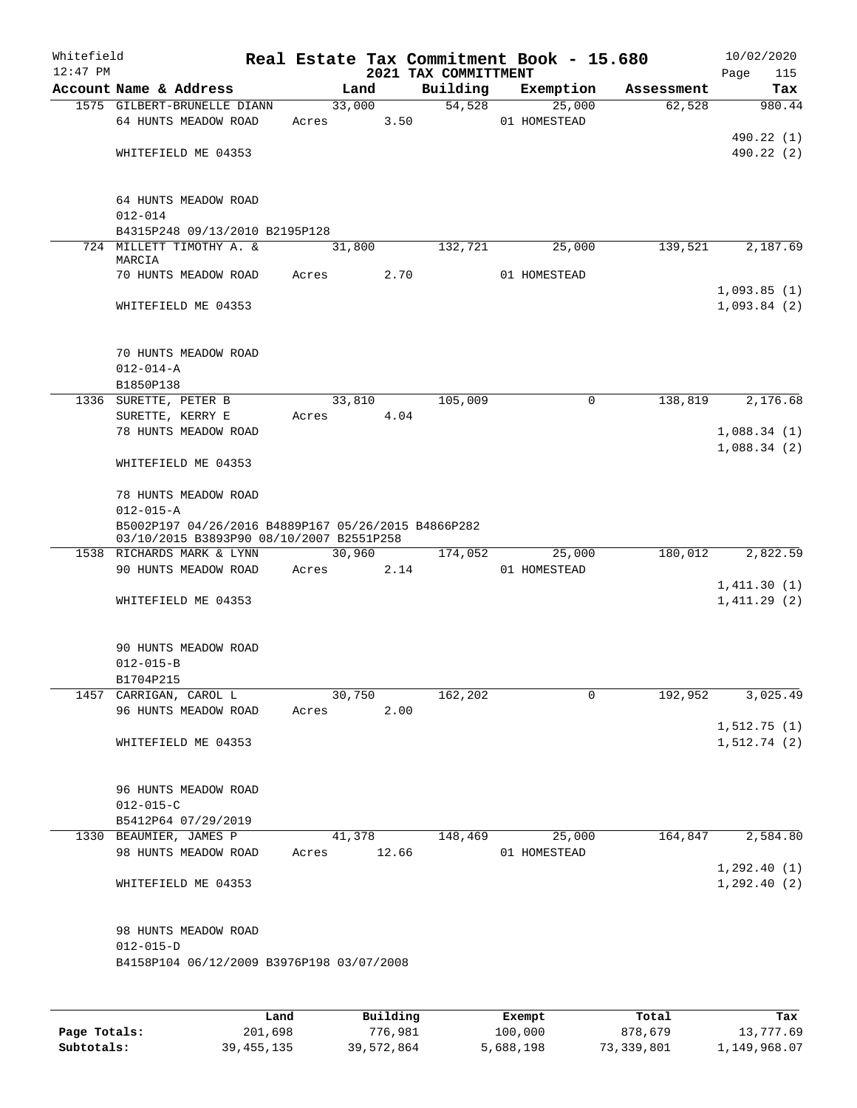| Whitefield<br>$12:47$ PM |                                                                                                 |             |        |      | 2021 TAX COMMITTMENT | Real Estate Tax Commitment Book - 15.680 |            | 10/02/2020<br>115<br>Page  |
|--------------------------|-------------------------------------------------------------------------------------------------|-------------|--------|------|----------------------|------------------------------------------|------------|----------------------------|
|                          | Account Name & Address                                                                          |             | Land   |      | Building             | Exemption                                | Assessment | Tax                        |
|                          | 1575 GILBERT-BRUNELLE DIANN<br>64 HUNTS MEADOW ROAD                                             | Acres 3.50  | 33,000 |      | 54,528               | 25,000<br>01 HOMESTEAD                   | 62,528     | 980.44                     |
|                          | WHITEFIELD ME 04353                                                                             |             |        |      |                      |                                          |            | 490.22 (1)<br>490.22 (2)   |
|                          | 64 HUNTS MEADOW ROAD<br>$012 - 014$                                                             |             |        |      |                      |                                          |            |                            |
|                          | B4315P248 09/13/2010 B2195P128                                                                  |             |        |      |                      |                                          |            |                            |
|                          | 724 MILLETT TIMOTHY A. &<br>MARCIA                                                              |             | 31,800 |      | 132,721              | 25,000                                   | 139,521    | 2,187.69                   |
|                          | 70 HUNTS MEADOW ROAD                                                                            | Acres       |        | 2.70 |                      | 01 HOMESTEAD                             |            |                            |
|                          | WHITEFIELD ME 04353                                                                             |             |        |      |                      |                                          |            | 1,093.85(1)<br>1,093.84(2) |
|                          | 70 HUNTS MEADOW ROAD<br>$012 - 014 - A$                                                         |             |        |      |                      |                                          |            |                            |
|                          | B1850P138                                                                                       |             |        |      |                      |                                          |            |                            |
|                          | 1336 SURETTE, PETER B                                                                           |             | 33,810 |      | 105,009              | $\mathbf 0$                              | 138,819    | 2,176.68                   |
|                          | SURETTE, KERRY E<br>78 HUNTS MEADOW ROAD                                                        | Acres       |        | 4.04 |                      |                                          |            | 1,088.34(1)                |
|                          |                                                                                                 |             |        |      |                      |                                          |            | 1,088.34(2)                |
|                          | WHITEFIELD ME 04353                                                                             |             |        |      |                      |                                          |            |                            |
|                          | 78 HUNTS MEADOW ROAD<br>$012 - 015 - A$                                                         |             |        |      |                      |                                          |            |                            |
|                          | B5002P197 04/26/2016 B4889P167 05/26/2015 B4866P282<br>03/10/2015 B3893P90 08/10/2007 B2551P258 |             |        |      |                      |                                          |            |                            |
|                          | 1538 RICHARDS MARK & LYNN                                                                       |             | 30,960 |      | 174,052              | 25,000                                   | 180,012    | 2,822.59                   |
|                          | 90 HUNTS MEADOW ROAD                                                                            | Acres 2.14  |        |      |                      | 01 HOMESTEAD                             |            |                            |
|                          | WHITEFIELD ME 04353                                                                             |             |        |      |                      |                                          |            | 1,411.30(1)<br>1,411.29(2) |
|                          | 90 HUNTS MEADOW ROAD<br>$012 - 015 - B$                                                         |             |        |      |                      |                                          |            |                            |
|                          | B1704P215                                                                                       |             |        |      |                      |                                          |            |                            |
|                          | 1457 CARRIGAN, CAROL L                                                                          |             | 30,750 |      | 162,202              | $\mathbf 0$                              | 192,952    | 3,025.49                   |
|                          | 96 HUNTS MEADOW ROAD                                                                            | Acres       |        | 2.00 |                      |                                          |            |                            |
|                          | WHITEFIELD ME 04353                                                                             |             |        |      |                      |                                          |            | 1,512.75(1)<br>1,512.74(2) |
|                          | 96 HUNTS MEADOW ROAD                                                                            |             |        |      |                      |                                          |            |                            |
|                          | $012 - 015 - C$                                                                                 |             |        |      |                      |                                          |            |                            |
|                          | B5412P64 07/29/2019                                                                             |             |        |      |                      |                                          |            |                            |
|                          | 1330 BEAUMIER, JAMES P<br>98 HUNTS MEADOW ROAD                                                  | Acres 12.66 | 41,378 |      | 148,469              | 25,000<br>01 HOMESTEAD                   | 164,847    | 2,584.80                   |
|                          |                                                                                                 |             |        |      |                      |                                          |            | 1, 292.40(1)               |
|                          | WHITEFIELD ME 04353                                                                             |             |        |      |                      |                                          |            | 1,292.40(2)                |
|                          | 98 HUNTS MEADOW ROAD                                                                            |             |        |      |                      |                                          |            |                            |
|                          | $012 - 015 - D$<br>B4158P104 06/12/2009 B3976P198 03/07/2008                                    |             |        |      |                      |                                          |            |                            |
|                          |                                                                                                 |             |        |      |                      |                                          |            |                            |
|                          |                                                                                                 |             |        |      |                      |                                          |            |                            |

|              | Land         | Building   | Exempt    | Total      | Tax          |
|--------------|--------------|------------|-----------|------------|--------------|
| Page Totals: | 201,698      | 776,981    | 100,000   | 878,679    | 13,777.69    |
| Subtotals:   | 39, 455, 135 | 39,572,864 | 5,688,198 | 73,339,801 | 1,149,968.07 |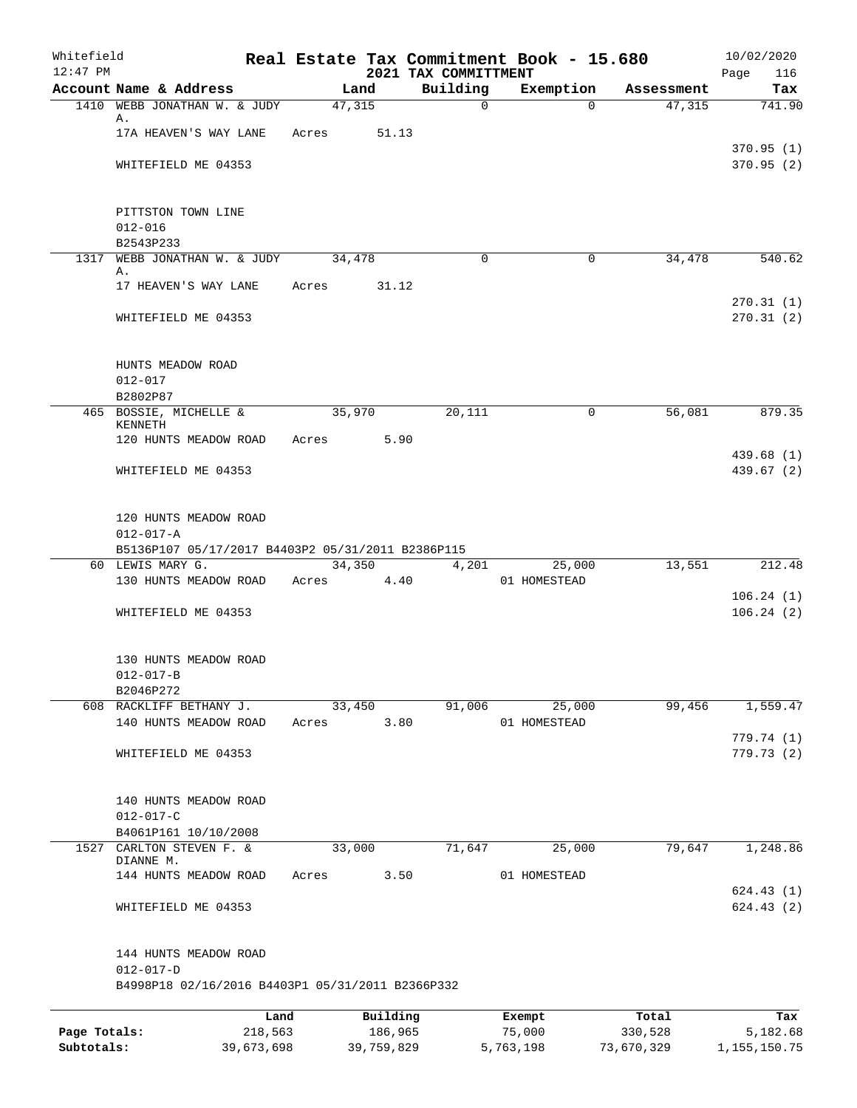| Whitefield<br>$12:47$ PM   |                                                                     |                       |       |        |                       | Real Estate Tax Commitment Book - 15.680<br>2021 TAX COMMITTMENT |                     |              |                       |        | 10/02/2020<br>Page<br>116   |
|----------------------------|---------------------------------------------------------------------|-----------------------|-------|--------|-----------------------|------------------------------------------------------------------|---------------------|--------------|-----------------------|--------|-----------------------------|
|                            | Account Name & Address                                              |                       |       | Land   |                       | Building                                                         |                     | Exemption    | Assessment            |        | Tax                         |
|                            | 1410 WEBB JONATHAN W. & JUDY                                        |                       |       | 47,315 |                       | $\overline{0}$                                                   |                     | $\Omega$     |                       | 47,315 | 741.90                      |
|                            | Α.                                                                  |                       |       |        |                       |                                                                  |                     |              |                       |        |                             |
|                            | 17A HEAVEN'S WAY LANE                                               |                       | Acres |        | 51.13                 |                                                                  |                     |              |                       |        |                             |
|                            |                                                                     |                       |       |        |                       |                                                                  |                     |              |                       |        | 370.95(1)                   |
|                            | WHITEFIELD ME 04353                                                 |                       |       |        |                       |                                                                  |                     |              |                       |        | 370.95(2)                   |
|                            |                                                                     |                       |       |        |                       |                                                                  |                     |              |                       |        |                             |
|                            | PITTSTON TOWN LINE<br>$012 - 016$                                   |                       |       |        |                       |                                                                  |                     |              |                       |        |                             |
|                            | B2543P233                                                           |                       |       |        |                       |                                                                  |                     |              |                       |        |                             |
|                            | 1317 WEBB JONATHAN W. & JUDY                                        |                       |       | 34,478 |                       | $\Omega$                                                         |                     | 0            |                       | 34,478 | 540.62                      |
|                            | Α.                                                                  |                       |       |        |                       |                                                                  |                     |              |                       |        |                             |
|                            | 17 HEAVEN'S WAY LANE                                                |                       | Acres |        | 31.12                 |                                                                  |                     |              |                       |        |                             |
|                            | WHITEFIELD ME 04353                                                 |                       |       |        |                       |                                                                  |                     |              |                       |        | 270.31(1)<br>270.31(2)      |
|                            | HUNTS MEADOW ROAD                                                   |                       |       |        |                       |                                                                  |                     |              |                       |        |                             |
|                            | $012 - 017$                                                         |                       |       |        |                       |                                                                  |                     |              |                       |        |                             |
|                            | B2802P87                                                            |                       |       |        |                       |                                                                  |                     |              |                       |        |                             |
|                            | 465 BOSSIE, MICHELLE &                                              |                       |       | 35,970 |                       | 20,111                                                           |                     | $\mathbf 0$  |                       | 56,081 | 879.35                      |
|                            | <b>KENNETH</b>                                                      |                       |       |        |                       |                                                                  |                     |              |                       |        |                             |
|                            | 120 HUNTS MEADOW ROAD                                               |                       | Acres |        | 5.90                  |                                                                  |                     |              |                       |        | 439.68 (1)                  |
|                            | WHITEFIELD ME 04353                                                 |                       |       |        |                       |                                                                  |                     |              |                       |        | 439.67 (2)                  |
|                            |                                                                     |                       |       |        |                       |                                                                  |                     |              |                       |        |                             |
|                            | 120 HUNTS MEADOW ROAD                                               |                       |       |        |                       |                                                                  |                     |              |                       |        |                             |
|                            | $012 - 017 - A$                                                     |                       |       |        |                       |                                                                  |                     |              |                       |        |                             |
|                            | B5136P107 05/17/2017 B4403P2 05/31/2011 B2386P115                   |                       |       |        |                       |                                                                  |                     |              |                       |        |                             |
|                            | 60 LEWIS MARY G.                                                    |                       |       | 34,350 |                       | 4,201                                                            |                     | 25,000       |                       | 13,551 | 212.48                      |
|                            | 130 HUNTS MEADOW ROAD                                               |                       | Acres |        | 4.40                  |                                                                  |                     | 01 HOMESTEAD |                       |        | 106.24(1)                   |
|                            | WHITEFIELD ME 04353                                                 |                       |       |        |                       |                                                                  |                     |              |                       |        | 106.24(2)                   |
|                            |                                                                     |                       |       |        |                       |                                                                  |                     |              |                       |        |                             |
|                            | 130 HUNTS MEADOW ROAD                                               |                       |       |        |                       |                                                                  |                     |              |                       |        |                             |
|                            | $012 - 017 - B$                                                     |                       |       |        |                       |                                                                  |                     |              |                       |        |                             |
|                            | B2046P272                                                           |                       |       |        |                       |                                                                  |                     |              |                       |        |                             |
|                            | 608 RACKLIFF BETHANY J.                                             |                       |       | 33,450 |                       | 91,006                                                           |                     | 25,000       |                       | 99,456 | 1,559.47                    |
|                            | 140 HUNTS MEADOW ROAD                                               |                       | Acres |        | 3.80                  |                                                                  |                     | 01 HOMESTEAD |                       |        |                             |
|                            | WHITEFIELD ME 04353                                                 |                       |       |        |                       |                                                                  |                     |              |                       |        | 779.74 (1)<br>779.73(2)     |
|                            |                                                                     |                       |       |        |                       |                                                                  |                     |              |                       |        |                             |
|                            | 140 HUNTS MEADOW ROAD                                               |                       |       |        |                       |                                                                  |                     |              |                       |        |                             |
|                            | $012 - 017 - C$                                                     |                       |       |        |                       |                                                                  |                     |              |                       |        |                             |
|                            | B4061P161 10/10/2008                                                |                       |       |        |                       |                                                                  |                     |              |                       |        |                             |
|                            | 1527 CARLTON STEVEN F. &<br>DIANNE M.                               |                       |       | 33,000 |                       | 71,647                                                           |                     | 25,000       |                       | 79,647 | 1,248.86                    |
|                            | 144 HUNTS MEADOW ROAD                                               |                       | Acres |        | 3.50                  |                                                                  |                     | 01 HOMESTEAD |                       |        |                             |
|                            |                                                                     |                       |       |        |                       |                                                                  |                     |              |                       |        | 624.43(1)                   |
|                            | WHITEFIELD ME 04353                                                 |                       |       |        |                       |                                                                  |                     |              |                       |        | 624.43(2)                   |
|                            | 144 HUNTS MEADOW ROAD                                               |                       |       |        |                       |                                                                  |                     |              |                       |        |                             |
|                            | $012 - 017 - D$<br>B4998P18 02/16/2016 B4403P1 05/31/2011 B2366P332 |                       |       |        |                       |                                                                  |                     |              |                       |        |                             |
|                            |                                                                     |                       |       |        |                       |                                                                  |                     |              |                       |        |                             |
|                            |                                                                     | Land                  |       |        | Building              |                                                                  | Exempt              |              | Total                 |        | Tax                         |
| Page Totals:<br>Subtotals: |                                                                     | 218,563<br>39,673,698 |       |        | 186,965<br>39,759,829 |                                                                  | 75,000<br>5,763,198 |              | 330,528<br>73,670,329 |        | 5,182.68<br>1, 155, 150. 75 |
|                            |                                                                     |                       |       |        |                       |                                                                  |                     |              |                       |        |                             |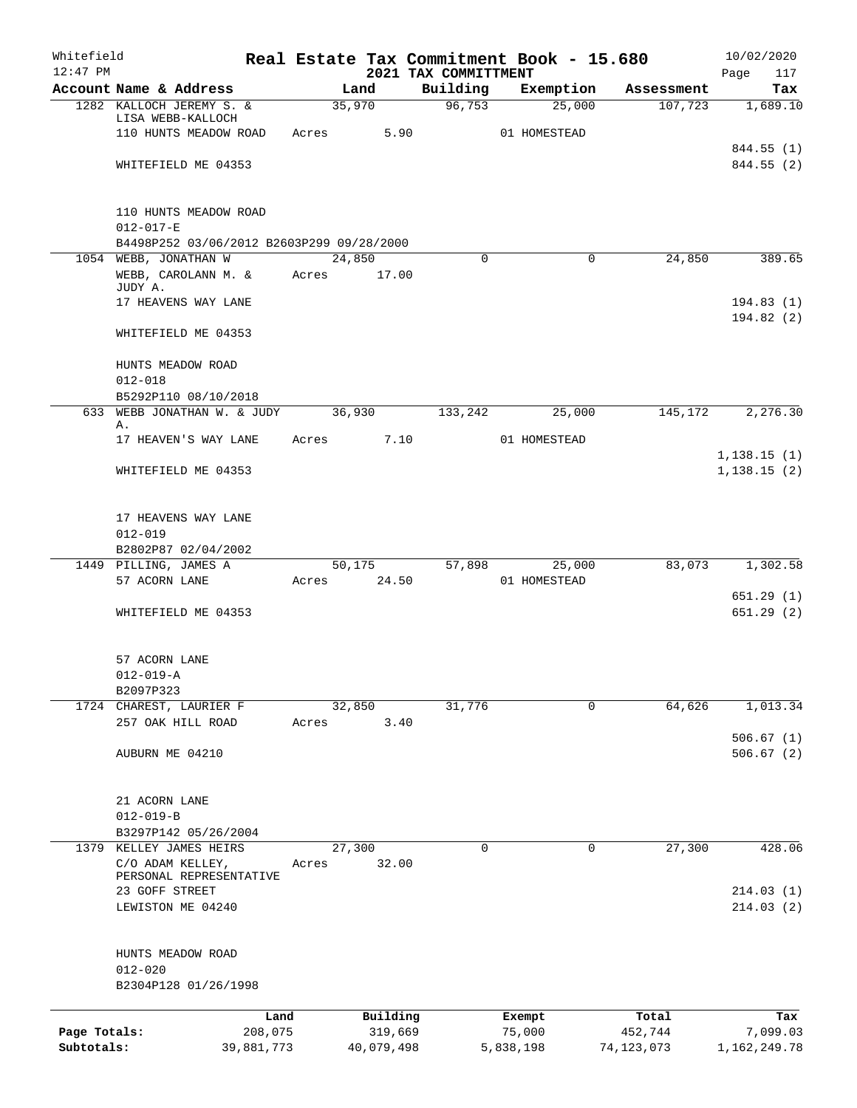| Whitefield<br>$12:47$ PM |                                                 |            |       |            | 2021 TAX COMMITTMENT |           | Real Estate Tax Commitment Book - 15.680 |              | 10/02/2020<br>Page<br>117 |
|--------------------------|-------------------------------------------------|------------|-------|------------|----------------------|-----------|------------------------------------------|--------------|---------------------------|
|                          | Account Name & Address                          |            |       | Land       | Building             |           | Exemption                                | Assessment   | Tax                       |
|                          | 1282 KALLOCH JEREMY S. &                        |            |       | 35,970     | 96,753               |           | 25,000                                   | 107,723      | 1,689.10                  |
|                          | LISA WEBB-KALLOCH                               |            |       |            |                      |           |                                          |              |                           |
|                          | 110 HUNTS MEADOW ROAD                           |            | Acres | 5.90       |                      |           | 01 HOMESTEAD                             |              |                           |
|                          | WHITEFIELD ME 04353                             |            |       |            |                      |           |                                          |              | 844.55 (1)<br>844.55 (2)  |
|                          |                                                 |            |       |            |                      |           |                                          |              |                           |
|                          |                                                 |            |       |            |                      |           |                                          |              |                           |
|                          | 110 HUNTS MEADOW ROAD<br>$012 - 017 - E$        |            |       |            |                      |           |                                          |              |                           |
|                          | B4498P252 03/06/2012 B2603P299 09/28/2000       |            |       |            |                      |           |                                          |              |                           |
|                          | 1054 WEBB, JONATHAN W                           |            |       | 24,850     |                      | $\Omega$  | $\Omega$                                 | 24,850       | 389.65                    |
|                          | WEBB, CAROLANN M. &                             |            | Acres | 17.00      |                      |           |                                          |              |                           |
|                          | JUDY A.<br>17 HEAVENS WAY LANE                  |            |       |            |                      |           |                                          |              | 194.83(1)                 |
|                          |                                                 |            |       |            |                      |           |                                          |              | 194.82(2)                 |
|                          | WHITEFIELD ME 04353                             |            |       |            |                      |           |                                          |              |                           |
|                          | HUNTS MEADOW ROAD                               |            |       |            |                      |           |                                          |              |                           |
|                          | $012 - 018$                                     |            |       |            |                      |           |                                          |              |                           |
|                          | B5292P110 08/10/2018                            |            |       |            |                      |           |                                          |              |                           |
|                          | 633 WEBB JONATHAN W. & JUDY<br>Α.               |            |       | 36,930     | 133,242              |           | 25,000                                   | 145,172      | 2,276.30                  |
|                          | 17 HEAVEN'S WAY LANE                            |            | Acres | 7.10       |                      |           | 01 HOMESTEAD                             |              |                           |
|                          |                                                 |            |       |            |                      |           |                                          |              | 1, 138.15(1)              |
|                          | WHITEFIELD ME 04353                             |            |       |            |                      |           |                                          |              | 1, 138.15(2)              |
|                          |                                                 |            |       |            |                      |           |                                          |              |                           |
|                          | 17 HEAVENS WAY LANE                             |            |       |            |                      |           |                                          |              |                           |
|                          | $012 - 019$<br>B2802P87 02/04/2002              |            |       |            |                      |           |                                          |              |                           |
|                          | 1449 PILLING, JAMES A                           |            |       | 50,175     | 57,898               |           | 25,000                                   | 83,073       | 1,302.58                  |
|                          | 57 ACORN LANE                                   |            | Acres | 24.50      |                      |           | 01 HOMESTEAD                             |              |                           |
|                          |                                                 |            |       |            |                      |           |                                          |              | 651.29(1)                 |
|                          | WHITEFIELD ME 04353                             |            |       |            |                      |           |                                          |              | 651.29 (2)                |
|                          |                                                 |            |       |            |                      |           |                                          |              |                           |
|                          | 57 ACORN LANE                                   |            |       |            |                      |           |                                          |              |                           |
|                          | $012 - 019 - A$                                 |            |       |            |                      |           |                                          |              |                           |
|                          | B2097P323                                       |            |       |            |                      |           |                                          |              |                           |
|                          | 1724 CHAREST, LAURIER F                         |            |       | 32,850     | 31,776               |           | 0                                        | 64,626       | 1,013.34                  |
|                          | 257 OAK HILL ROAD                               |            | Acres | 3.40       |                      |           |                                          |              |                           |
|                          | AUBURN ME 04210                                 |            |       |            |                      |           |                                          |              | 506.67(1)<br>506.67(2)    |
|                          |                                                 |            |       |            |                      |           |                                          |              |                           |
|                          |                                                 |            |       |            |                      |           |                                          |              |                           |
|                          | 21 ACORN LANE                                   |            |       |            |                      |           |                                          |              |                           |
|                          | $012 - 019 - B$                                 |            |       |            |                      |           |                                          |              |                           |
|                          | B3297P142 05/26/2004<br>1379 KELLEY JAMES HEIRS |            |       | 27,300     |                      | 0         | 0                                        | 27,300       | 428.06                    |
|                          | C/O ADAM KELLEY,                                |            | Acres | 32.00      |                      |           |                                          |              |                           |
|                          | PERSONAL REPRESENTATIVE                         |            |       |            |                      |           |                                          |              |                           |
|                          | 23 GOFF STREET                                  |            |       |            |                      |           |                                          |              | 214.03(1)                 |
|                          | LEWISTON ME 04240                               |            |       |            |                      |           |                                          |              | 214.03(2)                 |
|                          | HUNTS MEADOW ROAD                               |            |       |            |                      |           |                                          |              |                           |
|                          | $012 - 020$                                     |            |       |            |                      |           |                                          |              |                           |
|                          | B2304P128 01/26/1998                            |            |       |            |                      |           |                                          |              |                           |
|                          |                                                 |            |       |            |                      |           |                                          |              |                           |
|                          |                                                 | Land       |       | Building   |                      |           | Exempt                                   | Total        | Tax                       |
| Page Totals:             |                                                 | 208,075    |       | 319,669    |                      |           | 75,000                                   | 452,744      | 7,099.03                  |
| Subtotals:               |                                                 | 39,881,773 |       | 40,079,498 |                      | 5,838,198 |                                          | 74, 123, 073 | 1,162,249.78              |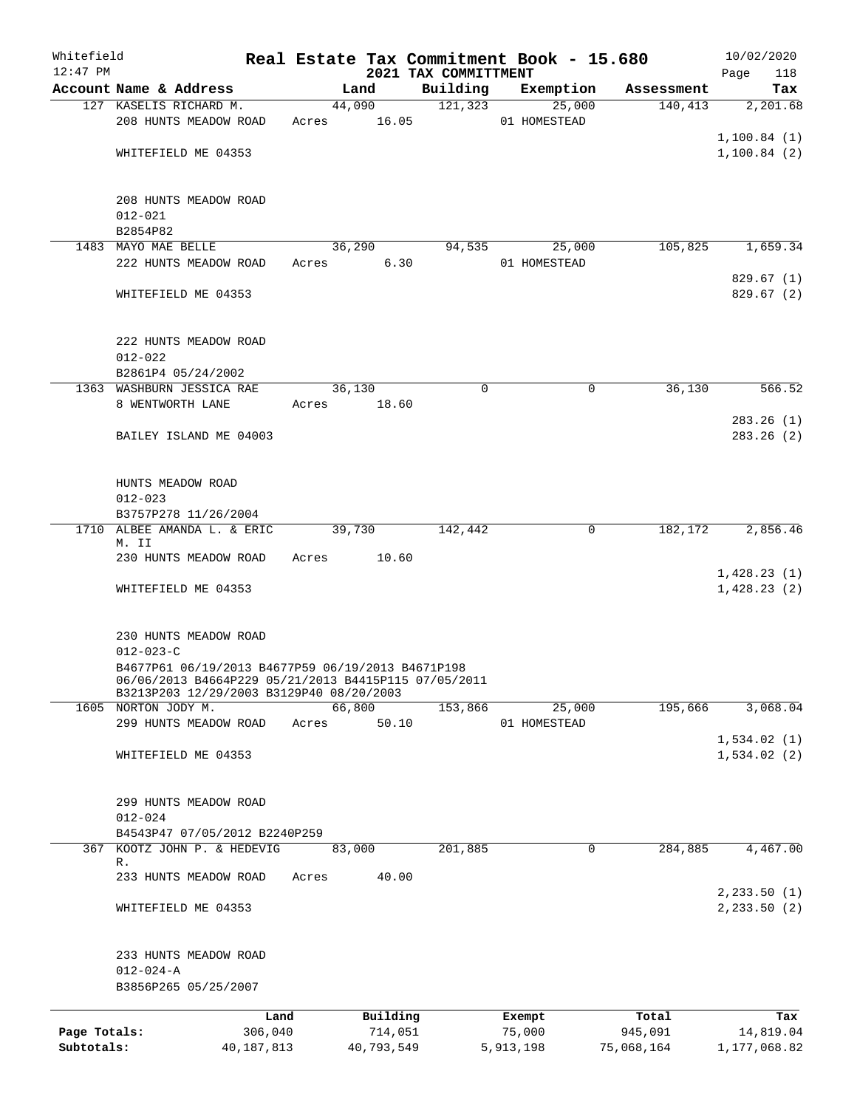| Whitefield   |                                                                                                           |            |       |             |          |                                  | Real Estate Tax Commitment Book - 15.680 |                        | 10/02/2020             |
|--------------|-----------------------------------------------------------------------------------------------------------|------------|-------|-------------|----------|----------------------------------|------------------------------------------|------------------------|------------------------|
| $12:47$ PM   | Account Name & Address                                                                                    |            |       | Land        |          | 2021 TAX COMMITTMENT<br>Building | Exemption                                | Assessment             | Page<br>118<br>Tax     |
|              | 127 KASELIS RICHARD M.                                                                                    |            |       | 44,090      |          | 121,323                          | 25,000                                   | 140, 413               | 2,201.68               |
|              | 208 HUNTS MEADOW ROAD                                                                                     |            |       | Acres 16.05 |          |                                  | 01 HOMESTEAD                             |                        |                        |
|              |                                                                                                           |            |       |             |          |                                  |                                          |                        | 1,100.84(1)            |
|              | WHITEFIELD ME 04353                                                                                       |            |       |             |          |                                  |                                          |                        | 1,100.84(2)            |
|              |                                                                                                           |            |       |             |          |                                  |                                          |                        |                        |
|              | 208 HUNTS MEADOW ROAD<br>$012 - 021$                                                                      |            |       |             |          |                                  |                                          |                        |                        |
|              | B2854P82                                                                                                  |            |       |             |          |                                  |                                          |                        |                        |
|              | 1483 MAYO MAE BELLE                                                                                       |            |       | 36,290      |          | 94,535                           | 25,000                                   | 105,825                | 1,659.34               |
|              | 222 HUNTS MEADOW ROAD                                                                                     |            |       | Acres       | 6.30     |                                  | 01 HOMESTEAD                             |                        |                        |
|              | WHITEFIELD ME 04353                                                                                       |            |       |             |          |                                  |                                          |                        | 829.67(1)<br>829.67(2) |
|              |                                                                                                           |            |       |             |          |                                  |                                          |                        |                        |
|              | 222 HUNTS MEADOW ROAD                                                                                     |            |       |             |          |                                  |                                          |                        |                        |
|              | $012 - 022$<br>B2861P4 05/24/2002                                                                         |            |       |             |          |                                  |                                          |                        |                        |
|              | 1363 WASHBURN JESSICA RAE                                                                                 |            |       | 36,130      |          | 0                                |                                          | 36,130<br>0            | 566.52                 |
|              | 8 WENTWORTH LANE                                                                                          |            | Acres |             | 18.60    |                                  |                                          |                        |                        |
|              |                                                                                                           |            |       |             |          |                                  |                                          |                        | 283.26(1)              |
|              | BAILEY ISLAND ME 04003                                                                                    |            |       |             |          |                                  |                                          |                        | 283.26(2)              |
|              |                                                                                                           |            |       |             |          |                                  |                                          |                        |                        |
|              | HUNTS MEADOW ROAD<br>$012 - 023$                                                                          |            |       |             |          |                                  |                                          |                        |                        |
|              | B3757P278 11/26/2004                                                                                      |            |       |             |          |                                  |                                          |                        |                        |
|              | 1710 ALBEE AMANDA L. & ERIC                                                                               |            |       | 39,730      |          | 142,442                          |                                          | 182,172<br>$\mathbf 0$ | 2,856.46               |
|              | M. II<br>230 HUNTS MEADOW ROAD                                                                            |            | Acres |             | 10.60    |                                  |                                          |                        |                        |
|              |                                                                                                           |            |       |             |          |                                  |                                          |                        | 1,428.23(1)            |
|              | WHITEFIELD ME 04353                                                                                       |            |       |             |          |                                  |                                          |                        | 1,428.23(2)            |
|              | 230 HUNTS MEADOW ROAD                                                                                     |            |       |             |          |                                  |                                          |                        |                        |
|              | $012 - 023 - C$                                                                                           |            |       |             |          |                                  |                                          |                        |                        |
|              | B4677P61 06/19/2013 B4677P59 06/19/2013 B4671P198<br>06/06/2013 B4664P229 05/21/2013 B4415P115 07/05/2011 |            |       |             |          |                                  |                                          |                        |                        |
|              | B3213P203 12/29/2003 B3129P40 08/20/2003                                                                  |            |       |             |          |                                  |                                          |                        |                        |
|              | 1605 NORTON JODY M.<br>299 HUNTS MEADOW ROAD                                                              |            |       | 66,800      |          | 153,866                          | 25,000                                   | 195,666                | 3,068.04               |
|              |                                                                                                           |            | Acres |             | 50.10    |                                  | 01 HOMESTEAD                             |                        | 1,534.02(1)            |
|              | WHITEFIELD ME 04353                                                                                       |            |       |             |          |                                  |                                          |                        | 1,534.02(2)            |
|              |                                                                                                           |            |       |             |          |                                  |                                          |                        |                        |
|              | 299 HUNTS MEADOW ROAD                                                                                     |            |       |             |          |                                  |                                          |                        |                        |
|              | $012 - 024$<br>B4543P47 07/05/2012 B2240P259                                                              |            |       |             |          |                                  |                                          |                        |                        |
| 367          | KOOTZ JOHN P. & HEDEVIG                                                                                   |            |       | 83,000      |          | 201,885                          |                                          | 284,885<br>0           | 4,467.00               |
|              | R.                                                                                                        |            |       |             |          |                                  |                                          |                        |                        |
|              | 233 HUNTS MEADOW ROAD                                                                                     |            | Acres |             | 40.00    |                                  |                                          |                        | 2, 233.50 (1)          |
|              | WHITEFIELD ME 04353                                                                                       |            |       |             |          |                                  |                                          |                        | 2, 233.50 (2)          |
|              | 233 HUNTS MEADOW ROAD                                                                                     |            |       |             |          |                                  |                                          |                        |                        |
|              | $012 - 024 - A$                                                                                           |            |       |             |          |                                  |                                          |                        |                        |
|              | B3856P265 05/25/2007                                                                                      |            |       |             |          |                                  |                                          |                        |                        |
|              |                                                                                                           | Land       |       |             | Building |                                  | Exempt                                   | Total                  | Tax                    |
| Page Totals: |                                                                                                           | 306,040    |       |             | 714,051  |                                  | 75,000                                   | 945,091                | 14,819.04              |
| Subtotals:   |                                                                                                           | 40,187,813 |       | 40,793,549  |          |                                  | 5,913,198                                | 75,068,164             | 1,177,068.82           |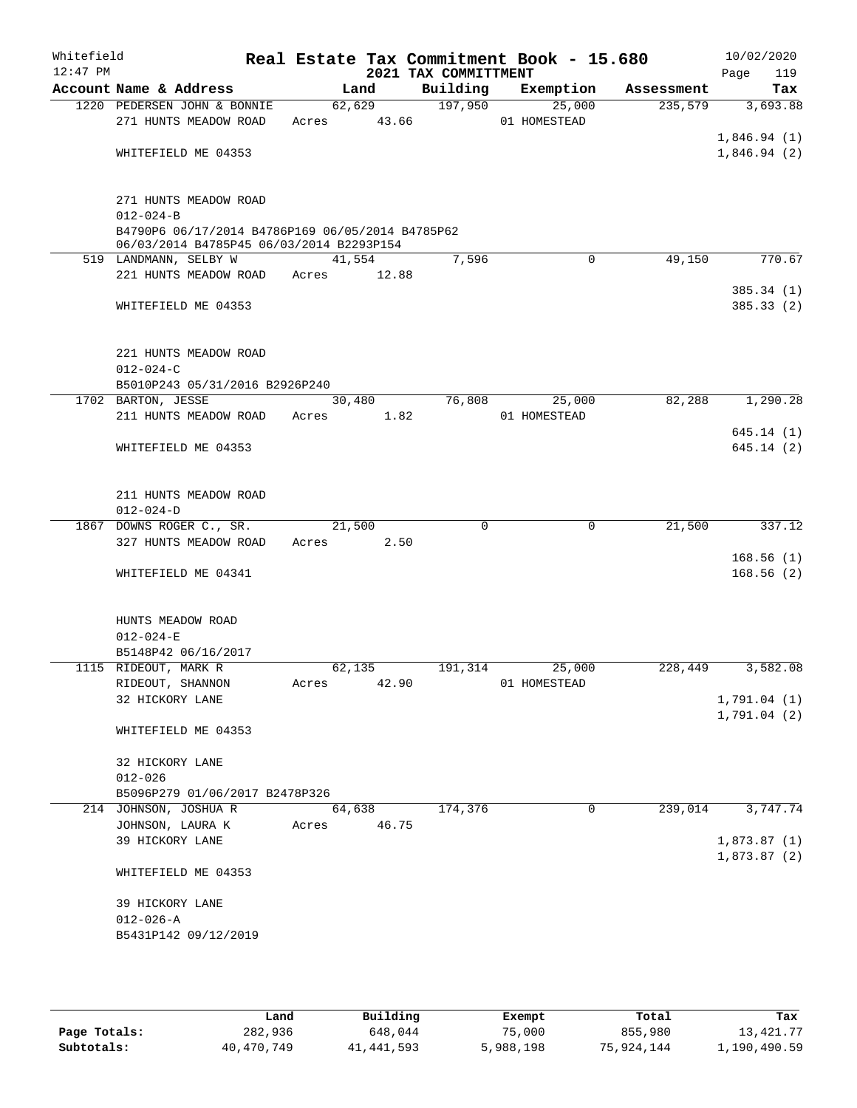| Whitefield<br>$12:47$ PM |                                                                                              |             |        | 2021 TAX COMMITTMENT | Real Estate Tax Commitment Book - 15.680 |            | 10/02/2020<br>119<br>Page |
|--------------------------|----------------------------------------------------------------------------------------------|-------------|--------|----------------------|------------------------------------------|------------|---------------------------|
|                          | Account Name & Address                                                                       |             | Land   | Building             | Exemption                                | Assessment | Tax                       |
|                          | 1220 PEDERSEN JOHN & BONNIE                                                                  |             | 62,629 | 197,950              | 25,000                                   | 235,579    | 3,693.88                  |
|                          | 271 HUNTS MEADOW ROAD                                                                        | Acres 43.66 |        |                      | 01 HOMESTEAD                             |            |                           |
|                          |                                                                                              |             |        |                      |                                          |            | 1,846.94(1)               |
|                          | WHITEFIELD ME 04353                                                                          |             |        |                      |                                          |            | 1,846.94(2)               |
|                          | 271 HUNTS MEADOW ROAD                                                                        |             |        |                      |                                          |            |                           |
|                          | $012 - 024 - B$                                                                              |             |        |                      |                                          |            |                           |
|                          | B4790P6 06/17/2014 B4786P169 06/05/2014 B4785P62<br>06/03/2014 B4785P45 06/03/2014 B2293P154 |             |        |                      |                                          |            |                           |
|                          | 519 LANDMANN, SELBY W                                                                        |             | 41,554 | 7,596                | $\Omega$                                 | 49,150     | 770.67                    |
|                          | 221 HUNTS MEADOW ROAD                                                                        | Acres       | 12.88  |                      |                                          |            |                           |
|                          | WHITEFIELD ME 04353                                                                          |             |        |                      |                                          |            | 385.34 (1)<br>385.33(2)   |
|                          | 221 HUNTS MEADOW ROAD<br>$012 - 024 - C$                                                     |             |        |                      |                                          |            |                           |
|                          | B5010P243 05/31/2016 B2926P240                                                               |             |        |                      |                                          |            |                           |
|                          | 1702 BARTON, JESSE                                                                           |             | 30,480 | 76,808               | 25,000                                   | 82,288     | 1,290.28                  |
|                          | 211 HUNTS MEADOW ROAD                                                                        | Acres       | 1.82   |                      | 01 HOMESTEAD                             |            |                           |
|                          | WHITEFIELD ME 04353                                                                          |             |        |                      |                                          |            | 645.14(1)<br>645.14(2)    |
|                          | 211 HUNTS MEADOW ROAD                                                                        |             |        |                      |                                          |            |                           |
|                          | $012 - 024 - D$                                                                              |             |        |                      |                                          |            |                           |
|                          | 1867 DOWNS ROGER C., SR.                                                                     |             | 21,500 | $\Omega$             | $\Omega$                                 | 21,500     | 337.12                    |
|                          | 327 HUNTS MEADOW ROAD                                                                        | Acres       | 2.50   |                      |                                          |            |                           |
|                          | WHITEFIELD ME 04341                                                                          |             |        |                      |                                          |            | 168.56(1)<br>168.56(2)    |
|                          | HUNTS MEADOW ROAD                                                                            |             |        |                      |                                          |            |                           |
|                          | $012 - 024 - E$<br>B5148P42 06/16/2017                                                       |             |        |                      |                                          |            |                           |
|                          | 1115 RIDEOUT, MARK R                                                                         |             | 62,135 | 191,314              | 25,000                                   | 228,449    | 3,582.08                  |
|                          | RIDEOUT, SHANNON                                                                             | Acres       | 42.90  |                      | 01 HOMESTEAD                             |            |                           |
|                          | 32 HICKORY LANE                                                                              |             |        |                      |                                          |            | 1,791.04(1)               |
|                          |                                                                                              |             |        |                      |                                          |            | 1,791.04(2)               |
|                          | WHITEFIELD ME 04353                                                                          |             |        |                      |                                          |            |                           |
|                          | 32 HICKORY LANE                                                                              |             |        |                      |                                          |            |                           |
|                          | $012 - 026$                                                                                  |             |        |                      |                                          |            |                           |
|                          | B5096P279 01/06/2017 B2478P326                                                               |             |        |                      |                                          |            |                           |
|                          | 214 JOHNSON, JOSHUA R                                                                        |             | 64,638 | 174,376              | $\mathbf 0$                              | 239,014    | 3,747.74                  |
|                          | JOHNSON, LAURA K                                                                             | Acres       | 46.75  |                      |                                          |            |                           |
|                          | 39 HICKORY LANE                                                                              |             |        |                      |                                          |            | 1,873.87(1)               |
|                          | WHITEFIELD ME 04353                                                                          |             |        |                      |                                          |            | 1,873.87(2)               |
|                          | 39 HICKORY LANE                                                                              |             |        |                      |                                          |            |                           |
|                          | $012 - 026 - A$                                                                              |             |        |                      |                                          |            |                           |
|                          | B5431P142 09/12/2019                                                                         |             |        |                      |                                          |            |                           |
|                          |                                                                                              |             |        |                      |                                          |            |                           |

|              | Land       | Building     | Exempt    | Total      | Tax          |
|--------------|------------|--------------|-----------|------------|--------------|
| Page Totals: | 282,936    | 648,044      | 75,000    | 855,980    | 13,421.77    |
| Subtotals:   | 40,470,749 | 41, 441, 593 | 5,988,198 | 75,924,144 | 1,190,490.59 |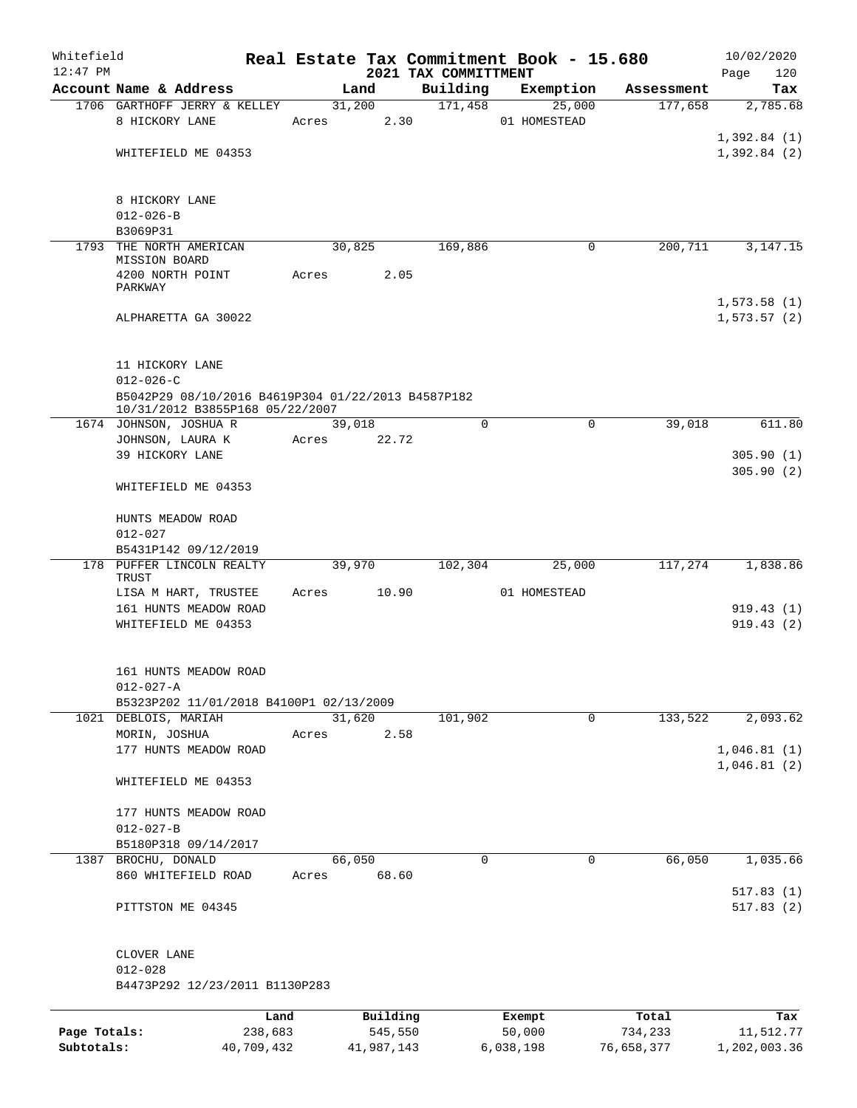| Whitefield                 |                                                    |                       |       |        |                       |                                  | Real Estate Tax Commitment Book - 15.680 |             |                       |      | 10/02/2020                 |
|----------------------------|----------------------------------------------------|-----------------------|-------|--------|-----------------------|----------------------------------|------------------------------------------|-------------|-----------------------|------|----------------------------|
| $12:47$ PM                 | Account Name & Address                             |                       |       | Land   |                       | 2021 TAX COMMITTMENT<br>Building |                                          |             |                       | Page | 120                        |
|                            | 1706 GARTHOFF JERRY & KELLEY                       |                       |       | 31,200 |                       | 171,458                          | Exemption<br>25,000                      |             | Assessment<br>177,658 |      | Tax<br>2,785.68            |
|                            | 8 HICKORY LANE                                     |                       | Acres |        | 2.30                  |                                  | 01 HOMESTEAD                             |             |                       |      |                            |
|                            |                                                    |                       |       |        |                       |                                  |                                          |             |                       |      | 1,392.84(1)                |
|                            | WHITEFIELD ME 04353                                |                       |       |        |                       |                                  |                                          |             |                       |      | 1,392.84(2)                |
|                            |                                                    |                       |       |        |                       |                                  |                                          |             |                       |      |                            |
|                            |                                                    |                       |       |        |                       |                                  |                                          |             |                       |      |                            |
|                            | 8 HICKORY LANE                                     |                       |       |        |                       |                                  |                                          |             |                       |      |                            |
|                            | $012 - 026 - B$                                    |                       |       |        |                       |                                  |                                          |             |                       |      |                            |
| 1793                       | B3069P31<br>THE NORTH AMERICAN                     |                       |       | 30,825 |                       | 169,886                          |                                          | 0           | 200,711               |      | 3, 147. 15                 |
|                            | MISSION BOARD                                      |                       |       |        |                       |                                  |                                          |             |                       |      |                            |
|                            | 4200 NORTH POINT                                   |                       | Acres |        | 2.05                  |                                  |                                          |             |                       |      |                            |
|                            | PARKWAY                                            |                       |       |        |                       |                                  |                                          |             |                       |      |                            |
|                            |                                                    |                       |       |        |                       |                                  |                                          |             |                       |      | 1,573.58(1)                |
|                            | ALPHARETTA GA 30022                                |                       |       |        |                       |                                  |                                          |             |                       |      | 1, 573.57(2)               |
|                            |                                                    |                       |       |        |                       |                                  |                                          |             |                       |      |                            |
|                            | 11 HICKORY LANE                                    |                       |       |        |                       |                                  |                                          |             |                       |      |                            |
|                            | $012 - 026 - C$                                    |                       |       |        |                       |                                  |                                          |             |                       |      |                            |
|                            | B5042P29 08/10/2016 B4619P304 01/22/2013 B4587P182 |                       |       |        |                       |                                  |                                          |             |                       |      |                            |
|                            | 10/31/2012 B3855P168 05/22/2007                    |                       |       |        |                       |                                  |                                          |             |                       |      |                            |
|                            | 1674 JOHNSON, JOSHUA R                             |                       |       | 39,018 |                       | $\Omega$                         |                                          | $\mathbf 0$ | 39,018                |      | 611.80                     |
|                            | JOHNSON, LAURA K<br>39 HICKORY LANE                |                       | Acres |        | 22.72                 |                                  |                                          |             |                       |      |                            |
|                            |                                                    |                       |       |        |                       |                                  |                                          |             |                       |      | 305.90(1)<br>305.90(2)     |
|                            | WHITEFIELD ME 04353                                |                       |       |        |                       |                                  |                                          |             |                       |      |                            |
|                            |                                                    |                       |       |        |                       |                                  |                                          |             |                       |      |                            |
|                            | HUNTS MEADOW ROAD                                  |                       |       |        |                       |                                  |                                          |             |                       |      |                            |
|                            | $012 - 027$                                        |                       |       |        |                       |                                  |                                          |             |                       |      |                            |
|                            | B5431P142 09/12/2019                               |                       |       |        |                       |                                  |                                          |             |                       |      |                            |
|                            | 178 PUFFER LINCOLN REALTY                          |                       |       | 39,970 |                       | 102,304                          | 25,000                                   |             | 117,274               |      | 1,838.86                   |
|                            | TRUST<br>LISA M HART, TRUSTEE                      |                       | Acres |        | 10.90                 |                                  | 01 HOMESTEAD                             |             |                       |      |                            |
|                            | 161 HUNTS MEADOW ROAD                              |                       |       |        |                       |                                  |                                          |             |                       |      | 919.43(1)                  |
|                            | WHITEFIELD ME 04353                                |                       |       |        |                       |                                  |                                          |             |                       |      | 919.43(2)                  |
|                            |                                                    |                       |       |        |                       |                                  |                                          |             |                       |      |                            |
|                            |                                                    |                       |       |        |                       |                                  |                                          |             |                       |      |                            |
|                            | 161 HUNTS MEADOW ROAD                              |                       |       |        |                       |                                  |                                          |             |                       |      |                            |
|                            | $012 - 027 - A$                                    |                       |       |        |                       |                                  |                                          |             |                       |      |                            |
|                            | B5323P202 11/01/2018 B4100P1 02/13/2009            |                       |       |        |                       |                                  |                                          |             |                       |      |                            |
|                            | 1021 DEBLOIS, MARIAH                               |                       |       | 31,620 |                       | 101,902                          |                                          | $\mathbf 0$ | 133,522               |      | 2,093.62                   |
|                            | MORIN, JOSHUA                                      |                       | Acres |        | 2.58                  |                                  |                                          |             |                       |      |                            |
|                            | 177 HUNTS MEADOW ROAD                              |                       |       |        |                       |                                  |                                          |             |                       |      | 1,046.81(1)<br>1,046.81(2) |
|                            | WHITEFIELD ME 04353                                |                       |       |        |                       |                                  |                                          |             |                       |      |                            |
|                            |                                                    |                       |       |        |                       |                                  |                                          |             |                       |      |                            |
|                            | 177 HUNTS MEADOW ROAD                              |                       |       |        |                       |                                  |                                          |             |                       |      |                            |
|                            | $012 - 027 - B$                                    |                       |       |        |                       |                                  |                                          |             |                       |      |                            |
|                            | B5180P318 09/14/2017                               |                       |       |        |                       |                                  |                                          |             |                       |      |                            |
| 1387                       | BROCHU, DONALD                                     |                       |       | 66,050 |                       | 0                                |                                          | 0           | 66,050                |      | 1,035.66                   |
|                            | 860 WHITEFIELD ROAD                                |                       | Acres |        | 68.60                 |                                  |                                          |             |                       |      |                            |
|                            |                                                    |                       |       |        |                       |                                  |                                          |             |                       |      | 517.83(1)                  |
|                            | PITTSTON ME 04345                                  |                       |       |        |                       |                                  |                                          |             |                       |      | 517.83(2)                  |
|                            |                                                    |                       |       |        |                       |                                  |                                          |             |                       |      |                            |
|                            | CLOVER LANE                                        |                       |       |        |                       |                                  |                                          |             |                       |      |                            |
|                            | $012 - 028$                                        |                       |       |        |                       |                                  |                                          |             |                       |      |                            |
|                            | B4473P292 12/23/2011 B1130P283                     |                       |       |        |                       |                                  |                                          |             |                       |      |                            |
|                            |                                                    |                       |       |        |                       |                                  |                                          |             |                       |      |                            |
|                            |                                                    | Land                  |       |        | Building              |                                  | Exempt                                   |             | Total                 |      | Tax                        |
| Page Totals:<br>Subtotals: |                                                    | 238,683<br>40,709,432 |       |        | 545,550<br>41,987,143 |                                  | 50,000<br>6,038,198                      |             | 734,233<br>76,658,377 |      | 11,512.77<br>1,202,003.36  |
|                            |                                                    |                       |       |        |                       |                                  |                                          |             |                       |      |                            |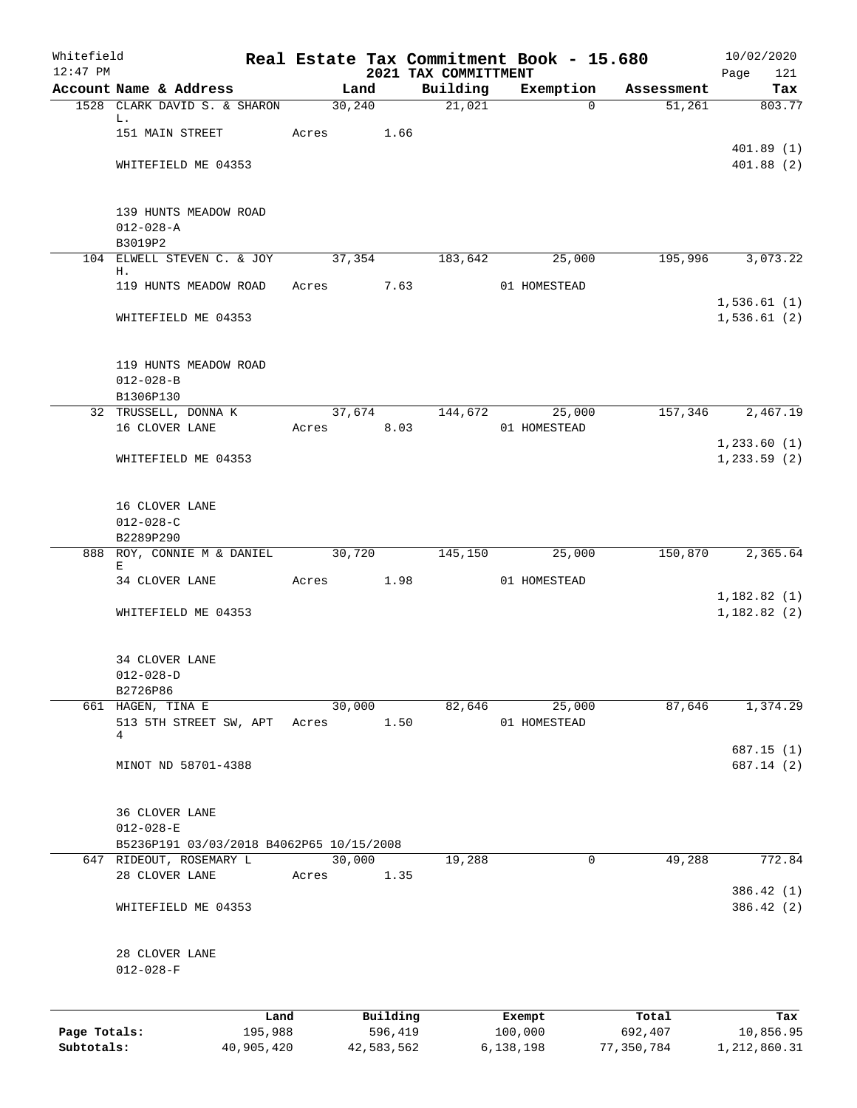| Whitefield<br>$12:47$ PM |                                          |            |       |         |            | 2021 TAX COMMITTMENT | Real Estate Tax Commitment Book - 15.680 |            | 10/02/2020<br>121<br>Page  |
|--------------------------|------------------------------------------|------------|-------|---------|------------|----------------------|------------------------------------------|------------|----------------------------|
|                          | Account Name & Address                   |            |       | Land    |            | Building             | Exemption                                | Assessment | Tax                        |
|                          | 1528 CLARK DAVID S. & SHARON             |            |       | 30, 240 |            | 21,021               | $\Omega$                                 | 51,261     | 803.77                     |
|                          | L.<br>151 MAIN STREET                    |            |       |         | 1.66       |                      |                                          |            |                            |
|                          |                                          |            | Acres |         |            |                      |                                          |            | 401.89(1)                  |
|                          | WHITEFIELD ME 04353                      |            |       |         |            |                      |                                          |            | 401.88(2)                  |
|                          |                                          |            |       |         |            |                      |                                          |            |                            |
|                          |                                          |            |       |         |            |                      |                                          |            |                            |
|                          | 139 HUNTS MEADOW ROAD<br>$012 - 028 - A$ |            |       |         |            |                      |                                          |            |                            |
|                          | B3019P2                                  |            |       |         |            |                      |                                          |            |                            |
|                          | 104 ELWELL STEVEN C. & JOY               |            |       | 37,354  |            | 183,642              | 25,000                                   | 195,996    | 3,073.22                   |
|                          | Η.                                       |            |       |         |            |                      |                                          |            |                            |
|                          | 119 HUNTS MEADOW ROAD                    |            | Acres |         | 7.63       |                      | 01 HOMESTEAD                             |            | 1,536.61(1)                |
|                          | WHITEFIELD ME 04353                      |            |       |         |            |                      |                                          |            | 1,536.61(2)                |
|                          |                                          |            |       |         |            |                      |                                          |            |                            |
|                          |                                          |            |       |         |            |                      |                                          |            |                            |
|                          | 119 HUNTS MEADOW ROAD                    |            |       |         |            |                      |                                          |            |                            |
|                          | $012 - 028 - B$                          |            |       |         |            |                      |                                          |            |                            |
|                          | B1306P130<br>32 TRUSSELL, DONNA K        |            |       | 37,674  |            | 144,672              | 25,000                                   | 157,346    | 2,467.19                   |
|                          | 16 CLOVER LANE                           |            | Acres |         | 8.03       |                      | 01 HOMESTEAD                             |            |                            |
|                          |                                          |            |       |         |            |                      |                                          |            | 1, 233.60(1)               |
|                          | WHITEFIELD ME 04353                      |            |       |         |            |                      |                                          |            | 1, 233.59(2)               |
|                          |                                          |            |       |         |            |                      |                                          |            |                            |
|                          |                                          |            |       |         |            |                      |                                          |            |                            |
|                          | 16 CLOVER LANE<br>$012 - 028 - C$        |            |       |         |            |                      |                                          |            |                            |
|                          | B2289P290                                |            |       |         |            |                      |                                          |            |                            |
|                          | 888 ROY, CONNIE M & DANIEL               |            |       | 30,720  |            | 145,150              | 25,000                                   | 150,870    | 2,365.64                   |
|                          | Е                                        |            |       |         |            |                      |                                          |            |                            |
|                          | 34 CLOVER LANE                           |            | Acres |         | 1.98       |                      | 01 HOMESTEAD                             |            |                            |
|                          | WHITEFIELD ME 04353                      |            |       |         |            |                      |                                          |            | 1,182.82(1)<br>1,182.82(2) |
|                          |                                          |            |       |         |            |                      |                                          |            |                            |
|                          |                                          |            |       |         |            |                      |                                          |            |                            |
|                          | 34 CLOVER LANE                           |            |       |         |            |                      |                                          |            |                            |
|                          | $012 - 028 - D$                          |            |       |         |            |                      |                                          |            |                            |
|                          | B2726P86<br>661 HAGEN, TINA E            |            |       | 30,000  |            | 82,646               | 25,000                                   | 87,646     | 1,374.29                   |
|                          | 513 5TH STREET SW, APT                   |            | Acres |         | 1.50       |                      | 01 HOMESTEAD                             |            |                            |
|                          | 4                                        |            |       |         |            |                      |                                          |            |                            |
|                          |                                          |            |       |         |            |                      |                                          |            | 687.15(1)                  |
|                          | MINOT ND 58701-4388                      |            |       |         |            |                      |                                          |            | 687.14 (2)                 |
|                          |                                          |            |       |         |            |                      |                                          |            |                            |
|                          | <b>36 CLOVER LANE</b>                    |            |       |         |            |                      |                                          |            |                            |
|                          | $012 - 028 - E$                          |            |       |         |            |                      |                                          |            |                            |
|                          | B5236P191 03/03/2018 B4062P65 10/15/2008 |            |       |         |            |                      |                                          |            |                            |
|                          | 647 RIDEOUT, ROSEMARY L                  |            |       | 30,000  |            | 19,288               | 0                                        | 49,288     | 772.84                     |
|                          | 28 CLOVER LANE                           |            | Acres |         | 1.35       |                      |                                          |            |                            |
|                          |                                          |            |       |         |            |                      |                                          |            | 386.42 (1)                 |
|                          | WHITEFIELD ME 04353                      |            |       |         |            |                      |                                          |            | 386.42 (2)                 |
|                          |                                          |            |       |         |            |                      |                                          |            |                            |
|                          | 28 CLOVER LANE                           |            |       |         |            |                      |                                          |            |                            |
|                          | $012 - 028 - F$                          |            |       |         |            |                      |                                          |            |                            |
|                          |                                          |            |       |         |            |                      |                                          |            |                            |
|                          |                                          | Land       |       |         | Building   |                      | Exempt                                   | Total      | Tax                        |
| Page Totals:             |                                          | 195,988    |       |         | 596,419    |                      | 100,000                                  | 692,407    | 10,856.95                  |
| Subtotals:               |                                          | 40,905,420 |       |         | 42,583,562 |                      | 6,138,198                                | 77,350,784 | 1,212,860.31               |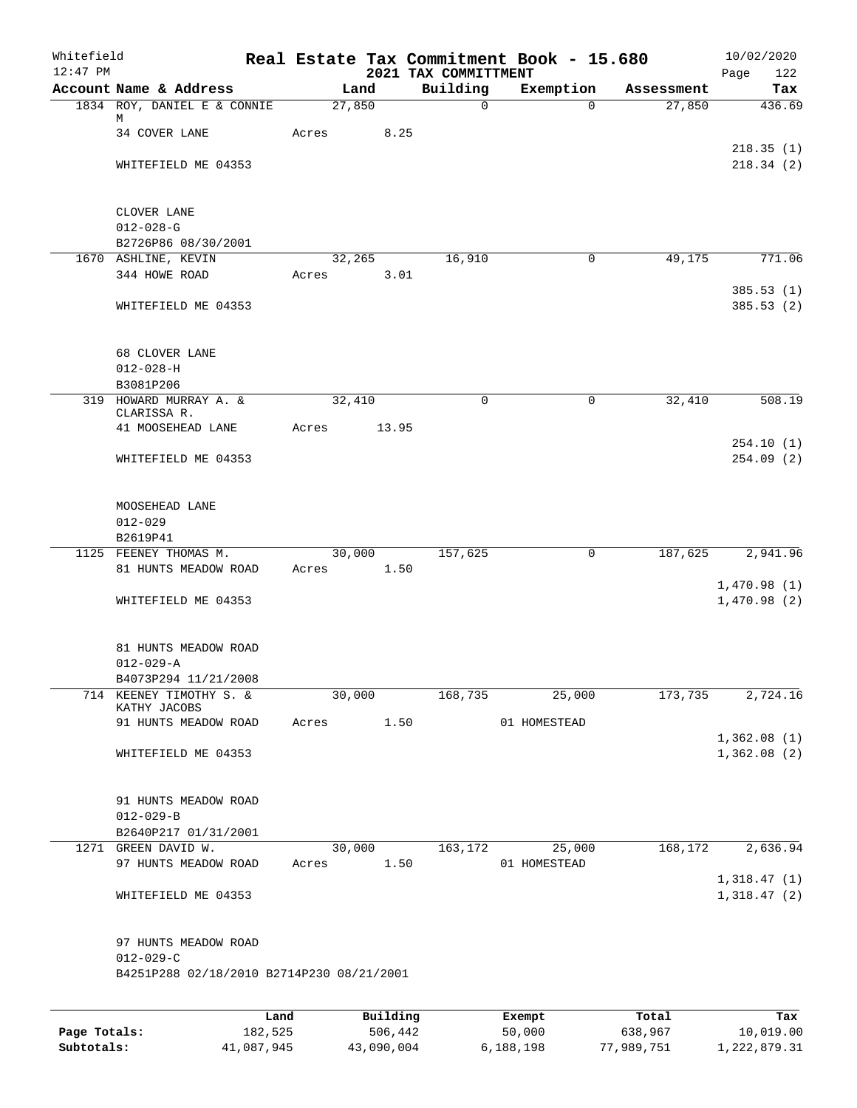| Whitefield<br>$12:47$ PM |                                                 |       |                | 2021 TAX COMMITTMENT | Real Estate Tax Commitment Book - 15.680 |            | 10/02/2020<br>Page<br>122  |
|--------------------------|-------------------------------------------------|-------|----------------|----------------------|------------------------------------------|------------|----------------------------|
|                          | Account Name & Address                          |       | Land           | Building             | Exemption                                | Assessment | Tax                        |
|                          | 1834 ROY, DANIEL E & CONNIE                     |       | 27,850         | $\mathbf 0$          | $\Omega$                                 | 27,850     | 436.69                     |
|                          | М<br>34 COVER LANE                              | Acres | 8.25           |                      |                                          |            |                            |
|                          | WHITEFIELD ME 04353                             |       |                |                      |                                          |            | 218.35(1)<br>218.34(2)     |
|                          | CLOVER LANE                                     |       |                |                      |                                          |            |                            |
|                          | $012 - 028 - G$                                 |       |                |                      |                                          |            |                            |
|                          | B2726P86 08/30/2001                             |       |                |                      |                                          |            |                            |
|                          | 1670 ASHLINE, KEVIN                             |       | 32,265         | 16,910               | $\mathbf 0$                              | 49,175     | 771.06                     |
|                          | 344 HOWE ROAD                                   | Acres | 3.01           |                      |                                          |            |                            |
|                          | WHITEFIELD ME 04353                             |       |                |                      |                                          |            | 385.53(1)<br>385.53(2)     |
|                          | 68 CLOVER LANE                                  |       |                |                      |                                          |            |                            |
|                          | $012 - 028 - H$                                 |       |                |                      |                                          |            |                            |
|                          | B3081P206<br>319 HOWARD MURRAY A. &             |       | 32,410         | $\mathbf 0$          | $\mathsf{O}$                             | 32,410     | 508.19                     |
|                          | CLARISSA R.                                     |       |                |                      |                                          |            |                            |
|                          | 41 MOOSEHEAD LANE                               | Acres | 13.95          |                      |                                          |            | 254.10(1)                  |
|                          | WHITEFIELD ME 04353                             |       |                |                      |                                          |            | 254.09(2)                  |
|                          | MOOSEHEAD LANE<br>$012 - 029$                   |       |                |                      |                                          |            |                            |
|                          | B2619P41                                        |       |                |                      |                                          |            |                            |
|                          | 1125 FEENEY THOMAS M.                           |       | 30,000         | 157,625              | 0                                        | 187,625    | 2,941.96                   |
|                          | 81 HUNTS MEADOW ROAD                            | Acres | 1.50           |                      |                                          |            | 1,470.98(1)                |
|                          | WHITEFIELD ME 04353                             |       |                |                      |                                          |            | 1,470.98(2)                |
|                          | 81 HUNTS MEADOW ROAD                            |       |                |                      |                                          |            |                            |
|                          | $012 - 029 - A$                                 |       |                |                      |                                          |            |                            |
|                          | B4073P294 11/21/2008<br>714 KEENEY TIMOTHY S. & |       | 30,000         | 168,735              | 25,000                                   | 173,735    | 2,724.16                   |
|                          | KATHY JACOBS                                    |       |                |                      |                                          |            |                            |
|                          | 91 HUNTS MEADOW ROAD                            | Acres | 1.50           |                      | 01 HOMESTEAD                             |            |                            |
|                          | WHITEFIELD ME 04353                             |       |                |                      |                                          |            | 1,362.08(1)<br>1,362.08(2) |
|                          | 91 HUNTS MEADOW ROAD                            |       |                |                      |                                          |            |                            |
|                          | $012 - 029 - B$                                 |       |                |                      |                                          |            |                            |
|                          | B2640P217 01/31/2001                            |       |                |                      |                                          |            |                            |
|                          | 1271 GREEN DAVID W.<br>97 HUNTS MEADOW ROAD     | Acres | 30,000<br>1.50 | 163, 172             | 25,000<br>01 HOMESTEAD                   | 168,172    | 2,636.94                   |
|                          |                                                 |       |                |                      |                                          |            | 1,318.47(1)                |
|                          | WHITEFIELD ME 04353                             |       |                |                      |                                          |            | 1,318.47(2)                |
|                          | 97 HUNTS MEADOW ROAD<br>$012 - 029 - C$         |       |                |                      |                                          |            |                            |
|                          | B4251P288 02/18/2010 B2714P230 08/21/2001       |       |                |                      |                                          |            |                            |
|                          |                                                 |       |                |                      |                                          |            |                            |
|                          |                                                 | Land  | Building       |                      | Exempt                                   | Total      | Tax                        |
| Page Totals:             | 182,525                                         |       | 506,442        |                      | 50,000                                   | 638,967    | 10,019.00                  |

**Subtotals:** 41,087,945 43,090,004 6,188,198 77,989,751 1,222,879.31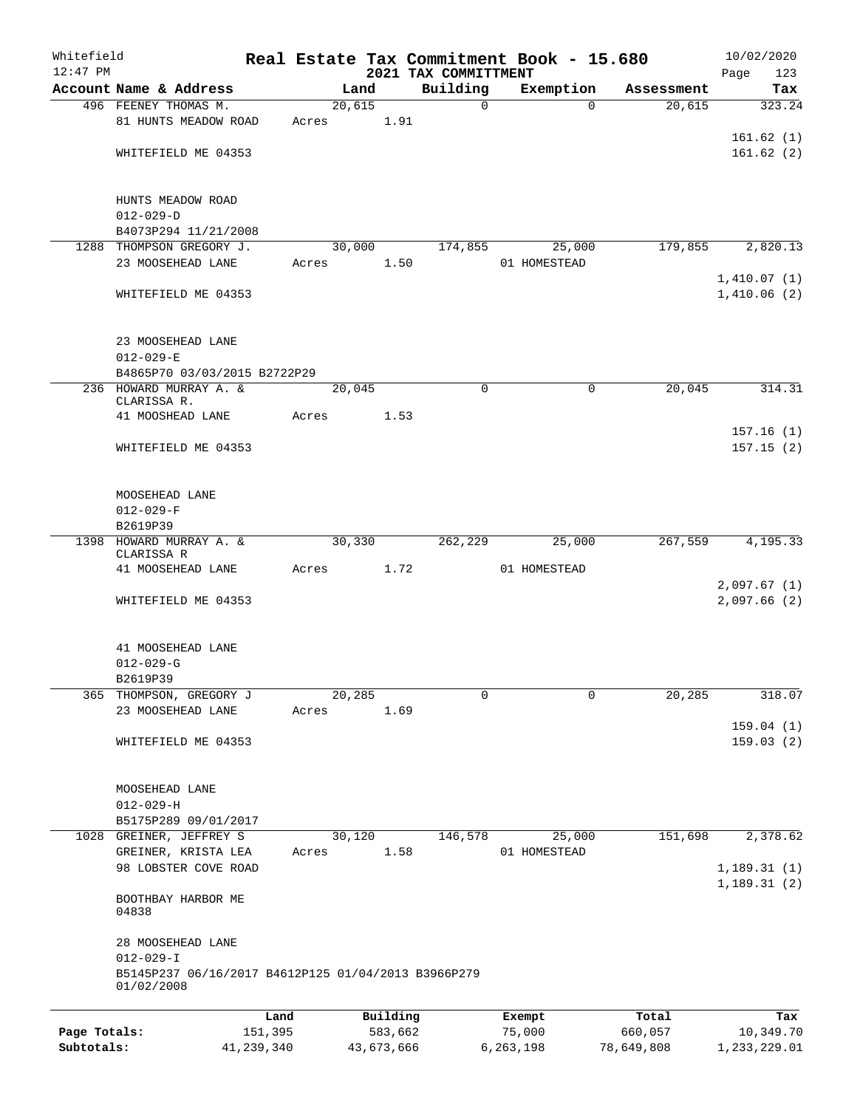| Whitefield                 |                                                                   |                       |       |        |                       |      |                                  | Real Estate Tax Commitment Book - 15.680 |                       |      | 10/02/2020                 |
|----------------------------|-------------------------------------------------------------------|-----------------------|-------|--------|-----------------------|------|----------------------------------|------------------------------------------|-----------------------|------|----------------------------|
| $12:47$ PM                 | Account Name & Address                                            |                       |       | Land   |                       |      | 2021 TAX COMMITTMENT<br>Building | Exemption                                | Assessment            | Page | 123<br>Tax                 |
|                            | 496 FEENEY THOMAS M.                                              |                       |       | 20,615 |                       |      | $\mathbf 0$                      | $\Omega$                                 | 20,615                |      | 323.24                     |
|                            | 81 HUNTS MEADOW ROAD                                              |                       | Acres |        | 1.91                  |      |                                  |                                          |                       |      |                            |
|                            |                                                                   |                       |       |        |                       |      |                                  |                                          |                       |      | 161.62(1)                  |
|                            | WHITEFIELD ME 04353                                               |                       |       |        |                       |      |                                  |                                          |                       |      | 161.62(2)                  |
|                            | HUNTS MEADOW ROAD                                                 |                       |       |        |                       |      |                                  |                                          |                       |      |                            |
|                            | $012 - 029 - D$                                                   |                       |       |        |                       |      |                                  |                                          |                       |      |                            |
|                            | B4073P294 11/21/2008                                              |                       |       |        |                       |      |                                  |                                          |                       |      |                            |
|                            | 1288 THOMPSON GREGORY J.                                          |                       |       | 30,000 |                       |      | 174,855                          | 25,000                                   | 179,855               |      | 2,820.13                   |
|                            | 23 MOOSEHEAD LANE                                                 |                       | Acres |        | 1.50                  |      |                                  | 01 HOMESTEAD                             |                       |      |                            |
|                            | WHITEFIELD ME 04353                                               |                       |       |        |                       |      |                                  |                                          |                       |      | 1,410.07(1)<br>1,410.06(2) |
|                            | 23 MOOSEHEAD LANE                                                 |                       |       |        |                       |      |                                  |                                          |                       |      |                            |
|                            | $012 - 029 - E$                                                   |                       |       |        |                       |      |                                  |                                          |                       |      |                            |
|                            | B4865P70 03/03/2015 B2722P29                                      |                       |       |        |                       |      |                                  |                                          |                       |      |                            |
|                            | 236 HOWARD MURRAY A. &<br>CLARISSA R.                             |                       |       | 20,045 |                       |      | $\mathbf 0$                      | $\mathbf 0$                              | 20,045                |      | 314.31                     |
|                            | 41 MOOSHEAD LANE                                                  |                       | Acres |        | 1.53                  |      |                                  |                                          |                       |      |                            |
|                            |                                                                   |                       |       |        |                       |      |                                  |                                          |                       |      | 157.16(1)                  |
|                            | WHITEFIELD ME 04353                                               |                       |       |        |                       |      |                                  |                                          |                       |      | 157.15(2)                  |
|                            | MOOSEHEAD LANE                                                    |                       |       |        |                       |      |                                  |                                          |                       |      |                            |
|                            | $012 - 029 - F$                                                   |                       |       |        |                       |      |                                  |                                          |                       |      |                            |
|                            | B2619P39<br>HOWARD MURRAY A. &                                    |                       |       | 30,330 |                       |      | 262,229                          | 25,000                                   | 267,559               |      | 4,195.33                   |
| 1398                       | CLARISSA R                                                        |                       |       |        |                       |      |                                  |                                          |                       |      |                            |
|                            | 41 MOOSEHEAD LANE                                                 |                       | Acres |        |                       | 1.72 |                                  | 01 HOMESTEAD                             |                       |      |                            |
|                            |                                                                   |                       |       |        |                       |      |                                  |                                          |                       |      | 2,097.67(1)                |
|                            | WHITEFIELD ME 04353                                               |                       |       |        |                       |      |                                  |                                          |                       |      | 2,097.66(2)                |
|                            | 41 MOOSEHEAD LANE                                                 |                       |       |        |                       |      |                                  |                                          |                       |      |                            |
|                            | $012 - 029 - G$                                                   |                       |       |        |                       |      |                                  |                                          |                       |      |                            |
|                            | B2619P39                                                          |                       |       |        |                       |      |                                  |                                          |                       |      |                            |
| 365                        | THOMPSON, GREGORY J                                               |                       |       | 20,285 |                       |      | $\mathbf 0$                      | $\mathbf 0$                              | 20, 285               |      | 318.07                     |
|                            | 23 MOOSEHEAD LANE                                                 |                       | Acres |        | 1.69                  |      |                                  |                                          |                       |      | 159.04(1)                  |
|                            | WHITEFIELD ME 04353                                               |                       |       |        |                       |      |                                  |                                          |                       |      | 159.03(2)                  |
|                            |                                                                   |                       |       |        |                       |      |                                  |                                          |                       |      |                            |
|                            |                                                                   |                       |       |        |                       |      |                                  |                                          |                       |      |                            |
|                            | MOOSEHEAD LANE<br>$012 - 029 - H$                                 |                       |       |        |                       |      |                                  |                                          |                       |      |                            |
|                            | B5175P289 09/01/2017                                              |                       |       |        |                       |      |                                  |                                          |                       |      |                            |
|                            | 1028 GREINER, JEFFREY S                                           |                       |       | 30,120 |                       |      | 146,578                          | 25,000                                   | 151,698               |      | 2,378.62                   |
|                            | GREINER, KRISTA LEA                                               |                       | Acres |        | 1.58                  |      |                                  | 01 HOMESTEAD                             |                       |      |                            |
|                            | 98 LOBSTER COVE ROAD                                              |                       |       |        |                       |      |                                  |                                          |                       |      | 1,189.31(1)                |
|                            | BOOTHBAY HARBOR ME<br>04838                                       |                       |       |        |                       |      |                                  |                                          |                       |      | 1,189.31(2)                |
|                            | 28 MOOSEHEAD LANE<br>$012 - 029 - I$                              |                       |       |        |                       |      |                                  |                                          |                       |      |                            |
|                            | B5145P237 06/16/2017 B4612P125 01/04/2013 B3966P279<br>01/02/2008 |                       |       |        |                       |      |                                  |                                          |                       |      |                            |
|                            |                                                                   | Land                  |       |        | Building              |      |                                  | Exempt                                   | Total                 |      | Tax                        |
| Page Totals:<br>Subtotals: |                                                                   | 151,395<br>41,239,340 |       |        | 583,662<br>43,673,666 |      |                                  | 75,000<br>6,263,198                      | 660,057<br>78,649,808 |      | 10,349.70<br>1,233,229.01  |
|                            |                                                                   |                       |       |        |                       |      |                                  |                                          |                       |      |                            |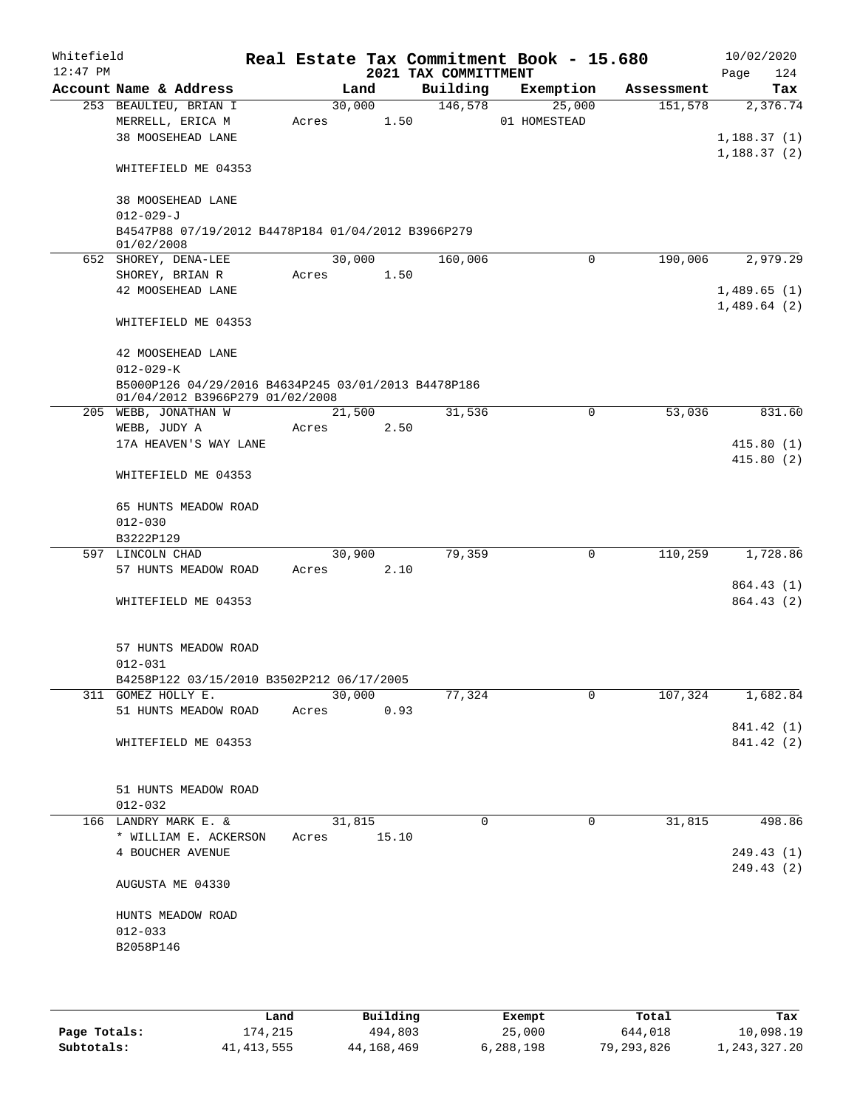| Whitefield<br>$12:47$ PM |                                                                                        |             |        | 2021 TAX COMMITTMENT |          | Real Estate Tax Commitment Book - 15.680 |            | 10/02/2020                 |
|--------------------------|----------------------------------------------------------------------------------------|-------------|--------|----------------------|----------|------------------------------------------|------------|----------------------------|
|                          | Account Name & Address                                                                 |             | Land   |                      |          | Building Exemption                       | Assessment | 124<br>Page<br>Tax         |
|                          | 253 BEAULIEU, BRIAN I                                                                  |             | 30,000 | 146,578              |          | 25,000                                   | 151,578    | 2,376.74                   |
|                          | MERRELL, ERICA M                                                                       | Acres 1.50  |        |                      |          | 01 HOMESTEAD                             |            |                            |
|                          | 38 MOOSEHEAD LANE                                                                      |             |        |                      |          |                                          |            | 1,188.37(1)<br>1,188.37(2) |
|                          | WHITEFIELD ME 04353                                                                    |             |        |                      |          |                                          |            |                            |
|                          | 38 MOOSEHEAD LANE                                                                      |             |        |                      |          |                                          |            |                            |
|                          | $012 - 029 - J$<br>B4547P88 07/19/2012 B4478P184 01/04/2012 B3966P279<br>01/02/2008    |             |        |                      |          |                                          |            |                            |
|                          | 652 SHOREY, DENA-LEE                                                                   |             | 30,000 | 160,006              |          | 0                                        | 190,006    | 2,979.29                   |
|                          | SHOREY, BRIAN R                                                                        | Acres 1.50  |        |                      |          |                                          |            |                            |
|                          | 42 MOOSEHEAD LANE                                                                      |             |        |                      |          |                                          |            | 1,489.65(1)                |
|                          |                                                                                        |             |        |                      |          |                                          |            | 1,489.64(2)                |
|                          | WHITEFIELD ME 04353                                                                    |             |        |                      |          |                                          |            |                            |
|                          | 42 MOOSEHEAD LANE<br>$012 - 029 - K$                                                   |             |        |                      |          |                                          |            |                            |
|                          | B5000P126 04/29/2016 B4634P245 03/01/2013 B4478P186<br>01/04/2012 B3966P279 01/02/2008 |             |        |                      |          |                                          |            |                            |
|                          | 205 WEBB, JONATHAN W                                                                   |             | 21,500 | 31,536               |          | $\mathbf 0$                              | 53,036     | 831.60                     |
|                          | WEBB, JUDY A                                                                           | Acres       | 2.50   |                      |          |                                          |            |                            |
|                          | 17A HEAVEN'S WAY LANE                                                                  |             |        |                      |          |                                          |            | 415.80(1)                  |
|                          |                                                                                        |             |        |                      |          |                                          |            | 415.80(2)                  |
|                          | WHITEFIELD ME 04353                                                                    |             |        |                      |          |                                          |            |                            |
|                          | 65 HUNTS MEADOW ROAD                                                                   |             |        |                      |          |                                          |            |                            |
|                          | $012 - 030$                                                                            |             |        |                      |          |                                          |            |                            |
|                          | B3222P129                                                                              |             |        |                      |          |                                          |            |                            |
|                          | 597 LINCOLN CHAD                                                                       |             | 30,900 | 79,359               |          | 0                                        | 110,259    | 1,728.86                   |
|                          | 57 HUNTS MEADOW ROAD                                                                   | Acres 2.10  |        |                      |          |                                          |            |                            |
|                          |                                                                                        |             |        |                      |          |                                          |            | 864.43 (1)                 |
|                          | WHITEFIELD ME 04353                                                                    |             |        |                      |          |                                          |            | 864.43 (2)                 |
|                          |                                                                                        |             |        |                      |          |                                          |            |                            |
|                          | 57 HUNTS MEADOW ROAD                                                                   |             |        |                      |          |                                          |            |                            |
|                          | $012 - 031$                                                                            |             |        |                      |          |                                          |            |                            |
|                          | B4258P122 03/15/2010 B3502P212 06/17/2005                                              |             |        |                      |          |                                          |            |                            |
|                          | 311 GOMEZ HOLLY E.                                                                     |             | 30,000 | 77,324               |          | 0                                        | 107,324    | 1,682.84                   |
|                          | 51 HUNTS MEADOW ROAD                                                                   | Acres       | 0.93   |                      |          |                                          |            |                            |
|                          |                                                                                        |             |        |                      |          |                                          |            | 841.42 (1)                 |
|                          | WHITEFIELD ME 04353                                                                    |             |        |                      |          |                                          |            | 841.42 (2)                 |
|                          |                                                                                        |             |        |                      |          |                                          |            |                            |
|                          | 51 HUNTS MEADOW ROAD<br>$012 - 032$                                                    |             |        |                      |          |                                          |            |                            |
|                          | 166 LANDRY MARK E. &                                                                   |             | 31,815 |                      | $\Omega$ | $\mathbf 0$                              | 31,815     | 498.86                     |
|                          | * WILLIAM E. ACKERSON                                                                  | Acres 15.10 |        |                      |          |                                          |            |                            |
|                          | 4 BOUCHER AVENUE                                                                       |             |        |                      |          |                                          |            | 249.43(1)                  |
|                          |                                                                                        |             |        |                      |          |                                          |            | 249.43(2)                  |
|                          | AUGUSTA ME 04330                                                                       |             |        |                      |          |                                          |            |                            |
|                          |                                                                                        |             |        |                      |          |                                          |            |                            |
|                          | HUNTS MEADOW ROAD                                                                      |             |        |                      |          |                                          |            |                            |
|                          | $012 - 033$                                                                            |             |        |                      |          |                                          |            |                            |
|                          | B2058P146                                                                              |             |        |                      |          |                                          |            |                            |
|                          |                                                                                        |             |        |                      |          |                                          |            |                            |
|                          |                                                                                        |             |        |                      |          |                                          |            |                            |

|              | Land         | Building   | Exempt    | Total      | Tax          |
|--------------|--------------|------------|-----------|------------|--------------|
| Page Totals: | 174,215      | 494,803    | 25,000    | 644,018    | 10,098.19    |
| Subtotals:   | 41, 413, 555 | 44,168,469 | 6,288,198 | 79,293,826 | 1,243,327.20 |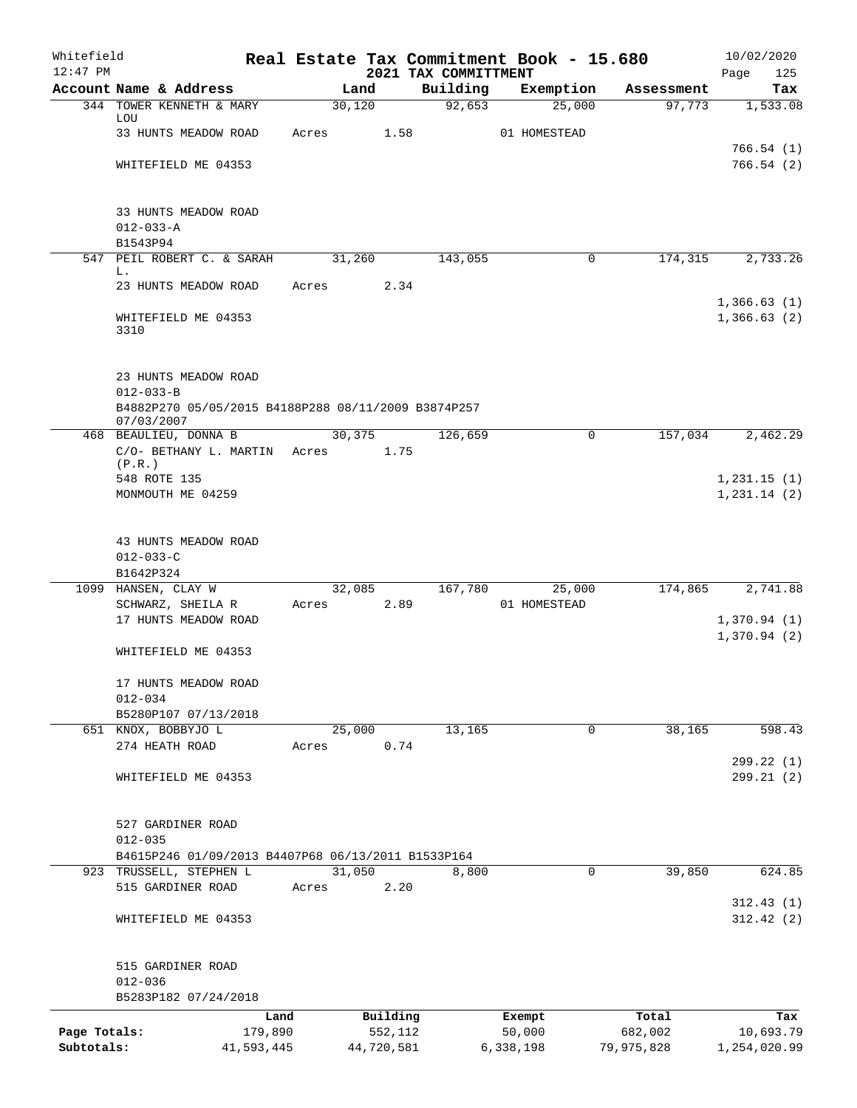| Whitefield                 |                                                                                      |         |                       |                                  | Real Estate Tax Commitment Book - 15.680 |                       | 10/02/2020                 |
|----------------------------|--------------------------------------------------------------------------------------|---------|-----------------------|----------------------------------|------------------------------------------|-----------------------|----------------------------|
| $12:47$ PM                 | Account Name & Address                                                               |         | Land                  | 2021 TAX COMMITTMENT<br>Building | Exemption                                | Assessment            | Page<br>125<br>Tax         |
|                            | 344 TOWER KENNETH & MARY                                                             |         | 30,120                | 92,653                           | 25,000                                   | 97,773                | 1,533.08                   |
|                            | LOU                                                                                  | Acres   |                       |                                  |                                          |                       |                            |
|                            | 33 HUNTS MEADOW ROAD                                                                 |         | 1.58                  |                                  | 01 HOMESTEAD                             |                       | 766.54(1)                  |
|                            | WHITEFIELD ME 04353                                                                  |         |                       |                                  |                                          |                       | 766.54(2)                  |
|                            | 33 HUNTS MEADOW ROAD                                                                 |         |                       |                                  |                                          |                       |                            |
|                            | $012 - 033 - A$                                                                      |         |                       |                                  |                                          |                       |                            |
|                            | B1543P94                                                                             |         |                       |                                  |                                          |                       |                            |
| 547                        | PEIL ROBERT C. & SARAH<br>L.                                                         |         | 31,260                | 143,055                          | $\mathbf 0$                              | 174,315               | 2,733.26                   |
|                            | 23 HUNTS MEADOW ROAD                                                                 | Acres   | 2.34                  |                                  |                                          |                       |                            |
|                            | WHITEFIELD ME 04353<br>3310                                                          |         |                       |                                  |                                          |                       | 1,366.63(1)<br>1,366.63(2) |
|                            | 23 HUNTS MEADOW ROAD                                                                 |         |                       |                                  |                                          |                       |                            |
|                            | $012 - 033 - B$<br>B4882P270 05/05/2015 B4188P288 08/11/2009 B3874P257<br>07/03/2007 |         |                       |                                  |                                          |                       |                            |
|                            | 468 BEAULIEU, DONNA B                                                                |         | 30, 375               | 126,659                          | 0                                        | 157,034               | 2,462.29                   |
|                            | C/O- BETHANY L. MARTIN<br>(P.R.)                                                     | Acres   | 1.75                  |                                  |                                          |                       |                            |
|                            | 548 ROTE 135                                                                         |         |                       |                                  |                                          |                       | 1,231.15(1)                |
|                            | MONMOUTH ME 04259                                                                    |         |                       |                                  |                                          |                       | 1, 231.14 (2)              |
|                            | 43 HUNTS MEADOW ROAD                                                                 |         |                       |                                  |                                          |                       |                            |
|                            | $012 - 033 - C$                                                                      |         |                       |                                  |                                          |                       |                            |
|                            | B1642P324                                                                            |         |                       |                                  |                                          |                       |                            |
|                            | 1099 HANSEN, CLAY W<br>SCHWARZ, SHEILA R                                             | Acres   | 32,085<br>2.89        | 167,780                          | 25,000<br>01 HOMESTEAD                   | 174,865               | 2,741.88                   |
|                            | 17 HUNTS MEADOW ROAD                                                                 |         |                       |                                  |                                          |                       | 1,370.94(1)                |
|                            |                                                                                      |         |                       |                                  |                                          |                       | 1,370.94(2)                |
|                            | WHITEFIELD ME 04353                                                                  |         |                       |                                  |                                          |                       |                            |
|                            | 17 HUNTS MEADOW ROAD<br>$012 - 034$                                                  |         |                       |                                  |                                          |                       |                            |
|                            | B5280P107 07/13/2018                                                                 |         |                       |                                  |                                          |                       |                            |
|                            | 651 KNOX, BOBBYJO L                                                                  |         | 25,000                | 13,165                           | 0                                        | 38,165                | 598.43                     |
|                            | 274 HEATH ROAD                                                                       | Acres   | 0.74                  |                                  |                                          |                       | 299.22 (1)                 |
|                            | WHITEFIELD ME 04353                                                                  |         |                       |                                  |                                          |                       | 299.21 (2)                 |
|                            | 527 GARDINER ROAD                                                                    |         |                       |                                  |                                          |                       |                            |
|                            | $012 - 035$                                                                          |         |                       |                                  |                                          |                       |                            |
|                            | B4615P246 01/09/2013 B4407P68 06/13/2011 B1533P164                                   |         |                       |                                  |                                          |                       |                            |
|                            | 923 TRUSSELL, STEPHEN L                                                              |         | 31,050                | 8,800                            | $\mathbf 0$                              | 39,850                | 624.85                     |
|                            | 515 GARDINER ROAD                                                                    | Acres   | 2.20                  |                                  |                                          |                       | 312.43(1)                  |
|                            | WHITEFIELD ME 04353                                                                  |         |                       |                                  |                                          |                       | 312.42(2)                  |
|                            | 515 GARDINER ROAD<br>$012 - 036$                                                     |         |                       |                                  |                                          |                       |                            |
|                            | B5283P182 07/24/2018                                                                 |         |                       |                                  |                                          |                       |                            |
|                            |                                                                                      | Land    | Building              |                                  | Exempt                                   | Total                 | Tax                        |
| Page Totals:<br>Subtotals: | 41,593,445                                                                           | 179,890 | 552,112<br>44,720,581 |                                  | 50,000<br>6,338,198                      | 682,002<br>79,975,828 | 10,693.79<br>1,254,020.99  |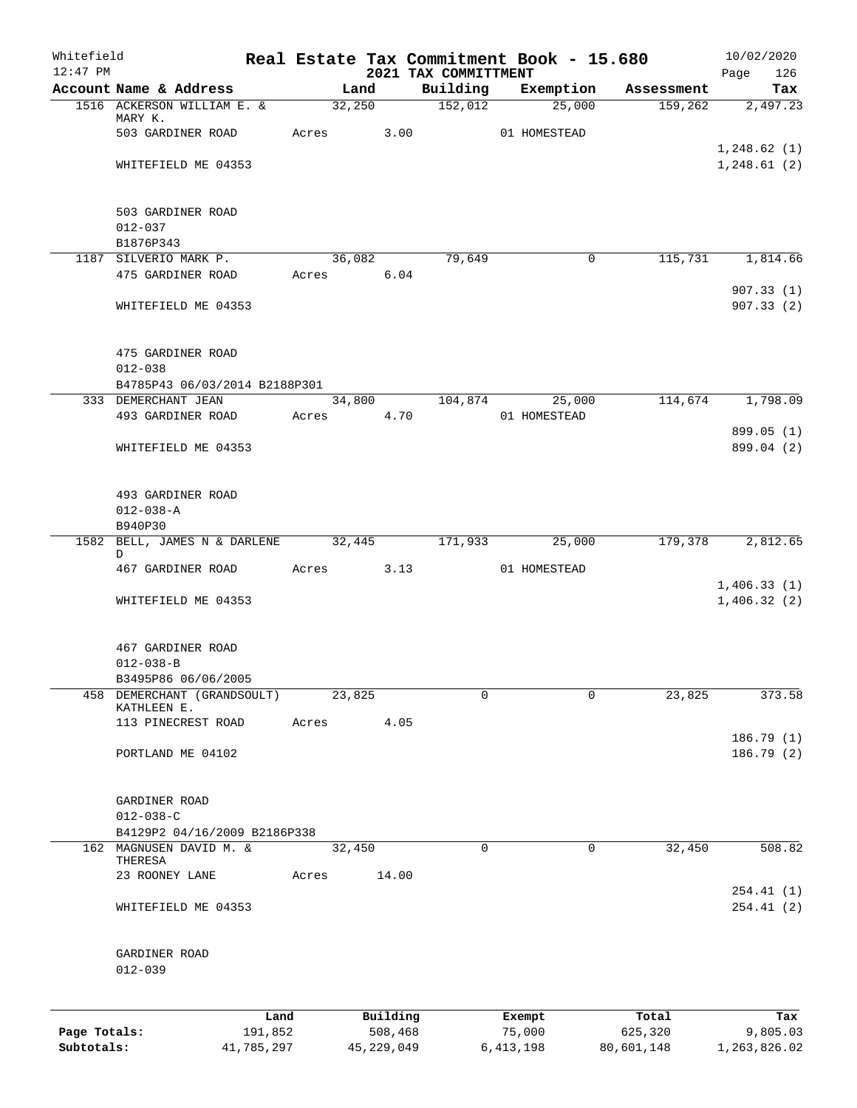| Whitefield   |                                                      |                 |       |                     |      | Real Estate Tax Commitment Book - 15.680 |                  |              |                  | 10/02/2020             |
|--------------|------------------------------------------------------|-----------------|-------|---------------------|------|------------------------------------------|------------------|--------------|------------------|------------------------|
| $12:47$ PM   | Account Name & Address                               |                 |       | Land                |      | 2021 TAX COMMITTMENT<br>Building         |                  | Exemption    | Assessment       | Page<br>126<br>Tax     |
|              | 1516 ACKERSON WILLIAM E. &                           |                 |       | 32,250              |      | 152,012                                  |                  | 25,000       | 159,262          | 2,497.23               |
|              | MARY K.                                              |                 |       |                     | 3.00 |                                          |                  |              |                  |                        |
|              | 503 GARDINER ROAD                                    |                 | Acres |                     |      |                                          |                  | 01 HOMESTEAD |                  | 1,248.62(1)            |
|              | WHITEFIELD ME 04353                                  |                 |       |                     |      |                                          |                  |              |                  | 1, 248.61(2)           |
|              |                                                      |                 |       |                     |      |                                          |                  |              |                  |                        |
|              | 503 GARDINER ROAD                                    |                 |       |                     |      |                                          |                  |              |                  |                        |
|              | $012 - 037$                                          |                 |       |                     |      |                                          |                  |              |                  |                        |
|              | B1876P343                                            |                 |       |                     |      |                                          |                  |              |                  |                        |
|              | 1187 SILVERIO MARK P.                                |                 |       | 36,082              |      | 79,649                                   |                  | 0            | 115,731          | 1,814.66               |
|              | 475 GARDINER ROAD                                    |                 |       | Acres 6.04          |      |                                          |                  |              |                  |                        |
|              | WHITEFIELD ME 04353                                  |                 |       |                     |      |                                          |                  |              |                  | 907.33(1)<br>907.33(2) |
|              |                                                      |                 |       |                     |      |                                          |                  |              |                  |                        |
|              |                                                      |                 |       |                     |      |                                          |                  |              |                  |                        |
|              | 475 GARDINER ROAD                                    |                 |       |                     |      |                                          |                  |              |                  |                        |
|              | $012 - 038$                                          |                 |       |                     |      |                                          |                  |              |                  |                        |
|              | B4785P43 06/03/2014 B2188P301<br>333 DEMERCHANT JEAN |                 |       | 34,800              |      | 104,874                                  |                  | 25,000       | 114,674          | 1,798.09               |
|              | 493 GARDINER ROAD                                    |                 | Acres |                     | 4.70 |                                          |                  | 01 HOMESTEAD |                  |                        |
|              |                                                      |                 |       |                     |      |                                          |                  |              |                  | 899.05 (1)             |
|              | WHITEFIELD ME 04353                                  |                 |       |                     |      |                                          |                  |              |                  | 899.04 (2)             |
|              |                                                      |                 |       |                     |      |                                          |                  |              |                  |                        |
|              | 493 GARDINER ROAD                                    |                 |       |                     |      |                                          |                  |              |                  |                        |
|              | $012 - 038 - A$                                      |                 |       |                     |      |                                          |                  |              |                  |                        |
|              | B940P30                                              |                 |       |                     |      |                                          |                  |              |                  |                        |
|              | 1582 BELL, JAMES N & DARLENE                         |                 |       | 32,445              |      | 171,933                                  |                  | 25,000       | 179,378          | 2,812.65               |
|              | D<br>467 GARDINER ROAD                               |                 | Acres |                     | 3.13 |                                          |                  | 01 HOMESTEAD |                  |                        |
|              |                                                      |                 |       |                     |      |                                          |                  |              |                  | 1,406.33(1)            |
|              | WHITEFIELD ME 04353                                  |                 |       |                     |      |                                          |                  |              |                  | 1,406.32(2)            |
|              |                                                      |                 |       |                     |      |                                          |                  |              |                  |                        |
|              | 467 GARDINER ROAD                                    |                 |       |                     |      |                                          |                  |              |                  |                        |
|              | $012 - 038 - B$                                      |                 |       |                     |      |                                          |                  |              |                  |                        |
|              | B3495P86 06/06/2005                                  |                 |       |                     |      |                                          |                  |              |                  |                        |
|              | 458 DEMERCHANT (GRANDSOULT)<br>KATHLEEN E.           |                 |       | 23,825              |      | 0                                        |                  | 0            | 23,825           | 373.58                 |
|              | 113 PINECREST ROAD                                   |                 | Acres |                     | 4.05 |                                          |                  |              |                  |                        |
|              |                                                      |                 |       |                     |      |                                          |                  |              |                  | 186.79 (1)             |
|              | PORTLAND ME 04102                                    |                 |       |                     |      |                                          |                  |              |                  | 186.79 (2)             |
|              |                                                      |                 |       |                     |      |                                          |                  |              |                  |                        |
|              | GARDINER ROAD                                        |                 |       |                     |      |                                          |                  |              |                  |                        |
|              | $012 - 038 - C$                                      |                 |       |                     |      |                                          |                  |              |                  |                        |
|              | B4129P2 04/16/2009 B2186P338                         |                 |       |                     |      |                                          |                  |              |                  |                        |
|              | 162 MAGNUSEN DAVID M. &<br>THERESA                   |                 |       | 32,450              |      | 0                                        |                  | 0            | 32,450           | 508.82                 |
|              | 23 ROONEY LANE                                       |                 | Acres | 14.00               |      |                                          |                  |              |                  |                        |
|              |                                                      |                 |       |                     |      |                                          |                  |              |                  | 254.41 (1)             |
|              | WHITEFIELD ME 04353                                  |                 |       |                     |      |                                          |                  |              |                  | 254.41 (2)             |
|              |                                                      |                 |       |                     |      |                                          |                  |              |                  |                        |
|              | GARDINER ROAD                                        |                 |       |                     |      |                                          |                  |              |                  |                        |
|              | $012 - 039$                                          |                 |       |                     |      |                                          |                  |              |                  |                        |
|              |                                                      |                 |       |                     |      |                                          |                  |              |                  |                        |
|              |                                                      |                 |       |                     |      |                                          |                  |              |                  |                        |
| Page Totals: |                                                      | Land<br>191,852 |       | Building<br>508,468 |      |                                          | Exempt<br>75,000 |              | Total<br>625,320 | Tax<br>9,805.03        |
| Subtotals:   |                                                      | 41,785,297      |       | 45, 229, 049        |      |                                          | 6, 413, 198      |              | 80,601,148       | 1,263,826.02           |
|              |                                                      |                 |       |                     |      |                                          |                  |              |                  |                        |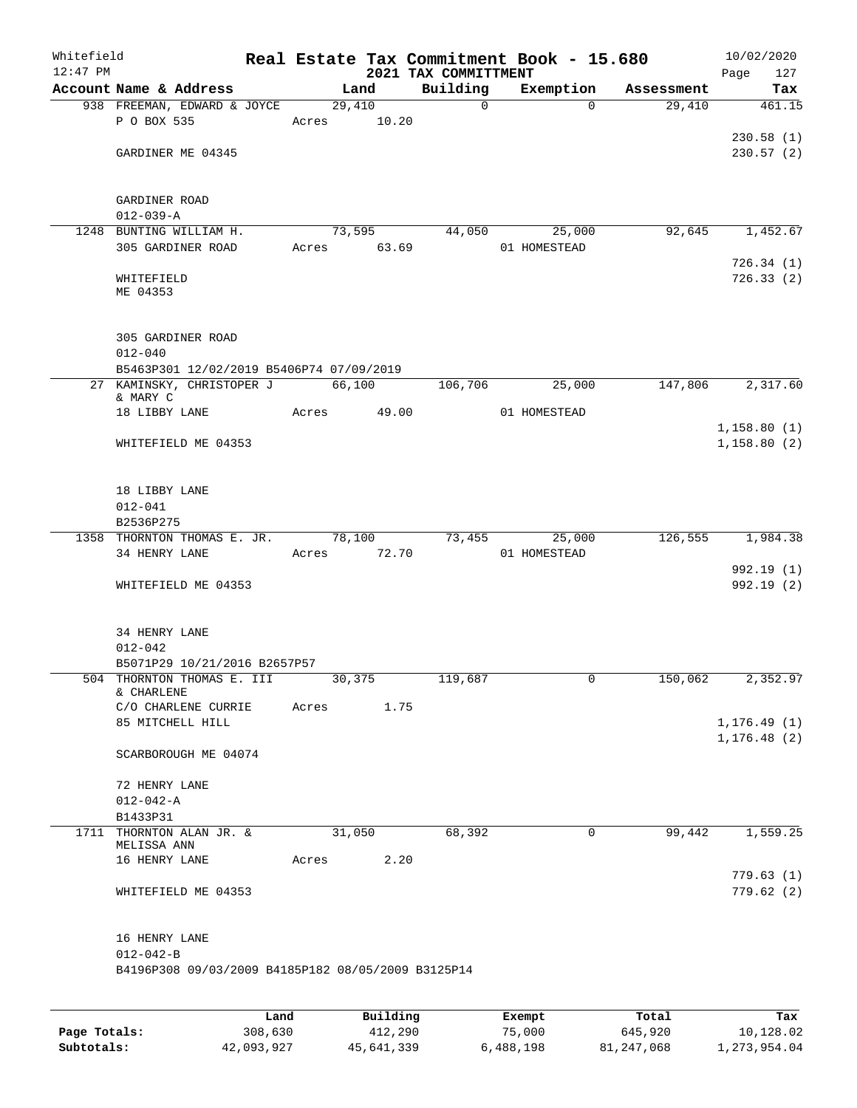| Whitefield<br>$12:47$ PM |                                                                       |             |        |        | Real Estate Tax Commitment Book - 15.680<br>2021 TAX COMMITTMENT |              |                |            | Page | 10/02/2020<br>127        |
|--------------------------|-----------------------------------------------------------------------|-------------|--------|--------|------------------------------------------------------------------|--------------|----------------|------------|------|--------------------------|
|                          | Account Name & Address                                                |             | Land   |        | Building                                                         |              | Exemption      | Assessment |      | Tax                      |
|                          | 938 FREEMAN, EDWARD & JOYCE                                           |             | 29,410 |        | $\mathbf 0$                                                      |              | $\Omega$       | 29,410     |      | 461.15                   |
|                          | P O BOX 535                                                           | Acres       |        | 10.20  |                                                                  |              |                |            |      |                          |
|                          |                                                                       |             |        |        |                                                                  |              |                |            |      | 230.58(1)                |
|                          | GARDINER ME 04345                                                     |             |        |        |                                                                  |              |                |            |      | 230.57(2)                |
|                          |                                                                       |             |        |        |                                                                  |              |                |            |      |                          |
|                          | GARDINER ROAD                                                         |             |        |        |                                                                  |              |                |            |      |                          |
|                          | $012 - 039 - A$                                                       |             |        |        |                                                                  |              |                |            |      |                          |
|                          | 1248 BUNTING WILLIAM H.                                               |             | 73,595 |        | 44,050                                                           |              | 25,000         | 92,645     |      | 1,452.67                 |
|                          | 305 GARDINER ROAD                                                     | Acres 63.69 |        |        |                                                                  | 01 HOMESTEAD |                |            |      |                          |
|                          |                                                                       |             |        |        |                                                                  |              |                |            |      | 726.34(1)                |
|                          | WHITEFIELD<br>ME 04353                                                |             |        |        |                                                                  |              |                |            |      | 726.33(2)                |
|                          |                                                                       |             |        |        |                                                                  |              |                |            |      |                          |
|                          |                                                                       |             |        |        |                                                                  |              |                |            |      |                          |
|                          | 305 GARDINER ROAD                                                     |             |        |        |                                                                  |              |                |            |      |                          |
|                          | $012 - 040$                                                           |             |        |        |                                                                  |              |                |            |      |                          |
|                          | B5463P301 12/02/2019 B5406P74 07/09/2019<br>27 KAMINSKY, CHRISTOPER J |             | 66,100 |        | 106,706                                                          |              | 25,000         | 147,806    |      | 2,317.60                 |
|                          | & MARY C                                                              |             |        |        |                                                                  |              |                |            |      |                          |
|                          | 18 LIBBY LANE                                                         | Acres       |        | 49.00  |                                                                  | 01 HOMESTEAD |                |            |      |                          |
|                          |                                                                       |             |        |        |                                                                  |              |                |            |      | 1,158.80(1)              |
|                          | WHITEFIELD ME 04353                                                   |             |        |        |                                                                  |              |                |            |      | 1,158.80(2)              |
|                          |                                                                       |             |        |        |                                                                  |              |                |            |      |                          |
|                          | 18 LIBBY LANE                                                         |             |        |        |                                                                  |              |                |            |      |                          |
|                          | $012 - 041$                                                           |             |        |        |                                                                  |              |                |            |      |                          |
|                          | B2536P275                                                             |             |        |        |                                                                  |              |                |            |      |                          |
|                          | 1358 THORNTON THOMAS E. JR.                                           |             |        | 78,100 | 73,455                                                           |              | 25,000         | 126,555    |      | 1,984.38                 |
|                          | 34 HENRY LANE                                                         | Acres       |        | 72.70  |                                                                  | 01 HOMESTEAD |                |            |      |                          |
|                          | WHITEFIELD ME 04353                                                   |             |        |        |                                                                  |              |                |            |      | 992.19 (1)<br>992.19 (2) |
|                          |                                                                       |             |        |        |                                                                  |              |                |            |      |                          |
|                          |                                                                       |             |        |        |                                                                  |              |                |            |      |                          |
|                          | 34 HENRY LANE                                                         |             |        |        |                                                                  |              |                |            |      |                          |
|                          | $012 - 042$                                                           |             |        |        |                                                                  |              |                |            |      |                          |
|                          | B5071P29 10/21/2016 B2657P57<br>504 THORNTON THOMAS E. III            | 30,375      |        |        | 119,687                                                          |              | $\overline{0}$ | 150,062    |      | 2,352.97                 |
|                          | & CHARLENE                                                            |             |        |        |                                                                  |              |                |            |      |                          |
|                          | C/O CHARLENE CURRIE Acres 1.75                                        |             |        |        |                                                                  |              |                |            |      |                          |
|                          | 85 MITCHELL HILL                                                      |             |        |        |                                                                  |              |                |            |      | 1, 176.49(1)             |
|                          |                                                                       |             |        |        |                                                                  |              |                |            |      | 1, 176.48(2)             |
|                          | SCARBOROUGH ME 04074                                                  |             |        |        |                                                                  |              |                |            |      |                          |
|                          | 72 HENRY LANE                                                         |             |        |        |                                                                  |              |                |            |      |                          |
|                          | $012 - 042 - A$                                                       |             |        |        |                                                                  |              |                |            |      |                          |
|                          | B1433P31                                                              |             |        |        |                                                                  |              |                |            |      |                          |
|                          | 1711 THORNTON ALAN JR. &                                              |             | 31,050 |        | 68,392                                                           |              | $\overline{0}$ | 99,442     |      | 1,559.25                 |
|                          | MELISSA ANN<br>16 HENRY LANE                                          | Acres 2.20  |        |        |                                                                  |              |                |            |      |                          |
|                          |                                                                       |             |        |        |                                                                  |              |                |            |      | 779.63(1)                |
|                          | WHITEFIELD ME 04353                                                   |             |        |        |                                                                  |              |                |            |      | 779.62(2)                |
|                          |                                                                       |             |        |        |                                                                  |              |                |            |      |                          |
|                          |                                                                       |             |        |        |                                                                  |              |                |            |      |                          |
|                          | 16 HENRY LANE                                                         |             |        |        |                                                                  |              |                |            |      |                          |
|                          | $012 - 042 - B$<br>B4196P308 09/03/2009 B4185P182 08/05/2009 B3125P14 |             |        |        |                                                                  |              |                |            |      |                          |
|                          |                                                                       |             |        |        |                                                                  |              |                |            |      |                          |
|                          |                                                                       |             |        |        |                                                                  |              |                |            |      |                          |
|                          |                                                                       |             |        |        |                                                                  |              |                |            |      |                          |

|              | Land       | Building   | Exempt    | Total      | Tax          |
|--------------|------------|------------|-----------|------------|--------------|
| Page Totals: | 308,630    | 412,290    | 75,000    | 645,920    | 10,128.02    |
| Subtotals:   | 42,093,927 | 45,641,339 | 6,488,198 | 81,247,068 | 1,273,954.04 |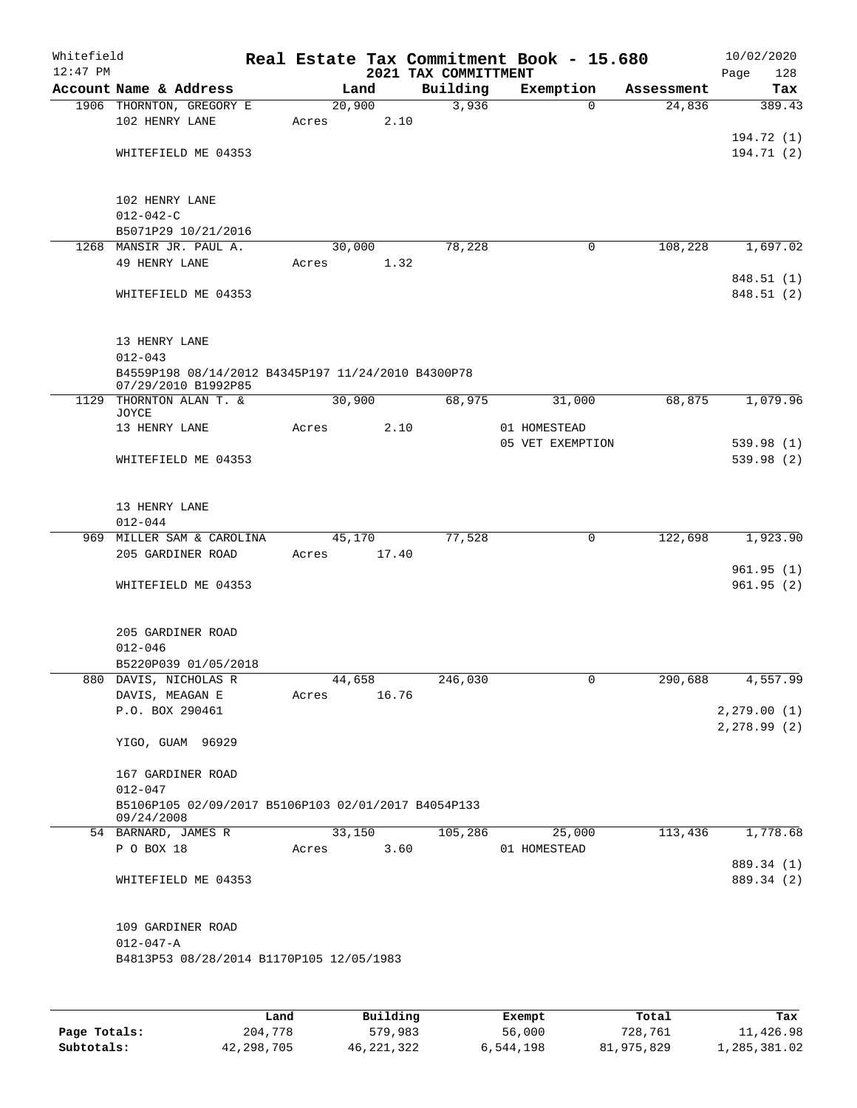| Whitefield<br>$12:47$ PM |                                                                                    |       |        |      | 2021 TAX COMMITTMENT | Real Estate Tax Commitment Book - 15.680 |            | 10/02/2020<br>128<br>Page |
|--------------------------|------------------------------------------------------------------------------------|-------|--------|------|----------------------|------------------------------------------|------------|---------------------------|
|                          | Account Name & Address                                                             |       | Land   |      | Building             | Exemption                                | Assessment | Tax                       |
|                          | 1906 THORNTON, GREGORY E<br>102 HENRY LANE                                         | Acres | 20,900 | 2.10 | 3,936                | $\Omega$                                 | 24,836     | 389.43                    |
|                          | WHITEFIELD ME 04353                                                                |       |        |      |                      |                                          |            | 194.72 (1)<br>194.71(2)   |
|                          | 102 HENRY LANE<br>$012 - 042 - C$                                                  |       |        |      |                      |                                          |            |                           |
|                          | B5071P29 10/21/2016                                                                |       |        |      |                      |                                          |            |                           |
|                          | 1268 MANSIR JR. PAUL A.<br>49 HENRY LANE                                           | Acres | 30,000 | 1.32 | 78,228               | 0                                        | 108,228    | 1,697.02                  |
|                          |                                                                                    |       |        |      |                      |                                          |            | 848.51 (1)                |
|                          | WHITEFIELD ME 04353                                                                |       |        |      |                      |                                          |            | 848.51 (2)                |
|                          | 13 HENRY LANE<br>$012 - 043$<br>B4559P198 08/14/2012 B4345P197 11/24/2010 B4300P78 |       |        |      |                      |                                          |            |                           |
|                          | 07/29/2010 B1992P85                                                                |       |        |      |                      |                                          |            |                           |
|                          | 1129 THORNTON ALAN T. &                                                            |       | 30,900 |      | 68,975               | 31,000                                   | 68,875     | 1,079.96                  |
|                          | JOYCE<br>13 HENRY LANE                                                             | Acres |        | 2.10 |                      | 01 HOMESTEAD                             |            |                           |
|                          |                                                                                    |       |        |      |                      | 05 VET EXEMPTION                         |            | 539.98(1)                 |
|                          | WHITEFIELD ME 04353                                                                |       |        |      |                      |                                          |            | 539.98 (2)                |
|                          | 13 HENRY LANE<br>$012 - 044$                                                       |       |        |      |                      |                                          |            |                           |
|                          | 969 MILLER SAM & CAROLINA                                                          |       | 45,170 |      | 77,528               | 0                                        | 122,698    | 1,923.90                  |
|                          | 205 GARDINER ROAD                                                                  | Acres | 17.40  |      |                      |                                          |            |                           |
|                          | WHITEFIELD ME 04353                                                                |       |        |      |                      |                                          |            | 961.95(1)<br>961.95(2)    |
|                          | 205 GARDINER ROAD<br>$012 - 046$                                                   |       |        |      |                      |                                          |            |                           |
|                          | B5220P039 01/05/2018                                                               |       |        |      |                      |                                          |            |                           |
|                          | 880 DAVIS, NICHOLAS R                                                              |       | 44,658 |      | 246,030              | $\overline{0}$                           | 290,688    | 4,557.99                  |
|                          | DAVIS, MEAGAN E                                                                    | Acres | 16.76  |      |                      |                                          |            |                           |
|                          | P.O. BOX 290461                                                                    |       |        |      |                      |                                          |            | 2, 279.00(1)              |
|                          | YIGO, GUAM 96929                                                                   |       |        |      |                      |                                          |            | 2, 278.99(2)              |
|                          | 167 GARDINER ROAD<br>$012 - 047$                                                   |       |        |      |                      |                                          |            |                           |
|                          | B5106P105 02/09/2017 B5106P103 02/01/2017 B4054P133<br>09/24/2008                  |       |        |      |                      |                                          |            |                           |
|                          | 54 BARNARD, JAMES R                                                                |       | 33,150 |      | 105,286              | 25,000                                   | 113,436    | 1,778.68                  |
|                          | P O BOX 18                                                                         | Acres |        | 3.60 |                      | 01 HOMESTEAD                             |            | 889.34 (1)                |
|                          | WHITEFIELD ME 04353                                                                |       |        |      |                      |                                          |            | 889.34 (2)                |
|                          | 109 GARDINER ROAD                                                                  |       |        |      |                      |                                          |            |                           |
|                          | $012 - 047 - A$                                                                    |       |        |      |                      |                                          |            |                           |
|                          | B4813P53 08/28/2014 B1170P105 12/05/1983                                           |       |        |      |                      |                                          |            |                           |
|                          |                                                                                    |       |        |      |                      |                                          |            |                           |
|                          |                                                                                    |       |        |      |                      |                                          |            |                           |

|              | Land       | Building   | Exempt    | Total      | Tax          |
|--------------|------------|------------|-----------|------------|--------------|
| Page Totals: | 204,778    | 579,983    | 56,000    | 728,761    | 11,426.98    |
| Subtotals:   | 42,298,705 | 46,221,322 | 6,544,198 | 81,975,829 | 1,285,381.02 |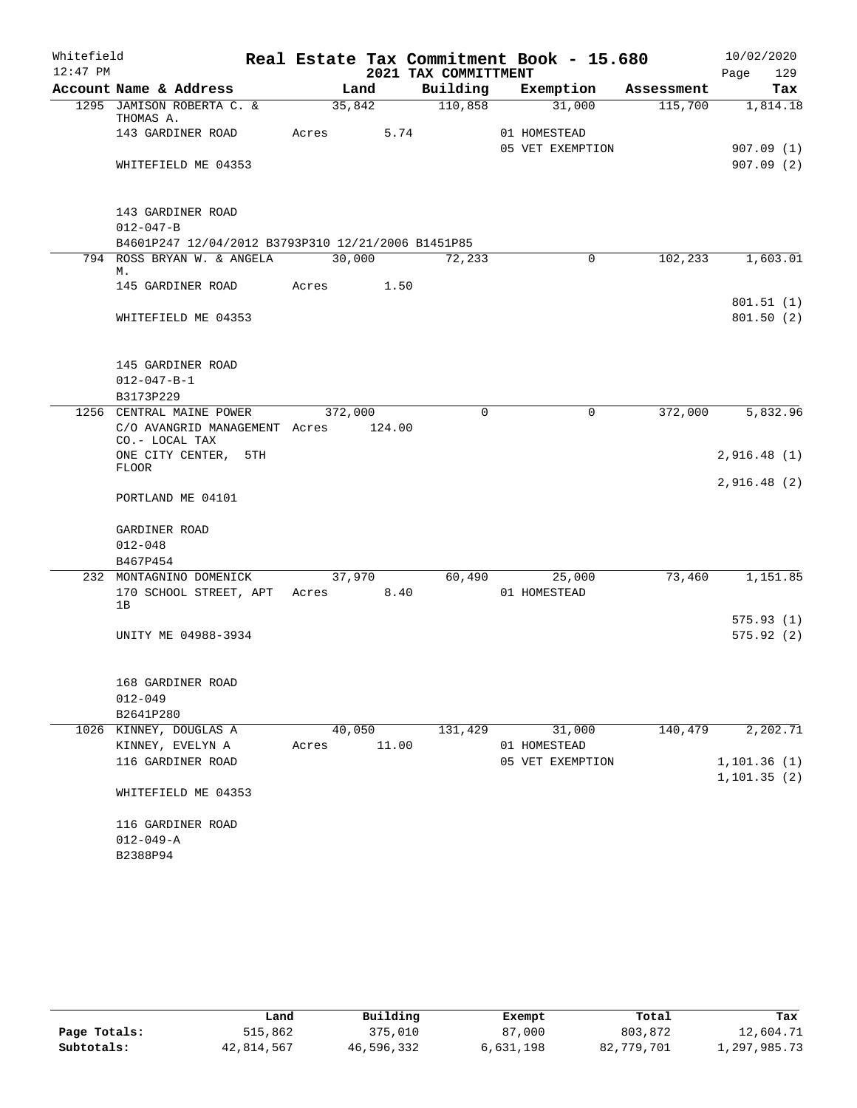| Whitefield |                                                        |         |                      | Real Estate Tax Commitment Book - 15.680 |            | 10/02/2020   |
|------------|--------------------------------------------------------|---------|----------------------|------------------------------------------|------------|--------------|
| $12:47$ PM |                                                        |         | 2021 TAX COMMITTMENT |                                          |            | 129<br>Page  |
|            | Account Name & Address                                 | Land    | Building             | Exemption                                | Assessment | Tax          |
|            | 1295 JAMISON ROBERTA C. &<br>THOMAS A.                 | 35,842  | $\frac{110,858}{ }$  | 31,000                                   | 115,700    | 1,814.18     |
|            | 143 GARDINER ROAD                                      | Acres   | 5.74                 | 01 HOMESTEAD                             |            |              |
|            |                                                        |         |                      | 05 VET EXEMPTION                         |            | 907.09(1)    |
|            | WHITEFIELD ME 04353                                    |         |                      |                                          |            | 907.09(2)    |
|            | 143 GARDINER ROAD                                      |         |                      |                                          |            |              |
|            | $012 - 047 - B$                                        |         |                      |                                          |            |              |
|            | B4601P247 12/04/2012 B3793P310 12/21/2006 B1451P85     |         |                      |                                          |            |              |
|            | 794 ROSS BRYAN W. & ANGELA<br>М.                       | 30,000  | 72, 233              | $\mathbf 0$                              | 102,233    | 1,603.01     |
|            | 145 GARDINER ROAD                                      | Acres   | 1.50                 |                                          |            | 801.51(1)    |
|            | WHITEFIELD ME 04353                                    |         |                      |                                          |            | 801.50(2)    |
|            | 145 GARDINER ROAD                                      |         |                      |                                          |            |              |
|            | $012 - 047 - B - 1$                                    |         |                      |                                          |            |              |
|            | B3173P229                                              |         |                      |                                          |            |              |
|            | 1256 CENTRAL MAINE POWER                               | 372,000 | $\Omega$             | 0                                        | 372,000    | 5,832.96     |
|            | C/O AVANGRID MANAGEMENT Acres 124.00<br>CO.- LOCAL TAX |         |                      |                                          |            |              |
|            | ONE CITY CENTER, 5TH<br><b>FLOOR</b>                   |         |                      |                                          |            | 2,916.48(1)  |
|            |                                                        |         |                      |                                          |            | 2,916.48(2)  |
|            | PORTLAND ME 04101                                      |         |                      |                                          |            |              |
|            | GARDINER ROAD                                          |         |                      |                                          |            |              |
|            | $012 - 048$                                            |         |                      |                                          |            |              |
|            | B467P454                                               |         |                      |                                          |            |              |
|            | 232 MONTAGNINO DOMENICK                                | 37,970  | 60,490               | 25,000                                   | 73,460     | 1,151.85     |
|            | 170 SCHOOL STREET, APT Acres 8.40<br>1B                |         |                      | 01 HOMESTEAD                             |            |              |
|            |                                                        |         |                      |                                          |            | 575.93(1)    |
|            | UNITY ME 04988-3934                                    |         |                      |                                          |            | 575.92(2)    |
|            |                                                        |         |                      |                                          |            |              |
|            | 168 GARDINER ROAD                                      |         |                      |                                          |            |              |
|            | $012 - 049$                                            |         |                      |                                          |            |              |
|            | B2641P280                                              |         |                      |                                          |            |              |
|            | 1026 KINNEY, DOUGLAS A                                 | 40,050  | 131,429              | 31,000                                   | 140,479    | 2,202.71     |
|            | KINNEY, EVELYN A                                       | Acres   | 11.00                | 01 HOMESTEAD                             |            |              |
|            | 116 GARDINER ROAD                                      |         |                      | 05 VET EXEMPTION                         |            | 1, 101.36(1) |
|            | WHITEFIELD ME 04353                                    |         |                      |                                          |            | 1, 101.35(2) |
|            | 116 GARDINER ROAD                                      |         |                      |                                          |            |              |
|            | $012 - 049 - A$                                        |         |                      |                                          |            |              |
|            | B2388P94                                               |         |                      |                                          |            |              |

|              | Land       | Building   | Exempt    | Total      | Tax          |
|--------------|------------|------------|-----------|------------|--------------|
| Page Totals: | 515,862    | 375,010    | 87,000    | 803,872    | 12,604.71    |
| Subtotals:   | 42,814,567 | 46,596,332 | 6,631,198 | 82,779,701 | 1,297,985.73 |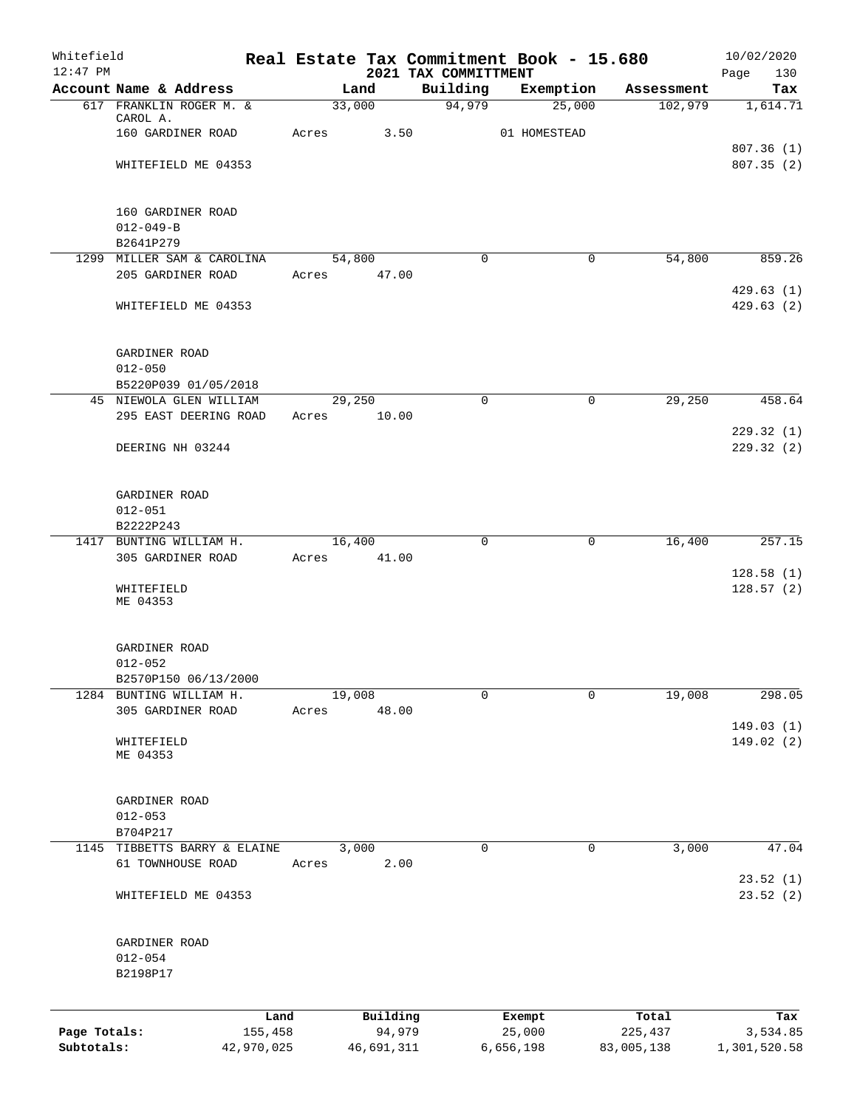| Whitefield<br>$12:47$ PM   |                              |        |                      | 2021 TAX COMMITTMENT | Real Estate Tax Commitment Book - 15.680 |                       | 10/02/2020               |
|----------------------------|------------------------------|--------|----------------------|----------------------|------------------------------------------|-----------------------|--------------------------|
|                            | Account Name & Address       |        | Land                 | Building             | Exemption                                | Assessment            | Page<br>130<br>Tax       |
|                            | 617 FRANKLIN ROGER M. &      | 33,000 |                      | 94,979               | 25,000                                   | 102,979               | 1,614.71                 |
|                            | CAROL A.                     |        |                      |                      |                                          |                       |                          |
|                            | 160 GARDINER ROAD            | Acres  | 3.50                 |                      | 01 HOMESTEAD                             |                       |                          |
|                            | WHITEFIELD ME 04353          |        |                      |                      |                                          |                       | 807.36(1)<br>807.35(2)   |
|                            |                              |        |                      |                      |                                          |                       |                          |
|                            | 160 GARDINER ROAD            |        |                      |                      |                                          |                       |                          |
|                            | $012 - 049 - B$              |        |                      |                      |                                          |                       |                          |
|                            | B2641P279                    |        |                      |                      |                                          |                       |                          |
|                            | 1299 MILLER SAM & CAROLINA   | 54,800 |                      | $\mathbf 0$          | 0                                        | 54,800                | 859.26                   |
|                            | 205 GARDINER ROAD            | Acres  | 47.00                |                      |                                          |                       |                          |
|                            |                              |        |                      |                      |                                          |                       | 429.63(1)                |
|                            | WHITEFIELD ME 04353          |        |                      |                      |                                          |                       | 429.63(2)                |
|                            |                              |        |                      |                      |                                          |                       |                          |
|                            | GARDINER ROAD<br>$012 - 050$ |        |                      |                      |                                          |                       |                          |
|                            | B5220P039 01/05/2018         |        |                      |                      |                                          |                       |                          |
|                            | 45 NIEWOLA GLEN WILLIAM      | 29,250 |                      | $\mathbf 0$          | 0                                        | 29,250                | 458.64                   |
|                            | 295 EAST DEERING ROAD        | Acres  | 10.00                |                      |                                          |                       |                          |
|                            |                              |        |                      |                      |                                          |                       | 229.32(1)                |
|                            | DEERING NH 03244             |        |                      |                      |                                          |                       | 229.32(2)                |
|                            | GARDINER ROAD                |        |                      |                      |                                          |                       |                          |
|                            | $012 - 051$                  |        |                      |                      |                                          |                       |                          |
|                            | B2222P243                    |        |                      |                      |                                          |                       |                          |
| 1417                       | BUNTING WILLIAM H.           | 16,400 |                      | 0                    | 0                                        | 16,400                | 257.15                   |
|                            | 305 GARDINER ROAD            | Acres  | 41.00                |                      |                                          |                       |                          |
|                            | WHITEFIELD<br>ME 04353       |        |                      |                      |                                          |                       | 128.58(1)<br>128.57(2)   |
|                            | GARDINER ROAD                |        |                      |                      |                                          |                       |                          |
|                            | $012 - 052$                  |        |                      |                      |                                          |                       |                          |
|                            | B2570P150 06/13/2000         |        |                      |                      |                                          |                       |                          |
|                            | 1284 BUNTING WILLIAM H.      | 19,008 |                      | $\mathbf 0$          | $\mathbf 0$                              | 19,008                | 298.05                   |
|                            | 305 GARDINER ROAD            | Acres  | 48.00                |                      |                                          |                       |                          |
|                            | WHITEFIELD                   |        |                      |                      |                                          |                       | 149.03(1)<br>149.02 (2)  |
|                            | ME 04353                     |        |                      |                      |                                          |                       |                          |
|                            |                              |        |                      |                      |                                          |                       |                          |
|                            | GARDINER ROAD                |        |                      |                      |                                          |                       |                          |
|                            | $012 - 053$<br>B704P217      |        |                      |                      |                                          |                       |                          |
|                            | 1145 TIBBETTS BARRY & ELAINE | 3,000  |                      | $\mathbf 0$          | 0                                        | 3,000                 | 47.04                    |
|                            | 61 TOWNHOUSE ROAD            | Acres  | 2.00                 |                      |                                          |                       |                          |
|                            | WHITEFIELD ME 04353          |        |                      |                      |                                          |                       | 23.52(1)<br>23.52(2)     |
|                            |                              |        |                      |                      |                                          |                       |                          |
|                            | GARDINER ROAD<br>$012 - 054$ |        |                      |                      |                                          |                       |                          |
|                            | B2198P17                     |        |                      |                      |                                          |                       |                          |
|                            |                              |        |                      |                      |                                          |                       |                          |
|                            |                              | Land   | Building             |                      | Exempt                                   | Total                 | Tax                      |
| Page Totals:<br>Subtotals: | 155,458<br>42,970,025        |        | 94,979<br>46,691,311 |                      | 25,000<br>6,656,198                      | 225,437<br>83,005,138 | 3,534.85<br>1,301,520.58 |
|                            |                              |        |                      |                      |                                          |                       |                          |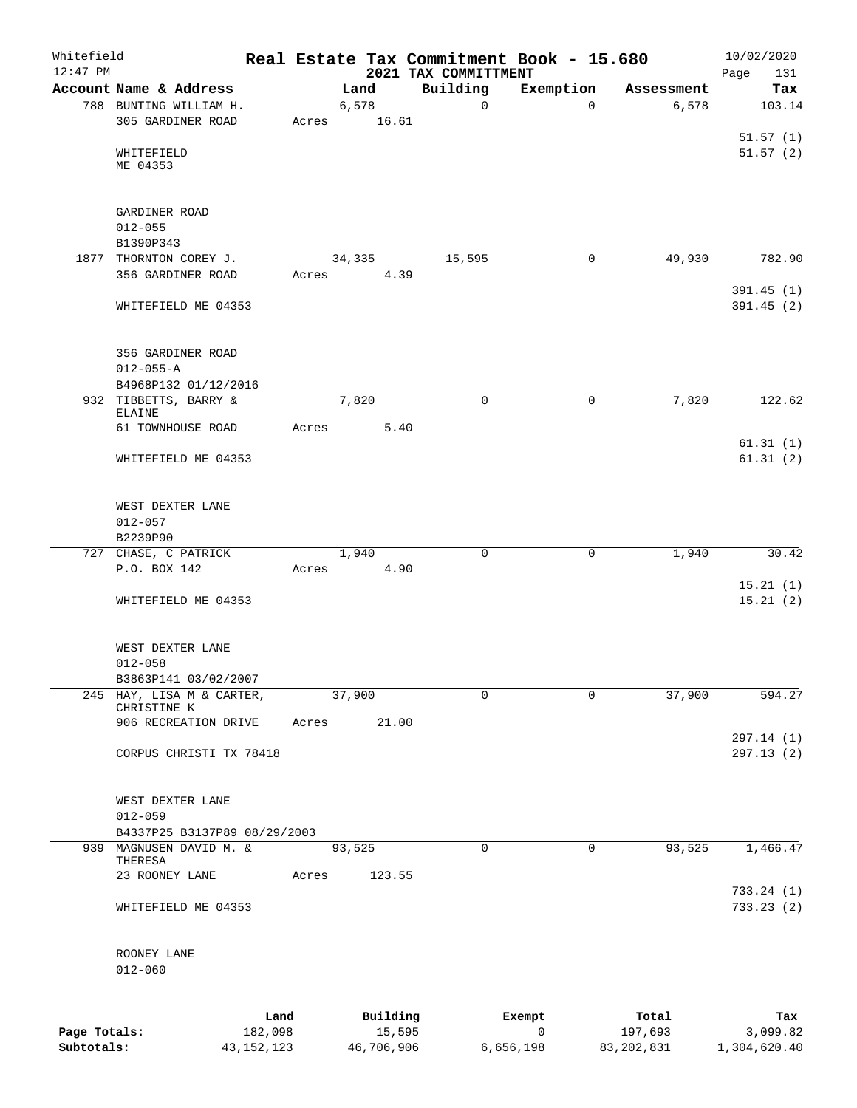| Whitefield<br>$12:47$ PM |                                                         |              |             |            |          | Real Estate Tax Commitment Book - 15.680 |             |              | 10/02/2020           |
|--------------------------|---------------------------------------------------------|--------------|-------------|------------|----------|------------------------------------------|-------------|--------------|----------------------|
|                          | Account Name & Address                                  |              |             | Land       |          | 2021 TAX COMMITTMENT<br>Building         | Exemption   | Assessment   | Page<br>131<br>Tax   |
|                          | 788 BUNTING WILLIAM H.                                  |              |             | 6,578      |          | $\Omega$                                 | $\Omega$    | 6,578        | 103.14               |
|                          | 305 GARDINER ROAD                                       |              | Acres 16.61 |            |          |                                          |             |              |                      |
|                          |                                                         |              |             |            |          |                                          |             |              | 51.57(1)             |
|                          | WHITEFIELD<br>ME 04353                                  |              |             |            |          |                                          |             |              | 51.57(2)             |
|                          |                                                         |              |             |            |          |                                          |             |              |                      |
|                          |                                                         |              |             |            |          |                                          |             |              |                      |
|                          | GARDINER ROAD                                           |              |             |            |          |                                          |             |              |                      |
|                          | $012 - 055$<br>B1390P343                                |              |             |            |          |                                          |             |              |                      |
|                          | 1877 THORNTON COREY J.                                  |              |             | 34,335     |          | 15,595                                   | 0           | 49,930       | 782.90               |
|                          | 356 GARDINER ROAD                                       |              | Acres 4.39  |            |          |                                          |             |              |                      |
|                          |                                                         |              |             |            |          |                                          |             |              | 391.45(1)            |
|                          | WHITEFIELD ME 04353                                     |              |             |            |          |                                          |             |              | 391.45(2)            |
|                          |                                                         |              |             |            |          |                                          |             |              |                      |
|                          | 356 GARDINER ROAD                                       |              |             |            |          |                                          |             |              |                      |
|                          | $012 - 055 - A$                                         |              |             |            |          |                                          |             |              |                      |
|                          | B4968P132 01/12/2016                                    |              |             |            |          |                                          |             |              |                      |
|                          | 932 TIBBETTS, BARRY &<br>ELAINE                         |              |             | 7,820      |          | $\Omega$                                 | $\mathbf 0$ | 7,820        | 122.62               |
|                          | 61 TOWNHOUSE ROAD                                       |              | Acres       |            | 5.40     |                                          |             |              |                      |
|                          |                                                         |              |             |            |          |                                          |             |              | 61.31(1)             |
|                          | WHITEFIELD ME 04353                                     |              |             |            |          |                                          |             |              | 61.31(2)             |
|                          |                                                         |              |             |            |          |                                          |             |              |                      |
|                          | WEST DEXTER LANE                                        |              |             |            |          |                                          |             |              |                      |
|                          | $012 - 057$                                             |              |             |            |          |                                          |             |              |                      |
|                          | B2239P90                                                |              |             |            |          |                                          |             |              |                      |
|                          | 727 CHASE, C PATRICK                                    |              |             | 1,940      |          | $\mathbf 0$                              | 0           | 1,940        | 30.42                |
|                          | P.O. BOX 142                                            |              | Acres       | 4.90       |          |                                          |             |              |                      |
|                          | WHITEFIELD ME 04353                                     |              |             |            |          |                                          |             |              | 15.21(1)<br>15.21(2) |
|                          |                                                         |              |             |            |          |                                          |             |              |                      |
|                          |                                                         |              |             |            |          |                                          |             |              |                      |
|                          | WEST DEXTER LANE                                        |              |             |            |          |                                          |             |              |                      |
|                          | $012 - 058$                                             |              |             |            |          |                                          |             |              |                      |
|                          | B3863P141 03/02/2007<br>245 HAY, LISA M & CARTER,       |              |             | 37,900     |          | 0                                        | 0           | 37,900       | 594.27               |
|                          | CHRISTINE K                                             |              |             |            |          |                                          |             |              |                      |
|                          | 906 RECREATION DRIVE                                    |              | Acres       |            | 21.00    |                                          |             |              |                      |
|                          |                                                         |              |             |            |          |                                          |             |              | 297.14 (1)           |
|                          | CORPUS CHRISTI TX 78418                                 |              |             |            |          |                                          |             |              | 297.13 (2)           |
|                          |                                                         |              |             |            |          |                                          |             |              |                      |
|                          | WEST DEXTER LANE                                        |              |             |            |          |                                          |             |              |                      |
|                          | $012 - 059$                                             |              |             |            |          |                                          |             |              |                      |
|                          | B4337P25 B3137P89 08/29/2003<br>939 MAGNUSEN DAVID M. & |              |             |            |          |                                          |             |              |                      |
|                          | THERESA                                                 |              |             | 93,525     |          | 0                                        | 0           | 93,525       | 1,466.47             |
|                          | 23 ROONEY LANE                                          |              | Acres       |            | 123.55   |                                          |             |              |                      |
|                          |                                                         |              |             |            |          |                                          |             |              | 733.24(1)            |
|                          | WHITEFIELD ME 04353                                     |              |             |            |          |                                          |             |              | 733.23(2)            |
|                          |                                                         |              |             |            |          |                                          |             |              |                      |
|                          | ROONEY LANE                                             |              |             |            |          |                                          |             |              |                      |
|                          | $012 - 060$                                             |              |             |            |          |                                          |             |              |                      |
|                          |                                                         |              |             |            |          |                                          |             |              |                      |
|                          |                                                         | Land         |             |            | Building |                                          | Exempt      | Total        | Tax                  |
| Page Totals:             |                                                         | 182,098      |             |            | 15,595   |                                          | 0           | 197,693      | 3,099.82             |
| Subtotals:               |                                                         | 43, 152, 123 |             | 46,706,906 |          |                                          | 6,656,198   | 83, 202, 831 | 1,304,620.40         |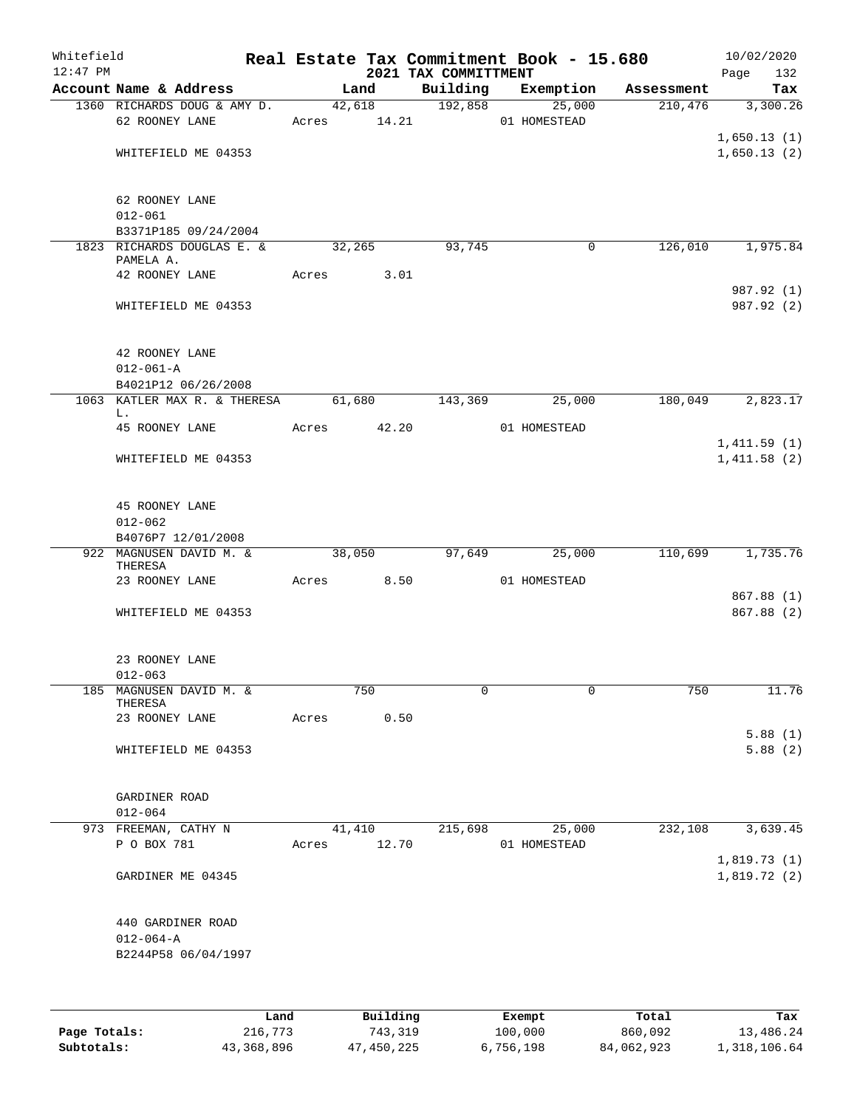| Whitefield<br>$12:47$ PM |                                                             |       |                       | 2021 TAX COMMITTMENT | Real Estate Tax Commitment Book - 15.680 |            | 10/02/2020<br>132<br>Page  |
|--------------------------|-------------------------------------------------------------|-------|-----------------------|----------------------|------------------------------------------|------------|----------------------------|
|                          | Account Name & Address                                      |       | Land                  | Building             | Exemption                                | Assessment | Tax                        |
|                          | 1360 RICHARDS DOUG & AMY D.<br>62 ROONEY LANE               |       | 42,618<br>Acres 14.21 |                      | 192,858<br>25,000<br>01 HOMESTEAD        | 210,476    | 3,300.26                   |
|                          | WHITEFIELD ME 04353                                         |       |                       |                      |                                          |            | 1,650.13(1)<br>1,650.13(2) |
|                          | 62 ROONEY LANE<br>$012 - 061$                               |       |                       |                      |                                          |            |                            |
|                          | B3371P185 09/24/2004                                        |       |                       |                      |                                          |            |                            |
|                          | 1823 RICHARDS DOUGLAS E. &<br>PAMELA A.                     |       | 32,265                | 93,745               | $\mathbf 0$                              | 126,010    | 1,975.84                   |
|                          | 42 ROONEY LANE                                              |       | 3.01<br>Acres         |                      |                                          |            |                            |
|                          | WHITEFIELD ME 04353                                         |       |                       |                      |                                          |            | 987.92 (1)<br>987.92 (2)   |
|                          | 42 ROONEY LANE<br>$012 - 061 - A$                           |       |                       |                      |                                          |            |                            |
|                          | B4021P12 06/26/2008                                         |       |                       |                      |                                          |            |                            |
|                          | 1063 KATLER MAX R. & THERESA                                |       | 61,680                | 143,369              | 25,000                                   | 180,049    | 2,823.17                   |
|                          | L.<br>45 ROONEY LANE                                        |       | Acres 42.20           |                      | 01 HOMESTEAD                             |            |                            |
|                          | WHITEFIELD ME 04353                                         |       |                       |                      |                                          |            | 1,411.59(1)<br>1,411.58(2) |
|                          | 45 ROONEY LANE<br>$012 - 062$                               |       |                       |                      |                                          |            |                            |
|                          | B4076P7 12/01/2008                                          |       |                       |                      |                                          |            |                            |
|                          | 922 MAGNUSEN DAVID M. &<br>THERESA                          |       | 38,050                | 97,649               | 25,000                                   | 110,699    | 1,735.76                   |
|                          | 23 ROONEY LANE                                              |       | Acres 8.50            |                      | 01 HOMESTEAD                             |            |                            |
|                          | WHITEFIELD ME 04353                                         |       |                       |                      |                                          |            | 867.88 (1)<br>867.88 (2)   |
|                          | 23 ROONEY LANE<br>$012 - 063$                               |       |                       |                      |                                          |            |                            |
|                          | 185 MAGNUSEN DAVID M. &                                     |       | 750                   | 0                    | 0                                        | 750        | 11.76                      |
|                          | THERESA<br>23 ROONEY LANE                                   | Acres | 0.50                  |                      |                                          |            |                            |
|                          |                                                             |       |                       |                      |                                          |            | 5.88(1)                    |
|                          | WHITEFIELD ME 04353                                         |       |                       |                      |                                          |            | 5.88(2)                    |
|                          | GARDINER ROAD<br>$012 - 064$                                |       |                       |                      |                                          |            |                            |
|                          | 973 FREEMAN, CATHY N                                        |       | 41,410                | 215,698              | 25,000                                   | 232,108    | 3,639.45                   |
|                          | P O BOX 781                                                 | Acres | 12.70                 |                      | 01 HOMESTEAD                             |            |                            |
|                          | GARDINER ME 04345                                           |       |                       |                      |                                          |            | 1,819.73(1)<br>1,819.72(2) |
|                          | 440 GARDINER ROAD<br>$012 - 064 - A$<br>B2244P58 06/04/1997 |       |                       |                      |                                          |            |                            |
|                          |                                                             |       | P114                  |                      |                                          |            |                            |

|              | Land       | Building   | Exempt    | Total      | Tax          |
|--------------|------------|------------|-----------|------------|--------------|
| Page Totals: | 216,773    | 743.319    | 100,000   | 860,092    | 13,486.24    |
| Subtotals:   | 43,368,896 | 47,450,225 | 6,756,198 | 84,062,923 | 1,318,106.64 |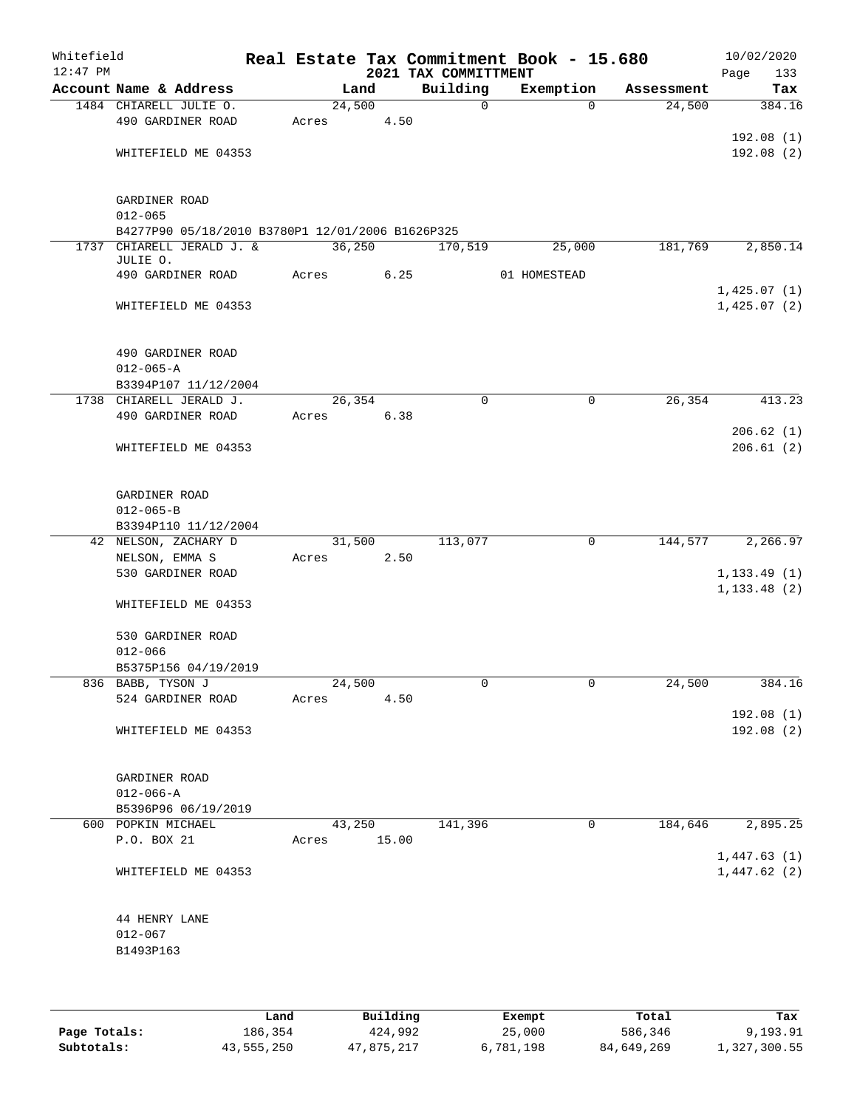| Whitefield<br>$12:47$ PM |                                                  |       |         |       | 2021 TAX COMMITTMENT | Real Estate Tax Commitment Book - 15.680 |            | 10/02/2020<br>Page | 133 |
|--------------------------|--------------------------------------------------|-------|---------|-------|----------------------|------------------------------------------|------------|--------------------|-----|
|                          | Account Name & Address                           |       | Land    |       | Building             | Exemption                                | Assessment |                    | Tax |
|                          | 1484 CHIARELL JULIE O.                           |       | 24,500  |       | $\mathbf 0$          | $\Omega$                                 | 24,500     | 384.16             |     |
|                          | 490 GARDINER ROAD                                | Acres |         | 4.50  |                      |                                          |            |                    |     |
|                          |                                                  |       |         |       |                      |                                          |            | 192.08(1)          |     |
|                          | WHITEFIELD ME 04353                              |       |         |       |                      |                                          |            | 192.08(2)          |     |
|                          |                                                  |       |         |       |                      |                                          |            |                    |     |
|                          |                                                  |       |         |       |                      |                                          |            |                    |     |
|                          | GARDINER ROAD                                    |       |         |       |                      |                                          |            |                    |     |
|                          | $012 - 065$                                      |       |         |       |                      |                                          |            |                    |     |
|                          | B4277P90 05/18/2010 B3780P1 12/01/2006 B1626P325 |       |         |       |                      |                                          |            |                    |     |
|                          | 1737 CHIARELL JERALD J. &                        |       | 36, 250 |       | 170,519              | 25,000                                   | 181,769    | 2,850.14           |     |
|                          | JULIE O.                                         |       |         |       |                      |                                          |            |                    |     |
|                          | 490 GARDINER ROAD                                | Acres |         | 6.25  |                      | 01 HOMESTEAD                             |            |                    |     |
|                          | WHITEFIELD ME 04353                              |       |         |       |                      |                                          |            | 1,425.07(1)        |     |
|                          |                                                  |       |         |       |                      |                                          |            | 1,425.07(2)        |     |
|                          |                                                  |       |         |       |                      |                                          |            |                    |     |
|                          | 490 GARDINER ROAD                                |       |         |       |                      |                                          |            |                    |     |
|                          | $012 - 065 - A$                                  |       |         |       |                      |                                          |            |                    |     |
|                          | B3394P107 11/12/2004                             |       |         |       |                      |                                          |            |                    |     |
|                          | 1738 CHIARELL JERALD J.                          |       | 26,354  |       | $\mathbf 0$          | 0                                        | 26,354     | 413.23             |     |
|                          | 490 GARDINER ROAD                                | Acres |         | 6.38  |                      |                                          |            |                    |     |
|                          |                                                  |       |         |       |                      |                                          |            | 206.62(1)          |     |
|                          | WHITEFIELD ME 04353                              |       |         |       |                      |                                          |            | 206.61(2)          |     |
|                          |                                                  |       |         |       |                      |                                          |            |                    |     |
|                          |                                                  |       |         |       |                      |                                          |            |                    |     |
|                          | GARDINER ROAD                                    |       |         |       |                      |                                          |            |                    |     |
|                          | $012 - 065 - B$                                  |       |         |       |                      |                                          |            |                    |     |
|                          | B3394P110 11/12/2004                             |       |         |       |                      |                                          |            |                    |     |
|                          | 42 NELSON, ZACHARY D                             |       | 31,500  |       | 113,077              | $\mathbf 0$                              | 144,577    | 2,266.97           |     |
|                          | NELSON, EMMA S                                   | Acres |         | 2.50  |                      |                                          |            |                    |     |
|                          | 530 GARDINER ROAD                                |       |         |       |                      |                                          |            | 1, 133.49(1)       |     |
|                          |                                                  |       |         |       |                      |                                          |            | 1, 133.48(2)       |     |
|                          | WHITEFIELD ME 04353                              |       |         |       |                      |                                          |            |                    |     |
|                          |                                                  |       |         |       |                      |                                          |            |                    |     |
|                          | 530 GARDINER ROAD                                |       |         |       |                      |                                          |            |                    |     |
|                          | $012 - 066$                                      |       |         |       |                      |                                          |            |                    |     |
|                          | B5375P156 04/19/2019                             |       |         |       |                      |                                          |            |                    |     |
|                          | 836 BABB, TYSON J                                |       | 24,500  |       | 0                    | 0                                        | 24,500     | 384.16             |     |
|                          | 524 GARDINER ROAD                                | Acres |         | 4.50  |                      |                                          |            |                    |     |
|                          |                                                  |       |         |       |                      |                                          |            | 192.08 (1)         |     |
|                          | WHITEFIELD ME 04353                              |       |         |       |                      |                                          |            | 192.08 (2)         |     |
|                          |                                                  |       |         |       |                      |                                          |            |                    |     |
|                          |                                                  |       |         |       |                      |                                          |            |                    |     |
|                          | GARDINER ROAD<br>$012 - 066 - A$                 |       |         |       |                      |                                          |            |                    |     |
|                          | B5396P96 06/19/2019                              |       |         |       |                      |                                          |            |                    |     |
|                          | 600 POPKIN MICHAEL                               |       | 43,250  |       | 141,396              | $\mathbf 0$                              | 184,646    | 2,895.25           |     |
|                          | P.O. BOX 21                                      | Acres |         | 15.00 |                      |                                          |            |                    |     |
|                          |                                                  |       |         |       |                      |                                          |            | 1,447.63(1)        |     |
|                          | WHITEFIELD ME 04353                              |       |         |       |                      |                                          |            | 1,447.62(2)        |     |
|                          |                                                  |       |         |       |                      |                                          |            |                    |     |
|                          |                                                  |       |         |       |                      |                                          |            |                    |     |
|                          | 44 HENRY LANE                                    |       |         |       |                      |                                          |            |                    |     |
|                          | $012 - 067$                                      |       |         |       |                      |                                          |            |                    |     |
|                          | B1493P163                                        |       |         |       |                      |                                          |            |                    |     |
|                          |                                                  |       |         |       |                      |                                          |            |                    |     |
|                          |                                                  |       |         |       |                      |                                          |            |                    |     |
|                          |                                                  |       |         |       |                      |                                          |            |                    |     |

|              | Land       | Building   | Exempt    | Total      | Tax          |
|--------------|------------|------------|-----------|------------|--------------|
| Page Totals: | 186,354    | 424,992    | 25,000    | 586,346    | 9,193.91     |
| Subtotals:   | 43,555,250 | 47,875,217 | 6,781,198 | 84,649,269 | 1,327,300.55 |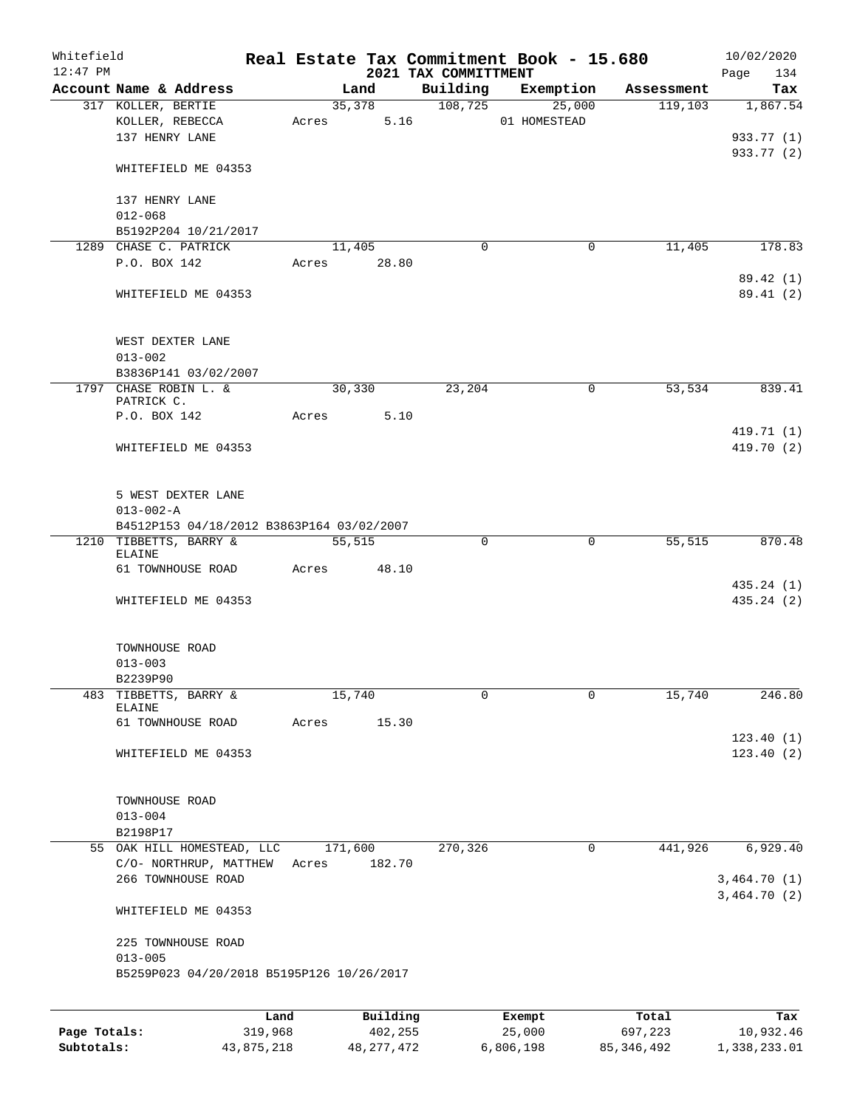| Whitefield<br>$12:47$ PM |                                                          |         |         |          | 2021 TAX COMMITTMENT | Real Estate Tax Commitment Book - 15.680 |            | 10/02/2020<br>134<br>Page |
|--------------------------|----------------------------------------------------------|---------|---------|----------|----------------------|------------------------------------------|------------|---------------------------|
|                          | Account Name & Address                                   |         | Land    |          | Building             | Exemption                                | Assessment | Tax                       |
|                          | 317 KOLLER, BERTIE<br>KOLLER, REBECCA<br>137 HENRY LANE  | Acres   | 35,378  | 5.16     | 108,725              | 25,000<br>01 HOMESTEAD                   | 119, 103   | 1,867.54<br>933.77 (1)    |
|                          | WHITEFIELD ME 04353                                      |         |         |          |                      |                                          |            | 933.77 (2)                |
|                          | 137 HENRY LANE<br>$012 - 068$                            |         |         |          |                      |                                          |            |                           |
|                          | B5192P204 10/21/2017                                     |         |         |          |                      |                                          |            |                           |
|                          | 1289 CHASE C. PATRICK                                    |         | 11,405  |          | 0                    | 0                                        | 11,405     | 178.83                    |
|                          | P.O. BOX 142                                             | Acres   | 28.80   |          |                      |                                          |            |                           |
|                          | WHITEFIELD ME 04353                                      |         |         |          |                      |                                          |            | 89.42 (1)<br>89.41 (2)    |
|                          | WEST DEXTER LANE<br>$013 - 002$                          |         |         |          |                      |                                          |            |                           |
|                          | B3836P141 03/02/2007                                     |         |         |          |                      |                                          |            |                           |
|                          | 1797 CHASE ROBIN L. &<br>PATRICK C.                      |         | 30,330  |          | 23,204               | 0                                        | 53,534     | 839.41                    |
|                          | P.O. BOX 142                                             | Acres   |         | 5.10     |                      |                                          |            |                           |
|                          | WHITEFIELD ME 04353                                      |         |         |          |                      |                                          |            | 419.71 (1)<br>419.70 (2)  |
|                          | 5 WEST DEXTER LANE<br>$013 - 002 - A$                    |         |         |          |                      |                                          |            |                           |
|                          | B4512P153 04/18/2012 B3863P164 03/02/2007                |         |         |          |                      |                                          |            |                           |
|                          | 1210 TIBBETTS, BARRY &                                   |         | 55,515  |          | 0                    | $\mathbf 0$                              | 55,515     | 870.48                    |
|                          | ELAINE<br>61 TOWNHOUSE ROAD                              | Acres   |         | 48.10    |                      |                                          |            |                           |
|                          | WHITEFIELD ME 04353                                      |         |         |          |                      |                                          |            | 435.24 (1)<br>435.24 (2)  |
|                          |                                                          |         |         |          |                      |                                          |            |                           |
|                          | TOWNHOUSE ROAD                                           |         |         |          |                      |                                          |            |                           |
|                          | $013 - 003$<br>B2239P90                                  |         |         |          |                      |                                          |            |                           |
| 483                      | TIBBETTS, BARRY &<br><b>ELAINE</b>                       |         | 15,740  |          | 0                    | 0                                        | 15,740     | 246.80                    |
|                          | 61 TOWNHOUSE ROAD                                        | Acres   |         | 15.30    |                      |                                          |            |                           |
|                          | WHITEFIELD ME 04353                                      |         |         |          |                      |                                          |            | 123.40(1)<br>123.40(2)    |
|                          |                                                          |         |         |          |                      |                                          |            |                           |
|                          | TOWNHOUSE ROAD                                           |         |         |          |                      |                                          |            |                           |
|                          | $013 - 004$                                              |         |         |          |                      |                                          |            |                           |
|                          | B2198P17<br>55 OAK HILL HOMESTEAD, LLC                   |         |         |          |                      |                                          |            | 6,929.40                  |
|                          | C/O- NORTHRUP, MATTHEW                                   | Acres   | 171,600 | 182.70   | 270,326              | 0                                        | 441,926    |                           |
|                          | 266 TOWNHOUSE ROAD                                       |         |         |          |                      |                                          |            | 3,464.70(1)               |
|                          | WHITEFIELD ME 04353                                      |         |         |          |                      |                                          |            | 3,464.70(2)               |
|                          | 225 TOWNHOUSE ROAD                                       |         |         |          |                      |                                          |            |                           |
|                          | $013 - 005$<br>B5259P023 04/20/2018 B5195P126 10/26/2017 |         |         |          |                      |                                          |            |                           |
|                          |                                                          | Land    |         | Building |                      | Exempt                                   | Total      | Tax                       |
| Page Totals:             |                                                          | 319,968 |         | 402,255  |                      | 25,000                                   | 697,223    | 10,932.46                 |

**Subtotals:** 43,875,218 48,277,472 6,806,198 85,346,492 1,338,233.01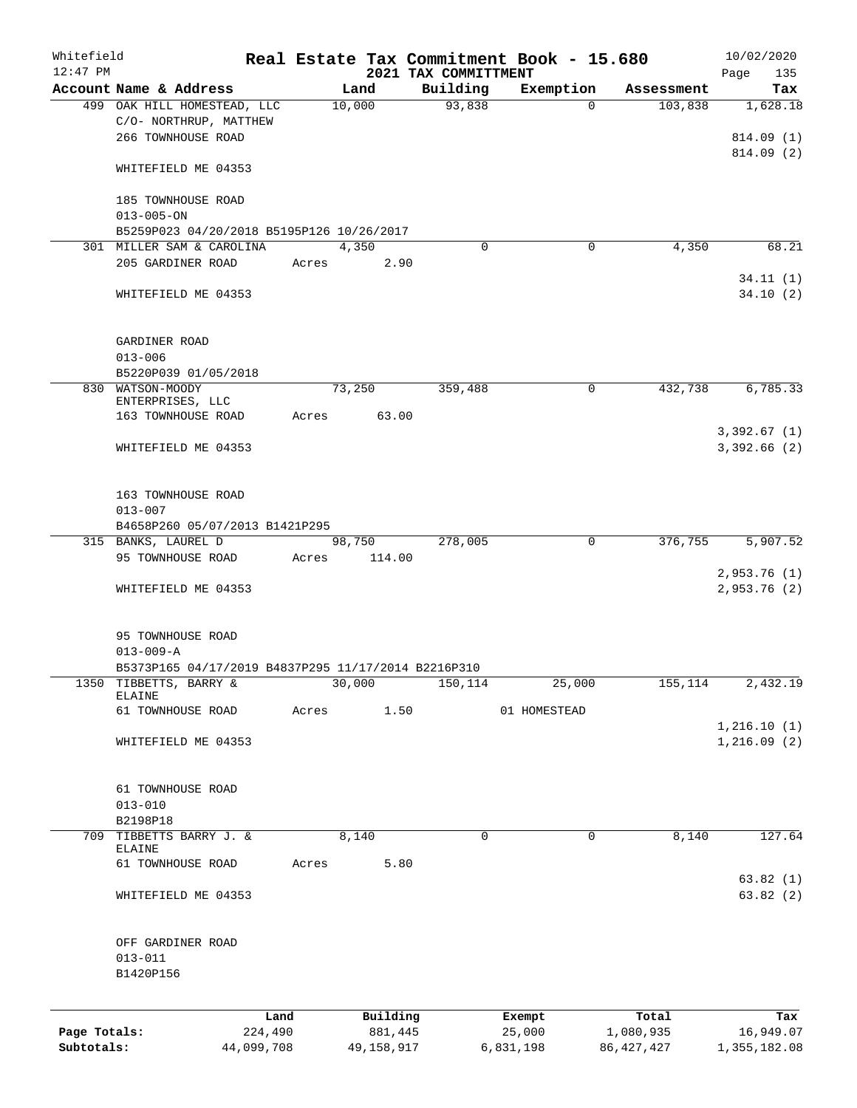| Whitefield<br>$12:47$ PM |                                                                             |       |                  | 2021 TAX COMMITTMENT | Real Estate Tax Commitment Book - 15.680 |              | 10/02/2020<br>Page<br>135   |
|--------------------------|-----------------------------------------------------------------------------|-------|------------------|----------------------|------------------------------------------|--------------|-----------------------------|
|                          | Account Name & Address                                                      |       | Land             | Building             | Exemption                                | Assessment   | Tax                         |
|                          | 499 OAK HILL HOMESTEAD, LLC<br>C/O- NORTHRUP, MATTHEW<br>266 TOWNHOUSE ROAD |       | 10,000           | 93,838               | $\Omega$                                 | 103,838      | 1,628.18<br>814.09 (1)      |
|                          | WHITEFIELD ME 04353                                                         |       |                  |                      |                                          |              | 814.09 (2)                  |
|                          | 185 TOWNHOUSE ROAD<br>$013 - 005 - ON$                                      |       |                  |                      |                                          |              |                             |
|                          | B5259P023 04/20/2018 B5195P126 10/26/2017                                   |       |                  |                      |                                          |              |                             |
|                          | 301 MILLER SAM & CAROLINA                                                   |       | 4,350            | 0                    | $\mathbf 0$                              | 4,350        | 68.21                       |
|                          | 205 GARDINER ROAD                                                           | Acres | 2.90             |                      |                                          |              |                             |
|                          | WHITEFIELD ME 04353                                                         |       |                  |                      |                                          |              | 34.11(1)<br>34.10(2)        |
|                          | GARDINER ROAD<br>$013 - 006$                                                |       |                  |                      |                                          |              |                             |
|                          | B5220P039 01/05/2018                                                        |       |                  |                      |                                          |              |                             |
|                          | 830 WATSON-MOODY<br>ENTERPRISES, LLC                                        |       | 73,250           | 359,488              | 0                                        | 432,738      | 6,785.33                    |
|                          | 163 TOWNHOUSE ROAD                                                          | Acres | 63.00            |                      |                                          |              |                             |
|                          | WHITEFIELD ME 04353                                                         |       |                  |                      |                                          |              | 3,392.67(1)<br>3,392.66 (2) |
|                          | 163 TOWNHOUSE ROAD<br>$013 - 007$                                           |       |                  |                      |                                          |              |                             |
|                          | B4658P260 05/07/2013 B1421P295                                              |       |                  |                      |                                          |              |                             |
|                          | 315 BANKS, LAUREL D<br>95 TOWNHOUSE ROAD                                    | Acres | 98,750<br>114.00 | 278,005              | 0                                        | 376,755      | 5,907.52                    |
|                          | WHITEFIELD ME 04353                                                         |       |                  |                      |                                          |              | 2,953.76(1)<br>2,953.76(2)  |
|                          | 95 TOWNHOUSE ROAD<br>$013 - 009 - A$                                        |       |                  |                      |                                          |              |                             |
|                          | B5373P165 04/17/2019 B4837P295 11/17/2014 B2216P310                         |       |                  |                      |                                          |              |                             |
|                          | 1350 TIBBETTS, BARRY &<br>ELAINE                                            |       | 30,000           | 150, 114             | 25,000                                   | 155,114      | 2,432.19                    |
|                          | 61 TOWNHOUSE ROAD                                                           | Acres | 1.50             |                      | 01 HOMESTEAD                             |              |                             |
|                          | WHITEFIELD ME 04353                                                         |       |                  |                      |                                          |              | 1,216.10(1)<br>1,216.09(2)  |
|                          | 61 TOWNHOUSE ROAD<br>$013 - 010$                                            |       |                  |                      |                                          |              |                             |
|                          | B2198P18                                                                    |       |                  |                      |                                          |              |                             |
| 709                      | TIBBETTS BARRY J. &<br>ELAINE                                               |       | 8,140            | $\mathbf 0$          | $\mathbf 0$                              | 8,140        | 127.64                      |
|                          | 61 TOWNHOUSE ROAD                                                           | Acres | 5.80             |                      |                                          |              |                             |
|                          | WHITEFIELD ME 04353                                                         |       |                  |                      |                                          |              | 63.82(1)<br>63.82(2)        |
|                          | OFF GARDINER ROAD<br>$013 - 011$<br>B1420P156                               |       |                  |                      |                                          |              |                             |
|                          | Land                                                                        |       | Building         |                      | Exempt                                   | Total        | Tax                         |
| Page Totals:             | 224,490                                                                     |       | 881,445          |                      | 25,000                                   | 1,080,935    | 16,949.07                   |
| Subtotals:               | 44,099,708                                                                  |       | 49,158,917       |                      | 6,831,198                                | 86, 427, 427 | 1,355,182.08                |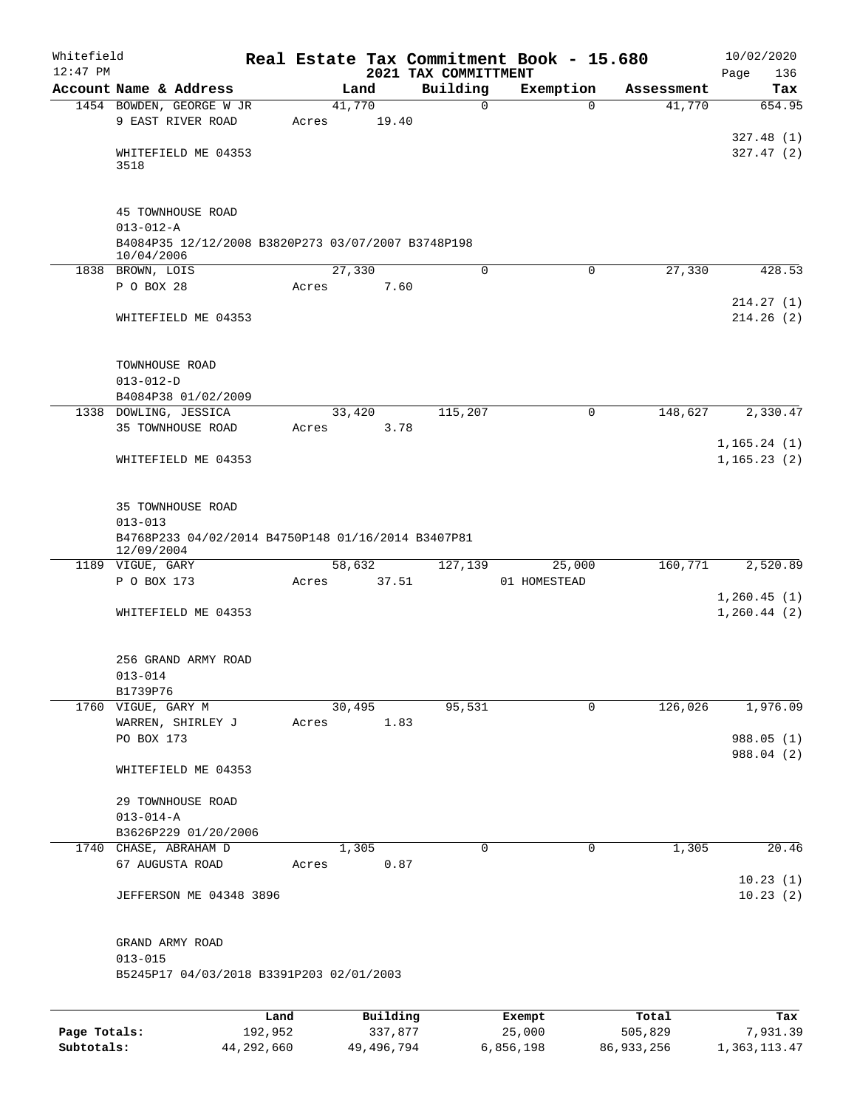| Whitefield<br>$12:47$ PM |                                                    |      |       |          | Real Estate Tax Commitment Book - 15.680<br>2021 TAX COMMITTMENT |             |              |            | 10/02/2020<br>Page<br>136 |
|--------------------------|----------------------------------------------------|------|-------|----------|------------------------------------------------------------------|-------------|--------------|------------|---------------------------|
|                          | Account Name & Address                             |      |       | Land     | Building                                                         |             | Exemption    | Assessment | Tax                       |
|                          | 1454 BOWDEN, GEORGE W JR                           |      |       | 41,770   |                                                                  | $\mathbf 0$ | $\Omega$     | 41,770     | 654.95                    |
|                          | 9 EAST RIVER ROAD                                  |      | Acres | 19.40    |                                                                  |             |              |            |                           |
|                          |                                                    |      |       |          |                                                                  |             |              |            | 327.48(1)                 |
|                          | WHITEFIELD ME 04353                                |      |       |          |                                                                  |             |              |            | 327.47(2)                 |
|                          | 3518                                               |      |       |          |                                                                  |             |              |            |                           |
|                          | 45 TOWNHOUSE ROAD                                  |      |       |          |                                                                  |             |              |            |                           |
|                          | $013 - 012 - A$                                    |      |       |          |                                                                  |             |              |            |                           |
|                          | B4084P35 12/12/2008 B3820P273 03/07/2007 B3748P198 |      |       |          |                                                                  |             |              |            |                           |
|                          | 10/04/2006                                         |      |       |          |                                                                  |             |              |            |                           |
|                          | 1838 BROWN, LOIS                                   |      |       | 27,330   |                                                                  | $\mathbf 0$ | 0            | 27,330     | 428.53                    |
|                          | P O BOX 28                                         |      | Acres | 7.60     |                                                                  |             |              |            |                           |
|                          |                                                    |      |       |          |                                                                  |             |              |            | 214.27(1)                 |
|                          | WHITEFIELD ME 04353                                |      |       |          |                                                                  |             |              |            | 214.26(2)                 |
|                          | TOWNHOUSE ROAD                                     |      |       |          |                                                                  |             |              |            |                           |
|                          | $013 - 012 - D$                                    |      |       |          |                                                                  |             |              |            |                           |
|                          | B4084P38 01/02/2009                                |      |       |          |                                                                  |             |              |            |                           |
|                          | 1338 DOWLING, JESSICA                              |      |       | 33,420   | 115,207                                                          |             | 0            | 148,627    | 2,330.47                  |
|                          | 35 TOWNHOUSE ROAD                                  |      | Acres | 3.78     |                                                                  |             |              |            |                           |
|                          |                                                    |      |       |          |                                                                  |             |              |            | 1,165.24(1)               |
|                          | WHITEFIELD ME 04353                                |      |       |          |                                                                  |             |              |            | 1, 165.23(2)              |
|                          | 35 TOWNHOUSE ROAD                                  |      |       |          |                                                                  |             |              |            |                           |
|                          | $013 - 013$                                        |      |       |          |                                                                  |             |              |            |                           |
|                          | B4768P233 04/02/2014 B4750P148 01/16/2014 B3407P81 |      |       |          |                                                                  |             |              |            |                           |
|                          | 12/09/2004<br>1189 VIGUE, GARY                     |      |       | 58,632   | 127,139                                                          |             | 25,000       | 160,771    | 2,520.89                  |
|                          | P O BOX 173                                        |      | Acres | 37.51    |                                                                  |             | 01 HOMESTEAD |            |                           |
|                          |                                                    |      |       |          |                                                                  |             |              |            | 1, 260.45(1)              |
|                          | WHITEFIELD ME 04353                                |      |       |          |                                                                  |             |              |            | 1, 260.44(2)              |
|                          |                                                    |      |       |          |                                                                  |             |              |            |                           |
|                          | 256 GRAND ARMY ROAD                                |      |       |          |                                                                  |             |              |            |                           |
|                          | $013 - 014$                                        |      |       |          |                                                                  |             |              |            |                           |
|                          | B1739P76<br>1760 VIGUE, GARY M                     |      |       | 30,495   | 95,531                                                           |             | 0            | 126,026    | 1,976.09                  |
|                          | WARREN, SHIRLEY J                                  |      | Acres | 1.83     |                                                                  |             |              |            |                           |
|                          | PO BOX 173                                         |      |       |          |                                                                  |             |              |            | 988.05(1)                 |
|                          |                                                    |      |       |          |                                                                  |             |              |            | 988.04 (2)                |
|                          | WHITEFIELD ME 04353                                |      |       |          |                                                                  |             |              |            |                           |
|                          | 29 TOWNHOUSE ROAD                                  |      |       |          |                                                                  |             |              |            |                           |
|                          | $013 - 014 - A$                                    |      |       |          |                                                                  |             |              |            |                           |
|                          | B3626P229 01/20/2006                               |      |       |          |                                                                  |             |              |            |                           |
|                          | 1740 CHASE, ABRAHAM D                              |      |       | 1,305    |                                                                  | $\mathbf 0$ | 0            | 1,305      | 20.46                     |
|                          | 67 AUGUSTA ROAD                                    |      | Acres | 0.87     |                                                                  |             |              |            |                           |
|                          | <b>JEFFERSON ME 04348 3896</b>                     |      |       |          |                                                                  |             |              |            | 10.23(1)<br>10.23(2)      |
|                          | GRAND ARMY ROAD                                    |      |       |          |                                                                  |             |              |            |                           |
|                          | $013 - 015$                                        |      |       |          |                                                                  |             |              |            |                           |
|                          | B5245P17 04/03/2018 B3391P203 02/01/2003           |      |       |          |                                                                  |             |              |            |                           |
|                          |                                                    |      |       |          |                                                                  |             |              |            |                           |
|                          |                                                    | Land |       | Building |                                                                  | Exempt      |              | Total      | Tax                       |

**Page Totals:** 192,952 337,877 25,000 505,829 7,931.39 **Subtotals:** 44,292,660 49,496,794 6,856,198 86,933,256 1,363,113.47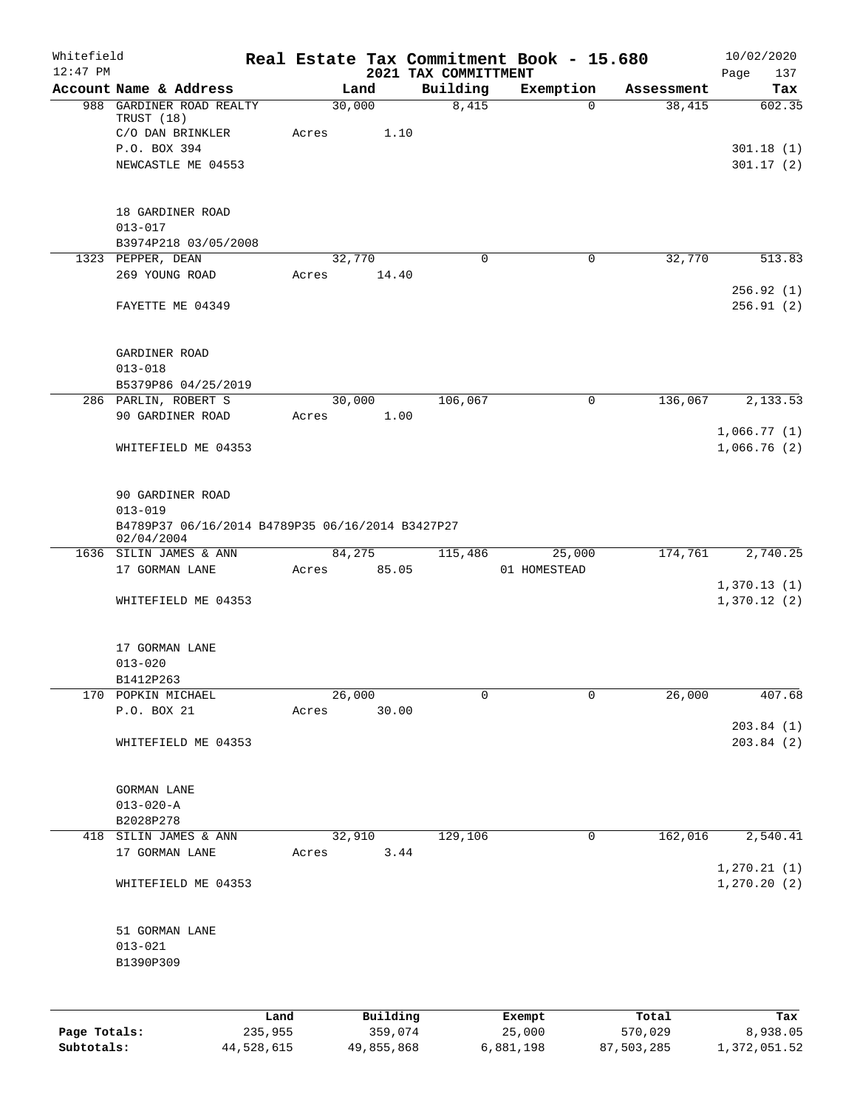| Whitefield<br>$12:47$ PM |                                                                |         |       |          | 2021 TAX COMMITTMENT |                | Real Estate Tax Commitment Book - 15.680 |            | 10/02/2020<br>Page<br>137  |
|--------------------------|----------------------------------------------------------------|---------|-------|----------|----------------------|----------------|------------------------------------------|------------|----------------------------|
|                          | Account Name & Address                                         |         |       | Land     |                      | Building       | Exemption                                | Assessment | Tax                        |
|                          | 988 GARDINER ROAD REALTY                                       |         |       | 30,000   |                      | 8,415          | $\mathbf 0$                              | 38,415     | 602.35                     |
|                          | TRUST (18)                                                     |         |       |          |                      |                |                                          |            |                            |
|                          | C/O DAN BRINKLER                                               |         | Acres | 1.10     |                      |                |                                          |            |                            |
|                          | P.O. BOX 394                                                   |         |       |          |                      |                |                                          |            | 301.18(1)                  |
|                          | NEWCASTLE ME 04553                                             |         |       |          |                      |                |                                          |            | 301.17(2)                  |
|                          | 18 GARDINER ROAD                                               |         |       |          |                      |                |                                          |            |                            |
|                          | $013 - 017$                                                    |         |       |          |                      |                |                                          |            |                            |
|                          | B3974P218 03/05/2008                                           |         |       |          |                      |                |                                          |            |                            |
|                          | 1323 PEPPER, DEAN                                              |         |       | 32,770   |                      | $\Omega$       | 0                                        | 32,770     | 513.83                     |
|                          | 269 YOUNG ROAD                                                 |         | Acres | 14.40    |                      |                |                                          |            | 256.92(1)                  |
|                          | FAYETTE ME 04349                                               |         |       |          |                      |                |                                          |            | 256.91(2)                  |
|                          | GARDINER ROAD                                                  |         |       |          |                      |                |                                          |            |                            |
|                          | $013 - 018$                                                    |         |       |          |                      |                |                                          |            |                            |
|                          | B5379P86 04/25/2019                                            |         |       |          |                      |                |                                          |            |                            |
|                          | 286 PARLIN, ROBERT S                                           |         |       | 30,000   |                      | 106,067        | $\mathsf{O}$                             | 136,067    | 2,133.53                   |
|                          | 90 GARDINER ROAD                                               |         | Acres | 1.00     |                      |                |                                          |            |                            |
|                          |                                                                |         |       |          |                      |                |                                          |            | 1,066.77(1)                |
|                          | WHITEFIELD ME 04353                                            |         |       |          |                      |                |                                          |            | 1,066.76(2)                |
|                          | 90 GARDINER ROAD<br>$013 - 019$                                |         |       |          |                      |                |                                          |            |                            |
|                          | B4789P37 06/16/2014 B4789P35 06/16/2014 B3427P27<br>02/04/2004 |         |       |          |                      |                |                                          |            |                            |
|                          | 1636 SILIN JAMES & ANN                                         |         |       | 84,275   |                      | 115,486        | 25,000                                   | 174,761    | 2,740.25                   |
|                          | 17 GORMAN LANE                                                 |         | Acres | 85.05    |                      |                | 01 HOMESTEAD                             |            |                            |
|                          | WHITEFIELD ME 04353                                            |         |       |          |                      |                |                                          |            | 1,370.13(1)<br>1,370.12(2) |
|                          | 17 GORMAN LANE                                                 |         |       |          |                      |                |                                          |            |                            |
|                          | $013 - 020$                                                    |         |       |          |                      |                |                                          |            |                            |
|                          | B1412P263                                                      |         |       |          |                      |                |                                          |            |                            |
|                          | 170 POPKIN MICHAEL                                             |         |       | 26,000   |                      | $\overline{0}$ | $\mathbf 0$                              | 26,000     | 407.68                     |
|                          | P.O. BOX 21                                                    |         | Acres | 30.00    |                      |                |                                          |            |                            |
|                          | WHITEFIELD ME 04353                                            |         |       |          |                      |                |                                          |            | 203.84(1)<br>203.84 (2)    |
|                          |                                                                |         |       |          |                      |                |                                          |            |                            |
|                          | <b>GORMAN LANE</b>                                             |         |       |          |                      |                |                                          |            |                            |
|                          | $013 - 020 - A$                                                |         |       |          |                      |                |                                          |            |                            |
|                          | B2028P278                                                      |         |       |          |                      |                |                                          |            |                            |
| 418                      | SILIN JAMES & ANN                                              |         |       | 32,910   |                      | 129,106        | 0                                        | 162,016    | 2,540.41                   |
|                          | 17 GORMAN LANE                                                 |         | Acres | 3.44     |                      |                |                                          |            | 1, 270.21(1)               |
|                          | WHITEFIELD ME 04353                                            |         |       |          |                      |                |                                          |            | 1, 270.20(2)               |
|                          | 51 GORMAN LANE                                                 |         |       |          |                      |                |                                          |            |                            |
|                          | $013 - 021$                                                    |         |       |          |                      |                |                                          |            |                            |
|                          | B1390P309                                                      |         |       |          |                      |                |                                          |            |                            |
|                          |                                                                |         |       |          |                      |                |                                          |            |                            |
|                          |                                                                | Land    |       | Building |                      |                | Exempt                                   | Total      | Tax                        |
| Page Totals:             |                                                                | 235,955 |       | 359,074  |                      |                | 25,000                                   | 570,029    | 8,938.05                   |

**Subtotals:** 44,528,615 49,855,868 6,881,198 87,503,285 1,372,051.52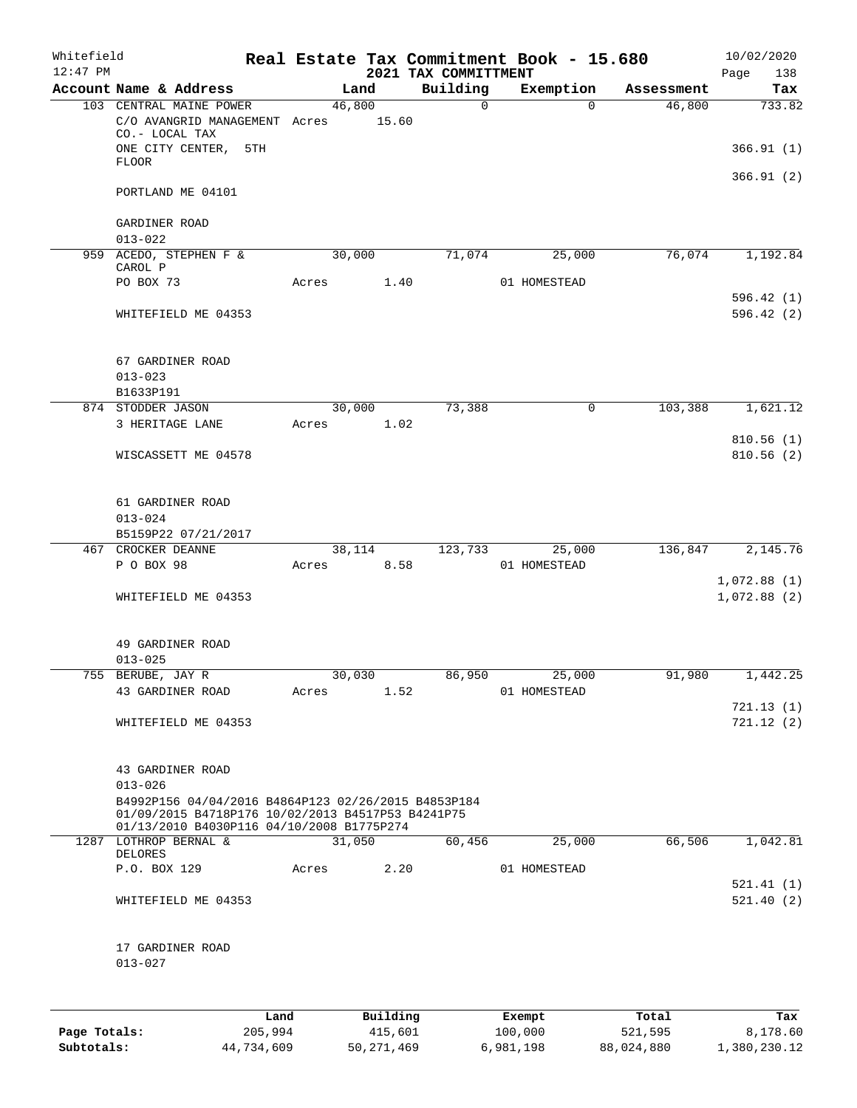| Whitefield<br>$12:47$ PM |                                                                                                                                                                                          |       |        |        | 2021 TAX COMMITTMENT   | Real Estate Tax Commitment Book - 15.680 |            | 10/02/2020<br>Page<br>138  |
|--------------------------|------------------------------------------------------------------------------------------------------------------------------------------------------------------------------------------|-------|--------|--------|------------------------|------------------------------------------|------------|----------------------------|
|                          | Account Name & Address                                                                                                                                                                   |       |        | Land   | Building               | Exemption                                | Assessment | Tax                        |
|                          | 103 CENTRAL MAINE POWER<br>C/O AVANGRID MANAGEMENT Acres<br>CO.- LOCAL TAX                                                                                                               |       | 46,800 | 15.60  | $\Omega$               | $\Omega$                                 | 46,800     | 733.82                     |
|                          | ONE CITY CENTER,<br><b>FLOOR</b>                                                                                                                                                         | 5TH   |        |        |                        |                                          |            | 366.91(1)                  |
|                          | PORTLAND ME 04101                                                                                                                                                                        |       |        |        |                        |                                          |            | 366.91(2)                  |
|                          | GARDINER ROAD<br>$013 - 022$                                                                                                                                                             |       |        |        |                        |                                          |            |                            |
|                          | 959 ACEDO, STEPHEN F &<br>CAROL P                                                                                                                                                        |       | 30,000 |        | 71,074                 | 25,000                                   | 76,074     | 1,192.84                   |
|                          | PO BOX 73                                                                                                                                                                                | Acres |        | 1.40   |                        | 01 HOMESTEAD                             |            |                            |
|                          | WHITEFIELD ME 04353                                                                                                                                                                      |       |        |        |                        |                                          |            | 596.42(1)<br>596.42(2)     |
|                          | 67 GARDINER ROAD<br>$013 - 023$                                                                                                                                                          |       |        |        |                        |                                          |            |                            |
|                          | B1633P191<br>874 STODDER JASON                                                                                                                                                           |       |        | 30,000 | 73,388                 | 0                                        | 103,388    | 1,621.12                   |
|                          | 3 HERITAGE LANE                                                                                                                                                                          | Acres |        | 1.02   |                        |                                          |            |                            |
|                          | WISCASSETT ME 04578                                                                                                                                                                      |       |        |        |                        |                                          |            | 810.56(1)<br>810.56(2)     |
|                          | 61 GARDINER ROAD<br>$013 - 024$<br>B5159P22 07/21/2017                                                                                                                                   |       |        |        |                        |                                          |            |                            |
|                          | 467 CROCKER DEANNE                                                                                                                                                                       |       | 38,114 |        | 123,733                | 25,000                                   | 136,847    | 2,145.76                   |
|                          | P O BOX 98                                                                                                                                                                               | Acres |        | 8.58   |                        | 01 HOMESTEAD                             |            |                            |
|                          | WHITEFIELD ME 04353                                                                                                                                                                      |       |        |        |                        |                                          |            | 1,072.88(1)<br>1,072.88(2) |
|                          | 49 GARDINER ROAD<br>$013 - 025$                                                                                                                                                          |       |        |        |                        |                                          |            |                            |
|                          | 755 BERUBE, JAY R                                                                                                                                                                        |       |        | 30,030 | 86,950                 | 25,000                                   | 91,980     | 1,442.25                   |
|                          | 43 GARDINER ROAD                                                                                                                                                                         | Acres |        | 1.52   |                        | 01 HOMESTEAD                             |            | 721.13(1)                  |
|                          | WHITEFIELD ME 04353                                                                                                                                                                      |       |        |        |                        |                                          |            | 721.12(2)                  |
|                          | 43 GARDINER ROAD<br>$013 - 026$<br>B4992P156 04/04/2016 B4864P123 02/26/2015 B4853P184<br>01/09/2015 B4718P176 10/02/2013 B4517P53 B4241P75<br>01/13/2010 B4030P116 04/10/2008 B1775P274 |       |        |        |                        |                                          |            |                            |
|                          | 1287 LOTHROP BERNAL &                                                                                                                                                                    |       | 31,050 |        | 60,456                 | 25,000                                   | 66,506     | 1,042.81                   |
|                          | DELORES<br>P.O. BOX 129                                                                                                                                                                  |       | Acres  | 2.20   |                        | 01 HOMESTEAD                             |            |                            |
|                          | WHITEFIELD ME 04353                                                                                                                                                                      |       |        |        |                        |                                          |            | 521.41(1)<br>521.40(2)     |
|                          | 17 GARDINER ROAD<br>$013 - 027$                                                                                                                                                          |       |        |        |                        |                                          |            |                            |
|                          |                                                                                                                                                                                          | Land  |        |        | Building <b>Exempt</b> |                                          | Total      | Tax                        |

|              | Land       | Building     | Exempt    | Total      | Tax          |
|--------------|------------|--------------|-----------|------------|--------------|
| Page Totals: | 205,994    | 415,601      | 100,000   | 521,595    | 8,178.60     |
| Subtotals:   | 44,734,609 | 50, 271, 469 | 6,981,198 | 88,024,880 | 1,380,230.12 |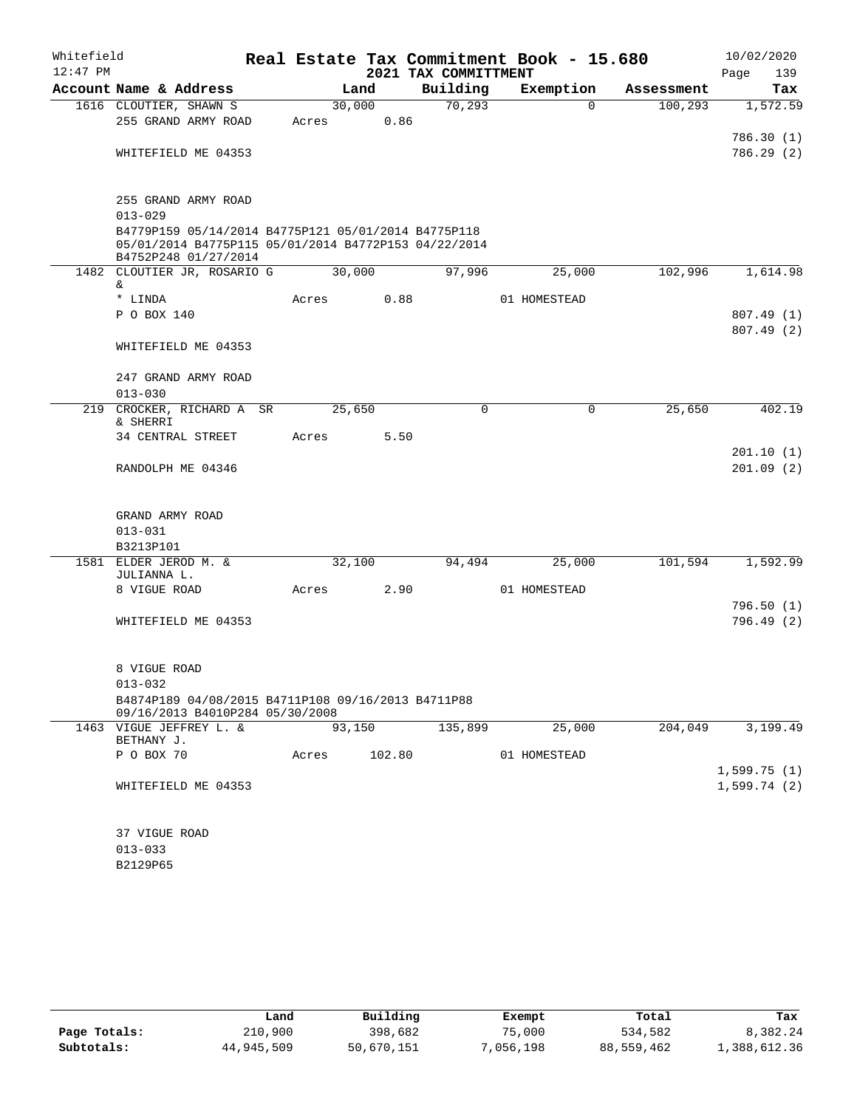| Whitefield |                                                                                                                                     |       |        |        | Real Estate Tax Commitment Book - 15.680 |              |            | 10/02/2020             |
|------------|-------------------------------------------------------------------------------------------------------------------------------------|-------|--------|--------|------------------------------------------|--------------|------------|------------------------|
| $12:47$ PM |                                                                                                                                     |       |        |        | 2021 TAX COMMITTMENT                     |              |            | 139<br>Page            |
|            | Account Name & Address                                                                                                              |       | Land   |        | Building                                 | Exemption    | Assessment | Tax                    |
|            | 1616 CLOUTIER, SHAWN S                                                                                                              |       | 30,000 |        | 70, 293                                  | $\Omega$     | 100, 293   | 1,572.59               |
|            | 255 GRAND ARMY ROAD                                                                                                                 | Acres |        | 0.86   |                                          |              |            |                        |
|            | WHITEFIELD ME 04353                                                                                                                 |       |        |        |                                          |              |            | 786.30(1)<br>786.29(2) |
|            |                                                                                                                                     |       |        |        |                                          |              |            |                        |
|            | 255 GRAND ARMY ROAD                                                                                                                 |       |        |        |                                          |              |            |                        |
|            | $013 - 029$                                                                                                                         |       |        |        |                                          |              |            |                        |
|            | B4779P159 05/14/2014 B4775P121 05/01/2014 B4775P118<br>05/01/2014 B4775P115 05/01/2014 B4772P153 04/22/2014<br>B4752P248 01/27/2014 |       |        |        |                                          |              |            |                        |
|            | 1482 CLOUTIER JR, ROSARIO G                                                                                                         |       | 30,000 |        | 97,996                                   | 25,000       | 102,996    | 1,614.98               |
|            | &.                                                                                                                                  |       |        |        |                                          |              |            |                        |
|            | * LINDA                                                                                                                             | Acres |        | 0.88   |                                          | 01 HOMESTEAD |            |                        |
|            | P O BOX 140                                                                                                                         |       |        |        |                                          |              |            | 807.49(1)              |
|            | WHITEFIELD ME 04353                                                                                                                 |       |        |        |                                          |              |            | 807.49 (2)             |
|            | 247 GRAND ARMY ROAD                                                                                                                 |       |        |        |                                          |              |            |                        |
|            | $013 - 030$                                                                                                                         |       |        |        |                                          |              |            |                        |
|            | 219 CROCKER, RICHARD A SR<br>& SHERRI                                                                                               |       | 25,650 |        | $\Omega$                                 | $\Omega$     | 25,650     | 402.19                 |
|            | 34 CENTRAL STREET                                                                                                                   | Acres |        | 5.50   |                                          |              |            |                        |
|            |                                                                                                                                     |       |        |        |                                          |              |            | 201.10(1)              |
|            | RANDOLPH ME 04346                                                                                                                   |       |        |        |                                          |              |            | 201.09(2)              |
|            | GRAND ARMY ROAD                                                                                                                     |       |        |        |                                          |              |            |                        |
|            | $013 - 031$                                                                                                                         |       |        |        |                                          |              |            |                        |
|            | B3213P101                                                                                                                           |       |        |        |                                          |              |            |                        |
|            | 1581 ELDER JEROD M. &<br>JULIANNA L.                                                                                                |       | 32,100 |        | 94,494                                   | 25,000       | 101,594    | 1,592.99               |
|            | 8 VIGUE ROAD                                                                                                                        | Acres |        | 2.90   |                                          | 01 HOMESTEAD |            |                        |
|            |                                                                                                                                     |       |        |        |                                          |              |            | 796.50(1)              |
|            | WHITEFIELD ME 04353                                                                                                                 |       |        |        |                                          |              |            | 796.49 (2)             |
|            | 8 VIGUE ROAD                                                                                                                        |       |        |        |                                          |              |            |                        |
|            | $013 - 032$                                                                                                                         |       |        |        |                                          |              |            |                        |
|            | B4874P189 04/08/2015 B4711P108 09/16/2013 B4711P88<br>09/16/2013 B4010P284 05/30/2008                                               |       |        |        |                                          |              |            |                        |
|            | 1463 VIGUE JEFFREY L. &                                                                                                             |       | 93,150 |        | 135,899                                  | 25,000       | 204,049    | 3,199.49               |
|            | BETHANY J.<br>P O BOX 70                                                                                                            |       |        | 102.80 |                                          | 01 HOMESTEAD |            |                        |
|            |                                                                                                                                     | Acres |        |        |                                          |              |            | 1,599.75(1)            |
|            | WHITEFIELD ME 04353                                                                                                                 |       |        |        |                                          |              |            | 1,599.74(2)            |
|            |                                                                                                                                     |       |        |        |                                          |              |            |                        |
|            | 37 VIGUE ROAD                                                                                                                       |       |        |        |                                          |              |            |                        |
|            | $013 - 033$                                                                                                                         |       |        |        |                                          |              |            |                        |
|            | B2129P65                                                                                                                            |       |        |        |                                          |              |            |                        |

|              | Land       | Building   | Exempt    | Total      | Tax          |
|--------------|------------|------------|-----------|------------|--------------|
| Page Totals: | 210,900    | 398,682    | 75,000    | 534,582    | 8,382.24     |
| Subtotals:   | 44,945,509 | 50,670,151 | 7,056,198 | 88,559,462 | 1,388,612.36 |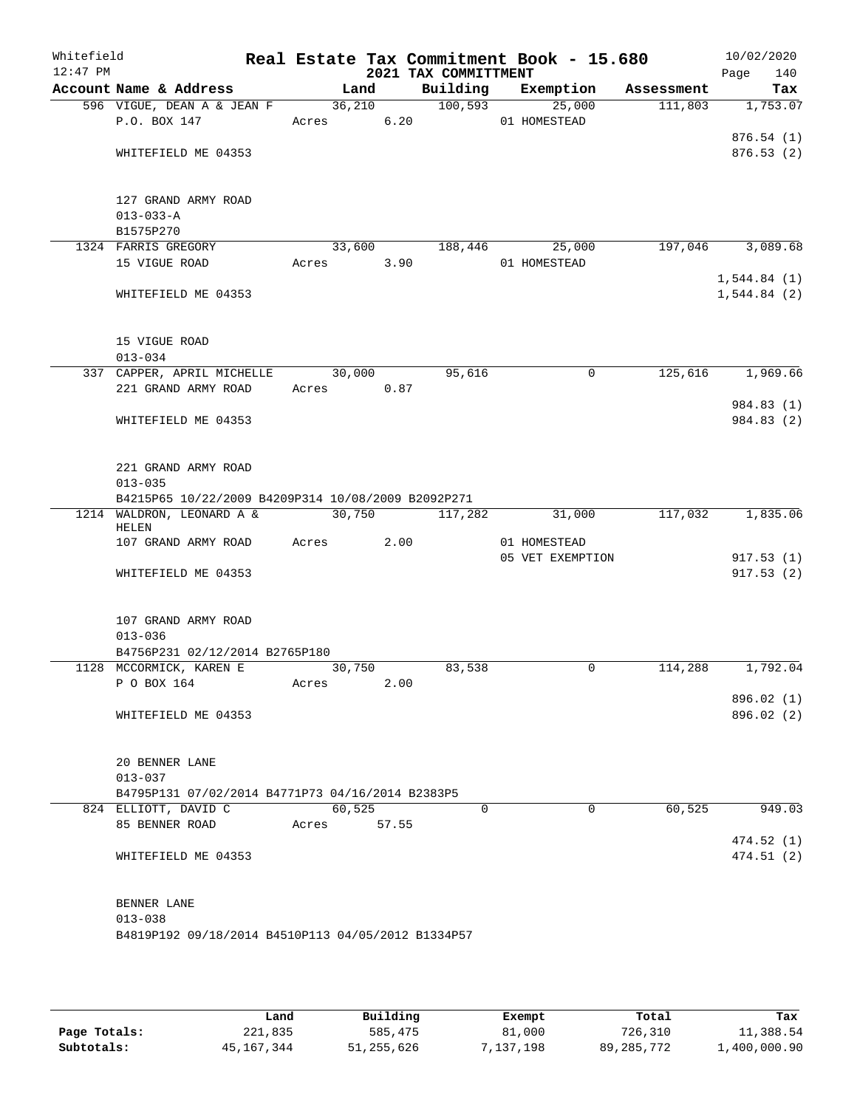| Whitefield<br>$12:47$ PM |                                                    |                       |       | 2021 TAX COMMITTMENT | Real Estate Tax Commitment Book - 15.680 |            | 10/02/2020<br>Page<br>140 |
|--------------------------|----------------------------------------------------|-----------------------|-------|----------------------|------------------------------------------|------------|---------------------------|
|                          | Account Name & Address                             |                       | Land  |                      | Building Exemption                       | Assessment | Tax                       |
|                          | 596 VIGUE, DEAN A & JEAN F                         |                       |       | 36,210 100,593       | 25,000                                   | 111,803    | 1,753.07                  |
|                          | P.O. BOX 147                                       |                       |       |                      | Acres 6.20 01 HOMESTEAD                  |            |                           |
|                          |                                                    |                       |       |                      |                                          |            | 876.54(1)                 |
|                          | WHITEFIELD ME 04353                                |                       |       |                      |                                          |            | 876.53(2)                 |
|                          | 127 GRAND ARMY ROAD                                |                       |       |                      |                                          |            |                           |
|                          | $013 - 033 - A$                                    |                       |       |                      |                                          |            |                           |
|                          | B1575P270                                          |                       |       |                      |                                          |            |                           |
|                          | 1324 FARRIS GREGORY                                |                       |       | 33,600 188,446       | 25,000                                   |            | 197,046 3,089.68          |
|                          | 15 VIGUE ROAD                                      | Acres 3.90            |       |                      | 01 HOMESTEAD                             |            |                           |
|                          |                                                    |                       |       |                      |                                          |            | 1,544.84(1)               |
|                          | WHITEFIELD ME 04353                                |                       |       |                      |                                          |            | 1,544.84(2)               |
|                          | 15 VIGUE ROAD                                      |                       |       |                      |                                          |            |                           |
|                          | $013 - 034$                                        |                       |       |                      |                                          |            |                           |
|                          | 337 CAPPER, APRIL MICHELLE                         | $\overline{30}$ , 000 |       | 95,616               | 0                                        | 125,616    | 1,969.66                  |
|                          | 221 GRAND ARMY ROAD                                | Acres 0.87            |       |                      |                                          |            |                           |
|                          |                                                    |                       |       |                      |                                          |            | 984.83 (1)                |
|                          | WHITEFIELD ME 04353                                |                       |       |                      |                                          |            | 984.83 (2)                |
|                          | 221 GRAND ARMY ROAD                                |                       |       |                      |                                          |            |                           |
|                          | $013 - 035$                                        |                       |       |                      |                                          |            |                           |
|                          | B4215P65 10/22/2009 B4209P314 10/08/2009 B2092P271 |                       |       |                      |                                          |            |                           |
|                          | 1214 WALDRON, LEONARD A &                          |                       |       | 30,750 117,282       | 31,000                                   |            | 117,032 1,835.06          |
|                          | HELEN                                              |                       |       |                      |                                          |            |                           |
|                          | 107 GRAND ARMY ROAD                                | Acres                 | 2.00  |                      | 01 HOMESTEAD                             |            |                           |
|                          | WHITEFIELD ME 04353                                |                       |       |                      | 05 VET EXEMPTION                         |            | 917.53(1)<br>917.53(2)    |
|                          |                                                    |                       |       |                      |                                          |            |                           |
|                          | 107 GRAND ARMY ROAD                                |                       |       |                      |                                          |            |                           |
|                          | $013 - 036$                                        |                       |       |                      |                                          |            |                           |
|                          | B4756P231 02/12/2014 B2765P180                     |                       |       |                      |                                          |            |                           |
|                          | 1128 MCCORMICK, KAREN E 30,750                     |                       |       | 83,538               | 0                                        | 114,288    | 1,792.04                  |
|                          | P O BOX 164                                        | Acres                 | 2.00  |                      |                                          |            |                           |
|                          | WHITEFIELD ME 04353                                |                       |       |                      |                                          |            | 896.02(1)<br>896.02 (2)   |
|                          |                                                    |                       |       |                      |                                          |            |                           |
|                          | 20 BENNER LANE                                     |                       |       |                      |                                          |            |                           |
|                          | $013 - 037$                                        |                       |       |                      |                                          |            |                           |
|                          | B4795P131 07/02/2014 B4771P73 04/16/2014 B2383P5   |                       |       |                      |                                          |            |                           |
|                          | 824 ELLIOTT, DAVID C                               | 60,525                |       | $\Omega$             | $\Omega$                                 | 60, 525    | 949.03                    |
|                          | 85 BENNER ROAD                                     | Acres                 | 57.55 |                      |                                          |            |                           |
|                          | WHITEFIELD ME 04353                                |                       |       |                      |                                          |            | 474.52 (1)<br>474.51(2)   |
|                          |                                                    |                       |       |                      |                                          |            |                           |
|                          | BENNER LANE                                        |                       |       |                      |                                          |            |                           |
|                          | $013 - 038$                                        |                       |       |                      |                                          |            |                           |
|                          | B4819P192 09/18/2014 B4510P113 04/05/2012 B1334P57 |                       |       |                      |                                          |            |                           |
|                          |                                                    |                       |       |                      |                                          |            |                           |

|              | Land       | Building     | Exempt   | Total      | Tax          |
|--------------|------------|--------------|----------|------------|--------------|
| Page Totals: | 221,835    | 585,475      | 81,000   | 726,310    | 11,388.54    |
| Subtotals:   | 45,167,344 | 51, 255, 626 | .137.198 | 89,285,772 | 1,400,000.90 |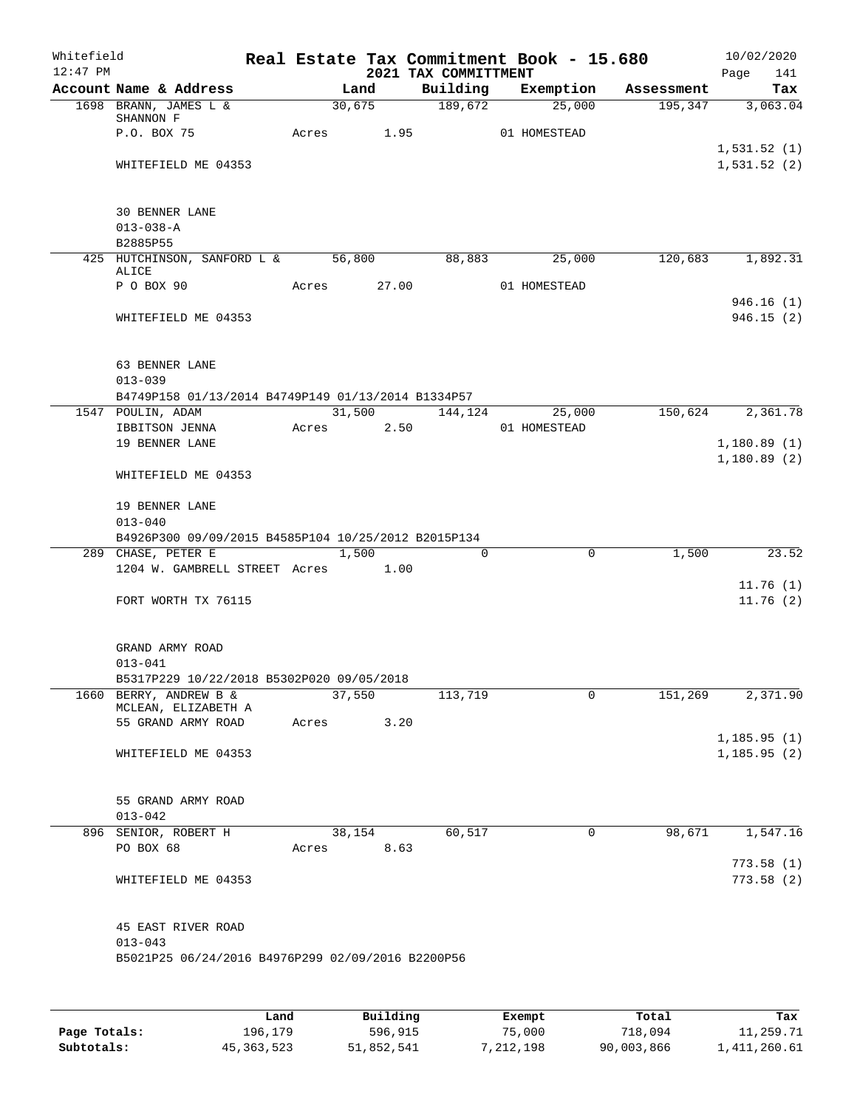| Account Name & Address<br>Building Exemption Assessment<br>Land<br>$30,675$ 189,672<br>195, 347 3, 063.04<br>$\frac{25,000}{ }$<br>1698 BRANN, JAMES L &<br>SHANNON F<br>P.O. BOX 75<br>Acres 1.95 01 HOMESTEAD<br>1,531.52(1)<br>WHITEFIELD ME 04353<br><b>30 BENNER LANE</b><br>$013 - 038 - A$<br>B2885P55<br>425 HUTCHINSON, SANFORD L & 56,800<br>88,883<br>25,000<br>120,683 1,892.31<br>ALICE<br>P O BOX 90<br>Acres 27.00 01 HOMESTEAD<br>946.16(1)<br>WHITEFIELD ME 04353<br>63 BENNER LANE<br>$013 - 039$<br>B4749P158 01/13/2014 B4749P149 01/13/2014 B1334P57<br>$31,500$ $144,124$ $25,000$<br>150,624 2,361.78<br>1547 POULIN, ADAM<br>Acres 2.50 01 HOMESTEAD<br>IBBITSON JENNA<br>19 BENNER LANE<br>1,180.89(2)<br>WHITEFIELD ME 04353<br>19 BENNER LANE<br>$013 - 040$<br>B4926P300 09/09/2015 B4585P104 10/25/2012 B2015P134<br>$\overline{0}$<br>289 CHASE, PETER E 1,500<br>$\Omega$<br>1,500<br>1204 W. GAMBRELL STREET Acres 1.00<br>11.76(1)<br>FORT WORTH TX 76115<br>GRAND ARMY ROAD<br>$013 - 041$<br>B5317P229 10/22/2018 B5302P020 09/05/2018<br>37,550<br>151,269<br>2,371.90<br>1660 BERRY, ANDREW B &<br>113,719<br>0<br>MCLEAN, ELIZABETH A<br>3.20<br>55 GRAND ARMY ROAD<br>Acres<br>1,185.95(1)<br>1, 185.95(2)<br>WHITEFIELD ME 04353<br>55 GRAND ARMY ROAD<br>$013 - 042$<br>60,517<br>98,671<br>896 SENIOR, ROBERT H<br>38,154<br>0<br>PO BOX 68<br>8.63<br>Acres<br>WHITEFIELD ME 04353 | Whitefield<br>$12:47$ PM |  |  | 2021 TAX COMMITTMENT |  | Real Estate Tax Commitment Book - 15.680 | 10/02/2020<br>Page<br>141 |
|-------------------------------------------------------------------------------------------------------------------------------------------------------------------------------------------------------------------------------------------------------------------------------------------------------------------------------------------------------------------------------------------------------------------------------------------------------------------------------------------------------------------------------------------------------------------------------------------------------------------------------------------------------------------------------------------------------------------------------------------------------------------------------------------------------------------------------------------------------------------------------------------------------------------------------------------------------------------------------------------------------------------------------------------------------------------------------------------------------------------------------------------------------------------------------------------------------------------------------------------------------------------------------------------------------------------------------------------------------------------------------------------------------------------------------|--------------------------|--|--|----------------------|--|------------------------------------------|---------------------------|
|                                                                                                                                                                                                                                                                                                                                                                                                                                                                                                                                                                                                                                                                                                                                                                                                                                                                                                                                                                                                                                                                                                                                                                                                                                                                                                                                                                                                                               |                          |  |  |                      |  |                                          | Tax                       |
|                                                                                                                                                                                                                                                                                                                                                                                                                                                                                                                                                                                                                                                                                                                                                                                                                                                                                                                                                                                                                                                                                                                                                                                                                                                                                                                                                                                                                               |                          |  |  |                      |  |                                          |                           |
|                                                                                                                                                                                                                                                                                                                                                                                                                                                                                                                                                                                                                                                                                                                                                                                                                                                                                                                                                                                                                                                                                                                                                                                                                                                                                                                                                                                                                               |                          |  |  |                      |  |                                          |                           |
|                                                                                                                                                                                                                                                                                                                                                                                                                                                                                                                                                                                                                                                                                                                                                                                                                                                                                                                                                                                                                                                                                                                                                                                                                                                                                                                                                                                                                               |                          |  |  |                      |  |                                          | 1,531.52(2)               |
|                                                                                                                                                                                                                                                                                                                                                                                                                                                                                                                                                                                                                                                                                                                                                                                                                                                                                                                                                                                                                                                                                                                                                                                                                                                                                                                                                                                                                               |                          |  |  |                      |  |                                          |                           |
|                                                                                                                                                                                                                                                                                                                                                                                                                                                                                                                                                                                                                                                                                                                                                                                                                                                                                                                                                                                                                                                                                                                                                                                                                                                                                                                                                                                                                               |                          |  |  |                      |  |                                          |                           |
|                                                                                                                                                                                                                                                                                                                                                                                                                                                                                                                                                                                                                                                                                                                                                                                                                                                                                                                                                                                                                                                                                                                                                                                                                                                                                                                                                                                                                               |                          |  |  |                      |  |                                          |                           |
|                                                                                                                                                                                                                                                                                                                                                                                                                                                                                                                                                                                                                                                                                                                                                                                                                                                                                                                                                                                                                                                                                                                                                                                                                                                                                                                                                                                                                               |                          |  |  |                      |  |                                          |                           |
|                                                                                                                                                                                                                                                                                                                                                                                                                                                                                                                                                                                                                                                                                                                                                                                                                                                                                                                                                                                                                                                                                                                                                                                                                                                                                                                                                                                                                               |                          |  |  |                      |  |                                          | 946.15(2)                 |
|                                                                                                                                                                                                                                                                                                                                                                                                                                                                                                                                                                                                                                                                                                                                                                                                                                                                                                                                                                                                                                                                                                                                                                                                                                                                                                                                                                                                                               |                          |  |  |                      |  |                                          |                           |
|                                                                                                                                                                                                                                                                                                                                                                                                                                                                                                                                                                                                                                                                                                                                                                                                                                                                                                                                                                                                                                                                                                                                                                                                                                                                                                                                                                                                                               |                          |  |  |                      |  |                                          |                           |
|                                                                                                                                                                                                                                                                                                                                                                                                                                                                                                                                                                                                                                                                                                                                                                                                                                                                                                                                                                                                                                                                                                                                                                                                                                                                                                                                                                                                                               |                          |  |  |                      |  |                                          |                           |
|                                                                                                                                                                                                                                                                                                                                                                                                                                                                                                                                                                                                                                                                                                                                                                                                                                                                                                                                                                                                                                                                                                                                                                                                                                                                                                                                                                                                                               |                          |  |  |                      |  |                                          |                           |
|                                                                                                                                                                                                                                                                                                                                                                                                                                                                                                                                                                                                                                                                                                                                                                                                                                                                                                                                                                                                                                                                                                                                                                                                                                                                                                                                                                                                                               |                          |  |  |                      |  |                                          | 1,180.89(1)               |
|                                                                                                                                                                                                                                                                                                                                                                                                                                                                                                                                                                                                                                                                                                                                                                                                                                                                                                                                                                                                                                                                                                                                                                                                                                                                                                                                                                                                                               |                          |  |  |                      |  |                                          |                           |
|                                                                                                                                                                                                                                                                                                                                                                                                                                                                                                                                                                                                                                                                                                                                                                                                                                                                                                                                                                                                                                                                                                                                                                                                                                                                                                                                                                                                                               |                          |  |  |                      |  |                                          |                           |
|                                                                                                                                                                                                                                                                                                                                                                                                                                                                                                                                                                                                                                                                                                                                                                                                                                                                                                                                                                                                                                                                                                                                                                                                                                                                                                                                                                                                                               |                          |  |  |                      |  |                                          |                           |
|                                                                                                                                                                                                                                                                                                                                                                                                                                                                                                                                                                                                                                                                                                                                                                                                                                                                                                                                                                                                                                                                                                                                                                                                                                                                                                                                                                                                                               |                          |  |  |                      |  |                                          | 23.52                     |
|                                                                                                                                                                                                                                                                                                                                                                                                                                                                                                                                                                                                                                                                                                                                                                                                                                                                                                                                                                                                                                                                                                                                                                                                                                                                                                                                                                                                                               |                          |  |  |                      |  |                                          |                           |
|                                                                                                                                                                                                                                                                                                                                                                                                                                                                                                                                                                                                                                                                                                                                                                                                                                                                                                                                                                                                                                                                                                                                                                                                                                                                                                                                                                                                                               |                          |  |  |                      |  |                                          | 11.76(2)                  |
|                                                                                                                                                                                                                                                                                                                                                                                                                                                                                                                                                                                                                                                                                                                                                                                                                                                                                                                                                                                                                                                                                                                                                                                                                                                                                                                                                                                                                               |                          |  |  |                      |  |                                          |                           |
|                                                                                                                                                                                                                                                                                                                                                                                                                                                                                                                                                                                                                                                                                                                                                                                                                                                                                                                                                                                                                                                                                                                                                                                                                                                                                                                                                                                                                               |                          |  |  |                      |  |                                          |                           |
|                                                                                                                                                                                                                                                                                                                                                                                                                                                                                                                                                                                                                                                                                                                                                                                                                                                                                                                                                                                                                                                                                                                                                                                                                                                                                                                                                                                                                               |                          |  |  |                      |  |                                          |                           |
|                                                                                                                                                                                                                                                                                                                                                                                                                                                                                                                                                                                                                                                                                                                                                                                                                                                                                                                                                                                                                                                                                                                                                                                                                                                                                                                                                                                                                               |                          |  |  |                      |  |                                          |                           |
|                                                                                                                                                                                                                                                                                                                                                                                                                                                                                                                                                                                                                                                                                                                                                                                                                                                                                                                                                                                                                                                                                                                                                                                                                                                                                                                                                                                                                               |                          |  |  |                      |  |                                          |                           |
|                                                                                                                                                                                                                                                                                                                                                                                                                                                                                                                                                                                                                                                                                                                                                                                                                                                                                                                                                                                                                                                                                                                                                                                                                                                                                                                                                                                                                               |                          |  |  |                      |  |                                          |                           |
|                                                                                                                                                                                                                                                                                                                                                                                                                                                                                                                                                                                                                                                                                                                                                                                                                                                                                                                                                                                                                                                                                                                                                                                                                                                                                                                                                                                                                               |                          |  |  |                      |  |                                          |                           |
|                                                                                                                                                                                                                                                                                                                                                                                                                                                                                                                                                                                                                                                                                                                                                                                                                                                                                                                                                                                                                                                                                                                                                                                                                                                                                                                                                                                                                               |                          |  |  |                      |  |                                          |                           |
|                                                                                                                                                                                                                                                                                                                                                                                                                                                                                                                                                                                                                                                                                                                                                                                                                                                                                                                                                                                                                                                                                                                                                                                                                                                                                                                                                                                                                               |                          |  |  |                      |  |                                          | 1,547.16                  |
|                                                                                                                                                                                                                                                                                                                                                                                                                                                                                                                                                                                                                                                                                                                                                                                                                                                                                                                                                                                                                                                                                                                                                                                                                                                                                                                                                                                                                               |                          |  |  |                      |  |                                          |                           |
|                                                                                                                                                                                                                                                                                                                                                                                                                                                                                                                                                                                                                                                                                                                                                                                                                                                                                                                                                                                                                                                                                                                                                                                                                                                                                                                                                                                                                               |                          |  |  |                      |  |                                          | 773.58(1)<br>773.58(2)    |
| 45 EAST RIVER ROAD                                                                                                                                                                                                                                                                                                                                                                                                                                                                                                                                                                                                                                                                                                                                                                                                                                                                                                                                                                                                                                                                                                                                                                                                                                                                                                                                                                                                            |                          |  |  |                      |  |                                          |                           |
| $013 - 043$                                                                                                                                                                                                                                                                                                                                                                                                                                                                                                                                                                                                                                                                                                                                                                                                                                                                                                                                                                                                                                                                                                                                                                                                                                                                                                                                                                                                                   |                          |  |  |                      |  |                                          |                           |
| B5021P25 06/24/2016 B4976P299 02/09/2016 B2200P56                                                                                                                                                                                                                                                                                                                                                                                                                                                                                                                                                                                                                                                                                                                                                                                                                                                                                                                                                                                                                                                                                                                                                                                                                                                                                                                                                                             |                          |  |  |                      |  |                                          |                           |
|                                                                                                                                                                                                                                                                                                                                                                                                                                                                                                                                                                                                                                                                                                                                                                                                                                                                                                                                                                                                                                                                                                                                                                                                                                                                                                                                                                                                                               |                          |  |  |                      |  |                                          |                           |

|              | Land         | Building   | Exempt    | Total      | Tax          |
|--------------|--------------|------------|-----------|------------|--------------|
| Page Totals: | 196,179      | 596,915    | 75,000    | 718,094    | 11,259.71    |
| Subtotals:   | 45, 363, 523 | 51,852,541 | 7,212,198 | 90,003,866 | 1,411,260.61 |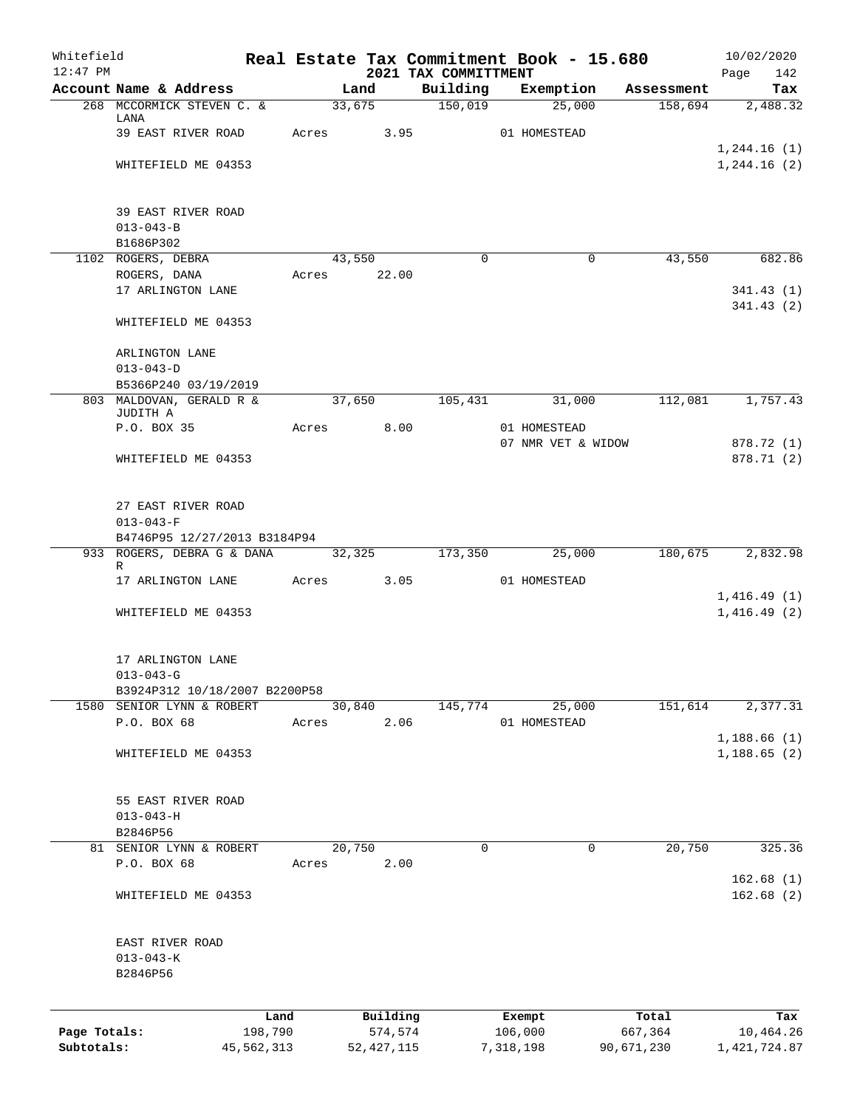| Whitefield   |                                        |              |       |              |      |                                  |           | Real Estate Tax Commitment Book - 15.680 |            | 10/02/2020                 |            |
|--------------|----------------------------------------|--------------|-------|--------------|------|----------------------------------|-----------|------------------------------------------|------------|----------------------------|------------|
| $12:47$ PM   | Account Name & Address                 |              |       | Land         |      | 2021 TAX COMMITTMENT<br>Building |           | Exemption                                | Assessment | Page                       | 142<br>Tax |
|              | 268 MCCORMICK STEVEN C. &              |              |       | 33,675       |      | 150,019                          |           | 25,000                                   | 158,694    |                            | 2,488.32   |
|              | LANA                                   |              |       |              |      |                                  |           |                                          |            |                            |            |
|              | 39 EAST RIVER ROAD                     |              | Acres |              | 3.95 |                                  |           | 01 HOMESTEAD                             |            | 1,244.16(1)                |            |
|              | WHITEFIELD ME 04353                    |              |       |              |      |                                  |           |                                          |            | 1, 244.16 (2)              |            |
|              |                                        |              |       |              |      |                                  |           |                                          |            |                            |            |
|              | 39 EAST RIVER ROAD                     |              |       |              |      |                                  |           |                                          |            |                            |            |
|              | $013 - 043 - B$                        |              |       |              |      |                                  |           |                                          |            |                            |            |
|              | B1686P302                              |              |       |              |      |                                  |           |                                          |            |                            |            |
|              | 1102 ROGERS, DEBRA                     |              |       | 43,550       |      | $\Omega$                         |           | $\Omega$                                 | 43,550     |                            | 682.86     |
|              | ROGERS, DANA                           |              |       | Acres 22.00  |      |                                  |           |                                          |            |                            |            |
|              | 17 ARLINGTON LANE                      |              |       |              |      |                                  |           |                                          |            | 341.43(1)<br>341.43(2)     |            |
|              | WHITEFIELD ME 04353                    |              |       |              |      |                                  |           |                                          |            |                            |            |
|              |                                        |              |       |              |      |                                  |           |                                          |            |                            |            |
|              | ARLINGTON LANE                         |              |       |              |      |                                  |           |                                          |            |                            |            |
|              | $013 - 043 - D$                        |              |       |              |      |                                  |           |                                          |            |                            |            |
|              | B5366P240 03/19/2019                   |              |       |              |      |                                  |           |                                          |            |                            |            |
|              | 803 MALDOVAN, GERALD R &<br>JUDITH A   |              |       | 37,650       |      | 105,431                          |           | 31,000                                   | 112,081    |                            | 1,757.43   |
|              | P.O. BOX 35                            |              | Acres |              | 8.00 |                                  |           | 01 HOMESTEAD                             |            |                            |            |
|              |                                        |              |       |              |      |                                  |           | 07 NMR VET & WIDOW                       |            | 878.72 (1)                 |            |
|              | WHITEFIELD ME 04353                    |              |       |              |      |                                  |           |                                          |            | 878.71 (2)                 |            |
|              |                                        |              |       |              |      |                                  |           |                                          |            |                            |            |
|              | 27 EAST RIVER ROAD                     |              |       |              |      |                                  |           |                                          |            |                            |            |
|              | $013 - 043 - F$                        |              |       |              |      |                                  |           |                                          |            |                            |            |
|              | B4746P95 12/27/2013 B3184P94           |              |       |              |      |                                  |           |                                          |            |                            |            |
|              | 933 ROGERS, DEBRA G & DANA 32,325<br>R |              |       |              |      | 173,350                          |           | 25,000                                   | 180,675    |                            | 2,832.98   |
|              | 17 ARLINGTON LANE                      |              |       | Acres 3.05   |      |                                  |           | 01 HOMESTEAD                             |            |                            |            |
|              |                                        |              |       |              |      |                                  |           |                                          |            | 1,416.49(1)                |            |
|              | WHITEFIELD ME 04353                    |              |       |              |      |                                  |           |                                          |            | 1,416.49(2)                |            |
|              | 17 ARLINGTON LANE                      |              |       |              |      |                                  |           |                                          |            |                            |            |
|              | $013 - 043 - G$                        |              |       |              |      |                                  |           |                                          |            |                            |            |
|              | B3924P312 10/18/2007 B2200P58          |              |       |              |      |                                  |           |                                          |            |                            |            |
|              | 1580 SENIOR LYNN & ROBERT              |              |       | 30,840       |      | 145,774                          |           | 25,000                                   | 151,614    |                            | 2,377.31   |
|              | P.O. BOX 68                            |              | Acres |              | 2.06 |                                  |           | 01 HOMESTEAD                             |            |                            |            |
|              | WHITEFIELD ME 04353                    |              |       |              |      |                                  |           |                                          |            | 1,188.66(1)<br>1,188.65(2) |            |
|              |                                        |              |       |              |      |                                  |           |                                          |            |                            |            |
|              |                                        |              |       |              |      |                                  |           |                                          |            |                            |            |
|              | 55 EAST RIVER ROAD<br>$013 - 043 - H$  |              |       |              |      |                                  |           |                                          |            |                            |            |
|              | B2846P56                               |              |       |              |      |                                  |           |                                          |            |                            |            |
|              | 81 SENIOR LYNN & ROBERT                |              |       | 20,750       |      | 0                                |           | 0                                        | 20,750     |                            | 325.36     |
|              | P.O. BOX 68                            |              | Acres |              | 2.00 |                                  |           |                                          |            |                            |            |
|              |                                        |              |       |              |      |                                  |           |                                          |            | 162.68(1)                  |            |
|              | WHITEFIELD ME 04353                    |              |       |              |      |                                  |           |                                          |            | 162.68(2)                  |            |
|              |                                        |              |       |              |      |                                  |           |                                          |            |                            |            |
|              | EAST RIVER ROAD                        |              |       |              |      |                                  |           |                                          |            |                            |            |
|              | $013 - 043 - K$<br>B2846P56            |              |       |              |      |                                  |           |                                          |            |                            |            |
|              |                                        |              |       |              |      |                                  |           |                                          |            |                            |            |
|              |                                        | Land         |       | Building     |      |                                  |           | Exempt                                   | Total      |                            | Tax        |
| Page Totals: |                                        | 198,790      |       | 574,574      |      |                                  | 106,000   |                                          | 667,364    | 10,464.26                  |            |
| Subtotals:   |                                        | 45, 562, 313 |       | 52, 427, 115 |      |                                  | 7,318,198 |                                          | 90,671,230 | 1, 421, 724.87             |            |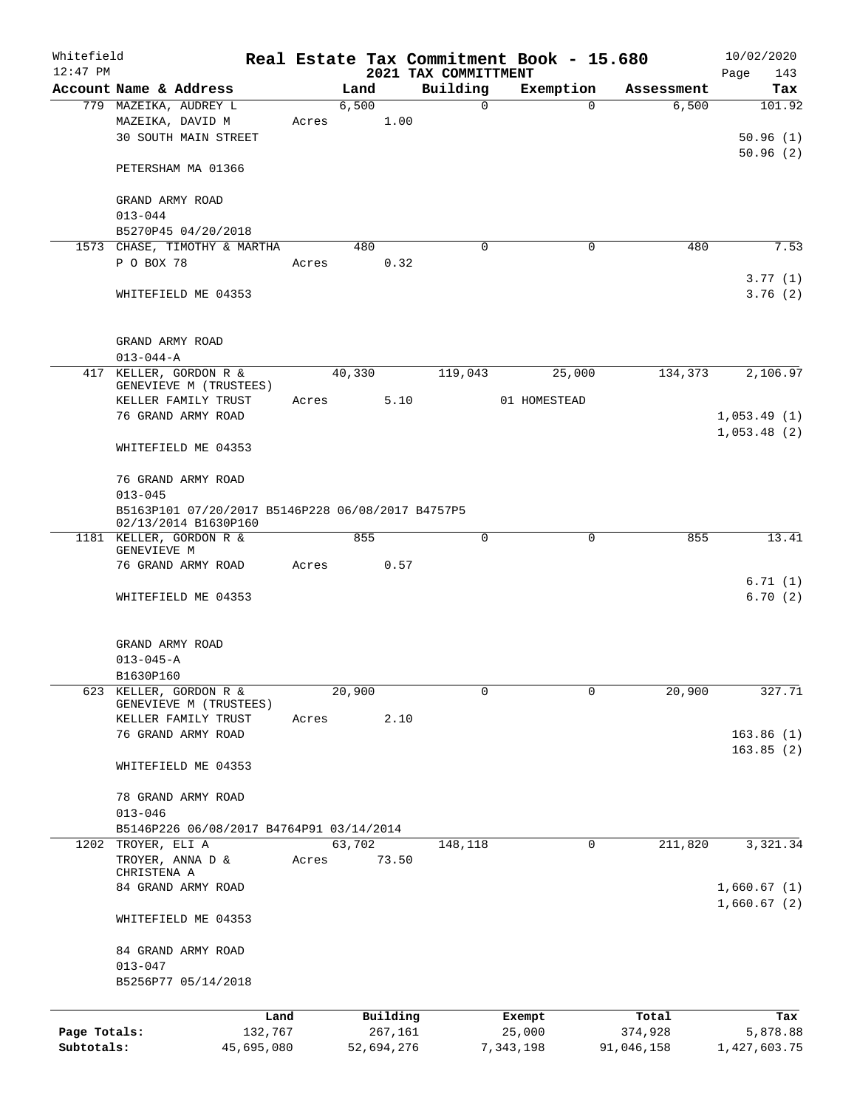| Whitefield   |                                                                           |            |       |            |          |                                  | Real Estate Tax Commitment Book - 15.680 |            | 10/02/2020         |
|--------------|---------------------------------------------------------------------------|------------|-------|------------|----------|----------------------------------|------------------------------------------|------------|--------------------|
| $12:47$ PM   | Account Name & Address                                                    |            |       | Land       |          | 2021 TAX COMMITTMENT<br>Building | Exemption                                | Assessment | Page<br>143<br>Tax |
|              | 779 MAZEIKA, AUDREY L                                                     |            |       | 6,500      |          | $\mathsf{O}$                     | $\Omega$                                 | 6,500      | 101.92             |
|              | MAZEIKA, DAVID M                                                          |            | Acres |            | 1.00     |                                  |                                          |            |                    |
|              | <b>30 SOUTH MAIN STREET</b>                                               |            |       |            |          |                                  |                                          |            | 50.96(1)           |
|              |                                                                           |            |       |            |          |                                  |                                          |            | 50.96(2)           |
|              | PETERSHAM MA 01366                                                        |            |       |            |          |                                  |                                          |            |                    |
|              | GRAND ARMY ROAD                                                           |            |       |            |          |                                  |                                          |            |                    |
|              | $013 - 044$                                                               |            |       |            |          |                                  |                                          |            |                    |
|              | B5270P45 04/20/2018                                                       |            |       |            |          |                                  |                                          |            |                    |
|              | 1573 CHASE, TIMOTHY & MARTHA                                              |            |       | 480        |          | $\Omega$                         | $\Omega$                                 | 480        | 7.53               |
|              | P O BOX 78                                                                |            | Acres |            | 0.32     |                                  |                                          |            |                    |
|              |                                                                           |            |       |            |          |                                  |                                          |            | 3.77(1)            |
|              | WHITEFIELD ME 04353                                                       |            |       |            |          |                                  |                                          |            | 3.76(2)            |
|              | GRAND ARMY ROAD                                                           |            |       |            |          |                                  |                                          |            |                    |
|              | $013 - 044 - A$                                                           |            |       |            |          |                                  |                                          |            |                    |
|              | 417 KELLER, GORDON R &                                                    |            |       | 40,330     |          | 119,043                          | 25,000                                   | 134,373    | 2,106.97           |
|              | GENEVIEVE M (TRUSTEES)                                                    |            |       |            |          |                                  |                                          |            |                    |
|              | KELLER FAMILY TRUST                                                       |            | Acres |            | 5.10     |                                  | 01 HOMESTEAD                             |            |                    |
|              | 76 GRAND ARMY ROAD                                                        |            |       |            |          |                                  |                                          |            | 1,053.49(1)        |
|              | WHITEFIELD ME 04353                                                       |            |       |            |          |                                  |                                          |            | 1,053.48(2)        |
|              |                                                                           |            |       |            |          |                                  |                                          |            |                    |
|              | 76 GRAND ARMY ROAD                                                        |            |       |            |          |                                  |                                          |            |                    |
|              | $013 - 045$                                                               |            |       |            |          |                                  |                                          |            |                    |
|              | B5163P101 07/20/2017 B5146P228 06/08/2017 B4757P5<br>02/13/2014 B1630P160 |            |       |            |          |                                  |                                          |            |                    |
|              | 1181 KELLER, GORDON R &<br>GENEVIEVE M                                    |            |       | 855        |          | 0                                | $\mathbf 0$                              | 855        | 13.41              |
|              | 76 GRAND ARMY ROAD                                                        |            | Acres |            | 0.57     |                                  |                                          |            |                    |
|              |                                                                           |            |       |            |          |                                  |                                          |            | 6.71(1)            |
|              | WHITEFIELD ME 04353                                                       |            |       |            |          |                                  |                                          |            | 6.70(2)            |
|              |                                                                           |            |       |            |          |                                  |                                          |            |                    |
|              | GRAND ARMY ROAD                                                           |            |       |            |          |                                  |                                          |            |                    |
|              | $013 - 045 - A$                                                           |            |       |            |          |                                  |                                          |            |                    |
|              | B1630P160                                                                 |            |       |            |          |                                  |                                          |            |                    |
| 623          | KELLER, GORDON R &<br>GENEVIEVE M (TRUSTEES)                              |            |       | 20,900     |          | 0                                | 0                                        | 20,900     | 327.71             |
|              | KELLER FAMILY TRUST                                                       |            | Acres |            | 2.10     |                                  |                                          |            |                    |
|              | 76 GRAND ARMY ROAD                                                        |            |       |            |          |                                  |                                          |            | 163.86(1)          |
|              |                                                                           |            |       |            |          |                                  |                                          |            | 163.85(2)          |
|              | WHITEFIELD ME 04353                                                       |            |       |            |          |                                  |                                          |            |                    |
|              | 78 GRAND ARMY ROAD                                                        |            |       |            |          |                                  |                                          |            |                    |
|              | $013 - 046$                                                               |            |       |            |          |                                  |                                          |            |                    |
| 1202         | B5146P226 06/08/2017 B4764P91 03/14/2014<br>TROYER, ELI A                 |            |       | 63,702     |          | 148,118                          | 0                                        | 211,820    | 3,321.34           |
|              | TROYER, ANNA D &                                                          |            | Acres |            | 73.50    |                                  |                                          |            |                    |
|              | CHRISTENA A                                                               |            |       |            |          |                                  |                                          |            |                    |
|              | 84 GRAND ARMY ROAD                                                        |            |       |            |          |                                  |                                          |            | 1,660.67(1)        |
|              |                                                                           |            |       |            |          |                                  |                                          |            | 1,660.67(2)        |
|              | WHITEFIELD ME 04353                                                       |            |       |            |          |                                  |                                          |            |                    |
|              | 84 GRAND ARMY ROAD                                                        |            |       |            |          |                                  |                                          |            |                    |
|              | $013 - 047$                                                               |            |       |            |          |                                  |                                          |            |                    |
|              | B5256P77 05/14/2018                                                       |            |       |            |          |                                  |                                          |            |                    |
|              |                                                                           | Land       |       |            | Building |                                  | Exempt                                   | Total      | Tax                |
| Page Totals: |                                                                           | 132,767    |       |            | 267,161  |                                  | 25,000                                   | 374,928    | 5,878.88           |
| Subtotals:   |                                                                           | 45,695,080 |       | 52,694,276 |          |                                  | 7,343,198                                | 91,046,158 | 1,427,603.75       |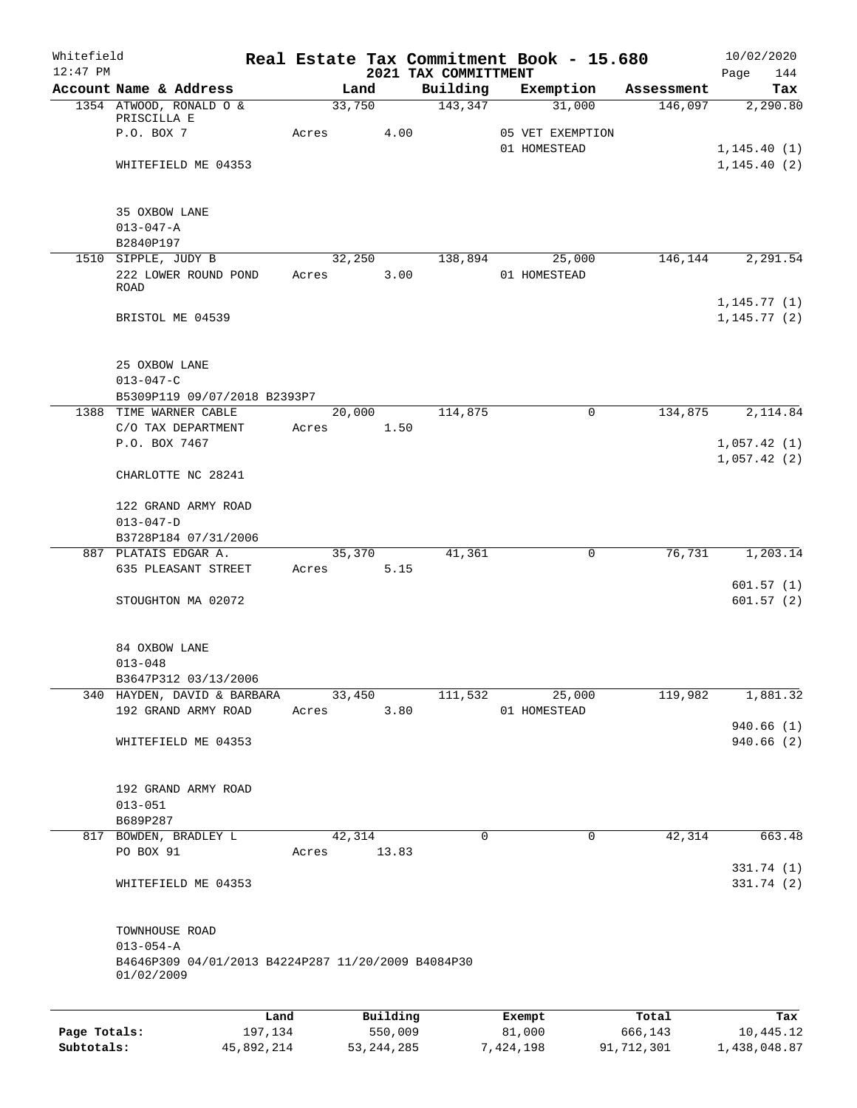| Whitefield<br>$12:47$ PM |                                                                  |       |          | 2021 TAX COMMITTMENT | Real Estate Tax Commitment Book - 15.680 |            | 10/02/2020<br>Page<br>144 |
|--------------------------|------------------------------------------------------------------|-------|----------|----------------------|------------------------------------------|------------|---------------------------|
|                          | Account Name & Address                                           |       | Land     | Building             | Exemption                                | Assessment | Tax                       |
|                          | 1354 ATWOOD, RONALD O &                                          |       | 33,750   | 143,347              | 31,000                                   | 146,097    | 2,290.80                  |
|                          | PRISCILLA E                                                      |       |          |                      |                                          |            |                           |
|                          | P.O. BOX 7                                                       | Acres |          | 4.00                 | 05 VET EXEMPTION                         |            |                           |
|                          |                                                                  |       |          |                      | 01 HOMESTEAD                             |            | 1, 145.40(1)              |
|                          | WHITEFIELD ME 04353                                              |       |          |                      |                                          |            | 1, 145.40(2)              |
|                          | 35 OXBOW LANE                                                    |       |          |                      |                                          |            |                           |
|                          | $013 - 047 - A$                                                  |       |          |                      |                                          |            |                           |
|                          | B2840P197                                                        |       |          |                      |                                          |            |                           |
|                          | 1510 SIPPLE, JUDY B                                              |       | 32,250   | 138,894              | 25,000                                   | 146,144    | 2,291.54                  |
|                          | 222 LOWER ROUND POND                                             | Acres |          | 3.00                 | 01 HOMESTEAD                             |            |                           |
|                          | ROAD                                                             |       |          |                      |                                          |            |                           |
|                          |                                                                  |       |          |                      |                                          |            | 1,145.77(1)               |
|                          | BRISTOL ME 04539                                                 |       |          |                      |                                          |            | 1, 145.77(2)              |
|                          | 25 OXBOW LANE                                                    |       |          |                      |                                          |            |                           |
|                          | $013 - 047 - C$                                                  |       |          |                      |                                          |            |                           |
|                          | B5309P119 09/07/2018 B2393P7                                     |       |          |                      |                                          |            |                           |
|                          | 1388 TIME WARNER CABLE                                           |       | 20,000   | 114,875              | $\mathbf 0$                              | 134,875    | 2,114.84                  |
|                          | C/O TAX DEPARTMENT                                               | Acres |          | 1.50                 |                                          |            |                           |
|                          | P.O. BOX 7467                                                    |       |          |                      |                                          |            | 1,057.42(1)               |
|                          | CHARLOTTE NC 28241                                               |       |          |                      |                                          |            | 1,057.42(2)               |
|                          | 122 GRAND ARMY ROAD                                              |       |          |                      |                                          |            |                           |
|                          | $013 - 047 - D$                                                  |       |          |                      |                                          |            |                           |
|                          | B3728P184 07/31/2006                                             |       |          |                      |                                          |            |                           |
|                          | 887 PLATAIS EDGAR A.                                             |       | 35,370   | 41,361               | 0                                        | 76,731     | 1,203.14                  |
|                          | 635 PLEASANT STREET                                              | Acres |          | 5.15                 |                                          |            |                           |
|                          |                                                                  |       |          |                      |                                          |            | 601.57(1)                 |
|                          | STOUGHTON MA 02072                                               |       |          |                      |                                          |            | 601.57(2)                 |
|                          | 84 OXBOW LANE                                                    |       |          |                      |                                          |            |                           |
|                          | $013 - 048$                                                      |       |          |                      |                                          |            |                           |
|                          | B3647P312 03/13/2006                                             |       |          |                      |                                          |            |                           |
|                          | 340 HAYDEN, DAVID & BARBARA                                      |       | 33,450   | 111,532              | 25,000                                   | 119,982    | 1,881.32                  |
|                          | 192 GRAND ARMY ROAD                                              | Acres |          | 3.80                 | 01 HOMESTEAD                             |            |                           |
|                          |                                                                  |       |          |                      |                                          |            | 940.66(1)                 |
|                          | WHITEFIELD ME 04353                                              |       |          |                      |                                          |            | 940.66(2)                 |
|                          | 192 GRAND ARMY ROAD                                              |       |          |                      |                                          |            |                           |
|                          | $013 - 051$                                                      |       |          |                      |                                          |            |                           |
|                          | B689P287                                                         |       |          |                      |                                          |            |                           |
|                          | 817 BOWDEN, BRADLEY L                                            |       | 42,314   | 0                    | $\mathbf 0$                              | 42,314     | 663.48                    |
|                          | PO BOX 91                                                        | Acres | 13.83    |                      |                                          |            |                           |
|                          | WHITEFIELD ME 04353                                              |       |          |                      |                                          |            | 331.74 (1)<br>331.74 (2)  |
|                          |                                                                  |       |          |                      |                                          |            |                           |
|                          | TOWNHOUSE ROAD                                                   |       |          |                      |                                          |            |                           |
|                          | $013 - 054 - A$                                                  |       |          |                      |                                          |            |                           |
|                          | B4646P309 04/01/2013 B4224P287 11/20/2009 B4084P30<br>01/02/2009 |       |          |                      |                                          |            |                           |
|                          |                                                                  |       |          |                      |                                          |            |                           |
|                          |                                                                  | Land  | Building |                      | Exempt                                   | Total      | Tax                       |
| Page Totals:             | 197,134                                                          |       | 550,009  |                      | 81,000                                   | 666,143    | 10,445.12                 |

**Subtotals:** 45,892,214 53,244,285 7,424,198 91,712,301 1,438,048.87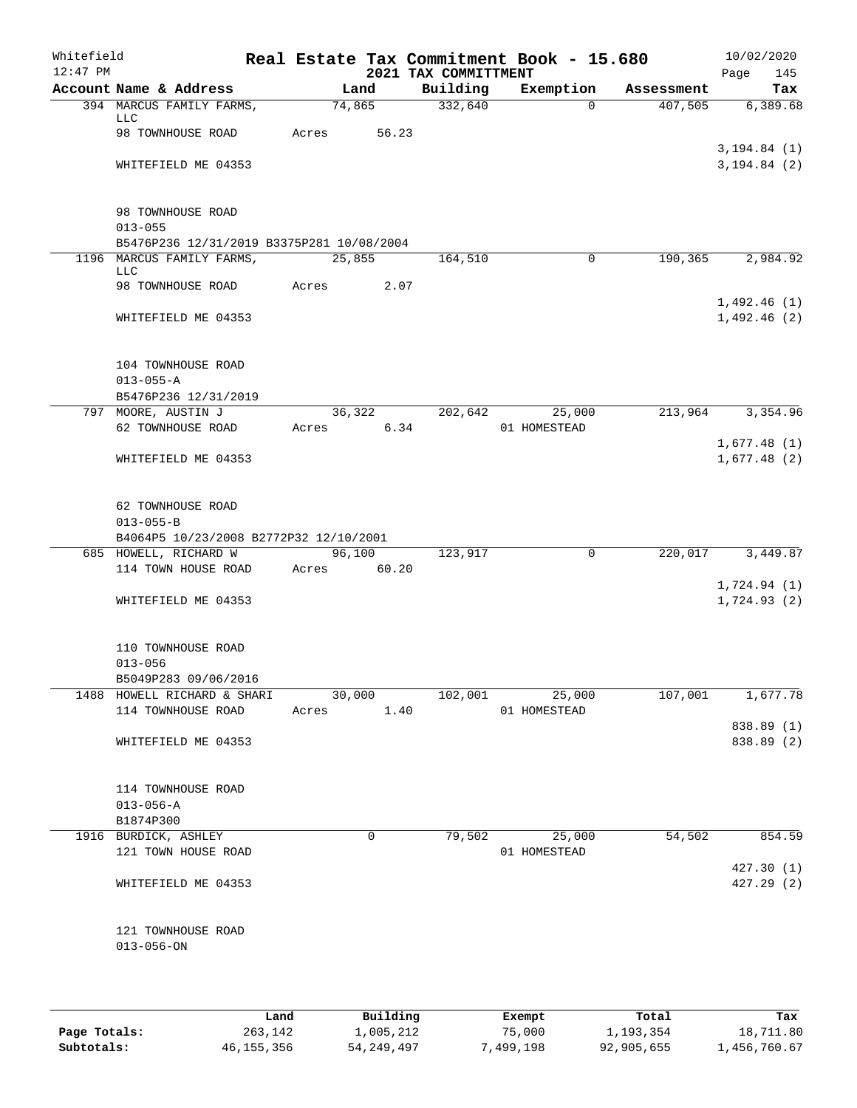| Whitefield<br>$12:47$ PM |                                              |       |                       |       | 2021 TAX COMMITTMENT | Real Estate Tax Commitment Book - 15.680 |            | 10/02/2020<br>Page<br>145     |
|--------------------------|----------------------------------------------|-------|-----------------------|-------|----------------------|------------------------------------------|------------|-------------------------------|
|                          | Account Name & Address                       |       | Land                  |       | Building             | Exemption                                | Assessment | Tax                           |
|                          | 394 MARCUS FAMILY FARMS,<br>LLC              |       | 74,865                |       | 332,640              | $\Omega$                                 | 407,505    | 6,389.68                      |
|                          | 98 TOWNHOUSE ROAD                            | Acres |                       | 56.23 |                      |                                          |            |                               |
|                          | WHITEFIELD ME 04353                          |       |                       |       |                      |                                          |            | 3, 194.84(1)<br>3, 194.84 (2) |
|                          | 98 TOWNHOUSE ROAD<br>$013 - 055$             |       |                       |       |                      |                                          |            |                               |
|                          | B5476P236 12/31/2019 B3375P281 10/08/2004    |       |                       |       |                      |                                          |            |                               |
|                          | 1196 MARCUS FAMILY FARMS,<br>LLC             |       | 25,855                |       | 164,510              | 0                                        | 190,365    | 2,984.92                      |
|                          | 98 TOWNHOUSE ROAD                            | Acres |                       | 2.07  |                      |                                          |            | 1,492.46(1)                   |
|                          | WHITEFIELD ME 04353                          |       |                       |       |                      |                                          |            | 1,492.46(2)                   |
|                          | 104 TOWNHOUSE ROAD                           |       |                       |       |                      |                                          |            |                               |
|                          | $013 - 055 - A$<br>B5476P236 12/31/2019      |       |                       |       |                      |                                          |            |                               |
|                          | 797 MOORE, AUSTIN J                          |       | 36,322                |       | 202,642              | 25,000                                   | 213,964    | 3,354.96                      |
|                          | 62 TOWNHOUSE ROAD                            | Acres |                       | 6.34  |                      | 01 HOMESTEAD                             |            | 1,677.48(1)                   |
|                          | WHITEFIELD ME 04353                          |       |                       |       |                      |                                          |            | 1,677.48(2)                   |
|                          | 62 TOWNHOUSE ROAD<br>$013 - 055 - B$         |       |                       |       |                      |                                          |            |                               |
|                          | B4064P5 10/23/2008 B2772P32 12/10/2001       |       |                       |       |                      |                                          |            |                               |
|                          | 685 HOWELL, RICHARD W<br>114 TOWN HOUSE ROAD |       | 96,100<br>Acres 60.20 |       | 123,917              | $\mathbf 0$                              | 220,017    | 3,449.87                      |
|                          |                                              |       |                       |       |                      |                                          |            | 1,724.94(1)                   |
|                          | WHITEFIELD ME 04353                          |       |                       |       |                      |                                          |            | 1,724.93(2)                   |
|                          | 110 TOWNHOUSE ROAD<br>$013 - 056$            |       |                       |       |                      |                                          |            |                               |
|                          | B5049P283 09/06/2016                         |       |                       |       |                      |                                          |            |                               |
|                          | 1488 HOWELL RICHARD & SHARI                  |       | 30,000                |       |                      | 102,001 25,000                           | 107,001    | 1,677.78                      |
|                          | 114 TOWNHOUSE ROAD                           |       | Acres 1.40            |       |                      | 01 HOMESTEAD                             |            |                               |
|                          | WHITEFIELD ME 04353                          |       |                       |       |                      |                                          |            | 838.89 (1)<br>838.89 (2)      |
|                          |                                              |       |                       |       |                      |                                          |            |                               |
|                          | 114 TOWNHOUSE ROAD                           |       |                       |       |                      |                                          |            |                               |
|                          | $013 - 056 - A$                              |       |                       |       |                      |                                          |            |                               |
|                          | B1874P300                                    |       |                       |       |                      |                                          |            |                               |
|                          | 1916 BURDICK, ASHLEY                         |       | $\mathbf 0$           |       | 79,502               | 25,000                                   | 54,502     | 854.59                        |
|                          | 121 TOWN HOUSE ROAD                          |       |                       |       |                      | 01 HOMESTEAD                             |            |                               |
|                          | WHITEFIELD ME 04353                          |       |                       |       |                      |                                          |            | 427.30(1)<br>427.29(2)        |
|                          |                                              |       |                       |       |                      |                                          |            |                               |
|                          | 121 TOWNHOUSE ROAD<br>$013 - 056 - ON$       |       |                       |       |                      |                                          |            |                               |
|                          |                                              |       |                       |       |                      |                                          |            |                               |
|                          |                                              |       |                       |       |                      |                                          |            |                               |

|              | Land         | Building     | Exempt    | Total      | Tax          |
|--------------|--------------|--------------|-----------|------------|--------------|
| Page Totals: | 263,142      | 1,005,212    | 75,000    | 1,193,354  | 18,711.80    |
| Subtotals:   | 46, 155, 356 | 54, 249, 497 | 7,499,198 | 92,905,655 | 1,456,760.67 |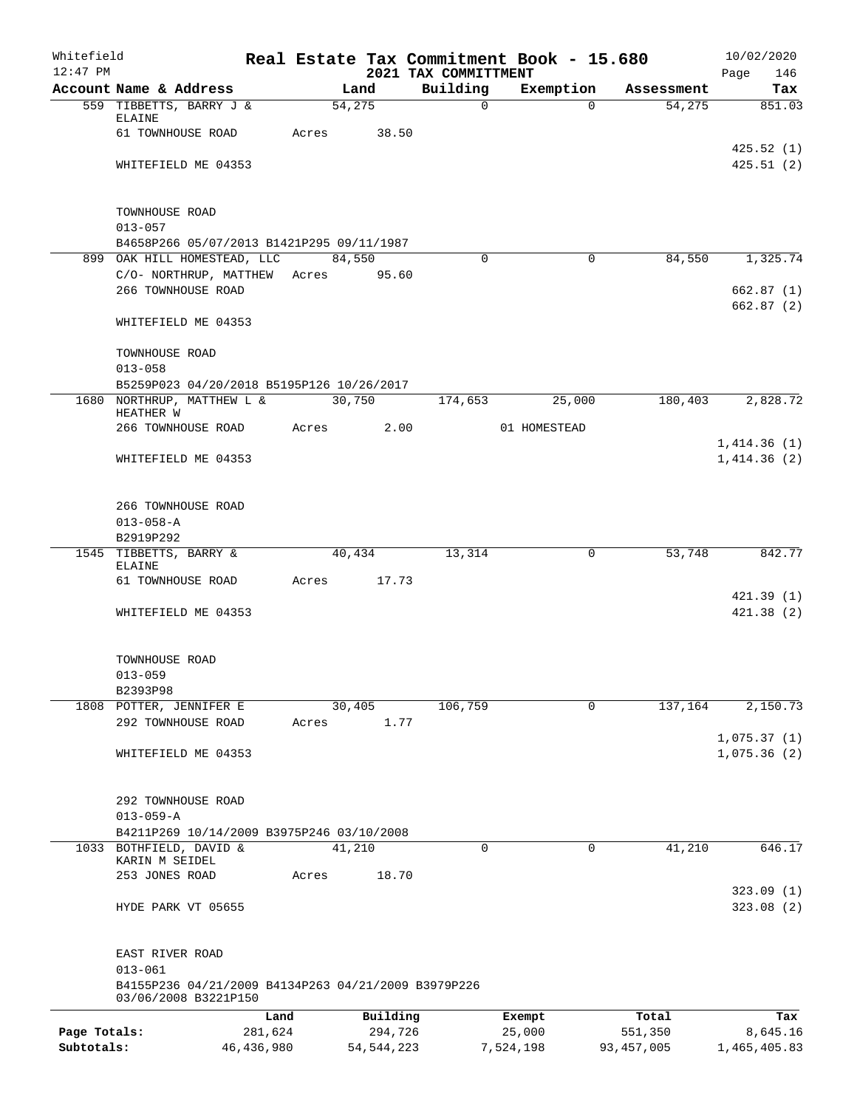| Whitefield<br>12:47 PM     |                                                                             |                         |       |                         |                                  | Real Estate Tax Commitment Book - 15.680 |                         | 10/02/2020                 |
|----------------------------|-----------------------------------------------------------------------------|-------------------------|-------|-------------------------|----------------------------------|------------------------------------------|-------------------------|----------------------------|
|                            | Account Name & Address                                                      |                         |       | Land                    | 2021 TAX COMMITTMENT<br>Building | Exemption                                | Assessment              | 146<br>Page<br>Tax         |
|                            | 559 TIBBETTS, BARRY J &                                                     |                         |       | 54,275                  | $\mathbf 0$                      | $\Omega$                                 | 54,275                  | 851.03                     |
|                            | ELAINE                                                                      |                         |       |                         |                                  |                                          |                         |                            |
|                            | 61 TOWNHOUSE ROAD                                                           |                         | Acres | 38.50                   |                                  |                                          |                         |                            |
|                            | WHITEFIELD ME 04353                                                         |                         |       |                         |                                  |                                          |                         | 425.52(1)<br>425.51(2)     |
|                            |                                                                             |                         |       |                         |                                  |                                          |                         |                            |
|                            | TOWNHOUSE ROAD                                                              |                         |       |                         |                                  |                                          |                         |                            |
|                            | $013 - 057$                                                                 |                         |       |                         |                                  |                                          |                         |                            |
|                            | B4658P266 05/07/2013 B1421P295 09/11/1987                                   |                         |       |                         |                                  |                                          |                         |                            |
|                            | 899 OAK HILL HOMESTEAD, LLC                                                 |                         |       | 84,550                  | $\Omega$                         | $\Omega$                                 | 84,550                  | 1,325.74                   |
|                            | C/O- NORTHRUP, MATTHEW                                                      |                         | Acres | 95.60                   |                                  |                                          |                         |                            |
|                            | 266 TOWNHOUSE ROAD                                                          |                         |       |                         |                                  |                                          |                         | 662.87(1)<br>662.87(2)     |
|                            | WHITEFIELD ME 04353                                                         |                         |       |                         |                                  |                                          |                         |                            |
|                            | TOWNHOUSE ROAD                                                              |                         |       |                         |                                  |                                          |                         |                            |
|                            | $013 - 058$                                                                 |                         |       |                         |                                  |                                          |                         |                            |
|                            | B5259P023 04/20/2018 B5195P126 10/26/2017                                   |                         |       |                         |                                  |                                          |                         |                            |
|                            | 1680 NORTHRUP, MATTHEW L &<br>HEATHER W                                     |                         |       | 30,750                  | 174,653                          | 25,000                                   | 180,403                 | 2,828.72                   |
|                            | 266 TOWNHOUSE ROAD                                                          |                         | Acres | 2.00                    |                                  | 01 HOMESTEAD                             |                         |                            |
|                            |                                                                             |                         |       |                         |                                  |                                          |                         | 1,414.36(1)                |
|                            | WHITEFIELD ME 04353                                                         |                         |       |                         |                                  |                                          |                         | 1,414.36(2)                |
|                            | 266 TOWNHOUSE ROAD                                                          |                         |       |                         |                                  |                                          |                         |                            |
|                            | $013 - 058 - A$                                                             |                         |       |                         |                                  |                                          |                         |                            |
|                            | B2919P292                                                                   |                         |       |                         |                                  |                                          |                         |                            |
|                            | 1545 TIBBETTS, BARRY &<br>ELAINE                                            |                         |       | 40,434                  | 13,314                           | 0                                        | 53,748                  | 842.77                     |
|                            | 61 TOWNHOUSE ROAD                                                           |                         | Acres | 17.73                   |                                  |                                          |                         |                            |
|                            |                                                                             |                         |       |                         |                                  |                                          |                         | 421.39(1)                  |
|                            | WHITEFIELD ME 04353                                                         |                         |       |                         |                                  |                                          |                         | 421.38(2)                  |
|                            | TOWNHOUSE ROAD                                                              |                         |       |                         |                                  |                                          |                         |                            |
|                            | $013 - 059$                                                                 |                         |       |                         |                                  |                                          |                         |                            |
|                            | B2393P98                                                                    |                         |       |                         |                                  |                                          |                         |                            |
|                            | 1808 POTTER, JENNIFER E                                                     |                         |       | 30,405                  | 106,759                          | 0                                        | 137,164                 | 2,150.73                   |
|                            | 292 TOWNHOUSE ROAD                                                          |                         | Acres | 1.77                    |                                  |                                          |                         |                            |
|                            | WHITEFIELD ME 04353                                                         |                         |       |                         |                                  |                                          |                         | 1,075.37(1)<br>1,075.36(2) |
|                            |                                                                             |                         |       |                         |                                  |                                          |                         |                            |
|                            | 292 TOWNHOUSE ROAD                                                          |                         |       |                         |                                  |                                          |                         |                            |
|                            | $013 - 059 - A$                                                             |                         |       |                         |                                  |                                          |                         |                            |
|                            | B4211P269 10/14/2009 B3975P246 03/10/2008<br>1033 BOTHFIELD, DAVID &        |                         |       | 41,210                  | $\Omega$                         | 0                                        | 41,210                  | 646.17                     |
|                            | KARIN M SEIDEL                                                              |                         |       |                         |                                  |                                          |                         |                            |
|                            | 253 JONES ROAD                                                              |                         | Acres | 18.70                   |                                  |                                          |                         |                            |
|                            |                                                                             |                         |       |                         |                                  |                                          |                         | 323.09(1)                  |
|                            | HYDE PARK VT 05655                                                          |                         |       |                         |                                  |                                          |                         | 323.08(2)                  |
|                            | EAST RIVER ROAD                                                             |                         |       |                         |                                  |                                          |                         |                            |
|                            | $013 - 061$                                                                 |                         |       |                         |                                  |                                          |                         |                            |
|                            | B4155P236 04/21/2009 B4134P263 04/21/2009 B3979P226<br>03/06/2008 B3221P150 |                         |       |                         |                                  |                                          |                         |                            |
|                            |                                                                             | Land                    |       | Building                |                                  | Exempt                                   | Total                   | Tax                        |
| Page Totals:<br>Subtotals: |                                                                             | 281,624<br>46, 436, 980 |       | 294,726<br>54, 544, 223 |                                  | 25,000<br>7,524,198                      | 551,350<br>93, 457, 005 | 8,645.16<br>1,465,405.83   |
|                            |                                                                             |                         |       |                         |                                  |                                          |                         |                            |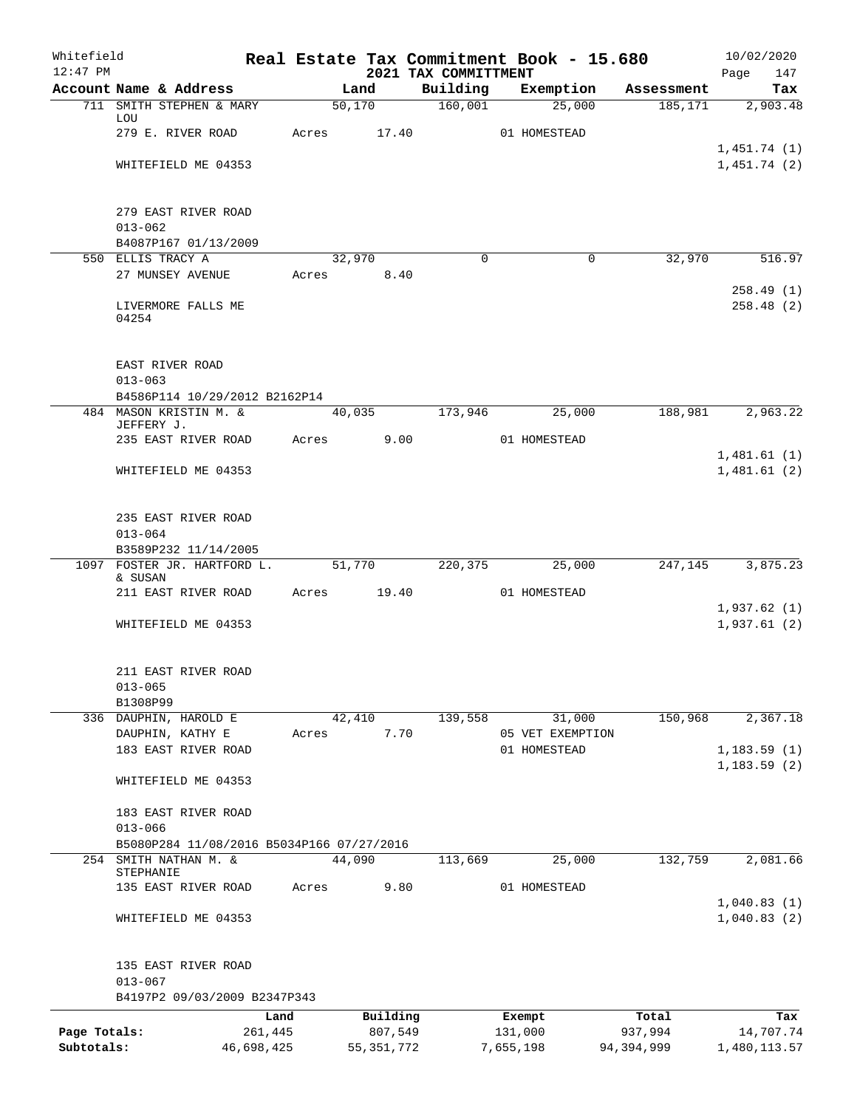| Whitefield<br>$12:47$ PM |                                           |       |                     | 2021 TAX COMMITTMENT | Real Estate Tax Commitment Book - 15.680 |                  | 10/02/2020<br>147<br>Page  |
|--------------------------|-------------------------------------------|-------|---------------------|----------------------|------------------------------------------|------------------|----------------------------|
|                          | Account Name & Address                    |       | Land                | Building             | Exemption                                | Assessment       | Tax                        |
|                          | 711 SMITH STEPHEN & MARY<br>LOU           |       | 50,170              | 160,001              | 25,000                                   | 185,171          | 2,903.48                   |
|                          | 279 E. RIVER ROAD                         | Acres | 17.40               |                      | 01 HOMESTEAD                             |                  |                            |
|                          | WHITEFIELD ME 04353                       |       |                     |                      |                                          |                  | 1,451.74(1)<br>1,451.74(2) |
|                          | 279 EAST RIVER ROAD                       |       |                     |                      |                                          |                  |                            |
|                          | $013 - 062$                               |       |                     |                      |                                          |                  |                            |
|                          | B4087P167 01/13/2009                      |       |                     |                      |                                          |                  |                            |
|                          | 550 ELLIS TRACY A<br>27 MUNSEY AVENUE     | Acres | 32,970<br>8.40      | $\Omega$             | $\mathbf 0$                              | 32,970           | 516.97                     |
|                          |                                           |       |                     |                      |                                          |                  | 258.49(1)                  |
|                          | LIVERMORE FALLS ME<br>04254               |       |                     |                      |                                          |                  | 258.48(2)                  |
|                          | EAST RIVER ROAD                           |       |                     |                      |                                          |                  |                            |
|                          | $013 - 063$                               |       |                     |                      |                                          |                  |                            |
|                          | B4586P114 10/29/2012 B2162P14             |       |                     |                      |                                          |                  |                            |
|                          | 484 MASON KRISTIN M. &<br>JEFFERY J.      |       | 40,035              | 173,946              | 25,000                                   | 188,981          | 2,963.22                   |
|                          | 235 EAST RIVER ROAD                       | Acres | 9.00                |                      | 01 HOMESTEAD                             |                  |                            |
|                          | WHITEFIELD ME 04353                       |       |                     |                      |                                          |                  | 1,481.61(1)<br>1,481.61(2) |
|                          |                                           |       |                     |                      |                                          |                  |                            |
|                          | 235 EAST RIVER ROAD                       |       |                     |                      |                                          |                  |                            |
|                          | $013 - 064$<br>B3589P232 11/14/2005       |       |                     |                      |                                          |                  |                            |
|                          | 1097 FOSTER JR. HARTFORD L.               |       | 51,770              | 220,375              | 25,000                                   | 247,145          | 3,875.23                   |
|                          | & SUSAN                                   |       |                     |                      |                                          |                  |                            |
|                          | 211 EAST RIVER ROAD                       | Acres | 19.40               |                      | 01 HOMESTEAD                             |                  | 1,937.62(1)                |
|                          | WHITEFIELD ME 04353                       |       |                     |                      |                                          |                  | 1,937.61(2)                |
|                          | 211 EAST RIVER ROAD                       |       |                     |                      |                                          |                  |                            |
|                          | $013 - 065$                               |       |                     |                      |                                          |                  |                            |
|                          | B1308P99                                  |       |                     |                      |                                          |                  |                            |
|                          | 336 DAUPHIN, HAROLD E<br>DAUPHIN, KATHY E | Acres | 42,410<br>7.70      | 139,558              | 31,000<br>05 VET EXEMPTION               | 150,968          | 2,367.18                   |
|                          | 183 EAST RIVER ROAD                       |       |                     |                      | 01 HOMESTEAD                             |                  | 1, 183.59(1)               |
|                          |                                           |       |                     |                      |                                          |                  | 1, 183.59(2)               |
|                          | WHITEFIELD ME 04353                       |       |                     |                      |                                          |                  |                            |
|                          | 183 EAST RIVER ROAD                       |       |                     |                      |                                          |                  |                            |
|                          | $013 - 066$                               |       |                     |                      |                                          |                  |                            |
|                          | B5080P284 11/08/2016 B5034P166 07/27/2016 |       | 44,090              |                      |                                          |                  |                            |
| 254                      | SMITH NATHAN M. &<br>STEPHANIE            |       |                     | 113,669              | 25,000                                   | 132,759          | 2,081.66                   |
|                          | 135 EAST RIVER ROAD                       | Acres | 9.80                |                      | 01 HOMESTEAD                             |                  | 1,040.83(1)                |
|                          | WHITEFIELD ME 04353                       |       |                     |                      |                                          |                  | 1,040.83(2)                |
|                          | 135 EAST RIVER ROAD                       |       |                     |                      |                                          |                  |                            |
|                          | $013 - 067$                               |       |                     |                      |                                          |                  |                            |
|                          | B4197P2 09/03/2009 B2347P343              |       |                     |                      |                                          |                  |                            |
| Page Totals:             | Land<br>261,445                           |       | Building<br>807,549 |                      | Exempt<br>131,000                        | Total<br>937,994 | Tax<br>14,707.74           |
| Subtotals:               | 46,698,425                                |       | 55, 351, 772        |                      | 7,655,198                                | 94,394,999       | 1,480,113.57               |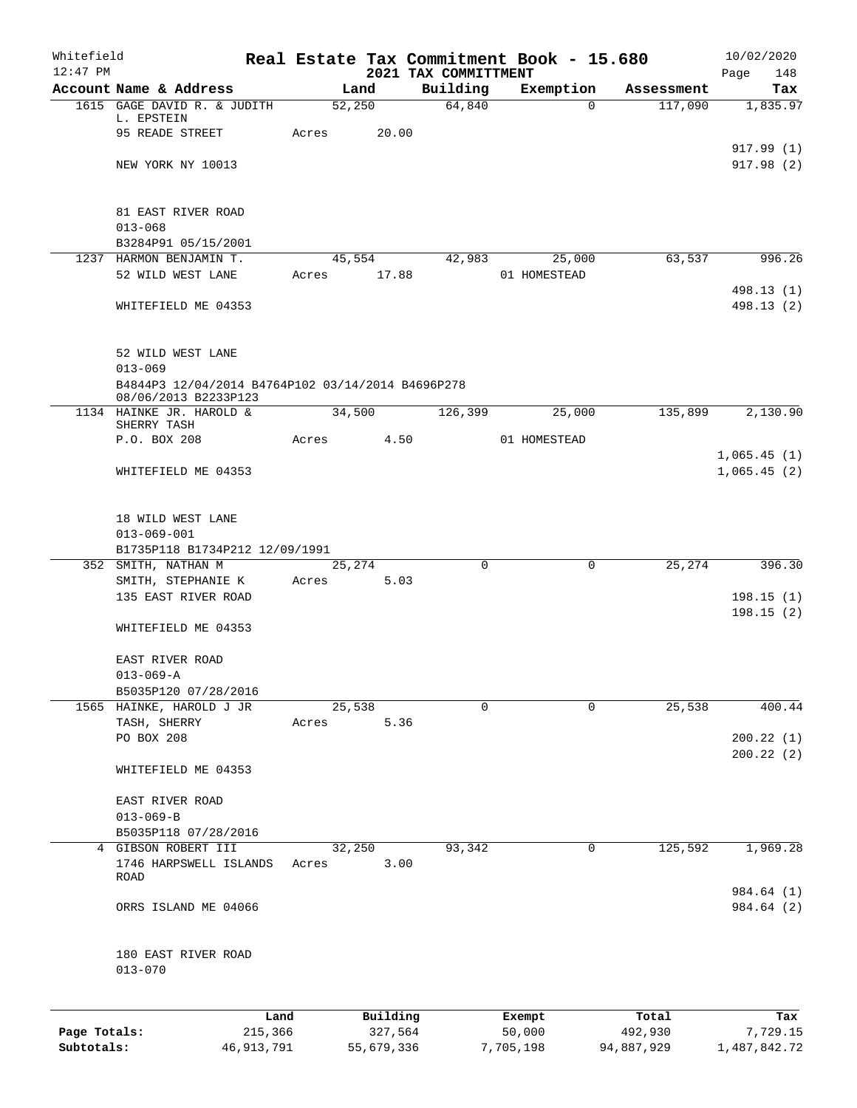| Whitefield<br>$12:47$ PM |                                                                  |              |       |            | 2021 TAX COMMITTMENT | Real Estate Tax Commitment Book - 15.680 |             |            | 10/02/2020<br>148       |
|--------------------------|------------------------------------------------------------------|--------------|-------|------------|----------------------|------------------------------------------|-------------|------------|-------------------------|
|                          | Account Name & Address                                           |              |       | Land       | Building             | Exemption                                |             | Assessment | Page<br>Tax             |
|                          | 1615 GAGE DAVID R. & JUDITH                                      |              |       | 52,250     | 64,840               |                                          | 0           | 117,090    | 1,835.97                |
|                          | L. EPSTEIN                                                       |              |       |            |                      |                                          |             |            |                         |
|                          | 95 READE STREET                                                  |              | Acres | 20.00      |                      |                                          |             |            |                         |
|                          | NEW YORK NY 10013                                                |              |       |            |                      |                                          |             |            | 917.99(1)<br>917.98 (2) |
|                          |                                                                  |              |       |            |                      |                                          |             |            |                         |
|                          |                                                                  |              |       |            |                      |                                          |             |            |                         |
|                          | 81 EAST RIVER ROAD                                               |              |       |            |                      |                                          |             |            |                         |
|                          | $013 - 068$                                                      |              |       |            |                      |                                          |             |            |                         |
|                          | B3284P91 05/15/2001<br>1237 HARMON BENJAMIN T.                   |              |       | 45,554     | 42,983               | 25,000                                   |             | 63,537     | 996.26                  |
|                          | 52 WILD WEST LANE                                                |              | Acres | 17.88      |                      | 01 HOMESTEAD                             |             |            |                         |
|                          |                                                                  |              |       |            |                      |                                          |             |            | 498.13 (1)              |
|                          | WHITEFIELD ME 04353                                              |              |       |            |                      |                                          |             |            | 498.13 (2)              |
|                          |                                                                  |              |       |            |                      |                                          |             |            |                         |
|                          |                                                                  |              |       |            |                      |                                          |             |            |                         |
|                          | 52 WILD WEST LANE                                                |              |       |            |                      |                                          |             |            |                         |
|                          | $013 - 069$<br>B4844P3 12/04/2014 B4764P102 03/14/2014 B4696P278 |              |       |            |                      |                                          |             |            |                         |
|                          | 08/06/2013 B2233P123                                             |              |       |            |                      |                                          |             |            |                         |
|                          | 1134 HAINKE JR. HAROLD &                                         |              |       | 34,500     | 126,399              | 25,000                                   |             | 135,899    | 2,130.90                |
|                          | SHERRY TASH<br>P.O. BOX 208                                      |              | Acres | 4.50       |                      | 01 HOMESTEAD                             |             |            |                         |
|                          |                                                                  |              |       |            |                      |                                          |             |            | 1,065.45(1)             |
|                          | WHITEFIELD ME 04353                                              |              |       |            |                      |                                          |             |            | 1,065.45(2)             |
|                          |                                                                  |              |       |            |                      |                                          |             |            |                         |
|                          |                                                                  |              |       |            |                      |                                          |             |            |                         |
|                          | 18 WILD WEST LANE                                                |              |       |            |                      |                                          |             |            |                         |
|                          | $013 - 069 - 001$                                                |              |       |            |                      |                                          |             |            |                         |
|                          | B1735P118 B1734P212 12/09/1991<br>352 SMITH, NATHAN M            |              |       | 25,274     | $\Omega$             |                                          | $\mathbf 0$ | 25,274     | 396.30                  |
|                          | SMITH, STEPHANIE K                                               |              | Acres | 5.03       |                      |                                          |             |            |                         |
|                          | 135 EAST RIVER ROAD                                              |              |       |            |                      |                                          |             |            | 198.15(1)               |
|                          |                                                                  |              |       |            |                      |                                          |             |            | 198.15(2)               |
|                          | WHITEFIELD ME 04353                                              |              |       |            |                      |                                          |             |            |                         |
|                          |                                                                  |              |       |            |                      |                                          |             |            |                         |
|                          | EAST RIVER ROAD<br>$013 - 069 - A$                               |              |       |            |                      |                                          |             |            |                         |
|                          | B5035P120 07/28/2016                                             |              |       |            |                      |                                          |             |            |                         |
|                          | 1565 HAINKE, HAROLD J JR                                         |              |       | 25,538     | $\Omega$             |                                          | 0           | 25,538     | 400.44                  |
|                          | TASH, SHERRY                                                     |              | Acres | 5.36       |                      |                                          |             |            |                         |
|                          | PO BOX 208                                                       |              |       |            |                      |                                          |             |            | 200.22(1)               |
|                          |                                                                  |              |       |            |                      |                                          |             |            | 200.22(2)               |
|                          | WHITEFIELD ME 04353                                              |              |       |            |                      |                                          |             |            |                         |
|                          | EAST RIVER ROAD                                                  |              |       |            |                      |                                          |             |            |                         |
|                          | $013 - 069 - B$                                                  |              |       |            |                      |                                          |             |            |                         |
|                          | B5035P118 07/28/2016                                             |              |       |            |                      |                                          |             |            |                         |
|                          | 4 GIBSON ROBERT III                                              |              |       | 32,250     | 93,342               |                                          | 0           | 125,592    | 1,969.28                |
|                          | 1746 HARPSWELL ISLANDS                                           |              | Acres | 3.00       |                      |                                          |             |            |                         |
|                          | ROAD                                                             |              |       |            |                      |                                          |             |            | 984.64 (1)              |
|                          | ORRS ISLAND ME 04066                                             |              |       |            |                      |                                          |             |            | 984.64 (2)              |
|                          |                                                                  |              |       |            |                      |                                          |             |            |                         |
|                          |                                                                  |              |       |            |                      |                                          |             |            |                         |
|                          | 180 EAST RIVER ROAD                                              |              |       |            |                      |                                          |             |            |                         |
|                          | $013 - 070$                                                      |              |       |            |                      |                                          |             |            |                         |
|                          |                                                                  |              |       |            |                      |                                          |             |            |                         |
|                          |                                                                  | Land         |       | Building   |                      | Exempt                                   |             | Total      | Tax                     |
| Page Totals:             |                                                                  | 215,366      |       | 327,564    |                      | 50,000                                   |             | 492,930    | 7,729.15                |
| Subtotals:               |                                                                  | 46, 913, 791 |       | 55,679,336 |                      | 7,705,198                                |             | 94,887,929 | 1,487,842.72            |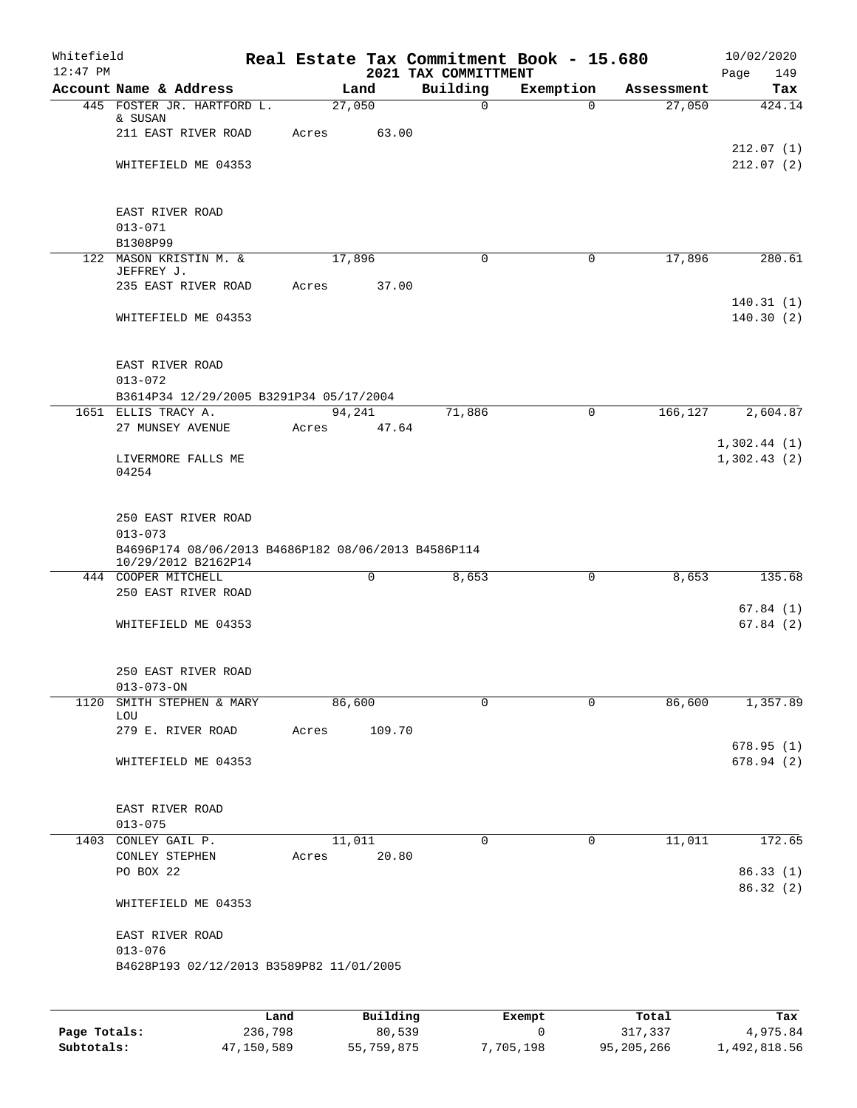| Whitefield |                                                      |      |       |        |          |  | Real Estate Tax Commitment Book - 15.680 |                       |                      | 10/02/2020              |  |  |
|------------|------------------------------------------------------|------|-------|--------|----------|--|------------------------------------------|-----------------------|----------------------|-------------------------|--|--|
| $12:47$ PM |                                                      |      |       | Land   |          |  | 2021 TAX COMMITTMENT                     |                       |                      | Page<br>149             |  |  |
|            | Account Name & Address<br>445 FOSTER JR. HARTFORD L. |      |       | 27,050 |          |  | Building<br>$\mathsf{O}$                 | Exemption<br>$\Omega$ | Assessment<br>27,050 | Tax<br>424.14           |  |  |
|            | & SUSAN                                              |      |       |        |          |  |                                          |                       |                      |                         |  |  |
|            | 211 EAST RIVER ROAD                                  |      | Acres |        | 63.00    |  |                                          |                       |                      |                         |  |  |
|            |                                                      |      |       |        |          |  |                                          |                       |                      | 212.07(1)               |  |  |
|            | WHITEFIELD ME 04353                                  |      |       |        |          |  |                                          |                       |                      | 212.07(2)               |  |  |
|            |                                                      |      |       |        |          |  |                                          |                       |                      |                         |  |  |
|            |                                                      |      |       |        |          |  |                                          |                       |                      |                         |  |  |
|            | EAST RIVER ROAD<br>$013 - 071$                       |      |       |        |          |  |                                          |                       |                      |                         |  |  |
|            | B1308P99                                             |      |       |        |          |  |                                          |                       |                      |                         |  |  |
|            | 122 MASON KRISTIN M. &                               |      |       | 17,896 |          |  | 0                                        | 0                     | 17,896               | 280.61                  |  |  |
|            | JEFFREY J.                                           |      |       |        |          |  |                                          |                       |                      |                         |  |  |
|            | 235 EAST RIVER ROAD                                  |      | Acres |        | 37.00    |  |                                          |                       |                      |                         |  |  |
|            |                                                      |      |       |        |          |  |                                          |                       |                      | 140.31(1)               |  |  |
|            | WHITEFIELD ME 04353                                  |      |       |        |          |  |                                          |                       |                      | 140.30(2)               |  |  |
|            |                                                      |      |       |        |          |  |                                          |                       |                      |                         |  |  |
|            | EAST RIVER ROAD                                      |      |       |        |          |  |                                          |                       |                      |                         |  |  |
|            | $013 - 072$                                          |      |       |        |          |  |                                          |                       |                      |                         |  |  |
|            | B3614P34 12/29/2005 B3291P34 05/17/2004              |      |       |        |          |  |                                          |                       |                      |                         |  |  |
|            | 1651 ELLIS TRACY A.                                  |      |       | 94,241 |          |  | 71,886                                   | $\mathbf 0$           | 166,127              | 2,604.87                |  |  |
|            | 27 MUNSEY AVENUE                                     |      | Acres |        | 47.64    |  |                                          |                       |                      |                         |  |  |
|            |                                                      |      |       |        |          |  |                                          |                       |                      | 1,302.44(1)             |  |  |
|            | LIVERMORE FALLS ME<br>04254                          |      |       |        |          |  |                                          |                       |                      | 1,302.43(2)             |  |  |
|            |                                                      |      |       |        |          |  |                                          |                       |                      |                         |  |  |
|            |                                                      |      |       |        |          |  |                                          |                       |                      |                         |  |  |
|            | 250 EAST RIVER ROAD<br>$013 - 073$                   |      |       |        |          |  |                                          |                       |                      |                         |  |  |
|            | B4696P174 08/06/2013 B4686P182 08/06/2013 B4586P114  |      |       |        |          |  |                                          |                       |                      |                         |  |  |
|            | 10/29/2012 B2162P14                                  |      |       |        |          |  |                                          |                       |                      |                         |  |  |
|            | 444 COOPER MITCHELL                                  |      |       |        | 0        |  | 8,653                                    | $\mathbf 0$           | 8,653                | 135.68                  |  |  |
|            | 250 EAST RIVER ROAD                                  |      |       |        |          |  |                                          |                       |                      |                         |  |  |
|            |                                                      |      |       |        |          |  |                                          |                       |                      | 67.84(1)                |  |  |
|            | WHITEFIELD ME 04353                                  |      |       |        |          |  |                                          |                       |                      | 67.84(2)                |  |  |
|            |                                                      |      |       |        |          |  |                                          |                       |                      |                         |  |  |
|            | 250 EAST RIVER ROAD                                  |      |       |        |          |  |                                          |                       |                      |                         |  |  |
|            | $013 - 073 - ON$                                     |      |       |        |          |  |                                          |                       |                      |                         |  |  |
| 1120       | SMITH STEPHEN & MARY                                 |      |       | 86,600 |          |  | $\mathbf 0$                              | $\mathbf 0$           | 86,600               | 1,357.89                |  |  |
|            | LOU                                                  |      |       |        |          |  |                                          |                       |                      |                         |  |  |
|            | 279 E. RIVER ROAD                                    |      | Acres |        | 109.70   |  |                                          |                       |                      |                         |  |  |
|            | WHITEFIELD ME 04353                                  |      |       |        |          |  |                                          |                       |                      | 678.95 (1)<br>678.94(2) |  |  |
|            |                                                      |      |       |        |          |  |                                          |                       |                      |                         |  |  |
|            |                                                      |      |       |        |          |  |                                          |                       |                      |                         |  |  |
|            | EAST RIVER ROAD                                      |      |       |        |          |  |                                          |                       |                      |                         |  |  |
|            | $013 - 075$                                          |      |       |        |          |  |                                          |                       |                      |                         |  |  |
|            | 1403 CONLEY GAIL P.                                  |      |       | 11,011 |          |  | $\Omega$                                 | 0                     | 11,011               | 172.65                  |  |  |
|            | CONLEY STEPHEN                                       |      | Acres |        | 20.80    |  |                                          |                       |                      |                         |  |  |
|            | PO BOX 22                                            |      |       |        |          |  |                                          |                       |                      | 86.33(1)<br>86.32(2)    |  |  |
|            | WHITEFIELD ME 04353                                  |      |       |        |          |  |                                          |                       |                      |                         |  |  |
|            |                                                      |      |       |        |          |  |                                          |                       |                      |                         |  |  |
|            | EAST RIVER ROAD                                      |      |       |        |          |  |                                          |                       |                      |                         |  |  |
|            | $013 - 076$                                          |      |       |        |          |  |                                          |                       |                      |                         |  |  |
|            | B4628P193 02/12/2013 B3589P82 11/01/2005             |      |       |        |          |  |                                          |                       |                      |                         |  |  |
|            |                                                      |      |       |        |          |  |                                          |                       |                      |                         |  |  |
|            |                                                      |      |       |        |          |  |                                          |                       |                      |                         |  |  |
|            |                                                      | Land |       |        | Building |  |                                          | Exempt.               | Total                | Tax                     |  |  |

|              | Land       | Building   | Exempt    | Total      | Tax          |
|--------------|------------|------------|-----------|------------|--------------|
| Page Totals: | 236,798    | 80,539     |           | 317,337    | 4,975.84     |
| Subtotals:   | 47,150,589 | 55,759,875 | 7,705,198 | 95,205,266 | 1,492,818.56 |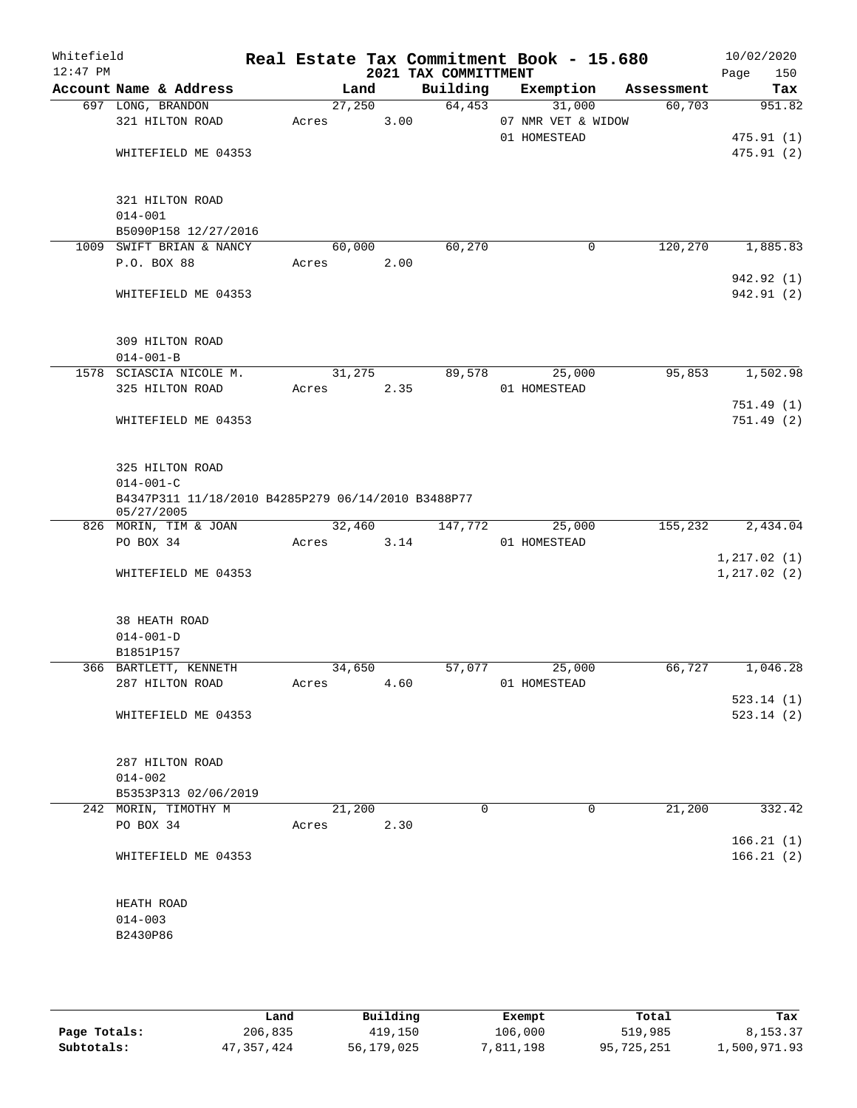| Whitefield<br>$12:47$ PM |                                                                  |                 |        | 2021 TAX COMMITTMENT | Real Estate Tax Commitment Book - 15.680     |            | 10/02/2020<br>Page<br>150 |
|--------------------------|------------------------------------------------------------------|-----------------|--------|----------------------|----------------------------------------------|------------|---------------------------|
|                          | Account Name & Address                                           |                 | Land   | Building             | Exemption                                    | Assessment | Tax                       |
|                          | 697 LONG, BRANDON<br>321 HILTON ROAD                             | 27,250<br>Acres | 3.00   | 64,453               | 31,000<br>07 NMR VET & WIDOW<br>01 HOMESTEAD | 60,703     | 951.82<br>475.91(1)       |
|                          | WHITEFIELD ME 04353                                              |                 |        |                      |                                              |            | 475.91(2)                 |
|                          | 321 HILTON ROAD<br>$014 - 001$                                   |                 |        |                      |                                              |            |                           |
|                          | B5090P158 12/27/2016                                             |                 |        |                      |                                              |            |                           |
|                          | 1009 SWIFT BRIAN & NANCY                                         | 60,000          |        | 60,270               | $\mathbf 0$                                  | 120,270    | 1,885.83                  |
|                          | P.O. BOX 88                                                      | Acres           | 2.00   |                      |                                              |            | 942.92 (1)                |
|                          | WHITEFIELD ME 04353                                              |                 |        |                      |                                              |            | 942.91 (2)                |
|                          | 309 HILTON ROAD<br>$014 - 001 - B$                               |                 |        |                      |                                              |            |                           |
|                          | 1578 SCIASCIA NICOLE M.                                          | 31,275          |        | 89,578               | 25,000                                       | 95,853     | 1,502.98                  |
|                          | 325 HILTON ROAD                                                  | Acres           | 2.35   |                      | 01 HOMESTEAD                                 |            |                           |
|                          |                                                                  |                 |        |                      |                                              |            | 751.49 (1)                |
|                          | WHITEFIELD ME 04353                                              |                 |        |                      |                                              |            | 751.49(2)                 |
|                          | 325 HILTON ROAD<br>$014 - 001 - C$                               |                 |        |                      |                                              |            |                           |
|                          | B4347P311 11/18/2010 B4285P279 06/14/2010 B3488P77<br>05/27/2005 |                 |        |                      |                                              |            |                           |
|                          | 826 MORIN, TIM & JOAN                                            |                 | 32,460 | 147,772              | 25,000                                       | 155,232    | 2,434.04                  |
|                          | PO BOX 34                                                        | Acres           | 3.14   |                      | 01 HOMESTEAD                                 |            |                           |
|                          |                                                                  |                 |        |                      |                                              |            | 1, 217.02(1)              |
|                          | WHITEFIELD ME 04353                                              |                 |        |                      |                                              |            | 1, 217.02(2)              |
|                          | 38 HEATH ROAD                                                    |                 |        |                      |                                              |            |                           |
|                          | $014 - 001 - D$                                                  |                 |        |                      |                                              |            |                           |
|                          | B1851P157<br>366 BARTLETT, KENNETH                               | 34,650          |        | 57,077               | 25,000                                       | 66,727     | 1,046.28                  |
|                          | 287 HILTON ROAD                                                  | Acres           | 4.60   |                      | 01 HOMESTEAD                                 |            | 523.14(1)                 |
|                          | WHITEFIELD ME 04353                                              |                 |        |                      |                                              |            | 523.14(2)                 |
|                          | 287 HILTON ROAD                                                  |                 |        |                      |                                              |            |                           |
|                          | $014 - 002$                                                      |                 |        |                      |                                              |            |                           |
|                          | B5353P313 02/06/2019                                             |                 |        |                      |                                              |            |                           |
|                          | 242 MORIN, TIMOTHY M                                             |                 | 21,200 | $\Omega$             | $\Omega$                                     | 21,200     | 332.42                    |
|                          | PO BOX 34                                                        | Acres           | 2.30   |                      |                                              |            |                           |
|                          | WHITEFIELD ME 04353                                              |                 |        |                      |                                              |            | 166.21(1)<br>166.21(2)    |
|                          | HEATH ROAD                                                       |                 |        |                      |                                              |            |                           |
|                          | $014 - 003$                                                      |                 |        |                      |                                              |            |                           |
|                          | B2430P86                                                         |                 |        |                      |                                              |            |                           |
|                          |                                                                  |                 |        |                      |                                              |            |                           |

|              | Land       | Building   | Exempt    | Total      | Tax          |
|--------------|------------|------------|-----------|------------|--------------|
| Page Totals: | 206,835    | 419,150    | 106,000   | 519,985    | 8,153.37     |
| Subtotals:   | 47,357,424 | 56,179,025 | 7,811,198 | 95,725,251 | 1,500,971.93 |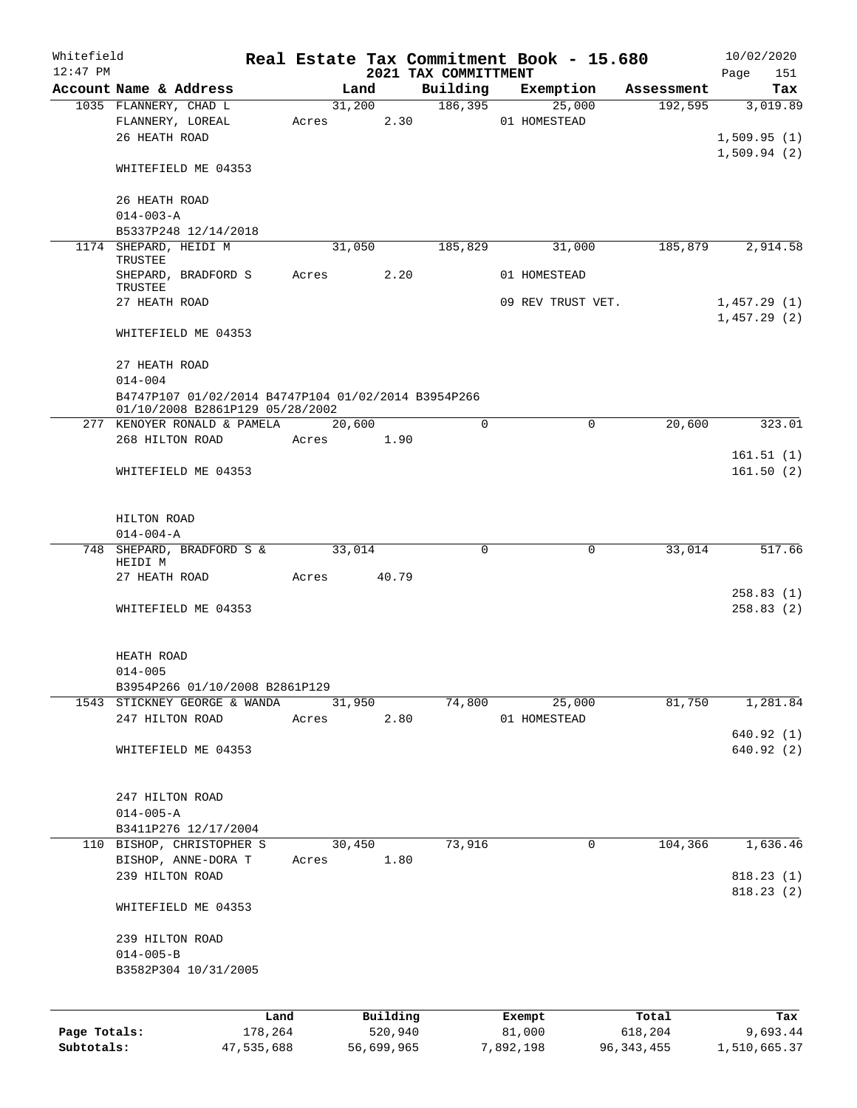| Whitefield   |                                                     |                 |            |                |                     |                      | Real Estate Tax Commitment Book - 15.680 |                       | 10/02/2020   |     |
|--------------|-----------------------------------------------------|-----------------|------------|----------------|---------------------|----------------------|------------------------------------------|-----------------------|--------------|-----|
| $12:47$ PM   |                                                     |                 |            |                |                     | 2021 TAX COMMITTMENT |                                          |                       | Page         | 151 |
|              | Account Name & Address<br>1035 FLANNERY, CHAD L     |                 |            | Land<br>31,200 |                     | 186, 395             | Building Exemption<br>25,000             | Assessment<br>192,595 | 3,019.89     | Tax |
|              | FLANNERY, LOREAL                                    |                 | Acres      |                | 2.30                |                      | 01 HOMESTEAD                             |                       |              |     |
|              | 26 HEATH ROAD                                       |                 |            |                |                     |                      |                                          |                       | 1,509.95(1)  |     |
|              |                                                     |                 |            |                |                     |                      |                                          |                       | 1,509.94(2)  |     |
|              | WHITEFIELD ME 04353                                 |                 |            |                |                     |                      |                                          |                       |              |     |
|              | 26 HEATH ROAD                                       |                 |            |                |                     |                      |                                          |                       |              |     |
|              | $014 - 003 - A$                                     |                 |            |                |                     |                      |                                          |                       |              |     |
|              | B5337P248 12/14/2018                                |                 |            |                |                     |                      |                                          |                       |              |     |
|              | 1174 SHEPARD, HEIDI M                               |                 |            | 31,050         |                     | 185,829              | 31,000                                   | 185,879               | 2,914.58     |     |
|              | TRUSTEE                                             |                 |            |                |                     |                      |                                          |                       |              |     |
|              | SHEPARD, BRADFORD S                                 |                 | Acres      |                | 2.20                |                      | 01 HOMESTEAD                             |                       |              |     |
|              | TRUSTEE                                             |                 |            |                |                     |                      |                                          |                       |              |     |
|              | 27 HEATH ROAD                                       |                 |            |                |                     |                      | 09 REV TRUST VET.                        |                       | 1,457.29(1)  |     |
|              |                                                     |                 |            |                |                     |                      |                                          |                       | 1,457.29(2)  |     |
|              | WHITEFIELD ME 04353                                 |                 |            |                |                     |                      |                                          |                       |              |     |
|              | 27 HEATH ROAD                                       |                 |            |                |                     |                      |                                          |                       |              |     |
|              | $014 - 004$                                         |                 |            |                |                     |                      |                                          |                       |              |     |
|              | B4747P107 01/02/2014 B4747P104 01/02/2014 B3954P266 |                 |            |                |                     |                      |                                          |                       |              |     |
|              | 01/10/2008 B2861P129 05/28/2002                     |                 |            |                |                     |                      |                                          |                       |              |     |
|              | 277 KENOYER RONALD & PAMELA                         |                 |            | 20,600         |                     | $\Omega$             | $\mathbf 0$                              | 20,600                | 323.01       |     |
|              | 268 HILTON ROAD                                     |                 | Acres 1.90 |                |                     |                      |                                          |                       |              |     |
|              |                                                     |                 |            |                |                     |                      |                                          |                       | 161.51(1)    |     |
|              | WHITEFIELD ME 04353                                 |                 |            |                |                     |                      |                                          |                       | 161.50(2)    |     |
|              |                                                     |                 |            |                |                     |                      |                                          |                       |              |     |
|              |                                                     |                 |            |                |                     |                      |                                          |                       |              |     |
|              | HILTON ROAD                                         |                 |            |                |                     |                      |                                          |                       |              |     |
|              | $014 - 004 - A$                                     |                 |            |                |                     |                      |                                          |                       |              |     |
|              | 748 SHEPARD, BRADFORD S &                           |                 |            | 33,014         |                     | $\mathbf 0$          | $\mathbf 0$                              | 33,014                | 517.66       |     |
|              | HEIDI M                                             |                 |            |                |                     |                      |                                          |                       |              |     |
|              | 27 HEATH ROAD                                       |                 | Acres      |                | 40.79               |                      |                                          |                       | 258.83(1)    |     |
|              | WHITEFIELD ME 04353                                 |                 |            |                |                     |                      |                                          |                       | 258.83(2)    |     |
|              |                                                     |                 |            |                |                     |                      |                                          |                       |              |     |
|              |                                                     |                 |            |                |                     |                      |                                          |                       |              |     |
|              | HEATH ROAD                                          |                 |            |                |                     |                      |                                          |                       |              |     |
|              | $014 - 005$                                         |                 |            |                |                     |                      |                                          |                       |              |     |
|              | B3954P266 01/10/2008 B2861P129                      |                 |            |                |                     |                      |                                          |                       |              |     |
|              | 1543 STICKNEY GEORGE & WANDA                        |                 |            | 31,950         |                     | 74,800               | 25,000                                   | 81,750                | 1,281.84     |     |
|              | 247 HILTON ROAD                                     |                 | Acres      |                | 2.80                |                      | 01 HOMESTEAD                             |                       |              |     |
|              |                                                     |                 |            |                |                     |                      |                                          |                       | 640.92(1)    |     |
|              | WHITEFIELD ME 04353                                 |                 |            |                |                     |                      |                                          |                       | 640.92(2)    |     |
|              |                                                     |                 |            |                |                     |                      |                                          |                       |              |     |
|              | 247 HILTON ROAD                                     |                 |            |                |                     |                      |                                          |                       |              |     |
|              | $014 - 005 - A$                                     |                 |            |                |                     |                      |                                          |                       |              |     |
|              | B3411P276 12/17/2004                                |                 |            |                |                     |                      |                                          |                       |              |     |
|              | 110 BISHOP, CHRISTOPHER S                           |                 |            | 30,450         |                     | 73,916               | 0                                        | 104,366               | 1,636.46     |     |
|              | BISHOP, ANNE-DORA T                                 |                 | Acres      |                | 1.80                |                      |                                          |                       |              |     |
|              | 239 HILTON ROAD                                     |                 |            |                |                     |                      |                                          |                       | 818.23(1)    |     |
|              |                                                     |                 |            |                |                     |                      |                                          |                       | 818.23(2)    |     |
|              | WHITEFIELD ME 04353                                 |                 |            |                |                     |                      |                                          |                       |              |     |
|              | 239 HILTON ROAD                                     |                 |            |                |                     |                      |                                          |                       |              |     |
|              | $014 - 005 - B$                                     |                 |            |                |                     |                      |                                          |                       |              |     |
|              | B3582P304 10/31/2005                                |                 |            |                |                     |                      |                                          |                       |              |     |
|              |                                                     |                 |            |                |                     |                      |                                          |                       |              |     |
|              |                                                     |                 |            |                |                     |                      |                                          |                       |              |     |
| Page Totals: |                                                     | Land<br>178,264 |            |                | Building<br>520,940 |                      | Exempt<br>81,000                         | Total<br>618,204      | 9,693.44     | Tax |
| Subtotals:   |                                                     | 47,535,688      |            |                | 56,699,965          |                      | 7,892,198                                | 96, 343, 455          | 1,510,665.37 |     |
|              |                                                     |                 |            |                |                     |                      |                                          |                       |              |     |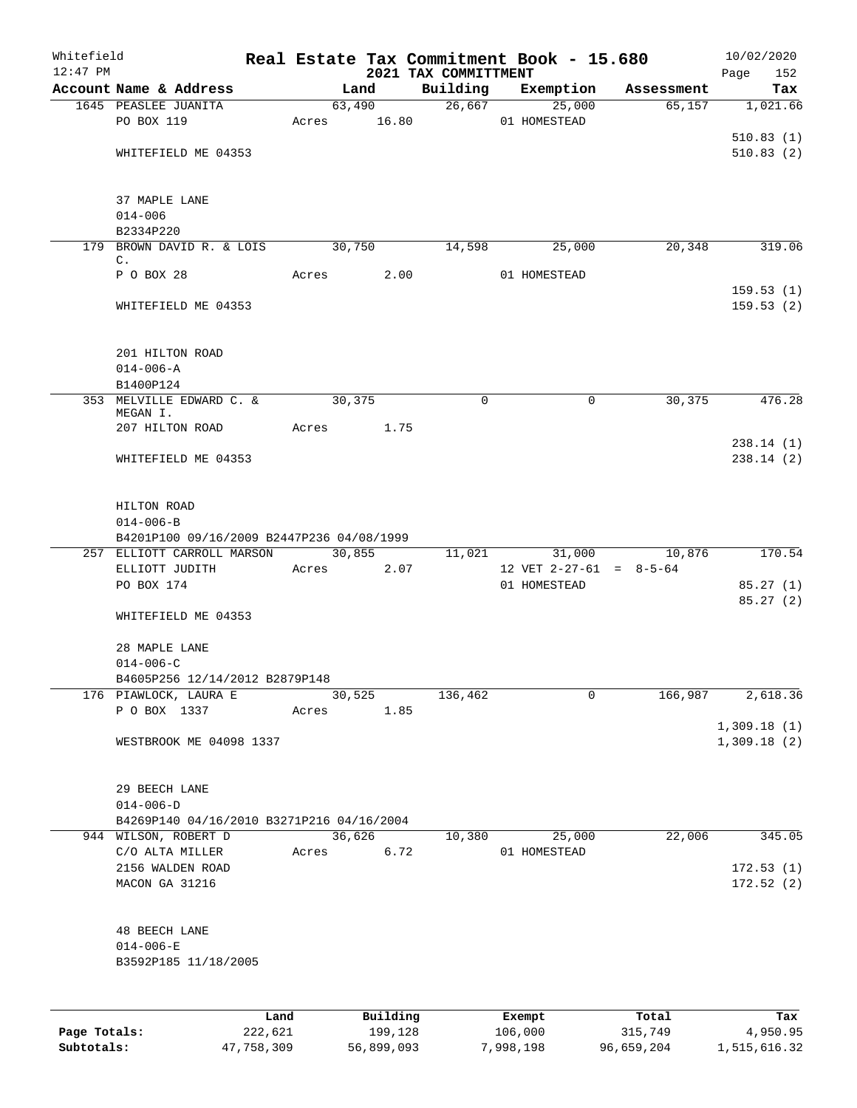| Whitefield<br>$12:47$ PM |                                           |         |       |        |          | 2021 TAX COMMITTMENT |              | Real Estate Tax Commitment Book - 15.680 |                           | 10/02/2020<br>Page<br>152 |
|--------------------------|-------------------------------------------|---------|-------|--------|----------|----------------------|--------------|------------------------------------------|---------------------------|---------------------------|
|                          | Account Name & Address                    |         |       | Land   |          | Building             |              | Exemption                                | Assessment                | Tax                       |
|                          | 1645 PEASLEE JUANITA                      |         |       |        | 63,490   |                      | 26,667       | 25,000                                   | 65,157                    | 1,021.66                  |
|                          | PO BOX 119                                |         | Acres |        | 16.80    |                      | 01 HOMESTEAD |                                          |                           |                           |
|                          |                                           |         |       |        |          |                      |              |                                          |                           | 510.83(1)                 |
|                          | WHITEFIELD ME 04353                       |         |       |        |          |                      |              |                                          |                           | 510.83(2)                 |
|                          | 37 MAPLE LANE                             |         |       |        |          |                      |              |                                          |                           |                           |
|                          | $014 - 006$                               |         |       |        |          |                      |              |                                          |                           |                           |
|                          | B2334P220                                 |         |       |        |          |                      |              |                                          |                           |                           |
|                          | 179 BROWN DAVID R. & LOIS                 |         |       | 30,750 |          | 14,598               |              | 25,000                                   | 20,348                    | 319.06                    |
|                          | C.                                        |         |       |        |          |                      |              |                                          |                           |                           |
|                          | P O BOX 28                                |         | Acres |        | 2.00     |                      | 01 HOMESTEAD |                                          |                           |                           |
|                          | WHITEFIELD ME 04353                       |         |       |        |          |                      |              |                                          |                           | 159.53(1)<br>159.53(2)    |
|                          |                                           |         |       |        |          |                      |              |                                          |                           |                           |
|                          | 201 HILTON ROAD                           |         |       |        |          |                      |              |                                          |                           |                           |
|                          | $014 - 006 - A$                           |         |       |        |          |                      |              |                                          |                           |                           |
|                          | B1400P124<br>353 MELVILLE EDWARD C. &     |         |       | 30,375 |          | $\mathbf 0$          |              | $\mathbf 0$                              | 30,375                    | 476.28                    |
|                          | MEGAN I.                                  |         |       |        |          |                      |              |                                          |                           |                           |
|                          | 207 HILTON ROAD                           |         | Acres |        | 1.75     |                      |              |                                          |                           |                           |
|                          | WHITEFIELD ME 04353                       |         |       |        |          |                      |              |                                          |                           | 238.14(1)<br>238.14(2)    |
|                          |                                           |         |       |        |          |                      |              |                                          |                           |                           |
|                          | HILTON ROAD<br>$014 - 006 - B$            |         |       |        |          |                      |              |                                          |                           |                           |
|                          | B4201P100 09/16/2009 B2447P236 04/08/1999 |         |       |        |          |                      |              |                                          |                           |                           |
|                          | 257 ELLIOTT CARROLL MARSON                |         |       |        | 30,855   |                      | 11,021       | 31,000                                   | 10,876                    | 170.54                    |
|                          | ELLIOTT JUDITH                            |         | Acres |        | 2.07     |                      |              |                                          | 12 VET $2-27-61 = 8-5-64$ |                           |
|                          | PO BOX 174                                |         |       |        |          |                      | 01 HOMESTEAD |                                          |                           | 85.27(1)                  |
|                          | WHITEFIELD ME 04353                       |         |       |        |          |                      |              |                                          |                           | 85.27(2)                  |
|                          |                                           |         |       |        |          |                      |              |                                          |                           |                           |
|                          | 28 MAPLE LANE                             |         |       |        |          |                      |              |                                          |                           |                           |
|                          | $014 - 006 - C$                           |         |       |        |          |                      |              |                                          |                           |                           |
|                          | B4605P256 12/14/2012 B2879P148            |         |       |        |          |                      |              |                                          |                           |                           |
|                          | 176 PIAWLOCK, LAURA E<br>P O BOX 1337     |         | Acres | 30,525 | 1.85     | 136,462              |              | 0                                        | 166,987                   | 2,618.36                  |
|                          |                                           |         |       |        |          |                      |              |                                          |                           | 1,309.18(1)               |
|                          | WESTBROOK ME 04098 1337                   |         |       |        |          |                      |              |                                          |                           | 1,309.18(2)               |
|                          | 29 BEECH LANE                             |         |       |        |          |                      |              |                                          |                           |                           |
|                          | $014 - 006 - D$                           |         |       |        |          |                      |              |                                          |                           |                           |
|                          | B4269P140 04/16/2010 B3271P216 04/16/2004 |         |       |        |          |                      |              |                                          |                           |                           |
|                          | 944 WILSON, ROBERT D                      |         |       | 36,626 |          | 10,380               |              | 25,000                                   | 22,006                    | 345.05                    |
|                          | C/O ALTA MILLER<br>2156 WALDEN ROAD       |         | Acres |        | 6.72     |                      | 01 HOMESTEAD |                                          |                           | 172.53(1)                 |
|                          | MACON GA 31216                            |         |       |        |          |                      |              |                                          |                           | 172.52(2)                 |
|                          | <b>48 BEECH LANE</b>                      |         |       |        |          |                      |              |                                          |                           |                           |
|                          | $014 - 006 - E$                           |         |       |        |          |                      |              |                                          |                           |                           |
|                          | B3592P185 11/18/2005                      |         |       |        |          |                      |              |                                          |                           |                           |
|                          |                                           |         |       |        |          |                      |              |                                          |                           |                           |
|                          |                                           |         |       |        |          |                      |              |                                          |                           |                           |
|                          |                                           | Land    |       |        | Building |                      | Exempt       |                                          | Total                     | Tax                       |
| Page Totals:             |                                           | 222,621 |       |        | 199,128  |                      | 106,000      |                                          | 315,749                   | 4,950.95                  |

**Subtotals:** 47,758,309 56,899,093 7,998,198 96,659,204 1,515,616.32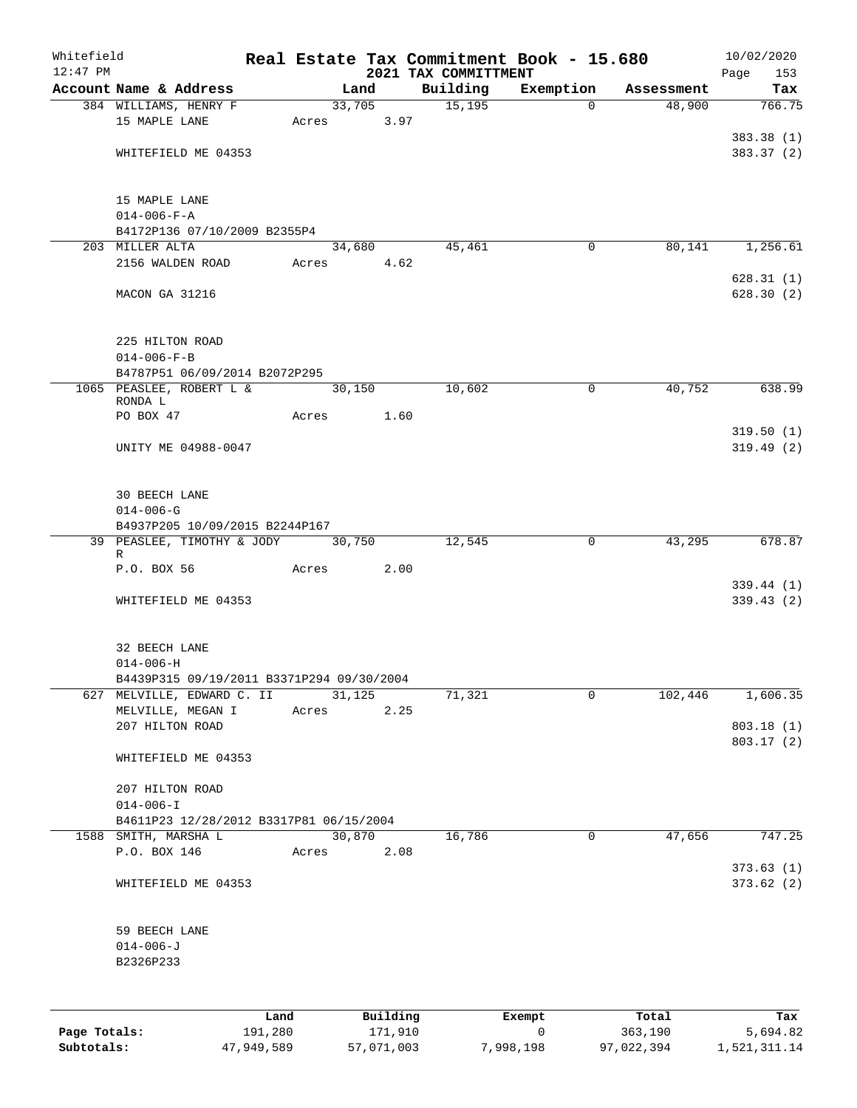| Whitefield |                                                                 |      |       |        |          |                      | Real Estate Tax Commitment Book - 15.680 |                      | 10/02/2020               |
|------------|-----------------------------------------------------------------|------|-------|--------|----------|----------------------|------------------------------------------|----------------------|--------------------------|
| $12:47$ PM |                                                                 |      |       |        |          | 2021 TAX COMMITTMENT |                                          |                      | Page<br>153              |
|            | Account Name & Address<br>384 WILLIAMS, HENRY F                 |      |       | Land   | 33,705   | Building<br>15,195   | Exemption<br>$\Omega$                    | Assessment<br>48,900 | Tax<br>766.75            |
|            | 15 MAPLE LANE                                                   |      | Acres |        | 3.97     |                      |                                          |                      |                          |
|            |                                                                 |      |       |        |          |                      |                                          |                      | 383.38 (1)               |
|            | WHITEFIELD ME 04353                                             |      |       |        |          |                      |                                          |                      | 383.37 (2)               |
|            |                                                                 |      |       |        |          |                      |                                          |                      |                          |
|            | 15 MAPLE LANE                                                   |      |       |        |          |                      |                                          |                      |                          |
|            | $014 - 006 - F - A$                                             |      |       |        |          |                      |                                          |                      |                          |
|            | B4172P136 07/10/2009 B2355P4                                    |      |       |        |          |                      |                                          |                      |                          |
|            | 203 MILLER ALTA                                                 |      |       | 34,680 |          | 45,461               | 0                                        | 80,141               | 1,256.61                 |
|            | 2156 WALDEN ROAD                                                |      | Acres |        | 4.62     |                      |                                          |                      |                          |
|            |                                                                 |      |       |        |          |                      |                                          |                      | 628.31(1)                |
|            | MACON GA 31216                                                  |      |       |        |          |                      |                                          |                      | 628.30(2)                |
|            |                                                                 |      |       |        |          |                      |                                          |                      |                          |
|            | 225 HILTON ROAD                                                 |      |       |        |          |                      |                                          |                      |                          |
|            | $014 - 006 - F - B$                                             |      |       |        |          |                      |                                          |                      |                          |
|            | B4787P51 06/09/2014 B2072P295                                   |      |       |        |          |                      |                                          |                      |                          |
|            | 1065 PEASLEE, ROBERT L &<br>RONDA L                             |      |       | 30,150 |          | 10,602               | 0                                        | 40,752               | 638.99                   |
|            | PO BOX 47                                                       |      | Acres |        | 1.60     |                      |                                          |                      |                          |
|            |                                                                 |      |       |        |          |                      |                                          |                      | 319.50(1)                |
|            | UNITY ME 04988-0047                                             |      |       |        |          |                      |                                          |                      | 319.49(2)                |
|            |                                                                 |      |       |        |          |                      |                                          |                      |                          |
|            | <b>30 BEECH LANE</b>                                            |      |       |        |          |                      |                                          |                      |                          |
|            | $014 - 006 - G$                                                 |      |       |        |          |                      |                                          |                      |                          |
|            | B4937P205 10/09/2015 B2244P167                                  |      |       |        |          |                      |                                          |                      |                          |
|            | 39 PEASLEE, TIMOTHY & JODY                                      |      |       | 30,750 |          | 12,545               | 0                                        | 43,295               | 678.87                   |
|            | R<br>P.O. BOX 56                                                |      | Acres |        | 2.00     |                      |                                          |                      |                          |
|            |                                                                 |      |       |        |          |                      |                                          |                      | 339.44(1)                |
|            | WHITEFIELD ME 04353                                             |      |       |        |          |                      |                                          |                      | 339.43(2)                |
|            |                                                                 |      |       |        |          |                      |                                          |                      |                          |
|            | 32 BEECH LANE                                                   |      |       |        |          |                      |                                          |                      |                          |
|            | $014 - 006 - H$                                                 |      |       |        |          |                      |                                          |                      |                          |
|            | B4439P315 09/19/2011 B3371P294 09/30/2004                       |      |       |        |          |                      |                                          |                      |                          |
|            | 627 MELVILLE, EDWARD C. II                                      |      |       | 31,125 |          | 71,321               | 0                                        | 102,446              | 1,606.35                 |
|            | MELVILLE, MEGAN I                                               |      | Acres |        | 2.25     |                      |                                          |                      |                          |
|            | 207 HILTON ROAD                                                 |      |       |        |          |                      |                                          |                      | 803.18 (1)<br>803.17 (2) |
|            | WHITEFIELD ME 04353                                             |      |       |        |          |                      |                                          |                      |                          |
|            |                                                                 |      |       |        |          |                      |                                          |                      |                          |
|            | 207 HILTON ROAD                                                 |      |       |        |          |                      |                                          |                      |                          |
|            | $014 - 006 - I$                                                 |      |       |        |          |                      |                                          |                      |                          |
|            | B4611P23 12/28/2012 B3317P81 06/15/2004<br>1588 SMITH, MARSHA L |      |       |        | 30,870   | 16,786               | 0                                        | 47,656               | 747.25                   |
|            | P.O. BOX 146                                                    |      | Acres |        | 2.08     |                      |                                          |                      |                          |
|            |                                                                 |      |       |        |          |                      |                                          |                      | 373.63(1)                |
|            | WHITEFIELD ME 04353                                             |      |       |        |          |                      |                                          |                      | 373.62(2)                |
|            |                                                                 |      |       |        |          |                      |                                          |                      |                          |
|            | 59 BEECH LANE                                                   |      |       |        |          |                      |                                          |                      |                          |
|            | $014 - 006 - J$                                                 |      |       |        |          |                      |                                          |                      |                          |
|            | B2326P233                                                       |      |       |        |          |                      |                                          |                      |                          |
|            |                                                                 |      |       |        |          |                      |                                          |                      |                          |
|            |                                                                 |      |       |        |          |                      |                                          |                      |                          |
|            |                                                                 | Land |       |        | Building |                      | Exempt                                   | Total                | Tax                      |

|              | -------    |            | -------   | ------     | ------       |
|--------------|------------|------------|-----------|------------|--------------|
| Page Totals: | 191,280    | 171,910    |           | 363,190    | 5,694.82     |
| Subtotals:   | 47,949,589 | 57,071,003 | 7,998,198 | 97,022,394 | 1,521,311.14 |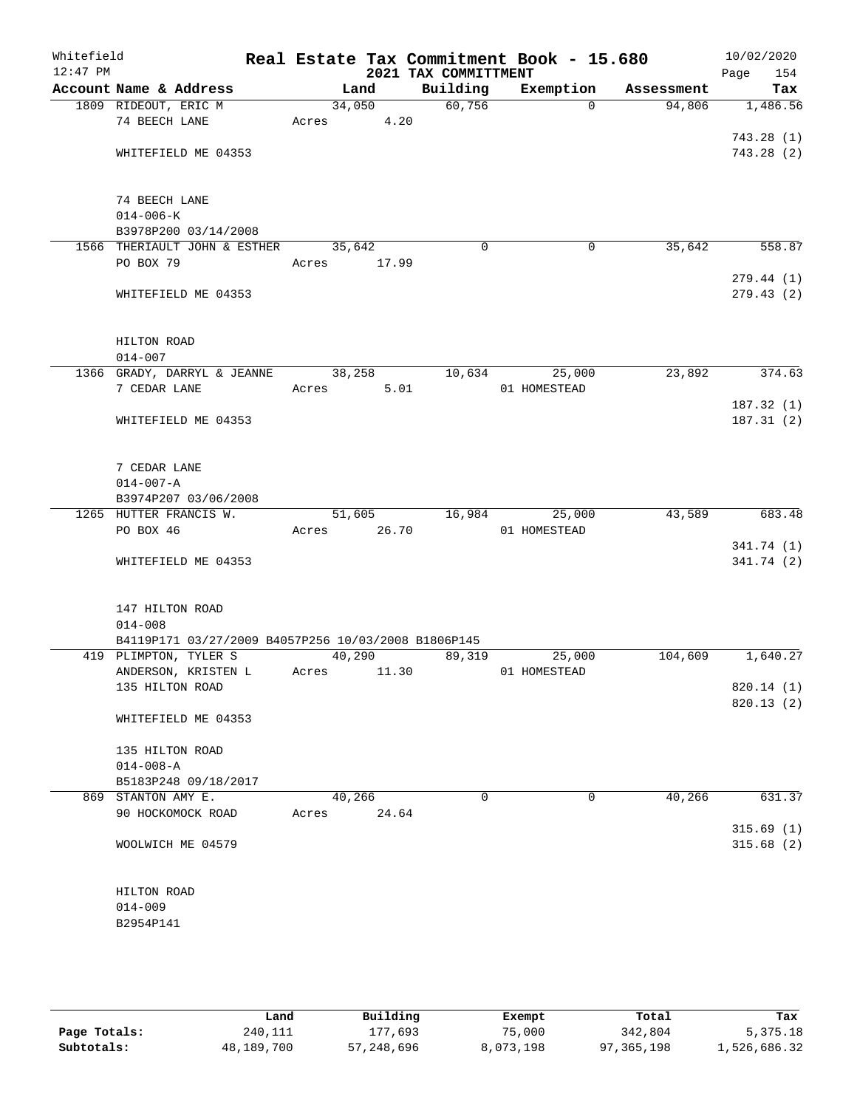| Whitefield<br>$12:47$ PM |                                                     |        |        | 2021 TAX COMMITTMENT | Real Estate Tax Commitment Book - 15.680 |            | 10/02/2020<br>Page<br>154 |
|--------------------------|-----------------------------------------------------|--------|--------|----------------------|------------------------------------------|------------|---------------------------|
|                          | Account Name & Address                              | Land   |        | Building             | Exemption                                | Assessment | Tax                       |
|                          | 1809 RIDEOUT, ERIC M                                |        | 34,050 | 60,756               | $\Omega$                                 | 94,806     | 1,486.56                  |
|                          | 74 BEECH LANE                                       | Acres  | 4.20   |                      |                                          |            |                           |
|                          |                                                     |        |        |                      |                                          |            | 743.28(1)                 |
|                          | WHITEFIELD ME 04353                                 |        |        |                      |                                          |            | 743.28(2)                 |
|                          |                                                     |        |        |                      |                                          |            |                           |
|                          | 74 BEECH LANE                                       |        |        |                      |                                          |            |                           |
|                          | $014 - 006 - K$                                     |        |        |                      |                                          |            |                           |
|                          | B3978P200 03/14/2008                                |        |        |                      |                                          |            |                           |
|                          | 1566 THERIAULT JOHN & ESTHER                        | 35,642 |        | 0                    | 0                                        | 35,642     | 558.87                    |
|                          | PO BOX 79                                           | Acres  | 17.99  |                      |                                          |            |                           |
|                          |                                                     |        |        |                      |                                          |            | 279.44(1)                 |
|                          | WHITEFIELD ME 04353                                 |        |        |                      |                                          |            | 279.43(2)                 |
|                          | HILTON ROAD                                         |        |        |                      |                                          |            |                           |
|                          | $014 - 007$                                         |        |        |                      |                                          |            |                           |
|                          | 1366 GRADY, DARRYL & JEANNE                         | 38,258 |        | 10,634               | 25,000                                   | 23,892     | 374.63                    |
|                          | 7 CEDAR LANE                                        | Acres  | 5.01   |                      | 01 HOMESTEAD                             |            |                           |
|                          |                                                     |        |        |                      |                                          |            | 187.32 (1)                |
|                          | WHITEFIELD ME 04353                                 |        |        |                      |                                          |            | 187.31(2)                 |
|                          | 7 CEDAR LANE                                        |        |        |                      |                                          |            |                           |
|                          | $014 - 007 - A$                                     |        |        |                      |                                          |            |                           |
|                          | B3974P207 03/06/2008                                |        |        |                      |                                          |            |                           |
|                          | 1265 HUTTER FRANCIS W.                              | 51,605 |        | 16,984               | 25,000                                   | 43,589     | 683.48                    |
|                          | PO BOX 46                                           | Acres  | 26.70  |                      | 01 HOMESTEAD                             |            |                           |
|                          |                                                     |        |        |                      |                                          |            | 341.74 (1)                |
|                          | WHITEFIELD ME 04353                                 |        |        |                      |                                          |            | 341.74 (2)                |
|                          | 147 HILTON ROAD                                     |        |        |                      |                                          |            |                           |
|                          | $014 - 008$                                         |        |        |                      |                                          |            |                           |
|                          | B4119P171 03/27/2009 B4057P256 10/03/2008 B1806P145 |        |        |                      |                                          |            |                           |
|                          | 419 PLIMPTON, TYLER S                               | 40,290 |        | 89,319               | 25,000                                   | 104,609    | 1,640.27                  |
|                          | ANDERSON, KRISTEN L                                 | Acres  | 11.30  |                      | 01 HOMESTEAD                             |            |                           |
|                          | 135 HILTON ROAD                                     |        |        |                      |                                          |            | 820.14 (1)                |
|                          |                                                     |        |        |                      |                                          |            | 820.13 (2)                |
|                          | WHITEFIELD ME 04353                                 |        |        |                      |                                          |            |                           |
|                          | 135 HILTON ROAD                                     |        |        |                      |                                          |            |                           |
|                          | $014 - 008 - A$                                     |        |        |                      |                                          |            |                           |
|                          | B5183P248 09/18/2017                                |        |        |                      |                                          |            |                           |
|                          | 869 STANTON AMY E.                                  | 40,266 |        | $\Omega$             | $\mathbf 0$                              | 40,266     | 631.37                    |
|                          | 90 HOCKOMOCK ROAD                                   | Acres  | 24.64  |                      |                                          |            |                           |
|                          |                                                     |        |        |                      |                                          |            | 315.69(1)                 |
|                          | WOOLWICH ME 04579                                   |        |        |                      |                                          |            | 315.68(2)                 |
|                          | HILTON ROAD                                         |        |        |                      |                                          |            |                           |
|                          | $014 - 009$                                         |        |        |                      |                                          |            |                           |
|                          | B2954P141                                           |        |        |                      |                                          |            |                           |
|                          |                                                     |        |        |                      |                                          |            |                           |
|                          |                                                     |        |        |                      |                                          |            |                           |

|              | Land       | Building   | Exempt    | Total        | Tax          |
|--------------|------------|------------|-----------|--------------|--------------|
| Page Totals: | 240,111    | 177,693    | 75,000    | 342,804      | 5,375.18     |
| Subtotals:   | 48,189,700 | 57,248,696 | 8,073,198 | 97, 365, 198 | 1,526,686.32 |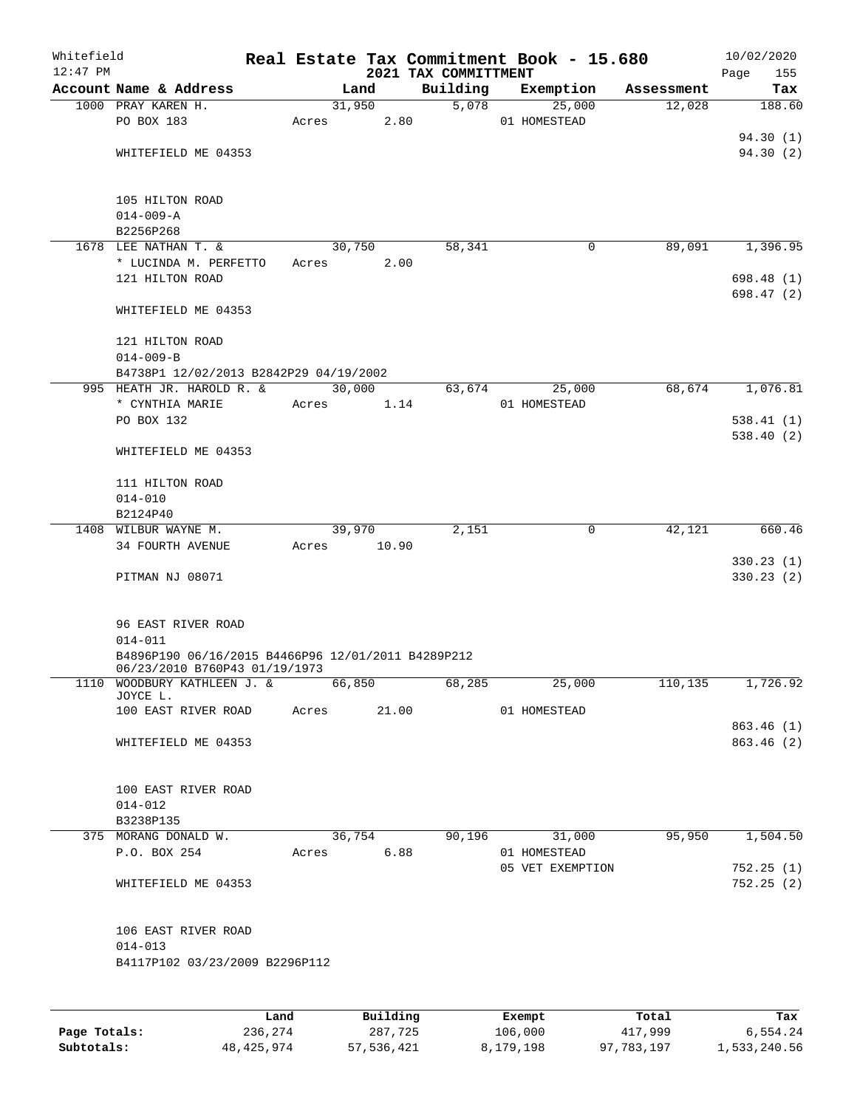| Whitefield<br>$12:47$ PM |                                                                                     |       |        |          | 2021 TAX COMMITTMENT | Real Estate Tax Commitment Book - 15.680 |   |            | 10/02/2020<br>155<br>Page |
|--------------------------|-------------------------------------------------------------------------------------|-------|--------|----------|----------------------|------------------------------------------|---|------------|---------------------------|
|                          | Account Name & Address                                                              |       | Land   |          | Building             | Exemption                                |   | Assessment | Tax                       |
|                          | 1000 PRAY KAREN H.                                                                  |       | 31,950 |          | 5,078                | 25,000                                   |   | 12,028     | 188.60                    |
|                          | PO BOX 183                                                                          | Acres |        | 2.80     |                      | 01 HOMESTEAD                             |   |            |                           |
|                          |                                                                                     |       |        |          |                      |                                          |   |            | 94.30(1)                  |
|                          | WHITEFIELD ME 04353                                                                 |       |        |          |                      |                                          |   |            | 94.30 (2)                 |
|                          | 105 HILTON ROAD                                                                     |       |        |          |                      |                                          |   |            |                           |
|                          | $014 - 009 - A$                                                                     |       |        |          |                      |                                          |   |            |                           |
|                          | B2256P268                                                                           |       |        |          |                      |                                          |   |            |                           |
|                          | 1678 LEE NATHAN T. &                                                                |       | 30,750 |          | 58,341               |                                          | 0 | 89,091     | 1,396.95                  |
|                          | * LUCINDA M. PERFETTO                                                               | Acres |        | 2.00     |                      |                                          |   |            |                           |
|                          | 121 HILTON ROAD                                                                     |       |        |          |                      |                                          |   |            | 698.48 (1)                |
|                          | WHITEFIELD ME 04353                                                                 |       |        |          |                      |                                          |   |            | 698.47 (2)                |
|                          | 121 HILTON ROAD                                                                     |       |        |          |                      |                                          |   |            |                           |
|                          | $014 - 009 - B$                                                                     |       |        |          |                      |                                          |   |            |                           |
|                          | B4738P1 12/02/2013 B2842P29 04/19/2002                                              |       |        |          |                      |                                          |   |            |                           |
|                          | 995 HEATH JR. HAROLD R. &                                                           |       |        | 30,000   | 63,674               | 25,000                                   |   | 68,674     | 1,076.81                  |
|                          | * CYNTHIA MARIE                                                                     | Acres |        | 1.14     |                      | 01 HOMESTEAD                             |   |            |                           |
|                          | PO BOX 132                                                                          |       |        |          |                      |                                          |   |            | 538.41(1)                 |
|                          |                                                                                     |       |        |          |                      |                                          |   |            | 538.40 (2)                |
|                          | WHITEFIELD ME 04353                                                                 |       |        |          |                      |                                          |   |            |                           |
|                          | 111 HILTON ROAD                                                                     |       |        |          |                      |                                          |   |            |                           |
|                          | $014 - 010$                                                                         |       |        |          |                      |                                          |   |            |                           |
|                          | B2124P40                                                                            |       |        |          |                      |                                          |   |            |                           |
|                          | 1408 WILBUR WAYNE M.                                                                |       | 39,970 |          | 2,151                |                                          | 0 | 42,121     | 660.46                    |
|                          | 34 FOURTH AVENUE                                                                    | Acres |        | 10.90    |                      |                                          |   |            |                           |
|                          |                                                                                     |       |        |          |                      |                                          |   |            | 330.23(1)                 |
|                          | PITMAN NJ 08071                                                                     |       |        |          |                      |                                          |   |            | 330.23(2)                 |
|                          | 96 EAST RIVER ROAD                                                                  |       |        |          |                      |                                          |   |            |                           |
|                          | $014 - 011$                                                                         |       |        |          |                      |                                          |   |            |                           |
|                          | B4896P190 06/16/2015 B4466P96 12/01/2011 B4289P212<br>06/23/2010 B760P43 01/19/1973 |       |        |          |                      |                                          |   |            |                           |
|                          | 1110 WOODBURY KATHLEEN J. &                                                         |       | 66,850 |          | 68,285               | 25,000                                   |   | 110,135    | 1,726.92                  |
|                          | JOYCE L.                                                                            |       |        |          |                      |                                          |   |            |                           |
|                          | 100 EAST RIVER ROAD                                                                 | Acres |        | 21.00    |                      | 01 HOMESTEAD                             |   |            |                           |
|                          |                                                                                     |       |        |          |                      |                                          |   |            | 863.46 (1)                |
|                          | WHITEFIELD ME 04353                                                                 |       |        |          |                      |                                          |   |            | 863.46 (2)                |
|                          | 100 EAST RIVER ROAD                                                                 |       |        |          |                      |                                          |   |            |                           |
|                          | $014 - 012$                                                                         |       |        |          |                      |                                          |   |            |                           |
|                          | B3238P135                                                                           |       |        |          |                      |                                          |   |            |                           |
|                          | 375 MORANG DONALD W.                                                                |       | 36,754 |          | 90,196               | 31,000                                   |   | 95,950     | 1,504.50                  |
|                          | P.O. BOX 254                                                                        | Acres |        | 6.88     |                      | 01 HOMESTEAD                             |   |            |                           |
|                          |                                                                                     |       |        |          |                      | 05 VET EXEMPTION                         |   |            | 752.25(1)                 |
|                          | WHITEFIELD ME 04353                                                                 |       |        |          |                      |                                          |   |            | 752.25(2)                 |
|                          |                                                                                     |       |        |          |                      |                                          |   |            |                           |
|                          | 106 EAST RIVER ROAD                                                                 |       |        |          |                      |                                          |   |            |                           |
|                          | $014 - 013$                                                                         |       |        |          |                      |                                          |   |            |                           |
|                          | B4117P102 03/23/2009 B2296P112                                                      |       |        |          |                      |                                          |   |            |                           |
|                          |                                                                                     | Land  |        | Building |                      | Exempt                                   |   | Total      | Tax                       |

|              | Land         | Building   | Exempt    | Total      | Tax          |
|--------------|--------------|------------|-----------|------------|--------------|
| Page Totals: | 236,274      | 287,725    | 106,000   | 417,999    | 6,554.24     |
| Subtotals:   | 48, 425, 974 | 57,536,421 | 8,179,198 | 97,783,197 | 1,533,240.56 |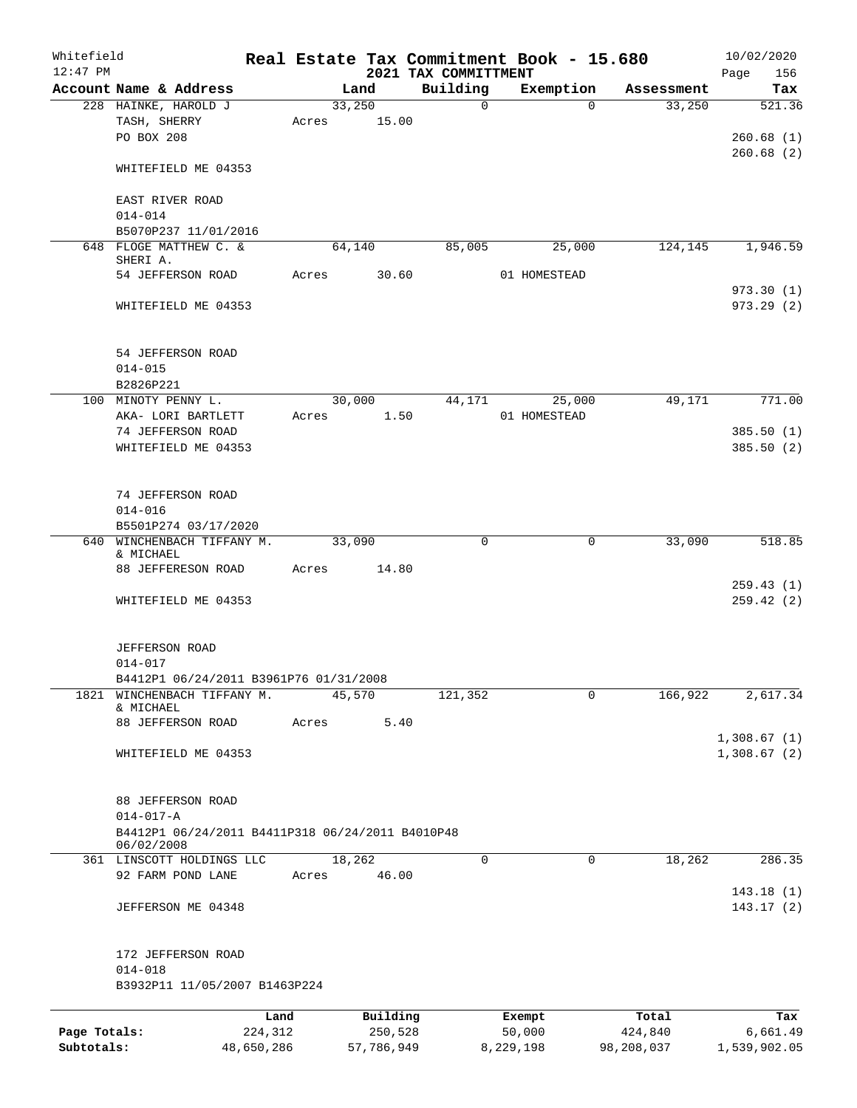| Whitefield   |                                                  |            |       |        |            | Real Estate Tax Commitment Book - 15.680 |              |             |            |      | 10/02/2020   |
|--------------|--------------------------------------------------|------------|-------|--------|------------|------------------------------------------|--------------|-------------|------------|------|--------------|
| $12:47$ PM   |                                                  |            |       |        |            | 2021 TAX COMMITTMENT                     |              |             |            | Page | 156          |
|              | Account Name & Address                           |            |       | Land   |            | Building                                 |              | Exemption   | Assessment |      | Tax          |
|              | 228 HAINKE, HAROLD J                             |            |       | 33,250 |            | $\mathsf{O}$                             |              | $\Omega$    | 33,250     |      | 521.36       |
|              | TASH, SHERRY                                     |            | Acres |        | 15.00      |                                          |              |             |            |      |              |
|              | PO BOX 208                                       |            |       |        |            |                                          |              |             |            |      | 260.68(1)    |
|              |                                                  |            |       |        |            |                                          |              |             |            |      | 260.68(2)    |
|              | WHITEFIELD ME 04353                              |            |       |        |            |                                          |              |             |            |      |              |
|              |                                                  |            |       |        |            |                                          |              |             |            |      |              |
|              | EAST RIVER ROAD                                  |            |       |        |            |                                          |              |             |            |      |              |
|              | $014 - 014$                                      |            |       |        |            |                                          |              |             |            |      |              |
|              | B5070P237 11/01/2016                             |            |       |        |            |                                          |              |             |            |      |              |
|              | 648 FLOGE MATTHEW C. &<br>SHERI A.               |            |       | 64,140 |            | 85,005                                   |              | 25,000      | 124,145    |      | 1,946.59     |
|              | 54 JEFFERSON ROAD                                |            | Acres |        | 30.60      |                                          | 01 HOMESTEAD |             |            |      |              |
|              |                                                  |            |       |        |            |                                          |              |             |            |      | 973.30(1)    |
|              | WHITEFIELD ME 04353                              |            |       |        |            |                                          |              |             |            |      | 973.29(2)    |
|              |                                                  |            |       |        |            |                                          |              |             |            |      |              |
|              |                                                  |            |       |        |            |                                          |              |             |            |      |              |
|              | 54 JEFFERSON ROAD                                |            |       |        |            |                                          |              |             |            |      |              |
|              | $014 - 015$                                      |            |       |        |            |                                          |              |             |            |      |              |
|              | B2826P221                                        |            |       |        |            |                                          |              |             |            |      |              |
| 100          | MINOTY PENNY L.                                  |            |       | 30,000 |            | 44,171                                   |              | 25,000      | 49,171     |      | 771.00       |
|              |                                                  |            |       |        |            |                                          | 01 HOMESTEAD |             |            |      |              |
|              | AKA- LORI BARTLETT                               |            | Acres |        | 1.50       |                                          |              |             |            |      |              |
|              | 74 JEFFERSON ROAD                                |            |       |        |            |                                          |              |             |            |      | 385.50(1)    |
|              | WHITEFIELD ME 04353                              |            |       |        |            |                                          |              |             |            |      | 385.50(2)    |
|              |                                                  |            |       |        |            |                                          |              |             |            |      |              |
|              | 74 JEFFERSON ROAD                                |            |       |        |            |                                          |              |             |            |      |              |
|              | $014 - 016$                                      |            |       |        |            |                                          |              |             |            |      |              |
|              |                                                  |            |       |        |            |                                          |              |             |            |      |              |
| 640          | B5501P274 03/17/2020<br>WINCHENBACH TIFFANY M.   |            |       | 33,090 |            | 0                                        |              | $\mathbf 0$ | 33,090     |      | 518.85       |
|              | & MICHAEL                                        |            |       |        |            |                                          |              |             |            |      |              |
|              | 88 JEFFERESON ROAD                               |            | Acres |        | 14.80      |                                          |              |             |            |      |              |
|              |                                                  |            |       |        |            |                                          |              |             |            |      | 259.43(1)    |
|              | WHITEFIELD ME 04353                              |            |       |        |            |                                          |              |             |            |      | 259.42(2)    |
|              |                                                  |            |       |        |            |                                          |              |             |            |      |              |
|              |                                                  |            |       |        |            |                                          |              |             |            |      |              |
|              | <b>JEFFERSON ROAD</b>                            |            |       |        |            |                                          |              |             |            |      |              |
|              | $014 - 017$                                      |            |       |        |            |                                          |              |             |            |      |              |
|              | B4412P1 06/24/2011 B3961P76 01/31/2008           |            |       |        |            |                                          |              |             |            |      |              |
| 1821         | WINCHENBACH TIFFANY M.                           |            |       | 45,570 |            | 121,352                                  |              | $\mathbf 0$ | 166,922    |      | 2, 617.34    |
|              | & MICHAEL                                        |            |       |        |            |                                          |              |             |            |      |              |
|              | 88 JEFFERSON ROAD                                |            | Acres |        | 5.40       |                                          |              |             |            |      |              |
|              |                                                  |            |       |        |            |                                          |              |             |            |      | 1,308.67(1)  |
|              | WHITEFIELD ME 04353                              |            |       |        |            |                                          |              |             |            |      | 1,308.67(2)  |
|              |                                                  |            |       |        |            |                                          |              |             |            |      |              |
|              |                                                  |            |       |        |            |                                          |              |             |            |      |              |
|              | 88 JEFFERSON ROAD                                |            |       |        |            |                                          |              |             |            |      |              |
|              | $014 - 017 - A$                                  |            |       |        |            |                                          |              |             |            |      |              |
|              | B4412P1 06/24/2011 B4411P318 06/24/2011 B4010P48 |            |       |        |            |                                          |              |             |            |      |              |
|              | 06/02/2008<br>361 LINSCOTT HOLDINGS LLC          |            |       |        |            | $\Omega$                                 |              | $\mathbf 0$ | 18,262     |      | 286.35       |
|              | 92 FARM POND LANE                                |            | Acres | 18,262 | 46.00      |                                          |              |             |            |      |              |
|              |                                                  |            |       |        |            |                                          |              |             |            |      | 143.18(1)    |
|              |                                                  |            |       |        |            |                                          |              |             |            |      | 143.17(2)    |
|              | JEFFERSON ME 04348                               |            |       |        |            |                                          |              |             |            |      |              |
|              |                                                  |            |       |        |            |                                          |              |             |            |      |              |
|              | 172 JEFFERSON ROAD                               |            |       |        |            |                                          |              |             |            |      |              |
|              | $014 - 018$                                      |            |       |        |            |                                          |              |             |            |      |              |
|              | B3932P11 11/05/2007 B1463P224                    |            |       |        |            |                                          |              |             |            |      |              |
|              |                                                  |            |       |        |            |                                          |              |             |            |      |              |
|              |                                                  | Land       |       |        | Building   |                                          | Exempt       |             | Total      |      | Tax          |
| Page Totals: |                                                  | 224,312    |       |        | 250,528    |                                          | 50,000       |             | 424,840    |      | 6,661.49     |
| Subtotals:   |                                                  | 48,650,286 |       |        | 57,786,949 |                                          | 8,229,198    |             | 98,208,037 |      | 1,539,902.05 |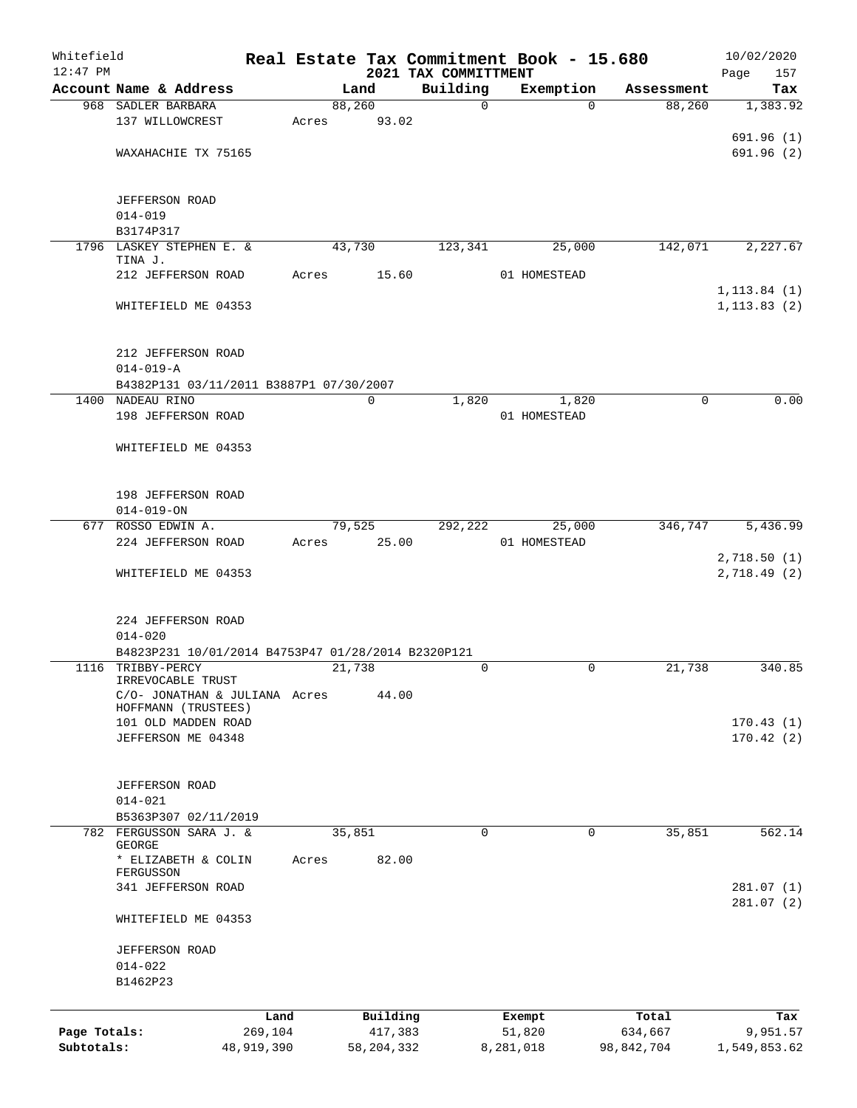| Whitefield<br>$12:47$ PM |                                                    |            |        |              | 2021 TAX COMMITTMENT |             | Real Estate Tax Commitment Book - 15.680 |             | 10/02/2020<br>157<br>Page |
|--------------------------|----------------------------------------------------|------------|--------|--------------|----------------------|-------------|------------------------------------------|-------------|---------------------------|
|                          | Account Name & Address                             |            |        | Land         | Building             |             | Exemption                                | Assessment  | Tax                       |
|                          | 968 SADLER BARBARA                                 |            | 88,260 |              |                      | $\mathbf 0$ | $\Omega$                                 | 88,260      | 1,383.92                  |
|                          | 137 WILLOWCREST                                    | Acres      |        | 93.02        |                      |             |                                          |             |                           |
|                          |                                                    |            |        |              |                      |             |                                          |             | 691.96(1)                 |
|                          | WAXAHACHIE TX 75165                                |            |        |              |                      |             |                                          |             | 691.96 (2)                |
|                          |                                                    |            |        |              |                      |             |                                          |             |                           |
|                          | <b>JEFFERSON ROAD</b>                              |            |        |              |                      |             |                                          |             |                           |
|                          | $014 - 019$                                        |            |        |              |                      |             |                                          |             |                           |
|                          | B3174P317                                          |            |        |              |                      |             |                                          |             |                           |
|                          | 1796 LASKEY STEPHEN E. &                           |            | 43,730 |              | 123,341              |             | 25,000                                   | 142,071     | 2,227.67                  |
|                          | TINA J.                                            |            |        |              |                      |             |                                          |             |                           |
|                          | 212 JEFFERSON ROAD                                 | Acres      |        | 15.60        |                      |             | 01 HOMESTEAD                             |             |                           |
|                          |                                                    |            |        |              |                      |             |                                          |             | 1, 113.84(1)              |
|                          | WHITEFIELD ME 04353                                |            |        |              |                      |             |                                          |             | 1, 113.83(2)              |
|                          |                                                    |            |        |              |                      |             |                                          |             |                           |
|                          | 212 JEFFERSON ROAD                                 |            |        |              |                      |             |                                          |             |                           |
|                          | $014 - 019 - A$                                    |            |        |              |                      |             |                                          |             |                           |
|                          | B4382P131 03/11/2011 B3887P1 07/30/2007            |            |        |              |                      |             |                                          |             |                           |
|                          | 1400 NADEAU RINO                                   |            |        | $\mathbf 0$  | 1,820                |             | 1,820                                    | $\mathbf 0$ | 0.00                      |
|                          | 198 JEFFERSON ROAD                                 |            |        |              |                      |             | 01 HOMESTEAD                             |             |                           |
|                          |                                                    |            |        |              |                      |             |                                          |             |                           |
|                          | WHITEFIELD ME 04353                                |            |        |              |                      |             |                                          |             |                           |
|                          |                                                    |            |        |              |                      |             |                                          |             |                           |
|                          |                                                    |            |        |              |                      |             |                                          |             |                           |
|                          | 198 JEFFERSON ROAD                                 |            |        |              |                      |             |                                          |             |                           |
|                          | $014 - 019 - ON$<br>677 ROSSO EDWIN A.             |            | 79,525 |              | 292,222              |             | 25,000                                   | 346,747     | 5,436.99                  |
|                          | 224 JEFFERSON ROAD                                 | Acres      |        | 25.00        |                      |             | 01 HOMESTEAD                             |             |                           |
|                          |                                                    |            |        |              |                      |             |                                          |             | 2,718.50 (1)              |
|                          | WHITEFIELD ME 04353                                |            |        |              |                      |             |                                          |             | 2,718.49(2)               |
|                          |                                                    |            |        |              |                      |             |                                          |             |                           |
|                          |                                                    |            |        |              |                      |             |                                          |             |                           |
|                          | 224 JEFFERSON ROAD                                 |            |        |              |                      |             |                                          |             |                           |
|                          | $014 - 020$                                        |            |        |              |                      |             |                                          |             |                           |
|                          | B4823P231 10/01/2014 B4753P47 01/28/2014 B2320P121 |            |        |              |                      |             |                                          |             |                           |
|                          | 1116 TRIBBY-PERCY<br>IRREVOCABLE TRUST             |            | 21,738 |              |                      | $\mathbf 0$ | 0                                        | 21,738      | 340.85                    |
|                          | C/O- JONATHAN & JULIANA Acres                      |            |        | 44.00        |                      |             |                                          |             |                           |
|                          | HOFFMANN (TRUSTEES)                                |            |        |              |                      |             |                                          |             |                           |
|                          | 101 OLD MADDEN ROAD                                |            |        |              |                      |             |                                          |             | 170.43(1)                 |
|                          | JEFFERSON ME 04348                                 |            |        |              |                      |             |                                          |             | 170.42(2)                 |
|                          |                                                    |            |        |              |                      |             |                                          |             |                           |
|                          | <b>JEFFERSON ROAD</b>                              |            |        |              |                      |             |                                          |             |                           |
|                          | $014 - 021$                                        |            |        |              |                      |             |                                          |             |                           |
|                          | B5363P307 02/11/2019                               |            |        |              |                      |             |                                          |             |                           |
|                          | 782 FERGUSSON SARA J. &                            |            | 35,851 |              |                      | 0           | 0                                        | 35,851      | 562.14                    |
|                          | GEORGE                                             |            |        |              |                      |             |                                          |             |                           |
|                          | * ELIZABETH & COLIN                                | Acres      |        | 82.00        |                      |             |                                          |             |                           |
|                          | FERGUSSON<br>341 JEFFERSON ROAD                    |            |        |              |                      |             |                                          |             | 281.07(1)                 |
|                          |                                                    |            |        |              |                      |             |                                          |             | 281.07 (2)                |
|                          | WHITEFIELD ME 04353                                |            |        |              |                      |             |                                          |             |                           |
|                          |                                                    |            |        |              |                      |             |                                          |             |                           |
|                          | <b>JEFFERSON ROAD</b>                              |            |        |              |                      |             |                                          |             |                           |
|                          | $014 - 022$                                        |            |        |              |                      |             |                                          |             |                           |
|                          | B1462P23                                           |            |        |              |                      |             |                                          |             |                           |
|                          |                                                    |            |        |              |                      |             |                                          |             |                           |
|                          |                                                    | Land       |        | Building     |                      |             | Exempt                                   | Total       | Tax                       |
| Page Totals:             |                                                    | 269,104    |        | 417,383      |                      |             | 51,820                                   | 634,667     | 9,951.57                  |
| Subtotals:               |                                                    | 48,919,390 |        | 58, 204, 332 |                      | 8,281,018   |                                          | 98,842,704  | 1,549,853.62              |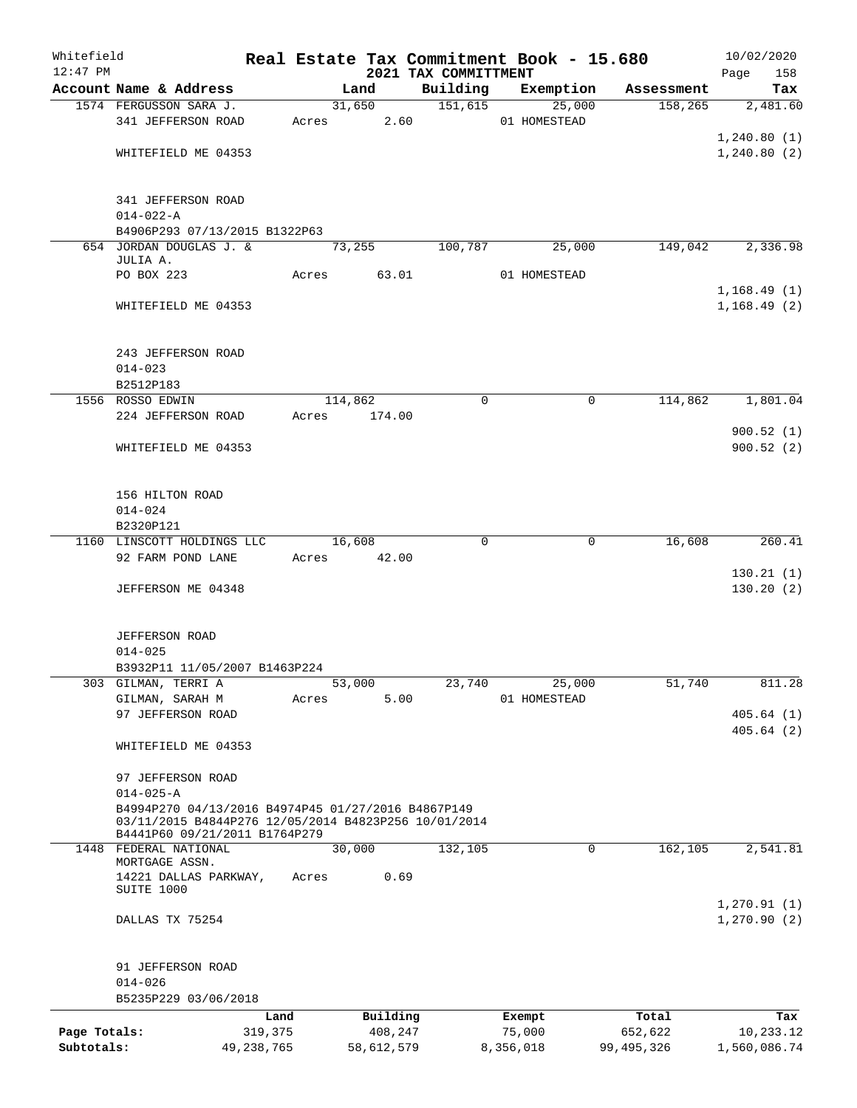| Whitefield   |                                                                                       |              |       |         |            |                                  |           | Real Estate Tax Commitment Book - 15.680 |                       | 10/02/2020         |
|--------------|---------------------------------------------------------------------------------------|--------------|-------|---------|------------|----------------------------------|-----------|------------------------------------------|-----------------------|--------------------|
| $12:47$ PM   | Account Name & Address                                                                |              |       | Land    |            | 2021 TAX COMMITTMENT<br>Building |           | Exemption                                |                       | 158<br>Page<br>Tax |
|              | 1574 FERGUSSON SARA J.                                                                |              |       | 31,650  |            | 151,615                          |           | 25,000                                   | Assessment<br>158,265 | 2,481.60           |
|              | 341 JEFFERSON ROAD                                                                    |              | Acres |         | 2.60       |                                  |           | 01 HOMESTEAD                             |                       |                    |
|              |                                                                                       |              |       |         |            |                                  |           |                                          |                       | 1,240.80(1)        |
|              | WHITEFIELD ME 04353                                                                   |              |       |         |            |                                  |           |                                          |                       | 1, 240.80(2)       |
|              |                                                                                       |              |       |         |            |                                  |           |                                          |                       |                    |
|              | 341 JEFFERSON ROAD                                                                    |              |       |         |            |                                  |           |                                          |                       |                    |
|              | $014 - 022 - A$                                                                       |              |       |         |            |                                  |           |                                          |                       |                    |
|              | B4906P293 07/13/2015 B1322P63                                                         |              |       |         |            |                                  |           |                                          |                       |                    |
|              | 654 JORDAN DOUGLAS J. &                                                               |              |       | 73,255  |            | 100,787                          |           | 25,000                                   | 149,042               | 2,336.98           |
|              | JULIA A.                                                                              |              |       |         |            |                                  |           |                                          |                       |                    |
|              | PO BOX 223                                                                            |              | Acres |         | 63.01      |                                  |           | 01 HOMESTEAD                             |                       |                    |
|              |                                                                                       |              |       |         |            |                                  |           |                                          |                       | 1,168.49(1)        |
|              | WHITEFIELD ME 04353                                                                   |              |       |         |            |                                  |           |                                          |                       | 1,168.49(2)        |
|              |                                                                                       |              |       |         |            |                                  |           |                                          |                       |                    |
|              |                                                                                       |              |       |         |            |                                  |           |                                          |                       |                    |
|              | 243 JEFFERSON ROAD                                                                    |              |       |         |            |                                  |           |                                          |                       |                    |
|              | $014 - 023$                                                                           |              |       |         |            |                                  |           |                                          |                       |                    |
|              | B2512P183                                                                             |              |       |         |            |                                  |           |                                          |                       |                    |
|              | 1556 ROSSO EDWIN                                                                      |              |       | 114,862 |            | $\mathbf 0$                      |           | 0                                        | 114,862               | 1,801.04           |
|              | 224 JEFFERSON ROAD                                                                    |              | Acres |         | 174.00     |                                  |           |                                          |                       |                    |
|              |                                                                                       |              |       |         |            |                                  |           |                                          |                       | 900.52(1)          |
|              | WHITEFIELD ME 04353                                                                   |              |       |         |            |                                  |           |                                          |                       | 900.52(2)          |
|              |                                                                                       |              |       |         |            |                                  |           |                                          |                       |                    |
|              |                                                                                       |              |       |         |            |                                  |           |                                          |                       |                    |
|              | 156 HILTON ROAD                                                                       |              |       |         |            |                                  |           |                                          |                       |                    |
|              | $014 - 024$                                                                           |              |       |         |            |                                  |           |                                          |                       |                    |
|              | B2320P121                                                                             |              |       |         |            |                                  |           |                                          |                       |                    |
|              | 1160 LINSCOTT HOLDINGS LLC                                                            |              |       | 16,608  |            | 0                                |           | 0                                        | 16,608                | 260.41             |
|              | 92 FARM POND LANE                                                                     |              | Acres |         | 42.00      |                                  |           |                                          |                       | 130.21(1)          |
|              | JEFFERSON ME 04348                                                                    |              |       |         |            |                                  |           |                                          |                       | 130.20(2)          |
|              |                                                                                       |              |       |         |            |                                  |           |                                          |                       |                    |
|              |                                                                                       |              |       |         |            |                                  |           |                                          |                       |                    |
|              | <b>JEFFERSON ROAD</b>                                                                 |              |       |         |            |                                  |           |                                          |                       |                    |
|              | $014 - 025$                                                                           |              |       |         |            |                                  |           |                                          |                       |                    |
|              | B3932P11 11/05/2007 B1463P224                                                         |              |       |         |            |                                  |           |                                          |                       |                    |
|              | 303 GILMAN, TERRI A                                                                   |              |       | 53,000  |            | 23,740                           |           | 25,000                                   | 51,740                | 811.28             |
|              | GILMAN, SARAH M                                                                       |              | Acres |         | 5.00       |                                  |           | 01 HOMESTEAD                             |                       |                    |
|              | 97 JEFFERSON ROAD                                                                     |              |       |         |            |                                  |           |                                          |                       | 405.64(1)          |
|              |                                                                                       |              |       |         |            |                                  |           |                                          |                       | 405.64(2)          |
|              | WHITEFIELD ME 04353                                                                   |              |       |         |            |                                  |           |                                          |                       |                    |
|              |                                                                                       |              |       |         |            |                                  |           |                                          |                       |                    |
|              | 97 JEFFERSON ROAD                                                                     |              |       |         |            |                                  |           |                                          |                       |                    |
|              | $014 - 025 - A$                                                                       |              |       |         |            |                                  |           |                                          |                       |                    |
|              | B4994P270 04/13/2016 B4974P45 01/27/2016 B4867P149                                    |              |       |         |            |                                  |           |                                          |                       |                    |
|              | 03/11/2015 B4844P276 12/05/2014 B4823P256 10/01/2014<br>B4441P60 09/21/2011 B1764P279 |              |       |         |            |                                  |           |                                          |                       |                    |
|              | 1448 FEDERAL NATIONAL                                                                 |              |       | 30,000  |            | 132,105                          |           | 0                                        | 162,105               | 2,541.81           |
|              | MORTGAGE ASSN.                                                                        |              |       |         |            |                                  |           |                                          |                       |                    |
|              | 14221 DALLAS PARKWAY,                                                                 |              | Acres |         | 0.69       |                                  |           |                                          |                       |                    |
|              | SUITE 1000                                                                            |              |       |         |            |                                  |           |                                          |                       |                    |
|              |                                                                                       |              |       |         |            |                                  |           |                                          |                       | 1, 270.91(1)       |
|              | DALLAS TX 75254                                                                       |              |       |         |            |                                  |           |                                          |                       | 1, 270.90(2)       |
|              |                                                                                       |              |       |         |            |                                  |           |                                          |                       |                    |
|              |                                                                                       |              |       |         |            |                                  |           |                                          |                       |                    |
|              | 91 JEFFERSON ROAD                                                                     |              |       |         |            |                                  |           |                                          |                       |                    |
|              | $014 - 026$                                                                           |              |       |         |            |                                  |           |                                          |                       |                    |
|              | B5235P229 03/06/2018                                                                  |              |       |         |            |                                  |           |                                          |                       |                    |
|              |                                                                                       | Land         |       |         | Building   |                                  |           | Exempt                                   | Total                 | Tax                |
| Page Totals: |                                                                                       | 319,375      |       |         | 408,247    |                                  |           | 75,000                                   | 652,622               | 10,233.12          |
| Subtotals:   |                                                                                       | 49, 238, 765 |       |         | 58,612,579 |                                  | 8,356,018 |                                          | 99,495,326            | 1,560,086.74       |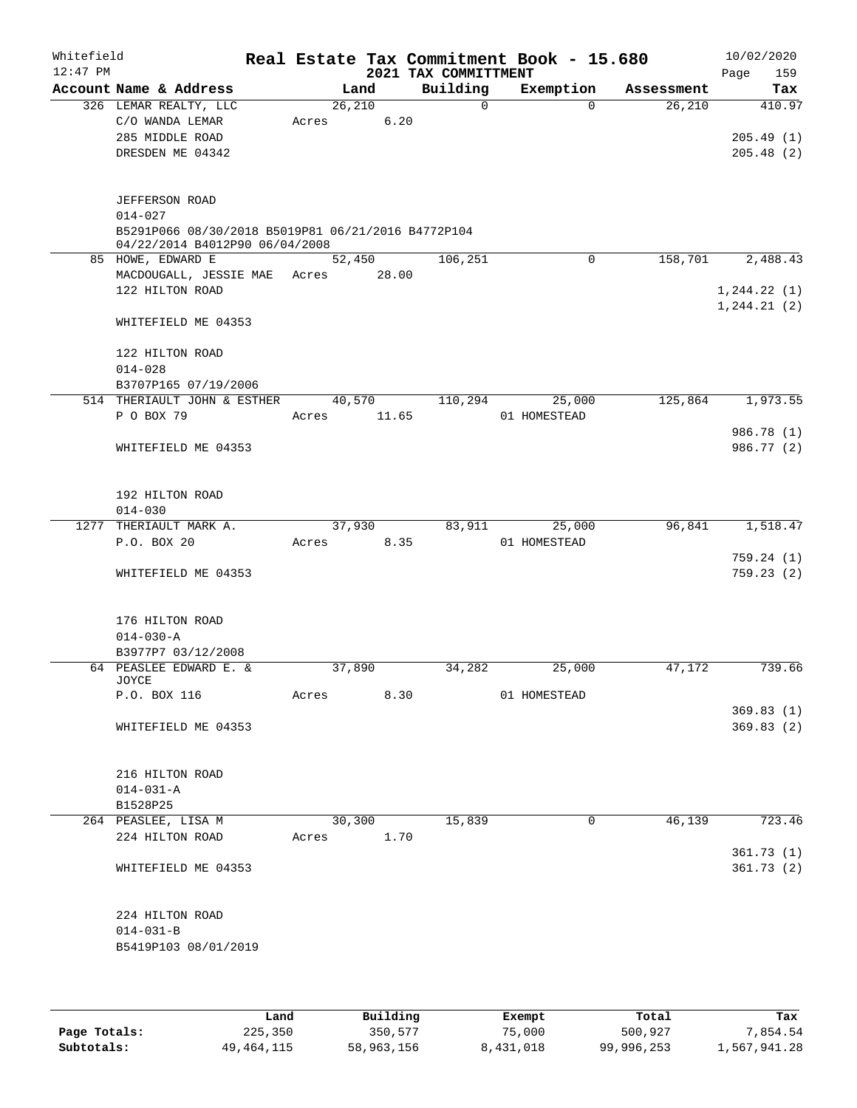| Whitefield<br>$12:47$ PM |                                                    |       |         | Real Estate Tax Commitment Book - 15.680 |              |             |                       | 10/02/2020         |
|--------------------------|----------------------------------------------------|-------|---------|------------------------------------------|--------------|-------------|-----------------------|--------------------|
|                          | Account Name & Address                             |       | Land    | 2021 TAX COMMITTMENT<br>Building         |              | Exemption   |                       | 159<br>Page<br>Tax |
|                          | 326 LEMAR REALTY, LLC                              |       | 26,210  |                                          | $\mathbf 0$  | $\Omega$    | Assessment<br>26, 210 | 410.97             |
|                          | C/O WANDA LEMAR                                    | Acres | 6.20    |                                          |              |             |                       |                    |
|                          | 285 MIDDLE ROAD                                    |       |         |                                          |              |             |                       | 205.49(1)          |
|                          | DRESDEN ME 04342                                   |       |         |                                          |              |             |                       | 205.48(2)          |
|                          |                                                    |       |         |                                          |              |             |                       |                    |
|                          |                                                    |       |         |                                          |              |             |                       |                    |
|                          | <b>JEFFERSON ROAD</b>                              |       |         |                                          |              |             |                       |                    |
|                          | $014 - 027$                                        |       |         |                                          |              |             |                       |                    |
|                          | B5291P066 08/30/2018 B5019P81 06/21/2016 B4772P104 |       |         |                                          |              |             |                       |                    |
|                          | 04/22/2014 B4012P90 06/04/2008                     |       |         |                                          |              |             |                       |                    |
|                          | 85 HOWE, EDWARD E                                  |       | 52,450  | 106,251                                  |              | $\mathbf 0$ | 158,701               | 2,488.43           |
|                          | MACDOUGALL, JESSIE MAE Acres                       |       | 28.00   |                                          |              |             |                       |                    |
|                          | 122 HILTON ROAD                                    |       |         |                                          |              |             |                       | 1, 244.22(1)       |
|                          |                                                    |       |         |                                          |              |             |                       | 1, 244.21(2)       |
|                          | WHITEFIELD ME 04353                                |       |         |                                          |              |             |                       |                    |
|                          |                                                    |       |         |                                          |              |             |                       |                    |
|                          | 122 HILTON ROAD                                    |       |         |                                          |              |             |                       |                    |
|                          | $014 - 028$                                        |       |         |                                          |              |             |                       |                    |
|                          | B3707P165 07/19/2006                               |       |         |                                          |              | 25,000      |                       |                    |
|                          | 514 THERIAULT JOHN & ESTHER<br>P O BOX 79          |       | 40,570  | 110,294                                  |              |             | 125,864               | 1,973.55           |
|                          |                                                    | Acres | 11.65   |                                          | 01 HOMESTEAD |             |                       | 986.78 (1)         |
|                          | WHITEFIELD ME 04353                                |       |         |                                          |              |             |                       | 986.77 (2)         |
|                          |                                                    |       |         |                                          |              |             |                       |                    |
|                          |                                                    |       |         |                                          |              |             |                       |                    |
|                          | 192 HILTON ROAD                                    |       |         |                                          |              |             |                       |                    |
|                          | $014 - 030$                                        |       |         |                                          |              |             |                       |                    |
|                          | 1277 THERIAULT MARK A.                             |       | 37,930  | 83,911                                   |              | 25,000      | 96,841                | 1,518.47           |
|                          | P.O. BOX 20                                        | Acres | 8.35    |                                          | 01 HOMESTEAD |             |                       |                    |
|                          |                                                    |       |         |                                          |              |             |                       | 759.24(1)          |
|                          | WHITEFIELD ME 04353                                |       |         |                                          |              |             |                       | 759.23(2)          |
|                          |                                                    |       |         |                                          |              |             |                       |                    |
|                          |                                                    |       |         |                                          |              |             |                       |                    |
|                          | 176 HILTON ROAD                                    |       |         |                                          |              |             |                       |                    |
|                          | $014 - 030 - A$                                    |       |         |                                          |              |             |                       |                    |
|                          | B3977P7 03/12/2008                                 |       |         |                                          |              |             |                       |                    |
|                          | 64 PEASLEE EDWARD E. &                             |       | 37,890  | 34,282                                   |              | 25,000      | 47,172                | 739.66             |
|                          | JOYCE<br>P.O. BOX 116                              | Acres | 8.30    |                                          | 01 HOMESTEAD |             |                       |                    |
|                          |                                                    |       |         |                                          |              |             |                       | 369.83(1)          |
|                          | WHITEFIELD ME 04353                                |       |         |                                          |              |             |                       | 369.83(2)          |
|                          |                                                    |       |         |                                          |              |             |                       |                    |
|                          |                                                    |       |         |                                          |              |             |                       |                    |
|                          | 216 HILTON ROAD                                    |       |         |                                          |              |             |                       |                    |
|                          | $014 - 031 - A$                                    |       |         |                                          |              |             |                       |                    |
|                          | B1528P25                                           |       |         |                                          |              |             |                       |                    |
|                          | 264 PEASLEE, LISA M                                |       | 30, 300 | 15,839                                   |              | 0           | 46,139                | 723.46             |
|                          | 224 HILTON ROAD                                    | Acres | 1.70    |                                          |              |             |                       |                    |
|                          |                                                    |       |         |                                          |              |             |                       | 361.73(1)          |
|                          | WHITEFIELD ME 04353                                |       |         |                                          |              |             |                       | 361.73(2)          |
|                          |                                                    |       |         |                                          |              |             |                       |                    |
|                          |                                                    |       |         |                                          |              |             |                       |                    |
|                          | 224 HILTON ROAD                                    |       |         |                                          |              |             |                       |                    |
|                          | $014 - 031 - B$                                    |       |         |                                          |              |             |                       |                    |
|                          | B5419P103 08/01/2019                               |       |         |                                          |              |             |                       |                    |
|                          |                                                    |       |         |                                          |              |             |                       |                    |
|                          |                                                    |       |         |                                          |              |             |                       |                    |

|              | Land       | Building   | Exempt    | Total      | Tax          |
|--------------|------------|------------|-----------|------------|--------------|
| Page Totals: | 225,350    | 350,577    | 75,000    | 500,927    | 7,854.54     |
| Subtotals:   | 49,464,115 | 58,963,156 | 8,431,018 | 99,996,253 | 1,567,941.28 |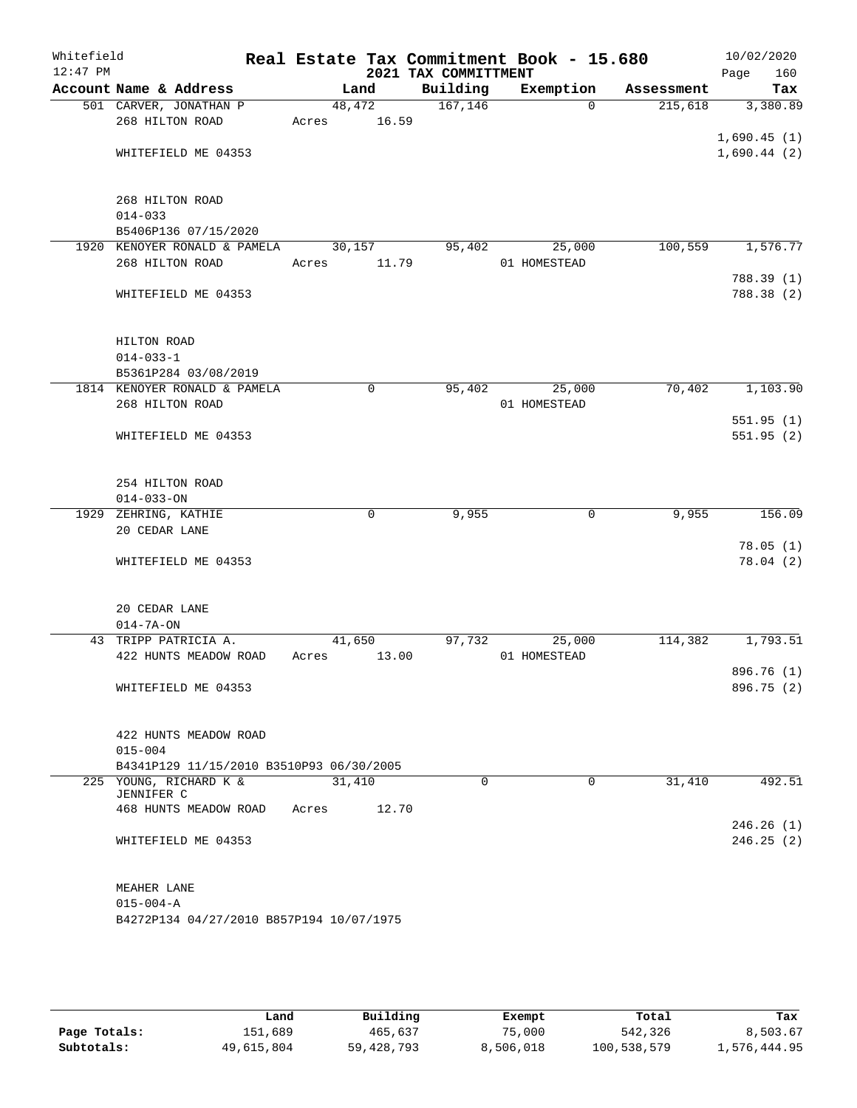| Whitefield |                                          |        |             |                      | Real Estate Tax Commitment Book - 15.680 |            | 10/02/2020               |
|------------|------------------------------------------|--------|-------------|----------------------|------------------------------------------|------------|--------------------------|
| $12:47$ PM |                                          |        |             | 2021 TAX COMMITTMENT |                                          |            | 160<br>Page              |
|            | Account Name & Address                   |        | Land        | Building             | Exemption                                | Assessment | Tax                      |
|            | 501 CARVER, JONATHAN P                   |        | 48,472      | 167, 146             | $\Omega$                                 | 215,618    | 3,380.89                 |
|            | 268 HILTON ROAD                          | Acres  | 16.59       |                      |                                          |            | 1,690.45(1)              |
|            | WHITEFIELD ME 04353                      |        |             |                      |                                          |            | 1,690.44(2)              |
|            |                                          |        |             |                      |                                          |            |                          |
|            |                                          |        |             |                      |                                          |            |                          |
|            | 268 HILTON ROAD                          |        |             |                      |                                          |            |                          |
|            | $014 - 033$                              |        |             |                      |                                          |            |                          |
|            | B5406P136 07/15/2020                     |        |             |                      |                                          |            |                          |
|            | 1920 KENOYER RONALD & PAMELA             |        | 30,157      | 95,402               | 25,000                                   | 100,559    | 1,576.77                 |
|            | 268 HILTON ROAD                          | Acres  | 11.79       |                      | 01 HOMESTEAD                             |            |                          |
|            |                                          |        |             |                      |                                          |            | 788.39 (1)<br>788.38 (2) |
|            | WHITEFIELD ME 04353                      |        |             |                      |                                          |            |                          |
|            |                                          |        |             |                      |                                          |            |                          |
|            | HILTON ROAD                              |        |             |                      |                                          |            |                          |
|            | $014 - 033 - 1$                          |        |             |                      |                                          |            |                          |
|            | B5361P284 03/08/2019                     |        |             |                      |                                          |            |                          |
|            | 1814 KENOYER RONALD & PAMELA             |        | $\mathbf 0$ | 95,402               | 25,000                                   | 70,402     | 1,103.90                 |
|            | 268 HILTON ROAD                          |        |             |                      | 01 HOMESTEAD                             |            |                          |
|            |                                          |        |             |                      |                                          |            | 551.95(1)                |
|            | WHITEFIELD ME 04353                      |        |             |                      |                                          |            | 551.95(2)                |
|            |                                          |        |             |                      |                                          |            |                          |
|            | 254 HILTON ROAD                          |        |             |                      |                                          |            |                          |
|            | $014 - 033 - ON$                         |        |             |                      |                                          |            |                          |
|            | 1929 ZEHRING, KATHIE                     |        | $\mathbf 0$ | 9,955                | 0                                        | 9,955      | 156.09                   |
|            | 20 CEDAR LANE                            |        |             |                      |                                          |            |                          |
|            |                                          |        |             |                      |                                          |            | 78.05(1)                 |
|            | WHITEFIELD ME 04353                      |        |             |                      |                                          |            | 78.04(2)                 |
|            |                                          |        |             |                      |                                          |            |                          |
|            | 20 CEDAR LANE                            |        |             |                      |                                          |            |                          |
|            | $014 - 7A - ON$                          |        |             |                      |                                          |            |                          |
|            | 43 TRIPP PATRICIA A.                     |        | 41,650      | 97,732               | 25,000                                   | 114,382    | 1,793.51                 |
|            | 422 HUNTS MEADOW ROAD                    | Acres  | 13.00       |                      | 01 HOMESTEAD                             |            |                          |
|            |                                          |        |             |                      |                                          |            | 896.76 (1)               |
|            | WHITEFIELD ME 04353                      |        |             |                      |                                          |            | 896.75 (2)               |
|            |                                          |        |             |                      |                                          |            |                          |
|            | 422 HUNTS MEADOW ROAD                    |        |             |                      |                                          |            |                          |
|            | $015 - 004$                              |        |             |                      |                                          |            |                          |
|            | B4341P129 11/15/2010 B3510P93 06/30/2005 |        |             |                      |                                          |            |                          |
|            | 225 YOUNG, RICHARD K &                   | 31,410 |             | 0                    | 0                                        | 31,410     | 492.51                   |
|            | JENNIFER C                               |        |             |                      |                                          |            |                          |
|            | 468 HUNTS MEADOW ROAD                    | Acres  | 12.70       |                      |                                          |            |                          |
|            | WHITEFIELD ME 04353                      |        |             |                      |                                          |            | 246.26(1)<br>246.25(2)   |
|            |                                          |        |             |                      |                                          |            |                          |
|            |                                          |        |             |                      |                                          |            |                          |
|            | MEAHER LANE                              |        |             |                      |                                          |            |                          |
|            | $015 - 004 - A$                          |        |             |                      |                                          |            |                          |
|            | B4272P134 04/27/2010 B857P194 10/07/1975 |        |             |                      |                                          |            |                          |
|            |                                          |        |             |                      |                                          |            |                          |
|            |                                          |        |             |                      |                                          |            |                          |

|              | Land       | Building     | Exempt    | Total       | Tax          |
|--------------|------------|--------------|-----------|-------------|--------------|
| Page Totals: | 151,689    | 465,637      | 75,000    | 542,326     | 8,503.67     |
| Subtotals:   | 49,615,804 | 59, 428, 793 | 8,506,018 | 100,538,579 | 1,576,444.95 |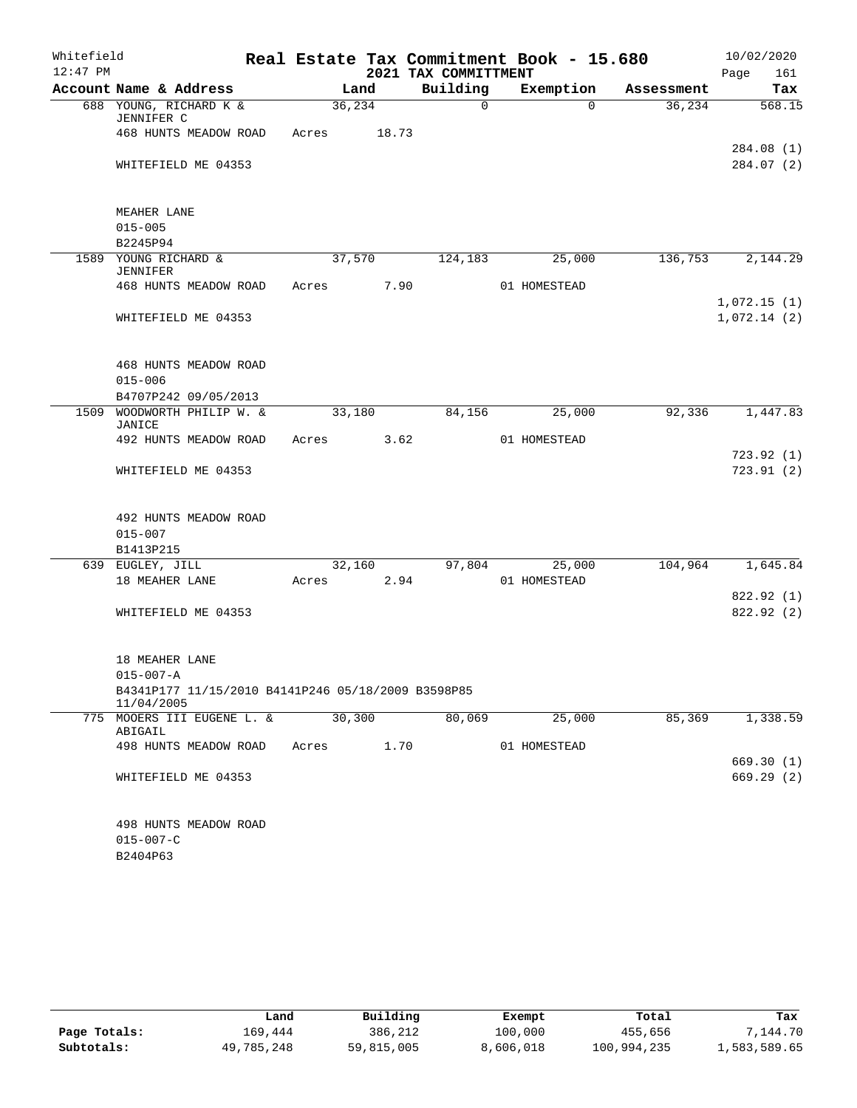| Whitefield |                                                                  |       |         |                      | Real Estate Tax Commitment Book - 15.680 |            | 10/02/2020                 |
|------------|------------------------------------------------------------------|-------|---------|----------------------|------------------------------------------|------------|----------------------------|
| $12:47$ PM |                                                                  |       |         | 2021 TAX COMMITTMENT |                                          |            | 161<br>Page                |
|            | Account Name & Address                                           |       | Land    | Building             | Exemption                                | Assessment | Tax                        |
|            | 688 YOUNG, RICHARD K &<br>JENNIFER C                             |       | 36, 234 | $\mathsf{O}$         | $\Omega$                                 | 36,234     | 568.15                     |
|            | 468 HUNTS MEADOW ROAD                                            | Acres | 18.73   |                      |                                          |            |                            |
|            | WHITEFIELD ME 04353                                              |       |         |                      |                                          |            | 284.08(1)<br>284.07(2)     |
|            |                                                                  |       |         |                      |                                          |            |                            |
|            | MEAHER LANE<br>$015 - 005$                                       |       |         |                      |                                          |            |                            |
|            | B2245P94                                                         |       |         |                      |                                          |            |                            |
|            | 1589 YOUNG RICHARD &<br><b>JENNIFER</b>                          |       | 37,570  | 124,183              | 25,000                                   | 136,753    | 2,144.29                   |
|            | 468 HUNTS MEADOW ROAD                                            | Acres | 7.90    |                      | 01 HOMESTEAD                             |            |                            |
|            | WHITEFIELD ME 04353                                              |       |         |                      |                                          |            | 1,072.15(1)<br>1,072.14(2) |
|            | 468 HUNTS MEADOW ROAD                                            |       |         |                      |                                          |            |                            |
|            | $015 - 006$                                                      |       |         |                      |                                          |            |                            |
|            | B4707P242 09/05/2013                                             |       |         |                      |                                          |            |                            |
|            | 1509 WOODWORTH PHILIP W. &<br><b>JANICE</b>                      |       | 33,180  | 84,156               | 25,000                                   | 92,336     | 1,447.83                   |
|            | 492 HUNTS MEADOW ROAD                                            | Acres | 3.62    |                      | 01 HOMESTEAD                             |            |                            |
|            | WHITEFIELD ME 04353                                              |       |         |                      |                                          |            | 723.92(1)<br>723.91(2)     |
|            | 492 HUNTS MEADOW ROAD                                            |       |         |                      |                                          |            |                            |
|            | $015 - 007$                                                      |       |         |                      |                                          |            |                            |
|            | B1413P215                                                        |       |         |                      |                                          |            |                            |
|            | 639 EUGLEY, JILL                                                 |       | 32,160  | 97,804               | 25,000                                   | 104,964    | 1,645.84                   |
|            | 18 MEAHER LANE                                                   | Acres | 2.94    |                      | 01 HOMESTEAD                             |            |                            |
|            | WHITEFIELD ME 04353                                              |       |         |                      |                                          |            | 822.92 (1)<br>822.92 (2)   |
|            |                                                                  |       |         |                      |                                          |            |                            |
|            | 18 MEAHER LANE<br>$015 - 007 - A$                                |       |         |                      |                                          |            |                            |
|            | B4341P177 11/15/2010 B4141P246 05/18/2009 B3598P85<br>11/04/2005 |       |         |                      |                                          |            |                            |
|            | 775 MOOERS III EUGENE L. &<br>ABIGAIL                            |       | 30, 300 | 80,069               | 25,000                                   | 85,369     | 1,338.59                   |
|            | 498 HUNTS MEADOW ROAD                                            | Acres | 1.70    |                      | 01 HOMESTEAD                             |            |                            |
|            |                                                                  |       |         |                      |                                          |            | 669.30(1)                  |
|            | WHITEFIELD ME 04353                                              |       |         |                      |                                          |            | 669.29 (2)                 |
|            | 498 HUNTS MEADOW ROAD                                            |       |         |                      |                                          |            |                            |
|            | $015 - 007 - C$                                                  |       |         |                      |                                          |            |                            |
|            | B2404P63                                                         |       |         |                      |                                          |            |                            |

|              | Land       | Building   | Exempt    | Total       | Tax          |
|--------------|------------|------------|-----------|-------------|--------------|
| Page Totals: | 169.444    | 386,212    | 100,000   | 455,656     | 7,144.70     |
| Subtotals:   | 49,785,248 | 59,815,005 | 8,606,018 | 100,994,235 | 1,583,589.65 |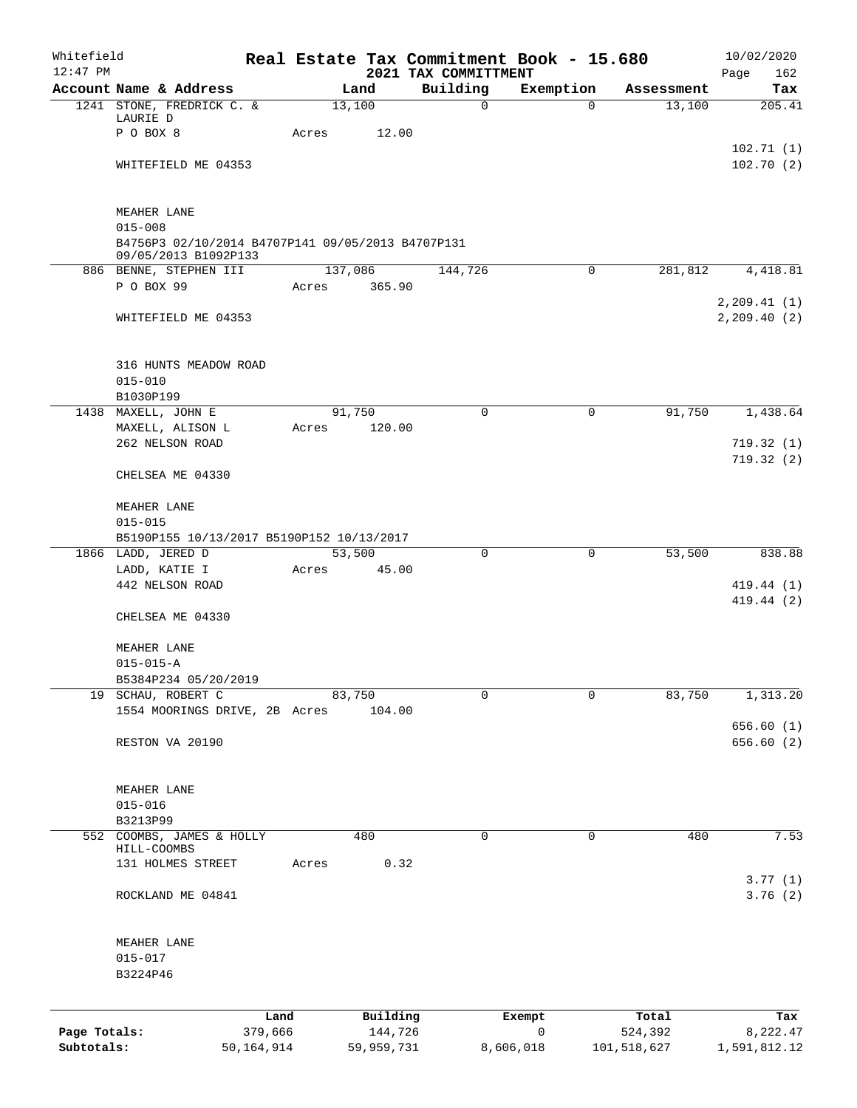| Whitefield<br>$12:47$ PM |                                                                                          |            |       |            |                                  | Real Estate Tax Commitment Book - 15.680 |             |            | 10/02/2020                   |
|--------------------------|------------------------------------------------------------------------------------------|------------|-------|------------|----------------------------------|------------------------------------------|-------------|------------|------------------------------|
|                          | Account Name & Address                                                                   |            |       | Land       | 2021 TAX COMMITTMENT<br>Building | Exemption                                |             | Assessment | Page<br>162<br>Tax           |
|                          | 1241 STONE, FREDRICK C. &                                                                |            |       | 13,100     | $\mathbf 0$                      | $\Omega$                                 |             | 13,100     | 205.41                       |
|                          | LAURIE D<br>P O BOX 8                                                                    |            | Acres | 12.00      |                                  |                                          |             |            |                              |
|                          |                                                                                          |            |       |            |                                  |                                          |             |            | 102.71(1)                    |
|                          | WHITEFIELD ME 04353                                                                      |            |       |            |                                  |                                          |             |            | 102.70(2)                    |
|                          | MEAHER LANE                                                                              |            |       |            |                                  |                                          |             |            |                              |
|                          | $015 - 008$<br>B4756P3 02/10/2014 B4707P141 09/05/2013 B4707P131<br>09/05/2013 B1092P133 |            |       |            |                                  |                                          |             |            |                              |
|                          | 886 BENNE, STEPHEN III                                                                   |            |       | 137,086    | 144,726                          | 0                                        |             | 281,812    | 4,418.81                     |
|                          | P O BOX 99                                                                               |            | Acres | 365.90     |                                  |                                          |             |            |                              |
|                          | WHITEFIELD ME 04353                                                                      |            |       |            |                                  |                                          |             |            | 2, 209.41(1)<br>2, 209.40(2) |
|                          | 316 HUNTS MEADOW ROAD                                                                    |            |       |            |                                  |                                          |             |            |                              |
|                          | $015 - 010$<br>B1030P199                                                                 |            |       |            |                                  |                                          |             |            |                              |
|                          | 1438 MAXELL, JOHN E                                                                      |            |       | 91,750     | $\Omega$                         | $\mathbf 0$                              |             | 91,750     | 1,438.64                     |
|                          | MAXELL, ALISON L                                                                         |            | Acres | 120.00     |                                  |                                          |             |            |                              |
|                          | 262 NELSON ROAD                                                                          |            |       |            |                                  |                                          |             |            | 719.32(1)                    |
|                          | CHELSEA ME 04330                                                                         |            |       |            |                                  |                                          |             |            | 719.32(2)                    |
|                          | MEAHER LANE                                                                              |            |       |            |                                  |                                          |             |            |                              |
|                          | $015 - 015$                                                                              |            |       |            |                                  |                                          |             |            |                              |
|                          | B5190P155 10/13/2017 B5190P152 10/13/2017                                                |            |       |            |                                  |                                          |             |            |                              |
|                          | 1866 LADD, JERED D                                                                       |            |       | 53,500     | $\mathbf 0$                      | $\mathbf 0$                              |             | 53,500     | 838.88                       |
|                          | LADD, KATIE I<br>442 NELSON ROAD                                                         |            | Acres | 45.00      |                                  |                                          |             |            | 419.44 (1)                   |
|                          | CHELSEA ME 04330                                                                         |            |       |            |                                  |                                          |             |            | 419.44 (2)                   |
|                          |                                                                                          |            |       |            |                                  |                                          |             |            |                              |
|                          | MEAHER LANE                                                                              |            |       |            |                                  |                                          |             |            |                              |
|                          | $015 - 015 - A$                                                                          |            |       |            |                                  |                                          |             |            |                              |
|                          | B5384P234 05/20/2019<br>19 SCHAU, ROBERT C                                               |            |       | 83,750     | 0                                | 0                                        |             | 83,750     | 1,313.20                     |
|                          | 1554 MOORINGS DRIVE, 2B Acres                                                            |            |       | 104.00     |                                  |                                          |             |            |                              |
|                          |                                                                                          |            |       |            |                                  |                                          |             |            | 656.60 (1)                   |
|                          | RESTON VA 20190                                                                          |            |       |            |                                  |                                          |             |            | 656.60 (2)                   |
|                          | MEAHER LANE                                                                              |            |       |            |                                  |                                          |             |            |                              |
|                          | $015 - 016$                                                                              |            |       |            |                                  |                                          |             |            |                              |
| 552                      | B3213P99<br>COOMBS, JAMES & HOLLY                                                        |            |       | 480        | 0                                | $\mathbf 0$                              |             | 480        | 7.53                         |
|                          | HILL-COOMBS                                                                              |            |       |            |                                  |                                          |             |            |                              |
|                          | 131 HOLMES STREET                                                                        |            | Acres | 0.32       |                                  |                                          |             |            |                              |
|                          | ROCKLAND ME 04841                                                                        |            |       |            |                                  |                                          |             |            | 3.77(1)<br>3.76(2)           |
|                          |                                                                                          |            |       |            |                                  |                                          |             |            |                              |
|                          | MEAHER LANE                                                                              |            |       |            |                                  |                                          |             |            |                              |
|                          | $015 - 017$<br>B3224P46                                                                  |            |       |            |                                  |                                          |             |            |                              |
|                          |                                                                                          |            |       |            |                                  |                                          |             |            |                              |
|                          |                                                                                          | Land       |       | Building   |                                  | Exempt                                   |             | Total      | Tax                          |
| Page Totals:             |                                                                                          | 379,666    |       | 144,726    |                                  | $\mathsf{O}$                             |             | 524,392    | 8,222.47                     |
| Subtotals:               |                                                                                          | 50,164,914 |       | 59,959,731 |                                  | 8,606,018                                | 101,518,627 |            | 1,591,812.12                 |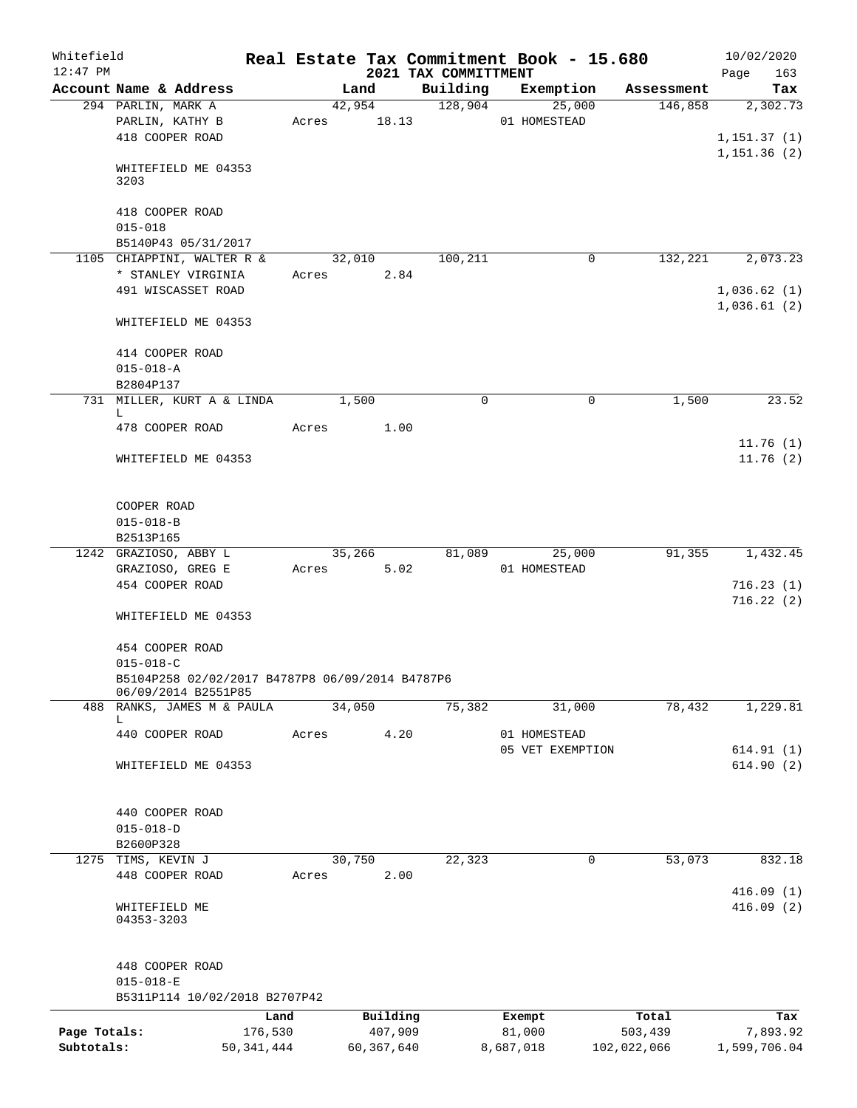| Whitefield   |                                                                        |                 |             |        |                     |                                  | Real Estate Tax Commitment Book - 15.680 |                  | 10/02/2020                  |
|--------------|------------------------------------------------------------------------|-----------------|-------------|--------|---------------------|----------------------------------|------------------------------------------|------------------|-----------------------------|
| $12:47$ PM   | Account Name & Address                                                 |                 |             | Land   |                     | 2021 TAX COMMITTMENT<br>Building | Exemption                                | Assessment       | 163<br>Page<br>Tax          |
|              | 294 PARLIN, MARK A                                                     |                 |             | 42,954 |                     | 128,904                          | 25,000                                   | 146,858          | 2,302.73                    |
|              | PARLIN, KATHY B                                                        |                 | Acres 18.13 |        |                     |                                  | 01 HOMESTEAD                             |                  |                             |
|              | 418 COOPER ROAD                                                        |                 |             |        |                     |                                  |                                          |                  | 1, 151.37(1)<br>1,151.36(2) |
|              | WHITEFIELD ME 04353<br>3203                                            |                 |             |        |                     |                                  |                                          |                  |                             |
|              | 418 COOPER ROAD                                                        |                 |             |        |                     |                                  |                                          |                  |                             |
|              | $015 - 018$<br>B5140P43 05/31/2017                                     |                 |             |        |                     |                                  |                                          |                  |                             |
|              | 1105 CHIAPPINI, WALTER R &                                             |                 |             | 32,010 |                     | 100,211                          | 0                                        | 132,221          | 2,073.23                    |
|              | * STANLEY VIRGINIA                                                     |                 | Acres       |        | 2.84                |                                  |                                          |                  |                             |
|              | 491 WISCASSET ROAD                                                     |                 |             |        |                     |                                  |                                          |                  | 1,036.62(1)                 |
|              | WHITEFIELD ME 04353                                                    |                 |             |        |                     |                                  |                                          |                  | 1,036.61(2)                 |
|              | 414 COOPER ROAD                                                        |                 |             |        |                     |                                  |                                          |                  |                             |
|              | $015 - 018 - A$                                                        |                 |             |        |                     |                                  |                                          |                  |                             |
|              | B2804P137                                                              |                 |             |        |                     |                                  |                                          |                  |                             |
|              | 731 MILLER, KURT A & LINDA                                             |                 |             | 1,500  |                     | $\mathbf 0$                      | 0                                        | 1,500            | 23.52                       |
|              | L.<br>478 COOPER ROAD                                                  |                 | Acres       |        | 1.00                |                                  |                                          |                  |                             |
|              | WHITEFIELD ME 04353                                                    |                 |             |        |                     |                                  |                                          |                  | 11.76(1)<br>11.76(2)        |
|              | COOPER ROAD                                                            |                 |             |        |                     |                                  |                                          |                  |                             |
|              | $015 - 018 - B$                                                        |                 |             |        |                     |                                  |                                          |                  |                             |
|              | B2513P165                                                              |                 |             |        |                     |                                  |                                          |                  |                             |
|              | 1242 GRAZIOSO, ABBY L                                                  |                 |             | 35,266 |                     |                                  | 81,089 25,000                            | 91,355           | 1,432.45                    |
|              | GRAZIOSO, GREG E<br>454 COOPER ROAD                                    |                 | Acres       |        | 5.02                |                                  | 01 HOMESTEAD                             |                  | 716.23(1)                   |
|              |                                                                        |                 |             |        |                     |                                  |                                          |                  | 716.22(2)                   |
|              | WHITEFIELD ME 04353                                                    |                 |             |        |                     |                                  |                                          |                  |                             |
|              | 454 COOPER ROAD<br>$015 - 018 - C$                                     |                 |             |        |                     |                                  |                                          |                  |                             |
|              | B5104P258 02/02/2017 B4787P8 06/09/2014 B4787P6<br>06/09/2014 B2551P85 |                 |             |        |                     |                                  |                                          |                  |                             |
| 488          | RANKS, JAMES M & PAULA                                                 |                 |             | 34,050 |                     | 75,382                           | 31,000                                   | 78,432           | 1,229.81                    |
|              | L.<br>440 COOPER ROAD                                                  |                 | Acres       |        | 4.20                |                                  | 01 HOMESTEAD                             |                  |                             |
|              |                                                                        |                 |             |        |                     |                                  | 05 VET EXEMPTION                         |                  | 614.91(1)                   |
|              | WHITEFIELD ME 04353                                                    |                 |             |        |                     |                                  |                                          |                  | 614.90(2)                   |
|              | 440 COOPER ROAD                                                        |                 |             |        |                     |                                  |                                          |                  |                             |
|              | $015 - 018 - D$                                                        |                 |             |        |                     |                                  |                                          |                  |                             |
|              | B2600P328                                                              |                 |             |        |                     |                                  |                                          |                  |                             |
| 1275         | TIMS, KEVIN J<br>448 COOPER ROAD                                       |                 | Acres       | 30,750 | 2.00                | 22,323                           | 0                                        | 53,073           | 832.18                      |
|              |                                                                        |                 |             |        |                     |                                  |                                          |                  | 416.09(1)                   |
|              | WHITEFIELD ME<br>04353-3203                                            |                 |             |        |                     |                                  |                                          |                  | 416.09(2)                   |
|              | 448 COOPER ROAD                                                        |                 |             |        |                     |                                  |                                          |                  |                             |
|              | $015 - 018 - E$                                                        |                 |             |        |                     |                                  |                                          |                  |                             |
|              | B5311P114 10/02/2018 B2707P42                                          |                 |             |        |                     |                                  |                                          |                  |                             |
| Page Totals: |                                                                        | Land<br>176,530 |             |        | Building<br>407,909 |                                  | Exempt<br>81,000                         | Total<br>503,439 | Tax<br>7,893.92             |
| Subtotals:   |                                                                        | 50, 341, 444    |             |        | 60,367,640          |                                  | 8,687,018                                | 102,022,066      | 1,599,706.04                |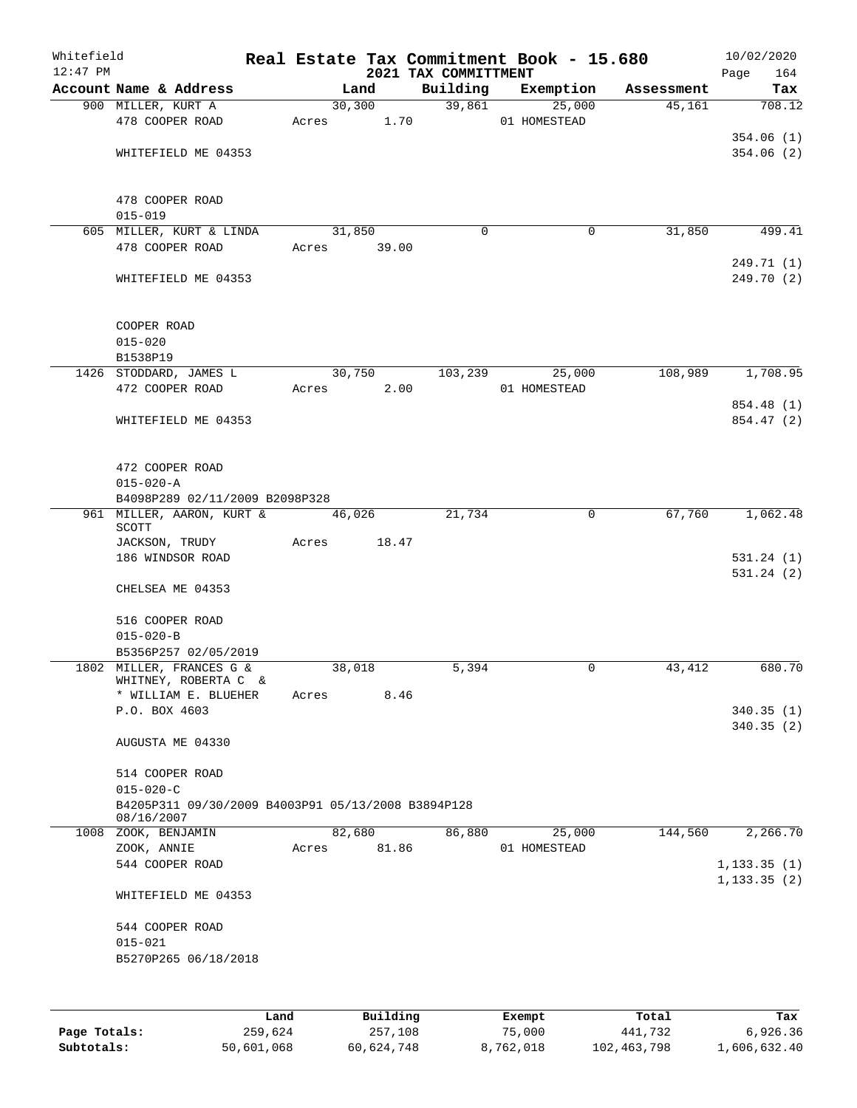| Whitefield<br>$12:47$ PM |                                                    |             |                                   |                                  | Real Estate Tax Commitment Book - 15.680 |            | 10/02/2020         |
|--------------------------|----------------------------------------------------|-------------|-----------------------------------|----------------------------------|------------------------------------------|------------|--------------------|
|                          | Account Name & Address                             |             | Land                              | 2021 TAX COMMITTMENT<br>Building | Exemption                                | Assessment | Page<br>164<br>Tax |
|                          | 900 MILLER, KURT A                                 |             | 30,300                            |                                  | 39,861<br>25,000                         | 45,161     | 708.12             |
|                          | 478 COOPER ROAD                                    | Acres 1.70  |                                   |                                  | 01 HOMESTEAD                             |            |                    |
|                          |                                                    |             |                                   |                                  |                                          |            | 354.06(1)          |
|                          | WHITEFIELD ME 04353                                |             |                                   |                                  |                                          |            | 354.06(2)          |
|                          |                                                    |             |                                   |                                  |                                          |            |                    |
|                          |                                                    |             |                                   |                                  |                                          |            |                    |
|                          | 478 COOPER ROAD                                    |             |                                   |                                  |                                          |            |                    |
|                          | $015 - 019$                                        |             |                                   |                                  |                                          |            |                    |
|                          | 605 MILLER, KURT & LINDA<br>478 COOPER ROAD        | Acres 39.00 | 31,850                            | $\Omega$                         | 0                                        | 31,850     | 499.41             |
|                          |                                                    |             |                                   |                                  |                                          |            | 249.71 (1)         |
|                          | WHITEFIELD ME 04353                                |             |                                   |                                  |                                          |            | 249.70 (2)         |
|                          |                                                    |             |                                   |                                  |                                          |            |                    |
|                          |                                                    |             |                                   |                                  |                                          |            |                    |
|                          | COOPER ROAD                                        |             |                                   |                                  |                                          |            |                    |
|                          | $015 - 020$                                        |             |                                   |                                  |                                          |            |                    |
|                          | B1538P19                                           |             |                                   |                                  |                                          |            |                    |
|                          | 1426 STODDARD, JAMES L<br>472 COOPER ROAD          |             | 30,750<br>2.00                    | 103,239                          | 25,000                                   | 108,989    | 1,708.95           |
|                          |                                                    | Acres       |                                   |                                  | 01 HOMESTEAD                             |            | 854.48 (1)         |
|                          | WHITEFIELD ME 04353                                |             |                                   |                                  |                                          |            | 854.47 (2)         |
|                          |                                                    |             |                                   |                                  |                                          |            |                    |
|                          |                                                    |             |                                   |                                  |                                          |            |                    |
|                          | 472 COOPER ROAD                                    |             |                                   |                                  |                                          |            |                    |
|                          | $015 - 020 - A$                                    |             |                                   |                                  |                                          |            |                    |
|                          | B4098P289 02/11/2009 B2098P328                     |             |                                   |                                  |                                          |            |                    |
|                          | 961 MILLER, AARON, KURT &<br>SCOTT                 |             | 46,026                            | 21,734                           | $\mathbf 0$                              | 67,760     | 1,062.48           |
|                          | JACKSON, TRUDY                                     | Acres       | 18.47                             |                                  |                                          |            |                    |
|                          | 186 WINDSOR ROAD                                   |             |                                   |                                  |                                          |            | 531.24(1)          |
|                          |                                                    |             |                                   |                                  |                                          |            | 531.24(2)          |
|                          | CHELSEA ME 04353                                   |             |                                   |                                  |                                          |            |                    |
|                          | 516 COOPER ROAD                                    |             |                                   |                                  |                                          |            |                    |
|                          | $015 - 020 - B$                                    |             |                                   |                                  |                                          |            |                    |
|                          | B5356P257 02/05/2019                               |             |                                   |                                  |                                          |            |                    |
|                          | 1802 MILLER, FRANCES G &                           |             | 38,018                            | 5,394                            | 0                                        | 43,412     | 680.70             |
|                          | WHITNEY, ROBERTA C &                               |             |                                   |                                  |                                          |            |                    |
|                          | * WILLIAM E. BLUEHER                               | Acres       | 8.46                              |                                  |                                          |            |                    |
|                          | P.O. BOX 4603                                      |             |                                   |                                  |                                          |            | 340.35(1)          |
|                          | AUGUSTA ME 04330                                   |             |                                   |                                  |                                          |            | 340.35(2)          |
|                          |                                                    |             |                                   |                                  |                                          |            |                    |
|                          | 514 COOPER ROAD                                    |             |                                   |                                  |                                          |            |                    |
|                          | $015 - 020 - C$                                    |             |                                   |                                  |                                          |            |                    |
|                          | B4205P311 09/30/2009 B4003P91 05/13/2008 B3894P128 |             |                                   |                                  |                                          |            |                    |
|                          | 08/16/2007                                         |             |                                   |                                  |                                          |            |                    |
|                          | 1008 ZOOK, BENJAMIN                                |             | 82,680                            | 86,880                           | 25,000                                   | 144,560    | 2,266.70           |
|                          | ZOOK, ANNIE<br>544 COOPER ROAD                     | Acres       | 81.86                             |                                  | 01 HOMESTEAD                             |            | 1, 133.35(1)       |
|                          |                                                    |             |                                   |                                  |                                          |            | 1, 133.35(2)       |
|                          | WHITEFIELD ME 04353                                |             |                                   |                                  |                                          |            |                    |
|                          |                                                    |             |                                   |                                  |                                          |            |                    |
|                          | 544 COOPER ROAD                                    |             |                                   |                                  |                                          |            |                    |
|                          | $015 - 021$                                        |             |                                   |                                  |                                          |            |                    |
|                          | B5270P265 06/18/2018                               |             |                                   |                                  |                                          |            |                    |
|                          |                                                    |             |                                   |                                  |                                          |            |                    |
|                          |                                                    | <b>Tond</b> | $P_{\text{rel}}$ $R_{\text{rel}}$ |                                  | $F$ vomnt                                | $T - 1$    | Tov                |

|              | Land       | Building   | Exempt    | Total       | Tax          |
|--------------|------------|------------|-----------|-------------|--------------|
| Page Totals: | 259,624    | 257,108    | 75,000    | 441,732     | 6,926.36     |
| Subtotals:   | 50,601,068 | 60,624,748 | 8,762,018 | 102,463,798 | 1,606,632.40 |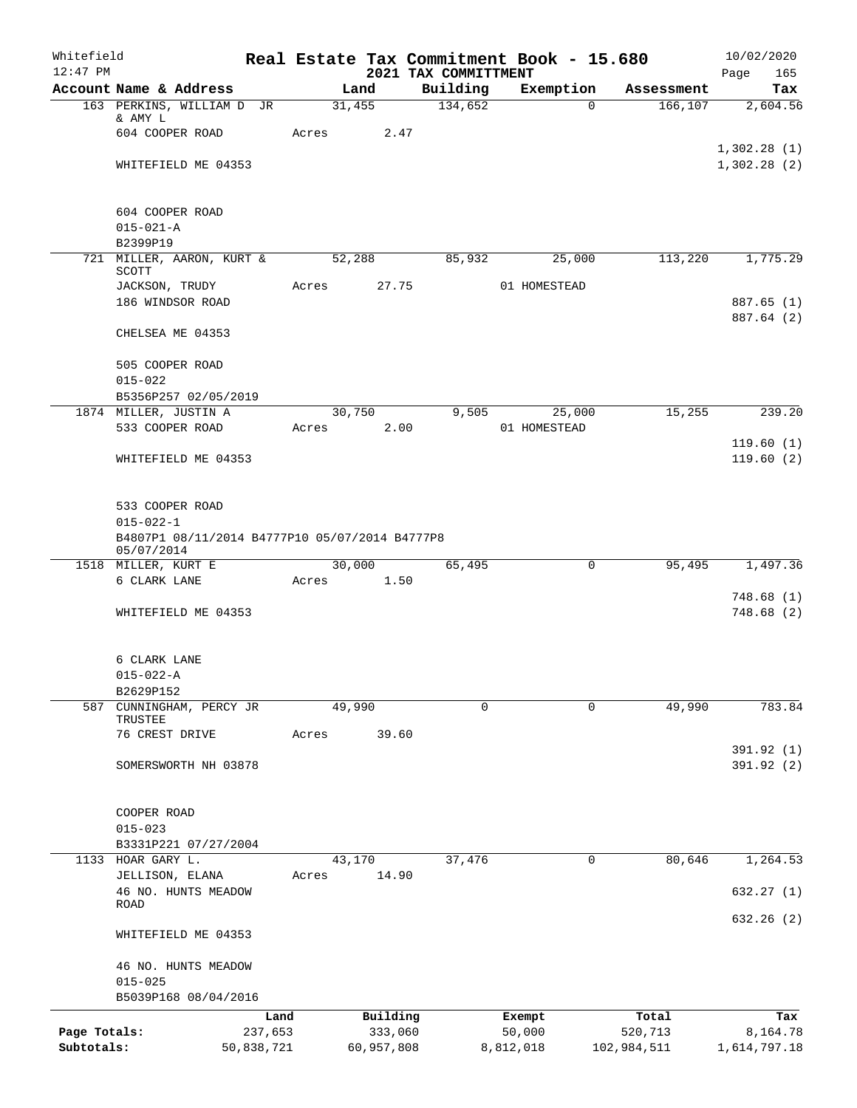| Whitefield<br>$12:47$ PM |                                                |            |       |            | 2021 TAX COMMITTMENT | Real Estate Tax Commitment Book - 15.680 |                       | 10/02/2020<br>165<br>Page |
|--------------------------|------------------------------------------------|------------|-------|------------|----------------------|------------------------------------------|-----------------------|---------------------------|
|                          | Account Name & Address                         |            |       | Land       | Building             | Exemption                                | Assessment            | Tax                       |
|                          | 163 PERKINS, WILLIAM D JR                      |            |       | 31,455     | 134,652              |                                          | 166, 107<br>$\Omega$  | 2,604.56                  |
|                          | & AMY L                                        |            |       |            |                      |                                          |                       |                           |
|                          | 604 COOPER ROAD                                |            | Acres |            | 2.47                 |                                          |                       | 1,302.28(1)               |
|                          | WHITEFIELD ME 04353                            |            |       |            |                      |                                          |                       | 1,302.28(2)               |
|                          |                                                |            |       |            |                      |                                          |                       |                           |
|                          |                                                |            |       |            |                      |                                          |                       |                           |
|                          | 604 COOPER ROAD                                |            |       |            |                      |                                          |                       |                           |
|                          | $015 - 021 - A$                                |            |       |            |                      |                                          |                       |                           |
|                          | B2399P19<br>721 MILLER, AARON, KURT &          |            |       | 52,288     |                      | 25,000                                   | 113,220               | 1,775.29                  |
|                          | SCOTT                                          |            |       |            | 85,932               |                                          |                       |                           |
|                          | JACKSON, TRUDY                                 |            | Acres |            | 27.75                | 01 HOMESTEAD                             |                       |                           |
|                          | 186 WINDSOR ROAD                               |            |       |            |                      |                                          |                       | 887.65 (1)                |
|                          |                                                |            |       |            |                      |                                          |                       | 887.64 (2)                |
|                          | CHELSEA ME 04353                               |            |       |            |                      |                                          |                       |                           |
|                          | 505 COOPER ROAD                                |            |       |            |                      |                                          |                       |                           |
|                          | $015 - 022$                                    |            |       |            |                      |                                          |                       |                           |
|                          | B5356P257 02/05/2019                           |            |       |            |                      |                                          |                       |                           |
|                          | 1874 MILLER, JUSTIN A                          |            |       | 30,750     | 9.505                | 25,000                                   | 15,255                | 239.20                    |
|                          | 533 COOPER ROAD                                |            | Acres |            | 2.00                 | 01 HOMESTEAD                             |                       |                           |
|                          |                                                |            |       |            |                      |                                          |                       | 119.60(1)                 |
|                          | WHITEFIELD ME 04353                            |            |       |            |                      |                                          |                       | 119.60(2)                 |
|                          |                                                |            |       |            |                      |                                          |                       |                           |
|                          | 533 COOPER ROAD                                |            |       |            |                      |                                          |                       |                           |
|                          | $015 - 022 - 1$                                |            |       |            |                      |                                          |                       |                           |
|                          | B4807P1 08/11/2014 B4777P10 05/07/2014 B4777P8 |            |       |            |                      |                                          |                       |                           |
|                          | 05/07/2014                                     |            |       | 30,000     |                      |                                          |                       |                           |
|                          | 1518 MILLER, KURT E<br>6 CLARK LANE            |            | Acres |            | 65,495<br>1.50       |                                          | 95,495<br>0           | 1,497.36                  |
|                          |                                                |            |       |            |                      |                                          |                       | 748.68(1)                 |
|                          | WHITEFIELD ME 04353                            |            |       |            |                      |                                          |                       | 748.68(2)                 |
|                          |                                                |            |       |            |                      |                                          |                       |                           |
|                          |                                                |            |       |            |                      |                                          |                       |                           |
|                          | 6 CLARK LANE                                   |            |       |            |                      |                                          |                       |                           |
|                          | $015 - 022 - A$<br>B2629P152                   |            |       |            |                      |                                          |                       |                           |
|                          | 587 CUNNINGHAM, PERCY JR                       |            |       | 49,990     |                      | $\Omega$                                 | 49,990<br>$\Omega$    | 783.84                    |
|                          | TRUSTEE                                        |            |       |            |                      |                                          |                       |                           |
|                          | 76 CREST DRIVE                                 |            | Acres | 39.60      |                      |                                          |                       |                           |
|                          |                                                |            |       |            |                      |                                          |                       | 391.92 (1)                |
|                          | SOMERSWORTH NH 03878                           |            |       |            |                      |                                          |                       | 391.92(2)                 |
|                          |                                                |            |       |            |                      |                                          |                       |                           |
|                          | COOPER ROAD                                    |            |       |            |                      |                                          |                       |                           |
|                          | $015 - 023$                                    |            |       |            |                      |                                          |                       |                           |
|                          | B3331P221 07/27/2004                           |            |       |            |                      |                                          |                       |                           |
|                          | 1133 HOAR GARY L.                              |            |       | 43,170     | 37,476               |                                          | $\mathbf 0$<br>80,646 | 1,264.53                  |
|                          | JELLISON, ELANA<br>46 NO. HUNTS MEADOW         |            | Acres | 14.90      |                      |                                          |                       | 632.27(1)                 |
|                          | ROAD                                           |            |       |            |                      |                                          |                       |                           |
|                          |                                                |            |       |            |                      |                                          |                       | 632.26(2)                 |
|                          | WHITEFIELD ME 04353                            |            |       |            |                      |                                          |                       |                           |
|                          |                                                |            |       |            |                      |                                          |                       |                           |
|                          | 46 NO. HUNTS MEADOW<br>$015 - 025$             |            |       |            |                      |                                          |                       |                           |
|                          | B5039P168 08/04/2016                           |            |       |            |                      |                                          |                       |                           |
|                          |                                                | Land       |       | Building   |                      | Exempt                                   | Total                 | Tax                       |
| Page Totals:             |                                                | 237,653    |       | 333,060    |                      | 50,000                                   | 520,713               | 8,164.78                  |
| Subtotals:               |                                                | 50,838,721 |       | 60,957,808 |                      | 8,812,018                                | 102,984,511           | 1,614,797.18              |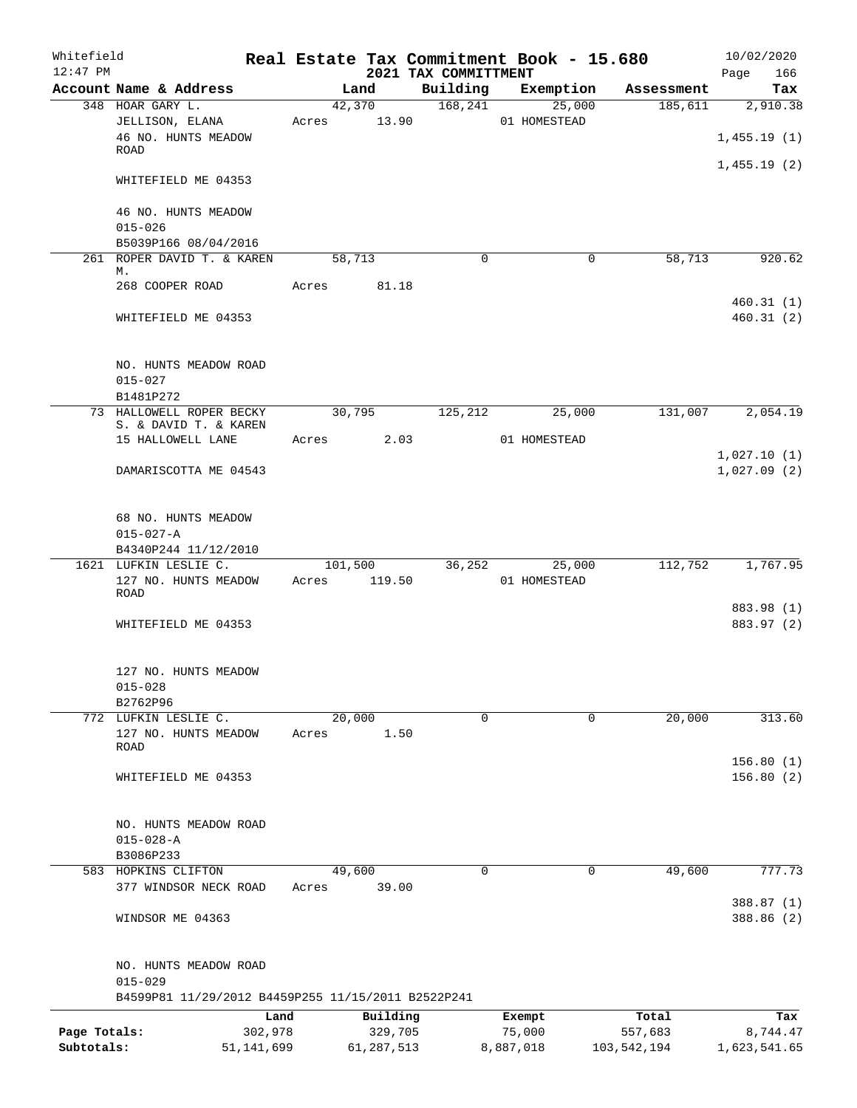| Whitefield<br>$12:47$ PM |                                                              |         |                   | 2021 TAX COMMITTMENT | Real Estate Tax Commitment Book - 15.680 |             | 10/02/2020<br>Page<br>166  |
|--------------------------|--------------------------------------------------------------|---------|-------------------|----------------------|------------------------------------------|-------------|----------------------------|
|                          | Account Name & Address                                       |         | Land              | Building             | Exemption                                | Assessment  | Tax                        |
|                          | 348 HOAR GARY L.                                             |         | 42,370            |                      | 168,241<br>25,000                        | 185,611     | 2,910.38                   |
|                          | JELLISON, ELANA<br>46 NO. HUNTS MEADOW                       | Acres   | 13.90             |                      | 01 HOMESTEAD                             |             | 1,455.19(1)                |
|                          | <b>ROAD</b>                                                  |         |                   |                      |                                          |             |                            |
|                          | WHITEFIELD ME 04353                                          |         |                   |                      |                                          |             | 1,455.19(2)                |
|                          | 46 NO. HUNTS MEADOW<br>$015 - 026$                           |         |                   |                      |                                          |             |                            |
|                          | B5039P166 08/04/2016                                         |         |                   |                      |                                          |             |                            |
|                          | 261 ROPER DAVID T. & KAREN                                   |         | 58,713            | $\Omega$             | $\mathbf 0$                              | 58,713      | 920.62                     |
|                          | М.<br>268 COOPER ROAD                                        | Acres   | 81.18             |                      |                                          |             |                            |
|                          | WHITEFIELD ME 04353                                          |         |                   |                      |                                          |             | 460.31(1)<br>460.31(2)     |
|                          | NO. HUNTS MEADOW ROAD                                        |         |                   |                      |                                          |             |                            |
|                          | $015 - 027$<br>B1481P272                                     |         |                   |                      |                                          |             |                            |
|                          | 73 HALLOWELL ROPER BECKY                                     |         | 30,795            | 125,212              | 25,000                                   | 131,007     | 2,054.19                   |
|                          | S. & DAVID T. & KAREN<br>15 HALLOWELL LANE                   | Acres   | 2.03              |                      | 01 HOMESTEAD                             |             |                            |
|                          | DAMARISCOTTA ME 04543                                        |         |                   |                      |                                          |             | 1,027.10(1)<br>1,027.09(2) |
|                          | 68 NO. HUNTS MEADOW                                          |         |                   |                      |                                          |             |                            |
|                          | $015 - 027 - A$                                              |         |                   |                      |                                          |             |                            |
|                          | B4340P244 11/12/2010                                         |         |                   |                      |                                          |             |                            |
|                          | 1621 LUFKIN LESLIE C.<br>127 NO. HUNTS MEADOW<br><b>ROAD</b> | Acres   | 101,500<br>119.50 | 36,252               | 25,000<br>01 HOMESTEAD                   | 112,752     | 1,767.95                   |
|                          |                                                              |         |                   |                      |                                          |             | 883.98 (1)                 |
|                          | WHITEFIELD ME 04353                                          |         |                   |                      |                                          |             | 883.97 (2)                 |
|                          | 127 NO. HUNTS MEADOW<br>$015 - 028$                          |         |                   |                      |                                          |             |                            |
|                          | B2762P96                                                     |         |                   |                      |                                          |             |                            |
|                          | 772 LUFKIN LESLIE C.                                         |         | 20,000            | 0                    | $\mathbf 0$                              | 20,000      | 313.60                     |
|                          | 127 NO. HUNTS MEADOW<br>ROAD                                 | Acres   | 1.50              |                      |                                          |             |                            |
|                          | WHITEFIELD ME 04353                                          |         |                   |                      |                                          |             | 156.80(1)<br>156.80(2)     |
|                          | NO. HUNTS MEADOW ROAD<br>$015 - 028 - A$                     |         |                   |                      |                                          |             |                            |
|                          | B3086P233                                                    |         |                   |                      |                                          |             |                            |
|                          | 583 HOPKINS CLIFTON                                          |         | 49,600            | 0                    | $\mathbf 0$                              | 49,600      | 777.73                     |
|                          | 377 WINDSOR NECK ROAD                                        | Acres   | 39.00             |                      |                                          |             | 388.87 (1)                 |
|                          | WINDSOR ME 04363                                             |         |                   |                      |                                          |             | 388.86 (2)                 |
|                          | NO. HUNTS MEADOW ROAD<br>$015 - 029$                         |         |                   |                      |                                          |             |                            |
|                          | B4599P81 11/29/2012 B4459P255 11/15/2011 B2522P241           |         |                   |                      |                                          |             |                            |
|                          |                                                              | Land    | Building          |                      | Exempt                                   | Total       | Tax                        |
| Page Totals:             |                                                              | 302,978 | 329,705           |                      | 75,000                                   | 557,683     | 8,744.47                   |
| Subtotals:               | 51, 141, 699                                                 |         | 61, 287, 513      |                      | 8,887,018                                | 103,542,194 | 1,623,541.65               |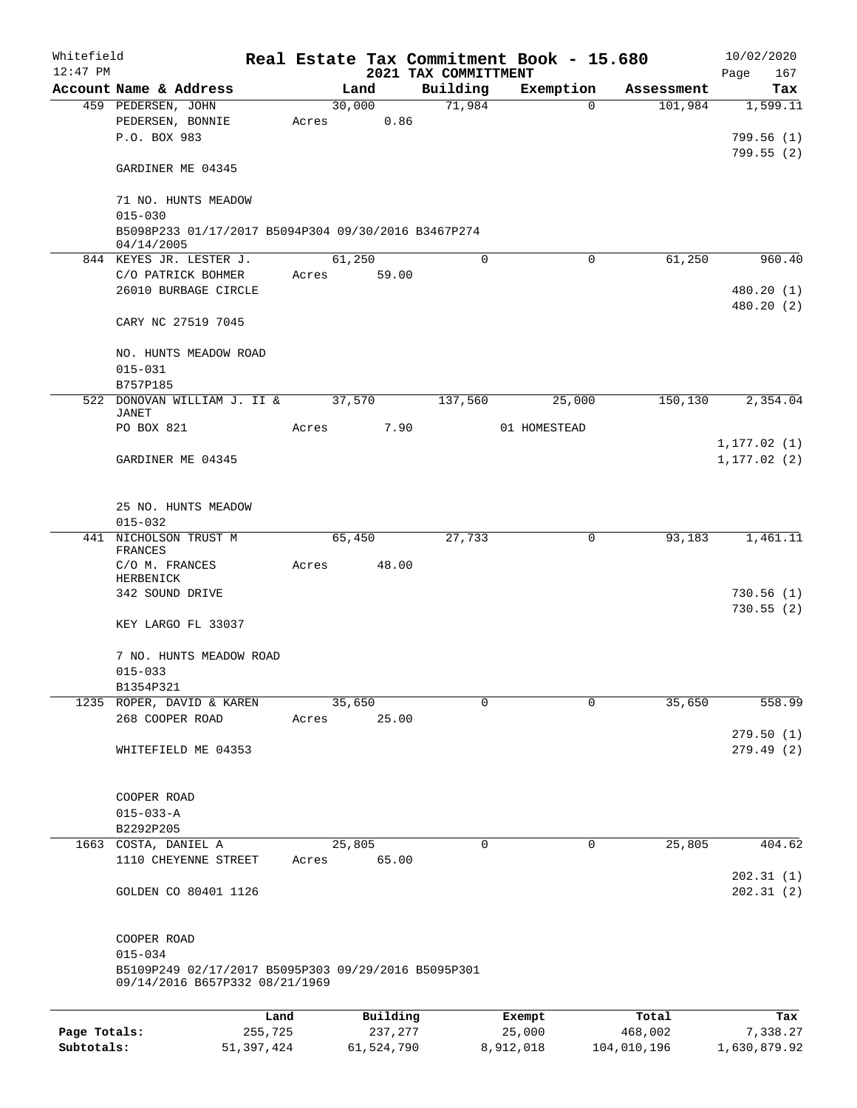| Whitefield<br>$12:47$ PM |                                                                                       |            |       |        |            | 2021 TAX COMMITTMENT |   | Real Estate Tax Commitment Book - 15.680 |             |             | 10/02/2020<br>167 |
|--------------------------|---------------------------------------------------------------------------------------|------------|-------|--------|------------|----------------------|---|------------------------------------------|-------------|-------------|-------------------|
|                          | Account Name & Address                                                                |            |       | Land   |            | Building             |   | Exemption                                |             | Assessment  | Page<br>Tax       |
|                          | 459 PEDERSEN, JOHN                                                                    |            |       | 30,000 |            | 71,984               |   |                                          | $\Omega$    | 101,984     | 1,599.11          |
|                          | PEDERSEN, BONNIE                                                                      |            | Acres |        | 0.86       |                      |   |                                          |             |             |                   |
|                          | P.O. BOX 983                                                                          |            |       |        |            |                      |   |                                          |             |             | 799.56(1)         |
|                          |                                                                                       |            |       |        |            |                      |   |                                          |             |             | 799.55(2)         |
|                          | GARDINER ME 04345                                                                     |            |       |        |            |                      |   |                                          |             |             |                   |
|                          | 71 NO. HUNTS MEADOW                                                                   |            |       |        |            |                      |   |                                          |             |             |                   |
|                          | $015 - 030$                                                                           |            |       |        |            |                      |   |                                          |             |             |                   |
|                          | B5098P233 01/17/2017 B5094P304 09/30/2016 B3467P274<br>04/14/2005                     |            |       |        |            |                      |   |                                          |             |             |                   |
|                          | 844 KEYES JR. LESTER J.                                                               |            |       | 61,250 |            |                      | 0 |                                          | $\mathbf 0$ | 61,250      | 960.40            |
|                          | C/O PATRICK BOHMER                                                                    |            | Acres |        | 59.00      |                      |   |                                          |             |             |                   |
|                          | 26010 BURBAGE CIRCLE                                                                  |            |       |        |            |                      |   |                                          |             |             | 480.20 (1)        |
|                          |                                                                                       |            |       |        |            |                      |   |                                          |             |             | 480.20 (2)        |
|                          | CARY NC 27519 7045                                                                    |            |       |        |            |                      |   |                                          |             |             |                   |
|                          | NO. HUNTS MEADOW ROAD                                                                 |            |       |        |            |                      |   |                                          |             |             |                   |
|                          | $015 - 031$                                                                           |            |       |        |            |                      |   |                                          |             |             |                   |
|                          | B757P185                                                                              |            |       |        |            |                      |   |                                          |             |             |                   |
|                          | 522 DONOVAN WILLIAM J. II &                                                           |            |       | 37,570 |            | 137,560              |   | 25,000                                   |             | 150, 130    | 2,354.04          |
|                          | <b>JANET</b><br>PO BOX 821                                                            |            | Acres |        | 7.90       |                      |   | 01 HOMESTEAD                             |             |             |                   |
|                          |                                                                                       |            |       |        |            |                      |   |                                          |             |             | 1, 177.02(1)      |
|                          | GARDINER ME 04345                                                                     |            |       |        |            |                      |   |                                          |             |             | 1, 177.02(2)      |
|                          |                                                                                       |            |       |        |            |                      |   |                                          |             |             |                   |
|                          | 25 NO. HUNTS MEADOW                                                                   |            |       |        |            |                      |   |                                          |             |             |                   |
|                          | $015 - 032$                                                                           |            |       |        |            |                      |   |                                          |             |             |                   |
|                          | 441 NICHOLSON TRUST M<br>FRANCES                                                      |            |       | 65,450 |            | 27,733               |   |                                          | 0           | 93,183      | 1,461.11          |
|                          | C/O M. FRANCES                                                                        |            | Acres |        | 48.00      |                      |   |                                          |             |             |                   |
|                          | HERBENICK                                                                             |            |       |        |            |                      |   |                                          |             |             |                   |
|                          | 342 SOUND DRIVE                                                                       |            |       |        |            |                      |   |                                          |             |             | 730.56(1)         |
|                          | KEY LARGO FL 33037                                                                    |            |       |        |            |                      |   |                                          |             |             | 730.55(2)         |
|                          |                                                                                       |            |       |        |            |                      |   |                                          |             |             |                   |
|                          | 7 NO. HUNTS MEADOW ROAD                                                               |            |       |        |            |                      |   |                                          |             |             |                   |
|                          | $015 - 033$                                                                           |            |       |        |            |                      |   |                                          |             |             |                   |
|                          | B1354P321                                                                             |            |       |        |            |                      |   |                                          |             |             |                   |
|                          | 1235 ROPER, DAVID & KAREN                                                             |            |       | 35,650 |            |                      | 0 |                                          | $\Omega$    | 35,650      | 558.99            |
|                          | 268 COOPER ROAD                                                                       |            | Acres |        | 25.00      |                      |   |                                          |             |             |                   |
|                          |                                                                                       |            |       |        |            |                      |   |                                          |             |             | 279.50(1)         |
|                          | WHITEFIELD ME 04353                                                                   |            |       |        |            |                      |   |                                          |             |             | 279.49(2)         |
|                          |                                                                                       |            |       |        |            |                      |   |                                          |             |             |                   |
|                          | COOPER ROAD                                                                           |            |       |        |            |                      |   |                                          |             |             |                   |
|                          | $015 - 033 - A$<br>B2292P205                                                          |            |       |        |            |                      |   |                                          |             |             |                   |
| 1663                     | COSTA, DANIEL A                                                                       |            |       | 25,805 |            |                      | 0 |                                          | 0           | 25,805      | 404.62            |
|                          | 1110 CHEYENNE STREET                                                                  |            | Acres |        | 65.00      |                      |   |                                          |             |             |                   |
|                          |                                                                                       |            |       |        |            |                      |   |                                          |             |             | 202.31(1)         |
|                          | GOLDEN CO 80401 1126                                                                  |            |       |        |            |                      |   |                                          |             |             | 202.31(2)         |
|                          |                                                                                       |            |       |        |            |                      |   |                                          |             |             |                   |
|                          | COOPER ROAD                                                                           |            |       |        |            |                      |   |                                          |             |             |                   |
|                          | $015 - 034$                                                                           |            |       |        |            |                      |   |                                          |             |             |                   |
|                          | B5109P249 02/17/2017 B5095P303 09/29/2016 B5095P301<br>09/14/2016 B657P332 08/21/1969 |            |       |        |            |                      |   |                                          |             |             |                   |
|                          |                                                                                       |            |       |        |            |                      |   |                                          |             |             |                   |
|                          |                                                                                       | Land       |       |        | Building   |                      |   | Exempt                                   |             | Total       | Tax               |
| Page Totals:             |                                                                                       | 255,725    |       |        | 237,277    |                      |   | 25,000                                   |             | 468,002     | 7,338.27          |
| Subtotals:               |                                                                                       | 51,397,424 |       |        | 61,524,790 |                      |   | 8,912,018                                |             | 104,010,196 | 1,630,879.92      |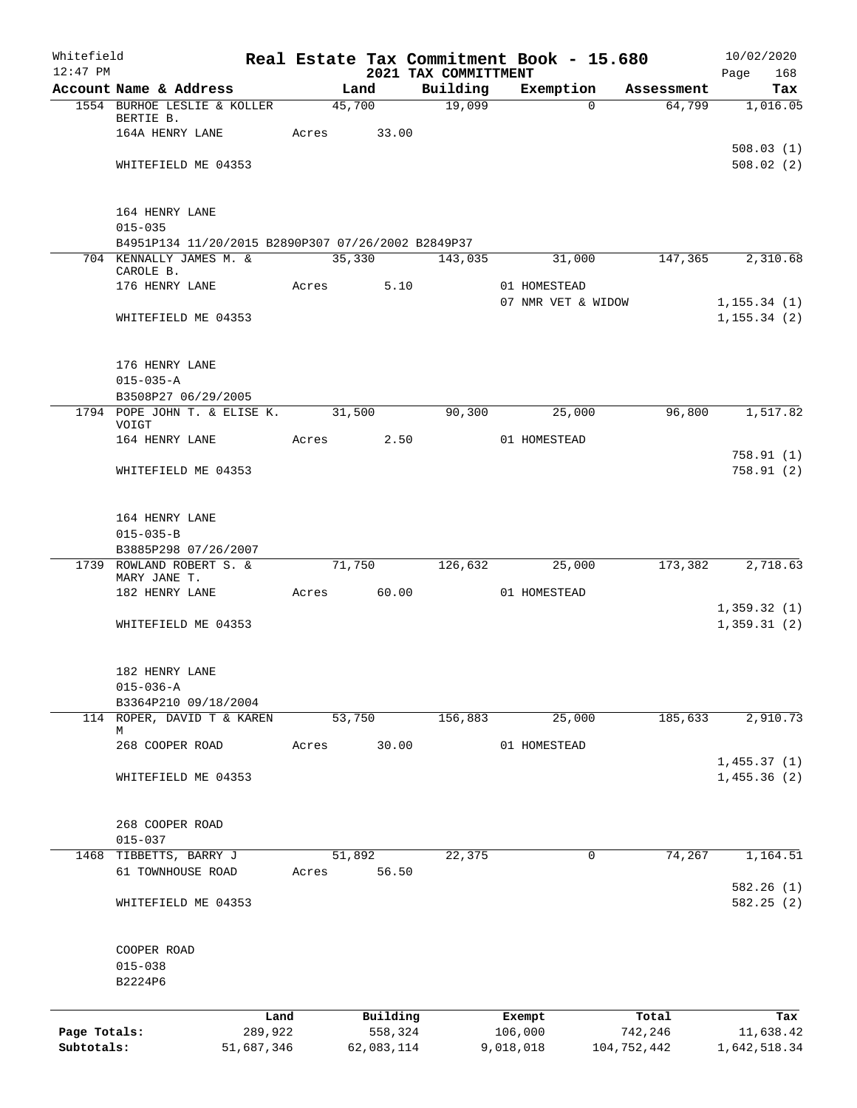| Whitefield   |                                                    |            |       |        |            |                                  | Real Estate Tax Commitment Book - 15.680 |             | 10/02/2020             |
|--------------|----------------------------------------------------|------------|-------|--------|------------|----------------------------------|------------------------------------------|-------------|------------------------|
| $12:47$ PM   | Account Name & Address                             |            |       | Land   |            | 2021 TAX COMMITTMENT<br>Building | Exemption                                | Assessment  | Page<br>168<br>Tax     |
|              | 1554 BURHOE LESLIE & KOLLER                        |            |       | 45,700 |            | 19,099                           | $\Omega$                                 | 64,799      | 1,016.05               |
|              | BERTIE B.                                          |            |       |        |            |                                  |                                          |             |                        |
|              | 164A HENRY LANE                                    |            | Acres |        | 33.00      |                                  |                                          |             |                        |
|              | WHITEFIELD ME 04353                                |            |       |        |            |                                  |                                          |             | 508.03(1)<br>508.02(2) |
|              |                                                    |            |       |        |            |                                  |                                          |             |                        |
|              | 164 HENRY LANE                                     |            |       |        |            |                                  |                                          |             |                        |
|              | $015 - 035$                                        |            |       |        |            |                                  |                                          |             |                        |
|              | B4951P134 11/20/2015 B2890P307 07/26/2002 B2849P37 |            |       |        |            |                                  |                                          |             |                        |
|              | 704 KENNALLY JAMES M. &<br>CAROLE B.               |            |       |        |            | 35,330 143,035                   | 31,000                                   | 147,365     | 2,310.68               |
|              | 176 HENRY LANE                                     |            | Acres |        | 5.10       |                                  | 01 HOMESTEAD                             |             |                        |
|              |                                                    |            |       |        |            |                                  | 07 NMR VET & WIDOW                       |             | 1, 155.34(1)           |
|              | WHITEFIELD ME 04353                                |            |       |        |            |                                  |                                          |             | 1, 155.34(2)           |
|              | 176 HENRY LANE                                     |            |       |        |            |                                  |                                          |             |                        |
|              | $015 - 035 - A$                                    |            |       |        |            |                                  |                                          |             |                        |
|              | B3508P27 06/29/2005                                |            |       |        |            |                                  |                                          |             |                        |
|              | 1794 POPE JOHN T. & ELISE K.<br>VOIGT              |            |       | 31,500 |            | 90,300                           | 25,000                                   | 96,800      | 1,517.82               |
|              | 164 HENRY LANE                                     |            | Acres |        | 2.50       |                                  | 01 HOMESTEAD                             |             |                        |
|              | WHITEFIELD ME 04353                                |            |       |        |            |                                  |                                          |             | 758.91(1)<br>758.91(2) |
|              |                                                    |            |       |        |            |                                  |                                          |             |                        |
|              | 164 HENRY LANE                                     |            |       |        |            |                                  |                                          |             |                        |
|              | $015 - 035 - B$<br>B3885P298 07/26/2007            |            |       |        |            |                                  |                                          |             |                        |
|              | 1739 ROWLAND ROBERT S. &                           |            |       | 71,750 |            | 126,632                          | 25,000                                   | 173,382     | 2,718.63               |
|              | MARY JANE T.                                       |            |       |        |            |                                  |                                          |             |                        |
|              | 182 HENRY LANE                                     |            | Acres |        | 60.00      |                                  | 01 HOMESTEAD                             |             | 1,359.32(1)            |
|              | WHITEFIELD ME 04353                                |            |       |        |            |                                  |                                          |             | 1,359.31(2)            |
|              | 182 HENRY LANE                                     |            |       |        |            |                                  |                                          |             |                        |
|              | $015 - 036 - A$                                    |            |       |        |            |                                  |                                          |             |                        |
|              | B3364P210 09/18/2004                               |            |       |        |            |                                  |                                          |             |                        |
|              | 114 ROPER, DAVID T & KAREN<br>М                    |            |       | 53,750 |            | 156,883                          | 25,000                                   | 185,633     | 2,910.73               |
|              | 268 COOPER ROAD                                    |            | Acres |        | 30.00      |                                  | 01 HOMESTEAD                             |             |                        |
|              |                                                    |            |       |        |            |                                  |                                          |             | 1,455.37(1)            |
|              | WHITEFIELD ME 04353                                |            |       |        |            |                                  |                                          |             | 1,455.36(2)            |
|              | 268 COOPER ROAD                                    |            |       |        |            |                                  |                                          |             |                        |
|              | $015 - 037$                                        |            |       |        |            |                                  |                                          |             |                        |
|              | 1468 TIBBETTS, BARRY J                             |            |       | 51,892 |            | 22,375                           | 0                                        | 74,267      | 1,164.51               |
|              | 61 TOWNHOUSE ROAD                                  |            | Acres |        | 56.50      |                                  |                                          |             | 582.26 (1)             |
|              | WHITEFIELD ME 04353                                |            |       |        |            |                                  |                                          |             | 582.25(2)              |
|              | COOPER ROAD                                        |            |       |        |            |                                  |                                          |             |                        |
|              | $015 - 038$                                        |            |       |        |            |                                  |                                          |             |                        |
|              | B2224P6                                            |            |       |        |            |                                  |                                          |             |                        |
|              |                                                    | Land       |       |        | Building   |                                  | Exempt                                   | Total       | Tax                    |
| Page Totals: |                                                    | 289,922    |       |        | 558,324    |                                  | 106,000                                  | 742,246     | 11,638.42              |
| Subtotals:   |                                                    | 51,687,346 |       |        | 62,083,114 |                                  | 9,018,018                                | 104,752,442 | 1,642,518.34           |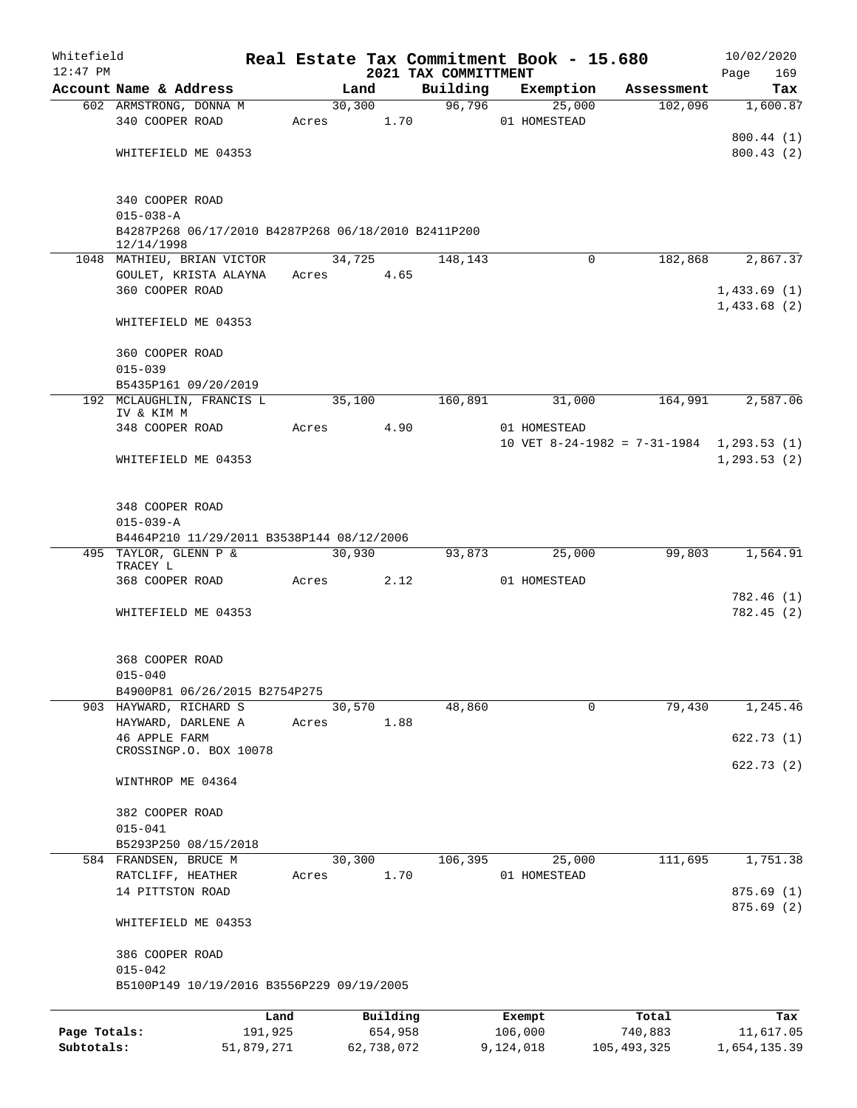| Whitefield   |                                            |                                                     |       |         |            |                                  |         | Real Estate Tax Commitment Book - 15.680 |                                           | 10/02/2020                 |                 |
|--------------|--------------------------------------------|-----------------------------------------------------|-------|---------|------------|----------------------------------|---------|------------------------------------------|-------------------------------------------|----------------------------|-----------------|
| $12:47$ PM   | Account Name & Address                     |                                                     |       | Land    |            | 2021 TAX COMMITTMENT<br>Building |         |                                          |                                           | Page                       | 169             |
|              | 602 ARMSTRONG, DONNA M                     |                                                     |       | 30, 300 |            |                                  | 96,796  | Exemption<br>25,000                      | Assessment<br>102,096                     |                            | Tax<br>1,600.87 |
|              | 340 COOPER ROAD                            |                                                     | Acres |         | 1.70       |                                  |         | 01 HOMESTEAD                             |                                           |                            |                 |
|              |                                            |                                                     |       |         |            |                                  |         |                                          |                                           | 800.44 (1)                 |                 |
|              | WHITEFIELD ME 04353                        |                                                     |       |         |            |                                  |         |                                          |                                           | 800.43(2)                  |                 |
|              |                                            |                                                     |       |         |            |                                  |         |                                          |                                           |                            |                 |
|              | 340 COOPER ROAD                            |                                                     |       |         |            |                                  |         |                                          |                                           |                            |                 |
|              | $015 - 038 - A$                            | B4287P268 06/17/2010 B4287P268 06/18/2010 B2411P200 |       |         |            |                                  |         |                                          |                                           |                            |                 |
|              | 12/14/1998                                 |                                                     |       |         |            |                                  |         |                                          |                                           |                            |                 |
|              | 1048 MATHIEU, BRIAN VICTOR                 |                                                     |       | 34,725  |            |                                  | 148,143 | $\mathbf 0$                              | 182,868                                   |                            | 2,867.37        |
|              | GOULET, KRISTA ALAYNA                      |                                                     | Acres |         | 4.65       |                                  |         |                                          |                                           |                            |                 |
|              | 360 COOPER ROAD                            |                                                     |       |         |            |                                  |         |                                          |                                           | 1,433.69(1)<br>1,433.68(2) |                 |
|              | WHITEFIELD ME 04353                        |                                                     |       |         |            |                                  |         |                                          |                                           |                            |                 |
|              | 360 COOPER ROAD                            |                                                     |       |         |            |                                  |         |                                          |                                           |                            |                 |
|              | $015 - 039$                                |                                                     |       |         |            |                                  |         |                                          |                                           |                            |                 |
|              | B5435P161 09/20/2019                       |                                                     |       |         |            |                                  |         |                                          |                                           |                            |                 |
|              | 192 MCLAUGHLIN, FRANCIS L<br>IV & KIM M    |                                                     |       | 35,100  |            |                                  | 160,891 | 31,000                                   | 164,991                                   |                            | 2,587.06        |
|              | 348 COOPER ROAD                            |                                                     | Acres |         | 4.90       |                                  |         | 01 HOMESTEAD                             |                                           |                            |                 |
|              |                                            |                                                     |       |         |            |                                  |         |                                          | 10 VET 8-24-1982 = 7-31-1984 1,293.53 (1) |                            |                 |
|              | WHITEFIELD ME 04353                        |                                                     |       |         |            |                                  |         |                                          |                                           | 1, 293.53(2)               |                 |
|              |                                            |                                                     |       |         |            |                                  |         |                                          |                                           |                            |                 |
|              | 348 COOPER ROAD                            |                                                     |       |         |            |                                  |         |                                          |                                           |                            |                 |
|              | $015 - 039 - A$                            | B4464P210 11/29/2011 B3538P144 08/12/2006           |       |         |            |                                  |         |                                          |                                           |                            |                 |
|              | 495 TAYLOR, GLENN P &                      |                                                     |       | 30,930  |            |                                  | 93,873  | 25,000                                   | 99,803                                    |                            | 1,564.91        |
|              | TRACEY L                                   |                                                     |       |         |            |                                  |         |                                          |                                           |                            |                 |
|              | 368 COOPER ROAD                            |                                                     | Acres |         | 2.12       |                                  |         | 01 HOMESTEAD                             |                                           | 782.46 (1)                 |                 |
|              | WHITEFIELD ME 04353                        |                                                     |       |         |            |                                  |         |                                          |                                           | 782.45(2)                  |                 |
|              |                                            |                                                     |       |         |            |                                  |         |                                          |                                           |                            |                 |
|              | 368 COOPER ROAD                            |                                                     |       |         |            |                                  |         |                                          |                                           |                            |                 |
|              | $015 - 040$                                |                                                     |       |         |            |                                  |         |                                          |                                           |                            |                 |
|              |                                            | B4900P81 06/26/2015 B2754P275                       |       |         |            |                                  |         |                                          |                                           |                            |                 |
|              | 903 HAYWARD, RICHARD S                     |                                                     |       | 30,570  |            |                                  | 48,860  | 0                                        | 79,430                                    |                            | 1,245.46        |
|              | HAYWARD, DARLENE A<br><b>46 APPLE FARM</b> |                                                     | Acres |         | 1.88       |                                  |         |                                          |                                           | 622.73(1)                  |                 |
|              | CROSSINGP.O. BOX 10078                     |                                                     |       |         |            |                                  |         |                                          |                                           |                            |                 |
|              | WINTHROP ME 04364                          |                                                     |       |         |            |                                  |         |                                          |                                           | 622.73 (2)                 |                 |
|              | 382 COOPER ROAD                            |                                                     |       |         |            |                                  |         |                                          |                                           |                            |                 |
|              | $015 - 041$                                |                                                     |       |         |            |                                  |         |                                          |                                           |                            |                 |
|              | B5293P250 08/15/2018                       |                                                     |       |         |            |                                  |         |                                          |                                           |                            |                 |
|              | 584 FRANDSEN, BRUCE M                      |                                                     |       | 30,300  |            |                                  | 106,395 | 25,000                                   | 111,695                                   |                            | 1,751.38        |
|              | RATCLIFF, HEATHER                          |                                                     | Acres |         | 1.70       |                                  |         | 01 HOMESTEAD                             |                                           |                            |                 |
|              | 14 PITTSTON ROAD                           |                                                     |       |         |            |                                  |         |                                          |                                           | 875.69(1)                  |                 |
|              | WHITEFIELD ME 04353                        |                                                     |       |         |            |                                  |         |                                          |                                           | 875.69 (2)                 |                 |
|              | 386 COOPER ROAD                            |                                                     |       |         |            |                                  |         |                                          |                                           |                            |                 |
|              | $015 - 042$                                |                                                     |       |         |            |                                  |         |                                          |                                           |                            |                 |
|              |                                            | B5100P149 10/19/2016 B3556P229 09/19/2005           |       |         |            |                                  |         |                                          |                                           |                            |                 |
|              |                                            | Land                                                |       |         | Building   |                                  |         | Exempt                                   | Total                                     |                            | Tax             |
| Page Totals: |                                            | 191,925                                             |       |         | 654,958    |                                  |         | 106,000                                  | 740,883                                   |                            | 11,617.05       |
| Subtotals:   |                                            | 51,879,271                                          |       |         | 62,738,072 |                                  |         | 9,124,018                                | 105,493,325                               | 1,654,135.39               |                 |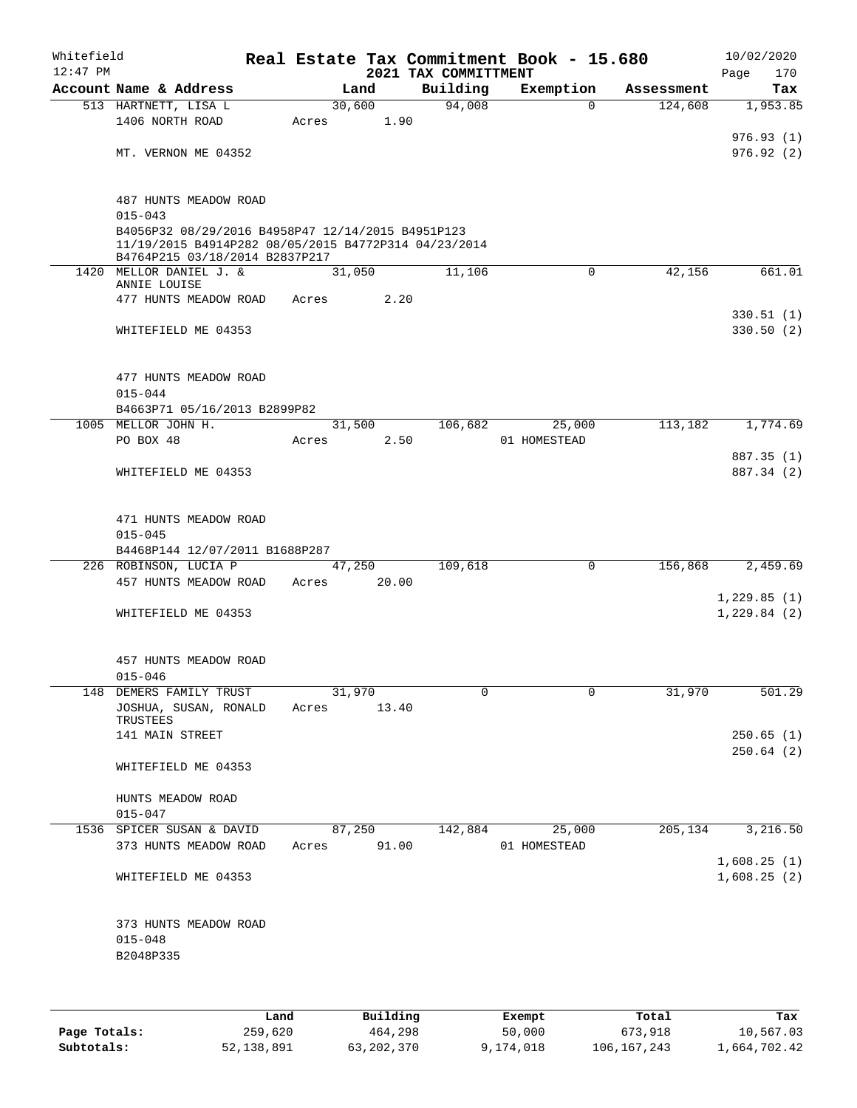| $12:47$ PM |                                                                                                                                             |       |        |       | Real Estate Tax Commitment Book - 15.680<br>2021 TAX COMMITTMENT |              |             |            | 10/02/2020<br>Page | 170                    |
|------------|---------------------------------------------------------------------------------------------------------------------------------------------|-------|--------|-------|------------------------------------------------------------------|--------------|-------------|------------|--------------------|------------------------|
|            | Account Name & Address                                                                                                                      |       | Land   |       | Building                                                         | Exemption    |             | Assessment |                    | Tax                    |
|            | 513 HARTNETT, LISA L                                                                                                                        |       | 30,600 |       | 94,008                                                           |              | $\Omega$    | 124,608    |                    | 1,953.85               |
|            | 1406 NORTH ROAD                                                                                                                             | Acres |        | 1.90  |                                                                  |              |             |            |                    |                        |
|            | MT. VERNON ME 04352                                                                                                                         |       |        |       |                                                                  |              |             |            |                    | 976.93(1)<br>976.92(2) |
|            | 487 HUNTS MEADOW ROAD<br>$015 - 043$                                                                                                        |       |        |       |                                                                  |              |             |            |                    |                        |
|            | B4056P32 08/29/2016 B4958P47 12/14/2015 B4951P123<br>11/19/2015 B4914P282 08/05/2015 B4772P314 04/23/2014<br>B4764P215 03/18/2014 B2837P217 |       |        |       |                                                                  |              |             |            |                    |                        |
|            | 1420 MELLOR DANIEL J. &<br>ANNIE LOUISE                                                                                                     |       | 31,050 |       | 11,106                                                           |              | 0           | 42,156     |                    | 661.01                 |
|            | 477 HUNTS MEADOW ROAD                                                                                                                       | Acres |        | 2.20  |                                                                  |              |             |            |                    |                        |
|            |                                                                                                                                             |       |        |       |                                                                  |              |             |            |                    | 330.51(1)              |
|            | WHITEFIELD ME 04353                                                                                                                         |       |        |       |                                                                  |              |             |            |                    | 330.50(2)              |
|            | 477 HUNTS MEADOW ROAD<br>$015 - 044$                                                                                                        |       |        |       |                                                                  |              |             |            |                    |                        |
|            | B4663P71 05/16/2013 B2899P82                                                                                                                |       |        |       |                                                                  |              |             |            |                    |                        |
|            | 1005 MELLOR JOHN H.                                                                                                                         |       | 31,500 |       | 106,682                                                          |              | 25,000      | 113,182    |                    | 1,774.69               |
|            | PO BOX 48                                                                                                                                   | Acres |        | 2.50  |                                                                  | 01 HOMESTEAD |             |            |                    |                        |
|            |                                                                                                                                             |       |        |       |                                                                  |              |             |            |                    | 887.35 (1)             |
|            | WHITEFIELD ME 04353                                                                                                                         |       |        |       |                                                                  |              |             |            |                    | 887.34 (2)             |
|            | 471 HUNTS MEADOW ROAD                                                                                                                       |       |        |       |                                                                  |              |             |            |                    |                        |
|            | $015 - 045$                                                                                                                                 |       |        |       |                                                                  |              |             |            |                    |                        |
|            | B4468P144 12/07/2011 B1688P287<br>226 ROBINSON, LUCIA P                                                                                     |       | 47,250 |       | 109,618                                                          |              | $\mathbf 0$ | 156,868    |                    | 2,459.69               |
|            | 457 HUNTS MEADOW ROAD                                                                                                                       | Acres |        | 20.00 |                                                                  |              |             |            |                    |                        |
|            |                                                                                                                                             |       |        |       |                                                                  |              |             |            | 1,229.85(1)        |                        |
|            | WHITEFIELD ME 04353                                                                                                                         |       |        |       |                                                                  |              |             |            | 1,229.84(2)        |                        |
|            | 457 HUNTS MEADOW ROAD<br>$015 - 046$                                                                                                        |       |        |       |                                                                  |              |             |            |                    |                        |
|            | 148 DEMERS FAMILY TRUST                                                                                                                     |       | 31,970 |       | 0                                                                |              | 0           | 31,970     |                    | 501.29                 |
|            | JOSHUA, SUSAN, RONALD<br>TRUSTEES                                                                                                           | Acres |        | 13.40 |                                                                  |              |             |            |                    |                        |
|            | 141 MAIN STREET                                                                                                                             |       |        |       |                                                                  |              |             |            |                    | 250.65(1)              |
|            | WHITEFIELD ME 04353                                                                                                                         |       |        |       |                                                                  |              |             |            |                    | 250.64(2)              |
|            | HUNTS MEADOW ROAD<br>$015 - 047$                                                                                                            |       |        |       |                                                                  |              |             |            |                    |                        |
|            | 1536 SPICER SUSAN & DAVID                                                                                                                   |       | 87,250 |       | 142,884                                                          |              | 25,000      | 205,134    |                    | 3,216.50               |
|            | 373 HUNTS MEADOW ROAD                                                                                                                       | Acres |        | 91.00 |                                                                  | 01 HOMESTEAD |             |            | 1,608.25(1)        |                        |
|            | WHITEFIELD ME 04353                                                                                                                         |       |        |       |                                                                  |              |             |            | 1,608.25(2)        |                        |
|            | 373 HUNTS MEADOW ROAD<br>$015 - 048$                                                                                                        |       |        |       |                                                                  |              |             |            |                    |                        |
|            | B2048P335                                                                                                                                   |       |        |       |                                                                  |              |             |            |                    |                        |

|              | Land       | Building   | Exempt    | Total       | Tax          |
|--------------|------------|------------|-----------|-------------|--------------|
| Page Totals: | 259,620    | 464,298    | 50,000    | 673,918     | 10,567.03    |
| Subtotals:   | 52,138,891 | 63,202,370 | 9,174,018 | 106,167,243 | 1,664,702.42 |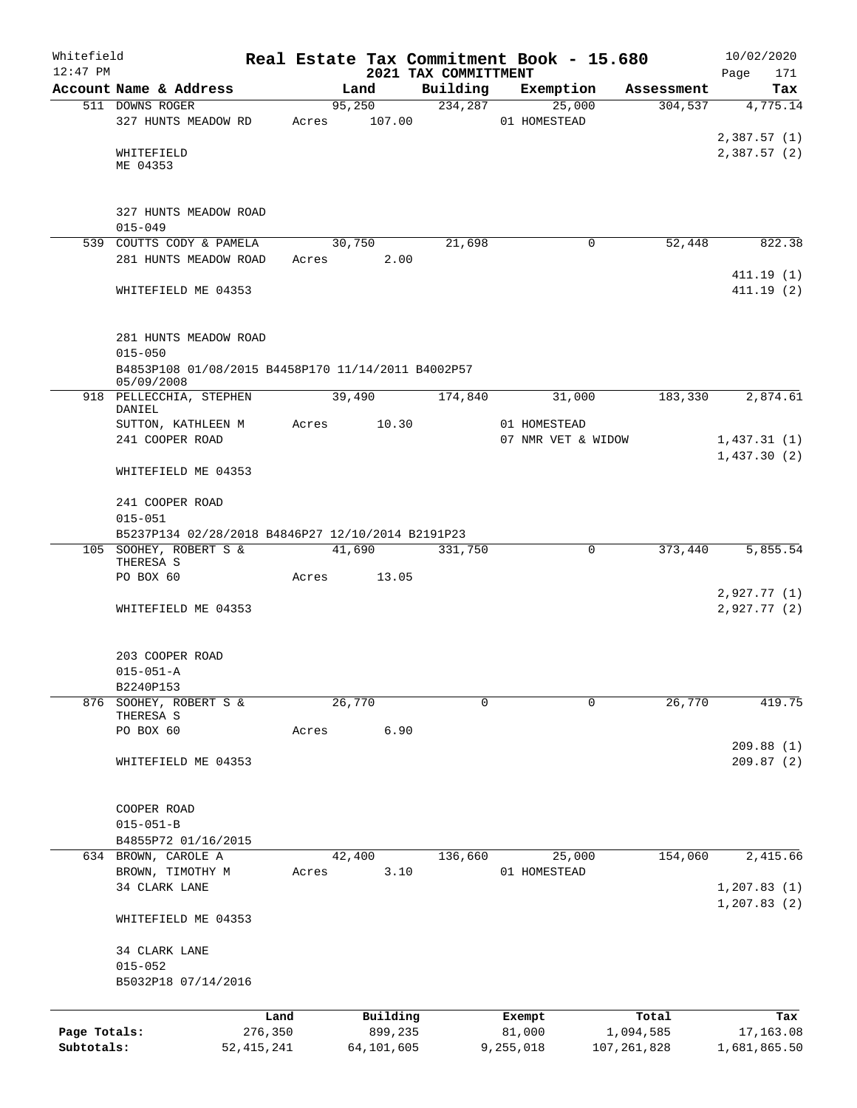| Whitefield<br>$12:47$ PM   |                                                                  |                         |       |        |                       | 2021 TAX COMMITTMENT | Real Estate Tax Commitment Book - 15.680 |        |                            | 10/02/2020<br>171<br>Page  |
|----------------------------|------------------------------------------------------------------|-------------------------|-------|--------|-----------------------|----------------------|------------------------------------------|--------|----------------------------|----------------------------|
|                            | Account Name & Address                                           |                         |       | Land   |                       | Building             | Exemption                                |        | Assessment                 | Tax                        |
|                            | 511 DOWNS ROGER                                                  |                         |       | 95,250 |                       | 234,287              |                                          | 25,000 | 304, 537                   | $\overline{4,775.14}$      |
|                            | 327 HUNTS MEADOW RD                                              |                         | Acres |        | 107.00                |                      | 01 HOMESTEAD                             |        |                            |                            |
|                            | WHITEFIELD<br>ME 04353                                           |                         |       |        |                       |                      |                                          |        |                            | 2,387.57(1)<br>2,387.57(2) |
|                            | 327 HUNTS MEADOW ROAD<br>$015 - 049$                             |                         |       |        |                       |                      |                                          |        |                            |                            |
|                            | 539 COUTTS CODY & PAMELA                                         |                         |       | 30,750 |                       | 21,698               |                                          | 0      | 52,448                     | 822.38                     |
|                            | 281 HUNTS MEADOW ROAD                                            |                         | Acres |        | 2.00                  |                      |                                          |        |                            |                            |
|                            | WHITEFIELD ME 04353                                              |                         |       |        |                       |                      |                                          |        |                            | 411.19(1)<br>411.19 (2)    |
|                            | 281 HUNTS MEADOW ROAD<br>$015 - 050$                             |                         |       |        |                       |                      |                                          |        |                            |                            |
|                            | B4853P108 01/08/2015 B4458P170 11/14/2011 B4002P57<br>05/09/2008 |                         |       |        |                       |                      |                                          |        |                            |                            |
|                            | 918 PELLECCHIA, STEPHEN<br>DANIEL                                |                         |       | 39,490 |                       | 174,840              |                                          | 31,000 | 183,330                    | 2,874.61                   |
|                            | SUTTON, KATHLEEN M                                               |                         | Acres |        | 10.30                 |                      | 01 HOMESTEAD                             |        |                            |                            |
|                            | 241 COOPER ROAD                                                  |                         |       |        |                       |                      | 07 NMR VET & WIDOW                       |        |                            | 1,437.31(1)                |
|                            | WHITEFIELD ME 04353                                              |                         |       |        |                       |                      |                                          |        |                            | 1,437.30(2)                |
|                            | 241 COOPER ROAD<br>$015 - 051$                                   |                         |       |        |                       |                      |                                          |        |                            |                            |
|                            | B5237P134 02/28/2018 B4846P27 12/10/2014 B2191P23                |                         |       |        |                       |                      |                                          |        |                            |                            |
|                            | 105 SOOHEY, ROBERT S &<br>THERESA S                              |                         |       | 41,690 |                       | 331,750              |                                          | 0      | 373,440                    | 5,855.54                   |
|                            | PO BOX 60                                                        |                         | Acres |        | 13.05                 |                      |                                          |        |                            | 2,927.77(1)                |
|                            | WHITEFIELD ME 04353                                              |                         |       |        |                       |                      |                                          |        |                            | 2,927.77(2)                |
|                            | 203 COOPER ROAD                                                  |                         |       |        |                       |                      |                                          |        |                            |                            |
|                            | $015 - 051 - A$                                                  |                         |       |        |                       |                      |                                          |        |                            |                            |
|                            | B2240P153                                                        |                         |       |        |                       |                      |                                          |        |                            |                            |
| 876                        | SOOHEY, ROBERT S &<br>THERESA S<br>PO BOX 60                     |                         | Acres | 26,770 | 6.90                  | $\mathbf 0$          |                                          | 0      | 26,770                     | 419.75                     |
|                            |                                                                  |                         |       |        |                       |                      |                                          |        |                            | 209.88(1)                  |
|                            | WHITEFIELD ME 04353                                              |                         |       |        |                       |                      |                                          |        |                            | 209.87(2)                  |
|                            | COOPER ROAD<br>$015 - 051 - B$                                   |                         |       |        |                       |                      |                                          |        |                            |                            |
|                            | B4855P72 01/16/2015                                              |                         |       |        |                       |                      |                                          |        |                            |                            |
|                            | 634 BROWN, CAROLE A                                              |                         |       | 42,400 |                       | 136,660              |                                          | 25,000 | 154,060                    | 2,415.66                   |
|                            | BROWN, TIMOTHY M<br>34 CLARK LANE                                |                         | Acres |        | 3.10                  |                      | 01 HOMESTEAD                             |        |                            | 1, 207.83(1)               |
|                            | WHITEFIELD ME 04353                                              |                         |       |        |                       |                      |                                          |        |                            | 1, 207.83(2)               |
|                            | 34 CLARK LANE                                                    |                         |       |        |                       |                      |                                          |        |                            |                            |
|                            | $015 - 052$<br>B5032P18 07/14/2016                               |                         |       |        |                       |                      |                                          |        |                            |                            |
|                            |                                                                  |                         |       |        |                       |                      |                                          |        |                            |                            |
|                            |                                                                  | Land                    |       |        | Building              |                      | Exempt                                   |        | Total                      | Tax                        |
| Page Totals:<br>Subtotals: |                                                                  | 276,350<br>52, 415, 241 |       |        | 899,235<br>64,101,605 |                      | 81,000<br>9,255,018                      |        | 1,094,585<br>107, 261, 828 | 17,163.08<br>1,681,865.50  |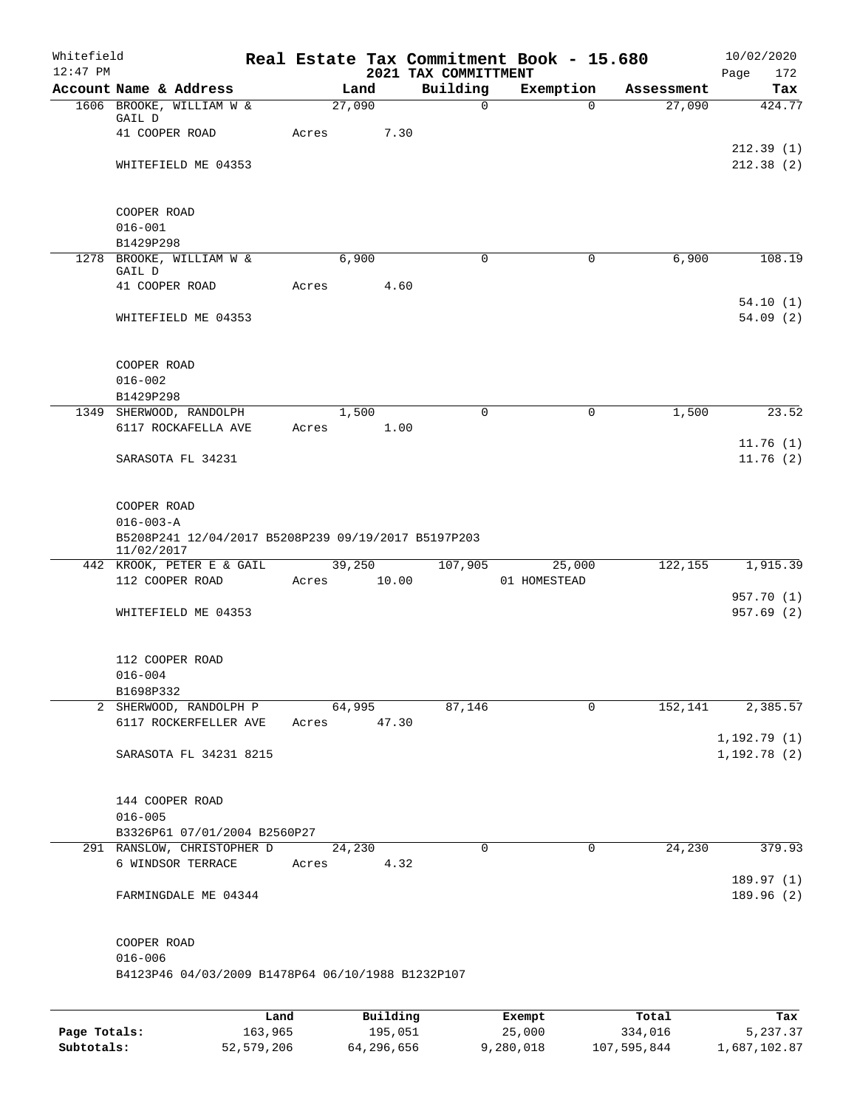| Whitefield<br>$12:47$ PM |                                                                   |      |       |        |          | 2021 TAX COMMITTMENT | Real Estate Tax Commitment Book - 15.680 |            | 10/02/2020<br>Page<br>172 |
|--------------------------|-------------------------------------------------------------------|------|-------|--------|----------|----------------------|------------------------------------------|------------|---------------------------|
|                          | Account Name & Address                                            |      |       | Land   |          | Building             | Exemption                                | Assessment | Tax                       |
|                          | 1606 BROOKE, WILLIAM W &                                          |      |       | 27,090 |          | $\mathbf 0$          | $\Omega$                                 | 27,090     | 424.77                    |
|                          | GAIL D<br>41 COOPER ROAD                                          |      | Acres |        | 7.30     |                      |                                          |            |                           |
|                          |                                                                   |      |       |        |          |                      |                                          |            | 212.39(1)                 |
|                          | WHITEFIELD ME 04353                                               |      |       |        |          |                      |                                          |            | 212.38(2)                 |
|                          |                                                                   |      |       |        |          |                      |                                          |            |                           |
|                          |                                                                   |      |       |        |          |                      |                                          |            |                           |
|                          | COOPER ROAD                                                       |      |       |        |          |                      |                                          |            |                           |
|                          | $016 - 001$<br>B1429P298                                          |      |       |        |          |                      |                                          |            |                           |
|                          | 1278 BROOKE, WILLIAM W &                                          |      |       | 6,900  |          | $\Omega$             | 0                                        | 6,900      | 108.19                    |
|                          | GAIL D                                                            |      |       |        |          |                      |                                          |            |                           |
|                          | 41 COOPER ROAD                                                    |      | Acres |        | 4.60     |                      |                                          |            |                           |
|                          | WHITEFIELD ME 04353                                               |      |       |        |          |                      |                                          |            | 54.10(1)<br>54.09(2)      |
|                          |                                                                   |      |       |        |          |                      |                                          |            |                           |
|                          |                                                                   |      |       |        |          |                      |                                          |            |                           |
|                          | COOPER ROAD                                                       |      |       |        |          |                      |                                          |            |                           |
|                          | $016 - 002$                                                       |      |       |        |          |                      |                                          |            |                           |
|                          | B1429P298                                                         |      |       |        |          |                      |                                          |            |                           |
|                          | 1349 SHERWOOD, RANDOLPH<br>6117 ROCKAFELLA AVE                    |      | Acres | 1,500  | 1.00     | 0                    | 0                                        | 1,500      | 23.52                     |
|                          |                                                                   |      |       |        |          |                      |                                          |            | 11.76(1)                  |
|                          | SARASOTA FL 34231                                                 |      |       |        |          |                      |                                          |            | 11.76(2)                  |
|                          |                                                                   |      |       |        |          |                      |                                          |            |                           |
|                          |                                                                   |      |       |        |          |                      |                                          |            |                           |
|                          | COOPER ROAD                                                       |      |       |        |          |                      |                                          |            |                           |
|                          | $016 - 003 - A$                                                   |      |       |        |          |                      |                                          |            |                           |
|                          | B5208P241 12/04/2017 B5208P239 09/19/2017 B5197P203<br>11/02/2017 |      |       |        |          |                      |                                          |            |                           |
|                          | 442 KROOK, PETER E & GAIL                                         |      |       | 39,250 |          | 107,905              | 25,000                                   | 122, 155   | 1,915.39                  |
|                          | 112 COOPER ROAD                                                   |      | Acres |        | 10.00    |                      | 01 HOMESTEAD                             |            |                           |
|                          |                                                                   |      |       |        |          |                      |                                          |            | 957.70 (1)                |
|                          | WHITEFIELD ME 04353                                               |      |       |        |          |                      |                                          |            | 957.69 (2)                |
|                          |                                                                   |      |       |        |          |                      |                                          |            |                           |
|                          | 112 COOPER ROAD                                                   |      |       |        |          |                      |                                          |            |                           |
|                          | $016 - 004$                                                       |      |       |        |          |                      |                                          |            |                           |
|                          | B1698P332                                                         |      |       |        |          |                      |                                          |            |                           |
|                          | 2 SHERWOOD, RANDOLPH P                                            |      |       | 64,995 |          | 87,146               | 0                                        | 152,141    | 2,385.57                  |
|                          | 6117 ROCKERFELLER AVE                                             |      | Acres |        | 47.30    |                      |                                          |            | 1,192.79(1)               |
|                          | SARASOTA FL 34231 8215                                            |      |       |        |          |                      |                                          |            | 1,192.78(2)               |
|                          |                                                                   |      |       |        |          |                      |                                          |            |                           |
|                          |                                                                   |      |       |        |          |                      |                                          |            |                           |
|                          | 144 COOPER ROAD                                                   |      |       |        |          |                      |                                          |            |                           |
|                          | $016 - 005$                                                       |      |       |        |          |                      |                                          |            |                           |
|                          | B3326P61 07/01/2004 B2560P27<br>291 RANSLOW, CHRISTOPHER D        |      |       | 24,230 |          | 0                    | 0                                        | 24,230     | 379.93                    |
|                          | 6 WINDSOR TERRACE                                                 |      | Acres |        | 4.32     |                      |                                          |            |                           |
|                          |                                                                   |      |       |        |          |                      |                                          |            | 189.97(1)                 |
|                          | FARMINGDALE ME 04344                                              |      |       |        |          |                      |                                          |            | 189.96 (2)                |
|                          |                                                                   |      |       |        |          |                      |                                          |            |                           |
|                          |                                                                   |      |       |        |          |                      |                                          |            |                           |
|                          | COOPER ROAD<br>$016 - 006$                                        |      |       |        |          |                      |                                          |            |                           |
|                          | B4123P46 04/03/2009 B1478P64 06/10/1988 B1232P107                 |      |       |        |          |                      |                                          |            |                           |
|                          |                                                                   |      |       |        |          |                      |                                          |            |                           |
|                          |                                                                   |      |       |        |          |                      |                                          |            |                           |
|                          |                                                                   | Land |       |        | Building |                      | Exempt                                   | Total      | Tax                       |

**Page Totals:** 163,965 195,051 25,000 334,016 5,237.37 **Subtotals:** 52,579,206 64,296,656 9,280,018 107,595,844 1,687,102.87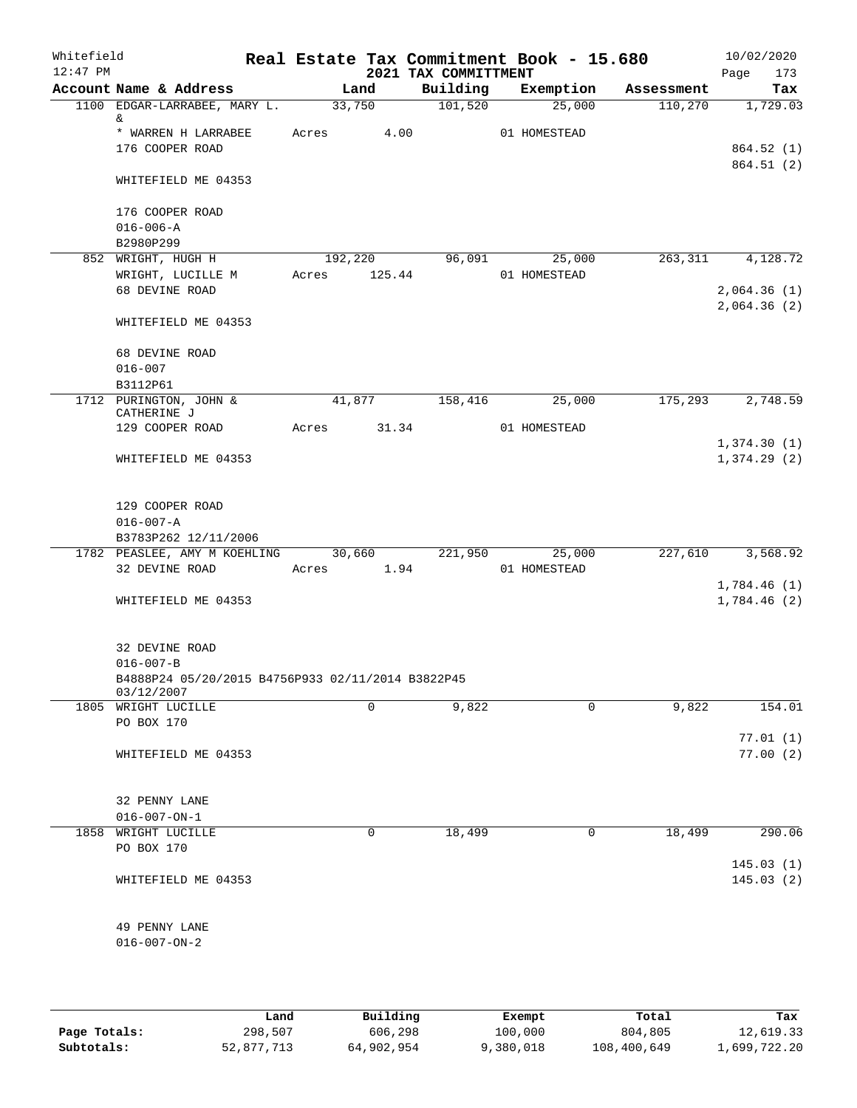| Whitefield<br>$12:47$ PM |                                                       |       |            | 2021 TAX COMMITTMENT | Real Estate Tax Commitment Book - 15.680 |            | 10/02/2020<br>Page<br>173  |
|--------------------------|-------------------------------------------------------|-------|------------|----------------------|------------------------------------------|------------|----------------------------|
|                          | Account Name & Address                                |       | Land       | Building             | Exemption                                | Assessment | Tax                        |
|                          | 1100 EDGAR-LARRABEE, MARY L.<br>&                     |       | 33,750     | 101,520              | 25,000                                   | 110,270    | 1,729.03                   |
|                          | * WARREN H LARRABEE                                   | Acres | 4.00       |                      | 01 HOMESTEAD                             |            |                            |
|                          | 176 COOPER ROAD                                       |       |            |                      |                                          |            | 864.52(1)                  |
|                          | WHITEFIELD ME 04353                                   |       |            |                      |                                          |            | 864.51 (2)                 |
|                          |                                                       |       |            |                      |                                          |            |                            |
|                          | 176 COOPER ROAD                                       |       |            |                      |                                          |            |                            |
|                          | $016 - 006 - A$                                       |       |            |                      |                                          |            |                            |
|                          | B2980P299                                             |       |            |                      |                                          |            |                            |
|                          | 852 WRIGHT, HUGH H                                    |       | 192,220    | 96,091               | 25,000                                   | 263,311    | 4,128.72                   |
|                          | WRIGHT, LUCILLE M<br>68 DEVINE ROAD                   | Acres | 125.44     |                      | 01 HOMESTEAD                             |            |                            |
|                          |                                                       |       |            |                      |                                          |            | 2,064.36(1)<br>2,064.36(2) |
|                          | WHITEFIELD ME 04353                                   |       |            |                      |                                          |            |                            |
|                          | 68 DEVINE ROAD                                        |       |            |                      |                                          |            |                            |
|                          | $016 - 007$<br>B3112P61                               |       |            |                      |                                          |            |                            |
|                          | 1712 PURINGTON, JOHN &<br>CATHERINE J                 |       | 41,877     | 158,416              | 25,000                                   | 175,293    | 2,748.59                   |
|                          | 129 COOPER ROAD                                       | Acres | 31.34      |                      | 01 HOMESTEAD                             |            |                            |
|                          |                                                       |       |            |                      |                                          |            | 1,374.30(1)                |
|                          | WHITEFIELD ME 04353                                   |       |            |                      |                                          |            | 1,374.29(2)                |
|                          |                                                       |       |            |                      |                                          |            |                            |
|                          |                                                       |       |            |                      |                                          |            |                            |
|                          | 129 COOPER ROAD                                       |       |            |                      |                                          |            |                            |
|                          | $016 - 007 - A$                                       |       |            |                      |                                          |            |                            |
|                          | B3783P262 12/11/2006                                  |       |            |                      |                                          |            |                            |
|                          | 1782 PEASLEE, AMY M KOEHLING 30,660<br>32 DEVINE ROAD |       | Acres 1.94 | 221,950              | 25,000<br>01 HOMESTEAD                   | 227,610    | 3,568.92                   |
|                          |                                                       |       |            |                      |                                          |            | 1,784.46(1)                |
|                          | WHITEFIELD ME 04353                                   |       |            |                      |                                          |            | 1,784.46(2)                |
|                          |                                                       |       |            |                      |                                          |            |                            |
|                          | 32 DEVINE ROAD                                        |       |            |                      |                                          |            |                            |
|                          | $016 - 007 - B$                                       |       |            |                      |                                          |            |                            |
|                          | B4888P24 05/20/2015 B4756P933 02/11/2014 B3822P45     |       |            |                      |                                          |            |                            |
|                          | 03/12/2007                                            |       |            |                      |                                          |            |                            |
|                          | 1805 WRIGHT LUCILLE                                   |       | $\Omega$   | 9,822                | 0                                        | 9,822      | 154.01                     |
|                          | PO BOX 170                                            |       |            |                      |                                          |            |                            |
|                          |                                                       |       |            |                      |                                          |            | 77.01(1)                   |
|                          | WHITEFIELD ME 04353                                   |       |            |                      |                                          |            | 77.00(2)                   |
|                          |                                                       |       |            |                      |                                          |            |                            |
|                          | 32 PENNY LANE                                         |       |            |                      |                                          |            |                            |
|                          | $016 - 007 - ON - 1$                                  |       |            |                      |                                          |            |                            |
|                          | 1858 WRIGHT LUCILLE                                   |       | 0          | 18,499               | 0                                        | 18,499     | 290.06                     |
|                          | PO BOX 170                                            |       |            |                      |                                          |            |                            |
|                          |                                                       |       |            |                      |                                          |            | 145.03(1)                  |
|                          | WHITEFIELD ME 04353                                   |       |            |                      |                                          |            | 145.03(2)                  |
|                          |                                                       |       |            |                      |                                          |            |                            |
|                          |                                                       |       |            |                      |                                          |            |                            |
|                          | 49 PENNY LANE                                         |       |            |                      |                                          |            |                            |
|                          | $016 - 007 - ON - 2$                                  |       |            |                      |                                          |            |                            |
|                          |                                                       |       |            |                      |                                          |            |                            |
|                          |                                                       |       |            |                      |                                          |            |                            |

|              | Land       | Building   | Exempt    | Total       | Tax          |
|--------------|------------|------------|-----------|-------------|--------------|
| Page Totals: | 298,507    | 606,298    | 100,000   | 804,805     | 12,619.33    |
| Subtotals:   | 52,877,713 | 64,902,954 | 9,380,018 | 108,400,649 | 1,699,722.20 |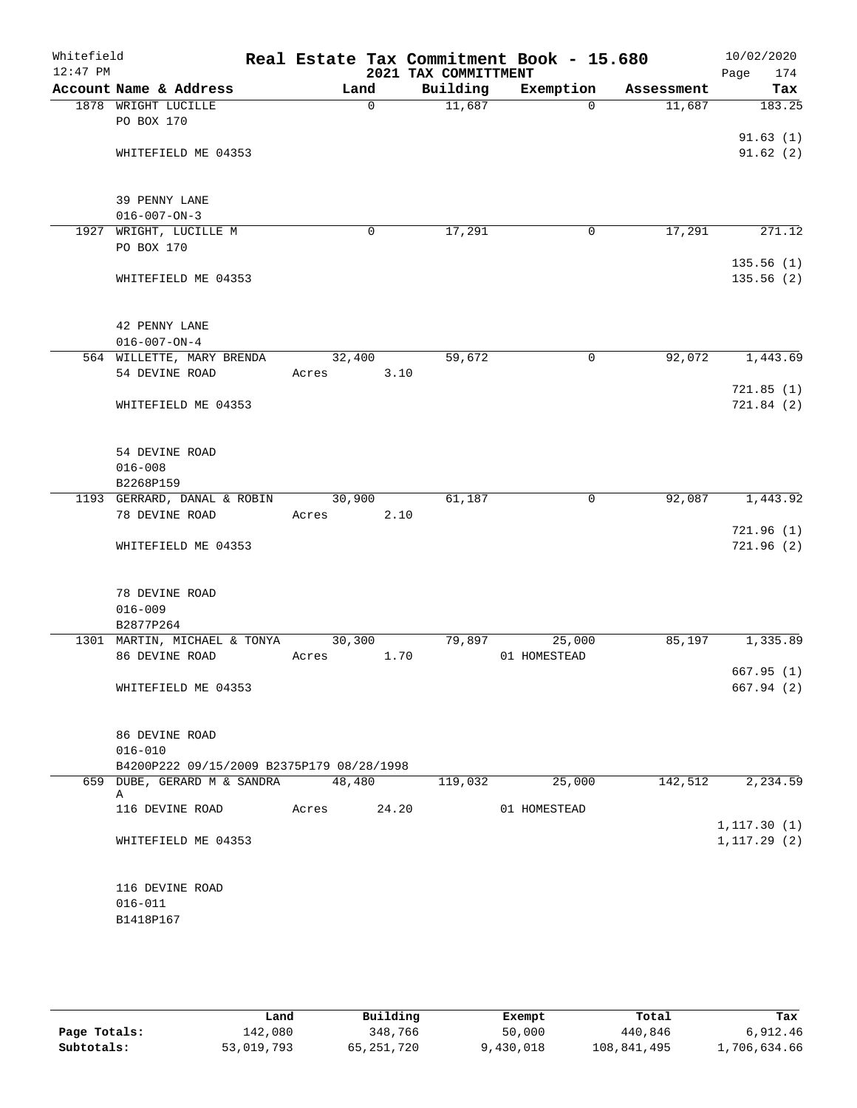| Whitefield<br>$12:47$ PM |                                               |                 | 2021 TAX COMMITTMENT | Real Estate Tax Commitment Book - 15.680 |            | 10/02/2020<br>Page<br>174 |
|--------------------------|-----------------------------------------------|-----------------|----------------------|------------------------------------------|------------|---------------------------|
|                          | Account Name & Address                        | Land            | Building             | Exemption                                | Assessment | Tax                       |
|                          | 1878 WRIGHT LUCILLE                           | 0               | 11,687               | $\Omega$                                 | 11,687     | 183.25                    |
|                          | PO BOX 170                                    |                 |                      |                                          |            |                           |
|                          |                                               |                 |                      |                                          |            | 91.63(1)                  |
|                          | WHITEFIELD ME 04353                           |                 |                      |                                          |            | 91.62(2)                  |
|                          |                                               |                 |                      |                                          |            |                           |
|                          | 39 PENNY LANE                                 |                 |                      |                                          |            |                           |
|                          | $016 - 007 - ON - 3$                          |                 |                      |                                          |            |                           |
| 1927                     | WRIGHT, LUCILLE M                             | $\mathbf 0$     | 17,291               | 0                                        | 17,291     | 271.12                    |
|                          | PO BOX 170                                    |                 |                      |                                          |            |                           |
|                          | WHITEFIELD ME 04353                           |                 |                      |                                          |            | 135.56(1)<br>135.56(2)    |
|                          |                                               |                 |                      |                                          |            |                           |
|                          |                                               |                 |                      |                                          |            |                           |
|                          | 42 PENNY LANE                                 |                 |                      |                                          |            |                           |
|                          | $016 - 007 - ON - 4$                          |                 |                      |                                          |            |                           |
|                          | 564 WILLETTE, MARY BRENDA                     | 32,400          | 59,672               | $\mathbf 0$                              | 92,072     | 1,443.69                  |
|                          | 54 DEVINE ROAD                                | Acres           | 3.10                 |                                          |            |                           |
|                          | WHITEFIELD ME 04353                           |                 |                      |                                          |            | 721.85(1)<br>721.84(2)    |
|                          |                                               |                 |                      |                                          |            |                           |
|                          |                                               |                 |                      |                                          |            |                           |
|                          | 54 DEVINE ROAD                                |                 |                      |                                          |            |                           |
|                          | $016 - 008$                                   |                 |                      |                                          |            |                           |
|                          | B2268P159                                     |                 |                      |                                          |            |                           |
|                          | 1193 GERRARD, DANAL & ROBIN<br>78 DEVINE ROAD | 30,900<br>Acres | 61,187<br>2.10       | 0                                        | 92,087     | 1,443.92                  |
|                          |                                               |                 |                      |                                          |            | 721.96(1)                 |
|                          | WHITEFIELD ME 04353                           |                 |                      |                                          |            | 721.96 (2)                |
|                          |                                               |                 |                      |                                          |            |                           |
|                          |                                               |                 |                      |                                          |            |                           |
|                          | 78 DEVINE ROAD                                |                 |                      |                                          |            |                           |
|                          | $016 - 009$<br>B2877P264                      |                 |                      |                                          |            |                           |
|                          | 1301 MARTIN, MICHAEL & TONYA                  | 30,300          | 79,897               | 25,000                                   | 85,197     | 1,335.89                  |
|                          | 86 DEVINE ROAD                                | Acres           | 1.70                 | 01 HOMESTEAD                             |            |                           |
|                          |                                               |                 |                      |                                          |            | 667.95(1)                 |
|                          | WHITEFIELD ME 04353                           |                 |                      |                                          |            | 667.94 (2)                |
|                          |                                               |                 |                      |                                          |            |                           |
|                          | 86 DEVINE ROAD                                |                 |                      |                                          |            |                           |
|                          | $016 - 010$                                   |                 |                      |                                          |            |                           |
|                          | B4200P222 09/15/2009 B2375P179 08/28/1998     |                 |                      |                                          |            |                           |
|                          | 659 DUBE, GERARD M & SANDRA                   | 48,480          | 119,032              | 25,000                                   | 142,512    | 2,234.59                  |
|                          | Α<br>116 DEVINE ROAD                          | Acres           | 24.20                | 01 HOMESTEAD                             |            |                           |
|                          |                                               |                 |                      |                                          |            | 1, 117.30(1)              |
|                          | WHITEFIELD ME 04353                           |                 |                      |                                          |            | 1, 117.29(2)              |
|                          |                                               |                 |                      |                                          |            |                           |
|                          |                                               |                 |                      |                                          |            |                           |
|                          | 116 DEVINE ROAD                               |                 |                      |                                          |            |                           |
|                          | $016 - 011$<br>B1418P167                      |                 |                      |                                          |            |                           |
|                          |                                               |                 |                      |                                          |            |                           |
|                          |                                               |                 |                      |                                          |            |                           |

|              | Land       | Building   | Exempt    | Total       | Tax          |
|--------------|------------|------------|-----------|-------------|--------------|
| Page Totals: | 142,080    | 348,766    | 50,000    | 440,846     | 6,912.46     |
| Subtotals:   | 53,019,793 | 65,251,720 | 9,430,018 | 108,841,495 | 1,706,634.66 |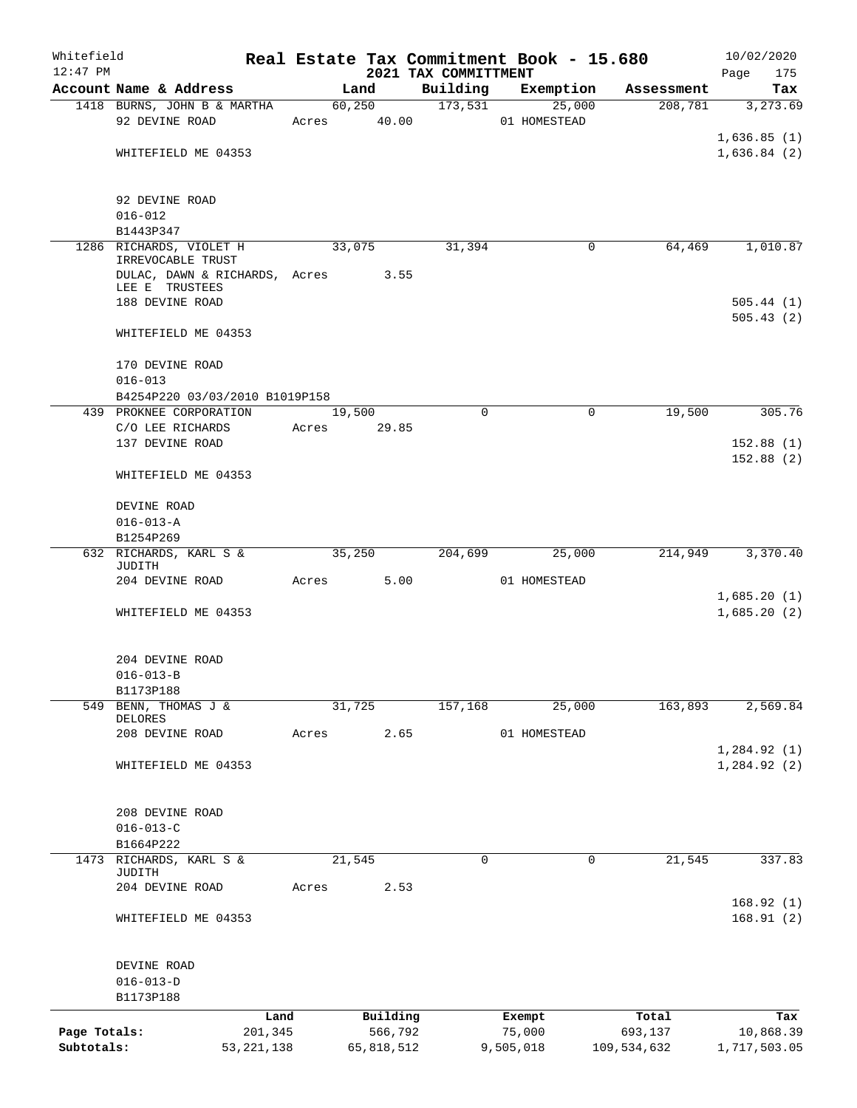| Whitefield                 |                                                                         |         |             |                       |                                  | Real Estate Tax Commitment Book - 15.680 |                        | 10/02/2020                 |
|----------------------------|-------------------------------------------------------------------------|---------|-------------|-----------------------|----------------------------------|------------------------------------------|------------------------|----------------------------|
| $12:47$ PM                 | Account Name & Address                                                  |         | Land        |                       | 2021 TAX COMMITTMENT<br>Building |                                          |                        | Page<br>175                |
|                            | 1418 BURNS, JOHN B & MARTHA                                             |         | 60,250      |                       | 173,531                          | Exemption<br>25,000                      | Assessment<br>208,781  | Tax<br>3, 273.69           |
|                            | 92 DEVINE ROAD                                                          |         | Acres 40.00 |                       |                                  | 01 HOMESTEAD                             |                        |                            |
|                            |                                                                         |         |             |                       |                                  |                                          |                        | 1,636.85(1)                |
|                            | WHITEFIELD ME 04353                                                     |         |             |                       |                                  |                                          |                        | 1,636.84(2)                |
|                            |                                                                         |         |             |                       |                                  |                                          |                        |                            |
|                            | 92 DEVINE ROAD                                                          |         |             |                       |                                  |                                          |                        |                            |
|                            | $016 - 012$                                                             |         |             |                       |                                  |                                          |                        |                            |
|                            | B1443P347                                                               |         |             |                       |                                  |                                          |                        |                            |
|                            | 1286 RICHARDS, VIOLET H<br>IRREVOCABLE TRUST                            |         | 33,075      |                       | 31,394                           | 0                                        | 64,469                 | 1,010.87                   |
|                            | DULAC, DAWN & RICHARDS, Acres 3.55<br>LEE E TRUSTEES<br>188 DEVINE ROAD |         |             |                       |                                  |                                          |                        | 505.44(1)                  |
|                            |                                                                         |         |             |                       |                                  |                                          |                        | 505.43(2)                  |
|                            | WHITEFIELD ME 04353                                                     |         |             |                       |                                  |                                          |                        |                            |
|                            | 170 DEVINE ROAD                                                         |         |             |                       |                                  |                                          |                        |                            |
|                            | $016 - 013$<br>B4254P220 03/03/2010 B1019P158                           |         |             |                       |                                  |                                          |                        |                            |
|                            | 439 PROKNEE CORPORATION                                                 |         | 19,500      |                       | $\Omega$                         | 0                                        | 19,500                 | 305.76                     |
|                            | C/O LEE RICHARDS                                                        |         | Acres 29.85 |                       |                                  |                                          |                        |                            |
|                            | 137 DEVINE ROAD                                                         |         |             |                       |                                  |                                          |                        | 152.88(1)                  |
|                            | WHITEFIELD ME 04353                                                     |         |             |                       |                                  |                                          |                        | 152.88(2)                  |
|                            | DEVINE ROAD                                                             |         |             |                       |                                  |                                          |                        |                            |
|                            | $016 - 013 - A$                                                         |         |             |                       |                                  |                                          |                        |                            |
|                            | B1254P269                                                               |         |             |                       |                                  |                                          |                        |                            |
|                            | 632 RICHARDS, KARL S &<br>JUDITH                                        |         | 35,250      |                       | 204,699                          | 25,000                                   | 214,949                | 3,370.40                   |
|                            | 204 DEVINE ROAD                                                         |         | Acres 5.00  |                       |                                  | 01 HOMESTEAD                             |                        |                            |
|                            | WHITEFIELD ME 04353                                                     |         |             |                       |                                  |                                          |                        | 1,685.20(1)<br>1,685.20(2) |
|                            | 204 DEVINE ROAD                                                         |         |             |                       |                                  |                                          |                        |                            |
|                            | $016 - 013 - B$                                                         |         |             |                       |                                  |                                          |                        |                            |
|                            | B1173P188                                                               |         |             |                       |                                  |                                          |                        |                            |
| 549                        | BENN, THOMAS J &                                                        |         | 31,725      |                       | 157,168                          | 25,000                                   | 163,893                | 2,569.84                   |
|                            | <b>DELORES</b><br>208 DEVINE ROAD                                       | Acres   |             | 2.65                  |                                  | 01 HOMESTEAD                             |                        |                            |
|                            |                                                                         |         |             |                       |                                  |                                          |                        | 1,284.92(1)                |
|                            | WHITEFIELD ME 04353                                                     |         |             |                       |                                  |                                          |                        | 1, 284.92(2)               |
|                            |                                                                         |         |             |                       |                                  |                                          |                        |                            |
|                            | 208 DEVINE ROAD                                                         |         |             |                       |                                  |                                          |                        |                            |
|                            | $016 - 013 - C$                                                         |         |             |                       |                                  |                                          |                        |                            |
|                            | B1664P222                                                               |         |             |                       |                                  |                                          |                        |                            |
| 1473                       | RICHARDS, KARL S &<br>JUDITH                                            |         | 21,545      |                       | 0                                | 0                                        | 21,545                 | 337.83                     |
|                            | 204 DEVINE ROAD                                                         | Acres   |             | 2.53                  |                                  |                                          |                        |                            |
|                            | WHITEFIELD ME 04353                                                     |         |             |                       |                                  |                                          |                        | 168.92(1)<br>168.91(2)     |
|                            |                                                                         |         |             |                       |                                  |                                          |                        |                            |
|                            | DEVINE ROAD                                                             |         |             |                       |                                  |                                          |                        |                            |
|                            | $016 - 013 - D$                                                         |         |             |                       |                                  |                                          |                        |                            |
|                            | B1173P188                                                               |         |             |                       |                                  |                                          |                        |                            |
|                            |                                                                         | Land    |             | Building              |                                  | Exempt                                   | Total                  | Tax                        |
| Page Totals:<br>Subtotals: | 53, 221, 138                                                            | 201,345 |             | 566,792<br>65,818,512 |                                  | 75,000<br>9,505,018                      | 693,137<br>109,534,632 | 10,868.39<br>1,717,503.05  |
|                            |                                                                         |         |             |                       |                                  |                                          |                        |                            |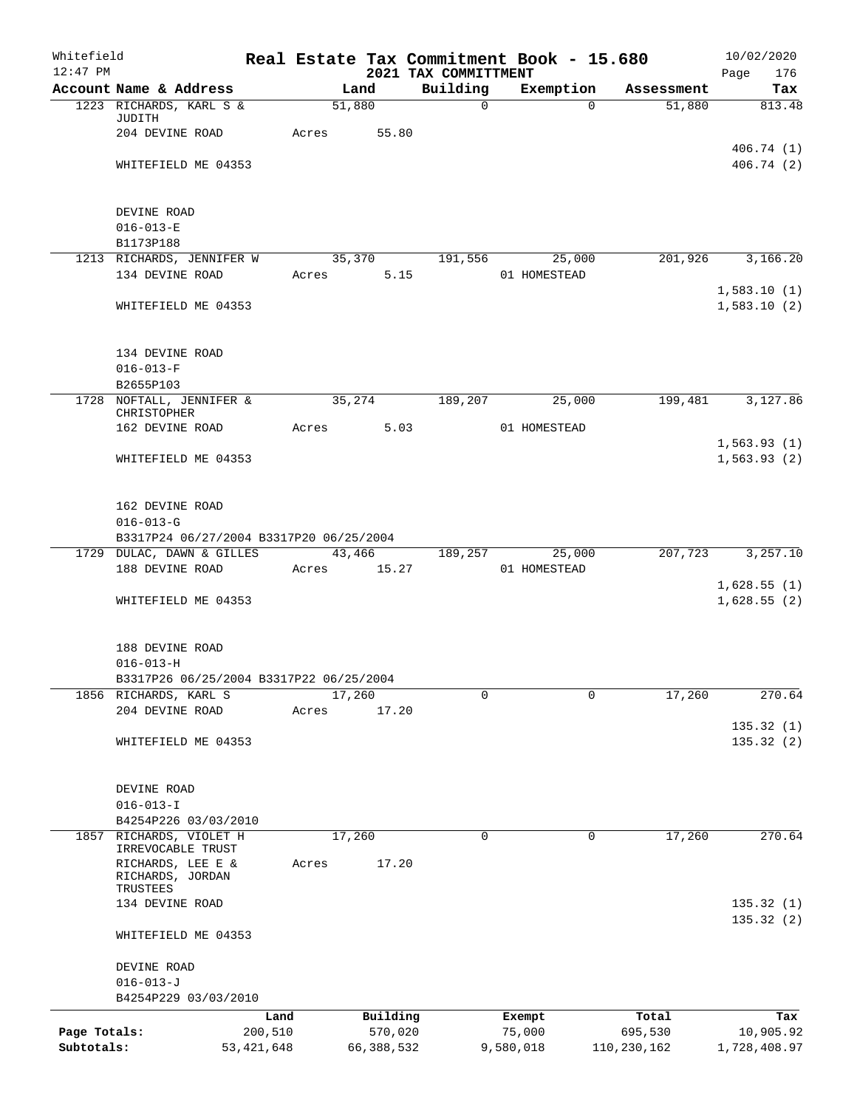| Whitefield<br>$12:47$ PM |                                                                    |                 |             |                     | 2021 TAX COMMITTMENT | Real Estate Tax Commitment Book - 15.680 |                    | 10/02/2020<br>Page<br>176 |
|--------------------------|--------------------------------------------------------------------|-----------------|-------------|---------------------|----------------------|------------------------------------------|--------------------|---------------------------|
|                          | Account Name & Address                                             |                 |             | Land                | Building             | Exemption                                | Assessment         | Tax                       |
|                          | 1223 RICHARDS, KARL S &                                            |                 |             | 51,880              | $\mathbf 0$          |                                          | 51,880<br>$\Omega$ | 813.48                    |
|                          | JUDITH<br>204 DEVINE ROAD                                          |                 | Acres       | 55.80               |                      |                                          |                    |                           |
|                          | WHITEFIELD ME 04353                                                |                 |             |                     |                      |                                          |                    | 406.74(1)<br>406.74(2)    |
|                          |                                                                    |                 |             |                     |                      |                                          |                    |                           |
|                          | DEVINE ROAD                                                        |                 |             |                     |                      |                                          |                    |                           |
|                          | $016 - 013 - E$                                                    |                 |             |                     |                      |                                          |                    |                           |
|                          | B1173P188<br>1213 RICHARDS, JENNIFER W                             |                 |             | 35,370              |                      |                                          | 201,926            | 3,166.20                  |
|                          | 134 DEVINE ROAD                                                    |                 | Acres       | 5.15                | 191,556              | 25,000<br>01 HOMESTEAD                   |                    |                           |
|                          |                                                                    |                 |             |                     |                      |                                          |                    | 1,583.10(1)               |
|                          | WHITEFIELD ME 04353                                                |                 |             |                     |                      |                                          |                    | 1,583.10(2)               |
|                          | 134 DEVINE ROAD                                                    |                 |             |                     |                      |                                          |                    |                           |
|                          | $016 - 013 - F$                                                    |                 |             |                     |                      |                                          |                    |                           |
|                          | B2655P103                                                          |                 |             |                     |                      |                                          |                    |                           |
|                          | 1728 NOFTALL, JENNIFER &<br>CHRISTOPHER                            |                 | 35, 274     |                     | 189,207              | 25,000                                   | 199,481            | 3,127.86                  |
|                          | 162 DEVINE ROAD                                                    |                 | Acres 5.03  |                     |                      | 01 HOMESTEAD                             |                    |                           |
|                          |                                                                    |                 |             |                     |                      |                                          |                    | 1,563.93(1)               |
|                          | WHITEFIELD ME 04353                                                |                 |             |                     |                      |                                          |                    | 1,563.93(2)               |
|                          | 162 DEVINE ROAD                                                    |                 |             |                     |                      |                                          |                    |                           |
|                          | $016 - 013 - G$                                                    |                 |             |                     |                      |                                          |                    |                           |
|                          | B3317P24 06/27/2004 B3317P20 06/25/2004                            |                 |             |                     |                      |                                          |                    |                           |
|                          | 1729 DULAC, DAWN & GILLES 43,466 189,257 25,000<br>188 DEVINE ROAD |                 | Acres 15.27 |                     |                      | 01 HOMESTEAD                             | 207,723            | 3,257.10                  |
|                          |                                                                    |                 |             |                     |                      |                                          |                    | 1,628.55(1)               |
|                          | WHITEFIELD ME 04353                                                |                 |             |                     |                      |                                          |                    | 1,628.55(2)               |
|                          | 188 DEVINE ROAD                                                    |                 |             |                     |                      |                                          |                    |                           |
|                          | $016 - 013 - H$                                                    |                 |             |                     |                      |                                          |                    |                           |
|                          | B3317P26 06/25/2004 B3317P22 06/25/2004                            |                 |             |                     |                      |                                          |                    |                           |
|                          | 1856 RICHARDS, KARL S                                              |                 |             | 17,260              | 0                    |                                          | 17,260<br>$\Omega$ | 270.64                    |
|                          | 204 DEVINE ROAD                                                    |                 | Acres       | 17.20               |                      |                                          |                    | 135.32(1)                 |
|                          | WHITEFIELD ME 04353                                                |                 |             |                     |                      |                                          |                    | 135.32(2)                 |
|                          |                                                                    |                 |             |                     |                      |                                          |                    |                           |
|                          | DEVINE ROAD                                                        |                 |             |                     |                      |                                          |                    |                           |
|                          | $016 - 013 - I$                                                    |                 |             |                     |                      |                                          |                    |                           |
|                          | B4254P226 03/03/2010                                               |                 |             |                     |                      |                                          |                    |                           |
| 1857                     | RICHARDS, VIOLET H                                                 |                 |             | 17,260              | $\mathbf 0$          |                                          | $\Omega$<br>17,260 | 270.64                    |
|                          | IRREVOCABLE TRUST<br>RICHARDS, LEE E &                             |                 | Acres       | 17.20               |                      |                                          |                    |                           |
|                          | RICHARDS, JORDAN                                                   |                 |             |                     |                      |                                          |                    |                           |
|                          | TRUSTEES                                                           |                 |             |                     |                      |                                          |                    |                           |
|                          | 134 DEVINE ROAD                                                    |                 |             |                     |                      |                                          |                    | 135.32(1)<br>135.32(2)    |
|                          | WHITEFIELD ME 04353                                                |                 |             |                     |                      |                                          |                    |                           |
|                          | DEVINE ROAD                                                        |                 |             |                     |                      |                                          |                    |                           |
|                          | $016 - 013 - J$                                                    |                 |             |                     |                      |                                          |                    |                           |
|                          | B4254P229 03/03/2010                                               |                 |             |                     |                      |                                          |                    |                           |
| Page Totals:             |                                                                    | Land<br>200,510 |             | Building<br>570,020 |                      | Exempt<br>75,000                         | Total<br>695,530   | Tax<br>10,905.92          |
| Subtotals:               |                                                                    | 53, 421, 648    |             | 66,388,532          |                      | 9,580,018                                | 110,230,162        | 1,728,408.97              |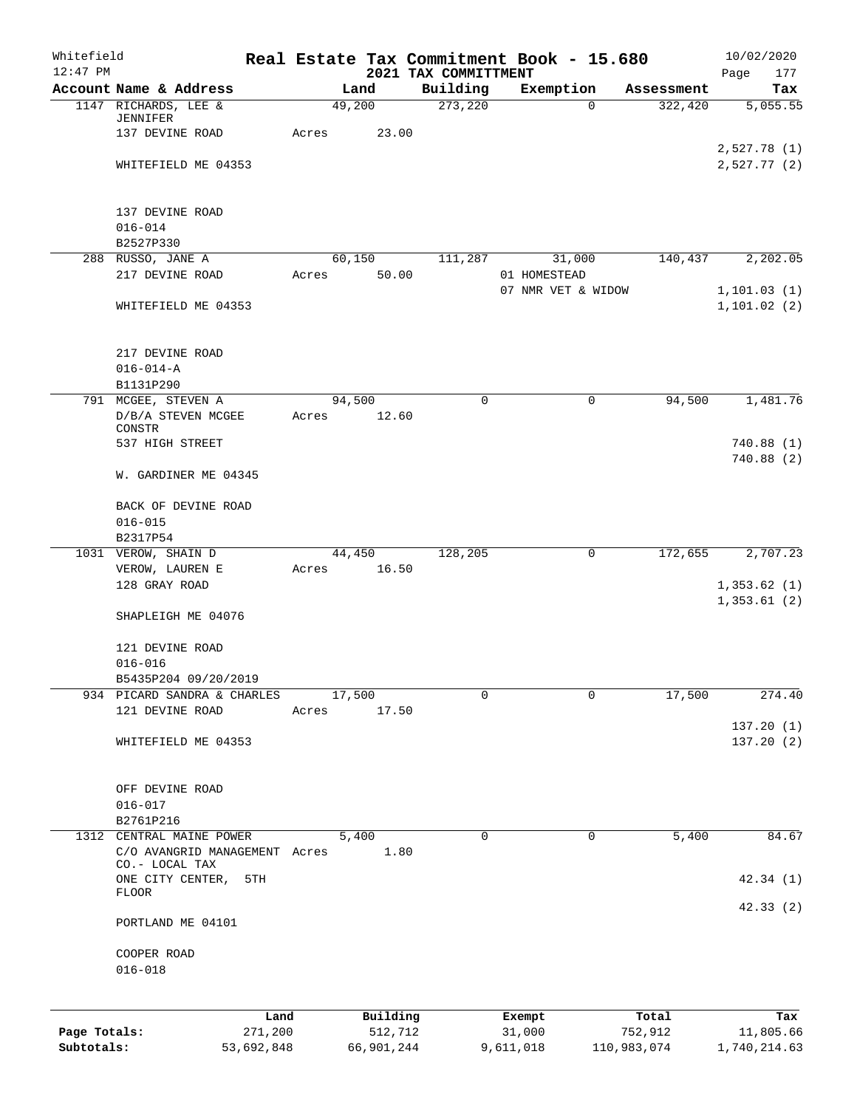| Whitefield<br>$12:47$ PM |                                                 |                 |       |                     | Real Estate Tax Commitment Book - 15.680<br>2021 TAX COMMITTMENT |                  |                    |                  | 10/02/2020<br>Page<br>177  |
|--------------------------|-------------------------------------------------|-----------------|-------|---------------------|------------------------------------------------------------------|------------------|--------------------|------------------|----------------------------|
|                          | Account Name & Address                          |                 |       | Land                | Building                                                         | Exemption        |                    | Assessment       | Tax                        |
|                          | 1147 RICHARDS, LEE &                            |                 |       | 49,200              | 273,220                                                          |                  | $\Omega$           | 322,420          | $\overline{5,055.55}$      |
|                          | JENNIFER                                        |                 |       |                     |                                                                  |                  |                    |                  |                            |
|                          | 137 DEVINE ROAD                                 |                 | Acres | 23.00               |                                                                  |                  |                    |                  |                            |
|                          |                                                 |                 |       |                     |                                                                  |                  |                    |                  | 2,527.78(1)                |
|                          | WHITEFIELD ME 04353                             |                 |       |                     |                                                                  |                  |                    |                  | 2,527.77(2)                |
|                          | 137 DEVINE ROAD                                 |                 |       |                     |                                                                  |                  |                    |                  |                            |
|                          | $016 - 014$                                     |                 |       |                     |                                                                  |                  |                    |                  |                            |
|                          | B2527P330                                       |                 |       |                     |                                                                  |                  |                    |                  |                            |
|                          | 288 RUSSO, JANE A                               |                 |       | 60,150              | 111,287                                                          |                  | 31,000             | 140,437          | 2,202.05                   |
|                          | 217 DEVINE ROAD                                 |                 | Acres | 50.00               |                                                                  | 01 HOMESTEAD     |                    |                  |                            |
|                          |                                                 |                 |       |                     |                                                                  |                  | 07 NMR VET & WIDOW |                  | 1, 101.03(1)               |
|                          | WHITEFIELD ME 04353                             |                 |       |                     |                                                                  |                  |                    |                  | 1, 101.02(2)               |
|                          | 217 DEVINE ROAD                                 |                 |       |                     |                                                                  |                  |                    |                  |                            |
|                          | $016 - 014 - A$                                 |                 |       |                     |                                                                  |                  |                    |                  |                            |
|                          | B1131P290                                       |                 |       |                     |                                                                  |                  |                    |                  |                            |
|                          | 791 MCGEE, STEVEN A                             |                 |       | 94,500              | $\mathbf 0$                                                      |                  | 0                  | 94,500           | 1,481.76                   |
|                          | D/B/A STEVEN MCGEE                              |                 | Acres | 12.60               |                                                                  |                  |                    |                  |                            |
|                          | CONSTR                                          |                 |       |                     |                                                                  |                  |                    |                  |                            |
|                          | 537 HIGH STREET                                 |                 |       |                     |                                                                  |                  |                    |                  | 740.88 (1)<br>740.88(2)    |
|                          | W. GARDINER ME 04345                            |                 |       |                     |                                                                  |                  |                    |                  |                            |
|                          | BACK OF DEVINE ROAD                             |                 |       |                     |                                                                  |                  |                    |                  |                            |
|                          | $016 - 015$                                     |                 |       |                     |                                                                  |                  |                    |                  |                            |
|                          | B2317P54                                        |                 |       |                     |                                                                  |                  |                    |                  |                            |
|                          | 1031 VEROW, SHAIN D                             |                 |       | 44,450              | 128,205                                                          |                  | 0                  | 172,655          | 2,707.23                   |
|                          | VEROW, LAUREN E                                 |                 | Acres | 16.50               |                                                                  |                  |                    |                  |                            |
|                          | 128 GRAY ROAD                                   |                 |       |                     |                                                                  |                  |                    |                  | 1,353.62(1)<br>1,353.61(2) |
|                          | SHAPLEIGH ME 04076                              |                 |       |                     |                                                                  |                  |                    |                  |                            |
|                          | 121 DEVINE ROAD                                 |                 |       |                     |                                                                  |                  |                    |                  |                            |
|                          | $016 - 016$                                     |                 |       |                     |                                                                  |                  |                    |                  |                            |
|                          | B5435P204 09/20/2019                            |                 |       |                     |                                                                  |                  |                    |                  |                            |
|                          | 934 PICARD SANDRA & CHARLES                     |                 |       | 17,500              | 0                                                                |                  | $\mathbf 0$        | 17,500           | 274.40                     |
|                          | 121 DEVINE ROAD                                 |                 | Acres | 17.50               |                                                                  |                  |                    |                  |                            |
|                          |                                                 |                 |       |                     |                                                                  |                  |                    |                  | 137.20(1)                  |
|                          | WHITEFIELD ME 04353                             |                 |       |                     |                                                                  |                  |                    |                  | 137.20(2)                  |
|                          | OFF DEVINE ROAD                                 |                 |       |                     |                                                                  |                  |                    |                  |                            |
|                          | $016 - 017$                                     |                 |       |                     |                                                                  |                  |                    |                  |                            |
|                          | B2761P216                                       |                 |       |                     |                                                                  |                  |                    |                  |                            |
|                          | 1312 CENTRAL MAINE POWER                        |                 |       | 5,400               | $\mathbf 0$                                                      |                  | 0                  | 5,400            | 84.67                      |
|                          | C/O AVANGRID MANAGEMENT Acres<br>CO.- LOCAL TAX |                 |       | 1.80                |                                                                  |                  |                    |                  |                            |
|                          | ONE CITY CENTER,                                | 5TH             |       |                     |                                                                  |                  |                    |                  | 42.34(1)                   |
|                          | FLOOR                                           |                 |       |                     |                                                                  |                  |                    |                  | 42.33(2)                   |
|                          | PORTLAND ME 04101                               |                 |       |                     |                                                                  |                  |                    |                  |                            |
|                          | COOPER ROAD                                     |                 |       |                     |                                                                  |                  |                    |                  |                            |
|                          | $016 - 018$                                     |                 |       |                     |                                                                  |                  |                    |                  |                            |
|                          |                                                 |                 |       |                     |                                                                  |                  |                    |                  |                            |
| Page Totals:             |                                                 | Land<br>271,200 |       | Building<br>512,712 |                                                                  | Exempt<br>31,000 |                    | Total<br>752,912 | Tax<br>11,805.66           |
| Subtotals:               |                                                 | 53,692,848      |       | 66,901,244          |                                                                  | 9,611,018        |                    | 110,983,074      | 1,740,214.63               |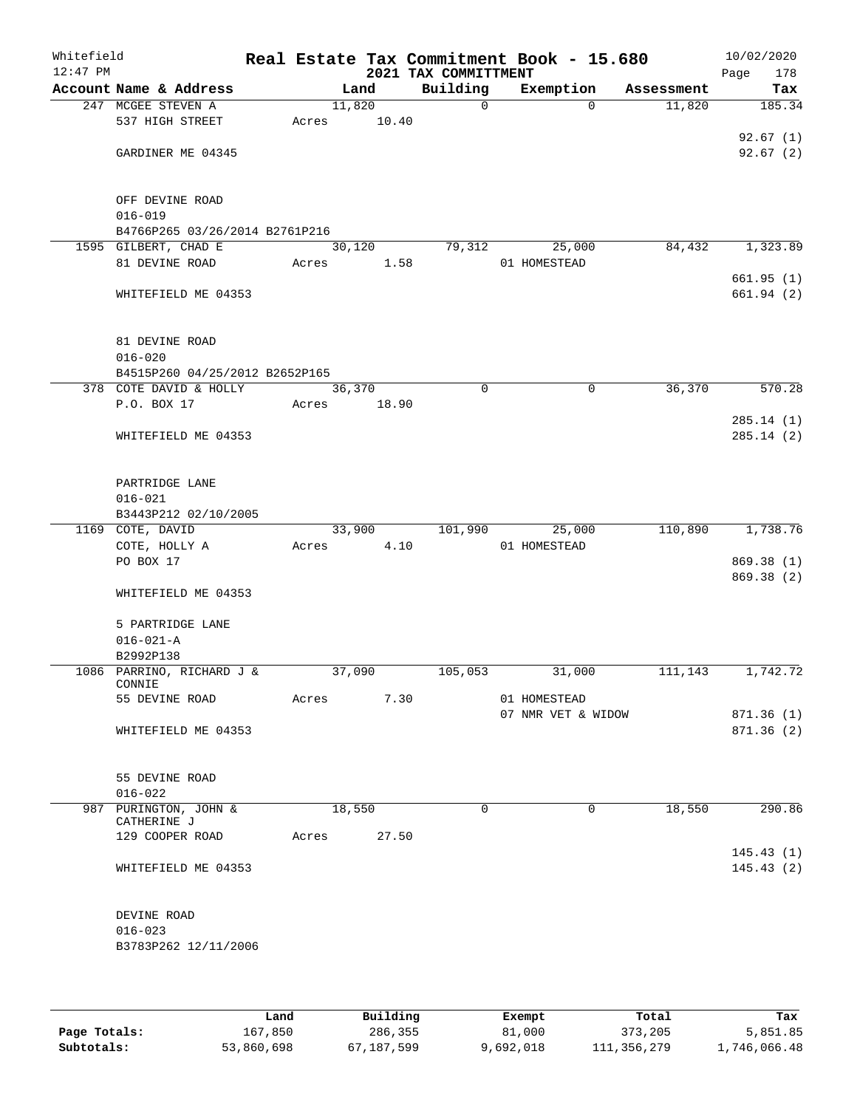| Whitefield<br>$12:47$ PM |                                                                  |       |                 | 2021 TAX COMMITTMENT | Real Estate Tax Commitment Book - 15.680 |            | 10/02/2020<br>Page<br>178 |
|--------------------------|------------------------------------------------------------------|-------|-----------------|----------------------|------------------------------------------|------------|---------------------------|
|                          | Account Name & Address                                           |       | Land            | Building             | Exemption                                | Assessment | Tax                       |
|                          | 247 MCGEE STEVEN A<br>537 HIGH STREET                            | Acres | 11,820<br>10.40 | $\mathsf{O}$         | $\Omega$                                 | 11,820     | 185.34                    |
|                          | GARDINER ME 04345                                                |       |                 |                      |                                          |            | 92.67(1)<br>92.67(2)      |
|                          | OFF DEVINE ROAD<br>$016 - 019$<br>B4766P265 03/26/2014 B2761P216 |       |                 |                      |                                          |            |                           |
|                          | 1595 GILBERT, CHAD E<br>81 DEVINE ROAD                           | Acres | 30,120<br>1.58  | 79,312               | 25,000<br>01 HOMESTEAD                   | 84,432     | 1,323.89                  |
|                          | WHITEFIELD ME 04353                                              |       |                 |                      |                                          |            | 661.95(1)<br>661.94(2)    |
|                          | 81 DEVINE ROAD<br>$016 - 020$<br>B4515P260 04/25/2012 B2652P165  |       |                 |                      |                                          |            |                           |
|                          | 378 COTE DAVID & HOLLY                                           |       | 36,370          | $\mathbf 0$          | $\mathsf{O}$                             | 36,370     | 570.28                    |
|                          | P.O. BOX 17<br>WHITEFIELD ME 04353                               | Acres | 18.90           |                      |                                          |            | 285.14(1)<br>285.14 (2)   |
|                          | PARTRIDGE LANE<br>$016 - 021$<br>B3443P212 02/10/2005            |       |                 |                      |                                          |            |                           |
|                          | 1169 COTE, DAVID                                                 |       | 33,900          | 101,990              | 25,000                                   | 110,890    | 1,738.76                  |
|                          | COTE, HOLLY A                                                    | Acres | 4.10            |                      | 01 HOMESTEAD                             |            |                           |
|                          | PO BOX 17                                                        |       |                 |                      |                                          |            | 869.38 (1)                |
|                          | WHITEFIELD ME 04353                                              |       |                 |                      |                                          |            | 869.38 (2)                |
|                          | 5 PARTRIDGE LANE                                                 |       |                 |                      |                                          |            |                           |
|                          | $016 - 021 - A$                                                  |       |                 |                      |                                          |            |                           |
|                          | B2992P138                                                        |       |                 |                      |                                          |            |                           |
|                          | 1086 PARRINO, RICHARD J &<br>CONNIE                              |       | 37,090          | 105,053              | 31,000                                   | 111,143    | 1,742.72                  |
|                          | 55 DEVINE ROAD                                                   | Acres | 7.30            |                      | 01 HOMESTEAD                             |            |                           |
|                          | WHITEFIELD ME 04353                                              |       |                 |                      | 07 NMR VET & WIDOW                       |            | 871.36(1)<br>871.36(2)    |
|                          | 55 DEVINE ROAD<br>$016 - 022$                                    |       |                 |                      |                                          |            |                           |
|                          | 987 PURINGTON, JOHN &<br>CATHERINE J                             |       | 18,550          | $\Omega$             | 0                                        | 18,550     | 290.86                    |
|                          | 129 COOPER ROAD                                                  | Acres | 27.50           |                      |                                          |            | 145.43(1)                 |
|                          | WHITEFIELD ME 04353                                              |       |                 |                      |                                          |            | 145.43(2)                 |
|                          | DEVINE ROAD<br>$016 - 023$<br>B3783P262 12/11/2006               |       |                 |                      |                                          |            |                           |
|                          |                                                                  |       |                 |                      |                                          |            |                           |

|              | Land       | Building   | Exempt    | Total       | Tax          |
|--------------|------------|------------|-----------|-------------|--------------|
| Page Totals: | 167,850    | 286,355    | 81,000    | 373,205     | 5,851.85     |
| Subtotals:   | 53,860,698 | 67,187,599 | 9,692,018 | 111,356,279 | 1,746,066.48 |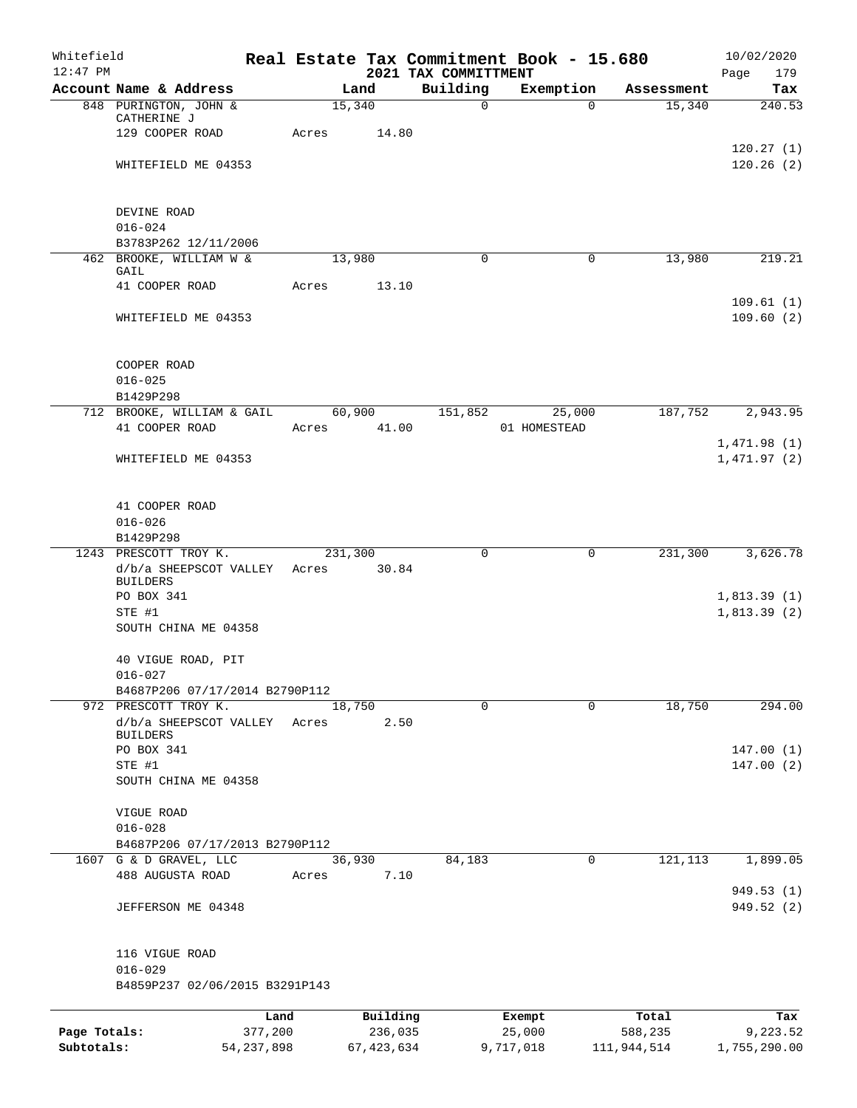| Whitefield<br>$12:47$ PM |                                                          |             |              | 2021 TAX COMMITTMENT | Real Estate Tax Commitment Book - 15.680 |             | 10/02/2020         |
|--------------------------|----------------------------------------------------------|-------------|--------------|----------------------|------------------------------------------|-------------|--------------------|
|                          | Account Name & Address                                   |             | Land         | Building             | Exemption                                | Assessment  | Page<br>179<br>Tax |
|                          | 848 PURINGTON, JOHN &                                    |             | 15,340       | $\mathbf 0$          | $\Omega$                                 | 15,340      | 240.53             |
|                          | CATHERINE J                                              |             |              |                      |                                          |             |                    |
|                          | 129 COOPER ROAD                                          | Acres       | 14.80        |                      |                                          |             | 120.27(1)          |
|                          | WHITEFIELD ME 04353                                      |             |              |                      |                                          |             | 120.26(2)          |
|                          |                                                          |             |              |                      |                                          |             |                    |
|                          |                                                          |             |              |                      |                                          |             |                    |
|                          | DEVINE ROAD<br>$016 - 024$                               |             |              |                      |                                          |             |                    |
|                          | B3783P262 12/11/2006                                     |             |              |                      |                                          |             |                    |
|                          | 462 BROOKE, WILLIAM W &                                  |             | 13,980       | 0                    | 0                                        | 13,980      | 219.21             |
|                          | GAIL                                                     |             |              |                      |                                          |             |                    |
|                          | 41 COOPER ROAD                                           | Acres       | 13.10        |                      |                                          |             | 109.61(1)          |
|                          | WHITEFIELD ME 04353                                      |             |              |                      |                                          |             | 109.60(2)          |
|                          |                                                          |             |              |                      |                                          |             |                    |
|                          |                                                          |             |              |                      |                                          |             |                    |
|                          | COOPER ROAD<br>$016 - 025$                               |             |              |                      |                                          |             |                    |
|                          | B1429P298                                                |             |              |                      |                                          |             |                    |
|                          | 712 BROOKE, WILLIAM & GAIL                               |             | 60,900       | 151,852              | 25,000                                   | 187,752     | 2,943.95           |
|                          | 41 COOPER ROAD                                           | Acres 41.00 |              |                      | 01 HOMESTEAD                             |             |                    |
|                          |                                                          |             |              |                      |                                          |             | 1,471.98(1)        |
|                          | WHITEFIELD ME 04353                                      |             |              |                      |                                          |             | 1,471.97(2)        |
|                          |                                                          |             |              |                      |                                          |             |                    |
|                          | 41 COOPER ROAD                                           |             |              |                      |                                          |             |                    |
|                          | $016 - 026$                                              |             |              |                      |                                          |             |                    |
|                          | B1429P298<br>1243 PRESCOTT TROY K.                       |             | 231,300      | 0                    | 0                                        | 231,300     | 3,626.78           |
|                          | d/b/a SHEEPSCOT VALLEY                                   | Acres       | 30.84        |                      |                                          |             |                    |
|                          | <b>BUILDERS</b>                                          |             |              |                      |                                          |             |                    |
|                          | PO BOX 341                                               |             |              |                      |                                          |             | 1,813.39(1)        |
|                          | STE #1<br>SOUTH CHINA ME 04358                           |             |              |                      |                                          |             | 1,813.39(2)        |
|                          |                                                          |             |              |                      |                                          |             |                    |
|                          | 40 VIGUE ROAD, PIT                                       |             |              |                      |                                          |             |                    |
|                          | $016 - 027$                                              |             |              |                      |                                          |             |                    |
|                          | B4687P206 07/17/2014 B2790P112<br>972 PRESCOTT TROY K.   |             | 18,750       | $\Omega$             | 0                                        | 18,750      | 294.00             |
|                          | d/b/a SHEEPSCOT VALLEY                                   | Acres       | 2.50         |                      |                                          |             |                    |
|                          | <b>BUILDERS</b>                                          |             |              |                      |                                          |             |                    |
|                          | PO BOX 341                                               |             |              |                      |                                          |             | 147.00(1)          |
|                          | STE #1<br>SOUTH CHINA ME 04358                           |             |              |                      |                                          |             | 147.00(2)          |
|                          |                                                          |             |              |                      |                                          |             |                    |
|                          | VIGUE ROAD                                               |             |              |                      |                                          |             |                    |
|                          | $016 - 028$                                              |             |              |                      |                                          |             |                    |
|                          | B4687P206 07/17/2013 B2790P112<br>1607 G & D GRAVEL, LLC |             | 36,930       | 84,183               | $\mathbf 0$                              | 121, 113    | 1,899.05           |
|                          | 488 AUGUSTA ROAD                                         | Acres       | 7.10         |                      |                                          |             |                    |
|                          |                                                          |             |              |                      |                                          |             | 949.53 (1)         |
|                          | JEFFERSON ME 04348                                       |             |              |                      |                                          |             | 949.52 (2)         |
|                          | 116 VIGUE ROAD                                           |             |              |                      |                                          |             |                    |
|                          | $016 - 029$                                              |             |              |                      |                                          |             |                    |
|                          | B4859P237 02/06/2015 B3291P143                           |             |              |                      |                                          |             |                    |
|                          |                                                          | Land        | Building     |                      | Exempt                                   | Total       | Tax                |
| Page Totals:             | 377,200                                                  |             | 236,035      |                      | 25,000                                   | 588,235     | 9,223.52           |
| Subtotals:               | 54, 237, 898                                             |             | 67, 423, 634 |                      | 9,717,018                                | 111,944,514 | 1,755,290.00       |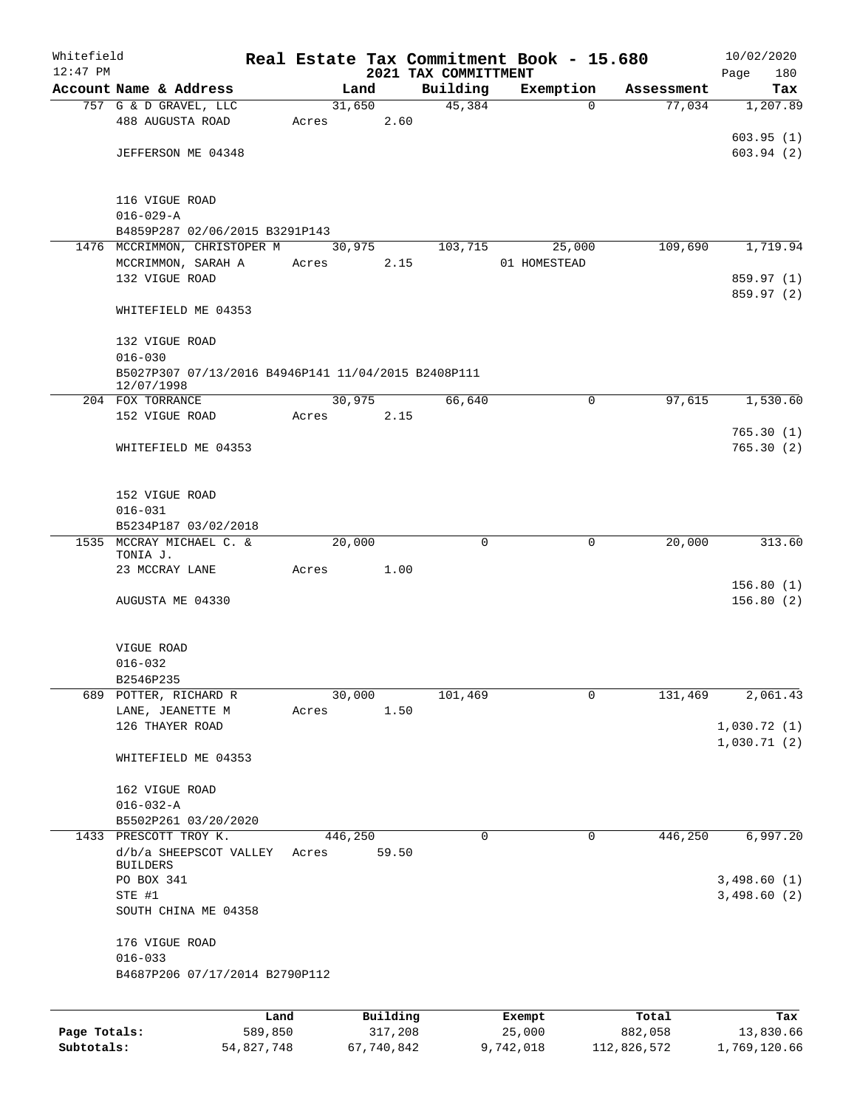| Whitefield<br>$12:47$ PM |                                                                   |         |       |         |          |  |                                  | Real Estate Tax Commitment Book - 15.680 |             |            | 10/02/2020         |
|--------------------------|-------------------------------------------------------------------|---------|-------|---------|----------|--|----------------------------------|------------------------------------------|-------------|------------|--------------------|
|                          | Account Name & Address                                            |         |       | Land    |          |  | 2021 TAX COMMITTMENT<br>Building | Exemption                                |             | Assessment | Page<br>180<br>Tax |
|                          | 757 G & D GRAVEL, LLC                                             |         |       | 31,650  |          |  | 45,384                           |                                          | $\Omega$    | 77,034     | 1,207.89           |
|                          | 488 AUGUSTA ROAD                                                  |         | Acres |         | 2.60     |  |                                  |                                          |             |            |                    |
|                          |                                                                   |         |       |         |          |  |                                  |                                          |             |            | 603.95(1)          |
|                          | JEFFERSON ME 04348                                                |         |       |         |          |  |                                  |                                          |             |            | 603.94(2)          |
|                          |                                                                   |         |       |         |          |  |                                  |                                          |             |            |                    |
|                          |                                                                   |         |       |         |          |  |                                  |                                          |             |            |                    |
|                          | 116 VIGUE ROAD                                                    |         |       |         |          |  |                                  |                                          |             |            |                    |
|                          | $016 - 029 - A$<br>B4859P287 02/06/2015 B3291P143                 |         |       |         |          |  |                                  |                                          |             |            |                    |
|                          | 1476 MCCRIMMON, CHRISTOPER M                                      |         |       | 30,975  |          |  | 103,715                          |                                          | 25,000      | 109,690    | 1,719.94           |
|                          | MCCRIMMON, SARAH A                                                |         | Acres |         | 2.15     |  |                                  | 01 HOMESTEAD                             |             |            |                    |
|                          | 132 VIGUE ROAD                                                    |         |       |         |          |  |                                  |                                          |             |            | 859.97 (1)         |
|                          |                                                                   |         |       |         |          |  |                                  |                                          |             |            | 859.97 (2)         |
|                          | WHITEFIELD ME 04353                                               |         |       |         |          |  |                                  |                                          |             |            |                    |
|                          |                                                                   |         |       |         |          |  |                                  |                                          |             |            |                    |
|                          | 132 VIGUE ROAD                                                    |         |       |         |          |  |                                  |                                          |             |            |                    |
|                          | $016 - 030$                                                       |         |       |         |          |  |                                  |                                          |             |            |                    |
|                          | B5027P307 07/13/2016 B4946P141 11/04/2015 B2408P111<br>12/07/1998 |         |       |         |          |  |                                  |                                          |             |            |                    |
|                          | 204 FOX TORRANCE                                                  |         |       | 30,975  |          |  | 66,640                           |                                          | $\mathbf 0$ | 97,615     | 1,530.60           |
|                          | 152 VIGUE ROAD                                                    |         | Acres |         | 2.15     |  |                                  |                                          |             |            |                    |
|                          |                                                                   |         |       |         |          |  |                                  |                                          |             |            | 765.30(1)          |
|                          | WHITEFIELD ME 04353                                               |         |       |         |          |  |                                  |                                          |             |            | 765.30(2)          |
|                          |                                                                   |         |       |         |          |  |                                  |                                          |             |            |                    |
|                          |                                                                   |         |       |         |          |  |                                  |                                          |             |            |                    |
|                          | 152 VIGUE ROAD                                                    |         |       |         |          |  |                                  |                                          |             |            |                    |
|                          | $016 - 031$<br>B5234P187 03/02/2018                               |         |       |         |          |  |                                  |                                          |             |            |                    |
|                          | 1535 MCCRAY MICHAEL C. &                                          |         |       | 20,000  |          |  | $\mathbf 0$                      |                                          | $\mathbf 0$ | 20,000     | 313.60             |
|                          | TONIA J.                                                          |         |       |         |          |  |                                  |                                          |             |            |                    |
|                          | 23 MCCRAY LANE                                                    |         | Acres |         | 1.00     |  |                                  |                                          |             |            |                    |
|                          |                                                                   |         |       |         |          |  |                                  |                                          |             |            | 156.80(1)          |
|                          | AUGUSTA ME 04330                                                  |         |       |         |          |  |                                  |                                          |             |            | 156.80(2)          |
|                          |                                                                   |         |       |         |          |  |                                  |                                          |             |            |                    |
|                          | VIGUE ROAD                                                        |         |       |         |          |  |                                  |                                          |             |            |                    |
|                          | $016 - 032$                                                       |         |       |         |          |  |                                  |                                          |             |            |                    |
|                          | B2546P235                                                         |         |       |         |          |  |                                  |                                          |             |            |                    |
|                          | 689 POTTER, RICHARD R                                             |         |       | 30,000  |          |  | 101,469                          |                                          | $\mathbf 0$ | 131,469    | 2,061.43           |
|                          | LANE, JEANETTE M                                                  |         | Acres |         | 1.50     |  |                                  |                                          |             |            |                    |
|                          | 126 THAYER ROAD                                                   |         |       |         |          |  |                                  |                                          |             |            | 1,030.72(1)        |
|                          | WHITEFIELD ME 04353                                               |         |       |         |          |  |                                  |                                          |             |            | 1,030.71(2)        |
|                          |                                                                   |         |       |         |          |  |                                  |                                          |             |            |                    |
|                          | 162 VIGUE ROAD                                                    |         |       |         |          |  |                                  |                                          |             |            |                    |
|                          | $016 - 032 - A$                                                   |         |       |         |          |  |                                  |                                          |             |            |                    |
|                          | B5502P261 03/20/2020                                              |         |       |         |          |  |                                  |                                          |             |            |                    |
|                          | 1433 PRESCOTT TROY K.                                             |         |       | 446,250 |          |  | 0                                |                                          | $\mathbf 0$ | 446,250    | 6,997.20           |
|                          | d/b/a SHEEPSCOT VALLEY<br>BUILDERS                                |         | Acres |         | 59.50    |  |                                  |                                          |             |            |                    |
|                          | PO BOX 341                                                        |         |       |         |          |  |                                  |                                          |             |            | 3,498.60(1)        |
|                          | STE #1                                                            |         |       |         |          |  |                                  |                                          |             |            | 3,498.60(2)        |
|                          | SOUTH CHINA ME 04358                                              |         |       |         |          |  |                                  |                                          |             |            |                    |
|                          |                                                                   |         |       |         |          |  |                                  |                                          |             |            |                    |
|                          | 176 VIGUE ROAD                                                    |         |       |         |          |  |                                  |                                          |             |            |                    |
|                          | $016 - 033$                                                       |         |       |         |          |  |                                  |                                          |             |            |                    |
|                          | B4687P206 07/17/2014 B2790P112                                    |         |       |         |          |  |                                  |                                          |             |            |                    |
|                          |                                                                   |         |       |         |          |  |                                  |                                          |             |            |                    |
|                          |                                                                   | Land    |       |         | Building |  |                                  | Exempt                                   |             | Total      | Tax                |
| Page Totals:             |                                                                   | 589,850 |       |         | 317,208  |  |                                  | 25,000                                   |             | 882,058    | 13,830.66          |

**Subtotals:** 54,827,748 67,740,842 9,742,018 112,826,572 1,769,120.66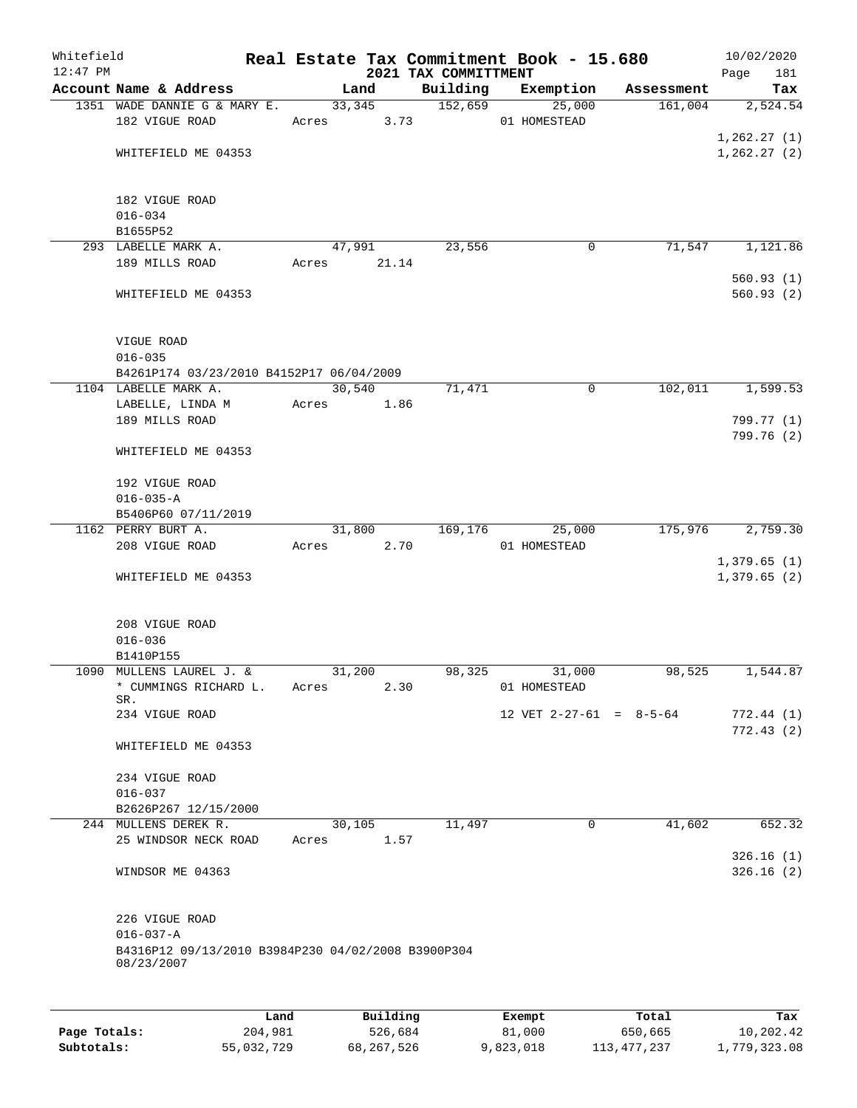| Whitefield |                                                                       |       |                 |       |                      | Real Estate Tax Commitment Book - 15.680 |                       | 10/02/2020      |  |  |  |
|------------|-----------------------------------------------------------------------|-------|-----------------|-------|----------------------|------------------------------------------|-----------------------|-----------------|--|--|--|
| $12:47$ PM |                                                                       |       |                 |       | 2021 TAX COMMITTMENT |                                          |                       | 181<br>Page     |  |  |  |
|            | Account Name & Address<br>1351 WADE DANNIE G & MARY E.                |       | Land<br>33, 345 |       | Building<br>152,659  | Exemption<br>25,000                      | Assessment<br>161,004 | Tax<br>2,524.54 |  |  |  |
|            | 182 VIGUE ROAD                                                        |       | Acres           | 3.73  |                      | 01 HOMESTEAD                             |                       |                 |  |  |  |
|            |                                                                       |       |                 |       |                      |                                          |                       | 1, 262.27(1)    |  |  |  |
|            | WHITEFIELD ME 04353                                                   |       |                 |       |                      |                                          |                       | 1, 262.27(2)    |  |  |  |
|            |                                                                       |       |                 |       |                      |                                          |                       |                 |  |  |  |
|            |                                                                       |       |                 |       |                      |                                          |                       |                 |  |  |  |
|            | 182 VIGUE ROAD                                                        |       |                 |       |                      |                                          |                       |                 |  |  |  |
|            | $016 - 034$<br>B1655P52                                               |       |                 |       |                      |                                          |                       |                 |  |  |  |
|            | 293 LABELLE MARK A.                                                   |       | 47,991          |       | 23,556               | 0                                        | 71,547                | 1,121.86        |  |  |  |
|            | 189 MILLS ROAD                                                        |       | Acres           | 21.14 |                      |                                          |                       |                 |  |  |  |
|            |                                                                       |       |                 |       |                      |                                          |                       | 560.93(1)       |  |  |  |
|            | WHITEFIELD ME 04353                                                   |       |                 |       |                      |                                          |                       | 560.93(2)       |  |  |  |
|            |                                                                       |       |                 |       |                      |                                          |                       |                 |  |  |  |
|            |                                                                       |       |                 |       |                      |                                          |                       |                 |  |  |  |
|            | VIGUE ROAD<br>$016 - 035$                                             |       |                 |       |                      |                                          |                       |                 |  |  |  |
|            | B4261P174 03/23/2010 B4152P17 06/04/2009                              |       |                 |       |                      |                                          |                       |                 |  |  |  |
|            | 1104 LABELLE MARK A.                                                  |       | 30,540          |       | 71,471               | 0                                        | 102,011               | 1,599.53        |  |  |  |
|            | LABELLE, LINDA M                                                      | Acres |                 | 1.86  |                      |                                          |                       |                 |  |  |  |
|            | 189 MILLS ROAD                                                        |       |                 |       |                      |                                          |                       | 799.77 (1)      |  |  |  |
|            |                                                                       |       |                 |       |                      |                                          |                       | 799.76 (2)      |  |  |  |
|            | WHITEFIELD ME 04353                                                   |       |                 |       |                      |                                          |                       |                 |  |  |  |
|            |                                                                       |       |                 |       |                      |                                          |                       |                 |  |  |  |
|            | 192 VIGUE ROAD<br>$016 - 035 - A$                                     |       |                 |       |                      |                                          |                       |                 |  |  |  |
|            | B5406P60 07/11/2019                                                   |       |                 |       |                      |                                          |                       |                 |  |  |  |
|            | 1162 PERRY BURT A.                                                    |       | 31,800          |       | 169,176              | 25,000                                   | 175,976               | 2,759.30        |  |  |  |
|            | 208 VIGUE ROAD                                                        | Acres |                 | 2.70  |                      | 01 HOMESTEAD                             |                       |                 |  |  |  |
|            |                                                                       |       |                 |       |                      |                                          |                       | 1,379.65(1)     |  |  |  |
|            | WHITEFIELD ME 04353                                                   |       |                 |       |                      |                                          |                       | 1,379.65(2)     |  |  |  |
|            |                                                                       |       |                 |       |                      |                                          |                       |                 |  |  |  |
|            | 208 VIGUE ROAD                                                        |       |                 |       |                      |                                          |                       |                 |  |  |  |
|            | $016 - 036$                                                           |       |                 |       |                      |                                          |                       |                 |  |  |  |
|            | B1410P155                                                             |       |                 |       |                      |                                          |                       |                 |  |  |  |
|            | 1090 MULLENS LAUREL J. &                                              |       | 31,200          |       | 98,325               | 31,000                                   | 98,525                | 1,544.87        |  |  |  |
|            | * CUMMINGS RICHARD L.                                                 | Acres |                 | 2.30  |                      | 01 HOMESTEAD                             |                       |                 |  |  |  |
|            | SR.<br>234 VIGUE ROAD                                                 |       |                 |       |                      | 12 VET $2-27-61 = 8-5-64$                |                       | 772.44(1)       |  |  |  |
|            |                                                                       |       |                 |       |                      |                                          |                       | 772.43(2)       |  |  |  |
|            | WHITEFIELD ME 04353                                                   |       |                 |       |                      |                                          |                       |                 |  |  |  |
|            |                                                                       |       |                 |       |                      |                                          |                       |                 |  |  |  |
|            | 234 VIGUE ROAD                                                        |       |                 |       |                      |                                          |                       |                 |  |  |  |
|            | $016 - 037$                                                           |       |                 |       |                      |                                          |                       |                 |  |  |  |
|            | B2626P267 12/15/2000<br>244 MULLENS DEREK R.                          |       |                 |       |                      | 0                                        |                       |                 |  |  |  |
|            | 25 WINDSOR NECK ROAD                                                  | Acres | 30,105          | 1.57  | 11,497               |                                          | 41,602                | 652.32          |  |  |  |
|            |                                                                       |       |                 |       |                      |                                          |                       | 326.16(1)       |  |  |  |
|            | WINDSOR ME 04363                                                      |       |                 |       |                      |                                          |                       | 326.16(2)       |  |  |  |
|            |                                                                       |       |                 |       |                      |                                          |                       |                 |  |  |  |
|            |                                                                       |       |                 |       |                      |                                          |                       |                 |  |  |  |
|            | 226 VIGUE ROAD                                                        |       |                 |       |                      |                                          |                       |                 |  |  |  |
|            | $016 - 037 - A$<br>B4316P12 09/13/2010 B3984P230 04/02/2008 B3900P304 |       |                 |       |                      |                                          |                       |                 |  |  |  |
|            | 08/23/2007                                                            |       |                 |       |                      |                                          |                       |                 |  |  |  |
|            |                                                                       |       |                 |       |                      |                                          |                       |                 |  |  |  |
|            |                                                                       |       |                 |       |                      |                                          |                       |                 |  |  |  |
|            |                                                                       | Land  | Building        |       |                      | Exempt                                   | Total                 | Tax             |  |  |  |

**Page Totals:** 204,981 526,684 81,000 650,665 10,202.42 **Subtotals:** 55,032,729 68,267,526 9,823,018 113,477,237 1,779,323.08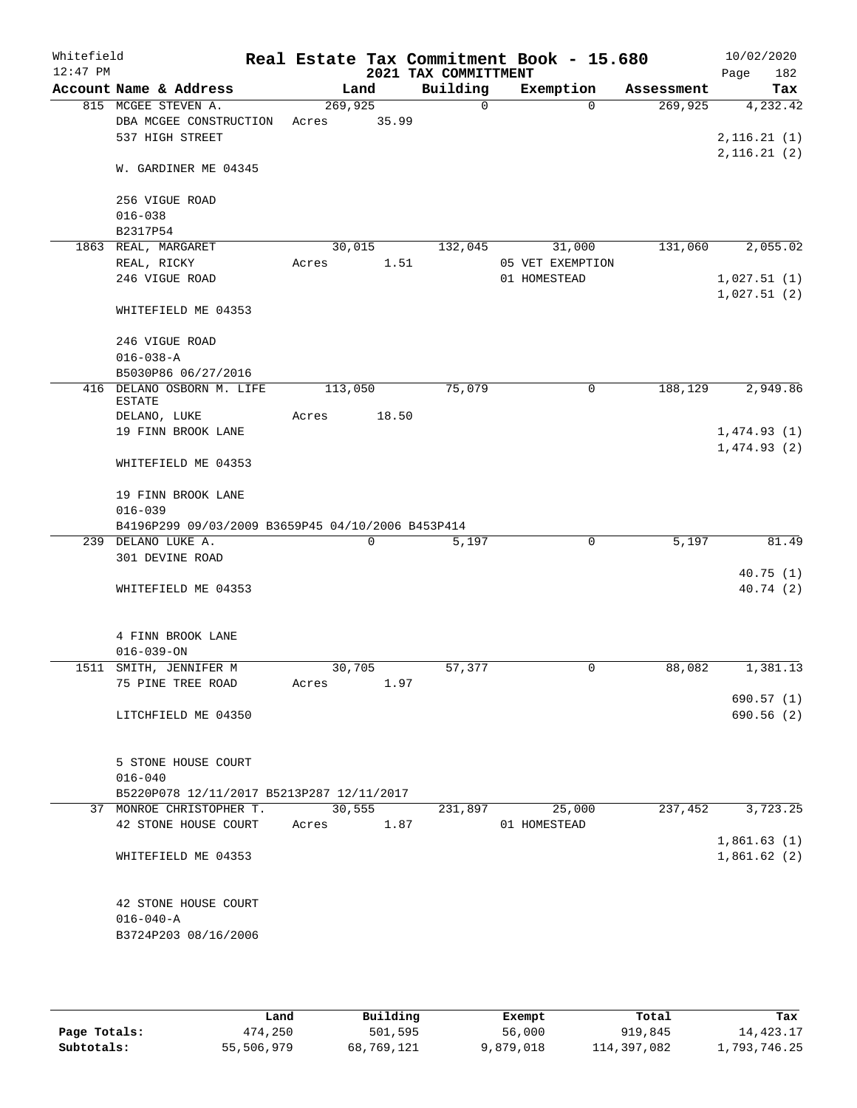| Whitefield |                                                   |         |        |                      | Real Estate Tax Commitment Book - 15.680 |            | 10/02/2020            |
|------------|---------------------------------------------------|---------|--------|----------------------|------------------------------------------|------------|-----------------------|
| $12:47$ PM |                                                   |         |        | 2021 TAX COMMITTMENT |                                          |            | 182<br>Page           |
|            | Account Name & Address                            |         | Land   | Building             | Exemption                                | Assessment | Tax                   |
|            | 815 MCGEE STEVEN A.                               | 269,925 |        | 0                    | $\Omega$                                 | 269,925    | 4,232.42              |
|            | DBA MCGEE CONSTRUCTION                            | Acres   | 35.99  |                      |                                          |            |                       |
|            | 537 HIGH STREET                                   |         |        |                      |                                          |            | 2, 116.21(1)          |
|            | W. GARDINER ME 04345                              |         |        |                      |                                          |            | 2,116.21(2)           |
|            | 256 VIGUE ROAD                                    |         |        |                      |                                          |            |                       |
|            | $016 - 038$                                       |         |        |                      |                                          |            |                       |
|            | B2317P54                                          |         |        |                      |                                          |            |                       |
|            | 1863 REAL, MARGARET                               |         | 30,015 | 132,045              | 31,000                                   | 131,060    | 2,055.02              |
|            | REAL, RICKY                                       | Acres   | 1.51   |                      | 05 VET EXEMPTION                         |            |                       |
|            | 246 VIGUE ROAD                                    |         |        |                      | 01 HOMESTEAD                             |            | 1,027.51(1)           |
|            | WHITEFIELD ME 04353                               |         |        |                      |                                          |            | 1,027.51(2)           |
|            | 246 VIGUE ROAD                                    |         |        |                      |                                          |            |                       |
|            | $016 - 038 - A$                                   |         |        |                      |                                          |            |                       |
|            | B5030P86 06/27/2016                               |         |        |                      |                                          |            |                       |
| 416        | DELANO OSBORN M. LIFE<br><b>ESTATE</b>            | 113,050 |        | 75,079               | 0                                        | 188,129    | 2,949.86              |
|            | DELANO, LUKE                                      | Acres   | 18.50  |                      |                                          |            |                       |
|            | 19 FINN BROOK LANE                                |         |        |                      |                                          |            | 1,474.93(1)           |
|            |                                                   |         |        |                      |                                          |            | 1,474.93(2)           |
|            | WHITEFIELD ME 04353                               |         |        |                      |                                          |            |                       |
|            | 19 FINN BROOK LANE                                |         |        |                      |                                          |            |                       |
|            | $016 - 039$                                       |         |        |                      |                                          |            |                       |
|            | B4196P299 09/03/2009 B3659P45 04/10/2006 B453P414 |         |        |                      |                                          |            |                       |
|            | 239 DELANO LUKE A.                                |         | 0      | 5,197                | $\mathbf 0$                              | 5,197      | 81.49                 |
|            | 301 DEVINE ROAD                                   |         |        |                      |                                          |            |                       |
|            | WHITEFIELD ME 04353                               |         |        |                      |                                          |            | 40.75(1)<br>40.74 (2) |
|            |                                                   |         |        |                      |                                          |            |                       |
|            | 4 FINN BROOK LANE                                 |         |        |                      |                                          |            |                       |
|            | $016 - 039 - ON$                                  |         |        |                      |                                          |            |                       |
|            | 1511 SMITH, JENNIFER M                            |         | 30,705 | 57,377               | 0                                        | 88,082     | 1,381.13              |
|            | 75 PINE TREE ROAD                                 | Acres   | 1.97   |                      |                                          |            |                       |
|            |                                                   |         |        |                      |                                          |            | 690.57 (1)            |
|            | LITCHFIELD ME 04350                               |         |        |                      |                                          |            | 690.56(2)             |
|            | 5 STONE HOUSE COURT                               |         |        |                      |                                          |            |                       |
|            | $016 - 040$                                       |         |        |                      |                                          |            |                       |
|            | B5220P078 12/11/2017 B5213P287 12/11/2017         |         |        |                      |                                          |            |                       |
|            | 37 MONROE CHRISTOPHER T.                          |         | 30,555 | 231,897              | 25,000                                   | 237,452    | 3,723.25              |
|            | 42 STONE HOUSE COURT                              | Acres   | 1.87   |                      | 01 HOMESTEAD                             |            |                       |
|            |                                                   |         |        |                      |                                          |            | 1,861.63(1)           |
|            | WHITEFIELD ME 04353                               |         |        |                      |                                          |            | 1,861.62(2)           |
|            | 42 STONE HOUSE COURT                              |         |        |                      |                                          |            |                       |
|            | $016 - 040 - A$                                   |         |        |                      |                                          |            |                       |
|            | B3724P203 08/16/2006                              |         |        |                      |                                          |            |                       |
|            |                                                   |         |        |                      |                                          |            |                       |

|              | Land       | Building   | Exempt    | Total       | Tax          |
|--------------|------------|------------|-----------|-------------|--------------|
| Page Totals: | 474,250    | 501,595    | 56,000    | 919,845     | 14,423.17    |
| Subtotals:   | 55,506,979 | 68,769,121 | 9,879,018 | 114,397,082 | l,793,746.25 |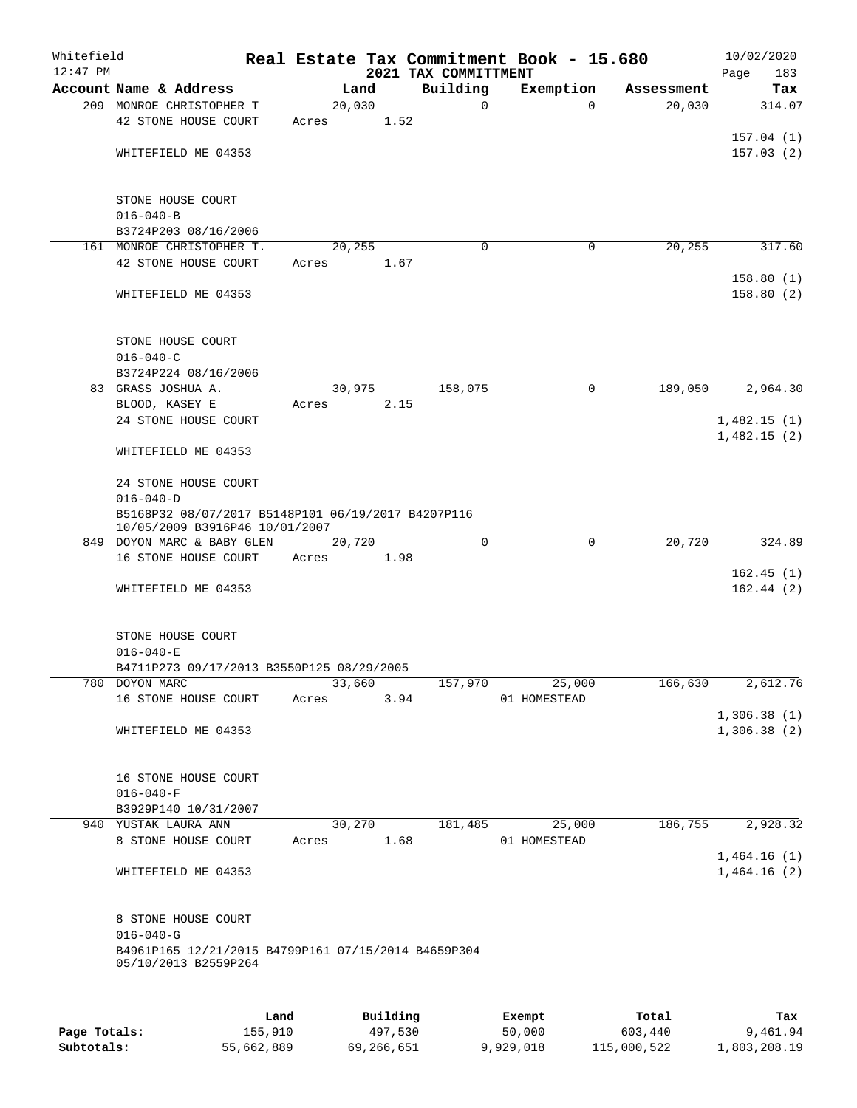| Whitefield<br>$12:47$ PM |                                                                                      |       |        |          | 2021 TAX COMMITTMENT | Real Estate Tax Commitment Book - 15.680 |          |            | 10/02/2020<br>Page<br>183 |
|--------------------------|--------------------------------------------------------------------------------------|-------|--------|----------|----------------------|------------------------------------------|----------|------------|---------------------------|
|                          | Account Name & Address                                                               |       | Land   |          | Building             | Exemption                                |          | Assessment | Tax                       |
|                          | 209 MONROE CHRISTOPHER T                                                             |       | 20,030 |          | $\mathbf 0$          |                                          | $\Omega$ | 20,030     | 314.07                    |
|                          | 42 STONE HOUSE COURT                                                                 | Acres |        | 1.52     |                      |                                          |          |            |                           |
|                          |                                                                                      |       |        |          |                      |                                          |          |            | 157.04(1)                 |
|                          | WHITEFIELD ME 04353                                                                  |       |        |          |                      |                                          |          |            | 157.03(2)                 |
|                          |                                                                                      |       |        |          |                      |                                          |          |            |                           |
|                          |                                                                                      |       |        |          |                      |                                          |          |            |                           |
|                          | STONE HOUSE COURT                                                                    |       |        |          |                      |                                          |          |            |                           |
|                          | $016 - 040 - B$                                                                      |       |        |          |                      |                                          |          |            |                           |
|                          | B3724P203 08/16/2006<br>161 MONROE CHRISTOPHER T.                                    |       | 20,255 |          | 0                    |                                          | 0        | 20, 255    | 317.60                    |
|                          | 42 STONE HOUSE COURT                                                                 | Acres |        | 1.67     |                      |                                          |          |            |                           |
|                          |                                                                                      |       |        |          |                      |                                          |          |            | 158.80(1)                 |
|                          | WHITEFIELD ME 04353                                                                  |       |        |          |                      |                                          |          |            | 158.80(2)                 |
|                          |                                                                                      |       |        |          |                      |                                          |          |            |                           |
|                          |                                                                                      |       |        |          |                      |                                          |          |            |                           |
|                          | STONE HOUSE COURT                                                                    |       |        |          |                      |                                          |          |            |                           |
|                          | $016 - 040 - C$                                                                      |       |        |          |                      |                                          |          |            |                           |
|                          | B3724P224 08/16/2006                                                                 |       |        |          |                      |                                          |          |            |                           |
|                          | 83 GRASS JOSHUA A.                                                                   |       | 30,975 |          | 158,075              |                                          | 0        | 189,050    | 2,964.30                  |
|                          | BLOOD, KASEY E                                                                       | Acres |        | 2.15     |                      |                                          |          |            |                           |
|                          | 24 STONE HOUSE COURT                                                                 |       |        |          |                      |                                          |          |            | 1,482.15(1)               |
|                          |                                                                                      |       |        |          |                      |                                          |          |            | 1,482.15(2)               |
|                          | WHITEFIELD ME 04353                                                                  |       |        |          |                      |                                          |          |            |                           |
|                          |                                                                                      |       |        |          |                      |                                          |          |            |                           |
|                          | 24 STONE HOUSE COURT                                                                 |       |        |          |                      |                                          |          |            |                           |
|                          | $016 - 040 - D$                                                                      |       |        |          |                      |                                          |          |            |                           |
|                          | B5168P32 08/07/2017 B5148P101 06/19/2017 B4207P116<br>10/05/2009 B3916P46 10/01/2007 |       |        |          |                      |                                          |          |            |                           |
|                          | 849 DOYON MARC & BABY GLEN                                                           |       | 20,720 |          | $\mathbf 0$          |                                          | 0        | 20,720     | 324.89                    |
|                          | 16 STONE HOUSE COURT                                                                 | Acres |        | 1.98     |                      |                                          |          |            |                           |
|                          |                                                                                      |       |        |          |                      |                                          |          |            | 162.45(1)                 |
|                          | WHITEFIELD ME 04353                                                                  |       |        |          |                      |                                          |          |            | 162.44(2)                 |
|                          |                                                                                      |       |        |          |                      |                                          |          |            |                           |
|                          |                                                                                      |       |        |          |                      |                                          |          |            |                           |
|                          | STONE HOUSE COURT                                                                    |       |        |          |                      |                                          |          |            |                           |
|                          | $016 - 040 - E$                                                                      |       |        |          |                      |                                          |          |            |                           |
|                          | B4711P273 09/17/2013 B3550P125 08/29/2005                                            |       |        |          |                      |                                          |          |            |                           |
|                          | 780 DOYON MARC                                                                       |       | 33,660 |          | 157,970              |                                          | 25,000   | 166,630    | 2,612.76                  |
|                          | 16 STONE HOUSE COURT                                                                 | Acres |        | 3.94     |                      | 01 HOMESTEAD                             |          |            |                           |
|                          |                                                                                      |       |        |          |                      |                                          |          |            | 1,306.38(1)               |
|                          | WHITEFIELD ME 04353                                                                  |       |        |          |                      |                                          |          |            | 1,306.38(2)               |
|                          |                                                                                      |       |        |          |                      |                                          |          |            |                           |
|                          |                                                                                      |       |        |          |                      |                                          |          |            |                           |
|                          | 16 STONE HOUSE COURT<br>$016 - 040 - F$                                              |       |        |          |                      |                                          |          |            |                           |
|                          | B3929P140 10/31/2007                                                                 |       |        |          |                      |                                          |          |            |                           |
|                          | 940 YUSTAK LAURA ANN                                                                 |       | 30,270 |          | 181,485              |                                          | 25,000   | 186,755    | 2,928.32                  |
|                          | 8 STONE HOUSE COURT                                                                  | Acres |        | 1.68     |                      | 01 HOMESTEAD                             |          |            |                           |
|                          |                                                                                      |       |        |          |                      |                                          |          |            | 1,464.16(1)               |
|                          | WHITEFIELD ME 04353                                                                  |       |        |          |                      |                                          |          |            | 1,464.16(2)               |
|                          |                                                                                      |       |        |          |                      |                                          |          |            |                           |
|                          |                                                                                      |       |        |          |                      |                                          |          |            |                           |
|                          | 8 STONE HOUSE COURT                                                                  |       |        |          |                      |                                          |          |            |                           |
|                          | $016 - 040 - G$                                                                      |       |        |          |                      |                                          |          |            |                           |
|                          | B4961P165 12/21/2015 B4799P161 07/15/2014 B4659P304                                  |       |        |          |                      |                                          |          |            |                           |
|                          | 05/10/2013 B2559P264                                                                 |       |        |          |                      |                                          |          |            |                           |
|                          |                                                                                      |       |        |          |                      |                                          |          |            |                           |
|                          |                                                                                      |       |        |          |                      |                                          |          |            |                           |
|                          |                                                                                      | Land  |        | Building |                      | Exempt                                   |          | Total      | Tax                       |

|              | Lanu       | Buiidhe    | Lxempt    | TOLAT       | 1ax.         |
|--------------|------------|------------|-----------|-------------|--------------|
| Page Totals: | 155,910    | 497,530    | 50,000    | 603,440     | 9,461.94     |
| Subtotals:   | 55,662,889 | 69,266,651 | 9,929,018 | 115,000,522 | 1,803,208.19 |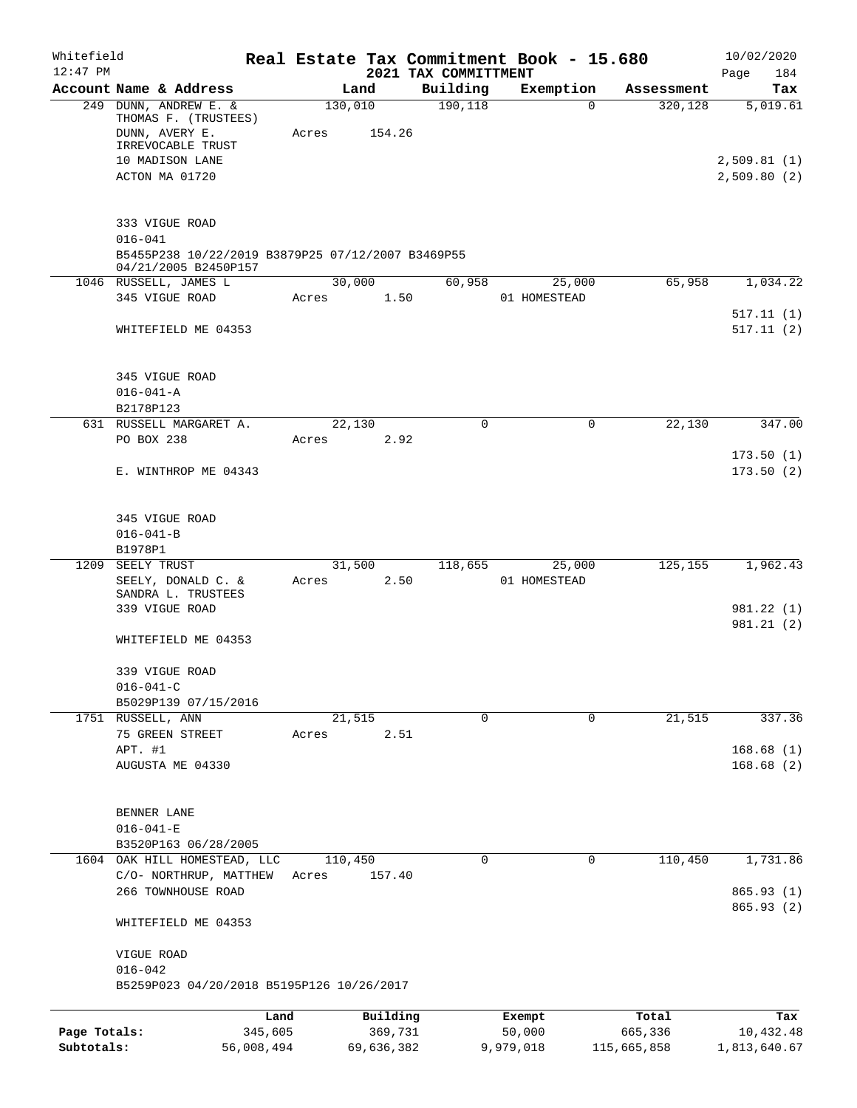| Whitefield                 |                                                                                          |                       |                 |                       |                                  | Real Estate Tax Commitment Book - 15.680 |                        | 10/02/2020                 |
|----------------------------|------------------------------------------------------------------------------------------|-----------------------|-----------------|-----------------------|----------------------------------|------------------------------------------|------------------------|----------------------------|
| $12:47$ PM                 | Account Name & Address                                                                   |                       |                 | Land                  | 2021 TAX COMMITTMENT<br>Building | Exemption                                | Assessment             | Page<br>184<br>Tax         |
|                            | 249 DUNN, ANDREW E. &<br>THOMAS F. (TRUSTEES)                                            |                       | 130,010         |                       | 190, 118                         | 0                                        | 320,128                | 5,019.61                   |
|                            | DUNN, AVERY E.<br>IRREVOCABLE TRUST                                                      |                       | Acres           | 154.26                |                                  |                                          |                        |                            |
|                            | 10 MADISON LANE<br>ACTON MA 01720                                                        |                       |                 |                       |                                  |                                          |                        | 2,509.81(1)<br>2,509.80(2) |
|                            | 333 VIGUE ROAD                                                                           |                       |                 |                       |                                  |                                          |                        |                            |
|                            | $016 - 041$<br>B5455P238 10/22/2019 B3879P25 07/12/2007 B3469P55<br>04/21/2005 B2450P157 |                       |                 |                       |                                  |                                          |                        |                            |
|                            | 1046 RUSSELL, JAMES L<br>345 VIGUE ROAD                                                  |                       | 30,000<br>Acres | 1.50                  | 60,958                           | 25,000<br>01 HOMESTEAD                   | 65,958                 | 1,034.22                   |
|                            | WHITEFIELD ME 04353                                                                      |                       |                 |                       |                                  |                                          |                        | 517.11(1)<br>517.11(2)     |
|                            | 345 VIGUE ROAD<br>$016 - 041 - A$<br>B2178P123                                           |                       |                 |                       |                                  |                                          |                        |                            |
|                            | 631 RUSSELL MARGARET A.<br>PO BOX 238                                                    |                       | 22,130<br>Acres | 2.92                  | 0                                | $\mathbf 0$                              | 22,130                 | 347.00                     |
|                            | E. WINTHROP ME 04343                                                                     |                       |                 |                       |                                  |                                          |                        | 173.50(1)<br>173.50(2)     |
|                            |                                                                                          |                       |                 |                       |                                  |                                          |                        |                            |
|                            | 345 VIGUE ROAD<br>$016 - 041 - B$<br>B1978P1                                             |                       |                 |                       |                                  |                                          |                        |                            |
| 1209                       | SEELY TRUST                                                                              |                       | 31,500          |                       | 118,655                          | 25,000                                   | 125,155                | 1,962.43                   |
|                            | SEELY, DONALD C. &<br>SANDRA L. TRUSTEES                                                 |                       | Acres           | 2.50                  |                                  | 01 HOMESTEAD                             |                        |                            |
|                            | 339 VIGUE ROAD                                                                           |                       |                 |                       |                                  |                                          |                        | 981.22 (1)<br>981.21 (2)   |
|                            | WHITEFIELD ME 04353                                                                      |                       |                 |                       |                                  |                                          |                        |                            |
|                            | 339 VIGUE ROAD<br>$016 - 041 - C$                                                        |                       |                 |                       |                                  |                                          |                        |                            |
|                            | B5029P139 07/15/2016<br>1751 RUSSELL, ANN                                                |                       | 21,515          |                       | 0                                | $\mathbf 0$                              | 21,515                 | 337.36                     |
|                            | 75 GREEN STREET                                                                          |                       | Acres           | 2.51                  |                                  |                                          |                        |                            |
|                            | APT. #1<br>AUGUSTA ME 04330                                                              |                       |                 |                       |                                  |                                          |                        | 168.68(1)<br>168.68(2)     |
|                            | BENNER LANE                                                                              |                       |                 |                       |                                  |                                          |                        |                            |
|                            | $016 - 041 - E$<br>B3520P163 06/28/2005                                                  |                       |                 |                       |                                  |                                          |                        |                            |
|                            | 1604 OAK HILL HOMESTEAD, LLC                                                             |                       | 110,450         |                       | 0                                | 0                                        | 110,450                | 1,731.86                   |
|                            | C/O- NORTHRUP, MATTHEW<br>266 TOWNHOUSE ROAD                                             |                       | Acres           | 157.40                |                                  |                                          |                        | 865.93 (1)                 |
|                            | WHITEFIELD ME 04353                                                                      |                       |                 |                       |                                  |                                          |                        | 865.93 (2)                 |
|                            | VIGUE ROAD<br>$016 - 042$                                                                |                       |                 |                       |                                  |                                          |                        |                            |
|                            | B5259P023 04/20/2018 B5195P126 10/26/2017                                                |                       |                 |                       |                                  |                                          |                        |                            |
|                            |                                                                                          | Land                  |                 | Building              |                                  | Exempt                                   | Total                  | Tax                        |
| Page Totals:<br>Subtotals: |                                                                                          | 345,605<br>56,008,494 |                 | 369,731<br>69,636,382 |                                  | 50,000<br>9,979,018                      | 665,336<br>115,665,858 | 10,432.48<br>1,813,640.67  |
|                            |                                                                                          |                       |                 |                       |                                  |                                          |                        |                            |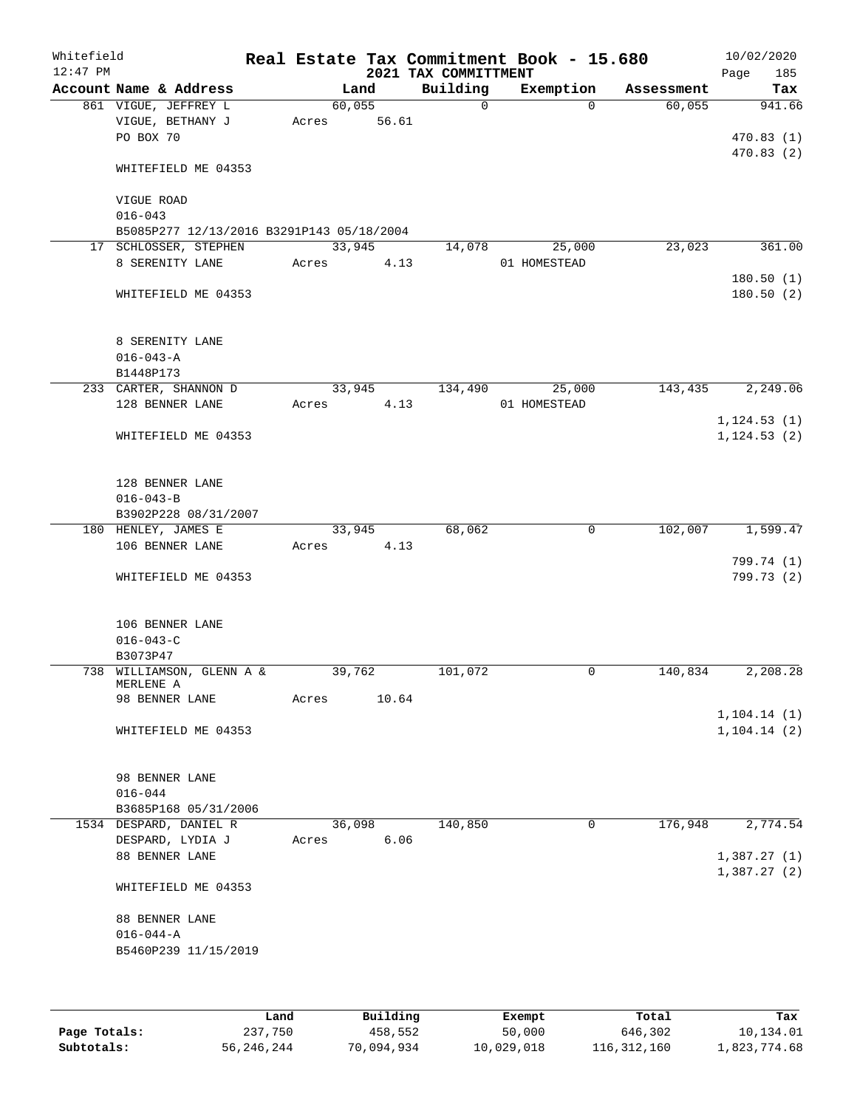| Whitefield<br>$12:47$ PM |                                           |        |        | 2021 TAX COMMITTMENT | Real Estate Tax Commitment Book - 15.680 |            | 10/02/2020<br>Page<br>185 |
|--------------------------|-------------------------------------------|--------|--------|----------------------|------------------------------------------|------------|---------------------------|
|                          | Account Name & Address                    |        | Land   | Building             | Exemption                                | Assessment | Tax                       |
|                          | 861 VIGUE, JEFFREY L                      | 60,055 |        | $\Omega$             | $\Omega$                                 | 60,055     | 941.66                    |
|                          | VIGUE, BETHANY J                          | Acres  | 56.61  |                      |                                          |            |                           |
|                          | PO BOX 70                                 |        |        |                      |                                          |            | 470.83(1)                 |
|                          |                                           |        |        |                      |                                          |            | 470.83(2)                 |
|                          | WHITEFIELD ME 04353                       |        |        |                      |                                          |            |                           |
|                          |                                           |        |        |                      |                                          |            |                           |
|                          | VIGUE ROAD                                |        |        |                      |                                          |            |                           |
|                          | $016 - 043$                               |        |        |                      |                                          |            |                           |
|                          | B5085P277 12/13/2016 B3291P143 05/18/2004 |        |        |                      |                                          |            |                           |
|                          | 17 SCHLOSSER, STEPHEN                     | 33,945 |        | 14,078               | 25,000                                   | 23,023     | 361.00                    |
|                          | 8 SERENITY LANE                           | Acres  | 4.13   |                      | 01 HOMESTEAD                             |            |                           |
|                          |                                           |        |        |                      |                                          |            | 180.50(1)                 |
|                          | WHITEFIELD ME 04353                       |        |        |                      |                                          |            | 180.50(2)                 |
|                          |                                           |        |        |                      |                                          |            |                           |
|                          |                                           |        |        |                      |                                          |            |                           |
|                          | 8 SERENITY LANE                           |        |        |                      |                                          |            |                           |
|                          | $016 - 043 - A$<br>B1448P173              |        |        |                      |                                          |            |                           |
|                          | 233 CARTER, SHANNON D                     | 33,945 |        | 134,490              | 25,000                                   | 143,435    | 2,249.06                  |
|                          | 128 BENNER LANE                           | Acres  | 4.13   |                      | 01 HOMESTEAD                             |            |                           |
|                          |                                           |        |        |                      |                                          |            | 1, 124.53(1)              |
|                          | WHITEFIELD ME 04353                       |        |        |                      |                                          |            | 1, 124.53(2)              |
|                          |                                           |        |        |                      |                                          |            |                           |
|                          |                                           |        |        |                      |                                          |            |                           |
|                          | 128 BENNER LANE                           |        |        |                      |                                          |            |                           |
|                          | $016 - 043 - B$                           |        |        |                      |                                          |            |                           |
|                          | B3902P228 08/31/2007                      |        |        |                      |                                          |            |                           |
|                          | 180 HENLEY, JAMES E                       |        | 33,945 | 68,062               | 0                                        | 102,007    | 1,599.47                  |
|                          | 106 BENNER LANE                           | Acres  | 4.13   |                      |                                          |            |                           |
|                          |                                           |        |        |                      |                                          |            | 799.74 (1)                |
|                          | WHITEFIELD ME 04353                       |        |        |                      |                                          |            | 799.73 (2)                |
|                          |                                           |        |        |                      |                                          |            |                           |
|                          |                                           |        |        |                      |                                          |            |                           |
|                          | 106 BENNER LANE                           |        |        |                      |                                          |            |                           |
|                          | $016 - 043 - C$                           |        |        |                      |                                          |            |                           |
|                          | B3073P47                                  | 39,762 |        | 101,072              |                                          |            |                           |
|                          | 738 WILLIAMSON, GLENN A &<br>MERLENE A    |        |        |                      | 0                                        | 140,834    | 2,208.28                  |
|                          | 98 BENNER LANE                            | Acres  | 10.64  |                      |                                          |            |                           |
|                          |                                           |        |        |                      |                                          |            | 1, 104.14(1)              |
|                          | WHITEFIELD ME 04353                       |        |        |                      |                                          |            | 1, 104.14(2)              |
|                          |                                           |        |        |                      |                                          |            |                           |
|                          |                                           |        |        |                      |                                          |            |                           |
|                          | 98 BENNER LANE                            |        |        |                      |                                          |            |                           |
|                          | $016 - 044$                               |        |        |                      |                                          |            |                           |
|                          | B3685P168 05/31/2006                      |        |        |                      |                                          |            |                           |
|                          | 1534 DESPARD, DANIEL R                    | 36,098 |        | 140,850              | 0                                        | 176,948    | 2,774.54                  |
|                          | DESPARD, LYDIA J                          | Acres  | 6.06   |                      |                                          |            |                           |
|                          | 88 BENNER LANE                            |        |        |                      |                                          |            | 1,387.27(1)               |
|                          |                                           |        |        |                      |                                          |            | 1,387.27(2)               |
|                          | WHITEFIELD ME 04353                       |        |        |                      |                                          |            |                           |
|                          |                                           |        |        |                      |                                          |            |                           |
|                          | 88 BENNER LANE                            |        |        |                      |                                          |            |                           |
|                          | $016 - 044 - A$                           |        |        |                      |                                          |            |                           |
|                          | B5460P239 11/15/2019                      |        |        |                      |                                          |            |                           |
|                          |                                           |        |        |                      |                                          |            |                           |
|                          |                                           |        |        |                      |                                          |            |                           |
|                          |                                           |        |        |                      |                                          |            |                           |

|              | Land       | Building   | Exempt     | Total       | Tax          |
|--------------|------------|------------|------------|-------------|--------------|
| Page Totals: | 237,750    | 458,552    | 50,000     | 646,302     | 10,134.01    |
| Subtotals:   | 56,246,244 | 70,094,934 | 10,029,018 | 116,312,160 | 1,823,774.68 |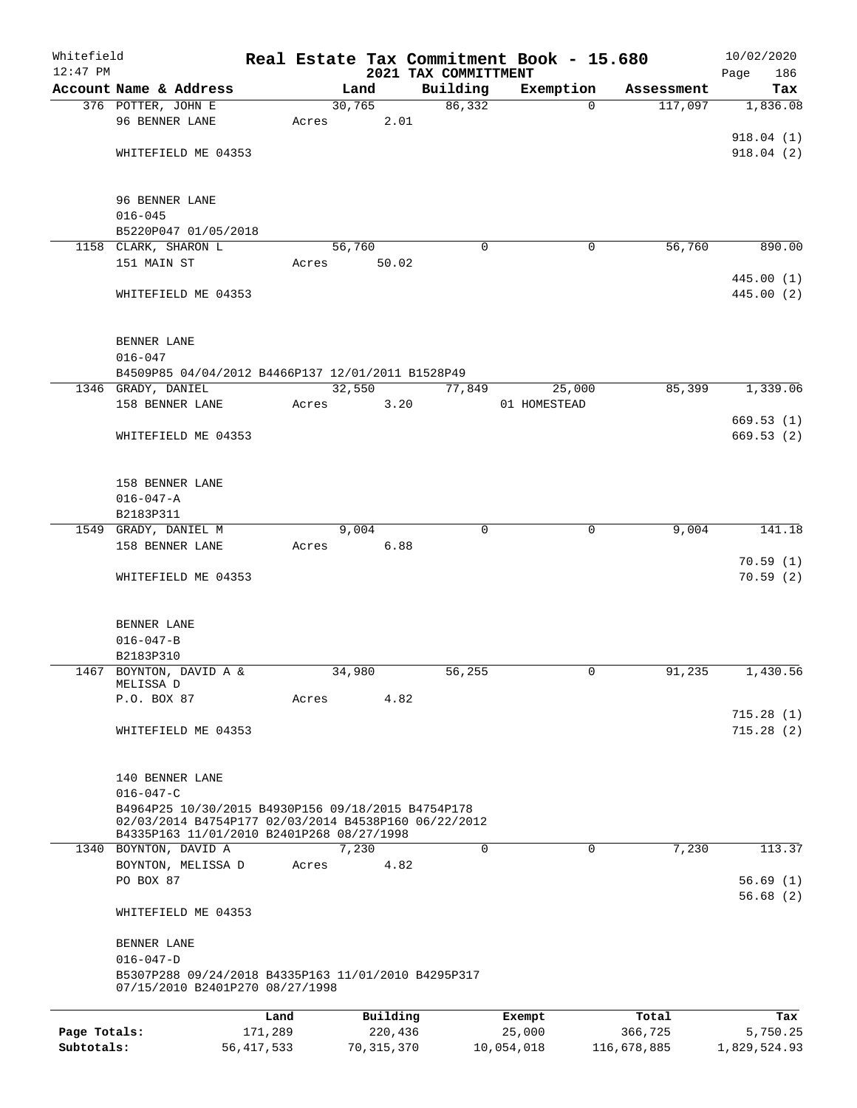| Whitefield   |                                                                                                                                                         |              |       |                |              |                      | Real Estate Tax Commitment Book - 15.680 |                        |         | 10/02/2020               |
|--------------|---------------------------------------------------------------------------------------------------------------------------------------------------------|--------------|-------|----------------|--------------|----------------------|------------------------------------------|------------------------|---------|--------------------------|
| 12:47 PM     |                                                                                                                                                         |              |       |                |              | 2021 TAX COMMITTMENT |                                          |                        |         | 186<br>Page              |
|              | Account Name & Address<br>376 POTTER, JOHN E                                                                                                            |              |       | Land<br>30,765 |              | Building<br>86,332   | Exemption                                | Assessment<br>$\Omega$ | 117,097 | Tax<br>1,836.08          |
|              | 96 BENNER LANE                                                                                                                                          |              | Acres |                | 2.01         |                      |                                          |                        |         |                          |
|              |                                                                                                                                                         |              |       |                |              |                      |                                          |                        |         | 918.04(1)                |
|              | WHITEFIELD ME 04353                                                                                                                                     |              |       |                |              |                      |                                          |                        |         | 918.04(2)                |
|              |                                                                                                                                                         |              |       |                |              |                      |                                          |                        |         |                          |
|              | 96 BENNER LANE                                                                                                                                          |              |       |                |              |                      |                                          |                        |         |                          |
|              | $016 - 045$                                                                                                                                             |              |       |                |              |                      |                                          |                        |         |                          |
|              | B5220P047 01/05/2018                                                                                                                                    |              |       |                |              |                      |                                          |                        |         |                          |
|              | 1158 CLARK, SHARON L                                                                                                                                    |              |       | 56,760         |              | $\Omega$             |                                          | 0                      | 56,760  | 890.00                   |
|              | 151 MAIN ST                                                                                                                                             |              | Acres |                | 50.02        |                      |                                          |                        |         |                          |
|              | WHITEFIELD ME 04353                                                                                                                                     |              |       |                |              |                      |                                          |                        |         | 445.00 (1)<br>445.00 (2) |
|              | BENNER LANE<br>$016 - 047$                                                                                                                              |              |       |                |              |                      |                                          |                        |         |                          |
|              | B4509P85 04/04/2012 B4466P137 12/01/2011 B1528P49                                                                                                       |              |       |                |              |                      |                                          |                        |         |                          |
|              | 1346 GRADY, DANIEL                                                                                                                                      |              |       | 32,550         |              | 77,849               | 25,000                                   |                        | 85,399  | 1,339.06                 |
|              | 158 BENNER LANE                                                                                                                                         |              | Acres |                | 3.20         |                      | 01 HOMESTEAD                             |                        |         |                          |
|              |                                                                                                                                                         |              |       |                |              |                      |                                          |                        |         | 669.53 (1)               |
|              | WHITEFIELD ME 04353                                                                                                                                     |              |       |                |              |                      |                                          |                        |         | 669.53(2)                |
|              | 158 BENNER LANE                                                                                                                                         |              |       |                |              |                      |                                          |                        |         |                          |
|              | $016 - 047 - A$                                                                                                                                         |              |       |                |              |                      |                                          |                        |         |                          |
|              | B2183P311                                                                                                                                               |              |       |                |              |                      |                                          |                        |         |                          |
|              | 1549 GRADY, DANIEL M                                                                                                                                    |              |       | 9,004          |              | $\Omega$             |                                          | $\Omega$               | 9,004   | 141.18                   |
|              | 158 BENNER LANE                                                                                                                                         |              | Acres |                | 6.88         |                      |                                          |                        |         |                          |
|              | WHITEFIELD ME 04353                                                                                                                                     |              |       |                |              |                      |                                          |                        |         | 70.59(1)<br>70.59(2)     |
|              | BENNER LANE                                                                                                                                             |              |       |                |              |                      |                                          |                        |         |                          |
|              | $016 - 047 - B$                                                                                                                                         |              |       |                |              |                      |                                          |                        |         |                          |
|              | B2183P310                                                                                                                                               |              |       |                |              |                      |                                          |                        |         |                          |
|              | 1467 BOYNTON, DAVID A &<br>MELISSA D                                                                                                                    |              |       | 34,980         |              | 56,255               |                                          | 0                      | 91,235  | 1,430.56                 |
|              | P.O. BOX 87                                                                                                                                             |              | Acres |                | 4.82         |                      |                                          |                        |         |                          |
|              |                                                                                                                                                         |              |       |                |              |                      |                                          |                        |         | 715.28(1)                |
|              | WHITEFIELD ME 04353                                                                                                                                     |              |       |                |              |                      |                                          |                        |         | 715.28(2)                |
|              | 140 BENNER LANE                                                                                                                                         |              |       |                |              |                      |                                          |                        |         |                          |
|              | $016 - 047 - C$                                                                                                                                         |              |       |                |              |                      |                                          |                        |         |                          |
|              | B4964P25 10/30/2015 B4930P156 09/18/2015 B4754P178<br>02/03/2014 B4754P177 02/03/2014 B4538P160 06/22/2012<br>B4335P163 11/01/2010 B2401P268 08/27/1998 |              |       |                |              |                      |                                          |                        |         |                          |
|              | 1340 BOYNTON, DAVID A                                                                                                                                   |              |       | 7,230          |              | 0                    |                                          | $\mathbf 0$            | 7,230   | 113.37                   |
|              | BOYNTON, MELISSA D                                                                                                                                      |              | Acres |                | 4.82         |                      |                                          |                        |         |                          |
|              | PO BOX 87                                                                                                                                               |              |       |                |              |                      |                                          |                        |         | 56.69(1)                 |
|              | WHITEFIELD ME 04353                                                                                                                                     |              |       |                |              |                      |                                          |                        |         | 56.68(2)                 |
|              | BENNER LANE                                                                                                                                             |              |       |                |              |                      |                                          |                        |         |                          |
|              | $016 - 047 - D$<br>B5307P288 09/24/2018 B4335P163 11/01/2010 B4295P317<br>07/15/2010 B2401P270 08/27/1998                                               |              |       |                |              |                      |                                          |                        |         |                          |
|              |                                                                                                                                                         | Land         |       |                | Building     |                      | Exempt                                   | Total                  |         | Tax                      |
| Page Totals: |                                                                                                                                                         | 171,289      |       |                | 220,436      |                      | 25,000                                   | 366,725                |         | 5,750.25                 |
| Subtotals:   |                                                                                                                                                         | 56, 417, 533 |       |                | 70, 315, 370 |                      | 10,054,018                               | 116,678,885            |         | 1,829,524.93             |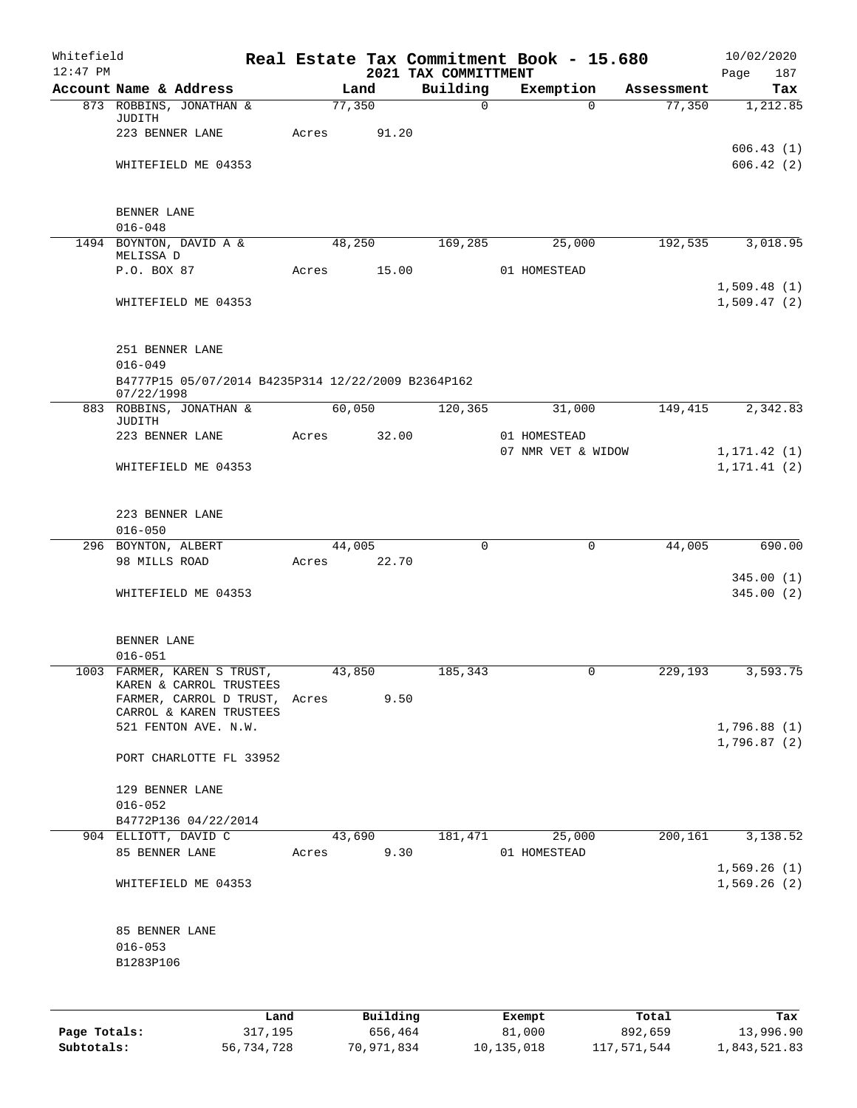| Whitefield<br>$12:47$ PM |                                                                  |      |       |        |          | 2021 TAX COMMITTMENT |        | Real Estate Tax Commitment Book - 15.680 |            | 10/02/2020<br>Page<br>187    |
|--------------------------|------------------------------------------------------------------|------|-------|--------|----------|----------------------|--------|------------------------------------------|------------|------------------------------|
|                          | Account Name & Address                                           |      |       | Land   |          | Building             |        | Exemption                                | Assessment | Tax                          |
|                          | 873 ROBBINS, JONATHAN &<br>JUDITH                                |      |       | 77,350 |          | $\mathbf 0$          |        | $\Omega$                                 | 77,350     | 1,212.85                     |
|                          | 223 BENNER LANE                                                  |      | Acres |        | 91.20    |                      |        |                                          |            |                              |
|                          | WHITEFIELD ME 04353                                              |      |       |        |          |                      |        |                                          |            | 606.43(1)<br>606.42(2)       |
|                          | BENNER LANE                                                      |      |       |        |          |                      |        |                                          |            |                              |
|                          | $016 - 048$                                                      |      |       |        |          |                      |        |                                          |            |                              |
|                          | 1494 BOYNTON, DAVID A &<br>MELISSA D                             |      |       | 48,250 |          | 169,285              |        | 25,000                                   | 192,535    | 3,018.95                     |
|                          | P.O. BOX 87                                                      |      | Acres |        | 15.00    |                      |        | 01 HOMESTEAD                             |            |                              |
|                          | WHITEFIELD ME 04353                                              |      |       |        |          |                      |        |                                          |            | 1,509.48(1)<br>1,509.47(2)   |
|                          | 251 BENNER LANE<br>$016 - 049$                                   |      |       |        |          |                      |        |                                          |            |                              |
|                          | B4777P15 05/07/2014 B4235P314 12/22/2009 B2364P162<br>07/22/1998 |      |       |        |          |                      |        |                                          |            |                              |
|                          | 883 ROBBINS, JONATHAN &<br>JUDITH                                |      |       | 60,050 |          | 120, 365             |        | 31,000                                   | 149,415    | 2,342.83                     |
|                          | 223 BENNER LANE                                                  |      | Acres |        | 32.00    |                      |        | 01 HOMESTEAD<br>07 NMR VET & WIDOW       |            |                              |
|                          | WHITEFIELD ME 04353                                              |      |       |        |          |                      |        |                                          |            | 1, 171.42(1)<br>1, 171.41(2) |
|                          | 223 BENNER LANE<br>$016 - 050$                                   |      |       |        |          |                      |        |                                          |            |                              |
|                          | 296 BOYNTON, ALBERT                                              |      |       | 44,005 |          | $\Omega$             |        | $\mathbf 0$                              | 44,005     | 690.00                       |
|                          | 98 MILLS ROAD                                                    |      | Acres |        | 22.70    |                      |        |                                          |            |                              |
|                          | WHITEFIELD ME 04353                                              |      |       |        |          |                      |        |                                          |            | 345.00(1)<br>345.00(2)       |
|                          | BENNER LANE                                                      |      |       |        |          |                      |        |                                          |            |                              |
|                          | $016 - 051$                                                      |      |       |        |          |                      |        |                                          |            |                              |
|                          | 1003 FARMER, KAREN S TRUST,<br>KAREN & CARROL TRUSTEES           |      |       | 43,850 |          | 185,343              |        | 0                                        | 229,193    | 3,593.75                     |
|                          | FARMER, CARROL D TRUST,<br>CARROL & KAREN TRUSTEES               |      | Acres |        | 9.50     |                      |        |                                          |            |                              |
|                          | 521 FENTON AVE. N.W.                                             |      |       |        |          |                      |        |                                          |            | 1,796.88(1)                  |
|                          | PORT CHARLOTTE FL 33952                                          |      |       |        |          |                      |        |                                          |            | 1,796.87(2)                  |
|                          | 129 BENNER LANE<br>$016 - 052$                                   |      |       |        |          |                      |        |                                          |            |                              |
|                          | B4772P136 04/22/2014                                             |      |       |        |          |                      |        |                                          |            |                              |
|                          | 904 ELLIOTT, DAVID C                                             |      |       | 43,690 |          | 181,471              |        | 25,000                                   | 200,161    | 3,138.52                     |
|                          | 85 BENNER LANE                                                   |      | Acres |        | 9.30     |                      |        | 01 HOMESTEAD                             |            | 1,569.26(1)                  |
|                          | WHITEFIELD ME 04353                                              |      |       |        |          |                      |        |                                          |            | 1,569.26(2)                  |
|                          | 85 BENNER LANE<br>$016 - 053$                                    |      |       |        |          |                      |        |                                          |            |                              |
|                          | B1283P106                                                        |      |       |        |          |                      |        |                                          |            |                              |
|                          |                                                                  | Land |       |        | Building |                      | Exempt |                                          | Total      | Tax                          |
|                          |                                                                  |      |       |        |          |                      |        |                                          |            |                              |

|              | -----      | --------   | -------    | -----       | .            |
|--------------|------------|------------|------------|-------------|--------------|
| Page Totals: | 317,195    | 656,464    | 81,000     | 892,659     | 13,996.90    |
| Subtotals:   | 56,734,728 | 70,971,834 | 10,135,018 | 117,571,544 | 1,843,521.83 |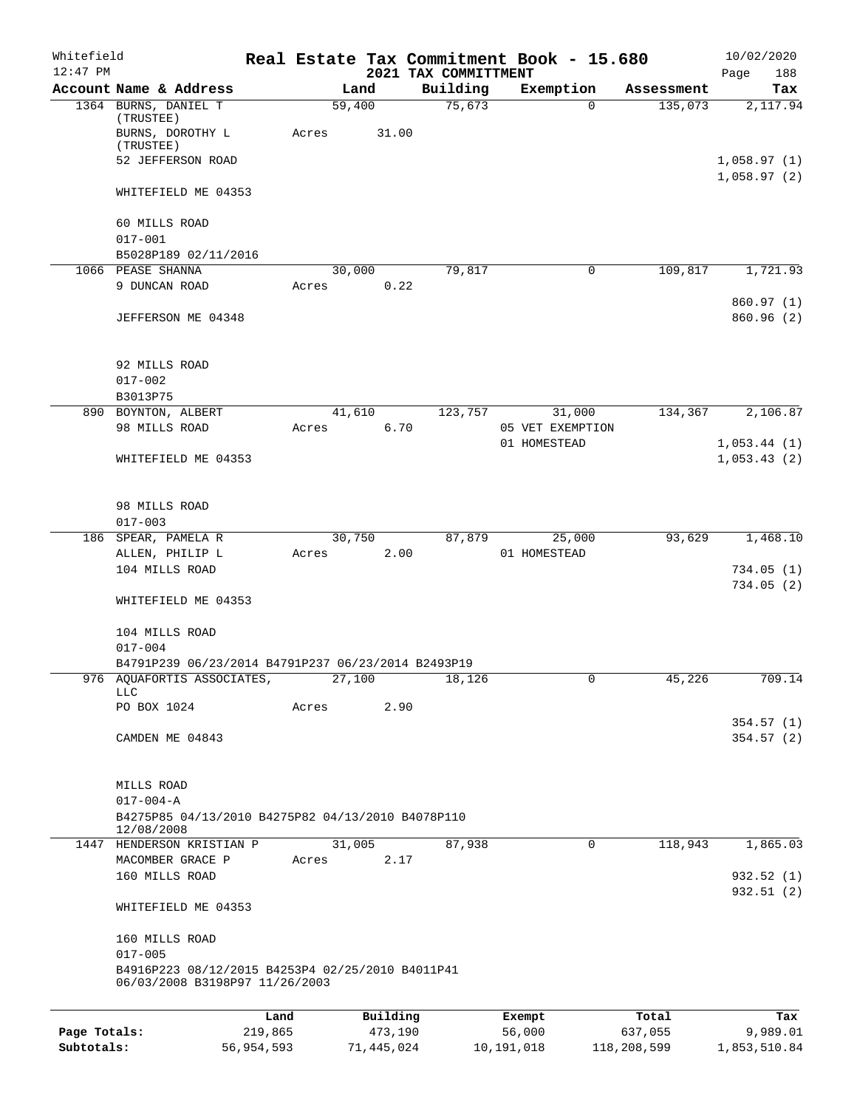| Whitefield   |                                                                                    |                 |       |        |                     |  |                                  | Real Estate Tax Commitment Book - 15.680 |                  | 10/02/2020                 |
|--------------|------------------------------------------------------------------------------------|-----------------|-------|--------|---------------------|--|----------------------------------|------------------------------------------|------------------|----------------------------|
| $12:47$ PM   | Account Name & Address                                                             |                 |       | Land   |                     |  | 2021 TAX COMMITTMENT<br>Building | Exemption                                | Assessment       | Page<br>188<br>Tax         |
|              | 1364 BURNS, DANIEL T                                                               |                 |       | 59,400 |                     |  | 75,673                           | $\Omega$                                 | 135,073          | 2,117.94                   |
|              | (TRUSTEE)<br>BURNS, DOROTHY L<br>(TRUSTEE)                                         |                 | Acres |        | 31.00               |  |                                  |                                          |                  |                            |
|              | 52 JEFFERSON ROAD                                                                  |                 |       |        |                     |  |                                  |                                          |                  | 1,058.97(1)<br>1,058.97(2) |
|              | WHITEFIELD ME 04353                                                                |                 |       |        |                     |  |                                  |                                          |                  |                            |
|              | 60 MILLS ROAD<br>$017 - 001$                                                       |                 |       |        |                     |  |                                  |                                          |                  |                            |
|              | B5028P189 02/11/2016                                                               |                 |       |        |                     |  |                                  |                                          |                  |                            |
|              | 1066 PEASE SHANNA                                                                  |                 |       | 30,000 |                     |  | 79,817                           | 0                                        | 109,817          | 1,721.93                   |
|              | 9 DUNCAN ROAD                                                                      |                 | Acres |        | 0.22                |  |                                  |                                          |                  |                            |
|              | JEFFERSON ME 04348                                                                 |                 |       |        |                     |  |                                  |                                          |                  | 860.97(1)<br>860.96 (2)    |
|              | 92 MILLS ROAD<br>$017 - 002$                                                       |                 |       |        |                     |  |                                  |                                          |                  |                            |
|              | B3013P75                                                                           |                 |       |        |                     |  |                                  |                                          |                  |                            |
|              | 890 BOYNTON, ALBERT                                                                |                 |       | 41,610 |                     |  | 123,757                          | 31,000                                   | 134,367          | 2,106.87                   |
|              | 98 MILLS ROAD                                                                      |                 | Acres |        | 6.70                |  |                                  | 05 VET EXEMPTION<br>01 HOMESTEAD         |                  | 1,053.44(1)                |
|              | WHITEFIELD ME 04353                                                                |                 |       |        |                     |  |                                  |                                          |                  | 1,053.43(2)                |
|              | 98 MILLS ROAD<br>$017 - 003$                                                       |                 |       |        |                     |  |                                  |                                          |                  |                            |
|              | 186 SPEAR, PAMELA R                                                                |                 |       | 30,750 |                     |  | 87,879                           | 25,000                                   | 93,629           | 1,468.10                   |
|              | ALLEN, PHILIP L                                                                    |                 | Acres |        | 2.00                |  |                                  | 01 HOMESTEAD                             |                  |                            |
|              | 104 MILLS ROAD                                                                     |                 |       |        |                     |  |                                  |                                          |                  | 734.05(1)<br>734.05(2)     |
|              | WHITEFIELD ME 04353                                                                |                 |       |        |                     |  |                                  |                                          |                  |                            |
|              | 104 MILLS ROAD<br>$017 - 004$                                                      |                 |       |        |                     |  |                                  |                                          |                  |                            |
|              | B4791P239 06/23/2014 B4791P237 06/23/2014 B2493P19                                 |                 |       |        |                     |  |                                  |                                          |                  |                            |
|              | 976 AQUAFORTIS ASSOCIATES,<br>LLC                                                  |                 |       | 27,100 |                     |  | 18,126                           |                                          | 45,226           | 709.14                     |
|              | PO BOX 1024                                                                        |                 | Acres |        | 2.90                |  |                                  |                                          |                  |                            |
|              | CAMDEN ME 04843                                                                    |                 |       |        |                     |  |                                  |                                          |                  | 354.57(1)<br>354.57(2)     |
|              | MILLS ROAD<br>$017 - 004 - A$                                                      |                 |       |        |                     |  |                                  |                                          |                  |                            |
|              | B4275P85 04/13/2010 B4275P82 04/13/2010 B4078P110<br>12/08/2008                    |                 |       |        |                     |  |                                  |                                          |                  |                            |
|              | 1447 HENDERSON KRISTIAN P                                                          |                 |       | 31,005 |                     |  | 87,938                           | $\mathbf 0$                              | 118,943          | 1,865.03                   |
|              | MACOMBER GRACE P<br>160 MILLS ROAD                                                 |                 | Acres |        | 2.17                |  |                                  |                                          |                  | 932.52(1)                  |
|              | WHITEFIELD ME 04353                                                                |                 |       |        |                     |  |                                  |                                          |                  | 932.51 (2)                 |
|              | 160 MILLS ROAD<br>$017 - 005$                                                      |                 |       |        |                     |  |                                  |                                          |                  |                            |
|              | B4916P223 08/12/2015 B4253P4 02/25/2010 B4011P41<br>06/03/2008 B3198P97 11/26/2003 |                 |       |        |                     |  |                                  |                                          |                  |                            |
|              |                                                                                    |                 |       |        |                     |  |                                  |                                          |                  |                            |
| Page Totals: |                                                                                    | Land<br>219,865 |       |        | Building<br>473,190 |  |                                  | Exempt<br>56,000                         | Total<br>637,055 | Tax<br>9,989.01            |

**Subtotals:** 56,954,593 71,445,024 10,191,018 118,208,599 1,853,510.84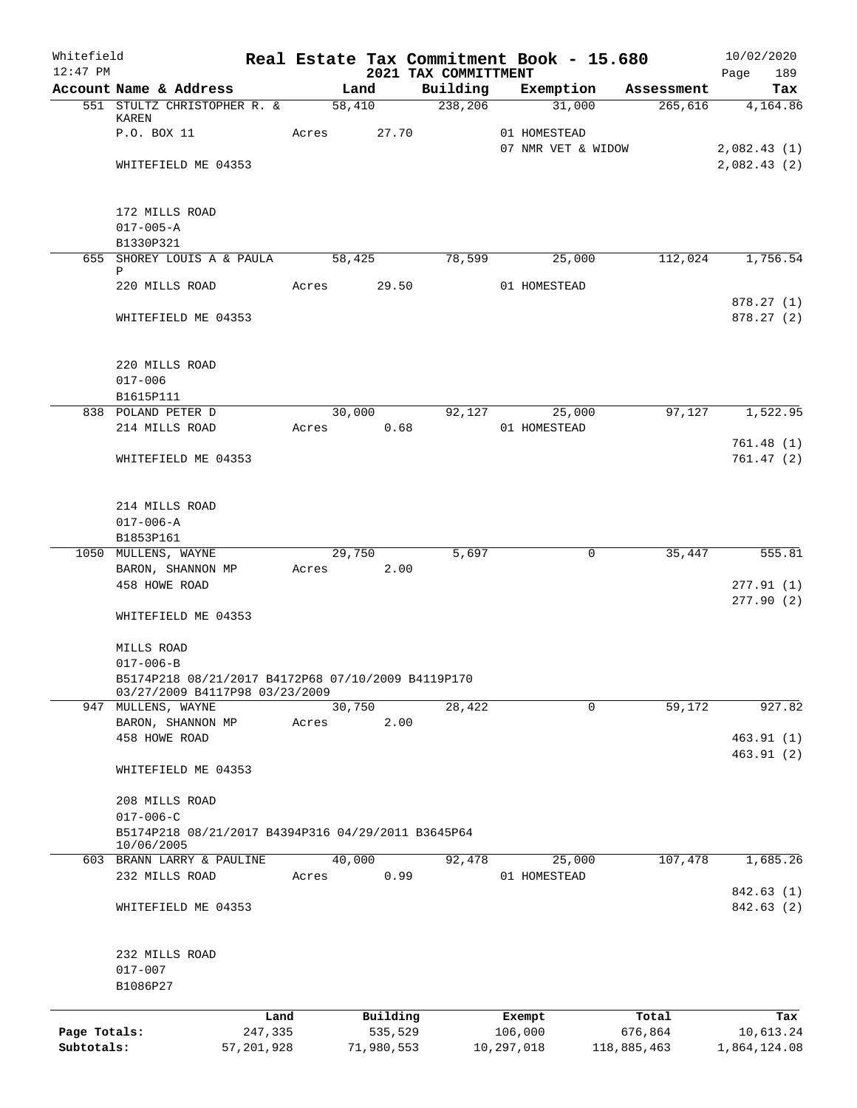| Whitefield<br>$12:47$ PM   |                                                                  |              |       |                |                                  | Real Estate Tax Commitment Book - 15.680 |             | 10/02/2020         |
|----------------------------|------------------------------------------------------------------|--------------|-------|----------------|----------------------------------|------------------------------------------|-------------|--------------------|
|                            | Account Name & Address                                           |              |       | Land           | 2021 TAX COMMITTMENT<br>Building | Exemption                                | Assessment  | Page<br>189<br>Tax |
|                            | 551 STULTZ CHRISTOPHER R. &                                      |              |       | 58,410         | 238,206                          | 31,000                                   | 265,616     | 4,164.86           |
|                            | KAREN<br>P.O. BOX 11                                             |              | Acres | 27.70          |                                  | 01 HOMESTEAD                             |             |                    |
|                            |                                                                  |              |       |                |                                  | 07 NMR VET & WIDOW                       |             | 2,082.43(1)        |
|                            | WHITEFIELD ME 04353                                              |              |       |                |                                  |                                          |             | 2,082.43(2)        |
|                            | 172 MILLS ROAD                                                   |              |       |                |                                  |                                          |             |                    |
|                            | $017 - 005 - A$                                                  |              |       |                |                                  |                                          |             |                    |
|                            | B1330P321                                                        |              |       |                |                                  |                                          |             |                    |
|                            | 655 SHOREY LOUIS A & PAULA<br>Ρ                                  |              |       | 58,425         | 78,599                           | 25,000                                   | 112,024     | 1,756.54           |
|                            | 220 MILLS ROAD                                                   |              | Acres | 29.50          |                                  | 01 HOMESTEAD                             |             | 878.27(1)          |
|                            | WHITEFIELD ME 04353                                              |              |       |                |                                  |                                          |             | 878.27(2)          |
|                            | 220 MILLS ROAD                                                   |              |       |                |                                  |                                          |             |                    |
|                            | $017 - 006$                                                      |              |       |                |                                  |                                          |             |                    |
|                            | B1615P111                                                        |              |       |                |                                  |                                          |             |                    |
|                            | 838 POLAND PETER D<br>214 MILLS ROAD                             |              | Acres | 30,000<br>0.68 | 92,127                           | 25,000<br>01 HOMESTEAD                   | 97,127      | 1,522.95           |
|                            |                                                                  |              |       |                |                                  |                                          |             | 761.48(1)          |
|                            | WHITEFIELD ME 04353                                              |              |       |                |                                  |                                          |             | 761.47(2)          |
|                            | 214 MILLS ROAD                                                   |              |       |                |                                  |                                          |             |                    |
|                            | $017 - 006 - A$                                                  |              |       |                |                                  |                                          |             |                    |
|                            | B1853P161                                                        |              |       |                |                                  |                                          |             |                    |
|                            | 1050 MULLENS, WAYNE                                              |              |       | 29,750         | 5,697                            | 0                                        | 35,447      | 555.81             |
|                            | BARON, SHANNON MP<br>458 HOWE ROAD                               |              | Acres | 2.00           |                                  |                                          |             | 277.91(1)          |
|                            | WHITEFIELD ME 04353                                              |              |       |                |                                  |                                          |             | 277.90(2)          |
|                            | MILLS ROAD                                                       |              |       |                |                                  |                                          |             |                    |
|                            | $017 - 006 - B$                                                  |              |       |                |                                  |                                          |             |                    |
|                            | B5174P218 08/21/2017 B4172P68 07/10/2009 B4119P170               |              |       |                |                                  |                                          |             |                    |
|                            | 03/27/2009 B4117P98 03/23/2009<br>947 MULLENS, WAYNE             |              |       | 30,750         | 28,422                           | 0                                        | 59,172      | 927.82             |
|                            | BARON, SHANNON MP                                                |              | Acres | 2.00           |                                  |                                          |             |                    |
|                            | 458 HOWE ROAD                                                    |              |       |                |                                  |                                          |             | 463.91(1)          |
|                            | WHITEFIELD ME 04353                                              |              |       |                |                                  |                                          |             | 463.91(2)          |
|                            | 208 MILLS ROAD                                                   |              |       |                |                                  |                                          |             |                    |
|                            | $017 - 006 - C$                                                  |              |       |                |                                  |                                          |             |                    |
|                            | B5174P218 08/21/2017 B4394P316 04/29/2011 B3645P64<br>10/06/2005 |              |       |                |                                  |                                          |             |                    |
|                            | 603 BRANN LARRY & PAULINE                                        |              |       | 40,000         | 92,478                           | 25,000                                   | 107,478     | 1,685.26           |
|                            | 232 MILLS ROAD                                                   |              | Acres | 0.99           |                                  | 01 HOMESTEAD                             |             | 842.63 (1)         |
|                            | WHITEFIELD ME 04353                                              |              |       |                |                                  |                                          |             | 842.63 (2)         |
|                            | 232 MILLS ROAD                                                   |              |       |                |                                  |                                          |             |                    |
|                            | $017 - 007$                                                      |              |       |                |                                  |                                          |             |                    |
|                            | B1086P27                                                         |              |       |                |                                  |                                          |             |                    |
|                            |                                                                  | Land         |       | Building       |                                  | Exempt                                   | Total       | Tax                |
| Page Totals:<br>Subtotals: |                                                                  | 247,335      |       | 535,529        |                                  | 106,000                                  | 676,864     | 10,613.24          |
|                            |                                                                  | 57, 201, 928 |       | 71,980,553     |                                  | 10,297,018                               | 118,885,463 | 1,864,124.08       |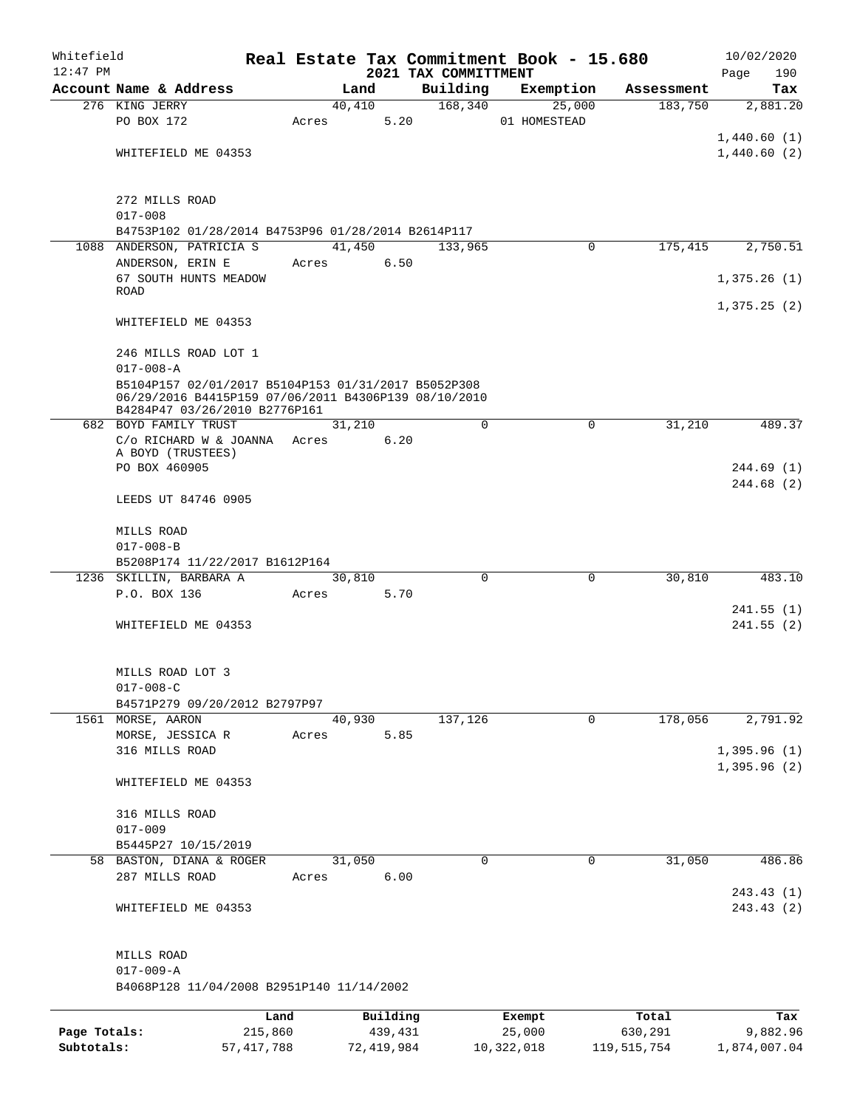| Whitefield<br>$12:47$ PM |                                                                                                             |         |       |        |          | 2021 TAX COMMITTMENT | Real Estate Tax Commitment Book - 15.680 |            | 10/02/2020<br>190<br>Page |
|--------------------------|-------------------------------------------------------------------------------------------------------------|---------|-------|--------|----------|----------------------|------------------------------------------|------------|---------------------------|
|                          | Account Name & Address                                                                                      |         |       | Land   |          | Building             | Exemption                                | Assessment | Tax                       |
|                          | 276 KING JERRY                                                                                              |         |       | 40,410 |          | 168,340              | 25,000                                   | 183,750    | 2,881.20                  |
|                          | PO BOX 172                                                                                                  |         | Acres |        | 5.20     |                      | 01 HOMESTEAD                             |            |                           |
|                          |                                                                                                             |         |       |        |          |                      |                                          |            | 1,440.60(1)               |
|                          | WHITEFIELD ME 04353                                                                                         |         |       |        |          |                      |                                          |            | 1,440.60(2)               |
|                          |                                                                                                             |         |       |        |          |                      |                                          |            |                           |
|                          |                                                                                                             |         |       |        |          |                      |                                          |            |                           |
|                          | 272 MILLS ROAD                                                                                              |         |       |        |          |                      |                                          |            |                           |
|                          | $017 - 008$                                                                                                 |         |       |        |          |                      |                                          |            |                           |
|                          | B4753P102 01/28/2014 B4753P96 01/28/2014 B2614P117                                                          |         |       |        |          |                      |                                          |            |                           |
|                          | 1088 ANDERSON, PATRICIA S                                                                                   |         |       | 41,450 |          | 133,965              | 0                                        | 175,415    | 2,750.51                  |
|                          | ANDERSON, ERIN E                                                                                            |         | Acres |        | 6.50     |                      |                                          |            |                           |
|                          | 67 SOUTH HUNTS MEADOW                                                                                       |         |       |        |          |                      |                                          |            | 1,375.26(1)               |
|                          | <b>ROAD</b>                                                                                                 |         |       |        |          |                      |                                          |            |                           |
|                          |                                                                                                             |         |       |        |          |                      |                                          |            | 1,375.25(2)               |
|                          | WHITEFIELD ME 04353                                                                                         |         |       |        |          |                      |                                          |            |                           |
|                          |                                                                                                             |         |       |        |          |                      |                                          |            |                           |
|                          | 246 MILLS ROAD LOT 1                                                                                        |         |       |        |          |                      |                                          |            |                           |
|                          | $017 - 008 - A$                                                                                             |         |       |        |          |                      |                                          |            |                           |
|                          | B5104P157 02/01/2017 B5104P153 01/31/2017 B5052P308<br>06/29/2016 B4415P159 07/06/2011 B4306P139 08/10/2010 |         |       |        |          |                      |                                          |            |                           |
|                          | B4284P47 03/26/2010 B2776P161                                                                               |         |       |        |          |                      |                                          |            |                           |
|                          | 682 BOYD FAMILY TRUST                                                                                       |         |       | 31,210 |          | $\Omega$             | $\mathbf 0$                              | 31,210     | 489.37                    |
|                          | C/o RICHARD W & JOANNA                                                                                      |         | Acres |        | 6.20     |                      |                                          |            |                           |
|                          | A BOYD (TRUSTEES)                                                                                           |         |       |        |          |                      |                                          |            |                           |
|                          | PO BOX 460905                                                                                               |         |       |        |          |                      |                                          |            | 244.69(1)                 |
|                          |                                                                                                             |         |       |        |          |                      |                                          |            | 244.68(2)                 |
|                          | LEEDS UT 84746 0905                                                                                         |         |       |        |          |                      |                                          |            |                           |
|                          |                                                                                                             |         |       |        |          |                      |                                          |            |                           |
|                          | MILLS ROAD                                                                                                  |         |       |        |          |                      |                                          |            |                           |
|                          | $017 - 008 - B$                                                                                             |         |       |        |          |                      |                                          |            |                           |
|                          | B5208P174 11/22/2017 B1612P164                                                                              |         |       |        |          |                      |                                          |            |                           |
|                          | 1236 SKILLIN, BARBARA A                                                                                     |         |       | 30,810 |          | $\Omega$             | $\Omega$                                 | 30,810     | 483.10                    |
|                          | P.O. BOX 136                                                                                                |         | Acres |        | 5.70     |                      |                                          |            |                           |
|                          |                                                                                                             |         |       |        |          |                      |                                          |            | 241.55(1)                 |
|                          | WHITEFIELD ME 04353                                                                                         |         |       |        |          |                      |                                          |            | 241.55(2)                 |
|                          |                                                                                                             |         |       |        |          |                      |                                          |            |                           |
|                          |                                                                                                             |         |       |        |          |                      |                                          |            |                           |
|                          | MILLS ROAD LOT 3<br>$017 - 008 - C$                                                                         |         |       |        |          |                      |                                          |            |                           |
|                          | B4571P279 09/20/2012 B2797P97                                                                               |         |       |        |          |                      |                                          |            |                           |
|                          | 1561 MORSE, AARON                                                                                           |         |       | 40,930 |          | 137,126              | 0                                        | 178,056    | 2,791.92                  |
|                          | MORSE, JESSICA R                                                                                            |         | Acres |        | 5.85     |                      |                                          |            |                           |
|                          | 316 MILLS ROAD                                                                                              |         |       |        |          |                      |                                          |            | 1,395.96(1)               |
|                          |                                                                                                             |         |       |        |          |                      |                                          |            | 1,395.96(2)               |
|                          | WHITEFIELD ME 04353                                                                                         |         |       |        |          |                      |                                          |            |                           |
|                          |                                                                                                             |         |       |        |          |                      |                                          |            |                           |
|                          | 316 MILLS ROAD                                                                                              |         |       |        |          |                      |                                          |            |                           |
|                          | $017 - 009$                                                                                                 |         |       |        |          |                      |                                          |            |                           |
|                          | B5445P27 10/15/2019                                                                                         |         |       |        |          |                      |                                          |            |                           |
|                          | 58 BASTON, DIANA & ROGER                                                                                    |         |       | 31,050 |          | $\Omega$             | 0                                        | 31,050     | 486.86                    |
|                          | 287 MILLS ROAD                                                                                              |         | Acres |        | 6.00     |                      |                                          |            |                           |
|                          |                                                                                                             |         |       |        |          |                      |                                          |            | 243.43(1)                 |
|                          | WHITEFIELD ME 04353                                                                                         |         |       |        |          |                      |                                          |            | 243.43 (2)                |
|                          |                                                                                                             |         |       |        |          |                      |                                          |            |                           |
|                          |                                                                                                             |         |       |        |          |                      |                                          |            |                           |
|                          | MILLS ROAD                                                                                                  |         |       |        |          |                      |                                          |            |                           |
|                          | $017 - 009 - A$                                                                                             |         |       |        |          |                      |                                          |            |                           |
|                          | B4068P128 11/04/2008 B2951P140 11/14/2002                                                                   |         |       |        |          |                      |                                          |            |                           |
|                          |                                                                                                             |         |       |        |          |                      |                                          |            |                           |
|                          |                                                                                                             | Land    |       |        | Building |                      | Exempt                                   | Total      | Tax                       |
| Page Totals:             |                                                                                                             | 215,860 |       |        | 439,431  |                      | 25,000                                   | 630,291    | 9,882.96                  |

**Subtotals:** 57,417,788 72,419,984 10,322,018 119,515,754 1,874,007.04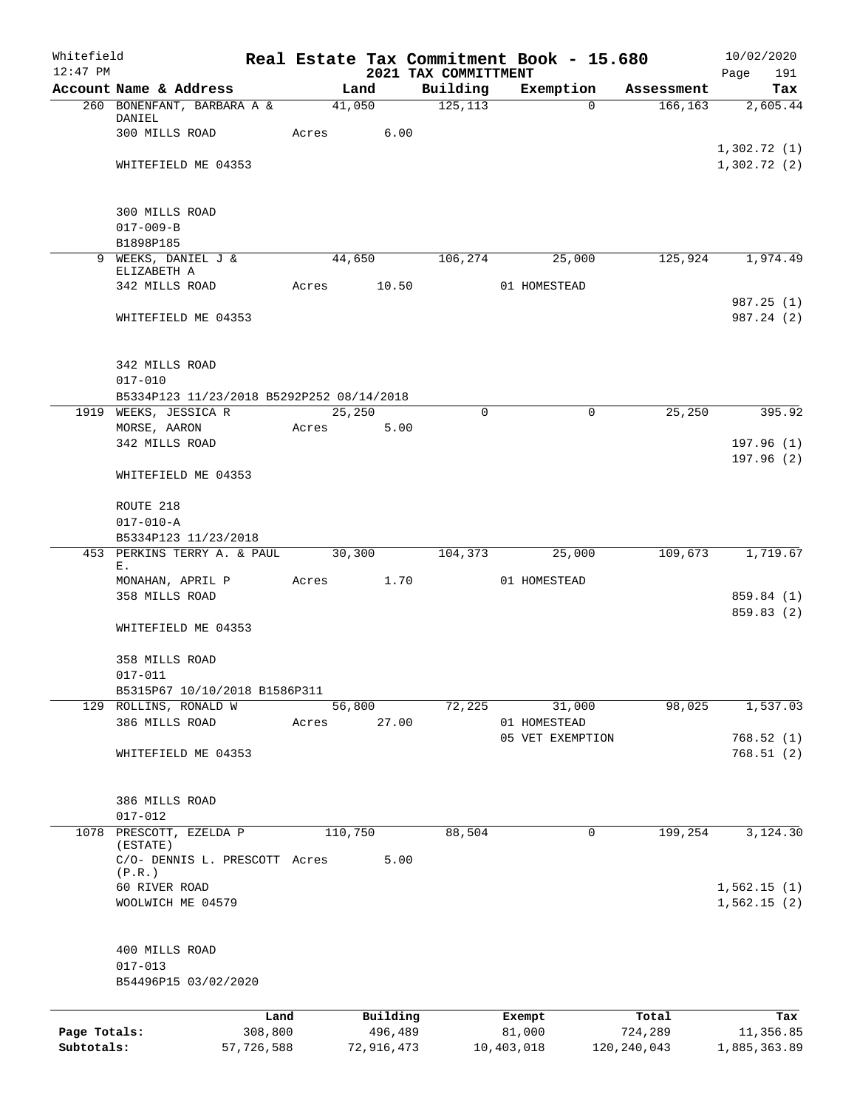| Whitefield<br>$12:47$ PM   |                                                                    |         |                       | 2021 TAX COMMITTMENT | Real Estate Tax Commitment Book - 15.680 |                          | 10/02/2020<br>Page<br>191  |
|----------------------------|--------------------------------------------------------------------|---------|-----------------------|----------------------|------------------------------------------|--------------------------|----------------------------|
|                            | Account Name & Address                                             |         | Land                  | Building             | Exemption                                | Assessment               | Tax                        |
|                            | 260 BONENFANT, BARBARA A &                                         |         | 41,050                | 125, 113             | $\Omega$                                 | 166, 163                 | 2,605.44                   |
|                            | DANIEL<br>300 MILLS ROAD                                           | Acres   | 6.00                  |                      |                                          |                          |                            |
|                            | WHITEFIELD ME 04353                                                |         |                       |                      |                                          |                          | 1,302.72(1)<br>1,302.72(2) |
|                            | 300 MILLS ROAD                                                     |         |                       |                      |                                          |                          |                            |
|                            | $017 - 009 - B$                                                    |         |                       |                      |                                          |                          |                            |
|                            | B1898P185                                                          |         |                       |                      |                                          |                          |                            |
|                            | 9 WEEKS, DANIEL J &<br>ELIZABETH A                                 |         | 44,650                | 106,274              | 25,000                                   | 125,924                  | 1,974.49                   |
|                            | 342 MILLS ROAD                                                     | Acres   | 10.50                 |                      | 01 HOMESTEAD                             |                          | 987.25 (1)                 |
|                            | WHITEFIELD ME 04353                                                |         |                       |                      |                                          |                          | 987.24 (2)                 |
|                            | 342 MILLS ROAD                                                     |         |                       |                      |                                          |                          |                            |
|                            | $017 - 010$                                                        |         |                       |                      |                                          |                          |                            |
|                            | B5334P123 11/23/2018 B5292P252 08/14/2018<br>1919 WEEKS, JESSICA R |         | 25,250                | $\Omega$             | $\Omega$                                 | 25,250                   | 395.92                     |
|                            | MORSE, AARON                                                       | Acres   | 5.00                  |                      |                                          |                          |                            |
|                            | 342 MILLS ROAD                                                     |         |                       |                      |                                          |                          | 197.96(1)<br>197.96(2)     |
|                            | WHITEFIELD ME 04353                                                |         |                       |                      |                                          |                          |                            |
|                            | ROUTE 218                                                          |         |                       |                      |                                          |                          |                            |
|                            | $017 - 010 - A$<br>B5334P123 11/23/2018                            |         |                       |                      |                                          |                          |                            |
|                            | 453 PERKINS TERRY A. & PAUL                                        |         | 30,300                | 104,373              | 25,000                                   | 109,673                  | 1,719.67                   |
|                            | Ε.<br>MONAHAN, APRIL P                                             | Acres   | 1.70                  |                      | 01 HOMESTEAD                             |                          |                            |
|                            | 358 MILLS ROAD                                                     |         |                       |                      |                                          |                          | 859.84 (1)                 |
|                            | WHITEFIELD ME 04353                                                |         |                       |                      |                                          |                          | 859.83 (2)                 |
|                            | 358 MILLS ROAD                                                     |         |                       |                      |                                          |                          |                            |
|                            | $017 - 011$<br>B5315P67 10/10/2018 B1586P311                       |         |                       |                      |                                          |                          |                            |
|                            | 129 ROLLINS, RONALD W                                              |         | 56,800                | 72,225               | 31,000                                   | 98,025                   | 1,537.03                   |
|                            | 386 MILLS ROAD                                                     | Acres   | 27.00                 |                      | 01 HOMESTEAD<br>05 VET EXEMPTION         |                          | 768.52(1)                  |
|                            | WHITEFIELD ME 04353                                                |         |                       |                      |                                          |                          | 768.51(2)                  |
|                            | 386 MILLS ROAD<br>$017 - 012$                                      |         |                       |                      |                                          |                          |                            |
| 1078                       | PRESCOTT, EZELDA P<br>(ESTATE)                                     |         | 110,750               | 88,504               | 0                                        | 199,254                  | 3,124.30                   |
|                            | C/O- DENNIS L. PRESCOTT Acres<br>(P.R.)                            |         | 5.00                  |                      |                                          |                          |                            |
|                            | 60 RIVER ROAD<br>WOOLWICH ME 04579                                 |         |                       |                      |                                          |                          | 1,562.15(1)<br>1,562.15(2) |
|                            | 400 MILLS ROAD<br>$017 - 013$<br>B54496P15 03/02/2020              |         |                       |                      |                                          |                          |                            |
|                            |                                                                    |         |                       |                      |                                          |                          |                            |
|                            |                                                                    | Land    | Building              |                      | Exempt                                   | Total                    | Tax                        |
| Page Totals:<br>Subtotals: | 57,726,588                                                         | 308,800 | 496,489<br>72,916,473 |                      | 81,000<br>10,403,018                     | 724,289<br>120, 240, 043 | 11,356.85<br>1,885,363.89  |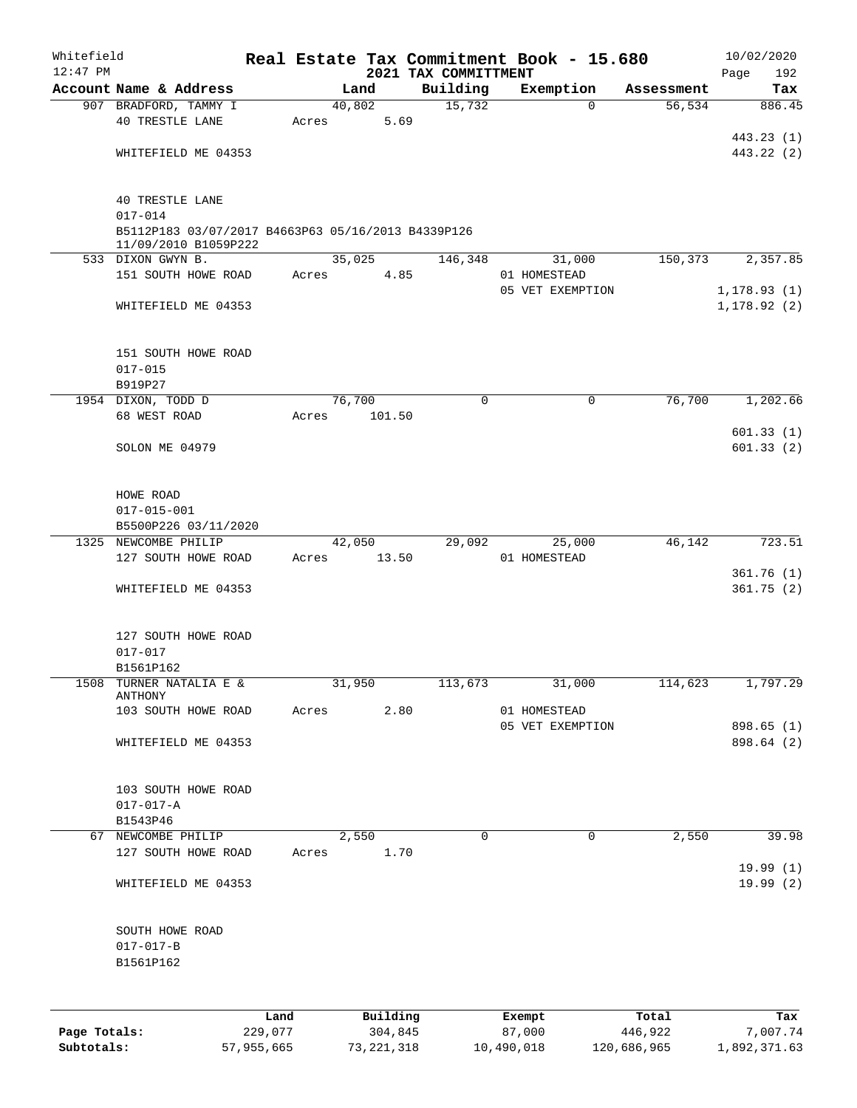| Whitefield<br>$12:47$ PM |                                                                                           |       |          | 2021 TAX COMMITTMENT |             | Real Estate Tax Commitment Book - 15.680 |            | 10/02/2020<br>Page<br>192    |
|--------------------------|-------------------------------------------------------------------------------------------|-------|----------|----------------------|-------------|------------------------------------------|------------|------------------------------|
|                          | Account Name & Address                                                                    |       | Land     | Building             |             | Exemption                                | Assessment | Tax                          |
|                          | 907 BRADFORD, TAMMY I                                                                     |       | 40,802   |                      | 15,732      | $\Omega$                                 | 56, 534    | 886.45                       |
|                          | <b>40 TRESTLE LANE</b>                                                                    | Acres | 5.69     |                      |             |                                          |            |                              |
|                          |                                                                                           |       |          |                      |             |                                          |            | 443.23 (1)                   |
|                          | WHITEFIELD ME 04353                                                                       |       |          |                      |             |                                          |            | 443.22 (2)                   |
|                          | <b>40 TRESTLE LANE</b>                                                                    |       |          |                      |             |                                          |            |                              |
|                          | $017 - 014$<br>B5112P183 03/07/2017 B4663P63 05/16/2013 B4339P126<br>11/09/2010 B1059P222 |       |          |                      |             |                                          |            |                              |
|                          | 533 DIXON GWYN B.                                                                         |       | 35,025   |                      | 146,348     | 31,000                                   | 150,373    | 2,357.85                     |
|                          | 151 SOUTH HOWE ROAD                                                                       | Acres | 4.85     |                      |             | 01 HOMESTEAD                             |            |                              |
|                          | WHITEFIELD ME 04353                                                                       |       |          |                      |             | 05 VET EXEMPTION                         |            | 1, 178.93(1)<br>1, 178.92(2) |
|                          |                                                                                           |       |          |                      |             |                                          |            |                              |
|                          | 151 SOUTH HOWE ROAD                                                                       |       |          |                      |             |                                          |            |                              |
|                          | $017 - 015$                                                                               |       |          |                      |             |                                          |            |                              |
|                          | B919P27                                                                                   |       |          |                      |             |                                          |            |                              |
|                          | 1954 DIXON, TODD D                                                                        |       | 76,700   |                      | $\mathbf 0$ | 0                                        | 76,700     | 1,202.66                     |
|                          | 68 WEST ROAD                                                                              | Acres | 101.50   |                      |             |                                          |            |                              |
|                          | SOLON ME 04979                                                                            |       |          |                      |             |                                          |            | 601.33(1)<br>601.33(2)       |
|                          | HOWE ROAD                                                                                 |       |          |                      |             |                                          |            |                              |
|                          | $017 - 015 - 001$                                                                         |       |          |                      |             |                                          |            |                              |
|                          | B5500P226 03/11/2020                                                                      |       |          |                      |             |                                          |            |                              |
|                          | 1325 NEWCOMBE PHILIP                                                                      |       | 42,050   |                      | 29,092      | 25,000                                   | 46,142     | 723.51                       |
|                          | 127 SOUTH HOWE ROAD                                                                       | Acres | 13.50    |                      |             | 01 HOMESTEAD                             |            |                              |
|                          |                                                                                           |       |          |                      |             |                                          |            | 361.76(1)                    |
|                          | WHITEFIELD ME 04353                                                                       |       |          |                      |             |                                          |            | 361.75(2)                    |
|                          | 127 SOUTH HOWE ROAD                                                                       |       |          |                      |             |                                          |            |                              |
|                          | $017 - 017$                                                                               |       |          |                      |             |                                          |            |                              |
|                          | B1561P162                                                                                 |       |          |                      |             |                                          |            |                              |
| 1508                     | TURNER NATALIA E &<br>ANTHONY                                                             |       | 31,950   |                      | 113,673     | 31,000                                   | 114,623    | 1,797.29                     |
|                          | 103 SOUTH HOWE ROAD                                                                       | Acres | 2.80     |                      |             | 01 HOMESTEAD                             |            |                              |
|                          |                                                                                           |       |          |                      |             | 05 VET EXEMPTION                         |            | 898.65 (1)                   |
|                          | WHITEFIELD ME 04353                                                                       |       |          |                      |             |                                          |            | 898.64 (2)                   |
|                          | 103 SOUTH HOWE ROAD                                                                       |       |          |                      |             |                                          |            |                              |
|                          | $017 - 017 - A$                                                                           |       |          |                      |             |                                          |            |                              |
|                          | B1543P46                                                                                  |       |          |                      |             |                                          |            |                              |
|                          | 67 NEWCOMBE PHILIP                                                                        |       | 2,550    |                      | $\mathbf 0$ | $\mathbf 0$                              | 2,550      | 39.98                        |
|                          | 127 SOUTH HOWE ROAD                                                                       | Acres | 1.70     |                      |             |                                          |            |                              |
|                          |                                                                                           |       |          |                      |             |                                          |            | 19.99(1)                     |
|                          | WHITEFIELD ME 04353                                                                       |       |          |                      |             |                                          |            | 19.99(2)                     |
|                          | SOUTH HOWE ROAD                                                                           |       |          |                      |             |                                          |            |                              |
|                          | $017 - 017 - B$                                                                           |       |          |                      |             |                                          |            |                              |
|                          | B1561P162                                                                                 |       |          |                      |             |                                          |            |                              |
|                          |                                                                                           |       | Building |                      |             |                                          |            |                              |
|                          |                                                                                           | Land  |          |                      |             | Exempt                                   | Total      | Tax                          |

|              | -------    |            | _______    | ------      | -------      |
|--------------|------------|------------|------------|-------------|--------------|
| Page Totals: | 229,077    | 304,845    | 87,000     | 446,922     | 7,007.74     |
| Subtotals:   | 57,955,665 | 73,221,318 | 10,490,018 | 120,686,965 | 1,892,371.63 |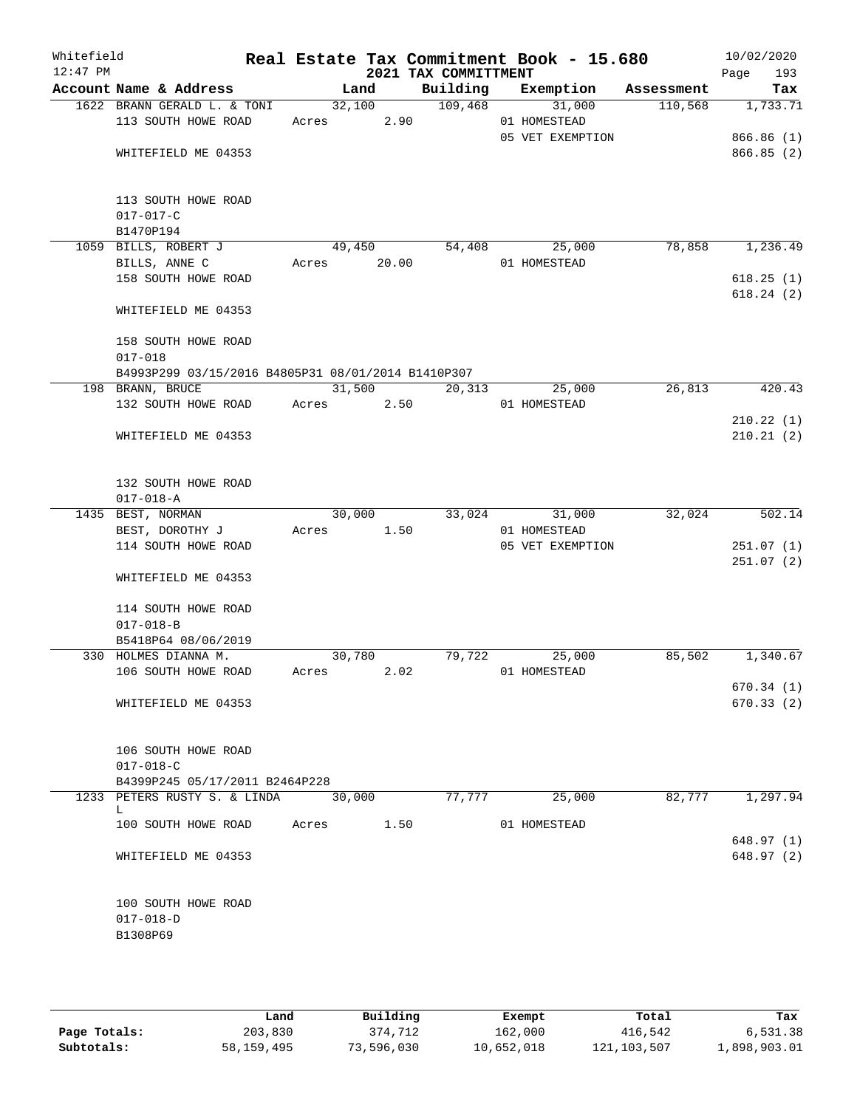| Whitefield<br>$12:47$ PM |                                                    |             |        | 2021 TAX COMMITTMENT | Real Estate Tax Commitment Book - 15.680 |         | 10/02/2020<br>193<br>Page |
|--------------------------|----------------------------------------------------|-------------|--------|----------------------|------------------------------------------|---------|---------------------------|
|                          | Account Name & Address                             |             | Land   |                      | Building Exemption Assessment            |         | Tax                       |
|                          | 1622 BRANN GERALD L. & TONI                        |             | 32,100 | 109,468              | 31,000                                   | 110,568 | 1,733.71                  |
|                          | 113 SOUTH HOWE ROAD                                | Acres 2.90  |        |                      | 01 HOMESTEAD                             |         |                           |
|                          |                                                    |             |        |                      | 05 VET EXEMPTION                         |         | 866.86 (1)                |
|                          | WHITEFIELD ME 04353                                |             |        |                      |                                          |         | 866.85(2)                 |
|                          |                                                    |             |        |                      |                                          |         |                           |
|                          |                                                    |             |        |                      |                                          |         |                           |
|                          | 113 SOUTH HOWE ROAD                                |             |        |                      |                                          |         |                           |
|                          | $017 - 017 - C$                                    |             |        |                      |                                          |         |                           |
|                          | B1470P194<br>1059 BILLS, ROBERT J                  | 49,450      |        | 54,408               | 25,000                                   | 78,858  | 1,236.49                  |
|                          | BILLS, ANNE C                                      | Acres 20.00 |        |                      | 01 HOMESTEAD                             |         |                           |
|                          | 158 SOUTH HOWE ROAD                                |             |        |                      |                                          |         | 618.25(1)                 |
|                          |                                                    |             |        |                      |                                          |         | 618.24(2)                 |
|                          | WHITEFIELD ME 04353                                |             |        |                      |                                          |         |                           |
|                          |                                                    |             |        |                      |                                          |         |                           |
|                          | 158 SOUTH HOWE ROAD                                |             |        |                      |                                          |         |                           |
|                          | $017 - 018$                                        |             |        |                      |                                          |         |                           |
|                          | B4993P299 03/15/2016 B4805P31 08/01/2014 B1410P307 |             |        |                      |                                          |         |                           |
|                          | 198 BRANN, BRUCE                                   |             | 31,500 | 20,313               | 25,000                                   | 26,813  | 420.43                    |
|                          | 132 SOUTH HOWE ROAD                                | Acres 2.50  |        |                      | 01 HOMESTEAD                             |         |                           |
|                          |                                                    |             |        |                      |                                          |         | 210.22(1)                 |
|                          | WHITEFIELD ME 04353                                |             |        |                      |                                          |         | 210.21(2)                 |
|                          |                                                    |             |        |                      |                                          |         |                           |
|                          | 132 SOUTH HOWE ROAD                                |             |        |                      |                                          |         |                           |
|                          | $017 - 018 - A$                                    |             |        |                      |                                          |         |                           |
|                          | 1435 BEST, NORMAN                                  | 30,000      |        |                      | 33,024<br>31,000                         | 32,024  | 502.14                    |
|                          | BEST, DOROTHY J                                    | Acres 1.50  |        |                      | 01 HOMESTEAD                             |         |                           |
|                          | 114 SOUTH HOWE ROAD                                |             |        |                      | 05 VET EXEMPTION                         |         | 251.07(1)                 |
|                          |                                                    |             |        |                      |                                          |         | 251.07(2)                 |
|                          | WHITEFIELD ME 04353                                |             |        |                      |                                          |         |                           |
|                          |                                                    |             |        |                      |                                          |         |                           |
|                          | 114 SOUTH HOWE ROAD                                |             |        |                      |                                          |         |                           |
|                          | $017 - 018 - B$                                    |             |        |                      |                                          |         |                           |
|                          | B5418P64 08/06/2019<br>330 HOLMES DIANNA M.        | 30,780      |        | 79,722               |                                          | 85,502  | 1,340.67                  |
|                          | 106 SOUTH HOWE ROAD                                | Acres       | 2.02   |                      | 25,000<br>01 HOMESTEAD                   |         |                           |
|                          |                                                    |             |        |                      |                                          |         | 670.34(1)                 |
|                          | WHITEFIELD ME 04353                                |             |        |                      |                                          |         | 670.33(2)                 |
|                          |                                                    |             |        |                      |                                          |         |                           |
|                          |                                                    |             |        |                      |                                          |         |                           |
|                          | 106 SOUTH HOWE ROAD                                |             |        |                      |                                          |         |                           |
|                          | $017 - 018 - C$                                    |             |        |                      |                                          |         |                           |
|                          | B4399P245 05/17/2011 B2464P228                     |             |        |                      |                                          |         |                           |
|                          | 1233 PETERS RUSTY S. & LINDA                       | 30,000      |        | 77,777               | 25,000                                   | 82,777  | 1,297.94                  |
|                          | L<br>100 SOUTH HOWE ROAD                           | Acres 1.50  |        |                      | 01 HOMESTEAD                             |         |                           |
|                          |                                                    |             |        |                      |                                          |         | 648.97 (1)                |
|                          | WHITEFIELD ME 04353                                |             |        |                      |                                          |         | 648.97 (2)                |
|                          |                                                    |             |        |                      |                                          |         |                           |
|                          |                                                    |             |        |                      |                                          |         |                           |
|                          | 100 SOUTH HOWE ROAD                                |             |        |                      |                                          |         |                           |
|                          | $017 - 018 - D$                                    |             |        |                      |                                          |         |                           |
|                          | B1308P69                                           |             |        |                      |                                          |         |                           |
|                          |                                                    |             |        |                      |                                          |         |                           |
|                          |                                                    |             |        |                      |                                          |         |                           |

|              | Land       | Building   | Exempt     | Total       | Tax          |
|--------------|------------|------------|------------|-------------|--------------|
| Page Totals: | 203,830    | 374,712    | 162,000    | 416,542     | 6,531.38     |
| Subtotals:   | 58,159,495 | 73,596,030 | 10,652,018 | 121,103,507 | 1,898,903.01 |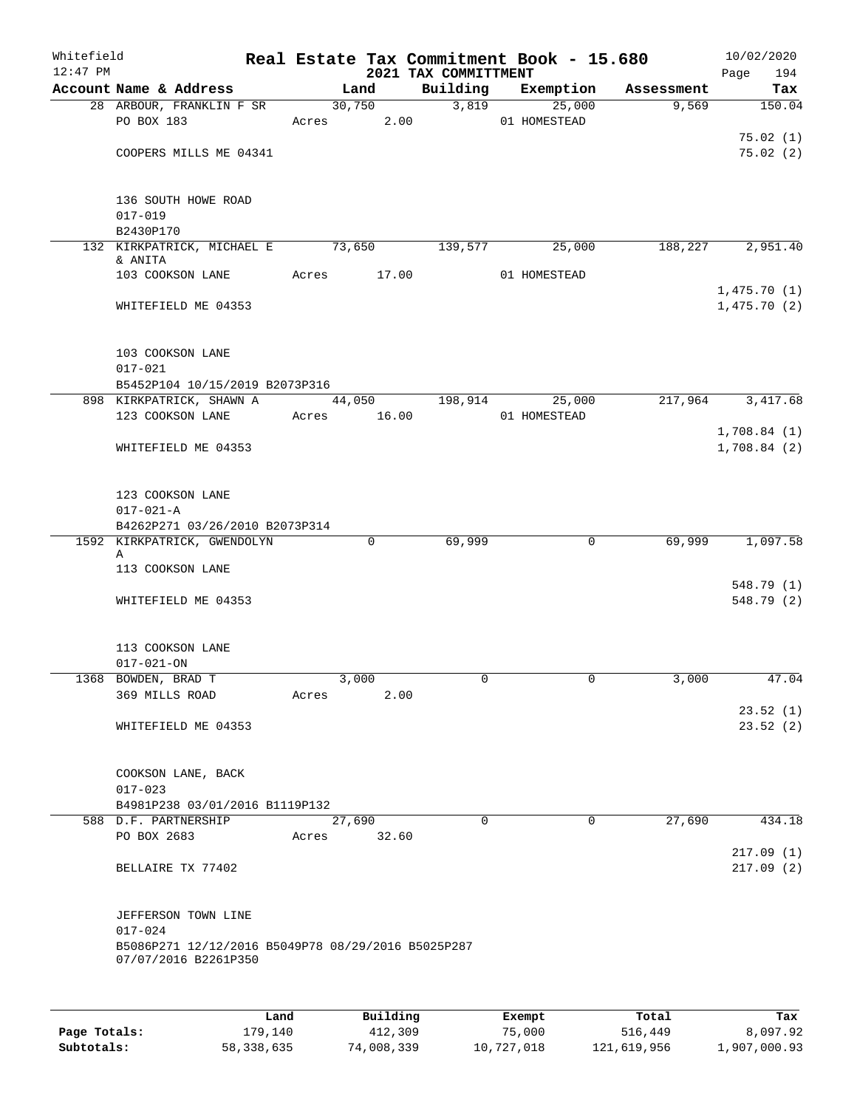| Whitefield<br>$12:47$ PM |                                                                            |                   |       |             |          | 2021 TAX COMMITTMENT | Real Estate Tax Commitment Book - 15.680 |                               | 10/02/2020<br>194<br>Page  |
|--------------------------|----------------------------------------------------------------------------|-------------------|-------|-------------|----------|----------------------|------------------------------------------|-------------------------------|----------------------------|
|                          | Account Name & Address                                                     |                   |       | Land        |          |                      |                                          | Building Exemption Assessment | Tax                        |
|                          | 28 ARBOUR, FRANKLIN F SR                                                   |                   |       | 30,750      |          | 3,819                | 25,000                                   | 9,569                         | 150.04                     |
|                          | PO BOX 183                                                                 |                   |       | Acres 2.00  |          |                      | 01 HOMESTEAD                             |                               |                            |
|                          |                                                                            |                   |       |             |          |                      |                                          |                               | 75.02(1)                   |
|                          | COOPERS MILLS ME 04341                                                     |                   |       |             |          |                      |                                          |                               | 75.02(2)                   |
|                          | 136 SOUTH HOWE ROAD<br>$017 - 019$                                         |                   |       |             |          |                      |                                          |                               |                            |
|                          | B2430P170                                                                  |                   |       |             |          |                      |                                          |                               |                            |
|                          | 132 KIRKPATRICK, MICHAEL E                                                 |                   |       | 73,650      |          | 139,577              | 25,000                                   |                               | 188, 227 2, 951.40         |
|                          | & ANITA                                                                    |                   |       |             |          |                      |                                          |                               |                            |
|                          | 103 COOKSON LANE                                                           |                   |       | Acres 17.00 |          |                      | 01 HOMESTEAD                             |                               |                            |
|                          | WHITEFIELD ME 04353                                                        |                   |       |             |          |                      |                                          |                               | 1,475.70(1)<br>1,475.70(2) |
|                          | 103 COOKSON LANE                                                           |                   |       |             |          |                      |                                          |                               |                            |
|                          | $017 - 021$                                                                |                   |       |             |          |                      |                                          |                               |                            |
|                          | B5452P104 10/15/2019 B2073P316                                             |                   |       |             |          |                      |                                          |                               |                            |
|                          | 898 KIRKPATRICK, SHAWN A 44,050 198,914 25,000                             |                   |       |             |          |                      |                                          |                               | 217,964 3,417.68           |
|                          | 123 COOKSON LANE                                                           |                   |       | Acres 16.00 |          |                      | 01 HOMESTEAD                             |                               |                            |
|                          |                                                                            |                   |       |             |          |                      |                                          |                               | 1,708.84(1)                |
|                          | WHITEFIELD ME 04353                                                        |                   |       |             |          |                      |                                          |                               | 1,708.84(2)                |
|                          | 123 COOKSON LANE<br>$017 - 021 - A$                                        |                   |       |             |          |                      |                                          |                               |                            |
|                          | B4262P271 03/26/2010 B2073P314                                             |                   |       |             |          |                      |                                          |                               |                            |
|                          | 1592 KIRKPATRICK, GWENDOLYN                                                |                   |       | $\mathbf 0$ |          | 69,999               | $\mathbf 0$                              | 69,999                        | 1,097.58                   |
|                          | Α<br>113 COOKSON LANE                                                      |                   |       |             |          |                      |                                          |                               |                            |
|                          |                                                                            |                   |       |             |          |                      |                                          |                               | 548.79 (1)                 |
|                          | WHITEFIELD ME 04353                                                        |                   |       |             |          |                      |                                          |                               | 548.79 (2)                 |
|                          | 113 COOKSON LANE<br>$017 - 021 - ON$                                       |                   |       |             |          |                      |                                          |                               |                            |
|                          | 1368 BOWDEN, BRAD T                                                        |                   |       | 3,000       |          | 0                    | $\mathbf{0}$                             | 3,000                         | 47.04                      |
|                          | 369 MILLS ROAD                                                             |                   | Acres |             | 2.00     |                      |                                          |                               |                            |
|                          | WHITEFIELD ME 04353                                                        |                   |       |             |          |                      |                                          |                               | 23.52(1)<br>23.52(2)       |
|                          | COOKSON LANE, BACK                                                         |                   |       |             |          |                      |                                          |                               |                            |
|                          | $017 - 023$                                                                |                   |       |             |          |                      |                                          |                               |                            |
|                          | B4981P238 03/01/2016 B1119P132                                             |                   |       |             |          |                      |                                          |                               |                            |
|                          | 588 D.F. PARTNERSHIP                                                       |                   |       | 27,690      |          | $\Omega$             | $\Omega$                                 | 27,690                        | 434.18                     |
|                          | PO BOX 2683                                                                |                   | Acres |             | 32.60    |                      |                                          |                               | 217.09(1)                  |
|                          | BELLAIRE TX 77402                                                          |                   |       |             |          |                      |                                          |                               | 217.09(2)                  |
|                          | JEFFERSON TOWN LINE                                                        |                   |       |             |          |                      |                                          |                               |                            |
|                          | $017 - 024$                                                                |                   |       |             |          |                      |                                          |                               |                            |
|                          | B5086P271 12/12/2016 B5049P78 08/29/2016 B5025P287<br>07/07/2016 B2261P350 |                   |       |             |          |                      |                                          |                               |                            |
|                          |                                                                            |                   |       |             |          |                      |                                          |                               |                            |
|                          |                                                                            | Land <sup>1</sup> |       |             | Building |                      | $F$ vomnt                                | $T$ ctal                      | Tav                        |

|              | Land       | Building   | Exempt     | Total       | Tax          |
|--------------|------------|------------|------------|-------------|--------------|
| Page Totals: | 179.140    | 412,309    | 75,000     | 516,449     | 8,097.92     |
| Subtotals:   | 58,338,635 | 74,008,339 | 10,727,018 | 121,619,956 | 1,907,000.93 |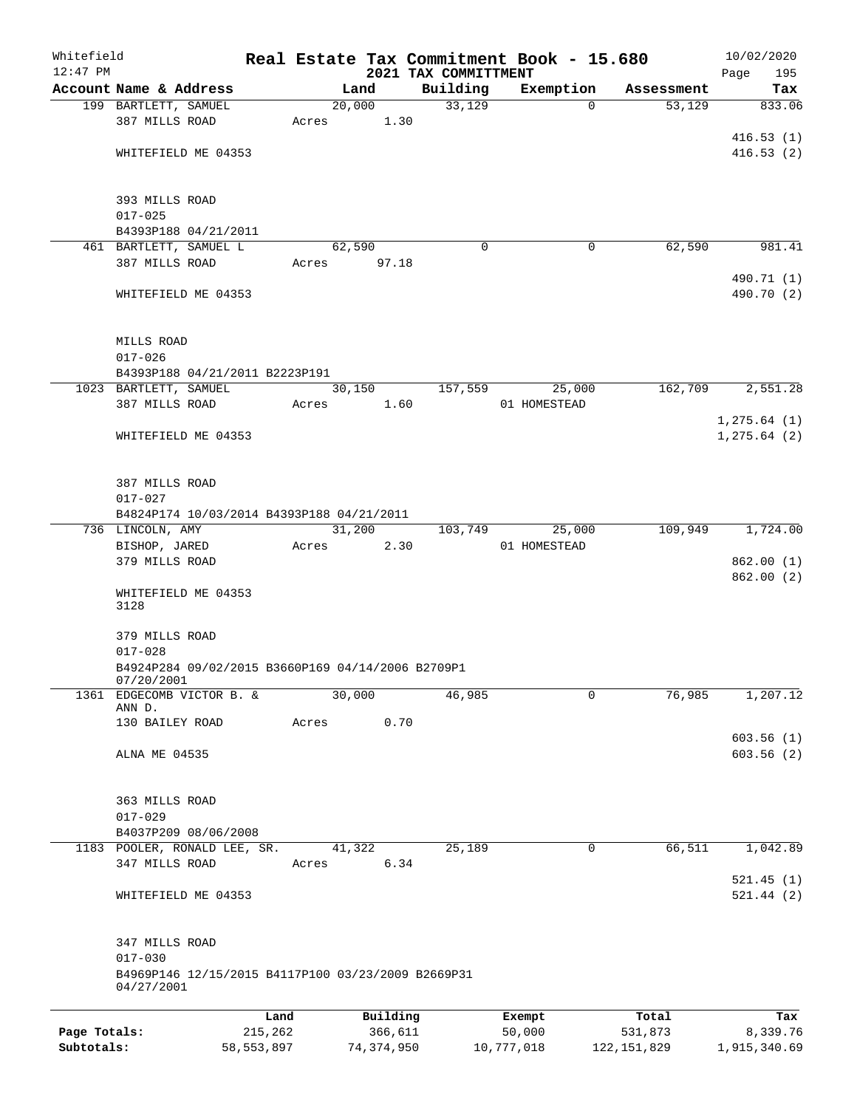| Whitefield   |                                                                                     |            |            |                 |      |                                  | Real Estate Tax Commitment Book - 15.680 |               | 10/02/2020         |
|--------------|-------------------------------------------------------------------------------------|------------|------------|-----------------|------|----------------------------------|------------------------------------------|---------------|--------------------|
| $12:47$ PM   | Account Name & Address                                                              |            |            | Land            |      | 2021 TAX COMMITTMENT<br>Building | Exemption                                | Assessment    | 195<br>Page<br>Tax |
|              | 199 BARTLETT, SAMUEL                                                                |            |            | 20,000          |      | 33,129                           | $\Omega$                                 | 53,129        | 833.06             |
|              | 387 MILLS ROAD                                                                      |            | Acres 1.30 |                 |      |                                  |                                          |               |                    |
|              |                                                                                     |            |            |                 |      |                                  |                                          |               | 416.53(1)          |
|              | WHITEFIELD ME 04353                                                                 |            |            |                 |      |                                  |                                          |               | 416.53(2)          |
|              | 393 MILLS ROAD                                                                      |            |            |                 |      |                                  |                                          |               |                    |
|              | $017 - 025$                                                                         |            |            |                 |      |                                  |                                          |               |                    |
|              | B4393P188 04/21/2011                                                                |            |            |                 |      |                                  |                                          |               |                    |
|              | 461 BARTLETT, SAMUEL L<br>387 MILLS ROAD                                            |            | Acres      | 62,590<br>97.18 |      | $\Omega$                         | 0                                        | 62,590        | 981.41             |
|              |                                                                                     |            |            |                 |      |                                  |                                          |               | 490.71 (1)         |
|              | WHITEFIELD ME 04353                                                                 |            |            |                 |      |                                  |                                          |               | 490.70 (2)         |
|              | MILLS ROAD                                                                          |            |            |                 |      |                                  |                                          |               |                    |
|              | $017 - 026$                                                                         |            |            |                 |      |                                  |                                          |               |                    |
|              | B4393P188 04/21/2011 B2223P191<br>1023 BARTLETT, SAMUEL                             |            |            | 30,150          |      | 157,559                          | 25,000                                   | 162,709       | 2,551.28           |
|              | 387 MILLS ROAD                                                                      |            | Acres      |                 | 1.60 |                                  | 01 HOMESTEAD                             |               |                    |
|              |                                                                                     |            |            |                 |      |                                  |                                          |               | 1, 275.64 (1)      |
|              | WHITEFIELD ME 04353                                                                 |            |            |                 |      |                                  |                                          |               | 1, 275.64 (2)      |
|              | 387 MILLS ROAD                                                                      |            |            |                 |      |                                  |                                          |               |                    |
|              | $017 - 027$                                                                         |            |            |                 |      |                                  |                                          |               |                    |
|              | B4824P174 10/03/2014 B4393P188 04/21/2011<br>736 LINCOLN, AMY                       |            |            | 31,200          |      | 103,749                          | 25,000                                   | 109,949       | 1,724.00           |
|              | BISHOP, JARED                                                                       |            | Acres      |                 | 2.30 |                                  | 01 HOMESTEAD                             |               |                    |
|              | 379 MILLS ROAD                                                                      |            |            |                 |      |                                  |                                          |               | 862.00(1)          |
|              | WHITEFIELD ME 04353<br>3128                                                         |            |            |                 |      |                                  |                                          |               | 862.00(2)          |
|              | 379 MILLS ROAD<br>$017 - 028$                                                       |            |            |                 |      |                                  |                                          |               |                    |
|              | B4924P284 09/02/2015 B3660P169 04/14/2006 B2709P1<br>07/20/2001                     |            |            |                 |      |                                  |                                          |               |                    |
|              | 1361 EDGECOMB VICTOR B. &<br>ANN D.<br>130 BAILEY ROAD                              |            | Acres      | 30,000          | 0.70 | 46,985                           | 0                                        | 76,985        | 1,207.12           |
|              |                                                                                     |            |            |                 |      |                                  |                                          |               | 603.56(1)          |
|              | ALNA ME 04535                                                                       |            |            |                 |      |                                  |                                          |               | 603.56(2)          |
|              | 363 MILLS ROAD                                                                      |            |            |                 |      |                                  |                                          |               |                    |
|              | $017 - 029$                                                                         |            |            |                 |      |                                  |                                          |               |                    |
|              | B4037P209 08/06/2008<br>1183 POOLER, RONALD LEE, SR.                                |            |            | 41,322          |      | 25,189                           | 0                                        | 66,511        | 1,042.89           |
|              | 347 MILLS ROAD                                                                      |            | Acres      |                 | 6.34 |                                  |                                          |               | 521.45(1)          |
|              | WHITEFIELD ME 04353                                                                 |            |            |                 |      |                                  |                                          |               | 521.44(2)          |
|              | 347 MILLS ROAD<br>$017 - 030$<br>B4969P146 12/15/2015 B4117P100 03/23/2009 B2669P31 |            |            |                 |      |                                  |                                          |               |                    |
|              | 04/27/2001                                                                          |            |            |                 |      |                                  |                                          |               |                    |
|              |                                                                                     | Land       |            | Building        |      |                                  | Exempt                                   | Total         | Tax                |
| Page Totals: |                                                                                     | 215,262    |            | 366,611         |      |                                  | 50,000                                   | 531,873       | 8,339.76           |
| Subtotals:   |                                                                                     | 58,553,897 |            | 74, 374, 950    |      |                                  | 10,777,018                               | 122, 151, 829 | 1,915,340.69       |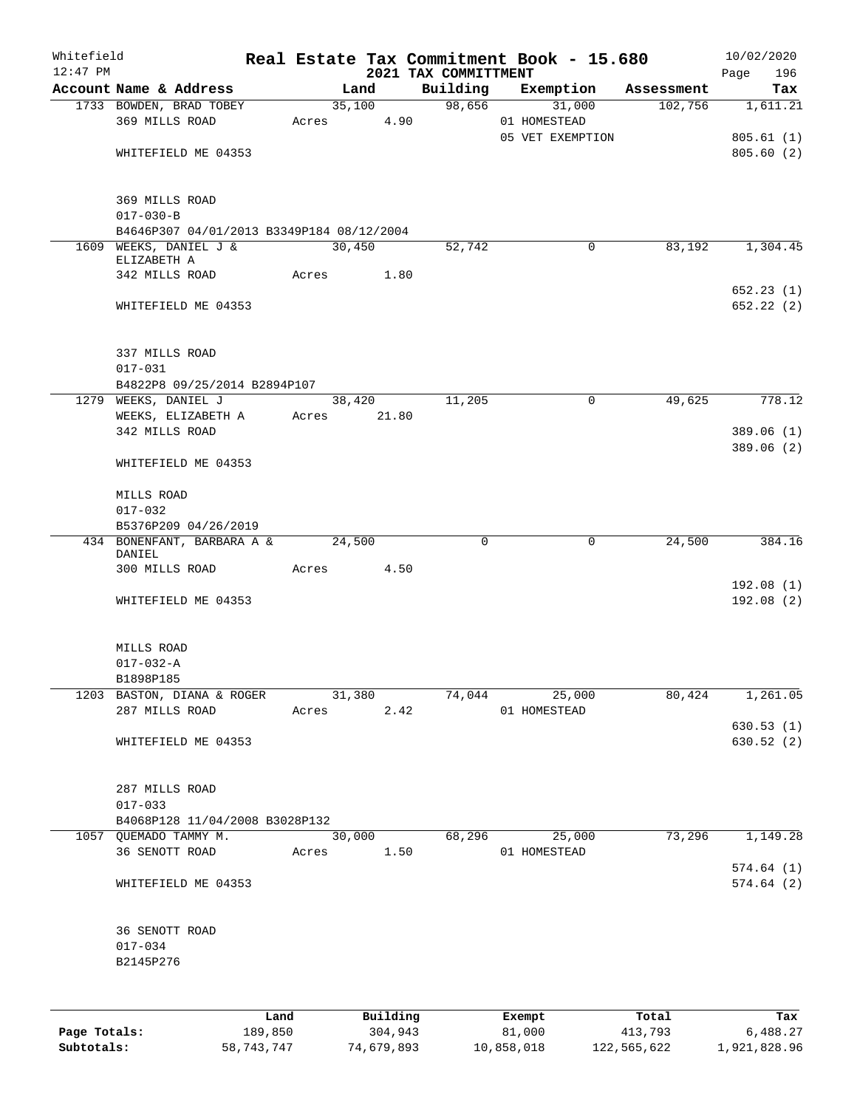| Whitefield<br>$12:47$ PM |                                           |       |        |             | 2021 TAX COMMITTMENT | Real Estate Tax Commitment Book - 15.680 |            | 10/02/2020               |
|--------------------------|-------------------------------------------|-------|--------|-------------|----------------------|------------------------------------------|------------|--------------------------|
|                          | Account Name & Address                    |       | Land   |             | Building             | Exemption                                | Assessment | Page<br>196<br>Tax       |
|                          | 1733 BOWDEN, BRAD TOBEY                   |       |        | 35,100      | 98,656               | 31,000                                   | 102,756    | 1,611.21                 |
|                          | 369 MILLS ROAD                            | Acres |        | 4.90        |                      | 01 HOMESTEAD                             |            |                          |
|                          |                                           |       |        |             |                      | 05 VET EXEMPTION                         |            | 805.61(1)                |
|                          | WHITEFIELD ME 04353                       |       |        |             |                      |                                          |            | 805.60(2)                |
|                          | 369 MILLS ROAD                            |       |        |             |                      |                                          |            |                          |
|                          | $017 - 030 - B$                           |       |        |             |                      |                                          |            |                          |
|                          | B4646P307 04/01/2013 B3349P184 08/12/2004 |       |        |             |                      |                                          |            |                          |
|                          | 1609 WEEKS, DANIEL J &                    |       | 30,450 |             | 52,742               | 0                                        | 83,192     | 1,304.45                 |
|                          | ELIZABETH A<br>342 MILLS ROAD             |       |        | Acres 1.80  |                      |                                          |            |                          |
|                          |                                           |       |        |             |                      |                                          |            | 652.23(1)                |
|                          | WHITEFIELD ME 04353                       |       |        |             |                      |                                          |            | 652.22(2)                |
|                          | 337 MILLS ROAD                            |       |        |             |                      |                                          |            |                          |
|                          | $017 - 031$                               |       |        |             |                      |                                          |            |                          |
|                          | B4822P8 09/25/2014 B2894P107              |       |        |             |                      |                                          |            |                          |
|                          | 1279 WEEKS, DANIEL J                      |       | 38,420 |             | 11,205               | $\mathbf 0$                              | 49,625     | 778.12                   |
|                          | WEEKS, ELIZABETH A                        |       |        | Acres 21.80 |                      |                                          |            |                          |
|                          | 342 MILLS ROAD                            |       |        |             |                      |                                          |            | 389.06 (1)<br>389.06 (2) |
|                          | WHITEFIELD ME 04353                       |       |        |             |                      |                                          |            |                          |
|                          | MILLS ROAD                                |       |        |             |                      |                                          |            |                          |
|                          | $017 - 032$                               |       |        |             |                      |                                          |            |                          |
|                          | B5376P209 04/26/2019                      |       |        |             |                      |                                          |            |                          |
|                          | 434 BONENFANT, BARBARA A &                |       | 24,500 |             | 0                    | 0                                        | 24,500     | 384.16                   |
|                          | DANIEL<br>300 MILLS ROAD                  | Acres |        | 4.50        |                      |                                          |            |                          |
|                          |                                           |       |        |             |                      |                                          |            | 192.08(1)                |
|                          | WHITEFIELD ME 04353                       |       |        |             |                      |                                          |            | 192.08 (2)               |
|                          | MILLS ROAD                                |       |        |             |                      |                                          |            |                          |
|                          | $017 - 032 - A$                           |       |        |             |                      |                                          |            |                          |
|                          | B1898P185                                 |       |        |             |                      |                                          |            |                          |
|                          | 1203 BASTON, DIANA & ROGER 31,380         |       |        |             |                      | $74,044$ $25,000$                        |            | 80,424 1,261.05          |
|                          | 287 MILLS ROAD                            |       |        |             |                      | Acres 2.42 01 HOMESTEAD                  |            |                          |
|                          | WHITEFIELD ME 04353                       |       |        |             |                      |                                          |            | 630.53(1)<br>630.52(2)   |
|                          |                                           |       |        |             |                      |                                          |            |                          |
|                          | 287 MILLS ROAD                            |       |        |             |                      |                                          |            |                          |
|                          | $017 - 033$                               |       |        |             |                      |                                          |            |                          |
|                          | B4068P128 11/04/2008 B3028P132            |       |        |             |                      | 30,000 68,296 25,000                     |            | $73,296$ $1,149.28$      |
|                          | 1057 QUEMADO TAMMY M.<br>36 SENOTT ROAD   |       |        |             |                      | Acres 1.50 01 HOMESTEAD                  |            |                          |
|                          |                                           |       |        |             |                      |                                          |            | 574.64(1)                |
|                          | WHITEFIELD ME 04353                       |       |        |             |                      |                                          |            | 574.64(2)                |
|                          | 36 SENOTT ROAD                            |       |        |             |                      |                                          |            |                          |
|                          | $017 - 034$                               |       |        |             |                      |                                          |            |                          |
|                          | B2145P276                                 |       |        |             |                      |                                          |            |                          |
|                          |                                           |       |        |             |                      |                                          |            |                          |
|                          |                                           |       |        |             | Land Building Exempt |                                          | Total      | Tax                      |

|              | Land       | Building   | Exempt     | Total       | Tax          |
|--------------|------------|------------|------------|-------------|--------------|
| Page Totals: | 189.850    | 304,943    | 81,000     | 413,793     | 6,488.27     |
| Subtotals:   | 58,743,747 | 74,679,893 | 10,858,018 | 122,565,622 | 1,921,828.96 |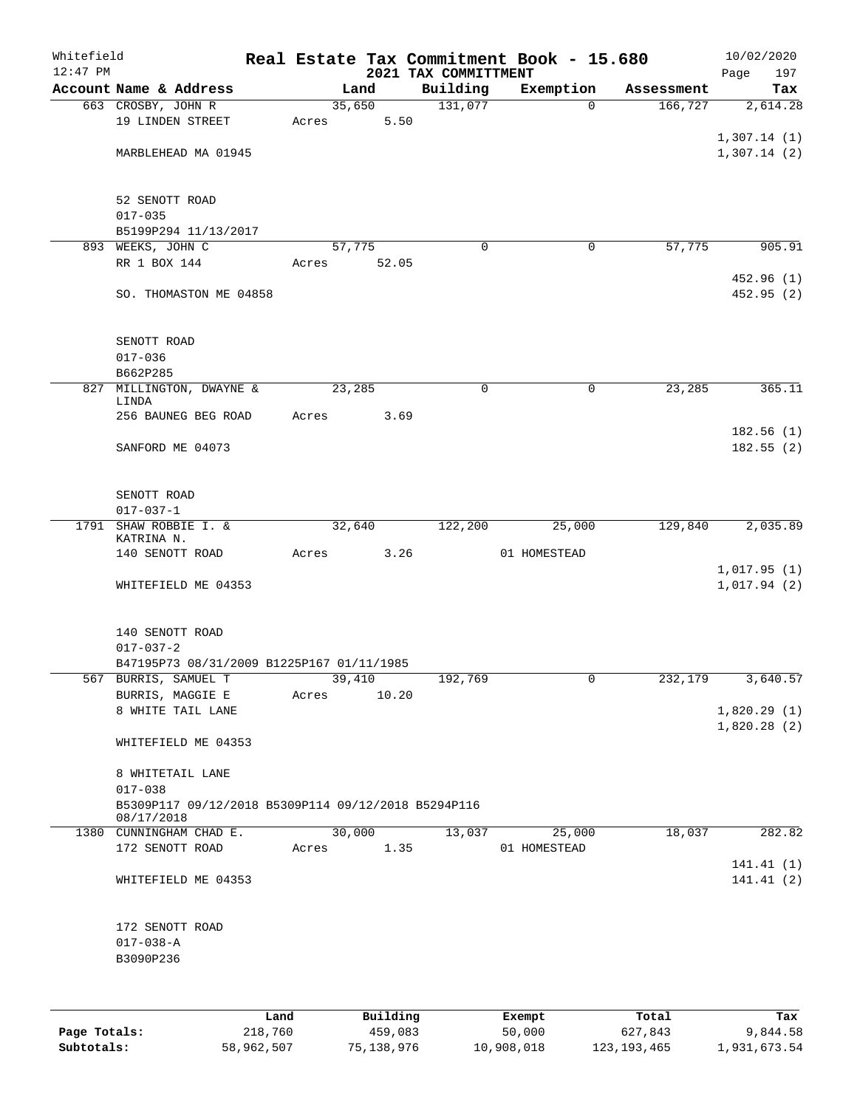| Whitefield |                                                                   |       |       |        |          |                      | Real Estate Tax Commitment Book - 15.680 |            | 10/02/2020  |
|------------|-------------------------------------------------------------------|-------|-------|--------|----------|----------------------|------------------------------------------|------------|-------------|
| $12:47$ PM |                                                                   |       |       |        |          | 2021 TAX COMMITTMENT |                                          |            | 197<br>Page |
|            | Account Name & Address                                            |       |       | Land   |          | Building             | Exemption                                | Assessment | Tax         |
|            | 663 CROSBY, JOHN R                                                |       |       | 35,650 |          | 131,077              | $\Omega$                                 | 166, 727   | 2,614.28    |
|            | 19 LINDEN STREET                                                  |       | Acres |        | 5.50     |                      |                                          |            |             |
|            |                                                                   |       |       |        |          |                      |                                          |            | 1,307.14(1) |
|            | MARBLEHEAD MA 01945                                               |       |       |        |          |                      |                                          |            | 1,307.14(2) |
|            |                                                                   |       |       |        |          |                      |                                          |            |             |
|            | 52 SENOTT ROAD                                                    |       |       |        |          |                      |                                          |            |             |
|            | $017 - 035$                                                       |       |       |        |          |                      |                                          |            |             |
|            | B5199P294 11/13/2017                                              |       |       |        |          |                      |                                          |            |             |
|            | 893 WEEKS, JOHN C                                                 |       |       | 57,775 |          | 0                    | 0                                        | 57,775     | 905.91      |
|            | RR 1 BOX 144                                                      |       | Acres |        | 52.05    |                      |                                          |            |             |
|            |                                                                   |       |       |        |          |                      |                                          |            | 452.96 (1)  |
|            | SO. THOMASTON ME 04858                                            |       |       |        |          |                      |                                          |            | 452.95 (2)  |
|            | SENOTT ROAD                                                       |       |       |        |          |                      |                                          |            |             |
|            | $017 - 036$                                                       |       |       |        |          |                      |                                          |            |             |
|            | B662P285                                                          |       |       |        |          |                      |                                          |            |             |
|            | 827 MILLINGTON, DWAYNE &                                          |       |       | 23,285 |          | $\mathbf 0$          | $\mathbf 0$                              | 23,285     | 365.11      |
|            | LINDA                                                             |       |       |        |          |                      |                                          |            |             |
|            | 256 BAUNEG BEG ROAD                                               |       | Acres |        | 3.69     |                      |                                          |            |             |
|            |                                                                   |       |       |        |          |                      |                                          |            | 182.56(1)   |
|            | SANFORD ME 04073                                                  |       |       |        |          |                      |                                          |            | 182.55(2)   |
|            |                                                                   |       |       |        |          |                      |                                          |            |             |
|            | SENOTT ROAD                                                       |       |       |        |          |                      |                                          |            |             |
|            | $017 - 037 - 1$                                                   |       |       |        |          |                      |                                          |            |             |
| 1791       | SHAW ROBBIE I. &<br>KATRINA N.                                    |       |       | 32,640 |          | 122,200              | 25,000                                   | 129,840    | 2,035.89    |
|            | 140 SENOTT ROAD                                                   |       | Acres |        | 3.26     |                      | 01 HOMESTEAD                             |            |             |
|            |                                                                   |       |       |        |          |                      |                                          |            | 1,017.95(1) |
|            | WHITEFIELD ME 04353                                               |       |       |        |          |                      |                                          |            | 1,017.94(2) |
|            |                                                                   |       |       |        |          |                      |                                          |            |             |
|            | 140 SENOTT ROAD                                                   |       |       |        |          |                      |                                          |            |             |
|            | $017 - 037 - 2$                                                   |       |       |        |          |                      |                                          |            |             |
|            | B47195P73 08/31/2009 B1225P167 01/11/1985                         |       |       |        |          |                      |                                          |            |             |
|            | 567 BURRIS, SAMUEL T                                              |       |       | 39,410 |          | 192,769              | 0                                        | 232,179    | 3,640.57    |
|            | BURRIS, MAGGIE E                                                  |       | Acres |        | 10.20    |                      |                                          |            |             |
|            | 8 WHITE TAIL LANE                                                 |       |       |        |          |                      |                                          |            | 1,820.29(1) |
|            |                                                                   |       |       |        |          |                      |                                          |            | 1,820.28(2) |
|            | WHITEFIELD ME 04353                                               |       |       |        |          |                      |                                          |            |             |
|            | 8 WHITETAIL LANE                                                  |       |       |        |          |                      |                                          |            |             |
|            | $017 - 038$                                                       |       |       |        |          |                      |                                          |            |             |
|            | B5309P117 09/12/2018 B5309P114 09/12/2018 B5294P116<br>08/17/2018 |       |       |        |          |                      |                                          |            |             |
|            | 1380 CUNNINGHAM CHAD E.                                           |       |       |        | 30,000   | 13,037               | 25,000                                   | 18,037     | 282.82      |
|            | 172 SENOTT ROAD                                                   |       | Acres |        | 1.35     |                      | 01 HOMESTEAD                             |            |             |
|            |                                                                   |       |       |        |          |                      |                                          |            | 141.41 (1)  |
|            | WHITEFIELD ME 04353                                               |       |       |        |          |                      |                                          |            | 141.41(2)   |
|            |                                                                   |       |       |        |          |                      |                                          |            |             |
|            | 172 SENOTT ROAD                                                   |       |       |        |          |                      |                                          |            |             |
|            | $017 - 038 - A$                                                   |       |       |        |          |                      |                                          |            |             |
|            | B3090P236                                                         |       |       |        |          |                      |                                          |            |             |
|            |                                                                   |       |       |        |          |                      |                                          |            |             |
|            |                                                                   | Land. |       |        | Building |                      | <b>Fromnt</b>                            | $T$ ctal   | Tou         |

|              | Land       | Building   | Exempt     | Total         | Tax          |
|--------------|------------|------------|------------|---------------|--------------|
| Page Totals: | 218,760    | 459,083    | 50,000     | 627,843       | 9,844.58     |
| Subtotals:   | 58,962,507 | 75,138,976 | 10,908,018 | 123, 193, 465 | 1,931,673.54 |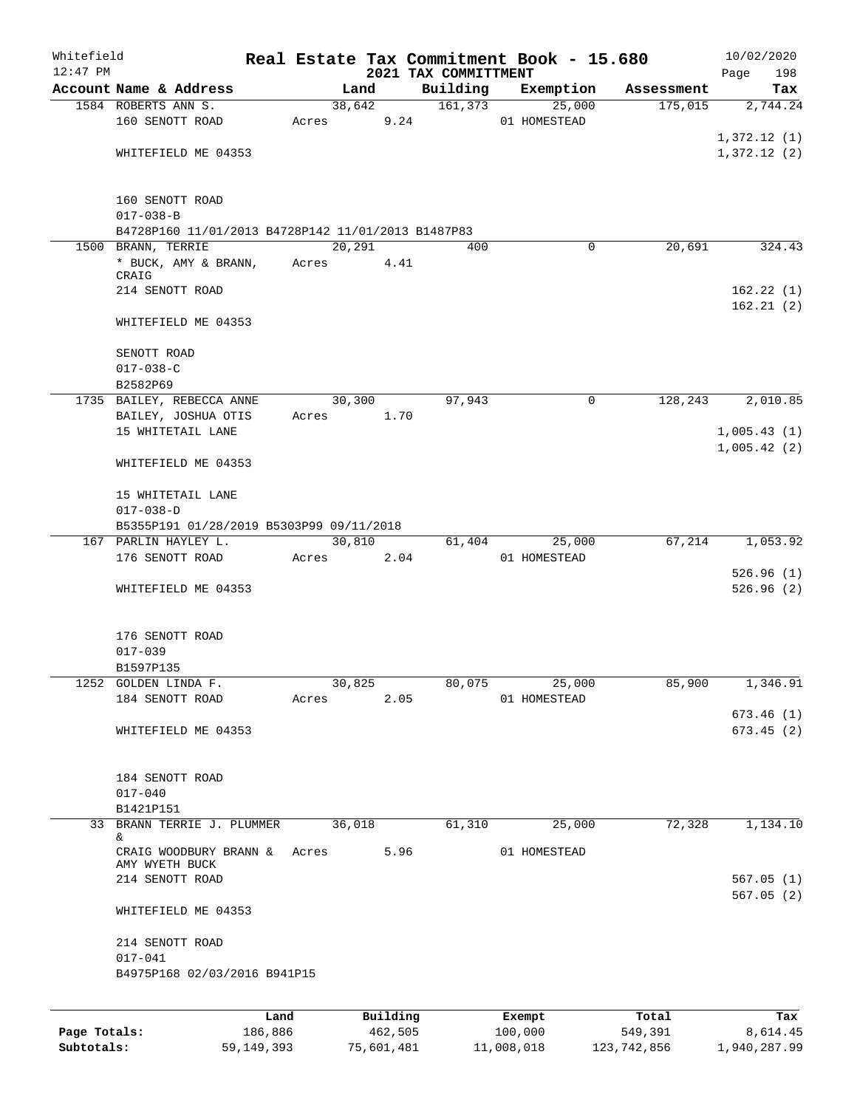| Whitefield<br>$12:47$ PM |                                                    |                 |       |         |                     | 2021 TAX COMMITTMENT | Real Estate Tax Commitment Book - 15.680 |                  | Page        | 10/02/2020<br>198      |
|--------------------------|----------------------------------------------------|-----------------|-------|---------|---------------------|----------------------|------------------------------------------|------------------|-------------|------------------------|
|                          | Account Name & Address                             |                 |       | Land    |                     | Building             | Exemption                                | Assessment       |             | Tax                    |
|                          | 1584 ROBERTS ANN S.                                |                 |       | 38,642  |                     | 161, 373             | 25,000                                   | 175,015          |             | 2,744.24               |
|                          | 160 SENOTT ROAD                                    |                 | Acres |         | 9.24                |                      | 01 HOMESTEAD                             |                  |             |                        |
|                          |                                                    |                 |       |         |                     |                      |                                          |                  | 1,372.12(1) |                        |
|                          | WHITEFIELD ME 04353                                |                 |       |         |                     |                      |                                          |                  | 1,372.12(2) |                        |
|                          | 160 SENOTT ROAD<br>$017 - 038 - B$                 |                 |       |         |                     |                      |                                          |                  |             |                        |
|                          | B4728P160 11/01/2013 B4728P142 11/01/2013 B1487P83 |                 |       |         |                     |                      |                                          |                  |             |                        |
|                          | 1500 BRANN, TERRIE                                 |                 |       | 20, 291 |                     | 400                  | 0                                        | 20,691           |             | 324.43                 |
|                          | * BUCK, AMY & BRANN,                               |                 | Acres |         | 4.41                |                      |                                          |                  |             |                        |
|                          | CRAIG                                              |                 |       |         |                     |                      |                                          |                  |             |                        |
|                          | 214 SENOTT ROAD                                    |                 |       |         |                     |                      |                                          |                  |             | 162.22(1)              |
|                          |                                                    |                 |       |         |                     |                      |                                          |                  |             | 162.21(2)              |
|                          | WHITEFIELD ME 04353                                |                 |       |         |                     |                      |                                          |                  |             |                        |
|                          | SENOTT ROAD                                        |                 |       |         |                     |                      |                                          |                  |             |                        |
|                          | $017 - 038 - C$                                    |                 |       |         |                     |                      |                                          |                  |             |                        |
|                          | B2582P69                                           |                 |       |         |                     |                      |                                          |                  |             |                        |
|                          | 1735 BAILEY, REBECCA ANNE                          |                 |       | 30,300  |                     | 97,943               | $\mathbf 0$                              | 128,243          |             | 2,010.85               |
|                          | BAILEY, JOSHUA OTIS                                |                 | Acres |         | 1.70                |                      |                                          |                  |             |                        |
|                          | 15 WHITETAIL LANE                                  |                 |       |         |                     |                      |                                          |                  | 1,005.43(1) |                        |
|                          |                                                    |                 |       |         |                     |                      |                                          |                  | 1,005.42(2) |                        |
|                          | WHITEFIELD ME 04353                                |                 |       |         |                     |                      |                                          |                  |             |                        |
|                          | 15 WHITETAIL LANE                                  |                 |       |         |                     |                      |                                          |                  |             |                        |
|                          | $017 - 038 - D$                                    |                 |       |         |                     |                      |                                          |                  |             |                        |
|                          | B5355P191 01/28/2019 B5303P99 09/11/2018           |                 |       |         |                     |                      |                                          |                  |             |                        |
|                          | 167 PARLIN HAYLEY L.                               |                 |       | 30,810  |                     | 61,404               | 25,000                                   | 67,214           |             | 1,053.92               |
|                          | 176 SENOTT ROAD                                    |                 | Acres |         | 2.04                |                      | 01 HOMESTEAD                             |                  |             |                        |
|                          |                                                    |                 |       |         |                     |                      |                                          |                  |             | 526.96(1)              |
|                          | WHITEFIELD ME 04353                                |                 |       |         |                     |                      |                                          |                  |             | 526.96(2)              |
|                          |                                                    |                 |       |         |                     |                      |                                          |                  |             |                        |
|                          | 176 SENOTT ROAD                                    |                 |       |         |                     |                      |                                          |                  |             |                        |
|                          | $017 - 039$                                        |                 |       |         |                     |                      |                                          |                  |             |                        |
|                          | B1597P135                                          |                 |       |         |                     |                      |                                          |                  |             |                        |
|                          | 1252 GOLDEN LINDA F.                               |                 |       | 30,825  |                     | 80,075               | 25,000                                   | 85,900           |             | 1,346.91               |
|                          | 184 SENOTT ROAD                                    |                 | Acres |         | 2.05                |                      | 01 HOMESTEAD                             |                  |             |                        |
|                          |                                                    |                 |       |         |                     |                      |                                          |                  |             | 673.46(1)              |
|                          | WHITEFIELD ME 04353                                |                 |       |         |                     |                      |                                          |                  |             | 673.45(2)              |
|                          | 184 SENOTT ROAD                                    |                 |       |         |                     |                      |                                          |                  |             |                        |
|                          | $017 - 040$                                        |                 |       |         |                     |                      |                                          |                  |             |                        |
|                          | B1421P151                                          |                 |       |         |                     |                      |                                          |                  |             |                        |
|                          | 33 BRANN TERRIE J. PLUMMER                         |                 |       | 36,018  |                     | 61,310               | 25,000                                   | 72,328           |             | 1,134.10               |
|                          | &.                                                 |                 |       |         |                     |                      |                                          |                  |             |                        |
|                          | CRAIG WOODBURY BRANN &<br>AMY WYETH BUCK           |                 | Acres |         | 5.96                |                      | 01 HOMESTEAD                             |                  |             |                        |
|                          | 214 SENOTT ROAD                                    |                 |       |         |                     |                      |                                          |                  |             | 567.05(1)<br>567.05(2) |
|                          | WHITEFIELD ME 04353                                |                 |       |         |                     |                      |                                          |                  |             |                        |
|                          | 214 SENOTT ROAD                                    |                 |       |         |                     |                      |                                          |                  |             |                        |
|                          | $017 - 041$                                        |                 |       |         |                     |                      |                                          |                  |             |                        |
|                          | B4975P168 02/03/2016 B941P15                       |                 |       |         |                     |                      |                                          |                  |             |                        |
|                          |                                                    |                 |       |         |                     |                      |                                          |                  |             |                        |
| Page Totals:             |                                                    | Land<br>186,886 |       |         | Building<br>462,505 |                      | Exempt<br>100,000                        | Total<br>549,391 |             | Tax<br>8,614.45        |
|                          |                                                    |                 |       |         |                     |                      |                                          |                  |             |                        |

**Subtotals:** 59,149,393 75,601,481 11,008,018 123,742,856 1,940,287.99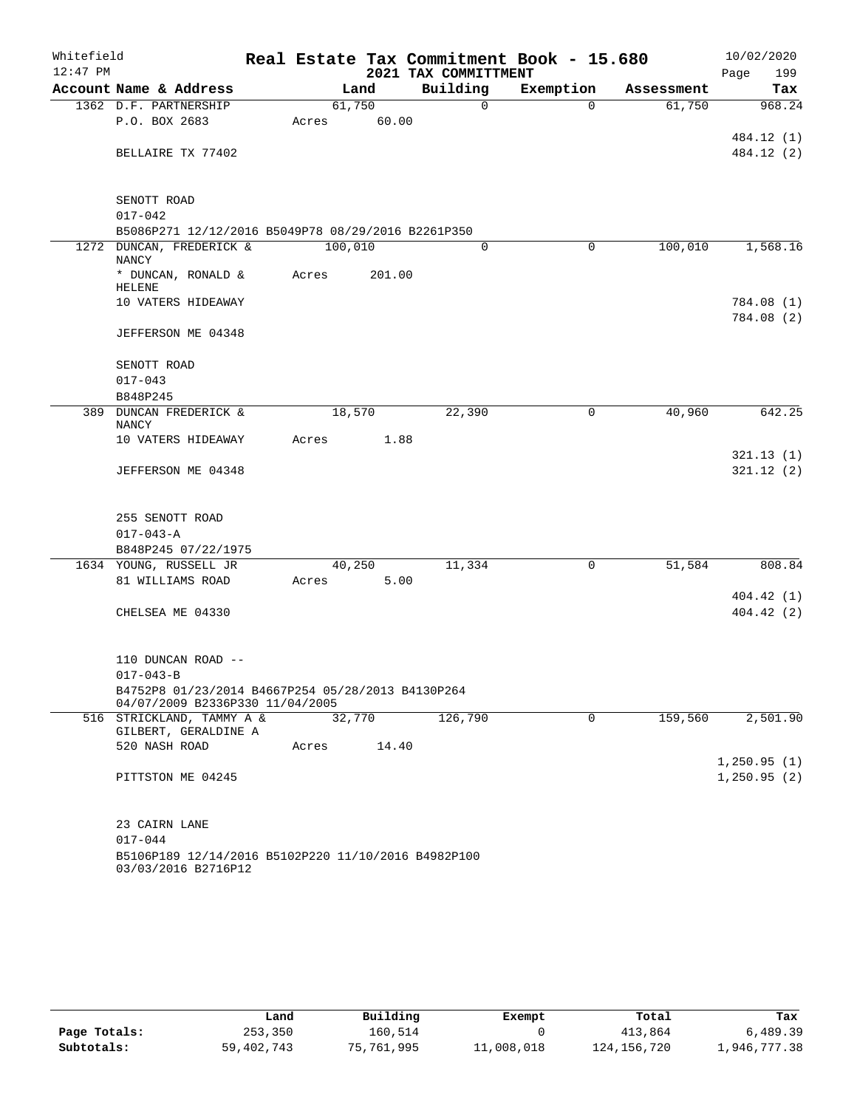| Whitefield<br>$12:47$ PM |                                                                                      |  |         |        | Real Estate Tax Commitment Book - 15.680<br>2021 TAX COMMITTMENT |           |             |            | 10/02/2020<br>Page<br>199   |
|--------------------------|--------------------------------------------------------------------------------------|--|---------|--------|------------------------------------------------------------------|-----------|-------------|------------|-----------------------------|
|                          | Account Name & Address                                                               |  |         | Land   | Building                                                         | Exemption |             | Assessment | Tax                         |
|                          | 1362 D.F. PARTNERSHIP                                                                |  | 61,750  |        | $\mathbf 0$                                                      |           | $\Omega$    | 61,750     | 968.24                      |
|                          | P.O. BOX 2683                                                                        |  | Acres   | 60.00  |                                                                  |           |             |            |                             |
|                          |                                                                                      |  |         |        |                                                                  |           |             |            | 484.12 (1)                  |
|                          | BELLAIRE TX 77402                                                                    |  |         |        |                                                                  |           |             |            | 484.12 (2)                  |
|                          | SENOTT ROAD                                                                          |  |         |        |                                                                  |           |             |            |                             |
|                          | $017 - 042$                                                                          |  |         |        |                                                                  |           |             |            |                             |
|                          | B5086P271 12/12/2016 B5049P78 08/29/2016 B2261P350                                   |  |         |        |                                                                  |           |             |            |                             |
|                          | 1272 DUNCAN, FREDERICK &                                                             |  | 100,010 |        | $\Omega$                                                         |           | 0           | 100,010    | 1,568.16                    |
|                          | NANCY                                                                                |  |         |        |                                                                  |           |             |            |                             |
|                          | * DUNCAN, RONALD &<br>HELENE                                                         |  | Acres   | 201.00 |                                                                  |           |             |            |                             |
|                          | 10 VATERS HIDEAWAY                                                                   |  |         |        |                                                                  |           |             |            | 784.08 (1)<br>784.08 (2)    |
|                          | JEFFERSON ME 04348                                                                   |  |         |        |                                                                  |           |             |            |                             |
|                          | SENOTT ROAD                                                                          |  |         |        |                                                                  |           |             |            |                             |
|                          | $017 - 043$                                                                          |  |         |        |                                                                  |           |             |            |                             |
|                          | B848P245                                                                             |  |         |        |                                                                  |           |             |            |                             |
|                          | 389 DUNCAN FREDERICK &<br><b>NANCY</b>                                               |  | 18,570  |        | 22,390                                                           |           | 0           | 40,960     | 642.25                      |
|                          | 10 VATERS HIDEAWAY                                                                   |  | Acres   | 1.88   |                                                                  |           |             |            |                             |
|                          |                                                                                      |  |         |        |                                                                  |           |             |            | 321.13(1)                   |
|                          | JEFFERSON ME 04348                                                                   |  |         |        |                                                                  |           |             |            | 321.12(2)                   |
|                          | 255 SENOTT ROAD                                                                      |  |         |        |                                                                  |           |             |            |                             |
|                          | $017 - 043 - A$                                                                      |  |         |        |                                                                  |           |             |            |                             |
|                          | B848P245 07/22/1975                                                                  |  |         |        |                                                                  |           |             |            |                             |
|                          | 1634 YOUNG, RUSSELL JR                                                               |  | 40,250  |        | 11,334                                                           |           | 0           | 51,584     | 808.84                      |
|                          | 81 WILLIAMS ROAD                                                                     |  | Acres   | 5.00   |                                                                  |           |             |            |                             |
|                          |                                                                                      |  |         |        |                                                                  |           |             |            | 404.42(1)                   |
|                          | CHELSEA ME 04330                                                                     |  |         |        |                                                                  |           |             |            | 404.42(2)                   |
|                          | 110 DUNCAN ROAD --                                                                   |  |         |        |                                                                  |           |             |            |                             |
|                          | $017 - 043 - B$                                                                      |  |         |        |                                                                  |           |             |            |                             |
|                          | B4752P8 01/23/2014 B4667P254 05/28/2013 B4130P264<br>04/07/2009 B2336P330 11/04/2005 |  |         |        |                                                                  |           |             |            |                             |
|                          | 516 STRICKLAND, TAMMY A &                                                            |  | 32,770  |        | 126,790                                                          |           | $\mathbf 0$ | 159,560    | 2,501.90                    |
|                          | GILBERT, GERALDINE A                                                                 |  |         |        |                                                                  |           |             |            |                             |
|                          | 520 NASH ROAD                                                                        |  | Acres   | 14.40  |                                                                  |           |             |            |                             |
|                          | PITTSTON ME 04245                                                                    |  |         |        |                                                                  |           |             |            | 1,250.95(1)<br>1, 250.95(2) |
|                          |                                                                                      |  |         |        |                                                                  |           |             |            |                             |
|                          | 23 CAIRN LANE                                                                        |  |         |        |                                                                  |           |             |            |                             |
|                          | $017 - 044$                                                                          |  |         |        |                                                                  |           |             |            |                             |
|                          | B5106P189 12/14/2016 B5102P220 11/10/2016 B4982P100<br>03/03/2016 B2716P12           |  |         |        |                                                                  |           |             |            |                             |

|              | Land         | Building   | Exempt     | Total         | Tax          |
|--------------|--------------|------------|------------|---------------|--------------|
| Page Totals: | 253,350      | 160.514    |            | 413,864       | 6,489.39     |
| Subtotals:   | 59, 402, 743 | 75,761,995 | 11,008,018 | 124, 156, 720 | 1,946,777.38 |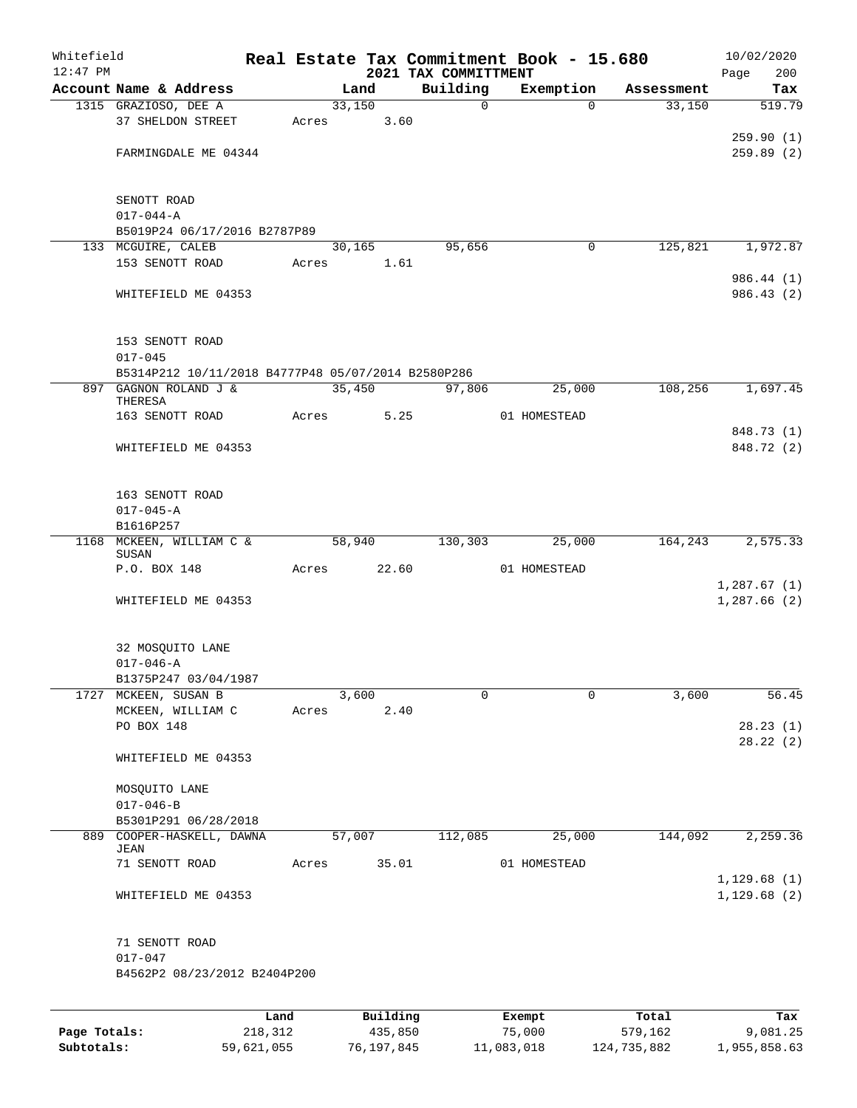| Whitefield<br>$12:47$ PM |                                                    |      |       |        |          | 2021 TAX COMMITTMENT | Real Estate Tax Commitment Book - 15.680 |            | 10/02/2020<br>200<br>Page |
|--------------------------|----------------------------------------------------|------|-------|--------|----------|----------------------|------------------------------------------|------------|---------------------------|
|                          | Account Name & Address                             |      |       | Land   |          | Building             | Exemption                                | Assessment | Tax                       |
|                          | 1315 GRAZIOSO, DEE A                               |      |       | 33,150 |          | $\mathsf{O}$         | $\Omega$                                 | 33,150     | 519.79                    |
|                          | 37 SHELDON STREET                                  |      | Acres |        | 3.60     |                      |                                          |            |                           |
|                          |                                                    |      |       |        |          |                      |                                          |            | 259.90(1)                 |
|                          | FARMINGDALE ME 04344                               |      |       |        |          |                      |                                          |            | 259.89(2)                 |
|                          |                                                    |      |       |        |          |                      |                                          |            |                           |
|                          |                                                    |      |       |        |          |                      |                                          |            |                           |
|                          | SENOTT ROAD<br>$017 - 044 - A$                     |      |       |        |          |                      |                                          |            |                           |
|                          | B5019P24 06/17/2016 B2787P89                       |      |       |        |          |                      |                                          |            |                           |
|                          | 133 MCGUIRE, CALEB                                 |      |       | 30,165 |          | 95,656               | 0                                        | 125,821    | 1,972.87                  |
|                          | 153 SENOTT ROAD                                    |      | Acres |        | 1.61     |                      |                                          |            |                           |
|                          |                                                    |      |       |        |          |                      |                                          |            | 986.44 (1)                |
|                          | WHITEFIELD ME 04353                                |      |       |        |          |                      |                                          |            | 986.43(2)                 |
|                          |                                                    |      |       |        |          |                      |                                          |            |                           |
|                          | 153 SENOTT ROAD                                    |      |       |        |          |                      |                                          |            |                           |
|                          | $017 - 045$                                        |      |       |        |          |                      |                                          |            |                           |
|                          | B5314P212 10/11/2018 B4777P48 05/07/2014 B2580P286 |      |       |        |          |                      |                                          |            |                           |
|                          | 897 GAGNON ROLAND J &                              |      |       | 35,450 |          | 97,806               | 25,000                                   | 108,256    | 1,697.45                  |
|                          | THERESA<br>163 SENOTT ROAD                         |      | Acres |        | 5.25     |                      | 01 HOMESTEAD                             |            |                           |
|                          |                                                    |      |       |        |          |                      |                                          |            | 848.73 (1)                |
|                          | WHITEFIELD ME 04353                                |      |       |        |          |                      |                                          |            | 848.72 (2)                |
|                          |                                                    |      |       |        |          |                      |                                          |            |                           |
|                          |                                                    |      |       |        |          |                      |                                          |            |                           |
|                          | 163 SENOTT ROAD                                    |      |       |        |          |                      |                                          |            |                           |
|                          | $017 - 045 - A$                                    |      |       |        |          |                      |                                          |            |                           |
|                          | B1616P257<br>1168 MCKEEN, WILLIAM C &              |      |       | 58,940 |          | 130,303              | 25,000                                   | 164,243    | 2,575.33                  |
|                          | SUSAN                                              |      |       |        |          |                      |                                          |            |                           |
|                          | P.O. BOX 148                                       |      | Acres |        | 22.60    |                      | 01 HOMESTEAD                             |            |                           |
|                          |                                                    |      |       |        |          |                      |                                          |            | 1,287.67(1)               |
|                          | WHITEFIELD ME 04353                                |      |       |        |          |                      |                                          |            | 1,287.66(2)               |
|                          |                                                    |      |       |        |          |                      |                                          |            |                           |
|                          | 32 MOSQUITO LANE                                   |      |       |        |          |                      |                                          |            |                           |
|                          | $017 - 046 - A$                                    |      |       |        |          |                      |                                          |            |                           |
|                          | B1375P247 03/04/1987                               |      |       |        |          |                      |                                          |            |                           |
|                          | 1727 MCKEEN, SUSAN B                               |      |       | 3,600  |          | 0                    | $\mathbf 0$                              | 3,600      | 56.45                     |
|                          | MCKEEN, WILLIAM C<br>PO BOX 148                    |      | Acres |        | 2.40     |                      |                                          |            | 28.23(1)                  |
|                          |                                                    |      |       |        |          |                      |                                          |            | 28.22(2)                  |
|                          | WHITEFIELD ME 04353                                |      |       |        |          |                      |                                          |            |                           |
|                          |                                                    |      |       |        |          |                      |                                          |            |                           |
|                          | MOSQUITO LANE                                      |      |       |        |          |                      |                                          |            |                           |
|                          | $017 - 046 - B$                                    |      |       |        |          |                      |                                          |            |                           |
|                          | B5301P291 06/28/2018                               |      |       |        |          |                      |                                          |            |                           |
|                          | 889 COOPER-HASKELL, DAWNA<br>JEAN                  |      |       | 57,007 |          | 112,085              | 25,000                                   | 144,092    | 2,259.36                  |
|                          | 71 SENOTT ROAD                                     |      | Acres |        | 35.01    |                      | 01 HOMESTEAD                             |            |                           |
|                          |                                                    |      |       |        |          |                      |                                          |            | 1,129.68(1)               |
|                          | WHITEFIELD ME 04353                                |      |       |        |          |                      |                                          |            | 1,129.68(2)               |
|                          |                                                    |      |       |        |          |                      |                                          |            |                           |
|                          | 71 SENOTT ROAD                                     |      |       |        |          |                      |                                          |            |                           |
|                          | $017 - 047$                                        |      |       |        |          |                      |                                          |            |                           |
|                          | B4562P2 08/23/2012 B2404P200                       |      |       |        |          |                      |                                          |            |                           |
|                          |                                                    |      |       |        |          |                      |                                          |            |                           |
|                          |                                                    | Land |       |        | Building |                      | Exempt                                   | Total      | Tax                       |

**Page Totals:** 218,312 435,850 75,000 579,162 9,081.25 **Subtotals:** 59,621,055 76,197,845 11,083,018 124,735,882 1,955,858.63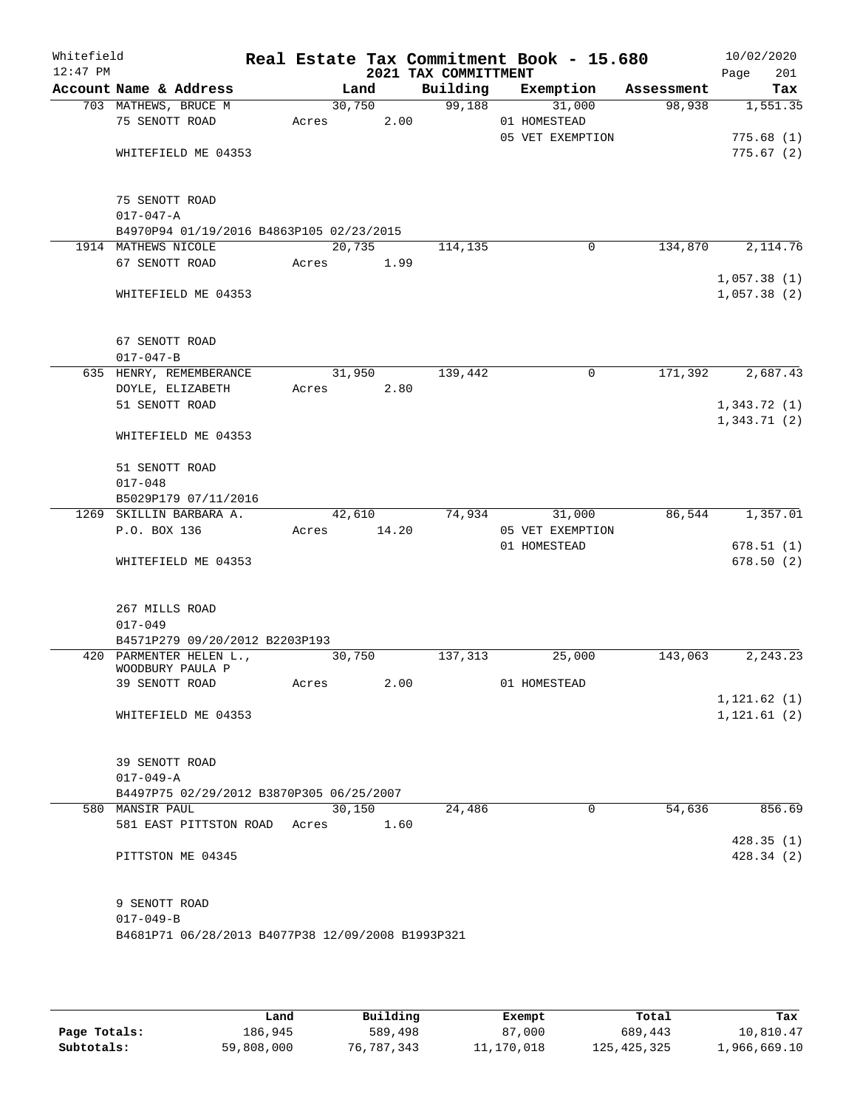| Whitefield<br>$12:47$ PM |                                                   |        |       | 2021 TAX COMMITTMENT | Real Estate Tax Commitment Book - 15.680 |            | 10/02/2020<br>201<br>Page  |
|--------------------------|---------------------------------------------------|--------|-------|----------------------|------------------------------------------|------------|----------------------------|
|                          | Account Name & Address                            |        | Land  | Building             | Exemption                                | Assessment | Tax                        |
|                          | 703 MATHEWS, BRUCE M                              | 30,750 |       | 99,188               | 31,000                                   | 98,938     | 1,551.35                   |
|                          | 75 SENOTT ROAD                                    | Acres  | 2.00  |                      | 01 HOMESTEAD                             |            |                            |
|                          |                                                   |        |       |                      | 05 VET EXEMPTION                         |            | 775.68(1)                  |
|                          | WHITEFIELD ME 04353                               |        |       |                      |                                          |            | 775.67(2)                  |
|                          |                                                   |        |       |                      |                                          |            |                            |
|                          |                                                   |        |       |                      |                                          |            |                            |
|                          | 75 SENOTT ROAD                                    |        |       |                      |                                          |            |                            |
|                          | $017 - 047 - A$                                   |        |       |                      |                                          |            |                            |
|                          | B4970P94 01/19/2016 B4863P105 02/23/2015          |        |       |                      |                                          |            |                            |
|                          | 1914 MATHEWS NICOLE                               | 20,735 |       | 114,135              | 0                                        | 134,870    | 2,114.76                   |
|                          | 67 SENOTT ROAD                                    | Acres  | 1.99  |                      |                                          |            |                            |
|                          |                                                   |        |       |                      |                                          |            | 1,057.38(1)                |
|                          | WHITEFIELD ME 04353                               |        |       |                      |                                          |            | 1,057.38(2)                |
|                          |                                                   |        |       |                      |                                          |            |                            |
|                          |                                                   |        |       |                      |                                          |            |                            |
|                          | 67 SENOTT ROAD<br>$017 - 047 - B$                 |        |       |                      |                                          |            |                            |
|                          |                                                   | 31,950 |       |                      | 0                                        |            | 2,687.43                   |
|                          | 635 HENRY, REMEMBERANCE                           |        |       | 139,442              |                                          | 171,392    |                            |
|                          | DOYLE, ELIZABETH<br>51 SENOTT ROAD                | Acres  | 2.80  |                      |                                          |            | 1,343.72(1)                |
|                          |                                                   |        |       |                      |                                          |            | 1,343.71(2)                |
|                          | WHITEFIELD ME 04353                               |        |       |                      |                                          |            |                            |
|                          |                                                   |        |       |                      |                                          |            |                            |
|                          | 51 SENOTT ROAD                                    |        |       |                      |                                          |            |                            |
|                          | $017 - 048$                                       |        |       |                      |                                          |            |                            |
|                          | B5029P179 07/11/2016                              |        |       |                      |                                          |            |                            |
| 1269                     | SKILLIN BARBARA A.                                | 42,610 |       | 74,934               | 31,000                                   | 86,544     | 1,357.01                   |
|                          | P.O. BOX 136                                      | Acres  | 14.20 |                      | 05 VET EXEMPTION                         |            |                            |
|                          |                                                   |        |       |                      | 01 HOMESTEAD                             |            | 678.51(1)                  |
|                          | WHITEFIELD ME 04353                               |        |       |                      |                                          |            | 678.50(2)                  |
|                          |                                                   |        |       |                      |                                          |            |                            |
|                          |                                                   |        |       |                      |                                          |            |                            |
|                          | 267 MILLS ROAD                                    |        |       |                      |                                          |            |                            |
|                          | $017 - 049$                                       |        |       |                      |                                          |            |                            |
|                          | B4571P279 09/20/2012 B2203P193                    |        |       |                      |                                          |            |                            |
|                          | 420 PARMENTER HELEN L.,                           | 30,750 |       | 137,313              | 25,000                                   | 143,063    | 2,243.23                   |
|                          | WOODBURY PAULA P                                  |        |       |                      |                                          |            |                            |
|                          | 39 SENOTT ROAD                                    | Acres  | 2.00  |                      | 01 HOMESTEAD                             |            |                            |
|                          | WHITEFIELD ME 04353                               |        |       |                      |                                          |            | 1,121.62(1)<br>1,121.61(2) |
|                          |                                                   |        |       |                      |                                          |            |                            |
|                          |                                                   |        |       |                      |                                          |            |                            |
|                          | 39 SENOTT ROAD                                    |        |       |                      |                                          |            |                            |
|                          | $017 - 049 - A$                                   |        |       |                      |                                          |            |                            |
|                          | B4497P75 02/29/2012 B3870P305 06/25/2007          |        |       |                      |                                          |            |                            |
|                          | 580 MANSIR PAUL                                   | 30,150 |       | 24,486               | $\Omega$                                 | 54,636     | 856.69                     |
|                          | 581 EAST PITTSTON ROAD Acres                      |        | 1.60  |                      |                                          |            |                            |
|                          |                                                   |        |       |                      |                                          |            | 428.35(1)                  |
|                          | PITTSTON ME 04345                                 |        |       |                      |                                          |            | 428.34(2)                  |
|                          |                                                   |        |       |                      |                                          |            |                            |
|                          |                                                   |        |       |                      |                                          |            |                            |
|                          | 9 SENOTT ROAD                                     |        |       |                      |                                          |            |                            |
|                          | $017 - 049 - B$                                   |        |       |                      |                                          |            |                            |
|                          | B4681P71 06/28/2013 B4077P38 12/09/2008 B1993P321 |        |       |                      |                                          |            |                            |
|                          |                                                   |        |       |                      |                                          |            |                            |

|              | Land       | Building   | Exempt     | Total         | Tax          |
|--------------|------------|------------|------------|---------------|--------------|
| Page Totals: | 186.945    | 589,498    | 87,000     | 689,443       | 10,810.47    |
| Subtotals:   | 59,808,000 | 76,787,343 | 11,170,018 | 125, 425, 325 | 1,966,669.10 |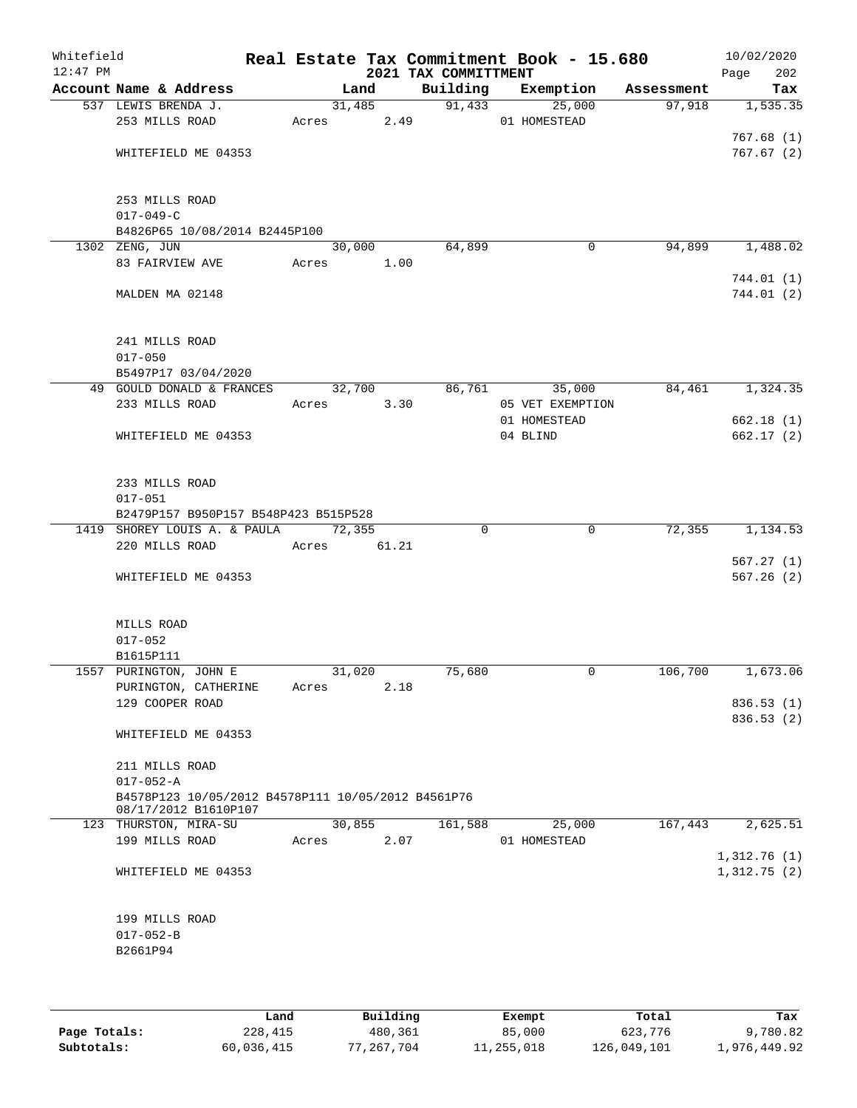| Whitefield<br>$12:47$ PM |                                                                            |       |        |      | 2021 TAX COMMITTMENT | Real Estate Tax Commitment Book - 15.680 |            | 10/02/2020<br>Page<br>202  |
|--------------------------|----------------------------------------------------------------------------|-------|--------|------|----------------------|------------------------------------------|------------|----------------------------|
|                          | Account Name & Address                                                     |       | Land   |      | Building             | Exemption                                | Assessment | Tax                        |
|                          | 537 LEWIS BRENDA J.<br>253 MILLS ROAD                                      |       | 31,485 |      | 91,433               | 25,000<br>01 HOMESTEAD                   | 97,918     | 1, 535.35                  |
|                          |                                                                            | Acres |        | 2.49 |                      |                                          |            | 767.68(1)                  |
|                          | WHITEFIELD ME 04353                                                        |       |        |      |                      |                                          |            | 767.67(2)                  |
|                          | 253 MILLS ROAD<br>$017 - 049 - C$                                          |       |        |      |                      |                                          |            |                            |
|                          | B4826P65 10/08/2014 B2445P100                                              |       |        |      |                      |                                          |            |                            |
|                          | 1302 ZENG, JUN                                                             |       | 30,000 |      | 64,899               | $\mathbf 0$                              | 94,899     | 1,488.02                   |
|                          | 83 FAIRVIEW AVE                                                            | Acres | 1.00   |      |                      |                                          |            |                            |
|                          | MALDEN MA 02148                                                            |       |        |      |                      |                                          |            | 744.01 (1)<br>744.01 (2)   |
|                          | 241 MILLS ROAD<br>$017 - 050$                                              |       |        |      |                      |                                          |            |                            |
|                          | B5497P17 03/04/2020                                                        |       |        |      |                      |                                          |            |                            |
|                          | 49 GOULD DONALD & FRANCES                                                  |       | 32,700 |      | 86,761               | 35,000                                   | 84,461     | 1,324.35                   |
|                          | 233 MILLS ROAD                                                             | Acres |        | 3.30 |                      | 05 VET EXEMPTION                         |            |                            |
|                          | WHITEFIELD ME 04353                                                        |       |        |      |                      | 01 HOMESTEAD<br>04 BLIND                 |            | 662.18 (1)<br>662.17(2)    |
|                          | 233 MILLS ROAD<br>$017 - 051$<br>B2479P157 B950P157 B548P423 B515P528      |       |        |      |                      |                                          |            |                            |
|                          | 1419 SHOREY LOUIS A. & PAULA                                               |       | 72,355 |      | $\Omega$             | $\mathbf 0$                              | 72,355     | 1,134.53                   |
|                          | 220 MILLS ROAD                                                             | Acres | 61.21  |      |                      |                                          |            |                            |
|                          | WHITEFIELD ME 04353                                                        |       |        |      |                      |                                          |            | 567.27(1)<br>567.26(2)     |
|                          | MILLS ROAD                                                                 |       |        |      |                      |                                          |            |                            |
|                          | $017 - 052$                                                                |       |        |      |                      |                                          |            |                            |
|                          | B1615P111                                                                  |       |        |      |                      |                                          |            |                            |
|                          | 1557 PURINGTON, JOHN E                                                     |       | 31,020 |      | 75,680               | 0                                        | 106,700    | 1,673.06                   |
|                          | PURINGTON, CATHERINE<br>129 COOPER ROAD                                    | Acres |        | 2.18 |                      |                                          |            | 836.53 (1)                 |
|                          | WHITEFIELD ME 04353                                                        |       |        |      |                      |                                          |            | 836.53(2)                  |
|                          | 211 MILLS ROAD                                                             |       |        |      |                      |                                          |            |                            |
|                          | $017 - 052 - A$                                                            |       |        |      |                      |                                          |            |                            |
|                          | B4578P123 10/05/2012 B4578P111 10/05/2012 B4561P76<br>08/17/2012 B1610P107 |       |        |      |                      |                                          |            |                            |
|                          | 123 THURSTON, MIRA-SU                                                      |       | 30,855 |      | 161,588              | 25,000                                   | 167,443    | 2,625.51                   |
|                          | 199 MILLS ROAD                                                             | Acres |        | 2.07 |                      | 01 HOMESTEAD                             |            |                            |
|                          | WHITEFIELD ME 04353                                                        |       |        |      |                      |                                          |            | 1,312.76(1)<br>1,312.75(2) |
|                          | 199 MILLS ROAD                                                             |       |        |      |                      |                                          |            |                            |
|                          | $017 - 052 - B$                                                            |       |        |      |                      |                                          |            |                            |
|                          | B2661P94                                                                   |       |        |      |                      |                                          |            |                            |
|                          |                                                                            |       |        |      |                      |                                          |            |                            |
|                          |                                                                            |       |        |      |                      |                                          |            |                            |
|                          |                                                                            |       |        |      |                      |                                          |            |                            |

|              | Land       | Building   | Exempt     | Total       | Tax          |
|--------------|------------|------------|------------|-------------|--------------|
| Page Totals: | 228,415    | 480,361    | 85,000     | 623,776     | 9,780.82     |
| Subtotals:   | 60,036,415 | 77.267.704 | 11,255,018 | 126,049,101 | 1,976,449.92 |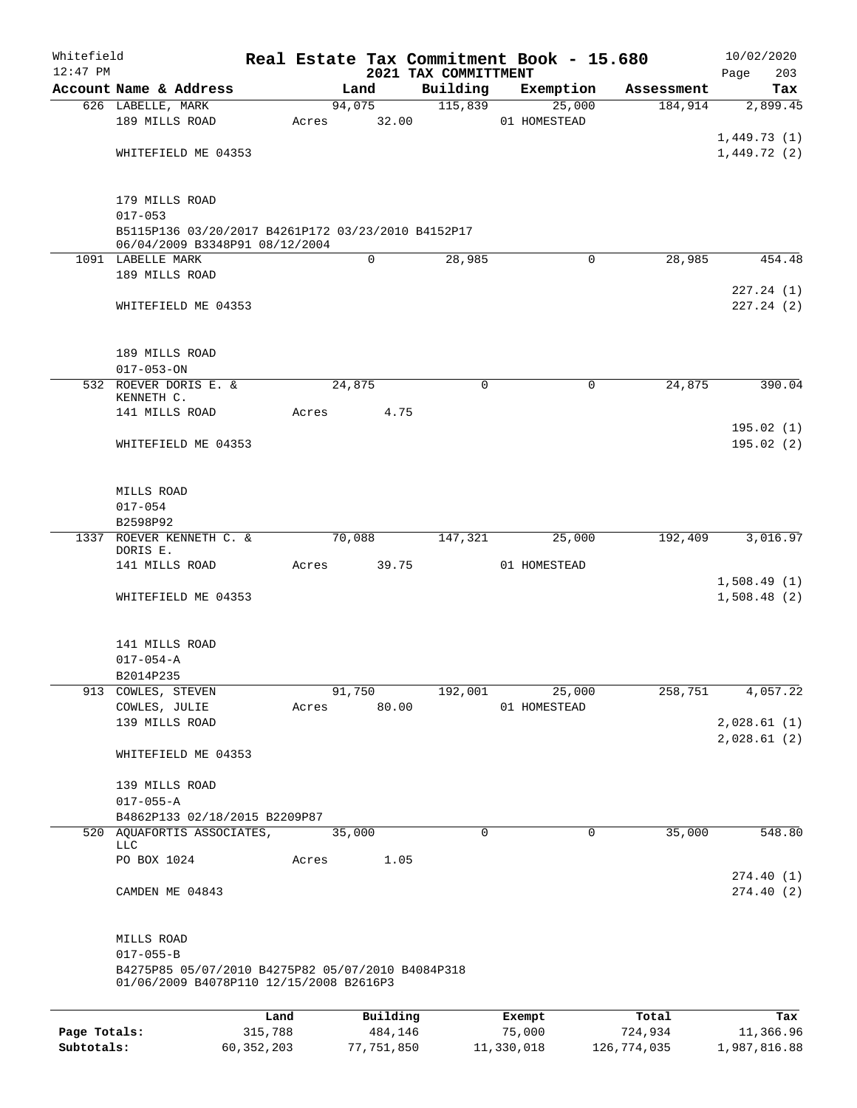| Whitefield<br>$12:47$ PM |                                                                                              |         |       |        |             | 2021 TAX COMMITTMENT |             | Real Estate Tax Commitment Book - 15.680 |            | 10/02/2020<br>203<br>Page  |
|--------------------------|----------------------------------------------------------------------------------------------|---------|-------|--------|-------------|----------------------|-------------|------------------------------------------|------------|----------------------------|
|                          | Account Name & Address                                                                       |         |       | Land   |             | Building             |             | Exemption                                | Assessment | Tax                        |
|                          | 626 LABELLE, MARK                                                                            |         |       | 94,075 |             | 115,839              |             | 25,000                                   | 184,914    | 2,899.45                   |
|                          | 189 MILLS ROAD                                                                               |         | Acres |        | 32.00       |                      |             | 01 HOMESTEAD                             |            |                            |
|                          |                                                                                              |         |       |        |             |                      |             |                                          |            | 1,449.73(1)                |
|                          | WHITEFIELD ME 04353                                                                          |         |       |        |             |                      |             |                                          |            | 1,449.72(2)                |
|                          |                                                                                              |         |       |        |             |                      |             |                                          |            |                            |
|                          | 179 MILLS ROAD                                                                               |         |       |        |             |                      |             |                                          |            |                            |
|                          | $017 - 053$                                                                                  |         |       |        |             |                      |             |                                          |            |                            |
|                          | B5115P136 03/20/2017 B4261P172 03/23/2010 B4152P17<br>06/04/2009 B3348P91 08/12/2004         |         |       |        |             |                      |             |                                          |            |                            |
|                          | 1091 LABELLE MARK                                                                            |         |       |        | $\mathbf 0$ | 28,985               |             | $\mathbf 0$                              | 28,985     | 454.48                     |
|                          | 189 MILLS ROAD                                                                               |         |       |        |             |                      |             |                                          |            |                            |
|                          |                                                                                              |         |       |        |             |                      |             |                                          |            | 227.24(1)                  |
|                          | WHITEFIELD ME 04353                                                                          |         |       |        |             |                      |             |                                          |            | 227.24(2)                  |
|                          |                                                                                              |         |       |        |             |                      |             |                                          |            |                            |
|                          |                                                                                              |         |       |        |             |                      |             |                                          |            |                            |
|                          | 189 MILLS ROAD                                                                               |         |       |        |             |                      |             |                                          |            |                            |
|                          | $017 - 053 - ON$                                                                             |         |       |        |             |                      |             |                                          |            |                            |
|                          | 532 ROEVER DORIS E. &                                                                        |         |       | 24,875 |             |                      | $\mathbf 0$ | $\mathbf 0$                              | 24,875     | 390.04                     |
|                          | KENNETH C.<br>141 MILLS ROAD                                                                 |         | Acres |        | 4.75        |                      |             |                                          |            |                            |
|                          |                                                                                              |         |       |        |             |                      |             |                                          |            | 195.02(1)                  |
|                          | WHITEFIELD ME 04353                                                                          |         |       |        |             |                      |             |                                          |            | 195.02(2)                  |
|                          |                                                                                              |         |       |        |             |                      |             |                                          |            |                            |
|                          |                                                                                              |         |       |        |             |                      |             |                                          |            |                            |
|                          | MILLS ROAD                                                                                   |         |       |        |             |                      |             |                                          |            |                            |
|                          | $017 - 054$                                                                                  |         |       |        |             |                      |             |                                          |            |                            |
|                          | B2598P92                                                                                     |         |       |        |             |                      |             |                                          |            |                            |
|                          | 1337 ROEVER KENNETH C. &                                                                     |         |       | 70,088 |             | 147,321              |             | 25,000                                   | 192,409    | 3,016.97                   |
|                          | DORIS E.                                                                                     |         |       |        |             |                      |             |                                          |            |                            |
|                          | 141 MILLS ROAD                                                                               |         | Acres |        | 39.75       |                      |             | 01 HOMESTEAD                             |            |                            |
|                          | WHITEFIELD ME 04353                                                                          |         |       |        |             |                      |             |                                          |            | 1,508.49(1)<br>1,508.48(2) |
|                          |                                                                                              |         |       |        |             |                      |             |                                          |            |                            |
|                          |                                                                                              |         |       |        |             |                      |             |                                          |            |                            |
|                          | 141 MILLS ROAD                                                                               |         |       |        |             |                      |             |                                          |            |                            |
|                          | $017 - 054 - A$                                                                              |         |       |        |             |                      |             |                                          |            |                            |
|                          | B2014P235                                                                                    |         |       |        |             |                      |             |                                          |            |                            |
|                          | 913 COWLES, STEVEN                                                                           |         |       | 91,750 |             | 192,001              |             | 25,000                                   | 258,751    | 4,057.22                   |
|                          | COWLES, JULIE                                                                                |         | Acres |        | 80.00       |                      |             | 01 HOMESTEAD                             |            |                            |
|                          | 139 MILLS ROAD                                                                               |         |       |        |             |                      |             |                                          |            | 2,028.61(1)                |
|                          |                                                                                              |         |       |        |             |                      |             |                                          |            | 2,028.61(2)                |
|                          | WHITEFIELD ME 04353                                                                          |         |       |        |             |                      |             |                                          |            |                            |
|                          |                                                                                              |         |       |        |             |                      |             |                                          |            |                            |
|                          | 139 MILLS ROAD<br>$017 - 055 - A$                                                            |         |       |        |             |                      |             |                                          |            |                            |
|                          | B4862P133 02/18/2015 B2209P87                                                                |         |       |        |             |                      |             |                                          |            |                            |
|                          | 520 AQUAFORTIS ASSOCIATES,                                                                   |         |       | 35,000 |             |                      | 0           | 0                                        | 35,000     | 548.80                     |
|                          | <b>LLC</b>                                                                                   |         |       |        |             |                      |             |                                          |            |                            |
|                          | PO BOX 1024                                                                                  |         | Acres |        | 1.05        |                      |             |                                          |            |                            |
|                          |                                                                                              |         |       |        |             |                      |             |                                          |            | 274.40(1)                  |
|                          | CAMDEN ME 04843                                                                              |         |       |        |             |                      |             |                                          |            | 274.40(2)                  |
|                          |                                                                                              |         |       |        |             |                      |             |                                          |            |                            |
|                          | MILLS ROAD                                                                                   |         |       |        |             |                      |             |                                          |            |                            |
|                          | $017 - 055 - B$                                                                              |         |       |        |             |                      |             |                                          |            |                            |
|                          | B4275P85 05/07/2010 B4275P82 05/07/2010 B4084P318<br>01/06/2009 B4078P110 12/15/2008 B2616P3 |         |       |        |             |                      |             |                                          |            |                            |
|                          |                                                                                              |         |       |        |             |                      |             |                                          |            |                            |
|                          |                                                                                              | Land    |       |        | Building    |                      |             | Exempt                                   | Total      | Tax                        |
| Page Totals:             |                                                                                              | 315,788 |       |        | 484,146     |                      |             | 75,000                                   | 724,934    | 11,366.96                  |

**Subtotals:** 60,352,203 77,751,850 11,330,018 126,774,035 1,987,816.88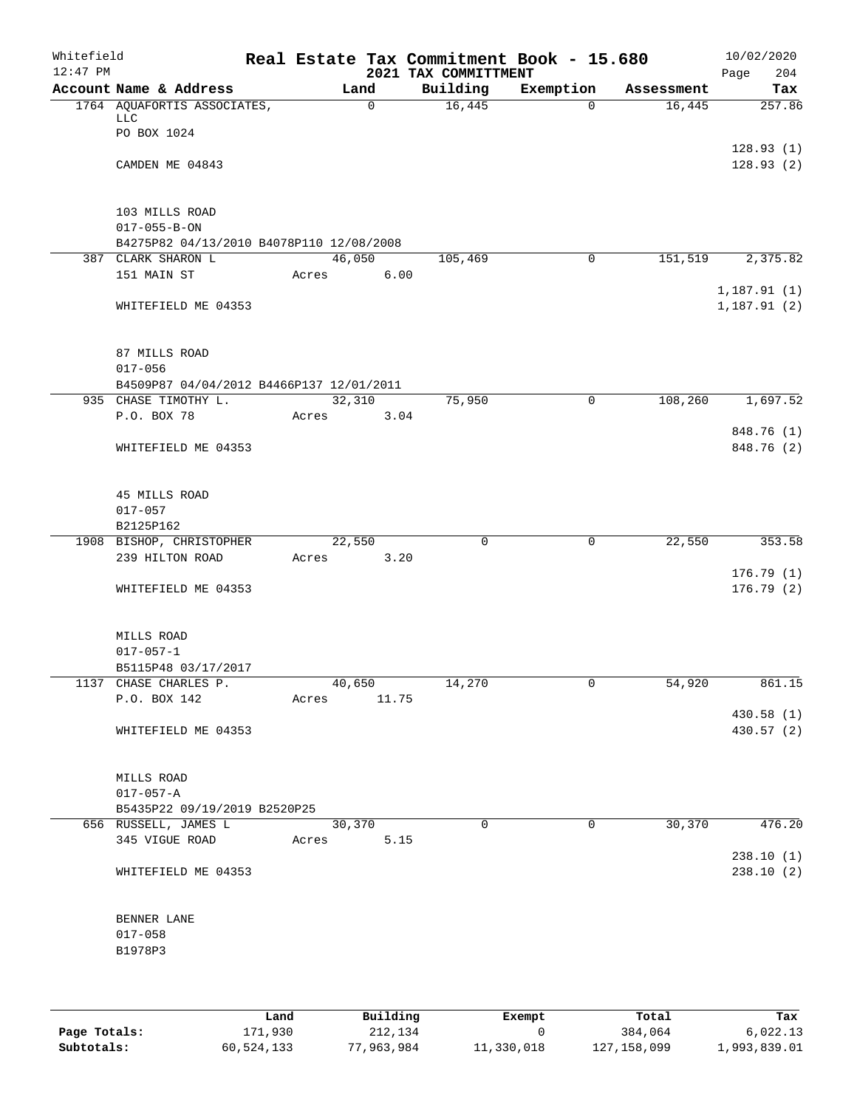| Whitefield<br>$12:47$ PM |                                                                                    |       |              |      | Real Estate Tax Commitment Book - 15.680<br>2021 TAX COMMITTMENT |              |            | 10/02/2020<br>Page<br>204  |
|--------------------------|------------------------------------------------------------------------------------|-------|--------------|------|------------------------------------------------------------------|--------------|------------|----------------------------|
|                          | Account Name & Address                                                             |       | Land         |      | Building                                                         | Exemption    | Assessment | Tax                        |
|                          | 1764 AQUAFORTIS ASSOCIATES,<br><b>LLC</b><br>PO BOX 1024                           |       | $\mathsf{O}$ |      | 16,445                                                           | $\Omega$     | 16,445     | 257.86                     |
|                          | CAMDEN ME 04843                                                                    |       |              |      |                                                                  |              |            | 128.93(1)<br>128.93(2)     |
|                          | 103 MILLS ROAD<br>$017 - 055 - B - ON$<br>B4275P82 04/13/2010 B4078P110 12/08/2008 |       |              |      |                                                                  |              |            |                            |
|                          | 387 CLARK SHARON L                                                                 |       | 46,050       |      | 105,469                                                          | 0            | 151,519    | 2,375.82                   |
|                          | 151 MAIN ST                                                                        | Acres |              | 6.00 |                                                                  |              |            |                            |
|                          | WHITEFIELD ME 04353                                                                |       |              |      |                                                                  |              |            | 1,187.91(1)<br>1,187.91(2) |
|                          | 87 MILLS ROAD<br>$017 - 056$                                                       |       |              |      |                                                                  |              |            |                            |
|                          | B4509P87 04/04/2012 B4466P137 12/01/2011                                           |       |              |      |                                                                  |              |            |                            |
|                          | 935 CHASE TIMOTHY L.                                                               |       | 32,310       |      | 75,950                                                           | $\mathbf 0$  | 108,260    | 1,697.52                   |
|                          | P.O. BOX 78                                                                        | Acres |              | 3.04 |                                                                  |              |            |                            |
|                          | WHITEFIELD ME 04353                                                                |       |              |      |                                                                  |              |            | 848.76 (1)<br>848.76 (2)   |
|                          | 45 MILLS ROAD<br>$017 - 057$                                                       |       |              |      |                                                                  |              |            |                            |
|                          | B2125P162                                                                          |       |              |      |                                                                  |              |            |                            |
|                          | 1908 BISHOP, CHRISTOPHER                                                           |       | 22,550       |      | 0                                                                | $\mathbf 0$  | 22,550     | 353.58                     |
|                          | 239 HILTON ROAD                                                                    | Acres |              | 3.20 |                                                                  |              |            |                            |
|                          | WHITEFIELD ME 04353                                                                |       |              |      |                                                                  |              |            | 176.79(1)<br>176.79(2)     |
|                          | MILLS ROAD<br>$017 - 057 - 1$                                                      |       |              |      |                                                                  |              |            |                            |
|                          | B5115P48 03/17/2017                                                                |       |              |      |                                                                  |              |            |                            |
|                          | 1137 CHASE CHARLES P.                                                              |       | 40,650       |      | 14,270                                                           | $\mathsf{O}$ | 54,920     | 861.15                     |
|                          | P.O. BOX 142                                                                       |       | Acres 11.75  |      |                                                                  |              |            |                            |
|                          | WHITEFIELD ME 04353                                                                |       |              |      |                                                                  |              |            | 430.58 (1)<br>430.57(2)    |
|                          | MILLS ROAD<br>$017 - 057 - A$                                                      |       |              |      |                                                                  |              |            |                            |
|                          | B5435P22 09/19/2019 B2520P25                                                       |       |              |      |                                                                  |              |            |                            |
|                          | 656 RUSSELL, JAMES L                                                               |       | 30,370       |      | $\Omega$                                                         | $\Omega$     | 30,370     | 476.20                     |
|                          | 345 VIGUE ROAD Acres                                                               |       |              | 5.15 |                                                                  |              |            |                            |
|                          | WHITEFIELD ME 04353                                                                |       |              |      |                                                                  |              |            | 238.10(1)<br>238.10(2)     |
|                          | BENNER LANE<br>$017 - 058$<br>B1978P3                                              |       |              |      |                                                                  |              |            |                            |
|                          |                                                                                    |       |              |      |                                                                  |              |            |                            |

|              | Land       | Building   | Exempt     | Total         | Tax          |
|--------------|------------|------------|------------|---------------|--------------|
| Page Totals: | 171,930    | 212,134    |            | 384,064       | 6.022.13     |
| Subtotals:   | 60,524,133 | 77,963,984 | 11,330,018 | 127, 158, 099 | 1,993,839.01 |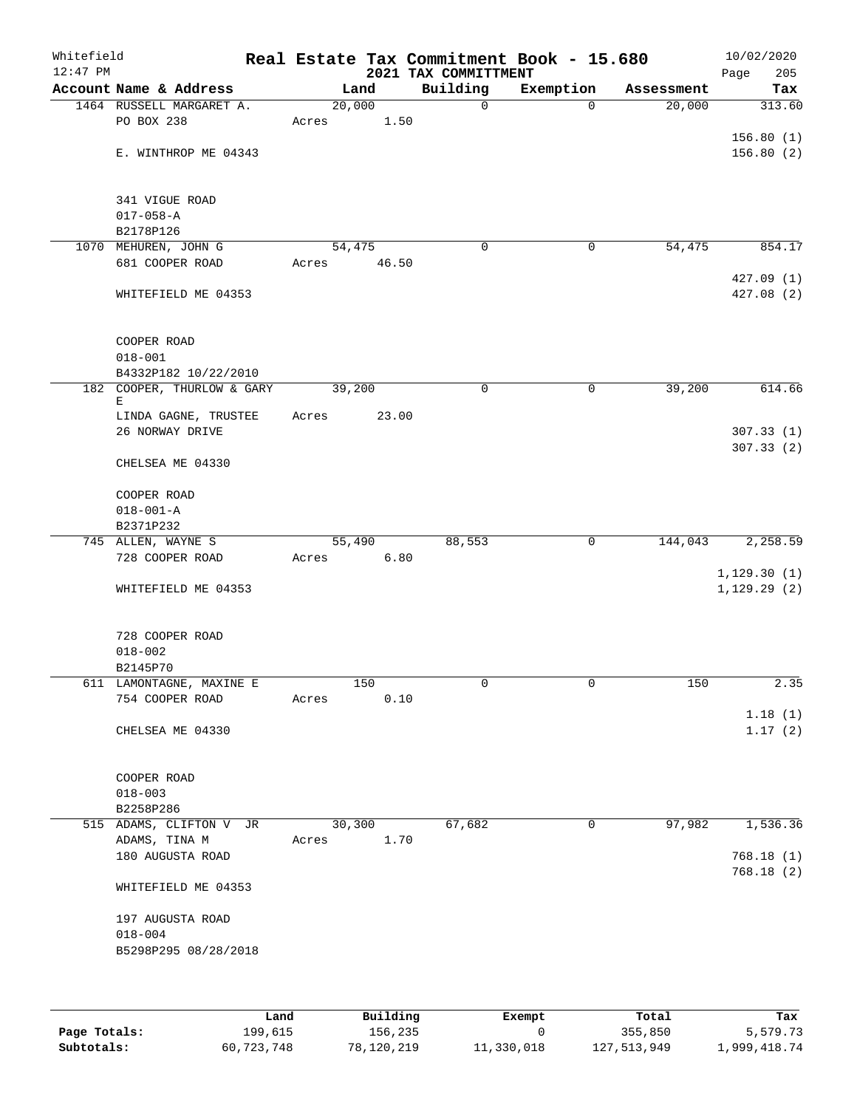| Whitefield<br>$12:47$ PM |                                        |                 |       | Real Estate Tax Commitment Book - 15.680<br>2021 TAX COMMITTMENT |             |            | 10/02/2020<br>Page<br>205 |
|--------------------------|----------------------------------------|-----------------|-------|------------------------------------------------------------------|-------------|------------|---------------------------|
|                          | Account Name & Address                 |                 | Land  | Building                                                         | Exemption   | Assessment | Tax                       |
|                          | 1464 RUSSELL MARGARET A.<br>PO BOX 238 | 20,000<br>Acres | 1.50  | $\mathbf 0$                                                      | $\Omega$    | 20,000     | 313.60                    |
|                          | E. WINTHROP ME 04343                   |                 |       |                                                                  |             |            | 156.80(1)<br>156.80(2)    |
|                          | 341 VIGUE ROAD<br>$017 - 058 - A$      |                 |       |                                                                  |             |            |                           |
|                          | B2178P126                              |                 |       |                                                                  |             |            |                           |
|                          | 1070 MEHUREN, JOHN G                   | 54,475          |       | $\mathbf 0$                                                      | 0           | 54,475     | 854.17                    |
|                          | 681 COOPER ROAD                        | Acres           | 46.50 |                                                                  |             |            |                           |
|                          | WHITEFIELD ME 04353                    |                 |       |                                                                  |             |            | 427.09(1)<br>427.08 (2)   |
|                          | COOPER ROAD<br>$018 - 001$             |                 |       |                                                                  |             |            |                           |
|                          | B4332P182 10/22/2010                   |                 |       |                                                                  |             |            |                           |
|                          | 182 COOPER, THURLOW & GARY             | 39,200          |       | 0                                                                | 0           | 39,200     | 614.66                    |
|                          | Е<br>LINDA GAGNE, TRUSTEE              |                 |       |                                                                  |             |            |                           |
|                          | 26 NORWAY DRIVE                        | Acres           | 23.00 |                                                                  |             |            | 307.33(1)<br>307.33(2)    |
|                          | CHELSEA ME 04330                       |                 |       |                                                                  |             |            |                           |
|                          | COOPER ROAD                            |                 |       |                                                                  |             |            |                           |
|                          | $018 - 001 - A$                        |                 |       |                                                                  |             |            |                           |
|                          | B2371P232                              |                 |       |                                                                  |             |            |                           |
|                          | 745 ALLEN, WAYNE S                     | 55,490          |       | 88,553                                                           | 0           | 144,043    | 2,258.59                  |
|                          | 728 COOPER ROAD                        | Acres           | 6.80  |                                                                  |             |            | 1, 129.30(1)              |
|                          | WHITEFIELD ME 04353                    |                 |       |                                                                  |             |            | 1, 129.29(2)              |
|                          | 728 COOPER ROAD                        |                 |       |                                                                  |             |            |                           |
|                          | $018 - 002$<br>B2145P70                |                 |       |                                                                  |             |            |                           |
|                          | 611 LAMONTAGNE, MAXINE E               |                 | 150   | 0                                                                | 0           | 150        | 2.35                      |
|                          | 754 COOPER ROAD                        | Acres           | 0.10  |                                                                  |             |            |                           |
|                          | CHELSEA ME 04330                       |                 |       |                                                                  |             |            | 1.18(1)<br>1.17(2)        |
|                          |                                        |                 |       |                                                                  |             |            |                           |
|                          | COOPER ROAD                            |                 |       |                                                                  |             |            |                           |
|                          | $018 - 003$<br>B2258P286               |                 |       |                                                                  |             |            |                           |
|                          | 515 ADAMS, CLIFTON V JR                | 30,300          |       | 67,682                                                           | $\mathbf 0$ | 97,982     | 1,536.36                  |
|                          | ADAMS, TINA M                          | Acres           | 1.70  |                                                                  |             |            |                           |
|                          | 180 AUGUSTA ROAD                       |                 |       |                                                                  |             |            | 768.18 (1)                |
|                          | WHITEFIELD ME 04353                    |                 |       |                                                                  |             |            | 768.18(2)                 |
|                          | 197 AUGUSTA ROAD<br>$018 - 004$        |                 |       |                                                                  |             |            |                           |
|                          | B5298P295 08/28/2018                   |                 |       |                                                                  |             |            |                           |
|                          |                                        |                 |       |                                                                  |             |            |                           |

|              | Land       | Building   | Exempt     | Total       | Tax          |
|--------------|------------|------------|------------|-------------|--------------|
| Page Totals: | 199,615    | 156,235    |            | 355,850     | 5,579.73     |
| Subtotals:   | 60,723,748 | 78,120,219 | 11,330,018 | 127,513,949 | 1,999,418.74 |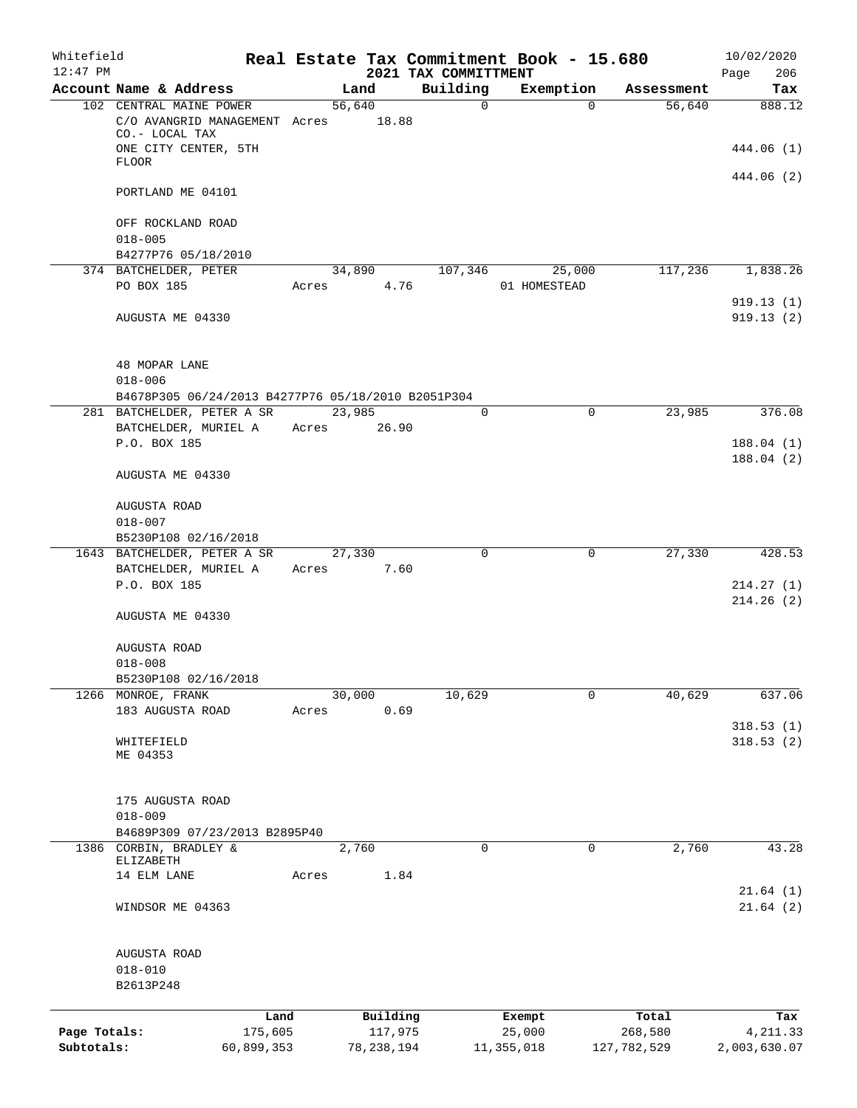| Whitefield<br>$12:47$ PM |                                                                   |            |                     | 2021 TAX COMMITTMENT | Real Estate Tax Commitment Book - 15.680 |             | 10/02/2020<br>206<br>Page |
|--------------------------|-------------------------------------------------------------------|------------|---------------------|----------------------|------------------------------------------|-------------|---------------------------|
|                          | Account Name & Address                                            |            | Land                | Building             | Exemption                                | Assessment  | Tax                       |
|                          | 102 CENTRAL MAINE POWER<br>C/O AVANGRID MANAGEMENT Acres          |            | 56,640<br>18.88     | $\mathbf 0$          | $\Omega$                                 | 56,640      | 888.12                    |
|                          | CO.- LOCAL TAX<br>ONE CITY CENTER, 5TH                            |            |                     |                      |                                          |             | 444.06 (1)                |
|                          | <b>FLOOR</b>                                                      |            |                     |                      |                                          |             | 444.06 (2)                |
|                          | PORTLAND ME 04101                                                 |            |                     |                      |                                          |             |                           |
|                          | OFF ROCKLAND ROAD<br>$018 - 005$<br>B4277P76 05/18/2010           |            |                     |                      |                                          |             |                           |
|                          | 374 BATCHELDER, PETER                                             |            | 34,890              | 107,346              | 25,000                                   | 117,236     | 1,838.26                  |
|                          | PO BOX 185                                                        | Acres      | 4.76                |                      | 01 HOMESTEAD                             |             | 919.13(1)                 |
|                          | AUGUSTA ME 04330                                                  |            |                     |                      |                                          |             | 919.13(2)                 |
|                          | 48 MOPAR LANE                                                     |            |                     |                      |                                          |             |                           |
|                          | $018 - 006$<br>B4678P305 06/24/2013 B4277P76 05/18/2010 B2051P304 |            |                     |                      |                                          |             |                           |
|                          | 281 BATCHELDER, PETER A SR                                        |            | $\overline{23,985}$ | 0                    | 0                                        | 23,985      | 376.08                    |
|                          | BATCHELDER, MURIEL A                                              | Acres      | 26.90               |                      |                                          |             |                           |
|                          | P.O. BOX 185                                                      |            |                     |                      |                                          |             | 188.04(1)<br>188.04(2)    |
|                          | AUGUSTA ME 04330                                                  |            |                     |                      |                                          |             |                           |
|                          | AUGUSTA ROAD                                                      |            |                     |                      |                                          |             |                           |
|                          | $018 - 007$                                                       |            |                     |                      |                                          |             |                           |
|                          | B5230P108 02/16/2018                                              |            |                     |                      |                                          |             |                           |
|                          | 1643 BATCHELDER, PETER A SR<br>BATCHELDER, MURIEL A               | Acres 7.60 | 27,330              | $\mathbf 0$          | 0                                        | 27,330      | 428.53                    |
|                          | P.O. BOX 185                                                      |            |                     |                      |                                          |             | 214.27(1)<br>214.26(2)    |
|                          | AUGUSTA ME 04330                                                  |            |                     |                      |                                          |             |                           |
|                          | AUGUSTA ROAD                                                      |            |                     |                      |                                          |             |                           |
|                          | $018 - 008$                                                       |            |                     |                      |                                          |             |                           |
|                          | B5230P108 02/16/2018<br>1266 MONROE, FRANK                        |            | 30,000              | 10,629               | 0                                        | 40,629      | 637.06                    |
|                          | 183 AUGUSTA ROAD                                                  | Acres      | 0.69                |                      |                                          |             |                           |
|                          |                                                                   |            |                     |                      |                                          |             | 318.53(1)                 |
|                          | WHITEFIELD<br>ME 04353                                            |            |                     |                      |                                          |             | 318.53(2)                 |
|                          | 175 AUGUSTA ROAD                                                  |            |                     |                      |                                          |             |                           |
|                          | $018 - 009$                                                       |            |                     |                      |                                          |             |                           |
|                          | B4689P309 07/23/2013 B2895P40                                     |            |                     |                      |                                          |             |                           |
| 1386                     | CORBIN, BRADLEY &<br>ELIZABETH                                    |            | 2,760               | 0                    | 0                                        | 2,760       | 43.28                     |
|                          | 14 ELM LANE                                                       | Acres      | 1.84                |                      |                                          |             |                           |
|                          | WINDSOR ME 04363                                                  |            |                     |                      |                                          |             | 21.64(1)<br>21.64(2)      |
|                          | AUGUSTA ROAD                                                      |            |                     |                      |                                          |             |                           |
|                          | $018 - 010$                                                       |            |                     |                      |                                          |             |                           |
|                          | B2613P248                                                         |            |                     |                      |                                          |             |                           |
|                          |                                                                   | Land       | Building            |                      | Exempt                                   | Total       | Tax                       |
| Page Totals:             |                                                                   | 175,605    | 117,975             |                      | 25,000                                   | 268,580     | 4, 211.33                 |
| Subtotals:               | 60,899,353                                                        |            | 78, 238, 194        |                      | 11,355,018                               | 127,782,529 | 2,003,630.07              |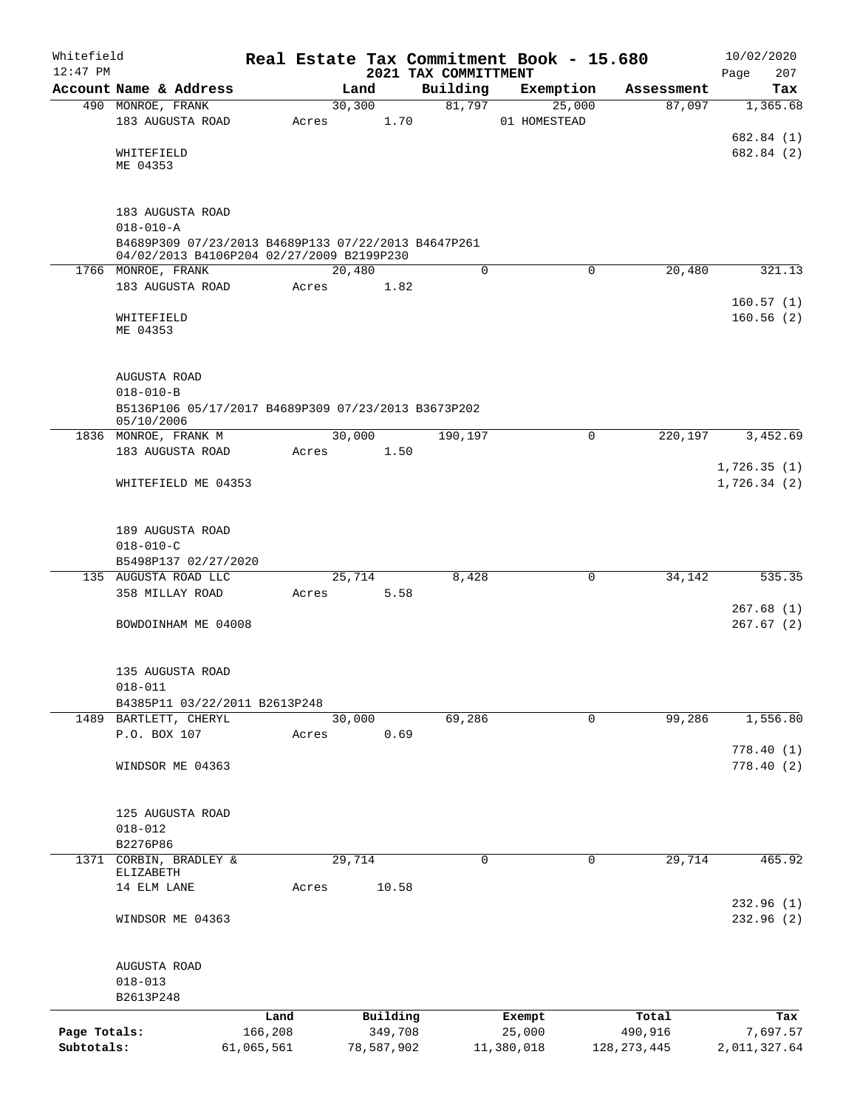| Whitefield<br>$12:47$ PM |                                                                                                  |                 |       |         |                     | 2021 TAX COMMITTMENT | Real Estate Tax Commitment Book - 15.680 |             |                  | 10/02/2020<br>207<br>Page |
|--------------------------|--------------------------------------------------------------------------------------------------|-----------------|-------|---------|---------------------|----------------------|------------------------------------------|-------------|------------------|---------------------------|
|                          | Account Name & Address                                                                           |                 |       | Land    |                     | Building             | Exemption                                |             | Assessment       | Tax                       |
|                          | 490 MONROE, FRANK                                                                                |                 |       | 30, 300 |                     | 81,797               | 25,000                                   |             | 87,097           | 1,365.68                  |
|                          | 183 AUGUSTA ROAD                                                                                 |                 | Acres |         | 1.70                |                      | 01 HOMESTEAD                             |             |                  |                           |
|                          |                                                                                                  |                 |       |         |                     |                      |                                          |             |                  | 682.84 (1)                |
|                          | WHITEFIELD<br>ME 04353                                                                           |                 |       |         |                     |                      |                                          |             |                  | 682.84 (2)                |
|                          |                                                                                                  |                 |       |         |                     |                      |                                          |             |                  |                           |
|                          |                                                                                                  |                 |       |         |                     |                      |                                          |             |                  |                           |
|                          | 183 AUGUSTA ROAD                                                                                 |                 |       |         |                     |                      |                                          |             |                  |                           |
|                          | $018 - 010 - A$                                                                                  |                 |       |         |                     |                      |                                          |             |                  |                           |
|                          | B4689P309 07/23/2013 B4689P133 07/22/2013 B4647P261<br>04/02/2013 B4106P204 02/27/2009 B2199P230 |                 |       |         |                     |                      |                                          |             |                  |                           |
|                          | 1766 MONROE, FRANK                                                                               |                 |       | 20,480  |                     | 0                    |                                          | $\mathbf 0$ | 20,480           | 321.13                    |
|                          | 183 AUGUSTA ROAD                                                                                 |                 | Acres |         | 1.82                |                      |                                          |             |                  |                           |
|                          |                                                                                                  |                 |       |         |                     |                      |                                          |             |                  | 160.57(1)                 |
|                          | WHITEFIELD                                                                                       |                 |       |         |                     |                      |                                          |             |                  | 160.56(2)                 |
|                          | ME 04353                                                                                         |                 |       |         |                     |                      |                                          |             |                  |                           |
|                          |                                                                                                  |                 |       |         |                     |                      |                                          |             |                  |                           |
|                          | AUGUSTA ROAD                                                                                     |                 |       |         |                     |                      |                                          |             |                  |                           |
|                          | $018 - 010 - B$                                                                                  |                 |       |         |                     |                      |                                          |             |                  |                           |
|                          | B5136P106 05/17/2017 B4689P309 07/23/2013 B3673P202                                              |                 |       |         |                     |                      |                                          |             |                  |                           |
|                          | 05/10/2006<br>1836 MONROE, FRANK M                                                               |                 |       | 30,000  |                     | 190,197              |                                          | 0           | 220,197          | 3,452.69                  |
|                          | 183 AUGUSTA ROAD                                                                                 |                 | Acres |         | 1.50                |                      |                                          |             |                  |                           |
|                          |                                                                                                  |                 |       |         |                     |                      |                                          |             |                  | 1,726.35(1)               |
|                          | WHITEFIELD ME 04353                                                                              |                 |       |         |                     |                      |                                          |             |                  | 1,726.34(2)               |
|                          |                                                                                                  |                 |       |         |                     |                      |                                          |             |                  |                           |
|                          |                                                                                                  |                 |       |         |                     |                      |                                          |             |                  |                           |
|                          | 189 AUGUSTA ROAD                                                                                 |                 |       |         |                     |                      |                                          |             |                  |                           |
|                          | $018 - 010 - C$                                                                                  |                 |       |         |                     |                      |                                          |             |                  |                           |
|                          | B5498P137 02/27/2020<br>135 AUGUSTA ROAD LLC                                                     |                 |       | 25,714  |                     | 8,428                |                                          | 0           | 34, 142          | 535.35                    |
|                          | 358 MILLAY ROAD                                                                                  |                 | Acres |         | 5.58                |                      |                                          |             |                  |                           |
|                          |                                                                                                  |                 |       |         |                     |                      |                                          |             |                  | 267.68(1)                 |
|                          | BOWDOINHAM ME 04008                                                                              |                 |       |         |                     |                      |                                          |             |                  | 267.67(2)                 |
|                          |                                                                                                  |                 |       |         |                     |                      |                                          |             |                  |                           |
|                          |                                                                                                  |                 |       |         |                     |                      |                                          |             |                  |                           |
|                          | 135 AUGUSTA ROAD<br>$018 - 011$                                                                  |                 |       |         |                     |                      |                                          |             |                  |                           |
|                          | B4385P11 03/22/2011 B2613P248                                                                    |                 |       |         |                     |                      |                                          |             |                  |                           |
|                          | 1489 BARTLETT, CHERYL                                                                            |                 |       | 30,000  |                     | 69,286               |                                          | $\mathbf 0$ | 99,286           | 1,556.80                  |
|                          | P.O. BOX 107                                                                                     |                 | Acres |         | 0.69                |                      |                                          |             |                  |                           |
|                          |                                                                                                  |                 |       |         |                     |                      |                                          |             |                  | 778.40(1)                 |
|                          | WINDSOR ME 04363                                                                                 |                 |       |         |                     |                      |                                          |             |                  | 778.40(2)                 |
|                          |                                                                                                  |                 |       |         |                     |                      |                                          |             |                  |                           |
|                          | 125 AUGUSTA ROAD                                                                                 |                 |       |         |                     |                      |                                          |             |                  |                           |
|                          | $018 - 012$                                                                                      |                 |       |         |                     |                      |                                          |             |                  |                           |
|                          | B2276P86                                                                                         |                 |       |         |                     |                      |                                          |             |                  |                           |
| 1371                     | CORBIN, BRADLEY &                                                                                |                 |       | 29,714  |                     | $\mathbf 0$          |                                          | $\mathbf 0$ | 29,714           | 465.92                    |
|                          | ELIZABETH<br>14 ELM LANE                                                                         |                 | Acres |         | 10.58               |                      |                                          |             |                  |                           |
|                          |                                                                                                  |                 |       |         |                     |                      |                                          |             |                  | 232.96(1)                 |
|                          | WINDSOR ME 04363                                                                                 |                 |       |         |                     |                      |                                          |             |                  | 232.96 (2)                |
|                          |                                                                                                  |                 |       |         |                     |                      |                                          |             |                  |                           |
|                          |                                                                                                  |                 |       |         |                     |                      |                                          |             |                  |                           |
|                          | AUGUSTA ROAD                                                                                     |                 |       |         |                     |                      |                                          |             |                  |                           |
|                          | $018 - 013$                                                                                      |                 |       |         |                     |                      |                                          |             |                  |                           |
|                          | B2613P248                                                                                        |                 |       |         |                     |                      |                                          |             |                  |                           |
| Page Totals:             |                                                                                                  | Land<br>166,208 |       |         | Building<br>349,708 |                      | Exempt<br>25,000                         |             | Total<br>490,916 | Tax<br>7,697.57           |
| Subtotals:               |                                                                                                  | 61,065,561      |       |         | 78,587,902          |                      | 11,380,018                               |             | 128, 273, 445    | 2,011,327.64              |
|                          |                                                                                                  |                 |       |         |                     |                      |                                          |             |                  |                           |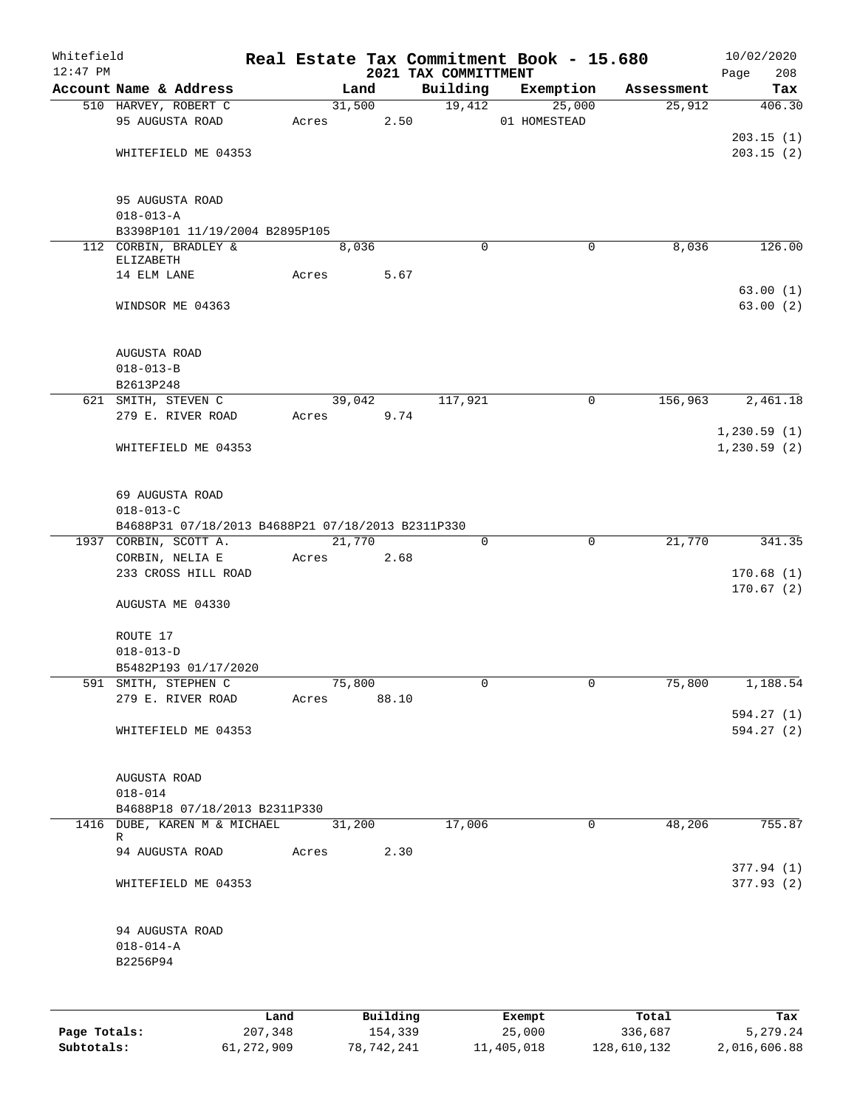| Whitefield<br>$12:47$ PM |                                                   |         |       |        |          | 2021 TAX COMMITTMENT | Real Estate Tax Commitment Book - 15.680 |             |            | 10/02/2020   |            |
|--------------------------|---------------------------------------------------|---------|-------|--------|----------|----------------------|------------------------------------------|-------------|------------|--------------|------------|
|                          | Account Name & Address                            |         |       | Land   |          | Building             | Exemption                                |             | Assessment | Page         | 208<br>Tax |
|                          | 510 HARVEY, ROBERT C                              |         |       | 31,500 |          | 19,412               | 25,000                                   |             | 25,912     |              | 406.30     |
|                          | 95 AUGUSTA ROAD                                   |         | Acres |        | 2.50     |                      | 01 HOMESTEAD                             |             |            |              |            |
|                          |                                                   |         |       |        |          |                      |                                          |             |            | 203.15(1)    |            |
|                          | WHITEFIELD ME 04353                               |         |       |        |          |                      |                                          |             |            | 203.15(2)    |            |
|                          |                                                   |         |       |        |          |                      |                                          |             |            |              |            |
|                          | 95 AUGUSTA ROAD                                   |         |       |        |          |                      |                                          |             |            |              |            |
|                          | $018 - 013 - A$                                   |         |       |        |          |                      |                                          |             |            |              |            |
|                          | B3398P101 11/19/2004 B2895P105                    |         |       |        |          |                      |                                          |             |            |              |            |
|                          | 112 CORBIN, BRADLEY &<br>ELIZABETH                |         |       | 8,036  |          | $\Omega$             |                                          | 0           | 8,036      |              | 126.00     |
|                          | 14 ELM LANE                                       |         | Acres |        | 5.67     |                      |                                          |             |            |              |            |
|                          |                                                   |         |       |        |          |                      |                                          |             |            | 63.00(1)     |            |
|                          | WINDSOR ME 04363                                  |         |       |        |          |                      |                                          |             |            | 63.00(2)     |            |
|                          |                                                   |         |       |        |          |                      |                                          |             |            |              |            |
|                          | AUGUSTA ROAD                                      |         |       |        |          |                      |                                          |             |            |              |            |
|                          | $018 - 013 - B$                                   |         |       |        |          |                      |                                          |             |            |              |            |
|                          | B2613P248<br>621 SMITH, STEVEN C                  |         |       | 39,042 |          | 117,921              |                                          | 0           | 156,963    | 2,461.18     |            |
|                          | 279 E. RIVER ROAD                                 |         | Acres |        | 9.74     |                      |                                          |             |            |              |            |
|                          |                                                   |         |       |        |          |                      |                                          |             |            | 1, 230.59(1) |            |
|                          | WHITEFIELD ME 04353                               |         |       |        |          |                      |                                          |             |            | 1, 230.59(2) |            |
|                          |                                                   |         |       |        |          |                      |                                          |             |            |              |            |
|                          |                                                   |         |       |        |          |                      |                                          |             |            |              |            |
|                          | 69 AUGUSTA ROAD<br>$018 - 013 - C$                |         |       |        |          |                      |                                          |             |            |              |            |
|                          | B4688P31 07/18/2013 B4688P21 07/18/2013 B2311P330 |         |       |        |          |                      |                                          |             |            |              |            |
|                          | 1937 CORBIN, SCOTT A.                             |         |       | 21,770 |          | 0                    |                                          | $\mathbf 0$ | 21,770     |              | 341.35     |
|                          | CORBIN, NELIA E                                   |         | Acres |        | 2.68     |                      |                                          |             |            |              |            |
|                          | 233 CROSS HILL ROAD                               |         |       |        |          |                      |                                          |             |            | 170.68(1)    |            |
|                          | AUGUSTA ME 04330                                  |         |       |        |          |                      |                                          |             |            | 170.67(2)    |            |
|                          |                                                   |         |       |        |          |                      |                                          |             |            |              |            |
|                          | ROUTE 17                                          |         |       |        |          |                      |                                          |             |            |              |            |
|                          | $018 - 013 - D$                                   |         |       |        |          |                      |                                          |             |            |              |            |
|                          | B5482P193 01/17/2020                              |         |       |        |          |                      |                                          |             |            |              |            |
|                          | 591 SMITH, STEPHEN C                              |         |       | 75,800 |          | 0                    |                                          | 0           | 75,800     | 1,188.54     |            |
|                          | 279 E. RIVER ROAD                                 |         | Acres |        | 88.10    |                      |                                          |             |            |              |            |
|                          |                                                   |         |       |        |          |                      |                                          |             |            | 594.27(1)    |            |
|                          | WHITEFIELD ME 04353                               |         |       |        |          |                      |                                          |             |            | 594.27 (2)   |            |
|                          |                                                   |         |       |        |          |                      |                                          |             |            |              |            |
|                          | AUGUSTA ROAD<br>$018 - 014$                       |         |       |        |          |                      |                                          |             |            |              |            |
|                          | B4688P18 07/18/2013 B2311P330                     |         |       |        |          |                      |                                          |             |            |              |            |
|                          | 1416 DUBE, KAREN M & MICHAEL                      |         |       | 31,200 |          | 17,006               |                                          | 0           | 48,206     |              | 755.87     |
|                          | R                                                 |         |       |        |          |                      |                                          |             |            |              |            |
|                          | 94 AUGUSTA ROAD                                   |         | Acres |        | 2.30     |                      |                                          |             |            | 377.94(1)    |            |
|                          | WHITEFIELD ME 04353                               |         |       |        |          |                      |                                          |             |            | 377.93(2)    |            |
|                          |                                                   |         |       |        |          |                      |                                          |             |            |              |            |
|                          | 94 AUGUSTA ROAD                                   |         |       |        |          |                      |                                          |             |            |              |            |
|                          | $018 - 014 - A$                                   |         |       |        |          |                      |                                          |             |            |              |            |
|                          | B2256P94                                          |         |       |        |          |                      |                                          |             |            |              |            |
|                          |                                                   |         |       |        |          |                      |                                          |             |            |              |            |
|                          |                                                   | Land    |       |        | Building |                      | Exempt                                   |             | Total      |              | Tax        |
| Page Totals:             |                                                   | 207,348 |       |        | 154,339  |                      | 25,000                                   |             | 336,687    | 5,279.24     |            |

**Subtotals:** 61,272,909 78,742,241 11,405,018 128,610,132 2,016,606.88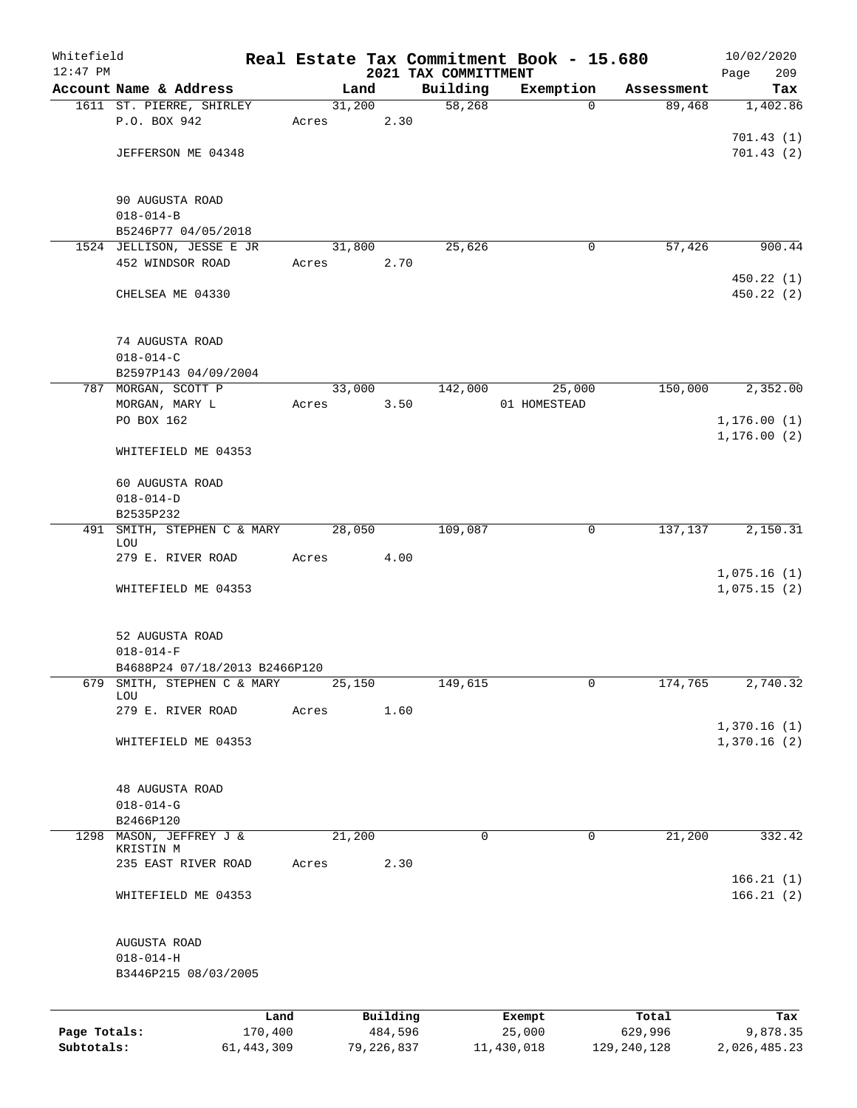| Whitefield<br>$12:47$ PM   |                                         |                         |       |        |                       | Real Estate Tax Commitment Book - 15.680<br>2021 TAX COMMITTMENT |              |                        | 10/02/2020                 |
|----------------------------|-----------------------------------------|-------------------------|-------|--------|-----------------------|------------------------------------------------------------------|--------------|------------------------|----------------------------|
|                            | Account Name & Address                  |                         |       | Land   |                       | Building                                                         | Exemption    | Assessment             | Page<br>209<br>Tax         |
|                            | 1611 ST. PIERRE, SHIRLEY                |                         |       | 31,200 |                       | 58,268                                                           | $\Omega$     | 89,468                 | 1,402.86                   |
|                            | P.O. BOX 942                            |                         | Acres |        | 2.30                  |                                                                  |              |                        |                            |
|                            |                                         |                         |       |        |                       |                                                                  |              |                        | 701.43(1)                  |
|                            | JEFFERSON ME 04348                      |                         |       |        |                       |                                                                  |              |                        | 701.43(2)                  |
|                            |                                         |                         |       |        |                       |                                                                  |              |                        |                            |
|                            | 90 AUGUSTA ROAD                         |                         |       |        |                       |                                                                  |              |                        |                            |
|                            | $018 - 014 - B$                         |                         |       |        |                       |                                                                  |              |                        |                            |
|                            | B5246P77 04/05/2018                     |                         |       |        |                       |                                                                  |              |                        |                            |
|                            | 1524 JELLISON, JESSE E JR               |                         |       | 31,800 |                       | 25,626                                                           | $\mathbf 0$  | 57,426                 | 900.44                     |
|                            | 452 WINDSOR ROAD                        |                         | Acres |        | 2.70                  |                                                                  |              |                        |                            |
|                            |                                         |                         |       |        |                       |                                                                  |              |                        | 450.22 (1)                 |
|                            | CHELSEA ME 04330                        |                         |       |        |                       |                                                                  |              |                        | 450.22 (2)                 |
|                            |                                         |                         |       |        |                       |                                                                  |              |                        |                            |
|                            | 74 AUGUSTA ROAD                         |                         |       |        |                       |                                                                  |              |                        |                            |
|                            | $018 - 014 - C$<br>B2597P143 04/09/2004 |                         |       |        |                       |                                                                  |              |                        |                            |
|                            |                                         |                         |       | 33,000 |                       | 142,000                                                          |              |                        |                            |
|                            | 787 MORGAN, SCOTT P<br>MORGAN, MARY L   |                         |       |        |                       |                                                                  | 25,000       | 150,000                | 2,352.00                   |
|                            | PO BOX 162                              |                         | Acres |        | 3.50                  |                                                                  | 01 HOMESTEAD |                        | 1, 176.00(1)               |
|                            |                                         |                         |       |        |                       |                                                                  |              |                        | 1, 176.00(2)               |
|                            | WHITEFIELD ME 04353                     |                         |       |        |                       |                                                                  |              |                        |                            |
|                            | 60 AUGUSTA ROAD                         |                         |       |        |                       |                                                                  |              |                        |                            |
|                            | $018 - 014 - D$                         |                         |       |        |                       |                                                                  |              |                        |                            |
|                            | B2535P232                               |                         |       |        |                       |                                                                  |              |                        |                            |
|                            | 491 SMITH, STEPHEN C & MARY             |                         |       | 28,050 |                       | 109,087                                                          | $\mathsf{O}$ | 137,137                | 2,150.31                   |
|                            | LOU                                     |                         |       |        |                       |                                                                  |              |                        |                            |
|                            | 279 E. RIVER ROAD                       |                         | Acres |        | 4.00                  |                                                                  |              |                        |                            |
|                            | WHITEFIELD ME 04353                     |                         |       |        |                       |                                                                  |              |                        | 1,075.16(1)<br>1,075.15(2) |
|                            |                                         |                         |       |        |                       |                                                                  |              |                        |                            |
|                            | 52 AUGUSTA ROAD                         |                         |       |        |                       |                                                                  |              |                        |                            |
|                            | $018 - 014 - F$                         |                         |       |        |                       |                                                                  |              |                        |                            |
|                            | B4688P24 07/18/2013 B2466P120           |                         |       |        |                       |                                                                  |              |                        |                            |
| 679                        | SMITH, STEPHEN C & MARY                 |                         |       | 25,150 |                       | 149,615                                                          | 0            | 174,765                | 2,740.32                   |
|                            | LOU                                     |                         |       |        |                       |                                                                  |              |                        |                            |
|                            | 279 E. RIVER ROAD                       |                         | Acres |        | 1.60                  |                                                                  |              |                        |                            |
|                            |                                         |                         |       |        |                       |                                                                  |              |                        | 1,370.16(1)                |
|                            | WHITEFIELD ME 04353                     |                         |       |        |                       |                                                                  |              |                        | 1,370.16(2)                |
|                            | 48 AUGUSTA ROAD                         |                         |       |        |                       |                                                                  |              |                        |                            |
|                            | $018 - 014 - G$                         |                         |       |        |                       |                                                                  |              |                        |                            |
|                            | B2466P120                               |                         |       |        |                       |                                                                  |              |                        |                            |
| 1298                       | MASON, JEFFREY J &                      |                         |       | 21,200 |                       | 0                                                                | $\mathbf 0$  | 21,200                 | 332.42                     |
|                            | KRISTIN M                               |                         |       |        |                       |                                                                  |              |                        |                            |
|                            | 235 EAST RIVER ROAD                     |                         | Acres |        | 2.30                  |                                                                  |              |                        |                            |
|                            | WHITEFIELD ME 04353                     |                         |       |        |                       |                                                                  |              |                        | 166.21(1)<br>166.21(2)     |
|                            |                                         |                         |       |        |                       |                                                                  |              |                        |                            |
|                            | AUGUSTA ROAD                            |                         |       |        |                       |                                                                  |              |                        |                            |
|                            | $018 - 014 - H$                         |                         |       |        |                       |                                                                  |              |                        |                            |
|                            | B3446P215 08/03/2005                    |                         |       |        |                       |                                                                  |              |                        |                            |
|                            |                                         |                         |       |        |                       |                                                                  |              |                        |                            |
|                            |                                         | Land                    |       |        | Building              |                                                                  | Exempt       | Total                  | Tax                        |
| Page Totals:<br>Subtotals: |                                         | 170,400<br>61, 443, 309 |       |        | 484,596<br>79,226,837 | 11,430,018                                                       | 25,000       | 629,996<br>129,240,128 | 9,878.35<br>2,026,485.23   |
|                            |                                         |                         |       |        |                       |                                                                  |              |                        |                            |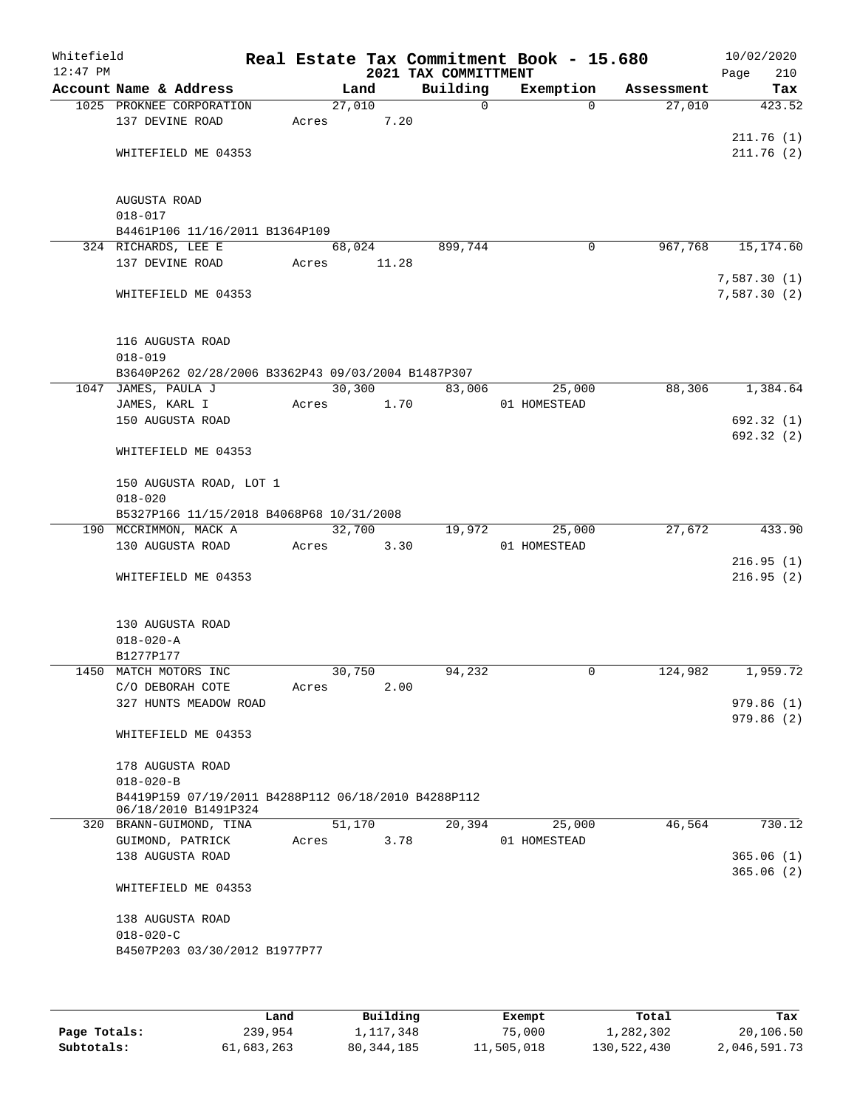| Whitefield<br>$12:47$ PM |                                                     |                 |        | 2021 TAX COMMITTMENT | Real Estate Tax Commitment Book - 15.680 |          |            | 10/02/2020<br>Page<br>210  |
|--------------------------|-----------------------------------------------------|-----------------|--------|----------------------|------------------------------------------|----------|------------|----------------------------|
|                          | Account Name & Address                              |                 | Land   | Building             | Exemption                                |          | Assessment | Tax                        |
|                          | 1025 PROKNEE CORPORATION<br>137 DEVINE ROAD         | 27,010<br>Acres | 7.20   |                      | $\mathsf{O}$                             | $\Omega$ | 27,010     | 423.52                     |
|                          | WHITEFIELD ME 04353                                 |                 |        |                      |                                          |          |            | 211.76(1)<br>211.76(2)     |
|                          | AUGUSTA ROAD<br>$018 - 017$                         |                 |        |                      |                                          |          |            |                            |
|                          | B4461P106 11/16/2011 B1364P109                      |                 |        |                      |                                          |          |            |                            |
|                          | 324 RICHARDS, LEE E                                 |                 | 68,024 | 899,744              |                                          | 0        | 967,768    | 15,174.60                  |
|                          | 137 DEVINE ROAD                                     | Acres           | 11.28  |                      |                                          |          |            |                            |
|                          | WHITEFIELD ME 04353                                 |                 |        |                      |                                          |          |            | 7,587.30(1)<br>7,587.30(2) |
|                          | 116 AUGUSTA ROAD<br>$018 - 019$                     |                 |        |                      |                                          |          |            |                            |
|                          | B3640P262 02/28/2006 B3362P43 09/03/2004 B1487P307  |                 |        |                      |                                          |          |            |                            |
|                          | 1047 JAMES, PAULA J                                 |                 | 30,300 | 83,006               |                                          | 25,000   | 88,306     | 1,384.64                   |
|                          | JAMES, KARL I                                       | Acres           | 1.70   |                      | 01 HOMESTEAD                             |          |            |                            |
|                          | 150 AUGUSTA ROAD                                    |                 |        |                      |                                          |          |            | 692.32 (1)                 |
|                          | WHITEFIELD ME 04353                                 |                 |        |                      |                                          |          |            | 692.32 (2)                 |
|                          | 150 AUGUSTA ROAD, LOT 1<br>$018 - 020$              |                 |        |                      |                                          |          |            |                            |
|                          | B5327P166 11/15/2018 B4068P68 10/31/2008            |                 |        |                      |                                          |          |            |                            |
|                          | 190 MCCRIMMON, MACK A                               | 32,700          |        | 19,972               |                                          | 25,000   | 27,672     | 433.90                     |
|                          | 130 AUGUSTA ROAD                                    | Acres           | 3.30   |                      | 01 HOMESTEAD                             |          |            |                            |
|                          |                                                     |                 |        |                      |                                          |          |            | 216.95(1)                  |
|                          | WHITEFIELD ME 04353                                 |                 |        |                      |                                          |          |            | 216.95(2)                  |
|                          | 130 AUGUSTA ROAD<br>$018 - 020 - A$                 |                 |        |                      |                                          |          |            |                            |
|                          | B1277P177                                           |                 |        |                      |                                          |          |            |                            |
|                          | 1450 MATCH MOTORS INC                               |                 | 30,750 | 94,232               |                                          | 0        | 124,982    | 1,959.72                   |
|                          | C/O DEBORAH COTE                                    | Acres           | 2.00   |                      |                                          |          |            |                            |
|                          | 327 HUNTS MEADOW ROAD                               |                 |        |                      |                                          |          |            | 979.86(1)                  |
|                          | WHITEFIELD ME 04353                                 |                 |        |                      |                                          |          |            | 979.86(2)                  |
|                          | 178 AUGUSTA ROAD                                    |                 |        |                      |                                          |          |            |                            |
|                          | $018 - 020 - B$                                     |                 |        |                      |                                          |          |            |                            |
|                          | B4419P159 07/19/2011 B4288P112 06/18/2010 B4288P112 |                 |        |                      |                                          |          |            |                            |
|                          | 06/18/2010 B1491P324<br>320 BRANN-GUIMOND, TINA     |                 | 51,170 | 20,394               |                                          | 25,000   | 46,564     | 730.12                     |
|                          | GUIMOND, PATRICK                                    | Acres           | 3.78   |                      | 01 HOMESTEAD                             |          |            |                            |
|                          | 138 AUGUSTA ROAD                                    |                 |        |                      |                                          |          |            | 365.06(1)<br>365.06(2)     |
|                          | WHITEFIELD ME 04353                                 |                 |        |                      |                                          |          |            |                            |
|                          | 138 AUGUSTA ROAD<br>$018 - 020 - C$                 |                 |        |                      |                                          |          |            |                            |
|                          | B4507P203 03/30/2012 B1977P77                       |                 |        |                      |                                          |          |            |                            |
|                          |                                                     |                 |        |                      |                                          |          |            |                            |

|              | Land       | Building   | Exempt     | Total       | Tax          |
|--------------|------------|------------|------------|-------------|--------------|
| Page Totals: | 239,954    | 1,117,348  | 75,000     | 1,282,302   | 20,106.50    |
| Subtotals:   | 61,683,263 | 80,344,185 | 11,505,018 | 130,522,430 | 2,046,591.73 |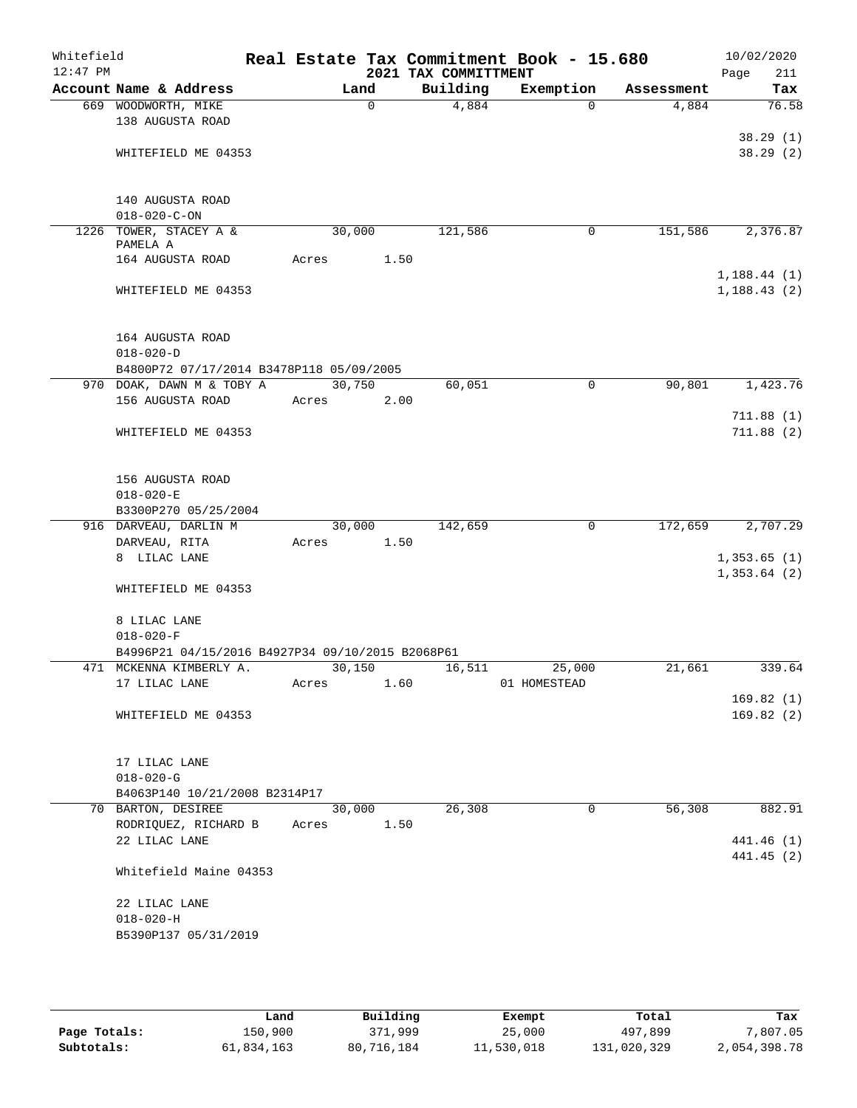| Whitefield<br>$12:47$ PM |                                                  |       |                | 2021 TAX COMMITTMENT | Real Estate Tax Commitment Book - 15.680 |            | 10/02/2020<br>Page<br>211 |
|--------------------------|--------------------------------------------------|-------|----------------|----------------------|------------------------------------------|------------|---------------------------|
|                          | Account Name & Address                           |       | Land           | Building             | Exemption                                | Assessment | Tax                       |
|                          | 669 WOODWORTH, MIKE                              |       | $\mathbf 0$    | 4,884                | $\Omega$                                 | 4,884      | 76.58                     |
|                          | 138 AUGUSTA ROAD                                 |       |                |                      |                                          |            |                           |
|                          |                                                  |       |                |                      |                                          |            | 38.29(1)                  |
|                          | WHITEFIELD ME 04353                              |       |                |                      |                                          |            | 38.29(2)                  |
|                          |                                                  |       |                |                      |                                          |            |                           |
|                          | 140 AUGUSTA ROAD                                 |       |                |                      |                                          |            |                           |
|                          | $018 - 020 - C - ON$                             |       |                |                      |                                          |            |                           |
|                          | 1226 TOWER, STACEY A &                           |       | 30,000         | 121,586              | 0                                        | 151,586    | 2,376.87                  |
|                          | PAMELA A                                         |       |                |                      |                                          |            |                           |
|                          | 164 AUGUSTA ROAD                                 | Acres | 1.50           |                      |                                          |            | 1, 188.44(1)              |
|                          | WHITEFIELD ME 04353                              |       |                |                      |                                          |            | 1, 188.43(2)              |
|                          |                                                  |       |                |                      |                                          |            |                           |
|                          |                                                  |       |                |                      |                                          |            |                           |
|                          | 164 AUGUSTA ROAD                                 |       |                |                      |                                          |            |                           |
|                          | $018 - 020 - D$                                  |       |                |                      |                                          |            |                           |
|                          | B4800P72 07/17/2014 B3478P118 05/09/2005         |       |                |                      |                                          |            |                           |
|                          | 970 DOAK, DAWN M & TOBY A                        |       | 30,750         | 60,051               | 0                                        | 90,801     | 1,423.76                  |
|                          | 156 AUGUSTA ROAD                                 | Acres | 2.00           |                      |                                          |            | 711.88(1)                 |
|                          | WHITEFIELD ME 04353                              |       |                |                      |                                          |            | 711.88(2)                 |
|                          |                                                  |       |                |                      |                                          |            |                           |
|                          |                                                  |       |                |                      |                                          |            |                           |
|                          | 156 AUGUSTA ROAD                                 |       |                |                      |                                          |            |                           |
|                          | $018 - 020 - E$                                  |       |                |                      |                                          |            |                           |
|                          | B3300P270 05/25/2004                             |       |                |                      |                                          |            |                           |
|                          | 916 DARVEAU, DARLIN M                            |       | 30,000<br>1.50 | 142,659              | 0                                        | 172,659    | 2,707.29                  |
|                          | DARVEAU, RITA<br>8 LILAC LANE                    | Acres |                |                      |                                          |            | 1,353.65(1)               |
|                          |                                                  |       |                |                      |                                          |            | 1,353.64(2)               |
|                          | WHITEFIELD ME 04353                              |       |                |                      |                                          |            |                           |
|                          |                                                  |       |                |                      |                                          |            |                           |
|                          | 8 LILAC LANE                                     |       |                |                      |                                          |            |                           |
|                          | $018 - 020 - F$                                  |       |                |                      |                                          |            |                           |
|                          | B4996P21 04/15/2016 B4927P34 09/10/2015 B2068P61 |       |                |                      |                                          |            |                           |
|                          | 471 MCKENNA KIMBERLY A.                          |       | 30,150<br>1.60 | 16,511               | 25,000                                   | 21,661     | 339.64                    |
|                          | 17 LILAC LANE                                    | Acres |                |                      | 01 HOMESTEAD                             |            | 169.82(1)                 |
|                          | WHITEFIELD ME 04353                              |       |                |                      |                                          |            | 169.82(2)                 |
|                          |                                                  |       |                |                      |                                          |            |                           |
|                          |                                                  |       |                |                      |                                          |            |                           |
|                          | 17 LILAC LANE                                    |       |                |                      |                                          |            |                           |
|                          | $018 - 020 - G$                                  |       |                |                      |                                          |            |                           |
|                          | B4063P140 10/21/2008 B2314P17                    |       |                |                      |                                          |            | 882.91                    |
|                          | 70 BARTON, DESIREE<br>RODRIQUEZ, RICHARD B       | Acres | 30,000<br>1.50 | 26,308               | 0                                        | 56,308     |                           |
|                          | 22 LILAC LANE                                    |       |                |                      |                                          |            | 441.46 (1)                |
|                          |                                                  |       |                |                      |                                          |            | 441.45 (2)                |
|                          | Whitefield Maine 04353                           |       |                |                      |                                          |            |                           |
|                          |                                                  |       |                |                      |                                          |            |                           |
|                          | 22 LILAC LANE                                    |       |                |                      |                                          |            |                           |
|                          | $018 - 020 - H$                                  |       |                |                      |                                          |            |                           |
|                          | B5390P137 05/31/2019                             |       |                |                      |                                          |            |                           |
|                          |                                                  |       |                |                      |                                          |            |                           |

|              | Land       | Building   | Exempt     | Total       | Tax          |
|--------------|------------|------------|------------|-------------|--------------|
| Page Totals: | 150,900    | 371,999    | 25,000     | 497,899     | 7,807.05     |
| Subtotals:   | 61,834,163 | 80,716,184 | 11,530,018 | 131,020,329 | 2,054,398.78 |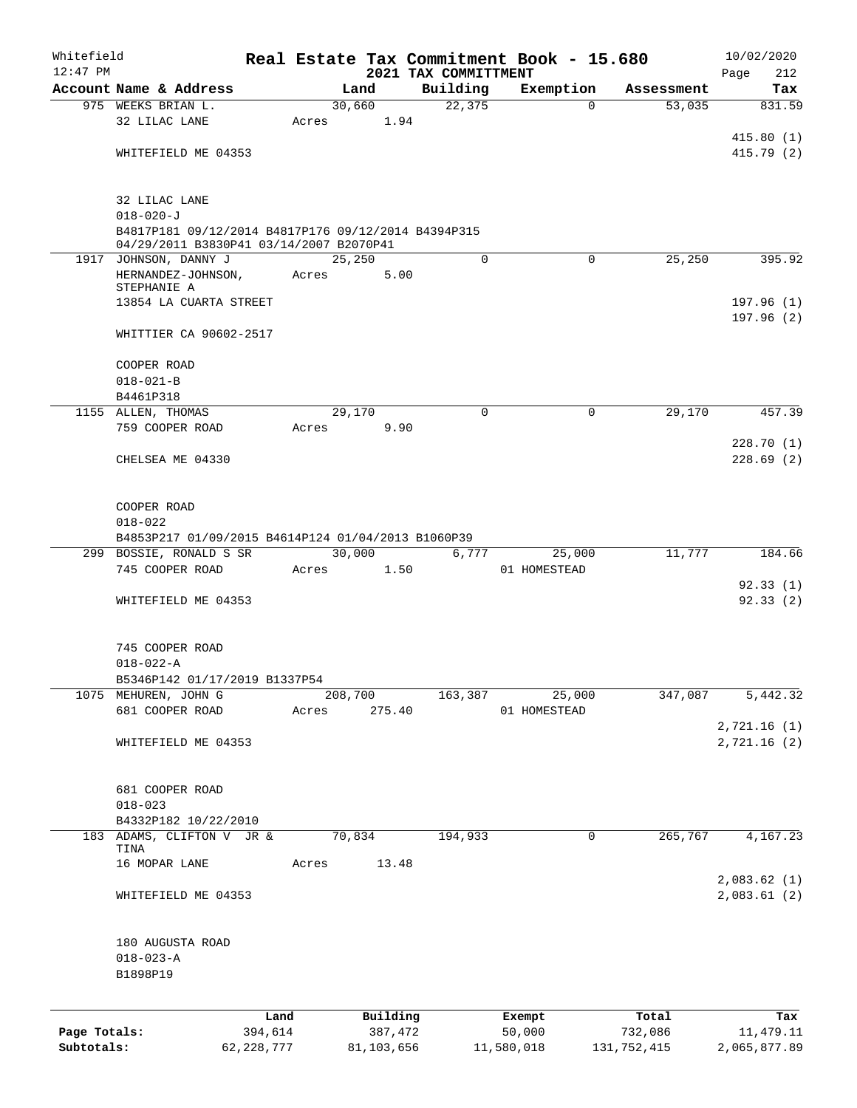| Whitefield   |                                                                        |              |       |            |      |                                  | Real Estate Tax Commitment Book - 15.680 |                                   | 10/02/2020             |
|--------------|------------------------------------------------------------------------|--------------|-------|------------|------|----------------------------------|------------------------------------------|-----------------------------------|------------------------|
| $12:47$ PM   | Account Name & Address                                                 |              |       | Land       |      | 2021 TAX COMMITTMENT<br>Building | Exemption                                |                                   | Page<br>212<br>Tax     |
|              | 975 WEEKS BRIAN L.                                                     |              |       | 30,660     |      | 22, 375                          | $\Omega$                                 | Assessment<br>$\overline{53,035}$ | 831.59                 |
|              | 32 LILAC LANE                                                          |              | Acres | 1.94       |      |                                  |                                          |                                   |                        |
|              |                                                                        |              |       |            |      |                                  |                                          |                                   | 415.80(1)              |
|              | WHITEFIELD ME 04353                                                    |              |       |            |      |                                  |                                          |                                   | 415.79 (2)             |
|              |                                                                        |              |       |            |      |                                  |                                          |                                   |                        |
|              | 32 LILAC LANE                                                          |              |       |            |      |                                  |                                          |                                   |                        |
|              | $018 - 020 - J$<br>B4817P181 09/12/2014 B4817P176 09/12/2014 B4394P315 |              |       |            |      |                                  |                                          |                                   |                        |
|              | 04/29/2011 B3830P41 03/14/2007 B2070P41                                |              |       |            |      |                                  |                                          |                                   |                        |
|              | 1917 JOHNSON, DANNY J                                                  |              |       | 25,250     |      | 0                                | $\Omega$                                 | 25,250                            | 395.92                 |
|              | HERNANDEZ-JOHNSON,<br>STEPHANIE A                                      |              | Acres |            | 5.00 |                                  |                                          |                                   |                        |
|              | 13854 LA CUARTA STREET                                                 |              |       |            |      |                                  |                                          |                                   | 197.96(1)              |
|              |                                                                        |              |       |            |      |                                  |                                          |                                   | 197.96(2)              |
|              | WHITTIER CA 90602-2517                                                 |              |       |            |      |                                  |                                          |                                   |                        |
|              | COOPER ROAD                                                            |              |       |            |      |                                  |                                          |                                   |                        |
|              | $018 - 021 - B$                                                        |              |       |            |      |                                  |                                          |                                   |                        |
|              | B4461P318                                                              |              |       |            |      |                                  |                                          |                                   |                        |
|              | 1155 ALLEN, THOMAS                                                     |              |       | 29,170     |      | $\Omega$                         | $\Omega$                                 | 29,170                            | 457.39                 |
|              | 759 COOPER ROAD                                                        |              | Acres |            | 9.90 |                                  |                                          |                                   |                        |
|              | CHELSEA ME 04330                                                       |              |       |            |      |                                  |                                          |                                   | 228.70(1)<br>228.69(2) |
|              |                                                                        |              |       |            |      |                                  |                                          |                                   |                        |
|              |                                                                        |              |       |            |      |                                  |                                          |                                   |                        |
|              | COOPER ROAD<br>$018 - 022$                                             |              |       |            |      |                                  |                                          |                                   |                        |
|              | B4853P217 01/09/2015 B4614P124 01/04/2013 B1060P39                     |              |       |            |      |                                  |                                          |                                   |                        |
|              | 299 BOSSIE, RONALD S SR                                                |              |       | 30,000     |      | 6,777                            | 25,000                                   | 11,777                            | 184.66                 |
|              | 745 COOPER ROAD                                                        |              | Acres | 1.50       |      |                                  | 01 HOMESTEAD                             |                                   |                        |
|              |                                                                        |              |       |            |      |                                  |                                          |                                   | 92.33(1)               |
|              | WHITEFIELD ME 04353                                                    |              |       |            |      |                                  |                                          |                                   | 92.33(2)               |
|              |                                                                        |              |       |            |      |                                  |                                          |                                   |                        |
|              | 745 COOPER ROAD                                                        |              |       |            |      |                                  |                                          |                                   |                        |
|              | $018 - 022 - A$                                                        |              |       |            |      |                                  |                                          |                                   |                        |
|              | B5346P142 01/17/2019 B1337P54<br>1075 MEHUREN, JOHN G                  |              |       | 208,700    |      | 163,387                          | 25,000                                   | 347,087                           | 5,442.32               |
|              | 681 COOPER ROAD                                                        |              | Acres | 275.40     |      |                                  | 01 HOMESTEAD                             |                                   |                        |
|              |                                                                        |              |       |            |      |                                  |                                          |                                   | 2,721.16 (1)           |
|              | WHITEFIELD ME 04353                                                    |              |       |            |      |                                  |                                          |                                   | 2,721.16 (2)           |
|              |                                                                        |              |       |            |      |                                  |                                          |                                   |                        |
|              | 681 COOPER ROAD                                                        |              |       |            |      |                                  |                                          |                                   |                        |
|              | $018 - 023$                                                            |              |       |            |      |                                  |                                          |                                   |                        |
|              | B4332P182 10/22/2010                                                   |              |       |            |      |                                  |                                          |                                   |                        |
| 183          | ADAMS, CLIFTON V JR &                                                  |              |       | 70,834     |      | 194,933                          | 0                                        | 265,767                           | 4,167.23               |
|              | TINA                                                                   |              |       |            |      |                                  |                                          |                                   |                        |
|              | 16 MOPAR LANE                                                          |              | Acres | 13.48      |      |                                  |                                          |                                   | 2,083.62 (1)           |
|              | WHITEFIELD ME 04353                                                    |              |       |            |      |                                  |                                          |                                   | 2,083.61(2)            |
|              |                                                                        |              |       |            |      |                                  |                                          |                                   |                        |
|              | 180 AUGUSTA ROAD                                                       |              |       |            |      |                                  |                                          |                                   |                        |
|              | $018 - 023 - A$                                                        |              |       |            |      |                                  |                                          |                                   |                        |
|              | B1898P19                                                               |              |       |            |      |                                  |                                          |                                   |                        |
|              |                                                                        |              |       |            |      |                                  |                                          |                                   |                        |
|              |                                                                        | Land         |       | Building   |      |                                  | Exempt                                   | Total                             | Tax                    |
| Page Totals: |                                                                        | 394,614      |       | 387,472    |      |                                  | 50,000                                   | 732,086                           | 11, 479.11             |
| Subtotals:   |                                                                        | 62, 228, 777 |       | 81,103,656 |      |                                  | 11,580,018                               | 131,752,415                       | 2,065,877.89           |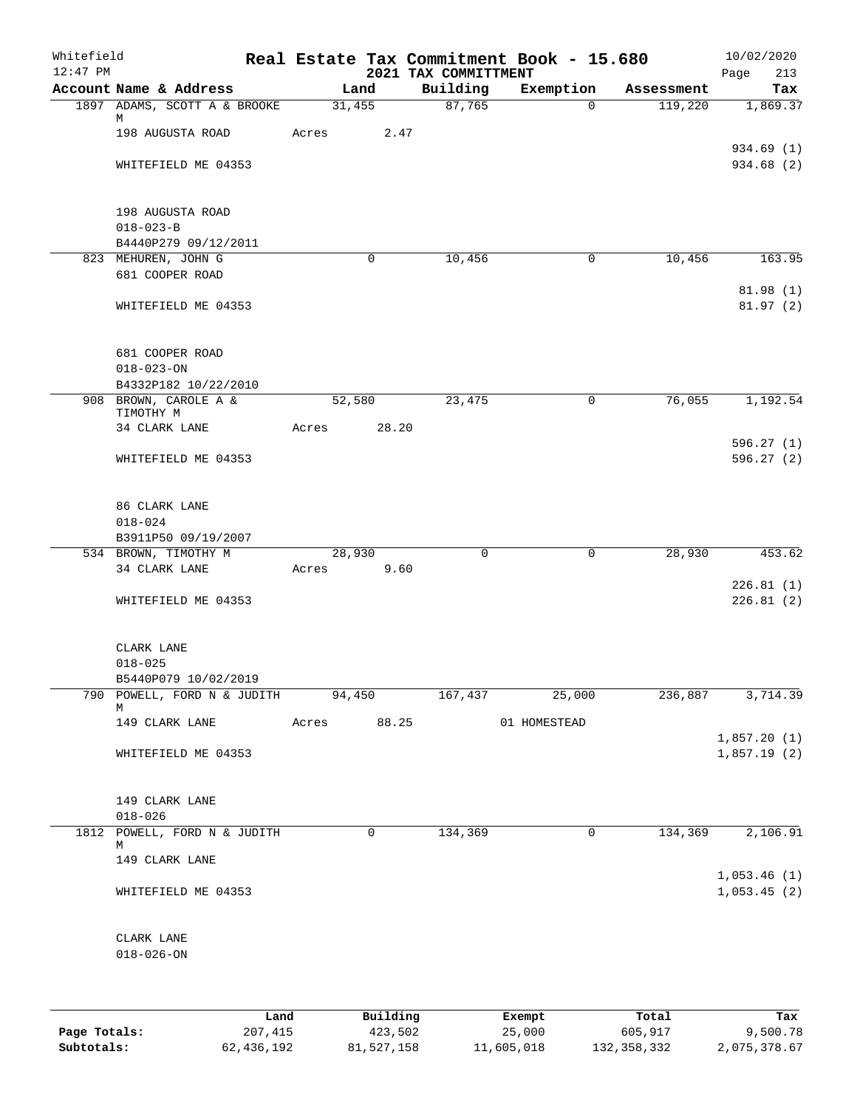| Whitefield<br>$12:47$ PM |                                    |       |        |             |                                  | Real Estate Tax Commitment Book - 15.680 |            | 10/02/2020                 |
|--------------------------|------------------------------------|-------|--------|-------------|----------------------------------|------------------------------------------|------------|----------------------------|
|                          | Account Name & Address             |       | Land   |             | 2021 TAX COMMITTMENT<br>Building | Exemption                                | Assessment | Page<br>213<br>Tax         |
|                          | 1897 ADAMS, SCOTT A & BROOKE       |       | 31,455 |             | 87,765                           | $\Omega$                                 | 119,220    | 1,869.37                   |
|                          | М                                  |       |        |             |                                  |                                          |            |                            |
|                          | 198 AUGUSTA ROAD                   | Acres |        | 2.47        |                                  |                                          |            |                            |
|                          |                                    |       |        |             |                                  |                                          |            | 934.69 (1)                 |
|                          | WHITEFIELD ME 04353                |       |        |             |                                  |                                          |            | 934.68 (2)                 |
|                          |                                    |       |        |             |                                  |                                          |            |                            |
|                          | 198 AUGUSTA ROAD                   |       |        |             |                                  |                                          |            |                            |
|                          | $018 - 023 - B$                    |       |        |             |                                  |                                          |            |                            |
|                          | B4440P279 09/12/2011               |       |        |             |                                  |                                          |            |                            |
|                          | 823 MEHUREN, JOHN G                |       |        | $\mathbf 0$ | 10,456                           | $\mathbf 0$                              | 10,456     | 163.95                     |
|                          | 681 COOPER ROAD                    |       |        |             |                                  |                                          |            |                            |
|                          |                                    |       |        |             |                                  |                                          |            | 81.98(1)                   |
|                          | WHITEFIELD ME 04353                |       |        |             |                                  |                                          |            | 81.97(2)                   |
|                          |                                    |       |        |             |                                  |                                          |            |                            |
|                          | 681 COOPER ROAD                    |       |        |             |                                  |                                          |            |                            |
|                          | $018 - 023 - ON$                   |       |        |             |                                  |                                          |            |                            |
|                          | B4332P182 10/22/2010               |       |        |             |                                  |                                          |            |                            |
|                          | 908 BROWN, CAROLE A &              |       | 52,580 |             | 23,475                           | 0                                        | 76,055     | 1,192.54                   |
|                          | TIMOTHY M<br>34 CLARK LANE         | Acres |        | 28.20       |                                  |                                          |            |                            |
|                          |                                    |       |        |             |                                  |                                          |            | 596.27(1)                  |
|                          | WHITEFIELD ME 04353                |       |        |             |                                  |                                          |            | 596.27(2)                  |
|                          |                                    |       |        |             |                                  |                                          |            |                            |
|                          |                                    |       |        |             |                                  |                                          |            |                            |
|                          | 86 CLARK LANE                      |       |        |             |                                  |                                          |            |                            |
|                          | $018 - 024$<br>B3911P50 09/19/2007 |       |        |             |                                  |                                          |            |                            |
|                          | 534 BROWN, TIMOTHY M               |       | 28,930 |             | $\mathbf 0$                      | 0                                        | 28,930     | 453.62                     |
|                          | 34 CLARK LANE                      | Acres |        | 9.60        |                                  |                                          |            |                            |
|                          |                                    |       |        |             |                                  |                                          |            | 226.81(1)                  |
|                          | WHITEFIELD ME 04353                |       |        |             |                                  |                                          |            | 226.81(2)                  |
|                          |                                    |       |        |             |                                  |                                          |            |                            |
|                          |                                    |       |        |             |                                  |                                          |            |                            |
|                          | CLARK LANE<br>$018 - 025$          |       |        |             |                                  |                                          |            |                            |
|                          | B5440P079 10/02/2019               |       |        |             |                                  |                                          |            |                            |
|                          | 790 POWELL, FORD N & JUDITH        |       | 94,450 |             | 167,437                          | 25,000                                   | 236,887    | 3,714.39                   |
|                          | М                                  |       |        |             |                                  |                                          |            |                            |
|                          | 149 CLARK LANE                     |       |        | Acres 88.25 |                                  | 01 HOMESTEAD                             |            |                            |
|                          | WHITEFIELD ME 04353                |       |        |             |                                  |                                          |            | 1,857.20(1)<br>1,857.19(2) |
|                          |                                    |       |        |             |                                  |                                          |            |                            |
|                          |                                    |       |        |             |                                  |                                          |            |                            |
|                          | 149 CLARK LANE                     |       |        |             |                                  |                                          |            |                            |
|                          | $018 - 026$                        |       |        |             |                                  |                                          |            |                            |
|                          | 1812 POWELL, FORD N & JUDITH<br>М  |       |        | 0           | 134,369                          | 0                                        | 134,369    | 2,106.91                   |
|                          | 149 CLARK LANE                     |       |        |             |                                  |                                          |            |                            |
|                          |                                    |       |        |             |                                  |                                          |            | 1,053.46(1)                |
|                          | WHITEFIELD ME 04353                |       |        |             |                                  |                                          |            | 1,053.45(2)                |
|                          |                                    |       |        |             |                                  |                                          |            |                            |
|                          |                                    |       |        |             |                                  |                                          |            |                            |
|                          | CLARK LANE                         |       |        |             |                                  |                                          |            |                            |
|                          | $018 - 026 - ON$                   |       |        |             |                                  |                                          |            |                            |
|                          |                                    |       |        |             |                                  |                                          |            |                            |

|              | Land       | Building   | Exempt     | Total       | Tax          |
|--------------|------------|------------|------------|-------------|--------------|
| Page Totals: | 207,415    | 423,502    | 25,000     | 605,917     | 9,500.78     |
| Subtotals:   | 62,436,192 | 81,527,158 | 11,605,018 | 132,358,332 | 2,075,378.67 |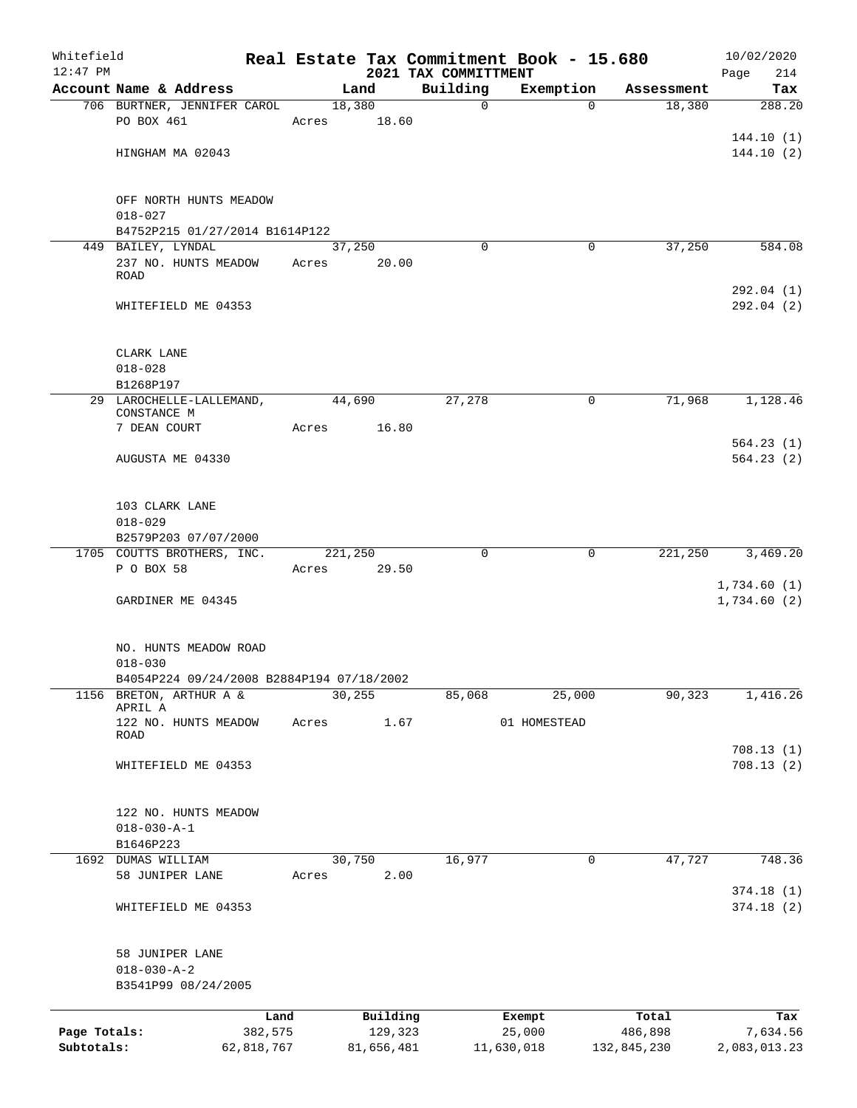| Whitefield   |                                            |                 |         |                     |                                  | Real Estate Tax Commitment Book - 15.680 |                      | 10/02/2020                 |
|--------------|--------------------------------------------|-----------------|---------|---------------------|----------------------------------|------------------------------------------|----------------------|----------------------------|
| $12:47$ PM   | Account Name & Address                     |                 |         | Land                | 2021 TAX COMMITTMENT<br>Building | Exemption                                |                      | Page<br>214<br>Tax         |
|              | 706 BURTNER, JENNIFER CAROL                |                 |         | 18,380              | $\mathbf 0$                      | $\Omega$                                 | Assessment<br>18,380 | 288.20                     |
|              | PO BOX 461                                 |                 | Acres   | 18.60               |                                  |                                          |                      |                            |
|              |                                            |                 |         |                     |                                  |                                          |                      | 144.10(1)                  |
|              | HINGHAM MA 02043                           |                 |         |                     |                                  |                                          |                      | 144.10(2)                  |
|              |                                            |                 |         |                     |                                  |                                          |                      |                            |
|              | OFF NORTH HUNTS MEADOW                     |                 |         |                     |                                  |                                          |                      |                            |
|              | $018 - 027$                                |                 |         |                     |                                  |                                          |                      |                            |
|              | B4752P215 01/27/2014 B1614P122             |                 |         |                     |                                  |                                          |                      |                            |
|              | 449 BAILEY, LYNDAL                         |                 |         | 37,250              | $\Omega$                         | 0                                        | 37,250               | 584.08                     |
|              | 237 NO. HUNTS MEADOW Acres<br><b>ROAD</b>  |                 |         | 20.00               |                                  |                                          |                      |                            |
|              |                                            |                 |         |                     |                                  |                                          |                      | 292.04 (1)                 |
|              | WHITEFIELD ME 04353                        |                 |         |                     |                                  |                                          |                      | 292.04(2)                  |
|              |                                            |                 |         |                     |                                  |                                          |                      |                            |
|              | CLARK LANE                                 |                 |         |                     |                                  |                                          |                      |                            |
|              | $018 - 028$                                |                 |         |                     |                                  |                                          |                      |                            |
|              | B1268P197                                  |                 |         |                     |                                  |                                          |                      |                            |
|              | 29 LAROCHELLE-LALLEMAND,<br>CONSTANCE M    |                 |         | 44,690              | 27,278                           | 0                                        | 71,968               | 1,128.46                   |
|              | 7 DEAN COURT                               |                 | Acres   | 16.80               |                                  |                                          |                      |                            |
|              |                                            |                 |         |                     |                                  |                                          |                      | 564.23(1)                  |
|              | AUGUSTA ME 04330                           |                 |         |                     |                                  |                                          |                      | 564.23(2)                  |
|              |                                            |                 |         |                     |                                  |                                          |                      |                            |
|              | 103 CLARK LANE                             |                 |         |                     |                                  |                                          |                      |                            |
|              | $018 - 029$                                |                 |         |                     |                                  |                                          |                      |                            |
|              | B2579P203 07/07/2000                       |                 |         |                     |                                  |                                          |                      |                            |
|              | 1705 COUTTS BROTHERS, INC.                 |                 | 221,250 |                     | $\mathbf 0$                      | 0                                        | 221,250              | 3,469.20                   |
|              | P O BOX 58                                 |                 | Acres   | 29.50               |                                  |                                          |                      |                            |
|              | GARDINER ME 04345                          |                 |         |                     |                                  |                                          |                      | 1,734.60(1)<br>1,734.60(2) |
|              |                                            |                 |         |                     |                                  |                                          |                      |                            |
|              | NO. HUNTS MEADOW ROAD                      |                 |         |                     |                                  |                                          |                      |                            |
|              | $018 - 030$                                |                 |         |                     |                                  |                                          |                      |                            |
|              | B4054P224 09/24/2008 B2884P194 07/18/2002  |                 |         |                     |                                  |                                          |                      |                            |
| 1156         | BRETON, ARTHUR A &                         |                 |         | 30, 255             | 85,068                           | 25,000                                   | 90, 323              | 1,416.26                   |
|              | APRIL A                                    |                 |         |                     |                                  |                                          |                      |                            |
|              | 122 NO. HUNTS MEADOW<br>ROAD               |                 | Acres   | 1.67                |                                  | 01 HOMESTEAD                             |                      |                            |
|              |                                            |                 |         |                     |                                  |                                          |                      | 708.13(1)                  |
|              | WHITEFIELD ME 04353                        |                 |         |                     |                                  |                                          |                      | 708.13(2)                  |
|              |                                            |                 |         |                     |                                  |                                          |                      |                            |
|              | 122 NO. HUNTS MEADOW                       |                 |         |                     |                                  |                                          |                      |                            |
|              | $018 - 030 - A - 1$                        |                 |         |                     |                                  |                                          |                      |                            |
|              | B1646P223                                  |                 |         |                     |                                  |                                          |                      |                            |
| 1692         | DUMAS WILLIAM                              |                 |         | 30,750              | 16,977                           | 0                                        | 47,727               | 748.36                     |
|              | 58 JUNIPER LANE                            |                 | Acres   | 2.00                |                                  |                                          |                      |                            |
|              |                                            |                 |         |                     |                                  |                                          |                      | 374.18(1)                  |
|              | WHITEFIELD ME 04353                        |                 |         |                     |                                  |                                          |                      | 374.18(2)                  |
|              |                                            |                 |         |                     |                                  |                                          |                      |                            |
|              | 58 JUNIPER LANE                            |                 |         |                     |                                  |                                          |                      |                            |
|              | $018 - 030 - A - 2$<br>B3541P99 08/24/2005 |                 |         |                     |                                  |                                          |                      |                            |
|              |                                            |                 |         |                     |                                  |                                          |                      |                            |
| Page Totals: |                                            | Land<br>382,575 |         | Building<br>129,323 |                                  | Exempt<br>25,000                         | Total<br>486,898     | Tax<br>7,634.56            |
| Subtotals:   |                                            | 62,818,767      |         | 81,656,481          |                                  | 11,630,018                               | 132,845,230          | 2,083,013.23               |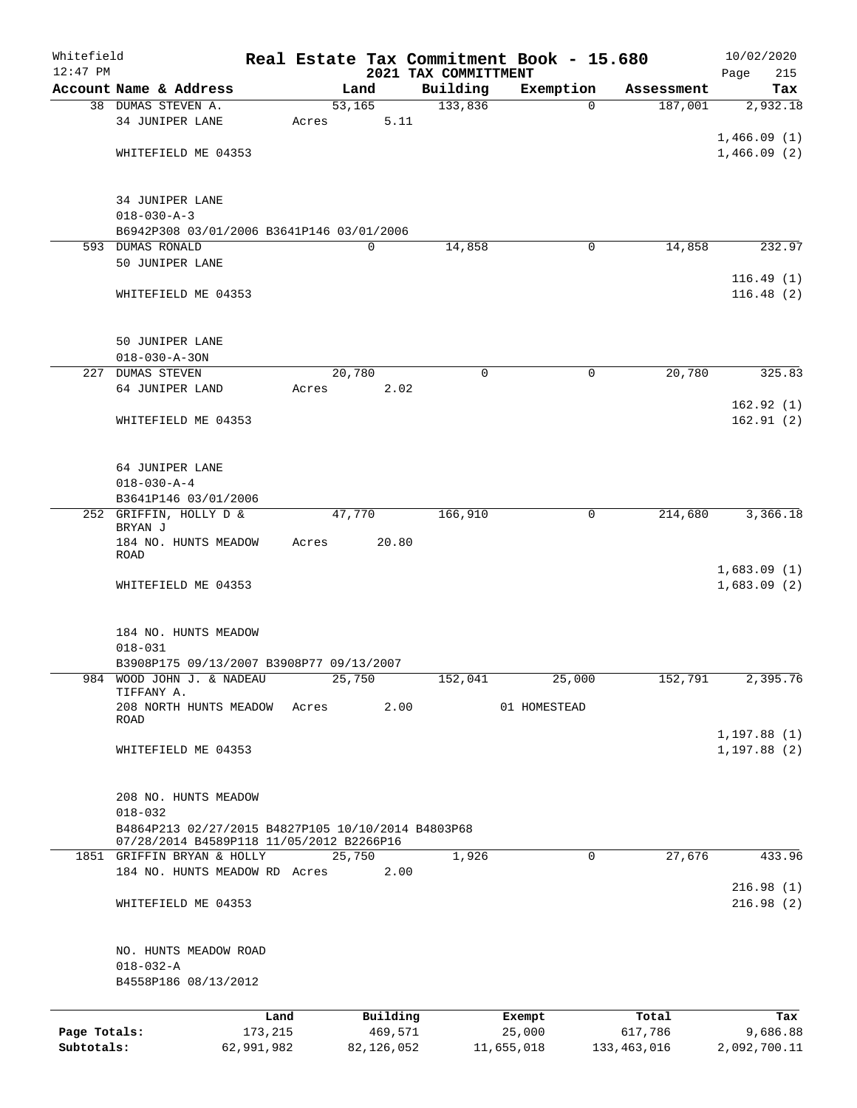| Whitefield<br>$12:47$ PM |                                                                        |            |       |        |             | Real Estate Tax Commitment Book - 15.680<br>2021 TAX COMMITTMENT |              |          |             | 10/02/2020<br>Page<br>215 |
|--------------------------|------------------------------------------------------------------------|------------|-------|--------|-------------|------------------------------------------------------------------|--------------|----------|-------------|---------------------------|
|                          | Account Name & Address                                                 |            |       |        | Land        | Building                                                         | Exemption    |          | Assessment  | Tax                       |
|                          | 38 DUMAS STEVEN A.                                                     |            |       | 53,165 |             | 133,836                                                          |              | $\Omega$ | 187,001     | 2,932.18                  |
|                          | 34 JUNIPER LANE                                                        |            | Acres |        | 5.11        |                                                                  |              |          |             |                           |
|                          |                                                                        |            |       |        |             |                                                                  |              |          |             | 1,466.09(1)               |
|                          | WHITEFIELD ME 04353                                                    |            |       |        |             |                                                                  |              |          |             | 1,466.09(2)               |
|                          |                                                                        |            |       |        |             |                                                                  |              |          |             |                           |
|                          |                                                                        |            |       |        |             |                                                                  |              |          |             |                           |
|                          | 34 JUNIPER LANE                                                        |            |       |        |             |                                                                  |              |          |             |                           |
|                          | $018 - 030 - A - 3$                                                    |            |       |        |             |                                                                  |              |          |             |                           |
|                          | B6942P308 03/01/2006 B3641P146 03/01/2006<br>593 DUMAS RONALD          |            |       |        | $\mathbf 0$ | 14,858                                                           |              | 0        | 14,858      | 232.97                    |
|                          | 50 JUNIPER LANE                                                        |            |       |        |             |                                                                  |              |          |             |                           |
|                          |                                                                        |            |       |        |             |                                                                  |              |          |             | 116.49(1)                 |
|                          | WHITEFIELD ME 04353                                                    |            |       |        |             |                                                                  |              |          |             | 116.48(2)                 |
|                          |                                                                        |            |       |        |             |                                                                  |              |          |             |                           |
|                          |                                                                        |            |       |        |             |                                                                  |              |          |             |                           |
|                          | 50 JUNIPER LANE                                                        |            |       |        |             |                                                                  |              |          |             |                           |
|                          | $018 - 030 - A - 30N$                                                  |            |       |        |             |                                                                  |              |          |             |                           |
|                          | 227 DUMAS STEVEN                                                       |            |       | 20,780 |             | 0                                                                |              | 0        | 20,780      | 325.83                    |
|                          | 64 JUNIPER LAND                                                        |            | Acres |        | 2.02        |                                                                  |              |          |             |                           |
|                          |                                                                        |            |       |        |             |                                                                  |              |          |             | 162.92(1)                 |
|                          | WHITEFIELD ME 04353                                                    |            |       |        |             |                                                                  |              |          |             | 162.91(2)                 |
|                          |                                                                        |            |       |        |             |                                                                  |              |          |             |                           |
|                          |                                                                        |            |       |        |             |                                                                  |              |          |             |                           |
|                          | 64 JUNIPER LANE                                                        |            |       |        |             |                                                                  |              |          |             |                           |
|                          | $018 - 030 - A - 4$                                                    |            |       |        |             |                                                                  |              |          |             |                           |
|                          | B3641P146 03/01/2006<br>252 GRIFFIN, HOLLY D &                         |            |       | 47,770 |             | 166,910                                                          |              | 0        | 214,680     | 3,366.18                  |
|                          | BRYAN J                                                                |            |       |        |             |                                                                  |              |          |             |                           |
|                          | 184 NO. HUNTS MEADOW                                                   |            | Acres |        | 20.80       |                                                                  |              |          |             |                           |
|                          | ROAD                                                                   |            |       |        |             |                                                                  |              |          |             |                           |
|                          |                                                                        |            |       |        |             |                                                                  |              |          |             | 1,683.09(1)               |
|                          | WHITEFIELD ME 04353                                                    |            |       |        |             |                                                                  |              |          |             | 1,683.09(2)               |
|                          |                                                                        |            |       |        |             |                                                                  |              |          |             |                           |
|                          | 184 NO. HUNTS MEADOW                                                   |            |       |        |             |                                                                  |              |          |             |                           |
|                          | $018 - 031$                                                            |            |       |        |             |                                                                  |              |          |             |                           |
|                          | B3908P175 09/13/2007 B3908P77 09/13/2007                               |            |       |        |             |                                                                  |              |          |             |                           |
|                          | 984 WOOD JOHN J. & NADEAU                                              |            |       | 25,750 |             | 152,041                                                          |              | 25,000   | 152,791     | 2,395.76                  |
|                          | TIFFANY A.                                                             |            |       |        |             |                                                                  |              |          |             |                           |
|                          | 208 NORTH HUNTS MEADOW<br>ROAD                                         |            | Acres |        | 2.00        |                                                                  | 01 HOMESTEAD |          |             |                           |
|                          |                                                                        |            |       |        |             |                                                                  |              |          |             | 1, 197.88(1)              |
|                          | WHITEFIELD ME 04353                                                    |            |       |        |             |                                                                  |              |          |             | 1, 197.88(2)              |
|                          |                                                                        |            |       |        |             |                                                                  |              |          |             |                           |
|                          |                                                                        |            |       |        |             |                                                                  |              |          |             |                           |
|                          | 208 NO. HUNTS MEADOW                                                   |            |       |        |             |                                                                  |              |          |             |                           |
|                          | $018 - 032$                                                            |            |       |        |             |                                                                  |              |          |             |                           |
|                          | B4864P213 02/27/2015 B4827P105 10/10/2014 B4803P68                     |            |       |        |             |                                                                  |              |          |             |                           |
|                          | 07/28/2014 B4589P118 11/05/2012 B2266P16<br>1851 GRIFFIN BRYAN & HOLLY |            |       | 25,750 |             | 1,926                                                            |              | $\Omega$ | 27,676      | 433.96                    |
|                          | 184 NO. HUNTS MEADOW RD Acres                                          |            |       |        | 2.00        |                                                                  |              |          |             |                           |
|                          |                                                                        |            |       |        |             |                                                                  |              |          |             | 216.98(1)                 |
|                          | WHITEFIELD ME 04353                                                    |            |       |        |             |                                                                  |              |          |             | 216.98(2)                 |
|                          |                                                                        |            |       |        |             |                                                                  |              |          |             |                           |
|                          |                                                                        |            |       |        |             |                                                                  |              |          |             |                           |
|                          | NO. HUNTS MEADOW ROAD                                                  |            |       |        |             |                                                                  |              |          |             |                           |
|                          | $018 - 032 - A$                                                        |            |       |        |             |                                                                  |              |          |             |                           |
|                          | B4558P186 08/13/2012                                                   |            |       |        |             |                                                                  |              |          |             |                           |
|                          |                                                                        |            |       |        |             |                                                                  |              |          |             |                           |
|                          |                                                                        | Land       |       |        | Building    |                                                                  | Exempt       |          | Total       | Tax                       |
| Page Totals:             |                                                                        | 173,215    |       |        | 469,571     |                                                                  | 25,000       |          | 617,786     | 9,686.88                  |
| Subtotals:               |                                                                        | 62,991,982 |       |        | 82,126,052  |                                                                  | 11,655,018   |          | 133,463,016 | 2,092,700.11              |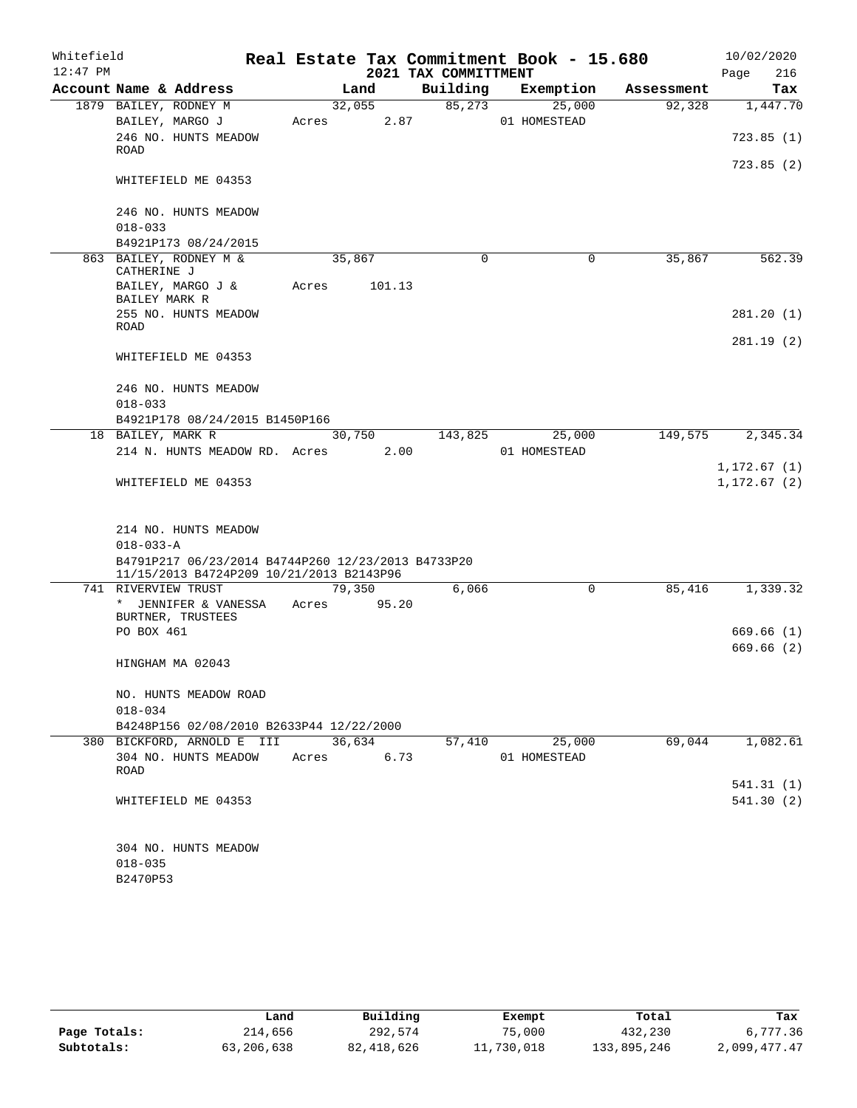| Whitefield |                                                                                                |       |        |        | Real Estate Tax Commitment Book - 15.680 |                        |            | 10/02/2020               |
|------------|------------------------------------------------------------------------------------------------|-------|--------|--------|------------------------------------------|------------------------|------------|--------------------------|
| $12:47$ PM |                                                                                                |       |        |        | 2021 TAX COMMITTMENT                     |                        |            | 216<br>Page              |
|            | Account Name & Address                                                                         |       | Land   |        | Building                                 | Exemption              | Assessment | Tax                      |
|            | 1879 BAILEY, RODNEY M                                                                          |       | 32,055 |        | 85,273                                   | 25,000                 | 92,328     | 1,447.70                 |
|            | BAILEY, MARGO J                                                                                | Acres |        | 2.87   |                                          | 01 HOMESTEAD           |            |                          |
|            | 246 NO. HUNTS MEADOW<br><b>ROAD</b>                                                            |       |        |        |                                          |                        |            | 723.85(1)                |
|            |                                                                                                |       |        |        |                                          |                        |            | 723.85(2)                |
|            | WHITEFIELD ME 04353                                                                            |       |        |        |                                          |                        |            |                          |
|            |                                                                                                |       |        |        |                                          |                        |            |                          |
|            | 246 NO. HUNTS MEADOW                                                                           |       |        |        |                                          |                        |            |                          |
|            | $018 - 033$                                                                                    |       |        |        |                                          |                        |            |                          |
|            | B4921P173 08/24/2015<br>863 BAILEY, RODNEY M &                                                 |       |        |        | $\Omega$                                 | $\mathbf 0$            | 35,867     | 562.39                   |
|            | CATHERINE J                                                                                    |       | 35,867 |        |                                          |                        |            |                          |
|            | BAILEY, MARGO J &                                                                              | Acres |        | 101.13 |                                          |                        |            |                          |
|            | BAILEY MARK R                                                                                  |       |        |        |                                          |                        |            |                          |
|            | 255 NO. HUNTS MEADOW<br><b>ROAD</b>                                                            |       |        |        |                                          |                        |            | 281.20 (1)               |
|            |                                                                                                |       |        |        |                                          |                        |            | 281.19(2)                |
|            | WHITEFIELD ME 04353                                                                            |       |        |        |                                          |                        |            |                          |
|            |                                                                                                |       |        |        |                                          |                        |            |                          |
|            | 246 NO. HUNTS MEADOW                                                                           |       |        |        |                                          |                        |            |                          |
|            | $018 - 033$                                                                                    |       |        |        |                                          |                        |            |                          |
|            | B4921P178 08/24/2015 B1450P166                                                                 |       |        |        |                                          |                        |            |                          |
|            | 18 BAILEY, MARK R<br>214 N. HUNTS MEADOW RD. Acres                                             |       | 30,750 | 2.00   | 143,825                                  | 25,000<br>01 HOMESTEAD | 149,575    | 2,345.34                 |
|            |                                                                                                |       |        |        |                                          |                        |            | 1, 172.67(1)             |
|            | WHITEFIELD ME 04353                                                                            |       |        |        |                                          |                        |            | 1, 172.67(2)             |
|            |                                                                                                |       |        |        |                                          |                        |            |                          |
|            |                                                                                                |       |        |        |                                          |                        |            |                          |
|            | 214 NO. HUNTS MEADOW                                                                           |       |        |        |                                          |                        |            |                          |
|            | $018 - 033 - A$                                                                                |       |        |        |                                          |                        |            |                          |
|            | B4791P217 06/23/2014 B4744P260 12/23/2013 B4733P20<br>11/15/2013 B4724P209 10/21/2013 B2143P96 |       |        |        |                                          |                        |            |                          |
|            | 741 RIVERVIEW TRUST                                                                            |       | 79,350 |        | 6,066                                    | 0                      | 85,416     | 1,339.32                 |
|            | * JENNIFER & VANESSA                                                                           | Acres |        | 95.20  |                                          |                        |            |                          |
|            | BURTNER, TRUSTEES                                                                              |       |        |        |                                          |                        |            |                          |
|            | PO BOX 461                                                                                     |       |        |        |                                          |                        |            | 669.66 (1)<br>669.66 (2) |
|            | HINGHAM MA 02043                                                                               |       |        |        |                                          |                        |            |                          |
|            |                                                                                                |       |        |        |                                          |                        |            |                          |
|            | NO. HUNTS MEADOW ROAD                                                                          |       |        |        |                                          |                        |            |                          |
|            | $018 - 034$                                                                                    |       |        |        |                                          |                        |            |                          |
|            | B4248P156 02/08/2010 B2633P44 12/22/2000                                                       |       |        |        |                                          |                        |            |                          |
|            | 380 BICKFORD, ARNOLD E III                                                                     |       | 36,634 |        | 57,410                                   | 25,000                 | 69,044     | 1,082.61                 |
|            | 304 NO. HUNTS MEADOW<br><b>ROAD</b>                                                            | Acres |        | 6.73   |                                          | 01 HOMESTEAD           |            |                          |
|            |                                                                                                |       |        |        |                                          |                        |            | 541.31 (1)               |
|            | WHITEFIELD ME 04353                                                                            |       |        |        |                                          |                        |            | 541.30 (2)               |
|            |                                                                                                |       |        |        |                                          |                        |            |                          |
|            |                                                                                                |       |        |        |                                          |                        |            |                          |
|            | 304 NO. HUNTS MEADOW                                                                           |       |        |        |                                          |                        |            |                          |
|            | $018 - 035$                                                                                    |       |        |        |                                          |                        |            |                          |
|            | B2470P53                                                                                       |       |        |        |                                          |                        |            |                          |

|              | Land       | Building   | Exempt     | Total       | Tax          |
|--------------|------------|------------|------------|-------------|--------------|
| Page Totals: | 214,656    | 292,574    | 75,000     | 432,230     | 6,777.36     |
| Subtotals:   | 63,206,638 | 82,418,626 | 11,730,018 | 133,895,246 | 2,099,477.47 |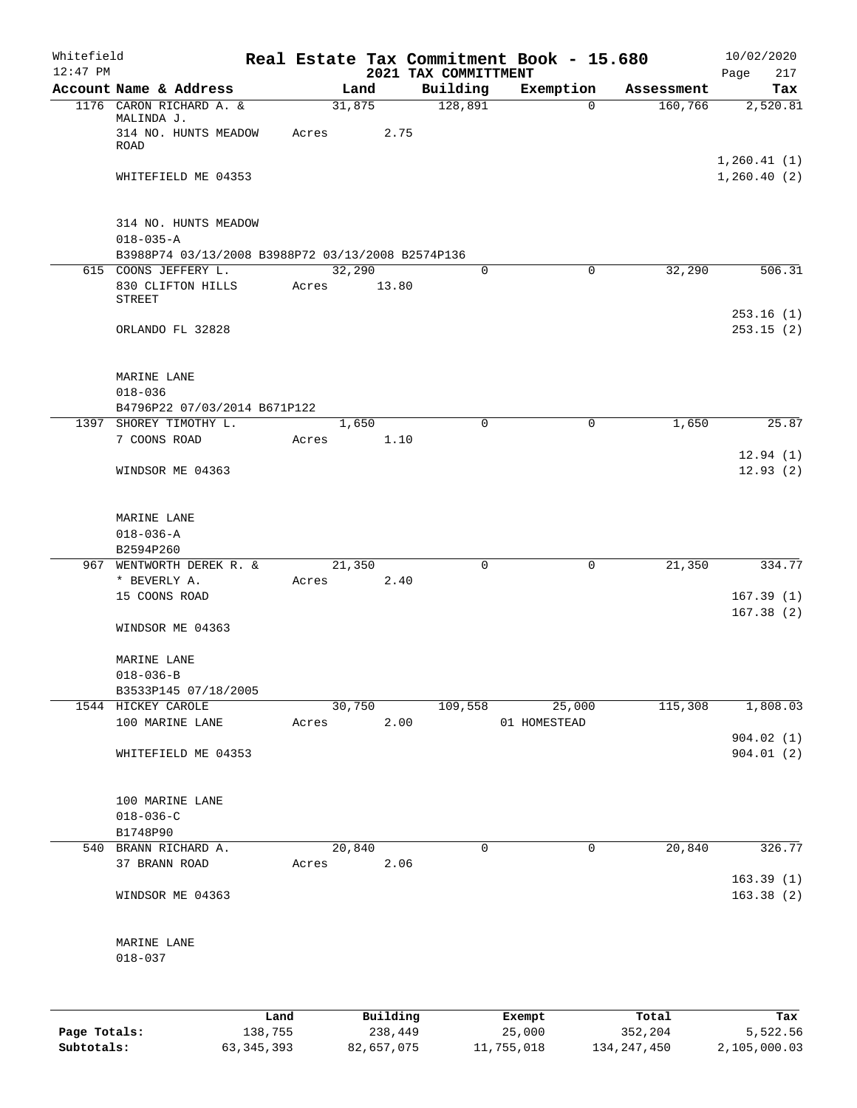| Whitefield<br>$12:47$ PM |                                                               |         |       |                 |      |                                  | Real Estate Tax Commitment Book - 15.680 |            | 10/02/2020             |
|--------------------------|---------------------------------------------------------------|---------|-------|-----------------|------|----------------------------------|------------------------------------------|------------|------------------------|
|                          | Account Name & Address                                        |         |       | Land            |      | 2021 TAX COMMITTMENT<br>Building | Exemption                                | Assessment | 217<br>Page<br>Tax     |
|                          | 1176 CARON RICHARD A. &<br>MALINDA J.<br>314 NO. HUNTS MEADOW |         | Acres | 31,875          | 2.75 | 128,891                          | $\mathbf 0$                              | 160,766    | 2,520.81               |
|                          | <b>ROAD</b>                                                   |         |       |                 |      |                                  |                                          |            | 1, 260.41(1)           |
|                          | WHITEFIELD ME 04353                                           |         |       |                 |      |                                  |                                          |            | 1,260.40(2)            |
|                          | 314 NO. HUNTS MEADOW<br>$018 - 035 - A$                       |         |       |                 |      |                                  |                                          |            |                        |
|                          | B3988P74 03/13/2008 B3988P72 03/13/2008 B2574P136             |         |       |                 |      |                                  |                                          |            |                        |
|                          | 615 COONS JEFFERY L.<br>830 CLIFTON HILLS<br><b>STREET</b>    |         | Acres | 32,290<br>13.80 |      | 0                                | $\mathbf 0$                              | 32,290     | 506.31                 |
|                          | ORLANDO FL 32828                                              |         |       |                 |      |                                  |                                          |            | 253.16(1)<br>253.15(2) |
|                          | MARINE LANE<br>$018 - 036$                                    |         |       |                 |      |                                  |                                          |            |                        |
|                          | B4796P22 07/03/2014 B671P122                                  |         |       |                 |      |                                  |                                          |            |                        |
|                          | 1397 SHOREY TIMOTHY L.                                        |         |       | 1,650           |      | 0                                | 0                                        | 1,650      | 25.87                  |
|                          | 7 COONS ROAD                                                  |         | Acres | 1.10            |      |                                  |                                          |            | 12.94(1)               |
|                          | WINDSOR ME 04363                                              |         |       |                 |      |                                  |                                          |            | 12.93(2)               |
|                          | MARINE LANE<br>$018 - 036 - A$                                |         |       |                 |      |                                  |                                          |            |                        |
|                          | B2594P260                                                     |         |       |                 |      |                                  |                                          |            |                        |
|                          | 967 WENTWORTH DEREK R. &                                      |         |       | 21,350          |      | $\mathbf 0$                      | $\mathbf 0$                              | 21,350     | 334.77                 |
|                          | * BEVERLY A.                                                  |         | Acres | 2.40            |      |                                  |                                          |            |                        |
|                          | 15 COONS ROAD                                                 |         |       |                 |      |                                  |                                          |            | 167.39(1)<br>167.38(2) |
|                          | WINDSOR ME 04363                                              |         |       |                 |      |                                  |                                          |            |                        |
|                          | MARINE LANE                                                   |         |       |                 |      |                                  |                                          |            |                        |
|                          | $018 - 036 - B$                                               |         |       |                 |      |                                  |                                          |            |                        |
|                          | B3533P145 07/18/2005<br>1544 HICKEY CAROLE                    |         |       | 30,750          |      | 109,558                          | 25,000                                   | 115,308    | 1,808.03               |
|                          | 100 MARINE LANE                                               |         | Acres | 2.00            |      |                                  | 01 HOMESTEAD                             |            |                        |
|                          | WHITEFIELD ME 04353                                           |         |       |                 |      |                                  |                                          |            | 904.02(1)<br>904.01(2) |
|                          |                                                               |         |       |                 |      |                                  |                                          |            |                        |
|                          | 100 MARINE LANE                                               |         |       |                 |      |                                  |                                          |            |                        |
|                          | $018 - 036 - C$                                               |         |       |                 |      |                                  |                                          |            |                        |
|                          | B1748P90                                                      |         |       |                 |      |                                  |                                          |            |                        |
|                          | 540 BRANN RICHARD A.                                          |         |       | 20,840          |      | 0                                | 0                                        | 20,840     | 326.77                 |
|                          | 37 BRANN ROAD                                                 |         | Acres |                 | 2.06 |                                  |                                          |            | 163.39(1)              |
|                          | WINDSOR ME 04363                                              |         |       |                 |      |                                  |                                          |            | 163.38(2)              |
|                          | MARINE LANE<br>$018 - 037$                                    |         |       |                 |      |                                  |                                          |            |                        |
|                          |                                                               |         |       |                 |      |                                  |                                          |            |                        |
|                          |                                                               | Land    |       | Building        |      |                                  | Exempt                                   | Total      | Tax                    |
| Page Totals:             |                                                               | 138,755 |       | 238,449         |      |                                  | 25,000                                   | 352,204    | 5,522.56               |

**Subtotals:** 63,345,393 82,657,075 11,755,018 134,247,450 2,105,000.03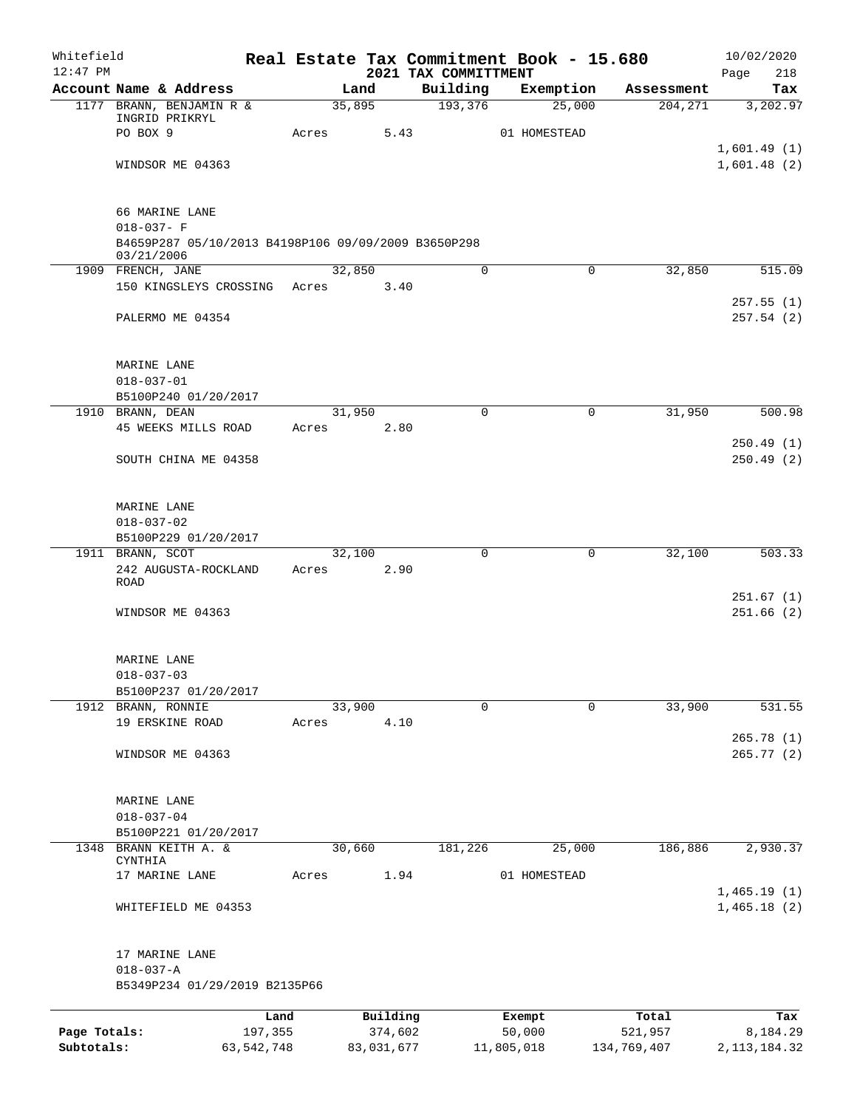| Whitefield<br>$12:47$ PM |                                                     |       |        |                     |                                  | Real Estate Tax Commitment Book - 15.680 |                       | 10/02/2020             |
|--------------------------|-----------------------------------------------------|-------|--------|---------------------|----------------------------------|------------------------------------------|-----------------------|------------------------|
|                          | Account Name & Address                              |       | Land   |                     | 2021 TAX COMMITTMENT<br>Building | Exemption                                | Assessment            | 218<br>Page<br>Tax     |
|                          | 1177 BRANN, BENJAMIN R &                            |       | 35,895 |                     | 193,376                          | 25,000                                   | 204, 271              | 3,202.97               |
|                          | INGRID PRIKRYL<br>PO BOX 9                          | Acres |        | 5.43                |                                  | 01 HOMESTEAD                             |                       |                        |
|                          |                                                     |       |        |                     |                                  |                                          |                       | 1,601.49(1)            |
|                          | WINDSOR ME 04363                                    |       |        |                     |                                  |                                          |                       | 1,601.48(2)            |
|                          | 66 MARINE LANE                                      |       |        |                     |                                  |                                          |                       |                        |
|                          | $018 - 037 - F$                                     |       |        |                     |                                  |                                          |                       |                        |
|                          | B4659P287 05/10/2013 B4198P106 09/09/2009 B3650P298 |       |        |                     |                                  |                                          |                       |                        |
|                          | 03/21/2006<br>1909 FRENCH, JANE                     |       | 32,850 |                     | 0                                |                                          | 0<br>32,850           | 515.09                 |
|                          | 150 KINGSLEYS CROSSING                              | Acres |        | 3.40                |                                  |                                          |                       |                        |
|                          | PALERMO ME 04354                                    |       |        |                     |                                  |                                          |                       | 257.55(1)<br>257.54(2) |
|                          |                                                     |       |        |                     |                                  |                                          |                       |                        |
|                          | MARINE LANE                                         |       |        |                     |                                  |                                          |                       |                        |
|                          | $018 - 037 - 01$                                    |       |        |                     |                                  |                                          |                       |                        |
|                          | B5100P240 01/20/2017<br>1910 BRANN, DEAN            |       | 31,950 |                     | $\Omega$                         |                                          | $\mathbf 0$<br>31,950 | 500.98                 |
|                          | 45 WEEKS MILLS ROAD                                 | Acres |        | 2.80                |                                  |                                          |                       |                        |
|                          | SOUTH CHINA ME 04358                                |       |        |                     |                                  |                                          |                       | 250.49(1)<br>250.49(2) |
|                          |                                                     |       |        |                     |                                  |                                          |                       |                        |
|                          | MARINE LANE                                         |       |        |                     |                                  |                                          |                       |                        |
|                          | $018 - 037 - 02$                                    |       |        |                     |                                  |                                          |                       |                        |
|                          | B5100P229 01/20/2017<br>1911 BRANN, SCOT            |       | 32,100 |                     | $\mathbf 0$                      |                                          | 32,100<br>0           | 503.33                 |
|                          | 242 AUGUSTA-ROCKLAND                                | Acres |        | 2.90                |                                  |                                          |                       |                        |
|                          | ROAD                                                |       |        |                     |                                  |                                          |                       |                        |
|                          | WINDSOR ME 04363                                    |       |        |                     |                                  |                                          |                       | 251.67(1)<br>251.66(2) |
|                          | MARINE LANE                                         |       |        |                     |                                  |                                          |                       |                        |
|                          | $018 - 037 - 03$                                    |       |        |                     |                                  |                                          |                       |                        |
|                          | B5100P237 01/20/2017                                |       |        |                     |                                  |                                          |                       |                        |
|                          | 1912 BRANN, RONNIE                                  |       | 33,900 |                     | $\Omega$                         |                                          | 33,900<br>0           | 531.55                 |
|                          | 19 ERSKINE ROAD                                     | Acres |        | 4.10                |                                  |                                          |                       | 265.78 (1)             |
|                          | WINDSOR ME 04363                                    |       |        |                     |                                  |                                          |                       | 265.77(2)              |
|                          | MARINE LANE                                         |       |        |                     |                                  |                                          |                       |                        |
|                          | $018 - 037 - 04$                                    |       |        |                     |                                  |                                          |                       |                        |
|                          | B5100P221 01/20/2017                                |       |        |                     |                                  |                                          |                       |                        |
|                          | 1348 BRANN KEITH A. &                               |       | 30,660 |                     | 181,226                          | 25,000                                   | 186,886               | 2,930.37               |
|                          | CYNTHIA<br>17 MARINE LANE                           | Acres |        | 1.94                |                                  | 01 HOMESTEAD                             |                       |                        |
|                          |                                                     |       |        |                     |                                  |                                          |                       | 1,465.19(1)            |
|                          | WHITEFIELD ME 04353                                 |       |        |                     |                                  |                                          |                       | 1,465.18(2)            |
|                          | 17 MARINE LANE                                      |       |        |                     |                                  |                                          |                       |                        |
|                          | $018 - 037 - A$                                     |       |        |                     |                                  |                                          |                       |                        |
|                          | B5349P234 01/29/2019 B2135P66                       |       |        |                     |                                  |                                          |                       |                        |
| Page Totals:             | 197,355                                             | Land  |        | Building<br>374,602 |                                  | Exempt<br>50,000                         | Total<br>521,957      | Tax<br>8,184.29        |
| Subtotals:               | 63, 542, 748                                        |       |        | 83,031,677          |                                  | 11,805,018                               | 134,769,407           | 2, 113, 184. 32        |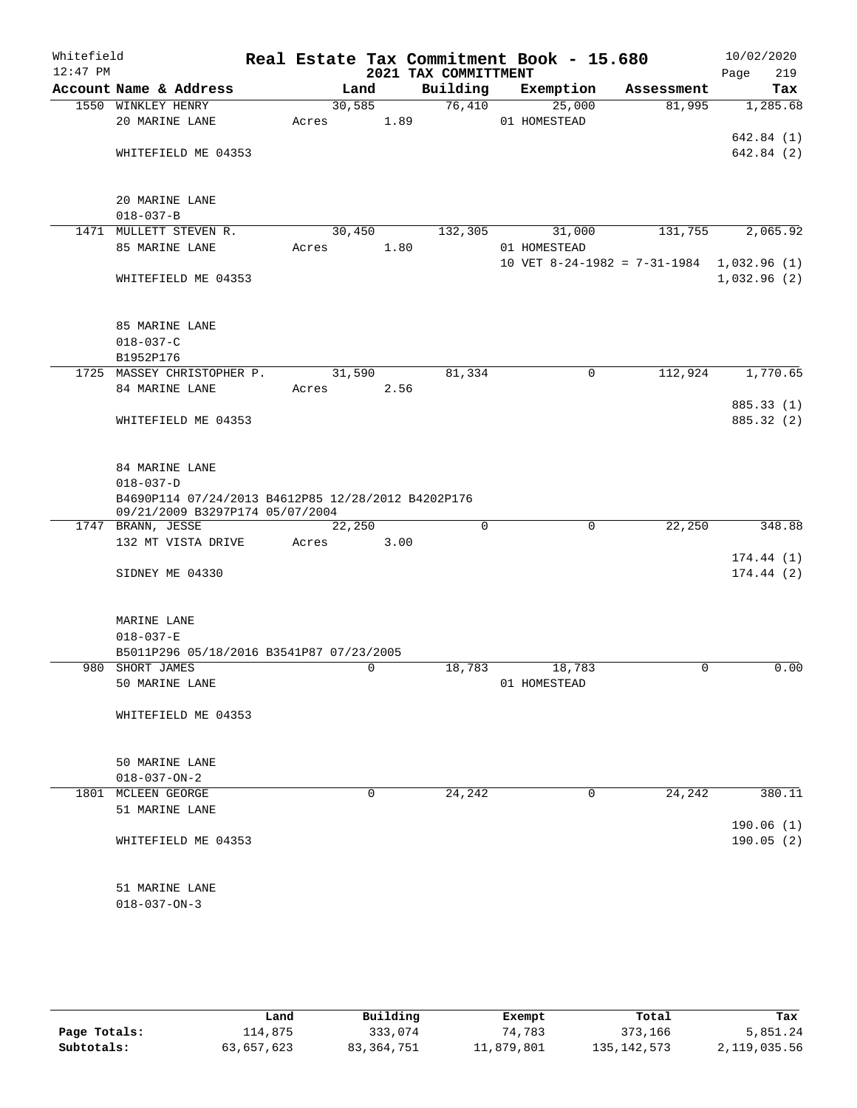| Whitefield<br>$12:47$ PM |                                                                                                          |        |             | 2021 TAX COMMITTMENT | Real Estate Tax Commitment Book - 15.680 |            | 10/02/2020<br>219<br>Page |
|--------------------------|----------------------------------------------------------------------------------------------------------|--------|-------------|----------------------|------------------------------------------|------------|---------------------------|
|                          | Account Name & Address                                                                                   |        | Land        | Building             | Exemption                                | Assessment | Tax                       |
|                          | 1550 WINKLEY HENRY                                                                                       | 30,585 |             | 76,410               | 25,000                                   | 81,995     | 1,285.68                  |
|                          | 20 MARINE LANE                                                                                           | Acres  | 1.89        |                      | 01 HOMESTEAD                             |            |                           |
|                          |                                                                                                          |        |             |                      |                                          |            | 642.84 (1)                |
|                          | WHITEFIELD ME 04353                                                                                      |        |             |                      |                                          |            | 642.84 (2)                |
|                          | 20 MARINE LANE                                                                                           |        |             |                      |                                          |            |                           |
|                          | $018 - 037 - B$                                                                                          |        |             |                      |                                          |            |                           |
|                          | 1471 MULLETT STEVEN R.                                                                                   | 30,450 |             | 132,305              | 31,000                                   | 131,755    | 2,065.92                  |
|                          | 85 MARINE LANE                                                                                           | Acres  | 1.80        |                      | 01 HOMESTEAD                             |            |                           |
|                          |                                                                                                          |        |             |                      | 10 VET $8-24-1982 = 7-31-1984$           |            | 1,032.96 (1)              |
|                          | WHITEFIELD ME 04353                                                                                      |        |             |                      |                                          |            | 1,032.96(2)               |
|                          | 85 MARINE LANE                                                                                           |        |             |                      |                                          |            |                           |
|                          | $018 - 037 - C$                                                                                          |        |             |                      |                                          |            |                           |
|                          | B1952P176                                                                                                |        |             |                      |                                          |            |                           |
|                          | 1725 MASSEY CHRISTOPHER P.                                                                               | 31,590 |             | 81,334               | 0                                        | 112,924    | 1,770.65                  |
|                          | 84 MARINE LANE                                                                                           | Acres  | 2.56        |                      |                                          |            |                           |
|                          |                                                                                                          |        |             |                      |                                          |            | 885.33 (1)                |
|                          | WHITEFIELD ME 04353                                                                                      |        |             |                      |                                          |            | 885.32 (2)                |
|                          | 84 MARINE LANE                                                                                           |        |             |                      |                                          |            |                           |
|                          | $018 - 037 - D$<br>B4690P114 07/24/2013 B4612P85 12/28/2012 B4202P176<br>09/21/2009 B3297P174 05/07/2004 |        |             |                      |                                          |            |                           |
|                          | 1747 BRANN, JESSE                                                                                        | 22,250 |             | $\Omega$             | $\mathbf 0$                              | 22,250     | 348.88                    |
|                          | 132 MT VISTA DRIVE                                                                                       | Acres  | 3.00        |                      |                                          |            |                           |
|                          |                                                                                                          |        |             |                      |                                          |            | 174.44(1)                 |
|                          | SIDNEY ME 04330                                                                                          |        |             |                      |                                          |            | 174.44(2)                 |
|                          | MARINE LANE                                                                                              |        |             |                      |                                          |            |                           |
|                          | $018 - 037 - E$                                                                                          |        |             |                      |                                          |            |                           |
|                          | B5011P296 05/18/2016 B3541P87 07/23/2005                                                                 |        |             |                      |                                          |            |                           |
|                          | 980 SHORT JAMES<br>50 MARINE LANE                                                                        |        | 0           | 18,783               | 18,783<br>01 HOMESTEAD                   | 0          | 0.00                      |
|                          | WHITEFIELD ME 04353                                                                                      |        |             |                      |                                          |            |                           |
|                          |                                                                                                          |        |             |                      |                                          |            |                           |
|                          | 50 MARINE LANE                                                                                           |        |             |                      |                                          |            |                           |
|                          | $018 - 037 - ON - 2$                                                                                     |        |             |                      |                                          |            |                           |
|                          | 1801 MCLEEN GEORGE                                                                                       |        | $\mathbf 0$ | 24,242               | 0                                        | 24,242     | 380.11                    |
|                          | 51 MARINE LANE                                                                                           |        |             |                      |                                          |            | 190.06(1)                 |
|                          | WHITEFIELD ME 04353                                                                                      |        |             |                      |                                          |            | 190.05(2)                 |
|                          | 51 MARINE LANE                                                                                           |        |             |                      |                                          |            |                           |
|                          | $018 - 037 - ON - 3$                                                                                     |        |             |                      |                                          |            |                           |
|                          |                                                                                                          |        |             |                      |                                          |            |                           |

|              | Land       | Building     | Exempt     | Total         | Tax          |
|--------------|------------|--------------|------------|---------------|--------------|
| Page Totals: | ⊥14,875    | 333,074      | 74,783     | 373,166       | 5,851.24     |
| Subtotals:   | 63,657,623 | 83, 364, 751 | 11,879,801 | 135, 142, 573 | 2,119,035.56 |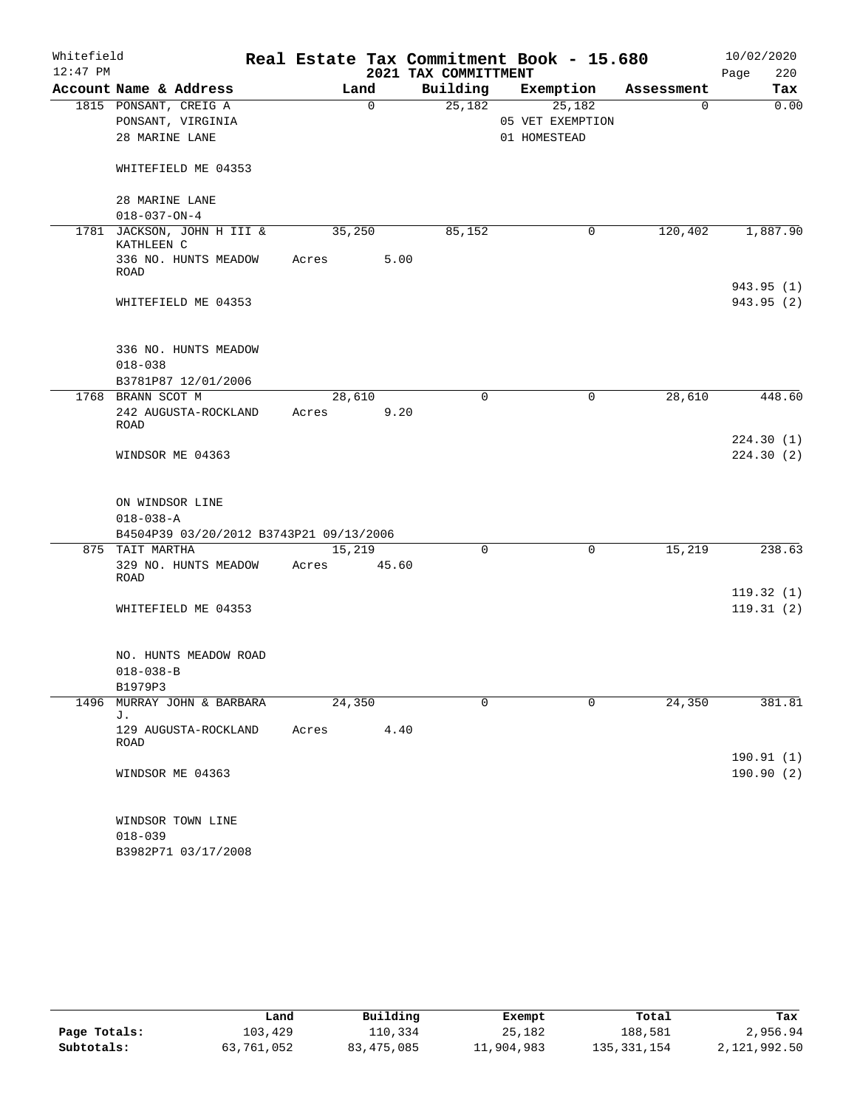| Whitefield |                                          |       |        |          |                      | Real Estate Tax Commitment Book - 15.680 |             | 10/02/2020  |
|------------|------------------------------------------|-------|--------|----------|----------------------|------------------------------------------|-------------|-------------|
| $12:47$ PM |                                          |       |        |          | 2021 TAX COMMITTMENT |                                          |             | 220<br>Page |
|            | Account Name & Address                   |       | Land   |          | Building             | Exemption                                | Assessment  | Tax         |
|            | 1815 PONSANT, CREIG A                    |       |        | $\Omega$ | 25,182               | 25,182                                   | $\mathbf 0$ | 0.00        |
|            | PONSANT, VIRGINIA                        |       |        |          |                      | 05 VET EXEMPTION                         |             |             |
|            | 28 MARINE LANE                           |       |        |          |                      | 01 HOMESTEAD                             |             |             |
|            | WHITEFIELD ME 04353                      |       |        |          |                      |                                          |             |             |
|            | 28 MARINE LANE                           |       |        |          |                      |                                          |             |             |
|            | $018 - 037 - ON - 4$                     |       |        |          |                      |                                          |             |             |
|            | 1781 JACKSON, JOHN H III &<br>KATHLEEN C |       | 35,250 |          | 85,152               | 0                                        | 120,402     | 1,887.90    |
|            | 336 NO. HUNTS MEADOW<br><b>ROAD</b>      | Acres |        | 5.00     |                      |                                          |             |             |
|            |                                          |       |        |          |                      |                                          |             | 943.95 (1)  |
|            | WHITEFIELD ME 04353                      |       |        |          |                      |                                          |             | 943.95 (2)  |
|            | 336 NO. HUNTS MEADOW                     |       |        |          |                      |                                          |             |             |
|            | $018 - 038$                              |       |        |          |                      |                                          |             |             |
|            | B3781P87 12/01/2006                      |       |        |          |                      |                                          |             |             |
|            | 1768 BRANN SCOT M                        |       | 28,610 |          | $\Omega$             | 0                                        | 28,610      | 448.60      |
|            | 242 AUGUSTA-ROCKLAND<br><b>ROAD</b>      | Acres |        | 9.20     |                      |                                          |             |             |
|            |                                          |       |        |          |                      |                                          |             | 224.30(1)   |
|            | WINDSOR ME 04363                         |       |        |          |                      |                                          |             | 224.30(2)   |
|            | ON WINDSOR LINE                          |       |        |          |                      |                                          |             |             |
|            | $018 - 038 - A$                          |       |        |          |                      |                                          |             |             |
|            | B4504P39 03/20/2012 B3743P21 09/13/2006  |       |        |          |                      |                                          |             |             |
|            | 875 TAIT MARTHA                          |       | 15,219 |          | 0                    | $\mathsf{O}$                             | 15,219      | 238.63      |
|            | 329 NO. HUNTS MEADOW                     | Acres |        | 45.60    |                      |                                          |             |             |
|            | ROAD                                     |       |        |          |                      |                                          |             |             |
|            |                                          |       |        |          |                      |                                          |             | 119.32(1)   |
|            | WHITEFIELD ME 04353                      |       |        |          |                      |                                          |             | 119.31(2)   |
|            | NO. HUNTS MEADOW ROAD                    |       |        |          |                      |                                          |             |             |
|            | $018 - 038 - B$                          |       |        |          |                      |                                          |             |             |
|            | B1979P3                                  |       |        |          |                      |                                          |             |             |
| 1496       | MURRAY JOHN & BARBARA                    |       | 24,350 |          | 0                    | $\Omega$                                 | 24,350      | 381.81      |
|            | J.                                       |       |        |          |                      |                                          |             |             |
|            | 129 AUGUSTA-ROCKLAND<br>ROAD             | Acres |        | 4.40     |                      |                                          |             |             |
|            |                                          |       |        |          |                      |                                          |             | 190.91 (1)  |
|            | WINDSOR ME 04363                         |       |        |          |                      |                                          |             | 190.90(2)   |
|            | WINDSOR TOWN LINE                        |       |        |          |                      |                                          |             |             |
|            | $018 - 039$                              |       |        |          |                      |                                          |             |             |
|            | B3982P71 03/17/2008                      |       |        |          |                      |                                          |             |             |

|              | Land       | Building   | Exempt     | Total       | Tax          |
|--------------|------------|------------|------------|-------------|--------------|
| Page Totals: | 103,429    | 110,334    | 25,182     | 188,581     | 2,956.94     |
| Subtotals:   | 63,761,052 | 83,475,085 | 11,904,983 | 135,331,154 | 2,121,992.50 |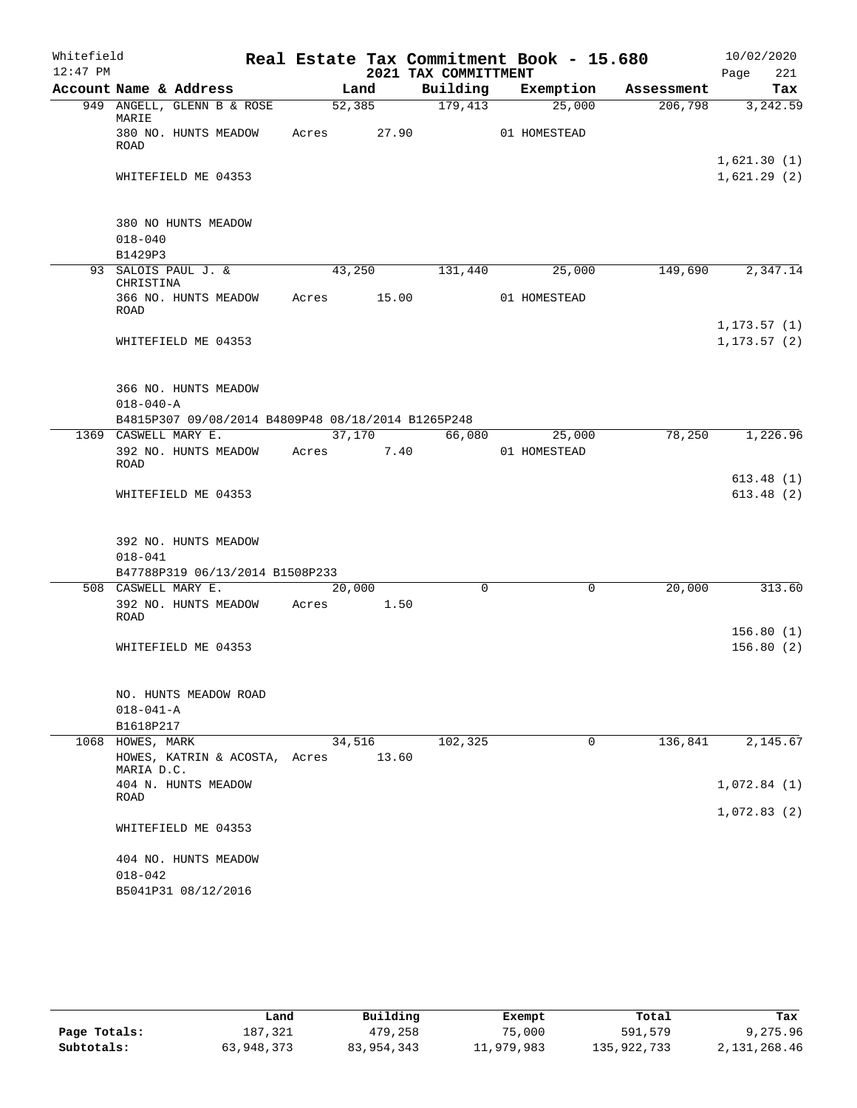| Whitefield |                                                                            |            |        |        |                      | Real Estate Tax Commitment Book - 15.680 |            | 10/02/2020                   |                        |
|------------|----------------------------------------------------------------------------|------------|--------|--------|----------------------|------------------------------------------|------------|------------------------------|------------------------|
| $12:47$ PM |                                                                            |            |        |        | 2021 TAX COMMITTMENT |                                          |            | Page                         | 221                    |
|            | Account Name & Address                                                     |            | Land   |        |                      | Building Exemption                       | Assessment |                              | Tax                    |
|            | 949 ANGELL, GLENN B & ROSE<br>MARIE                                        |            | 52,385 |        | $\overline{179,413}$ | 25,000                                   | 206,798    |                              | 3,242.59               |
|            | 380 NO. HUNTS MEADOW<br>ROAD                                               | Acres      |        | 27.90  |                      | 01 HOMESTEAD                             |            | 1,621.30(1)                  |                        |
|            | WHITEFIELD ME 04353                                                        |            |        |        |                      |                                          |            | 1,621.29(2)                  |                        |
|            | 380 NO HUNTS MEADOW<br>$018 - 040$                                         |            |        |        |                      |                                          |            |                              |                        |
|            | B1429P3                                                                    |            |        |        |                      |                                          |            |                              |                        |
|            | 93 SALOIS PAUL J. &<br>CHRISTINA                                           |            | 43,250 |        | 131,440              | 25,000                                   | 149,690    |                              | 2,347.14               |
|            | 366 NO. HUNTS MEADOW Acres 15.00<br>ROAD                                   |            |        |        |                      | 01 HOMESTEAD                             |            |                              |                        |
|            | WHITEFIELD ME 04353                                                        |            |        |        |                      |                                          |            | 1, 173.57(1)<br>1, 173.57(2) |                        |
|            | 366 NO. HUNTS MEADOW<br>$018 - 040 - A$                                    |            |        |        |                      |                                          |            |                              |                        |
|            | B4815P307 09/08/2014 B4809P48 08/18/2014 B1265P248<br>1369 CASWELL MARY E. |            |        | 37,170 |                      | 66,080 25,000                            | 78,250     |                              | 1,226.96               |
|            | 392 NO. HUNTS MEADOW<br>ROAD                                               | Acres 7.40 |        |        |                      | 01 HOMESTEAD                             |            |                              |                        |
|            | WHITEFIELD ME 04353                                                        |            |        |        |                      |                                          |            |                              | 613.48(1)<br>613.48(2) |
|            | 392 NO. HUNTS MEADOW<br>$018 - 041$<br>B47788P319 06/13/2014 B1508P233     |            |        |        |                      |                                          |            |                              |                        |
|            | 508 CASWELL MARY E.                                                        |            | 20,000 |        | $\mathbf 0$          | $\mathbf 0$                              | 20,000     |                              | 313.60                 |
|            | 392 NO. HUNTS MEADOW<br>ROAD                                               | Acres      |        | 1.50   |                      |                                          |            |                              |                        |
|            | WHITEFIELD ME 04353                                                        |            |        |        |                      |                                          |            |                              | 156.80(1)<br>156.80(2) |
|            | NO. HUNTS MEADOW ROAD<br>$018 - 041 - A$<br>B1618P217                      |            |        |        |                      |                                          |            |                              |                        |
| 1068       | HOWES, MARK                                                                |            | 34,516 |        | 102,325              | 0                                        | 136,841    |                              | 2,145.67               |
|            | HOWES, KATRIN & ACOSTA, Acres<br>MARIA D.C.                                |            |        | 13.60  |                      |                                          |            |                              |                        |
|            | 404 N. HUNTS MEADOW<br>ROAD                                                |            |        |        |                      |                                          |            | 1,072.84(1)                  |                        |
|            | WHITEFIELD ME 04353                                                        |            |        |        |                      |                                          |            | 1,072.83(2)                  |                        |
|            | 404 NO. HUNTS MEADOW<br>$018 - 042$                                        |            |        |        |                      |                                          |            |                              |                        |
|            | B5041P31 08/12/2016                                                        |            |        |        |                      |                                          |            |                              |                        |

|              | Land       | Building   | Exempt     | Total       | Tax          |
|--------------|------------|------------|------------|-------------|--------------|
| Page Totals: | 187,321    | 479,258    | 75,000     | 591,579     | 9,275.96     |
| Subtotals:   | 63,948,373 | 83,954,343 | 11,979,983 | 135,922,733 | 2,131,268.46 |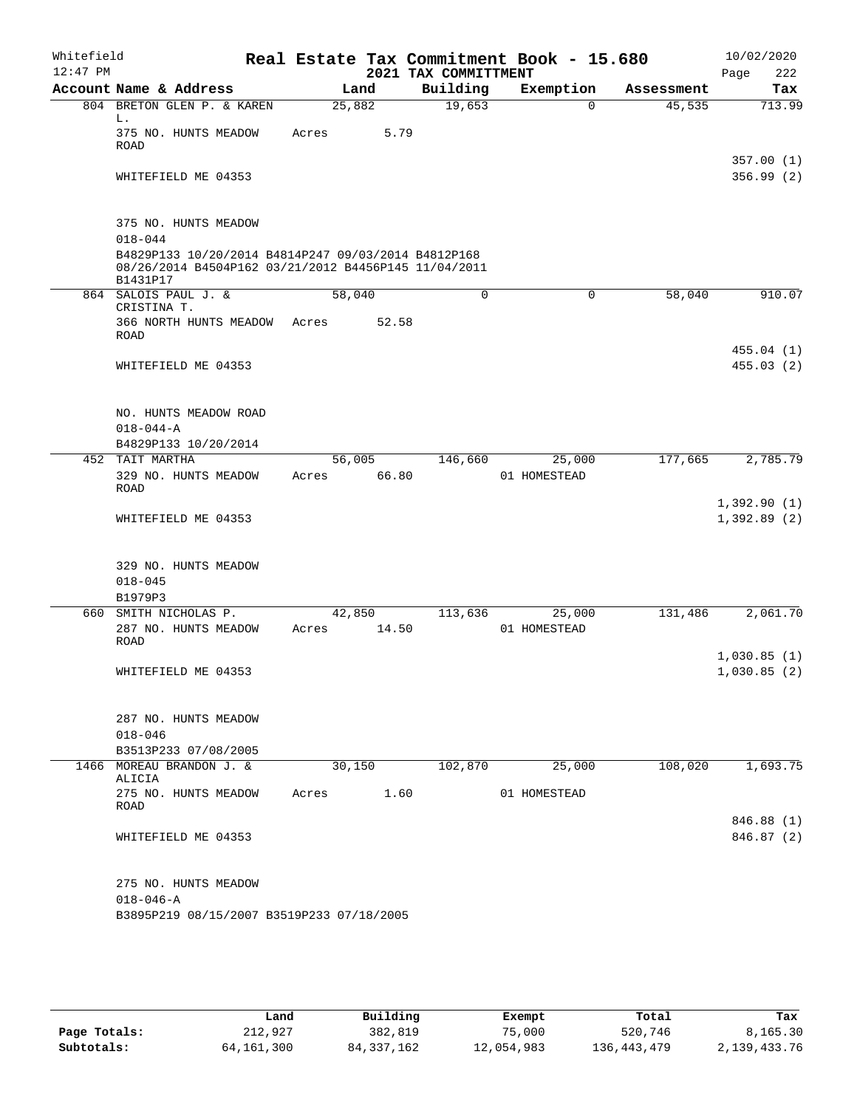| Whitefield<br>$12:47$ PM |                                                                                                                         |        |       | 2021 TAX COMMITTMENT | Real Estate Tax Commitment Book - 15.680 |            | 10/02/2020<br>222<br>Page  |
|--------------------------|-------------------------------------------------------------------------------------------------------------------------|--------|-------|----------------------|------------------------------------------|------------|----------------------------|
|                          | Account Name & Address                                                                                                  | Land   |       | Building             | Exemption                                | Assessment | Tax                        |
|                          | 804 BRETON GLEN P. & KAREN                                                                                              | 25,882 |       | 19,653               | 0                                        | 45,535     | 713.99                     |
|                          | L.<br>375 NO. HUNTS MEADOW<br><b>ROAD</b>                                                                               | Acres  | 5.79  |                      |                                          |            |                            |
|                          | WHITEFIELD ME 04353                                                                                                     |        |       |                      |                                          |            | 357.00(1)<br>356.99(2)     |
|                          | 375 NO. HUNTS MEADOW                                                                                                    |        |       |                      |                                          |            |                            |
|                          | $018 - 044$                                                                                                             |        |       |                      |                                          |            |                            |
|                          | B4829P133 10/20/2014 B4814P247 09/03/2014 B4812P168<br>08/26/2014 B4504P162 03/21/2012 B4456P145 11/04/2011<br>B1431P17 |        |       |                      |                                          |            |                            |
|                          | 864 SALOIS PAUL J. &<br>CRISTINA T.                                                                                     | 58,040 |       | 0                    | 0                                        | 58,040     | 910.07                     |
|                          | 366 NORTH HUNTS MEADOW<br>ROAD                                                                                          | Acres  | 52.58 |                      |                                          |            |                            |
|                          | WHITEFIELD ME 04353                                                                                                     |        |       |                      |                                          |            | 455.04(1)<br>455.03(2)     |
|                          | NO. HUNTS MEADOW ROAD                                                                                                   |        |       |                      |                                          |            |                            |
|                          | $018 - 044 - A$<br>B4829P133 10/20/2014                                                                                 |        |       |                      |                                          |            |                            |
|                          | 452 TAIT MARTHA                                                                                                         | 56,005 |       | 146,660              | 25,000                                   | 177,665    | 2,785.79                   |
|                          | 329 NO. HUNTS MEADOW<br>ROAD                                                                                            | Acres  | 66.80 |                      | 01 HOMESTEAD                             |            |                            |
|                          | WHITEFIELD ME 04353                                                                                                     |        |       |                      |                                          |            | 1,392.90(1)<br>1,392.89(2) |
|                          | 329 NO. HUNTS MEADOW<br>$018 - 045$<br>B1979P3                                                                          |        |       |                      |                                          |            |                            |
|                          | 660 SMITH NICHOLAS P.                                                                                                   | 42,850 |       | 113,636              | 25,000                                   | 131,486    | 2,061.70                   |
|                          | 287 NO. HUNTS MEADOW<br><b>ROAD</b>                                                                                     | Acres  | 14.50 |                      | 01 HOMESTEAD                             |            |                            |
|                          | WHITEFIELD ME 04353                                                                                                     |        |       |                      |                                          |            | 1,030.85(1)<br>1,030.85(2) |
|                          | 287 NO. HUNTS MEADOW<br>$018 - 046$                                                                                     |        |       |                      |                                          |            |                            |
|                          | B3513P233 07/08/2005                                                                                                    |        |       |                      |                                          |            |                            |
|                          | 1466 MOREAU BRANDON J. &                                                                                                | 30,150 |       | 102,870              | 25,000                                   | 108,020    | 1,693.75                   |
|                          | ALICIA<br>275 NO. HUNTS MEADOW<br>ROAD                                                                                  | Acres  | 1.60  |                      | 01 HOMESTEAD                             |            |                            |
|                          | WHITEFIELD ME 04353                                                                                                     |        |       |                      |                                          |            | 846.88 (1)<br>846.87 (2)   |
|                          | 275 NO. HUNTS MEADOW<br>$018 - 046 - A$<br>B3895P219 08/15/2007 B3519P233 07/18/2005                                    |        |       |                      |                                          |            |                            |

|              | Land         | Building     | Exempt     | Total         | Tax          |
|--------------|--------------|--------------|------------|---------------|--------------|
| Page Totals: | 212,927      | 382,819      | 75,000     | 520,746       | 8,165.30     |
| Subtotals:   | 64, 161, 300 | 84, 337, 162 | 12,054,983 | 136, 443, 479 | 2,139,433.76 |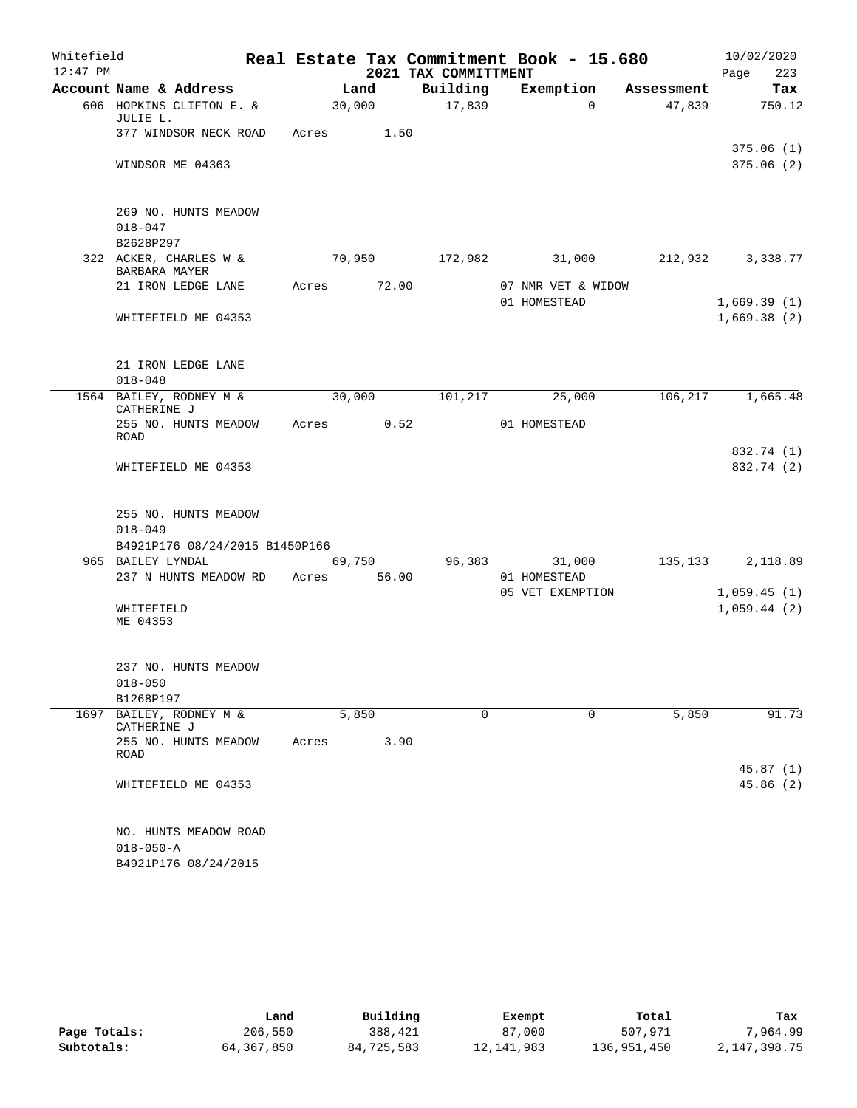| Whitefield |                          |                                               |       |        |       |                      | Real Estate Tax Commitment Book - 15.680 |            | 10/02/2020  |                          |
|------------|--------------------------|-----------------------------------------------|-------|--------|-------|----------------------|------------------------------------------|------------|-------------|--------------------------|
| $12:47$ PM |                          |                                               |       |        |       | 2021 TAX COMMITTMENT |                                          |            | Page        | 223                      |
|            |                          | Account Name & Address                        |       | Land   |       | Building             | Exemption                                | Assessment |             | Tax                      |
|            | JULIE L.                 | 606 HOPKINS CLIFTON E. &                      |       | 30,000 |       | 17,839               | $\Omega$                                 | 47,839     |             | 750.12                   |
|            |                          | 377 WINDSOR NECK ROAD                         | Acres |        | 1.50  |                      |                                          |            |             |                          |
|            |                          | WINDSOR ME 04363                              |       |        |       |                      |                                          |            |             | 375.06(1)<br>375.06 (2)  |
|            |                          | 269 NO. HUNTS MEADOW                          |       |        |       |                      |                                          |            |             |                          |
|            | $018 - 047$              |                                               |       |        |       |                      |                                          |            |             |                          |
|            | B2628P297                |                                               |       |        |       |                      |                                          |            |             |                          |
|            | BARBARA MAYER            | 322 ACKER, CHARLES W &                        |       | 70,950 |       | 172,982              | 31,000                                   | 212,932    |             | 3,338.77                 |
|            |                          | 21 IRON LEDGE LANE                            | Acres |        | 72.00 |                      | 07 NMR VET & WIDOW<br>01 HOMESTEAD       |            | 1,669.39(1) |                          |
|            |                          | WHITEFIELD ME 04353                           |       |        |       |                      |                                          |            | 1,669.38(2) |                          |
|            |                          | 21 IRON LEDGE LANE                            |       |        |       |                      |                                          |            |             |                          |
|            | $018 - 048$              |                                               |       |        |       |                      |                                          |            |             |                          |
|            | CATHERINE J              | 1564 BAILEY, RODNEY M &                       |       | 30,000 |       | 101,217              | 25,000                                   | 106,217    |             | 1,665.48                 |
|            | ROAD                     | 255 NO. HUNTS MEADOW                          | Acres |        | 0.52  |                      | 01 HOMESTEAD                             |            |             |                          |
|            |                          | WHITEFIELD ME 04353                           |       |        |       |                      |                                          |            |             | 832.74 (1)<br>832.74 (2) |
|            |                          | 255 NO. HUNTS MEADOW                          |       |        |       |                      |                                          |            |             |                          |
|            | $018 - 049$              |                                               |       |        |       |                      |                                          |            |             |                          |
|            |                          | B4921P176 08/24/2015 B1450P166                |       |        |       |                      |                                          |            |             |                          |
|            | 965 BAILEY LYNDAL        | 237 N HUNTS MEADOW RD                         | Acres | 69,750 | 56.00 | 96,383               | 31,000<br>01 HOMESTEAD                   | 135,133    |             | 2,118.89                 |
|            |                          |                                               |       |        |       |                      | 05 VET EXEMPTION                         |            | 1,059.45(1) |                          |
|            | WHITEFIELD<br>ME 04353   |                                               |       |        |       |                      |                                          |            | 1,059.44(2) |                          |
|            |                          | 237 NO. HUNTS MEADOW                          |       |        |       |                      |                                          |            |             |                          |
|            | $018 - 050$<br>B1268P197 |                                               |       |        |       |                      |                                          |            |             |                          |
| 1697       |                          | BAILEY, RODNEY M &                            |       | 5,850  |       | 0                    | 0                                        | 5,850      |             | 91.73                    |
|            | CATHERINE J              |                                               |       |        |       |                      |                                          |            |             |                          |
|            | ROAD                     | 255 NO. HUNTS MEADOW                          | Acres |        | 3.90  |                      |                                          |            |             |                          |
|            |                          | WHITEFIELD ME 04353                           |       |        |       |                      |                                          |            |             | 45.87(1)<br>45.86(2)     |
|            | $018 - 050 - A$          | NO. HUNTS MEADOW ROAD<br>B4921P176 08/24/2015 |       |        |       |                      |                                          |            |             |                          |

|              | Land       | Building   | Exempt       | Total       | Tax          |
|--------------|------------|------------|--------------|-------------|--------------|
| Page Totals: | 206,550    | 388,421    | 87,000       | 507,971     | 7.964.99     |
| Subtotals:   | 64,367,850 | 84,725,583 | 12, 141, 983 | 136,951,450 | 2,147,398.75 |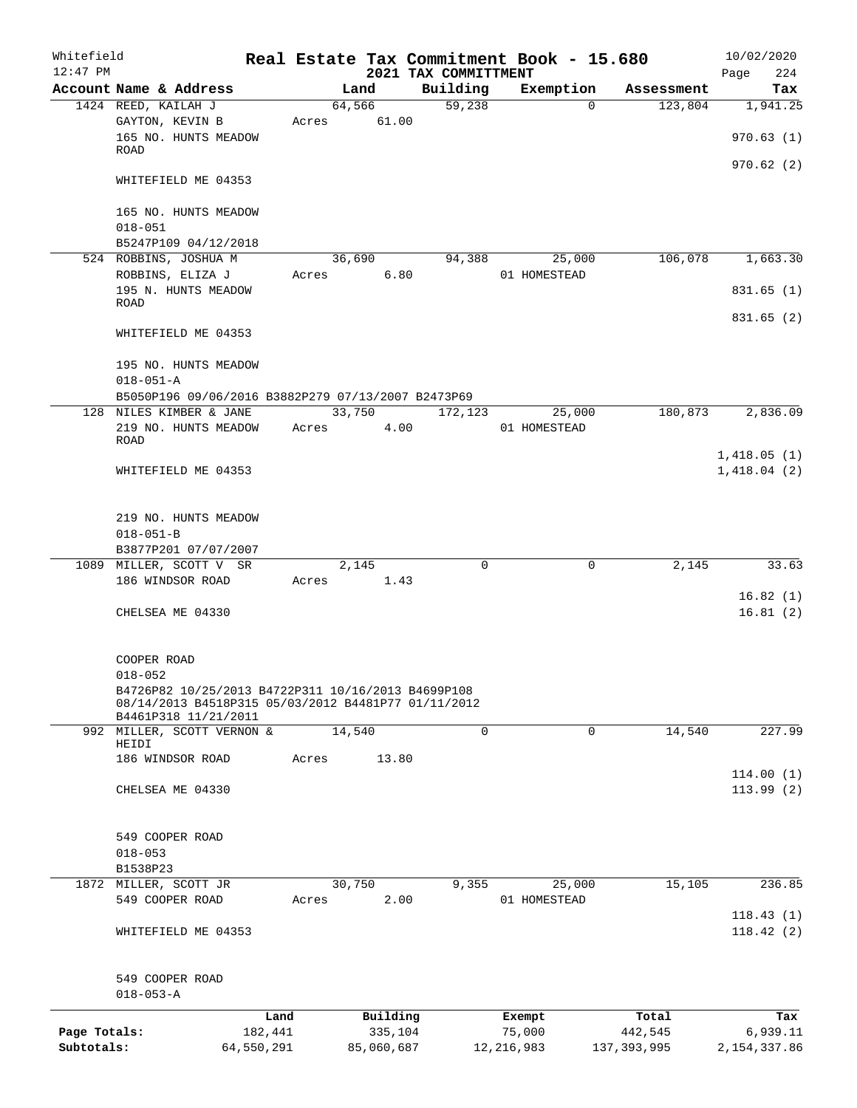| Whitefield   |                                                                             |            |       |                |      |                                  | Real Estate Tax Commitment Book - 15.680 |                       | 10/02/2020                 |
|--------------|-----------------------------------------------------------------------------|------------|-------|----------------|------|----------------------------------|------------------------------------------|-----------------------|----------------------------|
| $12:47$ PM   | Account Name & Address                                                      |            |       |                |      | 2021 TAX COMMITTMENT<br>Building |                                          |                       | 224<br>Page<br>Tax         |
|              | 1424 REED, KAILAH J                                                         |            |       | Land<br>64,566 |      | $\overline{59,238}$              | Exemption<br>$\Omega$                    | Assessment<br>123,804 | 1,941.25                   |
|              | GAYTON, KEVIN B                                                             |            | Acres | 61.00          |      |                                  |                                          |                       |                            |
|              | 165 NO. HUNTS MEADOW                                                        |            |       |                |      |                                  |                                          |                       | 970.63(1)                  |
|              | ROAD                                                                        |            |       |                |      |                                  |                                          |                       |                            |
|              |                                                                             |            |       |                |      |                                  |                                          |                       | 970.62(2)                  |
|              | WHITEFIELD ME 04353                                                         |            |       |                |      |                                  |                                          |                       |                            |
|              | 165 NO. HUNTS MEADOW                                                        |            |       |                |      |                                  |                                          |                       |                            |
|              | $018 - 051$                                                                 |            |       |                |      |                                  |                                          |                       |                            |
|              | B5247P109 04/12/2018                                                        |            |       |                |      |                                  |                                          |                       |                            |
|              | 524 ROBBINS, JOSHUA M                                                       |            |       | 36,690         |      | 94,388                           | 25,000                                   | 106,078               | 1,663.30                   |
|              | ROBBINS, ELIZA J                                                            |            | Acres |                | 6.80 |                                  | 01 HOMESTEAD                             |                       |                            |
|              | 195 N. HUNTS MEADOW                                                         |            |       |                |      |                                  |                                          |                       | 831.65(1)                  |
|              | ROAD                                                                        |            |       |                |      |                                  |                                          |                       |                            |
|              |                                                                             |            |       |                |      |                                  |                                          |                       | 831.65(2)                  |
|              | WHITEFIELD ME 04353                                                         |            |       |                |      |                                  |                                          |                       |                            |
|              | 195 NO. HUNTS MEADOW                                                        |            |       |                |      |                                  |                                          |                       |                            |
|              | $018 - 051 - A$                                                             |            |       |                |      |                                  |                                          |                       |                            |
|              | B5050P196 09/06/2016 B3882P279 07/13/2007 B2473P69                          |            |       |                |      |                                  |                                          |                       |                            |
|              | 128 NILES KIMBER & JANE                                                     |            |       | 33,750         |      | 172,123                          | 25,000                                   | 180,873               | 2,836.09                   |
|              | 219 NO. HUNTS MEADOW                                                        |            | Acres |                | 4.00 |                                  | 01 HOMESTEAD                             |                       |                            |
|              | ROAD                                                                        |            |       |                |      |                                  |                                          |                       |                            |
|              | WHITEFIELD ME 04353                                                         |            |       |                |      |                                  |                                          |                       | 1,418.05(1)<br>1,418.04(2) |
|              |                                                                             |            |       |                |      |                                  |                                          |                       |                            |
|              |                                                                             |            |       |                |      |                                  |                                          |                       |                            |
|              | 219 NO. HUNTS MEADOW                                                        |            |       |                |      |                                  |                                          |                       |                            |
|              | $018 - 051 - B$                                                             |            |       |                |      |                                  |                                          |                       |                            |
|              | B3877P201 07/07/2007                                                        |            |       |                |      |                                  |                                          |                       |                            |
|              | 1089 MILLER, SCOTT V SR                                                     |            |       | 2,145          |      | $\mathbf 0$                      | 0                                        | 2,145                 | 33.63                      |
|              | 186 WINDSOR ROAD                                                            |            | Acres |                | 1.43 |                                  |                                          |                       |                            |
|              |                                                                             |            |       |                |      |                                  |                                          |                       | 16.82(1)<br>16.81(2)       |
|              | CHELSEA ME 04330                                                            |            |       |                |      |                                  |                                          |                       |                            |
|              |                                                                             |            |       |                |      |                                  |                                          |                       |                            |
|              | COOPER ROAD                                                                 |            |       |                |      |                                  |                                          |                       |                            |
|              | $018 - 052$                                                                 |            |       |                |      |                                  |                                          |                       |                            |
|              | B4726P82 10/25/2013 B4722P311 10/16/2013 B4699P108                          |            |       |                |      |                                  |                                          |                       |                            |
|              | 08/14/2013 B4518P315 05/03/2012 B4481P77 01/11/2012<br>B4461P318 11/21/2011 |            |       |                |      |                                  |                                          |                       |                            |
|              | 992 MILLER, SCOTT VERNON &                                                  |            |       | 14,540         |      | $\mathbf 0$                      | 0                                        | 14,540                | 227.99                     |
|              | HEIDI                                                                       |            |       |                |      |                                  |                                          |                       |                            |
|              | 186 WINDSOR ROAD                                                            |            | Acres | 13.80          |      |                                  |                                          |                       |                            |
|              |                                                                             |            |       |                |      |                                  |                                          |                       | 114.00(1)                  |
|              | CHELSEA ME 04330                                                            |            |       |                |      |                                  |                                          |                       | 113.99(2)                  |
|              |                                                                             |            |       |                |      |                                  |                                          |                       |                            |
|              | 549 COOPER ROAD                                                             |            |       |                |      |                                  |                                          |                       |                            |
|              | $018 - 053$                                                                 |            |       |                |      |                                  |                                          |                       |                            |
|              | B1538P23                                                                    |            |       |                |      |                                  |                                          |                       |                            |
|              | 1872 MILLER, SCOTT JR                                                       |            |       | 30,750         |      | 9,355                            | 25,000                                   | 15,105                | 236.85                     |
|              | 549 COOPER ROAD                                                             |            | Acres |                | 2.00 |                                  | 01 HOMESTEAD                             |                       |                            |
|              |                                                                             |            |       |                |      |                                  |                                          |                       | 118.43(1)                  |
|              | WHITEFIELD ME 04353                                                         |            |       |                |      |                                  |                                          |                       | 118.42(2)                  |
|              |                                                                             |            |       |                |      |                                  |                                          |                       |                            |
|              | 549 COOPER ROAD                                                             |            |       |                |      |                                  |                                          |                       |                            |
|              | $018 - 053 - A$                                                             |            |       |                |      |                                  |                                          |                       |                            |
|              |                                                                             | Land       |       | Building       |      |                                  | Exempt                                   | Total                 | Tax                        |
| Page Totals: |                                                                             | 182,441    |       | 335,104        |      |                                  | 75,000                                   | 442,545               | 6,939.11                   |
| Subtotals:   |                                                                             | 64,550,291 |       | 85,060,687     |      |                                  | 12, 216, 983                             | 137, 393, 995         | 2, 154, 337.86             |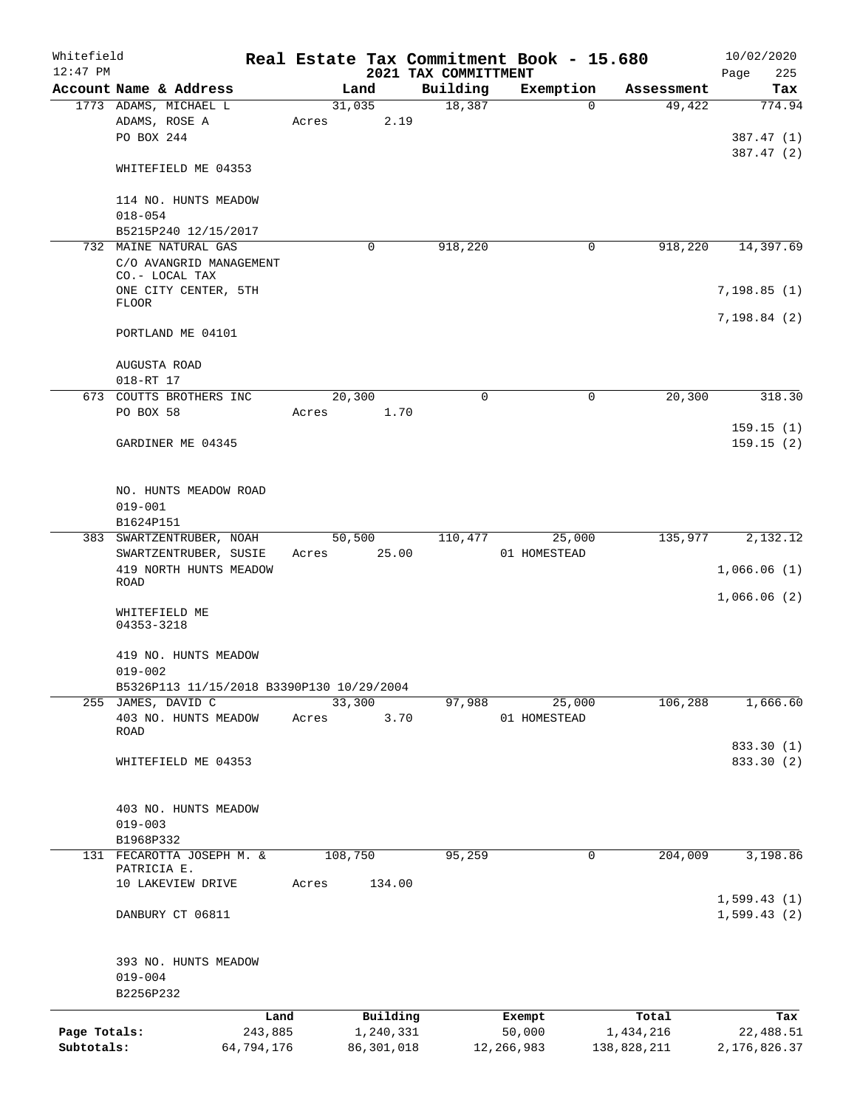| Whitefield   |                                           |            |       |         |              | Real Estate Tax Commitment Book - 15.680 |              |             |            | 10/02/2020     |                         |
|--------------|-------------------------------------------|------------|-------|---------|--------------|------------------------------------------|--------------|-------------|------------|----------------|-------------------------|
| $12:47$ PM   |                                           |            |       |         |              | 2021 TAX COMMITTMENT                     |              |             |            | Page           | 225                     |
|              | Account Name & Address                    |            |       | Land    |              | Building                                 | Exemption    |             | Assessment |                | Tax                     |
|              | 1773 ADAMS, MICHAEL L                     |            |       | 31,035  |              | 18,387                                   | $\mathbf 0$  |             | 49,422     |                | 774.94                  |
|              | ADAMS, ROSE A<br>PO BOX 244               |            | Acres |         | 2.19         |                                          |              |             |            |                |                         |
|              |                                           |            |       |         |              |                                          |              |             |            |                | 387.47 (1)<br>387.47(2) |
|              | WHITEFIELD ME 04353                       |            |       |         |              |                                          |              |             |            |                |                         |
|              |                                           |            |       |         |              |                                          |              |             |            |                |                         |
|              | 114 NO. HUNTS MEADOW                      |            |       |         |              |                                          |              |             |            |                |                         |
|              | $018 - 054$                               |            |       |         |              |                                          |              |             |            |                |                         |
|              | B5215P240 12/15/2017                      |            |       |         |              |                                          |              |             |            |                |                         |
|              | 732 MAINE NATURAL GAS                     |            |       |         | $\Omega$     | 918,220                                  | 0            |             | 918,220    |                | 14,397.69               |
|              | C/O AVANGRID MANAGEMENT                   |            |       |         |              |                                          |              |             |            |                |                         |
|              | CO.- LOCAL TAX                            |            |       |         |              |                                          |              |             |            |                |                         |
|              | ONE CITY CENTER, 5TH                      |            |       |         |              |                                          |              |             |            | 7,198.85(1)    |                         |
|              | <b>FLOOR</b>                              |            |       |         |              |                                          |              |             |            |                |                         |
|              |                                           |            |       |         |              |                                          |              |             |            | 7,198.84(2)    |                         |
|              | PORTLAND ME 04101                         |            |       |         |              |                                          |              |             |            |                |                         |
|              |                                           |            |       |         |              |                                          |              |             |            |                |                         |
|              | AUGUSTA ROAD<br>018-RT 17                 |            |       |         |              |                                          |              |             |            |                |                         |
|              | 673 COUTTS BROTHERS INC                   |            |       | 20,300  |              | $\Omega$                                 | $\mathbf 0$  |             | 20,300     |                | 318.30                  |
|              | PO BOX 58                                 |            | Acres |         | 1.70         |                                          |              |             |            |                |                         |
|              |                                           |            |       |         |              |                                          |              |             |            |                | 159.15(1)               |
|              | GARDINER ME 04345                         |            |       |         |              |                                          |              |             |            |                | 159.15(2)               |
|              |                                           |            |       |         |              |                                          |              |             |            |                |                         |
|              |                                           |            |       |         |              |                                          |              |             |            |                |                         |
|              | NO. HUNTS MEADOW ROAD                     |            |       |         |              |                                          |              |             |            |                |                         |
|              | $019 - 001$                               |            |       |         |              |                                          |              |             |            |                |                         |
|              | B1624P151                                 |            |       |         |              |                                          |              |             |            |                |                         |
|              | 383 SWARTZENTRUBER, NOAH                  |            |       |         | 50,500       | 110,477                                  | 25,000       |             | 135,977    |                | 2,132.12                |
|              | SWARTZENTRUBER, SUSIE                     |            | Acres |         | 25.00        |                                          | 01 HOMESTEAD |             |            |                |                         |
|              | 419 NORTH HUNTS MEADOW                    |            |       |         |              |                                          |              |             |            | 1,066.06(1)    |                         |
|              | ROAD                                      |            |       |         |              |                                          |              |             |            |                |                         |
|              |                                           |            |       |         |              |                                          |              |             |            | 1,066.06(2)    |                         |
|              | WHITEFIELD ME<br>04353-3218               |            |       |         |              |                                          |              |             |            |                |                         |
|              |                                           |            |       |         |              |                                          |              |             |            |                |                         |
|              | 419 NO. HUNTS MEADOW                      |            |       |         |              |                                          |              |             |            |                |                         |
|              | $019 - 002$                               |            |       |         |              |                                          |              |             |            |                |                         |
|              | B5326P113 11/15/2018 B3390P130 10/29/2004 |            |       |         |              |                                          |              |             |            |                |                         |
|              | 255 JAMES, DAVID C                        |            |       | 33,300  |              | 97,988                                   | 25,000       |             | 106,288    |                | 1,666.60                |
|              | 403 NO. HUNTS MEADOW                      |            | Acres |         | 3.70         |                                          | 01 HOMESTEAD |             |            |                |                         |
|              | ROAD                                      |            |       |         |              |                                          |              |             |            |                |                         |
|              |                                           |            |       |         |              |                                          |              |             |            |                | 833.30 (1)              |
|              | WHITEFIELD ME 04353                       |            |       |         |              |                                          |              |             |            |                | 833.30 (2)              |
|              |                                           |            |       |         |              |                                          |              |             |            |                |                         |
|              | 403 NO. HUNTS MEADOW                      |            |       |         |              |                                          |              |             |            |                |                         |
|              | $019 - 003$                               |            |       |         |              |                                          |              |             |            |                |                         |
|              | B1968P332                                 |            |       |         |              |                                          |              |             |            |                |                         |
|              | 131 FECAROTTA JOSEPH M. &                 |            |       | 108,750 |              | 95,259                                   | $\mathbf 0$  |             | 204,009    |                | 3,198.86                |
|              | PATRICIA E.                               |            |       |         |              |                                          |              |             |            |                |                         |
|              | 10 LAKEVIEW DRIVE                         |            | Acres |         | 134.00       |                                          |              |             |            |                |                         |
|              |                                           |            |       |         |              |                                          |              |             |            | 1,599.43(1)    |                         |
|              | DANBURY CT 06811                          |            |       |         |              |                                          |              |             |            | 1,599.43(2)    |                         |
|              |                                           |            |       |         |              |                                          |              |             |            |                |                         |
|              |                                           |            |       |         |              |                                          |              |             |            |                |                         |
|              | 393 NO. HUNTS MEADOW                      |            |       |         |              |                                          |              |             |            |                |                         |
|              | $019 - 004$                               |            |       |         |              |                                          |              |             |            |                |                         |
|              | B2256P232                                 |            |       |         |              |                                          |              |             |            |                |                         |
|              |                                           | Land       |       |         | Building     |                                          | Exempt       |             | Total      |                | Tax                     |
| Page Totals: |                                           | 243,885    |       |         | 1,240,331    |                                          | 50,000       | 1,434,216   |            |                | 22,488.51               |
| Subtotals:   |                                           | 64,794,176 |       |         | 86, 301, 018 |                                          | 12, 266, 983 | 138,828,211 |            | 2, 176, 826.37 |                         |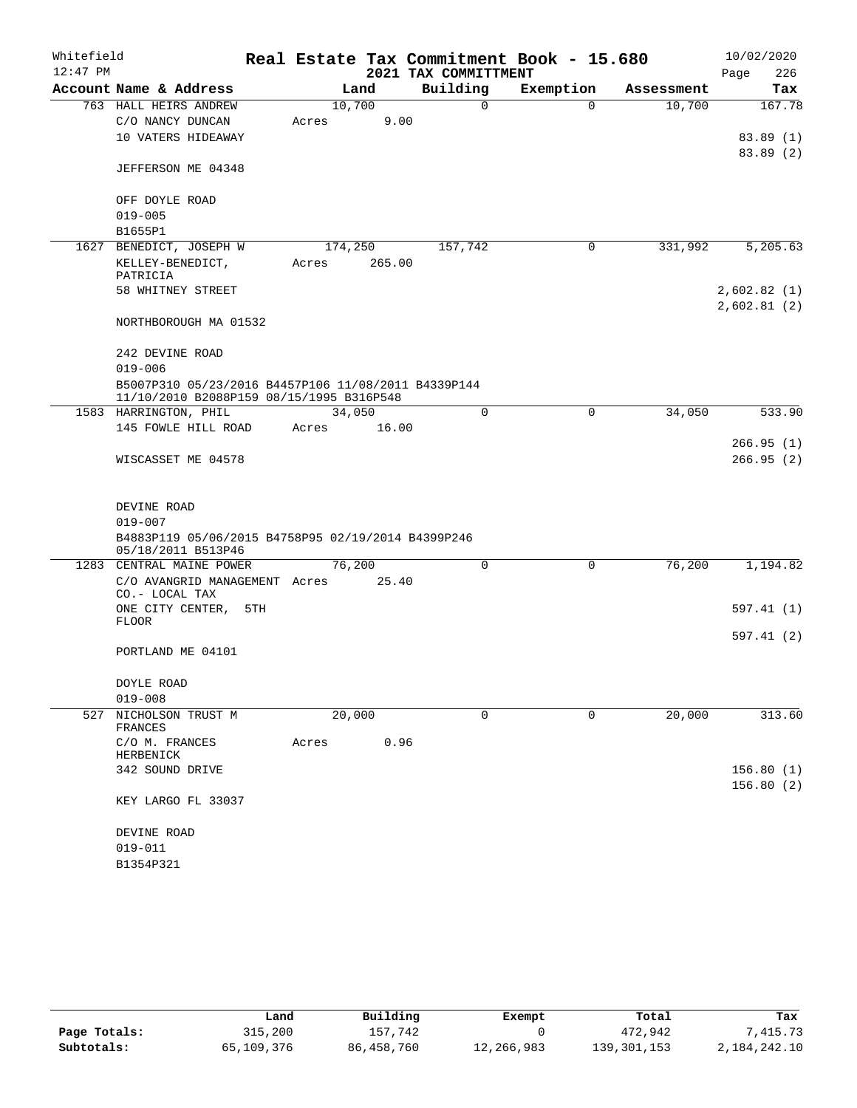| Whitefield |                                                                                                 |     |         |        |                      | Real Estate Tax Commitment Book - 15.680 |             |            | 10/02/2020                 |     |
|------------|-------------------------------------------------------------------------------------------------|-----|---------|--------|----------------------|------------------------------------------|-------------|------------|----------------------------|-----|
| $12:47$ PM |                                                                                                 |     |         |        | 2021 TAX COMMITTMENT |                                          |             |            | Page                       | 226 |
|            | Account Name & Address                                                                          |     |         | Land   | Building             | Exemption                                |             | Assessment |                            | Tax |
|            | 763 HALL HEIRS ANDREW                                                                           |     | 10,700  |        |                      | $\Omega$                                 | $\Omega$    | 10,700     | 167.78                     |     |
|            | C/O NANCY DUNCAN                                                                                |     | Acres   | 9.00   |                      |                                          |             |            |                            |     |
|            | 10 VATERS HIDEAWAY                                                                              |     |         |        |                      |                                          |             |            | 83.89(1)                   |     |
|            | JEFFERSON ME 04348                                                                              |     |         |        |                      |                                          |             |            | 83.89 (2)                  |     |
|            | OFF DOYLE ROAD                                                                                  |     |         |        |                      |                                          |             |            |                            |     |
|            | $019 - 005$                                                                                     |     |         |        |                      |                                          |             |            |                            |     |
|            | B1655P1                                                                                         |     |         |        |                      |                                          |             |            |                            |     |
|            | 1627 BENEDICT, JOSEPH W                                                                         |     | 174,250 |        | 157,742              |                                          | 0           | 331,992    | 5,205.63                   |     |
|            | KELLEY-BENEDICT,<br>PATRICIA                                                                    |     | Acres   | 265.00 |                      |                                          |             |            |                            |     |
|            | 58 WHITNEY STREET                                                                               |     |         |        |                      |                                          |             |            | 2,602.82(1)<br>2,602.81(2) |     |
|            | NORTHBOROUGH MA 01532                                                                           |     |         |        |                      |                                          |             |            |                            |     |
|            | 242 DEVINE ROAD                                                                                 |     |         |        |                      |                                          |             |            |                            |     |
|            | $019 - 006$                                                                                     |     |         |        |                      |                                          |             |            |                            |     |
|            | B5007P310 05/23/2016 B4457P106 11/08/2011 B4339P144<br>11/10/2010 B2088P159 08/15/1995 B316P548 |     |         |        |                      |                                          |             |            |                            |     |
|            | 1583 HARRINGTON, PHIL                                                                           |     | 34,050  |        |                      | 0                                        | 0           | 34,050     | 533.90                     |     |
|            | 145 FOWLE HILL ROAD                                                                             |     | Acres   | 16.00  |                      |                                          |             |            |                            |     |
|            | WISCASSET ME 04578                                                                              |     |         |        |                      |                                          |             |            | 266.95(1)<br>266.95(2)     |     |
|            |                                                                                                 |     |         |        |                      |                                          |             |            |                            |     |
|            | DEVINE ROAD                                                                                     |     |         |        |                      |                                          |             |            |                            |     |
|            | $019 - 007$                                                                                     |     |         |        |                      |                                          |             |            |                            |     |
|            | B4883P119 05/06/2015 B4758P95 02/19/2014 B4399P246<br>05/18/2011 B513P46                        |     |         |        |                      |                                          |             |            |                            |     |
|            | 1283 CENTRAL MAINE POWER                                                                        |     | 76,200  |        |                      | 0                                        | $\mathbf 0$ | 76,200     | 1,194.82                   |     |
|            | C/O AVANGRID MANAGEMENT Acres<br>CO.- LOCAL TAX                                                 |     |         | 25.40  |                      |                                          |             |            |                            |     |
|            | ONE CITY CENTER,                                                                                | 5TH |         |        |                      |                                          |             |            | 597.41 (1)                 |     |
|            | <b>FLOOR</b>                                                                                    |     |         |        |                      |                                          |             |            | 597.41 (2)                 |     |
|            | PORTLAND ME 04101                                                                               |     |         |        |                      |                                          |             |            |                            |     |
|            | DOYLE ROAD                                                                                      |     |         |        |                      |                                          |             |            |                            |     |
|            | $019 - 008$                                                                                     |     |         |        |                      |                                          |             |            |                            |     |
| 527        | NICHOLSON TRUST M                                                                               |     | 20,000  |        |                      | 0                                        | 0           | 20,000     | 313.60                     |     |
|            | FRANCES<br>C/O M. FRANCES                                                                       |     | Acres   | 0.96   |                      |                                          |             |            |                            |     |
|            | HERBENICK                                                                                       |     |         |        |                      |                                          |             |            | 156.80(1)                  |     |
|            | 342 SOUND DRIVE                                                                                 |     |         |        |                      |                                          |             |            | 156.80(2)                  |     |
|            | KEY LARGO FL 33037                                                                              |     |         |        |                      |                                          |             |            |                            |     |
|            | DEVINE ROAD                                                                                     |     |         |        |                      |                                          |             |            |                            |     |
|            | $019 - 011$                                                                                     |     |         |        |                      |                                          |             |            |                            |     |
|            | B1354P321                                                                                       |     |         |        |                      |                                          |             |            |                            |     |

|              | Land       | Building   | Exempt     | Total       | Tax          |
|--------------|------------|------------|------------|-------------|--------------|
| Page Totals: | 315,200    | 157.742    |            | 472,942     | .415.73      |
| Subtotals:   | 65,109,376 | 86,458,760 | 12,266,983 | 139,301,153 | 2,184,242.10 |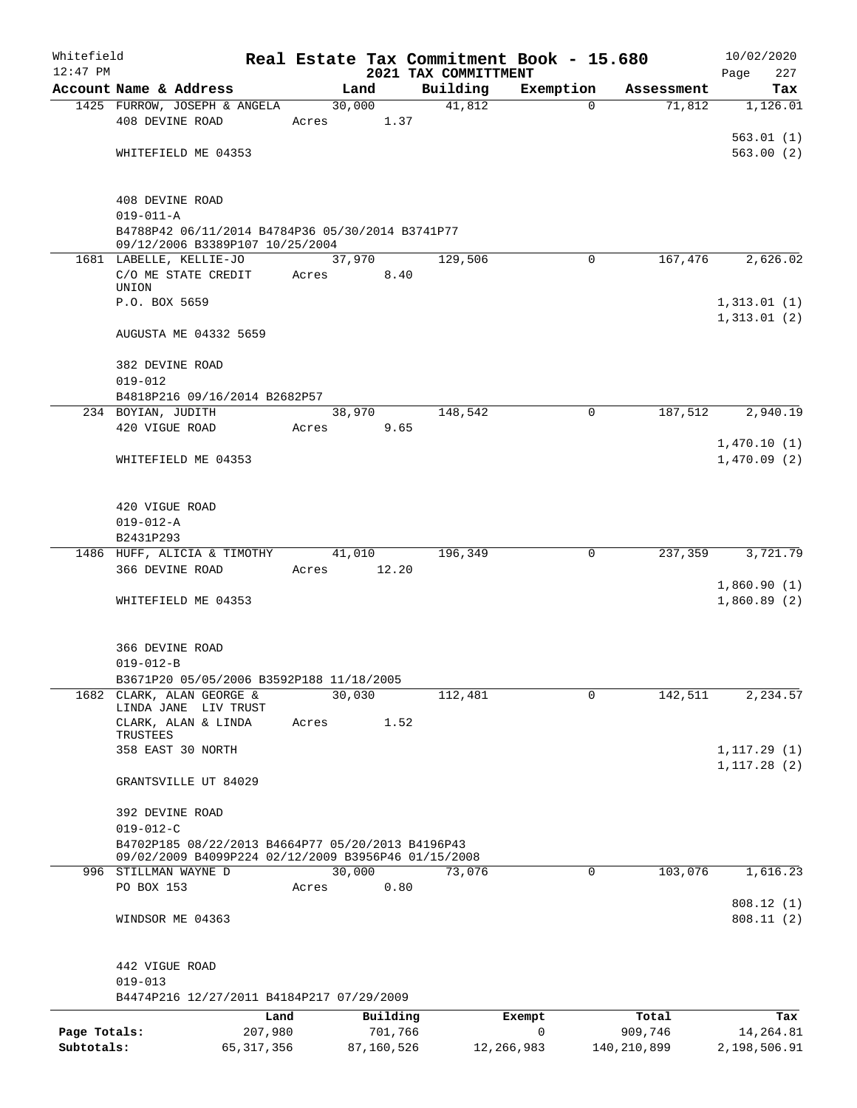| Whitefield<br>$12:47$ PM   |                                                                                     |             |                       | Real Estate Tax Commitment Book - 15.680<br>2021 TAX COMMITTMENT |             |                        | 10/02/2020                 |
|----------------------------|-------------------------------------------------------------------------------------|-------------|-----------------------|------------------------------------------------------------------|-------------|------------------------|----------------------------|
|                            | Account Name & Address                                                              |             | Land                  | Building                                                         | Exemption   | Assessment             | 227<br>Page<br>Tax         |
|                            | 1425 FURROW, JOSEPH & ANGELA                                                        |             | 30,000                | 41,812                                                           | $\Omega$    | 71,812                 | 1,126.01                   |
|                            | 408 DEVINE ROAD                                                                     | Acres 1.37  |                       |                                                                  |             |                        |                            |
|                            |                                                                                     |             |                       |                                                                  |             |                        | 563.01(1)                  |
|                            | WHITEFIELD ME 04353                                                                 |             |                       |                                                                  |             |                        | 563.00(2)                  |
|                            |                                                                                     |             |                       |                                                                  |             |                        |                            |
|                            | 408 DEVINE ROAD                                                                     |             |                       |                                                                  |             |                        |                            |
|                            | $019 - 011 - A$                                                                     |             |                       |                                                                  |             |                        |                            |
|                            | B4788P42 06/11/2014 B4784P36 05/30/2014 B3741P77<br>09/12/2006 B3389P107 10/25/2004 |             |                       |                                                                  |             |                        |                            |
|                            | 1681 LABELLE, KELLIE-JO                                                             |             | 37,970                | 129,506                                                          | 0           | 167,476                | 2,626.02                   |
|                            | C/O ME STATE CREDIT                                                                 | Acres       | 8.40                  |                                                                  |             |                        |                            |
|                            | UNION<br>P.O. BOX 5659                                                              |             |                       |                                                                  |             |                        | 1,313.01(1)                |
|                            |                                                                                     |             |                       |                                                                  |             |                        | 1,313.01(2)                |
|                            | AUGUSTA ME 04332 5659                                                               |             |                       |                                                                  |             |                        |                            |
|                            | 382 DEVINE ROAD                                                                     |             |                       |                                                                  |             |                        |                            |
|                            | $019 - 012$                                                                         |             |                       |                                                                  |             |                        |                            |
|                            | B4818P216 09/16/2014 B2682P57                                                       |             |                       |                                                                  |             |                        |                            |
|                            | 234 BOYIAN, JUDITH                                                                  |             | 38,970                | 148,542                                                          | 0           | 187,512                | $\overline{2,940}.19$      |
|                            | 420 VIGUE ROAD                                                                      | Acres       | 9.65                  |                                                                  |             |                        |                            |
|                            | WHITEFIELD ME 04353                                                                 |             |                       |                                                                  |             |                        | 1,470.10(1)<br>1,470.09(2) |
|                            |                                                                                     |             |                       |                                                                  |             |                        |                            |
|                            |                                                                                     |             |                       |                                                                  |             |                        |                            |
|                            | 420 VIGUE ROAD                                                                      |             |                       |                                                                  |             |                        |                            |
|                            | $019 - 012 - A$<br>B2431P293                                                        |             |                       |                                                                  |             |                        |                            |
|                            | 1486 HUFF, ALICIA & TIMOTHY                                                         |             | 41,010                | 196,349                                                          | $\mathbf 0$ | 237,359                | 3,721.79                   |
|                            | 366 DEVINE ROAD                                                                     | Acres 12.20 |                       |                                                                  |             |                        |                            |
|                            |                                                                                     |             |                       |                                                                  |             |                        | 1,860.90(1)                |
|                            | WHITEFIELD ME 04353                                                                 |             |                       |                                                                  |             |                        | 1,860.89(2)                |
|                            |                                                                                     |             |                       |                                                                  |             |                        |                            |
|                            | 366 DEVINE ROAD                                                                     |             |                       |                                                                  |             |                        |                            |
|                            | $019 - 012 - B$                                                                     |             |                       |                                                                  |             |                        |                            |
|                            | B3671P20 05/05/2006 B3592P188 11/18/2005<br>1682 CLARK, ALAN GEORGE &               |             | 30,030                | 112,481                                                          | $\mathbf 0$ | 142,511                | 2,234.57                   |
|                            | LINDA JANE LIV TRUST                                                                |             |                       |                                                                  |             |                        |                            |
|                            | CLARK, ALAN & LINDA                                                                 | Acres       | 1.52                  |                                                                  |             |                        |                            |
|                            | TRUSTEES<br>358 EAST 30 NORTH                                                       |             |                       |                                                                  |             |                        | 1,117.29(1)                |
|                            |                                                                                     |             |                       |                                                                  |             |                        | 1, 117.28(2)               |
|                            | GRANTSVILLE UT 84029                                                                |             |                       |                                                                  |             |                        |                            |
|                            | 392 DEVINE ROAD                                                                     |             |                       |                                                                  |             |                        |                            |
|                            | $019 - 012 - C$                                                                     |             |                       |                                                                  |             |                        |                            |
|                            | B4702P185 08/22/2013 B4664P77 05/20/2013 B4196P43                                   |             |                       |                                                                  |             |                        |                            |
|                            | 09/02/2009 B4099P224 02/12/2009 B3956P46 01/15/2008<br>996 STILLMAN WAYNE D         |             | 30,000                | 73,076                                                           | $\Omega$    | 103,076                | 1,616.23                   |
|                            | PO BOX 153                                                                          | Acres       | 0.80                  |                                                                  |             |                        |                            |
|                            |                                                                                     |             |                       |                                                                  |             |                        | 808.12(1)                  |
|                            | WINDSOR ME 04363                                                                    |             |                       |                                                                  |             |                        | 808.11(2)                  |
|                            |                                                                                     |             |                       |                                                                  |             |                        |                            |
|                            | 442 VIGUE ROAD                                                                      |             |                       |                                                                  |             |                        |                            |
|                            | $019 - 013$                                                                         |             |                       |                                                                  |             |                        |                            |
|                            | B4474P216 12/27/2011 B4184P217 07/29/2009                                           |             |                       |                                                                  |             |                        |                            |
|                            |                                                                                     | Land        | Building              |                                                                  | Exempt<br>0 | Total                  | Tax                        |
| Page Totals:<br>Subtotals: | 65, 317, 356                                                                        | 207,980     | 701,766<br>87,160,526 |                                                                  | 12,266,983  | 909,746<br>140,210,899 | 14,264.81<br>2,198,506.91  |
|                            |                                                                                     |             |                       |                                                                  |             |                        |                            |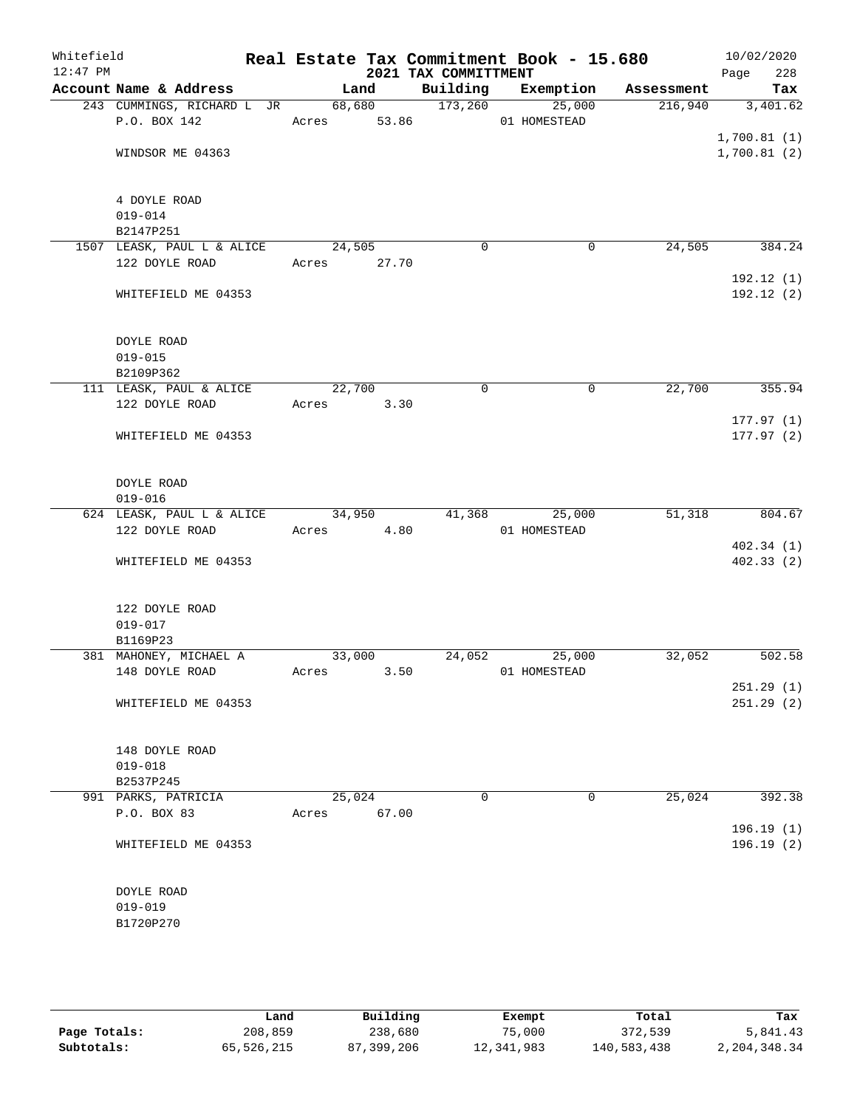| Whitefield<br>$12:47$ PM |                                         |             |       | 2021 TAX COMMITTMENT | Real Estate Tax Commitment Book - 15.680 |         | 10/02/2020<br>228<br>Page |
|--------------------------|-----------------------------------------|-------------|-------|----------------------|------------------------------------------|---------|---------------------------|
|                          | Account Name & Address                  | Land        |       |                      | Building Exemption Assessment            |         | Tax                       |
|                          | 243 CUMMINGS, RICHARD L JR              |             |       | 68,680 173,260       | 25,000                                   | 216,940 | 3,401.62                  |
|                          | P.O. BOX 142                            | Acres 53.86 |       |                      | 01 HOMESTEAD                             |         |                           |
|                          |                                         |             |       |                      |                                          |         | 1,700.81(1)               |
|                          | WINDSOR ME 04363                        |             |       |                      |                                          |         | 1,700.81(2)               |
|                          |                                         |             |       |                      |                                          |         |                           |
|                          |                                         |             |       |                      |                                          |         |                           |
|                          | 4 DOYLE ROAD                            |             |       |                      |                                          |         |                           |
|                          | $019 - 014$                             |             |       |                      |                                          |         |                           |
|                          | B2147P251<br>1507 LEASK, PAUL L & ALICE | 24,505      |       | $\mathbf 0$          | 0                                        | 24,505  | 384.24                    |
|                          | 122 DOYLE ROAD                          | Acres 27.70 |       |                      |                                          |         |                           |
|                          |                                         |             |       |                      |                                          |         | 192.12(1)                 |
|                          | WHITEFIELD ME 04353                     |             |       |                      |                                          |         | 192.12(2)                 |
|                          |                                         |             |       |                      |                                          |         |                           |
|                          |                                         |             |       |                      |                                          |         |                           |
|                          | DOYLE ROAD                              |             |       |                      |                                          |         |                           |
|                          | $019 - 015$                             |             |       |                      |                                          |         |                           |
|                          | B2109P362                               |             |       |                      |                                          |         |                           |
|                          | 111 LEASK, PAUL & ALICE                 | 22,700      |       | $\mathbf 0$          | $\mathbf 0$                              | 22,700  | 355.94                    |
|                          | 122 DOYLE ROAD                          | Acres 3.30  |       |                      |                                          |         | 177.97(1)                 |
|                          | WHITEFIELD ME 04353                     |             |       |                      |                                          |         | 177.97(2)                 |
|                          |                                         |             |       |                      |                                          |         |                           |
|                          |                                         |             |       |                      |                                          |         |                           |
|                          | DOYLE ROAD                              |             |       |                      |                                          |         |                           |
|                          | $019 - 016$                             |             |       |                      |                                          |         |                           |
|                          | 624 LEASK, PAUL L & ALICE               | 34,950      |       | 41,368               | 25,000                                   | 51,318  | 804.67                    |
|                          | 122 DOYLE ROAD                          | Acres 4.80  |       |                      | 01 HOMESTEAD                             |         |                           |
|                          |                                         |             |       |                      |                                          |         | 402.34 (1)                |
|                          | WHITEFIELD ME 04353                     |             |       |                      |                                          |         | 402.33(2)                 |
|                          |                                         |             |       |                      |                                          |         |                           |
|                          | 122 DOYLE ROAD                          |             |       |                      |                                          |         |                           |
|                          | $019 - 017$                             |             |       |                      |                                          |         |                           |
|                          | B1169P23                                |             |       |                      |                                          |         |                           |
|                          | 381 MAHONEY, MICHAEL A                  | 33,000      |       |                      | 24,052<br>25,000                         | 32,052  | 502.58                    |
|                          | 148 DOYLE ROAD                          | Acres       | 3.50  |                      | 01 HOMESTEAD                             |         |                           |
|                          |                                         |             |       |                      |                                          |         | 251.29(1)                 |
|                          | WHITEFIELD ME 04353                     |             |       |                      |                                          |         | 251.29(2)                 |
|                          |                                         |             |       |                      |                                          |         |                           |
|                          | 148 DOYLE ROAD                          |             |       |                      |                                          |         |                           |
|                          | $019 - 018$                             |             |       |                      |                                          |         |                           |
|                          | B2537P245                               |             |       |                      |                                          |         |                           |
|                          | 991 PARKS, PATRICIA                     | 25,024      |       | $\mathbf 0$          | $\mathbf 0$                              | 25,024  | 392.38                    |
|                          | P.O. BOX 83                             | Acres       | 67.00 |                      |                                          |         |                           |
|                          |                                         |             |       |                      |                                          |         | 196.19(1)                 |
|                          | WHITEFIELD ME 04353                     |             |       |                      |                                          |         | 196.19(2)                 |
|                          |                                         |             |       |                      |                                          |         |                           |
|                          | DOYLE ROAD                              |             |       |                      |                                          |         |                           |
|                          | $019 - 019$                             |             |       |                      |                                          |         |                           |
|                          | B1720P270                               |             |       |                      |                                          |         |                           |
|                          |                                         |             |       |                      |                                          |         |                           |
|                          |                                         |             |       |                      |                                          |         |                           |

|              | Land       | Building   | Exempt     | Total       | Tax          |
|--------------|------------|------------|------------|-------------|--------------|
| Page Totals: | 208,859    | 238,680    | 75,000     | 372,539     | 5,841.43     |
| Subtotals:   | 65,526,215 | 87,399,206 | 12,341,983 | 140,583,438 | 2,204,348.34 |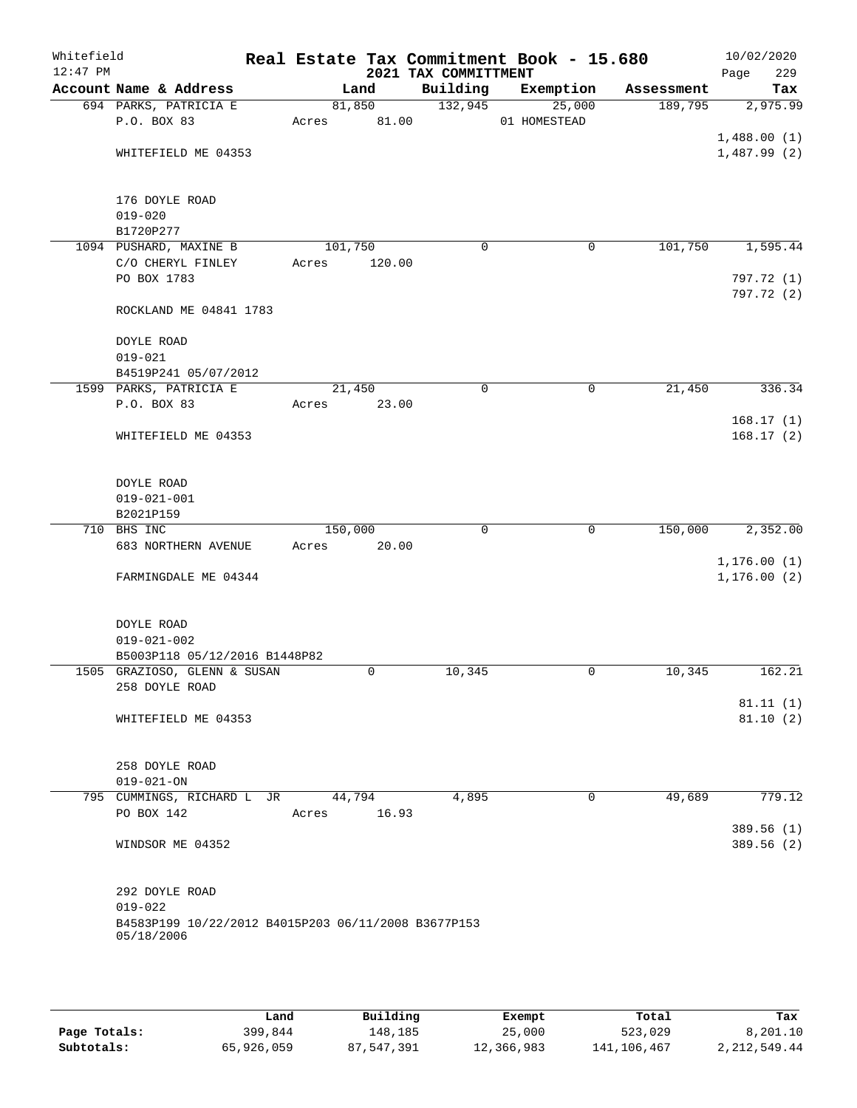| Whitefield<br>$12:47$ PM |                                                                   |         |             | 2021 TAX COMMITTMENT | Real Estate Tax Commitment Book - 15.680 |            | 10/02/2020<br>Page<br>229 |
|--------------------------|-------------------------------------------------------------------|---------|-------------|----------------------|------------------------------------------|------------|---------------------------|
|                          | Account Name & Address                                            |         | Land        | Building             | Exemption                                | Assessment | Tax                       |
|                          | 694 PARKS, PATRICIA E                                             |         | 81,850      | 132,945              | 25,000                                   | 189,795    | 2,975.99                  |
|                          | P.O. BOX 83                                                       | Acres   | 81.00       |                      | 01 HOMESTEAD                             |            |                           |
|                          |                                                                   |         |             |                      |                                          |            | 1,488.00(1)               |
|                          | WHITEFIELD ME 04353                                               |         |             |                      |                                          |            | 1,487.99(2)               |
|                          | 176 DOYLE ROAD                                                    |         |             |                      |                                          |            |                           |
|                          | $019 - 020$                                                       |         |             |                      |                                          |            |                           |
|                          | B1720P277                                                         |         |             |                      |                                          |            |                           |
|                          | 1094 PUSHARD, MAXINE B                                            | 101,750 |             | $\mathbf 0$          | $\mathbf 0$                              | 101,750    | 1,595.44                  |
|                          | C/O CHERYL FINLEY                                                 | Acres   | 120.00      |                      |                                          |            |                           |
|                          | PO BOX 1783                                                       |         |             |                      |                                          |            | 797.72 (1)<br>797.72 (2)  |
|                          | ROCKLAND ME 04841 1783                                            |         |             |                      |                                          |            |                           |
|                          | DOYLE ROAD                                                        |         |             |                      |                                          |            |                           |
|                          | $019 - 021$                                                       |         |             |                      |                                          |            |                           |
|                          | B4519P241 05/07/2012<br>1599 PARKS, PATRICIA E                    | 21,450  |             | $\mathbf 0$          | 0                                        | 21,450     | 336.34                    |
|                          | P.O. BOX 83                                                       | Acres   | 23.00       |                      |                                          |            |                           |
|                          |                                                                   |         |             |                      |                                          |            | 168.17(1)                 |
|                          | WHITEFIELD ME 04353                                               |         |             |                      |                                          |            | 168.17(2)                 |
|                          | DOYLE ROAD                                                        |         |             |                      |                                          |            |                           |
|                          | $019 - 021 - 001$                                                 |         |             |                      |                                          |            |                           |
|                          | B2021P159                                                         |         |             |                      |                                          |            |                           |
|                          | 710 BHS INC                                                       | 150,000 |             | $\Omega$             | $\mathbf 0$                              | 150,000    | 2,352.00                  |
|                          | 683 NORTHERN AVENUE                                               | Acres   | 20.00       |                      |                                          |            |                           |
|                          |                                                                   |         |             |                      |                                          |            | 1, 176.00(1)              |
|                          | FARMINGDALE ME 04344                                              |         |             |                      |                                          |            | 1, 176.00(2)              |
|                          | DOYLE ROAD                                                        |         |             |                      |                                          |            |                           |
|                          | $019 - 021 - 002$                                                 |         |             |                      |                                          |            |                           |
|                          | B5003P118 05/12/2016 B1448P82<br>1505 GRAZIOSO, GLENN & SUSAN     |         | $\mathbf 0$ | 10,345               | $\mathbf 0$                              | 10,345     | 162.21                    |
|                          | 258 DOYLE ROAD                                                    |         |             |                      |                                          |            |                           |
|                          |                                                                   |         |             |                      |                                          |            | 81.11(1)                  |
|                          | WHITEFIELD ME 04353                                               |         |             |                      |                                          |            | 81.10(2)                  |
|                          |                                                                   |         |             |                      |                                          |            |                           |
|                          | 258 DOYLE ROAD                                                    |         |             |                      |                                          |            |                           |
|                          | $019 - 021 - ON$                                                  |         |             |                      |                                          |            |                           |
|                          | 795 CUMMINGS, RICHARD L JR                                        |         | 44,794      | 4,895                | $\mathbf 0$                              | 49,689     | 779.12                    |
|                          | PO BOX 142                                                        | Acres   | 16.93       |                      |                                          |            | 389.56 (1)                |
|                          | WINDSOR ME 04352                                                  |         |             |                      |                                          |            | 389.56(2)                 |
|                          | 292 DOYLE ROAD                                                    |         |             |                      |                                          |            |                           |
|                          | $019 - 022$                                                       |         |             |                      |                                          |            |                           |
|                          | B4583P199 10/22/2012 B4015P203 06/11/2008 B3677P153<br>05/18/2006 |         |             |                      |                                          |            |                           |
|                          |                                                                   |         |             |                      |                                          |            |                           |
|                          |                                                                   |         |             |                      |                                          |            |                           |

|              | Land       | Building   | Exempt     | Total       | Tax          |
|--------------|------------|------------|------------|-------------|--------------|
| Page Totals: | 399,844    | 148,185    | 25,000     | 523,029     | 8,201.10     |
| Subtotals:   | 65,926,059 | 87,547,391 | 12,366,983 | 141,106,467 | 2,212,549.44 |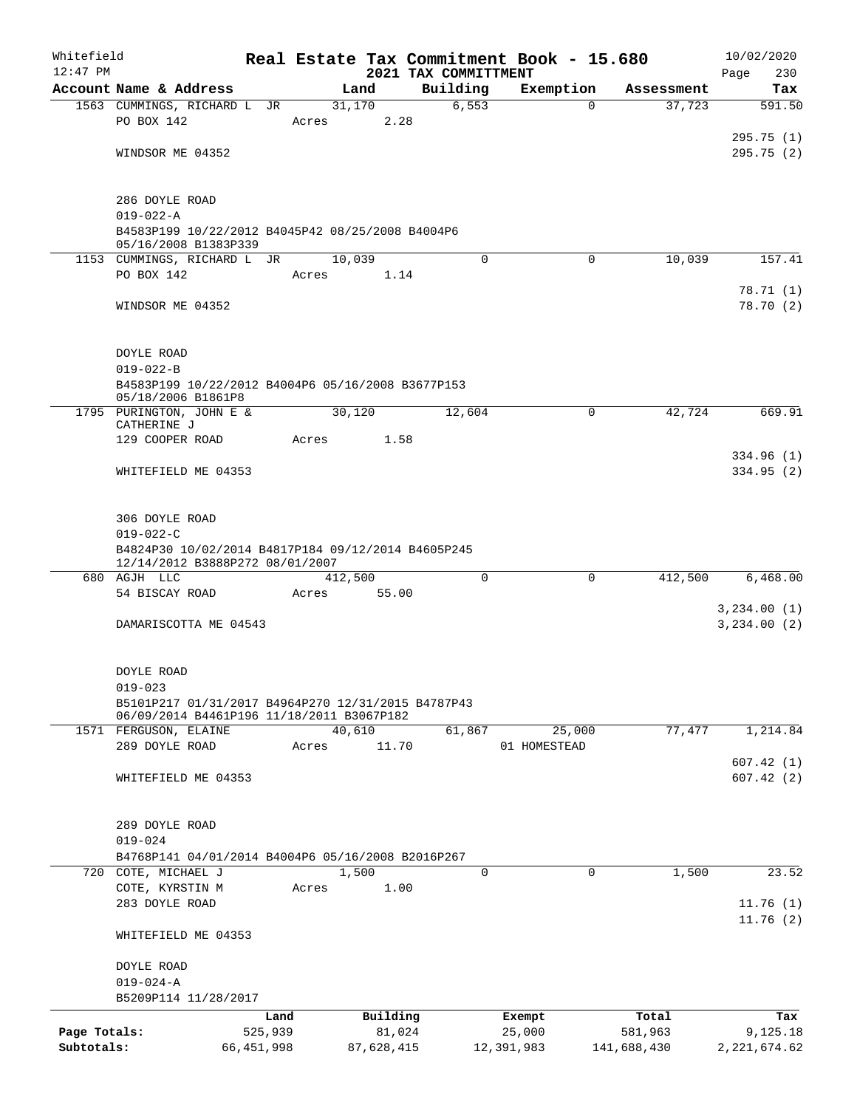| Whitefield   |                                                                          |              |         |            |                                  | Real Estate Tax Commitment Book - 15.680 |             | 10/02/2020              |
|--------------|--------------------------------------------------------------------------|--------------|---------|------------|----------------------------------|------------------------------------------|-------------|-------------------------|
| $12:47$ PM   | Account Name & Address                                                   |              |         | Land       | 2021 TAX COMMITTMENT<br>Building | Exemption                                | Assessment  | 230<br>Page<br>Tax      |
|              | 1563 CUMMINGS, RICHARD L JR                                              |              |         | 31,170     | 6, 553                           | $\Omega$                                 | 37,723      | 591.50                  |
|              | PO BOX 142                                                               |              | Acres   | 2.28       |                                  |                                          |             |                         |
|              |                                                                          |              |         |            |                                  |                                          |             | 295.75(1)               |
|              | WINDSOR ME 04352                                                         |              |         |            |                                  |                                          |             | 295.75(2)               |
|              |                                                                          |              |         |            |                                  |                                          |             |                         |
|              |                                                                          |              |         |            |                                  |                                          |             |                         |
|              | 286 DOYLE ROAD                                                           |              |         |            |                                  |                                          |             |                         |
|              | $019 - 022 - A$                                                          |              |         |            |                                  |                                          |             |                         |
|              | B4583P199 10/22/2012 B4045P42 08/25/2008 B4004P6<br>05/16/2008 B1383P339 |              |         |            |                                  |                                          |             |                         |
|              | 1153 CUMMINGS, RICHARD L JR                                              |              |         | 10,039     | $\Omega$                         | 0                                        | 10,039      | 157.41                  |
|              | PO BOX 142                                                               |              | Acres   | 1.14       |                                  |                                          |             |                         |
|              |                                                                          |              |         |            |                                  |                                          |             | 78.71(1)                |
|              | WINDSOR ME 04352                                                         |              |         |            |                                  |                                          |             | 78.70(2)                |
|              |                                                                          |              |         |            |                                  |                                          |             |                         |
|              |                                                                          |              |         |            |                                  |                                          |             |                         |
|              | DOYLE ROAD                                                               |              |         |            |                                  |                                          |             |                         |
|              | $019 - 022 - B$<br>B4583P199 10/22/2012 B4004P6 05/16/2008 B3677P153     |              |         |            |                                  |                                          |             |                         |
|              | 05/18/2006 B1861P8                                                       |              |         |            |                                  |                                          |             |                         |
|              | 1795 PURINGTON, JOHN E &                                                 |              |         | 30,120     | 12,604                           | $\mathbf 0$                              | 42,724      | 669.91                  |
|              | CATHERINE J                                                              |              |         |            |                                  |                                          |             |                         |
|              | 129 COOPER ROAD                                                          |              | Acres   | 1.58       |                                  |                                          |             |                         |
|              | WHITEFIELD ME 04353                                                      |              |         |            |                                  |                                          |             | 334.96 (1)<br>334.95(2) |
|              |                                                                          |              |         |            |                                  |                                          |             |                         |
|              |                                                                          |              |         |            |                                  |                                          |             |                         |
|              | 306 DOYLE ROAD                                                           |              |         |            |                                  |                                          |             |                         |
|              | $019 - 022 - C$                                                          |              |         |            |                                  |                                          |             |                         |
|              | B4824P30 10/02/2014 B4817P184 09/12/2014 B4605P245                       |              |         |            |                                  |                                          |             |                         |
|              | 12/14/2012 B3888P272 08/01/2007<br>680 AGJH LLC                          |              | 412,500 |            | $\Omega$                         | $\Omega$                                 | 412,500     | 6,468.00                |
|              | 54 BISCAY ROAD                                                           |              | Acres   | 55.00      |                                  |                                          |             |                         |
|              |                                                                          |              |         |            |                                  |                                          |             | 3,234.00(1)             |
|              | DAMARISCOTTA ME 04543                                                    |              |         |            |                                  |                                          |             | 3,234.00(2)             |
|              |                                                                          |              |         |            |                                  |                                          |             |                         |
|              |                                                                          |              |         |            |                                  |                                          |             |                         |
|              | DOYLE ROAD                                                               |              |         |            |                                  |                                          |             |                         |
|              | $019 - 023$<br>B5101P217 01/31/2017 B4964P270 12/31/2015 B4787P43        |              |         |            |                                  |                                          |             |                         |
|              | 06/09/2014 B4461P196 11/18/2011 B3067P182                                |              |         |            |                                  |                                          |             |                         |
|              | 1571 FERGUSON, ELAINE                                                    |              |         | 40,610     | 61,867                           | 25,000                                   | 77,477      | 1,214.84                |
|              | 289 DOYLE ROAD                                                           |              | Acres   | 11.70      |                                  | 01 HOMESTEAD                             |             |                         |
|              |                                                                          |              |         |            |                                  |                                          |             | 607.42(1)               |
|              | WHITEFIELD ME 04353                                                      |              |         |            |                                  |                                          |             | 607.42(2)               |
|              |                                                                          |              |         |            |                                  |                                          |             |                         |
|              | 289 DOYLE ROAD                                                           |              |         |            |                                  |                                          |             |                         |
|              | $019 - 024$                                                              |              |         |            |                                  |                                          |             |                         |
|              | B4768P141 04/01/2014 B4004P6 05/16/2008 B2016P267                        |              |         |            |                                  |                                          |             |                         |
|              | 720 COTE, MICHAEL J                                                      |              |         | 1,500      | $\Omega$                         | $\Omega$                                 | 1,500       | 23.52                   |
|              | COTE, KYRSTIN M                                                          |              | Acres   | 1.00       |                                  |                                          |             |                         |
|              | 283 DOYLE ROAD                                                           |              |         |            |                                  |                                          |             | 11.76(1)                |
|              |                                                                          |              |         |            |                                  |                                          |             | 11.76(2)                |
|              | WHITEFIELD ME 04353                                                      |              |         |            |                                  |                                          |             |                         |
|              | DOYLE ROAD                                                               |              |         |            |                                  |                                          |             |                         |
|              | $019 - 024 - A$                                                          |              |         |            |                                  |                                          |             |                         |
|              | B5209P114 11/28/2017                                                     |              |         |            |                                  |                                          |             |                         |
|              |                                                                          | Land         |         | Building   |                                  | Exempt                                   | Total       | Tax                     |
| Page Totals: |                                                                          | 525,939      |         | 81,024     |                                  | 25,000                                   | 581,963     | 9,125.18                |
| Subtotals:   |                                                                          | 66, 451, 998 |         | 87,628,415 |                                  | 12,391,983                               | 141,688,430 | 2, 221, 674.62          |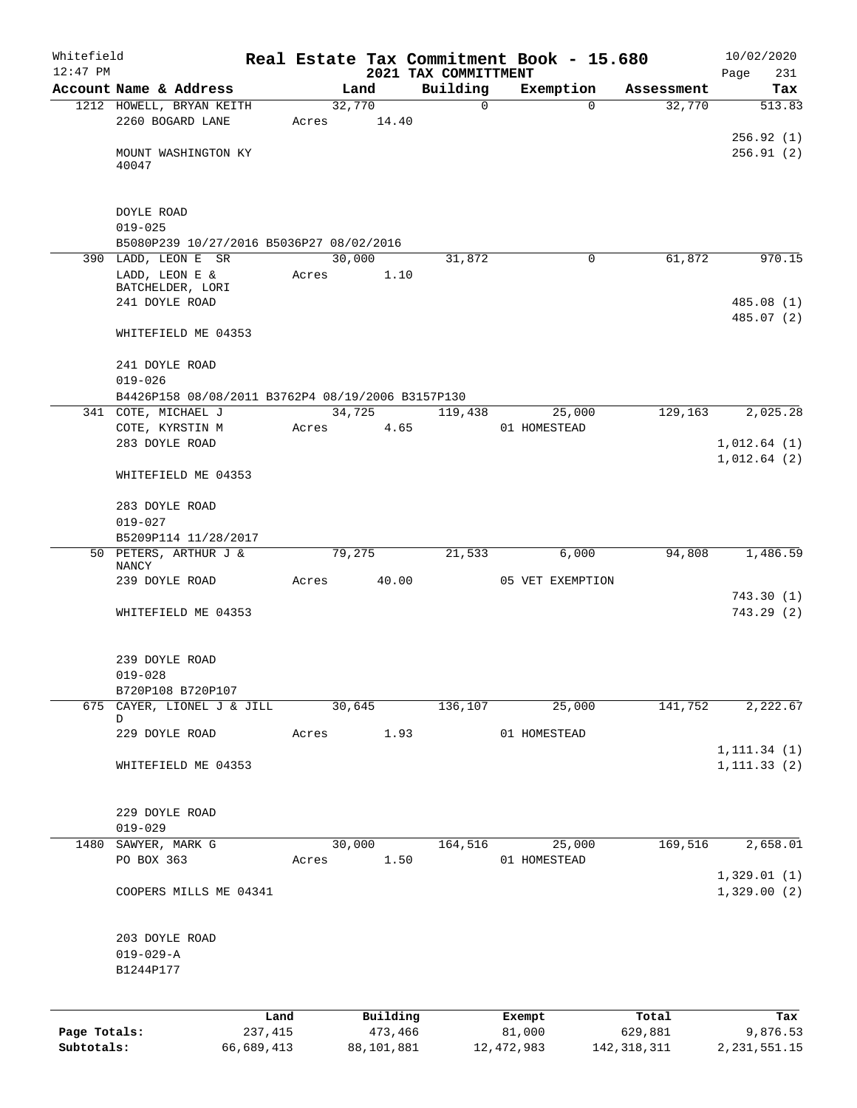| Whitefield   |                                                         |                 |       |                     |                                  | Real Estate Tax Commitment Book - 15.680 |                    | 10/02/2020                 |
|--------------|---------------------------------------------------------|-----------------|-------|---------------------|----------------------------------|------------------------------------------|--------------------|----------------------------|
| $12:47$ PM   | Account Name & Address                                  |                 |       | Land                | 2021 TAX COMMITTMENT<br>Building | Exemption                                | Assessment         | Page<br>231<br>Tax         |
|              | 1212 HOWELL, BRYAN KEITH                                |                 |       | 32,770              |                                  | $\mathbf 0$                              | 32,770<br>$\Omega$ | 513.83                     |
|              | 2260 BOGARD LANE                                        |                 | Acres | 14.40               |                                  |                                          |                    |                            |
|              |                                                         |                 |       |                     |                                  |                                          |                    | 256.92(1)                  |
|              | MOUNT WASHINGTON KY<br>40047                            |                 |       |                     |                                  |                                          |                    | 256.91(2)                  |
|              |                                                         |                 |       |                     |                                  |                                          |                    |                            |
|              |                                                         |                 |       |                     |                                  |                                          |                    |                            |
|              | DOYLE ROAD                                              |                 |       |                     |                                  |                                          |                    |                            |
|              | $019 - 025$<br>B5080P239 10/27/2016 B5036P27 08/02/2016 |                 |       |                     |                                  |                                          |                    |                            |
|              | 390 LADD, LEON E SR                                     |                 |       | 30,000              | 31,872                           |                                          | 61,872<br>$\Omega$ | 970.15                     |
|              | LADD, LEON E &                                          |                 | Acres | 1.10                |                                  |                                          |                    |                            |
|              | BATCHELDER, LORI<br>241 DOYLE ROAD                      |                 |       |                     |                                  |                                          |                    | 485.08 (1)                 |
|              |                                                         |                 |       |                     |                                  |                                          |                    | 485.07 (2)                 |
|              | WHITEFIELD ME 04353                                     |                 |       |                     |                                  |                                          |                    |                            |
|              | 241 DOYLE ROAD                                          |                 |       |                     |                                  |                                          |                    |                            |
|              | $019 - 026$                                             |                 |       |                     |                                  |                                          |                    |                            |
|              | B4426P158 08/08/2011 B3762P4 08/19/2006 B3157P130       |                 |       |                     |                                  |                                          |                    |                            |
|              | 341 COTE, MICHAEL J<br>COTE, KYRSTIN M                  |                 | Acres | 34,725<br>4.65      | 119,438                          | 25,000<br>01 HOMESTEAD                   | 129,163            | 2,025.28                   |
|              | 283 DOYLE ROAD                                          |                 |       |                     |                                  |                                          |                    | 1,012.64(1)                |
|              |                                                         |                 |       |                     |                                  |                                          |                    | 1,012.64(2)                |
|              | WHITEFIELD ME 04353                                     |                 |       |                     |                                  |                                          |                    |                            |
|              | 283 DOYLE ROAD                                          |                 |       |                     |                                  |                                          |                    |                            |
|              | $019 - 027$                                             |                 |       |                     |                                  |                                          |                    |                            |
|              | B5209P114 11/28/2017<br>50 PETERS, ARTHUR J &           |                 |       | 79,275              | 21,533                           | 6,000                                    | 94,808             | 1,486.59                   |
|              | NANCY                                                   |                 |       |                     |                                  |                                          |                    |                            |
|              | 239 DOYLE ROAD                                          |                 | Acres | 40.00               |                                  | 05 VET EXEMPTION                         |                    |                            |
|              | WHITEFIELD ME 04353                                     |                 |       |                     |                                  |                                          |                    | 743.30(1)<br>743.29(2)     |
|              |                                                         |                 |       |                     |                                  |                                          |                    |                            |
|              | 239 DOYLE ROAD                                          |                 |       |                     |                                  |                                          |                    |                            |
|              | $019 - 028$                                             |                 |       |                     |                                  |                                          |                    |                            |
|              | B720P108 B720P107                                       |                 |       |                     |                                  |                                          |                    |                            |
|              | 675 CAYER, LIONEL J & JILL<br>D                         |                 |       | 30,645              | 136,107                          | 25,000                                   | 141,752            | 2,222.67                   |
|              | 229 DOYLE ROAD                                          |                 | Acres | 1.93                |                                  | 01 HOMESTEAD                             |                    |                            |
|              |                                                         |                 |       |                     |                                  |                                          |                    | 1, 111.34(1)               |
|              | WHITEFIELD ME 04353                                     |                 |       |                     |                                  |                                          |                    | 1, 111.33(2)               |
|              | 229 DOYLE ROAD                                          |                 |       |                     |                                  |                                          |                    |                            |
|              | $019 - 029$                                             |                 |       |                     |                                  |                                          |                    |                            |
| 1480         | SAWYER, MARK G                                          |                 |       | 30,000              | 164, 516                         | 25,000                                   | 169,516            | 2,658.01                   |
|              | PO BOX 363                                              |                 | Acres | 1.50                |                                  | 01 HOMESTEAD                             |                    |                            |
|              | COOPERS MILLS ME 04341                                  |                 |       |                     |                                  |                                          |                    | 1,329.01(1)<br>1,329.00(2) |
|              |                                                         |                 |       |                     |                                  |                                          |                    |                            |
|              | 203 DOYLE ROAD                                          |                 |       |                     |                                  |                                          |                    |                            |
|              | $019 - 029 - A$                                         |                 |       |                     |                                  |                                          |                    |                            |
|              | B1244P177                                               |                 |       |                     |                                  |                                          |                    |                            |
|              |                                                         |                 |       |                     |                                  |                                          |                    |                            |
| Page Totals: |                                                         | Land<br>237,415 |       | Building<br>473,466 |                                  | Exempt<br>81,000                         | Total<br>629,881   | Tax<br>9,876.53            |
| Subtotals:   |                                                         | 66,689,413      |       | 88,101,881          |                                  | 12, 472, 983                             | 142, 318, 311      | 2, 231, 551. 15            |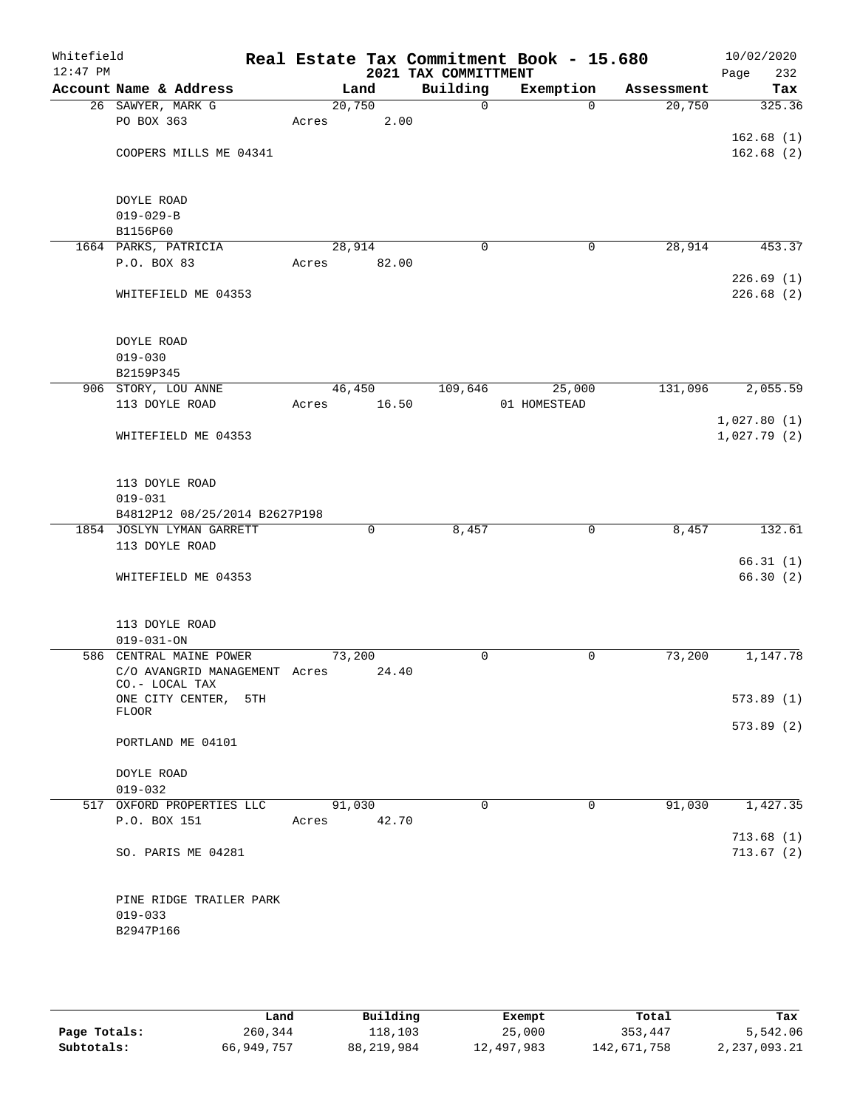| Whitefield<br>$12:47$ PM |                                             |       |             | 2021 TAX COMMITTMENT | Real Estate Tax Commitment Book - 15.680 |            | 10/02/2020<br>Page<br>232 |
|--------------------------|---------------------------------------------|-------|-------------|----------------------|------------------------------------------|------------|---------------------------|
|                          | Account Name & Address                      |       | Land        | Building             | Exemption                                | Assessment | Tax                       |
|                          | 26 SAWYER, MARK G                           |       | 20,750      | $\mathbf 0$          | $\Omega$                                 | 20,750     | 325.36                    |
|                          | PO BOX 363                                  | Acres | 2.00        |                      |                                          |            |                           |
|                          |                                             |       |             |                      |                                          |            | 162.68(1)                 |
|                          | COOPERS MILLS ME 04341                      |       |             |                      |                                          |            | 162.68(2)                 |
|                          |                                             |       |             |                      |                                          |            |                           |
|                          | DOYLE ROAD                                  |       |             |                      |                                          |            |                           |
|                          | $019 - 029 - B$                             |       |             |                      |                                          |            |                           |
|                          | B1156P60                                    |       |             |                      |                                          |            |                           |
|                          | 1664 PARKS, PATRICIA                        |       | 28,914      | $\mathbf 0$          | $\mathbf 0$                              | 28,914     | 453.37                    |
|                          | P.O. BOX 83                                 | Acres | 82.00       |                      |                                          |            |                           |
|                          |                                             |       |             |                      |                                          |            | 226.69(1)                 |
|                          | WHITEFIELD ME 04353                         |       |             |                      |                                          |            | 226.68(2)                 |
|                          |                                             |       |             |                      |                                          |            |                           |
|                          | DOYLE ROAD                                  |       |             |                      |                                          |            |                           |
|                          | $019 - 030$                                 |       |             |                      |                                          |            |                           |
|                          | B2159P345                                   |       |             |                      |                                          |            |                           |
|                          | 906 STORY, LOU ANNE                         |       | 46,450      | 109,646              | 25,000                                   | 131,096    | 2,055.59                  |
|                          | 113 DOYLE ROAD                              | Acres | 16.50       |                      | 01 HOMESTEAD                             |            |                           |
|                          |                                             |       |             |                      |                                          |            | 1,027.80(1)               |
|                          | WHITEFIELD ME 04353                         |       |             |                      |                                          |            | 1,027.79(2)               |
|                          |                                             |       |             |                      |                                          |            |                           |
|                          |                                             |       |             |                      |                                          |            |                           |
|                          | 113 DOYLE ROAD<br>$019 - 031$               |       |             |                      |                                          |            |                           |
|                          | B4812P12 08/25/2014 B2627P198               |       |             |                      |                                          |            |                           |
|                          | 1854 JOSLYN LYMAN GARRETT                   |       | $\mathbf 0$ | 8,457                | $\mathbf 0$                              | 8,457      | 132.61                    |
|                          | 113 DOYLE ROAD                              |       |             |                      |                                          |            |                           |
|                          |                                             |       |             |                      |                                          |            | 66.31(1)                  |
|                          | WHITEFIELD ME 04353                         |       |             |                      |                                          |            | 66.30(2)                  |
|                          |                                             |       |             |                      |                                          |            |                           |
|                          |                                             |       |             |                      |                                          |            |                           |
|                          | 113 DOYLE ROAD                              |       |             |                      |                                          |            |                           |
|                          | $019 - 031 - ON$<br>586 CENTRAL MAINE POWER |       | 73,200      | 0                    | 0                                        | 73,200     | 1,147.78                  |
|                          | C/O AVANGRID MANAGEMENT Acres               |       | 24.40       |                      |                                          |            |                           |
|                          | CO.- LOCAL TAX                              |       |             |                      |                                          |            |                           |
|                          | ONE CITY CENTER,<br>5TH                     |       |             |                      |                                          |            | 573.89(1)                 |
|                          | FLOOR                                       |       |             |                      |                                          |            | 573.89(2)                 |
|                          | PORTLAND ME 04101                           |       |             |                      |                                          |            |                           |
|                          |                                             |       |             |                      |                                          |            |                           |
|                          | DOYLE ROAD                                  |       |             |                      |                                          |            |                           |
|                          | $019 - 032$                                 |       |             |                      |                                          |            |                           |
|                          | 517 OXFORD PROPERTIES LLC                   |       | 91,030      | $\Omega$             | $\mathbf 0$                              | 91,030     | 1,427.35                  |
|                          | P.O. BOX 151                                |       | Acres 42.70 |                      |                                          |            |                           |
|                          |                                             |       |             |                      |                                          |            | 713.68(1)                 |
|                          | SO. PARIS ME 04281                          |       |             |                      |                                          |            | 713.67(2)                 |
|                          |                                             |       |             |                      |                                          |            |                           |
|                          | PINE RIDGE TRAILER PARK                     |       |             |                      |                                          |            |                           |
|                          | $019 - 033$                                 |       |             |                      |                                          |            |                           |
|                          | B2947P166                                   |       |             |                      |                                          |            |                           |
|                          |                                             |       |             |                      |                                          |            |                           |
|                          |                                             |       |             |                      |                                          |            |                           |
|                          |                                             |       |             |                      |                                          |            |                           |

|              | Land       | Building   | Exempt     | Total       | Tax          |
|--------------|------------|------------|------------|-------------|--------------|
| Page Totals: | 260,344    | 118,103    | 25,000     | 353,447     | 5,542.06     |
| Subtotals:   | 66,949,757 | 88,219,984 | 12,497,983 | 142,671,758 | 2,237,093.21 |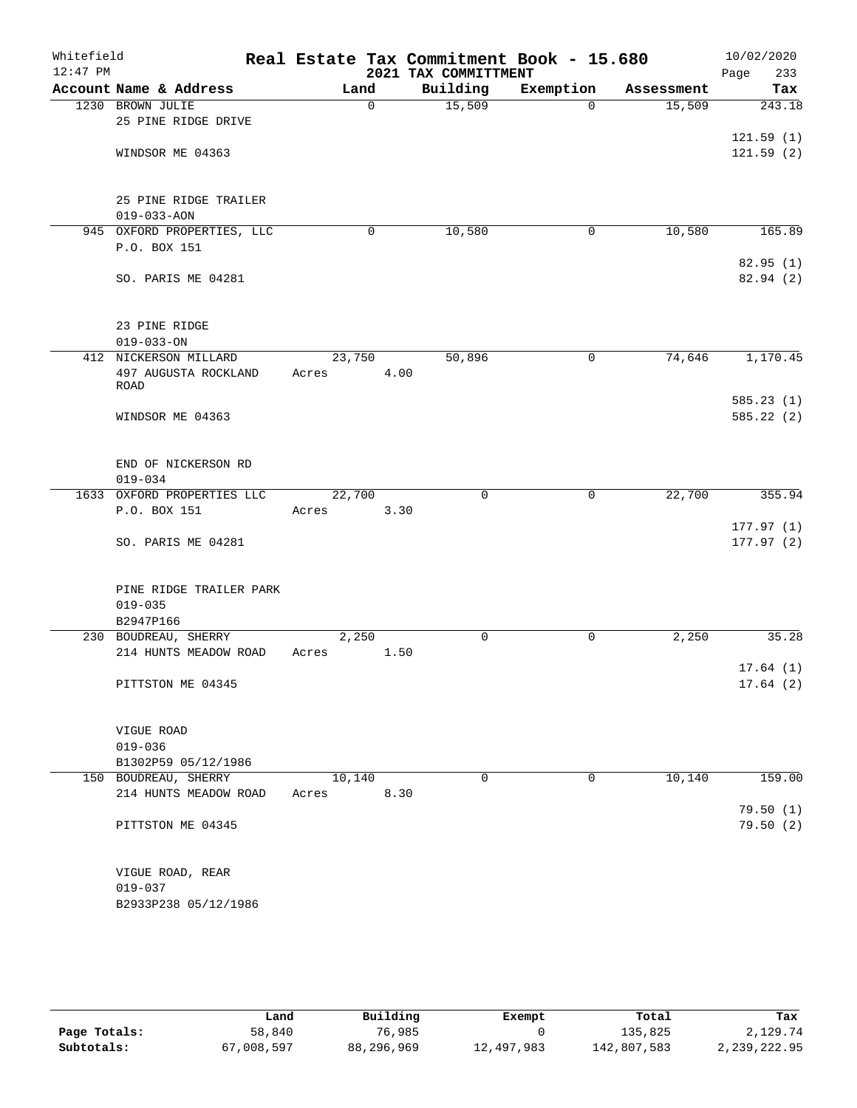| Whitefield |                            |        |          | Real Estate Tax Commitment Book - 15.680 |             |            | 10/02/2020             |
|------------|----------------------------|--------|----------|------------------------------------------|-------------|------------|------------------------|
| $12:47$ PM |                            |        |          | 2021 TAX COMMITTMENT                     |             |            | 233<br>Page            |
|            | Account Name & Address     | Land   |          | Building                                 | Exemption   | Assessment | Tax                    |
|            | 1230 BROWN JULIE           |        | $\Omega$ | 15,509                                   | $\Omega$    | 15,509     | 243.18                 |
|            | 25 PINE RIDGE DRIVE        |        |          |                                          |             |            |                        |
|            | WINDSOR ME 04363           |        |          |                                          |             |            | 121.59(1)<br>121.59(2) |
|            |                            |        |          |                                          |             |            |                        |
|            |                            |        |          |                                          |             |            |                        |
|            | 25 PINE RIDGE TRAILER      |        |          |                                          |             |            |                        |
|            | $019 - 033 - AON$          |        |          |                                          |             |            |                        |
|            | 945 OXFORD PROPERTIES, LLC |        | 0        | 10,580                                   | 0           | 10,580     | 165.89                 |
|            | P.O. BOX 151               |        |          |                                          |             |            |                        |
|            |                            |        |          |                                          |             |            | 82.95(1)               |
|            | SO. PARIS ME 04281         |        |          |                                          |             |            | 82.94 (2)              |
|            |                            |        |          |                                          |             |            |                        |
|            | 23 PINE RIDGE              |        |          |                                          |             |            |                        |
|            | $019 - 033 - ON$           |        |          |                                          |             |            |                        |
|            | 412 NICKERSON MILLARD      | 23,750 |          | 50,896                                   | 0           | 74,646     | 1,170.45               |
|            | 497 AUGUSTA ROCKLAND       | Acres  | 4.00     |                                          |             |            |                        |
|            | ROAD                       |        |          |                                          |             |            | 585.23(1)              |
|            | WINDSOR ME 04363           |        |          |                                          |             |            | 585.22(2)              |
|            |                            |        |          |                                          |             |            |                        |
|            |                            |        |          |                                          |             |            |                        |
|            | END OF NICKERSON RD        |        |          |                                          |             |            |                        |
|            | $019 - 034$                |        |          |                                          |             |            |                        |
|            | 1633 OXFORD PROPERTIES LLC | 22,700 |          | $\mathbf 0$                              | $\mathbf 0$ | 22,700     | 355.94                 |
|            | P.O. BOX 151               | Acres  | 3.30     |                                          |             |            |                        |
|            | SO. PARIS ME 04281         |        |          |                                          |             |            | 177.97(1)<br>177.97(2) |
|            |                            |        |          |                                          |             |            |                        |
|            |                            |        |          |                                          |             |            |                        |
|            | PINE RIDGE TRAILER PARK    |        |          |                                          |             |            |                        |
|            | $019 - 035$                |        |          |                                          |             |            |                        |
|            | B2947P166                  |        |          |                                          |             |            |                        |
|            | 230 BOUDREAU, SHERRY       | 2,250  |          | 0                                        | 0           | 2,250      | 35.28                  |
|            | 214 HUNTS MEADOW ROAD      | Acres  | 1.50     |                                          |             |            | 17.64(1)               |
|            | PITTSTON ME 04345          |        |          |                                          |             |            | 17.64(2)               |
|            |                            |        |          |                                          |             |            |                        |
|            |                            |        |          |                                          |             |            |                        |
|            | VIGUE ROAD                 |        |          |                                          |             |            |                        |
|            | $019 - 036$                |        |          |                                          |             |            |                        |
|            | B1302P59 05/12/1986        |        |          |                                          |             |            |                        |
|            | 150 BOUDREAU, SHERRY       | 10,140 |          | $\mathbf 0$                              | 0           | 10,140     | 159.00                 |
|            | 214 HUNTS MEADOW ROAD      | Acres  | 8.30     |                                          |             |            | 79.50 (1)              |
|            | PITTSTON ME 04345          |        |          |                                          |             |            | 79.50(2)               |
|            |                            |        |          |                                          |             |            |                        |
|            |                            |        |          |                                          |             |            |                        |
|            | VIGUE ROAD, REAR           |        |          |                                          |             |            |                        |
|            | $019 - 037$                |        |          |                                          |             |            |                        |
|            | B2933P238 05/12/1986       |        |          |                                          |             |            |                        |
|            |                            |        |          |                                          |             |            |                        |

|              | Land       | Building   | Exempt     | Total       | Tax          |
|--------------|------------|------------|------------|-------------|--------------|
| Page Totals: | 58,840     | 76,985     |            | 135,825     | 2,129.74     |
| Subtotals:   | 67,008,597 | 88,296,969 | 12,497,983 | 142,807,583 | 2,239,222.95 |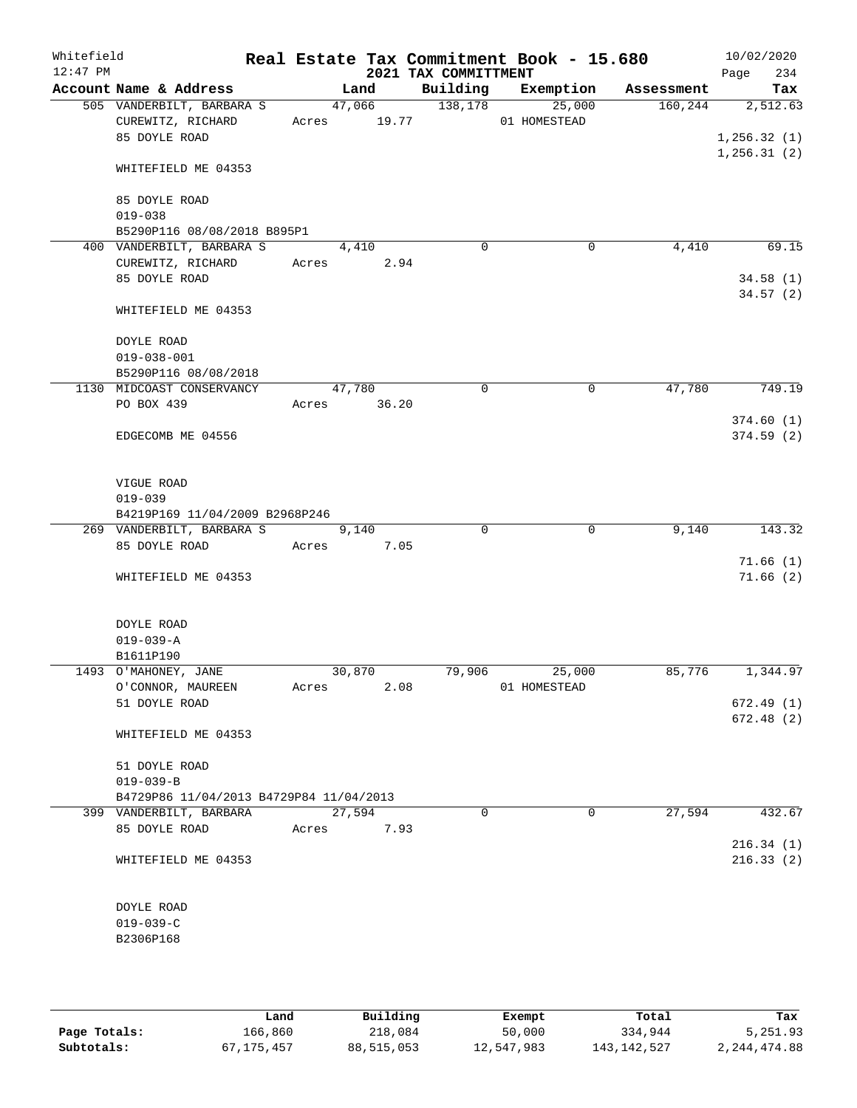| Whitefield<br>$12:47$ PM |                                         |       |             | 2021 TAX COMMITTMENT | Real Estate Tax Commitment Book - 15.680 |                               | 10/02/2020<br>234<br>Page |
|--------------------------|-----------------------------------------|-------|-------------|----------------------|------------------------------------------|-------------------------------|---------------------------|
|                          | Account Name & Address                  |       | Land        |                      |                                          | Building Exemption Assessment | Tax                       |
|                          | 505 VANDERBILT, BARBARA S               |       | 47,066      | 138,178              | 25,000                                   | 160, 244                      | 2,512.63                  |
|                          | CUREWITZ, RICHARD                       |       | Acres 19.77 |                      | 01 HOMESTEAD                             |                               |                           |
|                          | 85 DOYLE ROAD                           |       |             |                      |                                          |                               | 1, 256.32(1)              |
|                          | WHITEFIELD ME 04353                     |       |             |                      |                                          |                               | 1, 256.31(2)              |
|                          | 85 DOYLE ROAD                           |       |             |                      |                                          |                               |                           |
|                          | $019 - 038$                             |       |             |                      |                                          |                               |                           |
|                          | B5290P116 08/08/2018 B895P1             |       |             |                      |                                          |                               |                           |
|                          | 400 VANDERBILT, BARBARA S               |       | 4,410       | $\mathbf 0$          | 0                                        | 4,410                         | 69.15                     |
|                          | CUREWITZ, RICHARD                       |       | Acres 2.94  |                      |                                          |                               |                           |
|                          | 85 DOYLE ROAD                           |       |             |                      |                                          |                               | 34.58(1)                  |
|                          | WHITEFIELD ME 04353                     |       |             |                      |                                          |                               | 34.57(2)                  |
|                          | DOYLE ROAD                              |       |             |                      |                                          |                               |                           |
|                          | $019 - 038 - 001$                       |       |             |                      |                                          |                               |                           |
|                          | B5290P116 08/08/2018                    |       |             |                      |                                          |                               |                           |
|                          | 1130 MIDCOAST CONSERVANCY               |       | 47,780      | $\Omega$             | 0                                        | 47,780                        | 749.19                    |
|                          | PO BOX 439                              |       | Acres 36.20 |                      |                                          |                               |                           |
|                          |                                         |       |             |                      |                                          |                               | 374.60(1)                 |
|                          | EDGECOMB ME 04556                       |       |             |                      |                                          |                               | 374.59(2)                 |
|                          | VIGUE ROAD                              |       |             |                      |                                          |                               |                           |
|                          | $019 - 039$                             |       |             |                      |                                          |                               |                           |
|                          | B4219P169 11/04/2009 B2968P246          |       |             |                      |                                          |                               |                           |
|                          | 269 VANDERBILT, BARBARA S               |       | 9,140       | $\Omega$             | $\mathbf 0$                              | 9,140                         | 143.32                    |
|                          | 85 DOYLE ROAD                           | Acres | 7.05        |                      |                                          |                               |                           |
|                          |                                         |       |             |                      |                                          |                               | 71.66(1)                  |
|                          | WHITEFIELD ME 04353                     |       |             |                      |                                          |                               | 71.66(2)                  |
|                          | DOYLE ROAD                              |       |             |                      |                                          |                               |                           |
|                          | $019 - 039 - A$                         |       |             |                      |                                          |                               |                           |
|                          | B1611P190<br>1493 O'MAHONEY, JANE       |       | 30,870      | 79,906               | 25,000                                   | 85,776                        | 1,344.97                  |
|                          | O'CONNOR, MAUREEN                       | Acres | 2.08        |                      | 01 HOMESTEAD                             |                               |                           |
|                          | 51 DOYLE ROAD                           |       |             |                      |                                          |                               | 672.49(1)                 |
|                          |                                         |       |             |                      |                                          |                               | 672.48(2)                 |
|                          | WHITEFIELD ME 04353                     |       |             |                      |                                          |                               |                           |
|                          | 51 DOYLE ROAD                           |       |             |                      |                                          |                               |                           |
|                          | $019 - 039 - B$                         |       |             |                      |                                          |                               |                           |
|                          | B4729P86 11/04/2013 B4729P84 11/04/2013 |       |             |                      |                                          |                               |                           |
|                          | 399 VANDERBILT, BARBARA                 |       | 27,594      | 0                    | 0                                        | 27,594                        | 432.67                    |
|                          | 85 DOYLE ROAD                           | Acres | 7.93        |                      |                                          |                               |                           |
|                          | WHITEFIELD ME 04353                     |       |             |                      |                                          |                               | 216.34(1)<br>216.33(2)    |
|                          | DOYLE ROAD                              |       |             |                      |                                          |                               |                           |
|                          | $019 - 039 - C$                         |       |             |                      |                                          |                               |                           |
|                          | B2306P168                               |       |             |                      |                                          |                               |                           |
|                          |                                         |       |             |                      |                                          |                               |                           |
|                          |                                         |       |             |                      |                                          |                               |                           |

|              | Land         | Building   | Exempt     | Total         | Tax            |
|--------------|--------------|------------|------------|---------------|----------------|
| Page Totals: | 166,860      | 218,084    | 50,000     | 334,944       | 5,251.93       |
| Subtotals:   | 67, 175, 457 | 88,515,053 | 12,547,983 | 143, 142, 527 | 2, 244, 474.88 |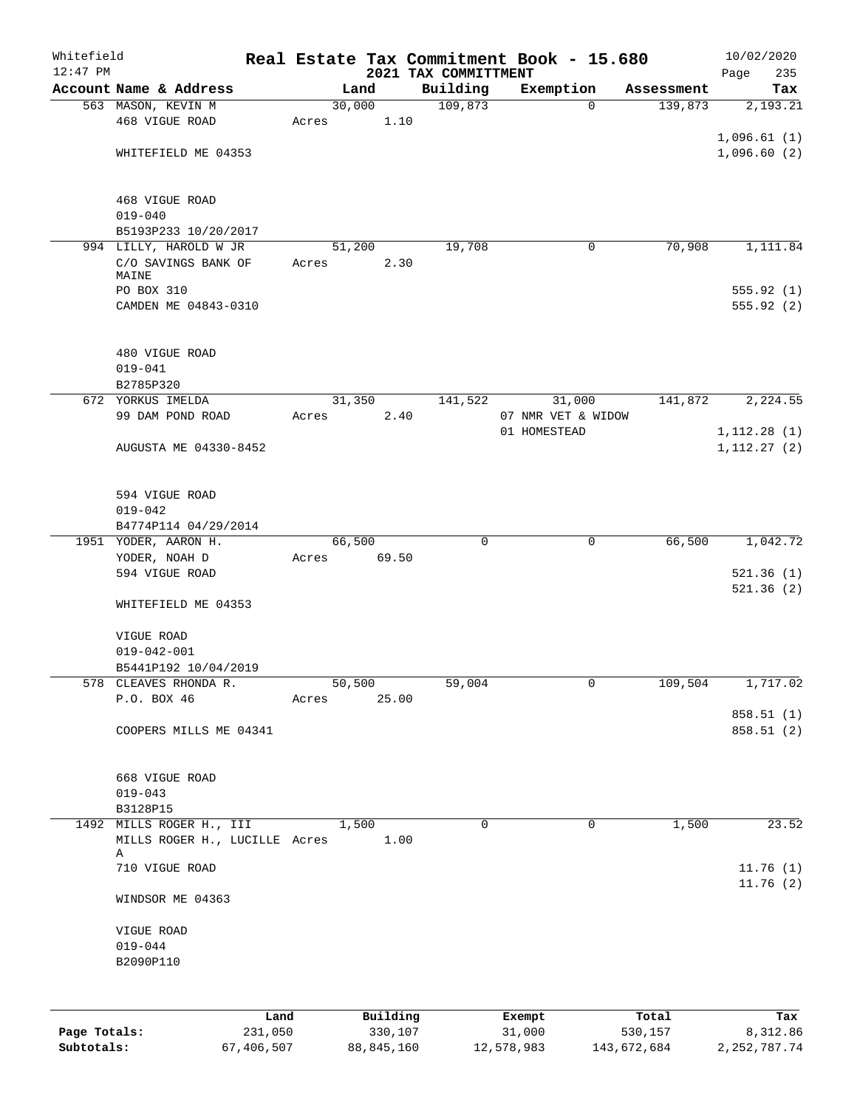| Whitefield   |                                                           |         |       |        |          | Real Estate Tax Commitment Book - 15.680 |                    |             |            |              | 10/02/2020 |
|--------------|-----------------------------------------------------------|---------|-------|--------|----------|------------------------------------------|--------------------|-------------|------------|--------------|------------|
| $12:47$ PM   | Account Name & Address                                    |         |       | Land   |          | 2021 TAX COMMITTMENT<br>Building         | Exemption          |             | Assessment | Page         | 235<br>Tax |
|              | 563 MASON, KEVIN M                                        |         |       | 30,000 |          | 109,873                                  |                    | $\Omega$    | 139,873    |              | 2,193.21   |
|              | 468 VIGUE ROAD                                            |         | Acres |        | 1.10     |                                          |                    |             |            |              |            |
|              |                                                           |         |       |        |          |                                          |                    |             |            | 1,096.61(1)  |            |
|              | WHITEFIELD ME 04353                                       |         |       |        |          |                                          |                    |             |            | 1,096.60(2)  |            |
|              | 468 VIGUE ROAD                                            |         |       |        |          |                                          |                    |             |            |              |            |
|              | $019 - 040$                                               |         |       |        |          |                                          |                    |             |            |              |            |
|              | B5193P233 10/20/2017                                      |         |       |        |          |                                          |                    |             |            |              |            |
|              | 994 LILLY, HAROLD W JR                                    |         |       | 51,200 |          | 19,708                                   |                    | 0           | 70,908     |              | 1,111.84   |
|              | C/O SAVINGS BANK OF<br>MAINE                              |         | Acres |        | 2.30     |                                          |                    |             |            |              |            |
|              | PO BOX 310                                                |         |       |        |          |                                          |                    |             |            |              | 555.92(1)  |
|              | CAMDEN ME 04843-0310                                      |         |       |        |          |                                          |                    |             |            |              | 555.92 (2) |
|              | 480 VIGUE ROAD                                            |         |       |        |          |                                          |                    |             |            |              |            |
|              | $019 - 041$                                               |         |       |        |          |                                          |                    |             |            |              |            |
|              | B2785P320                                                 |         |       |        |          |                                          |                    |             |            |              |            |
|              | 672 YORKUS IMELDA                                         |         |       | 31,350 |          | 141,522                                  | 31,000             |             | 141,872    |              | 2,224.55   |
|              | 99 DAM POND ROAD                                          |         | Acres |        | 2.40     |                                          | 07 NMR VET & WIDOW |             |            |              |            |
|              |                                                           |         |       |        |          |                                          | 01 HOMESTEAD       |             |            | 1, 112.28(1) |            |
|              | AUGUSTA ME 04330-8452                                     |         |       |        |          |                                          |                    |             |            | 1, 112.27(2) |            |
|              | 594 VIGUE ROAD                                            |         |       |        |          |                                          |                    |             |            |              |            |
|              | $019 - 042$                                               |         |       |        |          |                                          |                    |             |            |              |            |
|              | B4774P114 04/29/2014<br>1951 YODER, AARON H.              |         |       | 66,500 |          | $\mathbf 0$                              |                    | $\mathbf 0$ | 66,500     |              | 1,042.72   |
|              | YODER, NOAH D                                             |         | Acres |        | 69.50    |                                          |                    |             |            |              |            |
|              | 594 VIGUE ROAD                                            |         |       |        |          |                                          |                    |             |            |              | 521.36(1)  |
|              | WHITEFIELD ME 04353                                       |         |       |        |          |                                          |                    |             |            |              | 521.36(2)  |
|              |                                                           |         |       |        |          |                                          |                    |             |            |              |            |
|              | VIGUE ROAD                                                |         |       |        |          |                                          |                    |             |            |              |            |
|              | $019 - 042 - 001$                                         |         |       |        |          |                                          |                    |             |            |              |            |
|              | B5441P192 10/04/2019<br>578 CLEAVES RHONDA R.             |         |       | 50,500 |          | 59,004                                   |                    | 0           | 109,504    |              | 1,717.02   |
|              | P.O. BOX 46                                               |         | Acres |        | 25.00    |                                          |                    |             |            |              |            |
|              |                                                           |         |       |        |          |                                          |                    |             |            |              | 858.51 (1) |
|              | COOPERS MILLS ME 04341                                    |         |       |        |          |                                          |                    |             |            |              | 858.51 (2) |
|              | 668 VIGUE ROAD                                            |         |       |        |          |                                          |                    |             |            |              |            |
|              | $019 - 043$                                               |         |       |        |          |                                          |                    |             |            |              |            |
|              | B3128P15                                                  |         |       |        |          |                                          |                    |             |            |              |            |
|              | 1492 MILLS ROGER H., III<br>MILLS ROGER H., LUCILLE Acres |         |       | 1,500  | 1.00     | $\Omega$                                 |                    | 0           | 1,500      |              | 23.52      |
|              | Α<br>710 VIGUE ROAD                                       |         |       |        |          |                                          |                    |             |            |              | 11.76(1)   |
|              | WINDSOR ME 04363                                          |         |       |        |          |                                          |                    |             |            |              | 11.76(2)   |
|              | VIGUE ROAD                                                |         |       |        |          |                                          |                    |             |            |              |            |
|              | $019 - 044$                                               |         |       |        |          |                                          |                    |             |            |              |            |
|              | B2090P110                                                 |         |       |        |          |                                          |                    |             |            |              |            |
|              |                                                           |         |       |        |          |                                          |                    |             |            |              |            |
|              |                                                           | Land    |       |        | Building |                                          | Exempt             |             | Total      |              | Tax        |
| Page Totals: |                                                           | 231,050 |       |        | 330,107  |                                          | 31,000             |             | 530,157    |              | 8,312.86   |

**Subtotals:** 67,406,507 88,845,160 12,578,983 143,672,684 2,252,787.74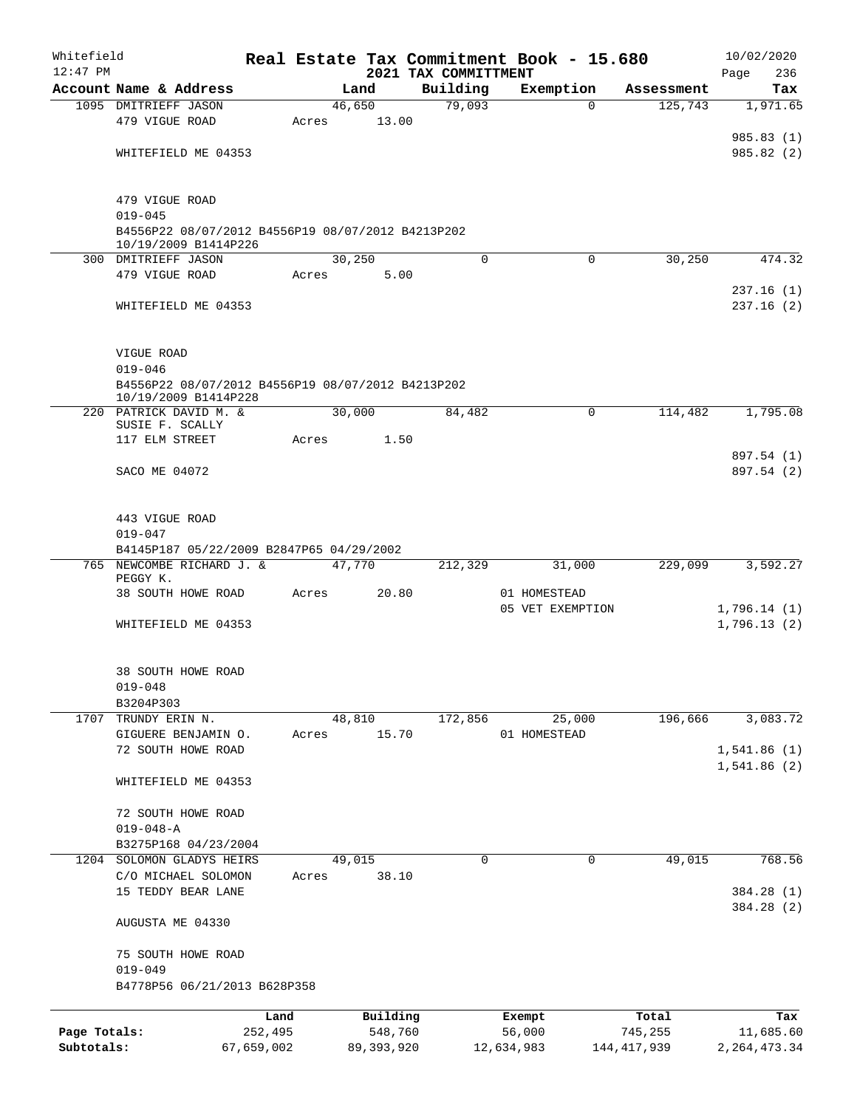| Whitefield<br>$12:47$ PM |                                                   |            |       |              | 2021 TAX COMMITTMENT | Real Estate Tax Commitment Book - 15.680 |             | 10/02/2020<br>236<br>Page |
|--------------------------|---------------------------------------------------|------------|-------|--------------|----------------------|------------------------------------------|-------------|---------------------------|
|                          | Account Name & Address                            |            |       | Land         | Building             | Exemption                                | Assessment  | Tax                       |
|                          | 1095 DMITRIEFF JASON                              |            |       | 46,650       | 79,093               | $\Omega$                                 | 125,743     | 1,971.65                  |
|                          | 479 VIGUE ROAD                                    |            | Acres | 13.00        |                      |                                          |             |                           |
|                          |                                                   |            |       |              |                      |                                          |             | 985.83 (1)                |
|                          | WHITEFIELD ME 04353                               |            |       |              |                      |                                          |             | 985.82 (2)                |
|                          |                                                   |            |       |              |                      |                                          |             |                           |
|                          |                                                   |            |       |              |                      |                                          |             |                           |
|                          | 479 VIGUE ROAD<br>$019 - 045$                     |            |       |              |                      |                                          |             |                           |
|                          | B4556P22 08/07/2012 B4556P19 08/07/2012 B4213P202 |            |       |              |                      |                                          |             |                           |
|                          | 10/19/2009 B1414P226                              |            |       |              |                      |                                          |             |                           |
|                          | 300 DMITRIEFF JASON                               |            |       | 30,250       | $\Omega$             | $\mathbf 0$                              | 30,250      | 474.32                    |
|                          | 479 VIGUE ROAD                                    |            | Acres | 5.00         |                      |                                          |             |                           |
|                          |                                                   |            |       |              |                      |                                          |             | 237.16(1)                 |
|                          | WHITEFIELD ME 04353                               |            |       |              |                      |                                          |             | 237.16(2)                 |
|                          |                                                   |            |       |              |                      |                                          |             |                           |
|                          |                                                   |            |       |              |                      |                                          |             |                           |
|                          | VIGUE ROAD<br>$019 - 046$                         |            |       |              |                      |                                          |             |                           |
|                          | B4556P22 08/07/2012 B4556P19 08/07/2012 B4213P202 |            |       |              |                      |                                          |             |                           |
|                          | 10/19/2009 B1414P228                              |            |       |              |                      |                                          |             |                           |
|                          | 220 PATRICK DAVID M. &                            |            |       | 30,000       | 84,482               | 0                                        | 114,482     | 1,795.08                  |
|                          | SUSIE F. SCALLY                                   |            |       |              |                      |                                          |             |                           |
|                          | 117 ELM STREET                                    |            | Acres | 1.50         |                      |                                          |             |                           |
|                          |                                                   |            |       |              |                      |                                          |             | 897.54 (1)                |
|                          | SACO ME 04072                                     |            |       |              |                      |                                          |             | 897.54 (2)                |
|                          |                                                   |            |       |              |                      |                                          |             |                           |
|                          | 443 VIGUE ROAD                                    |            |       |              |                      |                                          |             |                           |
|                          | $019 - 047$                                       |            |       |              |                      |                                          |             |                           |
|                          | B4145P187 05/22/2009 B2847P65 04/29/2002          |            |       |              |                      |                                          |             |                           |
|                          | 765 NEWCOMBE RICHARD J. &                         |            |       | 47,770       | 212,329              | 31,000                                   | 229,099     | 3,592.27                  |
|                          | PEGGY K.                                          |            |       |              |                      |                                          |             |                           |
|                          | 38 SOUTH HOWE ROAD                                |            | Acres | 20.80        |                      | 01 HOMESTEAD                             |             |                           |
|                          |                                                   |            |       |              |                      | 05 VET EXEMPTION                         |             | 1,796.14(1)               |
|                          | WHITEFIELD ME 04353                               |            |       |              |                      |                                          |             | 1,796.13(2)               |
|                          |                                                   |            |       |              |                      |                                          |             |                           |
|                          | <b>38 SOUTH HOWE ROAD</b>                         |            |       |              |                      |                                          |             |                           |
|                          | $019 - 048$                                       |            |       |              |                      |                                          |             |                           |
|                          | B3204P303                                         |            |       |              |                      |                                          |             |                           |
| 1707                     | TRUNDY ERIN N.                                    |            |       | 48,810       | 172,856              | 25,000                                   | 196,666     | 3,083.72                  |
|                          | GIGUERE BENJAMIN O.                               |            | Acres | 15.70        |                      | 01 HOMESTEAD                             |             |                           |
|                          | 72 SOUTH HOWE ROAD                                |            |       |              |                      |                                          |             | 1,541.86(1)               |
|                          |                                                   |            |       |              |                      |                                          |             | 1,541.86(2)               |
|                          | WHITEFIELD ME 04353                               |            |       |              |                      |                                          |             |                           |
|                          |                                                   |            |       |              |                      |                                          |             |                           |
|                          | 72 SOUTH HOWE ROAD<br>$019 - 048 - A$             |            |       |              |                      |                                          |             |                           |
|                          | B3275P168 04/23/2004                              |            |       |              |                      |                                          |             |                           |
|                          | 1204 SOLOMON GLADYS HEIRS                         |            |       | 49,015       | 0                    | 0                                        | 49,015      | 768.56                    |
|                          | C/O MICHAEL SOLOMON                               |            | Acres | 38.10        |                      |                                          |             |                           |
|                          | 15 TEDDY BEAR LANE                                |            |       |              |                      |                                          |             | 384.28 (1)                |
|                          |                                                   |            |       |              |                      |                                          |             | 384.28 (2)                |
|                          | AUGUSTA ME 04330                                  |            |       |              |                      |                                          |             |                           |
|                          |                                                   |            |       |              |                      |                                          |             |                           |
|                          | 75 SOUTH HOWE ROAD                                |            |       |              |                      |                                          |             |                           |
|                          | $019 - 049$                                       |            |       |              |                      |                                          |             |                           |
|                          | B4778P56 06/21/2013 B628P358                      |            |       |              |                      |                                          |             |                           |
|                          |                                                   | Land       |       | Building     |                      | Exempt                                   | Total       | Tax                       |
| Page Totals:             |                                                   | 252,495    |       | 548,760      |                      | 56,000                                   | 745,255     | 11,685.60                 |
| Subtotals:               |                                                   | 67,659,002 |       | 89, 393, 920 |                      | 12,634,983                               | 144,417,939 | 2, 264, 473.34            |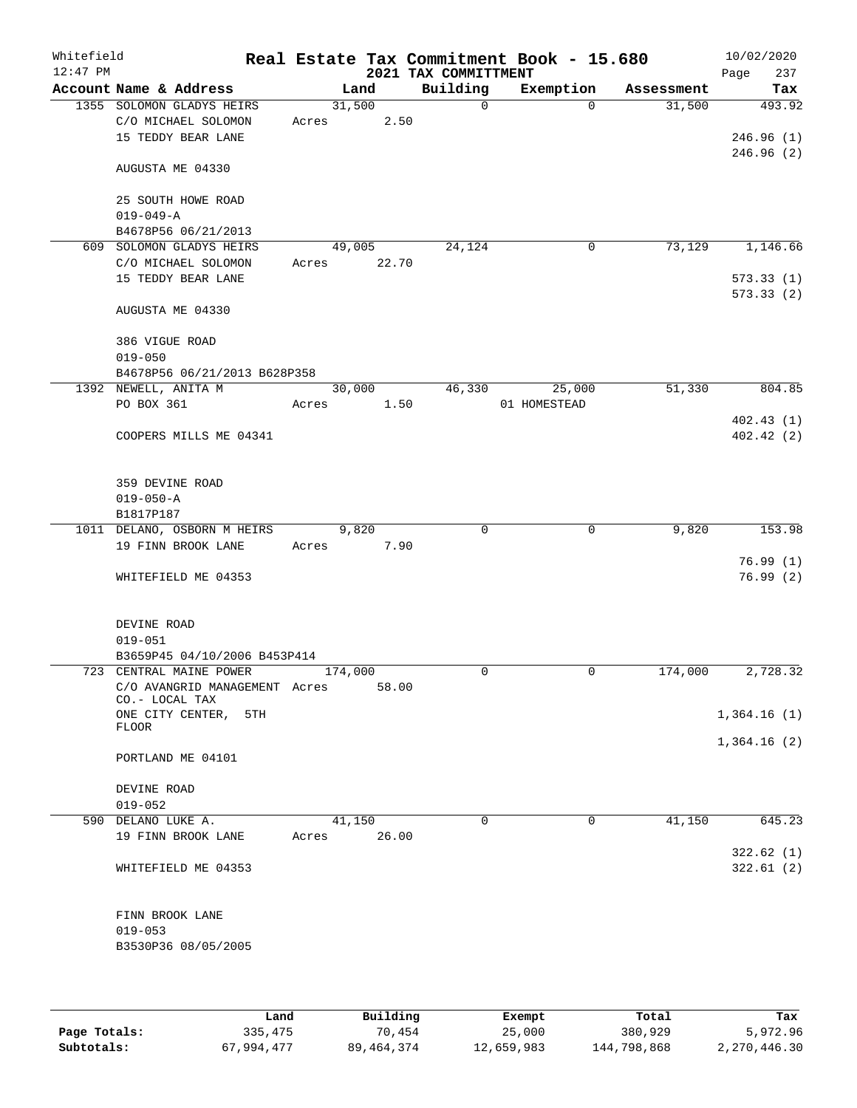| Whitefield<br>$12:47$ PM |                                                         |         |        |      | 2021 TAX COMMITTMENT | Real Estate Tax Commitment Book - 15.680 |            | 10/02/2020<br>237<br>Page |
|--------------------------|---------------------------------------------------------|---------|--------|------|----------------------|------------------------------------------|------------|---------------------------|
|                          | Account Name & Address                                  |         | Land   |      | Building             | Exemption                                | Assessment | Tax                       |
|                          | 1355 SOLOMON GLADYS HEIRS                               | 31,500  |        |      | $\Omega$             | $\Omega$                                 | 31,500     | 493.92                    |
|                          | C/O MICHAEL SOLOMON                                     | Acres   |        | 2.50 |                      |                                          |            |                           |
|                          | 15 TEDDY BEAR LANE                                      |         |        |      |                      |                                          |            | 246.96(1)                 |
|                          |                                                         |         |        |      |                      |                                          |            | 246.96(2)                 |
|                          | AUGUSTA ME 04330                                        |         |        |      |                      |                                          |            |                           |
|                          |                                                         |         |        |      |                      |                                          |            |                           |
|                          | 25 SOUTH HOWE ROAD                                      |         |        |      |                      |                                          |            |                           |
|                          | $019 - 049 - A$                                         |         |        |      |                      |                                          |            |                           |
|                          | B4678P56 06/21/2013                                     |         |        |      |                      |                                          |            |                           |
|                          | 609 SOLOMON GLADYS HEIRS                                |         | 49,005 |      | 24,124               | 0                                        | 73,129     | 1,146.66                  |
|                          | C/O MICHAEL SOLOMON                                     | Acres   | 22.70  |      |                      |                                          |            |                           |
|                          | 15 TEDDY BEAR LANE                                      |         |        |      |                      |                                          |            | 573.33(1)                 |
|                          |                                                         |         |        |      |                      |                                          |            | 573.33(2)                 |
|                          | AUGUSTA ME 04330                                        |         |        |      |                      |                                          |            |                           |
|                          |                                                         |         |        |      |                      |                                          |            |                           |
|                          | 386 VIGUE ROAD                                          |         |        |      |                      |                                          |            |                           |
|                          | $019 - 050$<br>B4678P56 06/21/2013 B628P358             |         |        |      |                      |                                          |            |                           |
|                          | 1392 NEWELL, ANITA M                                    |         | 30,000 |      | 46,330               | 25,000                                   | 51,330     | 804.85                    |
|                          | PO BOX 361                                              | Acres   | 1.50   |      |                      | 01 HOMESTEAD                             |            |                           |
|                          |                                                         |         |        |      |                      |                                          |            | 402.43(1)                 |
|                          | COOPERS MILLS ME 04341                                  |         |        |      |                      |                                          |            | 402.42(2)                 |
|                          |                                                         |         |        |      |                      |                                          |            |                           |
|                          |                                                         |         |        |      |                      |                                          |            |                           |
|                          | 359 DEVINE ROAD                                         |         |        |      |                      |                                          |            |                           |
|                          | $019 - 050 - A$                                         |         |        |      |                      |                                          |            |                           |
|                          | B1817P187                                               |         |        |      |                      |                                          |            |                           |
|                          | 1011 DELANO, OSBORN M HEIRS                             |         | 9,820  |      | $\mathbf 0$          | 0                                        | 9,820      | 153.98                    |
|                          | 19 FINN BROOK LANE                                      | Acres   |        | 7.90 |                      |                                          |            |                           |
|                          |                                                         |         |        |      |                      |                                          |            | 76.99(1)                  |
|                          | WHITEFIELD ME 04353                                     |         |        |      |                      |                                          |            | 76.99(2)                  |
|                          |                                                         |         |        |      |                      |                                          |            |                           |
|                          |                                                         |         |        |      |                      |                                          |            |                           |
|                          | DEVINE ROAD                                             |         |        |      |                      |                                          |            |                           |
|                          | $019 - 051$                                             |         |        |      |                      |                                          |            |                           |
|                          | B3659P45 04/10/2006 B453P414<br>723 CENTRAL MAINE POWER |         |        |      | $\Omega$             | $\mathbf 0$                              | 174,000    | 2,728.32                  |
|                          | C/O AVANGRID MANAGEMENT Acres                           | 174,000 | 58.00  |      |                      |                                          |            |                           |
|                          | $CO. - LOCAL$ TAX                                       |         |        |      |                      |                                          |            |                           |
|                          | ONE CITY CENTER,<br>5TH                                 |         |        |      |                      |                                          |            | 1,364.16(1)               |
|                          | FLOOR                                                   |         |        |      |                      |                                          |            |                           |
|                          |                                                         |         |        |      |                      |                                          |            | 1,364.16(2)               |
|                          | PORTLAND ME 04101                                       |         |        |      |                      |                                          |            |                           |
|                          |                                                         |         |        |      |                      |                                          |            |                           |
|                          | DEVINE ROAD                                             |         |        |      |                      |                                          |            |                           |
|                          | $019 - 052$                                             |         |        |      | $\Omega$             |                                          |            |                           |
|                          | 590 DELANO LUKE A.                                      |         | 41,150 |      |                      | $\mathbf 0$                              | 41,150     | 645.23                    |
|                          | 19 FINN BROOK LANE                                      | Acres   | 26.00  |      |                      |                                          |            |                           |
|                          |                                                         |         |        |      |                      |                                          |            | 322.62(1)<br>322.61(2)    |
|                          | WHITEFIELD ME 04353                                     |         |        |      |                      |                                          |            |                           |
|                          |                                                         |         |        |      |                      |                                          |            |                           |
|                          | FINN BROOK LANE                                         |         |        |      |                      |                                          |            |                           |
|                          | $019 - 053$                                             |         |        |      |                      |                                          |            |                           |
|                          | B3530P36 08/05/2005                                     |         |        |      |                      |                                          |            |                           |
|                          |                                                         |         |        |      |                      |                                          |            |                           |
|                          |                                                         |         |        |      |                      |                                          |            |                           |
|                          |                                                         |         |        |      |                      |                                          |            |                           |

|              | Land       | Building   | Exempt     | Total       | Tax          |
|--------------|------------|------------|------------|-------------|--------------|
| Page Totals: | 335,475    | 70,454     | 25,000     | 380,929     | 5,972.96     |
| Subtotals:   | 67,994,477 | 89,464,374 | 12,659,983 | 144,798,868 | 2,270,446.30 |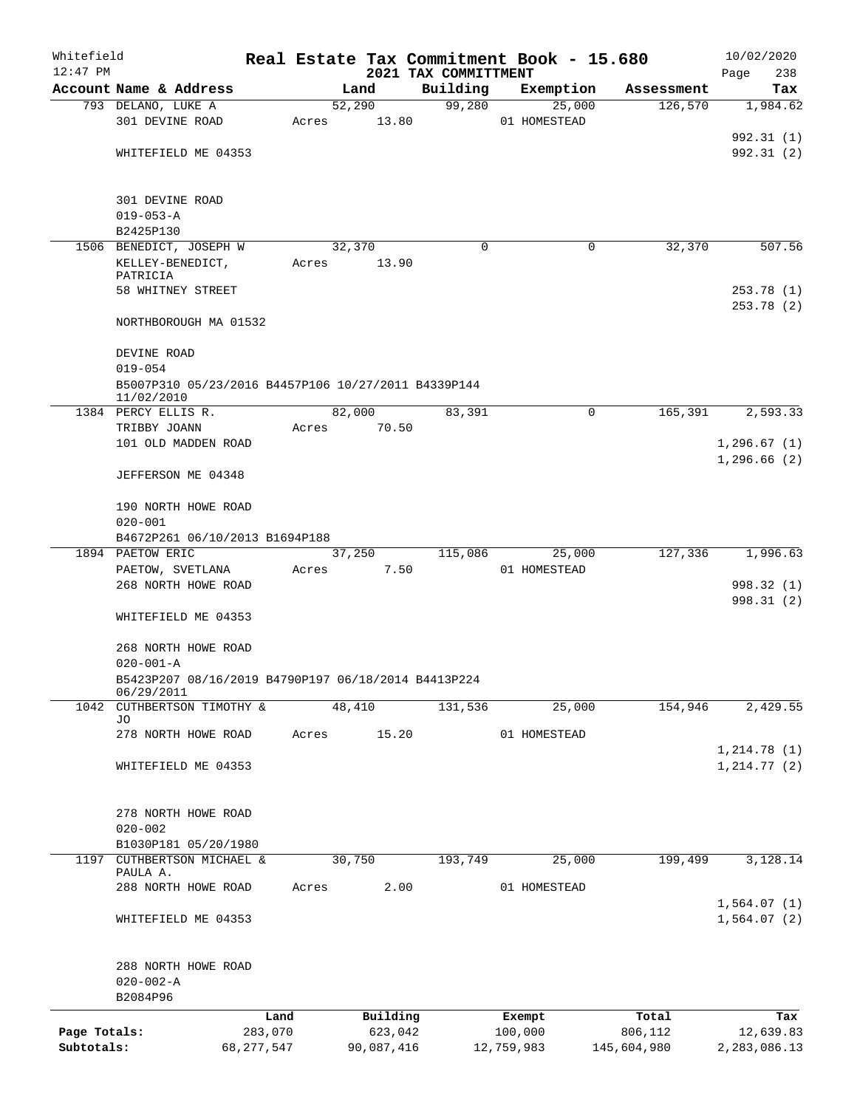| Whitefield<br>$12:47$ PM |                                                     |              |       |        |            |                      |          | Real Estate Tax Commitment Book - 15.680 |        |             | 10/02/2020         |
|--------------------------|-----------------------------------------------------|--------------|-------|--------|------------|----------------------|----------|------------------------------------------|--------|-------------|--------------------|
|                          | Account Name & Address                              |              |       | Land   |            | 2021 TAX COMMITTMENT | Building | Exemption                                |        | Assessment  | 238<br>Page<br>Tax |
|                          | 793 DELANO, LUKE A                                  |              |       | 52,290 |            |                      | 99,280   |                                          | 25,000 | 126,570     | 1,984.62           |
|                          | 301 DEVINE ROAD                                     |              | Acres |        | 13.80      |                      |          | 01 HOMESTEAD                             |        |             |                    |
|                          |                                                     |              |       |        |            |                      |          |                                          |        |             | 992.31 (1)         |
|                          | WHITEFIELD ME 04353                                 |              |       |        |            |                      |          |                                          |        |             | 992.31 (2)         |
|                          |                                                     |              |       |        |            |                      |          |                                          |        |             |                    |
|                          |                                                     |              |       |        |            |                      |          |                                          |        |             |                    |
|                          | 301 DEVINE ROAD                                     |              |       |        |            |                      |          |                                          |        |             |                    |
|                          | $019 - 053 - A$<br>B2425P130                        |              |       |        |            |                      |          |                                          |        |             |                    |
|                          | 1506 BENEDICT, JOSEPH W                             |              |       | 32,370 |            |                      | $\Omega$ |                                          | 0      | 32,370      | 507.56             |
|                          | KELLEY-BENEDICT,                                    |              | Acres |        | 13.90      |                      |          |                                          |        |             |                    |
|                          | PATRICIA                                            |              |       |        |            |                      |          |                                          |        |             |                    |
|                          | 58 WHITNEY STREET                                   |              |       |        |            |                      |          |                                          |        |             | 253.78(1)          |
|                          |                                                     |              |       |        |            |                      |          |                                          |        |             | 253.78(2)          |
|                          | NORTHBOROUGH MA 01532                               |              |       |        |            |                      |          |                                          |        |             |                    |
|                          | DEVINE ROAD                                         |              |       |        |            |                      |          |                                          |        |             |                    |
|                          | $019 - 054$                                         |              |       |        |            |                      |          |                                          |        |             |                    |
|                          | B5007P310 05/23/2016 B4457P106 10/27/2011 B4339P144 |              |       |        |            |                      |          |                                          |        |             |                    |
|                          | 11/02/2010                                          |              |       |        |            |                      |          |                                          |        |             |                    |
|                          | 1384 PERCY ELLIS R.                                 |              |       | 82,000 |            |                      | 83,391   |                                          | 0      | 165,391     | 2,593.33           |
|                          | TRIBBY JOANN                                        |              | Acres |        | 70.50      |                      |          |                                          |        |             |                    |
|                          | 101 OLD MADDEN ROAD                                 |              |       |        |            |                      |          |                                          |        |             | 1,296.67(1)        |
|                          |                                                     |              |       |        |            |                      |          |                                          |        |             | 1,296.66(2)        |
|                          | JEFFERSON ME 04348                                  |              |       |        |            |                      |          |                                          |        |             |                    |
|                          | 190 NORTH HOWE ROAD                                 |              |       |        |            |                      |          |                                          |        |             |                    |
|                          | $020 - 001$                                         |              |       |        |            |                      |          |                                          |        |             |                    |
|                          | B4672P261 06/10/2013 B1694P188                      |              |       |        |            |                      |          |                                          |        |             |                    |
|                          | 1894 PAETOW ERIC                                    |              |       | 37,250 |            |                      | 115,086  |                                          | 25,000 | 127,336     | 1,996.63           |
|                          | PAETOW, SVETLANA                                    |              | Acres |        | 7.50       |                      |          | 01 HOMESTEAD                             |        |             |                    |
|                          | 268 NORTH HOWE ROAD                                 |              |       |        |            |                      |          |                                          |        |             | 998.32 (1)         |
|                          |                                                     |              |       |        |            |                      |          |                                          |        |             | 998.31 (2)         |
|                          | WHITEFIELD ME 04353                                 |              |       |        |            |                      |          |                                          |        |             |                    |
|                          |                                                     |              |       |        |            |                      |          |                                          |        |             |                    |
|                          | 268 NORTH HOWE ROAD<br>$020 - 001 - A$              |              |       |        |            |                      |          |                                          |        |             |                    |
|                          | B5423P207 08/16/2019 B4790P197 06/18/2014 B4413P224 |              |       |        |            |                      |          |                                          |        |             |                    |
|                          | 06/29/2011                                          |              |       |        |            |                      |          |                                          |        |             |                    |
|                          | 1042 CUTHBERTSON TIMOTHY &                          |              |       | 48,410 |            |                      | 131,536  |                                          | 25,000 | 154,946     | 2,429.55           |
|                          | JO                                                  |              |       |        |            |                      |          |                                          |        |             |                    |
|                          | 278 NORTH HOWE ROAD                                 |              | Acres |        | 15.20      |                      |          | 01 HOMESTEAD                             |        |             | 1,214.78(1)        |
|                          | WHITEFIELD ME 04353                                 |              |       |        |            |                      |          |                                          |        |             | 1,214.77(2)        |
|                          |                                                     |              |       |        |            |                      |          |                                          |        |             |                    |
|                          |                                                     |              |       |        |            |                      |          |                                          |        |             |                    |
|                          | 278 NORTH HOWE ROAD                                 |              |       |        |            |                      |          |                                          |        |             |                    |
|                          | $020 - 002$                                         |              |       |        |            |                      |          |                                          |        |             |                    |
|                          | B1030P181 05/20/1980                                |              |       |        |            |                      |          |                                          |        |             |                    |
| 1197                     | CUTHBERTSON MICHAEL &                               |              |       | 30,750 |            |                      | 193,749  |                                          | 25,000 | 199,499     | 3,128.14           |
|                          | PAULA A.<br>288 NORTH HOWE ROAD                     |              | Acres |        | 2.00       |                      |          | 01 HOMESTEAD                             |        |             |                    |
|                          |                                                     |              |       |        |            |                      |          |                                          |        |             | 1,564.07(1)        |
|                          | WHITEFIELD ME 04353                                 |              |       |        |            |                      |          |                                          |        |             | 1,564.07 (2)       |
|                          |                                                     |              |       |        |            |                      |          |                                          |        |             |                    |
|                          |                                                     |              |       |        |            |                      |          |                                          |        |             |                    |
|                          | 288 NORTH HOWE ROAD                                 |              |       |        |            |                      |          |                                          |        |             |                    |
|                          | $020 - 002 - A$                                     |              |       |        |            |                      |          |                                          |        |             |                    |
|                          | B2084P96                                            |              |       |        |            |                      |          |                                          |        |             |                    |
|                          |                                                     | Land         |       |        | Building   |                      |          | Exempt                                   |        | Total       | Tax                |
| Page Totals:             |                                                     | 283,070      |       |        | 623,042    |                      |          | 100,000                                  |        | 806,112     | 12,639.83          |
| Subtotals:               |                                                     | 68, 277, 547 |       |        | 90,087,416 |                      |          | 12,759,983                               |        | 145,604,980 | 2,283,086.13       |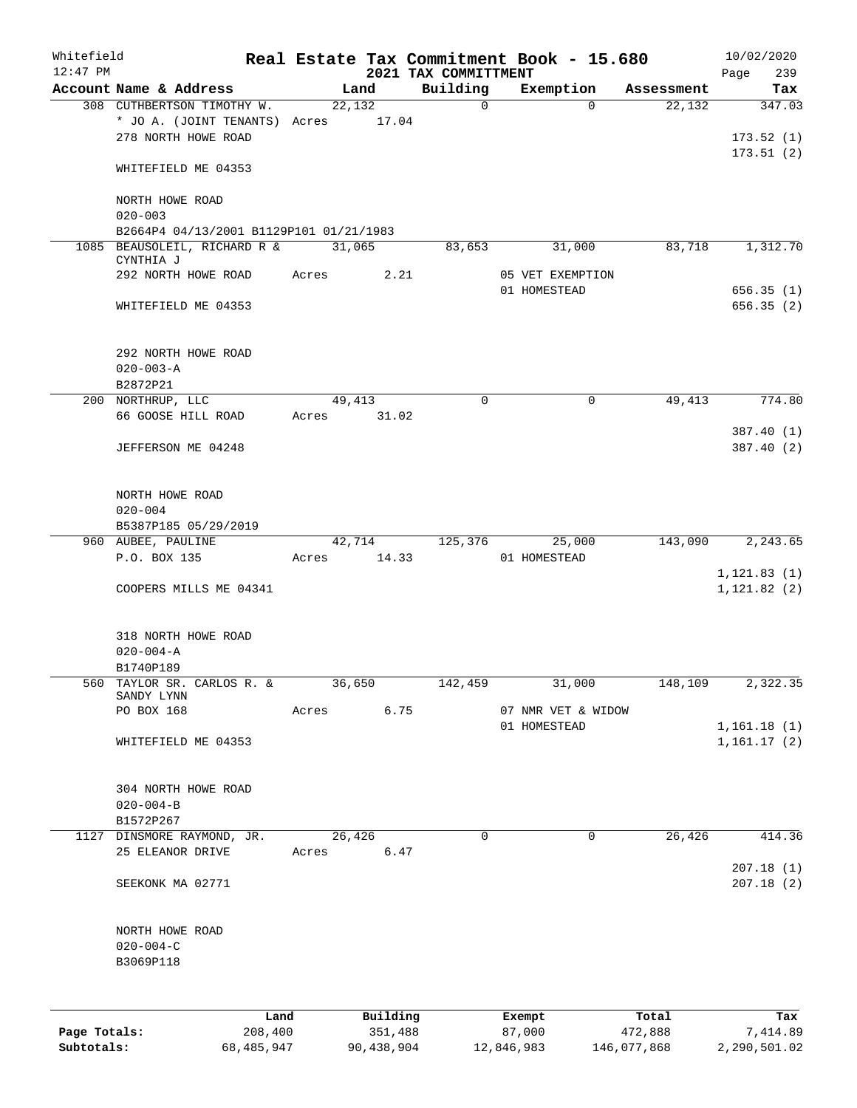| Whitefield<br>$12:47$ PM |                                                                         |         |       |        |          | 2021 TAX COMMITTMENT | Real Estate Tax Commitment Book - 15.680 |            | Page         | 10/02/2020<br>239          |
|--------------------------|-------------------------------------------------------------------------|---------|-------|--------|----------|----------------------|------------------------------------------|------------|--------------|----------------------------|
|                          | Account Name & Address                                                  |         |       | Land   |          | Building             | Exemption                                | Assessment |              | Tax                        |
|                          | 308 CUTHBERTSON TIMOTHY W.                                              |         |       | 22,132 |          | $\mathbf 0$          | $\Omega$                                 | 22,132     |              | 347.03                     |
|                          | * JO A. (JOINT TENANTS) Acres                                           |         |       | 17.04  |          |                      |                                          |            |              |                            |
|                          | 278 NORTH HOWE ROAD                                                     |         |       |        |          |                      |                                          |            |              | 173.52(1)                  |
|                          |                                                                         |         |       |        |          |                      |                                          |            |              | 173.51(2)                  |
|                          | WHITEFIELD ME 04353                                                     |         |       |        |          |                      |                                          |            |              |                            |
|                          |                                                                         |         |       |        |          |                      |                                          |            |              |                            |
|                          | NORTH HOWE ROAD                                                         |         |       |        |          |                      |                                          |            |              |                            |
|                          | $020 - 003$                                                             |         |       |        |          |                      |                                          |            |              |                            |
|                          | B2664P4 04/13/2001 B1129P101 01/21/1983<br>1085 BEAUSOLEIL, RICHARD R & |         |       |        |          |                      |                                          |            |              |                            |
|                          | CYNTHIA J                                                               |         |       | 31,065 |          | 83,653               | 31,000                                   | 83,718     |              | 1,312.70                   |
|                          | 292 NORTH HOWE ROAD                                                     |         | Acres |        | 2.21     |                      | 05 VET EXEMPTION                         |            |              |                            |
|                          |                                                                         |         |       |        |          |                      | 01 HOMESTEAD                             |            |              | 656.35(1)                  |
|                          | WHITEFIELD ME 04353                                                     |         |       |        |          |                      |                                          |            |              | 656.35(2)                  |
|                          |                                                                         |         |       |        |          |                      |                                          |            |              |                            |
|                          |                                                                         |         |       |        |          |                      |                                          |            |              |                            |
|                          | 292 NORTH HOWE ROAD                                                     |         |       |        |          |                      |                                          |            |              |                            |
|                          | $020 - 003 - A$                                                         |         |       |        |          |                      |                                          |            |              |                            |
|                          | B2872P21<br>200 NORTHRUP, LLC                                           |         |       | 49,413 |          | 0                    | $\mathbf 0$                              | 49,413     |              | 774.80                     |
|                          | 66 GOOSE HILL ROAD                                                      |         | Acres |        | 31.02    |                      |                                          |            |              |                            |
|                          |                                                                         |         |       |        |          |                      |                                          |            |              | 387.40 (1)                 |
|                          | JEFFERSON ME 04248                                                      |         |       |        |          |                      |                                          |            |              | 387.40 (2)                 |
|                          |                                                                         |         |       |        |          |                      |                                          |            |              |                            |
|                          |                                                                         |         |       |        |          |                      |                                          |            |              |                            |
|                          | NORTH HOWE ROAD                                                         |         |       |        |          |                      |                                          |            |              |                            |
|                          | $020 - 004$                                                             |         |       |        |          |                      |                                          |            |              |                            |
|                          | B5387P185 05/29/2019                                                    |         |       |        |          |                      |                                          |            |              |                            |
|                          | 960 AUBEE, PAULINE                                                      |         |       | 42,714 |          | 125,376              | 25,000                                   | 143,090    |              | 2,243.65                   |
|                          | P.O. BOX 135                                                            |         | Acres |        | 14.33    |                      | 01 HOMESTEAD                             |            |              |                            |
|                          |                                                                         |         |       |        |          |                      |                                          |            | 1, 121.83(1) |                            |
|                          | COOPERS MILLS ME 04341                                                  |         |       |        |          |                      |                                          |            |              | 1, 121.82(2)               |
|                          |                                                                         |         |       |        |          |                      |                                          |            |              |                            |
|                          | 318 NORTH HOWE ROAD                                                     |         |       |        |          |                      |                                          |            |              |                            |
|                          | $020 - 004 - A$                                                         |         |       |        |          |                      |                                          |            |              |                            |
|                          | B1740P189                                                               |         |       |        |          |                      |                                          |            |              |                            |
| 560                      | TAYLOR SR. CARLOS R. &                                                  |         |       | 36,650 |          | 142,459              | 31,000                                   | 148,109    |              | 2,322.35                   |
|                          | SANDY LYNN                                                              |         |       |        |          |                      |                                          |            |              |                            |
|                          | PO BOX 168                                                              |         | Acres |        | 6.75     |                      | 07 NMR VET & WIDOW                       |            |              |                            |
|                          | WHITEFIELD ME 04353                                                     |         |       |        |          |                      | 01 HOMESTEAD                             |            |              | 1,161.18(1)<br>1,161.17(2) |
|                          |                                                                         |         |       |        |          |                      |                                          |            |              |                            |
|                          |                                                                         |         |       |        |          |                      |                                          |            |              |                            |
|                          | 304 NORTH HOWE ROAD                                                     |         |       |        |          |                      |                                          |            |              |                            |
|                          | $020 - 004 - B$                                                         |         |       |        |          |                      |                                          |            |              |                            |
|                          | B1572P267                                                               |         |       |        |          |                      |                                          |            |              |                            |
| 1127                     | DINSMORE RAYMOND, JR.                                                   |         |       | 26,426 |          | 0                    | $\mathbf 0$                              | 26,426     |              | 414.36                     |
|                          | 25 ELEANOR DRIVE                                                        |         | Acres |        | 6.47     |                      |                                          |            |              |                            |
|                          |                                                                         |         |       |        |          |                      |                                          |            |              | 207.18(1)                  |
|                          | SEEKONK MA 02771                                                        |         |       |        |          |                      |                                          |            |              | 207.18(2)                  |
|                          |                                                                         |         |       |        |          |                      |                                          |            |              |                            |
|                          |                                                                         |         |       |        |          |                      |                                          |            |              |                            |
|                          | NORTH HOWE ROAD<br>$020 - 004 - C$                                      |         |       |        |          |                      |                                          |            |              |                            |
|                          | B3069P118                                                               |         |       |        |          |                      |                                          |            |              |                            |
|                          |                                                                         |         |       |        |          |                      |                                          |            |              |                            |
|                          |                                                                         |         |       |        |          |                      |                                          |            |              |                            |
|                          |                                                                         | Land    |       |        | Building |                      | Exempt                                   | Total      |              | Tax                        |
| Page Totals:             |                                                                         | 208,400 |       |        | 351,488  |                      | 87,000                                   | 472,888    |              | 7,414.89                   |

**Subtotals:** 68,485,947 90,438,904 12,846,983 146,077,868 2,290,501.02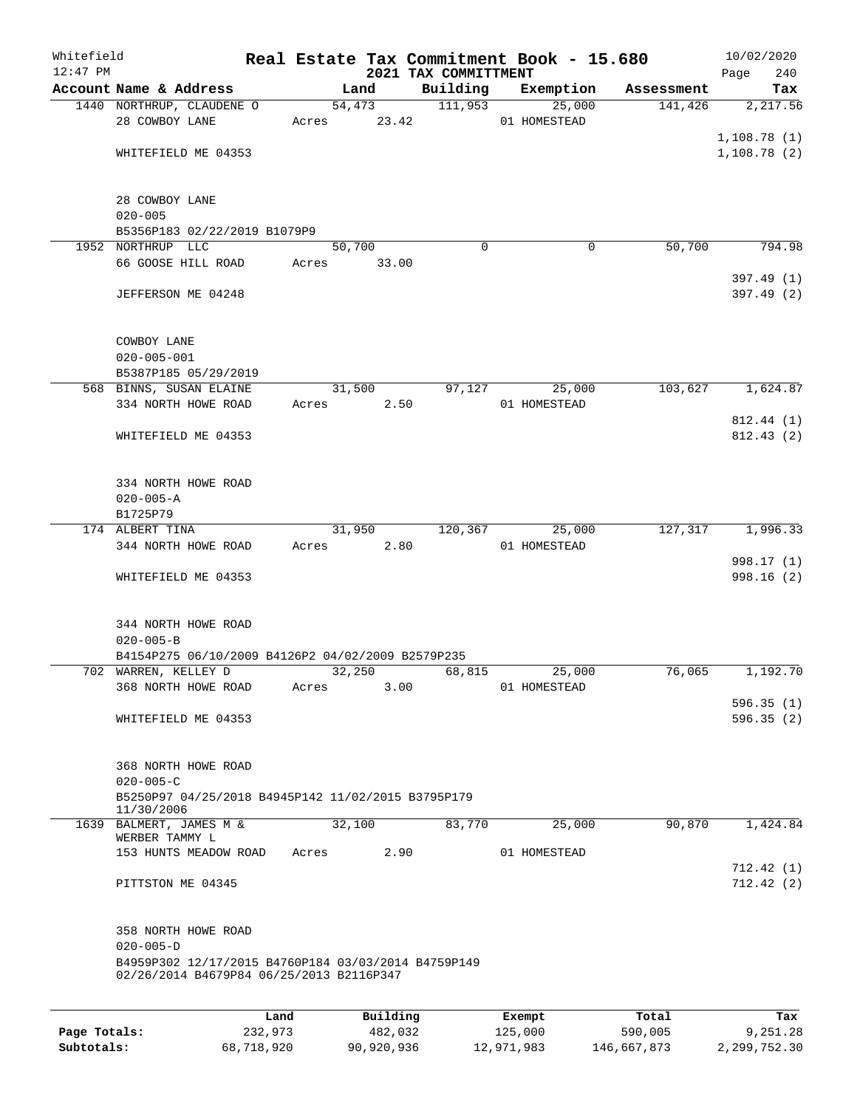| Whitefield<br>$12:47$ PM |                                                     |      |       |        |          | 2021 TAX COMMITTMENT | Real Estate Tax Commitment Book - 15.680 |            | Page        | 10/02/2020<br>240 |
|--------------------------|-----------------------------------------------------|------|-------|--------|----------|----------------------|------------------------------------------|------------|-------------|-------------------|
|                          | Account Name & Address                              |      |       | Land   |          | Building             | Exemption                                | Assessment |             | Tax               |
|                          | 1440 NORTHRUP, CLAUDENE O                           |      |       |        | 54,473   | 111,953              | 25,000                                   | 141,426    |             | 2,217.56          |
|                          | 28 COWBOY LANE                                      |      | Acres |        | 23.42    |                      | 01 HOMESTEAD                             |            |             |                   |
|                          |                                                     |      |       |        |          |                      |                                          |            | 1,108.78(1) |                   |
|                          | WHITEFIELD ME 04353                                 |      |       |        |          |                      |                                          |            | 1,108.78(2) |                   |
|                          |                                                     |      |       |        |          |                      |                                          |            |             |                   |
|                          |                                                     |      |       |        |          |                      |                                          |            |             |                   |
|                          | 28 COWBOY LANE<br>$020 - 005$                       |      |       |        |          |                      |                                          |            |             |                   |
|                          | B5356P183 02/22/2019 B1079P9                        |      |       |        |          |                      |                                          |            |             |                   |
|                          | 1952 NORTHRUP LLC                                   |      |       | 50,700 |          | $\Omega$             | 0                                        | 50,700     |             | 794.98            |
|                          | 66 GOOSE HILL ROAD                                  |      | Acres |        | 33.00    |                      |                                          |            |             |                   |
|                          |                                                     |      |       |        |          |                      |                                          |            |             | 397.49 (1)        |
|                          | JEFFERSON ME 04248                                  |      |       |        |          |                      |                                          |            |             | 397.49 (2)        |
|                          |                                                     |      |       |        |          |                      |                                          |            |             |                   |
|                          |                                                     |      |       |        |          |                      |                                          |            |             |                   |
|                          | COWBOY LANE                                         |      |       |        |          |                      |                                          |            |             |                   |
|                          | $020 - 005 - 001$                                   |      |       |        |          |                      |                                          |            |             |                   |
|                          | B5387P185 05/29/2019                                |      |       |        |          |                      |                                          |            |             |                   |
|                          | 568 BINNS, SUSAN ELAINE                             |      |       | 31,500 |          | 97,127               | 25,000                                   | 103,627    |             | 1,624.87          |
|                          | 334 NORTH HOWE ROAD                                 |      | Acres |        | 2.50     |                      | 01 HOMESTEAD                             |            |             |                   |
|                          |                                                     |      |       |        |          |                      |                                          |            |             | 812.44 (1)        |
|                          | WHITEFIELD ME 04353                                 |      |       |        |          |                      |                                          |            |             | 812.43(2)         |
|                          |                                                     |      |       |        |          |                      |                                          |            |             |                   |
|                          | 334 NORTH HOWE ROAD                                 |      |       |        |          |                      |                                          |            |             |                   |
|                          | $020 - 005 - A$                                     |      |       |        |          |                      |                                          |            |             |                   |
|                          | B1725P79                                            |      |       |        |          |                      |                                          |            |             |                   |
|                          | 174 ALBERT TINA                                     |      |       | 31,950 |          | 120,367              | 25,000                                   | 127,317    |             | 1,996.33          |
|                          | 344 NORTH HOWE ROAD                                 |      | Acres |        | 2.80     |                      | 01 HOMESTEAD                             |            |             |                   |
|                          |                                                     |      |       |        |          |                      |                                          |            |             | 998.17 (1)        |
|                          | WHITEFIELD ME 04353                                 |      |       |        |          |                      |                                          |            |             | 998.16 (2)        |
|                          |                                                     |      |       |        |          |                      |                                          |            |             |                   |
|                          |                                                     |      |       |        |          |                      |                                          |            |             |                   |
|                          | 344 NORTH HOWE ROAD                                 |      |       |        |          |                      |                                          |            |             |                   |
|                          | $020 - 005 - B$                                     |      |       |        |          |                      |                                          |            |             |                   |
|                          | B4154P275 06/10/2009 B4126P2 04/02/2009 B2579P235   |      |       |        |          |                      |                                          |            |             |                   |
|                          | 702 WARREN, KELLEY D                                |      |       | 32,250 |          | 68,815               | 25,000                                   | 76,065     |             | 1,192.70          |
|                          | 368 NORTH HOWE ROAD                                 |      | Acres |        | 3.00     |                      | 01 HOMESTEAD                             |            |             |                   |
|                          |                                                     |      |       |        |          |                      |                                          |            |             | 596.35(1)         |
|                          | WHITEFIELD ME 04353                                 |      |       |        |          |                      |                                          |            |             | 596.35(2)         |
|                          |                                                     |      |       |        |          |                      |                                          |            |             |                   |
|                          | 368 NORTH HOWE ROAD                                 |      |       |        |          |                      |                                          |            |             |                   |
|                          | $020 - 005 - C$                                     |      |       |        |          |                      |                                          |            |             |                   |
|                          | B5250P97 04/25/2018 B4945P142 11/02/2015 B3795P179  |      |       |        |          |                      |                                          |            |             |                   |
|                          | 11/30/2006                                          |      |       |        |          |                      |                                          |            |             |                   |
|                          | 1639 BALMERT, JAMES M &                             |      |       | 32,100 |          | 83,770               | 25,000                                   | 90, 870    |             | 1,424.84          |
|                          | WERBER TAMMY L<br>153 HUNTS MEADOW ROAD             |      |       |        | 2.90     |                      | 01 HOMESTEAD                             |            |             |                   |
|                          |                                                     |      | Acres |        |          |                      |                                          |            |             | 712.42 (1)        |
|                          | PITTSTON ME 04345                                   |      |       |        |          |                      |                                          |            |             | 712.42 (2)        |
|                          |                                                     |      |       |        |          |                      |                                          |            |             |                   |
|                          |                                                     |      |       |        |          |                      |                                          |            |             |                   |
|                          | 358 NORTH HOWE ROAD                                 |      |       |        |          |                      |                                          |            |             |                   |
|                          | $020 - 005 - D$                                     |      |       |        |          |                      |                                          |            |             |                   |
|                          | B4959P302 12/17/2015 B4760P184 03/03/2014 B4759P149 |      |       |        |          |                      |                                          |            |             |                   |
|                          | 02/26/2014 B4679P84 06/25/2013 B2116P347            |      |       |        |          |                      |                                          |            |             |                   |
|                          |                                                     |      |       |        |          |                      |                                          |            |             |                   |
|                          |                                                     | Land |       |        | Building |                      | Exempt                                   | Total      |             | Tax               |

|              | ⊔ano       | Building   | Exempt     | тосат       | тах          |
|--------------|------------|------------|------------|-------------|--------------|
| Page Totals: | 232,973    | 482,032    | 125,000    | 590,005     | 9,251.28     |
| Subtotals:   | 68,718,920 | 90,920,936 | 12,971,983 | 146,667,873 | 2,299,752.30 |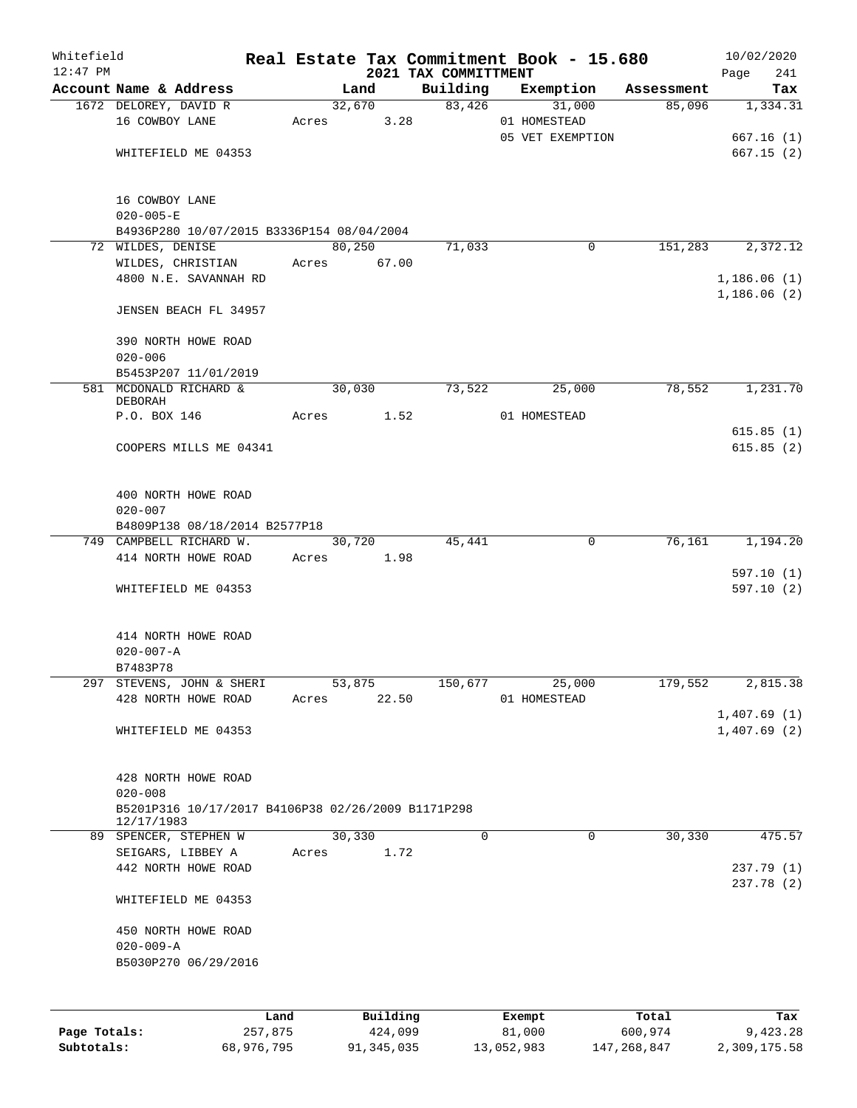| Whitefield<br>$12:47$ PM |                                                                  |         |            |        |          | 2021 TAX COMMITTMENT | Real Estate Tax Commitment Book - 15.680 |            | 10/02/2020                 |
|--------------------------|------------------------------------------------------------------|---------|------------|--------|----------|----------------------|------------------------------------------|------------|----------------------------|
|                          | Account Name & Address                                           |         |            | Land   |          | Building             | Exemption                                | Assessment | Page<br>241<br>Tax         |
|                          | 1672 DELOREY, DAVID R                                            |         |            |        | 32,670   | 83,426               | 31,000                                   | 85,096     | 1,334.31                   |
|                          | 16 COWBOY LANE                                                   |         | Acres      |        | 3.28     |                      | 01 HOMESTEAD                             |            |                            |
|                          |                                                                  |         |            |        |          |                      | 05 VET EXEMPTION                         |            | 667.16(1)                  |
|                          | WHITEFIELD ME 04353                                              |         |            |        |          |                      |                                          |            | 667.15(2)                  |
|                          | 16 COWBOY LANE<br>$020 - 005 - E$                                |         |            |        |          |                      |                                          |            |                            |
|                          | B4936P280 10/07/2015 B3336P154 08/04/2004                        |         |            |        |          |                      |                                          |            |                            |
|                          | 72 WILDES, DENISE                                                |         |            | 80,250 |          | 71,033               | $\mathbf 0$                              | 151,283    | 2,372.12                   |
|                          | WILDES, CHRISTIAN<br>4800 N.E. SAVANNAH RD                       |         | Acres      |        | 67.00    |                      |                                          |            |                            |
|                          |                                                                  |         |            |        |          |                      |                                          |            | 1,186.06(1)<br>1,186.06(2) |
|                          | JENSEN BEACH FL 34957                                            |         |            |        |          |                      |                                          |            |                            |
|                          | 390 NORTH HOWE ROAD<br>$020 - 006$                               |         |            |        |          |                      |                                          |            |                            |
|                          | B5453P207 11/01/2019                                             |         |            |        |          |                      |                                          |            |                            |
|                          | 581 MCDONALD RICHARD &<br>DEBORAH                                |         |            | 30,030 |          | 73,522               | 25,000                                   | 78,552     | 1,231.70                   |
|                          | P.O. BOX 146                                                     |         | Acres 1.52 |        |          |                      | 01 HOMESTEAD                             |            |                            |
|                          |                                                                  |         |            |        |          |                      |                                          |            | 615.85(1)                  |
|                          | COOPERS MILLS ME 04341                                           |         |            |        |          |                      |                                          |            | 615.85(2)                  |
|                          | 400 NORTH HOWE ROAD<br>$020 - 007$                               |         |            |        |          |                      |                                          |            |                            |
|                          | B4809P138 08/18/2014 B2577P18                                    |         |            |        |          |                      |                                          |            |                            |
|                          | 749 CAMPBELL RICHARD W.                                          |         |            | 30,720 |          | 45,441               | 0                                        | 76,161     | 1,194.20                   |
|                          | 414 NORTH HOWE ROAD                                              |         | Acres      |        | 1.98     |                      |                                          |            |                            |
|                          | WHITEFIELD ME 04353                                              |         |            |        |          |                      |                                          |            | 597.10(1)<br>597.10(2)     |
|                          | 414 NORTH HOWE ROAD<br>$020 - 007 - A$                           |         |            |        |          |                      |                                          |            |                            |
|                          | B7483P78                                                         |         |            |        |          |                      |                                          |            |                            |
|                          | 297 STEVENS, JOHN & SHERI                                        |         |            | 53,875 |          | 150,677              | 25,000                                   | 179,552    | 2,815.38                   |
|                          | 428 NORTH HOWE ROAD                                              |         | Acres      |        | 22.50    |                      | 01 HOMESTEAD                             |            |                            |
|                          |                                                                  |         |            |        |          |                      |                                          |            | 1,407.69(1)                |
|                          | WHITEFIELD ME 04353                                              |         |            |        |          |                      |                                          |            | 1,407.69(2)                |
|                          | 428 NORTH HOWE ROAD                                              |         |            |        |          |                      |                                          |            |                            |
|                          | $020 - 008$                                                      |         |            |        |          |                      |                                          |            |                            |
|                          | B5201P316 10/17/2017 B4106P38 02/26/2009 B1171P298<br>12/17/1983 |         |            |        |          |                      |                                          |            |                            |
|                          | 89 SPENCER, STEPHEN W                                            |         |            | 30,330 |          | $\mathbf 0$          | 0                                        | 30,330     | 475.57                     |
|                          | SEIGARS, LIBBEY A                                                |         | Acres      |        | 1.72     |                      |                                          |            |                            |
|                          | 442 NORTH HOWE ROAD                                              |         |            |        |          |                      |                                          |            | 237.79 (1)<br>237.78(2)    |
|                          | WHITEFIELD ME 04353                                              |         |            |        |          |                      |                                          |            |                            |
|                          | 450 NORTH HOWE ROAD                                              |         |            |        |          |                      |                                          |            |                            |
|                          | $020 - 009 - A$                                                  |         |            |        |          |                      |                                          |            |                            |
|                          | B5030P270 06/29/2016                                             |         |            |        |          |                      |                                          |            |                            |
|                          |                                                                  |         |            |        |          |                      |                                          |            |                            |
|                          |                                                                  | Land    |            |        | Building |                      | Exempt                                   | Total      | Tax                        |
| Page Totals:             |                                                                  | 257,875 |            |        | 424,099  |                      | 81,000                                   | 600,974    | 9,423.28                   |

**Subtotals:** 68,976,795 91,345,035 13,052,983 147,268,847 2,309,175.58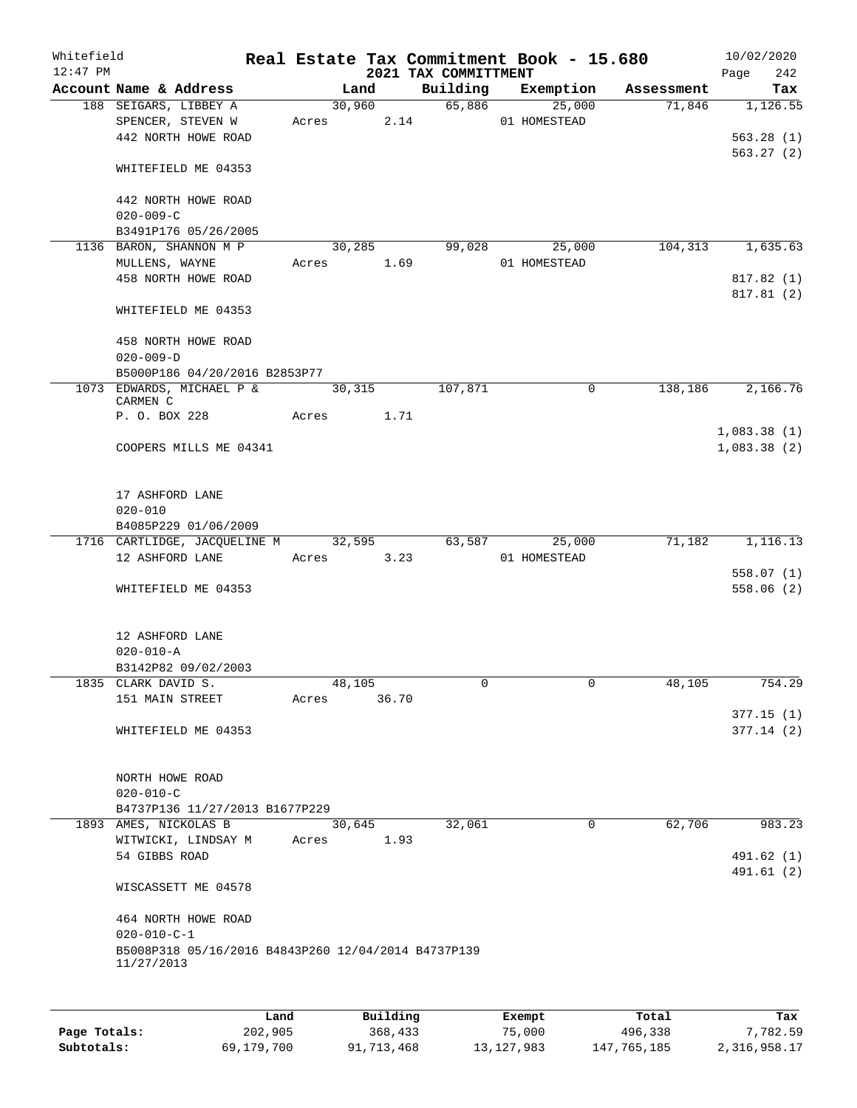| Whitefield<br>$12:47$ PM |                                                                   |       |                 | 2021 TAX COMMITTMENT | Real Estate Tax Commitment Book - 15.680 |            | 10/02/2020<br>242<br>Page  |
|--------------------------|-------------------------------------------------------------------|-------|-----------------|----------------------|------------------------------------------|------------|----------------------------|
|                          | Account Name & Address                                            |       | Land            | Building             | Exemption                                | Assessment | Tax                        |
|                          | 188 SEIGARS, LIBBEY A<br>SPENCER, STEVEN W<br>442 NORTH HOWE ROAD |       | 30,960<br>Acres | 65,886<br>2.14       | 25,000<br>01 HOMESTEAD                   | 71,846     | 1,126.55<br>563.28(1)      |
|                          | WHITEFIELD ME 04353                                               |       |                 |                      |                                          |            | 563.27(2)                  |
|                          | 442 NORTH HOWE ROAD<br>$020 - 009 - C$                            |       |                 |                      |                                          |            |                            |
|                          | B3491P176 05/26/2005                                              |       |                 |                      |                                          |            |                            |
|                          | 1136 BARON, SHANNON M P                                           |       | 30,285          | 99,028               | 25,000                                   | 104,313    | 1,635.63                   |
|                          | MULLENS, WAYNE                                                    |       | Acres 1.69      |                      | 01 HOMESTEAD                             |            |                            |
|                          | 458 NORTH HOWE ROAD                                               |       |                 |                      |                                          |            | 817.82 (1)<br>817.81 (2)   |
|                          | WHITEFIELD ME 04353                                               |       |                 |                      |                                          |            |                            |
|                          | 458 NORTH HOWE ROAD<br>$020 - 009 - D$                            |       |                 |                      |                                          |            |                            |
|                          | B5000P186 04/20/2016 B2853P77                                     |       |                 |                      |                                          |            |                            |
|                          | 1073 EDWARDS, MICHAEL P &<br>CARMEN C                             |       | 30,315          | 107,871              | 0                                        | 138,186    | 2,166.76                   |
|                          | P. O. BOX 228                                                     | Acres |                 | 1.71                 |                                          |            |                            |
|                          | COOPERS MILLS ME 04341                                            |       |                 |                      |                                          |            | 1,083.38(1)<br>1,083.38(2) |
|                          | 17 ASHFORD LANE<br>$020 - 010$                                    |       |                 |                      |                                          |            |                            |
|                          | B4085P229 01/06/2009                                              |       |                 |                      |                                          |            |                            |
|                          | 1716 CARTLIDGE, JACQUELINE M<br>12 ASHFORD LANE                   |       | 32,595<br>Acres | 63,587<br>3.23       | 25,000<br>01 HOMESTEAD                   | 71,182     | 1,116.13                   |
|                          |                                                                   |       |                 |                      |                                          |            | 558.07(1)                  |
|                          | WHITEFIELD ME 04353                                               |       |                 |                      |                                          |            | 558.06(2)                  |
|                          | 12 ASHFORD LANE                                                   |       |                 |                      |                                          |            |                            |
|                          | $020 - 010 - A$<br>B3142P82 09/02/2003                            |       |                 |                      |                                          |            |                            |
|                          | 1835 CLARK DAVID S.                                               |       | 48,105          | 0                    | 0                                        | 48,105     | 754.29                     |
|                          | 151 MAIN STREET                                                   | Acres | 36.70           |                      |                                          |            |                            |
|                          | WHITEFIELD ME 04353                                               |       |                 |                      |                                          |            | 377.15(1)<br>377.14(2)     |
|                          | NORTH HOWE ROAD<br>$020 - 010 - C$                                |       |                 |                      |                                          |            |                            |
|                          | B4737P136 11/27/2013 B1677P229                                    |       |                 |                      |                                          |            |                            |
|                          | 1893 AMES, NICKOLAS B<br>WITWICKI, LINDSAY M                      | Acres | 30,645          | 32,061<br>1.93       | $\mathbf 0$                              | 62,706     | 983.23                     |
|                          | 54 GIBBS ROAD                                                     |       |                 |                      |                                          |            | 491.62 (1)<br>491.61 (2)   |
|                          | WISCASSETT ME 04578                                               |       |                 |                      |                                          |            |                            |
|                          | 464 NORTH HOWE ROAD<br>$020 - 010 - C - 1$                        |       |                 |                      |                                          |            |                            |
|                          | B5008P318 05/16/2016 B4843P260 12/04/2014 B4737P139<br>11/27/2013 |       |                 |                      |                                          |            |                            |
|                          |                                                                   |       |                 |                      |                                          |            |                            |
|                          |                                                                   | Land  | Building        |                      | Exempt.                                  | Total      | Tax                        |

|              | Land       | Building   | Exempt     | Total       | Tax          |
|--------------|------------|------------|------------|-------------|--------------|
| Page Totals: | 202,905    | 368,433    | 75,000     | 496,338     | 7,782.59     |
| Subtotals:   | 69,179,700 | 91,713,468 | 13,127,983 | 147,765,185 | 2,316,958.17 |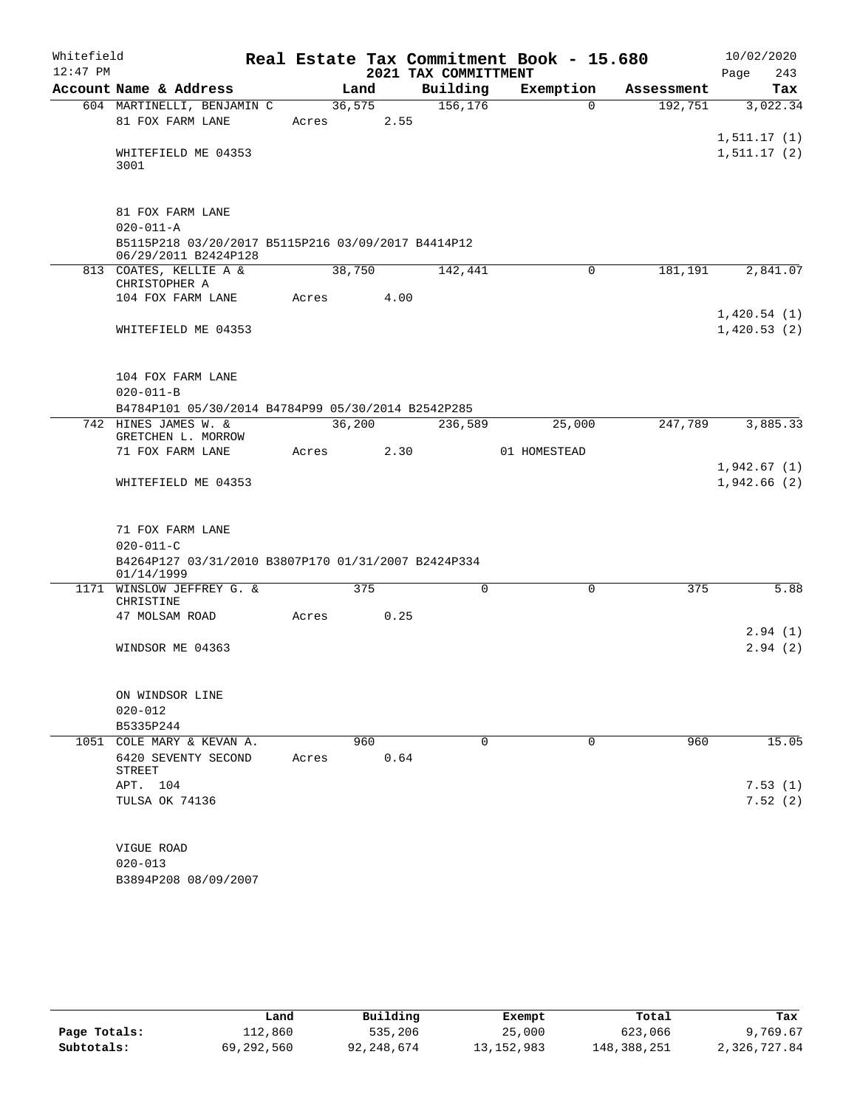| Whitefield |                                                                            |       |        |      | Real Estate Tax Commitment Book - 15.680 |              |             |            | 10/02/2020                   |          |
|------------|----------------------------------------------------------------------------|-------|--------|------|------------------------------------------|--------------|-------------|------------|------------------------------|----------|
| $12:47$ PM |                                                                            |       |        |      | 2021 TAX COMMITTMENT                     |              |             |            | Page                         | 243      |
|            | Account Name & Address                                                     |       | Land   |      | Building                                 | Exemption    |             | Assessment |                              | Tax      |
|            | 604 MARTINELLI, BENJAMIN C                                                 |       | 36,575 |      | 156, 176                                 |              | $\Omega$    | 192,751    |                              | 3,022.34 |
|            | 81 FOX FARM LANE                                                           | Acres |        | 2.55 |                                          |              |             |            |                              |          |
|            | WHITEFIELD ME 04353<br>3001                                                |       |        |      |                                          |              |             |            | 1, 511.17(1)<br>1, 511.17(2) |          |
|            |                                                                            |       |        |      |                                          |              |             |            |                              |          |
|            | 81 FOX FARM LANE                                                           |       |        |      |                                          |              |             |            |                              |          |
|            | $020 - 011 - A$                                                            |       |        |      |                                          |              |             |            |                              |          |
|            | B5115P218 03/20/2017 B5115P216 03/09/2017 B4414P12<br>06/29/2011 B2424P128 |       |        |      |                                          |              |             |            |                              |          |
|            | 813 COATES, KELLIE A &<br>CHRISTOPHER A                                    |       | 38,750 |      | 142,441                                  |              | $\mathbf 0$ | 181,191    |                              | 2,841.07 |
|            | 104 FOX FARM LANE                                                          | Acres |        | 4.00 |                                          |              |             |            |                              |          |
|            |                                                                            |       |        |      |                                          |              |             |            | 1,420.54(1)                  |          |
|            | WHITEFIELD ME 04353                                                        |       |        |      |                                          |              |             |            | 1,420.53(2)                  |          |
|            |                                                                            |       |        |      |                                          |              |             |            |                              |          |
|            | 104 FOX FARM LANE                                                          |       |        |      |                                          |              |             |            |                              |          |
|            | $020 - 011 - B$                                                            |       |        |      |                                          |              |             |            |                              |          |
|            | B4784P101 05/30/2014 B4784P99 05/30/2014 B2542P285                         |       |        |      |                                          |              |             |            |                              |          |
|            | 742 HINES JAMES W. &                                                       |       | 36,200 |      | 236,589                                  |              | 25,000      | 247,789    |                              | 3,885.33 |
|            | GRETCHEN L. MORROW<br>71 FOX FARM LANE                                     |       |        |      |                                          |              |             |            |                              |          |
|            |                                                                            | Acres |        | 2.30 |                                          | 01 HOMESTEAD |             |            | 1,942.67(1)                  |          |
|            | WHITEFIELD ME 04353                                                        |       |        |      |                                          |              |             |            | 1,942.66(2)                  |          |
|            |                                                                            |       |        |      |                                          |              |             |            |                              |          |
|            |                                                                            |       |        |      |                                          |              |             |            |                              |          |
|            | 71 FOX FARM LANE<br>$020 - 011 - C$                                        |       |        |      |                                          |              |             |            |                              |          |
|            | B4264P127 03/31/2010 B3807P170 01/31/2007 B2424P334                        |       |        |      |                                          |              |             |            |                              |          |
|            | 01/14/1999                                                                 |       |        |      |                                          |              |             |            |                              |          |
|            | 1171 WINSLOW JEFFREY G. &<br>CHRISTINE                                     |       |        | 375  | 0                                        |              | 0           | 375        |                              | 5.88     |
|            | 47 MOLSAM ROAD                                                             | Acres |        | 0.25 |                                          |              |             |            |                              |          |
|            |                                                                            |       |        |      |                                          |              |             |            |                              | 2.94(1)  |
|            | WINDSOR ME 04363                                                           |       |        |      |                                          |              |             |            |                              | 2.94(2)  |
|            |                                                                            |       |        |      |                                          |              |             |            |                              |          |
|            | ON WINDSOR LINE                                                            |       |        |      |                                          |              |             |            |                              |          |
|            | $020 - 012$                                                                |       |        |      |                                          |              |             |            |                              |          |
|            | B5335P244                                                                  |       |        |      |                                          |              |             |            |                              |          |
|            | 1051 COLE MARY & KEVAN A.                                                  |       |        | 960  | $\Omega$                                 |              | $\mathbf 0$ | 960        |                              | 15.05    |
|            | 6420 SEVENTY SECOND                                                        | Acres |        | 0.64 |                                          |              |             |            |                              |          |
|            | <b>STREET</b><br>APT. 104                                                  |       |        |      |                                          |              |             |            |                              | 7.53(1)  |
|            | TULSA OK 74136                                                             |       |        |      |                                          |              |             |            |                              | 7.52(2)  |
|            |                                                                            |       |        |      |                                          |              |             |            |                              |          |
|            |                                                                            |       |        |      |                                          |              |             |            |                              |          |
|            | VIGUE ROAD<br>$020 - 013$                                                  |       |        |      |                                          |              |             |            |                              |          |
|            | B3894P208 08/09/2007                                                       |       |        |      |                                          |              |             |            |                              |          |
|            |                                                                            |       |        |      |                                          |              |             |            |                              |          |

|              | Land       | Building   | Exempt       | Total       | Tax          |
|--------------|------------|------------|--------------|-------------|--------------|
| Page Totals: | 112,860    | 535,206    | 25,000       | 623,066     | 9,769.67     |
| Subtotals:   | 69,292,560 | 92,248,674 | 13, 152, 983 | 148,388,251 | 2,326,727.84 |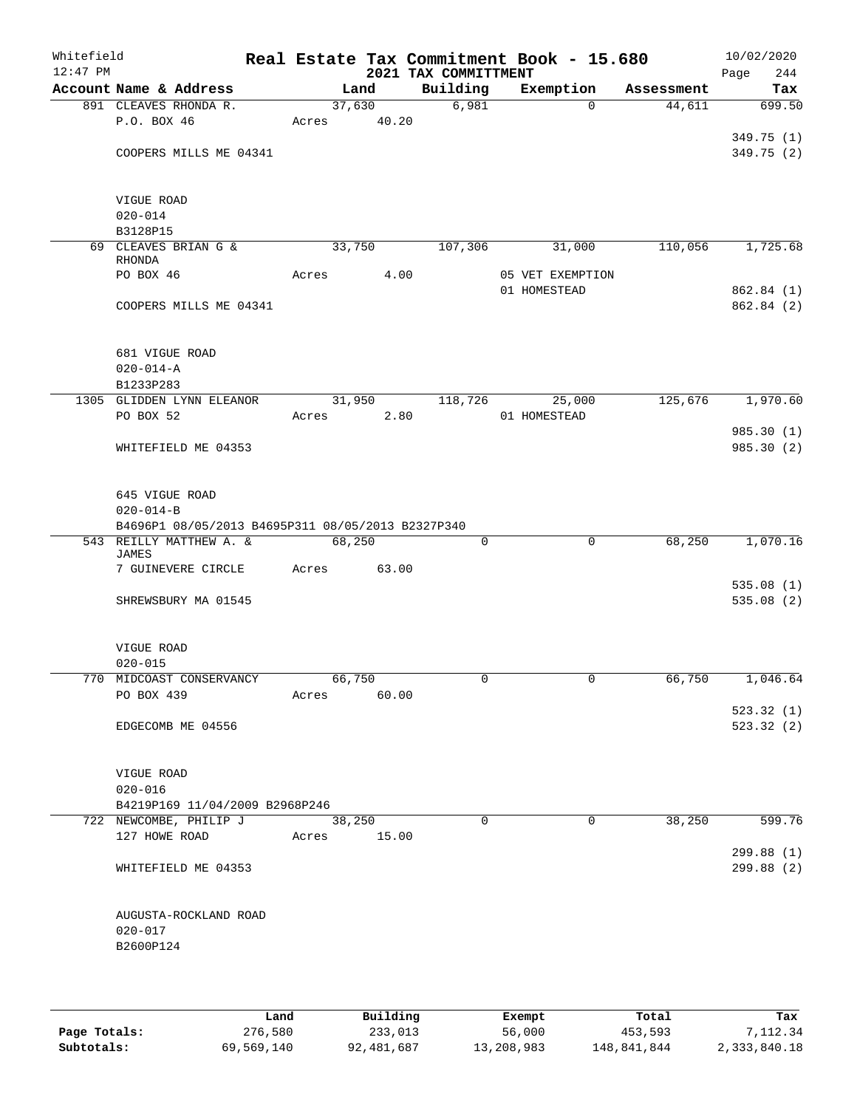| Whitefield<br>$12:47$ PM |                                                   |             |        |      | 2021 TAX COMMITTMENT | Real Estate Tax Commitment Book - 15.680 |            | 10/02/2020<br>244<br>Page |
|--------------------------|---------------------------------------------------|-------------|--------|------|----------------------|------------------------------------------|------------|---------------------------|
|                          | Account Name & Address                            |             | Land   |      | Building             | Exemption                                | Assessment | Tax                       |
|                          | 891 CLEAVES RHONDA R.                             |             | 37,630 |      | 6,981                | $\Omega$                                 | 44,611     | 699.50                    |
|                          | P.O. BOX 46                                       | Acres       | 40.20  |      |                      |                                          |            |                           |
|                          |                                                   |             |        |      |                      |                                          |            | 349.75 (1)                |
|                          | COOPERS MILLS ME 04341                            |             |        |      |                      |                                          |            | 349.75(2)                 |
|                          | VIGUE ROAD                                        |             |        |      |                      |                                          |            |                           |
|                          | $020 - 014$                                       |             |        |      |                      |                                          |            |                           |
|                          | B3128P15                                          |             |        |      |                      |                                          |            |                           |
|                          | 69 CLEAVES BRIAN G &<br><b>RHONDA</b>             |             | 33,750 |      | 107,306              | 31,000                                   | 110,056    | 1,725.68                  |
|                          | PO BOX 46                                         | Acres       |        | 4.00 |                      | 05 VET EXEMPTION<br>01 HOMESTEAD         |            | 862.84 (1)                |
|                          | COOPERS MILLS ME 04341                            |             |        |      |                      |                                          |            | 862.84 (2)                |
|                          |                                                   |             |        |      |                      |                                          |            |                           |
|                          | 681 VIGUE ROAD                                    |             |        |      |                      |                                          |            |                           |
|                          | $020 - 014 - A$                                   |             |        |      |                      |                                          |            |                           |
|                          | B1233P283                                         |             |        |      |                      |                                          |            |                           |
|                          | 1305 GLIDDEN LYNN ELEANOR<br>PO BOX 52            | Acres       | 31,950 | 2.80 | 118,726              | 25,000<br>01 HOMESTEAD                   | 125,676    | 1,970.60                  |
|                          |                                                   |             |        |      |                      |                                          |            | 985.30 (1)                |
|                          | WHITEFIELD ME 04353                               |             |        |      |                      |                                          |            | 985.30 (2)                |
|                          | 645 VIGUE ROAD<br>$020 - 014 - B$                 |             |        |      |                      |                                          |            |                           |
|                          | B4696P1 08/05/2013 B4695P311 08/05/2013 B2327P340 |             |        |      |                      |                                          |            |                           |
|                          | 543 REILLY MATTHEW A. &<br>JAMES                  |             | 68,250 |      | 0                    | $\mathbf 0$                              | 68,250     | 1,070.16                  |
|                          | 7 GUINEVERE CIRCLE                                | Acres       | 63.00  |      |                      |                                          |            |                           |
|                          |                                                   |             |        |      |                      |                                          |            | 535.08(1)                 |
|                          | SHREWSBURY MA 01545                               |             |        |      |                      |                                          |            | 535.08(2)                 |
|                          | VIGUE ROAD                                        |             |        |      |                      |                                          |            |                           |
|                          | $020 - 015$                                       |             |        |      |                      |                                          |            |                           |
|                          | 770 MIDCOAST CONSERVANCY                          | 66,750      |        |      |                      |                                          | 66,750     | 1,046.64                  |
|                          | PO BOX 439                                        | Acres       | 60.00  |      |                      |                                          |            | 523.32(1)                 |
|                          | EDGECOMB ME 04556                                 |             |        |      |                      |                                          |            | 523.32(2)                 |
|                          | VIGUE ROAD                                        |             |        |      |                      |                                          |            |                           |
|                          | $020 - 016$                                       |             |        |      |                      |                                          |            |                           |
|                          | B4219P169 11/04/2009 B2968P246                    |             |        |      |                      |                                          |            |                           |
|                          | 722 NEWCOMBE, PHILIP J                            |             | 38,250 |      | $\Omega$             | $\Omega$                                 | 38,250     | 599.76                    |
|                          | 127 HOWE ROAD                                     | Acres 15.00 |        |      |                      |                                          |            | 299.88(1)                 |
|                          | WHITEFIELD ME 04353                               |             |        |      |                      |                                          |            | 299.88 (2)                |
|                          | AUGUSTA-ROCKLAND ROAD<br>$020 - 017$              |             |        |      |                      |                                          |            |                           |
|                          | B2600P124                                         |             |        |      |                      |                                          |            |                           |
|                          |                                                   |             |        |      |                      |                                          |            |                           |

|              | Land       | Building   | Exempt     | Total       | Tax          |
|--------------|------------|------------|------------|-------------|--------------|
| Page Totals: | 276,580    | 233,013    | 56,000     | 453,593     | 7,112.34     |
| Subtotals:   | 69,569,140 | 92,481,687 | 13,208,983 | 148,841,844 | 2,333,840.18 |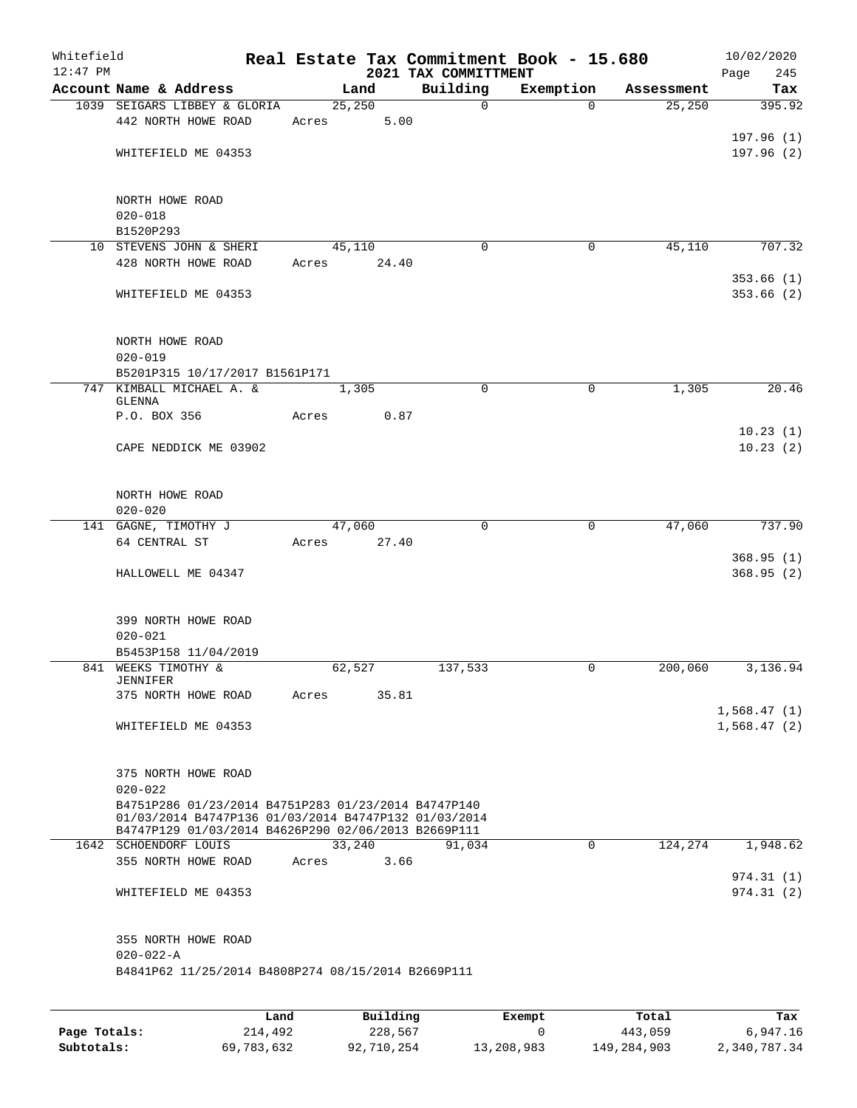| Whitefield<br>$12:47$ PM |                                                                                                                                                                    | Real Estate Tax Commitment Book - 15.680 | 2021 TAX COMMITTMENT |             |            | 10/02/2020<br>Page<br>245 |
|--------------------------|--------------------------------------------------------------------------------------------------------------------------------------------------------------------|------------------------------------------|----------------------|-------------|------------|---------------------------|
|                          | Account Name & Address                                                                                                                                             | Land                                     | Building             | Exemption   | Assessment | Tax                       |
|                          | 1039 SEIGARS LIBBEY & GLORIA<br>442 NORTH HOWE ROAD                                                                                                                | 25,250<br>5.00<br>Acres                  | $\mathbf 0$          | $\Omega$    | 25, 250    | 395.92                    |
|                          | WHITEFIELD ME 04353                                                                                                                                                |                                          |                      |             |            | 197.96(1)<br>197.96(2)    |
|                          | NORTH HOWE ROAD<br>$020 - 018$                                                                                                                                     |                                          |                      |             |            |                           |
|                          | B1520P293<br>10 STEVENS JOHN & SHERI                                                                                                                               | 45,110                                   | $\mathbf 0$          | 0           | 45,110     | 707.32                    |
|                          | 428 NORTH HOWE ROAD                                                                                                                                                | 24.40<br>Acres                           |                      |             |            | 353.66(1)                 |
|                          | WHITEFIELD ME 04353                                                                                                                                                |                                          |                      |             |            | 353.66 (2)                |
|                          | NORTH HOWE ROAD<br>$020 - 019$                                                                                                                                     |                                          |                      |             |            |                           |
|                          | B5201P315 10/17/2017 B1561P171<br>747 KIMBALL MICHAEL A. &<br><b>GLENNA</b>                                                                                        | 1,305                                    | 0                    | 0           | 1,305      | 20.46                     |
|                          | P.O. BOX 356                                                                                                                                                       | 0.87<br>Acres                            |                      |             |            |                           |
|                          | CAPE NEDDICK ME 03902                                                                                                                                              |                                          |                      |             |            | 10.23(1)<br>10.23(2)      |
|                          | NORTH HOWE ROAD<br>$020 - 020$                                                                                                                                     |                                          |                      |             |            |                           |
|                          | 141 GAGNE, TIMOTHY J                                                                                                                                               | 47,060                                   | $\Omega$             | $\mathbf 0$ | 47,060     | 737.90                    |
|                          | 64 CENTRAL ST                                                                                                                                                      | 27.40<br>Acres                           |                      |             |            |                           |
|                          | HALLOWELL ME 04347                                                                                                                                                 |                                          |                      |             |            | 368.95(1)<br>368.95(2)    |
|                          | 399 NORTH HOWE ROAD<br>$020 - 021$                                                                                                                                 |                                          |                      |             |            |                           |
|                          | B5453P158 11/04/2019<br>841 WEEKS TIMOTHY &                                                                                                                        | 62,527                                   | 137,533              | 0           | 200,060    | 3,136.94                  |
|                          | <b>JENNIFER</b><br>375 NORTH HOWE ROAD                                                                                                                             | 35.81<br>Acres                           |                      |             |            |                           |
|                          |                                                                                                                                                                    |                                          |                      |             |            | 1,568.47(1)               |
|                          | WHITEFIELD ME 04353                                                                                                                                                |                                          |                      |             |            | 1,568.47(2)               |
|                          | 375 NORTH HOWE ROAD<br>$020 - 022$                                                                                                                                 |                                          |                      |             |            |                           |
|                          | B4751P286 01/23/2014 B4751P283 01/23/2014 B4747P140<br>01/03/2014 B4747P136 01/03/2014 B4747P132 01/03/2014<br>B4747P129 01/03/2014 B4626P290 02/06/2013 B2669P111 |                                          |                      |             |            |                           |
|                          | 1642 SCHOENDORF LOUIS                                                                                                                                              | 33,240                                   | 91,034               | $\Omega$    | 124,274    | 1,948.62                  |
|                          | 355 NORTH HOWE ROAD                                                                                                                                                | 3.66<br>Acres                            |                      |             |            | 974.31(1)                 |
|                          | WHITEFIELD ME 04353                                                                                                                                                |                                          |                      |             |            | 974.31(2)                 |
|                          | 355 NORTH HOWE ROAD<br>$020 - 022 - A$                                                                                                                             |                                          |                      |             |            |                           |
|                          | B4841P62 11/25/2014 B4808P274 08/15/2014 B2669P111                                                                                                                 |                                          |                      |             |            |                           |

|              | Land       | Building   | Exempt     | Total       | Tax          |
|--------------|------------|------------|------------|-------------|--------------|
| Page Totals: | 214,492    | 228,567    |            | 443,059     | 6,947.16     |
| Subtotals:   | 69,783,632 | 92,710,254 | 13,208,983 | 149,284,903 | 2,340,787.34 |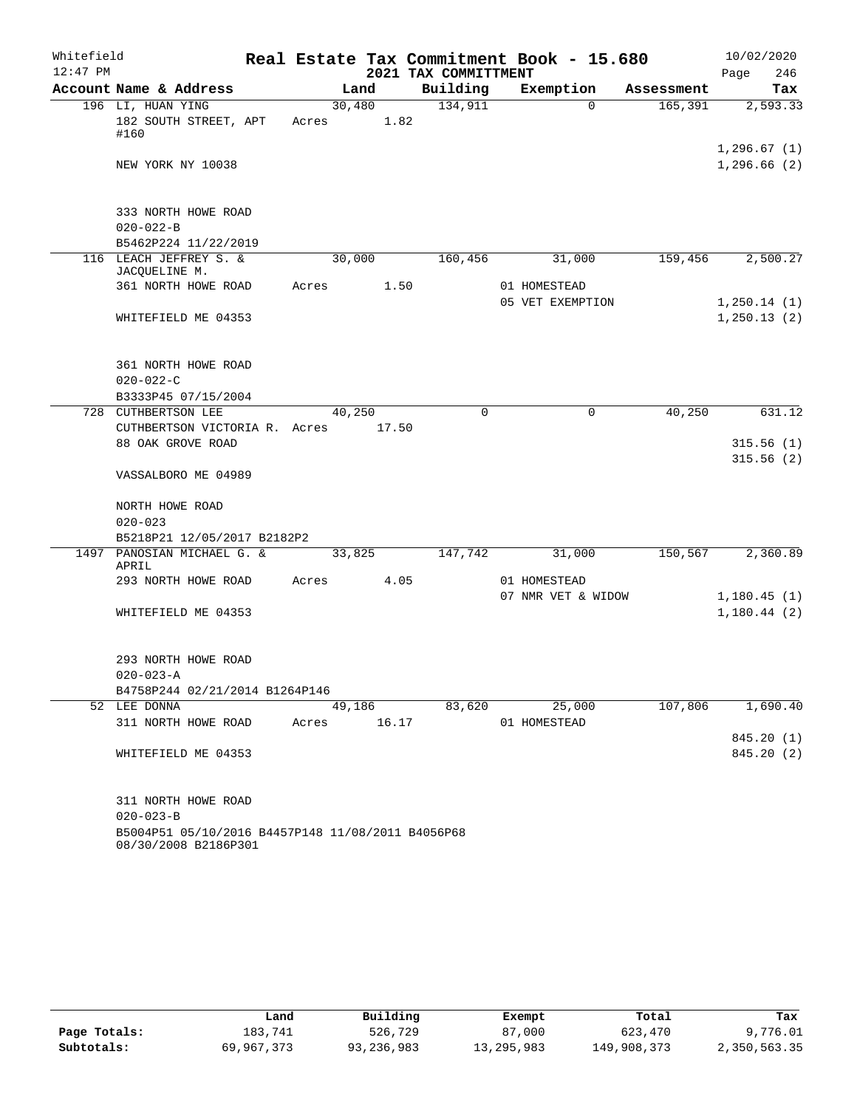| Whitefield |                                                                                             |       |                 |      |                      | Real Estate Tax Commitment Book - 15.680 |            | 10/02/2020                  |
|------------|---------------------------------------------------------------------------------------------|-------|-----------------|------|----------------------|------------------------------------------|------------|-----------------------------|
| $12:47$ PM |                                                                                             |       |                 |      | 2021 TAX COMMITTMENT |                                          |            | 246<br>Page                 |
|            | Account Name & Address                                                                      |       | Land            |      | Building             | Exemption                                | Assessment | Tax                         |
|            | 196 LI, HUAN YING<br>182 SOUTH STREET, APT<br>#160                                          | Acres | 30,480          | 1.82 | 134,911              | $\Omega$                                 | 165,391    | 2,593.33<br>1,296.67(1)     |
|            | NEW YORK NY 10038                                                                           |       |                 |      |                      |                                          |            | 1,296.66(2)                 |
|            | 333 NORTH HOWE ROAD<br>$020 - 022 - B$                                                      |       |                 |      |                      |                                          |            |                             |
|            | B5462P224 11/22/2019                                                                        |       |                 |      |                      |                                          |            |                             |
|            | 116 LEACH JEFFREY S. &<br>JACQUELINE M.                                                     |       | 30,000          |      | 160,456              | 31,000                                   | 159,456    | 2,500.27                    |
|            | 361 NORTH HOWE ROAD                                                                         | Acres |                 | 1.50 |                      | 01 HOMESTEAD                             |            |                             |
|            | WHITEFIELD ME 04353                                                                         |       |                 |      |                      | 05 VET EXEMPTION                         |            | 1,250.14(1)<br>1, 250.13(2) |
|            | 361 NORTH HOWE ROAD<br>$020 - 022 - C$<br>B3333P45 07/15/2004                               |       |                 |      |                      |                                          |            |                             |
|            | 728 CUTHBERTSON LEE                                                                         |       | 40,250          |      | $\Omega$             | $\mathbf 0$                              | 40,250     | 631.12                      |
|            | CUTHBERTSON VICTORIA R. Acres                                                               |       | 17.50           |      |                      |                                          |            |                             |
|            | 88 OAK GROVE ROAD                                                                           |       |                 |      |                      |                                          |            | 315.56(1)                   |
|            | VASSALBORO ME 04989                                                                         |       |                 |      |                      |                                          |            | 315.56(2)                   |
|            | NORTH HOWE ROAD<br>$020 - 023$                                                              |       |                 |      |                      |                                          |            |                             |
|            | B5218P21 12/05/2017 B2182P2                                                                 |       |                 |      |                      |                                          |            |                             |
|            | 1497 PANOSIAN MICHAEL G. &<br>APRIL                                                         |       | 33,825          |      | 147,742              | 31,000                                   | 150,567    | 2,360.89                    |
|            | 293 NORTH HOWE ROAD                                                                         | Acres |                 | 4.05 |                      | 01 HOMESTEAD                             |            |                             |
|            | WHITEFIELD ME 04353                                                                         |       |                 |      |                      | 07 NMR VET & WIDOW                       |            | 1,180.45(1)<br>1,180.44(2)  |
|            | 293 NORTH HOWE ROAD                                                                         |       |                 |      |                      |                                          |            |                             |
|            | $020 - 023 - A$                                                                             |       |                 |      |                      |                                          |            |                             |
|            | B4758P244 02/21/2014 B1264P146                                                              |       |                 |      |                      |                                          |            |                             |
|            | 52 LEE DONNA<br>311 NORTH HOWE ROAD                                                         | Acres | 49,186<br>16.17 |      | 83,620               | 25,000<br>01 HOMESTEAD                   | 107,806    | 1,690.40                    |
|            | WHITEFIELD ME 04353                                                                         |       |                 |      |                      |                                          |            | 845.20 (1)<br>845.20 (2)    |
|            | 311 NORTH HOWE ROAD<br>$020 - 023 - B$<br>B5004P51 05/10/2016 B4457P148 11/08/2011 B4056P68 |       |                 |      |                      |                                          |            |                             |
|            | 08/30/2008 B2186P301                                                                        |       |                 |      |                      |                                          |            |                             |

|              | Land       | Building   | Exempt     | Total       | Tax          |
|--------------|------------|------------|------------|-------------|--------------|
| Page Totals: | 183,741    | 526,729    | 87,000     | 623,470     | 9,776.01     |
| Subtotals:   | 69,967,373 | 93,236,983 | 13,295,983 | 149,908,373 | 2,350,563.35 |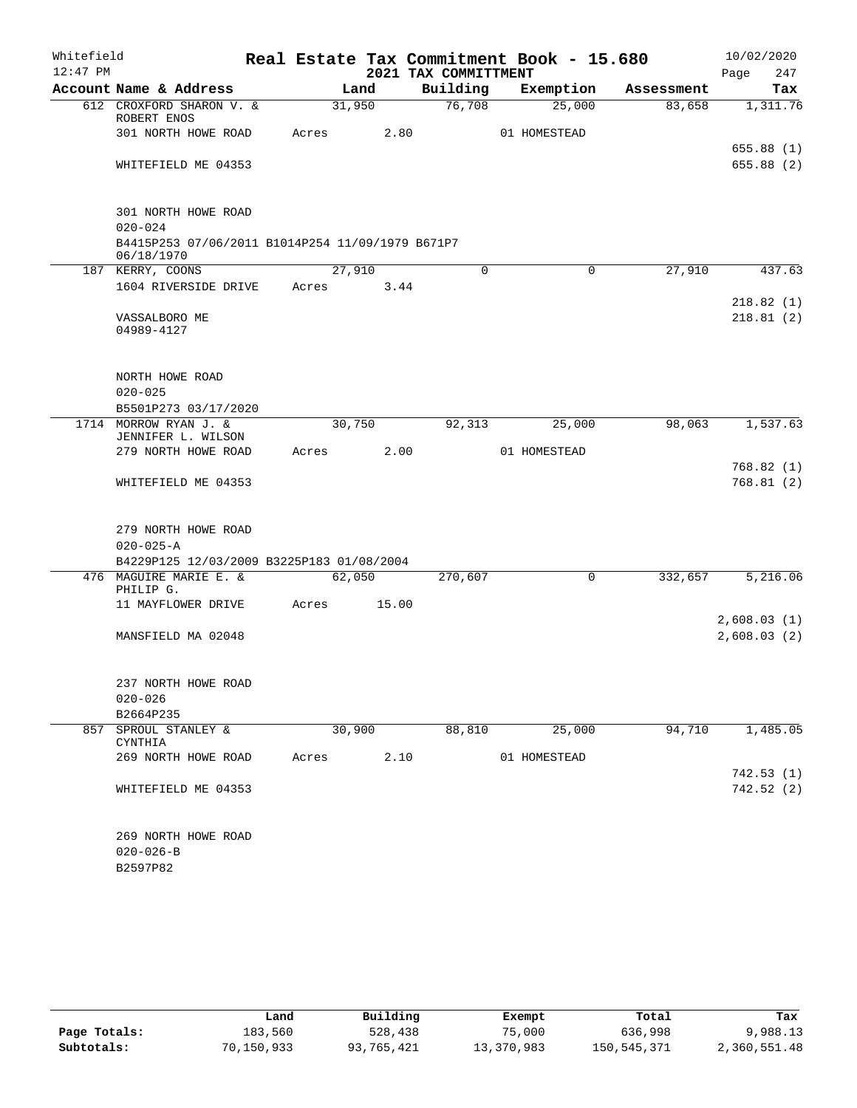| Whitefield |                                                                               |       |        |      | Real Estate Tax Commitment Book - 15.680 |              |             |            | 10/02/2020                 |                          |
|------------|-------------------------------------------------------------------------------|-------|--------|------|------------------------------------------|--------------|-------------|------------|----------------------------|--------------------------|
| $12:47$ PM |                                                                               |       |        |      | 2021 TAX COMMITTMENT                     |              |             |            | Page                       | 247                      |
|            | Account Name & Address                                                        |       | Land   |      | Building                                 | Exemption    |             | Assessment |                            | Tax                      |
|            | 612 CROXFORD SHARON V. &<br>ROBERT ENOS                                       |       | 31,950 |      | 76,708                                   |              | 25,000      | 83,658     |                            | 1,311.76                 |
|            | 301 NORTH HOWE ROAD                                                           | Acres |        | 2.80 |                                          | 01 HOMESTEAD |             |            |                            |                          |
|            | WHITEFIELD ME 04353                                                           |       |        |      |                                          |              |             |            |                            | 655.88 (1)<br>655.88(2)  |
|            | 301 NORTH HOWE ROAD                                                           |       |        |      |                                          |              |             |            |                            |                          |
|            | $020 - 024$<br>B4415P253 07/06/2011 B1014P254 11/09/1979 B671P7<br>06/18/1970 |       |        |      |                                          |              |             |            |                            |                          |
|            | 187 KERRY, COONS                                                              |       | 27,910 |      | $\Omega$                                 |              | $\mathbf 0$ | 27,910     |                            | 437.63                   |
|            | 1604 RIVERSIDE DRIVE                                                          | Acres |        | 3.44 |                                          |              |             |            |                            |                          |
|            | VASSALBORO ME<br>04989-4127                                                   |       |        |      |                                          |              |             |            |                            | 218.82(1)<br>218.81(2)   |
|            | NORTH HOWE ROAD<br>$020 - 025$                                                |       |        |      |                                          |              |             |            |                            |                          |
|            | B5501P273 03/17/2020<br>1714 MORROW RYAN J. &                                 |       | 30,750 |      | 92, 313                                  |              | 25,000      | 98,063     |                            | 1,537.63                 |
|            | JENNIFER L. WILSON                                                            |       |        |      |                                          |              |             |            |                            |                          |
|            | 279 NORTH HOWE ROAD                                                           | Acres |        | 2.00 |                                          | 01 HOMESTEAD |             |            |                            |                          |
|            | WHITEFIELD ME 04353                                                           |       |        |      |                                          |              |             |            |                            | 768.82 (1)<br>768.81(2)  |
|            | 279 NORTH HOWE ROAD<br>$020 - 025 - A$                                        |       |        |      |                                          |              |             |            |                            |                          |
|            | B4229P125 12/03/2009 B3225P183 01/08/2004                                     |       |        |      |                                          |              |             |            |                            |                          |
|            | 476 MAGUIRE MARIE E. &<br>PHILIP G.                                           |       | 62,050 |      | 270,607                                  |              | $\Omega$    | 332,657    |                            | 5,216.06                 |
|            | 11 MAYFLOWER DRIVE                                                            | Acres | 15.00  |      |                                          |              |             |            |                            |                          |
|            | MANSFIELD MA 02048                                                            |       |        |      |                                          |              |             |            | 2,608.03(1)<br>2,608.03(2) |                          |
|            | 237 NORTH HOWE ROAD<br>$020 - 026$                                            |       |        |      |                                          |              |             |            |                            |                          |
|            | B2664P235                                                                     |       |        |      |                                          |              |             |            |                            |                          |
| 857        | SPROUL STANLEY &<br>CYNTHIA                                                   |       | 30,900 |      | 88,810                                   |              | 25,000      | 94,710     |                            | 1,485.05                 |
|            | 269 NORTH HOWE ROAD                                                           | Acres |        | 2.10 |                                          | 01 HOMESTEAD |             |            |                            |                          |
|            | WHITEFIELD ME 04353                                                           |       |        |      |                                          |              |             |            |                            | 742.53 (1)<br>742.52 (2) |
|            | 269 NORTH HOWE ROAD<br>$020 - 026 - B$<br>B2597P82                            |       |        |      |                                          |              |             |            |                            |                          |

|              | Land       | Building   | Exempt     | Total       | Tax          |
|--------------|------------|------------|------------|-------------|--------------|
| Page Totals: | 183,560    | 528,438    | 75,000     | 636,998     | 9,988.13     |
| Subtotals:   | 70,150,933 | 93,765,421 | 13,370,983 | 150,545,371 | 2,360,551.48 |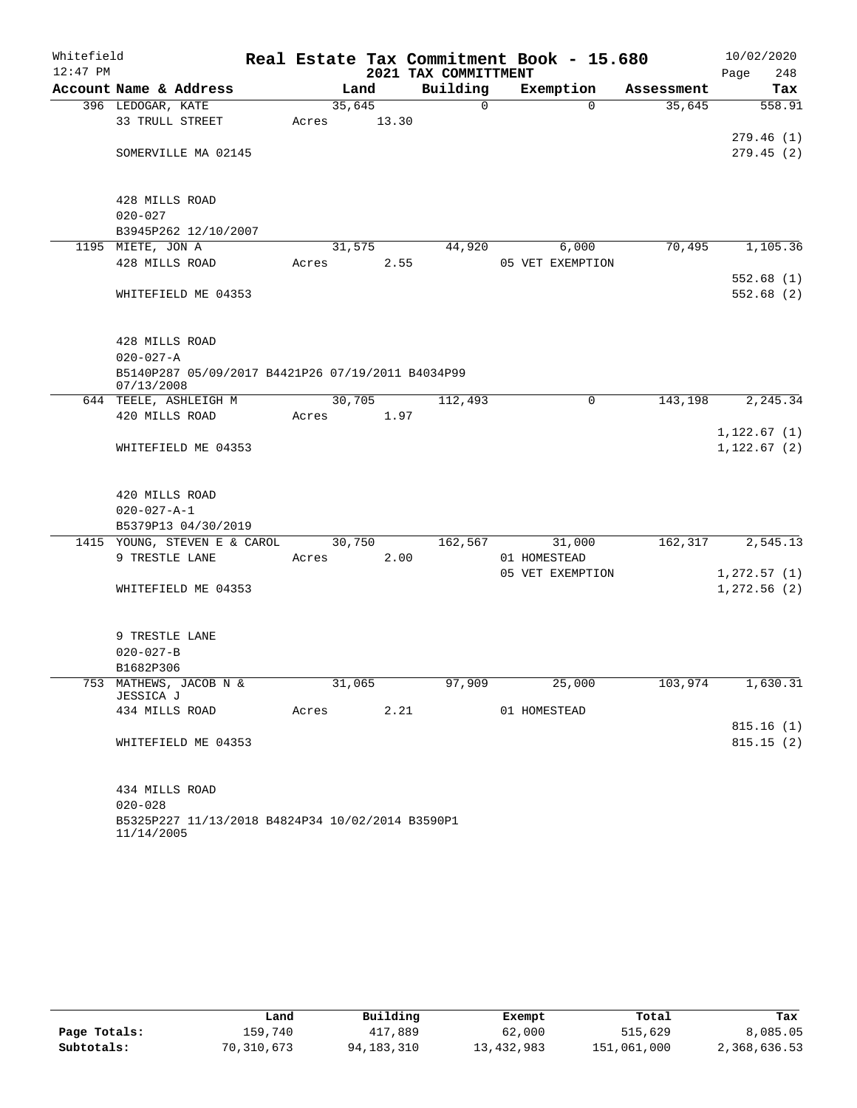| $12:47$ PM<br>2021 TAX COMMITTMENT<br>248<br>Page<br>Building<br>Account Name & Address<br>Exemption<br>Land<br>Assessment<br>Tax<br>35,645<br>396 LEDOGAR, KATE<br>$\mathbf 0$<br>$\Omega$<br>35,645<br>558.91<br>33 TRULL STREET<br>13.30<br>Acres<br>279.46(1)<br>279.45(2)<br>SOMERVILLE MA 02145<br>428 MILLS ROAD<br>$020 - 027$<br>B3945P262 12/10/2007<br>1195 MIETE, JON A<br>70,495<br>31,575<br>44,920<br>6,000<br>428 MILLS ROAD<br>2.55<br>05 VET EXEMPTION<br>Acres<br>WHITEFIELD ME 04353<br>428 MILLS ROAD<br>$020 - 027 - A$<br>B5140P287 05/09/2017 B4421P26 07/19/2011 B4034P99<br>07/13/2008<br>30,705<br>644 TEELE, ASHLEIGH M<br>112,493<br>$\mathbf 0$<br>143,198<br>420 MILLS ROAD<br>1.97<br>Acres<br>WHITEFIELD ME 04353<br>420 MILLS ROAD<br>$020 - 027 - A - 1$<br>B5379P13 04/30/2019<br>1415 YOUNG, STEVEN E & CAROL<br>30,750<br>162,567<br>31,000<br>162,317<br>9 TRESTLE LANE<br>2.00<br>01 HOMESTEAD<br>Acres<br>05 VET EXEMPTION<br>WHITEFIELD ME 04353<br>9 TRESTLE LANE<br>$020 - 027 - B$<br>B1682P306<br>753 MATHEWS, JACOB N &<br>31,065<br>97,909<br>25,000<br>103,974<br>JESSICA J<br>2.21<br>434 MILLS ROAD<br>01 HOMESTEAD<br>Acres<br>WHITEFIELD ME 04353<br>434 MILLS ROAD<br>$020 - 028$ | Whitefield |  |  | Real Estate Tax Commitment Book - 15.680 | 10/02/2020 |
|-----------------------------------------------------------------------------------------------------------------------------------------------------------------------------------------------------------------------------------------------------------------------------------------------------------------------------------------------------------------------------------------------------------------------------------------------------------------------------------------------------------------------------------------------------------------------------------------------------------------------------------------------------------------------------------------------------------------------------------------------------------------------------------------------------------------------------------------------------------------------------------------------------------------------------------------------------------------------------------------------------------------------------------------------------------------------------------------------------------------------------------------------------------------------------------------------------------------------------------------|------------|--|--|------------------------------------------|------------|
|                                                                                                                                                                                                                                                                                                                                                                                                                                                                                                                                                                                                                                                                                                                                                                                                                                                                                                                                                                                                                                                                                                                                                                                                                                         |            |  |  |                                          |            |
|                                                                                                                                                                                                                                                                                                                                                                                                                                                                                                                                                                                                                                                                                                                                                                                                                                                                                                                                                                                                                                                                                                                                                                                                                                         |            |  |  |                                          |            |
|                                                                                                                                                                                                                                                                                                                                                                                                                                                                                                                                                                                                                                                                                                                                                                                                                                                                                                                                                                                                                                                                                                                                                                                                                                         |            |  |  |                                          |            |
|                                                                                                                                                                                                                                                                                                                                                                                                                                                                                                                                                                                                                                                                                                                                                                                                                                                                                                                                                                                                                                                                                                                                                                                                                                         |            |  |  |                                          |            |
|                                                                                                                                                                                                                                                                                                                                                                                                                                                                                                                                                                                                                                                                                                                                                                                                                                                                                                                                                                                                                                                                                                                                                                                                                                         |            |  |  |                                          |            |
| 1,105.36<br>552.68(1)<br>552.68(2)<br>2, 245.34<br>1,122.67(1)<br>1,122.67(2)<br>2,545.13<br>1,272.57(1)<br>1,272.56(2)                                                                                                                                                                                                                                                                                                                                                                                                                                                                                                                                                                                                                                                                                                                                                                                                                                                                                                                                                                                                                                                                                                                 |            |  |  |                                          |            |
|                                                                                                                                                                                                                                                                                                                                                                                                                                                                                                                                                                                                                                                                                                                                                                                                                                                                                                                                                                                                                                                                                                                                                                                                                                         |            |  |  |                                          |            |
|                                                                                                                                                                                                                                                                                                                                                                                                                                                                                                                                                                                                                                                                                                                                                                                                                                                                                                                                                                                                                                                                                                                                                                                                                                         |            |  |  |                                          |            |
|                                                                                                                                                                                                                                                                                                                                                                                                                                                                                                                                                                                                                                                                                                                                                                                                                                                                                                                                                                                                                                                                                                                                                                                                                                         |            |  |  |                                          |            |
|                                                                                                                                                                                                                                                                                                                                                                                                                                                                                                                                                                                                                                                                                                                                                                                                                                                                                                                                                                                                                                                                                                                                                                                                                                         |            |  |  |                                          |            |
|                                                                                                                                                                                                                                                                                                                                                                                                                                                                                                                                                                                                                                                                                                                                                                                                                                                                                                                                                                                                                                                                                                                                                                                                                                         |            |  |  |                                          |            |
|                                                                                                                                                                                                                                                                                                                                                                                                                                                                                                                                                                                                                                                                                                                                                                                                                                                                                                                                                                                                                                                                                                                                                                                                                                         |            |  |  |                                          |            |
|                                                                                                                                                                                                                                                                                                                                                                                                                                                                                                                                                                                                                                                                                                                                                                                                                                                                                                                                                                                                                                                                                                                                                                                                                                         |            |  |  |                                          |            |
|                                                                                                                                                                                                                                                                                                                                                                                                                                                                                                                                                                                                                                                                                                                                                                                                                                                                                                                                                                                                                                                                                                                                                                                                                                         |            |  |  |                                          |            |
|                                                                                                                                                                                                                                                                                                                                                                                                                                                                                                                                                                                                                                                                                                                                                                                                                                                                                                                                                                                                                                                                                                                                                                                                                                         |            |  |  |                                          |            |
|                                                                                                                                                                                                                                                                                                                                                                                                                                                                                                                                                                                                                                                                                                                                                                                                                                                                                                                                                                                                                                                                                                                                                                                                                                         |            |  |  |                                          |            |
|                                                                                                                                                                                                                                                                                                                                                                                                                                                                                                                                                                                                                                                                                                                                                                                                                                                                                                                                                                                                                                                                                                                                                                                                                                         |            |  |  |                                          |            |
|                                                                                                                                                                                                                                                                                                                                                                                                                                                                                                                                                                                                                                                                                                                                                                                                                                                                                                                                                                                                                                                                                                                                                                                                                                         |            |  |  |                                          |            |
|                                                                                                                                                                                                                                                                                                                                                                                                                                                                                                                                                                                                                                                                                                                                                                                                                                                                                                                                                                                                                                                                                                                                                                                                                                         |            |  |  |                                          |            |
|                                                                                                                                                                                                                                                                                                                                                                                                                                                                                                                                                                                                                                                                                                                                                                                                                                                                                                                                                                                                                                                                                                                                                                                                                                         |            |  |  |                                          |            |
|                                                                                                                                                                                                                                                                                                                                                                                                                                                                                                                                                                                                                                                                                                                                                                                                                                                                                                                                                                                                                                                                                                                                                                                                                                         |            |  |  |                                          |            |
|                                                                                                                                                                                                                                                                                                                                                                                                                                                                                                                                                                                                                                                                                                                                                                                                                                                                                                                                                                                                                                                                                                                                                                                                                                         |            |  |  |                                          |            |
|                                                                                                                                                                                                                                                                                                                                                                                                                                                                                                                                                                                                                                                                                                                                                                                                                                                                                                                                                                                                                                                                                                                                                                                                                                         |            |  |  |                                          |            |
|                                                                                                                                                                                                                                                                                                                                                                                                                                                                                                                                                                                                                                                                                                                                                                                                                                                                                                                                                                                                                                                                                                                                                                                                                                         |            |  |  |                                          |            |
|                                                                                                                                                                                                                                                                                                                                                                                                                                                                                                                                                                                                                                                                                                                                                                                                                                                                                                                                                                                                                                                                                                                                                                                                                                         |            |  |  |                                          |            |
|                                                                                                                                                                                                                                                                                                                                                                                                                                                                                                                                                                                                                                                                                                                                                                                                                                                                                                                                                                                                                                                                                                                                                                                                                                         |            |  |  |                                          |            |
|                                                                                                                                                                                                                                                                                                                                                                                                                                                                                                                                                                                                                                                                                                                                                                                                                                                                                                                                                                                                                                                                                                                                                                                                                                         |            |  |  |                                          |            |
|                                                                                                                                                                                                                                                                                                                                                                                                                                                                                                                                                                                                                                                                                                                                                                                                                                                                                                                                                                                                                                                                                                                                                                                                                                         |            |  |  |                                          |            |
|                                                                                                                                                                                                                                                                                                                                                                                                                                                                                                                                                                                                                                                                                                                                                                                                                                                                                                                                                                                                                                                                                                                                                                                                                                         |            |  |  |                                          |            |
|                                                                                                                                                                                                                                                                                                                                                                                                                                                                                                                                                                                                                                                                                                                                                                                                                                                                                                                                                                                                                                                                                                                                                                                                                                         |            |  |  |                                          |            |
|                                                                                                                                                                                                                                                                                                                                                                                                                                                                                                                                                                                                                                                                                                                                                                                                                                                                                                                                                                                                                                                                                                                                                                                                                                         |            |  |  |                                          |            |
|                                                                                                                                                                                                                                                                                                                                                                                                                                                                                                                                                                                                                                                                                                                                                                                                                                                                                                                                                                                                                                                                                                                                                                                                                                         |            |  |  |                                          |            |
| 1,630.31<br>815.16(1)<br>815.15(2)                                                                                                                                                                                                                                                                                                                                                                                                                                                                                                                                                                                                                                                                                                                                                                                                                                                                                                                                                                                                                                                                                                                                                                                                      |            |  |  |                                          |            |
|                                                                                                                                                                                                                                                                                                                                                                                                                                                                                                                                                                                                                                                                                                                                                                                                                                                                                                                                                                                                                                                                                                                                                                                                                                         |            |  |  |                                          |            |
|                                                                                                                                                                                                                                                                                                                                                                                                                                                                                                                                                                                                                                                                                                                                                                                                                                                                                                                                                                                                                                                                                                                                                                                                                                         |            |  |  |                                          |            |
|                                                                                                                                                                                                                                                                                                                                                                                                                                                                                                                                                                                                                                                                                                                                                                                                                                                                                                                                                                                                                                                                                                                                                                                                                                         |            |  |  |                                          |            |
|                                                                                                                                                                                                                                                                                                                                                                                                                                                                                                                                                                                                                                                                                                                                                                                                                                                                                                                                                                                                                                                                                                                                                                                                                                         |            |  |  |                                          |            |
|                                                                                                                                                                                                                                                                                                                                                                                                                                                                                                                                                                                                                                                                                                                                                                                                                                                                                                                                                                                                                                                                                                                                                                                                                                         |            |  |  |                                          |            |
|                                                                                                                                                                                                                                                                                                                                                                                                                                                                                                                                                                                                                                                                                                                                                                                                                                                                                                                                                                                                                                                                                                                                                                                                                                         |            |  |  |                                          |            |
|                                                                                                                                                                                                                                                                                                                                                                                                                                                                                                                                                                                                                                                                                                                                                                                                                                                                                                                                                                                                                                                                                                                                                                                                                                         |            |  |  |                                          |            |
|                                                                                                                                                                                                                                                                                                                                                                                                                                                                                                                                                                                                                                                                                                                                                                                                                                                                                                                                                                                                                                                                                                                                                                                                                                         |            |  |  |                                          |            |
|                                                                                                                                                                                                                                                                                                                                                                                                                                                                                                                                                                                                                                                                                                                                                                                                                                                                                                                                                                                                                                                                                                                                                                                                                                         |            |  |  |                                          |            |
|                                                                                                                                                                                                                                                                                                                                                                                                                                                                                                                                                                                                                                                                                                                                                                                                                                                                                                                                                                                                                                                                                                                                                                                                                                         |            |  |  |                                          |            |
| B5325P227 11/13/2018 B4824P34 10/02/2014 B3590P1<br>11/14/2005                                                                                                                                                                                                                                                                                                                                                                                                                                                                                                                                                                                                                                                                                                                                                                                                                                                                                                                                                                                                                                                                                                                                                                          |            |  |  |                                          |            |

|              | Land       | Building   | Exempt     | Total       | Tax          |
|--------------|------------|------------|------------|-------------|--------------|
| Page Totals: | 159.740    | 417,889    | 62,000     | 515,629     | 8,085.05     |
| Subtotals:   | 70,310,673 | 94,183,310 | 13,432,983 | 151,061,000 | 2,368,636.53 |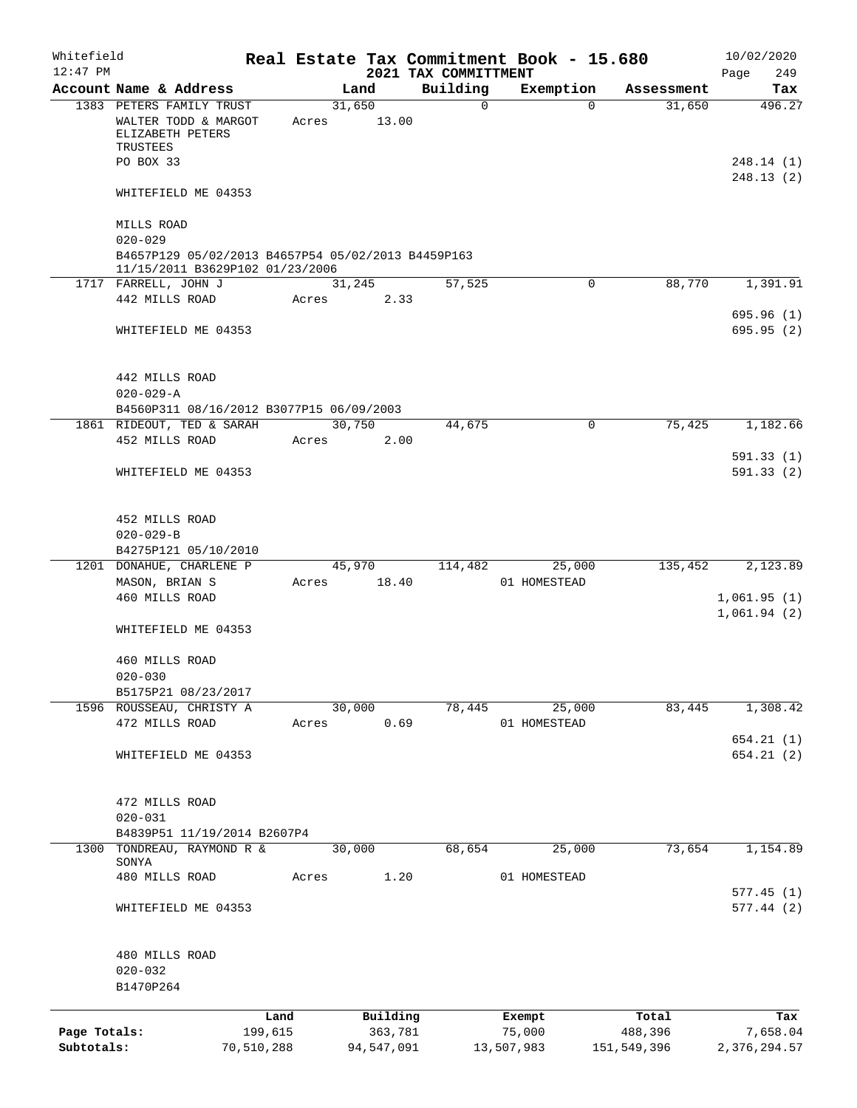| Whitefield   |                                                                                                                    |            |       |        |            |                      | Real Estate Tax Commitment Book - 15.680 |                       | 10/02/2020             |
|--------------|--------------------------------------------------------------------------------------------------------------------|------------|-------|--------|------------|----------------------|------------------------------------------|-----------------------|------------------------|
| $12:47$ PM   |                                                                                                                    |            |       |        |            | 2021 TAX COMMITTMENT |                                          |                       | 249<br>Page            |
|              | Account Name & Address                                                                                             |            |       | Land   |            | Building             | Exemption                                | Assessment            | Tax                    |
|              | 1383 PETERS FAMILY TRUST<br>WALTER TODD & MARGOT<br>ELIZABETH PETERS<br>TRUSTEES<br>PO BOX 33                      |            | Acres | 31,650 | 13.00      | $\mathbf 0$          |                                          | 31,650<br>$\Omega$    | 496.27<br>248.14(1)    |
|              | WHITEFIELD ME 04353                                                                                                |            |       |        |            |                      |                                          |                       | 248.13(2)              |
|              | MILLS ROAD<br>$020 - 029$<br>B4657P129 05/02/2013 B4657P54 05/02/2013 B4459P163<br>11/15/2011 B3629P102 01/23/2006 |            |       |        |            |                      |                                          |                       |                        |
|              | 1717 FARRELL, JOHN J                                                                                               |            |       | 31,245 |            | 57,525               |                                          | 88,770<br>0           | 1,391.91               |
|              | 442 MILLS ROAD                                                                                                     |            | Acres |        | 2.33       |                      |                                          |                       |                        |
|              | WHITEFIELD ME 04353                                                                                                |            |       |        |            |                      |                                          |                       | 695.96(1)<br>695.95(2) |
|              | 442 MILLS ROAD<br>$020 - 029 - A$<br>B4560P311 08/16/2012 B3077P15 06/09/2003                                      |            |       |        |            |                      |                                          |                       |                        |
|              | 1861 RIDEOUT, TED & SARAH                                                                                          |            |       | 30,750 |            | 44,675               |                                          | 75,425<br>$\mathbf 0$ | 1,182.66               |
|              | 452 MILLS ROAD                                                                                                     |            | Acres |        | 2.00       |                      |                                          |                       |                        |
|              |                                                                                                                    |            |       |        |            |                      |                                          |                       | 591.33(1)              |
|              | WHITEFIELD ME 04353                                                                                                |            |       |        |            |                      |                                          |                       | 591.33(2)              |
|              | 452 MILLS ROAD<br>$020 - 029 - B$<br>B4275P121 05/10/2010                                                          |            |       |        |            |                      |                                          |                       |                        |
|              | 1201 DONAHUE, CHARLENE P                                                                                           |            |       | 45,970 |            | 114,482              | 25,000                                   | 135,452               | 2,123.89               |
|              | MASON, BRIAN S                                                                                                     |            | Acres |        | 18.40      |                      | 01 HOMESTEAD                             |                       |                        |
|              | 460 MILLS ROAD                                                                                                     |            |       |        |            |                      |                                          |                       | 1,061.95(1)            |
|              | WHITEFIELD ME 04353                                                                                                |            |       |        |            |                      |                                          |                       | 1,061.94(2)            |
|              | 460 MILLS ROAD<br>$020 - 030$                                                                                      |            |       |        |            |                      |                                          |                       |                        |
|              | B5175P21 08/23/2017                                                                                                |            |       |        |            |                      |                                          |                       |                        |
|              | 1596 ROUSSEAU, CHRISTY A                                                                                           |            |       | 30,000 |            | 78,445               | 25,000                                   | 83,445                | 1,308.42               |
|              | 472 MILLS ROAD                                                                                                     |            | Acres |        | 0.69       |                      | 01 HOMESTEAD                             |                       |                        |
|              | WHITEFIELD ME 04353                                                                                                |            |       |        |            |                      |                                          |                       | 654.21(1)<br>654.21(2) |
|              | 472 MILLS ROAD<br>$020 - 031$<br>B4839P51 11/19/2014 B2607P4                                                       |            |       |        |            |                      |                                          |                       |                        |
| 1300         | TONDREAU, RAYMOND R &                                                                                              |            |       | 30,000 |            | 68,654               | 25,000                                   | 73,654                | 1,154.89               |
|              | SONYA<br>480 MILLS ROAD                                                                                            |            | Acres |        | 1.20       |                      | 01 HOMESTEAD                             |                       |                        |
|              | WHITEFIELD ME 04353                                                                                                |            |       |        |            |                      |                                          |                       | 577.45(1)<br>577.44(2) |
|              | 480 MILLS ROAD<br>$020 - 032$<br>B1470P264                                                                         |            |       |        |            |                      |                                          |                       |                        |
|              |                                                                                                                    | Land       |       |        | Building   |                      | Exempt                                   | Total                 | Tax                    |
| Page Totals: |                                                                                                                    | 199,615    |       |        | 363,781    |                      | 75,000                                   | 488,396               | 7,658.04               |
| Subtotals:   |                                                                                                                    | 70,510,288 |       |        | 94,547,091 |                      | 13,507,983                               | 151,549,396           | 2,376,294.57           |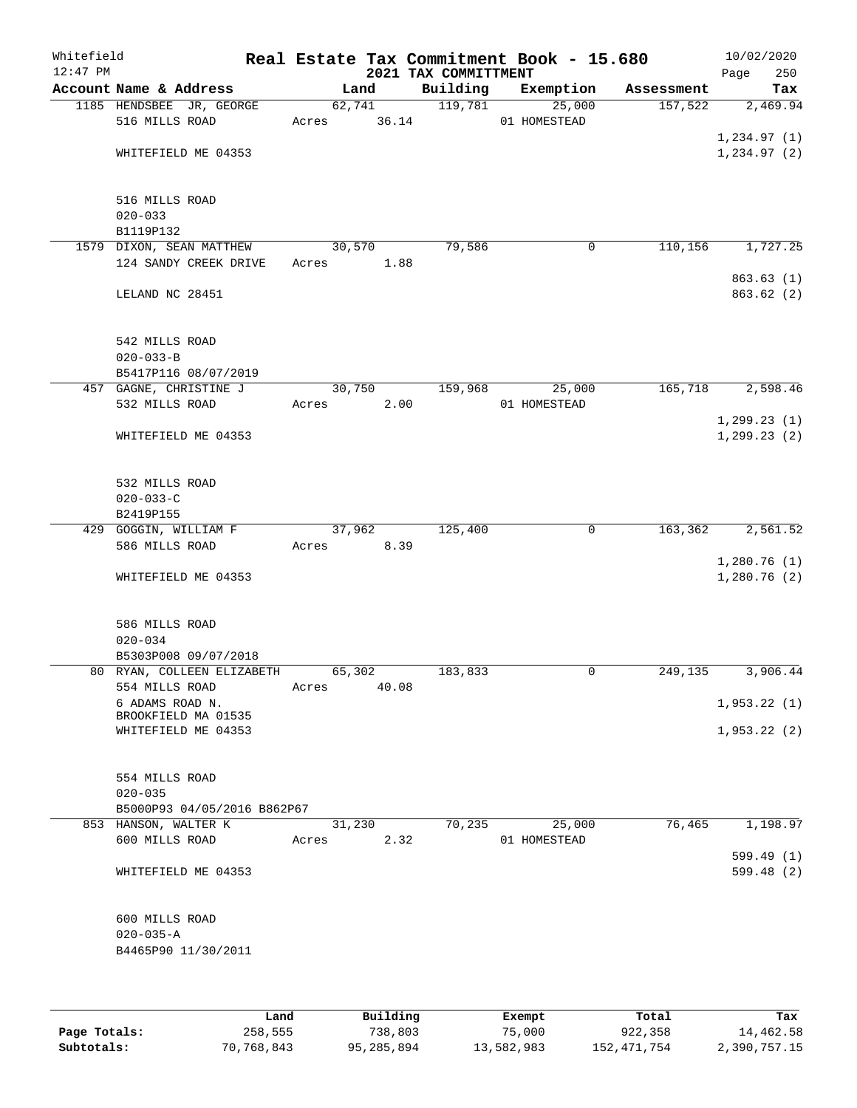| Whitefield<br>$12:47$ PM |                                            |             |                | Real Estate Tax Commitment Book - 15.680<br>2021 TAX COMMITTMENT |              |             |            | 10/02/2020<br>Page         | 250 |
|--------------------------|--------------------------------------------|-------------|----------------|------------------------------------------------------------------|--------------|-------------|------------|----------------------------|-----|
|                          | Account Name & Address                     |             | Land           | Building                                                         | Exemption    |             | Assessment |                            | Tax |
|                          | 1185 HENDSBEE JR, GEORGE<br>516 MILLS ROAD | Acres 36.14 | 62,741         | 119,781                                                          | 01 HOMESTEAD | 25,000      | 157,522    | 2,469.94<br>1,234.97(1)    |     |
|                          | WHITEFIELD ME 04353                        |             |                |                                                                  |              |             |            | 1, 234.97(2)               |     |
|                          | 516 MILLS ROAD<br>$020 - 033$<br>B1119P132 |             |                |                                                                  |              |             |            |                            |     |
|                          | 1579 DIXON, SEAN MATTHEW                   |             | 30,570         | 79,586                                                           |              | 0           | 110,156    | 1,727.25                   |     |
|                          | 124 SANDY CREEK DRIVE                      | Acres       | 1.88           |                                                                  |              |             |            |                            |     |
|                          | LELAND NC 28451                            |             |                |                                                                  |              |             |            | 863.63(1)<br>863.62 (2)    |     |
|                          | 542 MILLS ROAD<br>$020 - 033 - B$          |             |                |                                                                  |              |             |            |                            |     |
|                          | B5417P116 08/07/2019                       |             |                |                                                                  |              |             |            |                            |     |
|                          | 457 GAGNE, CHRISTINE J<br>532 MILLS ROAD   | Acres       | 30,750<br>2.00 | 159,968                                                          | 01 HOMESTEAD | 25,000      | 165,718    | 2,598.46                   |     |
|                          |                                            |             |                |                                                                  |              |             |            | 1, 299.23(1)               |     |
|                          | WHITEFIELD ME 04353                        |             |                |                                                                  |              |             |            | 1, 299.23(2)               |     |
|                          | 532 MILLS ROAD                             |             |                |                                                                  |              |             |            |                            |     |
|                          | $020 - 033 - C$<br>B2419P155               |             |                |                                                                  |              |             |            |                            |     |
|                          | 429 GOGGIN, WILLIAM F                      |             | 37,962         | 125,400                                                          |              | $\mathbf 0$ | 163,362    | 2,561.52                   |     |
|                          | 586 MILLS ROAD                             | Acres       | 8.39           |                                                                  |              |             |            |                            |     |
|                          | WHITEFIELD ME 04353                        |             |                |                                                                  |              |             |            | 1,280.76(1)<br>1,280.76(2) |     |
|                          | 586 MILLS ROAD<br>$020 - 034$              |             |                |                                                                  |              |             |            |                            |     |
|                          | B5303P008 09/07/2018                       |             |                |                                                                  |              |             |            |                            |     |
|                          | 80 RYAN, COLLEEN ELIZABETH                 | 65,302      |                | 183,833                                                          |              | 0           | 249,135    | 3,906.44                   |     |
|                          | 554 MILLS ROAD<br>6 ADAMS ROAD N.          | Acres       | 40.08          |                                                                  |              |             |            | 1,953.22(1)                |     |
|                          | BROOKFIELD MA 01535<br>WHITEFIELD ME 04353 |             |                |                                                                  |              |             |            | 1,953.22(2)                |     |
|                          |                                            |             |                |                                                                  |              |             |            |                            |     |
|                          | 554 MILLS ROAD                             |             |                |                                                                  |              |             |            |                            |     |
|                          | $020 - 035$                                |             |                |                                                                  |              |             |            |                            |     |
|                          | B5000P93 04/05/2016 B862P67                |             |                |                                                                  |              |             |            |                            |     |
|                          | 853 HANSON, WALTER K<br>600 MILLS ROAD     | Acres       | 31,230<br>2.32 | 70,235                                                           | 01 HOMESTEAD | 25,000      | 76,465     | 1,198.97                   |     |
|                          |                                            |             |                |                                                                  |              |             |            | 599.49 (1)                 |     |
|                          | WHITEFIELD ME 04353                        |             |                |                                                                  |              |             |            | 599.48 (2)                 |     |
|                          | 600 MILLS ROAD                             |             |                |                                                                  |              |             |            |                            |     |
|                          | $020 - 035 - A$                            |             |                |                                                                  |              |             |            |                            |     |
|                          | B4465P90 11/30/2011                        |             |                |                                                                  |              |             |            |                            |     |
|                          |                                            |             |                |                                                                  |              |             |            |                            |     |
|                          |                                            |             |                |                                                                  |              |             |            |                            |     |

|              | Land       | Building   | Exempt     | Total         | Tax          |
|--------------|------------|------------|------------|---------------|--------------|
| Page Totals: | 258,555    | 738,803    | 75,000     | 922,358       | 14,462.58    |
| Subtotals:   | 70,768,843 | 95,285,894 | 13,582,983 | 152, 471, 754 | 2,390,757.15 |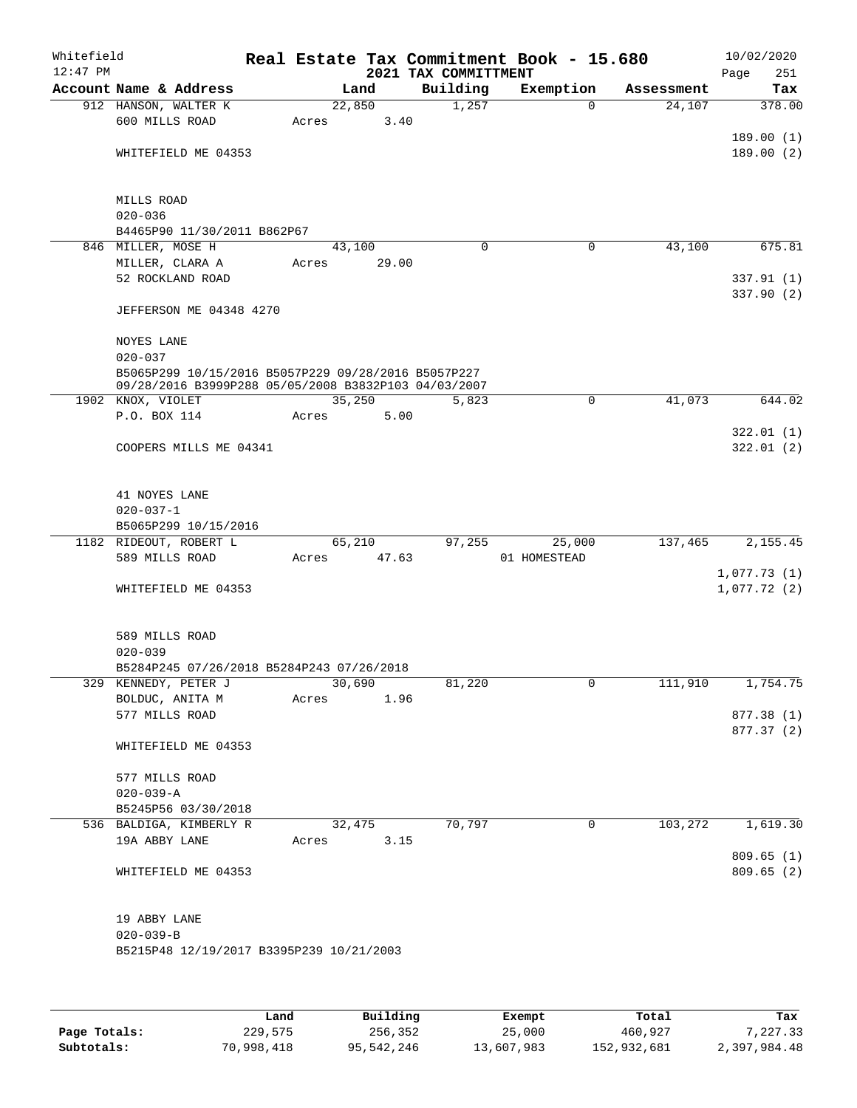| Whitefield<br>$12:47$ PM |                                                          |       |        |       | 2021 TAX COMMITTMENT | Real Estate Tax Commitment Book - 15.680 |                |            | Page | 10/02/2020<br>251 |
|--------------------------|----------------------------------------------------------|-------|--------|-------|----------------------|------------------------------------------|----------------|------------|------|-------------------|
|                          | Account Name & Address                                   |       | Land   |       | Building             | Exemption                                |                | Assessment |      | Tax               |
|                          | 912 HANSON, WALTER K                                     |       | 22,850 |       | 1,257                |                                          | $\mathbf 0$    | 24,107     |      | 378.00            |
|                          | 600 MILLS ROAD                                           | Acres |        | 3.40  |                      |                                          |                |            |      |                   |
|                          |                                                          |       |        |       |                      |                                          |                |            |      | 189.00(1)         |
|                          | WHITEFIELD ME 04353                                      |       |        |       |                      |                                          |                |            |      | 189.00(2)         |
|                          |                                                          |       |        |       |                      |                                          |                |            |      |                   |
|                          |                                                          |       |        |       |                      |                                          |                |            |      |                   |
|                          | MILLS ROAD                                               |       |        |       |                      |                                          |                |            |      |                   |
|                          | $020 - 036$                                              |       |        |       |                      |                                          |                |            |      |                   |
|                          | B4465P90 11/30/2011 B862P67                              |       |        |       |                      |                                          |                |            |      |                   |
|                          | 846 MILLER, MOSE H                                       |       | 43,100 |       | $\Omega$             |                                          | $\mathbf 0$    | 43,100     |      | 675.81            |
|                          | MILLER, CLARA A<br>52 ROCKLAND ROAD                      | Acres |        | 29.00 |                      |                                          |                |            |      | 337.91(1)         |
|                          |                                                          |       |        |       |                      |                                          |                |            |      | 337.90 (2)        |
|                          | JEFFERSON ME 04348 4270                                  |       |        |       |                      |                                          |                |            |      |                   |
|                          |                                                          |       |        |       |                      |                                          |                |            |      |                   |
|                          | NOYES LANE                                               |       |        |       |                      |                                          |                |            |      |                   |
|                          | $020 - 037$                                              |       |        |       |                      |                                          |                |            |      |                   |
|                          | B5065P299 10/15/2016 B5057P229 09/28/2016 B5057P227      |       |        |       |                      |                                          |                |            |      |                   |
|                          | 09/28/2016 B3999P288 05/05/2008 B3832P103 04/03/2007     |       |        |       |                      |                                          |                |            |      |                   |
|                          | 1902 KNOX, VIOLET                                        |       | 35,250 |       | 5,823                |                                          | 0              | 41,073     |      | 644.02            |
|                          | P.O. BOX 114                                             | Acres |        | 5.00  |                      |                                          |                |            |      |                   |
|                          |                                                          |       |        |       |                      |                                          |                |            |      | 322.01(1)         |
|                          | COOPERS MILLS ME 04341                                   |       |        |       |                      |                                          |                |            |      | 322.01(2)         |
|                          |                                                          |       |        |       |                      |                                          |                |            |      |                   |
|                          | 41 NOYES LANE                                            |       |        |       |                      |                                          |                |            |      |                   |
|                          | $020 - 037 - 1$                                          |       |        |       |                      |                                          |                |            |      |                   |
|                          | B5065P299 10/15/2016                                     |       |        |       |                      |                                          |                |            |      |                   |
|                          | 1182 RIDEOUT, ROBERT L                                   |       | 65,210 |       | 97,255               |                                          | 25,000         | 137,465    |      | 2,155.45          |
|                          | 589 MILLS ROAD                                           | Acres |        | 47.63 |                      | 01 HOMESTEAD                             |                |            |      |                   |
|                          |                                                          |       |        |       |                      |                                          |                |            |      | 1,077.73(1)       |
|                          | WHITEFIELD ME 04353                                      |       |        |       |                      |                                          |                |            |      | 1,077.72(2)       |
|                          |                                                          |       |        |       |                      |                                          |                |            |      |                   |
|                          |                                                          |       |        |       |                      |                                          |                |            |      |                   |
|                          | 589 MILLS ROAD                                           |       |        |       |                      |                                          |                |            |      |                   |
|                          | $020 - 039$<br>B5284P245 07/26/2018 B5284P243 07/26/2018 |       |        |       |                      |                                          |                |            |      |                   |
|                          | 329 KENNEDY, PETER J                                     |       | 30,690 |       | 81,220               |                                          | $\overline{0}$ | 111,910    |      | 1,754.75          |
|                          | BOLDUC, ANITA M                                          | Acres |        | 1.96  |                      |                                          |                |            |      |                   |
|                          | 577 MILLS ROAD                                           |       |        |       |                      |                                          |                |            |      | 877.38 (1)        |
|                          |                                                          |       |        |       |                      |                                          |                |            |      | 877.37 (2)        |
|                          | WHITEFIELD ME 04353                                      |       |        |       |                      |                                          |                |            |      |                   |
|                          |                                                          |       |        |       |                      |                                          |                |            |      |                   |
|                          | 577 MILLS ROAD                                           |       |        |       |                      |                                          |                |            |      |                   |
|                          | $020 - 039 - A$                                          |       |        |       |                      |                                          |                |            |      |                   |
|                          | B5245P56 03/30/2018                                      |       |        |       |                      |                                          |                |            |      |                   |
|                          | 536 BALDIGA, KIMBERLY R                                  |       | 32,475 |       | 70,797               |                                          | $\mathbf 0$    | 103,272    |      | 1,619.30          |
|                          | 19A ABBY LANE                                            | Acres |        | 3.15  |                      |                                          |                |            |      |                   |
|                          |                                                          |       |        |       |                      |                                          |                |            |      | 809.65(1)         |
|                          | WHITEFIELD ME 04353                                      |       |        |       |                      |                                          |                |            |      | 809.65(2)         |
|                          |                                                          |       |        |       |                      |                                          |                |            |      |                   |
|                          | 19 ABBY LANE                                             |       |        |       |                      |                                          |                |            |      |                   |
|                          | $020 - 039 - B$                                          |       |        |       |                      |                                          |                |            |      |                   |
|                          | B5215P48 12/19/2017 B3395P239 10/21/2003                 |       |        |       |                      |                                          |                |            |      |                   |
|                          |                                                          |       |        |       |                      |                                          |                |            |      |                   |
|                          |                                                          |       |        |       |                      |                                          |                |            |      |                   |
|                          |                                                          |       |        |       |                      |                                          |                |            |      |                   |

|              | Land       | Building   | Exempt     | Total       | Tax          |
|--------------|------------|------------|------------|-------------|--------------|
| Page Totals: | 229,575    | 256,352    | 25,000     | 460,927     | 7.227.33     |
| Subtotals:   | 70,998,418 | 95,542,246 | 13,607,983 | 152,932,681 | 2,397,984.48 |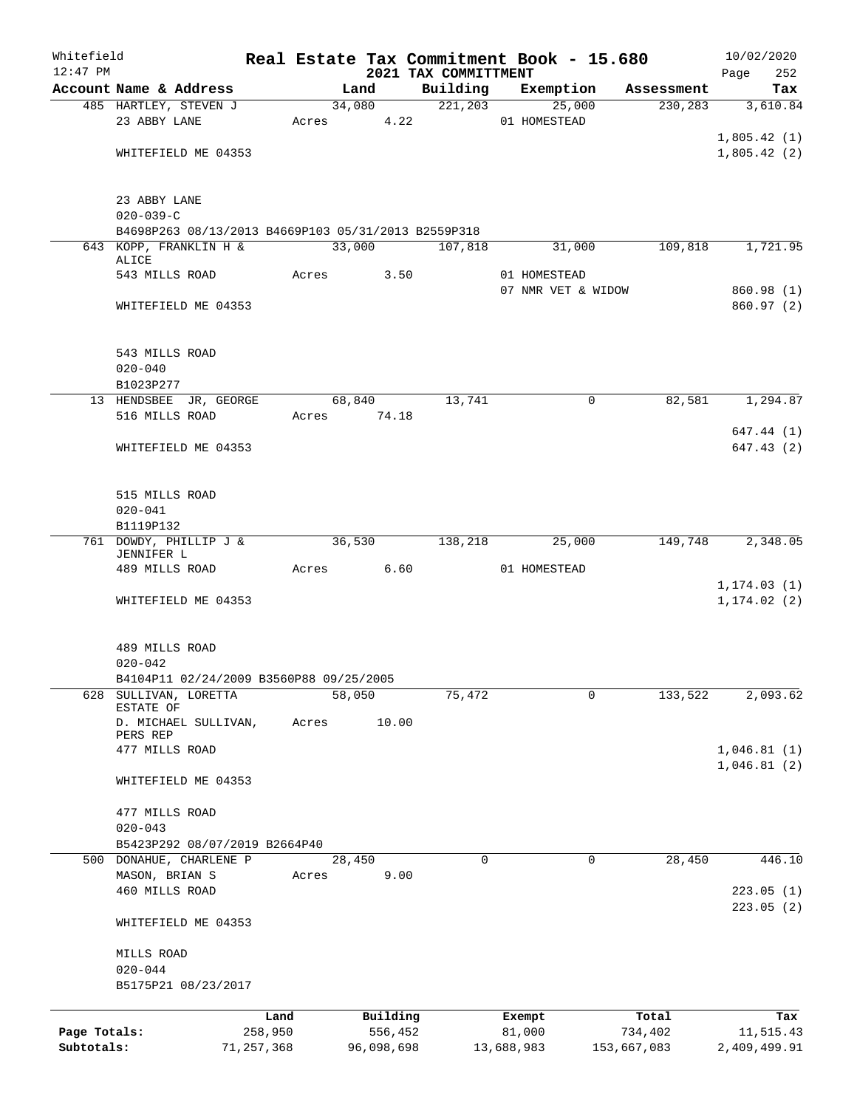| Whitefield   |                                                     |            |       |        |             | Real Estate Tax Commitment Book - 15.680 |                                    |          |             | 10/02/2020                 |
|--------------|-----------------------------------------------------|------------|-------|--------|-------------|------------------------------------------|------------------------------------|----------|-------------|----------------------------|
| $12:47$ PM   | Account Name & Address                              |            |       | Land   |             | 2021 TAX COMMITTMENT<br>Building         | Exemption                          |          | Assessment  | Page<br>252<br>Tax         |
|              | 485 HARTLEY, STEVEN J                               |            |       |        | 34,080      | 221,203                                  |                                    | 25,000   | 230, 283    | 3,610.84                   |
|              | 23 ABBY LANE                                        |            | Acres |        | 4.22        |                                          | 01 HOMESTEAD                       |          |             |                            |
|              |                                                     |            |       |        |             |                                          |                                    |          |             | 1,805.42(1)                |
|              | WHITEFIELD ME 04353                                 |            |       |        |             |                                          |                                    |          |             | 1,805.42(2)                |
|              | 23 ABBY LANE<br>$020 - 039 - C$                     |            |       |        |             |                                          |                                    |          |             |                            |
|              | B4698P263 08/13/2013 B4669P103 05/31/2013 B2559P318 |            |       |        |             |                                          |                                    |          |             |                            |
|              | 643 KOPP, FRANKLIN H &<br>ALICE                     |            |       | 33,000 |             | 107,818                                  |                                    | 31,000   | 109,818     | 1,721.95                   |
|              | 543 MILLS ROAD                                      |            | Acres |        | 3.50        |                                          | 01 HOMESTEAD<br>07 NMR VET & WIDOW |          |             | 860.98 (1)                 |
|              | WHITEFIELD ME 04353                                 |            |       |        |             |                                          |                                    |          |             | 860.97(2)                  |
|              | 543 MILLS ROAD<br>$020 - 040$                       |            |       |        |             |                                          |                                    |          |             |                            |
|              | B1023P277                                           |            |       |        |             |                                          |                                    |          |             |                            |
|              | 13 HENDSBEE JR, GEORGE                              |            |       | 68,840 |             | 13,741                                   |                                    | 0        | 82,581      | 1,294.87                   |
|              | 516 MILLS ROAD                                      |            |       |        | Acres 74.18 |                                          |                                    |          |             |                            |
|              |                                                     |            |       |        |             |                                          |                                    |          |             | 647.44 (1)                 |
|              | WHITEFIELD ME 04353                                 |            |       |        |             |                                          |                                    |          |             | 647.43(2)                  |
|              | 515 MILLS ROAD                                      |            |       |        |             |                                          |                                    |          |             |                            |
|              | $020 - 041$                                         |            |       |        |             |                                          |                                    |          |             |                            |
|              | B1119P132<br>761 DOWDY, PHILLIP J &                 |            |       | 36,530 |             | 138,218                                  |                                    | 25,000   | 149,748     | 2,348.05                   |
|              | JENNIFER L                                          |            |       |        |             |                                          |                                    |          |             |                            |
|              | 489 MILLS ROAD                                      |            | Acres |        | 6.60        |                                          | 01 HOMESTEAD                       |          |             | 1, 174.03(1)               |
|              | WHITEFIELD ME 04353                                 |            |       |        |             |                                          |                                    |          |             | 1, 174.02(2)               |
|              | 489 MILLS ROAD<br>$020 - 042$                       |            |       |        |             |                                          |                                    |          |             |                            |
|              | B4104P11 02/24/2009 B3560P88 09/25/2005             |            |       |        |             |                                          |                                    |          |             |                            |
| 628          | SULLIVAN, LORETTA<br>ESTATE OF                      |            |       | 58,050 |             | 75,472                                   |                                    | 0        | 133,522     | 2,093.62                   |
|              | D. MICHAEL SULLIVAN,<br>PERS REP                    |            | Acres |        | 10.00       |                                          |                                    |          |             |                            |
|              | 477 MILLS ROAD                                      |            |       |        |             |                                          |                                    |          |             | 1,046.81(1)<br>1,046.81(2) |
|              | WHITEFIELD ME 04353                                 |            |       |        |             |                                          |                                    |          |             |                            |
|              | 477 MILLS ROAD<br>$020 - 043$                       |            |       |        |             |                                          |                                    |          |             |                            |
|              | B5423P292 08/07/2019 B2664P40                       |            |       |        |             |                                          |                                    |          |             |                            |
|              | 500 DONAHUE, CHARLENE P                             |            |       | 28,450 |             | $\Omega$                                 |                                    | $\Omega$ | 28,450      | 446.10                     |
|              | MASON, BRIAN S                                      |            | Acres |        | 9.00        |                                          |                                    |          |             |                            |
|              | 460 MILLS ROAD                                      |            |       |        |             |                                          |                                    |          |             | 223.05(1)                  |
|              | WHITEFIELD ME 04353                                 |            |       |        |             |                                          |                                    |          |             | 223.05(2)                  |
|              | MILLS ROAD                                          |            |       |        |             |                                          |                                    |          |             |                            |
|              | $020 - 044$<br>B5175P21 08/23/2017                  |            |       |        |             |                                          |                                    |          |             |                            |
|              |                                                     |            |       |        |             |                                          |                                    |          |             |                            |
|              |                                                     | Land       |       |        | Building    |                                          | Exempt                             |          | Total       | Tax                        |
| Page Totals: |                                                     | 258,950    |       |        | 556,452     |                                          | 81,000                             |          | 734,402     | 11,515.43                  |
| Subtotals:   |                                                     | 71,257,368 |       |        | 96,098,698  |                                          | 13,688,983                         |          | 153,667,083 | 2,409,499.91               |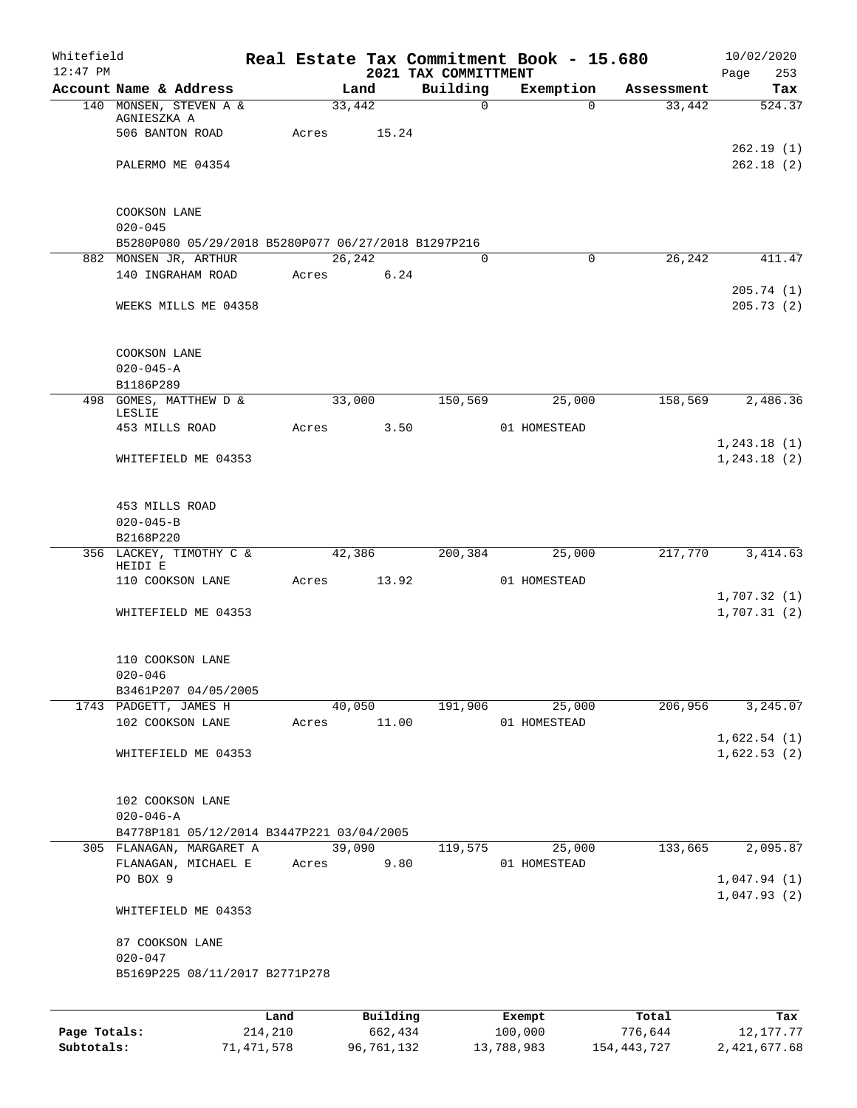| Whitefield<br>$12:47$ PM |                                                     |         |             |        |          | 2021 TAX COMMITTMENT | Real Estate Tax Commitment Book - 15.680 |            | 10/02/2020<br>Page<br>253 |
|--------------------------|-----------------------------------------------------|---------|-------------|--------|----------|----------------------|------------------------------------------|------------|---------------------------|
|                          | Account Name & Address                              |         |             | Land   |          | Building             | Exemption                                | Assessment | Tax                       |
|                          | 140 MONSEN, STEVEN A &                              |         |             | 33,442 |          | $\mathsf{O}$         | $\Omega$                                 | 33,442     | 524.37                    |
|                          | AGNIESZKA A                                         |         |             |        |          |                      |                                          |            |                           |
|                          | 506 BANTON ROAD                                     |         | Acres       |        | 15.24    |                      |                                          |            | 262.19(1)                 |
|                          | PALERMO ME 04354                                    |         |             |        |          |                      |                                          |            | 262.18(2)                 |
|                          |                                                     |         |             |        |          |                      |                                          |            |                           |
|                          |                                                     |         |             |        |          |                      |                                          |            |                           |
|                          | COOKSON LANE                                        |         |             |        |          |                      |                                          |            |                           |
|                          | $020 - 045$                                         |         |             |        |          |                      |                                          |            |                           |
|                          | B5280P080 05/29/2018 B5280P077 06/27/2018 B1297P216 |         |             |        |          |                      |                                          |            |                           |
|                          | 882 MONSEN JR, ARTHUR                               |         |             | 26,242 |          | $\Omega$             | $\Omega$                                 | 26,242     | 411.47                    |
|                          | 140 INGRAHAM ROAD                                   |         | Acres       |        | 6.24     |                      |                                          |            | 205.74(1)                 |
|                          | WEEKS MILLS ME 04358                                |         |             |        |          |                      |                                          |            | 205.73(2)                 |
|                          |                                                     |         |             |        |          |                      |                                          |            |                           |
|                          |                                                     |         |             |        |          |                      |                                          |            |                           |
|                          | COOKSON LANE                                        |         |             |        |          |                      |                                          |            |                           |
|                          | $020 - 045 - A$                                     |         |             |        |          |                      |                                          |            |                           |
|                          | B1186P289                                           |         |             |        |          |                      |                                          |            |                           |
|                          | 498 GOMES, MATTHEW D &                              |         |             | 33,000 |          | 150,569              | 25,000                                   | 158,569    | 2,486.36                  |
|                          | LESLIE<br>453 MILLS ROAD                            |         | Acres       |        | 3.50     |                      | 01 HOMESTEAD                             |            |                           |
|                          |                                                     |         |             |        |          |                      |                                          |            | 1, 243.18(1)              |
|                          | WHITEFIELD ME 04353                                 |         |             |        |          |                      |                                          |            | 1, 243.18 (2)             |
|                          |                                                     |         |             |        |          |                      |                                          |            |                           |
|                          |                                                     |         |             |        |          |                      |                                          |            |                           |
|                          | 453 MILLS ROAD                                      |         |             |        |          |                      |                                          |            |                           |
|                          | $020 - 045 - B$                                     |         |             |        |          |                      |                                          |            |                           |
|                          | B2168P220<br>356 LACKEY, TIMOTHY C &                |         | 42,386      |        | 200,384  | 25,000               | 217,770                                  | 3, 414.63  |                           |
|                          | HEIDI E                                             |         |             |        |          |                      |                                          |            |                           |
|                          | 110 COOKSON LANE                                    |         | Acres 13.92 |        |          |                      | 01 HOMESTEAD                             |            |                           |
|                          |                                                     |         |             |        |          |                      |                                          |            | 1,707.32(1)               |
|                          | WHITEFIELD ME 04353                                 |         |             |        |          |                      |                                          |            | 1,707.31(2)               |
|                          |                                                     |         |             |        |          |                      |                                          |            |                           |
|                          | 110 COOKSON LANE                                    |         |             |        |          |                      |                                          |            |                           |
|                          | $020 - 046$                                         |         |             |        |          |                      |                                          |            |                           |
|                          | B3461P207 04/05/2005                                |         |             |        |          |                      |                                          |            |                           |
|                          | 1743 PADGETT, JAMES H                               |         |             | 40,050 |          | 191,906              | 25,000                                   | 206,956    | 3, 245.07                 |
|                          | 102 COOKSON LANE                                    |         | Acres       |        | 11.00    |                      | 01 HOMESTEAD                             |            |                           |
|                          |                                                     |         |             |        |          |                      |                                          |            | 1,622.54(1)               |
|                          | WHITEFIELD ME 04353                                 |         |             |        |          |                      |                                          |            | 1,622.53(2)               |
|                          |                                                     |         |             |        |          |                      |                                          |            |                           |
|                          | 102 COOKSON LANE                                    |         |             |        |          |                      |                                          |            |                           |
|                          | $020 - 046 - A$                                     |         |             |        |          |                      |                                          |            |                           |
|                          | B4778P181 05/12/2014 B3447P221 03/04/2005           |         |             |        |          |                      |                                          |            |                           |
|                          | 305 FLANAGAN, MARGARET A                            |         |             | 39,090 |          | 119,575              | 25,000                                   | 133,665    | 2,095.87                  |
|                          | FLANAGAN, MICHAEL E                                 |         | Acres       |        | 9.80     |                      | 01 HOMESTEAD                             |            |                           |
|                          | PO BOX 9                                            |         |             |        |          |                      |                                          |            | 1,047.94(1)               |
|                          |                                                     |         |             |        |          |                      |                                          |            | 1,047.93(2)               |
|                          | WHITEFIELD ME 04353                                 |         |             |        |          |                      |                                          |            |                           |
|                          |                                                     |         |             |        |          |                      |                                          |            |                           |
|                          | 87 COOKSON LANE<br>$020 - 047$                      |         |             |        |          |                      |                                          |            |                           |
|                          | B5169P225 08/11/2017 B2771P278                      |         |             |        |          |                      |                                          |            |                           |
|                          |                                                     |         |             |        |          |                      |                                          |            |                           |
|                          |                                                     |         |             |        |          |                      |                                          |            |                           |
|                          |                                                     | Land    |             |        | Building |                      | Exempt<br>100,000                        | Total      | Tax                       |
| Page Totals:             |                                                     | 214,210 |             |        | 662,434  |                      |                                          | 776,644    | 12, 177. 77               |

**Subtotals:** 71,471,578 96,761,132 13,788,983 154,443,727 2,421,677.68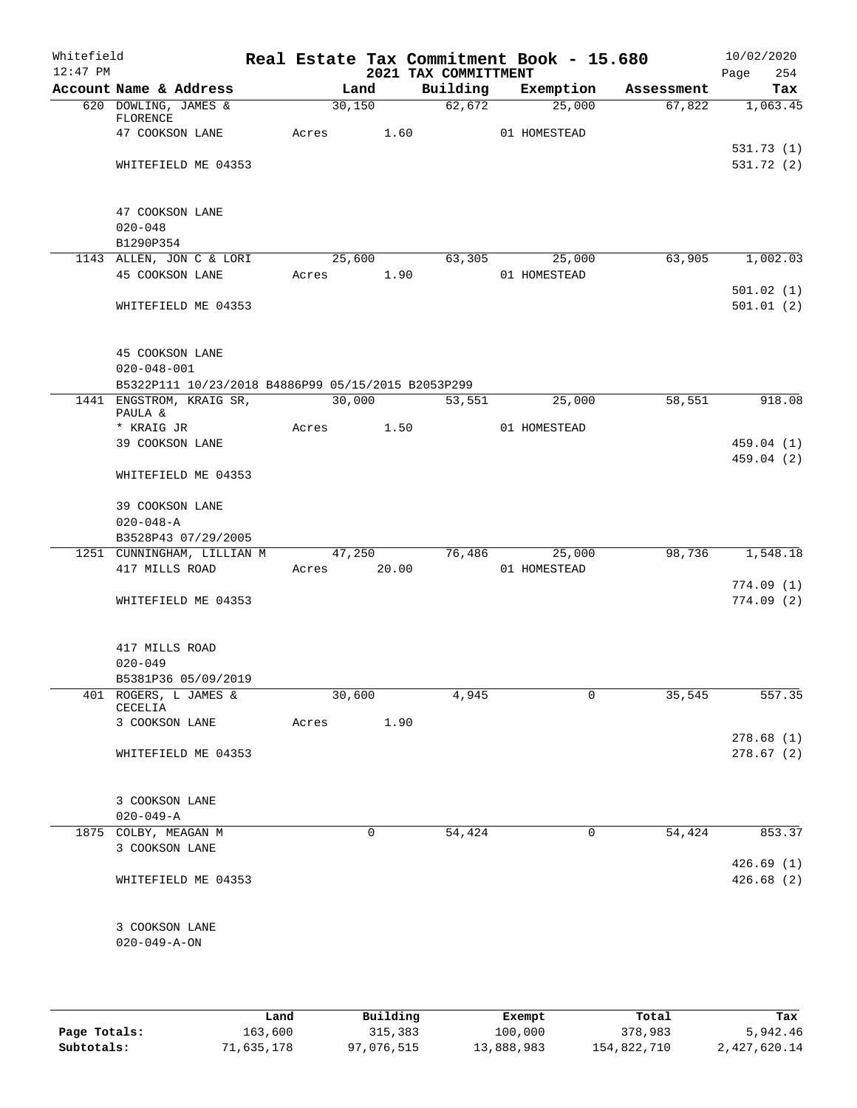| Whitefield<br>$12:47$ PM |                                                    |             |        |        | 2021 TAX COMMITTMENT | Real Estate Tax Commitment Book - 15.680 |            | 10/02/2020<br>254<br>Page |
|--------------------------|----------------------------------------------------|-------------|--------|--------|----------------------|------------------------------------------|------------|---------------------------|
|                          | Account Name & Address                             |             | Land   |        | Building             | Exemption                                | Assessment | Tax                       |
|                          | 620 DOWLING, JAMES &<br>FLORENCE                   |             | 30,150 |        | 62,672               | 25,000                                   | 67,822     | 1,063.45                  |
|                          | 47 COOKSON LANE                                    | Acres       |        | 1.60   |                      | 01 HOMESTEAD                             |            |                           |
|                          |                                                    |             |        |        |                      |                                          |            | 531.73 (1)                |
|                          | WHITEFIELD ME 04353                                |             |        |        |                      |                                          |            | 531.72 (2)                |
|                          | 47 COOKSON LANE                                    |             |        |        |                      |                                          |            |                           |
|                          | $020 - 048$                                        |             |        |        |                      |                                          |            |                           |
|                          | B1290P354                                          |             |        |        |                      |                                          |            |                           |
|                          | 1143 ALLEN, JON C & LORI                           |             |        | 25,600 | 63,305               | 25,000                                   | 63,905     | 1,002.03                  |
|                          | 45 COOKSON LANE                                    | Acres       |        | 1.90   |                      | 01 HOMESTEAD                             |            |                           |
|                          |                                                    |             |        |        |                      |                                          |            | 501.02(1)                 |
|                          | WHITEFIELD ME 04353                                |             |        |        |                      |                                          |            | 501.01(2)                 |
|                          | 45 COOKSON LANE                                    |             |        |        |                      |                                          |            |                           |
|                          | $020 - 048 - 001$                                  |             |        |        |                      |                                          |            |                           |
|                          | B5322P111 10/23/2018 B4886P99 05/15/2015 B2053P299 |             |        |        |                      |                                          |            |                           |
|                          | 1441 ENGSTROM, KRAIG SR,                           |             | 30,000 |        | 53,551               | 25,000                                   | 58,551     | 918.08                    |
|                          | PAULA &<br>* KRAIG JR                              | Acres 1.50  |        |        |                      | 01 HOMESTEAD                             |            |                           |
|                          | 39 COOKSON LANE                                    |             |        |        |                      |                                          |            | 459.04 (1)                |
|                          |                                                    |             |        |        |                      |                                          |            | 459.04(2)                 |
|                          | WHITEFIELD ME 04353                                |             |        |        |                      |                                          |            |                           |
|                          | 39 COOKSON LANE                                    |             |        |        |                      |                                          |            |                           |
|                          | $020 - 048 - A$                                    |             |        |        |                      |                                          |            |                           |
|                          | B3528P43 07/29/2005                                |             |        |        |                      |                                          |            |                           |
|                          | 1251 CUNNINGHAM, LILLIAN M                         |             |        | 47,250 | 76,486               | 25,000                                   | 98,736     | 1,548.18                  |
|                          | 417 MILLS ROAD                                     | Acres 20.00 |        |        |                      | 01 HOMESTEAD                             |            |                           |
|                          |                                                    |             |        |        |                      |                                          |            | 774.09(1)                 |
|                          | WHITEFIELD ME 04353                                |             |        |        |                      |                                          |            | 774.09(2)                 |
|                          | 417 MILLS ROAD                                     |             |        |        |                      |                                          |            |                           |
|                          | $020 - 049$                                        |             |        |        |                      |                                          |            |                           |
|                          | B5381P36 05/09/2019                                |             |        |        |                      |                                          |            |                           |
|                          | 401 ROGERS, L JAMES &<br>CECELIA                   |             | 30,600 |        | 4,945                | 0                                        | 35,545     | 557.35                    |
|                          | 3 COOKSON LANE                                     | Acres       |        | 1.90   |                      |                                          |            |                           |
|                          |                                                    |             |        |        |                      |                                          |            | 278.68(1)                 |
|                          | WHITEFIELD ME 04353                                |             |        |        |                      |                                          |            | 278.67(2)                 |
|                          |                                                    |             |        |        |                      |                                          |            |                           |
|                          | 3 COOKSON LANE                                     |             |        |        |                      |                                          |            |                           |
|                          | $020 - 049 - A$                                    |             |        |        |                      |                                          |            |                           |
|                          | 1875 COLBY, MEAGAN M                               |             |        | 0      | 54,424               | 0                                        | 54,424     | 853.37                    |
|                          | 3 COOKSON LANE                                     |             |        |        |                      |                                          |            |                           |
|                          | WHITEFIELD ME 04353                                |             |        |        |                      |                                          |            | 426.69(1)<br>426.68(2)    |
|                          |                                                    |             |        |        |                      |                                          |            |                           |
|                          | 3 COOKSON LANE                                     |             |        |        |                      |                                          |            |                           |
|                          | $020 - 049 - A - ON$                               |             |        |        |                      |                                          |            |                           |
|                          |                                                    |             |        |        |                      |                                          |            |                           |
|                          |                                                    |             |        |        |                      |                                          |            |                           |

|              | Land       | Building   | Exempt     | Total       | Tax          |
|--------------|------------|------------|------------|-------------|--------------|
| Page Totals: | 163,600    | 315,383    | 100,000    | 378,983     | 5,942.46     |
| Subtotals:   | 71,635,178 | 97,076,515 | 13,888,983 | 154,822,710 | 2,427,620.14 |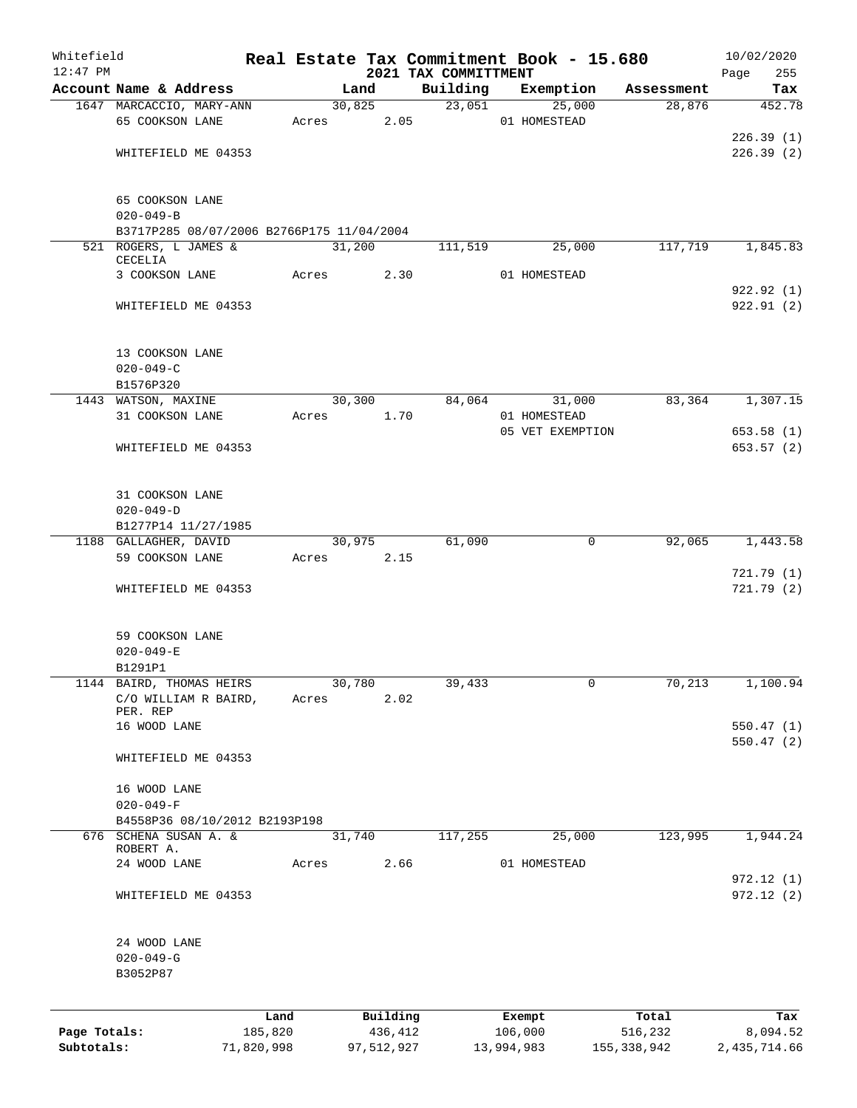| Whitefield   |                                           |            |       |        |            |                                  | Real Estate Tax Commitment Book - 15.680 |                      | 10/02/2020             |
|--------------|-------------------------------------------|------------|-------|--------|------------|----------------------------------|------------------------------------------|----------------------|------------------------|
| $12:47$ PM   | Account Name & Address                    |            |       | Land   |            | 2021 TAX COMMITTMENT<br>Building | Exemption                                |                      | Page<br>255<br>Tax     |
|              | 1647 MARCACCIO, MARY-ANN                  |            |       | 30,825 |            | 23,051                           | 25,000                                   | Assessment<br>28,876 | 452.78                 |
|              | 65 COOKSON LANE                           |            | Acres |        | 2.05       |                                  | 01 HOMESTEAD                             |                      |                        |
|              |                                           |            |       |        |            |                                  |                                          |                      | 226.39(1)              |
|              | WHITEFIELD ME 04353                       |            |       |        |            |                                  |                                          |                      | 226.39(2)              |
|              |                                           |            |       |        |            |                                  |                                          |                      |                        |
|              | 65 COOKSON LANE                           |            |       |        |            |                                  |                                          |                      |                        |
|              | $020 - 049 - B$                           |            |       |        |            |                                  |                                          |                      |                        |
|              | B3717P285 08/07/2006 B2766P175 11/04/2004 |            |       |        |            |                                  |                                          |                      |                        |
|              | 521 ROGERS, L JAMES &<br>CECELIA          |            |       | 31,200 |            | 111,519                          | 25,000                                   | 117,719              | 1,845.83               |
|              | 3 COOKSON LANE                            |            | Acres |        | 2.30       |                                  | 01 HOMESTEAD                             |                      |                        |
|              |                                           |            |       |        |            |                                  |                                          |                      | 922.92(1)              |
|              | WHITEFIELD ME 04353                       |            |       |        |            |                                  |                                          |                      | 922.91(2)              |
|              |                                           |            |       |        |            |                                  |                                          |                      |                        |
|              | 13 COOKSON LANE<br>$020 - 049 - C$        |            |       |        |            |                                  |                                          |                      |                        |
|              | B1576P320                                 |            |       |        |            |                                  |                                          |                      |                        |
|              | 1443 WATSON, MAXINE                       |            |       | 30,300 |            | 84,064                           | 31,000                                   | 83,364               | 1,307.15               |
|              | 31 COOKSON LANE                           |            | Acres |        | 1.70       |                                  | 01 HOMESTEAD                             |                      |                        |
|              |                                           |            |       |        |            |                                  | 05 VET EXEMPTION                         |                      | 653.58(1)              |
|              | WHITEFIELD ME 04353                       |            |       |        |            |                                  |                                          |                      | 653.57 (2)             |
|              |                                           |            |       |        |            |                                  |                                          |                      |                        |
|              | 31 COOKSON LANE                           |            |       |        |            |                                  |                                          |                      |                        |
|              | $020 - 049 - D$                           |            |       |        |            |                                  |                                          |                      |                        |
|              | B1277P14 11/27/1985                       |            |       |        |            |                                  |                                          |                      |                        |
|              | 1188 GALLAGHER, DAVID                     |            |       | 30,975 |            | 61,090                           | 0                                        | 92,065               | 1,443.58               |
|              | 59 COOKSON LANE                           |            | Acres |        | 2.15       |                                  |                                          |                      |                        |
|              | WHITEFIELD ME 04353                       |            |       |        |            |                                  |                                          |                      | 721.79(1)<br>721.79(2) |
|              |                                           |            |       |        |            |                                  |                                          |                      |                        |
|              | 59 COOKSON LANE                           |            |       |        |            |                                  |                                          |                      |                        |
|              | $020 - 049 - E$                           |            |       |        |            |                                  |                                          |                      |                        |
|              | B1291P1                                   |            |       |        |            |                                  |                                          |                      |                        |
|              | 1144 BAIRD, THOMAS HEIRS                  |            |       | 30,780 |            | 39,433                           | 0                                        | 70,213               | 1,100.94               |
|              | C/O WILLIAM R BAIRD,<br>PER. REP          |            | Acres |        | 2.02       |                                  |                                          |                      |                        |
|              | 16 WOOD LANE                              |            |       |        |            |                                  |                                          |                      | 550.47(1)              |
|              |                                           |            |       |        |            |                                  |                                          |                      | 550.47(2)              |
|              | WHITEFIELD ME 04353                       |            |       |        |            |                                  |                                          |                      |                        |
|              | 16 WOOD LANE                              |            |       |        |            |                                  |                                          |                      |                        |
|              | $020 - 049 - F$                           |            |       |        |            |                                  |                                          |                      |                        |
|              | B4558P36 08/10/2012 B2193P198             |            |       |        |            |                                  |                                          |                      |                        |
|              | 676 SCHENA SUSAN A. &                     |            |       | 31,740 |            | 117,255                          | 25,000                                   | 123,995              | 1,944.24               |
|              | ROBERT A.                                 |            |       |        |            |                                  |                                          |                      |                        |
|              | 24 WOOD LANE                              |            | Acres |        | 2.66       |                                  | 01 HOMESTEAD                             |                      | 972.12(1)              |
|              | WHITEFIELD ME 04353                       |            |       |        |            |                                  |                                          |                      | 972.12(2)              |
|              |                                           |            |       |        |            |                                  |                                          |                      |                        |
|              | 24 WOOD LANE                              |            |       |        |            |                                  |                                          |                      |                        |
|              | $020 - 049 - G$<br>B3052P87               |            |       |        |            |                                  |                                          |                      |                        |
|              |                                           |            |       |        |            |                                  |                                          |                      |                        |
|              |                                           | Land       |       |        | Building   |                                  | Exempt                                   | Total                | Tax                    |
| Page Totals: |                                           | 185,820    |       |        | 436,412    |                                  | 106,000                                  | 516,232              | 8,094.52               |
| Subtotals:   |                                           | 71,820,998 |       |        | 97,512,927 |                                  | 13,994,983                               | 155, 338, 942        | 2,435,714.66           |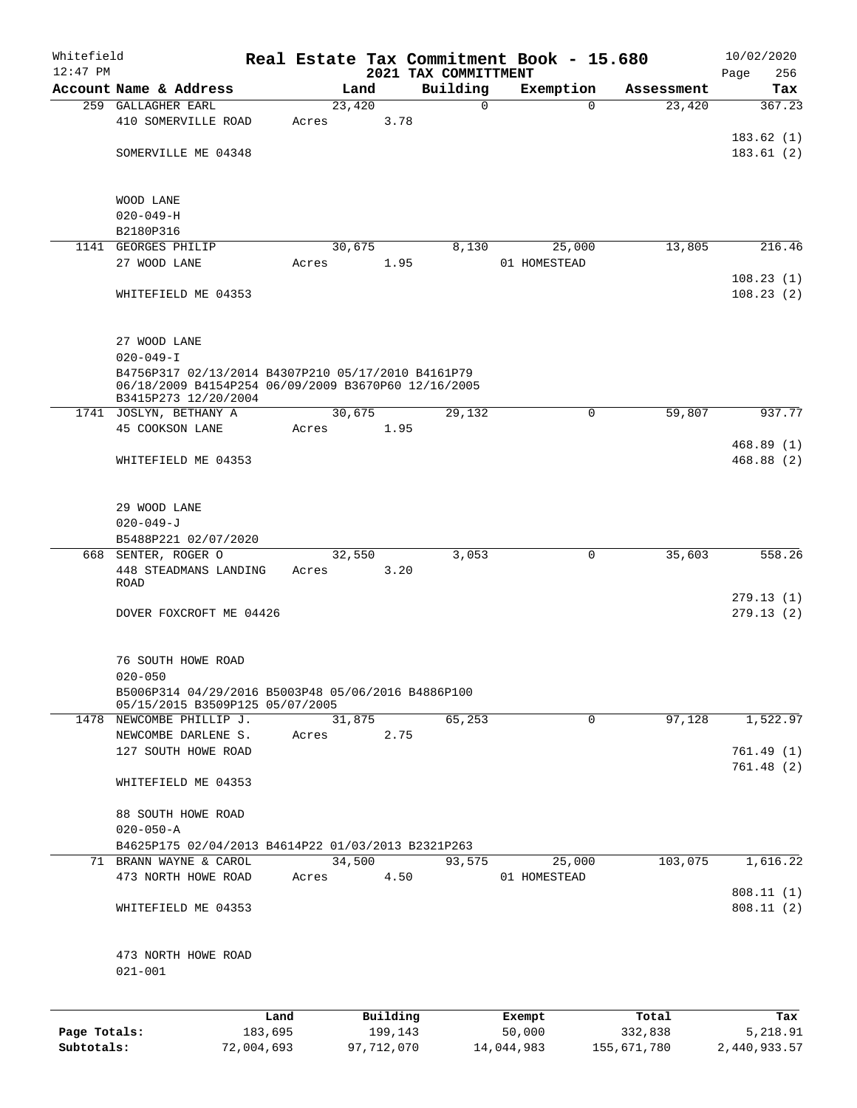| Whitefield   |                                                     |            |       |        |            | Real Estate Tax Commitment Book - 15.680 |                  |          |             |              | 10/02/2020 |
|--------------|-----------------------------------------------------|------------|-------|--------|------------|------------------------------------------|------------------|----------|-------------|--------------|------------|
| $12:47$ PM   | Account Name & Address                              |            |       | Land   |            | 2021 TAX COMMITTMENT<br>Building         | Exemption        |          | Assessment  | Page         | 256<br>Tax |
|              | 259 GALLAGHER EARL                                  |            |       | 23,420 |            | $\mathbf 0$                              |                  | $\Omega$ | 23,420      |              | 367.23     |
|              | 410 SOMERVILLE ROAD                                 |            | Acres |        | 3.78       |                                          |                  |          |             |              |            |
|              |                                                     |            |       |        |            |                                          |                  |          |             |              | 183.62(1)  |
|              | SOMERVILLE ME 04348                                 |            |       |        |            |                                          |                  |          |             |              | 183.61(2)  |
|              |                                                     |            |       |        |            |                                          |                  |          |             |              |            |
|              |                                                     |            |       |        |            |                                          |                  |          |             |              |            |
|              | WOOD LANE<br>$020 - 049 - H$                        |            |       |        |            |                                          |                  |          |             |              |            |
|              | B2180P316                                           |            |       |        |            |                                          |                  |          |             |              |            |
|              | 1141 GEORGES PHILIP                                 |            |       | 30,675 |            | 8,130                                    |                  | 25,000   | 13,805      |              | 216.46     |
|              | 27 WOOD LANE                                        |            | Acres |        | 1.95       |                                          | 01 HOMESTEAD     |          |             |              |            |
|              |                                                     |            |       |        |            |                                          |                  |          |             |              | 108.23(1)  |
|              | WHITEFIELD ME 04353                                 |            |       |        |            |                                          |                  |          |             |              | 108.23(2)  |
|              |                                                     |            |       |        |            |                                          |                  |          |             |              |            |
|              |                                                     |            |       |        |            |                                          |                  |          |             |              |            |
|              | 27 WOOD LANE<br>$020 - 049 - I$                     |            |       |        |            |                                          |                  |          |             |              |            |
|              | B4756P317 02/13/2014 B4307P210 05/17/2010 B4161P79  |            |       |        |            |                                          |                  |          |             |              |            |
|              | 06/18/2009 B4154P254 06/09/2009 B3670P60 12/16/2005 |            |       |        |            |                                          |                  |          |             |              |            |
|              | B3415P273 12/20/2004                                |            |       |        |            |                                          |                  |          |             |              |            |
|              | 1741 JOSLYN, BETHANY A<br>45 COOKSON LANE           |            |       | 30,675 |            | 29,132                                   |                  | 0        | 59,807      |              | 937.77     |
|              |                                                     |            | Acres |        | 1.95       |                                          |                  |          |             |              | 468.89(1)  |
|              | WHITEFIELD ME 04353                                 |            |       |        |            |                                          |                  |          |             |              | 468.88(2)  |
|              |                                                     |            |       |        |            |                                          |                  |          |             |              |            |
|              |                                                     |            |       |        |            |                                          |                  |          |             |              |            |
|              | 29 WOOD LANE                                        |            |       |        |            |                                          |                  |          |             |              |            |
|              | $020 - 049 - J$                                     |            |       |        |            |                                          |                  |          |             |              |            |
|              | B5488P221 02/07/2020                                |            |       |        |            |                                          |                  |          |             |              |            |
|              | 668 SENTER, ROGER O                                 |            |       | 32,550 |            | 3,053                                    |                  | 0        | 35,603      |              | 558.26     |
|              | 448 STEADMANS LANDING<br>ROAD                       |            | Acres |        | 3.20       |                                          |                  |          |             |              |            |
|              |                                                     |            |       |        |            |                                          |                  |          |             |              | 279.13(1)  |
|              | DOVER FOXCROFT ME 04426                             |            |       |        |            |                                          |                  |          |             |              | 279.13(2)  |
|              |                                                     |            |       |        |            |                                          |                  |          |             |              |            |
|              |                                                     |            |       |        |            |                                          |                  |          |             |              |            |
|              | 76 SOUTH HOWE ROAD<br>$020 - 050$                   |            |       |        |            |                                          |                  |          |             |              |            |
|              | B5006P314 04/29/2016 B5003P48 05/06/2016 B4886P100  |            |       |        |            |                                          |                  |          |             |              |            |
|              | 05/15/2015 B3509P125 05/07/2005                     |            |       |        |            |                                          |                  |          |             |              |            |
|              | 1478 NEWCOMBE PHILLIP J.                            |            |       | 31,875 |            | 65,253                                   |                  | 0        | 97,128      |              | 1,522.97   |
|              | NEWCOMBE DARLENE S.                                 |            | Acres |        | 2.75       |                                          |                  |          |             |              |            |
|              | 127 SOUTH HOWE ROAD                                 |            |       |        |            |                                          |                  |          |             |              | 761.49(1)  |
|              | WHITEFIELD ME 04353                                 |            |       |        |            |                                          |                  |          |             |              | 761.48(2)  |
|              |                                                     |            |       |        |            |                                          |                  |          |             |              |            |
|              | 88 SOUTH HOWE ROAD                                  |            |       |        |            |                                          |                  |          |             |              |            |
|              | $020 - 050 - A$                                     |            |       |        |            |                                          |                  |          |             |              |            |
|              | B4625P175 02/04/2013 B4614P22 01/03/2013 B2321P263  |            |       |        |            |                                          |                  |          |             |              |            |
|              | 71 BRANN WAYNE & CAROL                              |            |       | 34,500 |            | 93,575                                   |                  | 25,000   | 103,075     |              | 1,616.22   |
|              | 473 NORTH HOWE ROAD                                 |            | Acres |        | 4.50       |                                          | 01 HOMESTEAD     |          |             |              |            |
|              |                                                     |            |       |        |            |                                          |                  |          |             |              | 808.11(1)  |
|              | WHITEFIELD ME 04353                                 |            |       |        |            |                                          |                  |          |             |              | 808.11(2)  |
|              |                                                     |            |       |        |            |                                          |                  |          |             |              |            |
|              | 473 NORTH HOWE ROAD                                 |            |       |        |            |                                          |                  |          |             |              |            |
|              | $021 - 001$                                         |            |       |        |            |                                          |                  |          |             |              |            |
|              |                                                     |            |       |        |            |                                          |                  |          |             |              |            |
|              |                                                     | Land       |       |        | Building   |                                          |                  |          | Total       |              | Tax        |
| Page Totals: |                                                     | 183,695    |       |        | 199,143    |                                          | Exempt<br>50,000 |          | 332,838     |              | 5,218.91   |
| Subtotals:   |                                                     | 72,004,693 |       |        | 97,712,070 |                                          | 14,044,983       |          | 155,671,780 | 2,440,933.57 |            |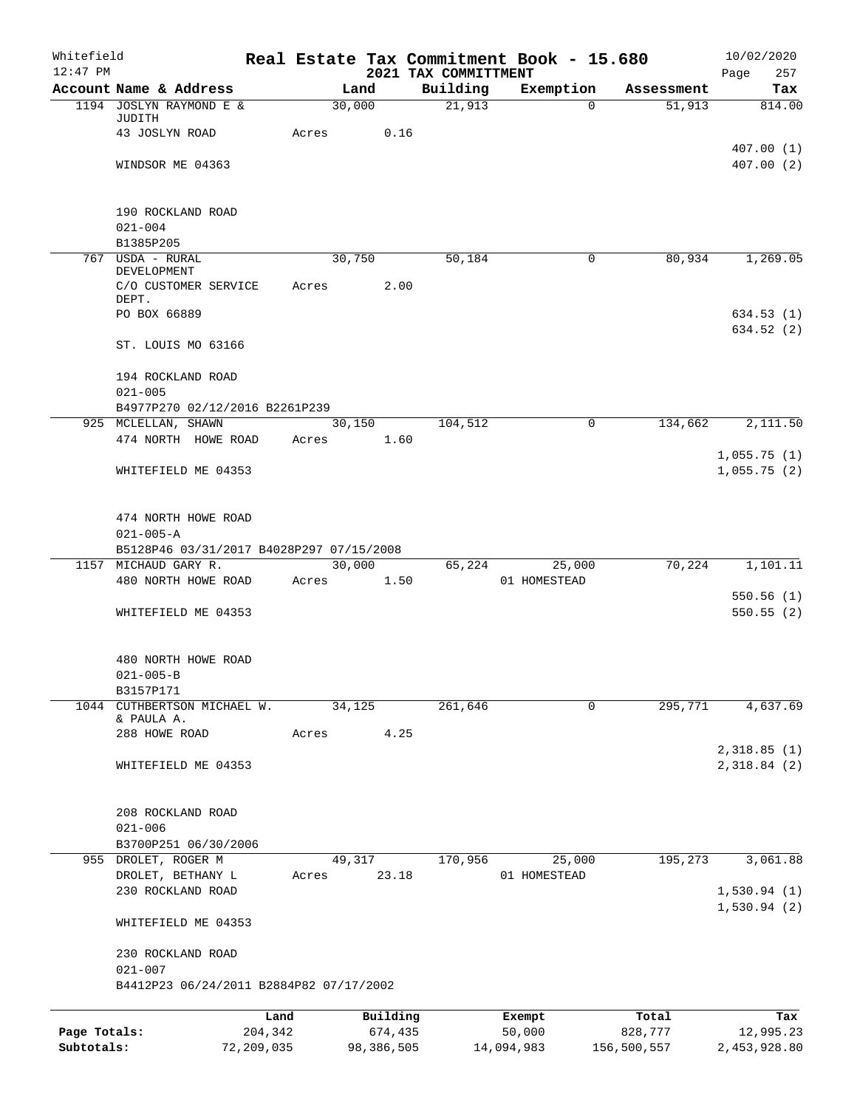| Whitefield<br>$12:47$ PM |                                                             |                 |        |                     | 2021 TAX COMMITTMENT | Real Estate Tax Commitment Book - 15.680 |                  | 10/02/2020<br>257<br>Page |  |  |  |  |
|--------------------------|-------------------------------------------------------------|-----------------|--------|---------------------|----------------------|------------------------------------------|------------------|---------------------------|--|--|--|--|
|                          | Account Name & Address                                      |                 | Land   |                     | Building             | Exemption                                | Assessment       | Tax                       |  |  |  |  |
|                          | 1194 JOSLYN RAYMOND E &                                     |                 | 30,000 |                     | $\overline{21,913}$  | $\Omega$                                 | 51,913           | 814.00                    |  |  |  |  |
|                          | JUDITH                                                      |                 |        |                     |                      |                                          |                  |                           |  |  |  |  |
|                          | 43 JOSLYN ROAD                                              | Acres           |        | 0.16                |                      |                                          |                  | 407.00(1)                 |  |  |  |  |
|                          | WINDSOR ME 04363                                            |                 |        |                     |                      |                                          |                  | 407.00(2)                 |  |  |  |  |
|                          |                                                             |                 |        |                     |                      |                                          |                  |                           |  |  |  |  |
|                          |                                                             |                 |        |                     |                      |                                          |                  |                           |  |  |  |  |
|                          | 190 ROCKLAND ROAD                                           |                 |        |                     |                      |                                          |                  |                           |  |  |  |  |
|                          | $021 - 004$                                                 |                 |        |                     |                      |                                          |                  |                           |  |  |  |  |
|                          | B1385P205<br>767 USDA - RURAL                               |                 | 30,750 |                     | 50,184               | 0                                        | 80,934           | 1,269.05                  |  |  |  |  |
|                          | DEVELOPMENT                                                 |                 |        |                     |                      |                                          |                  |                           |  |  |  |  |
|                          | C/O CUSTOMER SERVICE                                        | Acres           |        | 2.00                |                      |                                          |                  |                           |  |  |  |  |
|                          | DEPT.<br>PO BOX 66889                                       |                 |        |                     |                      |                                          |                  | 634.53(1)                 |  |  |  |  |
|                          |                                                             |                 |        |                     |                      |                                          |                  | 634.52(2)                 |  |  |  |  |
|                          | ST. LOUIS MO 63166                                          |                 |        |                     |                      |                                          |                  |                           |  |  |  |  |
|                          | 194 ROCKLAND ROAD                                           |                 |        |                     |                      |                                          |                  |                           |  |  |  |  |
|                          | $021 - 005$                                                 |                 |        |                     |                      |                                          |                  |                           |  |  |  |  |
|                          | B4977P270 02/12/2016 B2261P239                              |                 |        |                     |                      |                                          |                  |                           |  |  |  |  |
|                          | 925 MCLELLAN, SHAWN<br>474 NORTH HOWE ROAD                  | Acres           | 30,150 | 1.60                | 104,512              | $\mathbf 0$                              | 134,662          | 2,111.50                  |  |  |  |  |
|                          |                                                             |                 |        |                     |                      |                                          |                  | 1,055.75(1)               |  |  |  |  |
|                          | WHITEFIELD ME 04353                                         |                 |        |                     |                      |                                          |                  | 1,055.75(2)               |  |  |  |  |
|                          |                                                             |                 |        |                     |                      |                                          |                  |                           |  |  |  |  |
|                          | 474 NORTH HOWE ROAD                                         |                 |        |                     |                      |                                          |                  |                           |  |  |  |  |
|                          | $021 - 005 - A$<br>B5128P46 03/31/2017 B4028P297 07/15/2008 |                 |        |                     |                      |                                          |                  |                           |  |  |  |  |
|                          | 1157 MICHAUD GARY R.                                        |                 | 30,000 |                     | 65,224               | 25,000                                   | 70,224           | 1,101.11                  |  |  |  |  |
|                          | 480 NORTH HOWE ROAD                                         | Acres           |        | 1.50                |                      | 01 HOMESTEAD                             |                  |                           |  |  |  |  |
|                          |                                                             |                 |        |                     |                      |                                          |                  | 550.56(1)                 |  |  |  |  |
|                          | WHITEFIELD ME 04353                                         |                 |        |                     |                      |                                          |                  | 550.55(2)                 |  |  |  |  |
|                          | 480 NORTH HOWE ROAD                                         |                 |        |                     |                      |                                          |                  |                           |  |  |  |  |
|                          | $021 - 005 - B$                                             |                 |        |                     |                      |                                          |                  |                           |  |  |  |  |
|                          | B3157P171                                                   |                 |        |                     |                      |                                          |                  |                           |  |  |  |  |
| 1044                     | CUTHBERTSON MICHAEL W.                                      |                 | 34,125 |                     | 261,646              | 0                                        | 295,771          | 4,637.69                  |  |  |  |  |
|                          | & PAULA A.<br>288 HOWE ROAD                                 | Acres           |        | 4.25                |                      |                                          |                  |                           |  |  |  |  |
|                          |                                                             |                 |        |                     |                      |                                          |                  | 2,318.85(1)               |  |  |  |  |
|                          | WHITEFIELD ME 04353                                         |                 |        |                     |                      |                                          |                  | 2,318.84(2)               |  |  |  |  |
|                          |                                                             |                 |        |                     |                      |                                          |                  |                           |  |  |  |  |
|                          | 208 ROCKLAND ROAD<br>$021 - 006$                            |                 |        |                     |                      |                                          |                  |                           |  |  |  |  |
|                          | B3700P251 06/30/2006                                        |                 |        |                     |                      |                                          |                  |                           |  |  |  |  |
|                          | 955 DROLET, ROGER M                                         |                 | 49,317 |                     | 170,956              | 25,000                                   | 195,273          | 3,061.88                  |  |  |  |  |
|                          | DROLET, BETHANY L                                           | Acres           |        | 23.18               |                      | 01 HOMESTEAD                             |                  |                           |  |  |  |  |
|                          | 230 ROCKLAND ROAD                                           |                 |        |                     |                      |                                          |                  | 1,530.94(1)               |  |  |  |  |
|                          | WHITEFIELD ME 04353                                         |                 |        |                     |                      |                                          |                  | 1,530.94(2)               |  |  |  |  |
|                          | 230 ROCKLAND ROAD                                           |                 |        |                     |                      |                                          |                  |                           |  |  |  |  |
|                          | $021 - 007$<br>B4412P23 06/24/2011 B2884P82 07/17/2002      |                 |        |                     |                      |                                          |                  |                           |  |  |  |  |
|                          |                                                             |                 |        |                     |                      |                                          |                  |                           |  |  |  |  |
| Page Totals:             |                                                             | Land<br>204,342 |        | Building<br>674,435 |                      | Exempt<br>50,000                         | Total<br>828,777 | Tax<br>12,995.23          |  |  |  |  |
| Subtotals:               | 72,209,035                                                  |                 |        | 98,386,505          |                      | 14,094,983                               | 156,500,557      | 2,453,928.80              |  |  |  |  |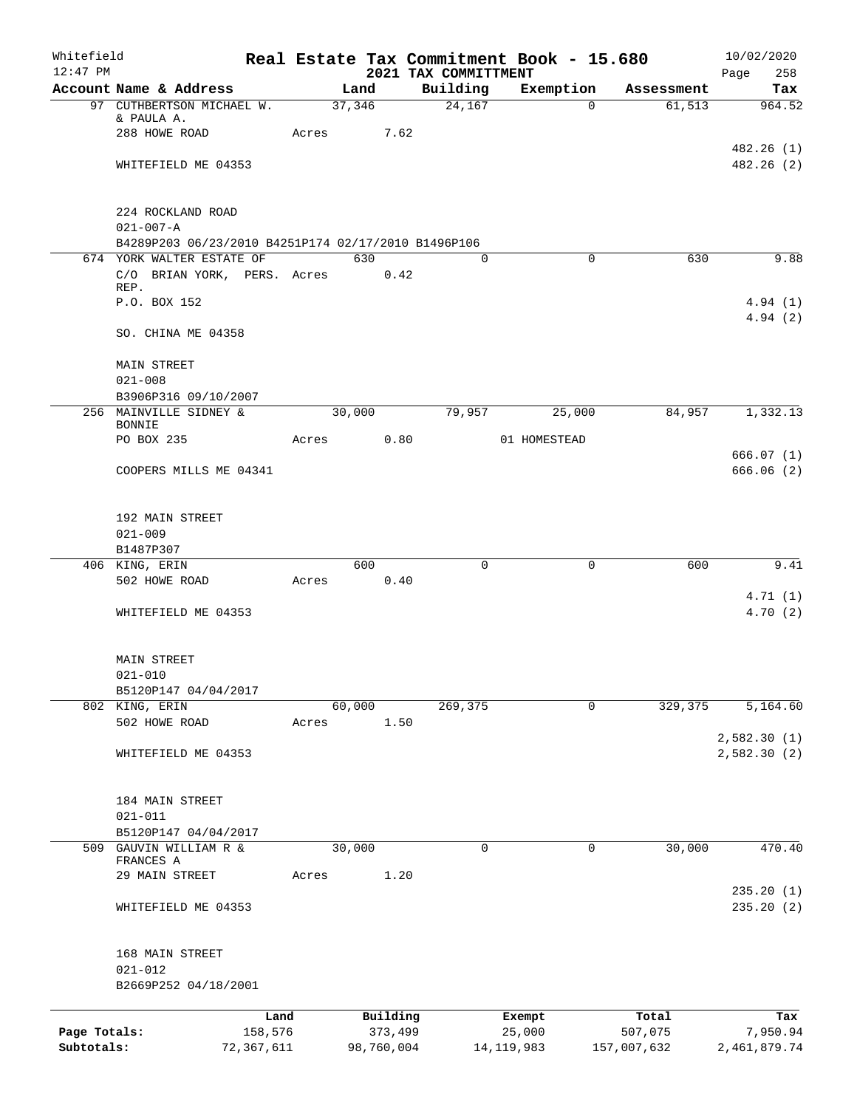| Whitefield   |                                                     |            |       |            |            |                                  | Real Estate Tax Commitment Book - 15.680 |                      | 10/02/2020             |
|--------------|-----------------------------------------------------|------------|-------|------------|------------|----------------------------------|------------------------------------------|----------------------|------------------------|
| $12:47$ PM   | Account Name & Address                              |            |       | Land       |            | 2021 TAX COMMITTMENT<br>Building |                                          |                      | Page<br>258            |
|              | 97 CUTHBERTSON MICHAEL W.                           |            |       | 37,346     |            | 24,167                           | Exemption<br>$\overline{0}$              | Assessment<br>61,513 | Tax<br>964.52          |
|              | & PAULA A.                                          |            |       |            |            |                                  |                                          |                      |                        |
|              | 288 HOWE ROAD                                       |            |       | Acres 7.62 |            |                                  |                                          |                      |                        |
|              |                                                     |            |       |            |            |                                  |                                          |                      | 482.26(1)              |
|              | WHITEFIELD ME 04353                                 |            |       |            |            |                                  |                                          |                      | 482.26(2)              |
|              | 224 ROCKLAND ROAD                                   |            |       |            |            |                                  |                                          |                      |                        |
|              | $021 - 007 - A$                                     |            |       |            |            |                                  |                                          |                      |                        |
|              | B4289P203 06/23/2010 B4251P174 02/17/2010 B1496P106 |            |       |            |            |                                  |                                          |                      |                        |
|              | 674 YORK WALTER ESTATE OF                           |            |       | 630        |            | $\Omega$                         | $\Omega$                                 | 630                  | 9.88                   |
|              | C/O BRIAN YORK, PERS. Acres                         |            |       |            | 0.42       |                                  |                                          |                      |                        |
|              | REP.<br>P.O. BOX 152                                |            |       |            |            |                                  |                                          |                      | 4.94(1)                |
|              |                                                     |            |       |            |            |                                  |                                          |                      | 4.94(2)                |
|              | SO. CHINA ME 04358                                  |            |       |            |            |                                  |                                          |                      |                        |
|              | <b>MAIN STREET</b>                                  |            |       |            |            |                                  |                                          |                      |                        |
|              | $021 - 008$                                         |            |       |            |            |                                  |                                          |                      |                        |
|              | B3906P316 09/10/2007<br>256 MAINVILLE SIDNEY &      |            |       | 30,000     |            | 79,957                           | 25,000                                   | 84,957               | 1,332.13               |
|              | <b>BONNIE</b>                                       |            |       |            |            |                                  |                                          |                      |                        |
|              | PO BOX 235                                          |            |       | Acres      | 0.80       |                                  | 01 HOMESTEAD                             |                      |                        |
|              | COOPERS MILLS ME 04341                              |            |       |            |            |                                  |                                          |                      | 666.07(1)<br>666.06(2) |
|              |                                                     |            |       |            |            |                                  |                                          |                      |                        |
|              | 192 MAIN STREET                                     |            |       |            |            |                                  |                                          |                      |                        |
|              | $021 - 009$                                         |            |       |            |            |                                  |                                          |                      |                        |
|              | B1487P307<br>406 KING, ERIN                         |            |       | 600        |            | $\Omega$                         | 0                                        | 600                  | 9.41                   |
|              | 502 HOWE ROAD                                       |            | Acres |            | 0.40       |                                  |                                          |                      |                        |
|              |                                                     |            |       |            |            |                                  |                                          |                      | 4.71(1)                |
|              | WHITEFIELD ME 04353                                 |            |       |            |            |                                  |                                          |                      | 4.70(2)                |
|              | <b>MAIN STREET</b>                                  |            |       |            |            |                                  |                                          |                      |                        |
|              | $021 - 010$                                         |            |       |            |            |                                  |                                          |                      |                        |
|              | B5120P147 04/04/2017                                |            |       |            |            |                                  |                                          |                      |                        |
|              | 802 KING, ERIN                                      |            |       | 60,000     |            | 269,375                          | 0                                        | 329,375              | 5,164.60               |
|              | 502 HOWE ROAD                                       |            | Acres |            | 1.50       |                                  |                                          |                      | 2,582.30(1)            |
|              | WHITEFIELD ME 04353                                 |            |       |            |            |                                  |                                          |                      | 2,582.30 (2)           |
|              | 184 MAIN STREET                                     |            |       |            |            |                                  |                                          |                      |                        |
|              | $021 - 011$                                         |            |       |            |            |                                  |                                          |                      |                        |
|              | B5120P147 04/04/2017                                |            |       |            |            |                                  |                                          |                      |                        |
|              | 509 GAUVIN WILLIAM R &                              |            |       | 30,000     |            | 0                                | 0                                        | 30,000               | 470.40                 |
|              | FRANCES A                                           |            |       |            |            |                                  |                                          |                      |                        |
|              | 29 MAIN STREET                                      |            | Acres |            | 1.20       |                                  |                                          |                      | 235.20(1)              |
|              | WHITEFIELD ME 04353                                 |            |       |            |            |                                  |                                          |                      | 235.20 (2)             |
|              | 168 MAIN STREET                                     |            |       |            |            |                                  |                                          |                      |                        |
|              | $021 - 012$                                         |            |       |            |            |                                  |                                          |                      |                        |
|              | B2669P252 04/18/2001                                |            |       |            |            |                                  |                                          |                      |                        |
|              |                                                     | Land       |       |            | Building   |                                  | Exempt                                   | Total                | Tax                    |
| Page Totals: |                                                     | 158,576    |       |            | 373,499    |                                  | 25,000                                   | 507,075              | 7,950.94               |
| Subtotals:   |                                                     | 72,367,611 |       |            | 98,760,004 |                                  | 14, 119, 983                             | 157,007,632          | 2,461,879.74           |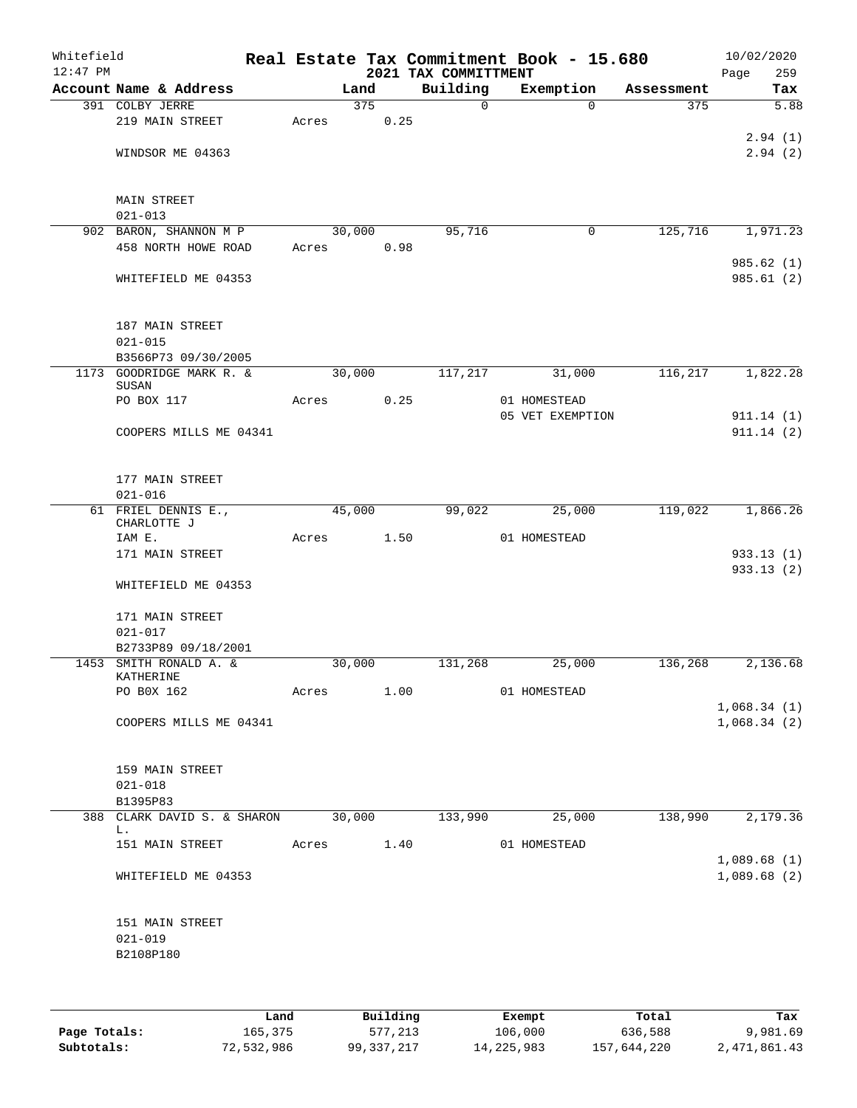| Whitefield<br>$12:47$ PM |                                               |       |        |      | 2021 TAX COMMITTMENT | Real Estate Tax Commitment Book - 15.680 |            | 10/02/2020<br>Page<br>259 |
|--------------------------|-----------------------------------------------|-------|--------|------|----------------------|------------------------------------------|------------|---------------------------|
|                          | Account Name & Address                        |       | Land   |      | Building             | Exemption                                | Assessment | Tax                       |
|                          | 391 COLBY JERRE                               |       | 375    |      | $\mathsf{O}$         | $\Omega$                                 | 375        | 5.88                      |
|                          | 219 MAIN STREET                               | Acres |        | 0.25 |                      |                                          |            |                           |
|                          |                                               |       |        |      |                      |                                          |            | 2.94(1)                   |
|                          | WINDSOR ME 04363                              |       |        |      |                      |                                          |            | 2.94(2)                   |
|                          |                                               |       |        |      |                      |                                          |            |                           |
|                          |                                               |       |        |      |                      |                                          |            |                           |
|                          | <b>MAIN STREET</b><br>$021 - 013$             |       |        |      |                      |                                          |            |                           |
|                          | 902 BARON, SHANNON M P                        |       | 30,000 |      | 95,716               | 0                                        | 125,716    | 1,971.23                  |
|                          | 458 NORTH HOWE ROAD                           | Acres |        | 0.98 |                      |                                          |            |                           |
|                          |                                               |       |        |      |                      |                                          |            | 985.62 (1)                |
|                          | WHITEFIELD ME 04353                           |       |        |      |                      |                                          |            | 985.61 (2)                |
|                          |                                               |       |        |      |                      |                                          |            |                           |
|                          |                                               |       |        |      |                      |                                          |            |                           |
|                          | 187 MAIN STREET                               |       |        |      |                      |                                          |            |                           |
|                          | $021 - 015$                                   |       |        |      |                      |                                          |            |                           |
|                          | B3566P73 09/30/2005                           |       |        |      |                      |                                          |            |                           |
|                          | 1173 GOODRIDGE MARK R. &<br>SUSAN             |       | 30,000 |      | 117,217              | 31,000                                   | 116,217    | 1,822.28                  |
|                          | PO BOX 117                                    | Acres |        | 0.25 |                      | 01 HOMESTEAD                             |            |                           |
|                          |                                               |       |        |      |                      | 05 VET EXEMPTION                         |            | 911.14(1)                 |
|                          | COOPERS MILLS ME 04341                        |       |        |      |                      |                                          |            | 911.14(2)                 |
|                          |                                               |       |        |      |                      |                                          |            |                           |
|                          |                                               |       |        |      |                      |                                          |            |                           |
|                          | 177 MAIN STREET                               |       |        |      |                      |                                          |            |                           |
|                          | $021 - 016$                                   |       |        |      |                      |                                          |            |                           |
|                          | 61 FRIEL DENNIS E.,<br>CHARLOTTE J            |       | 45,000 |      | 99,022               | 25,000                                   | 119,022    | 1,866.26                  |
|                          | IAM E.                                        | Acres |        | 1.50 |                      | 01 HOMESTEAD                             |            |                           |
|                          | 171 MAIN STREET                               |       |        |      |                      |                                          |            | 933.13 (1)                |
|                          |                                               |       |        |      |                      |                                          |            | 933.13(2)                 |
|                          | WHITEFIELD ME 04353                           |       |        |      |                      |                                          |            |                           |
|                          |                                               |       |        |      |                      |                                          |            |                           |
|                          | 171 MAIN STREET                               |       |        |      |                      |                                          |            |                           |
|                          | $021 - 017$                                   |       |        |      |                      |                                          |            |                           |
|                          | B2733P89 09/18/2001<br>1453 SMITH RONALD A. & |       | 30,000 |      | 131,268              | 25,000                                   | 136,268    | 2,136.68                  |
|                          | KATHERINE                                     |       |        |      |                      |                                          |            |                           |
|                          | PO BOX 162                                    | Acres |        | 1.00 |                      | 01 HOMESTEAD                             |            |                           |
|                          |                                               |       |        |      |                      |                                          |            | 1,068.34(1)               |
|                          | COOPERS MILLS ME 04341                        |       |        |      |                      |                                          |            | 1,068.34(2)               |
|                          |                                               |       |        |      |                      |                                          |            |                           |
|                          |                                               |       |        |      |                      |                                          |            |                           |
|                          | 159 MAIN STREET<br>$021 - 018$                |       |        |      |                      |                                          |            |                           |
|                          | B1395P83                                      |       |        |      |                      |                                          |            |                           |
|                          | 388 CLARK DAVID S. & SHARON                   |       | 30,000 |      | 133,990              | 25,000                                   | 138,990    | 2,179.36                  |
|                          | L.                                            |       |        |      |                      |                                          |            |                           |
|                          | 151 MAIN STREET                               |       | Acres  | 1.40 |                      | 01 HOMESTEAD                             |            |                           |
|                          |                                               |       |        |      |                      |                                          |            | 1,089.68(1)               |
|                          | WHITEFIELD ME 04353                           |       |        |      |                      |                                          |            | 1,089.68(2)               |
|                          |                                               |       |        |      |                      |                                          |            |                           |
|                          | 151 MAIN STREET                               |       |        |      |                      |                                          |            |                           |
|                          | $021 - 019$                                   |       |        |      |                      |                                          |            |                           |
|                          | B2108P180                                     |       |        |      |                      |                                          |            |                           |
|                          |                                               |       |        |      |                      |                                          |            |                           |
|                          |                                               |       |        |      |                      |                                          |            |                           |
|                          |                                               |       |        |      |                      |                                          |            |                           |
|                          |                                               |       |        |      |                      |                                          |            |                           |

|              | Land       | Building   | Exempt     | Total       | Tax          |
|--------------|------------|------------|------------|-------------|--------------|
| Page Totals: | 165,375    | 577,213    | 106,000    | 636,588     | 9,981.69     |
| Subtotals:   | 72,532,986 | 99,337,217 | 14,225,983 | 157,644,220 | 2,471,861.43 |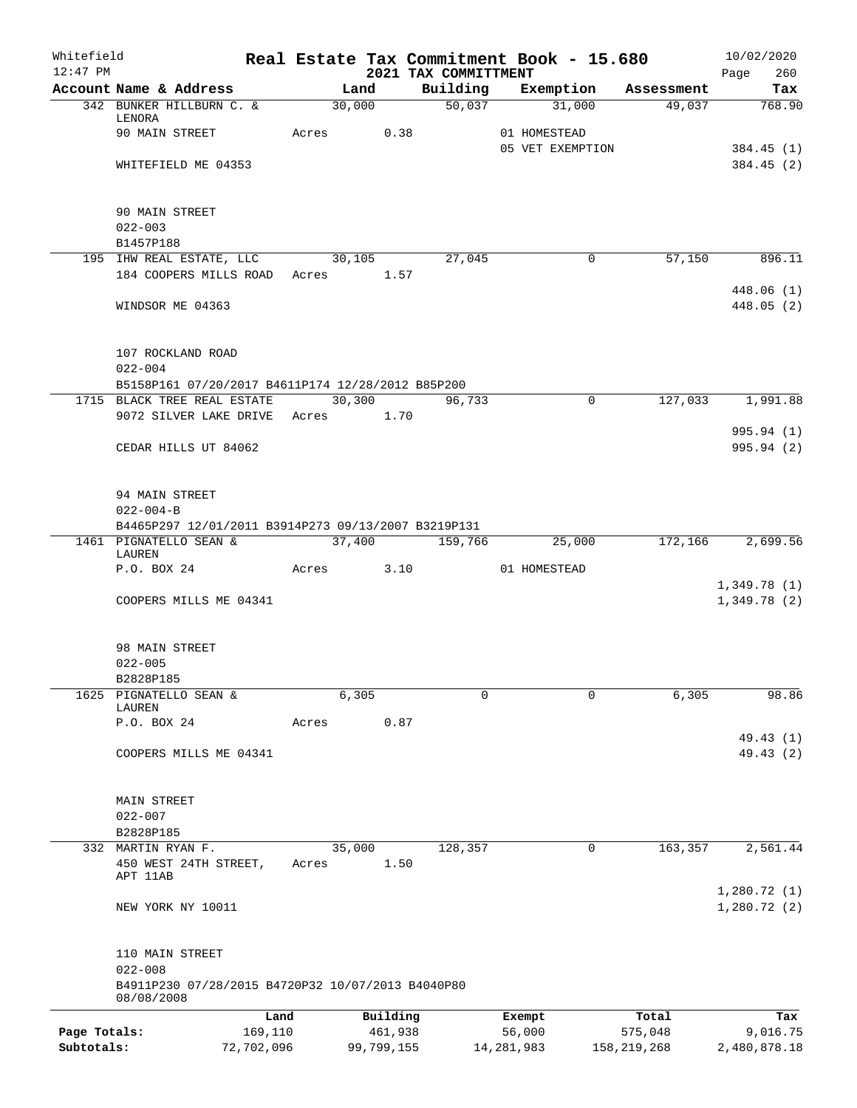| Whitefield<br>$12:47$ PM |                                                                 |       |            |          | 2021 TAX COMMITTMENT |   | Real Estate Tax Commitment Book - 15.680 |               | 10/02/2020                 |
|--------------------------|-----------------------------------------------------------------|-------|------------|----------|----------------------|---|------------------------------------------|---------------|----------------------------|
|                          | Account Name & Address                                          |       | Land       |          | Building             |   | Exemption                                | Assessment    | Page<br>260<br>Tax         |
|                          | 342 BUNKER HILLBURN C. &                                        |       | 30,000     |          | 50,037               |   | 31,000                                   | 49,037        | 768.90                     |
|                          | LENORA                                                          |       |            |          |                      |   |                                          |               |                            |
|                          | 90 MAIN STREET                                                  | Acres |            | 0.38     |                      |   | 01 HOMESTEAD<br>05 VET EXEMPTION         |               |                            |
|                          | WHITEFIELD ME 04353                                             |       |            |          |                      |   |                                          |               | 384.45 (1)<br>384.45(2)    |
|                          |                                                                 |       |            |          |                      |   |                                          |               |                            |
|                          | 90 MAIN STREET                                                  |       |            |          |                      |   |                                          |               |                            |
|                          | $022 - 003$                                                     |       |            |          |                      |   |                                          |               |                            |
|                          | B1457P188                                                       |       |            |          |                      |   |                                          |               |                            |
|                          | 195 IHW REAL ESTATE, LLC                                        |       | 30,105     |          | 27,045               |   | $\mathbf 0$                              | 57,150        | 896.11                     |
|                          | 184 COOPERS MILLS ROAD                                          | Acres | 1.57       |          |                      |   |                                          |               |                            |
|                          | WINDSOR ME 04363                                                |       |            |          |                      |   |                                          |               | 448.06(1)<br>448.05 (2)    |
|                          |                                                                 |       |            |          |                      |   |                                          |               |                            |
|                          | 107 ROCKLAND ROAD<br>$022 - 004$                                |       |            |          |                      |   |                                          |               |                            |
|                          | B5158P161 07/20/2017 B4611P174 12/28/2012 B85P200               |       |            |          |                      |   |                                          |               |                            |
|                          | 1715 BLACK TREE REAL ESTATE                                     |       | 30,300     |          | 96,733               |   | $\mathbf 0$                              | 127,033       | 1,991.88                   |
|                          | 9072 SILVER LAKE DRIVE                                          |       | Acres 1.70 |          |                      |   |                                          |               |                            |
|                          |                                                                 |       |            |          |                      |   |                                          |               | 995.94 (1)                 |
|                          | CEDAR HILLS UT 84062                                            |       |            |          |                      |   |                                          |               | 995.94 (2)                 |
|                          |                                                                 |       |            |          |                      |   |                                          |               |                            |
|                          |                                                                 |       |            |          |                      |   |                                          |               |                            |
|                          | 94 MAIN STREET                                                  |       |            |          |                      |   |                                          |               |                            |
|                          | $022 - 004 - B$                                                 |       |            |          |                      |   |                                          |               |                            |
|                          | B4465P297 12/01/2011 B3914P273 09/13/2007 B3219P131             |       |            |          |                      |   |                                          |               |                            |
|                          | 1461 PIGNATELLO SEAN &<br>LAUREN                                |       | 37,400     |          | 159,766              |   | 25,000                                   | 172,166       | 2,699.56                   |
|                          | P.O. BOX 24                                                     |       | Acres      | 3.10     |                      |   | 01 HOMESTEAD                             |               |                            |
|                          |                                                                 |       |            |          |                      |   |                                          |               | 1,349.78(1)                |
|                          | COOPERS MILLS ME 04341                                          |       |            |          |                      |   |                                          |               | 1,349.78 (2)               |
|                          |                                                                 |       |            |          |                      |   |                                          |               |                            |
|                          | 98 MAIN STREET                                                  |       |            |          |                      |   |                                          |               |                            |
|                          | $022 - 005$<br>B2828P185                                        |       |            |          |                      |   |                                          |               |                            |
| 1625                     | PIGNATELLO SEAN &                                               |       | 6,305      |          |                      | 0 | 0                                        | 6,305         | 98.86                      |
|                          | LAUREN                                                          |       |            |          |                      |   |                                          |               |                            |
|                          | P.O. BOX 24                                                     | Acres |            | 0.87     |                      |   |                                          |               |                            |
|                          |                                                                 |       |            |          |                      |   |                                          |               | 49.43 (1)                  |
|                          | COOPERS MILLS ME 04341                                          |       |            |          |                      |   |                                          |               | 49.43 (2)                  |
|                          | MAIN STREET                                                     |       |            |          |                      |   |                                          |               |                            |
|                          | $022 - 007$                                                     |       |            |          |                      |   |                                          |               |                            |
|                          | B2828P185                                                       |       |            |          |                      |   |                                          |               |                            |
|                          | 332 MARTIN RYAN F.                                              |       | 35,000     |          | 128,357              |   | 0                                        | 163,357       | 2,561.44                   |
|                          | 450 WEST 24TH STREET,                                           | Acres |            | 1.50     |                      |   |                                          |               |                            |
|                          | APT 11AB                                                        |       |            |          |                      |   |                                          |               |                            |
|                          | NEW YORK NY 10011                                               |       |            |          |                      |   |                                          |               | 1,280.72(1)<br>1,280.72(2) |
|                          |                                                                 |       |            |          |                      |   |                                          |               |                            |
|                          | 110 MAIN STREET                                                 |       |            |          |                      |   |                                          |               |                            |
|                          | $022 - 008$                                                     |       |            |          |                      |   |                                          |               |                            |
|                          | B4911P230 07/28/2015 B4720P32 10/07/2013 B4040P80<br>08/08/2008 |       |            |          |                      |   |                                          |               |                            |
|                          |                                                                 | Land  |            | Building |                      |   | Exempt                                   | Total         | Tax                        |
| Page Totals:             | 169,110                                                         |       |            | 461,938  |                      |   | 56,000                                   | 575,048       | 9,016.75                   |
| Subtotals:               | 72,702,096                                                      |       | 99,799,155 |          |                      |   | 14, 281, 983                             | 158, 219, 268 | 2,480,878.18               |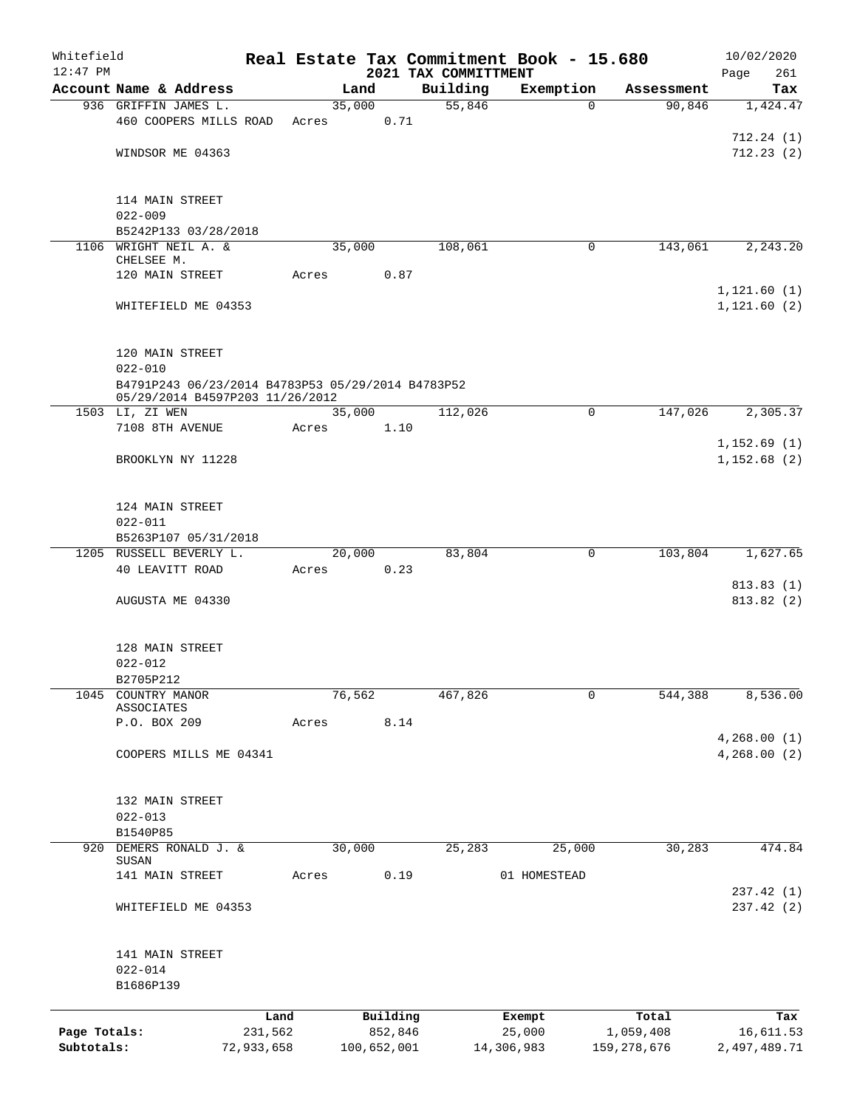| Whitefield   |                                                                                      |            |       |             |      |                                  | Real Estate Tax Commitment Book - 15.680 |               | 10/02/2020         |
|--------------|--------------------------------------------------------------------------------------|------------|-------|-------------|------|----------------------------------|------------------------------------------|---------------|--------------------|
| $12:47$ PM   | Account Name & Address                                                               |            |       | Land        |      | 2021 TAX COMMITTMENT<br>Building | Exemption                                | Assessment    | 261<br>Page<br>Tax |
|              | 936 GRIFFIN JAMES L.                                                                 |            |       | 35,000      |      | 55,846                           | $\mathbf 0$                              | 90,846        | 1,424.47           |
|              | 460 COOPERS MILLS ROAD                                                               |            | Acres |             | 0.71 |                                  |                                          |               |                    |
|              |                                                                                      |            |       |             |      |                                  |                                          |               | 712.24(1)          |
|              | WINDSOR ME 04363                                                                     |            |       |             |      |                                  |                                          |               | 712.23(2)          |
|              |                                                                                      |            |       |             |      |                                  |                                          |               |                    |
|              |                                                                                      |            |       |             |      |                                  |                                          |               |                    |
|              | 114 MAIN STREET<br>$022 - 009$                                                       |            |       |             |      |                                  |                                          |               |                    |
|              | B5242P133 03/28/2018                                                                 |            |       |             |      |                                  |                                          |               |                    |
|              | 1106 WRIGHT NEIL A. &                                                                |            |       | 35,000      |      | 108,061                          | 0                                        | 143,061       | 2, 243.20          |
|              | CHELSEE M.                                                                           |            |       |             |      |                                  |                                          |               |                    |
|              | 120 MAIN STREET                                                                      |            | Acres |             | 0.87 |                                  |                                          |               | 1, 121.60(1)       |
|              | WHITEFIELD ME 04353                                                                  |            |       |             |      |                                  |                                          |               | 1, 121.60 (2)      |
|              |                                                                                      |            |       |             |      |                                  |                                          |               |                    |
|              |                                                                                      |            |       |             |      |                                  |                                          |               |                    |
|              | 120 MAIN STREET                                                                      |            |       |             |      |                                  |                                          |               |                    |
|              | $022 - 010$                                                                          |            |       |             |      |                                  |                                          |               |                    |
|              | B4791P243 06/23/2014 B4783P53 05/29/2014 B4783P52<br>05/29/2014 B4597P203 11/26/2012 |            |       |             |      |                                  |                                          |               |                    |
|              | 1503 LI, ZI WEN                                                                      |            |       | 35,000      |      | 112,026                          | $\mathbf 0$                              | 147,026       | 2,305.37           |
|              | 7108 8TH AVENUE                                                                      |            | Acres |             | 1.10 |                                  |                                          |               |                    |
|              |                                                                                      |            |       |             |      |                                  |                                          |               | 1, 152.69(1)       |
|              | BROOKLYN NY 11228                                                                    |            |       |             |      |                                  |                                          |               | 1,152.68(2)        |
|              |                                                                                      |            |       |             |      |                                  |                                          |               |                    |
|              | 124 MAIN STREET                                                                      |            |       |             |      |                                  |                                          |               |                    |
|              | $022 - 011$                                                                          |            |       |             |      |                                  |                                          |               |                    |
|              | B5263P107 05/31/2018                                                                 |            |       |             |      |                                  |                                          |               |                    |
|              | 1205 RUSSELL BEVERLY L.                                                              |            |       | 20,000      |      | 83,804                           | $\mathbf 0$                              | 103,804       | 1,627.65           |
|              | 40 LEAVITT ROAD                                                                      |            | Acres |             | 0.23 |                                  |                                          |               |                    |
|              |                                                                                      |            |       |             |      |                                  |                                          |               | 813.83 (1)         |
|              | AUGUSTA ME 04330                                                                     |            |       |             |      |                                  |                                          |               | 813.82(2)          |
|              |                                                                                      |            |       |             |      |                                  |                                          |               |                    |
|              | 128 MAIN STREET                                                                      |            |       |             |      |                                  |                                          |               |                    |
|              | $022 - 012$                                                                          |            |       |             |      |                                  |                                          |               |                    |
|              | B2705P212                                                                            |            |       |             |      |                                  |                                          |               |                    |
| 1045         | COUNTRY MANOR<br>ASSOCIATES                                                          |            |       | 76,562      |      | 467,826                          | 0                                        | 544,388       | 8,536.00           |
|              | P.O. BOX 209                                                                         |            | Acres |             | 8.14 |                                  |                                          |               |                    |
|              |                                                                                      |            |       |             |      |                                  |                                          |               | 4,268.00(1)        |
|              | COOPERS MILLS ME 04341                                                               |            |       |             |      |                                  |                                          |               | 4,268.00 (2)       |
|              |                                                                                      |            |       |             |      |                                  |                                          |               |                    |
|              | 132 MAIN STREET                                                                      |            |       |             |      |                                  |                                          |               |                    |
|              | $022 - 013$                                                                          |            |       |             |      |                                  |                                          |               |                    |
|              | B1540P85                                                                             |            |       |             |      |                                  |                                          |               |                    |
|              | 920 DEMERS RONALD J. &                                                               |            |       | 30,000      |      | 25,283                           | 25,000                                   | 30,283        | 474.84             |
|              | SUSAN<br>141 MAIN STREET                                                             |            | Acres |             | 0.19 |                                  | 01 HOMESTEAD                             |               |                    |
|              |                                                                                      |            |       |             |      |                                  |                                          |               | 237.42 (1)         |
|              | WHITEFIELD ME 04353                                                                  |            |       |             |      |                                  |                                          |               | 237.42 (2)         |
|              |                                                                                      |            |       |             |      |                                  |                                          |               |                    |
|              |                                                                                      |            |       |             |      |                                  |                                          |               |                    |
|              | 141 MAIN STREET                                                                      |            |       |             |      |                                  |                                          |               |                    |
|              | $022 - 014$<br>B1686P139                                                             |            |       |             |      |                                  |                                          |               |                    |
|              |                                                                                      |            |       |             |      |                                  |                                          |               |                    |
|              |                                                                                      | Land       |       | Building    |      |                                  | Exempt                                   | Total         | Tax                |
| Page Totals: |                                                                                      | 231,562    |       | 852,846     |      |                                  | 25,000                                   | 1,059,408     | 16,611.53          |
| Subtotals:   |                                                                                      | 72,933,658 |       | 100,652,001 |      |                                  | 14,306,983                               | 159, 278, 676 | 2,497,489.71       |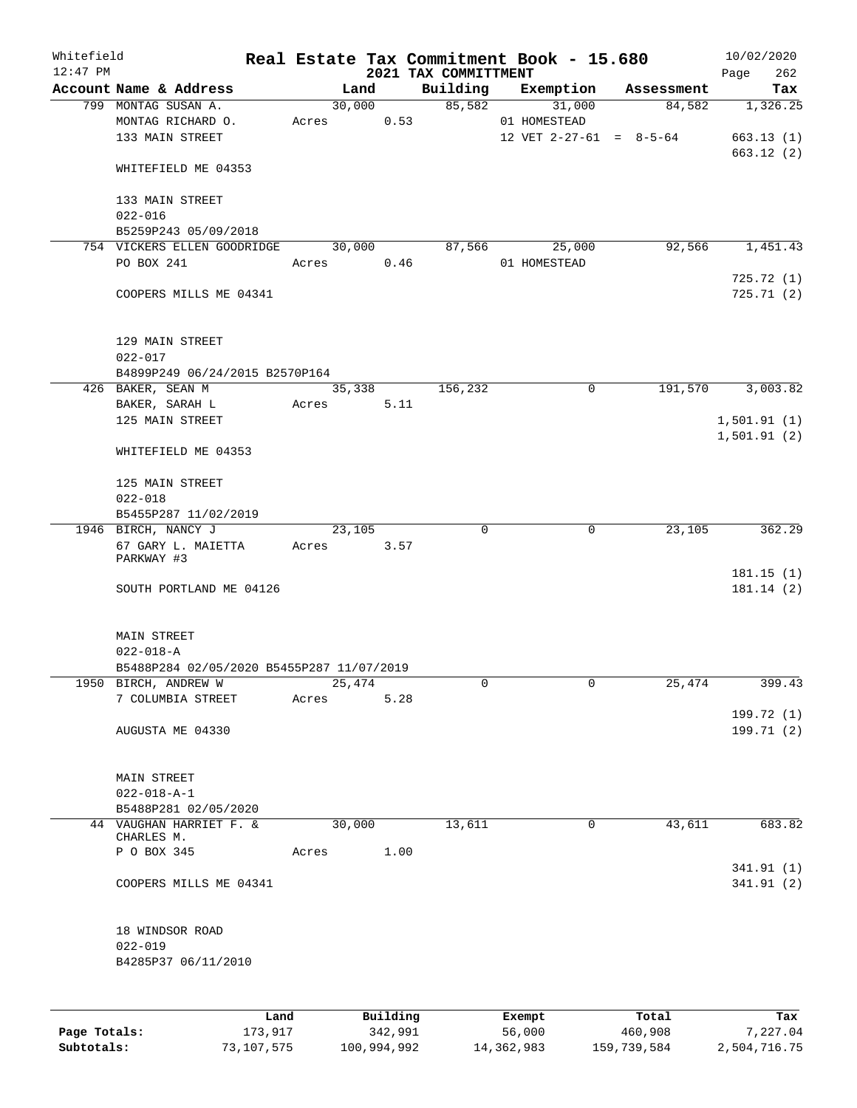| Whitefield |                                             |      |       |        |          |                      | Real Estate Tax Commitment Book - 15.680  |            | 10/02/2020  |          |
|------------|---------------------------------------------|------|-------|--------|----------|----------------------|-------------------------------------------|------------|-------------|----------|
| $12:47$ PM |                                             |      |       |        |          | 2021 TAX COMMITTMENT |                                           |            | Page        | 262      |
|            | Account Name & Address                      |      |       | Land   |          | Building             | Exemption                                 | Assessment |             | Tax      |
|            | 799 MONTAG SUSAN A.                         |      |       | 30,000 |          | 85,582               | 31,000                                    | 84,582     |             | 1,326.25 |
|            | MONTAG RICHARD O.<br>133 MAIN STREET        |      | Acres |        | 0.53     |                      | 01 HOMESTEAD<br>12 VET $2-27-61 = 8-5-64$ |            | 663.13(1)   |          |
|            |                                             |      |       |        |          |                      |                                           |            | 663.12(2)   |          |
|            | WHITEFIELD ME 04353                         |      |       |        |          |                      |                                           |            |             |          |
|            |                                             |      |       |        |          |                      |                                           |            |             |          |
|            | 133 MAIN STREET<br>$022 - 016$              |      |       |        |          |                      |                                           |            |             |          |
|            | B5259P243 05/09/2018                        |      |       |        |          |                      |                                           |            |             |          |
|            | 754 VICKERS ELLEN GOODRIDGE                 |      |       | 30,000 |          | 87,566               | 25,000                                    | 92,566     |             | 1,451.43 |
|            | PO BOX 241                                  |      | Acres |        | 0.46     |                      | 01 HOMESTEAD                              |            |             |          |
|            |                                             |      |       |        |          |                      |                                           |            | 725.72(1)   |          |
|            | COOPERS MILLS ME 04341                      |      |       |        |          |                      |                                           |            | 725.71(2)   |          |
|            | 129 MAIN STREET                             |      |       |        |          |                      |                                           |            |             |          |
|            | $022 - 017$                                 |      |       |        |          |                      |                                           |            |             |          |
|            | B4899P249 06/24/2015 B2570P164              |      |       |        |          |                      |                                           |            |             |          |
|            | 426 BAKER, SEAN M                           |      |       | 35,338 |          | 156,232              | $\mathbf 0$                               | 191,570    |             | 3,003.82 |
|            | BAKER, SARAH L                              |      | Acres |        | 5.11     |                      |                                           |            |             |          |
|            | 125 MAIN STREET                             |      |       |        |          |                      |                                           |            | 1,501.91(1) |          |
|            | WHITEFIELD ME 04353                         |      |       |        |          |                      |                                           |            | 1,501.91(2) |          |
|            |                                             |      |       |        |          |                      |                                           |            |             |          |
|            | 125 MAIN STREET                             |      |       |        |          |                      |                                           |            |             |          |
|            | $022 - 018$                                 |      |       |        |          |                      |                                           |            |             |          |
|            | B5455P287 11/02/2019<br>1946 BIRCH, NANCY J |      |       | 23,105 |          | $\mathbf 0$          | $\mathbf 0$                               | 23,105     |             | 362.29   |
|            | 67 GARY L. MAIETTA                          |      | Acres |        | 3.57     |                      |                                           |            |             |          |
|            | PARKWAY #3                                  |      |       |        |          |                      |                                           |            |             |          |
|            |                                             |      |       |        |          |                      |                                           |            | 181.15(1)   |          |
|            | SOUTH PORTLAND ME 04126                     |      |       |        |          |                      |                                           |            | 181.14(2)   |          |
|            | MAIN STREET                                 |      |       |        |          |                      |                                           |            |             |          |
|            | $022 - 018 - A$                             |      |       |        |          |                      |                                           |            |             |          |
|            | B5488P284 02/05/2020 B5455P287 11/07/2019   |      |       |        |          |                      |                                           |            |             |          |
|            | 1950 BIRCH, ANDREW W                        |      |       | 25,474 |          | 0                    | 0                                         | 25,474     |             | 399.43   |
|            | 7 COLUMBIA STREET                           |      | Acres |        | 5.28     |                      |                                           |            |             |          |
|            |                                             |      |       |        |          |                      |                                           |            | 199.72 (1)  |          |
|            | AUGUSTA ME 04330                            |      |       |        |          |                      |                                           |            | 199.71 (2)  |          |
|            | MAIN STREET                                 |      |       |        |          |                      |                                           |            |             |          |
|            | $022 - 018 - A - 1$                         |      |       |        |          |                      |                                           |            |             |          |
|            | B5488P281 02/05/2020                        |      |       |        |          |                      |                                           |            |             |          |
|            | 44 VAUGHAN HARRIET F. &<br>CHARLES M.       |      |       | 30,000 |          | 13,611               | 0                                         | 43,611     |             | 683.82   |
|            | P O BOX 345                                 |      | Acres |        | 1.00     |                      |                                           |            |             |          |
|            |                                             |      |       |        |          |                      |                                           |            | 341.91(1)   |          |
|            | COOPERS MILLS ME 04341                      |      |       |        |          |                      |                                           |            | 341.91(2)   |          |
|            | 18 WINDSOR ROAD                             |      |       |        |          |                      |                                           |            |             |          |
|            | $022 - 019$                                 |      |       |        |          |                      |                                           |            |             |          |
|            | B4285P37 06/11/2010                         |      |       |        |          |                      |                                           |            |             |          |
|            |                                             |      |       |        |          |                      |                                           |            |             |          |
|            |                                             | Land |       |        | Building |                      | Exempt                                    | Total      |             | Tax      |

**Page Totals:** 173,917 342,991 56,000 460,908 7,227.04 **Subtotals:** 73,107,575 100,994,992 14,362,983 159,739,584 2,504,716.75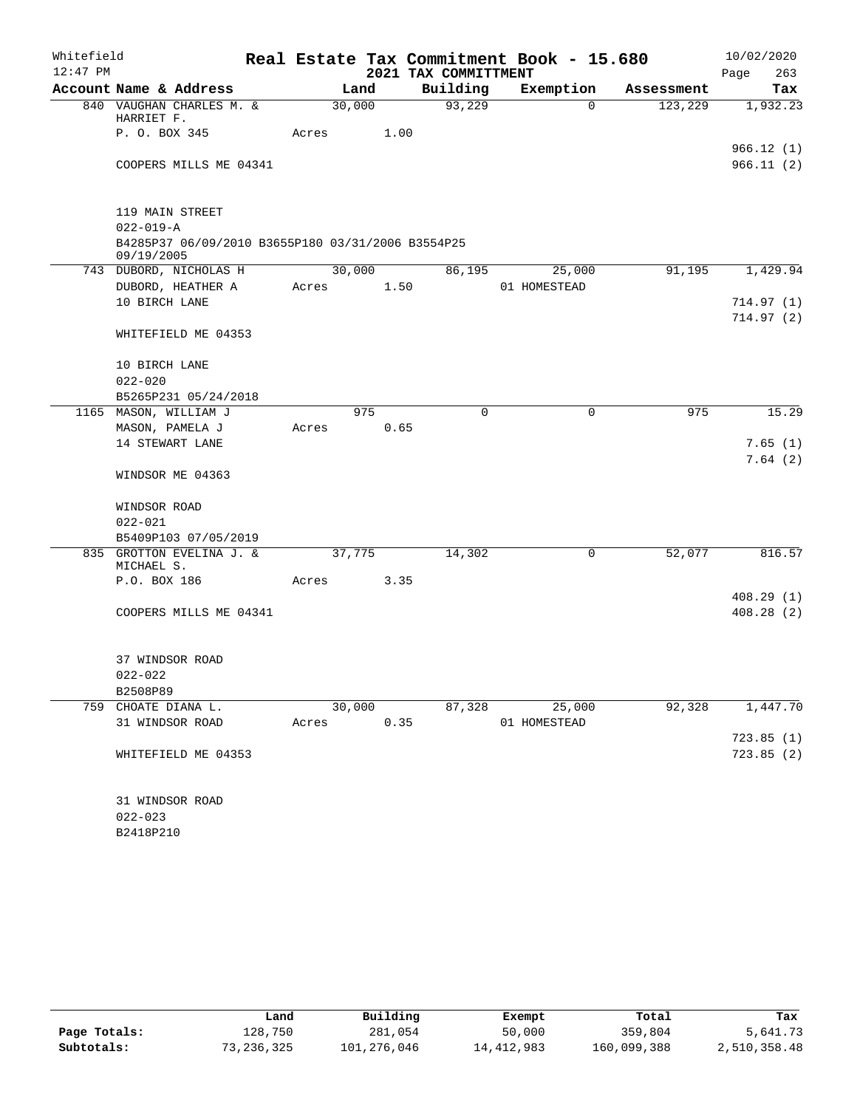| Whitefield |                             |                                                   |       |        |      |                      | Real Estate Tax Commitment Book - 15.680 |                     | 10/02/2020             |
|------------|-----------------------------|---------------------------------------------------|-------|--------|------|----------------------|------------------------------------------|---------------------|------------------------|
| $12:47$ PM |                             |                                                   |       |        |      | 2021 TAX COMMITTMENT |                                          |                     | Page<br>263            |
|            |                             | Account Name & Address                            |       | Land   |      | Building             | Exemption                                | Assessment          | Tax                    |
|            |                             | 840 VAUGHAN CHARLES M. &                          |       | 30,000 |      | 93,229               |                                          | 123,229<br>$\Omega$ | 1,932.23               |
|            | HARRIET F.<br>P. O. BOX 345 |                                                   | Acres |        | 1.00 |                      |                                          |                     |                        |
|            |                             |                                                   |       |        |      |                      |                                          |                     | 966.12(1)              |
|            |                             | COOPERS MILLS ME 04341                            |       |        |      |                      |                                          |                     | 966.11(2)              |
|            | 119 MAIN STREET             |                                                   |       |        |      |                      |                                          |                     |                        |
|            | $022 - 019 - A$             |                                                   |       |        |      |                      |                                          |                     |                        |
|            |                             | B4285P37 06/09/2010 B3655P180 03/31/2006 B3554P25 |       |        |      |                      |                                          |                     |                        |
|            | 09/19/2005                  |                                                   |       |        |      |                      |                                          |                     |                        |
|            |                             | 743 DUBORD, NICHOLAS H<br>DUBORD, HEATHER A       | Acres | 30,000 | 1.50 | 86,195               | 25,000<br>01 HOMESTEAD                   | 91,195              | 1,429.94               |
|            | 10 BIRCH LANE               |                                                   |       |        |      |                      |                                          |                     | 714.97(1)              |
|            |                             |                                                   |       |        |      |                      |                                          |                     | 714.97(2)              |
|            |                             | WHITEFIELD ME 04353                               |       |        |      |                      |                                          |                     |                        |
|            | 10 BIRCH LANE               |                                                   |       |        |      |                      |                                          |                     |                        |
|            | $022 - 020$                 |                                                   |       |        |      |                      |                                          |                     |                        |
|            |                             | B5265P231 05/24/2018                              |       |        |      |                      |                                          |                     |                        |
|            |                             | 1165 MASON, WILLIAM J                             |       | 975    |      | $\Omega$             |                                          | 975<br>0            | 15.29                  |
|            | MASON, PAMELA J             |                                                   | Acres |        | 0.65 |                      |                                          |                     |                        |
|            | 14 STEWART LANE             |                                                   |       |        |      |                      |                                          |                     | 7.65(1)                |
|            |                             | WINDSOR ME 04363                                  |       |        |      |                      |                                          |                     | 7.64(2)                |
|            | WINDSOR ROAD                |                                                   |       |        |      |                      |                                          |                     |                        |
|            | $022 - 021$                 |                                                   |       |        |      |                      |                                          |                     |                        |
|            |                             | B5409P103 07/05/2019                              |       |        |      |                      |                                          |                     |                        |
|            |                             | 835 GROTTON EVELINA J. &                          |       | 37,775 |      | 14,302               |                                          | 0<br>52,077         | 816.57                 |
|            | MICHAEL S.                  |                                                   |       |        |      |                      |                                          |                     |                        |
|            | P.O. BOX 186                |                                                   | Acres |        | 3.35 |                      |                                          |                     | 408.29(1)              |
|            |                             | COOPERS MILLS ME 04341                            |       |        |      |                      |                                          |                     | 408.28(2)              |
|            |                             |                                                   |       |        |      |                      |                                          |                     |                        |
|            | 37 WINDSOR ROAD             |                                                   |       |        |      |                      |                                          |                     |                        |
|            | $022 - 022$                 |                                                   |       |        |      |                      |                                          |                     |                        |
|            | B2508P89                    |                                                   |       |        |      |                      |                                          |                     |                        |
| 759        | CHOATE DIANA L.             |                                                   |       | 30,000 |      | 87,328               | 25,000                                   | 92,328              | 1,447.70               |
|            | 31 WINDSOR ROAD             |                                                   | Acres |        | 0.35 |                      | 01 HOMESTEAD                             |                     |                        |
|            |                             | WHITEFIELD ME 04353                               |       |        |      |                      |                                          |                     | 723.85(1)<br>723.85(2) |
|            |                             |                                                   |       |        |      |                      |                                          |                     |                        |
|            | 31 WINDSOR ROAD             |                                                   |       |        |      |                      |                                          |                     |                        |
|            | $022 - 023$                 |                                                   |       |        |      |                      |                                          |                     |                        |
|            | B2418P210                   |                                                   |       |        |      |                      |                                          |                     |                        |

|              | Land       | Building    | Exempt       | Total       | Tax          |
|--------------|------------|-------------|--------------|-------------|--------------|
| Page Totals: | l28,750    | 281,054     | 50,000       | 359,804     | 5,641.73     |
| Subtotals:   | 73,236,325 | 101,276,046 | 14, 412, 983 | 160,099,388 | 2,510,358.48 |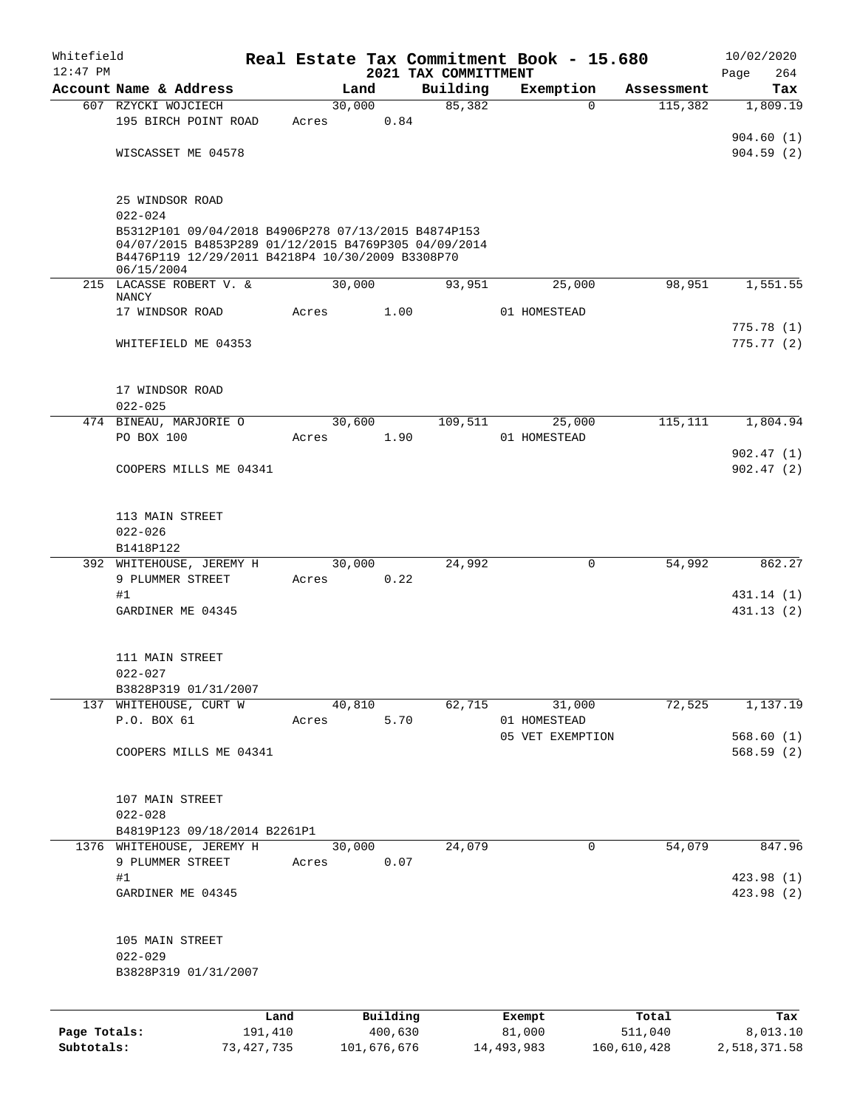| Whitefield   |                                                                                                                        |              |       |                |          |                      | Real Estate Tax Commitment Book - 15.680 |             | 10/02/2020             |
|--------------|------------------------------------------------------------------------------------------------------------------------|--------------|-------|----------------|----------|----------------------|------------------------------------------|-------------|------------------------|
| $12:47$ PM   | Account Name & Address                                                                                                 |              |       |                |          | 2021 TAX COMMITTMENT |                                          |             | 264<br>Page            |
|              |                                                                                                                        |              |       | Land<br>30,000 |          | Building<br>85,382   | Exemption<br>$\Omega$                    | Assessment  | Tax                    |
|              | 607 RZYCKI WOJCIECH<br>195 BIRCH POINT ROAD                                                                            |              | Acres |                | 0.84     |                      |                                          | 115,382     | 1,809.19               |
|              |                                                                                                                        |              |       |                |          |                      |                                          |             | 904.60(1)              |
|              | WISCASSET ME 04578                                                                                                     |              |       |                |          |                      |                                          |             | 904.59(2)              |
|              |                                                                                                                        |              |       |                |          |                      |                                          |             |                        |
|              | 25 WINDSOR ROAD<br>$022 - 024$                                                                                         |              |       |                |          |                      |                                          |             |                        |
|              | B5312P101 09/04/2018 B4906P278 07/13/2015 B4874P153                                                                    |              |       |                |          |                      |                                          |             |                        |
|              | 04/07/2015 B4853P289 01/12/2015 B4769P305 04/09/2014<br>B4476P119 12/29/2011 B4218P4 10/30/2009 B3308P70<br>06/15/2004 |              |       |                |          |                      |                                          |             |                        |
|              | 215 LACASSE ROBERT V. &<br><b>NANCY</b>                                                                                |              |       | 30,000         |          | 93,951               | 25,000                                   | 98,951      | 1,551.55               |
|              | 17 WINDSOR ROAD                                                                                                        |              | Acres |                | 1.00     |                      | 01 HOMESTEAD                             |             |                        |
|              |                                                                                                                        |              |       |                |          |                      |                                          |             | 775.78(1)              |
|              | WHITEFIELD ME 04353                                                                                                    |              |       |                |          |                      |                                          |             | 775.77(2)              |
|              | 17 WINDSOR ROAD                                                                                                        |              |       |                |          |                      |                                          |             |                        |
|              | $022 - 025$                                                                                                            |              |       |                |          |                      |                                          |             |                        |
|              | 474 BINEAU, MARJORIE O                                                                                                 |              |       | 30,600         |          | 109,511              | 25,000                                   | 115,111     | 1,804.94               |
|              | PO BOX 100                                                                                                             |              | Acres |                | 1.90     |                      | 01 HOMESTEAD                             |             |                        |
|              |                                                                                                                        |              |       |                |          |                      |                                          |             | 902.47(1)              |
|              | COOPERS MILLS ME 04341                                                                                                 |              |       |                |          |                      |                                          |             | 902.47(2)              |
|              | 113 MAIN STREET                                                                                                        |              |       |                |          |                      |                                          |             |                        |
|              | $022 - 026$                                                                                                            |              |       |                |          |                      |                                          |             |                        |
|              | B1418P122                                                                                                              |              |       |                |          |                      |                                          |             |                        |
|              | 392 WHITEHOUSE, JEREMY H                                                                                               |              |       | 30,000         |          | 24,992               | $\mathbf 0$                              | 54,992      | 862.27                 |
|              | 9 PLUMMER STREET                                                                                                       |              | Acres |                | 0.22     |                      |                                          |             |                        |
|              | #1                                                                                                                     |              |       |                |          |                      |                                          |             | 431.14 (1)             |
|              | GARDINER ME 04345                                                                                                      |              |       |                |          |                      |                                          |             | 431.13 (2)             |
|              | 111 MAIN STREET                                                                                                        |              |       |                |          |                      |                                          |             |                        |
|              | $022 - 027$                                                                                                            |              |       |                |          |                      |                                          |             |                        |
|              | B3828P319 01/31/2007                                                                                                   |              |       |                |          |                      |                                          |             |                        |
|              | 137 WHITEHOUSE, CURT W                                                                                                 |              |       | 40,810         |          | 62,715               | 31,000                                   | 72,525      | 1,137.19               |
|              | P.O. BOX 61                                                                                                            |              | Acres |                | 5.70     |                      | 01 HOMESTEAD                             |             |                        |
|              | COOPERS MILLS ME 04341                                                                                                 |              |       |                |          |                      | 05 VET EXEMPTION                         |             | 568.60(1)<br>568.59(2) |
|              |                                                                                                                        |              |       |                |          |                      |                                          |             |                        |
|              | 107 MAIN STREET                                                                                                        |              |       |                |          |                      |                                          |             |                        |
|              | $022 - 028$                                                                                                            |              |       |                |          |                      |                                          |             |                        |
|              | B4819P123 09/18/2014 B2261P1                                                                                           |              |       |                |          |                      |                                          |             |                        |
|              | 1376 WHITEHOUSE, JEREMY H                                                                                              |              |       | 30,000         |          | 24,079               | $\mathbf 0$                              | 54,079      | 847.96                 |
|              | 9 PLUMMER STREET<br>#1                                                                                                 |              | Acres |                | 0.07     |                      |                                          |             | 423.98 (1)             |
|              | GARDINER ME 04345                                                                                                      |              |       |                |          |                      |                                          |             | 423.98 (2)             |
|              |                                                                                                                        |              |       |                |          |                      |                                          |             |                        |
|              | 105 MAIN STREET                                                                                                        |              |       |                |          |                      |                                          |             |                        |
|              | $022 - 029$                                                                                                            |              |       |                |          |                      |                                          |             |                        |
|              | B3828P319 01/31/2007                                                                                                   |              |       |                |          |                      |                                          |             |                        |
|              |                                                                                                                        | Land         |       |                | Building |                      | Exempt                                   | Total       | Tax                    |
| Page Totals: |                                                                                                                        | 191,410      |       |                | 400,630  |                      | 81,000                                   | 511,040     | 8,013.10               |
| Subtotals:   |                                                                                                                        | 73, 427, 735 |       | 101,676,676    |          |                      | 14,493,983                               | 160,610,428 | 2,518,371.58           |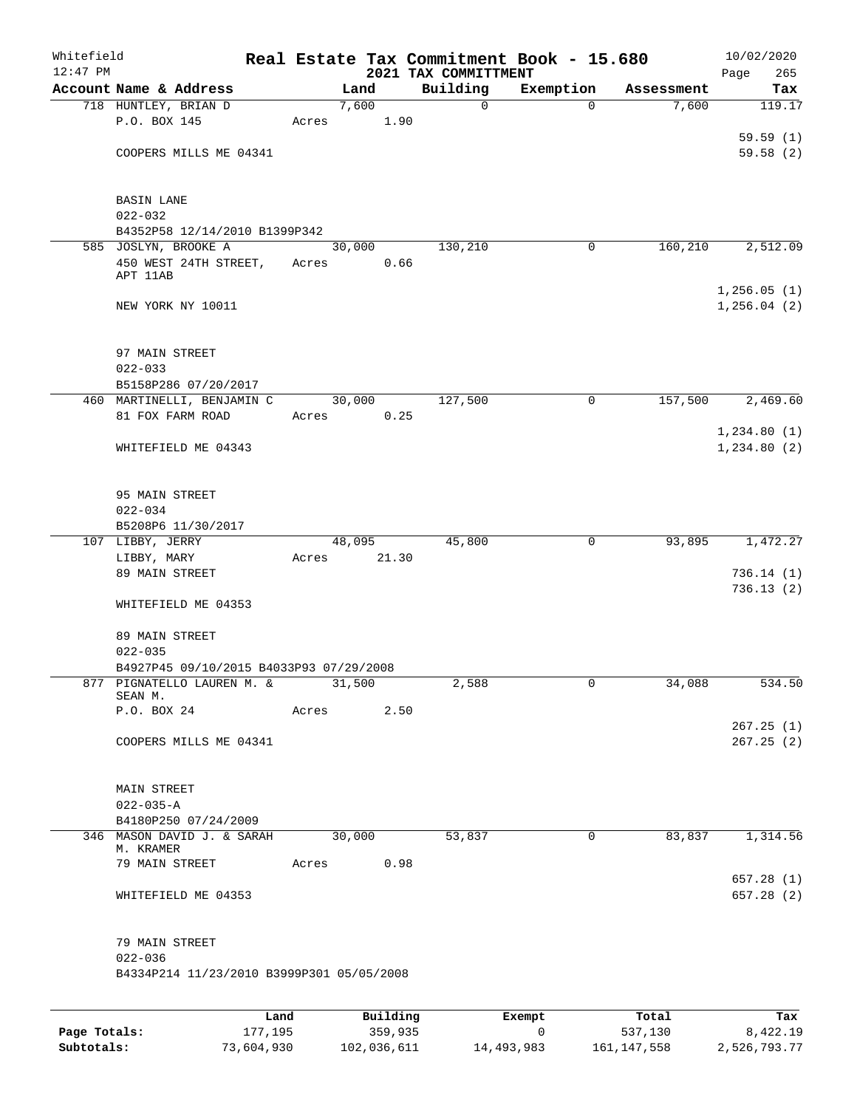| Whitefield<br>$12:47$ PM |                                                                       |         |       |          |       | Real Estate Tax Commitment Book - 15.680 |              |            | 10/02/2020                  |
|--------------------------|-----------------------------------------------------------------------|---------|-------|----------|-------|------------------------------------------|--------------|------------|-----------------------------|
|                          | Account Name & Address                                                |         |       | Land     |       | 2021 TAX COMMITTMENT<br>Building         | Exemption    | Assessment | Page<br>265<br>Tax          |
|                          | 718 HUNTLEY, BRIAN D                                                  |         |       | 7,600    |       | 0                                        | $\Omega$     | 7,600      | 119.17                      |
|                          | P.O. BOX 145                                                          |         | Acres |          | 1.90  |                                          |              |            |                             |
|                          |                                                                       |         |       |          |       |                                          |              |            | 59.59(1)                    |
|                          | COOPERS MILLS ME 04341                                                |         |       |          |       |                                          |              |            | 59.58(2)                    |
|                          |                                                                       |         |       |          |       |                                          |              |            |                             |
|                          |                                                                       |         |       |          |       |                                          |              |            |                             |
|                          | <b>BASIN LANE</b><br>$022 - 032$                                      |         |       |          |       |                                          |              |            |                             |
|                          | B4352P58 12/14/2010 B1399P342                                         |         |       |          |       |                                          |              |            |                             |
|                          | 585 JOSLYN, BROOKE A                                                  |         |       | 30,000   |       | 130,210                                  | 0            | 160,210    | 2,512.09                    |
|                          | 450 WEST 24TH STREET,                                                 |         | Acres |          | 0.66  |                                          |              |            |                             |
|                          | APT 11AB                                                              |         |       |          |       |                                          |              |            |                             |
|                          | NEW YORK NY 10011                                                     |         |       |          |       |                                          |              |            | 1,256.05(1)<br>1, 256.04(2) |
|                          |                                                                       |         |       |          |       |                                          |              |            |                             |
|                          |                                                                       |         |       |          |       |                                          |              |            |                             |
|                          | 97 MAIN STREET                                                        |         |       |          |       |                                          |              |            |                             |
|                          | $022 - 033$                                                           |         |       |          |       |                                          |              |            |                             |
|                          | B5158P286 07/20/2017                                                  |         |       |          |       |                                          |              |            |                             |
|                          | 460 MARTINELLI, BENJAMIN C                                            |         |       | 30,000   |       | 127,500                                  | $\mathsf{O}$ | 157,500    | 2,469.60                    |
|                          | 81 FOX FARM ROAD                                                      |         | Acres |          | 0.25  |                                          |              |            |                             |
|                          | WHITEFIELD ME 04343                                                   |         |       |          |       |                                          |              |            | 1,234.80(1)<br>1,234.80(2)  |
|                          |                                                                       |         |       |          |       |                                          |              |            |                             |
|                          |                                                                       |         |       |          |       |                                          |              |            |                             |
|                          | 95 MAIN STREET                                                        |         |       |          |       |                                          |              |            |                             |
|                          | $022 - 034$                                                           |         |       |          |       |                                          |              |            |                             |
|                          | B5208P6 11/30/2017                                                    |         |       |          |       |                                          |              |            |                             |
|                          | 107 LIBBY, JERRY                                                      |         |       | 48,095   |       | 45,800                                   | 0            | 93,895     | 1,472.27                    |
|                          | LIBBY, MARY<br>89 MAIN STREET                                         |         | Acres |          | 21.30 |                                          |              |            | 736.14(1)                   |
|                          |                                                                       |         |       |          |       |                                          |              |            | 736.13(2)                   |
|                          | WHITEFIELD ME 04353                                                   |         |       |          |       |                                          |              |            |                             |
|                          |                                                                       |         |       |          |       |                                          |              |            |                             |
|                          | 89 MAIN STREET                                                        |         |       |          |       |                                          |              |            |                             |
|                          | $022 - 035$                                                           |         |       |          |       |                                          |              |            |                             |
|                          | B4927P45 09/10/2015 B4033P93 07/29/2008<br>877 PIGNATELLO LAUREN M. & |         |       | 31,500   |       | 2,588                                    | 0            | 34,088     | 534.50                      |
|                          | SEAN M.                                                               |         |       |          |       |                                          |              |            |                             |
|                          | P.O. BOX 24                                                           |         | Acres |          | 2.50  |                                          |              |            |                             |
|                          |                                                                       |         |       |          |       |                                          |              |            | 267.25(1)                   |
|                          | COOPERS MILLS ME 04341                                                |         |       |          |       |                                          |              |            | 267.25(2)                   |
|                          |                                                                       |         |       |          |       |                                          |              |            |                             |
|                          | MAIN STREET                                                           |         |       |          |       |                                          |              |            |                             |
|                          | $022 - 035 - A$                                                       |         |       |          |       |                                          |              |            |                             |
|                          | B4180P250 07/24/2009                                                  |         |       |          |       |                                          |              |            |                             |
|                          | 346 MASON DAVID J. & SARAH                                            |         |       | 30,000   |       | 53,837                                   | $\mathsf{O}$ | 83,837     | 1,314.56                    |
|                          | M. KRAMER<br>79 MAIN STREET                                           |         | Acres |          | 0.98  |                                          |              |            |                             |
|                          |                                                                       |         |       |          |       |                                          |              |            | 657.28(1)                   |
|                          | WHITEFIELD ME 04353                                                   |         |       |          |       |                                          |              |            | 657.28 (2)                  |
|                          |                                                                       |         |       |          |       |                                          |              |            |                             |
|                          | 79 MAIN STREET                                                        |         |       |          |       |                                          |              |            |                             |
|                          | $022 - 036$                                                           |         |       |          |       |                                          |              |            |                             |
|                          | B4334P214 11/23/2010 B3999P301 05/05/2008                             |         |       |          |       |                                          |              |            |                             |
|                          |                                                                       |         |       |          |       |                                          |              |            |                             |
|                          |                                                                       | Land    |       | Building |       |                                          | Exempt       | Total      | Tax                         |
| Page Totals:             |                                                                       | 177,195 |       | 359,935  |       |                                          | 0            | 537,130    | 8,422.19                    |

**Subtotals:** 73,604,930 102,036,611 14,493,983 161,147,558 2,526,793.77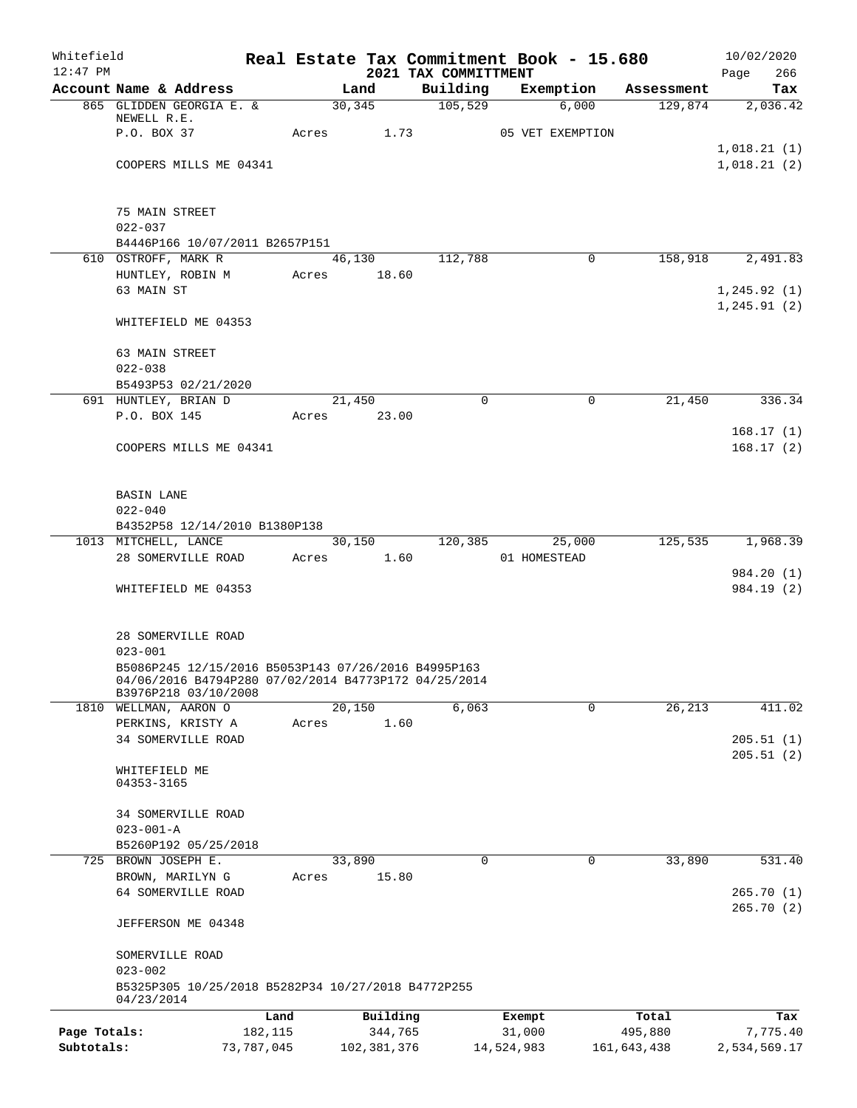| Whitefield<br>$12:47$ PM |                                                       |            |       |             | Real Estate Tax Commitment Book - 15.680<br>2021 TAX COMMITTMENT |             |                  |             | 10/02/2020<br>266<br>Page  |
|--------------------------|-------------------------------------------------------|------------|-------|-------------|------------------------------------------------------------------|-------------|------------------|-------------|----------------------------|
|                          | Account Name & Address                                |            |       | Land        | Building                                                         |             | Exemption        | Assessment  | Tax                        |
|                          | 865 GLIDDEN GEORGIA E. &                              |            |       | 30, 345     | 105,529                                                          |             | 6,000            | 129,874     | 2,036.42                   |
|                          | NEWELL R.E.                                           |            |       |             |                                                                  |             |                  |             |                            |
|                          | P.O. BOX 37                                           |            | Acres |             | 1.73                                                             |             | 05 VET EXEMPTION |             |                            |
|                          | COOPERS MILLS ME 04341                                |            |       |             |                                                                  |             |                  |             | 1,018.21(1)<br>1,018.21(2) |
|                          |                                                       |            |       |             |                                                                  |             |                  |             |                            |
|                          |                                                       |            |       |             |                                                                  |             |                  |             |                            |
|                          | 75 MAIN STREET                                        |            |       |             |                                                                  |             |                  |             |                            |
|                          | $022 - 037$                                           |            |       |             |                                                                  |             |                  |             |                            |
|                          | B4446P166 10/07/2011 B2657P151<br>610 OSTROFF, MARK R |            |       | 46,130      | 112,788                                                          |             | 0                | 158,918     | 2,491.83                   |
|                          | HUNTLEY, ROBIN M                                      |            |       | Acres 18.60 |                                                                  |             |                  |             |                            |
|                          | 63 MAIN ST                                            |            |       |             |                                                                  |             |                  |             | 1, 245.92(1)               |
|                          |                                                       |            |       |             |                                                                  |             |                  |             | 1, 245.91(2)               |
|                          | WHITEFIELD ME 04353                                   |            |       |             |                                                                  |             |                  |             |                            |
|                          | 63 MAIN STREET                                        |            |       |             |                                                                  |             |                  |             |                            |
|                          | $022 - 038$                                           |            |       |             |                                                                  |             |                  |             |                            |
|                          | B5493P53 02/21/2020                                   |            |       |             |                                                                  |             |                  |             |                            |
|                          | 691 HUNTLEY, BRIAN D                                  |            |       | 21,450      |                                                                  | $\Omega$    | $\mathbf 0$      | 21,450      | 336.34                     |
|                          | P.O. BOX 145                                          |            |       | Acres 23.00 |                                                                  |             |                  |             |                            |
|                          |                                                       |            |       |             |                                                                  |             |                  |             | 168.17(1)                  |
|                          | COOPERS MILLS ME 04341                                |            |       |             |                                                                  |             |                  |             | 168.17(2)                  |
|                          |                                                       |            |       |             |                                                                  |             |                  |             |                            |
|                          |                                                       |            |       |             |                                                                  |             |                  |             |                            |
|                          | BASIN LANE<br>$022 - 040$                             |            |       |             |                                                                  |             |                  |             |                            |
|                          | B4352P58 12/14/2010 B1380P138                         |            |       |             |                                                                  |             |                  |             |                            |
|                          | 1013 MITCHELL, LANCE                                  |            |       | 30,150      | 120, 385                                                         |             | 25,000           | 125,535     | 1,968.39                   |
|                          | 28 SOMERVILLE ROAD                                    |            |       | Acres 1.60  |                                                                  |             | 01 HOMESTEAD     |             |                            |
|                          |                                                       |            |       |             |                                                                  |             |                  |             | 984.20 (1)                 |
|                          | WHITEFIELD ME 04353                                   |            |       |             |                                                                  |             |                  |             | 984.19 (2)                 |
|                          |                                                       |            |       |             |                                                                  |             |                  |             |                            |
|                          | 28 SOMERVILLE ROAD                                    |            |       |             |                                                                  |             |                  |             |                            |
|                          | $023 - 001$                                           |            |       |             |                                                                  |             |                  |             |                            |
|                          | B5086P245 12/15/2016 B5053P143 07/26/2016 B4995P163   |            |       |             |                                                                  |             |                  |             |                            |
|                          | 04/06/2016 B4794P280 07/02/2014 B4773P172 04/25/2014  |            |       |             |                                                                  |             |                  |             |                            |
|                          | B3976P218 03/10/2008                                  |            |       | 20,150      | 6,063                                                            |             | 0                |             | 411.02                     |
| 1810                     | WELLMAN, AARON O<br>PERKINS, KRISTY A                 |            | Acres | 1.60        |                                                                  |             |                  | 26,213      |                            |
|                          | 34 SOMERVILLE ROAD                                    |            |       |             |                                                                  |             |                  |             | 205.51(1)                  |
|                          |                                                       |            |       |             |                                                                  |             |                  |             | 205.51(2)                  |
|                          | WHITEFIELD ME                                         |            |       |             |                                                                  |             |                  |             |                            |
|                          | 04353-3165                                            |            |       |             |                                                                  |             |                  |             |                            |
|                          | 34 SOMERVILLE ROAD                                    |            |       |             |                                                                  |             |                  |             |                            |
|                          | $023 - 001 - A$                                       |            |       |             |                                                                  |             |                  |             |                            |
|                          | B5260P192 05/25/2018                                  |            |       |             |                                                                  |             |                  |             |                            |
| 725                      | BROWN JOSEPH E.                                       |            |       | 33,890      |                                                                  | $\mathbf 0$ | 0                | 33,890      | 531.40                     |
|                          | BROWN, MARILYN G                                      |            | Acres | 15.80       |                                                                  |             |                  |             |                            |
|                          | 64 SOMERVILLE ROAD                                    |            |       |             |                                                                  |             |                  |             | 265.70(1)                  |
|                          | JEFFERSON ME 04348                                    |            |       |             |                                                                  |             |                  |             | 265.70(2)                  |
|                          |                                                       |            |       |             |                                                                  |             |                  |             |                            |
|                          | SOMERVILLE ROAD<br>$023 - 002$                        |            |       |             |                                                                  |             |                  |             |                            |
|                          | B5325P305 10/25/2018 B5282P34 10/27/2018 B4772P255    |            |       |             |                                                                  |             |                  |             |                            |
|                          | 04/23/2014                                            | Land       |       | Building    |                                                                  | Exempt      |                  | Total       | Tax                        |
| Page Totals:             |                                                       | 182,115    |       | 344,765     |                                                                  | 31,000      |                  | 495,880     | 7,775.40                   |
| Subtotals:               |                                                       | 73,787,045 |       | 102,381,376 |                                                                  | 14,524,983  |                  | 161,643,438 | 2,534,569.17               |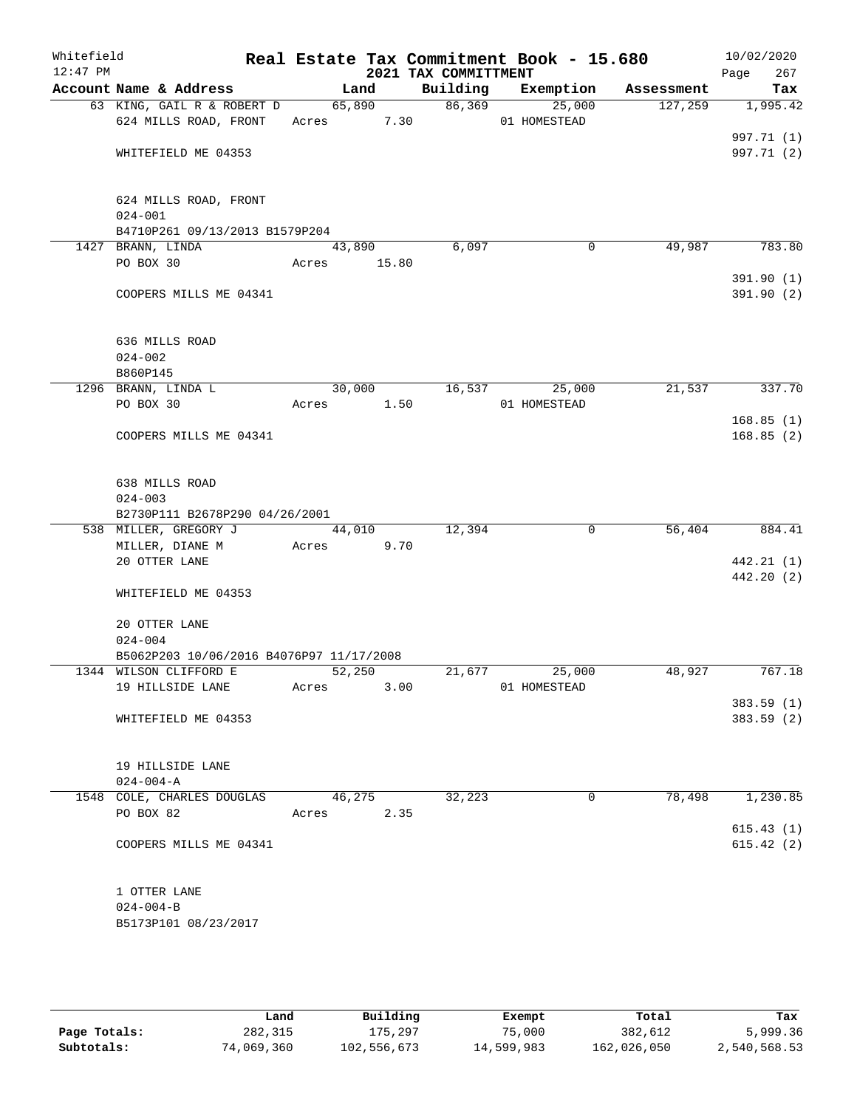| Whitefield<br>$12:47$ PM |                                          |             |        | 2021 TAX COMMITTMENT | Real Estate Tax Commitment Book - 15.680 |            | 10/02/2020<br>Page<br>267 |
|--------------------------|------------------------------------------|-------------|--------|----------------------|------------------------------------------|------------|---------------------------|
|                          | Account Name & Address                   |             | Land   |                      | Building Exemption                       | Assessment | Tax                       |
|                          | 63 KING, GAIL R & ROBERT D               |             | 65,890 |                      | 86,369<br>25,000                         | 127,259    | 1,995.42                  |
|                          | 624 MILLS ROAD, FRONT                    | Acres 7.30  |        |                      | 01 HOMESTEAD                             |            |                           |
|                          |                                          |             |        |                      |                                          |            | 997.71 (1)                |
|                          | WHITEFIELD ME 04353                      |             |        |                      |                                          |            | 997.71 (2)                |
|                          | 624 MILLS ROAD, FRONT                    |             |        |                      |                                          |            |                           |
|                          | $024 - 001$                              |             |        |                      |                                          |            |                           |
|                          | B4710P261 09/13/2013 B1579P204           |             |        |                      |                                          |            |                           |
|                          | 1427 BRANN, LINDA<br>PO BOX 30           | 43,890      |        | 6,097                | $\mathbf 0$                              | 49,987     | 783.80                    |
|                          |                                          | Acres 15.80 |        |                      |                                          |            | 391.90(1)                 |
|                          | COOPERS MILLS ME 04341                   |             |        |                      |                                          |            | 391.90 (2)                |
|                          | 636 MILLS ROAD                           |             |        |                      |                                          |            |                           |
|                          | $024 - 002$                              |             |        |                      |                                          |            |                           |
|                          | B860P145                                 |             |        |                      |                                          |            |                           |
|                          | 1296 BRANN, LINDA L                      |             | 30,000 |                      | 16,537<br>25,000                         | 21,537     | 337.70                    |
|                          | PO BOX 30                                | Acres 1.50  |        |                      | 01 HOMESTEAD                             |            | 168.85(1)                 |
|                          | COOPERS MILLS ME 04341                   |             |        |                      |                                          |            | 168.85(2)                 |
|                          |                                          |             |        |                      |                                          |            |                           |
|                          | 638 MILLS ROAD                           |             |        |                      |                                          |            |                           |
|                          | $024 - 003$                              |             |        |                      |                                          |            |                           |
|                          | B2730P111 B2678P290 04/26/2001           |             |        |                      |                                          |            |                           |
|                          | 538 MILLER, GREGORY J                    |             | 44,010 | 12,394               | $\mathbf 0$                              | 56,404     | 884.41                    |
|                          | MILLER, DIANE M<br>20 OTTER LANE         | Acres       | 9.70   |                      |                                          |            |                           |
|                          |                                          |             |        |                      |                                          |            | 442.21 (1)<br>442.20 (2)  |
|                          | WHITEFIELD ME 04353                      |             |        |                      |                                          |            |                           |
|                          | 20 OTTER LANE                            |             |        |                      |                                          |            |                           |
|                          | $024 - 004$                              |             |        |                      |                                          |            |                           |
|                          | B5062P203 10/06/2016 B4076P97 11/17/2008 |             |        |                      |                                          |            |                           |
|                          | 1344 WILSON CLIFFORD E                   | 52,250      |        | 21,677               | 25,000                                   | 48,927     | 767.18                    |
|                          | 19 HILLSIDE LANE                         | Acres       | 3.00   |                      | 01 HOMESTEAD                             |            |                           |
|                          |                                          |             |        |                      |                                          |            | 383.59(1)                 |
|                          | WHITEFIELD ME 04353                      |             |        |                      |                                          |            | 383.59 (2)                |
|                          | 19 HILLSIDE LANE                         |             |        |                      |                                          |            |                           |
|                          | $024 - 004 - A$                          |             |        |                      |                                          |            |                           |
|                          | 1548 COLE, CHARLES DOUGLAS               | 46,275      |        | 32,223               | 0                                        | 78,498     | 1,230.85                  |
|                          | PO BOX 82                                | Acres       | 2.35   |                      |                                          |            |                           |
|                          |                                          |             |        |                      |                                          |            | 615.43(1)                 |
|                          | COOPERS MILLS ME 04341                   |             |        |                      |                                          |            | 615.42(2)                 |
|                          | 1 OTTER LANE                             |             |        |                      |                                          |            |                           |
|                          | $024 - 004 - B$                          |             |        |                      |                                          |            |                           |
|                          | B5173P101 08/23/2017                     |             |        |                      |                                          |            |                           |
|                          |                                          |             |        |                      |                                          |            |                           |

|              | Land       | Building    | Exempt     | Total       | Tax          |
|--------------|------------|-------------|------------|-------------|--------------|
| Page Totals: | 282,315    | 175,297     | 75,000     | 382,612     | 5,999.36     |
| Subtotals:   | 74,069,360 | 102,556,673 | 14,599,983 | 162,026,050 | 2,540,568.53 |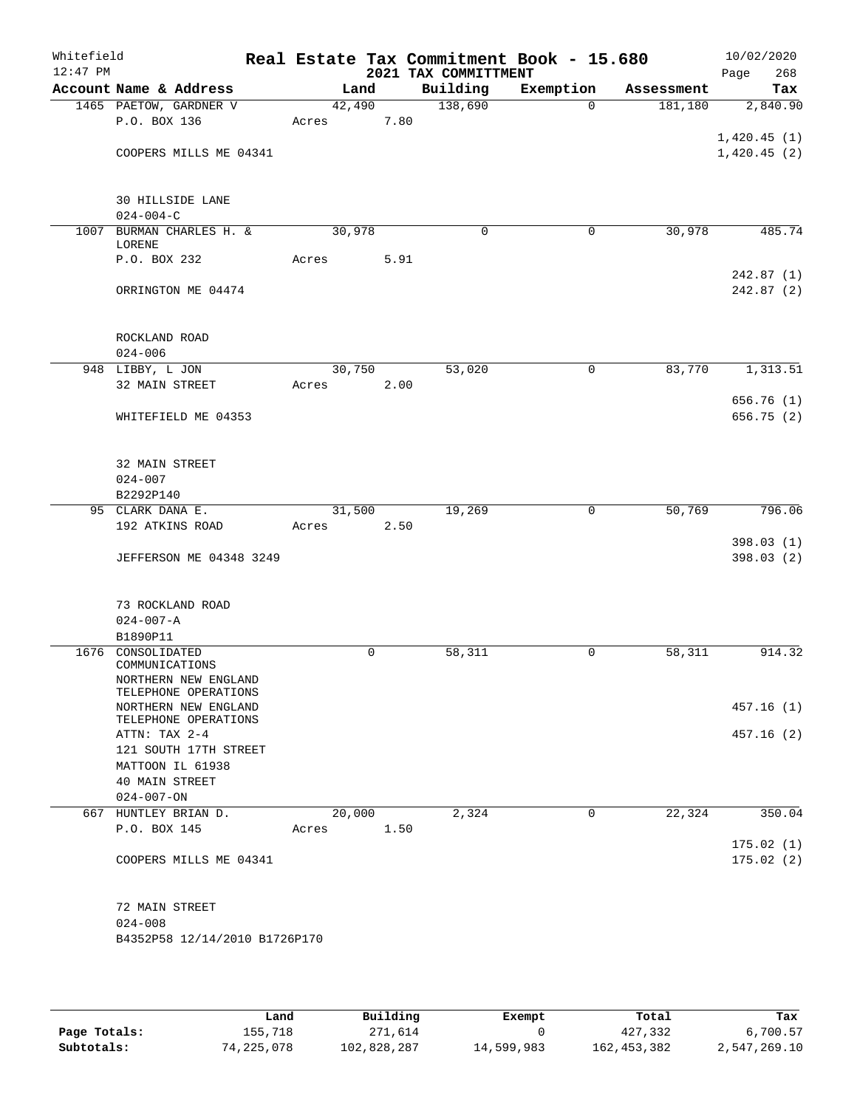| Whitefield<br>$12:47$ PM |                                              |        |   |      | 2021 TAX COMMITTMENT | Real Estate Tax Commitment Book - 15.680 |            | 10/02/2020<br>268<br>Page |
|--------------------------|----------------------------------------------|--------|---|------|----------------------|------------------------------------------|------------|---------------------------|
|                          | Account Name & Address                       | Land   |   |      | Building             | Exemption                                | Assessment | Tax                       |
|                          | 1465 PAETOW, GARDNER V                       | 42,490 |   |      | 138,690              | $\Omega$                                 | 181, 180   | 2,840.90                  |
|                          | P.O. BOX 136                                 | Acres  |   | 7.80 |                      |                                          |            |                           |
|                          |                                              |        |   |      |                      |                                          |            | 1,420.45(1)               |
|                          | COOPERS MILLS ME 04341                       |        |   |      |                      |                                          |            | 1,420.45(2)               |
|                          |                                              |        |   |      |                      |                                          |            |                           |
|                          |                                              |        |   |      |                      |                                          |            |                           |
|                          | <b>30 HILLSIDE LANE</b><br>$024 - 004 - C$   |        |   |      |                      |                                          |            |                           |
|                          | 1007 BURMAN CHARLES H. &                     | 30,978 |   |      | 0                    | 0                                        | 30,978     | 485.74                    |
|                          | LORENE                                       |        |   |      |                      |                                          |            |                           |
|                          | P.O. BOX 232                                 | Acres  |   | 5.91 |                      |                                          |            |                           |
|                          |                                              |        |   |      |                      |                                          |            | 242.87(1)                 |
|                          | ORRINGTON ME 04474                           |        |   |      |                      |                                          |            | 242.87(2)                 |
|                          |                                              |        |   |      |                      |                                          |            |                           |
|                          |                                              |        |   |      |                      |                                          |            |                           |
|                          | ROCKLAND ROAD                                |        |   |      |                      |                                          |            |                           |
|                          | $024 - 006$                                  |        |   |      |                      |                                          |            |                           |
|                          | 948 LIBBY, L JON                             | 30,750 |   |      | 53,020               | 0                                        | 83,770     | 1,313.51                  |
|                          | 32 MAIN STREET                               | Acres  |   | 2.00 |                      |                                          |            | 656.76(1)                 |
|                          | WHITEFIELD ME 04353                          |        |   |      |                      |                                          |            | 656.75(2)                 |
|                          |                                              |        |   |      |                      |                                          |            |                           |
|                          |                                              |        |   |      |                      |                                          |            |                           |
|                          | 32 MAIN STREET                               |        |   |      |                      |                                          |            |                           |
|                          | $024 - 007$                                  |        |   |      |                      |                                          |            |                           |
|                          | B2292P140                                    |        |   |      |                      |                                          |            |                           |
|                          | 95 CLARK DANA E.                             | 31,500 |   |      | 19,269               | 0                                        | 50,769     | 796.06                    |
|                          | 192 ATKINS ROAD                              | Acres  |   | 2.50 |                      |                                          |            |                           |
|                          |                                              |        |   |      |                      |                                          |            | 398.03(1)                 |
|                          | <b>JEFFERSON ME 04348 3249</b>               |        |   |      |                      |                                          |            | 398.03(2)                 |
|                          |                                              |        |   |      |                      |                                          |            |                           |
|                          |                                              |        |   |      |                      |                                          |            |                           |
|                          | 73 ROCKLAND ROAD<br>$024 - 007 - A$          |        |   |      |                      |                                          |            |                           |
|                          | B1890P11                                     |        |   |      |                      |                                          |            |                           |
|                          | 1676 CONSOLIDATED                            |        | 0 |      | 58,311               | 0                                        | 58,311     | 914.32                    |
|                          | COMMUNICATIONS                               |        |   |      |                      |                                          |            |                           |
|                          | NORTHERN NEW ENGLAND                         |        |   |      |                      |                                          |            |                           |
|                          | TELEPHONE OPERATIONS                         |        |   |      |                      |                                          |            |                           |
|                          | NORTHERN NEW ENGLAND<br>TELEPHONE OPERATIONS |        |   |      |                      |                                          |            | 457.16(1)                 |
|                          | ATTN: TAX 2-4                                |        |   |      |                      |                                          |            | 457.16(2)                 |
|                          | 121 SOUTH 17TH STREET                        |        |   |      |                      |                                          |            |                           |
|                          | MATTOON IL 61938                             |        |   |      |                      |                                          |            |                           |
|                          | 40 MAIN STREET                               |        |   |      |                      |                                          |            |                           |
|                          | $024 - 007 - ON$                             |        |   |      |                      |                                          |            |                           |
|                          | 667 HUNTLEY BRIAN D.                         | 20,000 |   |      | 2,324                | $\Omega$                                 | 22,324     | 350.04                    |
|                          | P.O. BOX 145                                 | Acres  |   | 1.50 |                      |                                          |            |                           |
|                          |                                              |        |   |      |                      |                                          |            | 175.02(1)                 |
|                          | COOPERS MILLS ME 04341                       |        |   |      |                      |                                          |            | 175.02(2)                 |
|                          |                                              |        |   |      |                      |                                          |            |                           |
|                          | 72 MAIN STREET                               |        |   |      |                      |                                          |            |                           |
|                          | $024 - 008$                                  |        |   |      |                      |                                          |            |                           |
|                          | B4352P58 12/14/2010 B1726P170                |        |   |      |                      |                                          |            |                           |
|                          |                                              |        |   |      |                      |                                          |            |                           |
|                          |                                              |        |   |      |                      |                                          |            |                           |

|              | Land       | Building    | Exempt     | Total         | Tax          |
|--------------|------------|-------------|------------|---------------|--------------|
| Page Totals: | 155,718    | 271,614     |            | 427,332       | 6,700.57     |
| Subtotals:   | 74,225,078 | 102,828,287 | 14,599,983 | 162, 453, 382 | 2,547,269.10 |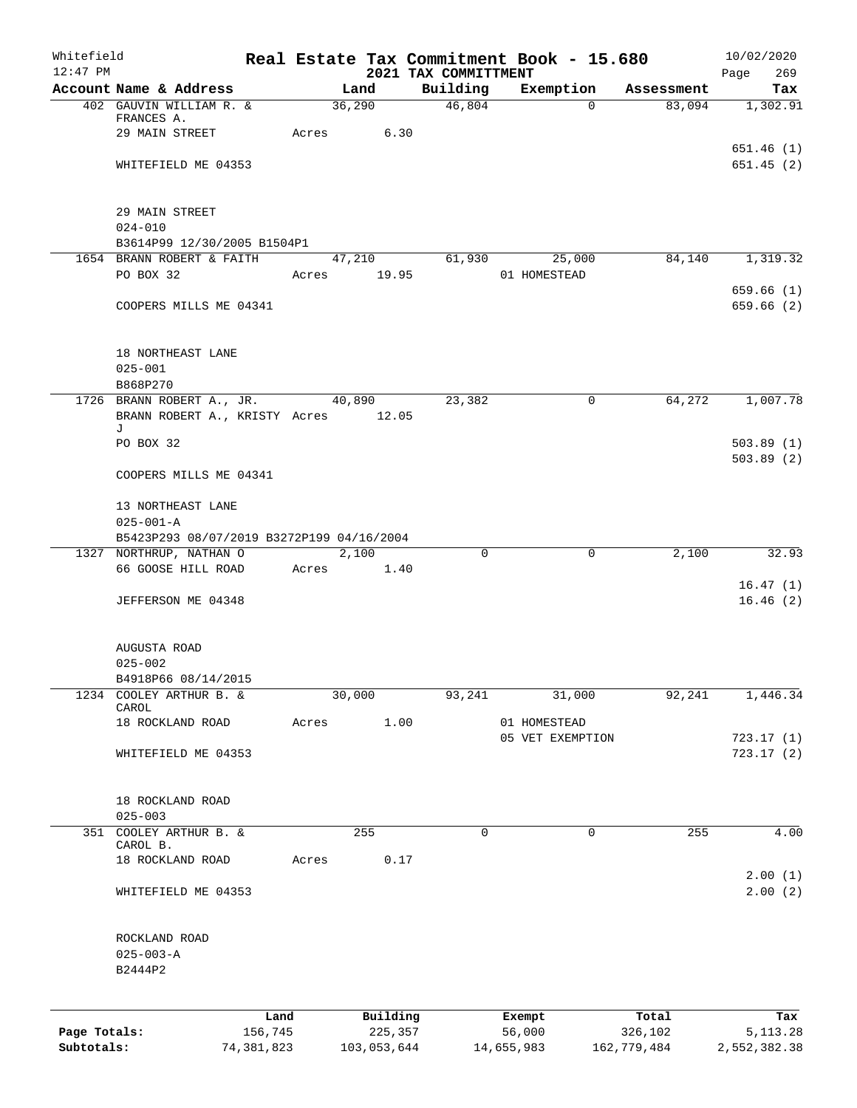| Whitefield   |                                                                  |            |       |             |         |                                  | Real Estate Tax Commitment Book - 15.680 |             |             | 10/02/2020             |
|--------------|------------------------------------------------------------------|------------|-------|-------------|---------|----------------------------------|------------------------------------------|-------------|-------------|------------------------|
| $12:47$ PM   | Account Name & Address                                           |            |       | Land        |         | 2021 TAX COMMITTMENT<br>Building | Exemption                                |             | Assessment  | Page<br>269<br>Tax     |
|              | 402 GAUVIN WILLIAM R. &                                          |            |       | 36,290      |         | 46,804                           |                                          | $\mathbf 0$ | 83,094      | 1,302.91               |
|              | FRANCES A.                                                       |            |       |             |         |                                  |                                          |             |             |                        |
|              | 29 MAIN STREET                                                   |            | Acres |             | 6.30    |                                  |                                          |             |             |                        |
|              |                                                                  |            |       |             |         |                                  |                                          |             |             | 651.46(1)              |
|              | WHITEFIELD ME 04353                                              |            |       |             |         |                                  |                                          |             |             | 651.45(2)              |
|              | 29 MAIN STREET                                                   |            |       |             |         |                                  |                                          |             |             |                        |
|              | $024 - 010$                                                      |            |       |             |         |                                  |                                          |             |             |                        |
|              | B3614P99 12/30/2005 B1504P1                                      |            |       |             |         |                                  |                                          |             |             |                        |
|              | 1654 BRANN ROBERT & FAITH                                        |            |       | 47,210      |         | 61,930                           | 25,000                                   |             | 84,140      | 1,319.32               |
|              | PO BOX 32                                                        |            |       | Acres 19.95 |         |                                  | 01 HOMESTEAD                             |             |             |                        |
|              | COOPERS MILLS ME 04341                                           |            |       |             |         |                                  |                                          |             |             | 659.66(1)<br>659.66(2) |
|              |                                                                  |            |       |             |         |                                  |                                          |             |             |                        |
|              | 18 NORTHEAST LANE                                                |            |       |             |         |                                  |                                          |             |             |                        |
|              | $025 - 001$                                                      |            |       |             |         |                                  |                                          |             |             |                        |
|              | B868P270                                                         |            |       |             |         |                                  |                                          |             |             |                        |
|              | 1726 BRANN ROBERT A., JR.<br>BRANN ROBERT A., KRISTY Acres 12.05 |            |       | 40,890      |         | 23,382                           |                                          | $\mathbf 0$ | 64,272      | 1,007.78               |
|              | J<br>PO BOX 32                                                   |            |       |             |         |                                  |                                          |             |             | 503.89(1)              |
|              | COOPERS MILLS ME 04341                                           |            |       |             |         |                                  |                                          |             |             | 503.89(2)              |
|              | 13 NORTHEAST LANE                                                |            |       |             |         |                                  |                                          |             |             |                        |
|              | $025 - 001 - A$                                                  |            |       |             |         |                                  |                                          |             |             |                        |
|              | B5423P293 08/07/2019 B3272P199 04/16/2004                        |            |       |             |         |                                  |                                          |             |             |                        |
|              | 1327 NORTHRUP, NATHAN O                                          |            |       | 2,100       |         | $\Omega$                         |                                          | $\mathbf 0$ | 2,100       | 32.93                  |
|              | 66 GOOSE HILL ROAD                                               |            | Acres |             | 1.40    |                                  |                                          |             |             | 16.47(1)               |
|              | JEFFERSON ME 04348                                               |            |       |             |         |                                  |                                          |             |             | 16.46(2)               |
|              |                                                                  |            |       |             |         |                                  |                                          |             |             |                        |
|              | AUGUSTA ROAD                                                     |            |       |             |         |                                  |                                          |             |             |                        |
|              | $025 - 002$                                                      |            |       |             |         |                                  |                                          |             |             |                        |
|              | B4918P66 08/14/2015                                              |            |       |             |         |                                  |                                          |             |             |                        |
| 1234         | COOLEY ARTHUR B. &<br>CAROL                                      |            |       | 30,000      |         | 93,241                           | 31,000                                   |             | 92,241      | 1,446.34               |
|              | 18 ROCKLAND ROAD                                                 |            | Acres |             | 1.00    |                                  | 01 HOMESTEAD                             |             |             |                        |
|              |                                                                  |            |       |             |         |                                  | 05 VET EXEMPTION                         |             |             | 723.17(1)              |
|              | WHITEFIELD ME 04353                                              |            |       |             |         |                                  |                                          |             |             | 723.17(2)              |
|              | 18 ROCKLAND ROAD                                                 |            |       |             |         |                                  |                                          |             |             |                        |
|              | $025 - 003$                                                      |            |       |             |         |                                  |                                          |             |             |                        |
|              | 351 COOLEY ARTHUR B. &<br>CAROL B.                               |            |       | 255         |         | 0                                |                                          | 0           | 255         | 4.00                   |
|              | 18 ROCKLAND ROAD                                                 |            | Acres |             | 0.17    |                                  |                                          |             |             |                        |
|              | WHITEFIELD ME 04353                                              |            |       |             |         |                                  |                                          |             |             | 2.00(1)<br>2.00(2)     |
|              |                                                                  |            |       |             |         |                                  |                                          |             |             |                        |
|              | ROCKLAND ROAD<br>$025 - 003 - A$                                 |            |       |             |         |                                  |                                          |             |             |                        |
|              | B2444P2                                                          |            |       |             |         |                                  |                                          |             |             |                        |
|              |                                                                  |            |       |             |         |                                  |                                          |             |             |                        |
|              |                                                                  | Land       |       | Building    |         |                                  | Exempt                                   |             | Total       | Tax                    |
| Page Totals: |                                                                  | 156,745    |       |             | 225,357 |                                  | 56,000                                   |             | 326,102     | 5, 113. 28             |
| Subtotals:   |                                                                  | 74,381,823 |       | 103,053,644 |         |                                  | 14,655,983                               |             | 162,779,484 | 2,552,382.38           |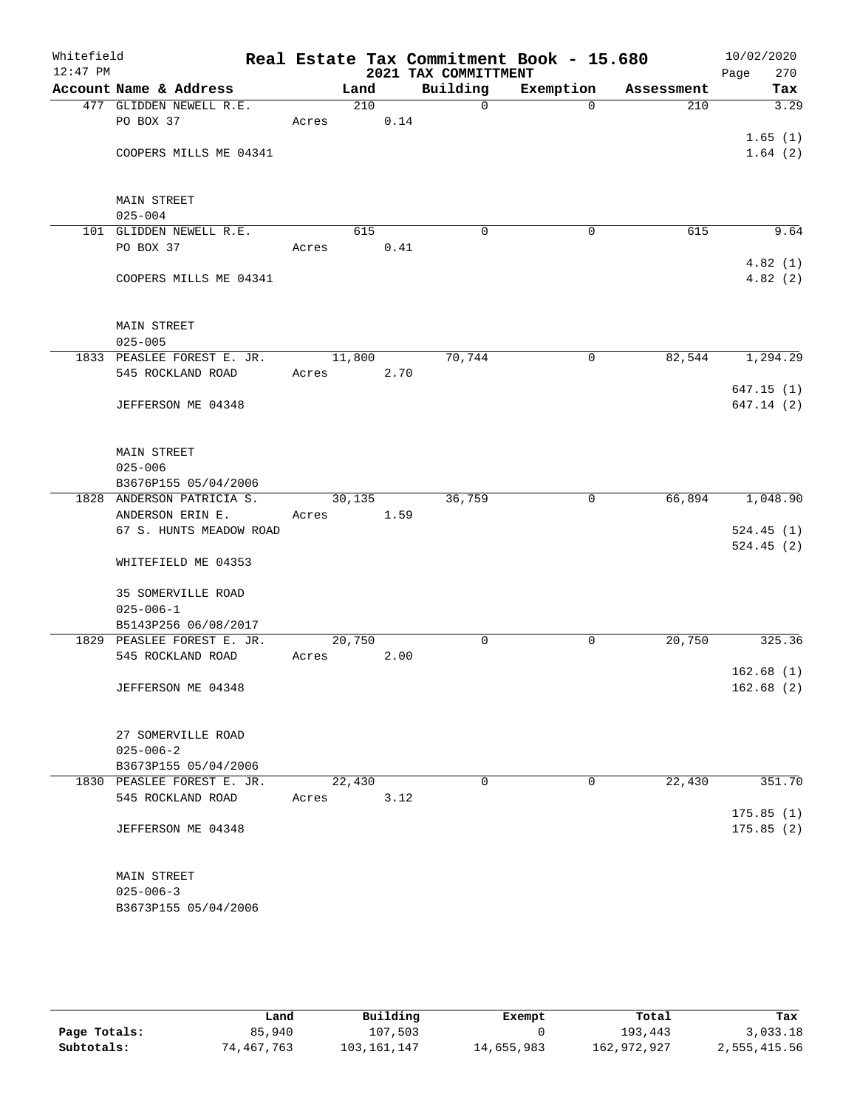| Whitefield<br>$12:47$ PM |                                   |        |        |      | 2021 TAX COMMITTMENT | Real Estate Tax Commitment Book - 15.680 |            | 10/02/2020<br>Page<br>270 |
|--------------------------|-----------------------------------|--------|--------|------|----------------------|------------------------------------------|------------|---------------------------|
|                          | Account Name & Address            |        | Land   |      | Building             | Exemption                                | Assessment | Tax                       |
|                          | 477 GLIDDEN NEWELL R.E.           |        | 210    |      | $\mathsf{O}$         | $\mathbf 0$                              | 210        | 3.29                      |
|                          | PO BOX 37                         | Acres  |        | 0.14 |                      |                                          |            |                           |
|                          |                                   |        |        |      |                      |                                          |            | 1.65(1)                   |
|                          | COOPERS MILLS ME 04341            |        |        |      |                      |                                          |            | 1.64(2)                   |
|                          |                                   |        |        |      |                      |                                          |            |                           |
|                          |                                   |        |        |      |                      |                                          |            |                           |
|                          | <b>MAIN STREET</b>                |        |        |      |                      |                                          |            |                           |
|                          | $025 - 004$                       |        |        |      |                      |                                          |            |                           |
|                          | 101 GLIDDEN NEWELL R.E.           |        | 615    |      | $\mathbf 0$          | $\mathbf 0$                              | 615        | 9.64                      |
|                          | PO BOX 37                         | Acres  |        | 0.41 |                      |                                          |            |                           |
|                          |                                   |        |        |      |                      |                                          |            | 4.82(1)                   |
|                          | COOPERS MILLS ME 04341            |        |        |      |                      |                                          |            | 4.82(2)                   |
|                          |                                   |        |        |      |                      |                                          |            |                           |
|                          |                                   |        |        |      |                      |                                          |            |                           |
|                          | <b>MAIN STREET</b><br>$025 - 005$ |        |        |      |                      |                                          |            |                           |
|                          | 1833 PEASLEE FOREST E. JR.        |        |        |      |                      |                                          |            |                           |
|                          | 545 ROCKLAND ROAD                 |        | 11,800 |      | 70,744               | 0                                        | 82,544     | 1,294.29                  |
|                          |                                   | Acres  |        | 2.70 |                      |                                          |            |                           |
|                          | JEFFERSON ME 04348                |        |        |      |                      |                                          |            | 647.15(1)<br>647.14(2)    |
|                          |                                   |        |        |      |                      |                                          |            |                           |
|                          |                                   |        |        |      |                      |                                          |            |                           |
|                          | <b>MAIN STREET</b>                |        |        |      |                      |                                          |            |                           |
|                          | $025 - 006$                       |        |        |      |                      |                                          |            |                           |
|                          | B3676P155 05/04/2006              |        |        |      |                      |                                          |            |                           |
|                          | 1828 ANDERSON PATRICIA S.         |        | 30,135 |      | 36,759               | 0                                        | 66,894     | 1,048.90                  |
|                          | ANDERSON ERIN E.                  | Acres  |        | 1.59 |                      |                                          |            |                           |
|                          | 67 S. HUNTS MEADOW ROAD           |        |        |      |                      |                                          |            | 524.45(1)                 |
|                          |                                   |        |        |      |                      |                                          |            | 524.45(2)                 |
|                          | WHITEFIELD ME 04353               |        |        |      |                      |                                          |            |                           |
|                          |                                   |        |        |      |                      |                                          |            |                           |
|                          | <b>35 SOMERVILLE ROAD</b>         |        |        |      |                      |                                          |            |                           |
|                          | $025 - 006 - 1$                   |        |        |      |                      |                                          |            |                           |
|                          | B5143P256 06/08/2017              |        |        |      |                      |                                          |            |                           |
|                          | 1829 PEASLEE FOREST E. JR.        | 20,750 |        |      | $\mathbf 0$          | 0                                        | 20,750     | 325.36                    |
|                          | 545 ROCKLAND ROAD                 | Acres  |        | 2.00 |                      |                                          |            |                           |
|                          |                                   |        |        |      |                      |                                          |            | 162.68(1)                 |
|                          | JEFFERSON ME 04348                |        |        |      |                      |                                          |            | 162.68(2)                 |
|                          |                                   |        |        |      |                      |                                          |            |                           |
|                          |                                   |        |        |      |                      |                                          |            |                           |
|                          | 27 SOMERVILLE ROAD                |        |        |      |                      |                                          |            |                           |
|                          | $025 - 006 - 2$                   |        |        |      |                      |                                          |            |                           |
|                          | B3673P155 05/04/2006              |        |        |      |                      |                                          |            |                           |
|                          | 1830 PEASLEE FOREST E. JR.        |        | 22,430 |      | 0                    | 0                                        | 22,430     | 351.70                    |
|                          | 545 ROCKLAND ROAD                 | Acres  |        | 3.12 |                      |                                          |            |                           |
|                          |                                   |        |        |      |                      |                                          |            | 175.85(1)                 |
|                          | JEFFERSON ME 04348                |        |        |      |                      |                                          |            | 175.85(2)                 |
|                          |                                   |        |        |      |                      |                                          |            |                           |
|                          |                                   |        |        |      |                      |                                          |            |                           |
|                          | MAIN STREET<br>$025 - 006 - 3$    |        |        |      |                      |                                          |            |                           |
|                          | B3673P155 05/04/2006              |        |        |      |                      |                                          |            |                           |
|                          |                                   |        |        |      |                      |                                          |            |                           |
|                          |                                   |        |        |      |                      |                                          |            |                           |

|              | Land       | Building    | Exempt     | Total       | Tax          |
|--------------|------------|-------------|------------|-------------|--------------|
| Page Totals: | 85,940     | 107,503     |            | 193,443     | 3,033.18     |
| Subtotals:   | 74,467,763 | 103,161,147 | 14,655,983 | 162,972,927 | 2,555,415.56 |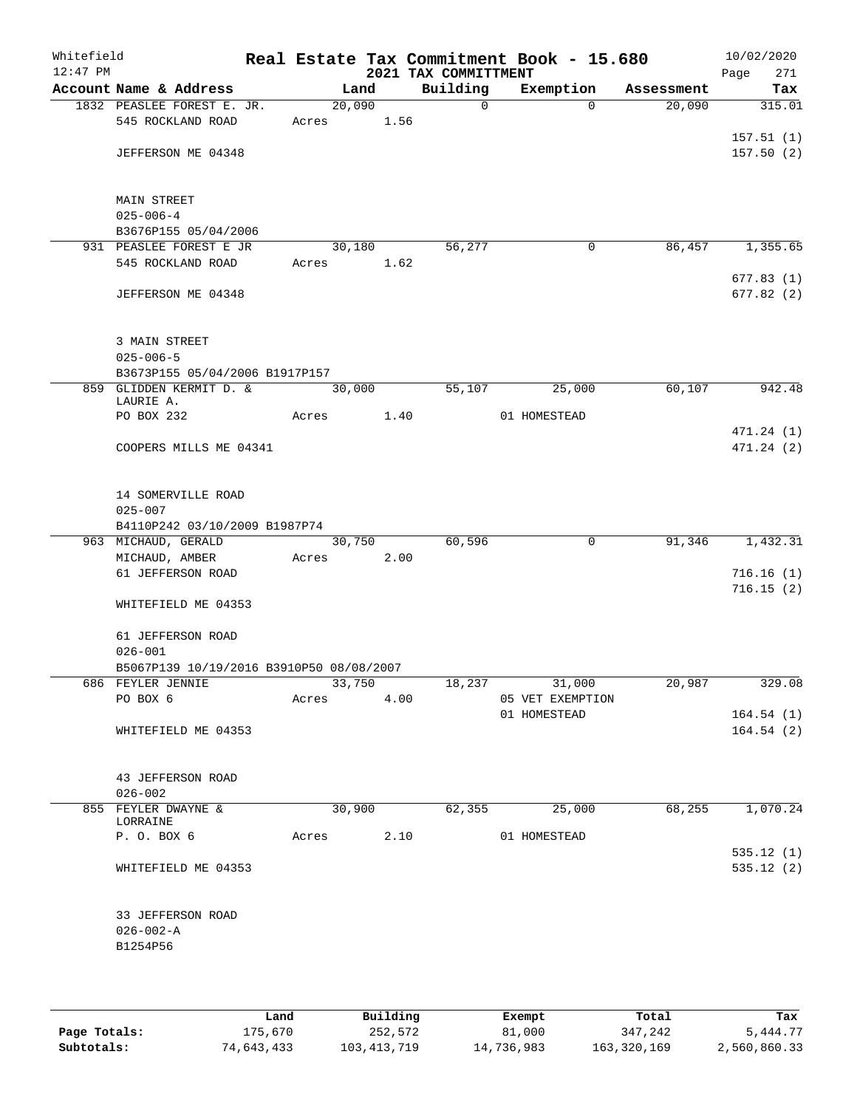| Whitefield<br>$12:47$ PM |                                                         |        |        |      | 2021 TAX COMMITTMENT | Real Estate Tax Commitment Book - 15.680 |            | 10/02/2020<br>271<br>Page |
|--------------------------|---------------------------------------------------------|--------|--------|------|----------------------|------------------------------------------|------------|---------------------------|
|                          | Account Name & Address                                  |        | Land   |      | Building             | Exemption                                | Assessment | Tax                       |
|                          | 1832 PEASLEE FOREST E. JR.                              | 20,090 |        |      | $\Omega$             | $\Omega$                                 | 20,090     | 315.01                    |
|                          | 545 ROCKLAND ROAD                                       | Acres  | 1.56   |      |                      |                                          |            |                           |
|                          | JEFFERSON ME 04348                                      |        |        |      |                      |                                          |            | 157.51(1)<br>157.50(2)    |
|                          |                                                         |        |        |      |                      |                                          |            |                           |
|                          |                                                         |        |        |      |                      |                                          |            |                           |
|                          | MAIN STREET<br>$025 - 006 - 4$                          |        |        |      |                      |                                          |            |                           |
|                          | B3676P155 05/04/2006                                    |        |        |      |                      |                                          |            |                           |
|                          | 931 PEASLEE FOREST E JR                                 |        | 30,180 |      | 56,277               | $\mathbf 0$                              | 86,457     | 1,355.65                  |
|                          | 545 ROCKLAND ROAD                                       | Acres  |        | 1.62 |                      |                                          |            |                           |
|                          |                                                         |        |        |      |                      |                                          |            | 677.83(1)                 |
|                          | JEFFERSON ME 04348                                      |        |        |      |                      |                                          |            | 677.82(2)                 |
|                          |                                                         |        |        |      |                      |                                          |            |                           |
|                          | 3 MAIN STREET                                           |        |        |      |                      |                                          |            |                           |
|                          | $025 - 006 - 5$<br>B3673P155 05/04/2006 B1917P157       |        |        |      |                      |                                          |            |                           |
|                          | 859 GLIDDEN KERMIT D. &                                 |        | 30,000 |      | 55,107               | 25,000                                   | 60,107     | 942.48                    |
|                          | LAURIE A.                                               |        |        |      |                      |                                          |            |                           |
|                          | PO BOX 232                                              | Acres  |        | 1.40 |                      | 01 HOMESTEAD                             |            |                           |
|                          | COOPERS MILLS ME 04341                                  |        |        |      |                      |                                          |            | 471.24 (1)<br>471.24(2)   |
|                          |                                                         |        |        |      |                      |                                          |            |                           |
|                          |                                                         |        |        |      |                      |                                          |            |                           |
|                          | 14 SOMERVILLE ROAD<br>$025 - 007$                       |        |        |      |                      |                                          |            |                           |
|                          | B4110P242 03/10/2009 B1987P74                           |        |        |      |                      |                                          |            |                           |
|                          | 963 MICHAUD, GERALD                                     |        | 30,750 |      | 60,596               | $\mathbf 0$                              | 91,346     | 1,432.31                  |
|                          | MICHAUD, AMBER                                          | Acres  |        | 2.00 |                      |                                          |            |                           |
|                          | 61 JEFFERSON ROAD                                       |        |        |      |                      |                                          |            | 716.16(1)                 |
|                          | WHITEFIELD ME 04353                                     |        |        |      |                      |                                          |            | 716.15(2)                 |
|                          |                                                         |        |        |      |                      |                                          |            |                           |
|                          | 61 JEFFERSON ROAD                                       |        |        |      |                      |                                          |            |                           |
|                          | $026 - 001$<br>B5067P139 10/19/2016 B3910P50 08/08/2007 |        |        |      |                      |                                          |            |                           |
|                          | 686 FEYLER JENNIE                                       |        | 33,750 |      | 18,237               | 31,000                                   | 20,987     | 329.08                    |
|                          | PO BOX 6                                                | Acres  |        | 4.00 |                      | 05 VET EXEMPTION                         |            |                           |
|                          |                                                         |        |        |      |                      | 01 HOMESTEAD                             |            | 164.54(1)                 |
|                          | WHITEFIELD ME 04353                                     |        |        |      |                      |                                          |            | 164.54(2)                 |
|                          |                                                         |        |        |      |                      |                                          |            |                           |
|                          | 43 JEFFERSON ROAD                                       |        |        |      |                      |                                          |            |                           |
|                          | $026 - 002$                                             |        |        |      |                      |                                          |            |                           |
|                          | 855 FEYLER DWAYNE &<br>LORRAINE                         |        | 30,900 |      | 62,355               | 25,000                                   | 68,255     | 1,070.24                  |
|                          | P. O. BOX 6                                             | Acres  |        |      | 2.10                 | 01 HOMESTEAD                             |            |                           |
|                          |                                                         |        |        |      |                      |                                          |            | 535.12(1)                 |
|                          | WHITEFIELD ME 04353                                     |        |        |      |                      |                                          |            | 535.12(2)                 |
|                          |                                                         |        |        |      |                      |                                          |            |                           |
|                          | 33 JEFFERSON ROAD                                       |        |        |      |                      |                                          |            |                           |
|                          | $026 - 002 - A$                                         |        |        |      |                      |                                          |            |                           |
|                          | B1254P56                                                |        |        |      |                      |                                          |            |                           |
|                          |                                                         |        |        |      |                      |                                          |            |                           |
|                          |                                                         |        |        |      |                      |                                          |            |                           |

|              | Land       | Building    | Exempt     | Total       | Tax          |
|--------------|------------|-------------|------------|-------------|--------------|
| Page Totals: | 175,670    | 252,572     | 81,000     | 347,242     | 5,444.77     |
| Subtotals:   | 74,643,433 | 103,413,719 | 14,736,983 | 163,320,169 | 2,560,860.33 |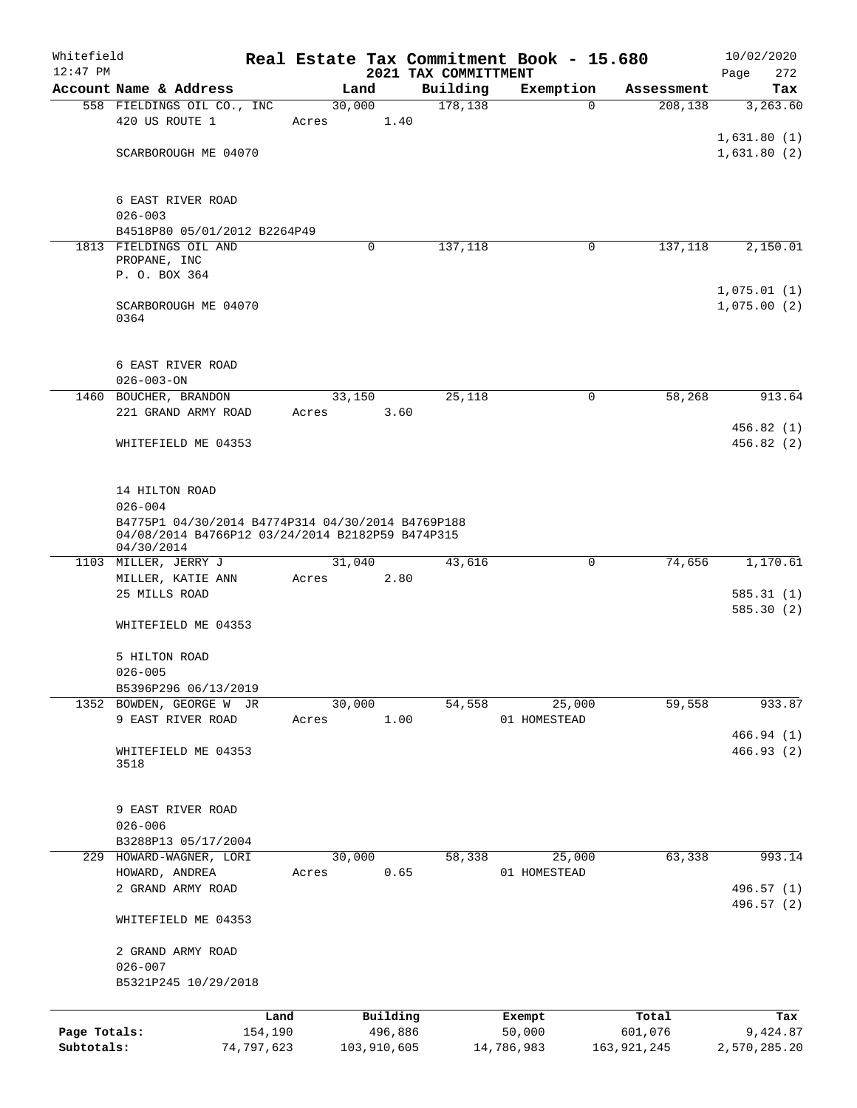| Whitefield<br>$12:47$ PM |                                                                                    |            |       |             |      | Real Estate Tax Commitment Book - 15.680<br>2021 TAX COMMITTMENT |              |               | 10/02/2020<br>272<br>Page |  |  |  |
|--------------------------|------------------------------------------------------------------------------------|------------|-------|-------------|------|------------------------------------------------------------------|--------------|---------------|---------------------------|--|--|--|
|                          | Account Name & Address                                                             |            |       | Land        |      | Building                                                         | Exemption    | Assessment    | Tax                       |  |  |  |
|                          | 558 FIELDINGS OIL CO., INC                                                         |            |       | 30,000      |      | 178,138                                                          | $\Omega$     | 208,138       | 3,263.60                  |  |  |  |
|                          | 420 US ROUTE 1                                                                     |            | Acres |             | 1.40 |                                                                  |              |               |                           |  |  |  |
|                          |                                                                                    |            |       |             |      |                                                                  |              |               | 1,631.80(1)               |  |  |  |
|                          | SCARBOROUGH ME 04070                                                               |            |       |             |      |                                                                  |              |               | 1,631.80(2)               |  |  |  |
|                          |                                                                                    |            |       |             |      |                                                                  |              |               |                           |  |  |  |
|                          |                                                                                    |            |       |             |      |                                                                  |              |               |                           |  |  |  |
|                          | 6 EAST RIVER ROAD                                                                  |            |       |             |      |                                                                  |              |               |                           |  |  |  |
|                          | $026 - 003$                                                                        |            |       |             |      |                                                                  |              |               |                           |  |  |  |
|                          | B4518P80 05/01/2012 B2264P49                                                       |            |       |             |      |                                                                  |              |               |                           |  |  |  |
|                          | 1813 FIELDINGS OIL AND<br>PROPANE, INC                                             |            |       | 0           |      | 137,118                                                          | 0            | 137,118       | 2,150.01                  |  |  |  |
|                          | P. O. BOX 364                                                                      |            |       |             |      |                                                                  |              |               |                           |  |  |  |
|                          |                                                                                    |            |       |             |      |                                                                  |              |               | 1,075.01(1)               |  |  |  |
|                          | SCARBOROUGH ME 04070                                                               |            |       |             |      |                                                                  |              |               | 1,075.00(2)               |  |  |  |
|                          | 0364                                                                               |            |       |             |      |                                                                  |              |               |                           |  |  |  |
|                          |                                                                                    |            |       |             |      |                                                                  |              |               |                           |  |  |  |
|                          |                                                                                    |            |       |             |      |                                                                  |              |               |                           |  |  |  |
|                          | 6 EAST RIVER ROAD                                                                  |            |       |             |      |                                                                  |              |               |                           |  |  |  |
|                          | $026 - 003 - ON$                                                                   |            |       |             |      |                                                                  |              |               |                           |  |  |  |
|                          | 1460 BOUCHER, BRANDON                                                              |            |       | 33,150      |      | 25,118                                                           | $\mathbf 0$  | 58,268        | 913.64                    |  |  |  |
|                          | 221 GRAND ARMY ROAD                                                                |            | Acres |             | 3.60 |                                                                  |              |               |                           |  |  |  |
|                          |                                                                                    |            |       |             |      |                                                                  |              |               | 456.82(1)                 |  |  |  |
|                          | WHITEFIELD ME 04353                                                                |            |       |             |      |                                                                  |              |               | 456.82(2)                 |  |  |  |
|                          |                                                                                    |            |       |             |      |                                                                  |              |               |                           |  |  |  |
|                          |                                                                                    |            |       |             |      |                                                                  |              |               |                           |  |  |  |
|                          |                                                                                    |            |       |             |      |                                                                  |              |               |                           |  |  |  |
|                          | 14 HILTON ROAD<br>$026 - 004$<br>B4775P1 04/30/2014 B4774P314 04/30/2014 B4769P188 |            |       |             |      |                                                                  |              |               |                           |  |  |  |
|                          | 04/08/2014 B4766P12 03/24/2014 B2182P59 B474P315<br>04/30/2014                     |            |       |             |      |                                                                  |              |               |                           |  |  |  |
|                          | 1103 MILLER, JERRY J                                                               |            |       | 31,040      |      | 43,616                                                           | $\mathbf 0$  | 74,656        | 1,170.61                  |  |  |  |
|                          | MILLER, KATIE ANN                                                                  |            | Acres |             | 2.80 |                                                                  |              |               |                           |  |  |  |
|                          | 25 MILLS ROAD                                                                      |            |       |             |      |                                                                  |              |               | 585.31(1)                 |  |  |  |
|                          |                                                                                    |            |       |             |      |                                                                  |              |               | 585.30(2)                 |  |  |  |
|                          | WHITEFIELD ME 04353                                                                |            |       |             |      |                                                                  |              |               |                           |  |  |  |
|                          |                                                                                    |            |       |             |      |                                                                  |              |               |                           |  |  |  |
|                          | 5 HILTON ROAD                                                                      |            |       |             |      |                                                                  |              |               |                           |  |  |  |
|                          | $026 - 005$                                                                        |            |       |             |      |                                                                  |              |               |                           |  |  |  |
|                          | B5396P296 06/13/2019                                                               |            |       |             |      |                                                                  |              |               |                           |  |  |  |
|                          | 1352 BOWDEN, GEORGE W JR                                                           |            |       | 30,000      |      | 54,558                                                           | 25,000       | 59,558        | 933.87                    |  |  |  |
|                          | 9 EAST RIVER ROAD                                                                  |            | Acres |             | 1.00 |                                                                  | 01 HOMESTEAD |               |                           |  |  |  |
|                          |                                                                                    |            |       |             |      |                                                                  |              |               | 466.94(1)                 |  |  |  |
|                          | WHITEFIELD ME 04353<br>3518                                                        |            |       |             |      |                                                                  |              |               | 466.93(2)                 |  |  |  |
|                          |                                                                                    |            |       |             |      |                                                                  |              |               |                           |  |  |  |
|                          |                                                                                    |            |       |             |      |                                                                  |              |               |                           |  |  |  |
|                          | 9 EAST RIVER ROAD                                                                  |            |       |             |      |                                                                  |              |               |                           |  |  |  |
|                          | $026 - 006$                                                                        |            |       |             |      |                                                                  |              |               |                           |  |  |  |
|                          | B3288P13 05/17/2004                                                                |            |       |             |      |                                                                  |              |               |                           |  |  |  |
|                          | 229 HOWARD-WAGNER, LORI                                                            |            |       | 30,000      |      | 58,338                                                           | 25,000       | 63,338        | 993.14                    |  |  |  |
|                          | HOWARD, ANDREA                                                                     |            | Acres |             | 0.65 |                                                                  | 01 HOMESTEAD |               |                           |  |  |  |
|                          | 2 GRAND ARMY ROAD                                                                  |            |       |             |      |                                                                  |              |               | 496.57 (1)                |  |  |  |
|                          |                                                                                    |            |       |             |      |                                                                  |              |               | 496.57 (2)                |  |  |  |
|                          | WHITEFIELD ME 04353                                                                |            |       |             |      |                                                                  |              |               |                           |  |  |  |
|                          |                                                                                    |            |       |             |      |                                                                  |              |               |                           |  |  |  |
|                          | 2 GRAND ARMY ROAD                                                                  |            |       |             |      |                                                                  |              |               |                           |  |  |  |
|                          | $026 - 007$                                                                        |            |       |             |      |                                                                  |              |               |                           |  |  |  |
|                          | B5321P245 10/29/2018                                                               |            |       |             |      |                                                                  |              |               |                           |  |  |  |
|                          |                                                                                    |            |       |             |      |                                                                  |              |               |                           |  |  |  |
|                          |                                                                                    | Land       |       | Building    |      |                                                                  | Exempt       | Total         | Tax                       |  |  |  |
| Page Totals:             |                                                                                    | 154,190    |       | 496,886     |      |                                                                  | 50,000       | 601,076       | 9,424.87                  |  |  |  |
| Subtotals:               |                                                                                    | 74,797,623 |       | 103,910,605 |      |                                                                  | 14,786,983   | 163, 921, 245 | 2,570,285.20              |  |  |  |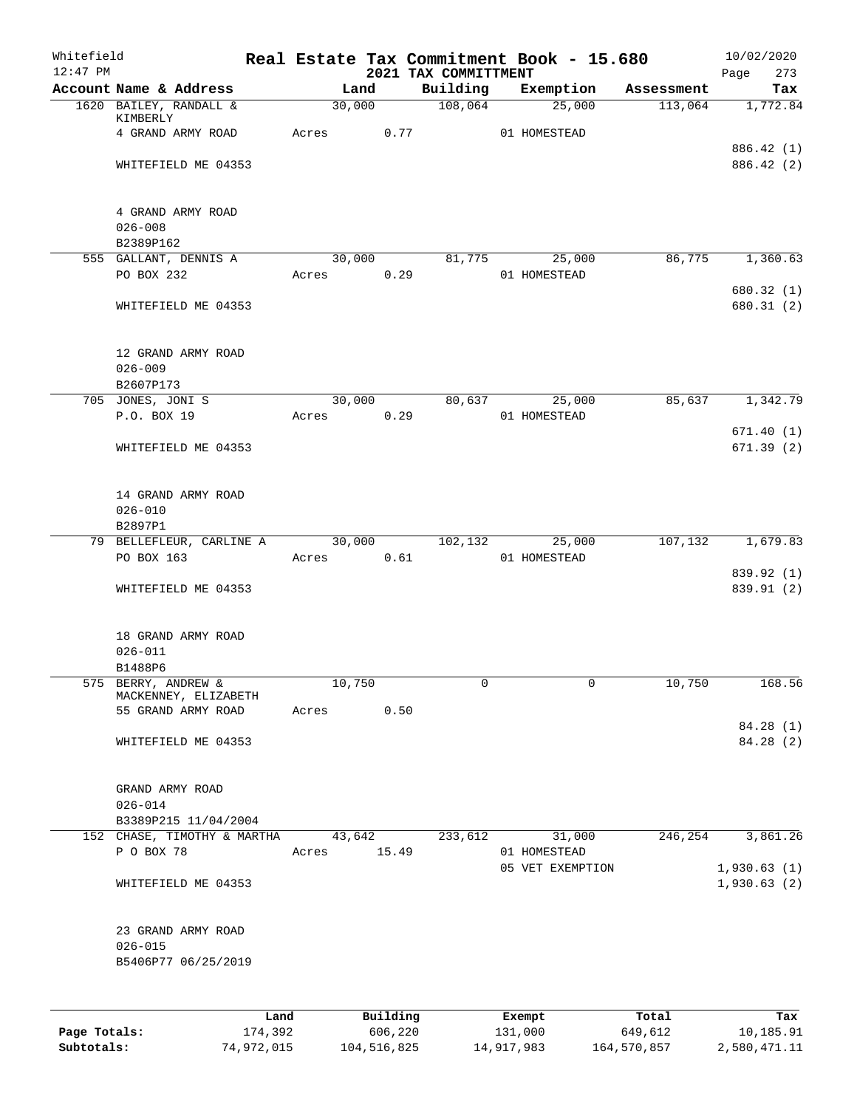| Whitefield<br>$12:47$ PM |                                             |       |        |          | 2021 TAX COMMITTMENT | Real Estate Tax Commitment Book - 15.680 |            | 10/02/2020                 |
|--------------------------|---------------------------------------------|-------|--------|----------|----------------------|------------------------------------------|------------|----------------------------|
|                          | Account Name & Address                      |       | Land   |          | Building             | Exemption                                | Assessment | Page<br>273<br>Tax         |
|                          | 1620 BAILEY, RANDALL &                      |       | 30,000 |          | 108,064              | 25,000                                   | 113,064    | 1,772.84                   |
|                          | KIMBERLY                                    |       |        |          |                      |                                          |            |                            |
|                          | 4 GRAND ARMY ROAD                           | Acres |        | 0.77     |                      | 01 HOMESTEAD                             |            | 886.42 (1)                 |
|                          | WHITEFIELD ME 04353                         |       |        |          |                      |                                          |            | 886.42 (2)                 |
|                          |                                             |       |        |          |                      |                                          |            |                            |
|                          | 4 GRAND ARMY ROAD                           |       |        |          |                      |                                          |            |                            |
|                          | $026 - 008$                                 |       |        |          |                      |                                          |            |                            |
|                          | B2389P162                                   |       |        |          |                      |                                          |            |                            |
|                          | 555 GALLANT, DENNIS A                       |       | 30,000 |          | 81,775               | 25,000                                   | 86,775     | 1,360.63                   |
|                          | PO BOX 232                                  | Acres |        | 0.29     |                      | 01 HOMESTEAD                             |            | 680.32 (1)                 |
|                          | WHITEFIELD ME 04353                         |       |        |          |                      |                                          |            | 680.31 (2)                 |
|                          |                                             |       |        |          |                      |                                          |            |                            |
|                          | 12 GRAND ARMY ROAD                          |       |        |          |                      |                                          |            |                            |
|                          | $026 - 009$                                 |       |        |          |                      |                                          |            |                            |
|                          | B2607P173                                   |       |        |          |                      |                                          |            |                            |
|                          | 705 JONES, JONI S<br>P.O. BOX 19            | Acres | 30,000 | 0.29     | 80,637               | 25,000<br>01 HOMESTEAD                   | 85,637     | 1,342.79                   |
|                          |                                             |       |        |          |                      |                                          |            | 671.40(1)                  |
|                          | WHITEFIELD ME 04353                         |       |        |          |                      |                                          |            | 671.39(2)                  |
|                          |                                             |       |        |          |                      |                                          |            |                            |
|                          | 14 GRAND ARMY ROAD<br>$026 - 010$           |       |        |          |                      |                                          |            |                            |
|                          | B2897P1                                     |       |        |          |                      |                                          |            |                            |
|                          | 79 BELLEFLEUR, CARLINE A                    |       | 30,000 |          | 102,132              | 25,000                                   | 107,132    | 1,679.83                   |
|                          | PO BOX 163                                  | Acres |        | 0.61     |                      | 01 HOMESTEAD                             |            |                            |
|                          | WHITEFIELD ME 04353                         |       |        |          |                      |                                          |            | 839.92 (1)<br>839.91 (2)   |
|                          |                                             |       |        |          |                      |                                          |            |                            |
|                          | 18 GRAND ARMY ROAD                          |       |        |          |                      |                                          |            |                            |
|                          | $026 - 011$                                 |       |        |          |                      |                                          |            |                            |
|                          | B1488P6                                     |       |        |          |                      |                                          |            |                            |
|                          | 575 BERRY, ANDREW &<br>MACKENNEY, ELIZABETH |       | 10,750 |          | 0                    | 0                                        | 10,750     | 168.56                     |
|                          | 55 GRAND ARMY ROAD                          | Acres |        | 0.50     |                      |                                          |            |                            |
|                          |                                             |       |        |          |                      |                                          |            | 84.28 (1)                  |
|                          | WHITEFIELD ME 04353                         |       |        |          |                      |                                          |            | 84.28 (2)                  |
|                          |                                             |       |        |          |                      |                                          |            |                            |
|                          | GRAND ARMY ROAD<br>$026 - 014$              |       |        |          |                      |                                          |            |                            |
|                          | B3389P215 11/04/2004                        |       |        |          |                      |                                          |            |                            |
|                          | 152 CHASE, TIMOTHY & MARTHA                 |       | 43,642 |          | 233,612              | 31,000                                   | 246,254    | 3,861.26                   |
|                          | P O BOX 78                                  | Acres |        | 15.49    |                      | 01 HOMESTEAD                             |            |                            |
|                          | WHITEFIELD ME 04353                         |       |        |          |                      | 05 VET EXEMPTION                         |            | 1,930.63(1)<br>1,930.63(2) |
|                          |                                             |       |        |          |                      |                                          |            |                            |
|                          | 23 GRAND ARMY ROAD                          |       |        |          |                      |                                          |            |                            |
|                          | $026 - 015$                                 |       |        |          |                      |                                          |            |                            |
|                          | B5406P77 06/25/2019                         |       |        |          |                      |                                          |            |                            |
|                          |                                             |       |        |          |                      |                                          |            |                            |
|                          |                                             | Land  |        | Building |                      | Exempt                                   | Total      | Tax                        |
| Page Totals:             | 174,392                                     |       |        | 606,220  |                      | 131,000                                  | 649,612    | 10,185.91                  |

**Subtotals:** 74,972,015 104,516,825 14,917,983 164,570,857 2,580,471.11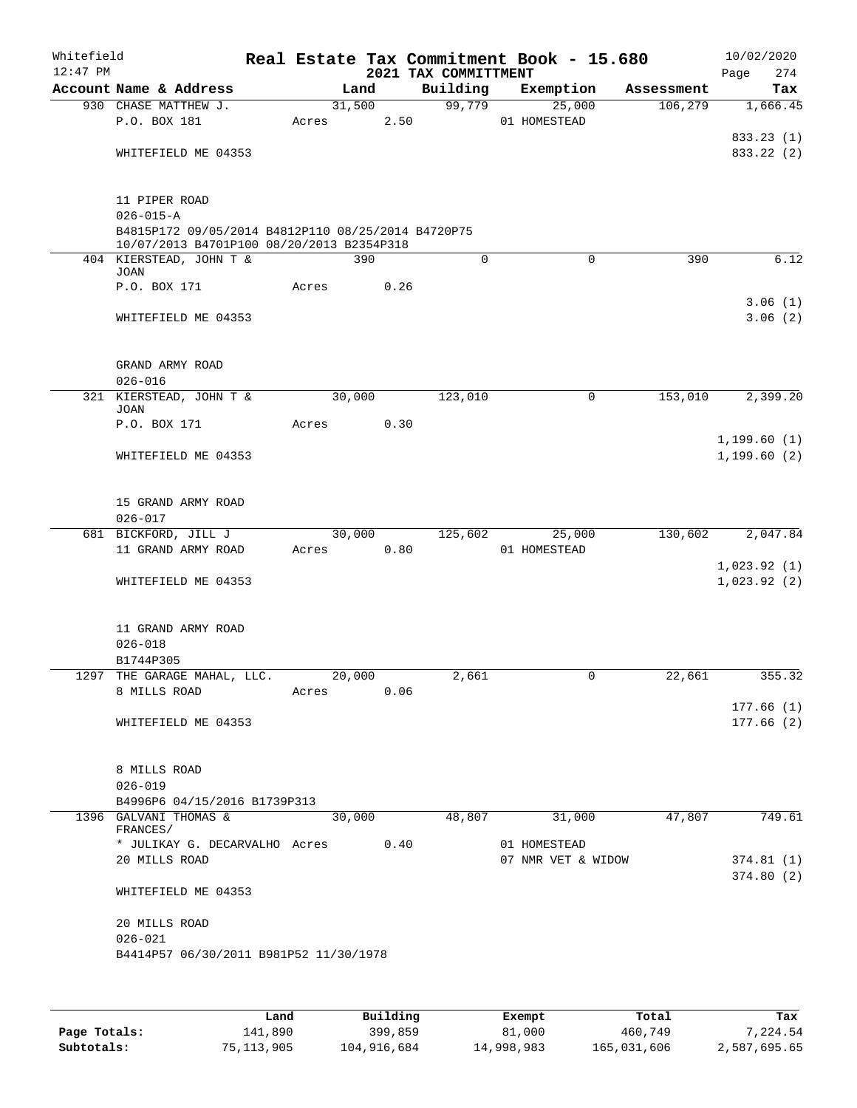| Account Name & Address<br>930 CHASE MATTHEW J.<br>P.O. BOX 181<br>WHITEFIELD ME 04353<br>11 PIPER ROAD<br>$026 - 015 - A$<br>B4815P172 09/05/2014 B4812P110 08/25/2014 B4720P75<br>10/07/2013 B4701P100 08/20/2013 B2354P318<br>404 KIERSTEAD, JOHN T &<br>JOAN<br>P.O. BOX 171<br>WHITEFIELD ME 04353<br>GRAND ARMY ROAD<br>$026 - 016$<br>321 KIERSTEAD, JOHN T &<br><b>JOAN</b> | Acres<br>Acres | Land<br>31,500<br>390                                       | 2.50<br>0.26   | Building<br>99,779<br>0                                              | Exemption<br>25,000<br>01 HOMESTEAD                         | Assessment<br>106, 279<br>390<br>$\Omega$ | Tax<br>1,666.45<br>833.23 (1)<br>833.22 (2)<br>6.12<br>3.06(1)<br>3.06(2) |
|------------------------------------------------------------------------------------------------------------------------------------------------------------------------------------------------------------------------------------------------------------------------------------------------------------------------------------------------------------------------------------|----------------|-------------------------------------------------------------|----------------|----------------------------------------------------------------------|-------------------------------------------------------------|-------------------------------------------|---------------------------------------------------------------------------|
|                                                                                                                                                                                                                                                                                                                                                                                    |                |                                                             |                |                                                                      |                                                             |                                           |                                                                           |
|                                                                                                                                                                                                                                                                                                                                                                                    |                |                                                             |                |                                                                      |                                                             |                                           |                                                                           |
|                                                                                                                                                                                                                                                                                                                                                                                    |                |                                                             |                |                                                                      |                                                             |                                           |                                                                           |
|                                                                                                                                                                                                                                                                                                                                                                                    |                |                                                             |                |                                                                      |                                                             |                                           |                                                                           |
|                                                                                                                                                                                                                                                                                                                                                                                    |                |                                                             |                |                                                                      |                                                             |                                           |                                                                           |
|                                                                                                                                                                                                                                                                                                                                                                                    |                |                                                             |                |                                                                      |                                                             |                                           |                                                                           |
|                                                                                                                                                                                                                                                                                                                                                                                    |                |                                                             |                |                                                                      |                                                             |                                           |                                                                           |
|                                                                                                                                                                                                                                                                                                                                                                                    |                |                                                             |                |                                                                      |                                                             |                                           |                                                                           |
|                                                                                                                                                                                                                                                                                                                                                                                    |                | 30,000                                                      |                | 123,010                                                              |                                                             | 153,010<br>0                              | 2,399.20                                                                  |
|                                                                                                                                                                                                                                                                                                                                                                                    |                |                                                             |                |                                                                      |                                                             |                                           |                                                                           |
| P.O. BOX 171                                                                                                                                                                                                                                                                                                                                                                       | Acres          |                                                             | 0.30           |                                                                      |                                                             |                                           |                                                                           |
| WHITEFIELD ME 04353                                                                                                                                                                                                                                                                                                                                                                |                |                                                             |                |                                                                      |                                                             |                                           | 1,199.60(1)<br>1, 199.60(2)                                               |
| 15 GRAND ARMY ROAD<br>$026 - 017$                                                                                                                                                                                                                                                                                                                                                  |                |                                                             |                |                                                                      |                                                             |                                           |                                                                           |
| 681 BICKFORD, JILL J                                                                                                                                                                                                                                                                                                                                                               |                |                                                             |                |                                                                      |                                                             | 130,602                                   | 2,047.84                                                                  |
| 11 GRAND ARMY ROAD                                                                                                                                                                                                                                                                                                                                                                 |                |                                                             |                |                                                                      | 01 HOMESTEAD                                                |                                           |                                                                           |
| WHITEFIELD ME 04353                                                                                                                                                                                                                                                                                                                                                                |                |                                                             |                |                                                                      |                                                             |                                           | 1,023.92(1)<br>1,023.92(2)                                                |
| 11 GRAND ARMY ROAD<br>$026 - 018$                                                                                                                                                                                                                                                                                                                                                  |                |                                                             |                |                                                                      |                                                             |                                           |                                                                           |
|                                                                                                                                                                                                                                                                                                                                                                                    |                |                                                             |                |                                                                      |                                                             |                                           | 355.32                                                                    |
| 8 MILLS ROAD                                                                                                                                                                                                                                                                                                                                                                       |                |                                                             |                |                                                                      |                                                             |                                           |                                                                           |
|                                                                                                                                                                                                                                                                                                                                                                                    |                |                                                             |                |                                                                      |                                                             |                                           | 177.66(1)                                                                 |
| WHITEFIELD ME 04353                                                                                                                                                                                                                                                                                                                                                                |                |                                                             |                |                                                                      |                                                             |                                           | 177.66(2)                                                                 |
| 8 MILLS ROAD<br>$026 - 019$                                                                                                                                                                                                                                                                                                                                                        |                |                                                             |                |                                                                      |                                                             |                                           |                                                                           |
| 1396 GALVANI THOMAS &                                                                                                                                                                                                                                                                                                                                                              |                |                                                             |                |                                                                      |                                                             | 47,807                                    | 749.61                                                                    |
| FRANCES/<br>20 MILLS ROAD                                                                                                                                                                                                                                                                                                                                                          |                |                                                             |                |                                                                      |                                                             |                                           | 374.81 (1)                                                                |
| WHITEFIELD ME 04353                                                                                                                                                                                                                                                                                                                                                                |                |                                                             |                |                                                                      |                                                             |                                           | 374.80(2)                                                                 |
| 20 MILLS ROAD<br>$026 - 021$                                                                                                                                                                                                                                                                                                                                                       |                |                                                             |                |                                                                      |                                                             |                                           |                                                                           |
|                                                                                                                                                                                                                                                                                                                                                                                    | B1744P305      | 1297 THE GARAGE MAHAL, LLC.<br>B4996P6 04/15/2016 B1739P313 | Acres<br>Acres | 30,000<br>20,000<br>30,000<br>B4414P57 06/30/2011 B981P52 11/30/1978 | 0.80<br>2,661<br>0.06<br>* JULIKAY G. DECARVALHO Acres 0.40 | 125,602<br>48,807                         | 25,000<br>22,661<br>0<br>31,000<br>01 HOMESTEAD<br>07 NMR VET & WIDOW     |

|              | Land       | Building    | Exempt     | Total       | Tax          |
|--------------|------------|-------------|------------|-------------|--------------|
| Page Totals: | 141,890    | 399,859     | 81,000     | 460,749     | 7,224.54     |
| Subtotals:   | 75,113,905 | 104,916,684 | 14,998,983 | 165,031,606 | 2,587,695.65 |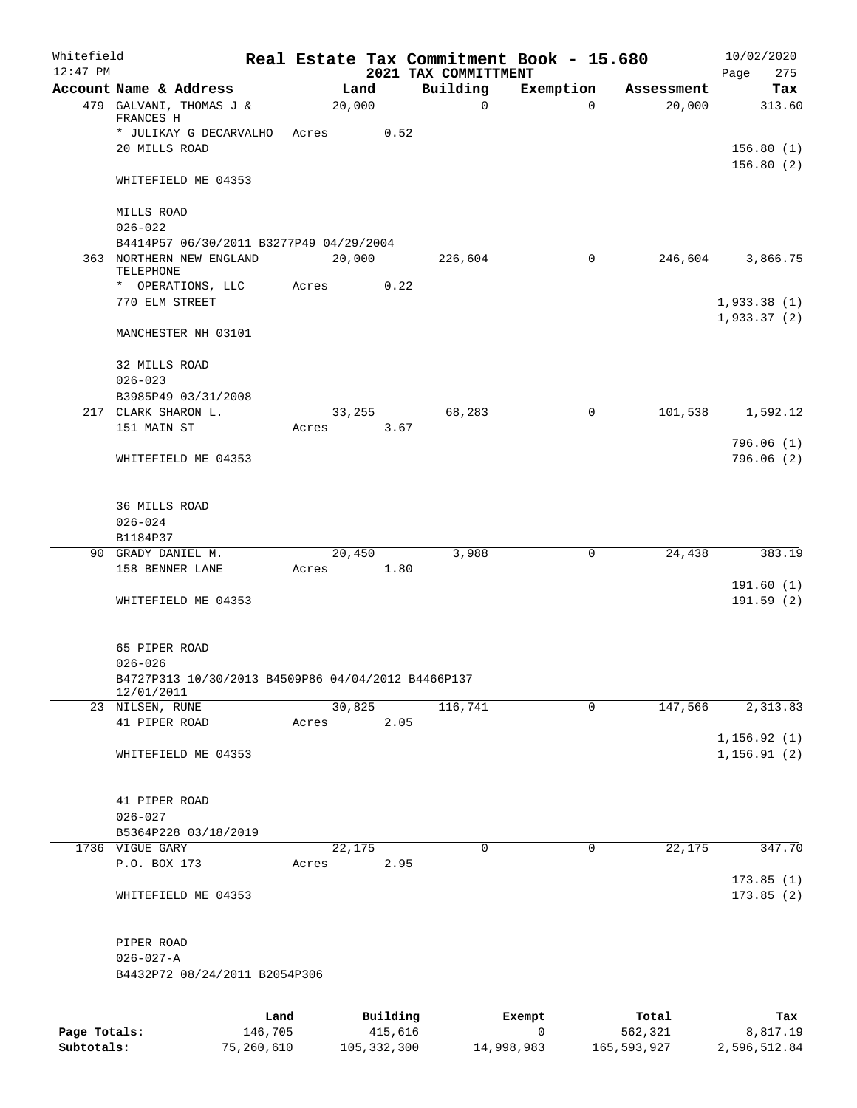| Whitefield<br>$12:47$ PM |                                                                  |         |       |         |          | Real Estate Tax Commitment Book - 15.680<br>2021 TAX COMMITTMENT |              |             |            | 10/02/2020<br>Page<br>275    |
|--------------------------|------------------------------------------------------------------|---------|-------|---------|----------|------------------------------------------------------------------|--------------|-------------|------------|------------------------------|
|                          | Account Name & Address                                           |         |       | Land    |          | Building                                                         | Exemption    |             | Assessment | Tax                          |
|                          | 479 GALVANI, THOMAS J &<br>FRANCES H                             |         |       | 20,000  |          | $\mathbf 0$                                                      |              | $\Omega$    | 20,000     | 313.60                       |
|                          | * JULIKAY G DECARVALHO Acres                                     |         |       |         | 0.52     |                                                                  |              |             |            |                              |
|                          | 20 MILLS ROAD                                                    |         |       |         |          |                                                                  |              |             |            | 156.80(1)<br>156.80(2)       |
|                          | WHITEFIELD ME 04353                                              |         |       |         |          |                                                                  |              |             |            |                              |
|                          | MILLS ROAD<br>$026 - 022$                                        |         |       |         |          |                                                                  |              |             |            |                              |
|                          | B4414P57 06/30/2011 B3277P49 04/29/2004                          |         |       |         |          |                                                                  |              |             |            |                              |
|                          | 363 NORTHERN NEW ENGLAND<br>TELEPHONE                            |         |       | 20,000  |          | 226,604                                                          |              | $\mathbf 0$ | 246,604    | 3,866.75                     |
|                          | * OPERATIONS, LLC                                                |         | Acres |         | 0.22     |                                                                  |              |             |            |                              |
|                          | 770 ELM STREET                                                   |         |       |         |          |                                                                  |              |             |            | 1,933.38(1)<br>1,933.37(2)   |
|                          | MANCHESTER NH 03101                                              |         |       |         |          |                                                                  |              |             |            |                              |
|                          | 32 MILLS ROAD                                                    |         |       |         |          |                                                                  |              |             |            |                              |
|                          | $026 - 023$                                                      |         |       |         |          |                                                                  |              |             |            |                              |
|                          | B3985P49 03/31/2008<br>217 CLARK SHARON L.                       |         |       | 33,255  |          | 68,283                                                           |              | 0           | 101,538    | 1,592.12                     |
|                          | 151 MAIN ST                                                      |         | Acres |         | 3.67     |                                                                  |              |             |            |                              |
|                          |                                                                  |         |       |         |          |                                                                  |              |             |            | 796.06(1)                    |
|                          | WHITEFIELD ME 04353                                              |         |       |         |          |                                                                  |              |             |            | 796.06(2)                    |
|                          | <b>36 MILLS ROAD</b>                                             |         |       |         |          |                                                                  |              |             |            |                              |
|                          | $026 - 024$                                                      |         |       |         |          |                                                                  |              |             |            |                              |
|                          | B1184P37                                                         |         |       |         |          |                                                                  |              |             |            |                              |
|                          | 90 GRADY DANIEL M.                                               |         |       | 20,450  |          | 3,988                                                            |              | 0           | 24,438     | 383.19                       |
|                          | 158 BENNER LANE                                                  |         | Acres |         | 1.80     |                                                                  |              |             |            |                              |
|                          | WHITEFIELD ME 04353                                              |         |       |         |          |                                                                  |              |             |            | 191.60(1)<br>191.59(2)       |
|                          | 65 PIPER ROAD                                                    |         |       |         |          |                                                                  |              |             |            |                              |
|                          | $026 - 026$                                                      |         |       |         |          |                                                                  |              |             |            |                              |
|                          | B4727P313 10/30/2013 B4509P86 04/04/2012 B4466P137<br>12/01/2011 |         |       |         |          |                                                                  |              |             |            |                              |
|                          | 23 NILSEN, RUNE                                                  |         |       | 30,825  |          | 116,741                                                          |              | $\mathbf 0$ | 147,566    | 2,313.83                     |
|                          | 41 PIPER ROAD                                                    |         | Acres |         | 2.05     |                                                                  |              |             |            |                              |
|                          | WHITEFIELD ME 04353                                              |         |       |         |          |                                                                  |              |             |            | 1, 156.92(1)<br>1, 156.91(2) |
|                          | 41 PIPER ROAD                                                    |         |       |         |          |                                                                  |              |             |            |                              |
|                          | $026 - 027$                                                      |         |       |         |          |                                                                  |              |             |            |                              |
|                          | B5364P228 03/18/2019                                             |         |       |         |          |                                                                  |              |             |            |                              |
|                          | 1736 VIGUE GARY                                                  |         |       | 22, 175 |          | 0                                                                |              | $\mathbf 0$ | 22,175     | 347.70                       |
|                          | P.O. BOX 173                                                     |         | Acres |         | 2.95     |                                                                  |              |             |            | 173.85(1)                    |
|                          | WHITEFIELD ME 04353                                              |         |       |         |          |                                                                  |              |             |            | 173.85(2)                    |
|                          | PIPER ROAD                                                       |         |       |         |          |                                                                  |              |             |            |                              |
|                          | $026 - 027 - A$                                                  |         |       |         |          |                                                                  |              |             |            |                              |
|                          | B4432P72 08/24/2011 B2054P306                                    |         |       |         |          |                                                                  |              |             |            |                              |
|                          |                                                                  | Land    |       |         | Building |                                                                  | Exempt       |             | Total      | Tax                          |
| Page Totals:             |                                                                  | 146,705 |       |         | 415,616  |                                                                  | $\mathsf{O}$ |             | 562,321    | 8,817.19                     |

**Subtotals:** 75,260,610 105,332,300 14,998,983 165,593,927 2,596,512.84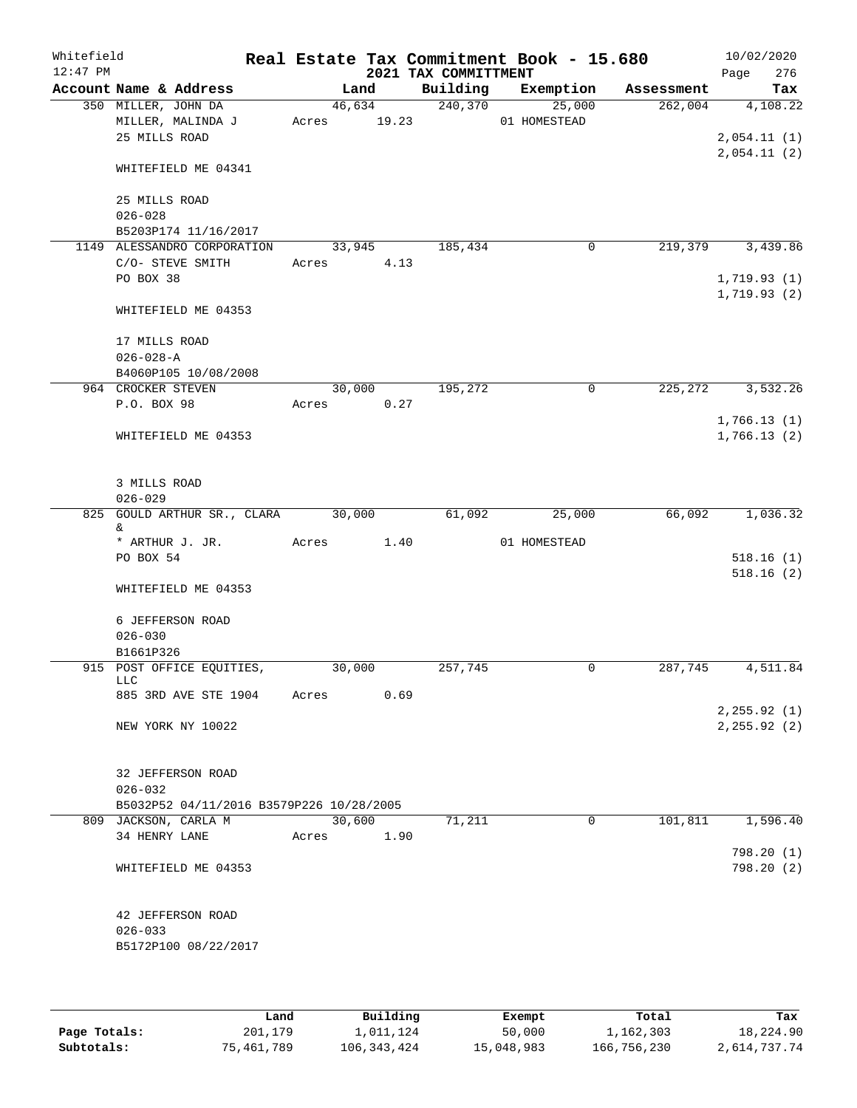| Whitefield<br>$12:47$ PM |                             |                                          |       |             |      | 2021 TAX COMMITTMENT | Real Estate Tax Commitment Book - 15.680 |            | 10/02/2020<br>276<br>Page  |
|--------------------------|-----------------------------|------------------------------------------|-------|-------------|------|----------------------|------------------------------------------|------------|----------------------------|
|                          |                             | Account Name & Address                   |       | Land        |      | Building             | Exemption                                | Assessment | Tax                        |
|                          | 350 MILLER, JOHN DA         |                                          |       | 46,634      |      | 240,370              | 25,000                                   | 262,004    | 4,108.22                   |
|                          |                             | MILLER, MALINDA J                        |       | Acres 19.23 |      |                      | 01 HOMESTEAD                             |            |                            |
|                          | 25 MILLS ROAD               |                                          |       |             |      |                      |                                          |            | 2,054.11(1)<br>2,054.11(2) |
|                          |                             | WHITEFIELD ME 04341                      |       |             |      |                      |                                          |            |                            |
|                          | 25 MILLS ROAD               |                                          |       |             |      |                      |                                          |            |                            |
|                          | $026 - 028$                 | B5203P174 11/16/2017                     |       |             |      |                      |                                          |            |                            |
|                          |                             | 1149 ALESSANDRO CORPORATION              |       | 33,945      |      | 185,434              | $\mathbf 0$                              | 219,379    | 3,439.86                   |
|                          |                             | C/O- STEVE SMITH                         | Acres |             | 4.13 |                      |                                          |            |                            |
|                          | PO BOX 38                   |                                          |       |             |      |                      |                                          |            | 1,719.93(1)                |
|                          |                             | WHITEFIELD ME 04353                      |       |             |      |                      |                                          |            | 1,719.93(2)                |
|                          | 17 MILLS ROAD               |                                          |       |             |      |                      |                                          |            |                            |
|                          | $026 - 028 - A$             |                                          |       |             |      |                      |                                          |            |                            |
|                          |                             | B4060P105 10/08/2008                     |       |             |      |                      |                                          |            |                            |
|                          | 964 CROCKER STEVEN          |                                          |       | 30,000      |      | 195,272              | $\mathbf 0$                              | 225,272    | 3,532.26                   |
|                          | P.O. BOX 98                 |                                          |       | Acres 0.27  |      |                      |                                          |            |                            |
|                          |                             | WHITEFIELD ME 04353                      |       |             |      |                      |                                          |            | 1,766.13(1)<br>1,766.13(2) |
|                          | 3 MILLS ROAD<br>$026 - 029$ |                                          |       |             |      |                      |                                          |            |                            |
|                          |                             | 825 GOULD ARTHUR SR., CLARA              |       | 30,000      |      | 61,092               | 25,000                                   | 66,092     | 1,036.32                   |
|                          | &                           |                                          |       |             |      |                      |                                          |            |                            |
|                          |                             | * ARTHUR J. JR.                          | Acres |             | 1.40 |                      | 01 HOMESTEAD                             |            |                            |
|                          | PO BOX 54                   |                                          |       |             |      |                      |                                          |            | 518.16(1)<br>518.16(2)     |
|                          |                             | WHITEFIELD ME 04353                      |       |             |      |                      |                                          |            |                            |
|                          |                             | 6 JEFFERSON ROAD                         |       |             |      |                      |                                          |            |                            |
|                          | $026 - 030$                 |                                          |       |             |      |                      |                                          |            |                            |
|                          | B1661P326                   |                                          |       |             |      |                      |                                          |            |                            |
|                          | LLC.                        | 915 POST OFFICE EQUITIES,                |       | 30,000      |      | 257,745              | 0                                        | 287,745    | 4,511.84                   |
|                          |                             | 885 3RD AVE STE 1904                     | Acres |             | 0.69 |                      |                                          |            |                            |
|                          |                             |                                          |       |             |      |                      |                                          |            | 2,255.92 (1)               |
|                          |                             | NEW YORK NY 10022                        |       |             |      |                      |                                          |            | 2, 255.92(2)               |
|                          |                             | 32 JEFFERSON ROAD                        |       |             |      |                      |                                          |            |                            |
|                          | $026 - 032$                 |                                          |       |             |      |                      |                                          |            |                            |
|                          |                             | B5032P52 04/11/2016 B3579P226 10/28/2005 |       |             |      |                      |                                          |            |                            |
|                          |                             | 809 JACKSON, CARLA M                     |       | 30,600      |      | 71,211               | $\mathbf 0$                              | 101,811    | 1,596.40                   |
|                          | 34 HENRY LANE               |                                          | Acres |             | 1.90 |                      |                                          |            | 798.20(1)                  |
|                          |                             | WHITEFIELD ME 04353                      |       |             |      |                      |                                          |            | 798.20(2)                  |
|                          |                             | 42 JEFFERSON ROAD                        |       |             |      |                      |                                          |            |                            |
|                          | $026 - 033$                 |                                          |       |             |      |                      |                                          |            |                            |
|                          |                             | B5172P100 08/22/2017                     |       |             |      |                      |                                          |            |                            |
|                          |                             |                                          |       |             |      |                      |                                          |            |                            |
|                          |                             |                                          |       |             |      |                      |                                          |            |                            |

|              | Land       | Building    | Exempt     | Total       | Tax          |
|--------------|------------|-------------|------------|-------------|--------------|
| Page Totals: | 201,179    | 1,011,124   | 50,000     | 1,162,303   | 18,224.90    |
| Subtotals:   | 75,461,789 | 106,343,424 | 15,048,983 | 166,756,230 | 2,614,737.74 |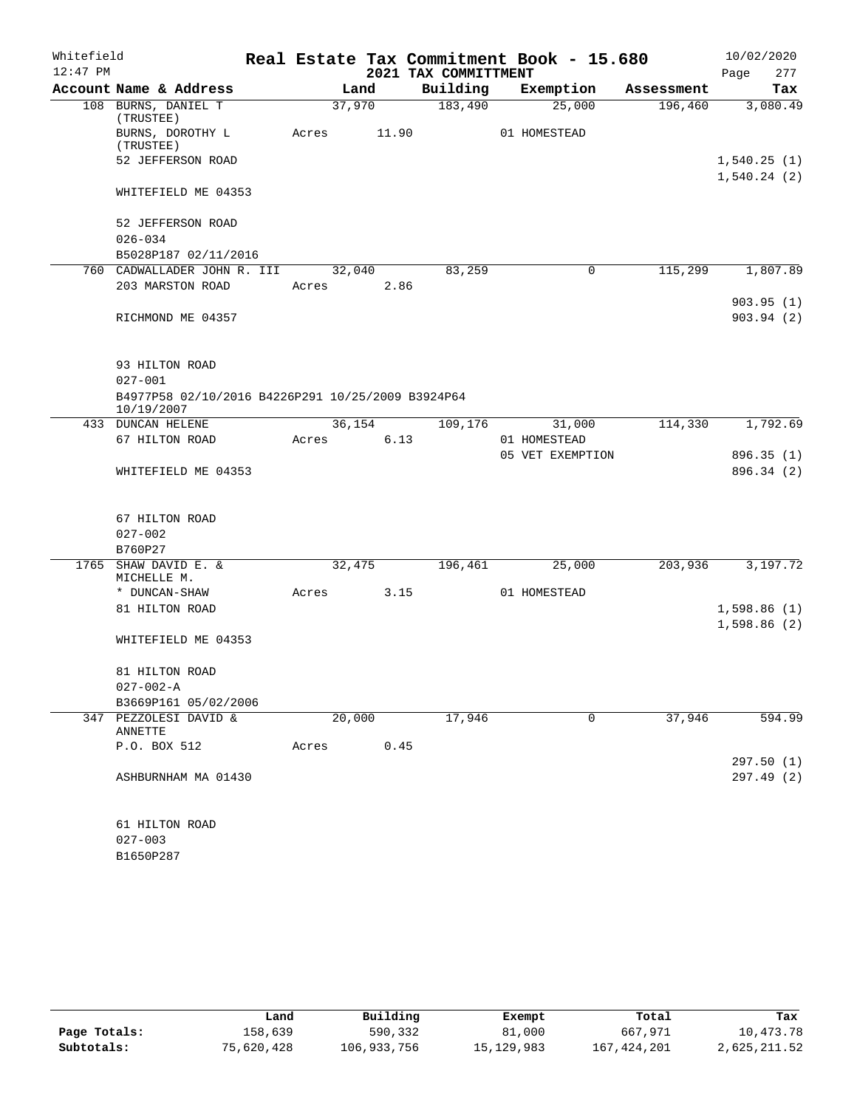| Whitefield |                                                                 |       |        |       |                      | Real Estate Tax Commitment Book - 15.680 |            |                            | 10/02/2020 |
|------------|-----------------------------------------------------------------|-------|--------|-------|----------------------|------------------------------------------|------------|----------------------------|------------|
| $12:47$ PM |                                                                 |       |        |       | 2021 TAX COMMITTMENT |                                          |            | Page                       | 277        |
|            | Account Name & Address                                          |       | Land   |       | Building             | Exemption                                | Assessment |                            | Tax        |
|            | 108 BURNS, DANIEL T<br>(TRUSTEE)                                |       | 37,970 |       | 183,490              | 25,000                                   | 196,460    |                            | 3,080.49   |
|            | BURNS, DOROTHY L<br>(TRUSTEE)                                   | Acres |        | 11.90 |                      | 01 HOMESTEAD                             |            |                            |            |
|            | 52 JEFFERSON ROAD                                               |       |        |       |                      |                                          |            | 1,540.25(1)<br>1,540.24(2) |            |
|            | WHITEFIELD ME 04353                                             |       |        |       |                      |                                          |            |                            |            |
|            | 52 JEFFERSON ROAD                                               |       |        |       |                      |                                          |            |                            |            |
|            | $026 - 034$                                                     |       |        |       |                      |                                          |            |                            |            |
|            | B5028P187 02/11/2016                                            |       |        |       |                      |                                          |            |                            |            |
|            | 760 CADWALLADER JOHN R. III                                     |       | 32,040 |       | 83,259               | 0                                        | 115,299    |                            | 1,807.89   |
|            | 203 MARSTON ROAD                                                | Acres |        | 2.86  |                      |                                          |            |                            | 903.95(1)  |
|            | RICHMOND ME 04357                                               |       |        |       |                      |                                          |            |                            | 903.94(2)  |
|            |                                                                 |       |        |       |                      |                                          |            |                            |            |
|            | 93 HILTON ROAD                                                  |       |        |       |                      |                                          |            |                            |            |
|            | $027 - 001$                                                     |       |        |       |                      |                                          |            |                            |            |
|            | B4977P58 02/10/2016 B4226P291 10/25/2009 B3924P64<br>10/19/2007 |       |        |       |                      |                                          |            |                            |            |
|            | 433 DUNCAN HELENE                                               |       | 36,154 |       | 109,176              | 31,000                                   | 114,330    |                            | 1,792.69   |
|            | 67 HILTON ROAD                                                  | Acres |        | 6.13  |                      | 01 HOMESTEAD                             |            |                            |            |
|            |                                                                 |       |        |       |                      | 05 VET EXEMPTION                         |            |                            | 896.35 (1) |
|            | WHITEFIELD ME 04353                                             |       |        |       |                      |                                          |            |                            | 896.34 (2) |
|            |                                                                 |       |        |       |                      |                                          |            |                            |            |
|            | 67 HILTON ROAD                                                  |       |        |       |                      |                                          |            |                            |            |
|            | $027 - 002$                                                     |       |        |       |                      |                                          |            |                            |            |
|            | B760P27                                                         |       |        |       |                      |                                          |            |                            |            |
|            | 1765 SHAW DAVID E. &<br>MICHELLE M.                             |       | 32,475 |       | 196,461              | 25,000                                   | 203,936    |                            | 3,197.72   |
|            | * DUNCAN-SHAW                                                   | Acres |        | 3.15  |                      | 01 HOMESTEAD                             |            |                            |            |
|            | 81 HILTON ROAD                                                  |       |        |       |                      |                                          |            | 1,598.86(1)                |            |
|            |                                                                 |       |        |       |                      |                                          |            | 1,598.86(2)                |            |
|            | WHITEFIELD ME 04353                                             |       |        |       |                      |                                          |            |                            |            |
|            | 81 HILTON ROAD                                                  |       |        |       |                      |                                          |            |                            |            |
|            | $027 - 002 - A$                                                 |       |        |       |                      |                                          |            |                            |            |
|            | B3669P161 05/02/2006                                            |       |        |       |                      |                                          |            |                            |            |
|            | 347 PEZZOLESI DAVID &                                           |       | 20,000 |       | 17,946               | $\mathbf 0$                              | 37,946     |                            | 594.99     |
|            | ANNETTE                                                         |       |        |       |                      |                                          |            |                            |            |
|            | P.O. BOX 512                                                    | Acres |        | 0.45  |                      |                                          |            |                            |            |
|            |                                                                 |       |        |       |                      |                                          |            |                            | 297.50(1)  |
|            | ASHBURNHAM MA 01430                                             |       |        |       |                      |                                          |            |                            | 297.49 (2) |
|            | 61 HILTON ROAD                                                  |       |        |       |                      |                                          |            |                            |            |
|            | $027 - 003$                                                     |       |        |       |                      |                                          |            |                            |            |
|            | B1650P287                                                       |       |        |       |                      |                                          |            |                            |            |

|              | Land       | Building    | Exempt     | Total       | Tax          |
|--------------|------------|-------------|------------|-------------|--------------|
| Page Totals: | 158,639    | 590,332     | 81,000     | 667,971     | 10,473.78    |
| Subtotals:   | 75,620,428 | 106,933,756 | 15,129,983 | 167,424,201 | 2,625,211.52 |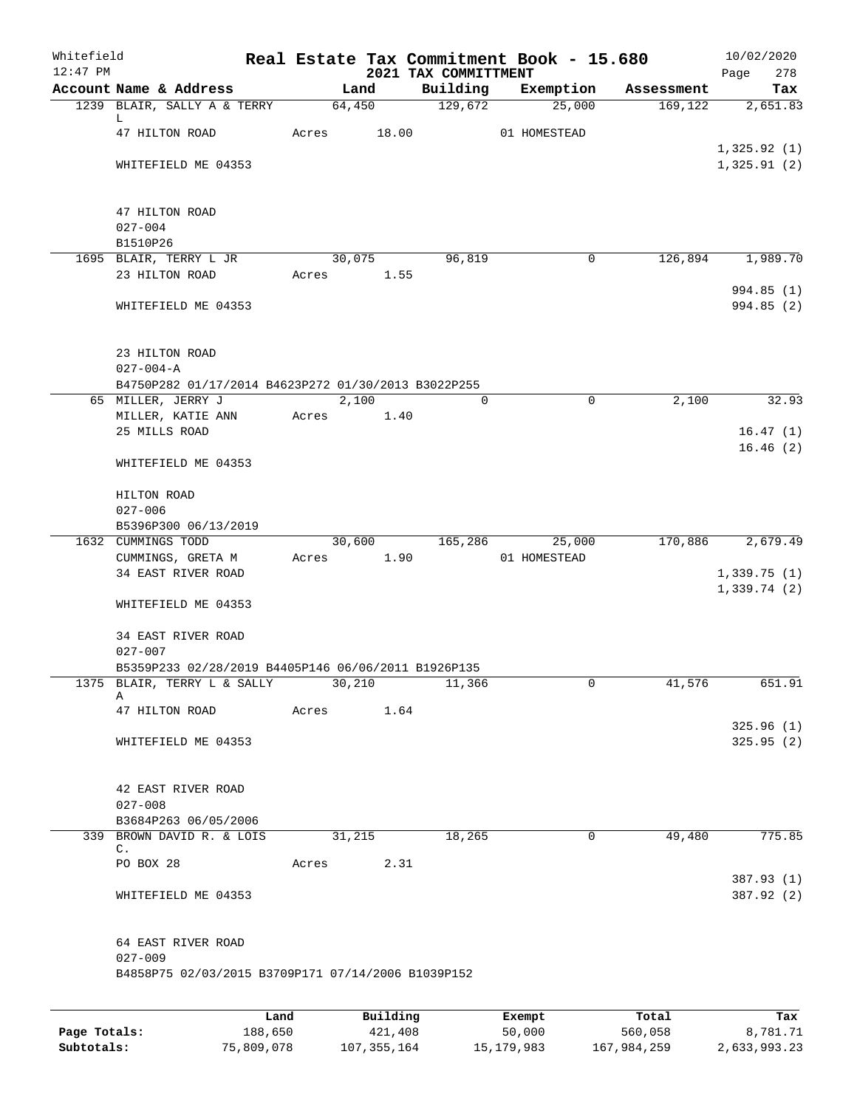| Whitefield<br>$12:47$ PM |                                                                        |      |       |        |          |  | 2021 TAX COMMITTMENT |  | Real Estate Tax Commitment Book - 15.680 |            | 10/02/2020<br>278<br>Page  |
|--------------------------|------------------------------------------------------------------------|------|-------|--------|----------|--|----------------------|--|------------------------------------------|------------|----------------------------|
|                          | Account Name & Address                                                 |      |       | Land   |          |  | Building             |  | Exemption                                | Assessment | Tax                        |
|                          | 1239 BLAIR, SALLY A & TERRY                                            |      |       | 64,450 |          |  | 129,672              |  | 25,000                                   | 169, 122   | 2,651.83                   |
|                          | L.                                                                     |      |       |        |          |  |                      |  |                                          |            |                            |
|                          | 47 HILTON ROAD                                                         |      | Acres |        | 18.00    |  |                      |  | 01 HOMESTEAD                             |            |                            |
|                          | WHITEFIELD ME 04353                                                    |      |       |        |          |  |                      |  |                                          |            | 1,325.92(1)<br>1,325.91(2) |
|                          |                                                                        |      |       |        |          |  |                      |  |                                          |            |                            |
|                          |                                                                        |      |       |        |          |  |                      |  |                                          |            |                            |
|                          | 47 HILTON ROAD                                                         |      |       |        |          |  |                      |  |                                          |            |                            |
|                          | $027 - 004$                                                            |      |       |        |          |  |                      |  |                                          |            |                            |
|                          | B1510P26                                                               |      |       |        |          |  |                      |  | 0                                        | 126,894    | 1,989.70                   |
|                          | 1695 BLAIR, TERRY L JR<br>23 HILTON ROAD                               |      | Acres | 30,075 | 1.55     |  | 96,819               |  |                                          |            |                            |
|                          |                                                                        |      |       |        |          |  |                      |  |                                          |            | 994.85 (1)                 |
|                          | WHITEFIELD ME 04353                                                    |      |       |        |          |  |                      |  |                                          |            | 994.85(2)                  |
|                          |                                                                        |      |       |        |          |  |                      |  |                                          |            |                            |
|                          |                                                                        |      |       |        |          |  |                      |  |                                          |            |                            |
|                          | 23 HILTON ROAD                                                         |      |       |        |          |  |                      |  |                                          |            |                            |
|                          | $027 - 004 - A$<br>B4750P282 01/17/2014 B4623P272 01/30/2013 B3022P255 |      |       |        |          |  |                      |  |                                          |            |                            |
|                          | 65 MILLER, JERRY J                                                     |      |       | 2,100  |          |  | 0                    |  | $\mathbf 0$                              | 2,100      | 32.93                      |
|                          | MILLER, KATIE ANN                                                      |      | Acres |        | 1.40     |  |                      |  |                                          |            |                            |
|                          | 25 MILLS ROAD                                                          |      |       |        |          |  |                      |  |                                          |            | 16.47(1)                   |
|                          |                                                                        |      |       |        |          |  |                      |  |                                          |            | 16.46(2)                   |
|                          | WHITEFIELD ME 04353                                                    |      |       |        |          |  |                      |  |                                          |            |                            |
|                          |                                                                        |      |       |        |          |  |                      |  |                                          |            |                            |
|                          | HILTON ROAD<br>$027 - 006$                                             |      |       |        |          |  |                      |  |                                          |            |                            |
|                          | B5396P300 06/13/2019                                                   |      |       |        |          |  |                      |  |                                          |            |                            |
|                          | 1632 CUMMINGS TODD                                                     |      |       | 30,600 |          |  | 165,286              |  | 25,000                                   | 170,886    | 2,679.49                   |
|                          | CUMMINGS, GRETA M                                                      |      | Acres |        | 1.90     |  |                      |  | 01 HOMESTEAD                             |            |                            |
|                          | 34 EAST RIVER ROAD                                                     |      |       |        |          |  |                      |  |                                          |            | 1,339.75(1)                |
|                          |                                                                        |      |       |        |          |  |                      |  |                                          |            | 1,339.74(2)                |
|                          | WHITEFIELD ME 04353                                                    |      |       |        |          |  |                      |  |                                          |            |                            |
|                          | 34 EAST RIVER ROAD                                                     |      |       |        |          |  |                      |  |                                          |            |                            |
|                          | $027 - 007$                                                            |      |       |        |          |  |                      |  |                                          |            |                            |
|                          | B5359P233 02/28/2019 B4405P146 06/06/2011 B1926P135                    |      |       |        |          |  |                      |  |                                          |            |                            |
|                          | 1375 BLAIR, TERRY L & SALLY                                            |      |       | 30,210 |          |  | 11,366               |  | 0                                        | 41,576     | 651.91                     |
|                          | Α<br>47 HILTON ROAD                                                    |      | Acres |        | 1.64     |  |                      |  |                                          |            |                            |
|                          |                                                                        |      |       |        |          |  |                      |  |                                          |            | 325.96(1)                  |
|                          | WHITEFIELD ME 04353                                                    |      |       |        |          |  |                      |  |                                          |            | 325.95(2)                  |
|                          |                                                                        |      |       |        |          |  |                      |  |                                          |            |                            |
|                          |                                                                        |      |       |        |          |  |                      |  |                                          |            |                            |
|                          | 42 EAST RIVER ROAD<br>$027 - 008$                                      |      |       |        |          |  |                      |  |                                          |            |                            |
|                          | B3684P263 06/05/2006                                                   |      |       |        |          |  |                      |  |                                          |            |                            |
|                          | 339 BROWN DAVID R. & LOIS                                              |      |       | 31,215 |          |  | 18,265               |  | $\mathbf 0$                              | 49,480     | 775.85                     |
|                          | $\mathsf{C}$ .                                                         |      |       |        |          |  |                      |  |                                          |            |                            |
|                          | PO BOX 28                                                              |      | Acres |        | 2.31     |  |                      |  |                                          |            |                            |
|                          |                                                                        |      |       |        |          |  |                      |  |                                          |            | 387.93 (1)<br>387.92 (2)   |
|                          | WHITEFIELD ME 04353                                                    |      |       |        |          |  |                      |  |                                          |            |                            |
|                          |                                                                        |      |       |        |          |  |                      |  |                                          |            |                            |
|                          | 64 EAST RIVER ROAD                                                     |      |       |        |          |  |                      |  |                                          |            |                            |
|                          | $027 - 009$                                                            |      |       |        |          |  |                      |  |                                          |            |                            |
|                          | B4858P75 02/03/2015 B3709P171 07/14/2006 B1039P152                     |      |       |        |          |  |                      |  |                                          |            |                            |
|                          |                                                                        |      |       |        |          |  |                      |  |                                          |            |                            |
|                          |                                                                        | Land |       |        | Building |  |                      |  | Exempt                                   | Total      | Tax                        |

|              | nana       | <b>DUITOTII</b> | LACINUL    | TOLAT       | ias.         |
|--------------|------------|-----------------|------------|-------------|--------------|
| Page Totals: | 188,650    | 421,408         | 50,000     | 560,058     | 8,781.71     |
| Subtotals:   | 75,809,078 | 107,355,164     | 15,179,983 | 167,984,259 | 2,633,993.23 |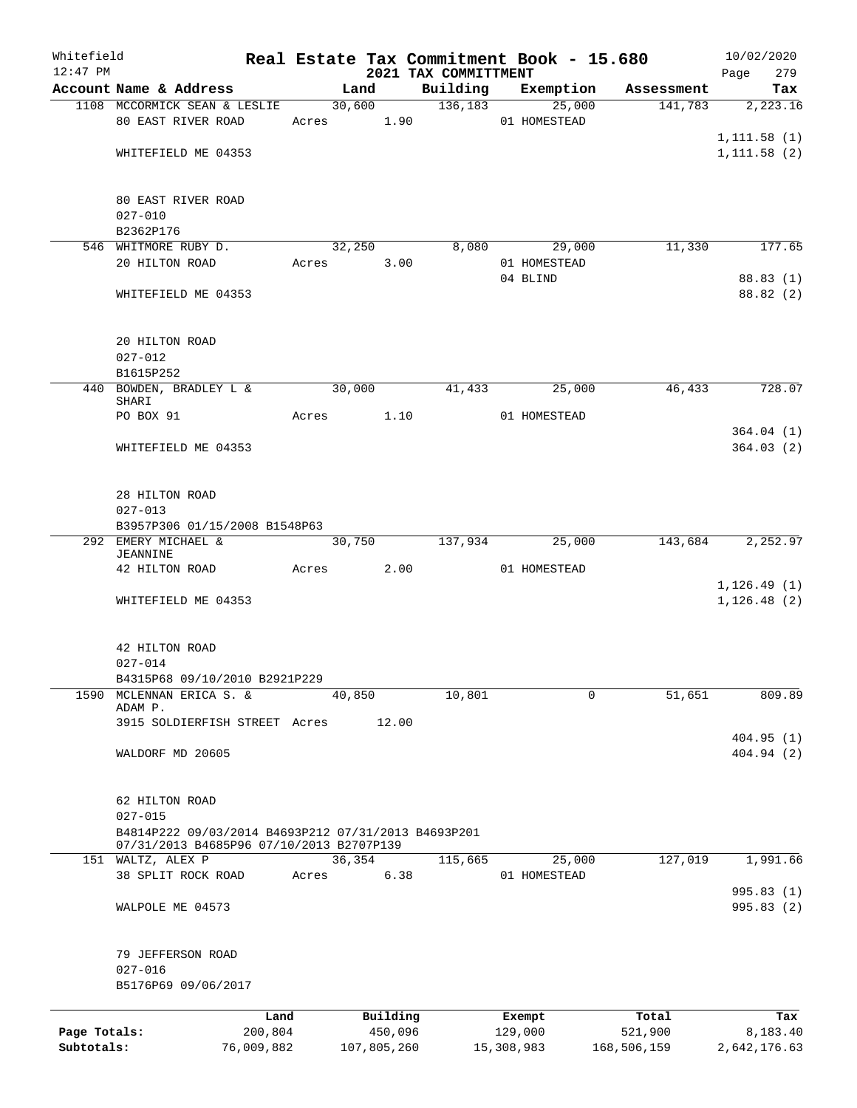| Whitefield<br>$12:47$ PM |                                                     |       |             |          | 2021 TAX COMMITTMENT  | Real Estate Tax Commitment Book - 15.680 |                               | 10/02/2020<br>279<br>Page |
|--------------------------|-----------------------------------------------------|-------|-------------|----------|-----------------------|------------------------------------------|-------------------------------|---------------------------|
|                          | Account Name & Address                              |       | Land        |          |                       |                                          | Building Exemption Assessment | Tax                       |
|                          | 1108 MCCORMICK SEAN & LESLIE                        |       |             |          | 30,600 136,183 25,000 |                                          | 141,783                       | 2,223.16                  |
|                          | 80 EAST RIVER ROAD                                  |       | Acres 1.90  |          |                       | 01 HOMESTEAD                             |                               |                           |
|                          |                                                     |       |             |          |                       |                                          |                               | 1, 111.58(1)              |
|                          | WHITEFIELD ME 04353                                 |       |             |          |                       |                                          |                               | 1, 111.58(2)              |
|                          |                                                     |       |             |          |                       |                                          |                               |                           |
|                          | 80 EAST RIVER ROAD                                  |       |             |          |                       |                                          |                               |                           |
|                          | $027 - 010$                                         |       |             |          |                       |                                          |                               |                           |
|                          | B2362P176                                           |       |             |          |                       |                                          |                               |                           |
|                          | 546 WHITMORE RUBY D.                                |       | 32,250      |          | 8,080                 | 29,000                                   | 11,330                        | 177.65                    |
|                          | 20 HILTON ROAD                                      |       | Acres 3.00  |          |                       | 01 HOMESTEAD                             |                               |                           |
|                          |                                                     |       |             |          |                       | 04 BLIND                                 |                               | 88.83(1)                  |
|                          | WHITEFIELD ME 04353                                 |       |             |          |                       |                                          |                               | 88.82 (2)                 |
|                          | 20 HILTON ROAD                                      |       |             |          |                       |                                          |                               |                           |
|                          | $027 - 012$                                         |       |             |          |                       |                                          |                               |                           |
|                          | B1615P252                                           |       |             |          |                       |                                          |                               |                           |
|                          | 440 BOWDEN, BRADLEY L & 30,000                      |       |             |          | 41,433                | 25,000                                   | 46,433                        | 728.07                    |
|                          | SHARI                                               |       |             |          |                       |                                          |                               |                           |
|                          | PO BOX 91                                           |       | Acres 1.10  |          |                       | 01 HOMESTEAD                             |                               |                           |
|                          |                                                     |       |             |          |                       |                                          |                               | 364.04(1)                 |
|                          | WHITEFIELD ME 04353                                 |       |             |          |                       |                                          |                               | 364.03(2)                 |
|                          |                                                     |       |             |          |                       |                                          |                               |                           |
|                          | 28 HILTON ROAD                                      |       |             |          |                       |                                          |                               |                           |
|                          | $027 - 013$                                         |       |             |          |                       |                                          |                               |                           |
|                          | B3957P306 01/15/2008 B1548P63                       |       |             |          |                       |                                          |                               |                           |
|                          | 292 EMERY MICHAEL &                                 |       | 30,750      |          | 137,934               | 25,000                                   | 143,684                       | 2,252.97                  |
|                          | JEANNINE                                            |       |             |          |                       |                                          |                               |                           |
|                          | 42 HILTON ROAD                                      |       | Acres 2.00  |          |                       | 01 HOMESTEAD                             |                               |                           |
|                          |                                                     |       |             |          |                       |                                          |                               | 1, 126.49(1)              |
|                          | WHITEFIELD ME 04353                                 |       |             |          |                       |                                          |                               | 1, 126.48(2)              |
|                          |                                                     |       |             |          |                       |                                          |                               |                           |
|                          | 42 HILTON ROAD                                      |       |             |          |                       |                                          |                               |                           |
|                          | $027 - 014$                                         |       |             |          |                       |                                          |                               |                           |
|                          | B4315P68 09/10/2010 B2921P229                       |       |             |          |                       |                                          |                               |                           |
| 1590                     | MCLENNAN ERICA S. &<br>ADAM P.                      |       | 40,850      |          | 10,801                | 0                                        | 51,651                        | 809.89                    |
|                          | 3915 SOLDIERFISH STREET Acres                       |       |             | 12.00    |                       |                                          |                               |                           |
|                          |                                                     |       |             |          |                       |                                          |                               | 404.95(1)                 |
|                          | WALDORF MD 20605                                    |       |             |          |                       |                                          |                               | 404.94 (2)                |
|                          | 62 HILTON ROAD                                      |       |             |          |                       |                                          |                               |                           |
|                          | $027 - 015$                                         |       |             |          |                       |                                          |                               |                           |
|                          | B4814P222 09/03/2014 B4693P212 07/31/2013 B4693P201 |       |             |          |                       |                                          |                               |                           |
|                          | 07/31/2013 B4685P96 07/10/2013 B2707P139            |       |             |          |                       |                                          |                               |                           |
| 151                      | WALTZ, ALEX P                                       |       | 36,354      |          | 115,665               | 25,000                                   | 127,019                       | 1,991.66                  |
|                          | 38 SPLIT ROCK ROAD                                  | Acres |             | 6.38     |                       | 01 HOMESTEAD                             |                               |                           |
|                          |                                                     |       |             |          |                       |                                          |                               | 995.83 (1)                |
|                          | WALPOLE ME 04573                                    |       |             |          |                       |                                          |                               | 995.83 (2)                |
|                          |                                                     |       |             |          |                       |                                          |                               |                           |
|                          | 79 JEFFERSON ROAD<br>$027 - 016$                    |       |             |          |                       |                                          |                               |                           |
|                          | B5176P69 09/06/2017                                 |       |             |          |                       |                                          |                               |                           |
|                          | Land                                                |       |             | Building |                       | Exempt                                   | Total                         | Tax                       |
| Page Totals:             | 200,804                                             |       |             | 450,096  |                       | 129,000                                  | 521,900                       | 8,183.40                  |
| Subtotals:               | 76,009,882                                          |       | 107,805,260 |          |                       | 15,308,983                               | 168,506,159                   | 2,642,176.63              |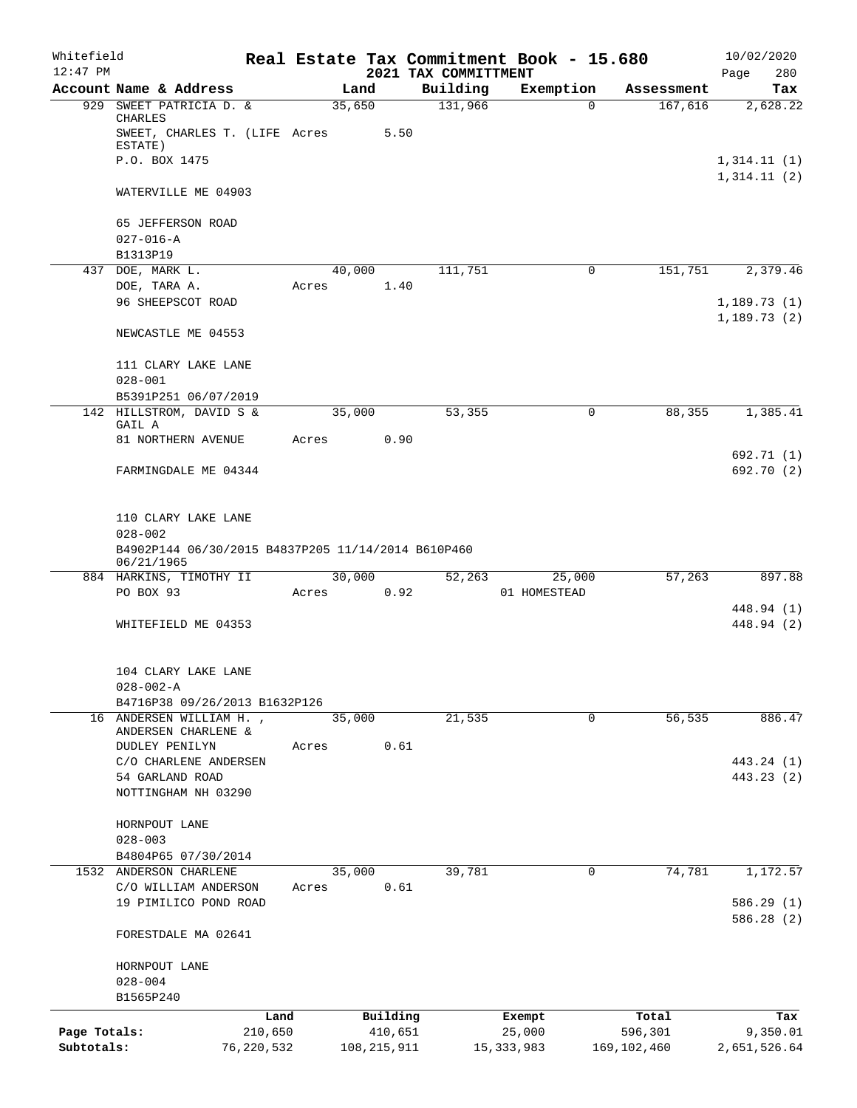| Whitefield   |                                                                                          |            |       |               |          |                                  | Real Estate Tax Commitment Book - 15.680 |               | 10/02/2020                 |
|--------------|------------------------------------------------------------------------------------------|------------|-------|---------------|----------|----------------------------------|------------------------------------------|---------------|----------------------------|
| $12:47$ PM   | Account Name & Address                                                                   |            |       | Land          |          | 2021 TAX COMMITTMENT<br>Building | Exemption                                | Assessment    | 280<br>Page<br>Tax         |
|              | 929 SWEET PATRICIA D. &                                                                  |            |       | 35,650        |          | 131,966                          | $\Omega$                                 | 167,616       | 2,628.22                   |
|              | CHARLES<br>SWEET, CHARLES T. (LIFE Acres                                                 |            |       |               | 5.50     |                                  |                                          |               |                            |
|              | ESTATE)                                                                                  |            |       |               |          |                                  |                                          |               |                            |
|              | P.O. BOX 1475                                                                            |            |       |               |          |                                  |                                          |               | 1,314.11(1)<br>1,314.11(2) |
|              | WATERVILLE ME 04903                                                                      |            |       |               |          |                                  |                                          |               |                            |
|              | 65 JEFFERSON ROAD                                                                        |            |       |               |          |                                  |                                          |               |                            |
|              | $027 - 016 - A$                                                                          |            |       |               |          |                                  |                                          |               |                            |
|              | B1313P19<br>437 DOE, MARK L.                                                             |            |       | 40,000        |          | 111,751                          | $\mathbf 0$                              | 151,751       | 2,379.46                   |
|              | DOE, TARA A.                                                                             |            | Acres |               | 1.40     |                                  |                                          |               |                            |
|              | 96 SHEEPSCOT ROAD                                                                        |            |       |               |          |                                  |                                          |               | 1,189.73(1)                |
|              | NEWCASTLE ME 04553                                                                       |            |       |               |          |                                  |                                          |               | 1,189.73(2)                |
|              | 111 CLARY LAKE LANE                                                                      |            |       |               |          |                                  |                                          |               |                            |
|              | $028 - 001$                                                                              |            |       |               |          |                                  |                                          |               |                            |
|              | B5391P251 06/07/2019                                                                     |            |       |               |          |                                  |                                          |               |                            |
|              | 142 HILLSTROM, DAVID S &<br>GAIL A                                                       |            |       | 35,000        |          | 53,355                           | 0                                        | 88,355        | 1,385.41                   |
|              | 81 NORTHERN AVENUE                                                                       |            | Acres |               | 0.90     |                                  |                                          |               |                            |
|              | FARMINGDALE ME 04344                                                                     |            |       |               |          |                                  |                                          |               | 692.71 (1)<br>692.70 (2)   |
|              | 110 CLARY LAKE LANE<br>$028 - 002$<br>B4902P144 06/30/2015 B4837P205 11/14/2014 B610P460 |            |       |               |          |                                  |                                          |               |                            |
|              | 06/21/1965<br>884 HARKINS, TIMOTHY II                                                    |            |       | 30,000        |          | 52,263                           | 25,000                                   | 57,263        | 897.88                     |
|              | PO BOX 93                                                                                |            | Acres |               | 0.92     |                                  | 01 HOMESTEAD                             |               |                            |
|              |                                                                                          |            |       |               |          |                                  |                                          |               | 448.94 (1)                 |
|              | WHITEFIELD ME 04353                                                                      |            |       |               |          |                                  |                                          |               | 448.94 (2)                 |
|              | 104 CLARY LAKE LANE                                                                      |            |       |               |          |                                  |                                          |               |                            |
|              | $028 - 002 - A$<br>B4716P38 09/26/2013 B1632P126                                         |            |       |               |          |                                  |                                          |               |                            |
|              | 16 ANDERSEN WILLIAM H.,                                                                  |            |       | 35,000        |          | 21,535                           | $\mathbf 0$                              | 56,535        | 886.47                     |
|              | ANDERSEN CHARLENE &                                                                      |            |       |               |          |                                  |                                          |               |                            |
|              | DUDLEY PENILYN                                                                           |            | Acres |               | 0.61     |                                  |                                          |               |                            |
|              | C/O CHARLENE ANDERSEN                                                                    |            |       |               |          |                                  |                                          |               | 443.24 (1)                 |
|              | 54 GARLAND ROAD<br>NOTTINGHAM NH 03290                                                   |            |       |               |          |                                  |                                          |               | 443.23 (2)                 |
|              | HORNPOUT LANE                                                                            |            |       |               |          |                                  |                                          |               |                            |
|              | $028 - 003$                                                                              |            |       |               |          |                                  |                                          |               |                            |
|              | B4804P65 07/30/2014                                                                      |            |       |               |          |                                  |                                          |               |                            |
|              | 1532 ANDERSON CHARLENE                                                                   |            |       | 35,000        |          | 39,781                           | 0                                        | 74,781        | 1,172.57                   |
|              | C/O WILLIAM ANDERSON                                                                     |            | Acres |               | 0.61     |                                  |                                          |               |                            |
|              | 19 PIMILICO POND ROAD                                                                    |            |       |               |          |                                  |                                          |               | 586.29(1)<br>586.28 (2)    |
|              | FORESTDALE MA 02641                                                                      |            |       |               |          |                                  |                                          |               |                            |
|              | HORNPOUT LANE                                                                            |            |       |               |          |                                  |                                          |               |                            |
|              | $028 - 004$<br>B1565P240                                                                 |            |       |               |          |                                  |                                          |               |                            |
|              |                                                                                          | Land       |       |               | Building |                                  | Exempt                                   | Total         | Tax                        |
| Page Totals: |                                                                                          | 210,650    |       |               | 410,651  |                                  | 25,000                                   | 596,301       | 9,350.01                   |
| Subtotals:   |                                                                                          | 76,220,532 |       | 108, 215, 911 |          |                                  | 15, 333, 983                             | 169, 102, 460 | 2,651,526.64               |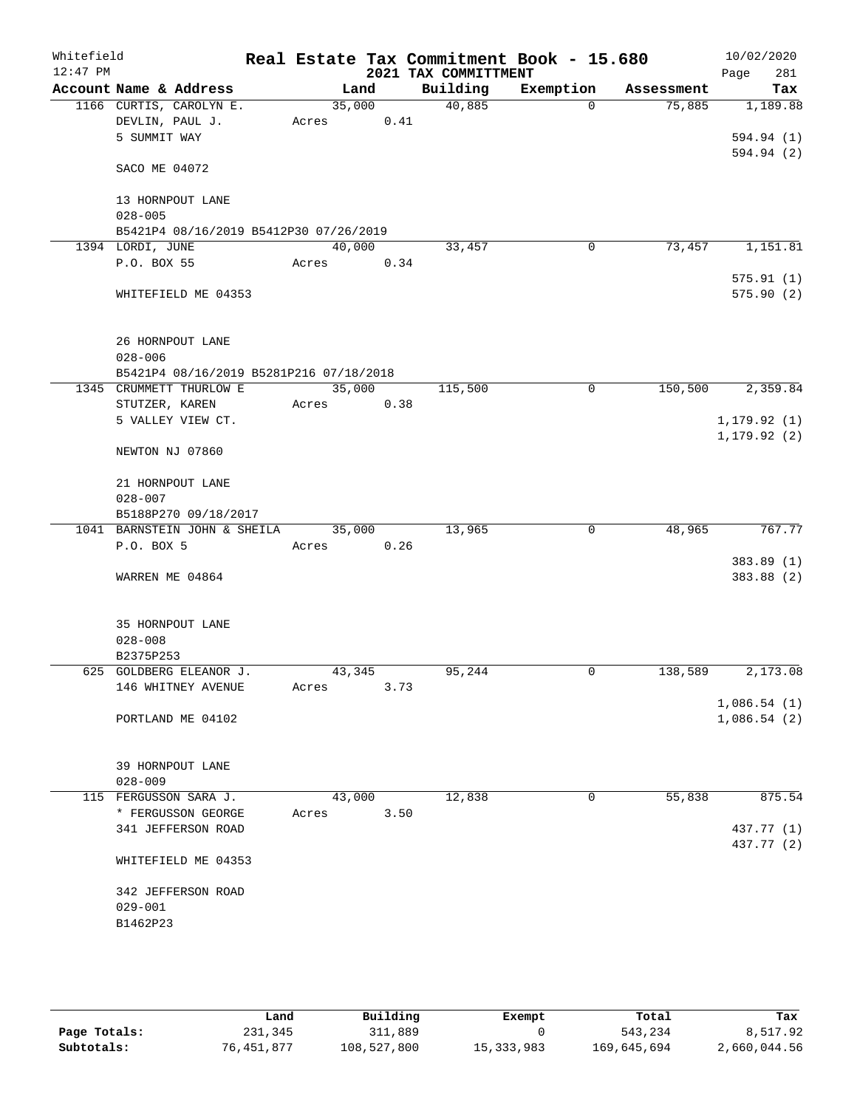| Whitefield |                                         |        |      |      |                                  | Real Estate Tax Commitment Book - 15.680 |            | 10/02/2020         |
|------------|-----------------------------------------|--------|------|------|----------------------------------|------------------------------------------|------------|--------------------|
| $12:47$ PM | Account Name & Address                  |        | Land |      | 2021 TAX COMMITTMENT<br>Building | Exemption                                | Assessment | 281<br>Page<br>Tax |
|            | 1166 CURTIS, CAROLYN E.                 | 35,000 |      |      | 40,885                           | $\Omega$                                 | 75,885     | 1,189.88           |
|            | DEVLIN, PAUL J.                         | Acres  |      | 0.41 |                                  |                                          |            |                    |
|            | 5 SUMMIT WAY                            |        |      |      |                                  |                                          |            | 594.94 (1)         |
|            |                                         |        |      |      |                                  |                                          |            | 594.94 (2)         |
|            | SACO ME 04072                           |        |      |      |                                  |                                          |            |                    |
|            | 13 HORNPOUT LANE                        |        |      |      |                                  |                                          |            |                    |
|            | $028 - 005$                             |        |      |      |                                  |                                          |            |                    |
|            | B5421P4 08/16/2019 B5412P30 07/26/2019  |        |      |      |                                  |                                          |            |                    |
|            | 1394 LORDI, JUNE                        | 40,000 |      |      | 33,457                           | $\mathbf 0$                              | 73,457     | 1,151.81           |
|            | P.O. BOX 55                             | Acres  |      | 0.34 |                                  |                                          |            |                    |
|            |                                         |        |      |      |                                  |                                          |            | 575.91(1)          |
|            | WHITEFIELD ME 04353                     |        |      |      |                                  |                                          |            | 575.90(2)          |
|            | 26 HORNPOUT LANE                        |        |      |      |                                  |                                          |            |                    |
|            | $028 - 006$                             |        |      |      |                                  |                                          |            |                    |
|            | B5421P4 08/16/2019 B5281P216 07/18/2018 |        |      |      |                                  |                                          |            |                    |
|            | 1345 CRUMMETT THURLOW E                 | 35,000 |      |      | 115,500                          | $\mathbf 0$                              | 150,500    | 2,359.84           |
|            | STUTZER, KAREN                          | Acres  |      | 0.38 |                                  |                                          |            |                    |
|            | 5 VALLEY VIEW CT.                       |        |      |      |                                  |                                          |            | 1, 179.92(1)       |
|            |                                         |        |      |      |                                  |                                          |            | 1, 179.92(2)       |
|            | NEWTON NJ 07860                         |        |      |      |                                  |                                          |            |                    |
|            | 21 HORNPOUT LANE                        |        |      |      |                                  |                                          |            |                    |
|            | $028 - 007$                             |        |      |      |                                  |                                          |            |                    |
|            | B5188P270 09/18/2017                    |        |      |      |                                  |                                          |            |                    |
|            | 1041 BARNSTEIN JOHN & SHEILA            | 35,000 |      |      | 13,965                           | 0                                        | 48,965     | 767.77             |
|            | P.O. BOX 5                              | Acres  |      | 0.26 |                                  |                                          |            |                    |
|            |                                         |        |      |      |                                  |                                          |            | 383.89 (1)         |
|            | WARREN ME 04864                         |        |      |      |                                  |                                          |            | 383.88 (2)         |
|            | 35 HORNPOUT LANE                        |        |      |      |                                  |                                          |            |                    |
|            | $028 - 008$                             |        |      |      |                                  |                                          |            |                    |
|            | B2375P253                               |        |      |      |                                  |                                          |            |                    |
|            | 625 GOLDBERG ELEANOR J.                 | 43,345 |      |      | 95,244                           | 0                                        | 138,589    | 2,173.08           |
|            | 146 WHITNEY AVENUE                      | Acres  |      | 3.73 |                                  |                                          |            |                    |
|            |                                         |        |      |      |                                  |                                          |            | 1,086.54(1)        |
|            | PORTLAND ME 04102                       |        |      |      |                                  |                                          |            | 1,086.54(2)        |
|            |                                         |        |      |      |                                  |                                          |            |                    |
|            | 39 HORNPOUT LANE<br>$028 - 009$         |        |      |      |                                  |                                          |            |                    |
|            | 115 FERGUSSON SARA J.                   | 43,000 |      |      | 12,838                           | 0                                        | 55,838     | 875.54             |
|            | * FERGUSSON GEORGE                      | Acres  |      | 3.50 |                                  |                                          |            |                    |
|            | 341 JEFFERSON ROAD                      |        |      |      |                                  |                                          |            | 437.77 (1)         |
|            |                                         |        |      |      |                                  |                                          |            | 437.77 (2)         |
|            | WHITEFIELD ME 04353                     |        |      |      |                                  |                                          |            |                    |
|            | 342 JEFFERSON ROAD                      |        |      |      |                                  |                                          |            |                    |
|            | $029 - 001$                             |        |      |      |                                  |                                          |            |                    |
|            | B1462P23                                |        |      |      |                                  |                                          |            |                    |
|            |                                         |        |      |      |                                  |                                          |            |                    |
|            |                                         |        |      |      |                                  |                                          |            |                    |

|              | Land       | Building    | Exempt       | Total       | Tax          |
|--------------|------------|-------------|--------------|-------------|--------------|
| Page Totals: | 231,345    | 311,889     |              | 543,234     | 8,517.92     |
| Subtotals:   | 76,451,877 | 108,527,800 | 15, 333, 983 | 169,645,694 | 2,660,044.56 |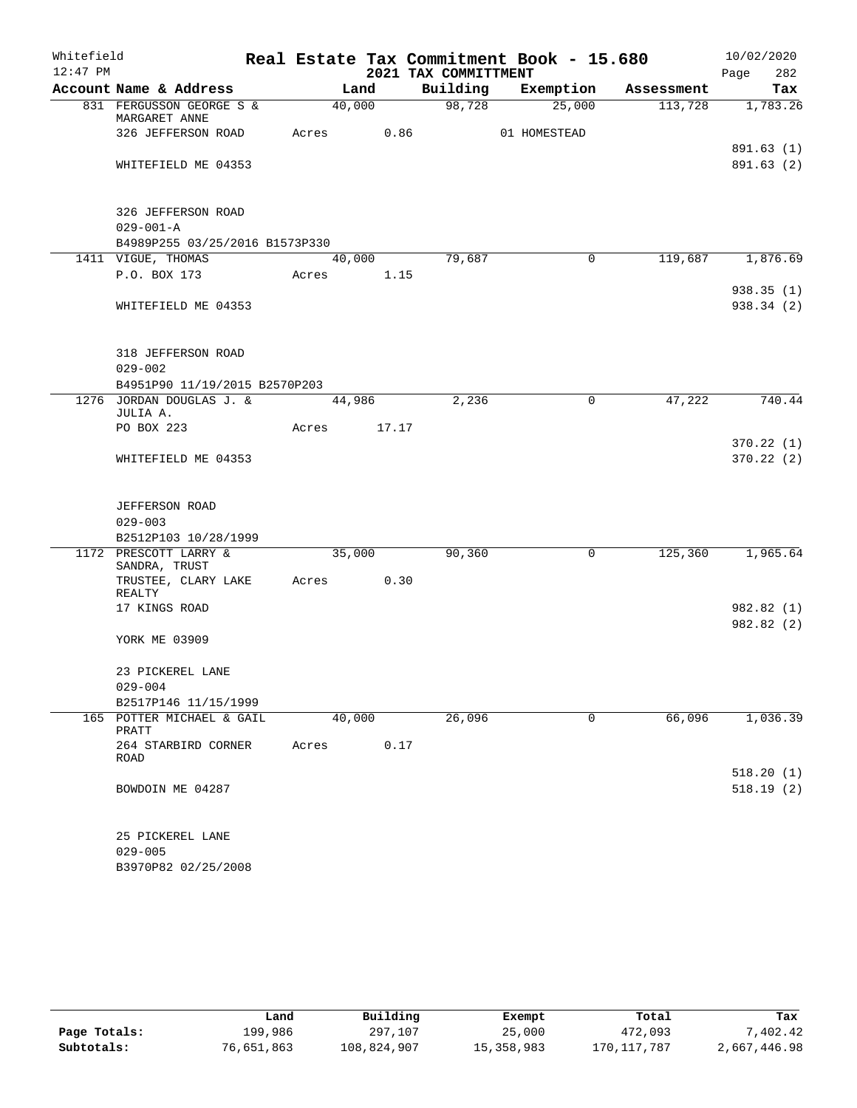| Whitefield |                                           |            |        |       | Real Estate Tax Commitment Book - 15.680 |              |              |            | 10/02/2020             |
|------------|-------------------------------------------|------------|--------|-------|------------------------------------------|--------------|--------------|------------|------------------------|
| $12:47$ PM |                                           |            |        |       | 2021 TAX COMMITTMENT                     |              |              |            | 282<br>Page            |
|            | Account Name & Address                    |            | Land   |       | Building                                 | Exemption    |              | Assessment | Tax                    |
|            | 831 FERGUSSON GEORGE S &<br>MARGARET ANNE |            | 40,000 |       | 98,728                                   |              | 25,000       | 113,728    | 1,783.26               |
|            | 326 JEFFERSON ROAD                        | Acres      |        | 0.86  |                                          | 01 HOMESTEAD |              |            |                        |
|            |                                           |            |        |       |                                          |              |              |            | 891.63 (1)             |
|            | WHITEFIELD ME 04353                       |            |        |       |                                          |              |              |            | 891.63 (2)             |
|            | 326 JEFFERSON ROAD                        |            |        |       |                                          |              |              |            |                        |
|            | $029 - 001 - A$                           |            |        |       |                                          |              |              |            |                        |
|            | B4989P255 03/25/2016 B1573P330            |            |        |       |                                          |              |              |            |                        |
|            | 1411 VIGUE, THOMAS                        |            | 40,000 |       | 79,687                                   |              | 0            | 119,687    | 1,876.69               |
|            | P.O. BOX 173                              | Acres      |        | 1.15  |                                          |              |              |            |                        |
|            |                                           |            |        |       |                                          |              |              |            | 938.35(1)              |
|            | WHITEFIELD ME 04353                       |            |        |       |                                          |              |              |            | 938.34(2)              |
|            | 318 JEFFERSON ROAD                        |            |        |       |                                          |              |              |            |                        |
|            | $029 - 002$                               |            |        |       |                                          |              |              |            |                        |
|            | B4951P90 11/19/2015 B2570P203             |            |        |       |                                          |              |              |            |                        |
|            | 1276 JORDAN DOUGLAS J. &                  |            | 44,986 |       | 2,236                                    |              | $\mathbf 0$  | 47,222     | 740.44                 |
|            | JULIA A.<br>PO BOX 223                    | Acres      |        | 17.17 |                                          |              |              |            |                        |
|            |                                           |            |        |       |                                          |              |              |            | 370.22(1)              |
|            | WHITEFIELD ME 04353                       |            |        |       |                                          |              |              |            | 370.22(2)              |
|            |                                           |            |        |       |                                          |              |              |            |                        |
|            | <b>JEFFERSON ROAD</b>                     |            |        |       |                                          |              |              |            |                        |
|            | $029 - 003$                               |            |        |       |                                          |              |              |            |                        |
|            | B2512P103 10/28/1999                      |            |        |       |                                          |              |              |            |                        |
|            | 1172 PRESCOTT LARRY &<br>SANDRA, TRUST    |            | 35,000 |       | 90,360                                   |              | $\mathsf{O}$ | 125,360    | 1,965.64               |
|            | TRUSTEE, CLARY LAKE<br>REALTY             | Acres 0.30 |        |       |                                          |              |              |            |                        |
|            | 17 KINGS ROAD                             |            |        |       |                                          |              |              |            | 982.82 (1)             |
|            | YORK ME 03909                             |            |        |       |                                          |              |              |            | 982.82 (2)             |
|            |                                           |            |        |       |                                          |              |              |            |                        |
|            | 23 PICKEREL LANE                          |            |        |       |                                          |              |              |            |                        |
|            | $029 - 004$                               |            |        |       |                                          |              |              |            |                        |
|            | B2517P146 11/15/1999                      |            |        |       |                                          |              |              |            |                        |
|            | 165 POTTER MICHAEL & GAIL<br>PRATT        |            | 40,000 |       | 26,096                                   |              | $\mathbf 0$  | 66,096     | 1,036.39               |
|            | 264 STARBIRD CORNER<br>ROAD               | Acres      |        | 0.17  |                                          |              |              |            |                        |
|            | BOWDOIN ME 04287                          |            |        |       |                                          |              |              |            | 518.20(1)<br>518.19(2) |
|            |                                           |            |        |       |                                          |              |              |            |                        |
|            | 25 PICKEREL LANE<br>$029 - 005$           |            |        |       |                                          |              |              |            |                        |
|            | B3970P82 02/25/2008                       |            |        |       |                                          |              |              |            |                        |
|            |                                           |            |        |       |                                          |              |              |            |                        |

|              | Land       | Building    | Exempt     | Total       | Tax          |
|--------------|------------|-------------|------------|-------------|--------------|
| Page Totals: | 199,986    | 297,107     | 25,000     | 472,093     | .402.42      |
| Subtotals:   | 76,651,863 | 108,824,907 | 15,358,983 | 170,117,787 | 2,667,446.98 |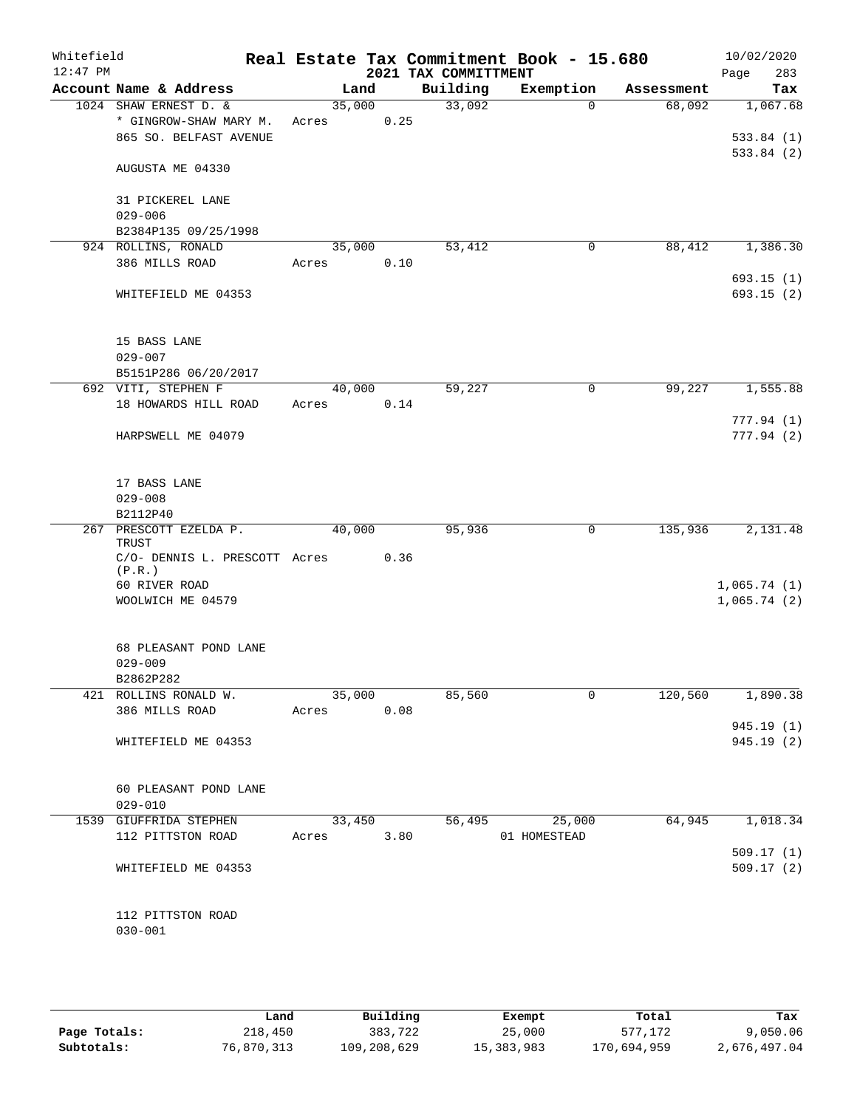| Whitefield<br>$12:47$ PM |                                         |                 |        | 2021 TAX COMMITTMENT | Real Estate Tax Commitment Book - 15.680 |            | 10/02/2020<br>Page<br>283 |
|--------------------------|-----------------------------------------|-----------------|--------|----------------------|------------------------------------------|------------|---------------------------|
|                          | Account Name & Address                  | Land            |        | Building             | Exemption                                | Assessment | Tax                       |
|                          | 1024 SHAW ERNEST D. &                   | 35,000          |        | 33,092               | $\Omega$                                 | 68,092     | 1,067.68                  |
|                          | * GINGROW-SHAW MARY M.                  | Acres           | 0.25   |                      |                                          |            |                           |
|                          | 865 SO. BELFAST AVENUE                  |                 |        |                      |                                          |            | 533.84(1)                 |
|                          | AUGUSTA ME 04330                        |                 |        |                      |                                          |            | 533.84(2)                 |
|                          | 31 PICKEREL LANE                        |                 |        |                      |                                          |            |                           |
|                          | $029 - 006$                             |                 |        |                      |                                          |            |                           |
|                          | B2384P135 09/25/1998                    |                 |        |                      |                                          |            |                           |
|                          | 924 ROLLINS, RONALD<br>386 MILLS ROAD   | 35,000<br>Acres | 0.10   | 53,412               | $\mathbf 0$                              | 88,412     | 1,386.30                  |
|                          |                                         |                 |        |                      |                                          |            | 693.15(1)                 |
|                          | WHITEFIELD ME 04353                     |                 |        |                      |                                          |            | 693.15 (2)                |
|                          | 15 BASS LANE                            |                 |        |                      |                                          |            |                           |
|                          | $029 - 007$                             |                 |        |                      |                                          |            |                           |
|                          | B5151P286 06/20/2017                    |                 |        |                      |                                          |            |                           |
|                          | 692 VITI, STEPHEN F                     | 40,000          |        | 59,227               | 0                                        | 99,227     | 1,555.88                  |
|                          | 18 HOWARDS HILL ROAD                    | Acres           | 0.14   |                      |                                          |            |                           |
|                          | HARPSWELL ME 04079                      |                 |        |                      |                                          |            | 777.94(1)<br>777.94(2)    |
|                          |                                         |                 |        |                      |                                          |            |                           |
|                          | 17 BASS LANE                            |                 |        |                      |                                          |            |                           |
|                          | $029 - 008$                             |                 |        |                      |                                          |            |                           |
|                          | B2112P40                                |                 |        |                      |                                          |            |                           |
|                          | 267 PRESCOTT EZELDA P.<br>TRUST         | 40,000          |        | 95,936               | 0                                        | 135,936    | 2,131.48                  |
|                          | C/O- DENNIS L. PRESCOTT Acres<br>(P.R.) |                 | 0.36   |                      |                                          |            |                           |
|                          | 60 RIVER ROAD                           |                 |        |                      |                                          |            | 1,065.74(1)               |
|                          | WOOLWICH ME 04579                       |                 |        |                      |                                          |            | 1,065.74(2)               |
|                          | 68 PLEASANT POND LANE                   |                 |        |                      |                                          |            |                           |
|                          | $029 - 009$                             |                 |        |                      |                                          |            |                           |
|                          | B2862P282                               |                 |        |                      |                                          |            |                           |
|                          | 421 ROLLINS RONALD W.                   |                 | 35,000 | 85,560               | 0                                        |            | 120,560 1,890.38          |
|                          | 386 MILLS ROAD                          | Acres 0.08      |        |                      |                                          |            |                           |
|                          |                                         |                 |        |                      |                                          |            | 945.19(1)                 |
|                          | WHITEFIELD ME 04353                     |                 |        |                      |                                          |            | 945.19 (2)                |
|                          | 60 PLEASANT POND LANE                   |                 |        |                      |                                          |            |                           |
|                          | $029 - 010$                             |                 |        |                      |                                          |            |                           |
|                          | 1539 GIUFFRIDA STEPHEN                  |                 |        |                      | 33,450 56,495 25,000                     |            | 64,945 1,018.34           |
|                          | 112 PITTSTON ROAD                       | Acres 3.80      |        |                      | 01 HOMESTEAD                             |            |                           |
|                          |                                         |                 |        |                      |                                          |            | 509.17(1)                 |
|                          | WHITEFIELD ME 04353                     |                 |        |                      |                                          |            | 509.17(2)                 |
|                          | 112 PITTSTON ROAD                       |                 |        |                      |                                          |            |                           |
|                          | $030 - 001$                             |                 |        |                      |                                          |            |                           |
|                          |                                         |                 |        |                      |                                          |            |                           |

|              | Land       | Building    | Exempt     | Total       | Tax          |
|--------------|------------|-------------|------------|-------------|--------------|
| Page Totals: | 218,450    | 383,722     | 25,000     | 577,172     | 9,050.06     |
| Subtotals:   | 76,870,313 | 109,208,629 | 15,383,983 | 170,694,959 | 2,676,497.04 |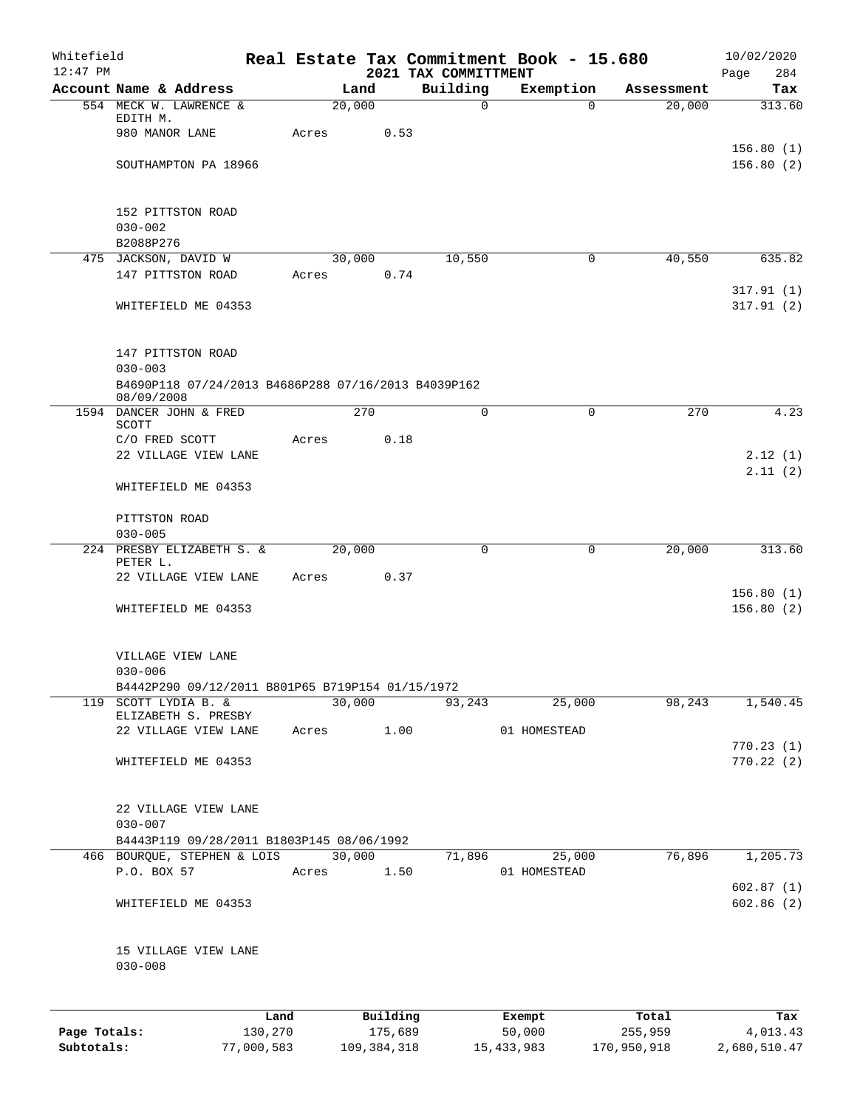| Whitefield<br>$12:47$ PM |                                                                          |            |       |               |      | 2021 TAX COMMITTMENT | Real Estate Tax Commitment Book - 15.680 |             | 10/02/2020<br>Page<br>284 |
|--------------------------|--------------------------------------------------------------------------|------------|-------|---------------|------|----------------------|------------------------------------------|-------------|---------------------------|
|                          | Account Name & Address                                                   |            |       | Land          |      | Building             | Exemption                                | Assessment  | Tax                       |
|                          | 554 MECK W. LAWRENCE &                                                   |            |       | 20,000        |      | $\mathbf 0$          | $\Omega$                                 | 20,000      | 313.60                    |
|                          | EDITH M.                                                                 |            |       |               |      |                      |                                          |             |                           |
|                          | 980 MANOR LANE                                                           |            | Acres |               | 0.53 |                      |                                          |             |                           |
|                          | SOUTHAMPTON PA 18966                                                     |            |       |               |      |                      |                                          |             | 156.80(1)<br>156.80(2)    |
|                          |                                                                          |            |       |               |      |                      |                                          |             |                           |
|                          |                                                                          |            |       |               |      |                      |                                          |             |                           |
|                          | 152 PITTSTON ROAD                                                        |            |       |               |      |                      |                                          |             |                           |
|                          | $030 - 002$                                                              |            |       |               |      |                      |                                          |             |                           |
|                          | B2088P276<br>475 JACKSON, DAVID W                                        |            |       | 30,000        |      | 10,550               | $\mathbf 0$                              | 40,550      | 635.82                    |
|                          | 147 PITTSTON ROAD                                                        |            | Acres |               | 0.74 |                      |                                          |             |                           |
|                          |                                                                          |            |       |               |      |                      |                                          |             | 317.91(1)                 |
|                          | WHITEFIELD ME 04353                                                      |            |       |               |      |                      |                                          |             | 317.91(2)                 |
|                          |                                                                          |            |       |               |      |                      |                                          |             |                           |
|                          |                                                                          |            |       |               |      |                      |                                          |             |                           |
|                          | 147 PITTSTON ROAD                                                        |            |       |               |      |                      |                                          |             |                           |
|                          | $030 - 003$<br>B4690P118 07/24/2013 B4686P288 07/16/2013 B4039P162       |            |       |               |      |                      |                                          |             |                           |
|                          | 08/09/2008                                                               |            |       |               |      |                      |                                          |             |                           |
|                          | 1594 DANCER JOHN & FRED                                                  |            |       | 270           |      | $\Omega$             | $\Omega$                                 | 270         | 4.23                      |
|                          | SCOTT<br>C/O FRED SCOTT                                                  |            | Acres |               | 0.18 |                      |                                          |             |                           |
|                          | 22 VILLAGE VIEW LANE                                                     |            |       |               |      |                      |                                          |             | 2.12(1)                   |
|                          |                                                                          |            |       |               |      |                      |                                          |             | 2.11(2)                   |
|                          | WHITEFIELD ME 04353                                                      |            |       |               |      |                      |                                          |             |                           |
|                          |                                                                          |            |       |               |      |                      |                                          |             |                           |
|                          | PITTSTON ROAD                                                            |            |       |               |      |                      |                                          |             |                           |
|                          | $030 - 005$                                                              |            |       |               |      |                      |                                          |             |                           |
|                          | 224 PRESBY ELIZABETH S. &<br>PETER L.                                    |            |       | 20,000        |      | 0                    | $\mathsf{O}$                             | 20,000      | 313.60                    |
|                          | 22 VILLAGE VIEW LANE                                                     |            | Acres |               | 0.37 |                      |                                          |             |                           |
|                          |                                                                          |            |       |               |      |                      |                                          |             | 156.80(1)                 |
|                          | WHITEFIELD ME 04353                                                      |            |       |               |      |                      |                                          |             | 156.80(2)                 |
|                          |                                                                          |            |       |               |      |                      |                                          |             |                           |
|                          | VILLAGE VIEW LANE                                                        |            |       |               |      |                      |                                          |             |                           |
|                          | $030 - 006$                                                              |            |       |               |      |                      |                                          |             |                           |
|                          | B4442P290 09/12/2011 B801P65 B719P154 01/15/1972                         |            |       |               |      |                      |                                          |             |                           |
|                          | 119 SCOTT LYDIA B. &                                                     |            |       | 30,000        |      | 93,243               | 25,000                                   | 98,243      | 1,540.45                  |
|                          | ELIZABETH S. PRESBY                                                      |            |       |               |      |                      |                                          |             |                           |
|                          | 22 VILLAGE VIEW LANE                                                     |            | Acres |               | 1.00 |                      | 01 HOMESTEAD                             |             | 770.23(1)                 |
|                          | WHITEFIELD ME 04353                                                      |            |       |               |      |                      |                                          |             | 770.22(2)                 |
|                          |                                                                          |            |       |               |      |                      |                                          |             |                           |
|                          |                                                                          |            |       |               |      |                      |                                          |             |                           |
|                          | 22 VILLAGE VIEW LANE                                                     |            |       |               |      |                      |                                          |             |                           |
|                          | $030 - 007$                                                              |            |       |               |      |                      |                                          |             |                           |
|                          | B4443P119 09/28/2011 B1803P145 08/06/1992<br>466 BOURQUE, STEPHEN & LOIS |            |       | 30,000        |      | 71,896               | 25,000                                   | 76,896      | 1,205.73                  |
|                          | P.O. BOX 57                                                              |            | Acres |               | 1.50 |                      | 01 HOMESTEAD                             |             |                           |
|                          |                                                                          |            |       |               |      |                      |                                          |             | 602.87(1)                 |
|                          | WHITEFIELD ME 04353                                                      |            |       |               |      |                      |                                          |             | 602.86(2)                 |
|                          |                                                                          |            |       |               |      |                      |                                          |             |                           |
|                          |                                                                          |            |       |               |      |                      |                                          |             |                           |
|                          | 15 VILLAGE VIEW LANE<br>$030 - 008$                                      |            |       |               |      |                      |                                          |             |                           |
|                          |                                                                          |            |       |               |      |                      |                                          |             |                           |
|                          |                                                                          |            |       |               |      |                      |                                          |             |                           |
|                          |                                                                          | Land       |       | Building      |      |                      | Exempt                                   | Total       | Tax                       |
| Page Totals:             |                                                                          | 130,270    |       | 175,689       |      |                      | 50,000                                   | 255,959     | 4,013.43                  |
| Subtotals:               |                                                                          | 77,000,583 |       | 109, 384, 318 |      |                      | 15, 433, 983                             | 170,950,918 | 2,680,510.47              |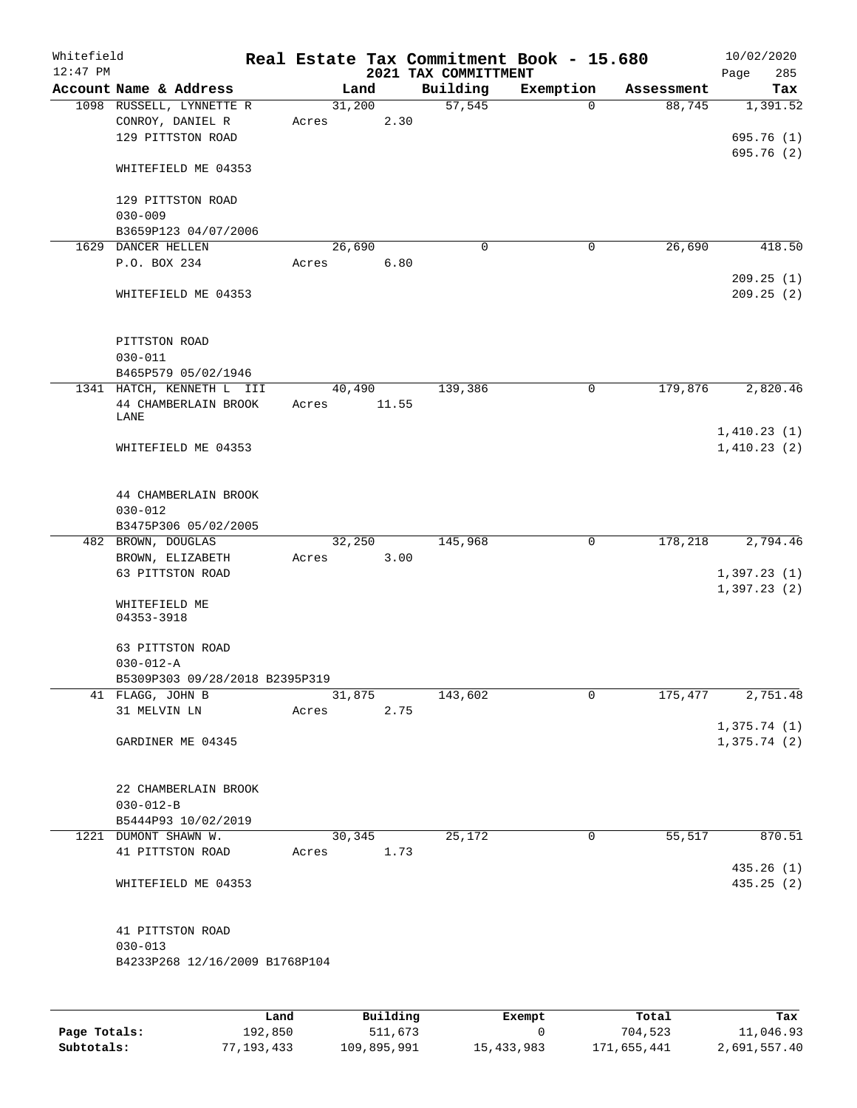| Whitefield<br>$12:47$ PM |                                                                   |       |                | Real Estate Tax Commitment Book - 15.680<br>2021 TAX COMMITTMENT |             |            | 10/02/2020<br>285<br>Page  |
|--------------------------|-------------------------------------------------------------------|-------|----------------|------------------------------------------------------------------|-------------|------------|----------------------------|
|                          | Account Name & Address                                            |       | Land           | Building                                                         | Exemption   | Assessment | Tax                        |
|                          | 1098 RUSSELL, LYNNETTE R<br>CONROY, DANIEL R<br>129 PITTSTON ROAD | Acres | 31,200<br>2.30 | 57,545                                                           | $\Omega$    | 88,745     | 1,391.52<br>695.76 (1)     |
|                          | WHITEFIELD ME 04353                                               |       |                |                                                                  |             |            | 695.76(2)                  |
|                          | 129 PITTSTON ROAD<br>$030 - 009$                                  |       |                |                                                                  |             |            |                            |
|                          | B3659P123 04/07/2006                                              |       |                |                                                                  |             |            |                            |
|                          | 1629 DANCER HELLEN                                                |       | 26,690         | $\mathbf 0$                                                      | 0           | 26,690     | 418.50                     |
|                          | P.O. BOX 234                                                      | Acres | 6.80           |                                                                  |             |            | 209.25(1)                  |
|                          | WHITEFIELD ME 04353                                               |       |                |                                                                  |             |            | 209.25(2)                  |
|                          | PITTSTON ROAD<br>$030 - 011$                                      |       |                |                                                                  |             |            |                            |
|                          | B465P579 05/02/1946                                               |       |                |                                                                  |             |            |                            |
|                          | 1341 HATCH, KENNETH L III                                         |       | 40,490         | 139,386                                                          | 0           | 179,876    | 2,820.46                   |
|                          | 44 CHAMBERLAIN BROOK<br>LANE                                      | Acres | 11.55          |                                                                  |             |            |                            |
|                          | WHITEFIELD ME 04353                                               |       |                |                                                                  |             |            | 1,410.23(1)<br>1,410.23(2) |
|                          | 44 CHAMBERLAIN BROOK<br>$030 - 012$                               |       |                |                                                                  |             |            |                            |
|                          | B3475P306 05/02/2005                                              |       |                |                                                                  |             |            |                            |
|                          | 482 BROWN, DOUGLAS                                                | Acres | 32,250<br>3.00 | 145,968                                                          | $\mathbf 0$ | 178,218    | 2,794.46                   |
|                          | BROWN, ELIZABETH<br>63 PITTSTON ROAD                              |       |                |                                                                  |             |            | 1,397.23(1)                |
|                          |                                                                   |       |                |                                                                  |             |            | 1,397.23(2)                |
|                          | WHITEFIELD ME<br>04353-3918                                       |       |                |                                                                  |             |            |                            |
|                          | 63 PITTSTON ROAD                                                  |       |                |                                                                  |             |            |                            |
|                          | $030 - 012 - A$                                                   |       |                |                                                                  |             |            |                            |
|                          | B5309P303 09/28/2018 B2395P319                                    |       |                |                                                                  |             |            |                            |
|                          | 41 FLAGG, JOHN B                                                  |       | 31,875         | 143,602                                                          | 0           | 175,477    | 2,751.48                   |
|                          | 31 MELVIN LN                                                      | Acres | 2.75           |                                                                  |             |            | 1,375.74(1)                |
|                          | GARDINER ME 04345                                                 |       |                |                                                                  |             |            | 1,375.74(2)                |
|                          | 22 CHAMBERLAIN BROOK                                              |       |                |                                                                  |             |            |                            |
|                          | $030 - 012 - B$                                                   |       |                |                                                                  |             |            |                            |
|                          | B5444P93 10/02/2019<br>1221 DUMONT SHAWN W.                       |       | 30,345         | 25,172                                                           | $\mathbf 0$ | 55,517     | 870.51                     |
|                          | 41 PITTSTON ROAD                                                  | Acres | 1.73           |                                                                  |             |            |                            |
|                          | WHITEFIELD ME 04353                                               |       |                |                                                                  |             |            | 435.26(1)<br>435.25(2)     |
|                          | 41 PITTSTON ROAD                                                  |       |                |                                                                  |             |            |                            |
|                          | $030 - 013$<br>B4233P268 12/16/2009 B1768P104                     |       |                |                                                                  |             |            |                            |
|                          |                                                                   |       |                |                                                                  |             |            |                            |
|                          |                                                                   |       |                |                                                                  |             |            |                            |

|              | Land       | Building    | Exempt     | Total       | Tax          |
|--------------|------------|-------------|------------|-------------|--------------|
| Page Totals: | 192,850    | 511,673     |            | 704,523     | 11,046.93    |
| Subtotals:   | 77,193,433 | 109,895,991 | 15,433,983 | 171,655,441 | 2,691,557.40 |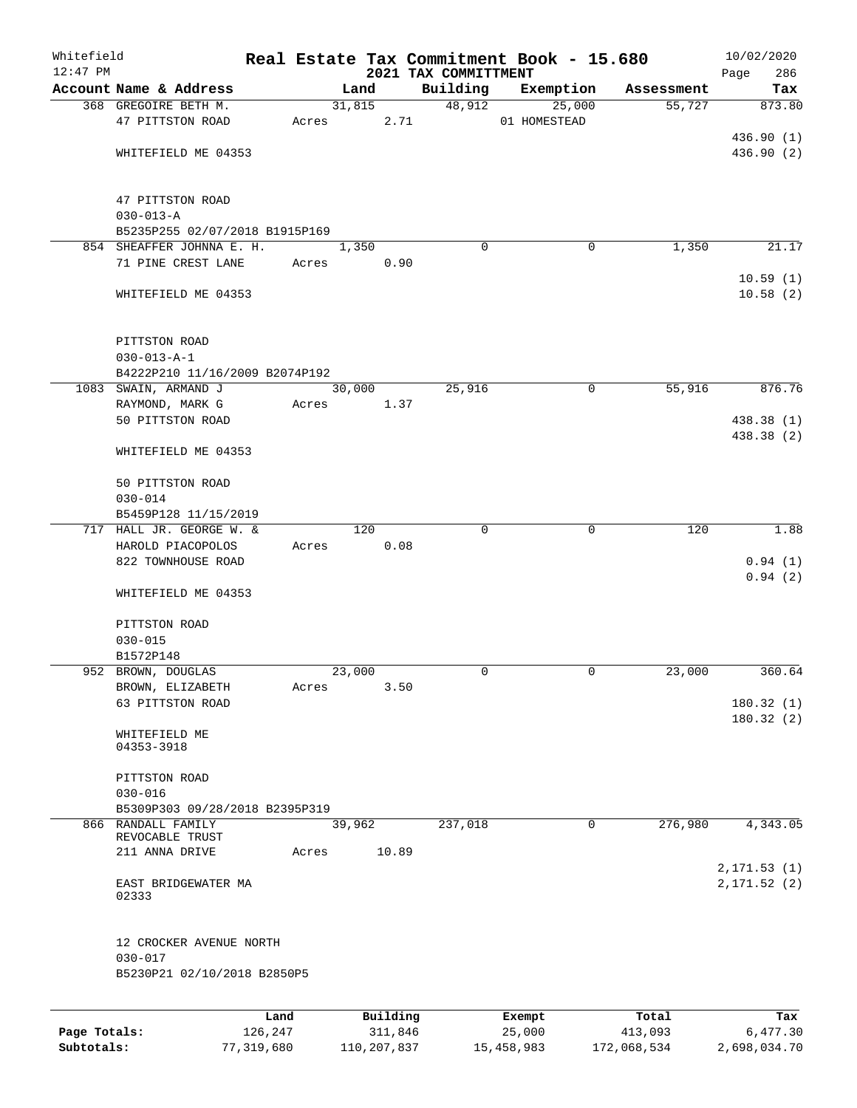| Whitefield   |                                        |         |       |        |          | Real Estate Tax Commitment Book - 15.680 |              |             |            | 10/02/2020           |
|--------------|----------------------------------------|---------|-------|--------|----------|------------------------------------------|--------------|-------------|------------|----------------------|
| $12:47$ PM   | Account Name & Address                 |         |       |        |          | 2021 TAX COMMITTMENT                     |              |             |            | Page<br>286          |
|              |                                        |         |       | Land   |          | Building                                 | Exemption    |             | Assessment | Tax                  |
|              | 368 GREGOIRE BETH M.                   |         |       | 31,815 |          | 48,912                                   |              | 25,000      | 55,727     | 873.80               |
|              | 47 PITTSTON ROAD                       |         | Acres |        | 2.71     |                                          | 01 HOMESTEAD |             |            | 436.90(1)            |
|              | WHITEFIELD ME 04353                    |         |       |        |          |                                          |              |             |            | 436.90 (2)           |
|              |                                        |         |       |        |          |                                          |              |             |            |                      |
|              | 47 PITTSTON ROAD                       |         |       |        |          |                                          |              |             |            |                      |
|              | $030 - 013 - A$                        |         |       |        |          |                                          |              |             |            |                      |
|              | B5235P255 02/07/2018 B1915P169         |         |       |        |          |                                          |              |             |            |                      |
|              | 854 SHEAFFER JOHNNA E. H.              |         |       | 1,350  |          | $\Omega$                                 |              | 0           | 1,350      | 21.17                |
|              | 71 PINE CREST LANE                     |         | Acres |        | 0.90     |                                          |              |             |            |                      |
|              | WHITEFIELD ME 04353                    |         |       |        |          |                                          |              |             |            | 10.59(1)<br>10.58(2) |
|              | PITTSTON ROAD                          |         |       |        |          |                                          |              |             |            |                      |
|              | $030 - 013 - A - 1$                    |         |       |        |          |                                          |              |             |            |                      |
|              | B4222P210 11/16/2009 B2074P192         |         |       |        |          |                                          |              |             |            |                      |
|              | 1083 SWAIN, ARMAND J                   |         |       | 30,000 |          | 25,916                                   |              | $\mathbf 0$ | 55,916     | 876.76               |
|              | RAYMOND, MARK G                        |         | Acres |        | 1.37     |                                          |              |             |            |                      |
|              | 50 PITTSTON ROAD                       |         |       |        |          |                                          |              |             |            | 438.38 (1)           |
|              | WHITEFIELD ME 04353                    |         |       |        |          |                                          |              |             |            | 438.38 (2)           |
|              | 50 PITTSTON ROAD                       |         |       |        |          |                                          |              |             |            |                      |
|              | $030 - 014$                            |         |       |        |          |                                          |              |             |            |                      |
|              | B5459P128 11/15/2019                   |         |       |        |          |                                          |              |             |            |                      |
|              | 717 HALL JR. GEORGE W. &               |         |       | 120    |          | $\Omega$                                 |              | $\Omega$    | 120        | 1.88                 |
|              | HAROLD PIACOPOLOS                      |         | Acres |        | 0.08     |                                          |              |             |            |                      |
|              | 822 TOWNHOUSE ROAD                     |         |       |        |          |                                          |              |             |            | 0.94(1)              |
|              | WHITEFIELD ME 04353                    |         |       |        |          |                                          |              |             |            | 0.94(2)              |
|              | PITTSTON ROAD                          |         |       |        |          |                                          |              |             |            |                      |
|              | $030 - 015$                            |         |       |        |          |                                          |              |             |            |                      |
|              | B1572P148                              |         |       |        |          |                                          |              |             |            |                      |
|              | 952 BROWN, DOUGLAS                     |         |       | 23,000 |          | $\Omega$                                 |              | 0           | 23,000     | 360.64               |
|              | BROWN, ELIZABETH                       |         | Acres |        | 3.50     |                                          |              |             |            |                      |
|              | 63 PITTSTON ROAD                       |         |       |        |          |                                          |              |             |            | 180.32(1)            |
|              |                                        |         |       |        |          |                                          |              |             |            | 180.32(2)            |
|              | WHITEFIELD ME<br>04353-3918            |         |       |        |          |                                          |              |             |            |                      |
|              | PITTSTON ROAD                          |         |       |        |          |                                          |              |             |            |                      |
|              | $030 - 016$                            |         |       |        |          |                                          |              |             |            |                      |
|              | B5309P303 09/28/2018 B2395P319         |         |       |        |          |                                          |              |             |            |                      |
|              | 866 RANDALL FAMILY                     |         |       | 39,962 |          | 237,018                                  |              | 0           | 276,980    | 4,343.05             |
|              | REVOCABLE TRUST                        |         |       |        |          |                                          |              |             |            |                      |
|              | 211 ANNA DRIVE                         |         | Acres |        | 10.89    |                                          |              |             |            | 2, 171.53 (1)        |
|              | EAST BRIDGEWATER MA<br>02333           |         |       |        |          |                                          |              |             |            | 2, 171.52(2)         |
|              | 12 CROCKER AVENUE NORTH<br>$030 - 017$ |         |       |        |          |                                          |              |             |            |                      |
|              | B5230P21 02/10/2018 B2850P5            |         |       |        |          |                                          |              |             |            |                      |
|              |                                        |         |       |        |          |                                          |              |             |            |                      |
|              |                                        | Land    |       |        | Building |                                          | Exempt       |             | Total      | Tax                  |
| Page Totals: |                                        | 126,247 |       |        | 311,846  |                                          | 25,000       |             | 413,093    | 6,477.30             |

**Subtotals:** 77,319,680 110,207,837 15,458,983 172,068,534 2,698,034.70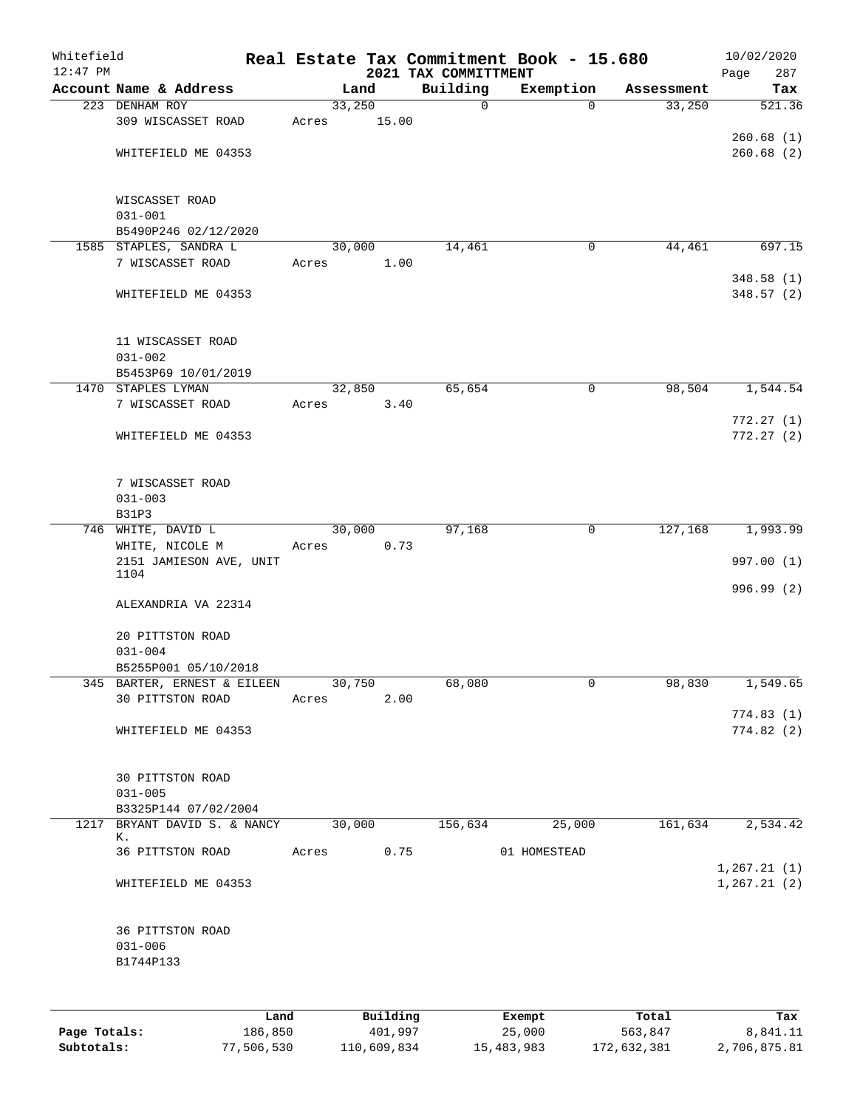| Whitefield<br>$12:47$ PM |                                                 |      |       |        |          | 2021 TAX COMMITTMENT | Real Estate Tax Commitment Book - 15.680 |            | 10/02/2020<br>Page<br>287 |
|--------------------------|-------------------------------------------------|------|-------|--------|----------|----------------------|------------------------------------------|------------|---------------------------|
|                          | Account Name & Address                          |      |       | Land   |          | Building             | Exemption                                | Assessment | Tax                       |
|                          | 223 DENHAM ROY                                  |      |       | 33,250 |          | $\mathbf 0$          | $\Omega$                                 | 33,250     | 521.36                    |
|                          | 309 WISCASSET ROAD                              |      | Acres |        | 15.00    |                      |                                          |            |                           |
|                          |                                                 |      |       |        |          |                      |                                          |            | 260.68(1)                 |
|                          | WHITEFIELD ME 04353                             |      |       |        |          |                      |                                          |            | 260.68(2)                 |
|                          | WISCASSET ROAD<br>$031 - 001$                   |      |       |        |          |                      |                                          |            |                           |
|                          | B5490P246 02/12/2020                            |      |       |        |          |                      |                                          |            |                           |
|                          | 1585 STAPLES, SANDRA L                          |      |       | 30,000 |          | 14,461               | $\mathbf 0$                              | 44,461     | 697.15                    |
|                          | 7 WISCASSET ROAD                                |      | Acres |        | 1.00     |                      |                                          |            |                           |
|                          | WHITEFIELD ME 04353                             |      |       |        |          |                      |                                          |            | 348.58(1)<br>348.57 (2)   |
|                          | 11 WISCASSET ROAD<br>$031 - 002$                |      |       |        |          |                      |                                          |            |                           |
|                          | B5453P69 10/01/2019                             |      |       |        |          |                      |                                          |            |                           |
|                          | 1470 STAPLES LYMAN                              |      |       | 32,850 |          | 65,654               | $\mathsf{O}$                             | 98,504     | 1,544.54                  |
|                          | 7 WISCASSET ROAD                                |      | Acres |        | 3.40     |                      |                                          |            |                           |
|                          | WHITEFIELD ME 04353                             |      |       |        |          |                      |                                          |            | 772.27(1)<br>772.27(2)    |
|                          | 7 WISCASSET ROAD                                |      |       |        |          |                      |                                          |            |                           |
|                          | $031 - 003$                                     |      |       |        |          |                      |                                          |            |                           |
|                          | B31P3<br>746 WHITE, DAVID L                     |      |       | 30,000 |          | 97,168               | 0                                        | 127,168    | 1,993.99                  |
|                          | WHITE, NICOLE M                                 |      | Acres |        | 0.73     |                      |                                          |            |                           |
|                          | 2151 JAMIESON AVE, UNIT                         |      |       |        |          |                      |                                          |            | 997.00 (1)                |
|                          | 1104                                            |      |       |        |          |                      |                                          |            | 996.99 (2)                |
|                          | ALEXANDRIA VA 22314                             |      |       |        |          |                      |                                          |            |                           |
|                          | 20 PITTSTON ROAD                                |      |       |        |          |                      |                                          |            |                           |
|                          | $031 - 004$                                     |      |       |        |          |                      |                                          |            |                           |
|                          | B5255P001 05/10/2018                            |      |       |        |          |                      |                                          |            |                           |
|                          | 345 BARTER, ERNEST & EILEEN<br>30 PITTSTON ROAD |      | Acres | 30,750 | 2.00     | 68,080               | 0                                        | 98,830     | 1,549.65                  |
|                          |                                                 |      |       |        |          |                      |                                          |            | 774.83(1)                 |
|                          | WHITEFIELD ME 04353                             |      |       |        |          |                      |                                          |            | 774.82(2)                 |
|                          | 30 PITTSTON ROAD                                |      |       |        |          |                      |                                          |            |                           |
|                          | $031 - 005$                                     |      |       |        |          |                      |                                          |            |                           |
|                          | B3325P144 07/02/2004                            |      |       |        |          |                      |                                          |            |                           |
|                          | 1217 BRYANT DAVID S. & NANCY<br>к.              |      |       | 30,000 |          | 156,634              | 25,000                                   | 161,634    | 2,534.42                  |
|                          | 36 PITTSTON ROAD                                |      | Acres |        | 0.75     |                      | 01 HOMESTEAD                             |            | 1, 267.21(1)              |
|                          | WHITEFIELD ME 04353                             |      |       |        |          |                      |                                          |            | 1, 267.21(2)              |
|                          | 36 PITTSTON ROAD                                |      |       |        |          |                      |                                          |            |                           |
|                          | $031 - 006$<br>B1744P133                        |      |       |        |          |                      |                                          |            |                           |
|                          |                                                 |      |       |        |          |                      |                                          |            |                           |
|                          |                                                 | Land |       |        | Building |                      | Exempt                                   | Total      | Tax                       |

|              | ⊥and       | Building    | Exempt     | тосат       | тах          |
|--------------|------------|-------------|------------|-------------|--------------|
| Page Totals: | 186,850    | 401,997     | 25,000     | 563,847     | 8,841.11     |
| Subtotals:   | 77,506,530 | 110,609,834 | 15,483,983 | 172,632,381 | 2,706,875.81 |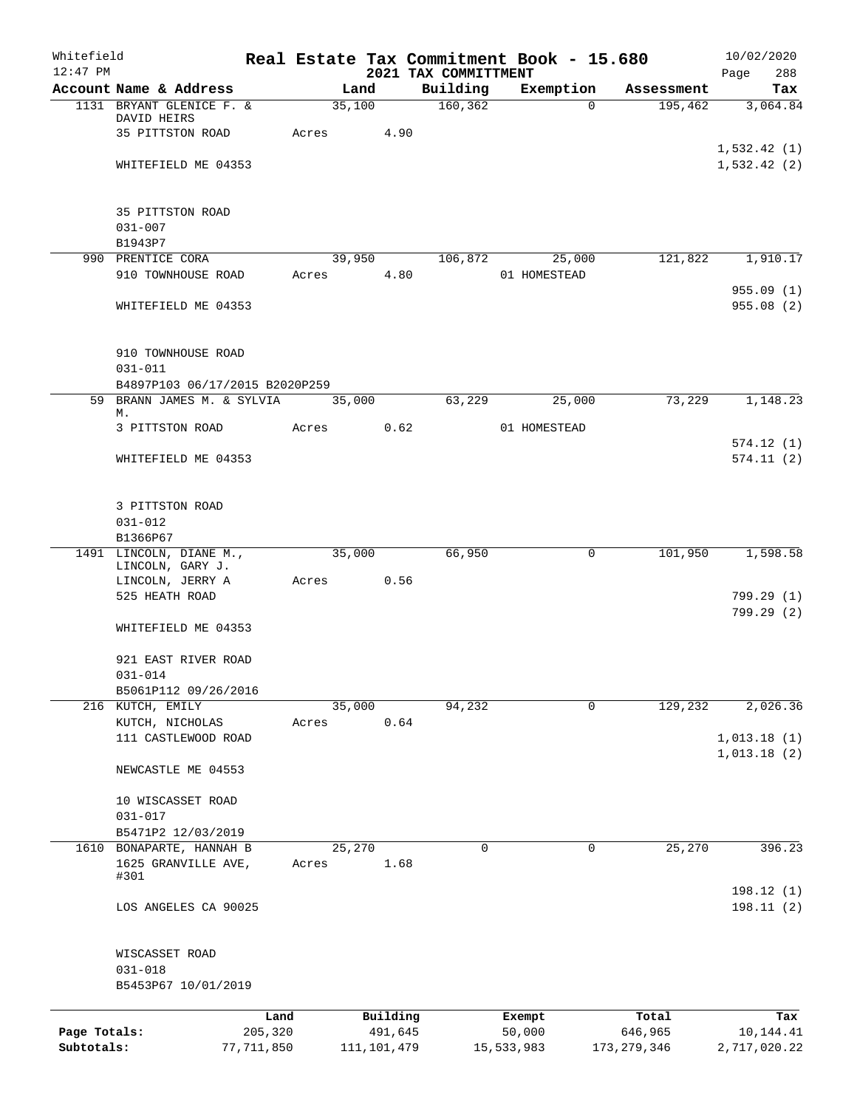| Whitefield                 |                                                    |                       |       |                          |      |                      | Real Estate Tax Commitment Book - 15.680 |                          | 10/02/2020                |
|----------------------------|----------------------------------------------------|-----------------------|-------|--------------------------|------|----------------------|------------------------------------------|--------------------------|---------------------------|
| $12:47$ PM                 |                                                    |                       |       |                          |      | 2021 TAX COMMITTMENT |                                          |                          | Page<br>288               |
|                            | Account Name & Address<br>1131 BRYANT GLENICE F. & |                       |       | Land<br>35,100           |      | Building<br>160, 362 | Exemption<br>$\Omega$                    | Assessment<br>195,462    | Tax<br>3,064.84           |
|                            | DAVID HEIRS                                        |                       |       |                          |      |                      |                                          |                          |                           |
|                            | 35 PITTSTON ROAD                                   |                       | Acres |                          | 4.90 |                      |                                          |                          |                           |
|                            |                                                    |                       |       |                          |      |                      |                                          |                          | 1,532.42(1)               |
|                            | WHITEFIELD ME 04353                                |                       |       |                          |      |                      |                                          |                          | 1,532.42(2)               |
|                            |                                                    |                       |       |                          |      |                      |                                          |                          |                           |
|                            | 35 PITTSTON ROAD                                   |                       |       |                          |      |                      |                                          |                          |                           |
|                            | $031 - 007$                                        |                       |       |                          |      |                      |                                          |                          |                           |
|                            | B1943P7                                            |                       |       |                          |      |                      |                                          |                          |                           |
|                            | 990 PRENTICE CORA<br>910 TOWNHOUSE ROAD            |                       | Acres | 39,950                   | 4.80 | 106,872              | 25,000<br>01 HOMESTEAD                   | 121,822                  | 1,910.17                  |
|                            |                                                    |                       |       |                          |      |                      |                                          |                          | 955.09(1)                 |
|                            | WHITEFIELD ME 04353                                |                       |       |                          |      |                      |                                          |                          | 955.08(2)                 |
|                            |                                                    |                       |       |                          |      |                      |                                          |                          |                           |
|                            | 910 TOWNHOUSE ROAD<br>$031 - 011$                  |                       |       |                          |      |                      |                                          |                          |                           |
|                            | B4897P103 06/17/2015 B2020P259                     |                       |       |                          |      |                      |                                          |                          |                           |
|                            | 59 BRANN JAMES M. & SYLVIA                         |                       |       | 35,000                   |      | 63,229               | 25,000                                   | 73,229                   | 1,148.23                  |
|                            | М.                                                 |                       |       |                          |      |                      |                                          |                          |                           |
|                            | 3 PITTSTON ROAD                                    |                       | Acres |                          | 0.62 |                      | 01 HOMESTEAD                             |                          |                           |
|                            | WHITEFIELD ME 04353                                |                       |       |                          |      |                      |                                          |                          | 574.12(1)<br>574.11(2)    |
|                            |                                                    |                       |       |                          |      |                      |                                          |                          |                           |
|                            | 3 PITTSTON ROAD                                    |                       |       |                          |      |                      |                                          |                          |                           |
|                            | $031 - 012$                                        |                       |       |                          |      |                      |                                          |                          |                           |
|                            | B1366P67<br>1491 LINCOLN, DIANE M.,                |                       |       | 35,000                   |      | 66,950               | 0                                        | 101,950                  | 1,598.58                  |
|                            | LINCOLN, GARY J.                                   |                       |       |                          |      |                      |                                          |                          |                           |
|                            | LINCOLN, JERRY A                                   |                       | Acres |                          | 0.56 |                      |                                          |                          |                           |
|                            | 525 HEATH ROAD                                     |                       |       |                          |      |                      |                                          |                          | 799.29 (1)                |
|                            | WHITEFIELD ME 04353                                |                       |       |                          |      |                      |                                          |                          | 799.29 (2)                |
|                            |                                                    |                       |       |                          |      |                      |                                          |                          |                           |
|                            | 921 EAST RIVER ROAD                                |                       |       |                          |      |                      |                                          |                          |                           |
|                            | $031 - 014$<br>B5061P112 09/26/2016                |                       |       |                          |      |                      |                                          |                          |                           |
|                            | 216 KUTCH, EMILY                                   |                       |       | 35,000                   |      | 94,232               | 0                                        | 129,232                  | 2,026.36                  |
|                            | KUTCH, NICHOLAS                                    |                       | Acres |                          | 0.64 |                      |                                          |                          |                           |
|                            | 111 CASTLEWOOD ROAD                                |                       |       |                          |      |                      |                                          |                          | 1,013.18(1)               |
|                            | NEWCASTLE ME 04553                                 |                       |       |                          |      |                      |                                          |                          | 1,013.18(2)               |
|                            | 10 WISCASSET ROAD                                  |                       |       |                          |      |                      |                                          |                          |                           |
|                            | $031 - 017$                                        |                       |       |                          |      |                      |                                          |                          |                           |
|                            | B5471P2 12/03/2019                                 |                       |       |                          |      |                      |                                          |                          |                           |
|                            | 1610 BONAPARTE, HANNAH B                           |                       |       | 25,270                   |      | 0                    | 0                                        | 25,270                   | 396.23                    |
|                            | 1625 GRANVILLE AVE,<br>#301                        |                       | Acres |                          | 1.68 |                      |                                          |                          |                           |
|                            | LOS ANGELES CA 90025                               |                       |       |                          |      |                      |                                          |                          | 198.12 (1)<br>198.11(2)   |
|                            | WISCASSET ROAD                                     |                       |       |                          |      |                      |                                          |                          |                           |
|                            | $031 - 018$                                        |                       |       |                          |      |                      |                                          |                          |                           |
|                            | B5453P67 10/01/2019                                |                       |       |                          |      |                      |                                          |                          |                           |
|                            |                                                    | Land                  |       | Building                 |      |                      | Exempt                                   | Total                    | Tax                       |
| Page Totals:<br>Subtotals: |                                                    | 205,320<br>77,711,850 |       | 491,645<br>111, 101, 479 |      |                      | 50,000<br>15,533,983                     | 646,965<br>173, 279, 346 | 10,144.41<br>2,717,020.22 |
|                            |                                                    |                       |       |                          |      |                      |                                          |                          |                           |